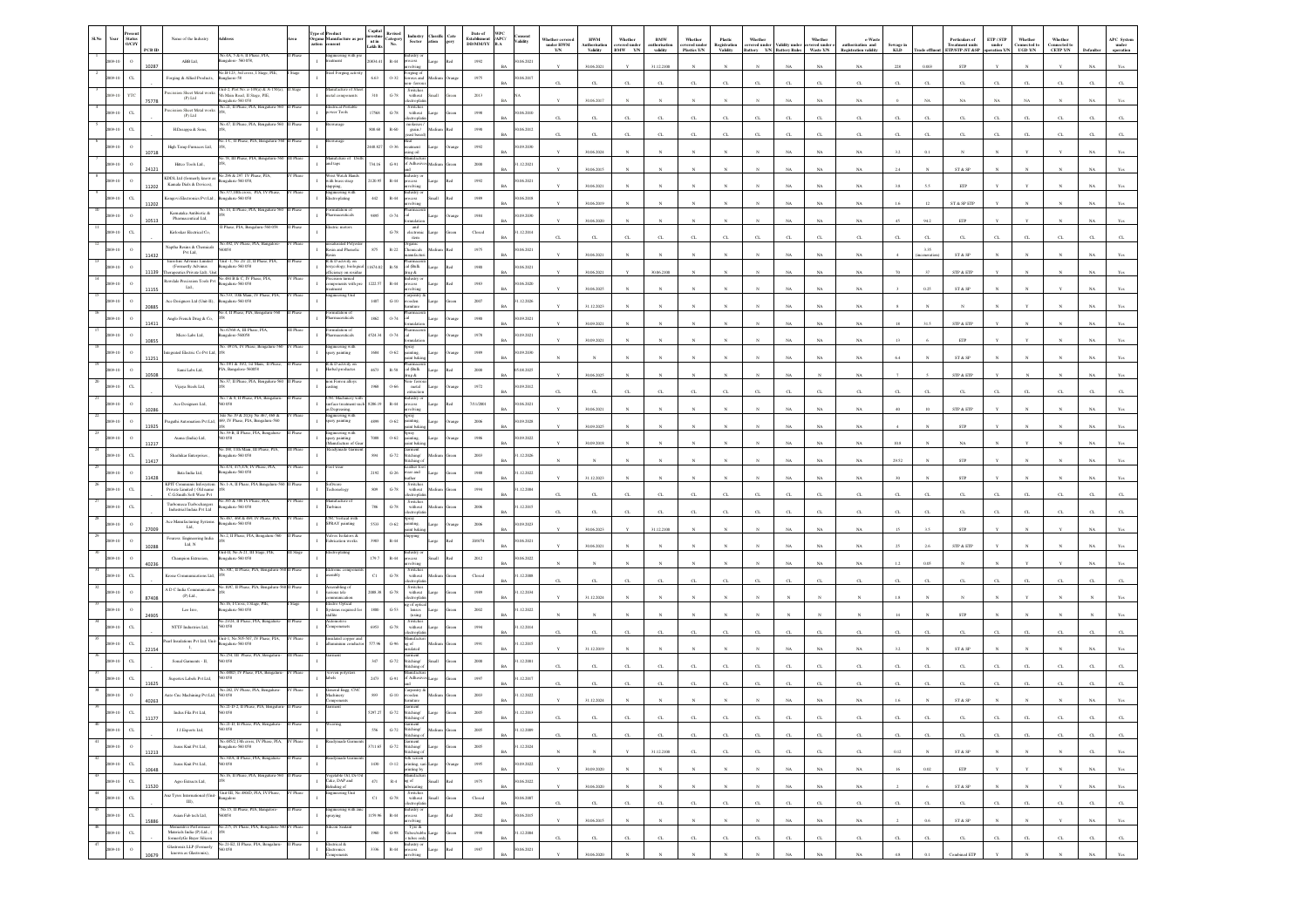|       |         | <b>Status</b><br>O/CVY<br>PCB ID | Name of the Industry                                                                                             |                                                                         |          | ition<br>asent                                                         | Capital<br>investm<br>nt in<br>Lakh R | evised<br>ategory<br>No.                 | <b>Industry</b><br>Sector                                                                               | <b>Tassific</b><br>Cate<br>ation<br>gory | Date of<br>Establisment<br>DD/MM/YY | WPC<br>/APC/<br>.onsent<br>/alidity<br>B.A | under HWM<br>Y/N | <b>HWM</b><br>Authorisatio<br>Validity | Whether<br>overed under<br>BMW -- Y/N | BMW<br>uthorisatio<br>validity | Whether<br>covered under<br>Plastics Y/N | Plastic<br>Registration<br>Validity | Whether      | <b>Example 18 Construction</b><br><b>Example 18 Constraint Construction</b><br><b>Example 2</b> Construction<br><b>Example 2</b> Construction<br><b>Example 2</b> Construction<br><b>Example 2</b> Construction<br><b>Example 2</b> Construction<br><b>Example 2</b> Construction<br><b></b> | Whethe<br>overed under<br>Waste Y/N | e-Wast<br>authorisation and<br>Registration validity | Sewage in<br>KLD | Trade eff    | Perticulars of<br>Treatment units<br>ETP/STP /ST &SP            | ETP/STP<br>$\,$ under $\,$<br>ration 1 | Whethe<br>Connected to<br>UGD Y/N | Whether<br>Connected to<br>CETP Y/N |             | APC System<br>under<br>operation |
|-------|---------|----------------------------------|------------------------------------------------------------------------------------------------------------------|-------------------------------------------------------------------------|----------|------------------------------------------------------------------------|---------------------------------------|------------------------------------------|---------------------------------------------------------------------------------------------------------|------------------------------------------|-------------------------------------|--------------------------------------------|------------------|----------------------------------------|---------------------------------------|--------------------------------|------------------------------------------|-------------------------------------|--------------|----------------------------------------------------------------------------------------------------------------------------------------------------------------------------------------------------------------------------------------------------------------------------------------------|-------------------------------------|------------------------------------------------------|------------------|--------------|-----------------------------------------------------------------|----------------------------------------|-----------------------------------|-------------------------------------|-------------|----------------------------------|
|       |         | $\Omega$<br>10287                | ABB Ltd.                                                                                                         | ко.4А, 5 & 6, II Phase, PIA,<br>galore- 560 058,                        |          | teineering with                                                        | 20834.                                | $\mathbb{R}\text{-}44$                   | slving                                                                                                  | Large                                    | 1992                                | 06.2021                                    |                  | 30.06.2021                             |                                       | 31.12.2100                     |                                          |                                     |              | NA                                                                                                                                                                                                                                                                                           | $_{\rm NA}$                         | $_{\rm NA}$                                          | $228\,$          | 0.003        | ${\tt STP}$                                                     |                                        |                                   |                                     |             | Yes                              |
|       |         | $\alpha$                         | Forging & Allied Products,                                                                                       | 40.B-123, 3rd cross, I Stage, PIE,<br>sglaore-58                        |          | eel Forging act                                                        | 6.63                                  | $0 - 32$                                 | ceging of<br>ous and<br>on-ferror                                                                       |                                          | 1975                                | 0.06.2017                                  | $\sigma$         | CL.                                    | CL                                    | CL.                            | CL                                       | $\mathbf{C}$                        |              |                                                                                                                                                                                                                                                                                              | $\alpha$                            | $\alpha$                                             |                  |              | $\alpha$                                                        |                                        |                                   |                                     |             |                                  |
|       |         | YТ<br>75778                      | ecission Sheet Metal works<br>$(P)$ Ltd                                                                          | 2. Plot No. 2-149(a) &<br>hh Main Road, II Stage, PIE,<br>alaru-560 058 |          | facture of<br>etal componer                                            | 310                                   | $G-78$                                   | Switcher<br>without                                                                                     | <b>Illem</b>                             | 2013                                |                                            |                  | 30.06.2017                             |                                       |                                |                                          |                                     |              |                                                                                                                                                                                                                                                                                              | NA                                  | $_{\rm NA}$                                          |                  |              | NA                                                              |                                        |                                   |                                     |             |                                  |
|       |         | $\alpha$                         | ecission Sheet Metal works<br>(P) Ltd                                                                            | No.21, II Phase, PIA, Be                                                |          | trical Porta<br>wer Tools                                              | 17568                                 | $\operatorname{G-78}$                    | Switches<br>without<br><b>troph</b>                                                                     | arge                                     | $19\%$                              | 1.06.2010                                  | $\alpha$         | $_{\rm CL}$                            | CL                                    | CL                             | CL                                       | CL                                  | $\alpha$     |                                                                                                                                                                                                                                                                                              | $\alpha$                            | $_{\rm{CL}}$                                         | $\alpha$         |              | $_{\rm{CL}}$                                                    | $\alpha$                               | $\alpha$                          |                                     |             |                                  |
|       |         | $C$ L                            | H.Dasappa & Sons,                                                                                                | o.47, II Phase, PIA, B                                                  |          |                                                                        | 808.68                                | R-60                                     | grain /                                                                                                 |                                          | 1990                                | 0.06.2012<br>RA                            |                  |                                        | CL                                    |                                | CL                                       |                                     | $\sigma$     |                                                                                                                                                                                                                                                                                              |                                     |                                                      |                  |              |                                                                 |                                        |                                   |                                     |             |                                  |
|       |         |                                  | High Temp Furnaces Ltd,                                                                                          |                                                                         |          |                                                                        | 2448.82                               | 0.36                                     | anent                                                                                                   |                                          | 1992                                | 1.09.2030                                  | $\sigma$         | CL                                     |                                       | CL.                            |                                          | CL.                                 |              |                                                                                                                                                                                                                                                                                              | $\alpha$                            | $\alpha$                                             | $\sigma$         |              | $C_{L}$                                                         | C1                                     | C1                                | $\Gamma$                            |             |                                  |
|       |         | 10718                            | Hittco Tools Ltd.,                                                                                               | o.78. III Phase, PIA, Benga                                             |          | ufcture of<br>ad taps                                                  | 34. I                                 | $\mbox{G-}91$                            | Adb                                                                                                     |                                          | $2000\,$                            | .12.2021                                   |                  | 30.06.2024                             |                                       |                                |                                          |                                     |              |                                                                                                                                                                                                                                                                                              | $_{\rm NA}$                         | $_{\rm NA}$                                          | 3.2              | 0.1          |                                                                 |                                        |                                   |                                     |             |                                  |
|       |         | 24121                            | KDDL Ltd (formerly know as                                                                                       | 296 & 297 IV Phi<br>ngalaru-560 058,                                    |          | ist Watch Ha<br>vith brass strap                                       | 120.9                                 | $R-44$                                   | cess                                                                                                    |                                          | 1992                                | 0.06.2021                                  |                  | 30.06.2015                             |                                       |                                |                                          |                                     |              |                                                                                                                                                                                                                                                                                              | $_{\rm NA}$                         | NA                                                   |                  |              | ST & SP                                                         |                                        |                                   |                                     |             |                                  |
|       |         | 11202<br>$\alpha$                | Kamala Dials & Devices)                                                                                          | 40.377,10th cross, PIA, I<br>sealaru-560 058                            |          | sgineering with<br>ctroplating                                         | 442                                   | $R-44$                                   |                                                                                                         |                                          |                                     |                                            |                  | 30.06.2021                             |                                       |                                |                                          |                                     |              |                                                                                                                                                                                                                                                                                              | <b>NA</b>                           | NA                                                   |                  |              | ETP                                                             |                                        |                                   |                                     |             |                                  |
|       |         | 11202                            | ongovi Electronics Pvt Ltd<br>Karnataka Antibiotic $\&$                                                          | a.14. Il Phase, PIA.                                                    |          | alation of                                                             |                                       |                                          |                                                                                                         |                                          | $1989\,$                            | 1.06.2018<br><b>BA</b>                     |                  | 30.06.2019                             |                                       |                                |                                          |                                     |              |                                                                                                                                                                                                                                                                                              | NA                                  | NA.                                                  |                  |              | $\operatorname{ST}$ & $\operatorname{SP}$ $\operatorname{ETP}$  |                                        |                                   |                                     |             |                                  |
|       |         | 10513                            | Pharmaceutical Ltd,                                                                                              | Phase, PIA, Ben                                                         |          | accuticals                                                             | 9895                                  | 0.74                                     | and                                                                                                     |                                          | $1984\,$                            | 0.09.2030                                  |                  | 30.06.2020                             |                                       |                                |                                          |                                     |              |                                                                                                                                                                                                                                                                                              | NA                                  | $_{\rm NA}$                                          |                  | 94.2         | ETP                                                             |                                        |                                   |                                     |             |                                  |
|       |         |                                  | Kirloskar Electrical Co.                                                                                         | No.492, IV Phase, PIA, Bangalor                                         |          | aturated Polye                                                         |                                       | $G-78$                                   | electroni<br>${\tt icm}$                                                                                |                                          | Closed                              | .12.2014                                   | $\alpha$         | $_{\rm CL}$                            | CL                                    | $\alpha$                       | CL                                       | $\alpha$                            |              |                                                                                                                                                                                                                                                                                              | C1                                  | $\alpha$                                             | $\alpha$         |              | $_{\rm{CL}}$                                                    |                                        |                                   |                                     |             |                                  |
|       |         | 11432                            | Nap<br>tha Resins & Chemicals Pvt Ltd,                                                                           | coss<br>Unit -1, No 21/ 22, II Phase, PL                                |          | lesin and Phenolic<br>& D activity on                                  | 875                                   | $\mathbb{R}{\cdot}22$                    | rganic<br>hemicals                                                                                      |                                          | 1975                                | 06.2021                                    |                  | 30.06.2021                             |                                       |                                |                                          |                                     |              |                                                                                                                                                                                                                                                                                              | $_{\rm NA}$                         | $_{\rm NA}$                                          |                  | 3.35         | ${\hbox{\footnotesize\rm ST}}$ & ${\hbox{\footnotesize\rm SP}}$ |                                        |                                   |                                     |             |                                  |
|       |         | 11139                            | Eurofins Advinus Limites<br>(Formertly Advinus<br>Therapeutics Private Ltd), Unit                                | galaru-560 058<br>484 B & C, IV Phas                                    |          | xycology, biologic<br>fficiency on residue<br>cision turned            | 1674.0                                | $\mathbb{R}\text{-}\mathbb{S}\mathbb{S}$ | cal (Balk<br>A ganl                                                                                     |                                          | 1980                                | 06.2021<br><b>BA</b>                       |                  | 30.06.2021                             |                                       | 30.06.2100                     |                                          | N                                   |              | NA                                                                                                                                                                                                                                                                                           | $_{\rm NA}$                         | NA                                                   | 70               |              | STP & ETP                                                       |                                        |                                   |                                     |             |                                  |
|       |         | 11155                            | Rewdale Precission Tools Pvt<br>$\rm{Lid.}$                                                                      | ngalaru-560 058                                                         |          | emponents with pre                                                     | 1222.5                                | $R-44$                                   | cess                                                                                                    |                                          | 1983                                | 0.06.2020                                  |                  | 30.06.2025                             |                                       |                                |                                          |                                     |              |                                                                                                                                                                                                                                                                                              | NA                                  | $_{\rm NA}$                                          |                  | 0.25         | ST & SP                                                         |                                        |                                   |                                     |             |                                  |
|       |         | 20885                            | Ace Designers Ltd (Unit-II),                                                                                     | No.533, 10th Main, IV Phase, PIA<br>galaru-560 05                       |          | gineering Unit                                                         | $1407\,$                              | $G-10$                                   | arpentry<br>ooden                                                                                       |                                          | 2007                                | .12.2026                                   |                  | 31.12.2023                             |                                       |                                |                                          |                                     |              |                                                                                                                                                                                                                                                                                              | NA                                  | NA.                                                  |                  |              |                                                                 |                                        |                                   |                                     |             |                                  |
|       |         | 11411                            | Anglo French Drug & Co,                                                                                          | A, II Phase, PIA,                                                       |          | lation c<br>aceuticals                                                 | 1862                                  | 0.74                                     |                                                                                                         |                                          | 1980                                | 1.09.2021<br>RA                            |                  | 30.09.2021                             |                                       |                                |                                          |                                     |              |                                                                                                                                                                                                                                                                                              | NA                                  | NA                                                   |                  | 31.5         | STP & ETP                                                       |                                        |                                   |                                     |             |                                  |
|       |         |                                  | Micro Labs Ltd,                                                                                                  | 7/68-A, III Phas<br>ngalore-560058                                      |          | maceuticals                                                            | 4524.3                                | 0.74                                     |                                                                                                         |                                          | 1978                                | 0.09.2021                                  |                  | 30.09.2021                             |                                       |                                |                                          |                                     |              |                                                                                                                                                                                                                                                                                              | NA                                  | $_{\rm NA}$                                          |                  |              | ETP                                                             |                                        |                                   |                                     |             |                                  |
|       |         | 11251                            | grated Electric Co Pvt Ltd,                                                                                      | No. 497/A. IV Phase. Ben                                                |          | ingineering with<br>pary painting                                      | 1684                                  | $0 - 62$                                 | $\overline{\text{pry}}$ inting.<br>t bak                                                                |                                          | 1989                                | 0.09.2030                                  |                  |                                        |                                       |                                |                                          |                                     |              |                                                                                                                                                                                                                                                                                              | NA                                  | NA                                                   |                  |              | $ST \& SP$                                                      |                                        |                                   |                                     |             |                                  |
|       |         |                                  | Sami Labs Ltd,                                                                                                   | 19/1 & 19/2, 1st Ma<br>TA, Bangalore-560058                             |          | & D activity of<br>erbal productes                                     | 4673                                  | $\mathbb{R}\text{-}\mathbb{S}\mathbb{S}$ | cal (Balk<br>$\mathbf{A}$ as                                                                            | large                                    | 2000                                | 08.2025<br>RA                              |                  |                                        |                                       |                                |                                          |                                     |              |                                                                                                                                                                                                                                                                                              |                                     | NA                                                   |                  |              |                                                                 |                                        |                                   |                                     |             |                                  |
|       |         | 10508                            | Vijaya Steels Ltd,                                                                                               | 40.37, II Phase, PIA, E                                                 |          | on Ferrou alloy<br>ting                                                | 1968                                  | 0.66                                     | on-fer<br>metal<br>xtraction                                                                            | arge                                     | 1972                                | 0.9.2012                                   |                  | 30.06.2025                             |                                       |                                |                                          |                                     |              |                                                                                                                                                                                                                                                                                              |                                     |                                                      |                  |              | STP & ETP                                                       |                                        |                                   |                                     |             |                                  |
|       |         |                                  | Ace Designers Ltd,                                                                                               | No.7 & 8, Il Phase, PIA.                                                |          | <b>NC</b> Machiner<br>rface trea                                       | 8286.19                               | $_{\rm R-44}$                            | lustry or<br>>cess                                                                                      |                                          | 7/11/2001                           | 0.06.2021                                  | $\sigma$         | $_{\rm CL}$                            |                                       | CL.                            | $_{\rm CI}$                              | $\alpha$                            |              |                                                                                                                                                                                                                                                                                              | C1                                  | α.                                                   | $\alpha$         |              | C1                                                              |                                        |                                   |                                     |             |                                  |
|       |         | 10286                            | agathi Automation Pvt Ltd,                                                                                       | ite No.19 & 20,Sy No.467, 468 &<br>469, IV Phase, PIA, Bengalaru-560    |          | Degreasing,<br>ngineering with<br>pary painting                        | 4899                                  | $0 - 62$                                 | olving<br>pray<br>ainting.                                                                              |                                          | $\,2006$                            | 09.2028                                    |                  | 30.06.2021                             |                                       |                                |                                          |                                     |              |                                                                                                                                                                                                                                                                                              | NA                                  | NA                                                   |                  |              | STP & ETP                                                       |                                        |                                   |                                     |             |                                  |
|       |         | 11925                            | Auma (India) Ltd,                                                                                                | No.39-B, II Phase, PIA, Benga<br>0058                                   |          | agineering with                                                        | $7088\,$                              | $0.62\,$                                 | aint bak<br>eay<br>inting,                                                                              |                                          | 1986                                | R<br>1.09.2022                             |                  | 30.09.2025                             |                                       |                                |                                          |                                     |              |                                                                                                                                                                                                                                                                                              | NA                                  | NA                                                   |                  |              | <b>STP</b>                                                      |                                        |                                   |                                     |             |                                  |
|       |         | 11217                            |                                                                                                                  | .188, 11th Main, III Phase, PIA                                         |          | pary painting<br>Manufacture of G                                      | 894                                   | $\operatorname{G-72}$                    | it bak<br>arment<br>titching/                                                                           |                                          |                                     | .12.2026                                   |                  | 30.09.2018                             |                                       |                                |                                          |                                     |              |                                                                                                                                                                                                                                                                                              | NA                                  | $_{\rm NA}$                                          | 10.8             |              | $_{\rm NA}$                                                     |                                        |                                   |                                     |             |                                  |
|       |         | 11417                            | Shashikar Enterprises                                                                                            | agalaru-560 05<br>io.474, 475,476, IV Phase, PIA,                       |          | ot wear                                                                |                                       |                                          | itching<br>ather fo                                                                                     |                                          | 2003                                |                                            |                  |                                        |                                       |                                |                                          |                                     |              |                                                                                                                                                                                                                                                                                              | NA                                  | NA                                                   | 29.52            |              | STP                                                             |                                        |                                   |                                     |             |                                  |
|       |         | $\circ$<br>11428                 | Bata India Ltd.<br><b>KPIT Communis Infosyste</b>                                                                | ngalaru-560 058<br>No.1-A, II Phase, PIA Bengalur                       |          | twere                                                                  | $2192\,$                              | $\,$ G-26 $\,$                           | vear and<br>Switche                                                                                     |                                          | 1988                                | .12.2022                                   |                  | 31.12.2023                             |                                       |                                |                                          |                                     |              |                                                                                                                                                                                                                                                                                              | NA                                  | $_{\rm NA}$                                          |                  |              | STP                                                             |                                        |                                   |                                     |             |                                  |
|       |         | $\alpha$                         | Private Limited (Old name<br>C.G.Smith Soft Ware Pvt                                                             | 385 & 386 IV Phase                                                      |          | chonology<br>sufacture                                                 | $809\,$                               | $\mbox{G-}78$                            | without                                                                                                 |                                          | 1994                                | .12.2004                                   | $\alpha$         | $_{\rm CL}$                            | CL                                    | CL                             | CL                                       | CL                                  |              |                                                                                                                                                                                                                                                                                              | $_{\rm CL}$                         | $_{\rm{CL}}$                                         | $\alpha$         |              | $_{\rm{CL}}$                                                    |                                        | $\alpha$                          | $\alpha$                            |             |                                  |
|       |         | $\alpha$                         | Turbomeca Turbochargers<br>Industrial Indaia Pvt Ltd                                                             | igalaru-560 058<br>467, 468 & 469,                                      |          | bines<br>NC Vertical wit                                               | 786                                   | $\mbox{G-}78$                            | Switches<br>without<br>ctrophi<br>pray                                                                  |                                          | 2006                                | 1.12.2015                                  |                  | CL.                                    | CL                                    | CT.                            | CL                                       | $\alpha$                            |              |                                                                                                                                                                                                                                                                                              | $\alpha$                            | $\alpha$                                             | σ                |              | $\alpha$                                                        |                                        |                                   |                                     |             |                                  |
|       |         |                                  | Ace Manufacturing Systems<br>$\mathbf{L}\mathbf{Id},$                                                            | ngalaru-560 058<br>No.2, II Phase, PIA, Be                              |          | SPRAY painting<br>alves Isolators &                                    | 5533                                  | $0 - 62$                                 | inting                                                                                                  |                                          | 2006                                | 0.09.2023<br>RA                            |                  | 30.06.2023                             |                                       | 31.12.2100                     |                                          |                                     |              |                                                                                                                                                                                                                                                                                              | NA                                  | $_{\rm NA}$                                          |                  | 35           | STP                                                             |                                        |                                   |                                     |             |                                  |
|       |         | 10288                            | $\begin{tabular}{ll} \textbf{Fouress} & \textbf{Engineering India} \\ \textbf{Lad}, \, \textbf{N} \end{tabular}$ |                                                                         |          | brication works                                                        | 3983                                  | $_{\rm R-44}$                            |                                                                                                         |                                          | 20/8/74                             | 0.06.2021                                  |                  | 30.06.2021                             |                                       |                                |                                          |                                     |              |                                                                                                                                                                                                                                                                                              | NA                                  | $_{\rm NA}$                                          |                  |              | STP & ETP                                                       |                                        |                                   |                                     |             |                                  |
|       |         | 40236                            | Champion Extrusion,                                                                                              | it-II, No.A-21, III<br>ngalaru-560 058                                  |          |                                                                        | 179.7                                 | $R-44$                                   | cess<br>obrina                                                                                          |                                          | 2012                                | 0.06.2022                                  |                  |                                        |                                       |                                |                                          |                                     |              |                                                                                                                                                                                                                                                                                              |                                     | NA.                                                  |                  |              |                                                                 |                                        |                                   |                                     |             |                                  |
|       |         | $\alpha$                         | rone Com                                                                                                         | 40.30C, II Phase, PIA, Be                                               |          | ctronic cor<br>embly                                                   | $_{\rm C1}$                           | $G-78$                                   | Switcher<br>without                                                                                     |                                          | Closed                              | .12.2008                                   |                  | CL                                     |                                       |                                |                                          |                                     |              |                                                                                                                                                                                                                                                                                              |                                     | G.                                                   |                  |              | C1                                                              |                                        |                                   |                                     |             |                                  |
|       |         | 87408                            | A D C India Com<br>$(P)$ Lai.                                                                                    | 10C. Il Phase, F                                                        |          | ious tele                                                              | 2088.38                               | $\mbox{G-}78$                            | Switche<br>with out<br>ectrophi                                                                         | large                                    | $1989\,$                            | .12.2034                                   |                  | 31.12.2024                             |                                       |                                |                                          |                                     |              |                                                                                                                                                                                                                                                                                              |                                     |                                                      |                  |              |                                                                 |                                        |                                   |                                     |             |                                  |
|       |         | 24905                            | Leo Isro,                                                                                                        | šo. 16, 1 Cross, 1 Stage, PIE<br>ngalaru-560 058                        |          | ommunication<br>Electro Optical<br>ystems required f                   | 1800                                  | $G-53$                                   | ag of optic<br>Ienses                                                                                   |                                          | 2002                                | 1.12.2022                                  |                  |                                        |                                       |                                |                                          |                                     |              |                                                                                                                                                                                                                                                                                              |                                     |                                                      |                  |              | <b>STP</b>                                                      |                                        |                                   |                                     |             |                                  |
|       |         |                                  | NTTF Industries Ltd,                                                                                             | Vo.23/24, II Phase, PIA, Beng<br>50058                                  |          | notive<br>ponenets                                                     | 6953                                  | $G-78$                                   | Switcher<br>without                                                                                     |                                          | 1994                                | .12.2014                                   | $\alpha$         | CL                                     | C1                                    | $\alpha$                       | $_{\rm CI}$                              | $\alpha$                            |              |                                                                                                                                                                                                                                                                                              | $\alpha$                            | a.                                                   |                  |              | C1                                                              |                                        |                                   |                                     |             |                                  |
|       |         | $\alpha$<br>22154                | arl Insulations Pvt Ltd, Un                                                                                      | hit-1, No.505-507, IV Phase, PI<br>ngaluru-560 058                      |          | ulated copp                                                            | 577.9                                 | $\,$ G-96 $\,$                           | ag of<br>ulated                                                                                         |                                          | $1991\,$                            | .12.2015                                   |                  | 31.12.2019                             |                                       |                                |                                          |                                     |              |                                                                                                                                                                                                                                                                                              | NA                                  | $_{\rm NA}$                                          |                  |              | $ST \& SP$                                                      |                                        |                                   |                                     |             |                                  |
|       |         | $\sigma$                         | Sonal Garments - II,                                                                                             | o.254, III Phase, PIA, Benj<br>0.058                                    |          |                                                                        | 347                                   | $G-72$                                   | ment<br>stitching/<br>tiching                                                                           |                                          | 2000                                | .12.2001                                   |                  |                                        |                                       |                                |                                          |                                     |              |                                                                                                                                                                                                                                                                                              |                                     |                                                      |                  |              |                                                                 |                                        |                                   |                                     |             |                                  |
|       |         | $\alpha$                         | Supertex Labels Pvt Ltd,                                                                                         | a 488D. IV Phase, PIA, Bengali                                          |          | oven poly                                                              | 2473                                  | $G-91$                                   | .<br>Adhe                                                                                               |                                          | $1997\,$                            | .12.2017                                   | $\alpha$         | $_{\rm CL}$                            | C1                                    | CL.                            | $_{\rm CI}$                              | $\alpha$                            |              |                                                                                                                                                                                                                                                                                              | C1                                  | α.                                                   | $\sigma$         |              | C1                                                              |                                        |                                   |                                     |             |                                  |
|       |         | 11625                            | uto Cnc Machining Pvt Ltd,                                                                                       |                                                                         |          | eral Engg. C<br>lachinery                                              | 893                                   | $G-10$                                   | oden                                                                                                    |                                          | $2003\,$                            | .12.2022                                   |                  | CL                                     |                                       |                                |                                          |                                     |              |                                                                                                                                                                                                                                                                                              |                                     | a.                                                   |                  |              | $\alpha$                                                        |                                        |                                   |                                     |             |                                  |
|       |         | 40263<br>$C$ L                   | Indus Fila Pvt Ltd,                                                                                              |                                                                         |          | monents                                                                |                                       | $G-72$                                   | siture<br>titching/                                                                                     |                                          | 2005                                | .12.2013                                   |                  | 31.12.2024                             |                                       |                                |                                          |                                     |              |                                                                                                                                                                                                                                                                                              |                                     |                                                      |                  |              | ST & SP                                                         |                                        |                                   |                                     |             |                                  |
| 40    | 2009-10 | 11177<br>$_{\rm{CL}}$            | J.J. Exports Ltd,                                                                                                | No.21-D, II Phase, PIA, Bengaluru-<br>560 058                           | II Phase |                                                                        | 556                                   | $_{\mathrm{G-72}}$                       |                                                                                                         |                                          | $2005\,$                            | 31.12.2009                                 |                  |                                        |                                       |                                |                                          |                                     |              |                                                                                                                                                                                                                                                                                              |                                     |                                                      |                  |              |                                                                 |                                        |                                   |                                     |             |                                  |
| 41    |         |                                  | Jeans Knit Pvt Ltd,                                                                                              | No.485/2,13th cross, IV Phase, PIA,<br>Bengaluru-560 058                | IV Phas  |                                                                        |                                       |                                          | Stitching/<br>Stitching of<br>Garment<br>G-72 Stitching/                                                |                                          |                                     | <b>BA</b>                                  | $\alpha$         | $_{\rm CL}$                            | $_{\rm CL}$                           | $_{\rm CL}$                    | $_{\rm CL}$                              | $_{\rm CL}$                         | $\alpha$     | $\alpha$                                                                                                                                                                                                                                                                                     | CL                                  | $_{\rm{CL}}$                                         | $\alpha$         | $C$ L        | $_{\rm{CL}}$                                                    | CL                                     | CL                                | CL                                  | $_{\rm CL}$ | ${\rm CL}$                       |
| $-42$ | 2009-10 | $\bullet$<br>11213               |                                                                                                                  | No.34/A, II Phase, PIA, Bengaluru-                                      | II Phase | adymade Gar                                                            | 3711.65                               |                                          | Stitching of                                                                                            | Large<br>ireen                           | 2005                                | 1.12.2024<br><b>BA</b>                     | $\mathbf{N}$     | N                                      |                                       | 31.12.2100                     | CL                                       | CL                                  | $\alpha$     | CL                                                                                                                                                                                                                                                                                           | CL                                  | $\alpha$                                             | 0.12             | $\mathbf{N}$ | ST & SP                                                         |                                        | $\mathbf{N}$                      |                                     | CL          | Yes                              |
| 43    | 2009-10 | $_{\rm CL}$<br>10648             | Jeans Knit Pvt Ltd,                                                                                              | 560 058<br>No.16, II Phase, PIA, Bengaluru-560 II Phase                 |          |                                                                        | $1430\,$                              | $O-12$                                   | Silk screen<br>printing, sari Large<br>printing by                                                      |                                          | 1995                                | 30.09.2022<br>BA                           |                  | 30.09.2020                             | $\boldsymbol{\kappa}$                 | $\mathbb{N}$                   | $\mathbf{N}$                             | $\boldsymbol{\mathcal{N}}$          | $\mathbf{N}$ | $_{\rm NA}$                                                                                                                                                                                                                                                                                  | $_{\rm NA}$                         | $_{\rm NA}$                                          | 16               | $0.02\,$     | $_{\rm{ETP}}$                                                   |                                        | $\mathbf{v}$                      | $_{\rm N}$                          | $_{\rm NA}$ | $\mathbf{Yes}$                   |
| ŧ     | 2009-10 | $_{\rm CL}$<br>11520             | Agro Extracts Ltd,                                                                                               | Unit-III, No.480/D, PIA, IV Phase,                                      |          | Vegetable Oil, De Oil<br>Cake, DAP and<br>elnding of<br>gineering Unit | $471\,$                               |                                          | $\begin{tabular}{ll} \bf{M} and acturi \\ \bf{R-4} & ng of \end{tabular}$<br><b>bricating</b>           | kal<br>Small                             | 1975                                | 0.06.2022<br>BA                            |                  | 30.06.2020                             | $\mathbf{N}$                          | $_{\rm N}$                     | $_{\mathrm{N}}$                          | $_{\rm N}$                          | $\mathbb{N}$ | $_{\rm NA}$                                                                                                                                                                                                                                                                                  | $_{\rm NA}$                         | $_{\rm NA}$                                          |                  |              | ST & SP                                                         |                                        | $_{\rm N}$                        | $\mathbf{Y}$                        | $_{\rm NA}$ | Yes                              |
| 45    | 2009-10 | $_{\rm{CL}}$                     | Anz Tyres International (Unit-<br>Ш),                                                                            | mgalore<br>No.15, II Phase, PIA, Bangalore                              | I Phase  | sgineering with zi                                                     | $_{\rm{C1}}$                          | $\operatorname{G-78}$                    | Switches<br>without<br>lectroplati                                                                      | Small<br>Green                           | ${\it Closed}$                      | 0.06.2007<br><b>BA</b>                     | $\alpha$         | ${\rm CL}$                             | CL                                    | $_{\rm CL}$                    | CL                                       | CL                                  | $\alpha$     | $\alpha$                                                                                                                                                                                                                                                                                     | CL                                  | $\alpha$                                             | $\alpha$         | $C_{\rm L}$  | CL                                                              | $C_{L}$                                | CL                                | $_{\rm{CL}}$                        | CL.         | CL                               |
|       | 009-10  | $_{\rm CL}$<br>15886             | Asian Fab tech Ltd,<br>Momentive Performace                                                                      | 560058<br>No.275. IV Phase, PIA, Bengaluru-560 I                        | V Phase  | raying<br>ilicon Sealant                                               | 1159.96                               | $\,$ R-44 $\,$                           | Industry or<br>process<br>involving                                                                     | Large<br>ked                             | $2002\,$                            | 0.06.2015<br><b>BA</b>                     |                  | 30.06.2015                             | $_{\rm N}$                            |                                | $_{\rm N}$                               | $_{\rm N}$                          | $\bar{N}$    | $_{\rm NA}$                                                                                                                                                                                                                                                                                  | $_{\rm NA}$                         | $_{\rm NA}$                                          |                  | $\,0.6$      | ${\tt ST}$ & ${\tt SP}$                                         |                                        | $_{\rm N}$                        | $_{\rm Y}$                          | $_{\rm NA}$ | $\mathbf{Yes}$                   |
| $-46$ | 1009-10 | $_{\rm CL}$                      | Materials India (P) Ltd., (<br>formerlyGe Bayer Silicon                                                          |                                                                         |          |                                                                        | 1960                                  | $\,$ G-98 $\,$                           | Tyre &<br>Tubes/rubbe Large<br>r tabes only                                                             |                                          | 1958                                | 1.12.2004<br>$_{\rm BA}$                   | $_{\mathrm{CL}}$ | $_{\rm CL}$                            | $_{\rm CL}$                           | $_{\rm CL}$                    | $_{\rm CL}$                              | $_{\rm CL}$                         | $\alpha$     | $\alpha$                                                                                                                                                                                                                                                                                     | $_{\rm CL}$                         | CL.                                                  | $_{\mathrm{CL}}$ | CL           | CL                                                              | CL                                     | CL                                | CL                                  | CL          | ${\rm CL}$                       |
| 47    | 009-10  | $\,$ 0 $\,$<br>10679             | Glastronix LLP (Formerly<br>known as Glastronix),                                                                | 40.21-E2, II Phase, PIA, Bengaluru<br>560 058                           | Phase    | Electrical &<br>Electronics<br>$\,$ $\,$<br>Components                 | $33.36\,$                             |                                          | $\begin{tabular}{ll} \bf R-44 & \tt Index by or \\ \bf R-44 & \tt process \\ & involving \end{tabular}$ | Large<br>hd.                             | $1987\,$                            | 30.06.2021<br>$_{\rm BA}$                  |                  | 30.06.2020                             | $\mathbf{N}$                          | $_{\rm N}$                     | $_{\rm N}$                               | $\mathbf{N}$                        | $\mathbf{N}$ | $_{\rm NA}$                                                                                                                                                                                                                                                                                  | $_{\rm NA}$                         | $_{\rm NA}$                                          | $4.8\,$          | $0.1\,$      | Combined $\operatorname{ETP}$                                   | $\mathbf{Y}$                           | $_{\rm N}$                        | $_{\rm N}$                          | $_{\rm NA}$ | $_{\rm Yes}$                     |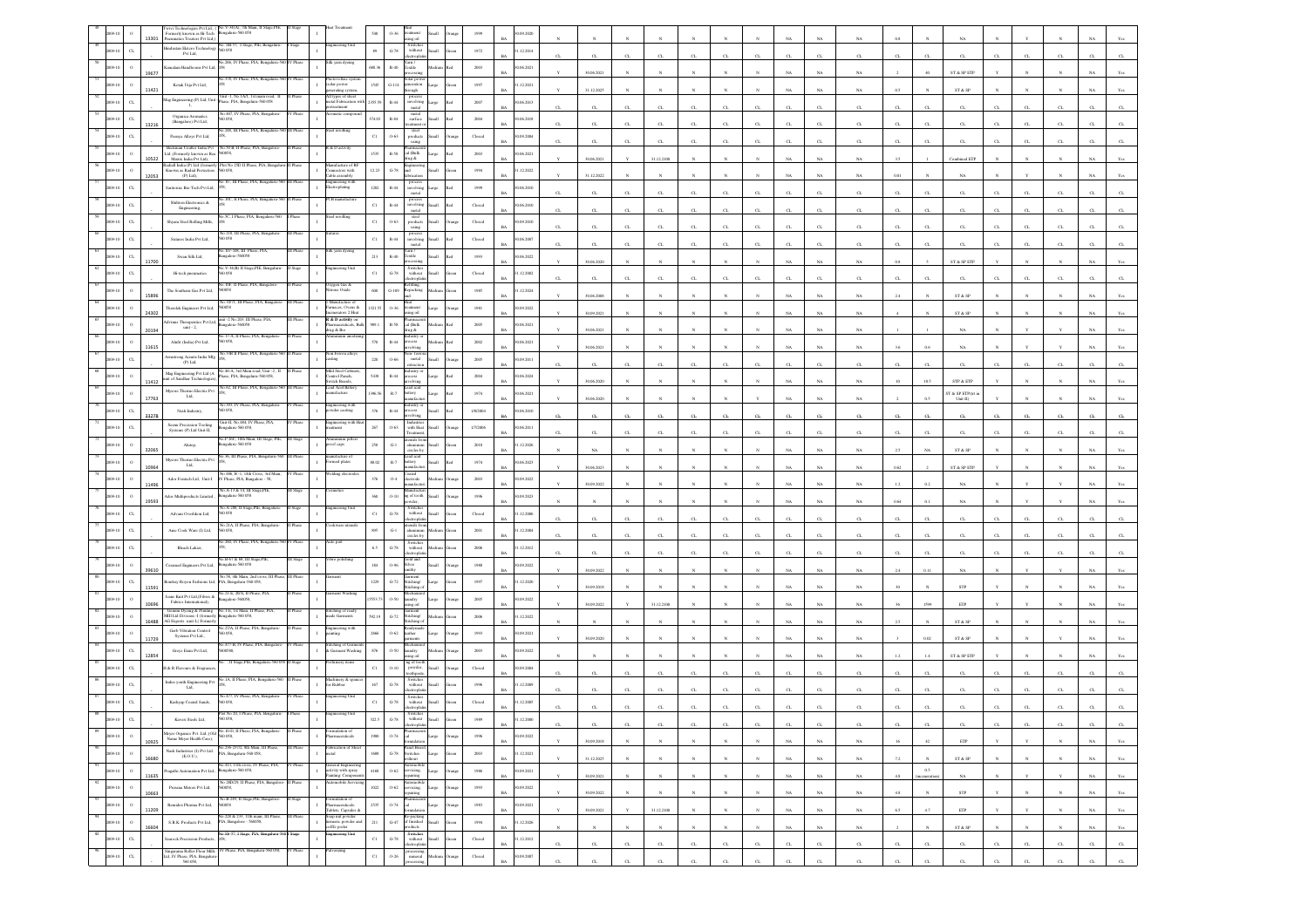|                  | 13301                | cemerly known as H-Tech Bengaluru-560 058<br>matics Treaters Pvt Ltd,)                | rivi Technologies Pyt Ltd., (No.V-34(A), 7th Main, II Stan                                                |            |                                                                                  |              |                                          |                                                                                                      |                |                         | 09.202                  |                  |             |                       |              |              |              |                       |                       |             |                       |                  |              |                                                                |             |              |              |             |                                  |
|------------------|----------------------|---------------------------------------------------------------------------------------|-----------------------------------------------------------------------------------------------------------|------------|----------------------------------------------------------------------------------|--------------|------------------------------------------|------------------------------------------------------------------------------------------------------|----------------|-------------------------|-------------------------|------------------|-------------|-----------------------|--------------|--------------|--------------|-----------------------|-----------------------|-------------|-----------------------|------------------|--------------|----------------------------------------------------------------|-------------|--------------|--------------|-------------|----------------------------------|
|                  | $\alpha$             | industan Eletero Technology<br>Pvt Ltd.                                               | No. SB-57, I Stage, PIE, Bengaluru-                                                                       |            | cering Us                                                                        | $\bf 89$     | $\mbox{G-78}$                            | Switcher<br>$% \left\vert \left( \mathbf{1}_{\mathbf{1}}\right) \right\rangle$ without<br>ectropha   | Small          | $1972\,$                | .12.2014                |                  |             |                       |              |              |              |                       |                       | C1          | Œ.                    |                  |              |                                                                |             |              |              |             |                                  |
|                  | $\circ$              | amalam Handlooms Pvt Ltd.                                                             |                                                                                                           |            | : yarn dyein                                                                     | 688.36       | $R-40$                                   | Textile                                                                                              |                | 2003                    | 06.2021                 |                  |             |                       |              |              |              |                       |                       |             |                       |                  |              |                                                                |             |              |              |             |                                  |
|                  | 19677                | Kotak Urja Pvt Ltd,                                                                   | 0.378, IV Phase, PIA, Bengaluru-5                                                                         |            | tovoltaic s<br>solar power<br>enerating sys                                      | 1545         | $\textrm{G-114}$                         | olar pos<br>eration<br>ugh                                                                           |                | 1997                    | .12.2021                |                  | 30.06.2021  |                       |              |              |              |                       |                       | <b>NA</b>   | NA                    |                  |              | ST & SP ETF                                                    |             |              |              |             |                                  |
|                  | 11421                | lag Engineering (P) Ltd, Unit                                                         | Unit -1, No.1A/1, 1st main road, 11<br>ase, PIA, Bengalaru-560 058                                        |            | All types of sheet<br>netal Fabrication with                                     | 2355.59      | $\mathbb{R}\text{-}44$                   | process<br>involving                                                                                 |                | 2007                    | 0.6.2013                |                  | 31.12.2025  |                       |              |              |              |                       |                       | NA          | $_{\rm NA}$           | 0.5              |              | ST & SP                                                        |             |              |              |             |                                  |
|                  |                      | $\mathbf{L}$<br>Organica Aromatics                                                    | o.407, IV Phase, PIA, Bengaluru<br>0.058,                                                                 | Phas       | reatment                                                                         |              | $R-84$                                   | metal<br>metal<br>surface                                                                            |                |                         |                         | $\sigma$         | CL          | C1                    | C1           | CL.          | CL.          |                       |                       | C1          | Œ.                    | $\sigma$         |              | C1                                                             |             |              |              |             |                                  |
|                  | $_{\rm CL}$<br>13216 | (Bangalore) Pvt Ltd,                                                                  | o.248, III Phase, PIA, Bengaluru-560 III Phase                                                            |            | cel rerolling                                                                    | 374.03       |                                          | steel                                                                                                |                | 2004                    | 0.6.2018                |                  | $_{\rm CL}$ | $\alpha$              | $\alpha$     | $\alpha$     | $\alpha$     |                       |                       | C1          | α                     | $\sigma$         |              | C1                                                             |             |              |              |             |                                  |
|                  | $_{\rm C1}$          | Peenya Alloys Pvt Ltd,<br>Beckman Coulter India Pvt                                   | No.50 B, II Phase, PIA, Bangal                                                                            |            | & D activity                                                                     | $_{\rm C1}$  | $0 - 63$                                 | products<br>using                                                                                    |                | $\operatorname{Closed}$ | 09.2004                 | $\sigma$         | $_{\rm CL}$ | C1                    | CL.          | $\alpha$     | CL           |                       |                       | CL          | α.                    | $\sigma$         |              | $_{\rm CL}$                                                    |             |              |              |             |                                  |
|                  | 10522                | Ltd.,(Formerly known as Rea<br>Matrix India Pvt Ltd).<br>adiall India (P) Ltd (former | 0058,<br>% No 25D II 1                                                                                    |            | facture o                                                                        | 1535         | $R-S8$                                   | cal (Balk<br>A ganl                                                                                  |                | 2003                    | 0.06.2021               |                  | 30.06.2021  |                       | 31.12.2100   |              |              |                       |                       | NA          | NA.                   |                  |              | <b>Combined ET</b>                                             |             |              |              |             |                                  |
|                  | $\circ$<br>12053     | Known as Radial Protection<br>$(P)$ Ltd),                                             | 560 058,                                                                                                  |            | mectors with<br>lable assembly                                                   | 12.23        | $G-78$                                   |                                                                                                      | llum           | 1994                    | .12.2022                |                  | 31.12.2022  |                       |              |              |              |                       |                       | NA          | NA                    |                  |              |                                                                |             |              |              |             |                                  |
|                  | $\alpha$             | Saritorius Bio-Tech Pvt Ltd,                                                          | o 10, III Phase, PIA, Bengaluru-560 III Phase                                                             |            | ring with<br>roplating                                                           | $1202\,$     | $\mathbb{R}\text{-}44$                   | process<br>involving<br>metal                                                                        | Large          | 1999                    | 1.06.2010               | $\sigma$         | $_{\rm CL}$ | C1                    | CL.          | $\alpha$     | $\alpha$     |                       |                       | C1          | α.                    | $\sigma$         |              | C1                                                             |             |              |              |             |                                  |
|                  | $\alpha$             | Shiltron Electronics &<br>Engineering,                                                | IOC, II Phase, PIA, Bo                                                                                    |            |                                                                                  | $_{\rm Cl}$  | $R-44$                                   | proces<br>involving<br>metal                                                                         | Iliami         | Closed                  | 0.06.2010               |                  | CL          | CL                    | CL.          | CL.          | CL.          |                       |                       | $\alpha$    | $\alpha$              | $\sigma$         |              | $\alpha$                                                       |             |              |              |             |                                  |
|                  | $_{\rm CL}$          | Shyam Steel Rolling Mills,                                                            | 5C, I Phase, PIA, Ben                                                                                     |            |                                                                                  | $_{\rm C1}$  | $0 - 63$                                 | steel<br>$\begin{array}{c}\n m_{\rm eff} \\  \hline\n \text{weights} \\  \text{using}\n \end{array}$ | <b>Ilumi</b>   | Closed                  | 0.09.2010               | $\sigma$         | $_{\rm CL}$ | $\alpha$              | $\alpha$     | $\alpha$     | $\alpha$     |                       |                       | C1          | $\alpha$              | $\sigma$         |              | C1                                                             |             |              |              |             |                                  |
|                  | $\alpha$             | Sutures India $\mbox{Pvt}\,\mbox{Lid},$                                               | io.118, III Phase, PIA, Beng                                                                              |            |                                                                                  | $_{\rm Cl}$  | $_{\rm R-44}$                            | involving<br>metal                                                                                   |                | $\operatorname{Closed}$ | 1.06.2007               | $\sigma$         | CL          | CL                    | CL.          | CL.          | CL           |                       |                       | CL          | CL.                   | $\sigma$         | $\alpha$     | C1                                                             |             | $\alpha$     |              |             |                                  |
|                  | $C$ L<br>11700       | Swan Silk Ltd,                                                                        | 107-108, III Pha<br>sgalore-560058                                                                        |            | k yarn dyei                                                                      | 213          | $R-40$                                   | Textile                                                                                              |                | 1993                    | 0.06.2022               |                  | 30.06.2020  |                       |              |              |              |                       |                       | NA          | NA.                   | 0s               |              | ST & SP ETF                                                    |             |              |              |             |                                  |
|                  |                      | Hi-tech pneumatics                                                                    | Vo.V-34(B) II Stage, PIE, Bengalar<br>60058                                                               |            | neering Unit                                                                     | $_{\rm C1}$  | $G-78$                                   | Switcher<br>without                                                                                  |                | $\operatorname{Closed}$ | .12.2002                |                  |             |                       |              |              |              |                       |                       |             |                       |                  |              |                                                                |             |              |              |             |                                  |
|                  |                      | The Southern Gas Pvt Ltd,                                                             | 10F. Il Phase, PIA, E<br>60058                                                                            |            | ten Gas &<br>ous Oxide                                                           | 600          | $G-109$                                  | lepacking                                                                                            |                | 1985                    | .12.2024                | $\sigma$         | CL          |                       |              |              |              |                       |                       | $_{\rm CL}$ | G.                    |                  | $\alpha$     | C1                                                             |             |              |              |             |                                  |
|                  |                      | Therelek Engineers Pvt Ltd,                                                           | 40.70/71, III Phase, PIA, Bangalore<br>0058                                                               | III Phase  | Manufacture of<br>rnaces, Ovens &                                                | 1321.53      | 0.36                                     | šcat<br>catment                                                                                      |                | $1981\,$                | 0.09.2022               |                  | 30.06.2008  |                       |              |              |              |                       |                       | NA          | NA                    |                  |              | ST & SP                                                        |             |              |              |             |                                  |
|                  | 24302                | dvinus Therapeutics Pvt Ltd,                                                          | mit -2 No.203, III Phase, PIA,<br>ngalore-560058                                                          | II Phase   | inerators 2. Heat<br>R & D activity on<br>maceuticals, Bulk                      |              | $\mathbb{R}\text{-}\mathbb{S}\mathbb{S}$ | lio sni<br>cal (Balk                                                                                 |                |                         |                         |                  | 30.09.2021  |                       |              |              |              |                       |                       | NA          | NA                    |                  |              | ST & SP                                                        |             |              |              |             |                                  |
|                  | 20194                | unit - 2,                                                                             | .17-A, II Phase, PIA, Benga                                                                               |            | hug & Bio                                                                        | 909.1        |                                          | rug &                                                                                                |                | 2005                    | 06.2021                 |                  | 30.06.2021  |                       |              |              |              |                       |                       | NA          | NA                    |                  |              | $_{\rm NA}$                                                    |             |              |              |             |                                  |
|                  | 11615                | Alufit (India) Pvt Ltd,<br>smstrong Acmite India Mfg                                  | 058<br>33B II Phase, PIA, Ben                                                                             |            | on Ferrou all                                                                    | 570          | $R-44$                                   | xess<br>olving                                                                                       |                | 2002                    | 0.6.2021<br><b>BA</b>   |                  | 30.06.2021  |                       |              |              |              |                       | NA                    | $_{\rm NA}$ | NA                    | 3.6              | 0.6          | $_{\rm NA}$                                                    |             |              |              |             |                                  |
|                  | $\alpha$             | $(P)$ Ltd,                                                                            | o.46-A, 3rd Main road, Unit -2, II                                                                        |            | zing<br>ald Steel Cabin                                                          | 220          | 0.66                                     | metal<br>xtraction<br>dustry.                                                                        |                | 2005                    | 0.09.2011               |                  | $_{\rm CL}$ | C1                    | $\alpha$     | $_{\rm CI}$  | $\alpha$     |                       |                       | $\alpha$    | α.                    |                  |              | $_{\rm GL}$                                                    |             |              |              |             |                                  |
|                  | 11412                | Mag Engineering Pvt Ltd (A<br>unit of Sandhar Technologies)                           | ase, PIA, Bengaluru-560 058,<br>0.62, III Phase, PIA, Bengalu                                             |            | control Panels,<br>witch Boards<br>ad Acid Bat                                   | $54\bar{3}8$ | $R-44$                                   |                                                                                                      |                | $2004\,$                | 0.06, 2024              |                  | 30.06.2020  |                       |              |              |              |                       |                       | NA          | NA                    |                  | 10.5         | ${\rm STP}$ & ${\rm ETP}$                                      |             |              |              |             |                                  |
|                  | 17763                | Mysore Thermo Electric Pvt<br>Lad.                                                    | 393, IV Phase, PIA,                                                                                       |            | ufacture                                                                         | 396.5        | $\mathbb{R}.7$                           | ad acid<br>ttery<br>ufac                                                                             | arge           | 1974                    | 0.6.2021                |                  | 30.06.2020  |                       |              |              |              |                       |                       | NA          | NA                    |                  |              | ST & SP ETP(trt is<br>$Unit-II)$                               |             |              |              |             |                                  |
|                  | $\alpha$<br>33278    | Nash Industry,                                                                        | 0058                                                                                                      |            | ring wit<br>wder caoting                                                         | 376          | $R-44$                                   | cess                                                                                                 |                | 1/8/2004                | 0.06.2010               |                  | $_{\rm CL}$ | CL                    | $\alpha$     | $\alpha$     | $\alpha$     |                       |                       |             | α.                    |                  |              | $_{\rm GL}$                                                    |             |              |              |             |                                  |
|                  |                      | Seenu Precission Tooling<br>Systems (P) Ltd Unit-II.                                  | Unit-II, No.484, IV Phase, PIA,<br>galaru-560 058,                                                        |            | ingineering with<br>reatment                                                     | 267          | $0.63\,$                                 | Industri<br>with Heat<br>catmen                                                                      |                | 1/7/2006                | 1.06.2011               |                  | CL          | CL                    | C1           | CL           | $\alpha$     |                       |                       | C1          | CL.                   | $\sigma$         | $\alpha$     | C1                                                             |             |              |              |             |                                  |
|                  | 32065                | Alutop,                                                                               | o.P 26C, 10th Main, I<br>ngalaru-560 058                                                                  |            | roof caps                                                                        | 258          | $\mathbf{G}\text{-}1$                    | sluminum<br>ircles by                                                                                | Ham            | 2010                    | .12.2026<br>RA          |                  | NA          |                       |              |              |              |                       |                       | <b>NA</b>   | NA                    | 2.5              | NA           | ST & SP                                                        |             |              |              |             |                                  |
|                  | 10964                | Mysore Thermo Electric Pvt<br>$\rm{Lid}_*$                                            | No.36, III Phase, PIA, Bengaluru-56                                                                       |            | ufacture o<br>med plates                                                         | 88.02        | $\mathbb{R}\text{-}7$                    | cad acid<br>ttery<br>mufac                                                                           |                | $1974\,$                | 06.2023                 |                  | 30.06.2023  |                       |              |              |              |                       |                       | NA          | $_{\rm NA}$           | 0.62             |              | $\operatorname{ST}$ & $\operatorname{SP}$ $\operatorname{ETP}$ |             |              |              |             |                                  |
|                  |                      | Ador Fontech Ltd, Unit-I                                                              | No.486, B -1, 14th Cross, 3ed Mai<br>IV Phase, PIA, Bangalore - 58,                                       |            | litez dec                                                                        | 376          | $0\text{--}4$                            | tota<br>ctrode                                                                                       |                | $2003\,$                | 0.09.2022               |                  |             |                       |              |              |              |                       |                       |             |                       |                  |              |                                                                |             |              |              |             |                                  |
|                  |                      | Ador Multiproducts Limited.,                                                          | No.A-13 & 14, III Stage,PIE,<br>engalaru-560 058                                                          |            |                                                                                  | 360          | $O-10$                                   | sufact<br>nufact<br>ag of tooth                                                                      |                | 1996                    | 0.9.2023                |                  | 30.09.2022  |                       |              |              |              |                       |                       | NA          | NA                    |                  |              |                                                                |             |              |              |             |                                  |
|                  | 19593                | Advani Overlikon Ltd,                                                                 | io.A-288, Il Stage,PIE, Bengal<br>50 058                                                                  |            | eering U                                                                         | $_{\rm C1}$  | $\mbox{G-}78$                            | vder<br>Switche<br>$% \left\vert \left( \mathbf{1}_{\mathbf{1}}\right) \right\rangle$ without        |                | Closed                  | .12.2006                |                  |             |                       |              |              |              |                       |                       | $_{\rm NA}$ | $_{\rm NA}$           | 0.64             |              | NA                                                             |             |              |              |             |                                  |
|                  |                      | Ame Cook Ware (I) Ltd,                                                                | 40.21A, II Phase, PIA, Bengaluri<br>D 058,                                                                |            | ikware ut                                                                        | 895          | $\operatorname{G-1}$                     |                                                                                                      |                | $2001\,$                | .12.2004                | $\sigma$         | CL          | C1                    | CL.          | $_{\rm CI}$  | $\alpha$     |                       |                       | C1          | α.                    | $\alpha$         |              | C1                                                             |             |              |              |             |                                  |
|                  | $C_{L}$              | Bleach Lakier,                                                                        | 260, IV Phase, PIA, Bengaluru-                                                                            | V Phas     | o par                                                                            | 6.5          | $G-78$                                   | ircles by<br>Switcher<br>without                                                                     |                | 2006                    | .12.2012                | $\sigma$         | CL          | CL                    | C1           | C1           | CL.          |                       |                       | C1          | Œ.                    | $\sigma$         |              | C1                                                             |             |              |              |             |                                  |
|                  |                      |                                                                                       | Vo.B-67 & 68, III Stage,PIE<br>ngaluru-560 058                                                            |            | ro polishi                                                                       | $184\,$      | 0.96                                     | iold and<br>ilver                                                                                    |                | 1988                    | 1.09.2022               |                  | $_{\rm CL}$ | C1                    | $\alpha$     | $\alpha$     | $\alpha$     |                       |                       | $\alpha$    | $\alpha$              | $\alpha$         |              | C1                                                             |             |              |              |             |                                  |
|                  | 39610                | Ceramed Engineers Pvt Ltd,                                                            | No.58, 4th Main, 2nd cros                                                                                 |            |                                                                                  |              |                                          | 3arment<br>Stitching/                                                                                |                |                         |                         |                  | 30.09.2022  |                       |              |              |              |                       |                       | $_{\rm NA}$ | $_{\rm NA}$           |                  | 0.11         | $_{\rm NA}$                                                    |             |              |              |             |                                  |
|                  | $\alpha$<br>11591    | cenbay Royon Fashions Ltd. PIA, Bengaluru-560 058<br>cans Knit Pvt Ltd, (Fibres &     | 46.21-E, 20/A, II Phase,                                                                                  |            |                                                                                  | 1229         | $G-72$                                   | titching c                                                                                           |                | 1997                    | 1.12.2020               |                  | 30.09.2018  |                       |              |              |              |                       |                       | NA          | NA                    |                  |              | <b>STP</b>                                                     |             |              |              |             |                                  |
|                  | 10696                | Fabrics International),                                                               | Bangalore-560058,<br>No.1-E, 1st Main, II Phase, PIA                                                      |            |                                                                                  | 5553.7       | 0.50                                     | andry.                                                                                               |                | 2005                    | 0.09.2022               |                  | 30.09.2022  |                       | 31.12.2100   |              |              |                       |                       | NA          | $_{\rm NA}$           |                  | 1599         | ETP                                                            |             |              |              |             |                                  |
|                  | 16488                | Gemini Dyeing & Printing<br>IIII Ltd Division -I (formerly<br>G Exports unit-L(Form   | ngaluru-560 058,<br>o.27/A, II Phase, PIA,                                                                |            | titching of read<br>rade Garments<br>1gineering ·                                | 992.19       | $_{\mathrm{G-72}}$                       | titching/<br>ching                                                                                   |                | 2006                    | .12.2022                |                  |             |                       |              |              |              |                       |                       | NA          | NA                    |                  |              | ST & SP                                                        |             |              |              |             |                                  |
|                  |                      | Gerb Vibration Control<br>Systems Pvt Ltd.,                                           | D OS8,<br>io.477-B, IV Phase, PIA, Bangal                                                                 |            | snin                                                                             | 2666         | $O-62$                                   | ather                                                                                                |                | 1993                    | 0.09.2021               |                  | 30.09.2020  |                       |              |              |              |                       |                       |             |                       |                  | 0.02         | ST & SP                                                        |             |              |              |             |                                  |
|                  | $\alpha$<br>12854    | Greys Exim Pvt Ltd,                                                                   | cosss.                                                                                                    |            | ititching of Garment<br>k Garment Washing                                        | 876          | $0-50\,$                                 | undry<br>ing oil                                                                                     |                | $200\mathrm{3}$         | 1.09.2022               |                  |             |                       |              |              |              |                       |                       | NA          | NA                    |                  |              | $\operatorname{ST}$ & $\operatorname{SP}$ $\operatorname{ETP}$ |             |              |              |             |                                  |
|                  |                      | 4 & R Flavours & Fregrand                                                             | . Il State PII                                                                                            |            |                                                                                  | $_{\rm C1}$  | $0-10\,$                                 | powder.                                                                                              |                | $\operatorname{Closed}$ | 1.09.2004               | $\sigma$         | CL.         |                       |              | CL           | CL           |                       |                       | C1          | а.                    |                  |              | C1                                                             |             |              |              |             |                                  |
|                  | $\alpha$             | ndus youth Engineering Pvt<br>Ltd.                                                    | o.1A, II Phase, PIA, Beng                                                                                 |            | dachinery & spa<br>or Rabber                                                     | 167          | $G-78$                                   | Switcher<br>without                                                                                  |                | 1996                    | 1.12.2009               |                  |             |                       |              |              |              |                       |                       |             |                       |                  |              |                                                                |             |              |              |             |                                  |
|                  | $\sigma$             | Kashyap Coated Sands,                                                                 | io.477, IV Phase, PIA,<br>0.058                                                                           | / Phase    | teering Uni                                                                      | $_{\rm C1}$  | $G-78$                                   | Switche<br>$% \left\vert \left( \mathbf{1}_{\mathbf{1}}\right) \right\rangle$ without                |                | $\operatorname{Closed}$ | .12.2005                |                  |             |                       |              |              |              |                       |                       |             |                       |                  |              |                                                                |             |              |              |             |                                  |
|                  |                      | Kaveri Steels Ltd,                                                                    |                                                                                                           |            |                                                                                  | 322.5        | $G-78$                                   | withou                                                                                               |                |                         | 12.2000<br><b>BA</b>    |                  | CL.         |                       |              |              |              |                       |                       |             |                       |                  |              |                                                                |             |              |              |             | <b>CL</b>                        |
| 89<br>009-10     | $\circ$              | Name Meyer Health Care),                                                              | Meyer Organics Pvt. Ltd.,(Old No.10-D, II Phase, PIA, Bengaluru-                                          | Phase      | ulation of<br>armaceuticals                                                      | $1900\,$     | 0.74                                     | cal<br>.<br>ormalati                                                                                 | Large          | 1996                    | 90.09.2022<br>RA        |                  |             | $\boldsymbol{\kappa}$ |              | $\mathbf{N}$ |              | $\mathbf{N}$          |                       |             |                       |                  |              |                                                                |             |              |              |             |                                  |
| 90<br>009-10     | 10925<br>$\,$ 0      | Nash Industries (I) Pvt Ltd.<br>(E.O.U.)                                              | No.236-237/2, 8th Main, III Phase,<br>PIA, Bengaluru-560 058,                                             | III Phase  | abrication of Sher<br>etal                                                       | $1688\,$     |                                          | Panel Board,<br>$$\rm{G-78}$$ $$\rm{S}$ witches                                                      | Large          | 2003                    | 1.12.2021               |                  | 30.09.2018  |                       | $\mathbf{N}$ |              | $\mathbf{v}$ |                       | $_{\rm NA}$           | $_{\rm NA}$ | $_{\rm NA}$           | 16               | 42           | $\ensuremath{\mathrm{ETP}}$                                    |             | $\mathbf{v}$ | $\mathbf{N}$ | $_{\rm NA}$ | $\mathbf{Y}\mathbf{c}\mathbf{s}$ |
| 91<br>009-10     | 16680<br>$\,$ o      |                                                                                       | .<br>No.413, 11th cross, IV Phase, PIA, Pragathi Automation Pvt LtL, Bengaluru-560 058,                   |            | General Engineering<br>activity with spray                                       | $4168\,$     | $0 - 62$                                 | vithout<br>servicing.                                                                                | Large<br>trang | 1986                    | <b>BA</b><br>0.09.2021  |                  | 31.12.2025  |                       |              |              |              |                       | $_{\rm NA}$           | $_{\rm NA}$ | $_{\rm NA}$           | $7.2\,$          | $\rm 0.5$    | $\text{ST} \ \& \ \text{SP}$                                   |             |              |              | $_{\rm NA}$ | $\mathbf{Yes}$                   |
| $-92$<br>2009-10 | 11635<br>$\,$ 0      | Prerana Motors Pvt Ltd,                                                               | No 28D/29, Il Phase, PIA, Bangalon<br>560058,                                                             | .<br>Tháoc | Painting: Compone<br>nobile Ser                                                  | $1022\,$     | $O-62$                                   | epairing                                                                                             | Large          | 1993                    | <b>BA</b><br>30.09.2022 |                  | 30.09.2021  | $_{\rm N}$            | $\mathbf{N}$ | $_{\rm N}$   | $_{\rm N}$   | $\mathbf{N}$          | NA                    | NA          | NA                    | 4.8              |              | NA                                                             |             | v            | $\mathbf{v}$ | NA          | Yes                              |
| 93<br>09-10      | 10663<br>$\alpha$    | Remidex Pharma Pvt Ltd,                                                               | No.B-249, II Stage, PIE, Bangalore-<br>560058                                                             | II Stage   | To noitalamy                                                                     | 2535         |                                          | servicing,<br>repairing<br>cal                                                                       |                |                         | <b>BA</b>               |                  | 30.09.2022  | $\mathbf{N}$          | $\mathbb{N}$ | $\mathbf{N}$ | $\mathbf{N}$ | $\mathbf{N}$          | $_{\rm NA}$           | $_{\rm NA}$ | $_{\rm NA}$           | $4.8\,$          | $\mathbf{N}$ | ${\tt STP}$                                                    |             | $\mathbb{N}$ | $_{\rm N}$   | $_{\rm NA}$ | $\mathbf{Y}\mathbf{c}\mathbf{s}$ |
| 94               | 11209                |                                                                                       | .<br>S.R.K. Products Pvt Ltd. PIA, Bangalore - 560058,                                                    | II Phas    | Pharmaceuticals:<br>Tablets, Capsules &<br>ioap nut powder<br>urmeric powder and |              | 0.74                                     | Re-packing<br>of finished                                                                            | Large          | $1983\,$                | 0.09.2021<br><b>BA</b>  |                  | 30.09.2021  |                       | 31.12.2100   | $\mathbf{N}$ |              |                       | $_{\rm NA}$           | $_{\rm NA}$ | NA                    | 6.5              | $4.7\,$      | $_{\rm{ETP}}$                                                  |             |              |              | $_{\rm NA}$ | Yes                              |
| 009-10<br>95     | $\,$ $\,$<br>16604   |                                                                                       | No.Sb-57, I Stage, PIA, Bengaluru-560   Stage                                                             |            | offfe poder<br>gineering Unit                                                    | 211          | $_{\mathrm{G-47}}$                       | studes                                                                                               | Small          | 1994                    | 1.12.2026<br><b>BA</b>  |                  | $_{\rm N}$  | $\mathbf{N}$          | $\mathbf{N}$ | $\mathbf{N}$ | $\mathbf{v}$ | $\mathbf{N}$          | NA                    | NA          | NA                    |                  |              | ST & SP                                                        |             | $\mathbf{N}$ |              | NA          | Yes                              |
| 009-10           | $_{\rm{CL}}$         | earock Precission Products,                                                           |                                                                                                           | IV Phase   | lverizing                                                                        | $_{\rm Cl}$  | $\operatorname{G-78}$                    | Switches<br>without<br>electroplatin                                                                 | Small          | Closed                  | 1.12.2012<br>B          | $_{\mathrm{CL}}$ | $_{\rm CL}$ | $_{\rm CL}$           | $_{\rm CL}$  | $_{\rm CL}$  | $_{\rm CL}$  | $_{\mbox{\tiny{CL}}}$ | $_{\mbox{\tiny{CL}}}$ | $_{\rm CL}$ | $_{\mbox{\tiny{CL}}}$ | $_{\mathrm{CL}}$ | $_{\rm CL}$  | $_{\rm{CL}}$                                                   | $_{\rm CL}$ | $_{\rm CL}$  | $_{\rm CL}$  | $_{\rm CL}$ | $_{\mathrm{CL}}$                 |
|                  | $_{\rm{CL}}$         |                                                                                       | Singarama Roller Flour Mills IV Phase, PIA, Bengaluru-560 058, Ltd, IV Phase, PIA, Bengaluru- $560\,058,$ |            |                                                                                  | $_{\rm{Cl}}$ | $0 - 26$                                 | processing<br>mineral                                                                                |                | ${\it Closed}$          | 1.09.2007<br><b>BA</b>  | $\sigma$         | CL          | CL                    | CL.          | $_{\rm CL}$  | CL           | $\alpha$              | $\alpha$              | C1          | $_{\rm{CL}}$          | α.               | $C_{L}$      | $\alpha$                                                       | $C$ L       | CL           | $C$ L        | CL.         | ${\rm CL}$                       |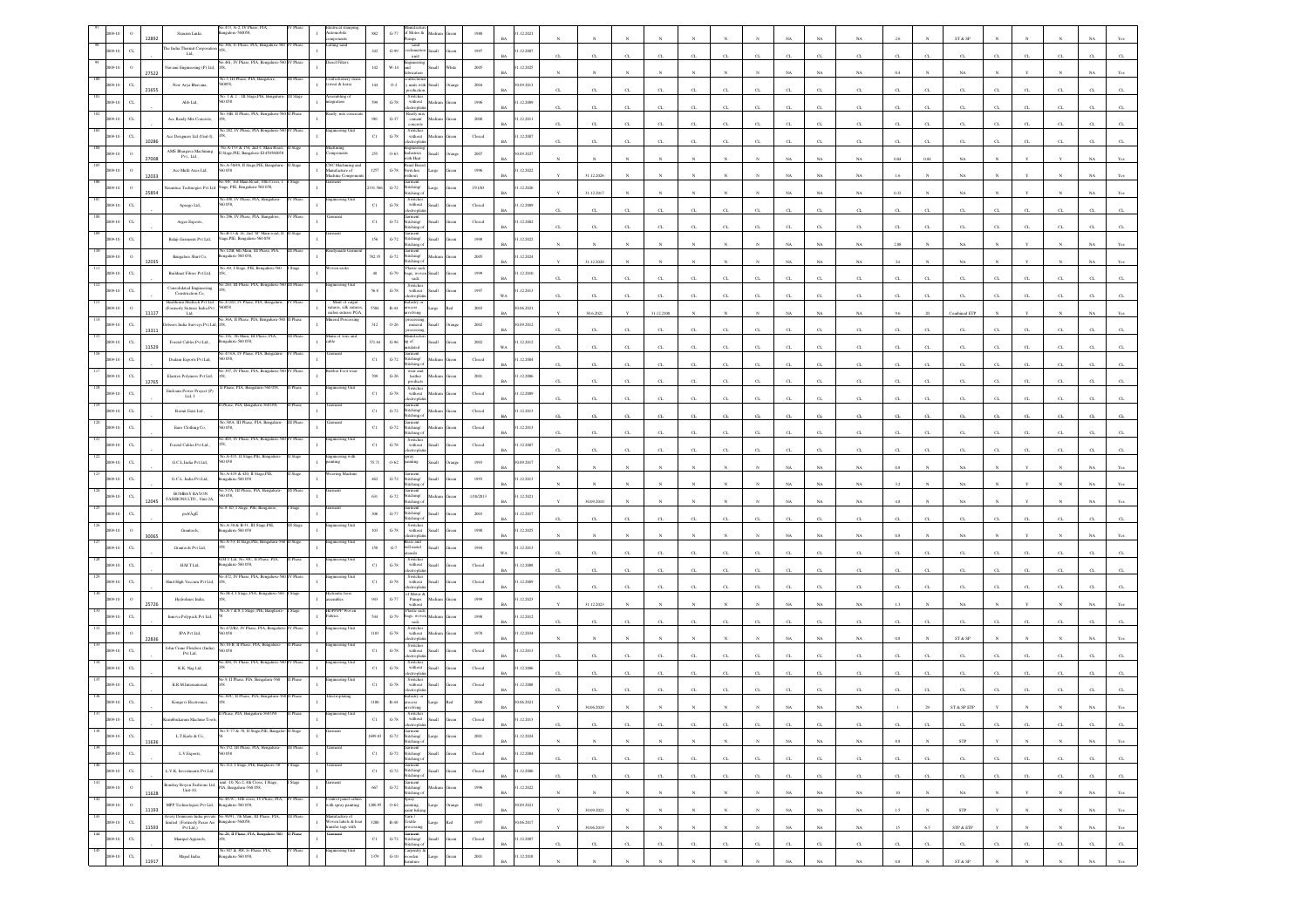|                |                                      | Stanzen Links,                                                    | No.473, A-2, IV Phase, PIA<br>ngalore-560058,                                                                                                            |           |                                                               | 882          | $G - 77$                           | of Motor &                                                                             |                 |                                                     | 12.202                   |                  |              |              |              |              |                       |                       |                       |             |               |                       |              | ST & S       |             |              |              |             |                  |
|----------------|--------------------------------------|-------------------------------------------------------------------|----------------------------------------------------------------------------------------------------------------------------------------------------------|-----------|---------------------------------------------------------------|--------------|------------------------------------|----------------------------------------------------------------------------------------|-----------------|-----------------------------------------------------|--------------------------|------------------|--------------|--------------|--------------|--------------|-----------------------|-----------------------|-----------------------|-------------|---------------|-----------------------|--------------|--------------|-------------|--------------|--------------|-------------|------------------|
|                |                                      | te India Thermit Corporation<br>Lad,                              | No.366, Iv Phase, PIA, Bengaluru-56                                                                                                                      | V Phase   |                                                               | $\bf 242$    | $G-99$                             | sand<br>eclamation                                                                     |                 | 1997                                                | .12.2007                 |                  |              |              |              |              |                       |                       |                       |             |               |                       |              |              |             |              |              |             |                  |
|                |                                      | lavami Engineering (P) Ltd,                                       |                                                                                                                                                          |           |                                                               | $142\,$      | W-14                               | unit                                                                                   |                 | 2005                                                | .12.2025                 |                  |              |              |              |              |                       |                       |                       | C1          |               |                       |              |              |             |              |              |             |                  |
|                | 27522                                |                                                                   | 40.3, III Phase, PIA, Ban<br>0058,                                                                                                                       |           |                                                               |              |                                    |                                                                                        |                 |                                                     |                          |                  |              |              |              |              |                       |                       |                       | <b>NA</b>   | NA            |                       |              | NA.          |             |              |              |             |                  |
|                | 21655                                | New Arya Bhavana,                                                 | io. 1 & 2 . III State PIE. Benzi                                                                                                                         |           | weet & kara)<br>nblinz                                        | $144\,$      | $0\mbox{-}2$                       | units with<br>Switches<br>without                                                      |                 | 2004                                                | 09.2013                  | $\sigma$         | CL.          |              | CL.          | $\alpha$     | CL                    | α                     |                       | C1          | α.            | $\sigma$              | $\alpha$     | C1           |             |              |              |             |                  |
|                |                                      | Abb Ltd,                                                          | D 058<br>o.34B, II Phase, PIA, Bengaluru-                                                                                                                |           | tegration<br>dy mix es                                        | 599          | $\operatorname{G-78}$              | ctroph<br>Ready mi                                                                     |                 | 1996                                                | .12.2009                 | $\sigma$         | CL           | C1           | C1           | CL.          | CL                    |                       |                       | C1          | Œ.            | $\sigma$              |              | $\alpha$     |             |              |              |             |                  |
|                |                                      | Acc Ready Mix Concrete,                                           | 40.282. IV Phase. PIA Bengaluru-560 IV Phase                                                                                                             |           |                                                               | 981          | $G-37$                             | cement                                                                                 |                 | 2000                                                | .12.2011                 |                  | CL           | C1           |              | $_{\rm C1}$  | $\alpha$              |                       |                       | $\alpha$    | α.            | $\sigma$              |              | C1           |             |              |              |             |                  |
|                | 10286                                | Ace Designers Ltd (Unit-I),                                       |                                                                                                                                                          |           | gineering Uni                                                 | $_{\rm C1}$  | $\mbox{G-}78$                      | Switches<br>without<br>ctroph                                                          |                 | $\operatorname{Closed}$                             | .12.2007                 | $\sigma$         | CL           | C1           | $\alpha$     | $\alpha$     | $\alpha$              |                       |                       | $_{\rm CL}$ | $\alpha$      | $\alpha$              |              | CL           |             |              |              |             |                  |
|                | 27008                                | $\,$ AMS Bhargava Machining Pvt., Ltd.,                           | ∛o.A-153 & 154, 2nd C Main Road<br>Stage, PIE, Bangalore-E145056005                                                                                      | Stage     | hining                                                        | 255          | $0 - 63$                           | stries<br>vith Heat                                                                    |                 | 2007                                                | 0.09.2027                |                  |              |              |              |              |                       |                       |                       | NA          | NA            | 0 <sub>m</sub>        | 0.84         |              |             |              |              |             |                  |
|                |                                      | Ace Malti Axes Ltd,                                               | o.A-50/49, II Stage,PIE, Bengal<br>560 058                                                                                                               |           | NC Machining<br>Manufacture of<br>Machine Compo               | $1257\,$     | $G-78$                             | anel Boa<br><b>Switches</b><br>ithout                                                  | Large           | 1996                                                | 1.12.2022                |                  | 31.12.2026   |              |              |              |                       |                       |                       | NA          | NA            |                       |              |              |             |              |              |             |                  |
|                | 12033                                |                                                                   | No.9/F, 3rd Main Road, 10th Cross,<br>umtica Technogies Pvt Ltd Stage, PIE, Bengaluru-560 058,                                                           |           |                                                               | 331.56       | $_{\mathrm{G-72}}$                 | stitching/<br>Stitching c                                                              | Large           | 15/1/03                                             | .12.2026                 |                  |              |              |              |              |                       |                       |                       |             |               |                       |              |              |             |              |              |             |                  |
|                | 25854<br>$\alpha$                    | Apeego Ltd,                                                       | 1498, IV Phase, PIA, Bengalur<br>D 058,                                                                                                                  |           | gineering Un                                                  | $_{\rm Cl}$  | $G-78$                             | without                                                                                |                 | Closed                                              | 1.12.2009                |                  | 31.12.2017   |              |              |              |                       |                       |                       | NA          | $_{\rm NA}$   | 0.32                  |              | $_{\rm NA}$  |             |              |              |             |                  |
|                | CL                                   |                                                                   | 296, IV Phase, PIA, Bangalore,                                                                                                                           |           |                                                               | $_{\rm C1}$  | $\mbox{G-}72$                      | monte<br>nent                                                                          | <b>Hat</b>      | Closed                                              | 1.12.2002                |                  | CL           | CL           | CL.          | CL           | $\alpha$              |                       |                       | $\alpha$    | $\alpha$      | $\sigma$              |              | C1           |             |              |              |             |                  |
|                |                                      | Argee Exports,                                                    | No.B-13 & 14, 2nd "B" Main road,<br>Stage,PIE, Bengaluru-560 058                                                                                         |           |                                                               |              |                                    | Stitching/<br>Stitching c                                                              |                 |                                                     |                          | $\alpha$         | $_{\rm CL}$  | C1           |              | $\alpha$     | $\alpha$              |                       |                       | $\alpha$    | $\alpha$      | $\alpha$              |              | C1           |             |              |              |             |                  |
|                |                                      | Balaji Garments Pvt Ltd,                                          | o.12/B, 6th Main, III Phase, P                                                                                                                           |           |                                                               | $156\,$      | $_{\mathrm{G-72}}$                 | titching/<br>ching                                                                     |                 | $19\%$                                              | .12.2022                 |                  |              |              |              |              |                       |                       |                       | $_{\rm NA}$ | NA            | 2.88                  |              | NA           |             |              |              |             |                  |
|                | 12035                                | Bangalore Shirt Co,                                               | ngalaru-560 058,                                                                                                                                         |           |                                                               | 782.35       | $G-72$                             | Stitching/<br>ichino .                                                                 |                 | 2005                                                | 1.12.2024                |                  | 31.12.2020   |              |              |              |                       |                       |                       | NA          | NA.           |                       |              |              |             |              |              |             |                  |
|                |                                      | Buildmet Fibres Pvt Ltd,                                          | No.A9, I Stage, PIE, Bengaluru-56                                                                                                                        |           | ven saeks                                                     | $40\,$       | $G-79$                             | lastic sack<br>ags, we<br>sack                                                         |                 | 1999                                                | .12.2010<br><b>BA</b>    |                  | C1           |              |              | $_{\rm CI}$  |                       |                       |                       | C1          | α.            |                       |              |              |             |              |              |             |                  |
|                |                                      | Consolidated Engineering<br>Construction Co.                      | 244. III Phase, PIA                                                                                                                                      |           |                                                               | 56.8         | $_{\mathrm{G-78}}$                 | Switches<br>without<br>ctrordi                                                         |                 | 1997                                                | .12.2013                 | $\sigma$         | CL.          |              | C1           | CL           | $\alpha$              |                       |                       | C1          | а.            | $\sigma$              | $\alpha$     | C1           |             |              |              |             |                  |
|                |                                      | Healthium Medtech Pvt Ltd<br>(Formerly Sutures India Pvt)<br>Ltd, | No.472D, IV Phase, PIA, Bengaluru-<br>60058                                                                                                              | IV Phase  | Manf of catgut<br>utures, silk sutures,<br>nulon sutures PGA. | 5584         | $R-44$                             | ustry o<br>cess<br>olvina                                                              |                 | 2003                                                | 0.06.2021                |                  |              |              |              |              |                       |                       |                       |             |               |                       |              |              |             |              |              |             |                  |
|                | 11117<br>$\alpha$                    | beers India Surveys Pvt Ltd, 058                                  | No.36A, II Phase, PIA, Bengalaru-560 II Phase                                                                                                            |           | dineral Processing                                            | $_{\rm 312}$ | $0.26\,$                           | $_{\rm mineral}$                                                                       |                 | $2002\,$                                            | 09.2012                  |                  | 30.6.2021    |              | 31.12.2100   |              |                       |                       |                       | NA          | $_{\rm NA}$   |                       |              | Combined ET  |             |              |              |             |                  |
|                | 13311<br>$\alpha$                    | Foretel Cables Pvt Ltd.,                                          | .116, 7th Main, III Phase, PIA,<br>sgalaru-560 058,                                                                                                      |           | latu of wire and                                              | 371.64       | $G-96$                             | ag of                                                                                  |                 | 2002                                                | 1.12.2012                | $\sigma$         | $_{\rm CL}$  | CL.          | CL.          | CL.          | CL                    |                       |                       | CL          | $\alpha$      | $\alpha$              | $\alpha$     | C1           |             |              |              |             |                  |
|                | 11529<br>$\alpha$                    |                                                                   | 0.473/A, IV Phase<br>0058.                                                                                                                               |           |                                                               |              |                                    | ulated<br>stitching/                                                                   |                 |                                                     | WA                       | $_{\mathrm{CL}}$ | $_{\rm CL}$  | $_{\rm CL}$  | CL.          | CL           | $_{\rm CL}$           | $\alpha$              | $\alpha$              | CL          | $\alpha$      | $\alpha$              | CL           | CL           | CL          | $_{\rm CL}$  | CL           |             |                  |
|                |                                      | Dadani Exports Pvt Ltd,                                           | a 397, IV Phase, PIA, Bengaluru-560                                                                                                                      | / Phas    | ber Foot we                                                   | $_{\rm C1}$  | $\textrm{G-72}$                    | titching<br>wear and<br>leather                                                        |                 | $\rm Closed$                                        | 1.12.2004                |                  | CL           | $_{\rm C1}$  | $\alpha$     | $_{\rm C1}$  | $\alpha$              |                       |                       | $\alpha$    | α.            |                       |              | $_{\rm GL}$  |             |              |              |             |                  |
|                | $_{\mbox{\scriptsize{CL}}}$<br>12765 | Elastrex Polymers Pvt Ltd,                                        | Phase, PIA, Bengali                                                                                                                                      |           | ering Ui                                                      | $709$        | $\,$ G-26 $\,$                     | Switche                                                                                |                 | $2001\,$                                            | .12.2006                 |                  |              |              |              | $_{\rm CI}$  |                       |                       |                       | $\alpha$    | α.            |                       |              |              |             |              |              |             |                  |
|                | CL.                                  | Emfoam Power Project (P)<br>Ltd, I                                |                                                                                                                                                          |           |                                                               | $_{\rm C1}$  | $\mbox{G-78}$                      | without<br>tronic                                                                      |                 | Closed                                              | .12.2009                 |                  | CL.          | C1           |              | CL           | $\alpha$              |                       |                       | C1          | Œ.            |                       |              |              |             |              |              |             |                  |
|                | CL.                                  | Eternit Exist Ltd                                                 | hase, PIA, Beng                                                                                                                                          |           |                                                               | $_{\rm C1}$  | $\textrm{G-72}$                    | Stitching/<br>Stitching c                                                              |                 | Closed                                              | 1.12.2013                |                  | $_{\rm C1}$  | C1           | $_{\rm C1}$  | $_{\rm CI}$  | $\alpha$              |                       |                       | $_{\rm C1}$ | α.            |                       |              | C1           |             | $\alpha$     |              |             |                  |
|                | $\alpha$                             | Euro Clothing Co,                                                 | No.38/A, III Phase, PIA, Bengaluru<br>160 058,                                                                                                           | II Phas   |                                                               | $_{\rm Cl}$  | $\operatorname{G-72}$              | Garment<br>Stitching/<br>Stitching o                                                   |                 | Closed                                              | .12.2013                 | $\sigma$         | CL.          | CL.          | C1           | CL           | $\alpha$              |                       |                       | C1          | α.            | $\alpha$              |              | C1           |             | $\alpha$     |              |             |                  |
|                | CL                                   | Foretel Cables Pvt Ltd.,                                          | 403, IV Phase, PIA, B                                                                                                                                    |           |                                                               | $_{\rm Cl}$  | $\mbox{G-}78$                      | Switches<br>without                                                                    |                 | Closed                                              | .12.2007<br>RA           | $\sigma$         | CL.          | CL.          | $\Gamma$     | CL.          | CL.                   |                       |                       | $\alpha$    | $\alpha$      | $\sigma$              |              | $\alpha$     |             |              |              |             |                  |
|                |                                      | $\operatorname{G.C.L.}$ India Pvt Ltd,                            | 40.A-415, II Stage,PIE, Beng<br>0.058                                                                                                                    |           | ineering with                                                 | 55.71        | $0 - 62$                           | anting                                                                                 |                 | 1993                                                | 09.2017                  |                  |              |              |              |              |                       |                       |                       |             |               |                       |              |              |             |              |              |             |                  |
|                |                                      | G.C.L. India Pvt Ltd,                                             | to A-419 & 420. Il State<br>sgalaru-560 058                                                                                                              |           |                                                               | 462          | $_{\mathrm{G-72}}$                 | titching/                                                                              |                 | 1993                                                | 1.12.2013                |                  |              |              |              |              |                       |                       |                       | NA          | $_{\rm NA}$   |                       |              | NA           |             |              |              |             |                  |
|                | $\alpha$                             | <b>BOMBAY RAYON</b>                                               | 57/A, III Phase, PIA, Bengalui<br>0058.                                                                                                                  |           |                                                               | 631          | $\mbox{G-}72$                      | itching<br>micit<br>Stitching/                                                         |                 | 1/10/2013                                           | .12.2021                 |                  |              |              |              |              |                       |                       |                       | NA          |               |                       |              |              |             |              |              |             |                  |
|                | 12045                                | FASHIONS LTD., Unt-2A                                             | 8-1D, I Stage, PIE, Banga                                                                                                                                |           |                                                               |              |                                    | tiching<br>arment                                                                      |                 |                                                     |                          |                  | 30.09.2010   |              |              |              |                       |                       |                       | NA          | NA            | 4.8                   |              |              |             |              |              |             |                  |
|                |                                      | preVÀgÉ                                                           | 60.A-30 & B-31, III Stage,PIE,                                                                                                                           |           | ering l                                                       | $306\,$      | $\textrm{G-}77$                    | stitching/<br>tching                                                                   |                 | $2003\,$                                            | .12.2017                 | $\sigma$         | CL           | C1           | CL.          | $_{\rm CI}$  | $\alpha$              |                       |                       | C1          | $\alpha$      | $\sigma$              |              | C1           |             |              |              |             |                  |
|                | 30065                                | Grantools,                                                        | 1galaru-560 058<br>o.A-53, II Stage,PIE, Bengaluru-5                                                                                                     |           | teering Uni                                                   | $103\,$      | $\operatorname{G-78}$              | Switches<br>without<br>ctropha<br>rass and                                             |                 | 1950                                                | .12.2025                 |                  |              |              |              |              |                       |                       |                       | NA          | NA            | 0.8                   |              | NA           |             |              |              |             |                  |
|                | $\alpha$                             | Grantools Pvt Ltd,                                                | IMT Ltd, No.30C, II Phase, PIA,                                                                                                                          |           |                                                               | 150          | $\mbox{G-7}$                       | bell metal                                                                             |                 | 1994                                                | .12.2013<br>WA           | $\alpha$         | $_{\rm CL}$  | C1           |              | $_{\rm CL}$  | $\alpha$              |                       |                       | $\alpha$    | $\alpha$      | $\alpha$              |              | C1           |             |              |              |             |                  |
|                |                                      | H.M.T Ltd,                                                        | galaru-560 058,                                                                                                                                          |           | incering U                                                    | $_{\rm C1}$  | $\mbox{G-}78$                      | Switches<br>without<br>ctroph                                                          |                 | $\operatorname{Closed}$                             | .12.2008                 | а.               | CL           | CL           | CL.          | CL           | CL                    |                       |                       | $_{\rm CL}$ | а.            | $\alpha$              |              | $_{\rm CL}$  |             | CI.          |              |             |                  |
|                | $\alpha$                             | Hind High Vaccum Pvt Ltd.                                         | 40.472, IV Phase, PIA, Benga                                                                                                                             |           | gineering U                                                   | $_{\rm Cl}$  | $\mbox{G-}78$                      | Switches<br>without<br>ctrophi                                                         |                 | Closed                                              | 1.12.2009                |                  |              |              |              | CL           | CT                    |                       |                       |             | CL.           |                       |              |              |             |              |              |             |                  |
|                | $\circ$<br>25726                     | Hydrolines India,                                                 | s.M-4, I Stage, PIA,                                                                                                                                     |           |                                                               | 943          | $G - 77$                           | of Motor &<br>Pumps<br>without                                                         |                 | 1999                                                | 1.12.2023                |                  | 31.12.2023   |              |              |              |                       |                       |                       | NA          | $_{\rm NA}$   |                       |              | $_{\rm NA}$  |             |              |              |             |                  |
|                |                                      | Innova Polypack Pvt Ltd,                                          | io.A-7 & 8, I Stage, PIE, Bang                                                                                                                           |           | PP/PP W                                                       | 544          | $\operatorname{G-79}$              | lastic sa<br>ags, wor                                                                  |                 | 1998                                                | .12.2012                 |                  |              |              |              |              |                       |                       |                       |             |               |                       |              |              |             |              |              |             |                  |
|                |                                      | IPA Pvt Ltd.                                                      | 472/B2, IV Phase<br>D 0.58                                                                                                                               |           |                                                               | 1183         | $G-78$                             | sack<br>Switches<br>without                                                            |                 | 1978                                                | 1.12.2034                |                  | CL.          | C1           |              | CL           | $\alpha$              |                       |                       | C1          | CL.           | $\alpha$              |              | C1           |             |              |              |             |                  |
|                |                                      | John Crane Flexibox (India)<br>Pvt Ltd,                           | No.10-B, II Phase, PIA, Bengalur<br>0.058                                                                                                                |           | teering Uni                                                   | $_{\rm C1}$  | $G-78$                             | monte<br>Switcher<br>without                                                           |                 | Closed                                              | .12.2013                 |                  |              |              |              |              |                       |                       |                       | NA          | NA            | 0.8                   |              | ST & SP      |             |              |              |             |                  |
|                |                                      |                                                                   | 484, IV Phase, PI.                                                                                                                                       |           |                                                               |              |                                    |                                                                                        |                 |                                                     |                          |                  | C1           | C1           |              | $_{\rm CI}$  |                       |                       |                       | C1          | α.            |                       |              |              |             |              |              |             |                  |
|                |                                      | K.K. Nag Ltd,                                                     | 9, Il Phase, PIA, Beng                                                                                                                                   |           | eering Un                                                     | $_{\rm C1}$  | $\mbox{G-}78$                      | with out<br>Switcher                                                                   |                 | $\operatorname{Closed}$                             | .12.2006                 | $\sigma$         | CL.          | C1           |              | CL.          | CL                    |                       |                       | C1          | а.            |                       |              | C1           |             |              |              |             |                  |
|                | $\sigma$                             | K.R.M.International,                                              |                                                                                                                                                          |           |                                                               | $_{\rm C1}$  | $G-78$                             | without                                                                                |                 | Closed                                              | 1.12.2008                |                  |              |              |              |              |                       |                       |                       |             |               |                       |              |              |             |              |              |             |                  |
|                | $\alpha$                             | Kongovi Electronics                                               |                                                                                                                                                          |           |                                                               | 1100         | $R - 44$                           |                                                                                        |                 | 2006                                                | 06.2021                  |                  |              |              |              |              |                       |                       |                       |             |               |                       |              | ST & SP ET   |             |              |              |             |                  |
|                |                                      | hukaram Machine T                                                 |                                                                                                                                                          |           |                                                               |              | $G-78$                             | electrophat                                                                            |                 |                                                     | 12.2013<br>BA            |                  | CL.          |              |              |              |                       |                       |                       | $\alpha$    |               |                       |              |              |             | $\alpha$     |              |             | CL.              |
| 138<br>2009-10 | $_{\rm{CL}}$<br>11636                | L.T.Karle & Co,                                                   | No.V-77 & 78, II Stage, PIE, Bangalor-II Stage                                                                                                           |           |                                                               | 1699.83      | $\operatorname{G-72}$              | Garment<br>Stitching/<br>Stitching of                                                  | Large           | 2001                                                | 31.12.2024<br><b>BA</b>  |                  | $\mathbf{N}$ | $\mathbf{N}$ | $\mathbf{N}$ | $\mathbf{N}$ | $\mathbf{x}$          | $\mathbf{N}$          | $_{\rm NA}$           | $_{\rm NA}$ | $_{\rm NA}$   | $8.8\,$               |              | ${\tt STP}$  |             | $\mathbf{N}$ | $\mathbf{N}$ | $_{\rm NA}$ | $\mathbf{Yes}$   |
| 139<br>009-10  | $_{\rm{CL}}$                         | L.V.Exports,                                                      | No.152, III Phase, PIA, Bengaluru-<br>560 058                                                                                                            | III Phase |                                                               | $_{\rm C1}$  |                                    | Garment<br>G-72 Stitching/<br>Stitching of                                             | Small           | $\operatorname*{Closed}% \left( \mathcal{M}\right)$ | 1.12.2004<br>$_{\rm BA}$ |                  | $_{\rm CL}$  | $_{\rm CL}$  |              | $_{\rm CL}$  | $_{\rm CL}$           |                       |                       |             |               |                       |              |              |             |              |              |             |                  |
| 140<br>2009-10 | $_{\rm CL}$                          | L.V.K. Investments Pvt Ltd,                                       | 40.112, I Stage, PIE, Banglaore-58                                                                                                                       | Stage     |                                                               | $_{\rm{C1}}$ |                                    | Garment<br>G-72 Stitching/<br>Stitching of                                             | Small<br>ireen  | ${\it Closed}$                                      | 1.12.2006                | $_{\mathrm{CL}}$ |              |              | $_{\rm CL}$  |              |                       | $_{\mbox{\tiny{CL}}}$ | $_{\mbox{\tiny{CL}}}$ | $_{\rm CL}$ | $\mathrm{CL}$ | $_{\mathrm{CL}}$      | $_{\rm CL}$  | $_{\rm{CL}}$ | $_{\rm CL}$ | $_{\rm CL}$  | $_{\rm CL}$  | $_{\rm CL}$ | $_{\mathrm{CL}}$ |
| 141<br>2009-10 | $\Omega$                             |                                                                   | $\textbf{B} \text{combay Royon Frashions Ltd.} \begin{tabular}{l} unit -10, No.2, 4th Cross, 1 Suppose,\\ \textbf{DIA, Bengahru-560 058}, \end{tabular}$ | stage     |                                                               | 667          |                                    | $\begin{tabular}{ll} \bf \textbf{Garnent} \\ \bf G-72 & \bf Stiching/\\ \end{tabular}$ | Medium<br>ireen | 1996                                                | <b>BA</b><br>31.12.2022  | $\sigma$         | $_{\rm CL}$  | CL.          | $_{\rm CL}$  | CL.          | CL                    | $\alpha$              | CL                    | CL          | $\alpha$      | $\alpha$              | $C_{\rm L}$  | CL           | CL          | CL           | CL           | CL.         | CL               |
| 142            | 11628                                |                                                                   | No.487/C, 14th cross, IV Phase, PIA, IV Phase<br>Benealuru-560.058                                                                                       |           | Control panel cabins<br>with spray painting                   |              |                                    | Stitching of<br>Spray<br>painting,<br>paint baking                                     |                 |                                                     | <b>BA</b>                |                  | $_{\rm N}$   | $\mathbf{N}$ | $_{\rm N}$   | $\mathbf{N}$ | $\mathbf{N}$          | $\mathbf{N}$          | $_{\rm NA}$           | $_{\rm NA}$ | $_{\rm NA}$   | $10\,$                | $\mathbf{N}$ | $_{\rm NA}$  | $_{\rm N}$  | Y            | $_{\rm N}$   | $_{\rm NA}$ | $\mathbf{Yes}$   |
| 009-10<br>143  | $\,$ o<br>11193                      | MPP Technologies Pvt Ltd,                                         | engalaru-560 058,<br>Avery Dennsion India private No.9091, 7th Main, III Phase, PIA,<br>limited (Formerly Paxar Air Bangalore-560058,                    | III Phas  | Manufacture of<br>Woven labels & heat                         | 1286.95      | $0.62\,$<br>Yarn /<br>R-40 Textile |                                                                                        | Large           | $1982\,$                                            | 0.09.2021<br><b>BA</b>   |                  | 30.09.2021   | $\mathbf{N}$ |              | $_{\rm N}$   |                       |                       | $_{\rm NA}$           | $_{\rm NA}$ | $_{\rm NA}$   | 1.5                   |              | ${\tt STP}$  |             |              |              | $_{\rm NA}$ | Yes              |
| 2009-10<br>144 | $_{\rm CL}$<br>11593                 | Pvt Ltd.)                                                         | No.28, II Phase, PIA, Bengaluru-560 II Phase                                                                                                             |           | $\mathbf{I}$<br>ransfer tags with<br><b>Janmest</b>           | 3280         |                                    | ocessing                                                                               | Large<br>ked    | 1997                                                | 0.06.2017<br><b>BA</b>   |                  | 30.06.2019   | $_{\rm N}$   | $\mathbf{N}$ | $_{\rm N}$   | $\boldsymbol{\kappa}$ | $\mathbb{N}$          | NA                    | NA          | NA            | 15                    | 6.5          | STP & ETP    |             | $_{\rm N}$   | $\mathbf{N}$ | NA          | Yes              |
| 2009-10        | $_{\rm{CL}}$                         | Manipal Apparels,                                                 |                                                                                                                                                          |           |                                                               | $_{\rm C1}$  |                                    | Garment<br>G-72 Stitching<br>Stitching of                                              | Small           | Closed                                              | 1.12.2007<br><b>BA</b>   | $_{\mathrm{CL}}$ | $_{\rm CL}$  | $_{\rm CL}$  | $_{\rm CL}$  | $_{\rm CL}$  | $_{\rm CL}$           | $_{\mbox{\tiny{CL}}}$ | $_{\mathrm{CL}}$      | $_{\rm CL}$ | $\mathrm{CL}$ | $_{\mbox{\tiny{CL}}}$ | $_{\rm CL}$  | $_{\rm{CL}}$ | $_{\rm CL}$ | $_{\rm CL}$  | $_{\rm CL}$  | $_{\rm CL}$ | $\tt C L$        |
| 145            | $_{\rm{CL}}$<br>11917                | Mapal India,                                                      | No.307 & 308, Iv Phase, PIA,<br>ngalaru-560 058,                                                                                                         | IV Phase  | ngineering Unit                                               | 1379         | $_{\mathrm{G-10}}$                 | Carpentry &<br>wooden<br>furniture                                                     | Large           | $2001\,$                                            | 1.12.2018<br><b>BA</b>   |                  |              |              |              |              |                       |                       | NA                    | $_{\rm NA}$ | $_{\rm NA}$   | $0.8\,$               |              | ST & SP      |             |              |              | NA          | Yes              |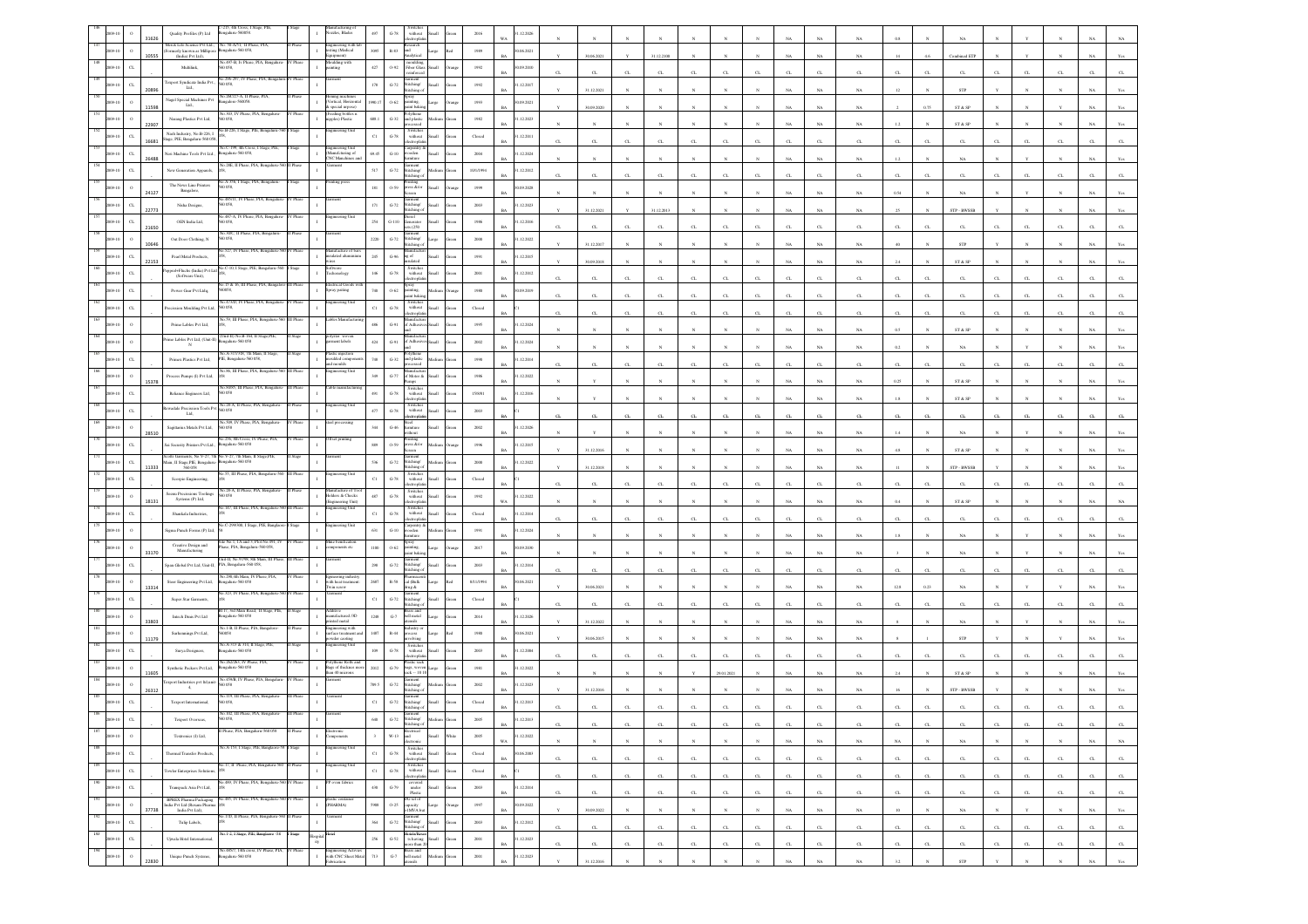|     |                                      |       | !15, 4th Cross, I Stage,<br>igalaru-560058.<br>Quality Profiles (P) Ltd                                                           |              | inutacturing of<br>122les, Blades                                       | 497                | without<br>$\,$ G-78 $\,$                                                                                          |     | 2016                        | .12.2026                    |                       |             |              |             |              |              |                       |                  |              |               |                       |              |                                                                 |              |             |                             |             |                  |
|-----|--------------------------------------|-------|-----------------------------------------------------------------------------------------------------------------------------------|--------------|-------------------------------------------------------------------------|--------------------|--------------------------------------------------------------------------------------------------------------------|-----|-----------------------------|-----------------------------|-----------------------|-------------|--------------|-------------|--------------|--------------|-----------------------|------------------|--------------|---------------|-----------------------|--------------|-----------------------------------------------------------------|--------------|-------------|-----------------------------|-------------|------------------|
|     | $\Omega$                             | 31626 | io. 50-A/51, II Phase, PIA<br>Merck Life Science Pvt Ltd.,<br>sgalaru-560 058,                                                    |              | gineering with I<br>ting (Medical                                       | 3095               | ectroph<br>search<br>has                                                                                           |     |                             | WA                          |                       |             |              |             |              |              |                       |                  | NA           |               |                       |              |                                                                 |              |             |                             |             |                  |
|     |                                      | 10555 | ormerly known as Millip<br>(India) Pvt Ltd),<br>No.497-B, Iv Phase, PIA, Bengaluru                                                | V Phase      | toulding with                                                           |                    | R-83                                                                                                               |     | 1989                        | 0.06.2021                   |                       | 30.06.2021  |              | 31.12.2100  |              |              |                       |                  | NA           | NA            |                       |              | Combined ET                                                     |              |             |                             |             |                  |
|     | $_{\rm{CL}}$                         |       | Multilink,<br>058                                                                                                                 |              |                                                                         | $427\,$            | moulding<br>Fiber Glas<br>$0 - 92$<br>all.                                                                         |     | 1992                        | 0.09.2010<br><b>BA</b>      |                       | CL          |              |             |              |              |                       |                  | CL           |               |                       |              | $\alpha$                                                        |              |             |                             |             |                  |
|     | C1                                   |       | o 296-297, IV Phase, PIA, Benga<br>Texport Syndicate India Pvt.<br>058.<br>Ltd.,                                                  |              |                                                                         | 178                | iarment<br>\titching/<br>$G-72$<br>titching o                                                                      |     | 1992                        | 1.12.2017<br>RA             |                       | 31.12.2021  |              |             |              |              |                       |                  | NA           | NA            |                       |              | <b>STP</b>                                                      |              |             |                             |             |                  |
|     | $\circ$                              |       | .26C/27-A, II Phas<br>Nagel Special Machines Pvt $\operatorname{Lid}_n$<br>sgalore-560058.                                        |              | iing maa<br>ertical, Horizonta                                          | 80.L               | $0 - 62$                                                                                                           |     | 1993                        | 0.09.2021                   |                       |             |              |             |              |              |                       |                  |              |               |                       |              |                                                                 |              |             |                             |             |                  |
|     |                                      | 1598  | No.303, IV Phase, PIA, Bengalun                                                                                                   |              | special urpose)<br>Feeding bottles 1<br>ipples) Plastic                 |                    | ainting,<br>aint bakir<br>olythen                                                                                  |     |                             |                             |                       | 30.09.2020  |              |             |              |              |                       |                  | NA           | $_{\rm NA}$   |                       | 0.75         | ST & SP                                                         |              |             |                             |             |                  |
|     | $\circ$                              | 22907 | 058,<br>Narang Plastics Pvt Ltd,<br>io.B-226, I Stage, PIE, Bengal                                                                |              |                                                                         | 688.1              | $_{\mathrm{G-32}}$<br>nd plastic                                                                                   |     | $1982\,$                    | 1.12.2023<br>BA             |                       |             |              |             |              |              |                       |                  | NA           | NA            | 1.2                   |              | $ST \& SP$                                                      |              |             |                             |             |                  |
|     | C1                                   | 16681 | Nash Industry, No.B-226.1<br>Stage, PIE, Bengaluru-560 058                                                                        |              | ering U                                                                 | $_{\rm C1}$        | Switche<br>$G-78$<br>without<br>tronic                                                                             |     | Closed                      | 1.12.2011<br><b>BA</b>      | $\alpha$              | CL.         | CL.          | CL.         | CL.          | CL.          | $\sigma$              |                  | $C_{\rm L}$  | $\alpha$      | $\alpha$              |              | $C_{L}$                                                         |              | C1          | $\sim$                      |             |                  |
|     | $_{\rm{CL}}$                         |       | No.C-199, 4th Cross, I Stage, PIE<br>Neri Machine Tools Pvt Ltd.,<br>sgalaru-560 058,                                             |              | ingineering Unit<br>Manufcturing of<br>'NC Manchines an                 | 69.45              | larpentry<br>$_{\mathrm{G-10}}$<br>oden<br>miture                                                                  |     | $2004\,$                    | .12.2024                    |                       |             |              |             |              |              |                       |                  |              |               |                       |              |                                                                 |              |             |                             |             |                  |
|     | $_{\rm{CL}}$                         | 26488 | No.28E, II Phase, PIA, Be<br>New Generation Apparels,                                                                             |              |                                                                         | 517                | iarment<br>titching/<br>$_{\mathrm{G-72}}$                                                                         |     | 10/1/1994                   | 1.12.2012                   |                       |             |              |             |              |              |                       |                  | $_{\rm NA}$  | $_{\rm NA}$   | $^{1.2}$              |              | $_{\rm NA}$                                                     |              |             |                             |             |                  |
|     |                                      |       | No.A-356, I Stage, PIA, Bengal<br>The News Line Printers                                                                          |              | tting press                                                             |                    | itching o                                                                                                          |     |                             |                             |                       |             | $\alpha$     | C1          | CL           | C1           |                       |                  | C1           | CL.           |                       |              | $\alpha$                                                        |              |             |                             |             |                  |
|     |                                      | 24127 | 0.58<br>Bangalore,<br>0.485/11. IV Phase, PIA, Bengal                                                                             |              |                                                                         | 181                | 'rinting<br>eess &/or<br>$0 - 59$                                                                                  |     | 1999                        | 0.09.2028<br>RA             |                       |             |              |             |              |              |                       |                  | NA           | NA            | 0.54                  |              | NA                                                              |              |             |                             |             |                  |
|     |                                      | 22773 | Nisha Designs,<br>058.                                                                                                            |              |                                                                         | $171$              | iannen<br>$G-72$<br>Stitching/<br>Stitching o                                                                      |     | $2003\,$                    | 12.2023                     |                       | 31.12.2021  |              | 31.12.201   |              |              |                       |                  | NA           | $_{\rm NA}$   |                       |              | STP - BWSSE                                                     |              |             |                             |             |                  |
|     | $\alpha$                             |       | 0.487-A. IV Phase, PIA, Bennal<br>OEN India Ltd,<br>058,                                                                          |              |                                                                         | $254\,$            | irici<br>$_{\rm{G-110}}$<br>cnerator                                                                               |     | 1986                        | 1.12.2016                   |                       |             |              |             |              |              |                       |                  |              |               |                       |              |                                                                 |              |             |                             |             |                  |
|     | $\circ$                              | 21650 | o.30C, II Phase, PIA, Bengaluro<br>0058                                                                                           |              |                                                                         | $2220\,$           | ets (250)<br>Garment<br>Stitching/<br>Stitching o<br>$G-72$                                                        |     | 2000                        | BA<br>1.12.2022             | $\sigma$              | CL.         | C1           | C1          | CL.          | C1           |                       |                  | $C_{L}$      | CL.           | $\sigma$              |              | C1                                                              |              |             |                             |             |                  |
|     |                                      | 10646 | Out Door Clothing, N<br>io.527, IV Phase, PIA, Bengaluru-560 IV Phase                                                             |              | nufacture of bar                                                        |                    | danufact                                                                                                           |     |                             | <b>BA</b>                   |                       | 31.12.2017  |              |             |              |              |                       |                  | NA           | NA            |                       |              | ${\tt STP}$                                                     |              |             |                             |             |                  |
|     | $_{\rm{CL}}$                         | 22153 | Pearl Metal Products,                                                                                                             |              | alated alumini                                                          | 245                | $\,$ G-96 $\,$<br>g of                                                                                             |     | 1991                        | 12.2015                     |                       | 30.09.2018  |              |             |              |              |                       |                  | $_{\rm NA}$  | $_{\rm NA}$   |                       |              | ST & SP                                                         |              |             |                             |             |                  |
|     | $_{\rm{CL}}$                         |       | io.C-10, I Stage, PIE, I<br>eel+Fluchs (India) Pvt L<br>(Software Unit),                                                          |              | tonology                                                                | 146                | Switches<br>without<br>$\operatorname{G-78}$<br>ectronic                                                           |     | 2001                        | 1.12.2012                   |                       | CL.         | $\mathbf{C}$ | CT.         | CT.          | $\mathbf{C}$ |                       |                  | $C_{L}$      | $\sigma$      | а                     |              | $\Gamma$                                                        |              |             |                             |             |                  |
|     | C1                                   |       | .15 & 16, III Phase,<br>Power Gear Pvt Ltdq,<br>coss.                                                                             |              | rical Go<br>pray paiting<br>$\mathbf{I}$                                | 740                | xay<br>$0 - 62$<br>inting,<br>int bakir                                                                            |     | 1980                        | 0.09.2019                   |                       |             |              |             |              |              |                       |                  |              |               |                       |              |                                                                 |              |             |                             |             |                  |
|     | $\alpha$                             |       | io.473/D, IV Phase, PIA, Bengalu<br>058,                                                                                          |              | teering Uni                                                             | $_{\rm Cl}$        | Switches<br>without                                                                                                |     |                             | <b>BA</b>                   |                       | $_{\rm CL}$ | $\alpha$     |             | $\alpha$     | $\alpha$     |                       |                  | $_{\rm{CL}}$ | $\alpha$      | $\sigma$              |              | $\alpha$                                                        |              |             |                             |             |                  |
|     |                                      |       | recission Moulding Pvt Ltd<br>359, III Phase, PIA,                                                                                |              |                                                                         |                    | $_{\mathrm{G-78}}$<br>ectroph                                                                                      |     | Closed                      |                             | $\sigma$              | CL.         | CL           |             | CL           | C1           |                       |                  | CL           | CL.           | $\sigma$              |              | C1                                                              |              |             |                             |             |                  |
|     |                                      |       | Prime Lables Pvt Ltd,                                                                                                             |              |                                                                         | 486                | $G-91$<br>f Adhe                                                                                                   |     | 1995                        | 1.12.2024<br>RA             |                       |             |              |             |              |              |                       |                  | NA           | NA            | 0.5                   |              | ST & SP                                                         |              |             |                             |             |                  |
|     |                                      |       | Unit-II) No.B-164, II Stage, PIE,<br>Prime Lables Pvt Ltd, (Unit-II)<br>ealuru-560 058<br>$_{\rm N}$                              |              | yster woven<br>ment labels                                              | $424\,$            | $\,$ G-91 $\,$<br>f Adher                                                                                          |     | $2002\,$                    | .12.2024<br><b>BA</b>       |                       |             |              |             |              |              |                       | NA               | NA           | $_{\rm NA}$   | 0.2                   |              | $_{\rm NA}$                                                     |              |             |                             |             |                  |
|     | $\alpha$                             |       | io.A-317/318, 7th Main, II S<br>Primex Plastics Pvt Ltd,<br>IE, Bengaluru-560 058,                                                |              | stic injection<br>ulded compo                                           | 748                | $_{\mathrm{G-32}}$<br>nd plastic                                                                                   |     | $19\%$                      | .12.2014                    |                       |             |              |             |              |              |                       |                  |              |               |                       |              |                                                                 |              |             |                             |             |                  |
|     |                                      |       | io.86, III Phase, PIA, E                                                                                                          |              | ad moulds<br>ring t                                                     | 349                | essed                                                                                                              |     |                             |                             | $\alpha$              | CL.         | CL           | CL          | CL           | CL           | $\sigma$              | $\sigma$         | CL           | CL.           | α.                    | $\alpha$     | CL                                                              | $\sigma$     | CL          | $\alpha$                    |             |                  |
|     | $\circ$                              | 15378 | Process Pumps (I) Pvt Ltd,<br>No.84/85, III Phase, PIA, Bengalur                                                                  | II Phase     | ble manufac                                                             |                    | $_{\mathrm{G-77}}$<br>of Motor &<br>Switche                                                                        |     | 1986                        | 1.12.2022                   |                       |             |              |             |              |              |                       |                  | NA           | NA            | 0.25                  |              | ST & SP                                                         |              |             |                             |             |                  |
|     | C1                                   |       | Reliance Engineers Ltd,<br>0058                                                                                                   |              |                                                                         | 491                | $G-78$<br>without                                                                                                  |     | 15/8/81                     | .12.2016<br><b>BA</b>       |                       |             |              |             |              |              |                       |                  | NA           | NA            |                       |              | ST & SP                                                         |              |             |                             |             |                  |
|     | C1                                   |       | 28-A. II Phase, PI<br><b>Rewadale Precission Tools Pv</b><br>058<br>Lad,                                                          |              |                                                                         | 477                | Switches<br>without<br>$_{\mathrm{G-78}}$<br>ectropi                                                               |     | $2003\,$                    |                             |                       |             | CL           |             | $\alpha$     | C1           |                       |                  | C1           | α.            |                       |              | C1                                                              |              |             |                             |             |                  |
|     | $\circ$                              |       | Vo.509, IV Phase, PIA, Bengaluru<br>Sagittarius Metals Pvt Ltd,<br>0.58                                                           |              | el processing                                                           | 344                | $G-46$<br>umiture                                                                                                  |     | 2002                        | 1.12.2026                   |                       |             |              |             |              |              |                       |                  |              |               |                       |              |                                                                 |              |             |                             |             |                  |
|     |                                      | 28510 | io 256. 8th Cross, IV Phase, PIA.                                                                                                 |              | <b>Tset printing</b>                                                    |                    | dibout<br>'rinting<br>eess &/or                                                                                    |     |                             |                             |                       |             |              |             |              |              |                       |                  | NA           | $_{\rm NA}$   |                       |              | NA                                                              |              |             |                             |             |                  |
|     | $_{\rm{CL}}$                         |       | Sai Security Printers Pvt Ltd.<br>galaru-560 058                                                                                  |              |                                                                         | 889                | $0 - 59$                                                                                                           |     | 1996                        | 1.12.2015<br><b>BA</b>      |                       | 31.12.2016  |              |             |              |              |                       |                  | NA           | $_{\rm NA}$   | 4.8                   |              | ${\hbox{\footnotesize\rm ST}}$ & ${\hbox{\footnotesize\rm SP}}$ |              |             |                             |             |                  |
|     |                                      |       |                                                                                                                                   |              |                                                                         |                    |                                                                                                                    |     |                             |                             |                       |             |              |             |              |              |                       |                  |              |               |                       |              |                                                                 |              |             |                             |             |                  |
|     | $_{\rm{CL}}$                         | 11333 | cotts Garments, No.V-27, 7th<br>No.V-27, 7th Main, II Stage,PIE<br>Bengaluru-560 058<br>Main, II Stage, PIE, Bengalard<br>560 058 |              |                                                                         | 536                | Garment<br>Stitching/<br>$G-72$<br>titching o                                                                      |     | 2000                        | 1.12.2022<br>RÁ             |                       | 31.12.2018  |              |             |              |              |                       |                  | NA           | NA            |                       |              | STP - BWSSB                                                     |              |             |                             |             |                  |
|     | $_{\rm{CL}}$                         |       | o.55, III Phase, PIA, Benga<br>Scorpio Engineering,                                                                               |              |                                                                         | $_{\rm C1}$        | Switche<br>$G-78$                                                                                                  |     | Closed                      |                             |                       |             |              |             |              |              |                       |                  |              |               |                       |              |                                                                 |              |             |                             |             |                  |
|     |                                      |       | So.28-A. II Phase, PIA, Benzalun<br>Seenu Precissions Tooling                                                                     | <b>Phase</b> | sufacture of To                                                         |                    | without<br>electroplati                                                                                            |     |                             |                             | $\alpha$              | CL          | $_{\rm CI}$  | $\alpha$    | CL           | C1           |                       |                  | $_{\rm{CL}}$ | $\alpha$      | $\alpha$              |              | C1                                                              |              | $\alpha$    |                             |             |                  |
|     |                                      | 18131 | Systems (P) Ltd,<br>.147, III Phase, PIA, Beng                                                                                    |              | <b>Holders &amp; Checks</b><br>ering Unit<br>ering Uni                  | 487                | Switches<br>without<br>$G-78$<br>ectropla                                                                          |     | $1992\,$                    | 1.12.2022<br>WA             |                       |             |              |             |              |              |                       |                  | NA           | NA            | 0.4                   |              | ST & SP                                                         |              |             |                             |             |                  |
|     | $_{\rm{CL}}$                         |       | Shankala Industries,                                                                                                              |              |                                                                         | $_{\rm C1}$        | Switche<br>$G-78$<br>without<br>tronic                                                                             |     | Closed                      | 1.12.2014<br>RÁ             |                       | CL.         | $\mathbf{C}$ |             | CT.          | CL           |                       |                  | $C_{L}$      | $\alpha$      | $\sigma$              |              | $C_{L}$                                                         |              |             |                             |             |                  |
|     |                                      |       | lo.C-299/300, I Stage, PIE, Bangla<br>Sigma Punch Forms (P) Ltc                                                                   |              | teering Unit                                                            | 631                | arpentry<br>$G-10$<br>oden<br>miture                                                                               |     | 1991                        | 1.12.2024                   |                       |             |              |             |              |              |                       |                  | NA           | $_{\rm NA}$   | 1.8                   |              | NA                                                              |              |             |                             |             |                  |
|     |                                      |       | Site No.1, 1A and 3, Plot No.491, IV<br>Phase, PIA, Bengaluru-560 058,<br>Creative Design and                                     |              | line benification<br>nponents etc                                       | 1100               | $0.62\,$                                                                                                           |     | 2017                        | (09.2030)                   |                       |             |              |             |              |              |                       |                  |              |               |                       |              |                                                                 |              |             |                             |             |                  |
|     |                                      | 33170 | Manufacturing<br>≗II, No.97/98, 8th∶                                                                                              |              |                                                                         |                    | $\overline{\text{pry}}$ inting.<br>int baki                                                                        |     |                             | BA                          |                       |             |              |             |              |              |                       |                  | NA           | NA            |                       |              | NA                                                              |              |             |                             |             |                  |
|     |                                      |       | Span Global Pvt Ltd, Unit-II, PIA, Bengaluru-560 058<br>No.290,4th Main, IV Phase, PIA,                                           |              | neering industr                                                         | 298                | $G-72$<br>titching/<br>tichine                                                                                     |     | 2003                        | .12.2014<br>RA              | $\sigma$              | CL          | CL.          | CL.         | CL.          | CL.          | $\sigma$              |                  | $C_{\rm L}$  | $\alpha$      | $\alpha$              |              | $C_{\rm L}$                                                     |              | а           |                             |             |                  |
|     |                                      | 13314 | Steer Engineering Pvt Ltd,<br>sgalaru-560 058                                                                                     |              | with heat treatment<br>Ewin screw                                       | 2687               | $\mathbb{R}\text{-}\mathbb{S}\mathbb{S}$<br>cal (Bulk<br>drug &                                                    |     | 8/11/1994                   | (06.2021                    |                       | 30.06.2021  |              |             |              |              |                       |                  | NA           | $_{\rm NA}$   | 12.8                  |              | $_{\rm NA}$                                                     |              |             |                             |             |                  |
|     | $_{\rm G}$                           |       | io.323, IV Phase, PIA, Be<br>Super Star Garments,                                                                                 |              | n est                                                                   | $_{\rm C1}$        | men<br>$_{\mathrm{G-72}}$<br>titching/<br>itching                                                                  |     | $\operatorname{Closed}$     |                             |                       |             |              |             | $\alpha$     |              |                       |                  |              | CL.           |                       |              |                                                                 |              |             |                             |             |                  |
|     |                                      |       | 8117, 3rd Main Road, II Stage, PIE<br>Intech Dmis Pvt Ltd<br>galaru-560 058                                                       |              | ditive<br>anufactured /3D                                               | 1248               | rass and<br>${\bf G}\mbox{-}7$<br>hell metal                                                                       |     | 2014                        | 12.2026                     |                       |             |              |             |              |              |                       |                  |              |               |                       |              |                                                                 |              |             |                             |             |                  |
|     |                                      | 33803 | No.1-B, II Phase, PIA, Bangalore<br>8200                                                                                          |              | ted metal                                                               |                    | sils<br>idustry                                                                                                    |     |                             | BA                          |                       | 31.12.2022  |              |             |              |              |                       |                  | NA           | NA            |                       |              | NA                                                              |              |             |                             |             |                  |
|     |                                      |       | Surhennings Pvt Ltd,<br>o.A-313 & 314, II Stage, PIE                                                                              |              | ngineering with<br>arface treatment an<br>der caoting<br>gineering Unit | 1487               | $R-44$<br>ocess<br>volving                                                                                         |     | $1980\,$                    | 06.2021                     |                       | 30.06.2015  |              |             |              |              |                       |                  | NA           | NA.           |                       |              | ${\tt STP}$                                                     |              |             |                             |             |                  |
|     | $\alpha$                             |       | Surya Designers,<br>igalaru-560 058                                                                                               |              |                                                                         | 109                | Switches<br>without<br>$G-78$<br>ectronia                                                                          |     | 2003                        | 1.12.2004                   |                       | CL.         | CT           | CT.         | CT.          | $\mathbf{C}$ |                       |                  | CL           | $\sigma$      |                       |              | $C_{L}$                                                         |              |             |                             |             |                  |
|     | $\Omega$                             | 1605  | 262/263, IV Phase<br>Synthetic Packers Pyt Ltd.<br>sgalaru-560 058                                                                |              | lythene Rolls and<br>Bags of thicknes m                                 | 2012               | astic sac<br>$G-79$<br>ags, wove<br>ack -- 10 10                                                                   |     | 1981                        | 1.12.2022<br>BA             |                       |             |              |             |              | 29.01.2021   |                       |                  | NA           | NA            |                       |              | ${\rm ST}$ & ${\rm SP}$                                         |              |             |                             |             |                  |
|     |                                      |       | in 490R IV Phase PLA B<br>export Industries pvt Itd,ur<br>$-4,$                                                                   |              | un 40 microns                                                           | 709.5              | titching/<br>$_{\mathrm{G-72}}$                                                                                    |     | $2002\,$                    | 12.2023                     |                       |             |              |             |              |              |                       |                  |              |               |                       |              |                                                                 |              |             |                             |             |                  |
|     |                                      | 26312 | 119, III Phase                                                                                                                    |              |                                                                         |                    | itching o                                                                                                          |     |                             |                             |                       | 31.12.2016  |              |             |              |              |                       |                  | NA           | NA.           |                       |              | STP - BWSSB                                                     |              |             |                             |             |                  |
|     | $\alpha$                             |       | Texport International,<br>058.                                                                                                    |              |                                                                         | $_{\rm Cl}$        | iarment<br>titching/<br>$G-72$<br>tite bino                                                                        |     | Closed                      | 1.12.2013                   |                       |             |              |             |              |              |                       |                  |              |               |                       |              |                                                                 |              |             |                             |             |                  |
|     |                                      |       | Texport Oversea                                                                                                                   |              |                                                                         | 640                | $G-72$<br>titching o                                                                                               |     | 2005                        | 1.12.2013<br>$_{\rm BA}$    |                       | $_{\rm CL}$ | $_{\rm CL}$  |             | $_{\rm CL}$  | ${\rm CL}$   | $_{\mbox{\tiny{CL}}}$ | $\alpha$         | $_{\rm CL}$  | $\alpha$      |                       | CL           |                                                                 | $_{\rm CL}$  | C1          | $_{\rm CL}$                 | CL          | CL               |
|     | $\,$ 0<br>2009-10                    |       | Phase, PIA, Bengaluru-560 058<br>Textronics (I) Ltd,                                                                              |              |                                                                         |                    | lectrical<br>$_{\rm W\text{-}13}$<br>ht                                                                            |     | $2005\,$                    | .12.2022<br>WA              |                       | $_{\rm N}$  | N            |             |              |              |                       | NA               | $_{\rm NA}$  | $_{\rm NA}$   | $_{\rm NA}$           |              | $_{\rm NA}$                                                     |              |             |                             | $_{\rm NA}$ | NA               |
|     | $_{\mathrm{CL}}$<br>2009-10          |       | x.A-153, I Stage, PIE, Banglac<br>Thermal Transfer Products                                                                       |              | gineering U                                                             | $_{\rm Cl}$        | $G-78$<br>Iliam                                                                                                    |     | Closed                      | 30.06.2003                  |                       |             |              |             |              |              |                       |                  |              |               |                       |              |                                                                 |              |             |                             |             |                  |
| 189 |                                      |       | No.17, II Phase, PIA, Bengaluru-560 II Phase                                                                                      |              | ngineering Unit<br>$\mathbf{L}$                                         |                    | Switches<br>without<br>electroplatin                                                                               |     |                             | <b>BA</b>                   | $\alpha$              | CL          | CL           | $_{\rm CL}$ | CL           | CL           | $\alpha$              | $\alpha$         | CL           | $_{\rm{CL}}$  | $\alpha$              | CL           | $_{\rm CL}$                                                     | $_{\rm{CL}}$ | CL          | $\alpha$                    | CL          | CL               |
|     | $_{\rm{CL}}$<br>2009-10              |       | <b>Towler Enterprises Solution</b><br>io.489, IV Phase, PIA, Bengaluru-3                                                          |              |                                                                         | $_{\rm C1}$        | Switches<br>without<br>$\mbox{G-78}$<br><b>Han</b><br>ectroplati                                                   |     | $\operatorname{Closed}$     | $_{\rm BA}$                 | $_{\mbox{\tiny{CL}}}$ | $_{\rm CL}$ | $_{\rm CL}$  | $_{\rm CL}$ | $_{\rm CL}$  | $_{\rm CL}$  | а.                    | $\alpha$         | $_{\rm CL}$  | $\mathrm{CL}$ | $\alpha$              | $_{\rm CL}$  | $_{\rm{CL}}$                                                    | $_{\rm CL}$  | $_{\rm CL}$ | $_{\rm CL}$                 | $_{\rm CL}$ | $\mathrm{CL}$    |
|     | $_{\rm{CL}}$<br>2009-10              |       | Transpack Asia Pvt Ltd,                                                                                                           |              |                                                                         | $430 -$            | covered<br>under<br>Plastic<br>$\operatorname{G-79}$<br>llam                                                       | een | $2003\,$                    | 1.12.2014<br>BA             | $\alpha$              | $_{\rm CL}$ | CL           | CL          | CL           | CL           | $_{\mathrm{CL}}$      | GL               | CL           | C             | $\alpha$              | CL           | CL                                                              | CL           | CL          | CL                          | CL.         | GL               |
|     | $\,$ o<br>2009-10                    | 37738 | BPREX Pharma Packaging No.485, IV Phase, PIA, Bengaluru-560 IV Phase                                                              |              | plastic contain<br>[PHARMA]                                             | $5908\,$           | DG set of<br>$0 - 25$<br>capacity<br>>IMVA but<br>arge                                                             |     | $1997\,$                    | 30.09.2022<br><b>BA</b>     |                       |             | $\mathbf{N}$ | $_{\rm N}$  | $\mathbf{x}$ | $\mathbf{N}$ | $\mathbf{N}$          |                  |              |               | 10                    | $\mathbf{N}$ |                                                                 | $\mathbf{N}$ |             | $_{\rm N}$                  |             |                  |
|     | $_{\mathrm{c} }$<br>2009-10          |       | India Pvt Ltd (Rexam Pharma $\rm India$ Pvt Ltd),<br>No.17D, II Phase, PIA, Bengaluru-560 II Phase<br>Tulip Labels,               |              | arment                                                                  | 364                | Garment<br>Stitching/<br>$\operatorname{G-72}$<br>di.                                                              |     | $2003\,$                    | 1.12.2012                   |                       | 30.09.2022  |              |             |              |              |                       | $_{\rm NA}$      | $_{\rm NA}$  | $_{\rm NA}$   |                       |              | $_{\rm NA}$                                                     |              |             |                             | $_{\rm NA}$ | $_{\rm Yes}$     |
|     |                                      |       | io.1-2, I Stage, PIE, Banglaore -58                                                                                               |              |                                                                         |                    | titching of                                                                                                        |     |                             | $_{\rm BA}$                 | $\alpha$              | $_{\rm CL}$ | $_{\rm CL}$  | $_{\rm CL}$ | $_{\rm CL}$  | $_{\rm CL}$  | $_{\mbox{\tiny{CL}}}$ | $_{\mathrm{CL}}$ | $_{\rm CL}$  | $\mathrm{CL}$ | $_{\mbox{\tiny{CL}}}$ | $_{\rm CL}$  | $_{\rm{CL}}$                                                    | $_{\rm CL}$  | $_{\rm CL}$ | $_{\mbox{\scriptsize{CL}}}$ | $_{\rm CL}$ | $_{\mathrm{CL}}$ |
|     | $_{\rm{CL}}$<br>2009-10<br>$\,$ $\,$ |       | Ujwala Hotel International,<br>No.485/7, 14th cross, IV Phase, PIA,<br>Unique Punch Systems,<br>ngalaru-560 058                   | IV Phase     | ity<br>Engineering Activies<br>with CNC Sheet Metal                     | $256\,$<br>$713\,$ | Hotels/Reso<br>s having<br>$\textrm{G-52}$<br>Ilian<br>tore than 2<br>Brass and<br>bell metal<br>$_{\mathrm{G-7}}$ |     | $2001\,$<br>$200\mathbf{l}$ | .12.2023<br>BA<br>1.12.2023 | $\alpha$              | $_{\rm CL}$ | $_{\rm CL}$  | CL          | $_{\rm CL}$  | $_{\rm CL}$  | $_{\mathrm{CL}}$      | $\alpha$         | $_{\rm CL}$  | $\alpha$      | $\alpha$              | CL           | CL                                                              | CL           | CL          | CL                          | $_{\rm CL}$ | ${\rm CL}$       |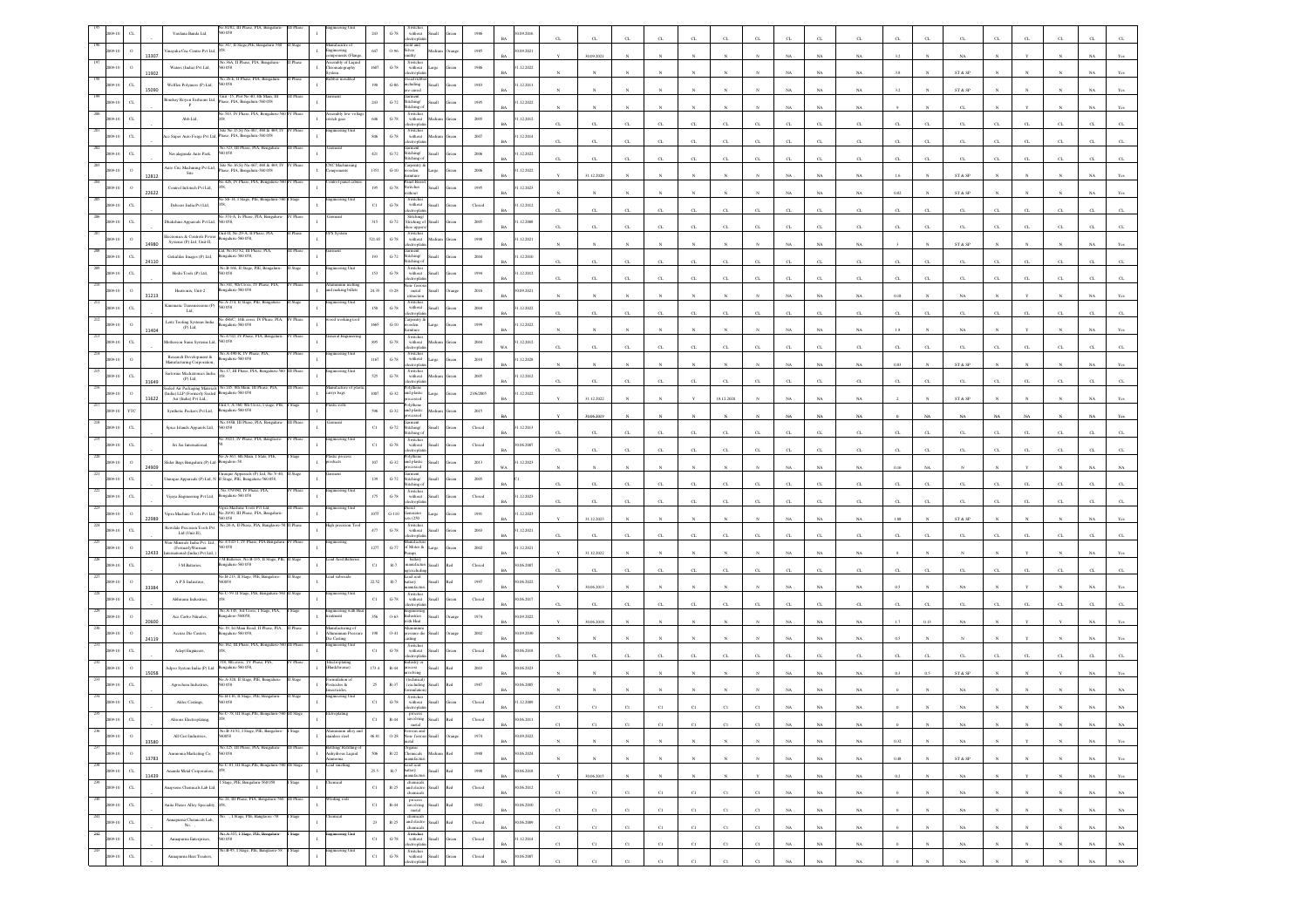|                           |                       | Vardana Banda Ltd,                                                 | D 058                                                                                                                                   |         |                                            | 243                          | $\mbox{G-}78$                                             | without<br>ctronic                                                                                                                                                                                                                                |                                                                                                                                                                                                                                                                                                                                                                      |                         | 09.2016                   |             |             |              |              |              |                |             |             |             |              |          |             |                         |          |              |              |             |             |
|---------------------------|-----------------------|--------------------------------------------------------------------|-----------------------------------------------------------------------------------------------------------------------------------------|---------|--------------------------------------------|------------------------------|-----------------------------------------------------------|---------------------------------------------------------------------------------------------------------------------------------------------------------------------------------------------------------------------------------------------------|----------------------------------------------------------------------------------------------------------------------------------------------------------------------------------------------------------------------------------------------------------------------------------------------------------------------------------------------------------------------|-------------------------|---------------------------|-------------|-------------|--------------|--------------|--------------|----------------|-------------|-------------|-------------|--------------|----------|-------------|-------------------------|----------|--------------|--------------|-------------|-------------|
|                           | 13307                 | inayaka Cnc Centre Pvt Ltd                                         | 347, II Stage, PIE, Bengaluru-5                                                                                                         |         | ufacutre o<br>incering                     | 647                          | $O-96$                                                    | iold and<br>Silver                                                                                                                                                                                                                                |                                                                                                                                                                                                                                                                                                                                                                      | 1985                    | 0.09.2021                 |             | 30.09.2021  |              |              |              |                |             |             | NA          | $_{\rm NA}$  |          |             | NA                      |          |              |              |             |             |
|                           | 11902                 | Waters (India) Pvt Ltd,                                            | 40.36A, II Phase, PIA, Benga<br>0.058                                                                                                   |         | sembly of Liqu<br>omatography<br>tem.      | 1607                         | $\mbox{G-}78$                                             | Switches<br>without                                                                                                                                                                                                                               |                                                                                                                                                                                                                                                                                                                                                                      | $1986\,$                | .12.2022                  |             |             |              |              |              |                |             |             | NA          | NA           |          |             | ST & SP                 |          |              |              |             |             |
|                           | $C$ L<br>15090        | Welflex Polymers (P) Ltd,                                          | o.26-E, II Phase, PIA, Benga<br>D 058                                                                                                   |         |                                            | $190\,$                      | $\,$ G-86 $\,$                                            | cluding<br>e-cured                                                                                                                                                                                                                                | llam                                                                                                                                                                                                                                                                                                                                                                 | 1983                    | .12.2011                  |             |             |              |              |              |                |             |             | NA          | NA           |          |             | ST & SP                 |          |              |              |             |             |
|                           | $\alpha$              | ombay Royon Fashions Ltd,<br>P                                     | hit -15, Plot No 40, 4th Main, 11<br>Phase, PIA, Bengaluru-560 058                                                                      |         |                                            | 243                          | $G-72$                                                    | Stitching/<br>Stitching c                                                                                                                                                                                                                         |                                                                                                                                                                                                                                                                                                                                                                      | 1995                    | 1.12.2022                 |             |             |              |              |              |                |             |             | NA          | $_{\rm NA}$  |          |             | $\alpha$                |          |              |              |             |             |
|                           | $\alpha$              | Abb Ltd,                                                           | io.543, IV Phase, PIA, Bengaluru-560 IV Phase                                                                                           |         | Assembly low<br>witch gear                 | 646                          | $\,$ G-78 $\,$                                            | Switches<br>without<br>ctropha                                                                                                                                                                                                                    |                                                                                                                                                                                                                                                                                                                                                                      | 2005                    | .12.2012                  | $\sigma$    | CL          | C1           | C1           | CL.          | CL.            |             |             | C1          | CL.          |          |             | C1                      |          |              |              |             |             |
|                           | $_{\rm CL}$           |                                                                    | ite No.15,Sy No.467, 468 & 469,<br>ce Super Auto Forge Pvt Ltd, Phase, PIA, Bengaluru-560 058                                           |         |                                            | $\pmb{346}$                  | $\mbox{G-78}$                                             | Switches<br>without<br>tronic                                                                                                                                                                                                                     |                                                                                                                                                                                                                                                                                                                                                                      | 2007                    | .12.2014<br>RA            | $\sigma$    | CL.         | CL.          | $\Gamma$     | CL.          | CL             |             |             | CL          | $\alpha$     | $\sigma$ |             | $C_{\rm L}$             |          |              |              |             |             |
|                           |                       | Navalagunda Auto Park,                                             | No.323, III Phase, PIA, Bengalur<br>50058                                                                                               |         |                                            | $421\,$                      | $\textrm{G-}72$                                           | micat<br>Stitching/<br>Stitching c                                                                                                                                                                                                                |                                                                                                                                                                                                                                                                                                                                                                      | 2006                    | .12.2022                  | $\sigma$    | CL.         | C1           | CL.          | $\alpha$     | CL             |             |             | C1          | $_{\rm{CL}}$ | a        |             | $_{\rm CL}$             |          | CI.          |              |             |             |
|                           | 12812                 | uto Cnc Machining Pvt Ltd,<br>Site                                 | ite No.16.Sv No.467, 468 & 469.1<br>ase, PIA, Bengaluru-560 058                                                                         |         | NC Machi                                   | 1351                         | $_{\mathrm{G-10}}$                                        | rpentr<br>rođen<br>ikuro                                                                                                                                                                                                                          |                                                                                                                                                                                                                                                                                                                                                                      | 2006                    | .12.2022                  |             | 31.12.2020  |              |              |              |                |             |             | NA          | NA           |          |             | ST & SP                 |          |              |              |             |             |
|                           | 22622                 | Control Infotech Pvt Ltd,                                          | 0.426, IV Phase, PIA, Bengalur                                                                                                          |         | trol panel ca                              | 195                          | $\mbox{G-}78$                                             | anel Boar<br><b>Switches</b><br>thous                                                                                                                                                                                                             | <b>Illami</b>                                                                                                                                                                                                                                                                                                                                                        | 1995                    | 1.12.2023<br>RA           |             |             |              |              |              |                |             |             | NA          | NA           | 0.82     |             | ST & SP                 |          |              |              |             |             |
|                           |                       | Debeers India Pvt Ltd,                                             | o.Sb-14, I Stage, PIE, Bengaluru                                                                                                        |         | teering Unit                               | $_{\rm Cl}$                  | $\mbox{G-}78$                                             | Switcher<br>$% \left\vert \left( \mathbf{1}_{\mathbf{1}}\right) \right\rangle$ without                                                                                                                                                            |                                                                                                                                                                                                                                                                                                                                                                      | Closed                  | .12.2012                  | $\sigma$    | C1          | C1           |              |              |                |             |             | C1          | $\alpha$     |          |             | C1                      |          |              |              |             |             |
|                           | $\alpha$              | <b>hakshini Appareals Pvt Ltd.</b>                                 | 374. A Ty Phase PIA Rena<br>0058,                                                                                                       |         |                                            | 315                          | $\operatorname{G-72}$                                     | Stitching/<br>Stitching of<br>oe un                                                                                                                                                                                                               |                                                                                                                                                                                                                                                                                                                                                                      | 2005                    | .12.2008                  |             | CL.         | CL.          | C1           | CL.          | $\alpha$       |             |             | C1          | CL.          |          |             | C1                      |          |              |              |             |             |
|                           | $\circ$<br>14980      | Electronics & Controls Powe<br>Systems (P) Ltd, Unit-II,           | nit-II, No.29-A, II Phase, PIA<br>ngalaru-560 058,                                                                                      |         | 'S System                                  | 521.65                       | $G-78$                                                    | Switche<br>without                                                                                                                                                                                                                                |                                                                                                                                                                                                                                                                                                                                                                      | 1998                    | .12.2021                  |             |             |              |              |              |                |             |             | NA          | NA           |          |             | ${\rm ST}$ & ${\rm SP}$ |          |              |              |             |             |
|                           | $_{\rm{CL}}$<br>24110 | Gokuldas Images (P) Ltd,                                           | ad, No.81/82, III Phase, PIA,<br>galaru-560 058,                                                                                        |         |                                            | $193\,$                      | $\mbox{G-}72$                                             | arment<br>stitching/                                                                                                                                                                                                                              |                                                                                                                                                                                                                                                                                                                                                                      | $2004\,$                | .12.2010                  | $\sigma$    | C1          | C1           |              | $\alpha$     | $\alpha$       |             |             | $\alpha$    | α.           |          |             | C1                      |          |              |              |             |             |
|                           | $\alpha$              | Hoshi Tools (P) Ltd,                                               | No.B-166, II Stage, PIE, Bengalu<br>D 058                                                                                               |         | ering !                                    | $153\,$                      | $\mbox{G-78}$                                             | itching (<br>Switches<br>without<br>tronic                                                                                                                                                                                                        | llam                                                                                                                                                                                                                                                                                                                                                                 | 1994                    | 1.12.2012                 |             |             | $\mathbf{C}$ |              | CL           | $\mathbf{C}$   |             |             | $\sim$      | $\alpha$     |          |             | $\Gamma$                |          |              |              |             |             |
|                           |                       | Heatronix, Unit-2                                                  | 341, 9th Cross.<br>ngalaru-560 058                                                                                                      |         | and making billets                         | 24.35                        | 0.28                                                      | ion-fer<br>$_{\rm metal}$                                                                                                                                                                                                                         | <b>Illett</b>                                                                                                                                                                                                                                                                                                                                                        | 2016                    | 0.09.2021<br>RA           |             |             |              |              |              |                |             |             |             |              | 0.18     |             | NA                      |          |              |              |             |             |
|                           | 31213                 | Cinematic Transmissions (P)<br>Ltd,                                | io.A-274, Il Stage, PIE, Beng<br>0.58                                                                                                   |         | neering Uni                                | $150\,$                      | $\operatorname{G-78}$                                     | Switches<br>without                                                                                                                                                                                                                               |                                                                                                                                                                                                                                                                                                                                                                      | $\,$ 2004 $\,$          | .12.2022                  |             |             |              |              |              |                |             |             | NA          | $_{\rm NA}$  |          |             |                         |          |              |              |             |             |
|                           |                       | Leitz Tooling Systems India<br>(P) Ltd.                            | .486C, 14th cross<br>ngalaru-560 058                                                                                                    |         | working                                    | 1665                         | $G-10$                                                    | ectrophi<br>rpentry<br>>oden                                                                                                                                                                                                                      |                                                                                                                                                                                                                                                                                                                                                                      | 1999                    | 1.12.2022                 | $\sigma$    | CL.         | CI.          |              | CL           | $\alpha$       |             |             | C1          | CL.          | $\alpha$ |             | C1                      |          |              |              |             |             |
|                           | 11404                 | Iotherson Sumi Systems Ltd, 560 058                                | No.471D, IV Phase, PIA, Bengaları                                                                                                       | V Phase | eral Engine                                | 895                          | $G-78$                                                    | situ o<br>Switcher<br>without                                                                                                                                                                                                                     |                                                                                                                                                                                                                                                                                                                                                                      | 2004                    | R4<br>.12.2012            |             |             |              |              |              |                |             |             | NA          | NA           | 1.8      |             | NA                      |          |              |              |             |             |
|                           |                       | Research Development $\&$<br>Manufacturing Corporation,            | io.A-490-K. IV Phase, PL<br>galaru-560 058                                                                                              |         |                                            | 1167                         | $\operatorname{G-78}$                                     | Switch<br>with out                                                                                                                                                                                                                                | arge                                                                                                                                                                                                                                                                                                                                                                 | $2010\,$                | WA<br>.12.2028            | $\sigma$    | $_{\rm CL}$ | CL           | CL.          | CL           | $_{\rm CL}$    | $\alpha$    |             | CL          | $_{\rm{CL}}$ | $\alpha$ | $\sim$      | C1                      | C1       | C1           |              |             |             |
|                           | $\sigma$              | iartorius Mechatronics India<br>$(P)$ Ltd.                         | o.17, III Phase, PIA,                                                                                                                   |         |                                            | 525                          | $G-78$                                                    | ctroph<br>Switcher<br>without                                                                                                                                                                                                                     |                                                                                                                                                                                                                                                                                                                                                                      | 2005                    | 1.12.2012                 |             |             |              |              |              |                |             |             | $_{\rm NA}$ | NA           | 0.83     |             | $ST \& SP$              |          |              |              |             |             |
|                           | 31649                 |                                                                    | iealed Air Packaging Materials No.245, 8th Main, III Phase, PIA, India) LLP (Formerly Sealed Bengaluru-560 058<br>Air (India) Pvt Ltd., |         | latufacture of p<br>arryr bags             | 1007                         | $_{\mathrm{G-32}}$                                        | olythene<br>nd plastic                                                                                                                                                                                                                            |                                                                                                                                                                                                                                                                                                                                                                      | 23/6/2005               | .12.2022                  |             |             |              |              | CL           |                |             |             |             | Œ.           |          |             |                         |          |              |              |             |             |
|                           | 11622                 | Synthetic Packers Pvt Ltd,                                         | tit.3, A-360, 8th Cr<br>ngalaru-560 058                                                                                                 |         |                                            | 596                          | $_{\mathrm{G-32}}$                                        | olythene<br>and plastic                                                                                                                                                                                                                           |                                                                                                                                                                                                                                                                                                                                                                      | 2015                    |                           |             | 31.12.2022  |              |              |              | 18.12.2020     |             |             | NA          | NA           |          |             | ST & SP                 |          |              |              |             |             |
|                           |                       | Spice Islands Apparels Ltd,                                        | io.193B, III Phase, PIA, Bengaluru<br>0058                                                                                              |         |                                            | $_{\rm C1}$                  | $G-72$                                                    | ment<br>.<br>Stitching/                                                                                                                                                                                                                           |                                                                                                                                                                                                                                                                                                                                                                      | Closed                  | 1.12.2013                 |             | 30.06.2019  |              |              |              |                |             |             | NA          | NA           |          |             | NA                      |          |              |              |             |             |
|                           | $_{\rm CL}$           | Sri Sai International,                                             | a 392/1, IV Phase, PIA, Banglaore                                                                                                       | V Phase | incering Un                                | $_{\rm C1}$                  | $\,$ G-78 $\,$                                            | stiching -<br>Switches<br>without                                                                                                                                                                                                                 |                                                                                                                                                                                                                                                                                                                                                                      | Closed                  | 1.06.2007                 |             | CL          | CL           |              | $\alpha$     |                |             |             |             | α            |          |             | $\alpha$                |          |              |              |             |             |
|                           | $\circ$               | dider Bags Bengaluru (P) Ltd                                       | o.A-367, 6th Main, I State, PIE,<br>engalore-58                                                                                         |         | istic proce                                | $107\,$                      | $G-32$                                                    | and plastic                                                                                                                                                                                                                                       | Small                                                                                                                                                                                                                                                                                                                                                                | 2013                    | .12.2023                  |             | CL          | CL           | $\alpha$     | $\alpha$     | $\alpha$       |             |             | $\alpha$    | α.           |          |             | C1                      | $\alpha$ |              |              |             |             |
|                           | 24909<br>CL           |                                                                    | .<br>Inuique Appareals (P) Ltd, N. II Stage, PIE, Bengaluru-560 058,                                                                    |         |                                            | 139                          | $G-72$                                                    | essed<br>nent<br>Stitching/                                                                                                                                                                                                                       | <b>Iliam</b>                                                                                                                                                                                                                                                                                                                                                         | 2005                    | <b>WA</b>                 |             |             |              |              |              |                |             |             | NA.         | NA           | 0.16     |             |                         |          |              |              |             |             |
|                           | $\alpha$              | Vijaya Engineering Pvt Ltd,                                        | No.379/380, IV Phase, PIA<br>galaru-560 05                                                                                              | / Phase | neering Uni                                | 175                          | $\mbox{G-78}$                                             | titching<br>Switches<br>without                                                                                                                                                                                                                   | <b>Iliami</b>                                                                                                                                                                                                                                                                                                                                                        | $\operatorname{Closed}$ | .12.2023                  | $\alpha$    | CL          | C1           | C1           | $\alpha$     | $\alpha$       |             |             | $_{\rm C1}$ | $\alpha$     | Ò        |             | $\alpha$                |          |              |              |             |             |
|                           | $\,$ 0                |                                                                    | .<br>Vipra Machine Tools Pvt Ltd, No.<br>29/30, III Phase, PIA, Bengaluru                                                               |         | eering l                                   | 1075                         | $G-110$                                                   | ectropha<br>enerator                                                                                                                                                                                                                              | large                                                                                                                                                                                                                                                                                                                                                                | 1991                    | .12.2023                  | $\sigma$    | CL          | CL           |              | CL           | $\alpha$       |             |             | $\alpha$    | CL.          |          |             | $\alpha$                |          |              |              |             |             |
|                           | 22989<br>$\sigma$     | Rewdale Precision Tools Pvt                                        | 560 058<br>No.28-A, II Phase, PIA, Banglaore                                                                                            |         | igh precision To                           | $477\,$                      | $G-78$                                                    | \$6250<br>Switches<br>without<br>electroplati                                                                                                                                                                                                     |                                                                                                                                                                                                                                                                                                                                                                      | 2003                    | RA<br>1.12.2021           |             | 31.12.2023  |              |              |              |                |             |             | NA          | NA           | 1.08     |             | ST & SP                 |          |              |              |             |             |
|                           |                       | Ltd (Unit-II),                                                     | Veir Minerals India Pvt. Ltd., No.471/D-1, IV Phase, PIA Bengali                                                                        |         |                                            | 1277                         | $\operatorname{G-}77$                                     | of Motor &                                                                                                                                                                                                                                        |                                                                                                                                                                                                                                                                                                                                                                      | 2002                    | .12.2021                  | $\alpha$    | $_{\rm CL}$ | CL           | C1           | CL           | $\alpha$       |             |             | $\alpha$    | α.           | $\sigma$ |             | C1                      |          |              |              |             |             |
|                           | 12433                 | (FormerlyWarman<br>sternational (India) Pvt Ltd,<br>3 M Batteries, | ngalaru-560 058                                                                                                                         |         |                                            | $_{\rm C1}$                  | $R-7$                                                     | battery<br>unufacti                                                                                                                                                                                                                               |                                                                                                                                                                                                                                                                                                                                                                      | Closed                  | 1.06.2007                 |             | 31.12.2022  |              |              |              |                |             |             | NA          | NA           |          |             |                         |          |              |              |             |             |
|                           |                       | A.P.S Industires,                                                  | No.B-213, II Stage, PIE, Bangalor<br>a200                                                                                               |         | ad suboxide                                | 22.52                        | $\mathbb{R}\text{-}7$                                     | excludi<br>ead acid<br>tery<br>mufar                                                                                                                                                                                                              |                                                                                                                                                                                                                                                                                                                                                                      | 1997                    | RA<br>0.06, 2022          | $\sigma$    | CL.         | CL           | $\mathbf{C}$ | CL.          | CL             |             |             | $\alpha$    | $\alpha$     | $\sigma$ |             | CL                      |          |              |              |             |             |
|                           | 33384                 | Abhirami Industries,                                               | o.C-59. Il State, PIE, I                                                                                                                |         |                                            | $_{\rm C1}$                  | $\mbox{G-}78$                                             | Switches<br>without                                                                                                                                                                                                                               |                                                                                                                                                                                                                                                                                                                                                                      | $\operatorname{Closed}$ | 06.2017                   |             | 30.06.2013  |              |              |              |                |             |             | NA          | $_{\rm NA}$  |          |             | NA                      |          |              |              |             |             |
|                           |                       | Ace Carbo Nitrades,                                                | io.A-145, 3rd Cross, I Stage, PIA,<br>ngalore-560058.                                                                                   |         | agineering with I<br>ment                  | 356                          | $0 - 63$                                                  | ctrordi<br>dustries                                                                                                                                                                                                                               |                                                                                                                                                                                                                                                                                                                                                                      | 1974                    | 0.9.2022                  |             | CL.         |              |              |              |                |             |             |             | CL.          |          |             |                         |          |              |              |             |             |
|                           | 20600                 | Accura Die Casters,                                                | o.19, 1st Main Road, II<br>ngalaru-560 058,                                                                                             |         | anufacturing o<br><b>Iluminium Pres</b>    | $198\,$                      | $0.41\,$                                                  | vith Heat<br>ssure die                                                                                                                                                                                                                            |                                                                                                                                                                                                                                                                                                                                                                      | $2002\,$                | 1.09.2030                 |             | 30.06.2018  |              |              |              |                |             |             | NA          | NA           |          | 0.1         |                         |          |              |              |             |             |
|                           | 24119                 | Adept Engineers,                                                   | 162, III Phase, PIA, I                                                                                                                  |         | te Casting<br>teering U                    | $_{\rm Cl}$                  | $G-78$                                                    | Switches<br>without                                                                                                                                                                                                                               |                                                                                                                                                                                                                                                                                                                                                                      | Closed                  | 0.06.2018                 |             |             |              |              |              |                |             |             |             | NA.          |          |             |                         |          |              |              |             |             |
|                           |                       | Adpro System India (P) Ltd                                         | 8, 8th cross, IV Phi<br>ngalaru-560 058,                                                                                                |         | Iectroplating<br>Iardchrome)               | 173.4                        | $R-44$                                                    | monte<br>xes                                                                                                                                                                                                                                      |                                                                                                                                                                                                                                                                                                                                                                      | 2003                    | 0.06.2023                 |             |             |              |              | CL           |                |             |             | CL          | $\sigma$     |          |             | $\alpha$                |          |              |              |             |             |
|                           | 15058                 | Agrochem Industries,                                               | io.A-320, II Stage, PIE, Ber                                                                                                            |         | sticides $\&$                              | $25\,$                       | $R - 37$                                                  |                                                                                                                                                                                                                                                   |                                                                                                                                                                                                                                                                                                                                                                      | 1987                    | 0.06, 2005                |             |             |              |              |              |                |             |             | NA          | $_{\rm NA}$  |          |             | ${\rm ST}$ & ${\rm SP}$ |          |              |              |             |             |
|                           |                       | Aldee Castings,                                                    | o.B-116, II Stage,                                                                                                                      |         | cticides<br>ineering U                     | $_{\rm Cl}$                  | $G-78$                                                    | without                                                                                                                                                                                                                                           |                                                                                                                                                                                                                                                                                                                                                                      | Closed                  | 1.12.2009                 |             |             |              |              |              |                |             |             | NA          | $_{\rm NA}$  |          |             | $_{\rm NA}$             |          |              |              |             |             |
|                           |                       | Alisons Electroplatin                                              |                                                                                                                                         |         |                                            | C1                           | $R - 44$                                                  |                                                                                                                                                                                                                                                   |                                                                                                                                                                                                                                                                                                                                                                      | Closed                  | 0.06.2011                 |             |             |              |              |              |                |             |             |             |              |          |             |                         |          |              |              |             |             |
| $236$<br>2009-10          | $\,$ $\,$             | All Cast Industries,                                               | No.B-31/32, I Stage, PIE, Bangalore<br>560058                                                                                           | I Stage | minium alloy an<br>ainless steel           | 46.81                        |                                                           | $\begin{tabular}{c} \multicolumn{2}{ c }{\textbf{Verrows and}}\\ \multicolumn{2}{ c }{\textbf{Corrows}} & \multicolumn{2}{ c }{\textbf{Small}}\\ \multicolumn{2}{ c }{\textbf{non-ferrors}} & \multicolumn{2}{ c }{\textbf{Small}} \end{tabular}$ |                                                                                                                                                                                                                                                                                                                                                                      | $1974\,$                | BA<br>0.09.2022           |             | C1          | C1           | C1           | $_{\rm C1}$  | $_{\rm C1}$    | $_{\rm C1}$ | $_{\rm NA}$ | $_{\rm NA}$ | $_{\rm NA}$  |          | $_{\rm N}$  | $_{\rm NA}$             |          |              |              | NA          | NA 1        |
| 237<br>2009-10            | 33580<br>$\,$ 0       | Ammonia Marketing Co,                                              | No.125, III Phase, PIA, Bengaluru                                                                                                       |         | otting/ Refilling o                        | 506                          |                                                           |                                                                                                                                                                                                                                                   | hunge<br>$\begin{tabular}{ll} \bf R-22 & \bf Organica& \bf Medium& \bf Red\\ manufacturi & \end{tabular}$                                                                                                                                                                                                                                                            | 1988                    | <b>BA</b><br>30.06.2024   |             | $_{\rm N}$  | $\mathbb{N}$ |              | N            |                |             | $_{\rm NA}$ | $_{\rm NA}$ | $_{\rm NA}$  | 0.32     |             | NA                      |          |              |              | $_{\rm NA}$ | Yes         |
| 238<br>2009-10            | 13783                 |                                                                    | 560 058<br>No.C-81, III Stage, PIE, Bengaluru-560 III Stage                                                                             |         | Anhydrous Liquid<br>amonia<br>cad smelting |                              |                                                           |                                                                                                                                                                                                                                                   |                                                                                                                                                                                                                                                                                                                                                                      |                         | <b>BA</b>                 |             | $_{\rm N}$  | $_{\rm N}$   | $_{\rm N}$   | $\mathbb{N}$ | $\mathbf{N}$   | $_{\rm N}$  | NA          | NA          | NA           | 0.48     |             | ST & SP                 | N        | $\mathbf{N}$ | $\mathbf{N}$ | NA          | Yes         |
| 239                       | $_{\rm CL}$<br>11439  | Ananda Metal Corporation,<br>napsons Chemicals Lab Ltd,            | Stage, PIE, Bengalaru-560 05                                                                                                            |         |                                            | $25.5\,$                     |                                                           |                                                                                                                                                                                                                                                   | $\begin{tabular}{c} \bf R-7 \quad \  \  \, \text{head acid} \\ \bf R-7 \quad \  \  \, \text{battery} \\ \quad \  \  \, \text{manufacturi} \end{tabular} \quad \  \  \, \text{Red}$<br>$\begin{tabular}{ c c c c } \hline \multicolumn{1}{ c }{chemicals} & \\ \multicolumn{1}{ c }{R-25} & \multicolumn{1}{ c }{and electron} & Small & Red \\ \hline \end{tabular}$ | 1998                    | 30.06.2018<br>$_{\rm BA}$ |             | 30.06.2015  | $_{\rm N}$   |              | $_{\rm N}$   | $\overline{N}$ |             | $_{\rm NA}$ | $_{\rm NA}$ | $_{\rm NA}$  | 0.2      |             | $_{\rm NA}$             |          |              |              | $_{\rm NA}$ | Yes         |
| 2009-10<br>240            | $_{\rm CL}$           |                                                                    | No.24, III Phase, PIA, Bengaluru-560 III Phase                                                                                          |         | leding rods                                | $_{\rm{C1}}$                 |                                                           | chemicals                                                                                                                                                                                                                                         |                                                                                                                                                                                                                                                                                                                                                                      | ${\it Closed}$          | 30.06.2012<br>$_{\rm BA}$ | C1          | C1          | C1           | $_{\rm Cl}$  | C1           | C1             | C1          | NA          | $_{\rm NA}$ | NA           |          |             | NA                      |          | $_{\rm N}$   | $_{\rm N}$   | NA          | $_{\rm NA}$ |
| 2009-10<br>241<br>2009-10 | $_{\rm CL}$           | Anita Flaxes Alloy Speciality,<br>Annapurna Chemicals Lab,         | . 1 Stage, PIE, Banglaore -58                                                                                                           | Stage   | hemical                                    | $_{\rm{C1}}$<br>$\,$ 23 $\,$ | $\langle \mathbf{R}, \mathbf{R} \rangle$<br>$_{\rm R-25}$ | chemicals                                                                                                                                                                                                                                         | $\begin{tabular}{l} process \\ involving \\ metal \\ \end{tabular}$ $\begin{tabular}{c}  \end{tabular}$ $\begin{tabular}{c} Rod \\ Red \\ \end{tabular}$                                                                                                                                                                                                             | 1982                    | 30.06.2010<br>BA          | $_{\rm Cl}$ | C1          | $_{\rm C1}$  | $_{\rm C1}$  | $_{\rm C1}$  | $_{\rm C1}$    | $_{\rm C1}$ | $_{\rm NA}$ | $_{\rm NA}$ | $_{\rm NA}$  |          |             | $_{\rm NA}$             |          | $\mathbb{N}$ | $_{\rm N}$   | $_{\rm NA}$ | $_{\rm NA}$ |
| 242                       | $_{\rm CL}$           | No.,                                                               | No. A-357, I Stage, PIE, Bengalaru-<br>560 058                                                                                          | Stage   | gineering Unit                             |                              |                                                           | chemicals<br>$\begin{tabular}{ll} \bf Switches \\ \bf{without} & Small \end{tabular}$                                                                                                                                                             | and electro $Small$ $Red$                                                                                                                                                                                                                                                                                                                                            | ${\bf Closed}$          | 30.06.2009<br>$_{\rm BA}$ | $_{\rm C1}$ | $_{\rm C1}$ | $_{\rm C1}$  | $_{\rm C1}$  | $_{\rm C1}$  | $_{\rm C1}$    | $_{\rm C1}$ | $_{\rm NA}$ | $_{\rm NA}$ | $_{\rm NA}$  |          |             | $_{\rm NA}$             |          |              |              | $_{\rm NA}$ | $_{\rm NA}$ |
| 2009-10<br>243            | $_{\rm CL}$           | Annapurna Enterprises,                                             | io.B-95, I Stage, PIE, Banglacee-58                                                                                                     | Stage   | agineering Unit                            | $_{\rm{C1}}$                 | $\,$ G-78 $\,$                                            | Printers<br>Switches<br>Switches<br>without Small<br>electroplatin                                                                                                                                                                                | Green                                                                                                                                                                                                                                                                                                                                                                | ${\it Closed}$          | 1.12.2014<br>$_{\rm BA}$  | $_{\rm C1}$ | C1          | $_{\rm Cl}$  | $_{\rm Cl}$  | $_{\rm C1}$  | C1             | C1          | $_{\rm NA}$ | $_{\rm NA}$ | $_{\rm NA}$  |          | $\mathbf N$ | $_{\rm NA}$             |          | $_{\rm N}$   | $_{\rm N}$   | $_{\rm NA}$ | $_{\rm NA}$ |
| 009-10                    | $_{\rm CL}$           | Annapurna Heat Treaters,                                           |                                                                                                                                         |         |                                            | $_{\rm{Cl}}$                 | $_{\mathrm{G-78}}$                                        |                                                                                                                                                                                                                                                   |                                                                                                                                                                                                                                                                                                                                                                      | ${\it Closed}$          | 30.06, 2007               | C1          | C1          | $_{\rm CI}$  | C1           | $_{\rm CI}$  | C1             | $_{\rm C1}$ | $_{\rm NA}$ | $_{\rm NA}$ | $_{\rm NA}$  |          |             | $_{\rm NA}$             |          |              | $\mathbf{N}$ | $_{\rm NA}$ | $_{\rm NA}$ |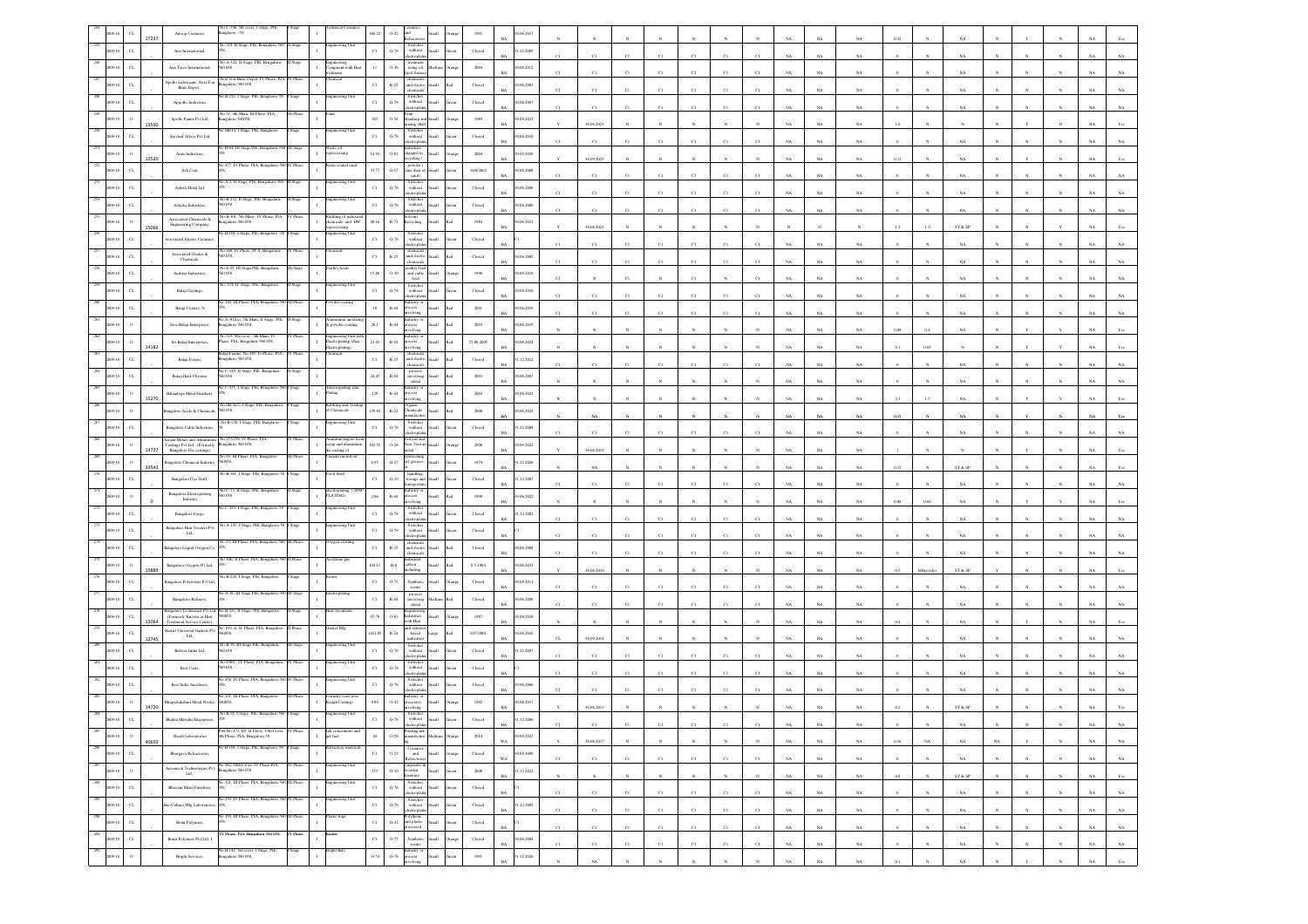|                                   | Anoop Ceram                                                                  | a.C-246, 5tl<br>iglaore - 58                                                                             |             |                                                                | 60.2                    | $0 - 22$               |                                                                                            |                                |                                                     | 06.201                    |             |             |              |             |                |                         |              |             |             |             |                      |              |                         |             |              |              |             |             |
|-----------------------------------|------------------------------------------------------------------------------|----------------------------------------------------------------------------------------------------------|-------------|----------------------------------------------------------------|-------------------------|------------------------|--------------------------------------------------------------------------------------------|--------------------------------|-----------------------------------------------------|---------------------------|-------------|-------------|--------------|-------------|----------------|-------------------------|--------------|-------------|-------------|-------------|----------------------|--------------|-------------------------|-------------|--------------|--------------|-------------|-------------|
| $\alpha$                          | Anz International,                                                           | No.519, II Stage, PIE, Bengaluru-56                                                                      | I Stage     | ering Uni                                                      | $_{\rm C1}$             | $\,$ G-78 $\,$         | Switches<br>without                                                                        | Small                          | $\operatorname{Closed}$                             | .12.2009                  |             |             |              |             |                |                         |              |             |             |             |                      |              |                         |             |              |              |             |             |
| $_{\rm{CL}}$                      | Anz Tyres International.                                                     | 0.058                                                                                                    |             | gmeering<br>ompnent with Heat                                  | $11\,$                  | 0.36                   | ectrophat<br>treatmen<br>using oil                                                         | Medium                         | 2004                                                | 0.09.2012                 |             |             |              |             | C1             |                         |              |             | NA          |             |                      |              |                         |             |              |              |             |             |
|                                   | Apollo Lubricants, Next Ton                                                  | Next Ton Bmtc Depot, IV Phase, PLA<br>ngalaru-560 058,                                                   |             |                                                                |                         |                        | ed fun<br>chemical                                                                         |                                |                                                     | RA                        | C1          |             |              |             | C1             | C1                      | CI           |             | <b>NA</b>   | NA          |                      |              |                         |             |              |              |             |             |
|                                   | Britic Depot,                                                                | io.B-222, I Stage, PIE, Bangl                                                                            |             |                                                                | $_{\rm Cl}$             | $\mathbb{R}\text{-}25$ | and electro<br>chemicals<br>Switches<br>without                                            |                                | $\operatorname{Closed}$                             | 06.2003                   | C1          | C1          |              | C1          | C1             | $_{\rm CI}$             | C1           |             | NA          | $_{\rm NA}$ |                      |              |                         |             |              |              |             |             |
| $\alpha$                          | Appollo Industries,                                                          | o.51, 4th Main, III Phase, PIA,                                                                          |             |                                                                | $_{\rm{C1}}$            | $\,$ G-78 $\,$         | ctropha                                                                                    |                                | $\operatorname{Closed}$                             | 1.06.2007                 | C1          | C1          | C1           | CI          | $_{\rm C1}$    | $_{\rm CI}$             | CI           |             | NA          | NA          |                      |              | NA                      |             |              |              |             |             |
| 13590                             | Apollo Paints Pvt Ltd,                                                       | ngalore-560058.<br>o.SB-44, I Stage, PIE, Banglaore                                                      |             |                                                                | $303\,$                 | 0.54                   | Paint<br>blending an<br>ixing (Ball                                                        |                                | 1984                                                | 0.09.2021                 |             | 30.06.2021  |              |             |                |                         |              |             | NA          | $_{\rm NA}$ |                      |              |                         |             |              |              |             |             |
|                                   | Aravind Alloys Pvt Ltd,                                                      |                                                                                                          |             | teering Un                                                     | $_{\rm C1}$             | $\,$ G-78 $\,$         | Switches<br>without<br>ectropha                                                            | llam                           | ${\it Closed}$                                      | 06.2010                   | C1          | $_{\rm C1}$ | C1           | C1          | $_{\rm C1}$    | $_{\rm CI}$             |              |             | $_{\rm NA}$ | $_{\rm NA}$ |                      |              | $_{\rm NA}$             |             |              |              |             |             |
| 12520                             | Arun Industries,                                                             | o.B-64, III Stage, PIE, Bengaluru                                                                        |             | 'aste oil<br>cessing                                           | 14.93                   | $0 - 81$               | Industries<br>engaged in<br>cling /                                                        | Iliami                         | 2004                                                | 0.09.2030                 |             | 30.09.2025  |              |             |                |                         |              |             | NA          | NA          |                      |              |                         |             |              |              |             |             |
| $_{\rm CL}$                       | Ash Coat,                                                                    | 77, IV Phase, PIA, Benga                                                                                 |             |                                                                | 33.77                   | $G-57$                 | powder<br>fine dust of Small                                                               |                                | 16/8/2002                                           | 0.06.2008                 |             |             |              |             |                |                         |              |             |             |             |                      |              |                         |             |              |              |             |             |
| $\alpha$                          | Ashish Metal Ltd, $\,$                                                       | o.A-2, II Stage, PIE, Bengaluru-56                                                                       |             |                                                                | $_{\rm Cl}$             | $\,$ G-78 $\,$         | sand)<br>Switches<br>without                                                               | Ilamõ                          | $\operatorname*{Closed}% \left( \mathcal{M}\right)$ | 0.06, 2008                |             | C1          |              |             | C1             |                         |              |             | NA          | NA          |                      |              |                         |             |              |              |             |             |
| $\alpha$                          | Ashoka Industries,                                                           | 40.B-232, II Stage, PIE, Bengaluru<br>D 0.58                                                             |             | ineering U                                                     | $_{\rm Cl}$             | $\,$ G-78 $\,$         | ctroph<br>Switches<br>without                                                              |                                | Closed                                              | 0.06.2009                 |             | C1          | C1           | C1          | $\overline{c}$ | C1                      |              |             | NA          | $_{\rm NA}$ |                      |              | $_{\rm NA}$             |             |              |              |             |             |
|                                   | Associated Chemicals &                                                       | o.B-301, 5th Main , IV Phase, PIA                                                                        |             | lling of ind                                                   |                         |                        | monte                                                                                      |                                |                                                     |                           |             | C1          | CI           |             | C1             | CI                      |              |             | NA          | NA          |                      |              | NA                      |             |              |              |             |             |
| $\circ$<br>15066                  | Engineering Company,                                                         | ngalaru-560 058<br>40.B-104, I Stage, PIE, Bangalore                                                     |             | emicals and HW<br>ering Uni                                    | 48.16                   | $R-72$                 | lecycling                                                                                  | <b>Iliam</b>                   | $1984\,$                                            | 0.06.2021                 |             | 30.06.2021  |              |             |                |                         |              |             |             |             | 1.2                  |              | ${\rm ST}$ & ${\rm SP}$ |             |              |              |             |             |
| $\alpha$                          | ssociated Electro Ceramics.                                                  | 368, IV Phas                                                                                             |             |                                                                | $_{\rm C1}$             | $\operatorname{G-78}$  | Switches<br>without<br>ectrophi                                                            |                                | $\operatorname{Closed}$                             |                           | C1          | C1          | C1           | CI          | $_{\rm C1}$    | $_{\rm CI}$             |              |             | NA          | NA          |                      |              | NA                      |             |              |              |             |             |
| $\alpha$                          | Associated Oxides &<br>Chemicals,                                            | 0.058,                                                                                                   |             |                                                                | $_{\rm C1}$             | $\mathbb{R}{\cdot}25$  | themical<br>and electro<br>hemical                                                         | Iliami<br>h.                   | Closed                                              | 0.06.2005                 |             |             |              |             | C1             | $\mathcal{C}^{\dagger}$ |              |             | NA          |             |                      |              |                         |             |              |              |             |             |
| $\alpha$                          | Auditya Industries,                                                          | No.S-25, III Stage, PIE, Bengaluri<br>0058                                                               | II Stage    | ltry feeds                                                     | 15.86                   | 0.30                   | poultry feed<br>and cattle<br>${\rm feed}$                                                 |                                | $19\!\,50$                                          | 09.2010<br><b>BA</b>      |             |             |              |             |                |                         |              |             | NA          | NA          |                      |              |                         |             |              |              |             |             |
|                                   | Balaji Castings,                                                             | 114, II Stage, PIE, E                                                                                    |             |                                                                | $_{\rm C1}$             | $\operatorname{G-78}$  | Switches<br>without                                                                        |                                | $\operatorname{Closed}$                             | 0.9.2010                  | C1          | C1          |              |             | CI             | CI                      | CI           |             |             |             |                      |              | NA                      |             |              |              |             |             |
|                                   | Balaji Coaters, N                                                            | šo.120, III Phase, PIA, Bengaluru-5                                                                      |             | vder coating                                                   | $18\,$                  | $\mathbb{R}\text{-}44$ | ctroph<br>lustry o<br>cess                                                                 |                                | 2001                                                | 0.06.2019                 |             |             |              |             |                |                         |              |             | NA          | NA          |                      |              |                         |             |              |              |             |             |
|                                   | Sree Balaji Enterprises,                                                     | 40.A-302(a), 7th Main, II Stage, PIE,<br>ngalaru-560 058,                                                | II Stage    | minium anod<br>powder coating                                  | $26.1\,$                | $_{\rm R-44}$          | olving<br>dustry<br>×ess                                                                   |                                | $2003\,$                                            | 0.06.2019                 |             | C1          |              |             | C1             | $\mathbf{C}$            |              |             | NA          | $_{\rm NA}$ |                      |              |                         |             |              |              |             |             |
|                                   |                                                                              | šo.333, 9th cross , 4th Main, IV                                                                         |             |                                                                |                         |                        | lving                                                                                      |                                |                                                     |                           |             |             |              |             |                |                         |              |             | $_{\rm NA}$ | $_{\rm NA}$ | 0.08                 |              | NA                      |             |              |              |             |             |
| $\circ$<br>14182                  | Sri Balaji Enterprises,                                                      | ase, PIA, Bengalaru-560 058,<br>ilaji Foanis, No.485, I                                                  |             | ingineering Unit with<br>Eectroplating (Zinc<br>Eectroplating) | 23.45                   | $\mathbb{R}\text{-}44$ | xess<br>olving                                                                             | Small<br>lo:                   | 27.06.2005                                          | 0.06.2024<br><b>BA</b>    |             |             |              |             |                | N                       |              | NA          | $_{\rm NA}$ | NA          | 0.1                  | 0.05         |                         |             |              |              |             |             |
| CL                                | Balaji Foams                                                                 | ngalaru-560 058,<br>No.C-185, II Stage, PIE, Bengaluru                                                   |             |                                                                | $_{\rm C1}$             | $\mathbb{R}\text{-}25$ | $% \left\vert \phi _{0}\right\rangle _{0}$ and electro chemicals                           | Iliami<br>ha!                  | $\rm Closed$                                        | 1.12.2012                 |             | C1          | C1           |             | C1             | C1                      |              |             | NA          | $_{\rm NA}$ |                      |              |                         |             |              |              |             |             |
| $\alpha$                          | Balaji Hard Chrome,                                                          | 560 058                                                                                                  |             |                                                                | $\scriptstyle\rm 24.45$ | $R-44$                 | $\begin{array}{c} \mathbf{process} \\ \mathbf{involving} \\ \mathbf{metal} \end{array}$    | <b>Iliami</b><br>ho!           | $2003\,$                                            | 0.06.2007<br><b>BA</b>    |             |             |              |             |                |                         |              |             | NA          | NA          |                      |              |                         |             |              |              |             |             |
| $\circ$<br>15270                  | Balambiga Metal Finishers,                                                   | .C-435, I Stage, PIE, Bengal                                                                             |             | ctroplating Zii<br>sting                                       | 129                     | $\mathbb{R}\text{-}44$ | ustry o<br>xess<br>olvina                                                                  | <b>Illami</b>                  | 2003                                                | 0.06.2022<br>RA           |             |             |              |             |                |                         |              |             | NA          | NA          |                      |              |                         |             |              |              |             |             |
| $\Omega$                          | ngalore Acids & Chemicals,                                                   | o.SB-42/1, I Stage<br>560 058,                                                                           |             | illing and<br>Chemicals                                        | 139.84                  | $\mathbb{R}\text{-}22$ | hemicals<br>ufact                                                                          | Iliam                          | 2000                                                | 0.06.2024                 |             | NA          |              |             |                |                         |              |             | NA          | $_{\rm NA}$ | 0.19                 |              |                         |             |              |              |             |             |
| $\alpha$                          | Bangalore Cable Industries                                                   | No.B-230, I Stage, PIE, Banglaore                                                                        |             | teering Unit                                                   | $_{\rm Cl}$             | $\,$ G-78 $\,$         | Switches<br>without                                                                        |                                | Closed                                              | .12.2008                  |             |             |              |             |                |                         |              |             |             |             |                      |              |                         |             |              |              |             |             |
| $\circ$                           | siaan Metals and Alumin<br>Castings Pvt Ltd., (Formerly                      | 257/258, IV Phase, PL<br>ngalaru-560 058,                                                                |             | inium Ingot                                                    | 302.55                  | $0.28\,$               | ectropha<br>Non-ferro                                                                      | Iliami                         | 2006                                                | 0.09.2022                 | C1          | C1          | CI           | CI          | C1             | CI                      |              |             | NA          | NA          |                      |              | NA                      |             |              |              |             |             |
| 14727                             | Bangalore Die castings)                                                      | No.93, III Phase, PIA, Ban                                                                               |             | icrap and alumini<br>fie casting of<br>io bluom tnen           |                         |                        | tal<br>abricatin                                                                           |                                |                                                     | RA                        |             | 30.06.2019  |              |             |                |                         |              |             | NA          | NA          |                      |              |                         |             |              |              |             |             |
| 33543                             | ingalore Chemical Industry,                                                  | 50058,<br>a B-381. I Stan                                                                                |             |                                                                | $6.95\,$                | $_{\mathrm{G-27}}$     | il, greases                                                                                | Small                          | 1974                                                | .12.2026                  |             | NA          |              |             |                |                         |              |             | NA          | $_{\rm NA}$ | 0.15                 |              | ST & SP                 |             |              |              |             |             |
|                                   | Bangalore Dye Stuff,                                                         | o.C-75, II Stage, PIE, Bengal                                                                            |             |                                                                | $_{\rm C1}$             | $_{\mathrm{G-19}}$     | torage and Small<br>lustry or                                                              |                                | $\operatorname{Closed}$                             | 1.12.2007                 |             |             |              |             | C1             |                         |              |             | NA          |             |                      |              |                         |             |              |              |             |             |
|                                   | Bangalore Electroplating<br>Industry                                         | 0.058                                                                                                    |             | electroplating ( ZIM<br>PLATING)                               | $2.86\,$                | R-44                   | rocess<br>nivin                                                                            | <b>Illami</b>                  | 1998                                                | 0.06.2022                 |             |             |              |             |                |                         |              |             | NA          | $_{\rm NA}$ |                      |              |                         |             |              |              |             |             |
|                                   | Bangalore Forge,                                                             | .C-283, I Stage, PIE, Bangla                                                                             |             | teering Un                                                     | $_{\rm Cl}$             | $\,$ G-78 $\,$         | Switcher<br>$% \left\vert \left( \mathbf{1}_{\mathbf{1}}\right) \right\rangle$ without     |                                | $\operatorname{Closed}$                             | .12.2002                  | C1          | C1          |              | C1          | $\overline{c}$ | C1                      | $_{\rm CI}$  |             | NA          | $_{\rm NA}$ |                      |              | $_{\rm NA}$             |             |              |              |             |             |
| $\alpha$                          | <b>Bangalore Heat Treaters Pv</b><br>Ltd.                                    | A-147, I Stage, PIE, Bangl                                                                               |             | eering Ur                                                      | $_{\rm C1}$             | $\,$ G-78 $\,$         | Switches<br>without<br>ectropha                                                            |                                | Closed                                              |                           | C1          | C1          | CI           | CI          | $_{\rm C1}$    | C1                      | CI           |             | NA          | NA          |                      |              | NA                      |             |              |              |             |             |
| $_{\rm CL}$                       | angalore Liquid Oxygen Co,                                                   | o.83, III Phase, PIA, Bengaluru-5                                                                        | I Phas      | ygen refilling                                                 | $_{\rm C1}$             | $\mathbb{R}\text{-}25$ | chemicals<br>and electro                                                                   | Small                          | Closed                                              | 0.06.2008<br>RA           |             |             |              |             |                |                         |              |             |             |             |                      |              |                         |             |              |              |             |             |
| $\circ$                           | Bangalore Oxygen (P) Ltd,                                                    | io.10E. II Phase, PIA, Bengaluru-                                                                        |             | etylene ga                                                     | 104.11                  | $\mathbb{R}\mbox{-}6$  | emical<br>arbon                                                                            |                                | 8.5.1984                                            | 06.2023                   | C1          | $_{\rm C1}$ | C1           | C1          | $_{\rm C1}$    | C1                      | CI           |             | NA          | $_{\rm NA}$ |                      |              | $_{\rm NA}$             |             |              |              |             |             |
| 15889<br>$\alpha$                 | angalore Polyresins Pvt Ltd                                                  | B-228, I Stage, PIE,                                                                                     |             |                                                                | $_{\rm Cl}$             | 0.75                   | Synthetic                                                                                  | Small                          | Closed                                              | 0.09.2011                 |             | 30.06.2010  |              |             |                |                         |              |             | $_{\rm NA}$ | $_{\rm NA}$ | 0.5                  | 0(Recycle)   | ${\rm ST}$ & ${\rm SP}$ |             |              |              |             |             |
|                                   |                                                                              | A-18, III Stage, PIE                                                                                     |             |                                                                |                         |                        | resins<br>process                                                                          |                                |                                                     |                           |             | CI          |              |             | C1             | CI                      |              |             | NA          | NA          |                      |              |                         |             |              |              |             |             |
| CL                                | Bangalore Refinery,<br>angalore Technomet Pvt Ltd No.B-223, II Stage, PIE, I |                                                                                                          |             |                                                                | $_{\rm{C1}}$            | $R-44$                 | involving<br>$_{\rm metal}$                                                                | Medium <sup>1</sup><br>h.      | $\operatorname{Closed}$                             | 0.06.2008<br><b>BA</b>    |             | C1          | CI           |             | C1             | CI                      |              |             | NA          | $_{\rm NA}$ |                      |              | NA                      |             |              |              |             |             |
| $_{\rm CL}$<br>12064              | Formerly Known as Heat<br>Treatment Service Centre)                          | 0058,                                                                                                    |             |                                                                | 97.79                   | $0 - 63$               | dustries<br>ith Heat                                                                       |                                | $1987\,$                                            | 1.06.2018                 |             |             |              |             |                |                         |              |             | NA          | NA          |                      |              | NA                      |             |              |              |             |             |
| CL<br>12745                       | Basrur Universal Gaskets Pvt<br>Ltd.                                         | 0058.                                                                                                    |             |                                                                | 1412.85                 | $R - 24$               | and asbest<br>based<br>industries                                                          |                                | 107/2001                                            | 0.06.2010                 |             | 30.09.2014  |              |             |                |                         |              |             | NA          |             |                      |              |                         |             |              |              |             |             |
| $\alpha$                          | Beltron India Ltd,                                                           | No.B-38, III Stage, PIE, Bengaluru<br>0.058                                                              | III Stage   | neering Uni                                                    | $_{\rm C1}$             | $G-78$                 | Switches<br>without                                                                        |                                | Closed                                              | .12.2007                  |             | C1          |              |             |                |                         |              |             | NA          | NA          |                      |              |                         |             |              |              |             |             |
|                                   | Best Coats,                                                                  | <b>ASS/C. IV P</b>                                                                                       |             |                                                                | $_{\rm Cl}$             | $\operatorname{G-78}$  | with out<br>ctroph                                                                         |                                | $\operatorname{Closed}$                             |                           | C1          | C1          | CI           | CI          | C1             | C1                      |              |             | $_{\rm NA}$ | NA          |                      |              | NA                      |             |              |              |             |             |
| $\alpha$                          | Best India Anodisers,                                                        | o.458, IV Phase, PIA, Bengaluru-                                                                         |             | teering Uni                                                    | $_{\rm Cl}$             | $\mbox{G-78}$          | Switches<br>without                                                                        |                                | Closed                                              | 0.06.2006                 |             |             |              |             |                |                         |              |             |             |             |                      |              |                         |             |              |              |             |             |
| $\,$ o                            | hagyalakshmi Metal Works,                                                    | o.121, III Phase, PIA, B<br>coss.                                                                        |             | oundry (cast iron<br>ough Casting)                             | 9.89                    | $0 - 42$               |                                                                                            |                                | 1992                                                | 1.06.2017                 |             |             |              |             |                |                         |              |             |             |             |                      |              |                         |             |              |              |             |             |
| 14720<br>$\alpha$                 |                                                                              |                                                                                                          |             |                                                                |                         | $G-78$                 | Switches<br>without                                                                        |                                | Closed                                              | .12.2006                  |             |             |              |             |                |                         |              |             |             |             |                      |              | ST & S                  |             |              |              |             |             |
| 285                               | <b>Bhakta Maruthi Enterp</b>                                                 | Plot No.473, D5, II Floor, 13th Cross, 1                                                                 | V Phase     | Ink conce<br>get fuel                                          |                         |                        |                                                                                            |                                |                                                     | <b>BA</b>                 |             | C1          |              |             |                |                         |              | NA          | NA          | NA          |                      |              | NA.                     |             |              |              | NA.         | NA          |
| $\,$ 0<br>2009-10<br>40659<br>286 | Sheab Laboratories                                                           | 4th Phase, PIA, Bengalore-58<br>Vo.B-104, I Stage, PIE, Banglaore-58                                     | Stage       | $\mathbf{I}$<br>efractory mater                                | $44\,$                  | $0.58\,$               | Printing ink<br>manufacturi Medium<br>na                                                   |                                | 2014                                                | 30.09.2023<br>$_{\rm WA}$ |             | 30.06.2017  | $\mathbf{N}$ | $_{\rm N}$  | $\mathbf{N}$   | $\mathbf{N}$            | $\mathbf{N}$ | $_{\rm NA}$ | $_{\rm NA}$ | $_{\rm NA}$ | $0.16\,$             | $_{\rm NA}$  | $_{\rm NA}$             | $_{\rm NA}$ | $\mathbf{v}$ | $\mathbf{N}$ | $_{\rm NA}$ | $_{\rm NA}$ |
| $_{\rm{CL}}$<br>2009-10           | Bhargava Refractories,                                                       |                                                                                                          |             |                                                                | $_{\rm C1}$             | $0 - 22$               | Ceramics<br>and<br>defractories                                                            | $\operatorname{Small}$<br>rang | $\operatorname*{Closed}% \left( \mathcal{M}\right)$ | 0.09.2009<br>$_{\rm WA}$  | $_{\rm Cl}$ | $_{\rm C1}$ | $_{\rm C1}$  | $_{\rm C1}$ | $_{\rm C1}$    | $_{\rm C1}$             | $_{\rm C1}$  | $_{\rm NA}$ | $_{\rm NA}$ | $_{\rm NA}$ |                      |              | $_{\rm NA}$             |             |              |              | $_{\rm NA}$ | $_{\rm NA}$ |
| 287<br>$\circ$<br>009-10          |                                                                              | $\begin{tabular}{ll} Aeromech Technologies Pvt & No.362, 10th Cross, IV Phasc, PIA, 13d., \end{tabular}$ | / Phase     | agineering Unit                                                | $15\mathrm{3}$          | $_{\mathrm{G-10}}$     | Carpentry &<br>wooden<br>furniture                                                         | Small<br>Green                 | 2008                                                | 1.12.2022<br>BA           | $_{\rm N}$  | N           | N            | $_{\rm N}$  | N              | N                       | $\mathbb{N}$ | NA          | $_{\rm NA}$ | NA          | 0.8                  | $\mathbf{N}$ | ST & SP                 |             | $_{\rm N}$   | $_{\rm N}$   | NA          | Yes         |
| 288<br>$_{\rm CL}$<br>2009-10     | Bhavani Metal Finishers,                                                     | io.121, III Phase, PIA, Bengaluru-5                                                                      | 0 III Phase | gineering Uni                                                  | $_{\rm C1}$             | $\,$ G-78 $\,$         | Switches<br>without Small<br>electroplatin                                                 | ireen                          | ${\bf Closed}$                                      | <b>BA</b>                 | $_{\rm C1}$ | C1          | $_{\rm C1}$  | $_{\rm C1}$ | $_{\rm C1}$    | $_{\rm C1}$             | $_{\rm C1}$  | $_{\rm NA}$ | $_{\rm NA}$ | $_{\rm NA}$ | $\alpha$             |              | $_{\rm NA}$             | $_{\rm N}$  | $\mathbb{N}$ | $_{\rm N}$   | $_{\rm NA}$ | $_{\rm NA}$ |
| 289<br>$_{\rm{CL}}$               | io-Culture Mfg Laboratorie                                                   | No.259, IV Phase, PIA, Bengaluru-560 IV Phase                                                            |             | ingineering Unit                                               | $_{\rm{Cl}}$            | $\,$ G-78 $\,$         | Switches<br>without<br>electroplatin                                                       | Small<br>ireen                 | ${\rm Closed}$                                      | 1.12.2005<br><b>BA</b>    | C1          | C1          | $_{\rm C1}$  | C1          | C1             | $_{\rm C1}$             | $_{\rm C1}$  | $_{\rm NA}$ | NA          | $_{\rm NA}$ |                      |              | $_{\rm NA}$             |             |              |              | $_{\rm NA}$ | NA          |
| 290<br>$_{\rm{CL}}$<br>009-10     | Bonn Polymers,                                                               | .194, III Phase, PIA, Bengaluru                                                                          | III Phas    | stic bags                                                      | $_{\rm{Cl}}$            |                        | Polythene<br>G-32 and plastic Small                                                        | Green                          | ${\it Closed}$                                      |                           |             |             |              |             |                |                         |              |             |             |             |                      |              |                         |             |              |              |             |             |
| 291<br>$_{\rm CL}$<br>009-10      | Bonn Polymers Pvt Ltd, I                                                     | IV Phase, PIA, Bengalura-560 058,                                                                        | IV Phase    |                                                                | $_{\rm C1}$             | 0.75                   | esed                                                                                       | Small                          | Closed                                              | <b>BA</b><br>90.06.2004   | C1          | C1          | C1           | C1          | C1             | C1                      | C1           | NA          | $_{\rm NA}$ | $_{\rm NA}$ |                      |              | NA                      |             | $\mathbf{N}$ | $\mathbf{N}$ | NA          | $_{\rm NA}$ |
| 292<br>$\,$ 0 $\,$<br>19-10       | Bright Services,                                                             | No.B-142, 3rd cross, I Stage, PIE,<br>Bengaluru-560 058,                                                 | I Stage     | Bright Bars<br>$\mathbf{1}$                                    | 33.53                   | $\operatorname{G-78}$  | $\begin{array}{c} \text{Synthetic} \\ \text{resins} \end{array}$<br>Industry or<br>process | Small                          | $1991\,$                                            | <b>BA</b><br>1.12.2026    | $_{\rm C1}$ | $_{\rm C1}$ | $_{\rm C1}$  | $_{\rm C1}$ | $_{\rm C1}$    | $_{\rm C1}$             | $_{\rm C1}$  | $_{\rm NA}$ | $_{\rm NA}$ | $_{\rm NA}$ | $\ddot{\phantom{0}}$ | $\mathbf{N}$ | $_{\rm NA}$             | $_{\rm N}$  | $\mathbb{N}$ | $_{\rm N}$   | $_{\rm NA}$ | $_{\rm NA}$ |
|                                   |                                                                              |                                                                                                          |             |                                                                |                         |                        | saivlova                                                                                   |                                |                                                     | <b>BA</b>                 |             | NA          |              |             |                |                         |              | NA          | $_{\rm NA}$ | $_{\rm NA}$ | 0.1                  |              | NA                      |             |              |              | NA          | Yes         |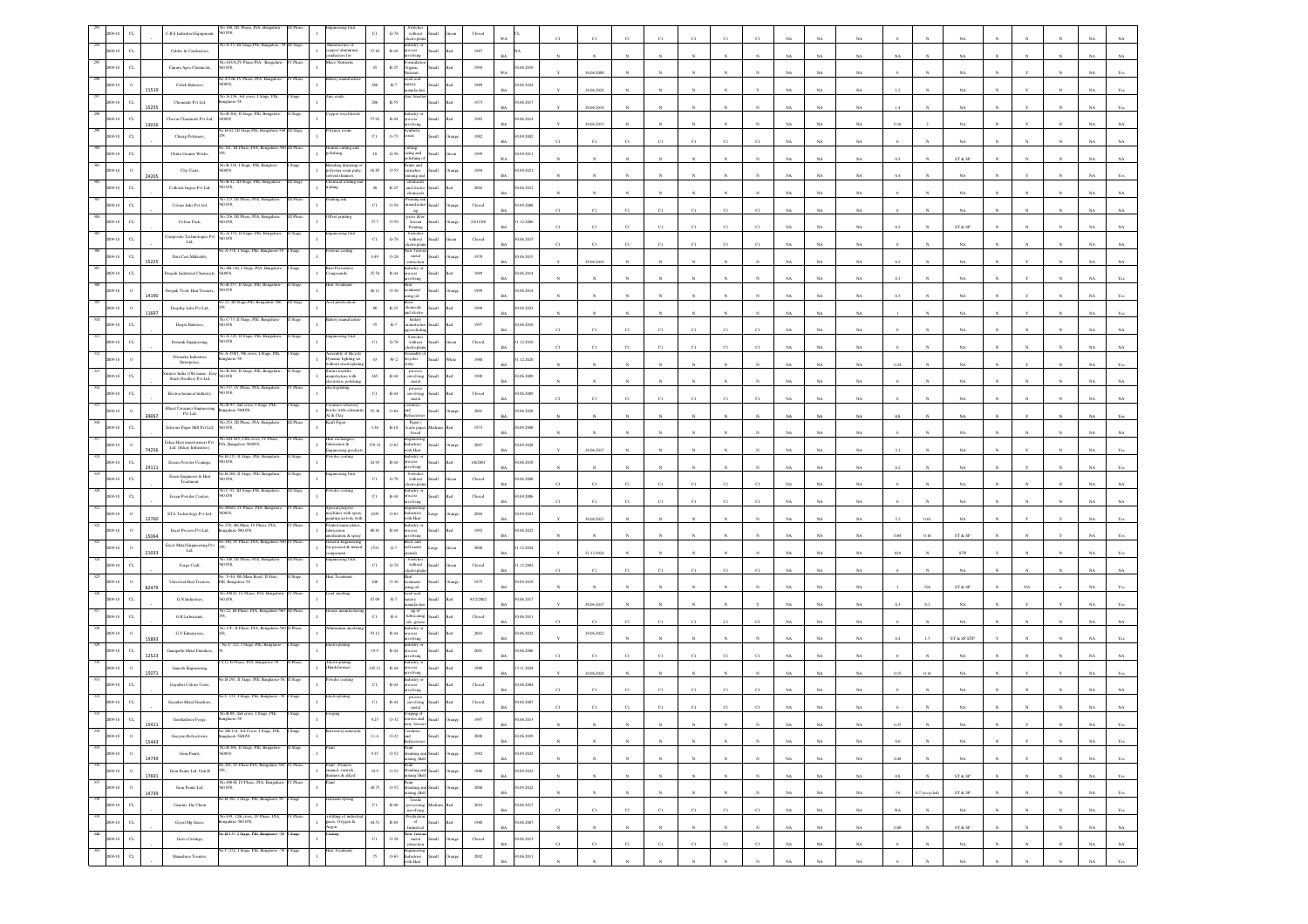|     |                             |       | <b>C.B.S</b> Industrial Equipmen                                                    | Vo.160, III Phase<br>058,                                       |          |                                                             | CI              | $G-78$<br>$% \left\vert \left( \mathbf{1}_{\mathbf{1}_{\mathbf{1}}},\mathbf{1}_{\mathbf{1}_{\mathbf{2}}},\mathbf{1}_{\mathbf{2}}\right) \right\rangle$ without           |       |                         |                             |              |             |                |              |              |              |             |             |             |             |             |                |                         |              |              |            |             |                   |
|-----|-----------------------------|-------|-------------------------------------------------------------------------------------|-----------------------------------------------------------------|----------|-------------------------------------------------------------|-----------------|--------------------------------------------------------------------------------------------------------------------------------------------------------------------------|-------|-------------------------|-----------------------------|--------------|-------------|----------------|--------------|--------------|--------------|-------------|-------------|-------------|-------------|-------------|----------------|-------------------------|--------------|--------------|------------|-------------|-------------------|
|     | $_{\rm{CL}}$                |       | Cables & Conductors                                                                 | Vo.A-15, III Stage, PIE, Bangalore -5                           | HI Stage | danufacture of<br>opper/ aluminur                           | 37.84           | ndustry or<br>rocess<br>$\,$ R-44                                                                                                                                        |       | $1987\,$                |                             |              |             |                |              |              |              |             |             |             |             |             |                |                         |              |              |            |             |                   |
|     | C1                          |       | Canara Agro Chemicals,                                                              | 058.                                                            |          | ductors for                                                 | $45 -$          | volving<br>$\mathbb{R}\text{-}25$<br><b>Irganic</b>                                                                                                                      |       | 1994                    | 0.06.2019                   |              |             |                |              |              |              |             |             | NA          |             |             |                |                         |              |              |            |             |                   |
|     |                             |       |                                                                                     | 0.471/B, IV Phase, PIA, Bangal<br>058,                          |          | tery manufacti                                              |                 | .<br>Irina<br>Lead acid                                                                                                                                                  |       |                         | <b>WA</b>                   |              | 30.06.2008  |                |              |              |              |             |             | NA          | NA          |             |                | NA                      |              |              |            |             |                   |
|     |                             | 11519 | Celtek Batteries,                                                                   | o.A-156, 3rd c                                                  |          |                                                             |                 | $\mathbb{R}.7$<br>attery<br>ianufact<br>ine Smel                                                                                                                         |       | $1989\,$                | (06, 2024)<br>BA            |              | 30.06.2024  |                |              |              |              |             |             | NA          | $_{\rm NA}$ |             |                | NA                      |              |              |            |             |                   |
|     | $\alpha$                    | 15255 | Chemitals Pvt Ltd,                                                                  | glaore-58<br>o.B-304, Il Stage, PIE, Bangalor                   |          |                                                             | 286             | R-55                                                                                                                                                                     |       | 1973                    | (06.2017<br><b>BA</b>       |              | 30.06.2018  |                |              |              |              |             | NA          | NA          | NA          |             |                | NA                      |              |              |            |             |                   |
|     | C1                          | 13016 | Chevur Chemicals Pvt Ltd                                                            | 8200                                                            |          | per oxychl                                                  | 57.92           | $R - 44$<br>ocess<br>rolvins                                                                                                                                             |       | 1982                    | 0.06.2014<br>BΑ             |              | 30.06.2015  |                |              |              |              |             | NA          | NA          | $_{\rm NA}$ | $0.16\,$    |                | $_{\rm NA}$             |              |              |            |             |                   |
|     | $\alpha$                    |       | Chirag Polymers,                                                                    | io.B-42. III Stage.PIE. Bengaluru-5                             |          |                                                             | $_{\rm C1}$     | vntheti<br>0.75<br>sins                                                                                                                                                  |       | $1982\,$                | (09.2002)<br>ΒA             | $\mathbf{C}$ | $_{\rm C1}$ | $\overline{c}$ | $_{\rm C1}$  | C1           | C1           | CI          |             | $_{\rm NA}$ | $_{\rm NA}$ |             |                | $_{\rm NA}$             |              |              |            |             |                   |
|     | $\alpha$                    |       | Chitra Granite Works,                                                               | o.141, III Phase, PIA, Benga                                    |          | inite cutting a<br>shing                                    | 10 <sup>°</sup> | itting,<br>$G-56$<br>izing and<br>dishing o                                                                                                                              |       | 1999                    | 0.09.2011<br>W <sub>A</sub> |              |             |                |              |              |              |             |             | NA          | NA          |             |                | ST & SP                 |              |              |            |             |                   |
|     | $\circ$                     |       | City Coats,                                                                         | <b>B-318, I Stage</b><br>8200                                   |          | ding &mixing<br>yester resin pu                             | 16.85           | ints and<br>$0 - 55$<br>amishes                                                                                                                                          |       | 1994                    | 0.09.2021                   |              |             |                |              |              |              |             |             |             |             |             |                |                         |              |              |            |             |                   |
|     | $\alpha$                    | 420   | Colloids Impex Pvt Ltd,                                                             | No.B-42, III Stage, PIE, Benga<br>058,                          |          | ical refiling<br>ling                                       | $40\,$          | ixing and<br>$\mathbb{R}\text{-}25$                                                                                                                                      |       | $2002\,$                | <b>BA</b><br>(06.2012)      |              |             |                |              |              |              |             |             | NA          | $_{\rm NA}$ | 04          |                | NA                      |              |              |            |             |                   |
|     |                             |       |                                                                                     | 0.123, III Phase, PIA, Bengal                                   |          | ting inl                                                    |                 | enemicals<br>and electro<br>chemicals<br>nting ir                                                                                                                        |       |                         | BA                          |              |             |                |              |              |              |             |             | NA          | $_{\rm NA}$ |             |                | $_{\rm NA}$             |              |              |            |             |                   |
|     | $\alpha$                    |       | Colour Inks Pvt Ltd,                                                                | 058,<br>.216, III Phase, PIA, I                                 |          | et printing                                                 | $_{\rm Cl}$     | 0.58<br>mufacte<br>ng<br>press &/or                                                                                                                                      |       | Closed                  | 0.09.2008<br>RA             |              | C1          | C1             | C1           | C1           | C1           | CI          |             | NA          | NA          |             |                | NA.                     |              |              |            |             |                   |
|     | $_{\rm{CL}}$                |       | Colour Pack,                                                                        | 058.<br>io.A-151, II Stage, PIE, B                              |          | eering Uni                                                  | 37.7            | $0 - 59$<br>Screen<br>Printing                                                                                                                                           |       | 24/11/98                | 1.12.2006<br><b>BA</b>      | C1           | $_{\rm C1}$ | $_{\rm C1}$    | C1           | C1           | C1           | CI          | NA          | NA          | $_{\rm NA}$ | 0.2         |                | ${\rm ST}$ & ${\rm SP}$ |              |              |            |             |                   |
|     | C1                          |       | Composite Technologies Pv<br>Lad,                                                   |                                                                 |          |                                                             | $_{\rm C1}$     | Switches<br>without<br>$_{\mathrm{G-78}}$<br>ectrophi                                                                                                                    |       | Closed                  | (06.2015<br>B٨              | C1           | C1          | C1             | C1           | $_{\rm C1}$  | $_{\rm CI}$  | CI          | NA          | NA          | NA          |             |                | NA                      |              |              |            |             |                   |
|     | $_{\rm{CL}}$                |       | Data Cast Malleable,                                                                | 370, I Stage.                                                   |          |                                                             | 4.49            | on- fer<br>$O-28$<br>metal<br>win                                                                                                                                        |       | 1978                    | 0.06.2015                   |              | 30.06.2010  |                |              |              |              |             |             | NA          | NA          |             |                |                         |              |              |            |             |                   |
|     | $\sigma$                    |       | eepak Industrial Chemical                                                           | No.SB-116, I Stage, PIA, Bang<br>ooss.                          |          | ast Preventiv<br>dau                                        | 25.54           | dustry or<br>$\mathbb{R}\text{-}44$<br>cess<br>olving                                                                                                                    |       | 1989                    | 0.06.2014<br><b>BA</b>      |              |             |                |              |              |              |             |             | NA          | $_{\rm NA}$ |             |                |                         |              |              |            |             |                   |
|     |                             |       | <b>Deepak Tools Heat Treaters</b>                                                   | o.B-257, II Sta<br>058                                          |          |                                                             | 46.11           | $0 - 36$<br>atment                                                                                                                                                       |       | 1999                    | (06.2014)                   |              |             |                |              |              |              |             |             |             |             |             |                |                         |              |              |            |             |                   |
|     |                             |       | Deepthy Labs Pvt Ltd,                                                               | 40.23, III Stage, PIE, Ben                                      |          | rid purificatio                                             | 86              | sing oil<br>hemicals<br>$R-25$                                                                                                                                           |       | 1999                    | BA<br>0.06.2023             |              |             |                |              |              |              |             |             | NA          | NA          | 0.3         |                | NA                      |              |              |            |             |                   |
|     | $_{\rm{CL}}$                | 1697  |                                                                                     | lo.C-73, Il Stage, PIE, Bengalur                                |          | ery manufac                                                 | 35              | nd electro<br>battery<br>$\mathbb{R}\text{-}7$<br>nufact                                                                                                                 |       | 1997                    | 0.06.2010                   |              |             |                |              |              |              |             | NA          | NA          | $_{\rm NA}$ |             |                | NA                      |              |              |            |             |                   |
|     |                             |       | Deepu Batteries,                                                                    | io.A-325, Il Stage, PIE, Be                                     |          | ering Un                                                    |                 | Switches<br>without                                                                                                                                                      |       |                         | <b>BA</b>                   | C1           | C1          | $_{\rm C1}$    | $_{\rm C1}$  | C1           | C1           | C1          | NA          | $_{\rm NA}$ | $_{\rm NA}$ |             |                | NA                      |              |              |            |             |                   |
|     | C1                          |       | Demink Engineering,                                                                 |                                                                 |          | nbly of Bicy                                                | $_{\rm C1}$     | $G-78$<br>ectropla                                                                                                                                                       |       | Closed                  | 1.12.2010<br>BA             | C1           | C1          | C1             | C1           | $_{\rm Cl}$  | $_{\rm C1}$  | $_{\rm C1}$ | $_{\rm NA}$ | $_{\rm NA}$ | NA          |             |                | $_{\rm NA}$             |              |              |            |             |                   |
|     | $\circ$                     |       | Dwaraka Industries<br>Enterprises,                                                  | sglaore-58<br>No.B-260, Il Stage, PIE, Bengalur                 |          | tamo lighting se<br>out electropla<br>ture needles          | 43              | $W-2$<br>écycles<br>haby                                                                                                                                                 |       | 1980                    | 1.12.2020                   |              |             |                |              |              |              |             |             | NA          | $_{\rm NA}$ | $_{0.24}$   |                | NA                      |              |              |            |             |                   |
|     | $_{\rm{CL}}$                |       | stures India (Old name : Eas<br>Stitch Needles) Pvt Ltd,                            | 058                                                             |          | ufactore with<br>roless polishir                            | $165\,$         | process<br>involving<br>$\,$ R-44 $\,$<br>all.<br>metal                                                                                                                  |       | 1998                    | 0.06.2009<br><b>BA</b>      |              |             |                |              |              |              |             |             | NA          | $_{\rm NA}$ |             |                |                         |              |              |            |             |                   |
|     | $_{\rm{CL}}$                |       | Electrochemical Industry,                                                           | 537, IV Phase, PIA, Benga<br>058,                               |          | roplating                                                   | $_{\rm C1}$     | process<br>$\mathbb{R}{\text{-}}44$<br>involving<br>metal                                                                                                                |       | Closed                  | 06.2009<br>RÁ               |              | CI          |                |              | C1           |              |             |             | NA          | NA          |             |                |                         |              |              |            |             |                   |
|     | $\circ$                     |       | Elheat Ceramics Engineering<br>Pvt Ltd,                                             | o.B-93, 2nd cross, 1<br>sgalore-560058,                         |          | amics refa<br>ricks with celem                              | 55.38           | $0 - 64$<br>ht.                                                                                                                                                          |       | 2001                    | 0.06.2028                   |              |             |                |              |              |              |             | NA          | NA          | $_{\rm NA}$ | 0.8         |                | $_{\rm NA}$             |              |              |            |             |                   |
|     | $_{\rm{CL}}$                |       | Eshwari Paper Mill Pvt Ltd,                                                         | No.253, III Phase, PIA, Bengaluru<br>058,                       |          | $d$ & Clay<br>raft Paper                                    | 3.36            | Paper (<br>waste pape<br>$\mathbb{R}\text{-}18$                                                                                                                          |       | 1973                    | (09.2008                    |              |             |                |              |              |              |             |             |             |             |             |                |                         |              |              |            |             |                   |
|     | $\Omega$                    |       | Eskay Heat transformers Pvt.                                                        | 444-445, 12th cross<br>PIA, Bangalore-560058,                   |          | ut exchange<br>abrication &                                 | 379.33          | based<br>$0 - 63$<br><b>ndustries</b>                                                                                                                                    |       | 2007                    | <b>BA</b><br>1.09.2028      |              |             |                |              |              |              |             |             | NA          | NA          |             |                | NA                      |              |              |            |             |                   |
|     |                             | 74256 | Ltd. (Eskay Industries),                                                            | No.B-215, II Stage, PIE, Benga<br>058                           |          | vder coating                                                |                 | ith Heat<br>dustry o                                                                                                                                                     |       |                         | <b>BA</b>                   |              | 30.06.2015  |                |              |              |              |             | NA          | NA          | NA          |             |                | NA.                     |              |              |            |             |                   |
|     | $_{\rm C1}$                 | 24111 | Essem Powder Coatings,                                                              | io.B-208, II Stage.                                             |          |                                                             | 42.95           | $\,$ R-44<br>seess<br>olving<br>Switches                                                                                                                                 |       | 1/6/2001                | (06, 2018)                  |              |             |                |              |              |              |             |             | $_{\rm NA}$ | $_{\rm NA}$ |             |                | NA                      |              |              |            |             |                   |
|     | $\alpha$                    |       | $\begin{array}{c} \textbf{Essen Engineers & Heat} \\ \textbf{Tredment} \end{array}$ | 058,<br>io.C-91, III Stage,PIE, Benga                           |          | vder coating                                                | $_{\rm C1}$     | $_{\mathrm{G-78}}$<br>without<br>ectrophi<br>dustry or                                                                                                                   |       | $\operatorname{Closed}$ | 0.06.2008<br>BA             |              | C1          |                |              | C1           |              |             |             | NA          | NA          |             |                |                         |              |              |            |             |                   |
|     | $\sigma$                    |       | Essen Powder Coaters.                                                               | 0.58<br>0.484/D, IV Phase, PIA, Bangal                          |          | cial purpose                                                | C1              | $\mathbb{R}\text{-}44$<br>secon<br>volving                                                                                                                               |       | Closed                  | 0.09.2006<br><b>BA</b>      |              | C1          |                |              | C1           | CI           | CI          |             | NA          | $_{\rm NA}$ |             |                | NA                      |              |              |            |             |                   |
|     |                             |       | ETA Technology Pvt Ltd,                                                             | 0058,                                                           |          | achines with spr<br>ting activity with                      | 1039            | $0.63\,$<br>dustries<br>ith Heat                                                                                                                                         |       | $2004\,$                | (09.2021)                   |              | 30.06.2023  |                |              |              |              |             |             | NA          | $_{\rm NA}$ | 5.2         |                | $_{\rm NA}$             |              |              |            |             |                   |
|     |                             | 506   | Excel Process Pvt Ltd,                                                              | o 278, 4th Main, IV Phase, PLA<br>sgalaru-560 058,              |          | sted name plate<br>rication,<br>odization & spra            | 86.81           | adustry o<br>$\,$ R-44<br>cess<br>volving                                                                                                                                |       | $1992\,$                | (06, 2022)<br>BA            |              |             |                |              |              |              |             | NA          | NA          | NA          | 0.64        | 0.16           | $ST \& SP$              |              |              |            |             |                   |
|     | $\Omega$                    | 21033 | Excel Metal Engineering Pvt<br>$\rm{Lid}_*$                                         | No.340, IV Phase, PIA, Benga                                    |          | General Engineering<br>for pressed & turnes                 | 1531            | Brass and<br>bell metal<br>$\,$ G-7 $\,$                                                                                                                                 |       | 2000                    | 1.12.2024<br><b>BA</b>      |              | 31.12.2024  |                |              |              |              |             | NA          | $_{\rm NA}$ | $_{\rm NA}$ | $10.8\,$    |                | ${\tt STP}$             |              |              |            |             |                   |
|     | $\sigma$                    |       | Forge Craft,                                                                        | io.108, III Phase, PIA, Bengalu<br>058                          |          | eering Uni                                                  | $_{\rm C1}$     | Switches<br>without<br>$\,$ G-78 $\,$                                                                                                                                    |       | ${\it Closed}$          | .12.2002                    |              |             | $_{\rm{Cl}}$   | $_{\rm C1}$  |              |              |             |             |             |             |             |                |                         |              |              |            |             |                   |
|     | $\circ$                     |       | Universal Heat Treaters,                                                            | No. V-44, 8th Main Road,<br>E, Bengalore-58                     |          | at Treate                                                   | $108\,$         | lectroph<br>kat<br>0.36                                                                                                                                                  |       | 1975                    | ΒA<br>0.09.2019             | C1           | $_{\rm C1}$ |                |              | $_{\rm Cl}$  | $_{\rm C1}$  | CI          | NA          | $_{\rm NA}$ | $_{\rm NA}$ |             |                | $_{\rm NA}$             |              |              |            |             |                   |
|     | C1                          | 82479 | G.N.Industries                                                                      | 1490-D, IV Phase<br>058                                         |          |                                                             | 47.09           | Sing oil<br>ead acid<br>$\mathbb{R}\text{-}7$                                                                                                                            |       | 9/12/2002               | RA<br>0.06.2017             |              |             |                |              |              |              |             |             | NA          | NA          |             | NA             | ST & SP                 |              |              |            |             |                   |
|     |                             |       |                                                                                     | io 22, III Phase, PIA,                                          |          |                                                             |                 | attery<br>ianufac<br>ng of<br>Iubricating                                                                                                                                |       |                         | <b>BA</b>                   |              | 30.06.2015  |                |              |              |              |             | NA          | NA          | $_{\rm NA}$ | 0.3         | 0.2            | $_{\rm NA}$             |              |              |            |             |                   |
|     |                             |       | G.R.Lubricants,                                                                     | (17F, II Pha                                                    |          |                                                             | $_{\rm C1}$     | $_{\rm R-4}$<br>sils .grea<br>ustry                                                                                                                                      |       | Closed                  | (06.2011                    | C1           | C1          | CI             | CI           | C1           | CI           |             |             | NA          | NA          |             |                | NA                      |              |              |            |             |                   |
|     |                             | 15893 | G.V.Enterprises                                                                     | No.C-212, I Stage, PIE, Ban                                     |          | roplating                                                   | 93.12           | $R - 44$<br>cess<br>volving<br>ustry o                                                                                                                                   |       | 2003                    | 0.06.2022<br>Rá             |              | 30.06.2022  |                |              |              |              |             |             | NA          | NA          | 0.4         |                | ST & SP ETF             |              |              |            |             |                   |
|     | C1                          | 12523 | lanapathi Metal Finisher                                                            |                                                                 |          |                                                             | 19.9            | $\mathbb{R}\text{-}44$                                                                                                                                                   |       | $200\mathrm{l}$         | 06.2006<br>BA               |              | $_{\rm C1}$ |                | C1           | C1           |              |             |             | NA          | NA          |             |                | NA                      |              |              |            |             |                   |
|     |                             | 507   | Ganesh Engineering,                                                                 |                                                                 |          | rdchron                                                     | 345.12          | $\mbox{R-44}$<br>olvins                                                                                                                                                  |       | $1988\,$                | 3.11.2024                   |              | 30.06.2024  |                |              |              |              |             |             | NA          | NA          | 0.15        |                | NA                      |              |              |            |             |                   |
|     | $\alpha$                    |       | Gayathri Colour Coats                                                               | B-291, II Stage, PIE,                                           |          |                                                             | $_{\rm Cl}$     | ustry o<br>$\mathbb{R}{\text{-}}44$<br>cess                                                                                                                              |       | Closed                  | 0.06.2004                   |              | C1          |                |              | C1           |              |             |             | NA          |             |             |                |                         |              |              |            |             |                   |
|     |                             |       | Gayathri Metal Finishers                                                            |                                                                 |          |                                                             | $_{\rm Cl}$     | $R - 44$                                                                                                                                                                 |       | $\operatorname{Closed}$ | 06.2007<br><b>BA</b>        |              |             |                |              |              |              |             |             |             |             |             |                |                         |              |              |            |             |                   |
|     |                             |       | Geethashree Forge,                                                                  | io.B-88, 2nd                                                    |          |                                                             |                 | neta                                                                                                                                                                     |       |                         | 06.2013                     |              |             |                |              |              |              |             |             |             |             |             |                |                         |              |              |            |             |                   |
| 334 | $\,$ 0<br>$2009 - 10$       | 15411 | Geeyem Refractories, $% \left\vert \cdot \right\rangle$                             | No.SB-114, 3rd Cross, I Stage, PIE, 1 Stage<br>Banglaore-560058 |          | fractory material<br>$\mathbf{I}$                           | $11.4\,$        | non-ferrous<br>Ceramics<br>0-22 and<br>Refractories<br>Small                                                                                                             | range | 2000                    | BA<br>30.06.2029            |              |             |                |              |              |              |             | NA          | NA          | NA          | 0.25        |                | NA.                     |              |              |            | NA          | Yes               |
| 335 | $\,$ $\,$                   | 15443 |                                                                                     | No.B-266, II Stage, PIE, Bangalore-<br>0058                     | II Stage | $\mathbf{I}$                                                | $9.25\,$        | Paint                                                                                                                                                                    |       | 1982                    | $_{\rm BA}$<br>30.09.2022   |              | $_{\rm N}$  | $\mathbf{N}$   | $\mathbf{N}$ | $_{\rm N}$   | $\mathbb{N}$ | $_{\rm N}$  | $_{\rm NA}$ | $_{\rm NA}$ | $_{\rm NA}$ | 0.6         | $\mathbf{N}$   | $_{\rm NA}$             | $\mathbf{N}$ | $\mathbf{Y}$ | $_{\rm N}$ | $_{\rm NA}$ | Yes               |
| 336 | 2009-10                     | 14739 | Gem Paints,                                                                         | No.281, IV Phase, PIA, Bengaluru-560<br>058,                    |          |                                                             |                 | O-52 blending and Small<br>mixing (Ball                                                                                                                                  | hange |                         | $_{\rm BA}$                 |              | $_{\rm N}$  | $\bar{N}$      |              | $_{\rm N}$   | $_{\rm N}$   | $_{\rm N}$  | $_{\rm NA}$ | $_{\rm NA}$ | $_{\rm NA}$ | $0.48\,$    |                | $_{\rm NA}$             |              |              |            | $_{\rm NA}$ | Yes               |
|     | $\,$ $\,$<br>2009-10        | 17691 | Gem Paints Ltd, Unit II                                                             | No.490-H, IV Phase, PIA, Bengaluru-                             | V Phase  | Paint , Primers,<br>1 cnamel, varnish ,<br>thinners & alkyd | 34.9            | $\fbox{\parbox{1.5cm} {\begin{tabular}{ c c } \hline \textbf{O-S2} & \textbf{Paint} \\ \textbf{Pdending and Small} \\ \textbf{mixing (Ball)} \\ \hline \end{tabular}}}}$ | hunge | 1986                    | 30.09.2022<br><b>BA</b>     | $_{\rm N}$   | N           | $_{\rm N}$     | $_{\rm N}$   | N            | N            | $_{\rm N}$  | NA          | $_{\rm NA}$ | NA          | 0.8         | $_{\rm N}$     | ST & SP                 |              | $_{\rm N}$   | $_{\rm N}$ | NA          | Yes               |
|     | $\,$ o<br>$2009 - 10$       | 14739 | Gem Paints Ltd,                                                                     | 560 058,                                                        |          | $\mathbf{I}$                                                | 48.75           | $\begin{tabular}{ll} \bf{0-52} & \bf{Point} \\ \bf{0-52} & \bf{belending} \ \bf{and} \ \bf{Small} \\ \end{tabular}$<br>mixing (Ball                                      | range | 2000                    | 30.09.2022<br>$_{\rm BA}$   | $\mathbf{N}$ | $_{\rm N}$  | $\mathbf{N}$   | $_{\rm N}$   | $_{\rm N}$   | $_{\rm N}$   | $_{\rm N}$  | $_{\rm NA}$ | $_{\rm NA}$ | $_{\rm NA}$ | $3.6\,$     | 0.7 (recycled) | $ST\ \&\ SP$            | $_{\rm N}$   | $\mathbb{N}$ | $_{\rm N}$ | $_{\rm NA}$ | $\gamma_{\rm CS}$ |
| 338 | $_{\mathrm{CL}}$<br>2009-10 |       | Gemini Die Chem                                                                     | 40.B-382, I Stage, PIE, Banglaore-58 I Stage                    |          | iarment dyeing                                              | $_{\rm{Cl}}$    | Textile<br>processing<br>$\,$ R-40 $\,$<br>dium<br>involving                                                                                                             | ho!   | 2010                    | 30.06.2017<br>$_{\rm BA}$   | C1           | C1          | $_{\rm C1}$    | $_{\rm C1}$  | C1           | C1           | $_{\rm C1}$ | $_{\rm NA}$ | NA.         | NA          | $_{\rm NA}$ |                | $_{\rm NA}$             |              |              |            | NA          | Yes               |
|     | $_{\rm CL}$<br>2009-10      |       | Goyal Mg Gases,                                                                     | No.439, 12th cross, IV Phase, PIA,<br>Bengaluru-560 058,        | Phase    | refilling of indust<br>1 gases, Oxygen &<br>aogu            | 44.51           | Production<br>of<br>Industrial<br>$\,$ R-84 $\,$<br>Small                                                                                                                | to!   | 1988                    | 30.06.2007<br>BA            | $_{\rm N}$   | $_{\rm N}$  | $\mathbf{N}$   | $\mathbf{N}$ | $\mathbb{N}$ | $_{\rm N}$   | $_{\rm N}$  | NA          | NA          | NA          | 0.08        | N              | ST & SP                 | $\mathbf{N}$ | $_{\rm N}$   | $_{\rm N}$ | NA          | $_{\rm NA}$       |
|     | $_{\mathrm{CL}}$<br>2009-10 |       | Gravi Castings,                                                                     | No.B-137, I Stage, PIE, Banglaore -58 1 Stage                   |          | asting                                                      | $_{\rm C1}$     | Non-ferrou<br>metal<br>extraction<br>$0\hbox{-} 28$<br>Iliami                                                                                                            |       | Closed                  | 30.06.2013<br>$_{\rm BA}$   | $_{\rm C1}$  | $_{\rm C1}$ | $_{\rm C1}$    | $_{\rm C1}$  | $_{\rm C1}$  | $_{\rm C1}$  | $_{\rm C1}$ | $_{\rm NA}$ | $_{\rm NA}$ | $_{\rm NA}$ | $\,$ 0 $\,$ | $_{\rm N}$     | $_{\rm NA}$             | $_{\rm N}$   | $_{\rm N}$   | $_{\rm N}$ | $_{\rm NA}$ | $_{\rm NA}$       |
|     | $_{\rm{CL}}$                |       | Hanashree Treaters,                                                                 | No.C-252, I Stage, PIE, Banglaore -58   Stage                   |          | <b>Heat Treatment</b><br>$\mathbf{I}$                       | $75\,$          | Engineering<br>Industries<br>$0.63\,$<br><b>Ilam</b>                                                                                                                     |       | $2002\,$                | 0.06.2011                   |              |             |                |              |              |              |             |             |             |             |             |                |                         |              |              |            |             |                   |
|     |                             |       |                                                                                     |                                                                 |          |                                                             |                 | with Heat                                                                                                                                                                |       |                         | BA                          |              |             |                |              |              |              |             | $_{\rm NA}$ | $_{\rm NA}$ | $_{\rm NA}$ |             |                | <b>NA</b>               |              |              |            | NA          | $\mathbf{Yes}$    |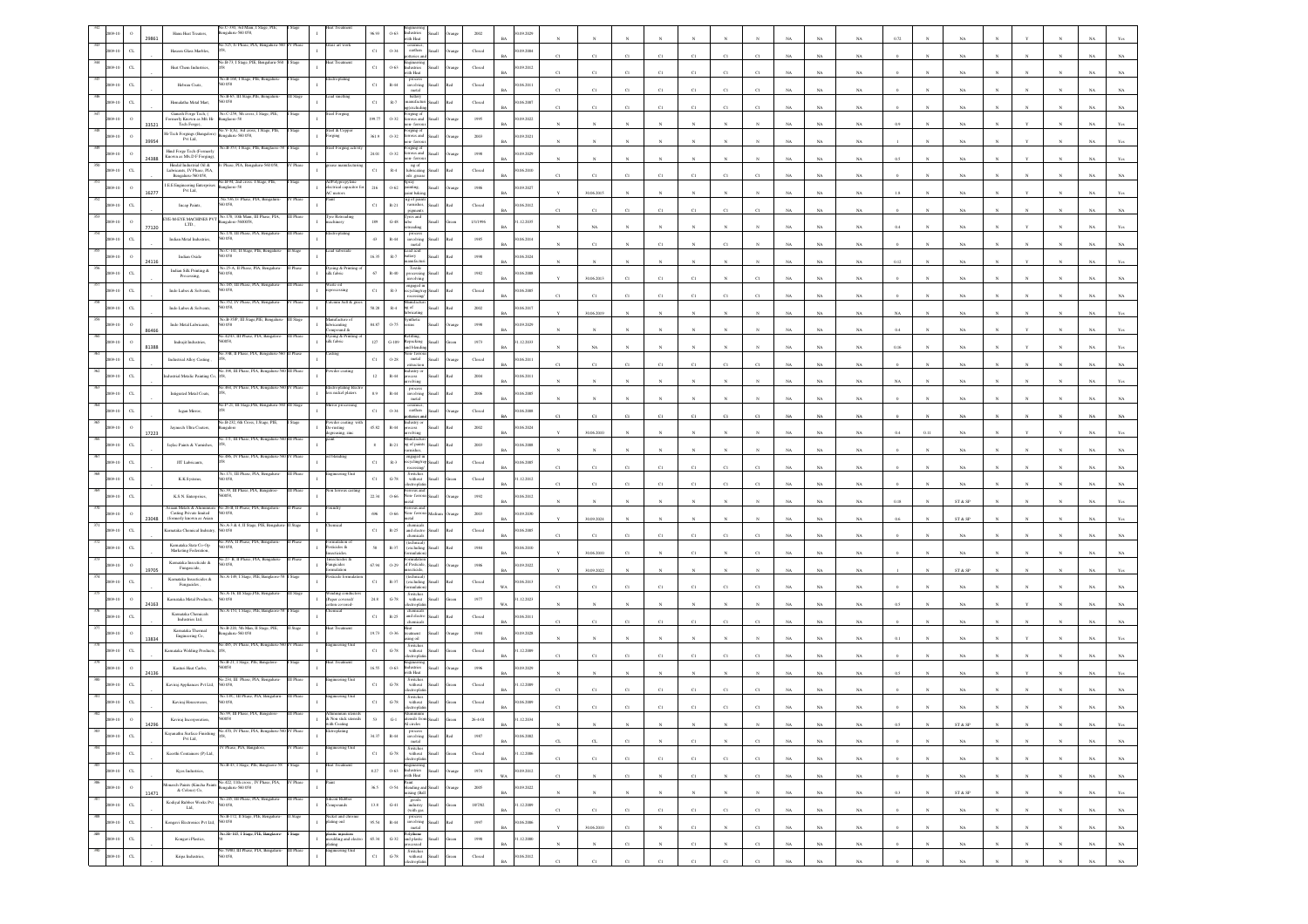|                |                         |       | Hanu Heat Treaters,                                                                   | galaru-560 058,                                                                      |              |                                                 | 86.93              | $0 - 63$<br>Industries<br>with Heat                                                                                               |       | 2002                                                                                                    | (09.2029)                    |                       |             |                |             |              |               |                         |             |             |             |           |              |                              |              |              |              |             |                |
|----------------|-------------------------|-------|---------------------------------------------------------------------------------------|--------------------------------------------------------------------------------------|--------------|-------------------------------------------------|--------------------|-----------------------------------------------------------------------------------------------------------------------------------|-------|---------------------------------------------------------------------------------------------------------|------------------------------|-----------------------|-------------|----------------|-------------|--------------|---------------|-------------------------|-------------|-------------|-------------|-----------|--------------|------------------------------|--------------|--------------|--------------|-------------|----------------|
|                | C1                      |       | Haseen Glass Marbles,                                                                 | io.525, Iv Phase, PIA, I                                                             |              | ass art wo                                      | $_{\rm Cl}$        | ceramics<br>0.34<br>carthen<br>rio s                                                                                              |       | Closed                                                                                                  | 0.09.2004<br>RA              |                       |             | $^{c}$ 1       |             | C1           | C1            |                         |             | NA          | NA          |           |              |                              |              |              |              |             |                |
|                | C1                      |       | Heat Chem Industries                                                                  |                                                                                      |              |                                                 | $_{\rm Cl}$        | $0 - 63$<br><b>ndustries</b><br>ith Heat                                                                                          |       | Closed                                                                                                  | 0.09.2012<br><b>BA</b>       |                       | C1          | $^{c}$ 1       |             | C1           | C1            |                         |             | NA          | NA          |           |              | NA                           |              |              |              |             |                |
|                |                         |       | Hebran Coats,                                                                         | io.B-168, I Stage                                                                    |              |                                                 | $_{\rm C1}$        | process<br>involving<br>$_{\rm R-44}$<br>metal                                                                                    |       | $\operatorname*{Closed}% \left( \mathcal{M}\right) \equiv\operatorname*{Disc}\left( \mathcal{M}\right)$ | (06.2011<br>BA               | C1                    | C1          | C1             | CI          | C1           | C1            |                         |             | NA          | NA          |           |              | NA                           |              |              |              |             |                |
|                |                         |       | Hemalatha Metal Mart                                                                  | B-65, III S<br>058                                                                   |              |                                                 | $_{\rm Cl}$        | battery<br>$\mathbb{R}.7$<br>mufacte<br>excludi                                                                                   |       | Closed                                                                                                  | 0.06.2007<br>Rá              |                       | C1          | C1             | C1          | C1           | C1            |                         |             | NA          | NA.         |           |              | NA                           |              |              |              |             |                |
|                |                         | 33521 | Ganesh Forge Tech. (<br>ormerly Known as M/s Hi-<br>Tech Forge),                      | Vo.C-259, 5th cross, I Stage, PIE,<br>glaore-58                                      |              | ed Forging                                      | 99.77              | orging of<br>errous and<br>$0 - 32$                                                                                               |       | 1995                                                                                                    | (09.2022)<br><b>BA</b>       |                       |             |                |             |              |               |                         |             | NA          | NA.         |           |              |                              |              |              |              |             |                |
|                |                         | 19954 | Hi-Tech Forgings (Bangalore<br>Pvt Ltd.                                               | V-1(A), 3rd e<br>galuru-560 058,                                                     |              | d & C<br>rging                                  | 361.9              | ging)<br>$0.32\,$<br>ous and<br>1- ferro                                                                                          |       | $2003\,$                                                                                                | (09.2021)                    |                       |             |                |             |              |               |                         |             | NA          | NA          |           |              | NA                           |              |              |              |             |                |
|                |                         | 24388 | Hind Forge Tech (Formerly<br>Known as M/s.D F Forging                                 | io.B-353, I Stage, PIE, Banglaore-                                                   |              | eel Forging activ                               | 24.01              | 'orging o<br>$0 - 32$<br>rous and<br>ыl<br>n-ferro                                                                                |       | 1998                                                                                                    | 0.09.2029                    |                       |             |                |             |              |               |                         |             | NA          | NA          |           |              |                              |              |              |              |             |                |
|                | $\sigma$                |       | Hindal Industrial Oil &<br>Lubricants, IV Phase, PIA,<br>Bengaluru-560 058,           | Phase, PIA, Bengaluru-560 058,                                                       | Phase        | se manufact                                     | $_{\rm C1}$        | ng of<br>$_{\rm R-4}$<br>lubricating                                                                                              |       | ${\it Closed}$                                                                                          | 0.06.2010<br><b>BA</b>       |                       | C1          |                |             |              |               |                         |             | NA          | $_{\rm NA}$ |           |              |                              |              |              |              |             |                |
|                |                         | 16277 | ${\rm LEE}$ Engineering Enterpri ${\rm Pvt}$ Ltd,                                     | io.B-94, 2nd cross. I Stage, PIE<br>glaore-58                                        |              | olypropyler<br>ectrical capacitor               | 216                | ils .greas<br>pray<br>$0 - 62$<br>inting.<br>aint bakir                                                                           |       | 1986                                                                                                    | 1.09.2027<br><b>BA</b>       |                       | 30.06.2015  |                |             |              |               |                         |             | NA          | NA          |           |              | NA                           |              |              |              |             |                |
|                | C1                      |       | Incap Paints,                                                                         | vo.536, Iv Phase, PIA, Bengaluru<br>058.                                             |              | C motors                                        | $_{\rm C1}$        | 1g of pai<br>$R-21$<br>varnishes<br>pigments                                                                                      |       | Closed                                                                                                  | 0.06.2012<br>BA              | C1                    |             | C1             | CI          | $_{\rm CI}$  | CI            |                         |             | NA          | $_{\rm NA}$ |           |              |                              |              |              |              |             |                |
|                | $\circ$                 |       | EYE-M-EYE MACHINES PV<br>LTD.,                                                        | No.170, 10th Main, III Phase, PIA,<br>galore-5600058                                 |              | yre Retreadin<br>hinery                         | 189                | yres and<br>$_{\mathrm{G-48}}$<br>ibe                                                                                             |       | 1/1/1996                                                                                                | 1.12.2035                    |                       | $_{\rm C1}$ |                |             |              |               |                         |             |             | $_{\rm NA}$ |           |              | NA                           |              |              |              |             |                |
|                | C1                      | 77120 | Indian Metal Industries,                                                              | .170, III Phase, PIA, Benga<br>058                                                   |              | troplating                                      | 43                 | eading<br>$\mathbb{R}\text{-}44$<br>involving                                                                                     |       | 1985                                                                                                    | <b>BA</b><br>0.06.2014       |                       | $_{\rm NA}$ |                |             |              |               |                         |             | NA          |             |           |              | NA                           |              |              |              |             |                |
|                |                         |       | Indian Oxide                                                                          | o.C-141, II Stage, PIE,<br>058                                                       |              |                                                 | 16.35              | metal<br>ead acid<br>$\mathbb{R}\text{-}7$<br>attery<br>tonufact<br>ыl                                                            |       | $19\%$                                                                                                  | <b>BA</b><br>0.06.2024       |                       | C1          |                | C1          |              | CI            |                         |             | NA          | NA          |           |              | NA                           |              |              |              |             |                |
|                | $\alpha$                |       | Indian Silk Printing $\&$<br>Processing,                                              | Vo.25-A, II Phase, PIA, Ben                                                          |              | Dyeing & Printin<br>ilk fabric                  | 67                 | Textile<br>$\mathbb{R}\text{-}40$                                                                                                 |       | $1982\,$                                                                                                | Rá<br>(06, 2008)             |                       |             |                |             |              |               |                         |             | NA          | $_{\rm NA}$ | 0.12      |              | NA                           |              |              |              |             |                |
|                |                         |       | Indo Lubes & Solvents,                                                                | . 185, III Phase, PIA.<br>0.58                                                       |              | ste oil<br>ocessing                             | $_{\rm C1}$        | isvolving<br>ngaged in<br>$_{\rm R-3}$<br>vcline                                                                                  |       | Closed                                                                                                  | BA<br>06.2005                |                       | 30.06.2013  | CI             |             | CI           |               |                         |             | NA          | NA          |           |              |                              |              |              |              |             |                |
|                |                         |       | Indo Lubes & Solvents,                                                                | o.352, IV Phase, PIA, B<br>058                                                       |              | cium Salt & g                                   | \$8.28\$           | $_{\rm R-4}$<br>t of                                                                                                              |       | $2002\,$                                                                                                | <b>BA</b><br>(06.2017        | C1                    | C1          | CI             | C1          | C1           | C1            | $\mathcal{C}^{\dagger}$ | NA          | NA          | NA          |           |              | NA                           |              |              |              |             |                |
|                |                         |       | Indo Metal Lubricants,                                                                | o.B-35/P. III<br>058                                                                 |              | <i>icanting</i>                                 | 84.87              | nthetic<br>$0 - 75$<br>ins                                                                                                        |       | 1998                                                                                                    | ΒA<br>(09.2029)              |                       | 30.06.2019  |                |             |              |               |                         |             | NA          | $_{\rm NA}$ |           |              | NA                           |              |              |              |             |                |
|                |                         |       | Indrajit Industries                                                                   | 0.4243, III Phase, PIA, Bangale<br>8200                                              |              | pound &<br>Dyeing & Printing<br>silk fabric     | $127\,$            | cfilling<br>Repacking<br>$G-109$                                                                                                  |       | 1973                                                                                                    | BA<br>1.12.2033              |                       |             |                |             |              |               |                         |             | NA          | NA          |           |              | NA                           |              |              |              |             |                |
|                | $\alpha$                | 81388 | Industrial Alloy Casting                                                              | io.33B, II Phase, PIA, I                                                             |              |                                                 | $_{\rm C1}$        | d blen<br>xı- fer<br>$0 - 28$<br>$_{\rm metal}$                                                                                   |       | $\rm Closed$                                                                                            | <b>BA</b><br>0.06.2011       |                       | NA          |                |             |              |               |                         | NA          | $_{\rm NA}$ | $_{\rm NA}$ | 0.16      |              | NA                           |              |              |              |             |                |
|                | $\alpha$                |       | dustrial Metalic Painting Co                                                          | o.198. III Phase, PIA                                                                |              |                                                 | $12\,$             | dustry or<br>$R-44$<br>cess                                                                                                       |       | $\,2004$                                                                                                | 0.06.2011                    | $\mathbf{C}$          | C1          | $_{\rm C1}$    | $_{\rm C1}$ | C1           | C1            | CI                      |             | $_{\rm NA}$ | $_{\rm NA}$ |           |              | NA                           |              |              |              |             |                |
|                | C1                      |       | Intigrated Metal Coats,                                                               | 464, IV Phase, PIA, Ben                                                              |              | lectroplating Eles<br>ss nickel platers         | 8.9                | volving<br>process<br>$R - 44$<br>involving                                                                                       |       | $2006\,$                                                                                                | BA<br>0.06.2005              |                       |             |                |             |              |               |                         |             | NA          | NA          |           |              |                              |              |              |              |             |                |
|                | $_{\rm{CL}}$            |       | Jagan Mirror,                                                                         | 60.P-21, III Stage, PIE, B                                                           |              |                                                 | $_{\rm C1}$        | $\rm metal$<br>ceramics,<br>carthen<br>0.34                                                                                       |       | $\rm Closed$                                                                                            | <b>BA</b><br>06.2008         |                       |             |                |             |              |               |                         |             | NA          | $_{\rm NA}$ |           |              | NA                           |              |              |              |             |                |
|                | $\circ$                 |       | Jaymech Ultra Coaters.                                                                | io.B-232, 6th Cross, I Stage, PIE                                                    |              | vder coating                                    | 45.82              | eries a<br>ustry o<br>$R-44$<br>cess                                                                                              |       | 2002                                                                                                    | BA<br>0.06.2024              | C1                    | C1          | $\overline{c}$ | $_{\rm C1}$ | $_{\rm CI}$  | <sub>C1</sub> |                         |             | NA          | $_{\rm NA}$ |           |              | $_{\rm NA}$                  |              |              |              |             |                |
|                | C1                      | 17223 | Jaylac Paints & Varnishes                                                             | 171, III Phase, PIA, I                                                               |              | -rusting<br>preasing, zinc                      | $\bf8$             | volving<br>$R - 21$                                                                                                               |       | 2003                                                                                                    | RA<br>0.06.2008              |                       | 30.06.2010  |                |             |              |               |                         |             | NA          | NA          | 0.4       |              | NA                           |              |              |              |             |                |
|                | $\alpha$                |       | JIT Lubricants,                                                                       | 486. IV Phase, PIA, Bo                                                               |              | blendin                                         | $_{\rm C1}$        | ng of paints<br>varnishes,<br>ngaged i<br>$_{\rm R-3}$                                                                            |       | $\operatorname*{Closed}% \left( \mathcal{M}\right) \equiv\operatorname*{Disc}\left( \mathcal{M}\right)$ | <b>BA</b><br>06.2005         |                       |             |                |             |              |               |                         |             | NA          | NA          |           |              | $_{\rm NA}$                  |              |              |              |             |                |
|                | $_{\rm{CL}}$            |       | K.K.Systems,                                                                          | 171. III Phase, PL<br>058.                                                           |              |                                                 | $_{\rm Cl}$        | cling)<br>Switch<br>$G-78$<br>without                                                                                             |       | Closed                                                                                                  | B٨<br>1.12.2012              | C1                    | C1          | CI             | CI          | C1           | $_{\rm CI}$   |                         |             | $_{\rm NA}$ | NA          |           |              | NA                           |              |              |              |             |                |
|                | C1                      |       |                                                                                       | Vo.39, III Phase, PIA, B<br>xxx                                                      |              | ferrous ca                                      | 22.34              | monte<br>ous an<br>0.66<br>ion-fer                                                                                                |       |                                                                                                         | RÁ                           |                       | C1          | C1             | C1          | C1           | CI            |                         |             | NA          | NA          |           |              | NA                           |              |              |              |             |                |
|                | $\circ$                 |       | K.S.N. Enterprises<br>iaan Metals & Alu                                               | 26-B. II Phase, PI<br>058,                                                           |              |                                                 |                    |                                                                                                                                   |       | 1992                                                                                                    | 0.06.2012<br><b>BA</b>       |                       |             |                |             |              |               |                         |             | NA          | NA          | 0.18      |              | ST & SP                      |              |              |              |             |                |
|                | C1                      | 3048  | Casting Private limited<br>(formerly known as Asian<br>Karnataka Chemical Indsutr     | o.A-3 & 4, II Stage, PIE, Bengah                                                     |              |                                                 | 696<br>$_{\rm C1}$ | $0 - 66$<br>chemica<br>$R-25$                                                                                                     |       | $2003\,$<br>Closed                                                                                      | (09.2030)<br>BA<br>0.06.2005 |                       | 30.09.2024  |                |             |              |               |                         |             | NA          | NA          |           |              | ST & SP                      |              |              |              |             |                |
|                |                         |       | Karnataka State Co-Op                                                                 | 0.58<br>39/A, II Phase, PIA, Bengaluru<br>058                                        |              | mulation of<br>A edicides                       |                    | and electro<br>hemical<br>technical                                                                                               |       |                                                                                                         | RA                           | C1                    | C1          | $^{c}$ 1       | C1          | C1           | cт            |                         |             | NA          | NA          |           |              | NA.                          |              |              |              |             |                |
|                | $_{\rm C1}$             |       | Marketing Federation,<br>Karnataka Insecticide $\&$                                   | 27- B. II Phase, PIA, E                                                              |              | icides<br>ecticides &                           | $58\,$             | $R - 37$<br>excludin                                                                                                              |       | $1984\,$                                                                                                | 06.2010<br><b>BA</b>         |                       | 30.06.2010  |                |             | C1           |               |                         |             | NA          | $_{\rm NA}$ |           |              | NA                           |              |              |              |             |                |
|                |                         | .970  | Fungascide,<br>Karnataka Insecticides &                                               | 058.<br>o.A-149, I Stage, PIE, Banglaon                                              |              | ingicides<br>mlation                            | 67.94              | $0 - 29$<br>d Pesticid<br>ecticide,<br>ehnical                                                                                    |       | $1986\,$                                                                                                | (09.2022)<br><b>BA</b>       |                       | 30.09.2022  |                |             |              |               |                         |             | $_{\rm NA}$ | NA          |           |              | $ST \& SP$                   |              |              |              |             |                |
|                | $\sigma$                |       | Fungacides ,                                                                          | No.A-16, III Stage,PIE, Bengalun                                                     | <b>Stage</b> | inding conduct                                  | $_{\rm C1}$        | R-37<br>(excluding<br>$m$ Lan<br>Switches<br>without                                                                              |       | Closed                                                                                                  | 0.06.2013<br>wa              | C1                    | C1          | $\overline{c}$ |             | C1           | CI            |                         |             | NA          | NA          |           |              | NA                           |              |              |              |             |                |
|                | $\circ$                 | 24163 | Kamataka Metal Products,<br>Kamataka Chemicals                                        | 058<br>a.A-151, I Stage, PIE, Bangla                                                 |              | aper covered/<br>ered                           | $_{\rm 24.8}$      | $G-78$<br>ctropi<br>chemicals<br>and electro                                                                                      |       | $1977\,$                                                                                                | 1.12.2023<br>WA              |                       |             |                |             |              |               |                         |             | NA          | $_{\rm NA}$ |           |              |                              |              |              |              |             |                |
|                | C1                      |       | Industries Ltd.                                                                       | o.B-220, 5th Man, II                                                                 |              |                                                 | $_{\rm Cl}$        | $R - 25$<br>chemical                                                                                                              |       | Closed                                                                                                  | 0.06.2011<br>RA              | C1                    | C1          | C1             | C1          | C1           | C1            |                         |             | NA          | NA          |           |              | NA.                          |              |              |              |             |                |
|                |                         |       | $\begin{array}{c} \textbf{Karnstaka Thermal} \\ \textbf{Engineering Co,} \end{array}$ | galaru-560 058<br>io.485, IV Phase, PIA, Bengaluru-                                  |              | neering Uni                                     | 19.73              | $0 - 36$<br>catment<br>ing oil<br>Switches<br>without                                                                             |       | 1984                                                                                                    | 0.09.2028                    |                       |             |                |             |              |               |                         |             | NA          | $_{\rm NA}$ |           |              | NA                           |              |              |              |             |                |
|                | $_{\rm{CL}}$            |       | <b>Karnataka Welding Products</b>                                                     | No.B-21, I Stage, PIE, Bang                                                          |              |                                                 | $_{\rm C1}$        | $_{\mathrm{G-78}}$<br>ectropla                                                                                                    |       | $\operatorname{Closed}$                                                                                 | 1.12.2009<br>BA              |                       | C1          | C1             | CI          | $_{\rm Cl}$  | CI            |                         |             | NA          | NA          |           |              | NA                           |              |              |              |             |                |
|                | $\Omega$                |       | Kasturi Heat Carbo,                                                                   | io 234. III Phase, PIA, Bena                                                         |              | eering Uni                                      | 16.55              | $0 - 63$<br>dustries<br>ith Heat                                                                                                  |       | 1996                                                                                                    | (09.2029)<br><b>BA</b>       |                       |             |                |             |              |               |                         |             | NA          | NA          |           |              | NA.                          |              |              |              |             |                |
|                | C1                      |       | Kaviraj Appliances Pvt Ltd,                                                           | 058<br>No.13/C, III Phase, PIA, Bengalari                                            |              | eering Ur                                       | $_{\rm Cl}$        | Switches<br>without<br>electroplat<br>$G-78$<br>Switches<br>without                                                               |       | Closed                                                                                                  | 1.12.2009                    |                       | C1          | C1             | CI          | C1           | C1            |                         |             | NA          | NA          |           |              |                              |              |              |              |             |                |
|                |                         |       | Kaviraj Housewares,                                                                   |                                                                                      |              |                                                 | C1                 | $G-78$<br>ctrond                                                                                                                  |       | $\operatorname{Closed}$                                                                                 | (06, 2009)                   |                       |             |                |             |              |               |                         |             |             |             |           |              |                              |              |              |              |             |                |
| 383            |                         | 14296 | Kaviraj Incorporation,                                                                | No.470, IV Phase, PIA, Bengaluru-560 IV Phase                                        |              | on stick ut<br>(th Coati<br>troplating          |                    | $G-1$<br>sils 1<br>Al circles                                                                                                     |       | $26 - 4 - 01$                                                                                           | .12.2034<br><b>BA</b>        |                       |             |                |             |              |               |                         | <b>NA</b>   | NA          | NA          | 05        |              | ST & SP                      |              |              |              | <b>NA</b>   | Yes            |
| 2009-10        | $_{\mathrm{CL}}$        |       | Kayanathu Surface Finishing<br>Pvt Ltd,                                               | V Phase, PIA, Banzalor                                                               |              | gineering Un                                    | 34.37              | $\begin{array}{c} \text{process} \\ \text{involving} \\ \text{metal} \end{array}$<br>$\,$ R-44                                    |       | $1987\,$                                                                                                | 0.06.2002<br><b>BA</b>       | $_{\mbox{\tiny{CL}}}$ | $_{\rm CL}$ | $_{\rm C1}$    |             | $_{\rm C1}$  | $_{\rm N}$    | $_{\rm C1}$             | NA          | $_{\rm NA}$ | $_{\rm NA}$ |           |              | $_{\rm NA}$                  |              |              |              | $_{\rm NA}$ | $_{\rm NA}$    |
| 385            | $_{\rm{CL}}$<br>2009-10 |       | Keerthi Containers (P) Ltd,                                                           | io.B-43, I Stage, PIE, Banglaore-58                                                  | Stage        | $\mathbf{I}$<br>eat Treatment                   | $_{\rm{Cl}}$       | Switches<br>without<br>$\mbox{G-78}$<br>Small<br>ectroplati                                                                       | een   | ${\it Closed}$                                                                                          | 1.12.2006<br>BA              | C1                    | C1          | C1             | $_{\rm C1}$ | C1           | C1            | C1                      | $_{\rm NA}$ | NA          | $_{\rm NA}$ |           | $_{\rm N}$   | $_{\rm NA}$                  |              | N            | $_{\rm N}$   | $_{\rm NA}$ | $_{\rm NA}$    |
| 2009-10<br>386 | $_{\rm{CL}}$            |       | Kyes Industries,                                                                      | No.422, 11th cross, IV Phase, PIA,                                                   | V Phase      |                                                 | $8.27\,$           | $\begin{tabular}{ll} \bf{D-63} & \bf{Eng} \rm{incering} \\ \bf{0-63} & \bf{Industries} \\ \bf{with Heat} \end{tabular}$<br>Iliami | rangs | 1974                                                                                                    | 0.09.2012<br>WA              | $_{\rm C1}$           | $_{\rm N}$  | $_{\rm C1}$    | $_{\rm N}$  | $_{\rm C1}$  | $_{\rm N}$    | $_{\rm C1}$             | $_{\rm NA}$ | $_{\rm NA}$ | $_{\rm NA}$ |           | $\sim$       | $_{\rm NA}$                  | $\mathbf{N}$ | $\mathbb{N}$ | $_{\rm N}$   | $_{\rm NA}$ | $_{\rm NA}$    |
| 2009-10<br>387 | $\,$ 0                  | 11471 | Monarch Paints (Kincha Paints & Colour) Co,                                           | 820 032-availages                                                                    | III Phase    | ilicon Rubber                                   | 36.5               | Paint<br>blending and<br>mixing (Ball<br>$0.54\,$<br><b>Ham</b>                                                                   |       | $2005\,$                                                                                                | 90.09.2022<br>$_{\rm BA}$    |                       | $_{\rm N}$  | $_{\rm N}$     |             | $_{\rm N}$   | $_{\rm N}$    | $_{\rm N}$              | $_{\rm NA}$ | $_{\rm NA}$ | $_{\rm NA}$ | $\rm 0.3$ |              | $\text{ST} \ \& \ \text{SP}$ |              | $_{\rm N}$   | $_{\rm N}$   | $_{\rm NA}$ | $\mathbf{Yes}$ |
| 2009-10        | $_{\mathrm{CL}}$        |       | Kodiyal Rubber Works Pvt<br>Lad,                                                      | No.245, III Phase, PIA, Bengaluru-<br>560 058,<br>ko.B-172, Il Stage, PIE, Bengaluro | tag          | mpounds<br>ickel and chro                       | $13.8\,$           | $\frac{goods}{industry}$<br>$_{\mathrm{G-}41}$<br><b>Ham</b><br>(with gas                                                         |       | 18/7/02                                                                                                 | 31.12.2009<br><b>BA</b>      | C1                    | C1          | C1             | C1          | C1           | C1            | C1                      | NA          | NA          | NA          |           |              | <b>NA</b>                    |              |              | $\mathbf{N}$ | NA          | $_{\rm NA}$    |
|                | $_{\rm{CL}}$<br>2009-10 |       | Kongavi Electronics Pvt Ltd,                                                          | 560 058                                                                              |              | $\mathbf{I}$<br>plating onl                     | 95.54              | process<br>involving<br>metal<br>$R-44$<br><b>Ilum</b>                                                                            | ho!   | $1997\,$                                                                                                | 0.06.2006<br>$_{\rm BA}$     |                       | 30.06.2010  | $_{\rm C1}$    |             | $_{\rm{Cl}}$ | $\mathbf{N}$  | $_{\rm C1}$             | $_{\rm NA}$ | $_{\rm NA}$ | $_{\rm NA}$ |           | $\mathbf{N}$ | $_{\rm NA}$                  |              |              |              | $_{\rm NA}$ | $_{\rm NA}$    |
| 2009-10        | $_{\mathrm{c} }$        |       | Kongavi Plastics,                                                                     | So.Sb-105, I Stage, PIE, Banglaore                                                   | lage         | lastic injection<br>toulding and elect<br>ating | $65.34\,$          | Polythene<br>and plastic<br>processed<br>$_{\rm{G-32}}$<br>$_{\rm flat}$                                                          |       | 1950                                                                                                    | 1.12.2000<br>$_{\rm BA}$     | $_{\rm N}$            | $_{\rm N}$  | $_{\rm C1}$    | $_{\rm N}$  | $_{\rm C1}$  | $_{\rm N}$    | $_{\rm C1}$             | $_{\rm NA}$ | $_{\rm NA}$ | $_{\rm NA}$ |           | $_{\rm N}$   | $_{\rm NA}$                  |              | $_{\rm N}$   | $_{\rm N}$   | $_{\rm NA}$ | $_{\rm NA}$    |
|                | $_{\mathrm{c}}$         |       | Kripa Industries,                                                                     | No.79/80, III Phase, PIA, Bengaluru-<br>0.058,                                       |              | gineering Unit                                  | $_{\rm C1}$        | Switches<br>without<br>electroplatin<br>$\,$ G-78 $\,$<br><b>Ilum</b>                                                             |       | ${\it Closed}$                                                                                          | 0.06.2012<br><b>BA</b>       | C1                    | C1          | C1             | C1          | C1           | C1            | C1                      | NA          | NA          | NA          |           |              | NA                           |              |              |              | NA          | $_{\rm NA}$    |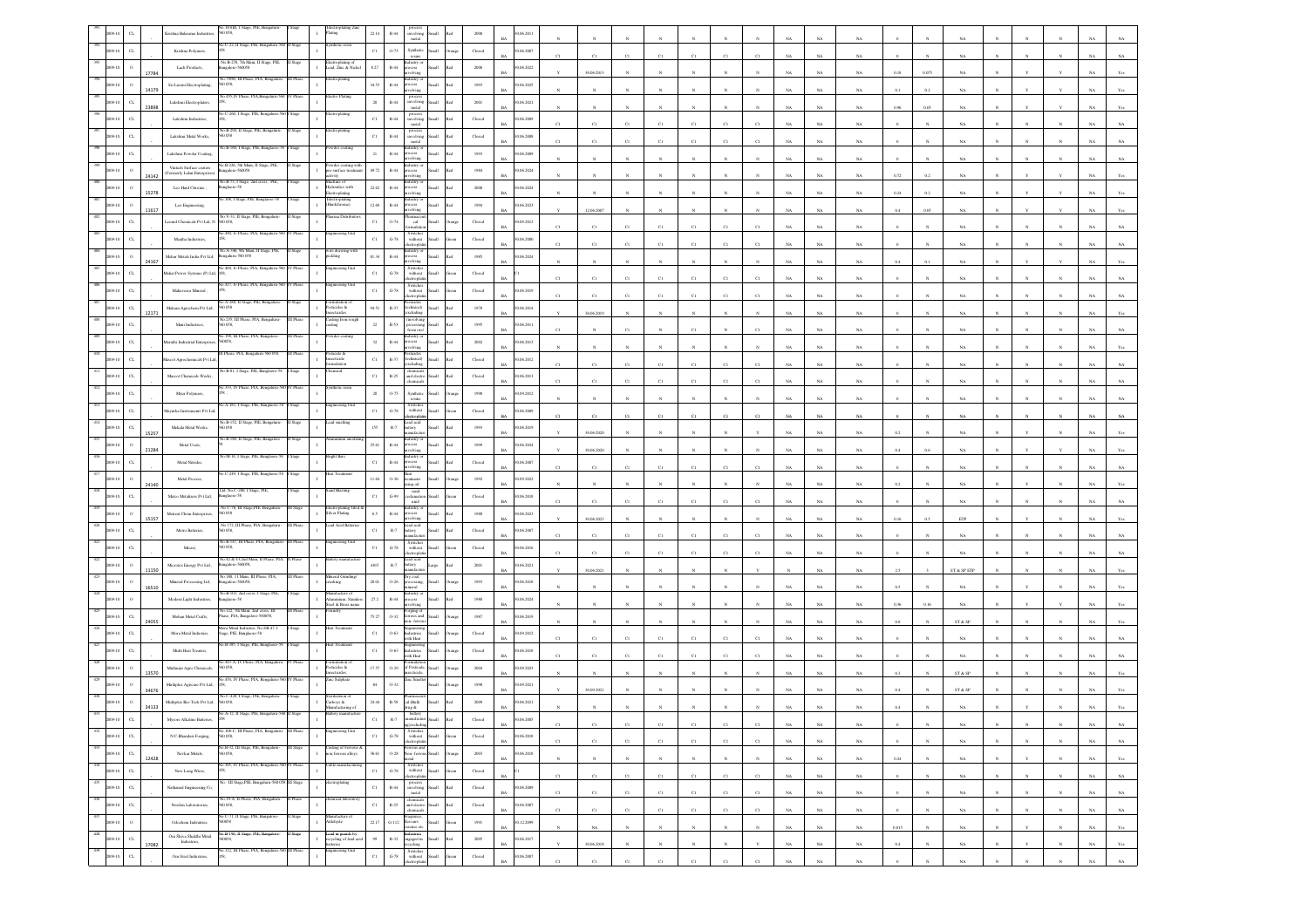|     |                             |       | 058.                                                                                                     |           |                                                                              |                     |                                                                                         |       |                                                     | 06.201                    |             |             |                |              |              |                  |             |             |             |             |              |              |                                                                |              |              |              |             |                |
|-----|-----------------------------|-------|----------------------------------------------------------------------------------------------------------|-----------|------------------------------------------------------------------------------|---------------------|-----------------------------------------------------------------------------------------|-------|-----------------------------------------------------|---------------------------|-------------|-------------|----------------|--------------|--------------|------------------|-------------|-------------|-------------|-------------|--------------|--------------|----------------------------------------------------------------|--------------|--------------|--------------|-------------|----------------|
|     | $\alpha$                    |       | No.C-22, II Stage, PIE, Bengaluru-<br>Krishna Polymers,                                                  |           |                                                                              | $_{\rm Cl}$         | 0.75<br>Synthetic                                                                       |       | $\operatorname{Closed}$                             | 0.06.2007                 |             |             |                |              | CI           |                  |             |             | NA          |             |              |              |                                                                |              |              |              |             |                |
|     |                             |       | B-278, 7th Mai<br>Lach Products,<br>sgalore-560058                                                       |           | ғассиорынд оғ<br>Lead, Zinc & Nickel                                         | 8.27                | esins<br>ustry o<br>$\mathbb{R}\text{-}44$<br>secon                                     |       | 2000                                                | 0.06.2022                 |             |             |                |              |              |                  |             |             |             |             |              |              |                                                                |              |              |              |             |                |
|     |                             |       | o.79/80, III Phase, PIA, Bengal<br>Sri Luxmi Electroplating<br>058,                                      |           | troplating                                                                   | 34.53               | volving<br>ustry<br>$\mathbb{R}\text{-}44$                                              |       | 1993                                                | RA<br>(06, 2025)          |             | 30.06.2013  |                |              |              |                  |             |             | NA          | NA          | 0.18         | 0.075        | NA                                                             |              |              |              |             |                |
|     | $\alpha$                    | 14179 | 455.IV Phase, PIA.1                                                                                      |           | tro Platin                                                                   | $20\,$              | ocess<br>rolving<br>process<br>involving<br>$R-44$                                      |       | $2001\,$                                            | 0.06.2021                 |             |             |                |              |              |                  |             |             | NA          | $_{\rm NA}$ |              |              | NA                                                             |              |              |              |             |                |
|     |                             |       | Lakshmi Electroplaters,<br>o.C-260, I Stage, PIE, Bengal                                                 |           |                                                                              |                     | metal                                                                                   |       |                                                     | <b>BA</b>                 |             |             |                |              |              |                  |             |             | NA          | NA          | 0.96         | 0.05         | NA                                                             |              |              |              |             |                |
|     |                             |       | Lakshmi Industries,<br>Vo.B-294, II Stage, PIE, Bengaluri                                                |           | troplati                                                                     | C1                  | process<br>involving<br>$R - 44$<br>$\rm metal$                                         |       | Closed                                              | 0.06.2009<br><b>BA</b>    | $_{\rm Cl}$ | $_{\rm C1}$ | CI             | CI           | C1           | C1               | CI          |             | NA          | $_{\rm NA}$ |              |              | $_{\rm NA}$                                                    |              |              |              |             |                |
|     |                             |       | Lakshmi Metal Works,<br>058                                                                              |           |                                                                              | $_{\rm C1}$         | $\frac{process}{involving}$<br>$\mathbb{R}\text{-}44$                                   |       | ${\it Closed}$                                      | 1.06.2008<br>ΒA           | C1          | C1          | $\overline{c}$ | $_{\rm C1}$  | C1           | C1               |             |             | $_{\rm NA}$ | $_{\rm NA}$ |              |              | NA                                                             |              |              |              |             |                |
|     | $\alpha$                    |       | Vo.B-160, I Stage, PIE, I<br>Lakshmi Powder Coating                                                      |           |                                                                              | 21                  | dustry or<br>$\mathbb{R}{\text{-}}44$<br>cess<br>volving                                |       | 1993                                                | 0.06.2009                 |             |             |                |              |              |                  |             |             | NA          | NA          |              |              |                                                                |              |              |              |             |                |
|     |                             |       | io.B-226, 5th Main, II<br>Vintech Surface coaters<br>sgalore-560058<br>ormerly Lalan Enterpris           |           | vder coating v<br>surface treats                                             | 49.72               | astry or<br>$R - 44$<br>secon<br>volving                                                |       | $1984\,$                                            | 0.06.2024<br><b>BA</b>    |             |             |                |              |              |                  |             |             | NA          | $_{\rm NA}$ | 0.72         | 0.2          |                                                                |              |              |              |             |                |
|     |                             |       | No.B-73, I Stage, 2nd cross, PIE,<br>kanglaore-58<br>Leo Hard Chrome,                                    |           | chine of<br>ydraulics with                                                   | $22.62\,$           | dustry or<br>ocess<br>rolving<br>$_{\rm R-44}$                                          |       | $2000\,$                                            | 1.06.2024<br>BA           |             |             |                |              |              |                  |             |             | NA          | $_{\rm NA}$ | 0.24         | 0.2          | $_{\rm NA}$                                                    |              |              |              |             |                |
|     |                             |       | .108, I Stage, PIE, Ban<br>Leo Engineering                                                               |           | troplating<br>lectroplating<br>lardchrome)                                   | 12.69               | dustry o<br>$R-44$<br>cess                                                              |       | 1994                                                | 0.06.2023                 |             |             |                |              |              |                  |             |             |             |             |              |              |                                                                |              |              |              |             |                |
|     | C1                          |       | o.V-31, II Stage, PIE<br>conid Chemicals Pvt Ltd, N<br>058.                                              |           |                                                                              | $_{\rm C1}$         | volving<br>$0-74$<br>cal                                                                |       | Closed                                              | <b>BA</b><br>0.09.2012    |             | 12.06.2007  |                |              |              |                  |             |             | NA          | NA          | 0.4          | 0.05         | NA                                                             |              |              |              |             |                |
|     |                             |       | 490, Iv Phase, PIA, B                                                                                    |           | neering Uni                                                                  |                     | Switches<br>without                                                                     |       |                                                     | <b>BA</b>                 | C1          | $_{\rm C1}$ | CI             | C1           | C1           | C1               | CI          |             | NA          | $_{\rm NA}$ |              |              | $_{\rm NA}$                                                    |              |              |              |             |                |
|     |                             |       | Maatha Industries,<br>. A-346, 9th Main                                                                  |           | ire drawing !                                                                | C1                  | $_{\mathrm{G-78}}$<br>ectrophi<br>lastry c                                              |       | $\operatorname{Closed}$                             | (06, 2000)                | C1          | $_{\rm C1}$ | C1             | CI           | $_{\rm C1}$  | $_{\rm CI}$      |             |             | NA          | NA          |              |              | NA                                                             |              |              |              |             |                |
|     | $\mathbf{o}$                | 24167 | Mehar Metals India Pvt Ltd,<br>galaru-560 058<br>io.409, Iv Phase, PIA, B                                |           | ickling<br>tineering Uni                                                     | 81.34               | $R - 44$<br>rocess<br>volving<br>Switches                                               |       | 1985                                                | 0.06.2024                 |             |             |                |              |              |                  |             |             | NA          | NA          |              |              |                                                                |              |              |              |             |                |
|     | C1                          |       | Mahat Power Systems (P) Ltd                                                                              |           |                                                                              | $_{\rm C1}$         | without<br>$G-78$<br>ctroph                                                             |       | ${\it Closed}$                                      | <b>BA</b>                 |             |             |                |              | C1           |                  |             |             | NA          | NA          |              |              |                                                                |              |              |              |             |                |
|     |                             |       | Mahaveera Mineral                                                                                        |           |                                                                              | $_{\rm C1}$         | Switches<br>without<br>$_{\mathrm{G-78}}$<br>ectroph                                    |       | $\operatorname{Closed}$                             | (06, 2019)<br>BA          | C1          | C1          | CI             | CI           | C1           | CI               | CI          |             | NA          | $_{\rm NA}$ |              |              | NA                                                             |              |              |              |             |                |
|     |                             | 1217: | 40.A-280, Il Stage, PIE, Benj<br>Makam Agrochem Pvt Ltd<br>0.58                                          |           | A edicides<br>cticides                                                       | 94.51               | meides<br>$R - 37$<br>technical)<br>xclodins                                            |       | 1978                                                | 0.06.2014                 |             | 30.06.2019  |                |              |              |                  |             |             | NA          | $_{\rm NA}$ |              |              | NA                                                             |              |              |              |             |                |
|     | C1                          |       | o.235, III Phase, PIA, Bengalur<br>Mani Industries,                                                      |           | Casting Iron ros<br>:asting                                                  | $22\,$              | involvir<br>$\mathbb{R}\text{-}53$                                                      |       | 1995                                                | 0.06.2011<br><b>BA</b>    | C1          |             | $_{\rm C1}$    |              | $_{\rm Cl}$  |                  | CI          |             | $_{\rm NA}$ | $_{\rm NA}$ |              |              | NA                                                             |              |              |              |             |                |
|     | C1                          |       | .198, III Phase, PIA, Ba<br><b>Aaruthi Industrial Enterpris</b>                                          |           |                                                                              | 32                  | rom ore<br>astry o<br>$\mathbb{R}{\text{-}}44$<br>cess                                  |       | 2002                                                | 0.06.2013                 |             |             |                |              |              |                  |             |             |             |             |              |              |                                                                |              |              |              |             |                |
|     | C1                          |       | ascot Agrochemicals Pvt Lt                                                                               |           | ticide 8<br>ecticide                                                         | $_{\rm C1}$         | volving<br>$R - 37$<br>technical)<br><b>Han</b>                                         |       | Closed                                              | $_{\rm BA}$<br>30.06.2012 |             | N           | N              |              | $_{\rm N}$   | $\boldsymbol{N}$ |             | NA          | $_{\rm NA}$ | $_{\rm NA}$ |              |              | $_{\rm NA}$                                                    |              |              |              |             |                |
|     | C1                          |       | o.B-81, I Stage, PIE, Banglacee<br>Mascot Chemicals Works,                                               |           | nical                                                                        |                     | xcluding<br>chemicals<br>and electro<br>di.                                             |       |                                                     | BA                        |             | $_{\rm C1}$ | C1             | CI           | C1           | C1               |             |             | NA          | NA          |              |              |                                                                |              |              |              |             |                |
|     |                             |       |                                                                                                          |           |                                                                              | $_{\rm Cl}$         | $R-25$<br>hemical                                                                       |       | ${\it Closed}$                                      | 0.06.2013<br><b>BA</b>    |             |             |                |              | $_{\rm CI}$  |                  |             |             | NA          | NA          |              |              |                                                                |              |              |              |             |                |
|     | $\sigma$                    |       | Myur Polymers,                                                                                           |           |                                                                              | $\bf 28$            | $0-75$<br>Synthetic<br>resins<br>Switche                                                |       | 1998                                                | 0.09.2012<br><b>BA</b>    |             |             |                |              |              |                  |             |             | NA          | NA          |              |              |                                                                |              |              |              |             |                |
|     | C1                          |       | Mayurka Instruments Pvt Lt                                                                               |           |                                                                              | $_{\rm C1}$         | without<br>lectroplat<br>$G-78$<br><b>Ham</b>                                           |       | Closed                                              | 0.06.2009<br>BA           | $_{\rm Cl}$ | C1          | C1             | C1           | C1           | C1               |             |             | N/          | $_{\rm NA}$ |              |              | $_{\rm NA}$                                                    |              |              |              |             |                |
|     | C1                          | 15257 | No.B-152, II Stage, PIE, Bengaları<br>Mekala Metal Works,                                                |           | ad smeltir                                                                   | 155                 | Lead acid<br>battery<br>manufactu<br>$_{\rm R-7}$                                       |       | 1993                                                | 0.06.2019<br><b>BA</b>    |             | 30.06.2020  |                |              |              |                  |             |             | NA          | NA          | 0.2          |              | NA                                                             |              |              |              |             |                |
|     |                             | 21284 | B-180, II Stage,<br>Metal Coats,                                                                         |           |                                                                              | 25.61               | ustry o<br>$\mathbb{R}{\text{-}}44$<br>ocess<br>volving                                 |       | 1999                                                | 0.06.2024<br><b>BA</b>    |             | 30.06.2020  |                |              |              |                  |             |             | NA          | NA          | 0.4          |              | NA.                                                            |              |              |              |             |                |
|     |                             |       | M-14, I Stage, PIE, Ba<br>Metal Nitrides,                                                                |           |                                                                              | $_{\rm C1}$         | dustry o<br>$\,$ R-44<br>ocess<br>olving                                                |       | $\rm Closed$                                        | 1.06.2007                 | C1          | C1          |                | C1           | $_{\rm CI}$  | $_{\rm C1}$      |             |             | NA          | $_{\rm NA}$ |              |              | NA                                                             |              |              |              |             |                |
|     |                             |       | 2-249, I Stage, PH<br>Metal Process,                                                                     |           |                                                                              | 1.64                | in i<br>$0 - 36$                                                                        |       | $1992\,$                                            | 0.09.2022                 |             |             |                |              |              |                  |             |             |             |             |              |              |                                                                |              |              |              |             |                |
|     |                             | 4140  | Ltd, No.C-200, I Stage, PII<br>Metco Metalizers Pvt Ltd,<br>sglaore-58                                   |           |                                                                              | $_{\rm C1}$         | sing oil<br>sand<br>$G-99$<br>eclamatic                                                 |       | Closed                                              | 0.06.2018                 |             |             |                |              |              |                  |             |             | NA          | NA          |              |              |                                                                |              |              |              |             |                |
|     |                             |       | Vo.C-76, III Stage,PIE, Beng<br>Metreat Chem Enterpri<br>058                                             |           | troplating Gl<br>Iver Plating                                                | $6.5\,$             | $\mathsf{univ}$<br>dustry<br>$\,$ R-44                                                  |       | $1988\,$                                            | <b>BA</b><br>0.06.2023    |             | $_{\rm C1}$ |                |              | CI           | CI               |             |             | NA          | $_{\rm NA}$ |              |              | NA                                                             |              |              |              |             |                |
|     |                             |       | io.172, III Phase, PIA, B                                                                                |           | ad Acid Bat                                                                  |                     | ocess<br>volving<br>ead acid                                                            |       |                                                     |                           |             | 30.06.2023  |                |              |              |                  |             |             | NA          | $_{\rm NA}$ | 0.16         |              | ETP                                                            |              |              |              |             |                |
|     |                             |       | Metro Batteries,<br>058.<br>io.B-147, III Phase, PIA, Benga                                              |           | gineering Uni                                                                | $_{\rm Cl}$         | $_{\rm R-7}$<br>attery<br>aufactu<br>Switches                                           |       | Closed                                              | 0.06.2007<br><b>BA</b>    | C1          | C1          | C1             | CI           | C1           | C1               | CI          |             | NA          | NA          |              |              | NA                                                             |              |              |              |             |                |
|     | $\alpha$                    |       | Micast,<br>058.<br>No.42 & 43,2nd Main, II Phase, PIA                                                    |           |                                                                              | $_{\rm C1}$         | $G-78$<br>without<br>cad acid                                                           |       | Closed                                              | 0.06.2016<br><b>BA</b>    | $_{\rm Cl}$ | $_{\rm C1}$ | C1             | CI           | C1           | C1               |             |             | NA          | $_{\rm NA}$ |              |              | $_{\rm NA}$                                                    |              |              |              |             |                |
|     |                             | 1150  | Microtex Energy Pvt Ltd.,<br>galore-560058,                                                              |           |                                                                              | 4815                | $\mathbb{R}\text{-}7$<br>mery                                                           |       | $200\mathrm{l}$                                     | 0.06.2021<br>BA           |             | 30.06.2021  |                |              |              |                  |             |             | $_{\rm NA}$ | $_{\rm NA}$ | 2.5          |              | $\operatorname{ST}$ & $\operatorname{SP}$ $\operatorname{ETP}$ |              |              |              |             |                |
|     | $\circ$                     | 16510 | io.180, 11 Main, III P<br>Mineral Processing Ltd,<br>sgalore-560058                                      |           | ineral Grind<br>shing                                                        | 28.01               | bry coal<br>$0 - 26$<br>cessing<br>ineral                                               |       | 1993                                                | 0.06.2018<br>RA           |             |             |                |              |              |                  |             |             | NA          | NA          |              |              |                                                                |              |              |              |             |                |
|     |                             |       | o.B-103, 2nd cross<br>Modern Light Industries,<br>sglaore-58                                             |           | ufacture of<br>minium, Staink<br>teel & Brass name                           | $\scriptstyle 27.2$ | ustry or<br>$\,$ R-44 $\,$<br>ocess<br>HH.<br>volving                                   |       | $1980\,$                                            | 0.06.2024<br><b>BA</b>    |             |             |                |              |              |                  |             |             | NA          | $_{\rm NA}$ | 0.36         | 0.16         | NA                                                             |              |              |              |             |                |
|     |                             | 4055  | o.122. 7th Main, 2nd cross, III<br>Mohan Metal Crafts,<br>ase, PIA, Bangalore-560058                     |           |                                                                              | 75.27               | orging of<br>errous and<br>on-ferrou<br>$0 - 32$                                        |       | $1987\,$                                            | (06.2019)<br><b>BA</b>    |             |             |                |              |              |                  |             |             | NA          | NA          |              |              | ST & SP                                                        |              |              |              |             |                |
|     | $\alpha$                    |       | ra Metal Indu<br>Mora Metal Industies.<br>tage, PIE, Banglaore-58                                        |           |                                                                              | $_{\rm C1}$         | $0 - 63$<br>dustries                                                                    |       | Closed                                              | 0.09.2012                 |             |             |                |              |              |                  |             |             |             |             |              |              |                                                                |              |              |              |             |                |
|     | $\alpha$                    |       | io.B-385, I Stage, PIE, Banglaor<br>Multi Heat Treaters                                                  |           | at Treatment                                                                 | $_{\rm C1}$         | with Heat<br>Industries<br>with Heat<br>$0 - 63$                                        |       | $\operatorname{Closed}$                             | RA<br>0.06.2018           |             | C1          |                | C1           | C1           |                  |             |             | NA          | NA          |              |              | NA                                                             |              |              |              |             |                |
|     |                             |       | 443-A. IV Phase.<br>Multimin Agro Chemicals,                                                             |           | sticides $\&$                                                                | 17.57               | $0 - 29$<br>f Pesticio                                                                  |       | $2004\,$                                            | 1.09.2023                 |             |             |                |              | $_{\rm CI}$  |                  |             |             | NA          | NA.         |              |              | NA                                                             |              |              |              |             |                |
|     |                             | 13570 | 40.454, IV Phase, PIA, Be                                                                                |           | ecticides.<br>c Sulphate                                                     |                     | ecticide<br>ne Sme                                                                      |       |                                                     |                           |             |             |                |              |              |                  |             |             | NA          | NA          |              |              | ST & SP                                                        |              |              |              |             |                |
|     |                             | 34676 | Multiplex Agricare Pvt Ltd,<br>o.C-428, I Stag                                                           |           | ilization of                                                                 |                     | $0 - 32$                                                                                |       | 1998                                                | 0.09.2021                 |             | 30.09.202   |                |              |              |                  |             |             |             |             |              |              | ST & SI                                                        |              |              |              |             |                |
|     |                             | 34133 | Multiplex Bio-Tech Pvt Ltd                                                                               |           | arboys &<br>facturing o                                                      | 24.44               | $\mathbb{R}\text{-}\mathbb{S}\mathbb{S}$<br>cal (Balk<br>ug &                           |       | $2009\,$                                            | 0.06.2021                 |             |             |                |              |              |                  |             |             |             |             |              |              |                                                                |              |              |              |             |                |
|     |                             |       | Mysore Alkaline Batte                                                                                    |           |                                                                              |                     | $R-7$                                                                                   |       |                                                     | 06.2005<br>BA             |             |             |                |              |              |                  |             | NA          | NA          | NA          |              |              | NA.                                                            |              |              |              | NA.         | NA             |
| 432 | $_{\mathrm{c} }$<br>2009-10 |       | No.108-C, III Phase, PIA, Bengaluru-<br>N.C.Bhandari Forging,<br>560 058,                                | III Phase | teering Unit                                                                 | $_{\rm C1}$         | Switches<br>without<br>$\,$ G-78 $\,$<br><b>Ham</b><br>ectrophat                        |       | Closed                                              | 30.06.2018<br>$_{\rm BA}$ | $_{\rm C1}$ | $_{\rm C1}$ | $_{\rm C1}$    | $_{\rm C1}$  | $_{\rm C1}$  | $_{\rm C1}$      | $_{\rm C1}$ | $_{\rm NA}$ | $_{\rm NA}$ | $_{\rm NA}$ |              | $\mathbf{N}$ | $_{\rm NA}$                                                    | $\mathbf{N}$ | $\mathbf{N}$ | $\mathbf{N}$ | $_{\rm NA}$ | $_{\rm NA}$    |
| 433 | $_{\mathrm{CL}}$<br>2009-10 | 12428 | No.B-32, III Stage, PIE, Bengaluru-<br>Navkar Metals,<br>0058,                                           | III Stage | Casting of Ferrous &<br>1011 ferrous alloys<br>$\mathbf{I}$                  | 36.61               | Ferrous and<br>O-28 Non-ferrous<br>$_{\rm flat}$<br>setal                               | range | $2003\,$                                            | 0.06.2018<br>$_{\rm BA}$  |             | $_{\rm N}$  | $\bar{N}$      |              | $_{\rm N}$   | $\bar{N}$        |             | $_{\rm NA}$ | $_{\rm NA}$ | $_{\rm NA}$ | $0.24\,$     |              | $_{\rm NA}$                                                    |              |              |              | $_{\rm NA}$ | $\mathbf{Yes}$ |
| 434 | $_{\rm{CL}}$<br>2009-10     |       | io.305, IV Phase, PIA, Bengaluru<br>New Long Wires,                                                      |           | ible manu                                                                    | $_{\rm Cl}$         | Switches<br>without<br>$\,$ G-78 $\,$<br><b>Illami</b>                                  | reen  | $\operatorname{Closed}$                             | BA                        | C1          | C1          | C1             | C1           | C1           | C1               | C1          | NA          | NA          | NA          |              |              | NA                                                             |              | $_{\rm N}$   | $_{\rm N}$   | NA          | $_{\rm NA}$    |
|     | $_{\mathrm{CL}}$<br>2009-10 |       | . III Stage,PIE, Bengalaru-560 05<br>Nathanial Engineering Co,                                           | I Stage   | ctroplating                                                                  | $_{\rm C1}$         | ectroplati<br>$$\,{\rm process}$$ involving $$\,{\rm metal}$$<br>$R-44$<br><b>Iliam</b> | ho3   | $\operatorname*{Closed}% \left( \mathcal{M}\right)$ | 30.06.2009                |             |             |                |              |              |                  |             |             |             |             |              |              |                                                                |              |              |              |             |                |
| 436 | $_{\mathrm{CL}}$<br>2009-10 |       | No.19-A, II Phase, PIA, Bengaluru-<br>Nordon Laboratories,<br>058,                                       | II Phase  | temical laborator                                                            | $_{\rm C1}$         | chemicals<br>and electro<br>$\mathbb{R}\text{-}25$<br><b>Ilam</b>                       | ho!   | ${\bf Closed}$                                      | $_{\rm BA}$<br>0.06.2007  | $_{\rm C1}$ | $_{\rm C1}$ | $_{\rm C1}$    | $_{\rm C1}$  | $_{\rm C1}$  | $_{\rm C1}$      | $_{\rm C1}$ | $_{\rm NA}$ | $_{\rm NA}$ | $_{\rm NA}$ | $\mathbf{0}$ | $\mathbf{N}$ | $_{\rm NA}$                                                    | $_{\rm N}$   | $\mathbb{N}$ | $_{\rm N}$   | $_{\rm NA}$ | $_{\rm NA}$    |
|     | $\,$ $\,$<br>2009-10        |       | No.C-71, II Stage, PIE, Bangalore<br>560058<br>Odochem Indsutries,                                       | itage     | Manufacture of<br>I Aldehyde                                                 | 22.17               | chemicals<br>Fragrance,<br>flavours<br>$_{\rm{G-112}}$<br><b>Illami</b>                 | reen  | 1991                                                | BA<br>0.12.2099           | C1          | $_{\rm C1}$ | $_{\rm C1}$    | $_{\rm C1}$  | $_{\rm Cl}$  | C1               | $_{\rm C1}$ | $_{\rm NA}$ | $_{\rm NA}$ | $_{\rm NA}$ |              |              | NA                                                             |              |              |              | $_{\rm NA}$ | $_{\rm NA}$    |
| 438 |                             |       | No.B-196, II Stage, PIE, Bangalore-                                                                      | II Stage  |                                                                              |                     | sence etc                                                                               |       |                                                     | <b>BA</b>                 | $_{\rm N}$  | $_{\rm NA}$ | $\mathbf{N}$   | $\mathbf{N}$ | $_{\rm N}$   | $\boldsymbol{N}$ | $_{\rm N}$  | NA          | NA          | $_{\rm NA}$ | 0.015        | $\mathbf{N}$ | NA                                                             |              | v            | $\mathbf{N}$ | NA          | Yes            |
|     | $_{\rm CL}$<br>2009-10      | 17082 | Om Shiva Shakthi Metal $$\tt Industries$,$<br>560058,<br>No.112, III Phase, PIA, Bengaluru-560 III Phase |           | Lead in guards by<br>recycling of lead acid<br>batteries<br>ingineering Unit | 99                  | Industries<br>engaged in<br>recycling<br>$R-32$<br><b>Illami</b>                        | ho!   | $2005\,$                                            | 90.06.2017<br><b>BA</b>   |             | 30.06.2018  | $\mathbf{v}$   | $_{\rm N}$   | $\mathbf{N}$ | $\mathbf{N}$     | $_{\rm Y}$  | $_{\rm NA}$ | $_{\rm NA}$ | $_{\rm NA}$ | $0.4\,$      | $\mathbf{N}$ | $_{\rm NA}$                                                    | $\mathbf{N}$ | Y            | $_{\rm N}$   | $_{\rm NA}$ | $\mathbf{Yes}$ |
|     | $_{\mathrm{CL}}$<br>2009-10 |       | Om Steel Industries,                                                                                     |           | $\mathbf{I}$                                                                 | $_{\rm C1}$         | Switches<br>without<br>$\,$ G-78 $\,$<br>nall<br>lectroplatin                           |       | $\operatorname{Closed}$                             | 0.06.2007<br>$_{\rm BA}$  | C1          | C1          | $_{\rm CI}$    | $_{\rm C1}$  | $_{\rm Cl}$  | C1               | $_{\rm CI}$ | $_{\rm NA}$ | $_{\rm NA}$ | $_{\rm NA}$ |              |              | NA.                                                            |              |              |              | NA          | $_{\rm NA}$    |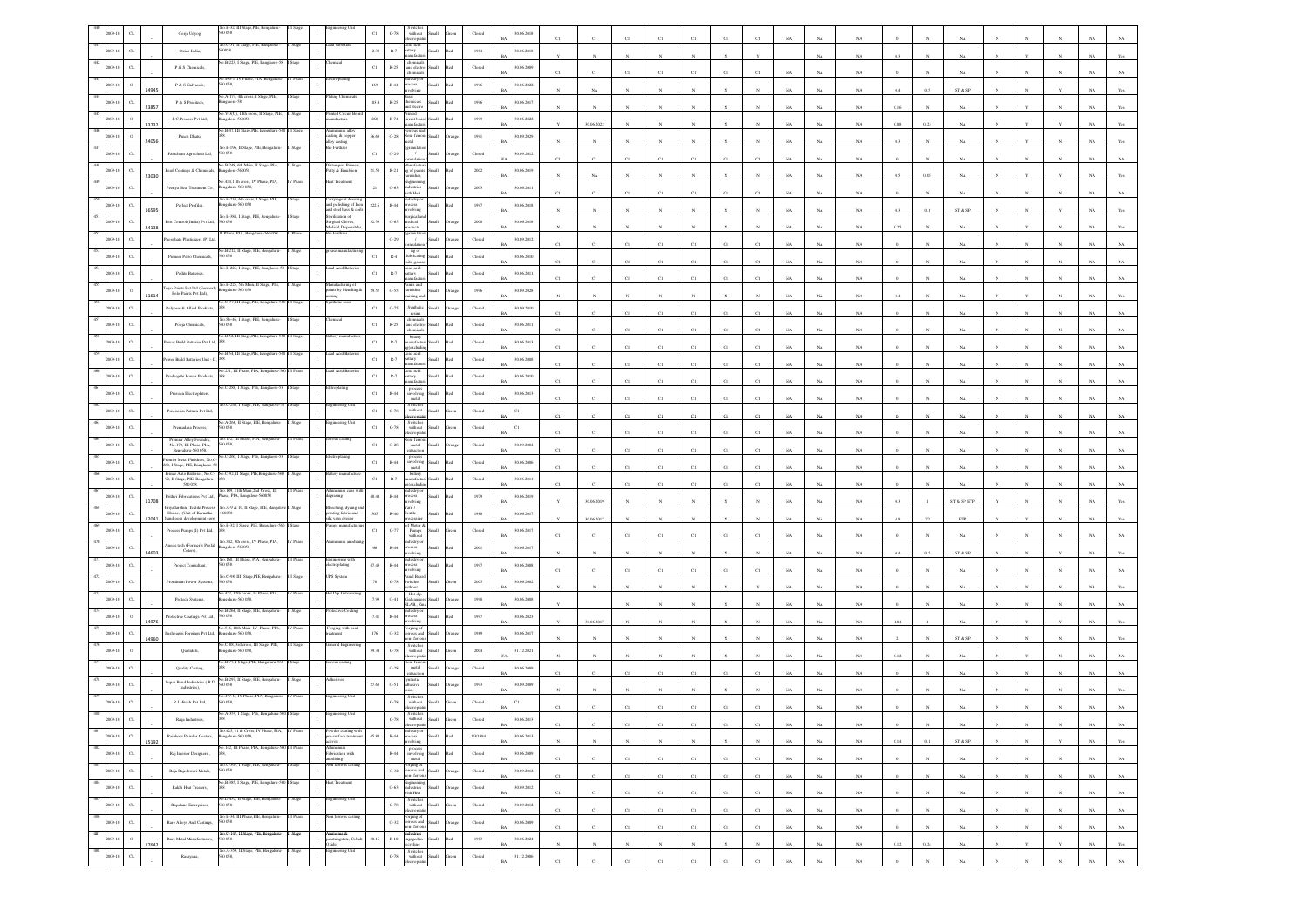|                |                             | Oorja Udyog,                                                             | $0. B - 32.$ III<br>058                                                           |                  |                                                            | $_{\rm C1}$ | $\mbox{G-}78$          | $% \left\vert \left( \mathbf{1}_{\mathbf{1}}\right) \right\rangle$ without<br>ectrophat                                                                                                                                                                                                                                                                                                                                                                                                                                            |                                                                                                                                                                                                                                                                                                                                                                                                                                                                                                                           | Closed                  | 06.2018                   |             |             |             |             |                |             |             |             |             |             |          |              |                                                                |            |              |              |             |                |
|----------------|-----------------------------|--------------------------------------------------------------------------|-----------------------------------------------------------------------------------|------------------|------------------------------------------------------------|-------------|------------------------|------------------------------------------------------------------------------------------------------------------------------------------------------------------------------------------------------------------------------------------------------------------------------------------------------------------------------------------------------------------------------------------------------------------------------------------------------------------------------------------------------------------------------------|---------------------------------------------------------------------------------------------------------------------------------------------------------------------------------------------------------------------------------------------------------------------------------------------------------------------------------------------------------------------------------------------------------------------------------------------------------------------------------------------------------------------------|-------------------------|---------------------------|-------------|-------------|-------------|-------------|----------------|-------------|-------------|-------------|-------------|-------------|----------|--------------|----------------------------------------------------------------|------------|--------------|--------------|-------------|----------------|
|                | $\alpha$                    | Oxide India.                                                             | No.C-31, II Stage, PIE, Bangalore<br>0058                                         | itago            |                                                            | 12.38       | $_{\rm R-7}$           | Lead acid<br>battery<br>ufact                                                                                                                                                                                                                                                                                                                                                                                                                                                                                                      | llam<br>ho!                                                                                                                                                                                                                                                                                                                                                                                                                                                                                                               | 1984                    | 0.06.2018                 |             |             |             |             |                |             |             |             | <b>NA</b>   | NA          |          |              |                                                                |            |              |              |             |                |
|                | $\alpha$                    | P & S Chemicals                                                          | B-223, I Stage, PIE, Bangl                                                        |                  |                                                            | $_{\rm Cl}$ | $\mathbb{R}\text{-}25$ | chemicals<br>and electro                                                                                                                                                                                                                                                                                                                                                                                                                                                                                                           | <b>Small</b><br>hd.                                                                                                                                                                                                                                                                                                                                                                                                                                                                                                       | Closed                  | 0.06.2009<br>RA           |             | C1          |             |             | C1             | CI          | CI          |             | NA          | NA          |          |              | NA                                                             |            |              |              |             |                |
|                |                             | ${\bf P}$ & S Galvasols,                                                 | 0.490-1, IV Phase, PIA, Beng<br>058,                                              |                  |                                                            | $169\,$     | $_{\rm R-44}$          |                                                                                                                                                                                                                                                                                                                                                                                                                                                                                                                                    |                                                                                                                                                                                                                                                                                                                                                                                                                                                                                                                           | $19\%$                  | 0.06, 2022                |             | NA          |             |             |                |             |             |             | NA          | NA          |          | 0.5          | ST & SP                                                        |            |              |              |             |                |
|                | 23857                       | P & S Precitech,                                                         | A-174, 4th et<br>sglaore-58                                                       |                  |                                                            | 103.4       | R-25                   | hemicals<br><b>Loborn</b>                                                                                                                                                                                                                                                                                                                                                                                                                                                                                                          |                                                                                                                                                                                                                                                                                                                                                                                                                                                                                                                           | 1996                    | 0.06.2017                 |             |             |             |             |                |             |             |             | NA          | NA          | 0.16     |              | NA                                                             |            |              |              |             |                |
|                | 33732                       | P.C.Process Pvt Ltd,                                                     | o.V-3(C), 14th cross, II Stage, PIE,<br>sgalore-560058                            | I Stage          | nted Circuit B<br>nufacture                                | 260         | $\mathbb{R}\text{-}74$ | nted<br>ircuit boa                                                                                                                                                                                                                                                                                                                                                                                                                                                                                                                 |                                                                                                                                                                                                                                                                                                                                                                                                                                                                                                                           | 1999                    | 0.06, 2022                |             |             |             |             |                |             |             |             | NA          | $_{\rm NA}$ | 0.08     | 0.23         | NA                                                             |            |              |              |             |                |
|                |                             | Panch Dhata,                                                             | o.B-47, III Stage, PIE,                                                           |                  | asting & copper<br>floy casting                            | 56.69       | $0 - 28$               | on- fer                                                                                                                                                                                                                                                                                                                                                                                                                                                                                                                            |                                                                                                                                                                                                                                                                                                                                                                                                                                                                                                                           | $1991\,$                | 1.09.2029                 |             | 30.06.2022  |             |             |                |             |             |             |             |             |          |              |                                                                |            |              |              |             |                |
|                | 24056<br>$\alpha$           | Parachem Agrochem Ltd,                                                   | No.B-196, II Stage, PIE, Bengaluru-<br>50 058                                     |                  | > Fertlizer                                                | $_{\rm C1}$ | 0.29                   | $\prime$                                                                                                                                                                                                                                                                                                                                                                                                                                                                                                                           |                                                                                                                                                                                                                                                                                                                                                                                                                                                                                                                           | $\rm Closed$            | 0.09.2012                 |             |             |             |             |                |             |             |             | NA          | NA          | 0.3      |              | NA                                                             |            |              |              |             |                |
|                | $_{\mbox{\scriptsize{CL}}}$ | earl Coatings & Chemicals,                                               | No.B-248, 6th Main, II Stage, PIA,<br>ngalore-560058                              | lage             | istemper, Prime<br>utty & Emulsion                         | 21.58       | $R-21$                 | anufact<br>g of paint                                                                                                                                                                                                                                                                                                                                                                                                                                                                                                              |                                                                                                                                                                                                                                                                                                                                                                                                                                                                                                                           | 2002                    | 1.06.2019                 |             | C1          | C)          |             | C1             | CI          |             |             | NA          | $_{\rm NA}$ |          |              |                                                                |            |              |              |             |                |
|                | 23030<br>$\alpha$           | Peenya Heat Treatment Co,                                                | o.424,11th cross, IV Phase, PIA,<br>ngaluru-560 058,                              |                  | eat Treatm                                                 | $21\,$      | $0 - 63$               | ustries                                                                                                                                                                                                                                                                                                                                                                                                                                                                                                                            |                                                                                                                                                                                                                                                                                                                                                                                                                                                                                                                           | 2003                    | 0.6.2011                  |             | NA          |             |             |                |             |             |             | NA          | $_{\rm NA}$ |          |              |                                                                |            |              |              |             |                |
|                | $_{\rm CL}$                 | Perfect Profiles,                                                        | 40.B-233, 6th cross, I Stage, PIE,<br>ngalaru-560 058                             |                  | Carryingout drawing<br>and polishing of Iron               | 222.6       | $R-44$                 | vith Heat<br>ustry o<br>ocess                                                                                                                                                                                                                                                                                                                                                                                                                                                                                                      |                                                                                                                                                                                                                                                                                                                                                                                                                                                                                                                           | 1997                    | 0.06.2018                 | C1          | C1          | CI          | CI          | CI             | CI          |             |             | NA          | NA          |          |              | NA                                                             |            |              |              |             |                |
| 19.1           | 16595<br>$_{\rm{CL}}$       | est Control (India) Pvt Ltd,                                             | No.B-384, I Stage, PIE, Bengaluru<br>0058                                         |                  | and steel bass & coils<br>crilization of                   | 32.33       | $0 - 65$               | Surgical a<br>nedical                                                                                                                                                                                                                                                                                                                                                                                                                                                                                                              |                                                                                                                                                                                                                                                                                                                                                                                                                                                                                                                           | 2000                    | 1.06.2018                 |             |             |             |             |                |             |             |             | NA          | $_{\rm NA}$ | 0.3      |              | ST & SP                                                        |            |              |              |             |                |
|                | 24138<br>$\alpha$           |                                                                          | Phase, PIA, Bengali                                                               |                  | surgical Gloves,<br>Medical Disposab                       |             | 0.29                   | ducts                                                                                                                                                                                                                                                                                                                                                                                                                                                                                                                              |                                                                                                                                                                                                                                                                                                                                                                                                                                                                                                                           |                         | 09.2012                   |             |             |             |             |                |             |             |             | NA          | NA          | 0.25     |              | NA                                                             |            |              |              |             |                |
|                |                             | hosphate Plasticizers (P) Ltd,                                           | io.B-212, II Stage, F                                                             |                  |                                                            |             |                        | $\overline{1}$<br>ng of<br>lubricating                                                                                                                                                                                                                                                                                                                                                                                                                                                                                             |                                                                                                                                                                                                                                                                                                                                                                                                                                                                                                                           | Closed                  | RA                        | C1          | C1          | CI          |             | C1             | C1          |             |             | NA          | NA          |          |              | NA                                                             |            |              |              |             |                |
|                | CL                          | Pioneer Petro Chemicals,                                                 | 60 058<br>No.B-226, I Stage, PIE, Banglaore-                                      |                  | cad Acid Batter                                            | $_{\rm C1}$ | $_{\rm R-4}$           | ils .greas<br>Lead acid<br>battery                                                                                                                                                                                                                                                                                                                                                                                                                                                                                                 | Ha<br>h.                                                                                                                                                                                                                                                                                                                                                                                                                                                                                                                  | Closed                  | 0.06.2010                 | C1          | C1          | C1          | C1          | C1             | C1          | $_{\rm CI}$ |             | $_{\rm NA}$ | $_{\rm NA}$ |          |              | $_{\rm NA}$                                                    |            |              |              |             |                |
|                | $\alpha$                    | Pollite Batteries,<br>yo Paints Pvt Ltd (Former                          | io.B-225, 5th Main, II Stage                                                      |                  | iufacturing o                                              | $_{\rm C1}$ | $\mathbb{R}\text{-}7$  | ints and                                                                                                                                                                                                                                                                                                                                                                                                                                                                                                                           |                                                                                                                                                                                                                                                                                                                                                                                                                                                                                                                           | $\operatorname{Closed}$ | 0.06.2011                 |             | CI          |             |             | C1             | CI          |             |             | NA          | NA          |          |              |                                                                |            |              |              |             |                |
|                | $\rm ^o$<br>11614           | Polo Paints Pvt Ltd).                                                    | ngalaru-560 058<br>o.C-77, III Stage, PIE, Ber                                    |                  | $\mathbf{I}$<br>saints by blending &<br>xins               | 29.57       | 0.55                   | amishes<br>xine a                                                                                                                                                                                                                                                                                                                                                                                                                                                                                                                  | Iliami                                                                                                                                                                                                                                                                                                                                                                                                                                                                                                                    | 1996                    | 0.09.2028<br>RA           |             |             |             |             |                |             |             |             | <b>NA</b>   | NA          |          |              | NA.                                                            |            |              |              |             |                |
|                | $\alpha$                    | Polymer & Allied Products                                                | o.Sb-46, I Stage, PIE,                                                            |                  |                                                            | $_{\rm C1}$ | $0 - 75$               | Synthetic<br>resins                                                                                                                                                                                                                                                                                                                                                                                                                                                                                                                |                                                                                                                                                                                                                                                                                                                                                                                                                                                                                                                           | Closed                  | 09.2010                   | C1          | C1          |             |             | $\overline{c}$ | C1          | $_{\rm CI}$ |             | NA          | $_{\rm NA}$ |          |              | NA                                                             |            |              |              |             |                |
|                | $\alpha$                    | Pooja Chemicals,                                                         | 058<br>o.B-52, III Stage, PIE, Bengaluru-                                         |                  | ery manufact                                               | $_{\rm C1}$ | $_{\rm R-25}$          | and electr<br>hemical<br>battery                                                                                                                                                                                                                                                                                                                                                                                                                                                                                                   |                                                                                                                                                                                                                                                                                                                                                                                                                                                                                                                           | Closed                  | 1.06.2011                 | CI          | C1          | CI          | CI          | $_{\rm C1}$    | $_{\rm CI}$ | CI          |             | NA          | NA          |          |              |                                                                |            |              |              |             |                |
|                | $_{\rm CL}$                 | ower Build Batteries Pvt Ltd                                             | 40.B-54, III Stage, PIE, Bengaluru-                                               |                  | ad Acid Batt                                               | $_{\rm C1}$ | $\mathbb{R}.7$         | nanufacti<br><b>cxcludi</b><br>cad acid                                                                                                                                                                                                                                                                                                                                                                                                                                                                                            |                                                                                                                                                                                                                                                                                                                                                                                                                                                                                                                           | Closed                  | 0.6.2013<br><b>BA</b>     | C1          | C1          | C1          | C1          | C1             | C1          | C1          | NA          | $_{\rm NA}$ | NA          |          |              | $_{\rm NA}$                                                    |            |              |              | NA          |                |
|                | $_{\rm C1}$                 | wer Build Batteries Unit - I                                             | in 251 III Phase PIA Bengaluru, 560 II                                            | II Phas          | ad Acid Ba                                                 | $_{\rm C1}$ | $\mathbb{R}\text{-}7$  | ttery<br>cad acid                                                                                                                                                                                                                                                                                                                                                                                                                                                                                                                  |                                                                                                                                                                                                                                                                                                                                                                                                                                                                                                                           | $\operatorname{Closed}$ | 06.2008                   | C1          | C1          | $_{\rm CI}$ | C1          | C1             | $_{\rm CI}$ | CI          |             | $_{\rm NA}$ | $_{\rm NA}$ |          |              | NA                                                             |            |              |              |             |                |
|                | $_{\rm{CL}}$                | Pradeepthi Power Products,                                               |                                                                                   |                  |                                                            | $_{\rm C1}$ | $\mathbb{R}\text{-}7$  | attery<br>ufac                                                                                                                                                                                                                                                                                                                                                                                                                                                                                                                     |                                                                                                                                                                                                                                                                                                                                                                                                                                                                                                                           | $\operatorname{Closed}$ | 0.06.2010                 |             | CI          | CI          | CI          | C1             | CI          |             |             | NA          | NA          |          |              |                                                                |            |              |              |             |                |
| 19.1           | $_{\rm CL}$                 | Praveen Electroplaters,                                                  | C-288, I Stage, PIE, Banglaore-3                                                  | Stage            |                                                            | $_{\rm C1}$ | $R-44$                 | involving<br>metal                                                                                                                                                                                                                                                                                                                                                                                                                                                                                                                 | <b>Illett</b>                                                                                                                                                                                                                                                                                                                                                                                                                                                                                                             | Closed                  | 0.06.2013                 |             | C1          | CI          | CI          | C1             | CI          | CI          |             | NA          | $_{\rm NA}$ |          |              |                                                                |            |              |              |             |                |
|                | $_{\mbox{\scriptsize{CL}}}$ | Precission Pattern Pvt Ltd,                                              | a.C-248, I Stage, PIE, Banglaore-5                                                |                  | ineering Un                                                | $_{\rm C1}$ | $\mbox{G-}78$          | Switches<br>without<br>:troph                                                                                                                                                                                                                                                                                                                                                                                                                                                                                                      |                                                                                                                                                                                                                                                                                                                                                                                                                                                                                                                           | $\operatorname{Closed}$ |                           | C1          | C1          | C1          | C1          | $\overline{c}$ | C1          |             |             | NA          | $_{\rm NA}$ |          |              | $_{\rm NA}$                                                    |            |              |              |             |                |
|                | $_{\rm CL}$                 | Premadasa Process,                                                       | o.A-266, II Stage, PIE, Bengalur<br>D 0.58                                        |                  | ineering Un                                                | $_{\rm Cl}$ | $\mbox{G-}78$          | Switches<br>without<br>tronic                                                                                                                                                                                                                                                                                                                                                                                                                                                                                                      |                                                                                                                                                                                                                                                                                                                                                                                                                                                                                                                           | Closed                  |                           | C1          | C1          | C1          | CI          | C1             | C1          |             |             | NA          | NA.         |          |              | NA                                                             |            |              |              |             |                |
| $9 - 10$       | $_{\rm{CL}}$                | Premier Alloy Foundry,<br>No. 172 III Phase PIA<br>Bengaluru-560 058,    | io.172, III Phase, PIA, Ba<br>60 058                                              |                  |                                                            | $_{\rm C1}$ | 0.28                   | ion-fer<br>$\begin{array}{c} \mathbf{metal} \\ \mathbf{extraction} \end{array}$                                                                                                                                                                                                                                                                                                                                                                                                                                                    | <b>Ham</b>                                                                                                                                                                                                                                                                                                                                                                                                                                                                                                                | Closed                  | 0.09.2004                 | C1          | $_{\rm C1}$ | C1          | C1          | C1             | C1          |             |             | NA          | $_{\rm NA}$ |          |              | $_{\rm NA}$                                                    |            |              |              |             |                |
|                | $_{\rm{CL}}$                | Vemier Metal Finishers, No.C-<br>60, I Stage, PIE, Banglaore-58          | 40.C-260, I Stage, PIE, Banglac                                                   |                  |                                                            | $_{\rm C1}$ | $\mathbb{R}\text{-}44$ | involving<br>metal                                                                                                                                                                                                                                                                                                                                                                                                                                                                                                                 | Iliami                                                                                                                                                                                                                                                                                                                                                                                                                                                                                                                    | $\operatorname{Closed}$ | 1.06.2006                 | C1          | C1          | CI          | CI          | C1             | $_{\rm CI}$ |             |             | NA          | NA          |          |              | NA                                                             |            |              |              |             |                |
|                | $_{\rm CL}$                 | Prince Auto Batteries, No.C-<br>92, II Stage, PIE, Bengaluru-<br>560 058 | o.C-92, II Stage, PIE,Beng                                                        |                  |                                                            | $_{\rm Cl}$ | $\mathbb{R}.7$         | battery<br>unufacturi<br>excludi                                                                                                                                                                                                                                                                                                                                                                                                                                                                                                   | Iliam<br>h.                                                                                                                                                                                                                                                                                                                                                                                                                                                                                                               | Closed                  | 0.06.2011<br>R4           |             | C1          | C1          | C1          | C1             | C1          |             |             | NA          | NA          |          |              | NA.                                                            |            |              |              |             |                |
| 19.1           | $_{\rm{CL}}$<br>11708       | Prithvi Fabrications Pvt Ltd,                                            | No.189, 11th Main, 2nd Cross, III<br>Phase, PIA, Bangalore-560058                 |                  | minum cans<br>rasing                                       | 48.44       | $R-44$                 | ustry o                                                                                                                                                                                                                                                                                                                                                                                                                                                                                                                            |                                                                                                                                                                                                                                                                                                                                                                                                                                                                                                                           | 1979                    | 0.06.2019                 |             | 30.06.2019  |             |             |                |             |             |             | NA          | NA          |          |              | $\operatorname{ST}$ & $\operatorname{SP}$ $\operatorname{ETP}$ |            |              |              |             |                |
|                | $_{\rm{CL}}$<br>12041       | vadarshini Textile Proces<br>House, (Unit of Karnatka                    | No.A-9 & 10, II Stage, PIE, Bang<br>60058                                         |                  | Reeching, dyeing a<br>rinting fabric and<br>ilk yam dyeing | $305\,$     | $\mathbb{R}\text{-}40$ | xtic                                                                                                                                                                                                                                                                                                                                                                                                                                                                                                                               |                                                                                                                                                                                                                                                                                                                                                                                                                                                                                                                           | $1980\,$                | 1.06.2017                 |             | 30.06.2017  |             |             |                |             |             |             | NA          | NA          |          |              | ETP                                                            |            |              |              |             |                |
|                | $\alpha$                    | handloom development corp<br>Process Pumps (I) Pvt Ltd,                  | io. B-32, I Stage, PIE, Bengalaru-56                                              |                  | nps manufactu                                              | $_{\rm C1}$ | $_{\mathrm{G-77}}$     | d' Motor &<br>Pumps<br>without                                                                                                                                                                                                                                                                                                                                                                                                                                                                                                     |                                                                                                                                                                                                                                                                                                                                                                                                                                                                                                                           | Closed                  | 0.06.2017                 | C1          | C1          |             |             | C1             | C1          |             |             | NA          | NA          |          |              | NA                                                             |            |              |              |             |                |
|                | $_{\rm CL}$                 | Anode tech (Formerly Profal<br>Coters),                                  | No.342, 9th cross, IV Phase, PIA,<br>sgalore-560058                               | V Phase          | nium an                                                    | 66          | $R-44$                 | cess                                                                                                                                                                                                                                                                                                                                                                                                                                                                                                                               |                                                                                                                                                                                                                                                                                                                                                                                                                                                                                                                           | $2001\,$                | 1.06.2017                 |             |             |             |             |                |             |             |             |             |             |          |              |                                                                |            |              |              |             |                |
|                | 34603<br>$\alpha$           | Project Consultant,                                                      | io.160. III Phase, PIA, Benna<br>D 0.58                                           |                  | saintender                                                 | $47.43\,$   | $_{\rm R-44}$          | cess                                                                                                                                                                                                                                                                                                                                                                                                                                                                                                                               |                                                                                                                                                                                                                                                                                                                                                                                                                                                                                                                           | 1997                    | 0.06, 2008                |             |             |             |             |                |             |             |             | $_{\rm NA}$ | $_{\rm NA}$ | 0.4      |              | ${\rm ST}$ & ${\rm SP}$                                        |            |              |              |             |                |
|                | $\alpha$                    | Prominent Power Systems,                                                 | No.C-98, III Stage,PIE, Bengaluru<br>0058                                         | Stage            | PS System                                                  | 78          | $G-78$                 | olvin<br>anel Boa<br>switches                                                                                                                                                                                                                                                                                                                                                                                                                                                                                                      |                                                                                                                                                                                                                                                                                                                                                                                                                                                                                                                           | 2005                    | 0.06.2002                 | C1          | C1          | CI          | CI          | $_{\rm C1}$    | $_{\rm Cl}$ |             |             | NA          | NA          |          |              | NA                                                             |            |              |              |             |                |
|                | $C$ L                       | Protech Systems,                                                         | 40.427, 12th cross, Iv Phase, PIA,<br>ngaluru-560 058,                            | V Phase          | ot Dip Galvan                                              | 17.93       | $0 - 41$               | ithout<br>Hot dip                                                                                                                                                                                                                                                                                                                                                                                                                                                                                                                  |                                                                                                                                                                                                                                                                                                                                                                                                                                                                                                                           | $19\%$                  | 0.06, 2008                |             |             |             |             |                |             |             |             | NA          | $_{\rm NA}$ |          |              |                                                                |            |              |              |             |                |
|                | $\circ$                     | Protective Coatings Pvt Ltd,                                             | 40.B-264, II Stage, PIE, Bengalar<br>i0 058                                       |                  |                                                            | 17.41       | $\mathbb{R}\text{-}44$ | SLAB., Zin<br>astry c<br>xess                                                                                                                                                                                                                                                                                                                                                                                                                                                                                                      |                                                                                                                                                                                                                                                                                                                                                                                                                                                                                                                           | 1997                    | 0.06.2023                 |             |             |             |             |                |             |             |             | NA          | NA          |          |              |                                                                |            |              |              |             |                |
|                | 14976<br>$_{\rm CL}$        | ushpagiri Forgings Pvt Ltd,                                              | 516, 10th Main T<br>ngalaru-560 058,                                              |                  | orging with I<br>ment                                      | 176         | $O-32$                 | volving<br>orging o<br>rous and                                                                                                                                                                                                                                                                                                                                                                                                                                                                                                    | <b>Ham</b>                                                                                                                                                                                                                                                                                                                                                                                                                                                                                                                | 1989                    | RA<br>0.06.2017           |             | 30.06.2017  |             |             |                |             |             |             | NA          | NA          | 1.04     |              | NA                                                             |            |              |              |             |                |
|                | 14960<br>$\circ$            | Qualidels,                                                               | No.C-88, 3ed cross, III Stage, PIE,<br>Bengalaru-560 058,                         | III Stage        | teral Engi                                                 | 39.34       | $\,$ G-78 $\,$         | n-fem<br>Switcher<br>without                                                                                                                                                                                                                                                                                                                                                                                                                                                                                                       |                                                                                                                                                                                                                                                                                                                                                                                                                                                                                                                           | 2004                    | .12.2021                  |             |             |             |             |                |             |             |             | NA          | $_{\rm NA}$ |          |              | ST & SP                                                        |            |              |              |             |                |
|                | $_{\rm CL}$                 | Quality Casting                                                          | 40.B-77, I Stage, PIE, Benga                                                      |                  |                                                            |             | $0 - 28$               | ctroph<br>metal                                                                                                                                                                                                                                                                                                                                                                                                                                                                                                                    |                                                                                                                                                                                                                                                                                                                                                                                                                                                                                                                           | Closed                  | WA.<br>0.6.2009           |             |             |             |             |                |             |             |             | NA          | NA          | 0.12     |              | NA                                                             |            |              |              |             |                |
|                | $C$ L                       | Super Bond Industries (R.D.                                              | Vo.B-297, II Stage, PIE, Beng<br>8200                                             |                  |                                                            | 27.68       | 0.51                   | tractio<br>thetic                                                                                                                                                                                                                                                                                                                                                                                                                                                                                                                  | llam                                                                                                                                                                                                                                                                                                                                                                                                                                                                                                                      |                         | RA                        |             | CI          | cт          |             | $^{c}$ 1       | CI          |             |             | NA          | NA          |          |              | NA                                                             |            |              |              |             |                |
|                |                             | Industries),                                                             | No.477-C, IV Phase, PIA, Bengaluru                                                | IV Phase         | gineering Unit                                             |             |                        | <b>fhesive</b><br>Switcher                                                                                                                                                                                                                                                                                                                                                                                                                                                                                                         |                                                                                                                                                                                                                                                                                                                                                                                                                                                                                                                           | 1993                    | 0.09.2009                 |             |             |             |             |                |             |             |             | NA          | NA          |          |              |                                                                |            |              |              |             |                |
|                | $\alpha$                    | R.J.Hitech Pvt Ltd,                                                      |                                                                                   |                  |                                                            |             | $G-78$                 | with out<br>ctroph<br>Switches<br>without                                                                                                                                                                                                                                                                                                                                                                                                                                                                                          |                                                                                                                                                                                                                                                                                                                                                                                                                                                                                                                           | $\operatorname{Closed}$ |                           |             |             |             |             |                |             |             |             |             |             |          |              |                                                                |            |              |              |             |                |
| 481            |                             | Raga Industries,                                                         | No.425, 11 th Cross, IV Phase, PIA, IV Phase                                      |                  | owder coating with                                         |             | $\,$ G-78 $\,$         |                                                                                                                                                                                                                                                                                                                                                                                                                                                                                                                                    |                                                                                                                                                                                                                                                                                                                                                                                                                                                                                                                           | ${\it Closed}$          | 0.06.2013<br><b>BA</b>    |             | C1          | C1          |             | CI             | C1          | C1          | <b>NA</b>   | NA          | NA          |          |              | NA.                                                            |            | $\mathbf{N}$ |              | NA 1        | NA 1           |
| 2009-10<br>482 | $_{\rm CL}$<br>15192        | Rainbow Powder Coaters,                                                  | Bengaluru-560 058,<br>in 147 III Phase PIA Rengaluru.560 III Phas                 |                  | re-surface treatment<br>:tivity<br>mummu                   | 45.84       | $\,$ R-44 $\,$         | Industry or<br>process<br>involving                                                                                                                                                                                                                                                                                                                                                                                                                                                                                                | Small<br>Red                                                                                                                                                                                                                                                                                                                                                                                                                                                                                                              | 1/3/1994                | 0.06.2013<br>$_{\rm BA}$  |             | $_{\rm N}$  | $_{\rm N}$  | $_{\rm N}$  | $\mathbf{N}$   | $_{\rm N}$  | $_{\rm N}$  | $_{\rm NA}$ | $_{\rm NA}$ | $_{\rm NA}$ | $0.14\,$ | 0.1          | $\text{ST} \ \& \ \text{SP}$                                   |            | $_{\rm N}$   |              | $_{\rm NA}$ | $\mathbf{Yes}$ |
| 2009-10<br>483 | $_{\rm CL}$                 | Raj Interior Designers,                                                  | No.C-307, I Stage, PIE, Bengaluru-                                                | Stage            | Fabrication with<br>todising<br>on ferrous casting         |             | $_{\rm R-44}$          |                                                                                                                                                                                                                                                                                                                                                                                                                                                                                                                                    | $\begin{tabular}{l} process \\ involving \\ metal \\ \end{tabular} \begin{tabular}{c} \includegraphics[width=0.5cm]{Figs/0.25cm} \includegraphics[width=0.5cm]{Figs/0.25cm} \includegraphics[width=0.5cm]{Figs/0.25cm} \includegraphics[width=0.5cm]{Figs/0.25cm} \includegraphics[width=0.5cm]{Figs/0.25cm} \includegraphics[width=0.5cm]{Figs/0.25cm} \includegraphics[width=0.5cm]{Figs/0.25cm} \includegraphics[width=0.5cm]{Figs/0.25cm} \includegraphics[width=0.5cm]{Figs/0.25cm} \includegraphics[width=0.5cm]{F$ | ${\bf Closed}$          | 0.06.2009<br><b>BA</b>    | $_{\rm C1}$ | C1          | C1          | C1          | C1             | $_{\rm Cl}$ | C1          | $_{\rm NA}$ | $_{\rm NA}$ | $_{\rm NA}$ |          |              | $_{\rm NA}$                                                    |            | $\mathbb{N}$ | $_{\rm N}$   | $_{\rm NA}$ | $_{\rm NA}$    |
| 2009-10<br>484 | $_{\rm CL}$                 | Raja Rajeshwari Metals,                                                  | 560 058<br>No.B-385, I Stage, PIE, Bengaluru-560 I Stage                          |                  | est Treatment                                              |             |                        | Forging of<br>O-32 ferrous and Small<br>non-ferrous                                                                                                                                                                                                                                                                                                                                                                                                                                                                                | Orange                                                                                                                                                                                                                                                                                                                                                                                                                                                                                                                    | $\operatorname{Closed}$ | 30.09.2012<br>$_{\rm BA}$ | $_{\rm C1}$ | C1          | $_{\rm C1}$ | $_{\rm C1}$ | $_{\rm C1}$    | $_{\rm C1}$ | $_{\rm C1}$ | $_{\rm NA}$ | $_{\rm NA}$ | $_{\rm NA}$ | $\alpha$ | $_{\rm N}$   | $_{\rm NA}$                                                    | $_{\rm N}$ | $\mathbb{N}$ | $_{\rm N}$   | $_{\rm NA}$ | $_{\rm NA}$    |
| 2009-10        | $_{\rm{CL}}$                | Rakhi Heat Treaters,                                                     |                                                                                   |                  |                                                            |             | $0 - 63$               | Engineering<br>Industries<br>with Heat                                                                                                                                                                                                                                                                                                                                                                                                                                                                                             | Small<br>Orange                                                                                                                                                                                                                                                                                                                                                                                                                                                                                                           | ${\bf Closed}$          | 90.09.2012<br>$_{\rm BA}$ | $_{\rm C1}$ | $_{\rm C1}$ | $_{\rm C1}$ | $_{\rm C1}$ | $_{\rm C1}$    | $_{\rm C1}$ | $_{\rm C1}$ | $_{\rm NA}$ | $_{\rm NA}$ | $_{\rm NA}$ |          |              | $_{\rm NA}$                                                    |            | $_{\rm N}$   | $_{\rm N}$   | $_{\rm NA}$ | $_{\rm NA}$    |
| 485<br>009-10  | $_{\rm CL}$                 | Rapalano Enterprises,                                                    | No.D-432, II Stage, PIE, Bengaluru-<br>0058<br>vo.B-34, III Phase,PIE, Bengaluru- | I Stage<br>Phase | ngineering Unit                                            |             | $\mbox{G-}78$          | Switches<br>without Small<br>lectroplatin                                                                                                                                                                                                                                                                                                                                                                                                                                                                                          | Green                                                                                                                                                                                                                                                                                                                                                                                                                                                                                                                     | Closed                  | 30.09.2012<br><b>BA</b>   | C1          | C1          | C1          | C1          | C1             | C1          | C1          | NA          | NA          | NA          |          |              | NA                                                             |            | $\mathbf{N}$ | $\mathbf{N}$ | NA          | NA             |
| 486<br>2009-10 | $_{\rm{CL}}$                | Rare Alloys And Castings,                                                | 560 058                                                                           |                  | 1 ferrous casting<br>$\mathbf{I}$                          |             | $0 - 32$               | Forging of<br>ferrous and Small<br>ton-ferrous                                                                                                                                                                                                                                                                                                                                                                                                                                                                                     | Stand                                                                                                                                                                                                                                                                                                                                                                                                                                                                                                                     | Closed                  | 30.06.2009<br>$_{\rm BA}$ | $_{\rm C1}$ | C1          | $_{\rm C1}$ | $_{\rm C1}$ | $_{\rm C1}$    | $_{\rm C1}$ | $_{\rm C1}$ | $_{\rm NA}$ | $_{\rm NA}$ | $_{\rm NA}$ |          | $\mathbf{N}$ | $_{\rm NA}$                                                    |            |              |              | $_{\rm NA}$ | $_{\rm NA}$    |
| 487<br>2009-10 | $\,$ $\,$<br>17642          | Rare Metal Manufacturers,                                                | No.C-147, II Stage, PIE, Bengaluru-<br>560 058                                    | II Stage         | mmonia &<br>paratungstate, Cobalt<br>Oxide<br>$\mathbf{I}$ | 30.16       | $\mathbb{R}\text{-}10$ | Industries<br>engaged in<br>recycling                                                                                                                                                                                                                                                                                                                                                                                                                                                                                              | Small<br>kal                                                                                                                                                                                                                                                                                                                                                                                                                                                                                                              | 1983                    | 0.06.2024<br>$_{\rm BA}$  | $_{\rm N}$  | $_{\rm N}$  | $_{\rm N}$  | $_{\rm N}$  | $_{\rm N}$     | $_{\rm N}$  | $_{\rm N}$  | $_{\rm NA}$ | $_{\rm NA}$ | $_{\rm NA}$ | $0.12\,$ | $0.24\,$     | $_{\rm NA}$                                                    |            | $_{\rm Y}$   | $_{\rm Y}$   | $_{\rm NA}$ | $\mathbf{Yes}$ |
| 488<br>009-10  | $_{\rm CL}$                 | Rasayana,                                                                | No. A-353, II Stage, PIE, Bengaluru-                                              | II Stage         | ngineering Unit                                            |             | $\,$ G-78 $\,$         | $\begin{tabular}{ll} \multicolumn{2}{l}{Swithcat & Small \\ \multicolumn{2}{l}{%{withcat} & Small \\ \multicolumn{2}{l}{%{withcat} & Small \\ \multicolumn{2}{l}{%{withcat} & small \\ \multicolumn{2}{l}{%{withcat} & small \\ \multicolumn{2}{l}{%{withcat} & small \\ \multicolumn{2}{l}{%{withcat} & small \\ \multicolumn{2}{l}{%{withcat} & small \\ \multicolumn{2}{l}{%{withcat} & small \\ \multicolumn{2}{l}{%{withcat} & small \\ \multicolumn{2}{l}{%{withcat} & small \\ \multicolumn{2}{l}{%{withcat$<br>ectroplatin |                                                                                                                                                                                                                                                                                                                                                                                                                                                                                                                           | ${\it Closed}$          | 1.12.2006<br><b>BA</b>    | C1          | C1          | C1          | C1          | $_{\rm C1}$    | C1          | C1          | NA          | NA          | NA          |          |              | <b>NA</b>                                                      |            | $\mathbf{N}$ | $\mathbf{N}$ | NA          | $_{\rm NA}$    |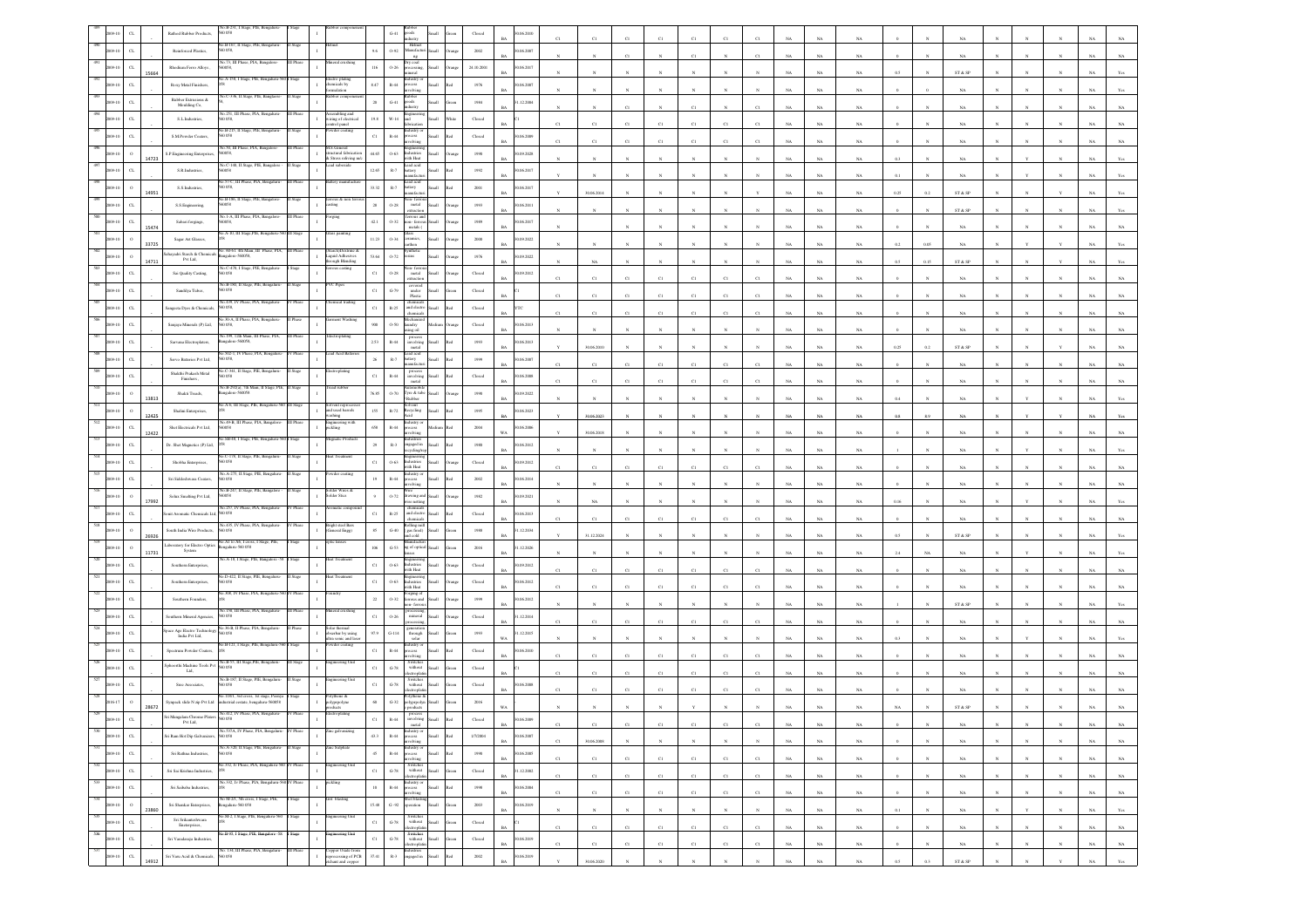|                  |                                      | Rathod Rubber Products,                      | 058                                                                        |           |                                                                     |                | $G-41$                 | ods                                                                                                                                                              |                       |                         | 06.2010                   |              |              |                       |              |              |                       |              |             |             |             |      |              |                         |            |            |              |             |             |
|------------------|--------------------------------------|----------------------------------------------|----------------------------------------------------------------------------|-----------|---------------------------------------------------------------------|----------------|------------------------|------------------------------------------------------------------------------------------------------------------------------------------------------------------|-----------------------|-------------------------|---------------------------|--------------|--------------|-----------------------|--------------|--------------|-----------------------|--------------|-------------|-------------|-------------|------|--------------|-------------------------|------------|------------|--------------|-------------|-------------|
|                  | $\alpha$                             | Reinforced Plastics,                         | 40.B-167, II Stage, PIE, Bengalum<br>0.058                                 |           |                                                                     | 9.6            | 0.92                   | Helmet<br>Anufacturi Small<br>$\rm ng$                                                                                                                           |                       | 2002                    | 0.06.2007                 |              |              |                       |              | $^{c}$ 1     |                       |              |             | <b>NA</b>   | NA.         |      |              |                         |            |            |              |             |             |
|                  | $_{\rm{CL}}$<br>15664                | Rhodium Ferro Alloys                         | .73, III Phase,<br>50058                                                   |           |                                                                     | 116            | $0 - 26$               | try coal<br>cessing                                                                                                                                              | Small                 | 24.10.2001              | 0.06.2017<br>RA           |              |              |                       |              |              |                       |              |             | NA          | NA          |      |              | ${\rm ST}$ & ${\rm SP}$ |            |            |              |             |             |
|                  | $\alpha$                             | Roxy Metal Finishers,                        | A-158, I Stage, PIE,                                                       |           | ectro platin<br>temicals by                                         | $8.47\,$       | $\mathbb{R}\text{-}44$ |                                                                                                                                                                  |                       | $1976\,$                | 0.06.2007                 |              |              |                       |              |              |                       |              |             |             |             |      |              |                         |            |            |              |             |             |
|                  | $\alpha$                             | Rubber Extrusions &<br>Moulding Co.          |                                                                            |           |                                                                     | $20\,$         | $G-41$                 | ods                                                                                                                                                              |                       | 1984                    | 1.12.2004                 |              |              |                       |              |              |                       |              |             | NA          | NA          |      |              | NA                      |            |            |              |             |             |
|                  |                                      | S.L.Industries                               | 40.251, III Phase, PIA, Bengalur<br>0.058                                  |           | embling and<br>without and<br>wiring of electrical<br>control panel | $19.8\,$       | $_{\rm W\text{-}14}$   |                                                                                                                                                                  |                       | Closed                  |                           |              |              |                       |              | $^{c}$ 1     |                       |              |             | NA          | NA.         |      |              | NA.                     |            |            |              |             |             |
|                  |                                      | S.M.Powder Coaters,                          | B-215, II Stan<br>0 O.SS                                                   |           |                                                                     | $_{\rm C1}$    | $_{\rm R-44}$          |                                                                                                                                                                  |                       | $\operatorname{Closed}$ | 1.06.2009                 |              |              |                       |              |              |                       |              |             | NA          |             |      |              |                         |            |            |              |             |             |
|                  |                                      |                                              | No.50, III Phase, PIA, Ba<br>0058,                                         |           | M.S.General<br>tructural fabrication                                |                | $0 - 63$               | dustries                                                                                                                                                         |                       | 1990                    | 0.09.2028                 | CI           | CI           | CI                    | CI           | C1           | CI                    |              |             | $_{\rm NA}$ | NA          |      |              | NA                      |            |            |              |             |             |
|                  | 14723                                | S.P. Engineering Enterprises                 | No.C-140, II Stage, PIE, Banga<br>60058                                    |           | & Stress reliving m/c<br>cad suboxide                               | 44.65          |                        | vith Heat<br>cad acid                                                                                                                                            |                       |                         |                           |              |              |                       |              |              |                       |              |             | NA          | $_{\rm NA}$ |      |              |                         |            |            |              |             |             |
|                  | $C$ L                                | S.R.Industries                               | 57-C, III Phase, PIA, Bengal                                               |           |                                                                     | 12.65          | $\mathbb{R}.7$         | attery<br>ead acid                                                                                                                                               |                       | 1992                    | 1.06.2017                 |              |              |                       |              |              |                       |              |             | NA          | NA          |      |              |                         |            |            |              |             |             |
|                  | 4951                                 | S.S.Industries,                              | D 058,<br>40.B-186, II Stage, PIE, Bangalor                                |           | rrous & non                                                         | 33.32          | $R-7$                  | attery<br>nufact<br>a- fa                                                                                                                                        |                       | 2001                    | 0.6.2017                  |              | 30.06.2014   |                       |              |              |                       |              |             | NA          | NA          | 0.25 |              | ST & SP                 |            |            |              |             |             |
|                  | $\sigma$                             | S.S. Engineering.                            | 0058<br>No.1-A, III Phase, PIA, Bangalore-                                 | II Phase  | śng<br>orging                                                       | $\bf 28$       | $0 - 28$               | metal<br>extraction                                                                                                                                              |                       | 1993                    | 0.06.2011                 |              |              |                       |              |              |                       |              |             | NA          | $_{\rm NA}$ |      |              | ST & SP                 |            |            |              |             |             |
|                  | $_{\mbox{\scriptsize{CL}}}$<br>15474 | Sabari forgings,                             | 0058,<br>.<br>A-10, III Stage, PIE, Benga                                  |           |                                                                     | $42.1\,$       | $0 - 32$               | on-fen<br>metals (                                                                                                                                               |                       | 1989                    | 1.06.2017                 |              |              |                       |              |              |                       |              |             | NA          | NA          |      |              | NA                      |            |            |              |             |             |
|                  | $\circ$<br>33725                     | Sagar Art Glasses,                           | . 60-61. 4th Main, I                                                       |           | ss painting<br>tarch)Dextrin                                        | 11.23          | 0.34                   | ramics,<br>rthen                                                                                                                                                 | Iliami                | 2000                    | 0.09.2022<br>RA           |              |              |                       |              |              |                       |              |             | NA          | NA          | 0.2  | 0.05         | NA                      |            |            |              |             |             |
|                  | $\Omega$<br>14711                    | ahayadri Starch & Chemical<br>Pvt Ltd,       | ngalore-560058,                                                            |           | .<br>Liquid Adhesives<br>hrough Blending                            | 53.64          | 0.72                   | sins                                                                                                                                                             | <b>Illami</b>         | 1976                    | 0.09.2022                 |              |              |                       |              |              |                       |              |             | NA          | $_{\rm NA}$ | 0.5  | 0.15         | ST & SP                 |            |            |              |             |             |
|                  | $\alpha$                             | Sai Quality Casting,                         | No.C-470, I Stage, PIE, Bengalure                                          |           |                                                                     | $_{\rm C1}$    | $0.28\,$               | ion- fer<br>$_{\rm metal}$<br>xtractio                                                                                                                           |                       | $\operatorname{Closed}$ | 0.09.2012                 |              |              |                       |              | C1           |                       |              |             | NA          | NA          |      |              |                         |            |            |              |             |             |
|                  | $_{\rm CL}$                          | Sandilya Tubes,                              | o.B-180, II Stag<br>0.058                                                  |           |                                                                     | $_{\rm C1}$    | $G-79$                 | covered<br>under<br>Plastic                                                                                                                                      | Iliami                | Closed                  |                           | C1           | C1           |                       |              | C1           | C1                    |              |             | <b>NA</b>   | NA          |      |              | NA.                     |            |            |              |             |             |
|                  |                                      | angeeta Dyes & Chemical                      | io.439, IV Phase, PIA, E<br>0.058                                          |           |                                                                     | $_{\rm C1}$    | $\mathbb{R}{\cdot}25$  | chemica<br>and electro<br>chemicals                                                                                                                              |                       | Closed                  |                           |              | C1           |                       |              |              | CI                    |              |             | NA          | $_{\rm NA}$ |      |              | NA                      |            |            |              |             |             |
|                  | $\alpha$                             | Sanjaya Minerals (P) Ltd,                    | 30-A. II Phase, PI                                                         |           |                                                                     | $900 -$        | 0.50                   | mdry<br>ing oil                                                                                                                                                  |                       | Closed                  | 1.06.2013                 |              |              |                       |              |              |                       |              |             | NA          | NA          |      |              | NA                      |            |            |              |             |             |
|                  | CL                                   | Sarvana Electroplaters                       | o. 199, 12th Main, III Phase, PIA,<br>sgalore-560058                       | I Phas    | ctroplating                                                         | $2.53\,$       | $\mbox{R-44}$          | process<br>involving<br>metal                                                                                                                                    | <b>Ham</b>            | 1993                    | 0.6.2013<br><b>BA</b>     |              | 30.06.2010   |                       |              |              |                       |              | NA          | $_{\rm NA}$ | $_{\rm NA}$ | 0.25 | 0.2          | ST & SP                 |            |            |              |             |             |
|                  |                                      | Servo Batteries Pvt Ltd,                     | a 502-1, IV Phase, PIA, Bengalar<br>50 058,                                |           | ad Acid Batt                                                        | $\rm 26$       | $\mathbb{R}\text{-}7$  | cad acid<br>attery                                                                                                                                               |                       | 1999                    | 0.06, 2007                |              | C1           |                       |              | $_{\rm C1}$  | $_{\rm CI}$           |              |             |             |             |      |              |                         |            |            |              |             |             |
|                  |                                      | Shakthi Prakash Metal<br>Finishers,          | 40.C-341. Il Stage, PIE, Benzalur<br>0 O.S8                                |           |                                                                     | $_{\rm C1}$    | $_{\rm R-44}$          | process<br>involving                                                                                                                                             | Ilamõ                 | $\operatorname{Closed}$ | 0.06.2008                 |              |              | C1                    | C1           |              |                       |              |             | $_{\rm NA}$ | $_{\rm NA}$ |      |              | $_{\rm NA}$             |            |            |              |             |             |
|                  |                                      | Shakti Treads,                               | io.B-292(a), 7th Main, II Stage, PII<br>ngalore-560058                     |           | ad rubbe                                                            | 76.85          | $0 - 70$               | metal<br>Tyre & tabe                                                                                                                                             | <b>Iliam</b>          | 1950                    | 0.09.2022                 |              | CI           |                       |              | C1           |                       |              |             | NA          | NA          |      |              |                         |            |            |              |             |             |
|                  | 13813                                | Shalini Enterprises,                         | o.A-6, III Stage, PIE, Bengaluru-56                                        |           | lvent repo<br>and used barrels                                      | $155\,$        | $\mathbb{R}\text{-}72$ | ecycling                                                                                                                                                         |                       | 1995                    | RA<br>06.2023             |              |              |                       |              |              |                       |              |             | NA          | $_{\rm NA}$ | 0.4  |              | NA                      |            |            |              |             |             |
|                  | 12425<br>C1                          | Shet Electricals Pvt Ltd.                    | éo.49-B, III Phase, PIA, Bangalor<br>0058                                  |           | vashing<br>Ingineering with<br>tickling                             | 658            | $\,$ R-44              | lustry (<br>xess                                                                                                                                                 |                       | 2004                    | 0.06.2006                 |              | 30.06.2023   |                       |              |              |                       |              |             | NA          | $_{\rm NA}$ |      |              | $_{\rm NA}$             |            |            |              |             |             |
|                  | 12422<br>$\alpha$                    | Dr. Shet Magnetics (P) Ltd,                  | SB-48, I Stage, PIE,                                                       |           |                                                                     | $\bf 29$       | $\mathbb{R}\text{-}3$  | volving<br>ngaged in                                                                                                                                             | <b>Illami</b>         | 1980                    | WA.<br>0.06.2012          |              | 30.06.2018   |                       |              |              |                       |              |             | NA          | NA.         |      |              | NA                      |            |            |              |             |             |
|                  | $\alpha$                             |                                              | o.C-178, II Stage, PIE, Ben                                                |           | eat Treatmen                                                        | $_{\rm Cl}$    | $0 - 63$               | :ling/                                                                                                                                                           | Small                 |                         | RA<br>0.09.2012           |              |              |                       |              |              |                       |              |             | NA          | $_{\rm NA}$ |      |              | NA                      |            |            |              |             |             |
|                  |                                      | Shobha Enterprises,                          | io.A-275, II Stap                                                          |           |                                                                     |                |                        | dustries<br>ith Heat<br>dustry (                                                                                                                                 |                       | $\operatorname{Closed}$ |                           | CI           | C1           | CI                    |              | CI           | CI                    |              |             | $_{\rm NA}$ | NA          |      |              | NA                      |            |            |              |             |             |
|                  | $\alpha$                             | Sri Siddeshwara Coaters,                     | D 0.58<br>No.B-247, II Stage, PIE, Bangalor                                | Stage     | older Wires &                                                       | 19             | $\mathbb{R}\text{-}44$ | xess<br>olvina                                                                                                                                                   | <b>Small</b><br>h.    | 2002                    | 0.06.2014<br>RA           |              |              |                       |              |              |                       |              |             | NA          | NA.         |      |              |                         |            |            |              |             |             |
|                  | $\Omega$<br>17992                    | Solux Smelting Pvt Ltd,                      | 50058                                                                      |           | Solder Stics                                                        | $\mathbf{q}$   | $0 - 72$               | awing ar                                                                                                                                                         | <b>Iliami</b>         | 1982                    | 09.2021<br><b>BA</b>      |              |              |                       |              |              |                       |              |             | NA          | NA          |      |              |                         |            |            |              |             |             |
|                  |                                      | nit Aromatic Chemicals Ltd,                  | io.435, IV Phase, PIA, Bengalur                                            |           | Bright steel Ban                                                    | $_{\rm Cl}$    | $\mathbb{R}{\cdot}25$  | and electr<br>hemical                                                                                                                                            |                       | $\operatorname{Closed}$ | 0.6.2013                  | C1           | C1           |                       |              | CI           | CI                    |              |             | NA          | NA          |      |              | NA                      |            |            |              |             |             |
|                  | 26926                                | South India Wire Products                    | 0.058<br>40.A1 to A6, I cross, I Stage, PIE,                               |           | <b>General Engg)</b><br>ptic lenses                                 | $85\,$         | $G-40$                 | tolling mill<br>gas fired)<br>doo<br>anufactu                                                                                                                    |                       | 1988                    | 1.12.2034                 |              | 31.12.2024   |                       |              |              |                       |              |             | NA          | NA          | 05   |              | ST & SP                 |            |            |              |             |             |
|                  | 11731                                | aboratory for Electro Optics<br>System       | galaru-560 058<br>o.A-18, I Stage, PIE, Bar                                |           | rat Treatm                                                          | 106            | $G-53$                 | ig of optici                                                                                                                                                     |                       | 2016                    | .12.2026                  |              |              |                       |              |              |                       |              |             | $_{\rm NA}$ | $_{\rm NA}$ |      |              | NA                      |            |            |              |             |             |
|                  |                                      | Southern Enterprises,                        | 40.D-422, II Stage, PIE, Bengalur                                          |           | rat Treatmer                                                        | $_{\rm C1}$    | $0 - 63$               | ustries<br>vith Heat                                                                                                                                             | Iliami                | $\operatorname{Closed}$ | 0.09.2012                 | C1           | C1           | CI                    | CI           | $_{\rm C1}$  | $_{\rm Cl}$           |              |             | $_{\rm NA}$ | NA          |      |              | NA                      |            |            |              |             |             |
|                  | $\alpha$                             | Southern Enterprises                         | 0.058<br>40.308, IV Phase, PIA, Bengaluru-560                              | V Phase   |                                                                     | $_{\rm C1}$    | $0 - 63$               | tineeri<br>dustries<br>vith Heat                                                                                                                                 | Iliami                | $\rm Closed$            | 0.06.2012                 |              | C1           | C)                    |              | $_{\rm CI}$  | CI                    |              |             | NA          | NA          |      |              |                         |            |            |              |             |             |
|                  | $_{\rm CL}$                          | Southern Founders,                           |                                                                            |           |                                                                     | $\bf{22}$      | $0 - 32$               | Forging of<br>ferrous and<br>fen                                                                                                                                 | <b>Illam</b>          | 1999                    | 0.06.2012<br><b>BA</b>    |              |              |                       |              |              |                       |              |             | NA          | NA          |      |              | ST & SP                 |            |            |              |             |             |
|                  | $_{\rm CL}$                          | <b>Southern Mineral Agencies</b> ,           | o.150, III Phase, PIA, Benga<br>D 0.58                                     |           | ral crushin                                                         | $_{\rm C1}$    | $0 - 26$               | miteral                                                                                                                                                          | Small                 | Closed                  | 1.12.2014<br>RA           | C1           | C1           |                       |              | C1           | C1                    |              |             | NA          | NA          |      |              | NA                      |            |            |              |             |             |
|                  | $_{\rm{CL}}$                         | pace Age Electro Technolog<br>India Pvt Ltd, | 36-B, Il Phase, PIA<br>0058                                                |           | olar therma<br>bserbar by using<br>tra sonic and lase               | $97.9\,$       | $G-114$                | through<br>solar                                                                                                                                                 | <b>Small</b>          | 1993                    | 1.12.2015<br>WA           |              |              |                       |              |              |                       |              |             | NA          | $_{\rm NA}$ |      |              | $_{\rm NA}$             |            |            |              |             |             |
|                  | $_{\rm CL}$                          | Spectrum Powder Coaters,                     | No.B-121, I Stage, PIE, Bengaluru-                                         |           | wder coatin                                                         | $_{\rm{C1}}$   | $_{\rm R-44}$          | dustry o<br>ocess<br>shring                                                                                                                                      |                       | $\operatorname{Closed}$ | 0.06.2010                 | CI           | C1           | CI                    | CI           | $_{\rm C1}$  | CI                    |              |             | NA          | NA          |      |              | NA                      |            |            |              |             |             |
|                  | $_{\rm CL}$                          | phoorthi Machine Tools Pv<br>Ltd.            | vo.B-55, III Stage,PIE,<br>0.58                                            |           | teering U                                                           | $_{\rm Cl}$    | $\mbox{G-}78$          | Switche<br>without<br>tronic                                                                                                                                     | Iliami                | Closed                  | RA                        | C1           | C1           | CI                    |              | C1           | C1                    |              |             | NA          | NA.         |      |              | NA                      |            |            |              |             |             |
|                  | $C$ L                                | Sree Associates,                             | No.B-187, II Stage, PIE, Bengalu<br>50 058                                 |           | teering Unit                                                        | $_{\rm C1}$    | $G-78$                 | Switcher<br>$% \left\vert \left( \mathbf{1}_{\mathbf{1}_{\mathbf{1}}},\mathbf{1}_{\mathbf{1}_{\mathbf{2}}},\mathbf{1}_{\mathbf{2}}\right) \right\rangle$ without | llam                  | $\rm Closed$            | 0.06.2008                 |              |              |                       |              | C1           |                       |              |             |             |             |      |              |                         |            |            |              |             |             |
|                  | 28672                                | Synpack slide N zip Pvt Ltd                  | No.118/1, 3rd cross, 1st stage, Peenya<br>strial cestate, bengaluru-560058 |           | olythene &<br>olyprpolyne<br>fucts                                  |                | $G-32$                 | olythene &<br>lyprpoi                                                                                                                                            |                       | $2016\,$                |                           |              |              |                       |              |              |                       |              |             |             |             |      |              | ST & S                  |            |            |              |             |             |
|                  | $\alpha$                             | ri Mangalam Chrome Platers                   |                                                                            |           |                                                                     | $_{\rm C1}$    | $_{\rm R-44}$          | metal                                                                                                                                                            |                       | Closed                  | BA                        |              | C1           | C1                    |              | C1           | C1                    | C1           | <b>NA</b>   |             | NA          |      |              | NA                      |            |            |              | NA 1        |             |
| 530<br>009-10    | $_{\rm{CL}}$                         | iri Ram Hot Dip Galvanizers.                 | No.537A, IV Phase, PIA, Bengaluru- IV Phase<br>560 058                     |           | fine galvanizing                                                    | $43.3\,$       | $\,$ R-44 $\,$         | ndustry or<br>process<br>involving                                                                                                                               | Small<br>kol          | 1/7/2004                | 0.06.2007                 |              |              |                       |              |              |                       |              |             | NA          |             |      |              |                         |            |            |              |             | NA 1        |
| $-531$<br>009-10 | $_{\rm CL}$                          | Sri Rathna Industries,                       | No.A-320, II Stage, PIE, Bengaluru-<br>560 058                             | I Stage   | inc Sulphate                                                        | 45             | $\,$ R-44 $\,$         | Industry or<br>process                                                                                                                                           | $\rm{Red}$<br>Small   | 1950                    | $_{\rm BA}$<br>0.06.2005  | $_{\rm C1}$  | $30.06.2008$ | $_{\rm N}$            |              |              |                       |              | $_{\rm NA}$ | $_{\rm NA}$ | $_{\rm NA}$ |      |              | $_{\rm NA}$             |            |            |              | $_{\rm NA}$ | $_{\rm NA}$ |
| 532<br>2009-10   | $_{\rm{CL}}$                         | Sri Sai Krishna Industries,                  | o.332, Iv Phase, PIA, Bengaluru-560 IV Phase                               |           | agineering Unit                                                     | $_{\rm C1}$    | $G-78$                 | saivlova<br>$\begin{tabular}{ll} \multicolumn{2}{c}{Swithcs} \\ \multicolumn{2}{c}{without} & Small \end{tabular}$                                               | Green                 | $\operatorname{Closed}$ | $_{\rm BA}$<br>1.12.2002  | C1           | C1           | C1                    | C1           | C1           | C1                    | C1           | NA          | NA          | $_{\rm NA}$ |      |              | $_{\rm NA}$             |            | N          | $_{\rm N}$   | $_{\rm NA}$ | $_{\rm NA}$ |
| 533<br>2009-10   | $_{\rm{CL}}$                         | Sri Saibaba Industries,                      | No.332, Iv Phase, PIA, Bengaluru-560 IV Phase                              |           | sickling                                                            | $10\,$         | $_{\rm R-44}$          | lectroplatin<br>ndustry or                                                                                                                                       | Small<br>$_{\rm Red}$ | 1998                    | $_{\rm BA}$<br>90.06.2004 | $_{\rm C1}$  | C1           | $_{\rm C1}$           | $_{\rm C1}$  | $_{\rm C1}$  | $_{\rm C1}$           | $_{\rm C1}$  | $_{\rm NA}$ | $_{\rm NA}$ | $_{\rm NA}$ |      | $\mathbf{N}$ | $_{\rm NA}$             | $_{\rm N}$ | $_{\rm N}$ | $_{\rm N}$   | $_{\rm NA}$ | $_{\rm NA}$ |
| 534<br>009-10    | $\,$ 0 $\,$                          | Sri Shankar Enterprises.                     | No M-2/1, 5th cross, I Stage, PIE,<br>Bengalaru-560 058                    | I Stage   | Grit blasting                                                       | 15.48          | $\mathrm{G}$ -92       | process<br>involving<br>Shot blasti<br>operation                                                                                                                 | Small                 | 2003                    | $_{\rm BA}$<br>30.06.2019 | $_{\rm C1}$  | $_{\rm C1}$  | $_{\rm C1}$           | $_{\rm C1}$  | $_{\rm C1}$  | $_{\rm C1}$           | $_{\rm C1}$  | $_{\rm NA}$ | $_{\rm NA}$ | $_{\rm NA}$ |      |              | $_{\rm NA}$             |            | $_{\rm N}$ | $_{\rm N}$   | $_{\rm NA}$ | $_{\rm NA}$ |
| 535<br>2009-10   | 23860<br>$_{\rm{CL}}$                | Sri Srikanteshwara                           | io M-2, I Stage, PIE, Bengalaru-560                                        | Stage     | gineering Uni<br>$\mathbf{I}$                                       | ${\rm c}$      | $G-78$                 | Switches                                                                                                                                                         | Green                 |                         | BA                        |              | N            | $\boldsymbol{\kappa}$ | $\mathbf{N}$ | $_{\rm N}$   | $\boldsymbol{\kappa}$ | $\mathbb{N}$ | NA          | NA          | NA          | 0.1  |              | NA                      |            |            | $\mathbf{N}$ | NA          | Yes         |
| 536              |                                      | Eneterprises,                                | Vo.B-95, I Stage, PIE, Bangalore -58 I Stage                               |           | gineering Unit                                                      |                |                        | $% \begin{tabular}{c} \hline \textbf{w} & \textbf{Small} \\ \textbf{electrophatin} \end{tabular}$                                                                | Green                 | $\operatorname{Closed}$ | $_{\rm BA}$               | $_{\rm Cl}$  | C1           | $_{\rm C1}$           | $_{\rm C1}$  | $_{\rm C1}$  | $_{\rm C1}$           | $_{\rm C1}$  | $_{\rm NA}$ | $_{\rm NA}$ | $_{\rm NA}$ |      | $\mathbf{N}$ | $_{\rm NA}$             |            |            |              | $_{\rm NA}$ | $_{\rm NA}$ |
| 2009-10          | $_{\rm CL}$                          | Sri Varadaraju Industries,                   | No. 134, III Phase, PIA, Bengaluru-                                        | III Phase | Copper Oxide from<br>reprocessing of PCB                            | $_{\rm Cl}$    | $\operatorname{G-78}$  | Switches<br>without<br>electroplatin<br>Industries<br>engaged in                                                                                                 | Small                 | ${\bf Closed}$          | 0.06.2019<br>$_{\rm BA}$  | $_{\rm C1}$  | $_{\rm C1}$  | $_{\rm C1}$           | $_{\rm C1}$  | $_{\rm C1}$  | $_{\rm C1}$           | $_{\rm C1}$  | $_{\rm NA}$ | $_{\rm NA}$ | $_{\rm NA}$ |      | $_{\rm N}$   | $_{\rm NA}$             |            | $_{\rm N}$ | $_{\rm N}$   | $_{\rm NA}$ | $_{\rm NA}$ |
| 09-10            | $_{\rm{CL}}$<br>14912                | Sri Varu Acid & Chemicals,                   | 50 058                                                                     |           | chant and copper                                                    | $_{\rm 37.41}$ | $_{\rm R-3}$           |                                                                                                                                                                  | kal<br>Small          | $2002\,$                | 30.06.2019<br><b>BA</b>   | $\mathbf{v}$ | 30.06.2020   | $\mathbf{N}$          |              | $\mathbf{N}$ |                       |              | $_{\rm NA}$ | $_{\rm NA}$ | $_{\rm NA}$ | 0.5  | 0.3          | ST & SP                 |            | $_{\rm N}$ | $\mathbf{Y}$ | $_{\rm NA}$ | Yes         |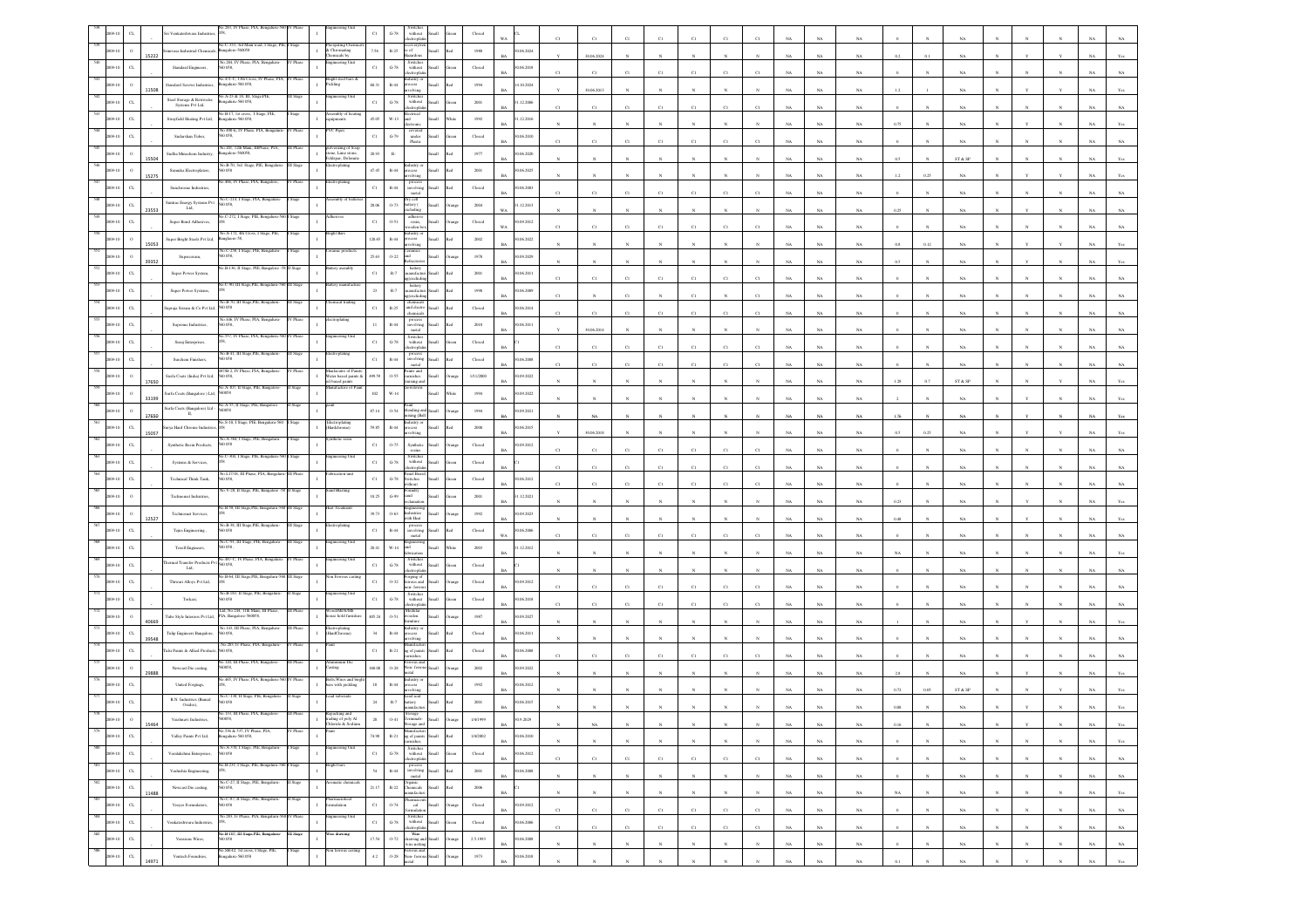|            |                             |       | Venkateshwara Indust                                                                     |          |                                                          |                            | $\,$ G-78 $\,$<br>$% \left\vert \left( \mathbf{1}_{\mathbf{1}}\right) \right\rangle$ without<br>ectropla                                                 |       |                                                                                                         |                           |             |             |                |             |              |              |              |             |             |             |                      |              |             |              |              |              |             |                |
|------------|-----------------------------|-------|------------------------------------------------------------------------------------------|----------|----------------------------------------------------------|----------------------------|----------------------------------------------------------------------------------------------------------------------------------------------------------|-------|---------------------------------------------------------------------------------------------------------|---------------------------|-------------|-------------|----------------|-------------|--------------|--------------|--------------|-------------|-------------|-------------|----------------------|--------------|-------------|--------------|--------------|--------------|-------------|----------------|
|            |                             | 15222 | 40.C-333, 3rd Main<br>inivasa Industrial Chemics<br>sgalore-560051                       |          | spating Che<br>nicals by                                 | 7.56                       | ecovery<br>e of<br>$R - 25$<br>sedor                                                                                                                     |       | 1980                                                                                                    | 0.06.2024                 |             | 30.06.2024  |                |             |              |              |              |             | NA          | NA          |                      |              |             |              |              |              |             |                |
|            | C1                          |       | 284, IV Phase<br>Standard Engineers,<br>0058                                             |          | ering Uni                                                | $_{\rm Cl}$                | Switches<br>$G-78$<br>without<br><b>Ban</b>                                                                                                              |       | Closed                                                                                                  | 0.06.2018<br><b>BA</b>    | C1          | $_{\rm C1}$ |                |             | C1           | C1           |              |             | NA          | NA          |                      |              | NA          |              |              |              |             |                |
|            |                             | 1508  | o.471-C, 13th Cross, P<br>sgalaru-560 058,<br>undard Screws Industries                   |          | kight steel bars .<br>Sckling                            | 60.31                      | dustry o<br>ocess<br>rolving<br>$_{\rm R-44}$                                                                                                            |       | $1994\,$                                                                                                | 10.2024<br>BA             |             | 30.06.2013  |                |             |              |              |              |             | NA          | $_{\rm NA}$ |                      |              | NA          |              |              |              |             |                |
|            |                             |       | A-23 & 24, III, St<br>Steel Storage & Retrivales<br>sgalaru-560 058,<br>Systems Pvt Ltd, |          |                                                          | C1                         | Switches<br>without<br>dectroplati<br>$G-78$                                                                                                             |       | 2001                                                                                                    | 1.12.2006<br>RA           | C1          | C1          | $^{c}$ 1       | C1          | C1           | C1           |              |             | NA          | NA          |                      |              | NA          |              |              |              |             |                |
|            |                             |       | 40.B-17. 1st cross. 1 Stare, PIE<br>Strayfield Heating Pvt Ltd,<br>galaru-560 058,       |          | embly of heat<br>pments                                  | 45.05                      | lectrical<br>$W-13$<br>ht                                                                                                                                |       | 1992                                                                                                    | 1.12.2016<br><b>BA</b>    |             |             |                |             |              |              |              |             | NA          | $_{\rm NA}$ | 0.75                 |              | NA          |              |              |              |             |                |
|            |                             |       | 490-E. IV Phase, PI<br>Sudarshan Tubes,<br>058                                           |          |                                                          | C1                         | covered<br>under<br>$\mbox{G-}79$<br>Plastic                                                                                                             |       | $\operatorname{Closed}$                                                                                 | (06, 2010)                | C1          | C1          | C1             | CI          | C1           | C1           |              |             | NA          | NA          |                      |              | NA          |              |              |              |             |                |
|            |                             | 15504 | No.201, 12th Main, IIIPhase, PIA,<br>Sudha Minechem Industry<br>ngalore-560058,          |          | verizing of Soap<br>stone, Lime stone,<br>Mspar, Dolomit | 30.93                      | R-                                                                                                                                                       |       | 1977                                                                                                    | 0.06.2020                 |             |             |                |             |              |              |              |             | NA          | NA          | o۶                   |              | ST & SP     |              |              |              |             |                |
|            |                             | 15275 | No.B-70, 3rd Stage, PIE, Bengalur<br>Sumuka Electroplaters,<br>0058                      | Stage    | ctroplating                                              | $47.45\,$                  | dustry<br>$\,$ R-44 $\,$<br>ocess<br>lving                                                                                                               |       | $200\mathrm{l}$                                                                                         | 0.06.2025<br><b>BA</b>    |             |             |                |             |              |              |              |             | NA          | $_{\rm NA}$ | 1.2                  | 0.25         |             |              |              |              |             |                |
|            | C1                          |       | 466, IV Phase, PIA, Bangal<br>Sunchrome Industries,                                      |          |                                                          | $_{\rm C1}$                | process<br>involving<br>$\mathbb{R}{\text{-}}44$<br>metal                                                                                                |       | Closed                                                                                                  | 0.06.2003<br><b>BA</b>    |             | C1          | C1             | CI          | $_{\rm C1}$  | CI           |              |             | NA          | NA          |                      |              | NA          |              |              |              |             |                |
|            | C1                          | 23553 | io.C-214, I Stage, PIA, Benga<br><b>Suntrac Energy Systems Pvt</b><br>058.<br>Lad,       |          |                                                          | 20.06                      | Dry cell<br>$0-73$<br>attery (<br>scluding                                                                                                               |       | 2004                                                                                                    | 1.12.2013<br>WA           |             |             |                |             |              |              |              |             | NA          | $_{\rm NA}$ | 0.25                 |              | $_{\rm NA}$ |              |              |              |             |                |
|            | $_{\rm{CL}}$                |       | ko.C-272, I Stage, PIE, Bengaluru<br>Super Bond Adhesives,                               |          |                                                          | $_{\rm C1}$                | adhesive<br>resin,<br>tooden bo<br>$0 - 51$                                                                                                              |       | Closed                                                                                                  | 0.09.2012<br>WA           |             | C1          | $_{\rm CI}$    | C1          | C1           |              |              |             | NA          | $_{\rm NA}$ |                      |              | NA          |              |              |              |             |                |
|            |                             | 15053 | .A-172, 4th Cross, I Stage, PIE<br>Super Bright Steels Pvt Ltd,<br>glaore-58,            |          |                                                          | 120.65                     | ustry or<br>$\mathbb{R}{\text{-}}44$<br>cess<br>saivlov                                                                                                  |       | 2002                                                                                                    | 0.06.2022<br><b>BA</b>    |             |             |                |             |              |              |              |             | NA          | NA          | 0.8                  | 0.17         | NA.         |              |              |              |             |                |
|            | $\circ$                     |       | o.C-258, I Stage,<br>Superceram,<br>058                                                  |          |                                                          | 25.63                      | $0\mbox{-}22$<br>hm<br><b>Ban</b>                                                                                                                        |       | 1978                                                                                                    | 90.09.2029                |             |             |                |             |              |              |              |             |             |             | o.s                  |              |             |              |              |              |             |                |
|            | $\alpha$                    | 39352 | io.B-136, II Stage, PIE, 1<br>Super Power System,                                        |          |                                                          | $_{\rm Cl}$                | battery<br>nanufactu<br>$_{\rm R-7}$                                                                                                                     |       | $2001\,$                                                                                                | BA<br>0.06.2011           |             |             |                |             |              |              |              |             | NA          | $_{\rm NA}$ |                      |              | $_{\rm NA}$ |              |              |              |             |                |
|            | $\alpha$                    |       | Super Power Systems,                                                                     |          |                                                          | $_{23}$                    | (excludin<br>battery<br>$\mathbb{R}.7$<br>anufacto                                                                                                       |       | 1990                                                                                                    | <b>BA</b><br>0.06.2009    |             |             | C1             |             | C1           | CI           |              |             | NA          | NA          |                      |              |             |              |              |              |             |                |
|            |                             |       | o.B-70, III Stag<br>ipraja Sriram & Co Pvt Li<br>058                                     |          |                                                          | $_{\rm Cl}$                | excludir<br>chemica<br>$\mathbb{R}\text{-}25$<br>and electro<br>chemicals                                                                                |       | Closed                                                                                                  | <b>BA</b><br>(06, 2014)   | C1          |             | CI             |             | C1           |              | CI           |             | NA          | NA          |                      |              | NA          |              |              |              |             |                |
|            |                             |       | 446, IV PI<br>Supreme Industries,<br>058.                                                |          |                                                          | $\mathbb{H}$               | process<br>involving<br>$\,$ R-44                                                                                                                        |       | $2010\,$                                                                                                | BA<br>0.06.2011           | C1          | C1          | $\overline{c}$ | $_{\rm C1}$ | C1           | C1           |              |             | NA          | $_{\rm NA}$ |                      |              | NA          |              |              |              |             |                |
|            |                             |       | 557, IV Phase, PIA, Benga<br>Suraj Enterprises,                                          |          | eering Uni                                               | C1                         | metal<br>Switches<br>without<br>$G-78$<br>HH.                                                                                                            |       | Closed                                                                                                  | <b>BA</b>                 |             | 30.06.2014  |                |             |              |              |              |             | NA          | NA          |                      |              | NA          |              |              |              |             |                |
|            |                             |       | io.B-41, III Stage, PIE, B<br>Surchem Finishers,<br>0.58                                 |          |                                                          | $_{\rm C1}$                | ctrophi<br>proces<br>$\mathbb{R}\text{-}44$                                                                                                              |       | $\rm Closed$                                                                                            | <b>BA</b><br>1.06.2008    | C1          | $_{\rm C1}$ | C1             | C1          | C1           | C1           | C1           | NA          | $_{\rm NA}$ | $_{\rm NA}$ |                      |              | NA          |              |              |              |             |                |
|            |                             |       | 87/B-2, IV Phase, PIA<br>Surfa Coats (India) Pvt Ltd,<br>058,                            |          | ufacutre of Pai<br>ater based paints &                   | 89.59                      | $\begin{array}{c} {\rm involving}\\ {\rm metal} \end{array}$<br>aints and<br>0.55<br>amishes                                                             |       | 1/11/2000                                                                                               | 0.09.2022                 | C1          | $_{\rm C1}$ | $_{\rm C1}$    | C1          | $_{\rm{Cl}}$ | $_{\rm C1}$  | $\mathbf{C}$ |             | $_{\rm NA}$ | $_{\rm NA}$ |                      |              | $_{\rm NA}$ |              |              |              |             |                |
|            |                             | 17650 | 40.A-107, II Stage, PIE, Bang<br>Surfa Coats (Bangalore ) Ltd,<br>0058                   |          | il based paints<br>cture of Pa                           | 102                        | iixing an<br>W-14                                                                                                                                        |       | 1994                                                                                                    | 0.09.2022                 |             |             |                |             |              |              |              |             | NA          | NA          | 1.28                 | 0.7          | ST & SP     |              |              |              |             |                |
|            |                             | 33199 | io.A-55, II Stage, PIE, Bang<br>Surfa Coats (Bangalore) Ltd<br>nse                       |          |                                                          | 87.14                      | 0.54<br>ending a                                                                                                                                         |       | 1994                                                                                                    | <b>BA</b><br>(09.2021)    |             |             |                |             |              |              |              |             | NA          | $_{\rm NA}$ |                      |              | NA          |              |              |              |             |                |
|            | C1                          | 17650 | П,<br>io S-10, I Stage, PIE, 1<br>Surya Hard Chrome Indust                               |          | lectroplating<br>·lardchrome)                            | 59.85                      | cing (Ball<br>lastry or<br>$R-44$<br>cess                                                                                                                |       | 2000                                                                                                    | <b>BA</b><br>0.06.2015    |             | $_{\rm NA}$ |                |             |              |              |              |             | NA          | $_{\rm NA}$ | 1.76                 |              | $_{\rm NA}$ |              |              |              |             |                |
|            | $_{\rm{CL}}$                | 15057 | Synthetic Resin Products,<br>058                                                         |          |                                                          | $_{\rm Cl}$                | volving<br>$0 - 75$<br>Synthetic<br><b>Ham</b>                                                                                                           |       | $\operatorname{Closed}$                                                                                 | RA<br>0.09.2012           |             | 30.06.2018  |                |             |              |              |              |             | NA          | NA          | o.s                  | 0.25         | NA          |              |              |              |             |                |
|            |                             |       | io.C-304, I Stage, PIE, Benj<br>Systems & Services,                                      |          | teering Uni                                              |                            | resins<br>Switches<br>without<br>$_{\mathrm{G-78}}$                                                                                                      |       | $\operatorname*{Closed}% \left( \mathcal{M}\right) \equiv\operatorname*{Disc}\left( \mathcal{M}\right)$ | <b>BA</b>                 | C1          | $_{\rm C1}$ | C1             | C1          | C1           | C1           |              |             | NA          | $_{\rm NA}$ |                      |              | NA          |              |              |              |             |                |
|            | $\alpha$                    |       | Technical Think Tank,<br>058.                                                            |          |                                                          | $_{\rm C1}$<br>$_{\rm C1}$ | lectropla<br>Panel Boa<br>Switches<br>$G-78$                                                                                                             |       | Closed                                                                                                  | <b>BA</b><br>0.06.2012    | C1          | C1          | C1             | CI          | $_{\rm C1}$  | $_{\rm CI}$  |              |             | $_{\rm NA}$ | NA          |                      |              | NA          |              |              |              |             |                |
|            |                             |       | .V-28, II Stage                                                                          |          |                                                          |                            | ithout<br>undry                                                                                                                                          |       |                                                                                                         | RA                        |             | C1          | $^{c}$ 1       | C1          | C1           | C1           |              |             | NA          | NA          |                      |              |             |              |              |              |             |                |
|            |                             |       | <b>Technomet Indsutries</b>                                                              |          |                                                          | 10.25                      | and<br>G.99                                                                                                                                              |       | $2001\,$                                                                                                | 1.12.2021<br><b>BA</b>    |             |             |                |             |              |              |              |             | NA          | NA          | 0.23                 |              |             |              |              |              |             |                |
|            |                             |       | Technomet Services,<br>o.B-38, III Stage, PIE, Beng                                      |          |                                                          | 99.73                      | $0.63\,$<br>ith Heat<br>process<br>involving                                                                                                             |       | $1992\,$                                                                                                | (09.2023)<br>BA           |             |             |                |             |              |              |              |             | NA          | NA          | 0.48                 |              | NA          |              |              |              |             |                |
|            |                             |       | Tejus Engineering<br>0.58<br>io.C-91, III Stage, PIE, Beng                               |          | eering Uni                                               | $_{\rm C1}$                | $\,$ R-44<br>metal                                                                                                                                       |       | Closed                                                                                                  | 0.06.2006<br>w۵           |             | C1          |                |             | C1           | C1           |              |             | NA          | NA          |                      |              | NA          |              |              |              |             |                |
|            |                             |       | <b>Texell Engineers</b><br>058<br>0.487-C. IV Phase, PIA.<br>ermal Transfer Products P   |          |                                                          | 20.41                      | $_{\rm W\text{-}14}$<br>ыĪ<br>Switches<br>without                                                                                                        |       | $2003\,$                                                                                                | 1.12.2012                 |             |             |                |             |              |              |              |             | $_{\rm NA}$ | $_{\rm NA}$ | NA                   |              | NA          |              |              |              |             |                |
|            |                             |       | 058.<br>Ltd.<br>io.B-64, III Stage,PIE, Bengaluru-                                       |          |                                                          | $_{\rm C1}$                | $_{\mathrm{G-78}}$<br>ectroph<br>'orging of<br>errous and                                                                                                |       | Closed                                                                                                  |                           |             |             |                |             |              |              |              |             | $_{\rm NA}$ | NA          |                      |              | NA          |              |              |              |             |                |
|            | $\alpha$                    |       | Thiwari Alloys Pvt Ltd,<br>Vo.B-183, II Stage, PIE, Bengaları                            |          | eineering Uni                                            | C1                         | $0 - 32$<br>HH.<br>on-ferror<br>Switches                                                                                                                 |       | Closed                                                                                                  | 0.09.2012                 |             | C1          | C1             |             | C1           | C1           |              |             | NA          | NA          |                      |              |             |              |              |              |             |                |
|            | C1                          |       | Torkari,<br>Ltd, No.244, 11th Main, III Pha<br>PIA, Bangalore-560058,                    |          | /ood/MDS/MS<br>ouse hold furnit                          | $_{\rm C1}$                | $G-78$<br>$% \left\vert \left( \mathbf{1}_{\mathbf{1}}\right) \right\rangle$ without<br>all.<br>ctroph<br>Modular<br>tooden                              |       | ${\it Closed}$                                                                                          | 0.06.2018<br><b>BA</b>    |             |             |                |             | CI           |              |              |             | NA          | NA          |                      |              |             |              |              |              |             |                |
|            | $^{\circ}$                  | 10669 | Tube Style Interiors Pvt Ltd,<br>143, III Phase                                          |          |                                                          | 405.24                     | 0.51<br>miture                                                                                                                                           |       | 1987                                                                                                    | 1.09.2027<br>RA           |             |             |                |             |              |              |              |             | NA          | NA          |                      |              | NA          |              |              |              |             |                |
|            | C1                          | 39548 | Tulip Engineers Bangalore<br>058.<br>No.283, Iv Phase, PIA, Benga                        |          | lectroplating<br>·lardChrome)                            | 34                         | $R-44$<br>ocess<br>rolving                                                                                                                               |       | Closed                                                                                                  | 0.06.2011<br>BA           |             |             |                |             |              |              |              |             | $_{\rm NA}$ | NA          |                      |              | $_{\rm NA}$ |              |              |              |             |                |
|            | $_{\rm{CL}}$                |       | lalsi Paints & Allied Produc<br>.<br>120, III Phase, PIA, E                              |          |                                                          | $_{\rm C1}$                | $\mathbb{R}\text{-}21$<br>g of paint                                                                                                                     |       | $\operatorname{Closed}$                                                                                 | 0.06.2008<br><b>BA</b>    |             | C1          | C1             | CI          | C1           |              |              |             | NA          | NA          |                      |              | NA          |              |              |              |             |                |
|            |                             |       | Newcast Die casting,<br>465. IV Phase, PIA, E                                            |          | isting<br>olts, Wires and bir                            | 168.08                     | $0 - 28$<br>ion- fer<br>ustry                                                                                                                            |       | 2002                                                                                                    | 1.09.2022<br><b>BA</b>    |             |             |                |             |              |              |              |             | NA          | NA          |                      |              | NA.         |              |              |              |             |                |
|            |                             |       | United Forgings,<br>io.C-138, II Stage, PIE,                                             |          | ars with pickling<br>cad suboxide                        | 18                         | $\,$ R-44                                                                                                                                                |       | 1992                                                                                                    | 0.06.2012                 |             |             |                |             |              |              |              |             | NA          | $_{\rm NA}$ | 0.72                 |              | ST & SP     |              |              |              |             |                |
|            |                             |       | R.N. Industries (Bansal<br>Oxides),                                                      |          | packing and                                              |                            | Lead acid<br>battery<br>$\mathbb{R}.7$                                                                                                                   |       | $2001\,$                                                                                                | (06.2015                  |             |             |                |             |              |              |              |             |             |             |                      |              |             |              |              |              |             |                |
| 579        |                             | 15464 | Vaishnavi Industries<br>No.536 & 537, IV Phase, PIA,                                     | IV Phase | ding of poly Al<br>Chloride & Sodium                     | $_{20}$                    | $0 - 41$<br>Storage and<br>Manufacturi                                                                                                                   |       | 1/4/199                                                                                                 | 9.2029<br><b>BA</b>       |             | NA          | N              |             |              | $\mathbf{N}$ | $\mathbb{N}$ | NA          | NA.         | <b>NA</b>   | 0.16                 | N            | NA.         | N            |              |              | NA 1        | Yes            |
| $590 -$    | $_{\rm{CL}}$<br>2009-10     |       | Valley Paints Pvt Ltd,<br>Bengaluru-560 058,<br>No.A-370, I Stage, PIE, Bengalaru-       |          | gineering Uni                                            | $74.98\,$                  | $\begin{tabular}{ll} R-21 & ng of points & Small \\ varnishes. \end{tabular}$                                                                            | ho!   | 1/4/2002                                                                                                | 30.06.2010<br>$_{\rm BA}$ |             | $_{\rm N}$  | $\mathbf{N}$   |             | $_{\rm N}$   | $_{\rm N}$   | $_{\rm N}$   | $_{\rm NA}$ | $_{\rm NA}$ | $_{\rm NA}$ |                      |              | $_{\rm NA}$ |              |              |              | $_{\rm NA}$ | $\mathbf{Yes}$ |
|            | $_{\rm{CL}}$<br>2009-10     |       | Varalakshmi Enterprises,<br>560 058<br>No.B-231, I Stage, PIE, Bengaluru-560 I Stage     |          | $\mathbf{I}$                                             | $_{\rm{C1}}$               | Switches<br>without Small<br>$_{\rm{G-78}}$<br>electroplatin                                                                                             | ireen | ${\it Closed}$                                                                                          | 30.06.2012<br>$BA$        | C1          | C1          | C1             | $_{\rm C1}$ | C1           | C1           | $_{\rm Cl}$  | $_{\rm NA}$ | NA          | NA          | $\circ$              | $_{\rm N}$   | $_{\rm NA}$ | N            | $\mathbb{N}$ | $\mathbb{N}$ | $_{\rm NA}$ | NA             |
| 581<br>582 | $_{\rm CL}$<br>$2009 - 10$  |       | Vashishta Engineering,                                                                   |          | kight bars<br>$\mathbf{I}$                               | $\sqrt{54}$                | $\begin{tabular}{l c c} \hline \textbf{process} & \textbf{small} \\ \textbf{R-44} & involving & Small \\ & metal \\ \hline \end{tabular}$                | ho3   | $2001\,$                                                                                                | 30.06.2008<br>$_{\rm BA}$ | N           | $_{\rm N}$  | $_{\rm N}$     | $_{\rm N}$  | $_{\rm N}$   | $_{\rm N}$   | $_{\rm N}$   | $_{\rm NA}$ | $_{\rm NA}$ | $_{\rm NA}$ | $\ddot{\phantom{0}}$ | $_{\rm N}$   | $_{\rm NA}$ | $_{\rm N}$   | $\mathbb{N}$ | $_{\rm N}$   | $_{\rm NA}$ | $_{\rm NA}$    |
|            | $_{\rm CL}$<br>$2009 - 10$  | 11488 | No.C-27, II Stage, PIE, Bengaluru-<br>Newcast Die casting,<br>560 058,                   | II Stage | omatic chemical                                          | 21.17                      | $R-22 \hspace{1.5mm} \textbf{Organic} \\ \hspace{1.5mm} \textbf{R}-22 \hspace{1.5mm} \textbf{Chemicals} \\ \hspace{1.5mm} \textbf{manufacturi}$<br>Small | ho3   | $2006\,$                                                                                                | $_{\rm BA}$               | $_{\rm N}$  | $_{\rm N}$  | $_{\rm N}$     | $_{\rm N}$  | $_{\rm N}$   | $_{\rm N}$   | $_{\rm N}$   | $_{\rm NA}$ | $_{\rm NA}$ | $_{\rm NA}$ | $_{\rm NA}$          | $\mathbf N$  | $_{\rm NA}$ | $_{\rm N}$   | $_{\rm N}$   | $_{\rm N}$   | $_{\rm NA}$ | Yes            |
| 583        | $_{\rm{CL}}$<br>2009-10     |       | No.C-87, II Stage, PIE, Bengaluru-<br>Veeyer Formulators,<br>0058                        | II Stage | Pharmacuitical<br>formulation<br>$\mathbf{I}$            | $_{\rm{Cl}}$               | Pharmaceu<br>cal<br>0.74<br><b>Illens</b><br>mulatio                                                                                                     | hunge | ${\it Closed}$                                                                                          | 30.09.2012<br><b>BA</b>   | C1          | C1          | C1             | C1          | C1           | C1           | C1           | NA          | NA          | NA          |                      | $\mathbf{N}$ | NA          | $\mathbf{N}$ | $\mathbf{N}$ | $\mathbf{N}$ | NA          | $_{\rm NA}$    |
|            | $_{\rm CL}$<br>2009-10      |       | ko.283, Iv Phase, PIA, Bengaluru-56<br>Venkateshwara Industries<br>058.                  | Phase    | gineering Uni<br>$\mathbf{I}$                            | $_{\rm{C1}}$               | Switches<br>$G-78$<br>without<br>Small<br>lectroplatin                                                                                                   | ireen | Closed                                                                                                  | 30.06.2006<br>$_{\rm BA}$ | $_{\rm C1}$ | C1          | C1             | $_{\rm C1}$ | $_{\rm C1}$  | $_{\rm C1}$  | $_{\rm C1}$  | $_{\rm NA}$ | $_{\rm NA}$ | $_{\rm NA}$ |                      | $\sim$       | $_{\rm NA}$ |              |              | $\mathbf{N}$ | $_{\rm NA}$ | $_{\rm NA}$    |
| 585        | $_{\mathrm{CL}}$<br>2009-10 |       | No.B-107, III Stage,PIE, Bengaluru-<br>Vensions Wires,<br>560 058                        | III Suge | Wire drawing<br>$\mathbf{1}$                             | $17.54\,$                  | Wire<br>drawing and S<br>wire netting<br>0.72<br><b>Ilam</b>                                                                                             |       | 2.5.1993                                                                                                | 0.06.2008<br>$_{\rm BA}$  | $_{\rm N}$  | $_{\rm N}$  | $\bar{N}$      | $_{\rm N}$  | $_{\rm N}$   | $_{\rm N}$   | $_{\rm N}$   | $_{\rm NA}$ | $_{\rm NA}$ | $_{\rm NA}$ | $\,$ 0 $\,$          | $_{\rm N}$   | $_{\rm NA}$ |              | $_{\rm N}$   | $_{\rm N}$   | $_{\rm NA}$ | $_{\rm NA}$    |
|            | $_{\rm{CL}}$<br>2009-10     |       | No.SB-42, 1st cross, I Stage, PIE,<br>Bengaluru-560 058<br>Ventech Foundries,            | I Stage  | ion ferrous casting<br>$\mathbf{1}$                      | $4.2\,$                    | Ferrous and<br>Non-ferrous<br>$0.28\,$<br><b>Ilum</b><br>metal                                                                                           |       | 1973                                                                                                    | 30.06.2018<br>BA          |             | $_{N}$      |                |             | $\mathbf{N}$ |              |              | NA          | NA          | NA          | 0.1                  |              | NA          |              |              | $_{\rm N}$   | NA          | Yes            |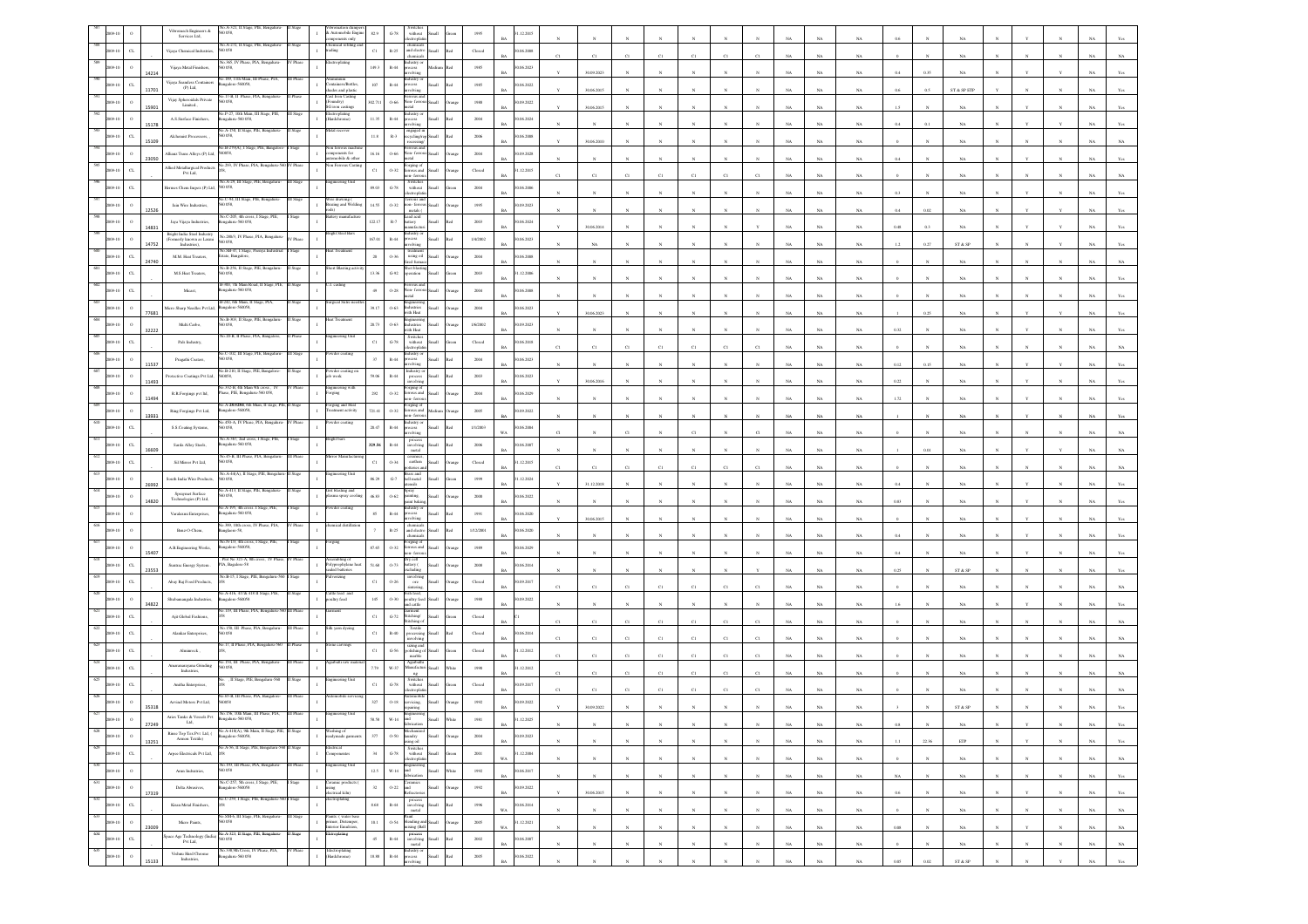|                |                      | Vibromech Engineers $\&$<br>Services Ltd.           | 0.058                                                                                                                                                                                                                                                                                                                                                         |           | involution cumpers<br>: Automobile Engine<br>ponents only   | 82.9        | $\mbox{G-}78$          | without<br>ectropha                                                                                                   |                                                                                            | 1995                    | .12.2015                 |    |              |                |              |              |                       |              |             |             |             |              |              |                              |              |              |              |             |                |
|----------------|----------------------|-----------------------------------------------------|---------------------------------------------------------------------------------------------------------------------------------------------------------------------------------------------------------------------------------------------------------------------------------------------------------------------------------------------------------------|-----------|-------------------------------------------------------------|-------------|------------------------|-----------------------------------------------------------------------------------------------------------------------|--------------------------------------------------------------------------------------------|-------------------------|--------------------------|----|--------------|----------------|--------------|--------------|-----------------------|--------------|-------------|-------------|-------------|--------------|--------------|------------------------------|--------------|--------------|--------------|-------------|----------------|
|                | $\alpha$             | Vijaya Chemical Industries,                         | io.A-272, II Stage, PIE, Bengal<br>0058                                                                                                                                                                                                                                                                                                                       |           | ading                                                       | $_{\rm C1}$ | $\mathbb{R}\text{-}25$ | chemicals<br>and electro Small<br>chemicals                                                                           | h.                                                                                         | $\rm Closed$            | 0.06.2008                |    | C1           |                |              | $^{c}$ 1     |                       |              |             | $_{\rm NA}$ | $_{\rm NA}$ |              |              |                              |              |              |              |             |                |
|                | $\circ$<br>14214     | Vijaya Metal Finishers,                             | No.365, IV Phase, PIA, Bengalur<br>0.058                                                                                                                                                                                                                                                                                                                      | Phase     | ctroplating                                                 | 149.3       | $\mathbb{R}\text{-}44$ | ndustry or<br>$rac{1}{2}$<br>lving                                                                                    |                                                                                            | 1985                    | 0.06.2023<br><b>BA</b>   |    | 30.09.2023   |                |              |              |                       |              |             | NA          | NA          |              | 0.35         |                              |              |              |              |             |                |
|                | $C$ L<br>11701       | Vijaya Seamless Containers<br>(P) Ltd.              | o.189, 11th Main, 111 P<br>ingalore-560058,                                                                                                                                                                                                                                                                                                                   |           | mmum<br>stainers/Bottles,<br>hades and plastic              | $107\,$     | $\mathbb{R}\text{-}44$ | astry o<br>ocess<br>volving                                                                                           | Small<br>h.                                                                                | 1985                    | 0.06.2022<br>RA          |    | 30.06.2015   |                |              |              |                       |              |             | NA          | NA          | 0.6          | 0.5          | ST & SP ETF                  |              |              |              |             |                |
|                |                      | Vijay Spheroidals Private<br>Limited.,              | 0.17-B, II Phase, I<br>0058,                                                                                                                                                                                                                                                                                                                                  |           | ast Iron Casting<br>Foundry)<br>iG iron castings            | 302.711     | 0.66                   | Von-ferr                                                                                                              | Iliam                                                                                      | $1988\,$                | 0.09.2022                |    |              |                |              |              |                       |              |             |             |             |              |              |                              |              |              |              |             |                |
|                | 15901                | A.S.Surface Finishers,                              | Vo.P-27, 10th Main, III Stage, PIE<br>sgalaru-560 058                                                                                                                                                                                                                                                                                                         |           | Electroplating<br>Hardchrome)                               | 11.35       | $\mathbb{R}\text{-}44$ |                                                                                                                       |                                                                                            | 2004                    | 0.06.2024                |    | 30.06.2015   |                |              |              |                       |              |             | NA          | $_{\rm NA}$ | 1.5          |              | $_{\rm NA}$                  |              |              |              |             |                |
|                | 15178<br>$\sigma$    | Alchemist Processors, ,                             | o.A-150, II Stage, PIE, B<br>0058                                                                                                                                                                                                                                                                                                                             |           |                                                             | $11.8\,$    | $R-3$                  | lving<br>1gaged in                                                                                                    |                                                                                            | 2006                    | 06.2008                  |    |              |                |              |              |                       |              |             | NA          | NA          | 0.4          |              | NA                           |              |              |              |             |                |
|                | 15109                | Allianz Trans Alloys (P) Ltd,                       | No.B-279(A), I Stage, PIE, E<br>0058,                                                                                                                                                                                                                                                                                                                         |           | son ferrous mac<br>omponents for<br>atomobile & other       | 16.16       | $0 - 66$               | ion-ferr                                                                                                              |                                                                                            | 2004                    | RA<br>09.2028            |    | 30.06.2010   |                |              |              |                       |              |             | NA          | NA          |              |              | NA                           |              |              |              |             |                |
|                | 23050<br>$\alpha$    | <b>Allied Metallurgical Products</b>                | 0.293. IV Phase, PIA.                                                                                                                                                                                                                                                                                                                                         |           | on Ferrous Cas                                              | $_{\rm Cl}$ | $0 - 32$               | orging of<br>errous and                                                                                               |                                                                                            | $\operatorname{Closed}$ | .12.2015                 |    |              |                |              |              |                       |              |             | NA          | $_{\rm NA}$ |              |              | NA                           |              |              |              |             |                |
|                |                      | Pvt Ltd.<br>ermes Chem Impex (P) Ltd, 560 058,      | io.A-29, III Stage, PIE, Bengalu                                                                                                                                                                                                                                                                                                                              |           | ineering Unit                                               | 89.03       | $G-78$                 | n-ferro<br>Switcher<br>without                                                                                        | Small                                                                                      | 2004                    | 0.06.2006                |    |              |                |              |              |                       |              |             | NA          | NA          |              |              |                              |              |              |              |             |                |
|                |                      | Jain Wire Industries,                               | o.C-94, III Stage, PIE, Bengalur<br>0058                                                                                                                                                                                                                                                                                                                      |           | Fire drawing (<br>razing and Welding                        | 14.55       | $0 - 32$               | rous and                                                                                                              |                                                                                            | 1995                    | RA<br>09.2023            |    |              |                |              |              |                       |              |             | NA          | NA          |              |              |                              |              |              |              |             |                |
|                | 12526                | Jaya Vijaya Industries,                             | io.C-205, 4th cross, I State, PIE<br>ngaluru-560 058,                                                                                                                                                                                                                                                                                                         |           |                                                             | 122.17      | $_{\rm R-7}$           | non-ferro<br>metals (<br>cad acid<br>attery                                                                           |                                                                                            | $2003\,$                | 1.06.2024                |    |              |                |              |              |                       |              |             | NA          | $_{\rm NA}$ | 0.4          |              | NA                           |              |              |              |             |                |
|                | 14831                | Bright India Steel Industry                         | No.280/3, IV Phase, PIA, Bengalun                                                                                                                                                                                                                                                                                                                             | / Phase   | ight Steel Bar:                                             | 167.01      | $R-44$                 | sufacti<br>astry o<br>rocess                                                                                          | llum                                                                                       | 1/4/2002                |                          |    | 30.06.2014   |                |              |              |                       |              |             | NA          | NA          | 0.48         | 0.3          | NA                           |              |              |              |             |                |
|                | 14752                | (Formerly known as Laxmi<br>Industries),            | 0.058<br>No.SB-47, I Stage, Peenya Industria                                                                                                                                                                                                                                                                                                                  |           | eat Treatmen                                                |             |                        | rolvina<br>treatment<br>using oil                                                                                     |                                                                                            |                         | 0.06.2023                |    | NA           |                |              |              |                       |              |             | NA          | $_{\rm NA}$ | 1.2          | 0.27         | ${\rm ST}$ & ${\rm SP}$      |              |              |              |             |                |
|                | $\alpha$<br>24740    | M.M. Heat Treaters,                                 | tate, Bangalore,<br>No.B-256, II Stage, PIE, Bengalur                                                                                                                                                                                                                                                                                                         |           | ort Blasting ac                                             | $20\,$      | $0 - 36$               | ed fun                                                                                                                | llan                                                                                       | $2004\,$                | 06.2008                  |    |              |                |              |              |                       |              |             | $_{\rm NA}$ | $_{\rm NA}$ |              |              | $_{\rm NA}$                  |              |              |              |             |                |
|                | $\alpha$             | M.S. Heat Treaters,                                 | D 058,<br>-300, 7th Main Road                                                                                                                                                                                                                                                                                                                                 |           |                                                             | 13.36       | $G-92$                 | eration                                                                                                               |                                                                                            | 2003                    | 1.12.2006                |    |              |                |              |              |                       |              |             | NA          | NA.         |              |              |                              |              |              |              |             |                |
|                | $\alpha$             | Micast,                                             | ngalaru-560 058,<br>B-242, 6th Main, II Stage, PLA                                                                                                                                                                                                                                                                                                            |           | rical Sutr                                                  | 49          | $0 - 28$               | Von-fer                                                                                                               |                                                                                            | $\,2004$                | 0.06.2008<br>RA          |    |              |                |              |              |                       |              |             | NA          | NA          |              |              |                              |              |              |              |             |                |
|                | 77681                | ficro Sharp Needles Pvt Ltd,                        | ngalore-560058,<br>√o.B-303, II Stage, PIE                                                                                                                                                                                                                                                                                                                    |           |                                                             | 39.17       | $0 - 63$               | dustries<br>ith Heat                                                                                                  | Iliami                                                                                     | $\,2004$                | 0.06.2023                |    | 30.06.2023   |                |              |              |                       |              |             | NA          | NA          |              | 0.25         | NA                           |              |              |              |             |                |
|                | 32222                | Multi Carbo                                         | D OSS,<br>io.20-B, II Phase, PIA, Bangalore                                                                                                                                                                                                                                                                                                                   | Phase     | ineering Unit                                               | 20.73       | $0 - 63$               | astries<br>vith Heat<br>Switcher                                                                                      |                                                                                            | 1/6/2002                | 0.09.2023                |    |              |                |              |              |                       |              |             | NA          | $_{\rm NA}$ | 0.32         |              | NA                           |              |              |              |             |                |
|                |                      | Pals Industry,                                      | o.C-102, III Stage, PIE, Ber                                                                                                                                                                                                                                                                                                                                  |           |                                                             | $_{\rm C1}$ | $G-78$                 | without                                                                                                               |                                                                                            | Closed                  | 1.06.2018<br>RA          | C1 | $_{\rm C1}$  | C1             | C1           | C1           | C1                    | $^{c}$ 1     |             | NA          | $_{\rm NA}$ |              |              | $_{\rm NA}$                  |              |              |              |             |                |
|                | 11537                | Pragathi Coaters,                                   | 40.B-210, 11 Stage, PIE,                                                                                                                                                                                                                                                                                                                                      |           |                                                             | $37\,$      | $_{\rm R-44}$          |                                                                                                                       |                                                                                            | $\,2004$                | 0.06.2023                |    |              |                |              |              |                       |              |             | NA          | NA          | 0.12         | 0.15         | NA                           |              |              |              |             |                |
|                | 11493                | Protective Coatings Pvt Ltd,                        | 560058,                                                                                                                                                                                                                                                                                                                                                       |           | vler coati<br>Zuow di                                       | 99.06       | $R-44$                 | process                                                                                                               |                                                                                            | 2003                    | 0.06.2023                |    | 30.06.2016   |                |              |              |                       |              |             | NA          | NA.         | 0.22         |              |                              |              |              |              |             |                |
|                | 11494                | $\mathbb{R}.\mathbb{R}.\mathbb{F}$ orgings pvt ltd, | o.332-B, 4th Main 9th cross, IV<br>Phase, PIE, Bengaluru-560 058,<br>o.A-283/284, 6th Mian, II                                                                                                                                                                                                                                                                | Phase     | ingineering with<br><sup>5</sup> orging                     | $\bf 292$   | 0.32                   | <sup>2</sup> orging of<br>errous and                                                                                  |                                                                                            | $\,2004$                | 1.06.2029<br><b>BA</b>   |    |              |                |              |              |                       |              |             | NA          | NA          |              |              |                              |              |              |              |             |                |
|                | 13931                | Ring Forgings Pvt Ltd,                              | ngalore-560058,                                                                                                                                                                                                                                                                                                                                               |           | rging and He<br>sament activity                             | 721.41      | $0 - 32$               | rging o<br>rous and<br>a-ferro                                                                                        |                                                                                            | 2005                    | 0.09.2022                |    |              |                |              |              |                       |              |             | NA          | NA          |              |              |                              |              |              |              |             |                |
|                |                      | S.S.Coating Systems,                                | o.450-A, IV Phase, PIA, Bengaluru<br>0058.                                                                                                                                                                                                                                                                                                                    | V Phase   | wder coatin                                                 | 20.47       | $R-44$                 | dustry o<br>ocess<br>volving                                                                                          |                                                                                            | 1/1/2003                | 0.06.2004                |    |              |                |              |              |                       |              |             | NA          | NA          |              |              |                              |              |              |              |             |                |
|                | $\alpha$<br>16609    | Sarda Alloy Steels,                                 | io.A-367, 2nd cross, I Stage, PIE<br>ngalaru-560 058                                                                                                                                                                                                                                                                                                          |           | right bars                                                  | 329.56      | $\mathbb{R}\text{-}44$ | process<br>involving<br>metal                                                                                         | Ilamõ                                                                                      | 2006                    | 1.06.2007                |    |              |                |              |              |                       |              |             | $_{\rm NA}$ | $_{\rm NA}$ |              |              | NA                           |              |              |              |             |                |
|                | $\alpha$             | Sil Mirror Pvt Ltd,                                 | No.45-B, III Phase, PIA, Benga<br>D 058,                                                                                                                                                                                                                                                                                                                      |           | ror Manuf                                                   | $_{\rm C1}$ | 0.34                   | ceramics,<br>carthen<br>teries a                                                                                      | Small                                                                                      | Closed                  | 1.12.2015<br>RA          | C1 | C1           | C1             |              | C1           | C1                    |              |             | NA.         | NA          |              |              | NA                           |              |              |              |             |                |
|                | 26992                | South India Wire Products,                          | o.A-44(A), II Stage,<br>0058.                                                                                                                                                                                                                                                                                                                                 |           |                                                             | 86.29       | $\mbox{G-7}$           | ass and<br>latum flott<br>slien                                                                                       | Iliami                                                                                     | 1999                    | 1.12.2024                |    | 31.12.2018   |                |              |              |                       |              |             | $_{\rm NA}$ | $_{\rm NA}$ | 0.4          |              | NA                           |              |              |              |             |                |
|                | 14820                | Spraymet Surface<br>Technologies (P) Ltd,           | Vo.A-413, II Stage, PIE, Bengalure                                                                                                                                                                                                                                                                                                                            | Stage     | irit blasting and<br>ma spray coo                           | 46.83       | $0.62\,$               | Spray<br><br>vainting, unt bakis                                                                                      | <b>Iliami</b>                                                                              | $2000\,$                | 1.06.2022                |    |              |                |              |              |                       |              |             | NA          | NA          | 0.83         |              | NA                           |              |              |              |             |                |
|                |                      | Varalaxmi Enterprises,                              | a.A-195, 4th cross.<br>ngaluru-560 058,                                                                                                                                                                                                                                                                                                                       |           | vder coatin                                                 | $85\,$      | $\mathbb{R}\text{-}44$ | astry (<br>xess<br>olvina                                                                                             | Small<br>lo:                                                                               | 1991                    | 0.06, 2020<br>RA         |    | 30.06.2015   |                |              |              |                       |              |             | NA          | NA          |              |              | NA                           |              |              |              |             |                |
|                |                      | Benz-O-Chem,                                        | a 389, 10th cross, IV Phase, PIA,<br>nglaore-58,                                                                                                                                                                                                                                                                                                              |           | tical disti                                                 |             | $\mathbb{R}\text{-}25$ | chemical<br>and electro<br>chemical                                                                                   | Small<br>h.                                                                                | 1/12/2001               | 0.06.2020                |    |              |                |              |              |                       |              |             | $_{\rm NA}$ | $_{\rm NA}$ | 0.4          |              | $_{\rm NA}$                  |              |              |              |             |                |
|                | 15407                | A.B.Engineering Works,                              | No.N-1/3, 4th cross, I Stage, PIE<br>sgalore-56005                                                                                                                                                                                                                                                                                                            |           |                                                             | 87.65       | $0 - 32$               | -<br>creous and<br>crrous and<br>a-ferro                                                                              |                                                                                            | 1989                    | 0.06.2029                |    |              |                |              |              |                       |              |             | NA          | NA          |              |              | NA                           |              |              |              |             |                |
|                | CL.<br>23553         | Suntrac Energy System.                              | lot No 321-A, 8<br>PIA, Bagalore-58                                                                                                                                                                                                                                                                                                                           |           | iling o<br>olyprophylene heat<br>aled batteries             | 51.68       | $0 - 73$               | sattery (<br>chulin                                                                                                   | llum                                                                                       | 2008                    | 06.2014<br>RA            |    |              |                |              |              |                       |              |             | NA          | NA          | 0.25         |              | ST & SP                      |              |              |              |             |                |
|                |                      | Abay Raj Food Products,                             | No.B-15, I Stage, PIE, Ber                                                                                                                                                                                                                                                                                                                                    |           |                                                             | $_{\rm C1}$ | $0\mbox{-} 26$         | $_{\rm ore}$                                                                                                          |                                                                                            | $\operatorname{Closed}$ | 1.09.2017                |    |              |                |              |              |                       |              |             |             |             |              |              |                              |              |              |              |             |                |
|                |                      | Shubamangala Industries                             | A-416, 417& 4181<br>ngalore-560058                                                                                                                                                                                                                                                                                                                            |           | attle feed an<br>sultry feed                                | $145\,$     | $0 - 30$               | ish feed.<br>oultry feed                                                                                              |                                                                                            | $1988\,$                | 1.09.2022                |    |              |                |              |              | CI                    |              |             | NA          | $_{\rm NA}$ |              |              | NA                           |              |              |              |             |                |
|                | 34822<br>$\alpha$    | Ajit Global Fashions,                               | 119, III Phase, PIA, Bengaluru                                                                                                                                                                                                                                                                                                                                |           |                                                             | $_{\rm C1}$ | $\mbox{G-}72$          | d cattle<br>arment<br>Stitching/                                                                                      | <b>Illami</b>                                                                              | Closed                  |                          |    |              |                |              |              |                       |              |             |             |             |              |              |                              |              |              |              |             |                |
|                |                      | Alankar Enterprises,                                | 40.150, III Phase, PIA, Bengalus<br>50 058                                                                                                                                                                                                                                                                                                                    |           | lk yarn dyein                                               | $_{\rm Cl}$ | $\mathbb{R}\text{-}40$ | tichine.<br>Textile                                                                                                   |                                                                                            | $\operatorname{Closed}$ | 1.06.2014                |    |              |                |              | C1           |                       |              |             | $_{\rm NA}$ | NA.         |              |              |                              |              |              |              |             |                |
|                | $\alpha$             | Alminrock                                           | .17, II Phase, PIA, Bengal                                                                                                                                                                                                                                                                                                                                    |           | te carving                                                  | $_{\rm Cl}$ | $G-56$                 | rocessing<br>involving<br>sizing and<br>polishing of Small                                                            |                                                                                            | Closed                  | 1.12.2012                |    | C1           |                |              | $_{\rm CI}$  | CI                    |              |             | NA          | NA          |              |              | NA                           |              |              |              |             |                |
|                | CL                   | Amaranarayana Grinding                              | 058                                                                                                                                                                                                                                                                                                                                                           |           |                                                             | 7.79        | w.37                   | marble<br>Agarbathi<br>danufactur                                                                                     | Iliami                                                                                     | 1950                    | 1.12.2012                |    | C1           |                |              | C1           |                       |              |             | NA          |             |              |              |                              |              |              |              |             |                |
|                | $\alpha$             | Industries,<br>Anitha Enterprises,                  | , II Stage, PIE, Ben                                                                                                                                                                                                                                                                                                                                          |           |                                                             | $_{\rm C1}$ | $G-78$                 | ng<br>Switches<br>without                                                                                             |                                                                                            | $\operatorname{Closed}$ | 1.09.2017                |    | C1           | CI             |              | C1           | CI                    |              |             | NA          | NA.         |              |              | NA                           |              |              |              |             |                |
|                |                      | Arvind Motors Pvt Ltd,                              | 65-B, III Pha                                                                                                                                                                                                                                                                                                                                                 |           |                                                             | 327         | $0 - 18$               | vicing.                                                                                                               |                                                                                            | 1992                    | 09.2022                  |    | C1           |                |              |              | CI                    |              |             | NA          | NA          |              |              | NA                           |              |              |              |             |                |
|                | 35318                | Aries Tanks & Vessels Pvt                           |                                                                                                                                                                                                                                                                                                                                                               |           |                                                             |             | $W-14$                 |                                                                                                                       |                                                                                            | 1981                    | .12.2025                 |    |              |                |              |              |                       |              |             |             |             |              |              | ST & S                       |              |              |              |             |                |
| $628\,$        | 27249                | Rinse Top Tex Pvt $\,$ Ltd, ( $\,$                  | No.A-418(A), 9th Main, II Stage, PIE, II                                                                                                                                                                                                                                                                                                                      | I Stage   | /ashing of<br>sadymade garmen                               |             |                        |                                                                                                                       |                                                                                            |                         | BA                       |    |              |                |              |              |                       |              | $_{\rm NA}$ | $_{\rm NA}$ | $_{\rm NA}$ | $0.8\,$      |              | $_{\rm NA}$                  |              |              |              | $_{\rm NA}$ | Yes            |
| 1009-10<br>629 | $\,$ o<br>13251      | Armon Textile)                                      | ngalore-560058,<br>o.A-56, II Stage, PIE, Bengaluru                                                                                                                                                                                                                                                                                                           |           | ectrical                                                    | $377\,$     | 0.50                   | secumus<br>laundry<br>asing oil<br>Switches<br>without Small                                                          | Small                                                                                      | $\,2004$                | 1.09.2023<br><b>BA</b>   |    | $_{\rm N}$   |                |              |              |                       |              | $_{\rm NA}$ | $_{\rm NA}$ | $_{\rm NA}$ | $1.1\,$      | 22.36        | $\ensuremath{\mathrm{ETP}}$  |              |              |              | $_{\rm NA}$ | Yes            |
| 009-10<br>630  | $_{\rm CL}$          | Arpee Electricals Pvt Ltd,                          | No.193, III Phase, PIA, Bengaluru-                                                                                                                                                                                                                                                                                                                            | III Phase | mponentes<br>ngineering Unit                                | 34          | $\operatorname{G-78}$  | lectroplatin                                                                                                          |                                                                                            | 2001                    | 1.12.2004<br>WA          |    | $_{\rm N}$   | $\mathbf{N}$   | $\mathbf{N}$ | $\mathbf{N}$ | $\boldsymbol{\kappa}$ | $_{\rm N}$   | NA          | NA          | $_{\rm NA}$ |              | $\mathbf{N}$ | NA                           | $\mathbf{N}$ | $\mathbf{N}$ | $\mathbf{N}$ | NA          | $_{\rm NA}$    |
| 2009-10<br>631 | $\,$ $\,$            | Arun Indsutries,                                    | 560 058<br>No.C-257, 5th cross, I Stage, PIE,                                                                                                                                                                                                                                                                                                                 |           |                                                             | $12.5\,$    | $_{\mathrm{W-14}}$     | Engineering<br>and<br>fabrication                                                                                     | $\operatorname{Small}$<br>Vhite                                                            | 1992                    | 0.06.2017<br>$_{\rm BA}$ |    | $_{\rm N}$   | $\bar{N}$      |              | $\bar{N}$    |                       |              | $_{\rm NA}$ | $_{\rm NA}$ | $_{\rm NA}$ | $_{\rm NA}$  |              | $_{\rm NA}$                  |              |              |              | $_{\rm NA}$ | $\mathbf{Yes}$ |
| 1009-10<br>632 | $\,$ 0 $\,$<br>17319 | Delta Abrasives,                                    | ngalore-560058<br>No.C-259, I Stage, PIE, Bengaluru-56                                                                                                                                                                                                                                                                                                        | Stage     | Ceramic produc<br>using<br>electrical kiln)<br>ectroplating | $_{\rm 32}$ | $0.22\,$               | and<br>Refractorie                                                                                                    | Small<br>hung                                                                              | $1992\,$                | 0.09.2022<br><b>BA</b>   |    | 30.06.2015   | $_{\rm N}$     | $_{\rm N}$   | $_{\rm N}$   | $_{\rm N}$            | $_{\rm N}$   | $_{\rm NA}$ | $_{\rm NA}$ | $_{\rm NA}$ | 0.6          |              | NA                           |              | Y            | $_{\rm N}$   | $_{\rm NA}$ | Yes            |
| 2009-10<br>633 | $_{\rm CL}$          | Kiran Metal Finishers,                              | No.SM-6, III Stage, PIE, Bengaluru-                                                                                                                                                                                                                                                                                                                           | III Stage | Paints: ( water base                                        | $8.68\,$    | $\,$ R-44 $\,$         | $_{\rm metal}$                                                                                                        | $\begin{tabular}{ c c } \hline process \\ involving & Small & Red \\ \hline \end{tabular}$ | 1996                    | 30.06.2014<br>WA         |    | $\mathbf{N}$ | $\mathbf{N}$   | $\mathbb{N}$ | $\mathbf{N}$ | $\mathbf{N}$          | $\mathbf{N}$ | $_{\rm NA}$ | $_{\rm NA}$ | $_{\rm NA}$ |              |              | $_{\rm NA}$                  |              | $\mathbb{N}$ | $_{\rm N}$   | $_{\rm NA}$ | $_{\rm NA}$    |
| 2009-10<br>634 | $\,$ $\,$<br>23009   | Micro Paints,                                       | 560 058                                                                                                                                                                                                                                                                                                                                                       | Stage     | rimer, Distemper,<br>nterior Emulsion,<br>troplating        | $10.1\,$    |                        | $\begin{tabular}{ll} \bf{Point} & \bf{Point} \\ \bf{O-S4} & \bf{blending \ and \ Small} \end{tabular}$<br>ixing (Ball | trang                                                                                      | $2005\,$                | 1.12.2021<br>$_{\rm WA}$ |    | $_{\rm N}$   | $\overline{N}$ |              | $\bar{N}$    |                       |              | $_{\rm NA}$ | $_{\rm NA}$ | $_{\rm NA}$ | $0.08\,$     |              | $_{\rm NA}$                  |              |              |              | $_{\rm NA}$ | $_{\rm NA}$    |
| 2009-10<br>635 | $_{\rm CL}$          |                                                     | $\label{eq:space} \begin{minipage}{.4\textwidth} \begin{minipage}{.4\textwidth} \begin{tabular}{l} {\bf{Spec. PIE, Bengular}} \\ {\bf{PVI\,} La}, \end{tabular} \end{minipage} \hfill \begin{minipage}{.4\textwidth} \begin{tabular}{l} {\bf{Mod. SIO:}} \\ {\bf{16.01}} \\ {\bf{16.02}} \\ \end{tabular} \end{minipage}$<br>No.338,9th Cross, IV Phase, PIA, |           |                                                             | $45\,$      | $_{\rm R-44}$          | $\begin{array}{c} \hbox{process} \\ \hbox{involving} \\ \hbox{metal} \end{array}$ Small                               | ho:                                                                                        | $2002\,$                | 0.06.2007<br>$_{\rm BA}$ |    | $_{\rm N}$   | $\mathbf{N}$   | $_{\rm N}$   | $_{\rm N}$   | $_{\rm N}$            | $_{\rm N}$   | $_{\rm NA}$ | $_{\rm NA}$ | $_{\rm NA}$ | $\mathbf{0}$ | $\mathbf N$  | $_{\rm NA}$                  |              | $_{\rm N}$   | $_{\rm N}$   | $_{\rm NA}$ | $_{\rm NA}$    |
| 09-10          | $\,$ $\,$<br>15133   | Vishnu Hard Chrone<br>Industries,                   | 820 032-analage:                                                                                                                                                                                                                                                                                                                                              | V Phase   | Electroplating<br>Hardchrome)                               | 18.88       | $_{\rm R-44}$          | ndustry or<br>reocess                                                                                                 | Small<br>hd.                                                                               | $2005\,$                | 0.06.2022<br>RA          |    | $\mathbf{N}$ |                |              | $\mathbf{x}$ |                       |              | NA          | NA          | $_{\rm NA}$ | 0.05         | $0.02\,$     | $\text{ST} \ \& \ \text{SP}$ |              | $\mathbf{N}$ | $\mathbf{v}$ | $_{\rm NA}$ | $_{\rm Yes}$   |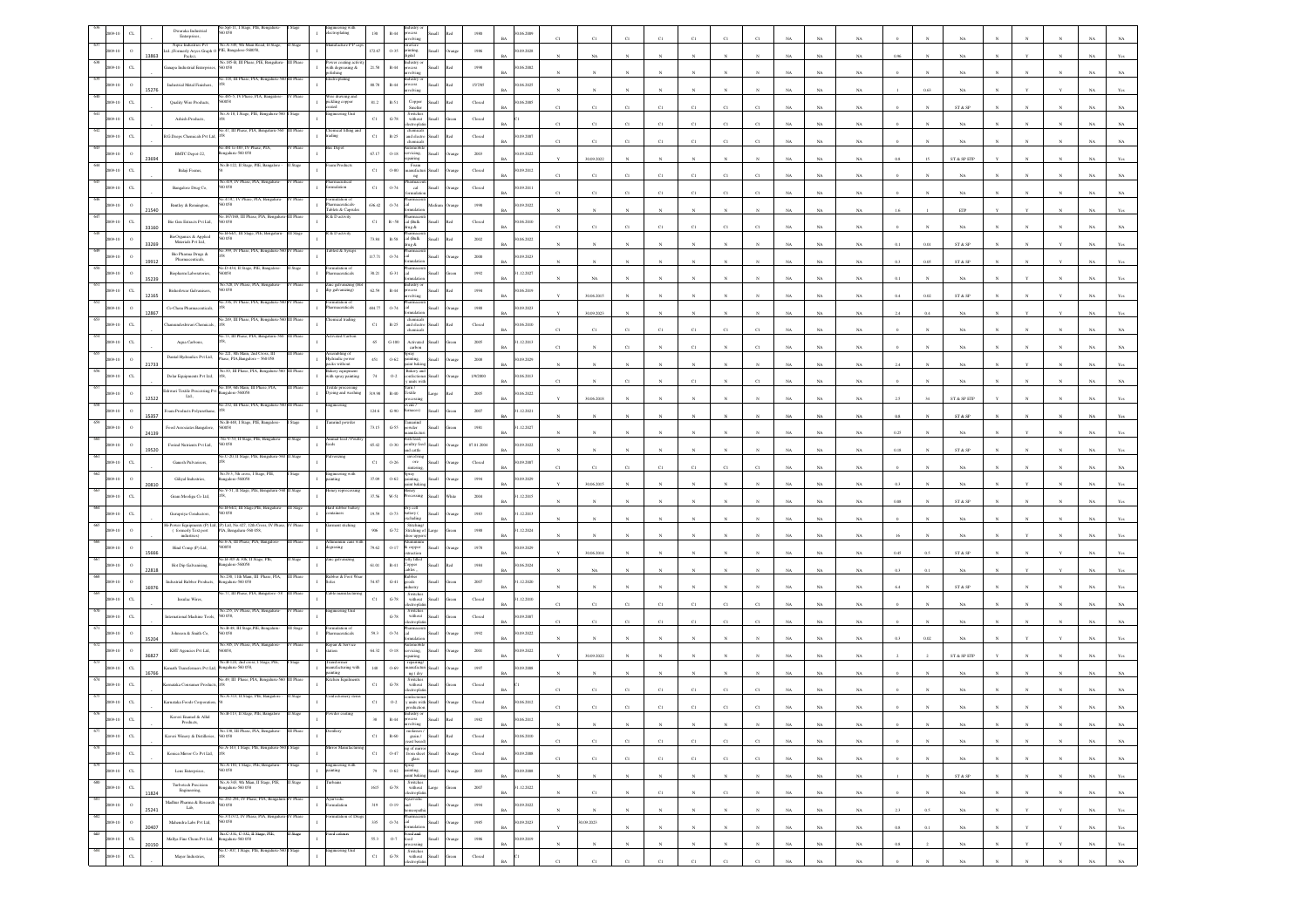|     |                         |       | Spl-11, I Stage, PIE, Beng<br>Dwaraka Industrial                                                                                                      |           | roplating                                          | $\rm R\text{-}44$<br>130                                                                                 |                       | 1980                    | 06.2009                  |             |                       |              |             |              |                       |                |             |             |             |          |              |                                                                 |              |              |              |             |                |
|-----|-------------------------|-------|-------------------------------------------------------------------------------------------------------------------------------------------------------|-----------|----------------------------------------------------|----------------------------------------------------------------------------------------------------------|-----------------------|-------------------------|--------------------------|-------------|-----------------------|--------------|-------------|--------------|-----------------------|----------------|-------------|-------------|-------------|----------|--------------|-----------------------------------------------------------------|--------------|--------------|--------------|-------------|----------------|
|     |                         |       | Enterprises,<br>No.A-349, 9th Main Road, II Stage<br>Nipra Industries Pvt                                                                             |           |                                                    | volving<br>ravure                                                                                        |                       |                         |                          |             |                       |              |             |              |                       |                |             |             |             |          |              |                                                                 |              |              |              |             |                |
|     | $\circ$                 | 13863 | Ltd.,(Formerly Aryes Graph O PIE, Bangalore-560058,<br>Packs),                                                                                        |           |                                                    | $0 - 35$<br>printing,<br>172.67<br>Istisi                                                                | ыl                    | 1986                    | 0.09.2028                |             | NA                    |              |             |              |                       |                |             | NA          | NA          |          |              | NA                                                              |              |              |              |             |                |
|     | $_{\rm{CL}}$            |       | No.185-B, III Phase, PIE, Bengaluri<br>napa Industrial Enterprise<br>058                                                                              | I Phase   | ower coating activ<br>$\sin$ degreasing &          | ndustry o<br>$21.58\,$<br>$\,$ R-44<br>$_{\rm excess}$                                                   |                       | 1998                    | 0.06.2002                |             |                       |              |             |              |                       |                |             |             |             |          |              |                                                                 |              |              |              |             |                |
|     |                         |       | o.118, III Phase, PIA, Benga                                                                                                                          |           | lishing<br>xtroplating                             | volving<br>ustry o                                                                                       |                       |                         | <b>BA</b>                |             |                       |              |             |              |                       |                |             | NA          | NA          |          |              |                                                                 |              |              |              |             |                |
|     | $\circ$                 | 15276 | Industrial Metal Finishers,                                                                                                                           |           |                                                    | 88.78<br>$\mathbb{R}{\text{-}}44$<br>ocess<br>volving                                                    |                       | 15/7/05                 | 0.06.2025<br>RA          |             |                       |              |             |              |                       |                |             | NA          | NA          |          | 0.63         | NA.                                                             |              |              |              |             |                |
|     | C1                      |       | 485-5, IV Phase,<br>Quality Wire Products<br>ooss                                                                                                     |           | ire drawing an<br>pickling copper<br>coated        | $81.2\,$<br>R-51<br>Copper<br>Smelter                                                                    |                       | Closed                  | 0.06.2005                |             |                       |              |             |              |                       |                |             |             |             |          |              |                                                                 |              |              |              |             |                |
|     |                         |       | No.A-18, I Stage, PIE, Bengaluru-5                                                                                                                    |           | gineering Uni                                      | Switches<br>without                                                                                      |                       |                         |                          | $_{\rm Cl}$ | $_{\rm C1}$           | $_{\rm C1}$  | C1          | $_{\rm CI}$  | C1                    | $_{\rm C1}$    | NA          | NA          | $_{\rm NA}$ |          |              | ST & SP                                                         |              |              |              |             |                |
|     | $_{\rm{CL}}$            |       | Ashish Products,<br>0.47, III Phase, PIA, Ber                                                                                                         |           |                                                    | $_{\rm C1}$<br>$_{\mathrm{G-78}}$<br>lectrophat                                                          |                       | $\operatorname{Closed}$ | BA                       | C1          | C1                    | C1           | CI          | C1           | C1                    | CI             |             | $_{\rm NA}$ | NA          |          |              | NA                                                              |              |              |              |             |                |
|     | C1                      |       | B.G.Deeps Chemicals Pvt Ltd.                                                                                                                          |           | ading                                              | chemicals<br>and electro<br>$_{\rm C1}$<br>$R - 25$<br>chemicals                                         |                       | Closed                  | 0.09.2007<br><b>BA</b>   | C1          | C1                    | C1           | C1          | C1           | C1                    | CI             | NA          | NA          | NA          |          |              | <b>NA</b>                                                       |              |              |              |             |                |
|     | $\,$ o                  |       | 1.481 to 483, IV Phase, PIA<br>BMTC Depot-22,<br>galaru-560 058                                                                                       |           | s Depot                                            | 67.17<br>$0 - 18$                                                                                        |                       | 2003                    | (09.2022)                |             |                       |              |             |              |                       |                |             |             |             |          |              |                                                                 |              |              |              |             |                |
|     |                         | 23694 | Vo.B-122, II Stage, PIE, Bang                                                                                                                         |           |                                                    | ervicing,<br>epairing<br>Foam                                                                            |                       |                         | ΒA                       |             | 30.09.2022            |              |             |              |                       |                |             | $_{\rm NA}$ | $_{\rm NA}$ | 0.8      |              | $\operatorname{ST}$ & $\operatorname{SP}$ $\operatorname{ETP}$  |              |              |              |             |                |
|     | $_{\rm{CL}}$            |       | Balaji Foams,                                                                                                                                         |           |                                                    | $_{\rm C1}$<br>$0-80\,$<br>mufact<br>ng                                                                  |                       | $\operatorname{Closed}$ | (09.2012)<br>BA          |             | C1                    | C1           | CI          | $_{\rm Cl}$  | CI                    |                |             | NA          | NA          |          |              | NA                                                              |              |              |              |             |                |
|     | $\sigma$                |       | o.419, IV Phase, PIA, Bengalus<br>Bangalore Drug $\mathbf{Co}_{\text{t}}$<br>0058                                                                     |           | macuitic<br>malation                               | $_{\rm Cl}$<br>$0-74$<br>cal                                                                             |                       | Closed                  | 0.09.2011<br>RA          |             |                       |              |             |              |                       |                |             |             |             |          |              |                                                                 |              |              |              |             |                |
|     |                         |       | io.473C, IV Phase, PIA, Bengalur<br>0058                                                                                                              |           | nulation of<br>maceuticals-                        |                                                                                                          |                       |                         |                          | C1          | C1                    | CI           | C1          | C1           | C1                    |                |             | NA          | NA          |          |              | NA                                                              |              |              |              |             |                |
|     |                         |       | Bentley & Remington,<br>n 167/168 111 Phase PLA Benga                                                                                                 |           | ablets & Capsule<br>R & D activity                 | 536.42<br>0.74                                                                                           |                       | 1990                    | (09.2022)                |             |                       |              |             |              |                       |                |             | NA          | $_{\rm NA}$ |          |              | $\ensuremath{\mathsf{ETP}}$                                     |              |              |              |             |                |
|     | $_{\rm{CL}}$            | 33160 | Bio Gen Extracts Pvt Ltd,<br>058                                                                                                                      |           |                                                    | $_{\rm C1}$<br>$\mbox{R}{\sim}58$<br>cal (Balk<br>A san                                                  |                       | $\operatorname{Closed}$ | 0.06.2010<br><b>BA</b>   | C1          | C1                    | C1           | C1          | C1           | C1                    | CI             |             | NA          | NA          |          |              | NA                                                              |              |              |              |             |                |
|     | $\circ$                 |       | io.B-64/1, III Stage, PIE, Bengali<br>BioOrganics & Applied<br>0.58                                                                                   |           | & D activity                                       | Pharmaceu<br>cal (Bulk<br>$\mathbb{R}\text{-}\mathbb{S}\mathbb{S}$<br>73.84                              |                       | 2002                    | 0.06.2022                |             |                       |              |             |              |                       |                |             |             |             |          |              |                                                                 |              |              |              |             |                |
|     |                         | 33269 | Materials Pvt Ltd,<br>399, IV Phase, PIA, Bengaluru-                                                                                                  | V Phase   | ablest & Syrups                                    | A gan<br>harmac                                                                                          |                       |                         | <b>BA</b>                |             |                       |              |             |              |                       |                | NA          | NA          | $_{\rm NA}$ | 0.1      | 0.01         | ${\rm ST}$ & ${\rm SP}$                                         |              |              |              |             |                |
|     | $\circ$                 | 19912 | $\begin{tabular}{l} Bio Pharma Drays & \\ \hline \end{tabular}$                                                                                       |           |                                                    | 17.71<br>$0 - 74$                                                                                        |                       | 2000                    | 0.09.2023<br>ΒA          |             |                       |              |             |              |                       |                |             | $_{\rm NA}$ | $_{\rm NA}$ | 0.3      | 0.05         | ST & SP                                                         |              |              |              |             |                |
|     | $\circ$                 | 35239 | o.D-434, Il Stage, PIE,<br>Biopharm Laboratories,                                                                                                     |           | centical                                           | 30.21<br>$G-31$                                                                                          |                       | 1992                    | 1.12.2027<br>RA          |             | NA                    |              |             |              |                       |                |             | NA          | NA          | o t      |              | NA                                                              |              |              |              |             |                |
|     | C1                      |       | 528, IV Phase,<br>Bisheshwar Galvanisers.<br>0058                                                                                                     |           | nc galvanizing<br>lip galvanizing)<br>$\mathbf{I}$ | stry o<br>62.59<br>$R - 44$<br>ocess                                                                     |                       | 1994                    | 0.06.2019                |             |                       |              |             |              |                       |                |             |             |             |          |              |                                                                 |              |              |              |             |                |
|     |                         | 12165 | 0.336. IV Phase, PIA, Beng                                                                                                                            |           | ulation of                                         | volving                                                                                                  |                       |                         | <b>BA</b>                |             | 30.06.2015            |              |             |              |                       |                |             | NA          | $_{\rm NA}$ | 0.4      | 0.02         | ST & SP                                                         |              |              |              |             |                |
|     | $\circ$                 | 12867 | Ce-Chem Pharmaceuticals                                                                                                                               |           | naceuticals                                        | 484.77<br>0.74                                                                                           |                       | $1988\,$                | (09.2023)<br><b>BA</b>   |             | 30.09.2023            |              |             |              |                       |                |             | NA          | NA          | 2.4      | 0.4          | NA                                                              |              |              |              |             |                |
|     | C1                      |       | 249. III Phase, PIA, E<br>hamundeshwari Chemical                                                                                                      |           |                                                    | $_{\rm Cl}$<br>$R - 25$<br>and electro<br>chemical                                                       |                       | Closed                  | 0.06.2010<br><b>BA</b>   | C1          | C1                    | C1           | C1          | C1           | C1                    | CI             | NA          | NA          | NA          |          |              | NA.                                                             |              |              |              |             |                |
|     |                         |       | io.73, III Phase, PIA, Bengaluru-560                                                                                                                  |           | tivated Carbon                                     | 65<br>$G-100$<br>Activated                                                                               |                       |                         | 1.12.2013                |             |                       |              |             |              |                       |                |             |             |             |          |              |                                                                 |              |              |              |             |                |
|     | $_{\rm{CL}}$            |       | Aqua Carbons,                                                                                                                                         |           |                                                    | carbon                                                                                                   |                       | 2005                    | <b>BA</b>                | C1          | $\boldsymbol{\kappa}$ | $_{\rm C1}$  |             | $_{\rm C1}$  | $\boldsymbol{\kappa}$ | C1             | NA          | $_{\rm NA}$ | $_{\rm NA}$ |          |              | $_{\rm NA}$                                                     |              |              |              |             |                |
|     | $\,$ o                  | 21733 | 46 221, 8th Main, 2nd Cross, III<br>Thase, PIA,Bangalore – 560 058<br>Dantal Hydraulics Pvt Ltd,                                                      |           | esemoing or<br>lydraulic power<br>acks without     | eay<br>inting,<br>$451\,$<br>$0.62\,$<br>int bakir                                                       |                       | $2008\,$                | (09.2029)<br><b>BA</b>   |             |                       |              |             |              |                       |                | NA          | $_{\rm NA}$ | NA          | 2.4      |              | NA                                                              |              |              |              |             |                |
|     | $_{\rm{CL}}$            |       | io.83, III Phase, PIA, Be<br>Dolar Equipments Pvt Ltd                                                                                                 |           | cery equipme<br>rith spray painting                | Bakery and<br>$0.2\,$<br>74<br>cenfection                                                                |                       | 1/9/2000                | 0.06.2013                |             |                       |              |             |              |                       |                |             |             |             |          |              |                                                                 |              |              |              |             |                |
|     |                         |       | No.109, 6th Main, III Phase, PIA<br>Eshwari Textile Processing Pvt<br>ealore-560058                                                                   |           | stile processing                                   | units wit<br>$\frac{Yarn}{r}$ extile<br>119.98<br>$R-40$                                                 |                       |                         |                          |             |                       |              |             | C1           |                       |                |             | NA          | NA          |          |              |                                                                 |              |              |              |             |                |
|     |                         | 12522 | Ltd.,<br>o 232 III Phase, PIA                                                                                                                         |           | cing and washin                                    |                                                                                                          |                       | $2005\,$                | (06, 2022)<br><b>BA</b>  |             | 30.06.2018            |              |             |              |                       |                |             | NA          | $_{\rm NA}$ | $^{2.5}$ |              | $\operatorname{ST}$ & $\operatorname{SP}$ $\operatorname{ETP}$  |              |              |              |             |                |
|     |                         | 15357 | cam Products Polyurethan                                                                                                                              |           |                                                    | $\,$ G-90 $\,$<br>124.6<br>maces)                                                                        |                       | 2007                    | .12.2021                 |             |                       |              |             |              |                       |                |             | NA          | NA          | 0.8      |              | ST & SP                                                         |              |              |              |             |                |
|     |                         |       | No.B-448, I Stage, PIE, Bangalore<br>Food Associates Bangalore<br>058                                                                                 |           | mrind powder                                       | Famarind<br>powder<br>73.15<br>$G-55$                                                                    |                       | 1981                    | 1.12.2027                |             |                       |              |             |              |                       |                |             |             |             |          |              |                                                                 |              |              |              |             |                |
|     |                         | 24139 | No.V-53, II Stage, PIE, Bengalaru-                                                                                                                    |           | imal feed / Po                                     | mufactu<br>Fish feed,                                                                                    |                       |                         |                          |             |                       |              |             |              |                       |                |             | NA          | $_{\rm NA}$ | 0.25     |              | $_{\rm NA}$                                                     |              |              |              |             |                |
|     | $\circ$                 | 19520 | Forind Nutrients Pvt Ltd,<br>io.C-20, II Stage, PIE, Benj                                                                                             |           |                                                    | $65.42\,$<br>$0 - 30$<br>oultry feed<br>d cattle                                                         |                       | 07.01.2004              | 0.09.2022<br><b>BA</b>   |             |                       |              |             |              |                       |                |             | $_{\rm NA}$ | $_{\rm NA}$ | $0.18\,$ |              | ${\hbox{\footnotesize\rm ST}}$ & ${\hbox{\footnotesize\rm SP}}$ |              |              |              |             |                |
|     | C1                      |       | Ganesh Pulvarisers,                                                                                                                                   |           |                                                    | $_{\rm C1}$<br>$0 - 26$<br>ore                                                                           |                       | Closed                  | 0.09.2007<br><b>BA</b>   | C1          | C1                    | C1           | C1          | C1           | C1                    | CI             | NA          | NA          | NA          |          |              | <b>NA</b>                                                       |              |              |              |             |                |
|     | $\Omega$                |       | $N-3$ , 5th cross,<br>Giliyal Industries,<br>sgalore-560058                                                                                           |           | gineering w<br>ting                                | ipray<br>canting,<br>97.09<br>$0 - 62$                                                                   | ыl                    | 1994                    | 0.09.2029                |             |                       |              |             |              |                       |                |             |             |             |          |              |                                                                 |              |              |              |             |                |
|     |                         |       | No.V-51, II Stage, PIE, Bengaluru-5                                                                                                                   | Stage     | oney repro                                         | int bakin<br>ancy                                                                                        |                       |                         | BA                       |             | 30.06.2015            |              |             |              |                       |                |             | NA          | $_{\rm NA}$ | 0.3      |              | NA                                                              |              |              |              |             |                |
|     | $_{\rm{CL}}$            |       | Gram Mooliga Co Ltd,<br>vo.B-64/2, III Stage,PIE,                                                                                                     |           |                                                    | 97.56<br>$W-51$                                                                                          |                       | $\,2004$                | 1.12.2015<br>BA          |             |                       |              |             |              |                       |                |             | NA          | NA          | 0.08     |              | ST & SP                                                         |              |              |              |             |                |
|     | C1                      |       | Gurupriya Conductors,<br>058                                                                                                                          |           |                                                    | 0.73<br>19.59<br>attery (<br>scluding                                                                    |                       | 1983                    | 1.12.2013<br><b>BA</b>   |             |                       |              |             |              |                       |                |             | NA          | NA          |          |              | NA                                                              |              |              |              |             |                |
|     |                         |       | Hi-Power Equipments (P) Ltd, (P) Ltd, No.427, 12th Cross, IV Ph<br>PIA, Bengaluru-560 058,                                                            |           | nent stiching                                      | Stitching<br>$G-72$<br>906                                                                               |                       | $1988\,$                | 1.12.2024                |             |                       |              |             |              |                       |                |             |             |             |          |              |                                                                 |              |              |              |             |                |
|     |                         |       | (formerly Text port<br>industries)<br>No.6-A, III Phase, PIA, Bangalore                                                                               |           | uminum c                                           | Stitching of<br>shoe upper                                                                               |                       |                         | BA                       |             |                       |              |             |              |                       |                | NA          | NA          | $_{\rm NA}$ |          |              | $_{\rm NA}$                                                     |              |              |              |             |                |
|     |                         | 15666 | Hind Comp (P) Ltd,                                                                                                                                    |           | $_{\rm using}$                                     | 9.62<br>$0 - 17$<br>copper<br>traction                                                                   |                       | $1978\,$                | (09.2029)<br><b>BA</b>   |             | 30.06.2014            |              |             |              |                       |                | NA          | $_{\rm NA}$ | NA          | 0.45     | 0.5          | ST & SP                                                         |              |              |              |             |                |
|     | $\Omega$                | 22818 | o.B-305 & 306, II Stage<br>Hot Dip Galvanising,<br>sgalore-560058                                                                                     |           | c galvanizi                                        | $\mathbb{R}\text{-}41$<br>61.01<br>lopper<br>ables                                                       |                       | 1984                    | (06, 2024)<br>RÁ         |             | NA                    |              |             |              |                       |                | NA          | NA          | NA          | 0.3      | 0.1          | <b>NA</b>                                                       |              |              |              |             |                |
|     | $\circ$                 |       | No.230, 11th Main, III Phase, PIA<br>dustrial Rubber Products,<br>galaru-560 058                                                                      |           | bber & Foot W                                      | ubbe<br>oods<br>idustry<br>54.87<br>$_{\mathrm{G-}41}$                                                   |                       | 2007                    | .12.2020                 |             |                       |              |             |              |                       |                |             |             |             |          |              |                                                                 |              |              |              |             |                |
|     |                         | 16976 | 77. III Phase, PIA, Ban-                                                                                                                              |           |                                                    |                                                                                                          |                       |                         |                          |             |                       |              |             |              |                       |                |             | NA          | $_{\rm NA}$ | 6.4      |              | ST & SP                                                         |              |              |              |             |                |
|     | $\alpha$                |       | Insula: Wires,                                                                                                                                        |           |                                                    | Switches<br>without<br>$_{\rm C1}$<br>$\,$ G-78 $\,$<br>ctroni                                           |                       | $\operatorname{Closed}$ | 1.12.2010                |             |                       |              |             | C1           |                       |                |             | NA          | NA          |          |              |                                                                 |              |              |              |             |                |
|     |                         |       | io.255, IV Phase, PIA, Bengal<br>emational Machine Tool<br>0058                                                                                       |           | neering Unit                                       | Switches<br>without<br>$G-78$                                                                            |                       | $\operatorname{Closed}$ | 09.2007<br><b>BA</b>     |             | C1                    |              |             | C1           | C1                    |                |             | NA          | $_{\rm NA}$ |          |              | NA                                                              |              |              |              |             |                |
|     |                         |       | Vo.B-48, III Stage, PIE, Benga<br>Johnson & Smith Co,<br>058                                                                                          |           | dation o<br>naceuticals                            | 59.3<br>0.74                                                                                             |                       | $1992\,$                | (09.2022)                |             |                       |              |             |              |                       |                |             |             |             |          |              |                                                                 |              |              |              |             |                |
|     |                         | 3520  | 40.305, IV Phase, PIA, E                                                                                                                              |           | epair & Servic                                     |                                                                                                          |                       |                         |                          |             |                       |              |             |              |                       |                |             | NA          | $_{\rm NA}$ | 0.3      |              | $_{\rm NA}$                                                     |              |              |              |             |                |
|     |                         | 36827 | KHT Agencies Pvt Ltd,<br>058,                                                                                                                         |           |                                                    | 64.32<br>$O-18$<br>ervicing.<br>sairing                                                                  |                       | 2001                    | 0.09.2022                |             | 30.09.2022            |              |             |              |                       |                |             | NA          | NA.         |          |              | ST & SP ETF                                                     |              |              |              |             |                |
|     | C1                      |       | o.B-124, 2nd cross,<br>amath Transfermers Pvt Ltd<br>galaru-560 058                                                                                   |           | sformer<br>anufacturing with                       | repairing<br>nanufactu<br>$148\,$<br>$0 - 69$                                                            |                       | 1997                    | 0.09.2008                |             |                       |              |             |              |                       |                |             | NA          | NA          |          |              |                                                                 |              |              |              |             |                |
|     |                         | 16766 | 40.49. III Phase, PIA, Be<br>nataka Consumer Produc                                                                                                   |           | hen Eoui                                           | ng (dry<br>Switches<br>without<br>$G-78$<br>C1                                                           |                       | $\rm Closed$            | <b>BA</b>                |             |                       |              |             |              |                       |                |             |             |             |          |              | NA                                                              |              |              |              |             |                |
|     |                         |       |                                                                                                                                                       |           |                                                    | ectroph                                                                                                  |                       |                         |                          | C1          | C1                    | $_{\rm C1}$  | C1          | C1           | C1                    |                |             | NA          | NA.         |          |              | $_{\rm NA}$                                                     |              |              |              |             |                |
|     | $\alpha$                |       | amataka Foods Corpo                                                                                                                                   |           |                                                    | $_{\rm Cl}$<br>$0-2$<br>units with                                                                       |                       | Closed                  | 0.06.2012                |             |                       |              |             |              |                       |                |             |             |             |          |              |                                                                 |              |              |              |             |                |
|     |                         |       | Kaveri Enamel & Allid                                                                                                                                 |           |                                                    | $R - 44$                                                                                                 |                       | 1982                    | (06, 2012)<br>BA         |             |                       | $_{\rm N}$   |             |              |                       |                | $_{\rm NA}$ | $_{\rm NA}$ | $_{\rm NA}$ |          | $_{\rm N}$   | $_{\rm NA}$                                                     |              |              |              | NA          | NA 1           |
|     | $_{\rm{CL}}$<br>2009-10 |       | No.138, III Phase, PIA, Bengaluru-<br>Kaveri Winery & Distilleries,<br>560 058                                                                        | III Phase |                                                    | molasses /<br>grain /<br>yeast based<br>$_{\rm C1}$<br>$\mathbb{R}\text{-}60$                            | <b>Ilum</b>           | ${\it Closed}$          | 0.06.2010                |             |                       |              |             |              |                       |                |             |             |             |          |              |                                                                 |              |              |              |             |                |
|     |                         |       | 40.A-143, I Stage, PIE, Bengaluru-5                                                                                                                   |           |                                                    |                                                                                                          |                       |                         | $BA$                     | C1          | $_{\rm C1}$           | $_{\rm C1}$  | $_{\rm C1}$ | $_{\rm Cl}$  | C1                    | $_{\rm C1}$    | $_{\rm NA}$ | $_{\rm NA}$ | NA          |          |              | $_{\rm NA}$                                                     |              |              |              | $_{\rm NA}$ | $_{\rm NA}$    |
|     | $_{\rm{CL}}$<br>2009-10 |       | Konica Mirror Co Pvt Ltd,                                                                                                                             |           |                                                    | ng of mirror<br>from sheet S<br>$_{\rm C1}$<br>$0 - 47$<br>glass                                         | <b>Iliam</b><br>rangs | Closed                  | 30.09.2008<br>BA         | C1          | C1                    | C1           | $_{\rm C1}$ | C1           | C1                    | C1             | NA          | NA          | NA          |          | $\mathbf{N}$ | $_{\rm NA}$                                                     | $\mathbf{N}$ | $\mathbf{N}$ | $\mathbf{N}$ | NA          | $_{\rm NA}$    |
| 679 | $_{\rm CL}$<br>2009-10  |       | No.A-181, I Stage, PIE, Bengaluru-<br>Leas Enterprises,<br>560 058                                                                                    | I Stage   | Engineering with<br>painting<br>$\mathbf{I}$       | $\begin{tabular}{c} \bf{O-62} & \tt{Spany} \\ \bf{O-62} & \tt{paint baking,} \\ \end{tabular}$<br>$79\,$ | <b>Illum</b>          | $2003\,$                | 0.09.2008<br>$_{\rm BA}$ |             | $_{\rm N}$            | $\bar{N}$    |             | $_{\rm N}$   | $_{\rm N}$            | $_{\rm N}$     |             |             |             |          |              | $\text{ST} \ \& \ \text{SP}$                                    |              |              |              |             |                |
| 680 | $_{\rm{CL}}$<br>2009-10 |       | No.A-343, 9th Mian, II Stage, PIE,<br>Bengaluru-560 058<br><b>Turbotech Precision</b>                                                                 |           |                                                    | Switches<br>without<br>$1615\,$<br>$\mbox{G-78}$                                                         | Large<br>reen         | $2007\,$                | 1.12.2022                |             |                       |              |             |              |                       |                | $_{\rm NA}$ | $_{\rm NA}$ | $_{\rm NA}$ |          |              |                                                                 |              |              |              | $_{\rm NA}$ | $\mathbf{Yes}$ |
| 681 |                         | 11824 | Engineering,<br>No.292-294, IV Phase, PIA, Bengalur<br>Madhur Pharma & Research                                                                       | IV Phase  | Ayarvedic<br>Formulation                           | electroplati                                                                                             |                       |                         | $_{\rm BA}$              | $_{\rm N}$  | C1                    | $_{\rm N}$   | $_{\rm Cl}$ | $_{\rm N}$   | C1                    | $_{\rm N}$     | NA          | NA          | NA          |          |              | NA                                                              |              | $_{\rm N}$   | N            | $_{\rm NA}$ | $_{\rm NA}$    |
|     | $\,$ o<br>2009-10       | 25241 | 560 058<br>Lab,                                                                                                                                       |           | $\mathbf{I}$                                       | Ayurvedic<br>O-19 and<br>homeopath<br>$319\,$                                                            | <b>Ilum</b><br>rang   | 1994                    | 30.09.2022<br><b>BA</b>  |             | $\mathbf{N}$          | $\mathbf{v}$ | $_{\rm N}$  | $\mathbf{N}$ | $\mathbf{N}$          | $_{\rm N}$     | $_{\rm NA}$ | $_{\rm NA}$ | $_{\rm NA}$ | $2.3\,$  | $0.5\,$      | $_{\rm NA}$                                                     |              |              | $\mathbf{Y}$ | $_{\rm NA}$ | $\mathbf{Yes}$ |
| 682 | $\,$ 0<br>2009-10       | 20407 | No.371/372, IV Phase, PIA, Bengaluru-IV Phase<br>Mahendra Labs Pvt Ltd,<br>560 058                                                                    |           | rmulation of Dru<br>$\mathbf{I}$                   | Pharmaceuti<br>$335\,$<br>0.74<br>cal                                                                    | <b>Illum</b><br>rang  | $1985\,$                | 0.09.2023<br>$_{\rm BA}$ |             | 0.09.2023             |              |             | $_{\rm N}$   |                       | $\overline{N}$ | $_{\rm NA}$ | $_{\rm NA}$ | $_{\rm NA}$ | $0.8\,$  | $\,0.1$      | $_{\rm NA}$                                                     |              |              |              | $_{\rm NA}$ | $\mathbf{Yes}$ |
| 683 | $_{\rm{CL}}$<br>2009-10 |       | $\label{eq:1} \begin{array}{c} \mbox{No.C-331, C-332, II Suge, HE} \\ \mbox{Multiplya Fine Chen Put Ltd,} \quad \mbox{Bengalara-560 058} \end{array}$ | Stage     | od colours                                         | $$\mathbf{0}\text{-}7$$ $$\mathbf{food}$$ and<br>55.3                                                    | <b>Han</b>            | $1986\,$                | (09.2019)                |             |                       |              |             |              |                       |                |             |             |             |          |              |                                                                 |              |              |              |             |                |
|     |                         | 20150 | No.C-307, I Stage, PIE, Bengaluru-560 I                                                                                                               | Stage     | gineering Unit                                     | ocessing<br>Switches<br>without<br>electroplatin                                                         |                       |                         | $_{\rm BA}$              | $_{\rm N}$  | $_{\rm N}$            | $\mathbf{N}$ | N           | $_{\rm N}$   | $_{\rm N}$            | $_{\rm N}$     | $_{\rm NA}$ | $_{\rm NA}$ | $_{\rm NA}$ | $0.8\,$  |              | $_{\rm NA}$                                                     |              | Y            | Y            | $_{\rm NA}$ | Yes            |
|     | $_{\rm{CL}}$<br>2009-10 |       | Mayer Industries,                                                                                                                                     |           |                                                    | $_{\rm C1}$<br>$\,$ G-78 $\,$                                                                            | <b>Ham</b>            | ${\bf Closed}$          |                          |             |                       |              |             |              | $_{\rm C1}$           | $_{\rm Cl}$    | NA          | NA          | $_{\rm NA}$ |          |              |                                                                 |              |              |              | NA          | $_{\rm NA}$    |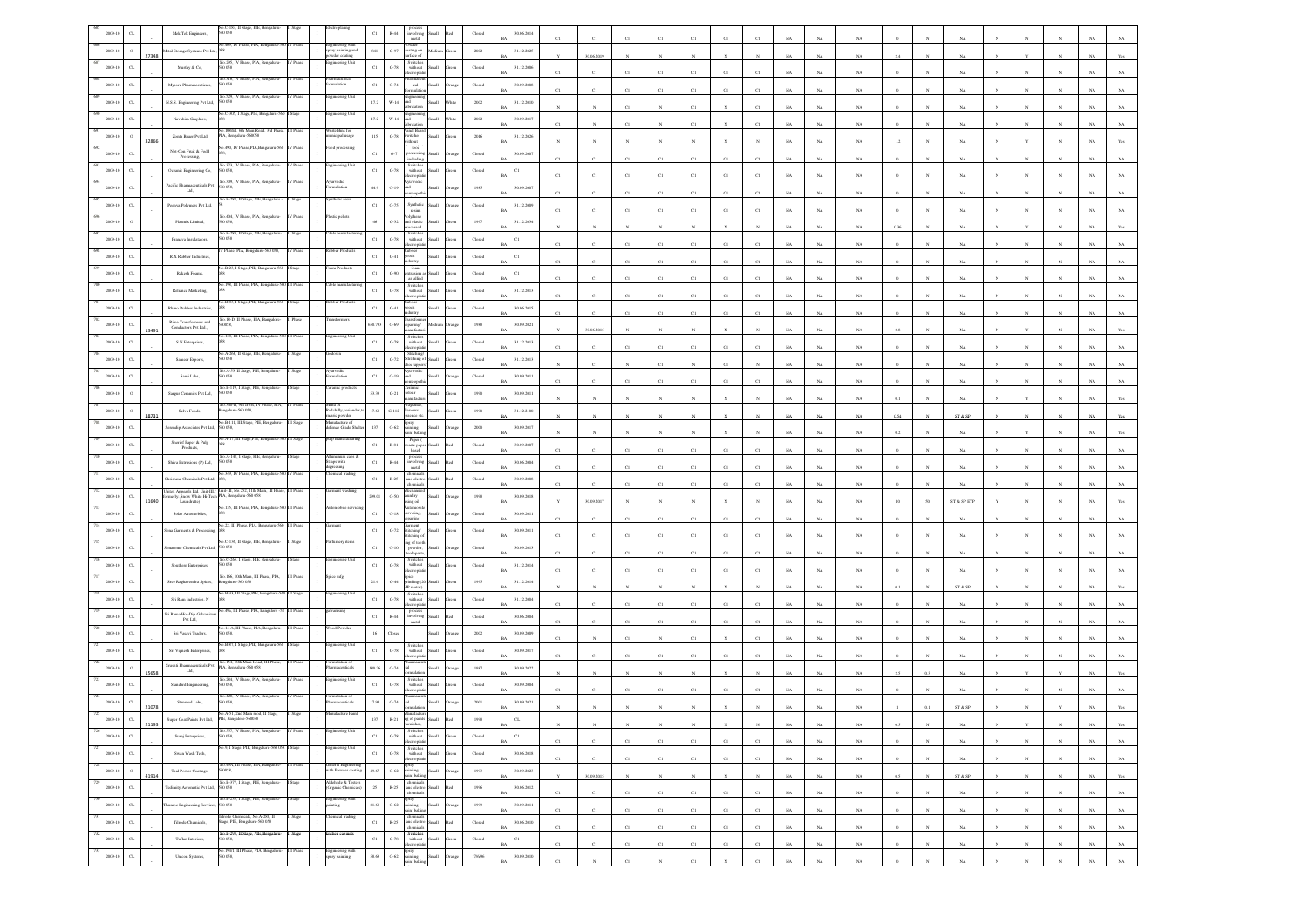|                |                             | Mek Tek Engineers,                                              | $C-183$ , II 3<br>0.058                                              |           |                                                                          | $_{\rm C1}$  | $\mathbb{R}\text{-}44$          | involving<br>metal                                                                                                                                       |                                                                                                                                      | Closed                                              | 06.2014                   |              |             |             |              |                 |             |             |             |             |             |      |              |             |            |              |              |             |                |
|----------------|-----------------------------|-----------------------------------------------------------------|----------------------------------------------------------------------|-----------|--------------------------------------------------------------------------|--------------|---------------------------------|----------------------------------------------------------------------------------------------------------------------------------------------------------|--------------------------------------------------------------------------------------------------------------------------------------|-----------------------------------------------------|---------------------------|--------------|-------------|-------------|--------------|-----------------|-------------|-------------|-------------|-------------|-------------|------|--------------|-------------|------------|--------------|--------------|-------------|----------------|
|                | 27348                       | Metal Storage Systems Pvt Ltd,                                  | io.409, IV Phase, PIA, Benga                                         |           | ngineering with<br>pray painting and<br>wder coating                     | $_{\rm 841}$ | $\mbox{G-97}$                   | rwder<br>ating on<br>rface of                                                                                                                            |                                                                                                                                      | 2002                                                | 1.12.2025                 |              | 30.06.2019  |             |              |                 |             |             |             | <b>NA</b>   | NA          |      |              |             |            |              |              |             |                |
|                | $\alpha$                    | Marthy & Co.                                                    | 0058                                                                 |           | ring Uni                                                                 | $_{\rm{C1}}$ | $\,$ G-78 $\,$                  | Switches<br>without                                                                                                                                      | <b>Ilumi</b>                                                                                                                         | Closed                                              | 1.12.2006<br><b>BA</b>    |              | C1          |             |              | C1              | CI          |             |             | NA          |             |      |              |             |            |              |              |             |                |
|                | $\alpha$                    | Mysore Pharmaceuticals,                                         | a 316. IV Phase, PIA, E<br>0.58                                      |           | macuitica<br>lation                                                      | $_{\rm C1}$  | 0.74                            | $_{\rm cal}$                                                                                                                                             |                                                                                                                                      | $\operatorname{Closed}$                             | 0.09.2008                 | CI           | CI          |             |              | C1              | CI          |             |             | NA          | NA          |      |              | NA          |            |              |              |             |                |
|                | $\sigma$                    | N.S.S. Engineering Pvt Ltd,                                     | 529.1<br>0.058                                                       |           | :ring                                                                    | 17.2         | $W-14$                          |                                                                                                                                                          |                                                                                                                                      | 2002                                                | 1.12.2010                 |              |             | cт          |              | C1              |             |             |             | NA          | NA.         |      |              |             |            |              |              |             |                |
|                |                             | Navahira Graphics,                                              | o.C-305, I Stage, PIE, Bengalaru-5                                   |           | ineering Unit                                                            | 17.2         | $W-14$                          |                                                                                                                                                          |                                                                                                                                      | $2002\,$                                            | 1.09.2017                 |              |             |             |              | $\overline{c}$  |             |             |             | NA          |             |      |              |             |            |              |              |             |                |
|                |                             | Zonta Bauer Pvt Ltd                                             | 108/EL 6th Main Road<br>A. Bengaluru-560058                          |           | ste Bins fo<br>micipal usage                                             | $115\,$      | $\mbox{G-}78$                   | witches                                                                                                                                                  |                                                                                                                                      | $2016\,$                                            | .12.2026                  |              |             |             |              |                 |             |             |             | $_{\rm NA}$ | NA          |      |              | NA          |            |              |              |             |                |
|                |                             | Not-Con Fruit & Fodd<br>Processing,                             | o.490, IV Phase,PIA,Bengaluru-560                                    | / Phase   | od proce                                                                 | C1           | $0-7$                           | food<br>rocessin<br><b>Hodin</b>                                                                                                                         |                                                                                                                                      | $\rm Closed$                                        | 1.09.2007                 |              |             | c.          |              | $\overline{c}$  | CI          |             |             | NA          | $_{\rm NA}$ |      |              |             |            |              |              |             |                |
|                | $\alpha$                    | Oceanic Engineering Co,                                         | No.373, IV Phase, PIA, Bengaluru<br>60058                            | V Phase   | incering Uni                                                             | $_{\rm C1}$  | $G-78$                          | Switcher<br>without                                                                                                                                      |                                                                                                                                      | $\operatorname{Closed}$                             |                           |              |             |             |              | $\overline{c}$  |             |             |             | NA          | NA          |      |              |             |            |              |              |             |                |
|                | $\alpha$                    | Pacific Pharmaceuticals Pv<br>Ltd.                              | 309, IV Phase, PIA, Benga<br>058                                     |           |                                                                          | 44.9         | $0-19$                          |                                                                                                                                                          |                                                                                                                                      | 1985                                                | 0.9.2007                  |              | CI          | CI          | CI           | C1              | CI          |             |             |             |             |      |              | NA          |            |              |              |             |                |
|                | $_{\mbox{\scriptsize{CL}}}$ | Peenya Polymers Pvt Ltd,                                        | io.B-288, Il Stage, PIE, Bangalore                                   |           |                                                                          | $_{\rm C1}$  | $0 - 75$                        | Syntheti                                                                                                                                                 |                                                                                                                                      | Closed                                              | 1.12.2009                 |              |             |             |              | $\overline{c}$  |             |             |             | NA          | NA          |      |              |             |            |              |              |             |                |
|                | $\circ$                     | Plasmix Limited,                                                | io.404, IV Phase, PIA, Bengaluru-                                    | V Phase   | stic pellet                                                              | $46\,$       | $_{\mathrm{G-32}}$              | olythene<br>nd plastic                                                                                                                                   | ilia                                                                                                                                 | 1997                                                | .12.2034                  |              | C1          | C1          | C1           |                 | CI          |             |             | NA          | $_{\rm NA}$ |      |              | NA          |            |              |              |             |                |
|                | $C$ L                       | Pranava Insulatators,                                           | o.B-283, II Stage, PIE, Bengal<br>0.58                               |           |                                                                          | $_{\rm C1}$  | $\mbox{G-}78$                   | without                                                                                                                                                  | Iliami                                                                                                                               | Closed                                              |                           |              |             |             |              |                 |             |             |             | NA          | NA          |      |              | NA          |            |              |              |             |                |
|                | CL                          | R.X Rubber Industries,                                          | hase, PIA, Beng                                                      |           |                                                                          | $_{\rm C1}$  | $_{\mathrm{G-}41}$              | trondo<br>toods<br>ndustry                                                                                                                               | <b>Iliami</b>                                                                                                                        | Closed                                              |                           | C1           | C1          | C1          | C1           | C1              | C1          |             |             | NA          | NA          |      |              | NA          |            |              |              |             |                |
|                | $\alpha$                    | Rakesh Foams,                                                   | 40.B-23, I Stage, PIE, Bengaluru-5                                   |           |                                                                          | $_{\rm Cl}$  | $_{\mathrm{G-90}}$              | foam<br>strusion                                                                                                                                         | Iliamā                                                                                                                               | $\operatorname{Closed}$                             |                           | C1           | C1          | $_{\rm CI}$ | C1           | $_{\rm C1}$     | $_{\rm CI}$ | CI          |             | NA          | NA          |      |              | NA          |            |              |              |             |                |
|                | $_{\rm CL}$                 | Reliance Marketing,                                             |                                                                      |           |                                                                          | $_{\rm Cl}$  | $\mbox{G-}78$                   | an allied<br>Switches<br>without                                                                                                                         | <b>Small</b>                                                                                                                         | Closed                                              | .12.2013                  |              | CI          |             |              | C1              | CI          |             |             | NA          |             |      |              |             |            |              |              |             |                |
|                |                             | Rhino Rubber Industrie                                          | o.B-83, I Stage, PIE, Bo                                             |           |                                                                          | $_{\rm C1}$  | $_{\mathrm{G-}41}$              | tronic<br>shoo                                                                                                                                           |                                                                                                                                      | Closed                                              | RA<br>1.06.2015           | C1           | C1          | cт          | C1           | C1              | C1          | CI          |             | <b>NA</b>   | NA          |      |              | NA.         |            |              |              |             |                |
|                | $\alpha$                    | Rima Transformers and                                           | o.18-D. II Phase, PI<br>058,                                         |           |                                                                          | 650.793      | $0 - 69$                        | 'ring/                                                                                                                                                   |                                                                                                                                      | 1988                                                | 0.09.2021                 | C1           | C1          |             |              | $\overline{c}$  | $_{\rm CI}$ |             |             | NA          | $_{\rm NA}$ |      |              | NA          |            |              |              |             |                |
|                | 13491                       | Conductors Pvt Ltd.,<br>S.N.Enterprises,                        | .138, III Phase, PIA, Bengaluru-3                                    | II Phas   | teering Uni                                                              | $_{\rm C1}$  | $G-78$                          | Switche<br>without                                                                                                                                       |                                                                                                                                      | Closed                                              | .12.2013                  |              | 30.06.2015  |             |              |                 |             |             |             | NA          | NA          |      |              |             |            |              |              |             |                |
|                |                             | Sameer Exports,                                                 | o.A-266, Il Stage, PIE, Benga<br>0058                                |           |                                                                          | $_{\rm C1}$  | $\mbox{G-}72$                   | Stitchin                                                                                                                                                 |                                                                                                                                      | $\operatorname{Closed}$                             | <b>BA</b><br>.12.2013     | C1           | C1          | C1          | C1           | C1              | C1          | C1          | NA          | $_{\rm NA}$ | NA          |      |              | NA          |            |              |              |             |                |
|                |                             | Sami Labs,                                                      | No.A-53, II Stage, PIE, Benga<br>i0 058                              |           | ulation                                                                  | $_{\rm C1}$  | $O-19$                          | titching o                                                                                                                                               |                                                                                                                                      | $\operatorname{Closed}$                             | 0.09.2011                 |              | C1          |             | C1           |                 | $_{\rm CI}$ |             |             | NA          | $_{\rm NA}$ |      |              | NA          |            |              |              |             |                |
|                |                             |                                                                 | 40.B-119, I Stage, PIE, Bengalun<br>560 058                          |           | amic produ                                                               | 53.39        | $G-21$                          | obour                                                                                                                                                    | <b>Ham</b>                                                                                                                           |                                                     | 0.09.2011                 |              | CI          |             |              | C1              | CI          |             |             | NA          | NA          |      |              |             |            |              |              |             |                |
|                |                             | Sargur Ceramics Pvt Ltd,                                        | 60.340-B, 9th cross, I<br>Phase, PLA                                 |           | la uni                                                                   |              |                                 |                                                                                                                                                          |                                                                                                                                      | 1950                                                | RA                        |              |             |             |              |                 |             |             |             | NA          | $_{\rm NA}$ |      |              | NA          |            |              |              |             |                |
|                | 38731                       | Selva Foods,                                                    | igalaru-560 058,<br>∛o.B-111, III Stage, PII                         |           | edchilly, coriane<br>naric powder<br>lanufacture of<br>:fence Grade Shel | 17.68        | $_{\mathrm{G-112}}$             | ours<br>rnoe et<br>pray                                                                                                                                  |                                                                                                                                      | 1950                                                | .12.2100                  |              |             |             |              |                 |             |             |             | NA          | $_{\rm NA}$ | 0.54 |              | ST & SP     |            |              |              |             |                |
|                | $C$ L                       | lerendip Associates Pvt Ltd,                                    | i0 058,<br>A-17, III Stage, PIE                                      |           |                                                                          | $137\,$      | $0 - 62$                        | sting<br>aint bakir<br>Paper                                                                                                                             |                                                                                                                                      | 2000                                                | 0.09.2017                 |              |             |             |              |                 |             |             |             | NA          | NA          |      |              | NA.         |            |              |              |             |                |
|                | CL                          | ${\rm Shericf~Paper~\&~Publ} \\ {\rm Products},$                | o.A-147, I Stage, PIE, Ben                                           |           |                                                                          | $_{\rm Cl}$  | $\mathbb{R}\text{-}\mathrm{SI}$ | vaste pap                                                                                                                                                | αi                                                                                                                                   | Closed                                              | 0.09.2007<br>RA           |              | $_{\rm C1}$ | C1          | CI           | C1              | C1          |             |             | NA          | $_{\rm NA}$ |      |              | $_{\rm NA}$ |            |              |              |             |                |
|                | $_{\rm{CL}}$                | Shiva Extrusions (P) Ltd,                                       | 058<br>109 IV Phase PIA Reno                                         |           | traps with<br>asing                                                      | $_{\rm C1}$  | $\mathbb{R}\text{-}44$          | involving<br>metal                                                                                                                                       | Small                                                                                                                                | $\operatorname{Closed}$                             | 06.2004                   | C1           | C1          | CI          | CI           | C1              | CI          |             |             | $_{\rm NA}$ | NA          |      |              | NA          |            |              |              |             |                |
|                | $C$ L                       | hrishma Chemicals Pvt Ltd,                                      | nitex Appearls Ltd. Unit-III.( Unit-III, No.252, 11th Main, III Pha  | II Phase  | ment washing                                                             | $_{\rm C1}$  | $\mathbb{R}\text{-}25$          | and electro<br>chemical                                                                                                                                  | Iliami<br>h.                                                                                                                         | Closed                                              | 0.09.2008<br>R4           |              | C1          | c.          |              | C1              | CI          |             |             | NA          | NA.         |      |              | NA          |            |              |              |             |                |
|                | $_{\rm{CL}}$<br>11640       | nerly, Snow White Hi-Tech PIA, Bengaluru-560 058<br>Laundrette) | 135, III Phase, PLA                                                  |           |                                                                          | 299.0        | 0.50                            | undry<br>sing oil                                                                                                                                        |                                                                                                                                      | $19\%$                                              | 0.9.2018<br><b>BA</b>     |              | 30.09.2017  |             |              |                 |             |             |             | NA          |             |      |              | ST & SP ETP |            |              |              |             |                |
|                | $\alpha$                    | Solar Automobiles,                                              | 40.22, III Phase, PIA, Benga                                         |           |                                                                          | $_{\rm Cl}$  | $0.18\,$                        | rvicing.<br>siring<br>ment                                                                                                                               |                                                                                                                                      | $\operatorname{Closed}$                             | 09.2011                   | C1           | C1          | CI          | CI           | C1              | CI          |             |             | NA          | NA          |      |              | NA          |            |              |              |             |                |
|                | CL                          | ona Garments & Proces                                           | o.C-136, II Stage, PIE, Bengalur                                     |           |                                                                          | $_{\rm Cl}$  | $G-72$                          | stitching/<br><b>Said</b> ra<br>ng of tooth                                                                                                              |                                                                                                                                      | Closed                                              | 0.09.2011                 | C1           | C1          | C1          | C1           | C1              | C1          | CI          |             | NA          | NA.         |      |              | NA          |            |              |              |             |                |
|                | $\alpha$                    | narome Chemicals Pvt Ltd,                                       | 0058<br>o.C-265, I Stage, PIE, Beng                                  |           |                                                                          | $_{\rm C1}$  | $0 - 10$                        | powder,                                                                                                                                                  |                                                                                                                                      | Closed                                              | 09.2013                   |              | C1          | C1          | C1           | $_{\rm C1}$     | $_{\rm CI}$ |             |             | $_{\rm NA}$ | $_{\rm NA}$ |      |              | NA          |            |              |              |             |                |
|                | $\alpha$                    | Southern Enterprises,                                           | 0 O.SS<br>No. 166, 10th Main, III Phase, PIA,                        | I Phas    | ice mfs                                                                  | $_{\rm Cl}$  | $\operatorname{G-78}$           | Switches<br>without<br>ctroph<br>śсе                                                                                                                     |                                                                                                                                      | $\operatorname{Closed}$                             | .12.2014                  | C1           | C1          | $_{\rm CI}$ | CI           | $_{\rm C1}$     | $_{\rm Cl}$ | CI          |             | $_{\rm NA}$ | NA          |      |              | NA          |            |              |              |             |                |
|                | $\alpha$                    | Sree Raghavendra Spices,                                        | engalaru-560 058<br>No.B-33, III Stage, PIE, Bengaluru-560 III Stage |           | incering Uni                                                             | $21.6\,$     | $G-44$                          | grinding (20 Small<br>HP motor)<br>Switches                                                                                                              |                                                                                                                                      | 1995                                                | 1.12.2014                 |              |             |             |              |                 |             |             |             | NA          | $_{\rm NA}$ |      |              | ST & SP     |            |              |              |             |                |
|                | $_{\mbox{\scriptsize{CL}}}$ | Sri Ram Industries, ${\rm N}$                                   | 49a, III Phase, PIA, Bangalore                                       |           |                                                                          | $_{\rm C1}$  | $G-78$                          | without<br>troph                                                                                                                                         | <b>Illam</b>                                                                                                                         | $\operatorname{Closed}$                             | .12.2004                  |              |             |             |              |                 |             |             |             | NA          | NA          |      |              |             |            |              |              |             |                |
|                | $_{\rm CL}$                 | iri Rama Hot-Dip Galvania<br>Pvt Ltd.                           | o.14-A, III Phase, PIA                                               |           |                                                                          | $_{\rm C1}$  | $\mathbb{R}\text{-}44$          | process<br>involving<br>metal                                                                                                                            | Small                                                                                                                                | Closed                                              | 1.06.2004<br>RA           | C1           | CI          | C1          |              | C1              | C1          |             |             | <b>NA</b>   | NA          |      |              | NA          |            |              |              |             |                |
|                | $_{\rm CL}$                 | Sri Vasavi Traders,                                             | 0058.<br>No.B-87, I Stage, PIE, Bengaluru-56                         |           | ering Ur                                                                 | 16           | Close                           | Switcher                                                                                                                                                 |                                                                                                                                      | 2002                                                | 0.09.2009                 |              |             | C1          |              | $\overline{c}$  |             |             |             | NA          | NA          |      |              | NA          |            |              |              |             |                |
|                | $_{\rm{CL}}$                | Sri Vignesh Enterprises,                                        | io. 154, 10th Main Road, III Phi                                     |           |                                                                          | $_{\rm Cl}$  | $\,$ G-78 $\,$                  | $% \left\vert \left( \mathbf{1}_{\mathbf{1}}\right) \right\rangle$ without<br>ctropha                                                                    |                                                                                                                                      | Closed                                              | 09.2017                   |              | CI          | CI          | CI           | C1              |             |             |             | NA          | NA          |      |              | NA          |            |              |              |             |                |
|                | 15658                       | Srushti Pharmaceuticals Pyt<br>Ltd.                             | IA, Bengaluru-560 058<br>No.284, IV Phase, PIA, Benga                |           | centicals<br>eering Unit                                                 | 180.26       | 0.74                            | Switcher                                                                                                                                                 |                                                                                                                                      | 1987                                                | 09.2022<br>RA             |              |             |             |              |                 |             |             |             | <b>NA</b>   | NA          |      |              | NA          |            |              |              |             |                |
|                |                             | Standard Engineering                                            | 0058<br>No.428, IV Phase, PIA, Benealur                              |           |                                                                          | $_{\rm C1}$  | $G-78$                          | without                                                                                                                                                  |                                                                                                                                      | $\rm Closed$                                        | 0.09.2004                 |              |             |             |              | $^{c}$ 1        |             |             |             | NA          | NA          |      |              |             |            |              |              |             |                |
|                | 21078                       | Stanmed Labs,                                                   |                                                                      |           | nulation of<br>maceuticals                                               |              | 0-74                            |                                                                                                                                                          |                                                                                                                                      | $2001\,$                                            | 0.09.2021                 |              |             |             |              |                 |             |             |             |             |             |      |              | ST & S      |            |              |              |             |                |
| 726            | 21193                       | Super Coat Paints Pvt Ltd,                                      |                                                                      |           |                                                                          |              | $R-21$                          |                                                                                                                                                          |                                                                                                                                      |                                                     | <b>BA</b>                 |              |             |             |              |                 |             |             | <b>NA</b>   | NA          | NA          | 0.5  |              | NA          |            |              |              | NA 1        | Yes            |
| 2009-10<br>727 | $_{\rm CL}$                 | Suraj Enterprises,                                              | No.557, IV Phase, PIA, Bengaluru-<br>560 058,                        | IV Phase  | gineering Unit                                                           | $_{\rm Cl}$  | $\,$ G-78 $\,$                  | Switches<br>without Small<br>electroplatin                                                                                                               | Green                                                                                                                                | $\operatorname*{Closed}% \left( \mathcal{M}\right)$ | $_{\rm BA}$               | $_{\rm C1}$  | C1          | $_{\rm C1}$ | $_{\rm C1}$  | $_{\rm C1}$     | $_{\rm C1}$ | $_{\rm C1}$ | $_{\rm NA}$ | $_{\rm NA}$ | $_{\rm NA}$ |      |              | $_{\rm NA}$ |            |              |              | $_{\rm NA}$ | $_{\rm NA}$    |
| 2009-10        | $_{\rm CL}$                 | Swan Wash Tech,                                                 | 46.9, I Stage, PIE, Bengaluru-560 058 1 Stage                        |           | eering Unit                                                              | $_{\rm{C1}}$ | $\mbox{G-78}$                   | $\begin{tabular}{ll} \multicolumn{2}{l}{Swithcs} \\ \multicolumn{2}{c}{withcat} & Small \end{tabular}$<br>electroplatin                                  | Green                                                                                                                                | ${\bf Closed}$                                      | 30.06.2018<br>$_{\rm BA}$ | C1           | C1          | C1          | C1           | C1              | C1          | C1          | NA          | $_{\rm NA}$ | $_{\rm NA}$ |      | $_{\rm N}$   | $_{\rm NA}$ |            | N            | $_{\rm N}$   | $_{\rm NA}$ | $_{\rm NA}$    |
| 728<br>2009-10 | $\,$ 0 $\,$<br>41914        | Teal Power Coatings,                                            | io.49A, III Phase, PIA, Bangalore-<br>560058,                        | III Phase | General Engineering<br>with Powder coating<br>$\mathbf{I}$               | 49.67        |                                 | $\begin{tabular}{cc} \textbf{S} \textbf{p} \textbf{r} \textbf{a} \textbf{y} & \\ \textbf{pointing} & \\ \textbf{point baking,} \end{tabular} \textbf{S}$ | Small<br>Orange                                                                                                                      | 1993                                                | 30.09.2023<br>$_{\rm BA}$ | $\mathbf{v}$ | 30.09.2015  | $_{\rm N}$  | $\mathbb{N}$ | $_{\mathrm{N}}$ | $_{\rm N}$  | $_{\rm N}$  | $_{\rm NA}$ | $_{\rm NA}$ | $_{\rm NA}$ | 0.5  | $\mathbf{N}$ | $ST \& SP$  | $_{\rm N}$ | $_{\rm N}$   | $_{\rm N}$   | $_{\rm NA}$ | $\mathbf{Yes}$ |
| 729<br>2009-10 | $_{\rm CL}$                 | Fedimity Aeromatic Pvt Ltd,                                     | No.B-377, I Stage, PIE, Bengaluru-<br>560 058                        | I Stage   | Aldehyde & Testers<br>(Organic Chemicals)                                | $\,$ 25 $\,$ | $\mathbb{R}\text{-}25$          | $\begin{tabular}{ll} chemicals\\ and electro\\ chemicals\\ \end{tabular}$                                                                                | $_{\rm Red}$                                                                                                                         | 1996                                                | 30.06.2012<br>$_{\rm BA}$ | $_{\rm C1}$  | $_{\rm C1}$ | $_{\rm C1}$ | $_{\rm C1}$  | $_{\rm C1}$     | $_{\rm C1}$ | $_{\rm C1}$ | $_{\rm NA}$ | $_{\rm NA}$ | $_{\rm NA}$ |      |              | $_{\rm NA}$ |            | $_{\rm N}$   | $_{\rm N}$   | $_{\rm NA}$ | $_{\rm NA}$    |
| 730<br>2009-10 | $_{\rm CL}$                 | Thumbe Engineering Services                                     | No.B-235, I Stage, PIE, Bengaluru-<br>0058                           | Stage     | ingineering with<br>nting                                                | 81.68        | $0 - 62$                        | Spray<br>painting,<br>paint baking,                                                                                                                      | Small<br><b>Drange</b>                                                                                                               | 1999                                                | 30.09.2011<br>BA          | C1           | C1          | C1          | C1           | C1              | C1          | C1          | NA          | NA          | NA          |      |              | NA          |            | $_{\rm N}$   | $\mathbf{N}$ | NA          | NA             |
| 731<br>2009-10 | $_{\rm CL}$                 | Tilrode Chemicals,                                              | ode Chemicals, No.A-288, I<br>Stage, PIE, Bengaluru-560 058          | luge      | ical trading<br>$\mathbf{I}$                                             | $_{\rm{C1}}$ |                                 |                                                                                                                                                          | $\begin{tabular}{ll} \bf{R-25} & \bf{chemicals} \\ \bf{R-25} & \bf{and} \text{ electric} \\ \bf{chemicals} & \bf{R-1} \end{tabular}$ | ${\it Closed}$                                      | 30.06.2010<br>$_{\rm BA}$ | $_{\rm C1}$  | C1          | $_{\rm C1}$ | $_{\rm C1}$  | $_{\rm C1}$     | $_{\rm C1}$ | $_{\rm C1}$ | $_{\rm NA}$ | $_{\rm NA}$ | $_{\rm NA}$ |      | $\mathbf{N}$ | $_{\rm NA}$ |            |              | $\mathbf{N}$ | $_{\rm NA}$ | $_{\rm NA}$    |
| 732<br>2009-10 | $_{\rm CL}$                 | Tuflan Interiors,                                               | No.B-293, Il Stage, PIE, Bengaluru-<br>0058,                         | II Stage  | ächen cabinet                                                            | $_{\rm C1}$  | $\operatorname{G-78}$           | Switches<br>without<br>electroplatin                                                                                                                     | Small<br>iten                                                                                                                        | ${\bf Closed}$                                      | $_{\rm BA}$               | $_{\rm C1}$  | $_{\rm C1}$ | $_{\rm C1}$ | $_{\rm C1}$  | $_{\rm C1}$     | $_{\rm C1}$ | $_{\rm C1}$ | $_{\rm NA}$ | $_{\rm NA}$ | $_{\rm NA}$ |      | $_{\rm N}$   | $_{\rm NA}$ |            | $_{\rm N}$   | $_{\rm N}$   | $_{\rm NA}$ | $_{\rm NA}$    |
| 09-10          | $_{\rm{CL}}$                | Unicon Systems,                                                 | No.194/1, III Phase, PIA, Bengaluru-<br>560 058,                     | III Phase | Engineering with<br>spary painting<br>$\mathbf{I}$                       | $58.69$      | $0 - 62$                        | Spray<br>painting,<br>raint baking,                                                                                                                      | $\operatorname{Small}$<br>trang                                                                                                      | 17/6/96                                             | 30.09.2010<br>BA          | C1           | $_{\rm N}$  | C1          |              | $_{\rm C1}$     | $_{\rm N}$  | $_{\rm Cl}$ | NA          | NA          | NA          |      |              | <b>NA</b>   |            | $\mathbf{N}$ | $_{\rm N}$   | $_{\rm NA}$ | $_{\rm NA}$    |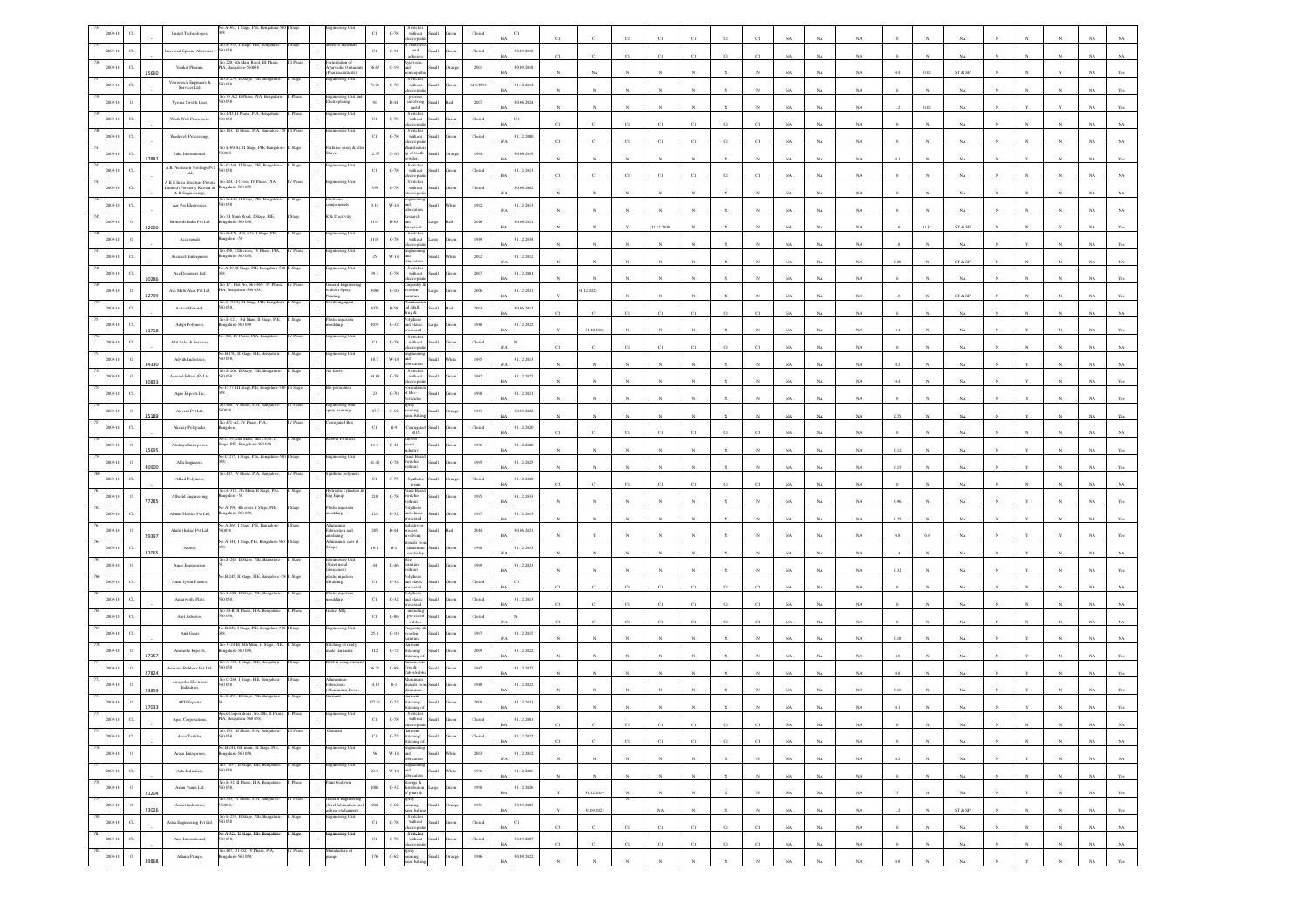|     |                             |       | A-367.1<br>United Technologies,                                                       |                                                          |           |                                                                       |               | without<br>$G-78$                                                                                                                            |       |                         |                           |              |                |                                |             |              |                       |                 |             |             |             |             |              |                                                                 |              |              |              |                            |                |
|-----|-----------------------------|-------|---------------------------------------------------------------------------------------|----------------------------------------------------------|-----------|-----------------------------------------------------------------------|---------------|----------------------------------------------------------------------------------------------------------------------------------------------|-------|-------------------------|---------------------------|--------------|----------------|--------------------------------|-------------|--------------|-----------------------|-----------------|-------------|-------------|-------------|-------------|--------------|-----------------------------------------------------------------|--------------|--------------|--------------|----------------------------|----------------|
|     | $_{\rm{CL}}$                |       | Universal Special Abresvier<br>0.58                                                   | No.B-355, I Stage, PIE, Bengali                          |           |                                                                       | $_{\rm Cl}$   | f Adhes<br>$G-91$<br>and<br>adhesiy.                                                                                                         |       | Closed                  | 0.09.2018<br>RA           |              | $\mathcal{C}1$ | C1                             | C1          | C1           | CI                    |                 |             | NA          | NA          |             |              |                                                                 |              |              |              |                            |                |
|     | $_{\rm{CL}}$                |       | Venkat Pharma,                                                                        | 3.220, 6th Main Raod,<br>PIA, Bangalore-560058           |           | lation of<br>$\mathbf{I}$<br>urvedic Ointm<br>maceuticals)            | 56.67         | $0-19$<br>ht<br>Hom                                                                                                                          |       | 2001                    | 0.09.2018<br><b>BA</b>    |              | $_{\rm NA}$    |                                |             |              |                       |                 |             | NA          | $_{\rm NA}$ | 04          | 0.02         | ${\rm ST}$ & ${\rm SP}$                                         |              |              |              |                            |                |
|     |                             |       | Vibromech Engineers $\&$<br>058<br>Services Ltd,                                      | io.B-259, II Stage, PIE, Bengalur                        |           | ineering Unit                                                         | 71.26         | Switches<br>without<br>$_{\mathrm{G-78}}$                                                                                                    |       | 1/11/1996               | .12.2012                  |              |                |                                |             |              |                       |                 |             |             |             |             |              |                                                                 |              |              |              |                            |                |
|     |                             |       | Vyoma Switch Gear,<br>0.58                                                            | 33 A/2 II Phas                                           |           | gineering Uni<br>stroplating                                          | 91            | lectropla<br>process<br>involving<br>R-44                                                                                                    |       | 2007                    | 0.06.2024                 |              |                |                                |             |              |                       |                 |             | NA          | $_{\rm NA}$ |             |              | NA                                                              |              |              |              |                            |                |
|     |                             |       | Wash Well Proce<br>058                                                                | io.17D, II Phase, PIA, Bengaluru                         |           | gineering Unit                                                        | $_{\rm C1}$   | metal<br>Switches<br>without<br>$G-78$                                                                                                       |       | $\operatorname{Closed}$ | RA                        |              |                |                                |             |              |                       |                 | NA          | NA          | NA          | 1.2         | 002          | NA.                                                             |              |              |              |                            |                |
|     |                             |       | Washwell Processings,                                                                 | 143. III Phase, PL                                       |           |                                                                       | $_{\rm C1}$   | tropi<br>Switches<br>without<br>$\,$ G-78 $\,$                                                                                               |       | Closed                  | 1.12.2000                 |              | C1             | $\overline{c}$                 |             | C1           | C1                    |                 |             | NA          | NA.         |             |              | NA                                                              |              |              |              |                            |                |
|     | C1                          |       | Yaka International<br>8200                                                            | No.B-69(A), Il Stage, PIE, Bangalo                       |           | erfume spray & a                                                      | 12.57         | ectrophi<br>anufactu<br>$0-10$<br>ag of tooth<br>ыl                                                                                          |       | 1994                    | WA                        | C1           | C1             | C1                             | C1          | C1           | C1                    | CI              |             | $_{\rm NA}$ | NA          |             |              | NA                                                              |              |              |              |                            |                |
|     |                             | 17882 | 058                                                                                   | No.C-145, II Stage, PIE, Bengalur                        |           | gineering Uni                                                         |               | wder.<br>Switches                                                                                                                            |       |                         | 0.06.2019                 |              |                |                                |             |              |                       |                 |             | NA          | NA          |             |              | NA                                                              |              |              |              |                            |                |
|     | $_{\rm{CL}}$                |       | ${\bf A.B. Precision~Tools} {\bf Pvt} \\ {\bf LId},$<br>A K E Infra Structure Private | No.424, II Cross, IV Phase, PIA,<br> engalaru-560 058    |           | ering Un                                                              | $_{\rm C1}$   | $G-78$<br>$% \left\vert \left( \mathbf{1}_{\mathbf{1}}\right) \right\rangle$ without<br>sil<br>tropis<br>Switches<br>without                 |       | ${\it Closed}$          | 1.12.2013<br><b>BA</b>    |              | C1             |                                | C1          | C1           | C1                    |                 |             | NA          | $_{\rm NA}$ |             |              |                                                                 |              |              |              |                            |                |
|     | C1                          |       | Limited (Formerly Known as<br>A.K.Engineering),                                       | Vo.D-430, II Stage, PIE, Bengaluru                       |           | extronic                                                              | 339           | $G-78$<br>lectropla                                                                                                                          |       | Closed                  | 0.06.2002<br>WA           |              |                |                                |             |              |                       |                 |             | NA          | NA          |             |              | NA                                                              |              |              |              |                            |                |
|     | C1                          |       | Aar Pee Electronics,<br>0058                                                          | Vo.3,I Main Road, I Stage, PIE,                          |           | <i>sponenets</i><br>& D activity                                      | $9.14\,$      | W-14<br>ht<br>ocardi                                                                                                                         |       | 1992                    | 1.12.2013<br>WA           |              |                |                                |             |              |                       |                 |             | NA          | $_{\rm NA}$ |             |              | $_{\rm NA}$                                                     |              |              |              |                            |                |
|     | $\circ$                     | 32000 | Bioneeds India Pvt Ltd                                                                | galaru-560 058,<br>o.D-425, 424, 423 II Stage, PIE,      |           | ineering Uni                                                          | $1115\,$      | $R-83$<br>ht<br>Switche                                                                                                                      |       | 2016                    | 0.06.2021<br><b>BA</b>    |              |                |                                | 31.12.2100  |              |                       |                 |             | NA          | $_{\rm NA}$ |             | 0.32         | ${\hbox{\footnotesize\rm ST}}$ & ${\hbox{\footnotesize\rm SP}}$ |              |              |              |                            |                |
|     | $\circ$                     |       | Accuspirals<br>galore - 58                                                            | io.450, 12th cross, I                                    |           |                                                                       | 1118          | $G-78$<br>without<br>ane.<br>ctropla                                                                                                         |       | 1989                    | 1.12.2034<br><b>BA</b>    |              |                |                                |             |              |                       |                 |             | NA          | NA          | 1.8         |              | NA.                                                             |              |              |              |                            |                |
|     | C1                          |       | Accutech Enterprises,                                                                 | galaru-560 058,                                          |           | eering Un                                                             | 25            | $_{\rm W\text{-}14}$<br>hm<br><b>Ban</b>                                                                                                     |       | 2002                    | 1.12.2012<br>wa           |              |                |                                |             |              |                       |                 |             | NA          | $_{\rm NA}$ | $0.28\,$    |              | ST & SP                                                         |              |              |              |                            |                |
|     | $_{\rm{CL}}$                | 10286 | Ace Designers Ltd,                                                                    | No.A-49, II Stage, PIE, Bengaluru-                       |           | gineering Uni                                                         | 39.3          | Switches<br>without<br>$G-78$<br>lectropla                                                                                                   |       | $2007\,$                | 1.12.2001<br>BA           |              |                |                                |             |              |                       |                 |             | NA          | NA          |             |              | NA                                                              |              |              |              |                            |                |
|     | $\circ$                     | 12799 | Ace Multi Axes Pvt Ltd,                                                               | 17, Plot No, 46<br>PIA, Bengaluru-560 058,               |           | teral Engin<br>without Spray                                          | 3090          | arpentry<br>$_{\mathrm{G-10}}$<br>rooden                                                                                                     |       | 2006                    | 1.12.2021<br><b>BA</b>    |              | 122025         |                                |             |              |                       |                 | NA          | NA          | NA          | 1.8         |              | ST & SP                                                         |              |              |              |                            |                |
|     |                             |       | Active Microtek,<br>058                                                               | io.B-70(A), II Stage, PIE, Bengal                        |           | izing ager                                                            | $1078\,$      | $\mathbb{R}\text{-}\mathbb{S}\mathbb{S}$<br>cal (Bulk<br>drug &                                                                              |       | $2003\,$                | (06, 2012)<br>BA          | $_{\rm Cl}$  | C1             |                                | C1          | C1           | C1                    |                 |             | NA          | $_{\rm NA}$ |             |              | $_{\rm NA}$                                                     |              |              |              |                            |                |
|     | $\alpha$                    |       | Adept Polymers,                                                                       | io.B-121. 3rd Main. II<br>galaru-560 058                 |           | astic inject<br>oulding                                               | 1078          | $_{\mathrm{G-32}}$<br>nd plastic                                                                                                             |       | 1988                    | 1.12.2022<br><b>BA</b>    |              | 31.12.2016     |                                |             |              |                       |                 | NA          | $_{\rm NA}$ | NA          | 0.4         |              | NA                                                              |              |              |              |                            |                |
|     |                             |       | Adit Sales & Services                                                                 | 302, IV Phase, PIA, Bangal                               |           | jiteering Uni                                                         | $_{\rm C1}$   | Switches<br>without<br>$G-78$                                                                                                                |       | Closed                  | WA                        | C1           | C1             | C1                             | C1          | C1           | C1                    | C1              | NA          | $_{\rm NA}$ | $_{\rm NA}$ |             |              | NA                                                              |              |              |              |                            |                |
|     |                             |       | Advith Industries,<br>058                                                             | Vo.B-150, II Stage, PIE, Benga                           |           | teering Ur                                                            | 18.7          | $W-14$<br>ыĪ                                                                                                                                 |       | 1995                    | 1.12.2013                 |              |                |                                |             |              |                       |                 |             |             |             | 0.2         |              | $_{\rm NA}$                                                     |              |              |              |                            |                |
|     | $\circ$                     | 34330 | Aerosol Filters (P) Ltd,<br>058                                                       | No.B-200, II Stage, PIE, Bengala                         |           |                                                                       | 44.83         | Switches<br>without<br>$\,$ G-78 $\,$                                                                                                        |       | $1982\,$                | 1.12.2022                 |              |                |                                |             |              |                       |                 |             | $_{\rm NA}$ | $_{\rm NA}$ |             |              |                                                                 |              |              |              |                            |                |
|     | C1                          | 30833 | Agro Exports Inc.                                                                     | o.C-77, III Stage, PIE, Bengaluru-                       |           |                                                                       | 23            | ectropla<br>$G-70$<br>of Bio-                                                                                                                |       | 1998                    | BA<br>1.12.2021           |              |                |                                |             |              |                       |                 |             | NA          | NA          |             |              |                                                                 |              |              |              |                            |                |
|     |                             |       | Airvent Pvt Ltd,<br>058,                                                              | No.460, IV Phase, PIA, Bangalos                          |           | incering with<br>ary painting                                         | 107.5         | icide<br>$0.62\,$<br>ainting,<br>aint bakin                                                                                                  |       | $1983\,$                | <b>BA</b><br>(09.2022)    |              |                |                                |             |              |                       |                 |             | NA          | $_{\rm NA}$ |             |              | NA                                                              |              |              |              |                            |                |
|     | $\alpha$                    | 35189 | Akshay Polypacks,                                                                     | o.471-A2, IV Phase, PL                                   |           | rugated Be                                                            | $_{\rm C1}$   | $\mathbb{G}\mathcal{A}$                                                                                                                      |       | Closed                  | <b>BA</b><br>1.12.2020    |              |                |                                |             |              |                       |                 |             | NA          | $_{\rm NA}$ | 0.75        |              | $_{\rm NA}$                                                     |              |              |              |                            |                |
|     | $\Omega$                    |       | Akshaya Enterprises                                                                   | C-59, 2nd Main, 2nd Cross<br>age, PIE, Bengaluru-560 058 |           |                                                                       | $11.9\,$      | BOX<br>$_{\mathrm{G-}41}$                                                                                                                    |       | 1996                    | RA<br>1.12.2020           |              | C1             | C1                             | C1          | $_{\rm CI}$  | C1                    |                 |             | NA          | NA          |             |              | NA.                                                             |              |              |              |                            |                |
|     |                             | 569   | Alfa Engineers,                                                                       | io.C-275, I Stage, PIE, Be                               |           | teering Uni                                                           | 41.42         | oods<br>1dustry<br>anel Boa<br>$\,$ G-78 $\,$                                                                                                |       | 1995                    | <b>BA</b><br>.12.2025     |              |                |                                |             |              |                       |                 |             | NA          | $_{\rm NA}$ | 0.12        |              | $_{\rm NA}$                                                     |              |              |              |                            |                |
|     | $\alpha$                    | 10900 | Allied Polymers,                                                                      | .407, IV Phase, PL                                       |           |                                                                       | C1            | witches<br>rithout<br>0.75                                                                                                                   |       |                         | <b>BA</b><br>1.12.2008    |              |                |                                |             |              |                       |                 |             | $_{\rm NA}$ | NA          | 0.15        |              | NA                                                              |              |              |              |                            |                |
|     |                             |       |                                                                                       | No.B-312, 7th Main, II Stage, PII                        |           | draulic cyli                                                          |               | Synthetic<br>ыl<br>ercins<br>anel Boar                                                                                                       |       | Closed                  | RA                        |              | C1             | $^{c}$ 1                       |             | C1           | C1                    |                 |             | NA          | NA          |             |              | NA                                                              |              |              |              |                            |                |
|     |                             | 77285 | Allweld Engineering,<br>galore-58<br>0.A-196, 4th ct                                  |                                                          |           | ng Equip                                                              | 210           | $G-78$<br>witches                                                                                                                            |       | 1995                    | 1.12.2033<br><b>BA</b>    |              |                |                                |             |              |                       |                 |             | NA          | $_{\rm NA}$ | 0.9         |              |                                                                 |              |              |              |                            |                |
|     |                             |       | Alman Plastics Pvt Ltd,                                                               | galaru-560 058,<br>40.A-369, I Stage, PIE, Banga         |           | lding                                                                 | $121\,$       | $_{\mathrm{G-32}}$<br>nd plastic<br>essed<br>ustry o                                                                                         |       | $1997\,$                | .12.2013                  |              |                |                                |             |              |                       |                 |             | NA          | NA          | 0.25        |              | NA                                                              |              |              |              |                            |                |
|     |                             | 1939  | Alufit (India) Pvt Ltd,<br>058                                                        | io.A-146, I Stage,PIE, Beng                              |           | Fabrication and<br>dizing<br>luminum caps &                           | 285           | $R-44$<br>acess<br>rolving<br>nsils fr                                                                                                       |       | 2014                    | 0.06.2021                 |              |                |                                |             |              |                       |                 |             | NA          | NA          | 0.8         |              | NA.                                                             |              |              |              |                            |                |
|     | $_{\rm{CL}}$                | 32065 | Alutop,                                                                               | Vo.B-245, II Stage, PIE, B                               |           | raps                                                                  | 16.1          | $_{\mathrm{G-1}}$<br>ircles by                                                                                                               |       | 1990                    | 12.2013<br>WA             |              |                |                                |             |              |                       |                 |             | $_{\rm NA}$ | $_{\rm NA}$ | 1.4         |              | $_{\rm NA}$                                                     |              |              |              |                            |                |
|     |                             |       | Amar Engineering,                                                                     | o.B-245, II Stage, PIE, Bangai                           |           | Sheet metal<br>brication)<br>stic injection                           | $44\,$        | $_{\mathrm{G-46}}$<br>miture<br>ithout                                                                                                       |       | 1999                    | .12.2023<br>BA            |              |                |                                |             |              |                       |                 | NA          | $_{\rm NA}$ | NA          | 0.32        |              | NA                                                              |              |              |              |                            |                |
|     | $\sigma$                    |       | Amar Jyothi Plastics,                                                                 | Vo.B-189, II Stage, PIE, Bengalar                        |           | seibluol<br>lastic injection                                          | $_{\rm C1}$   | $_{\rm{G-32}}$<br>and plastic<br><b>SSAT</b><br>olythene                                                                                     |       | Closed                  |                           |              | C1             | C1                             | CI          | C1           | C1                    |                 |             | NA          | $_{\rm NA}$ |             |              | NA                                                              |              |              |              |                            |                |
|     | C1                          |       | Amarjyothi Plast,                                                                     |                                                          |           | $\cdot$ dding                                                         | $\mathbb{C}1$ | $G-32$<br>nd plastic<br>sll                                                                                                                  |       | ${\it Closed}$          | 1.12.2013<br><b>BA</b>    |              |                |                                |             | C1           |                       |                 |             | NA          | $_{\rm NA}$ |             |              |                                                                 |              |              |              |                            |                |
|     | C1                          |       | Anil Asbestos,<br>058.                                                                | 34-B, II Phase, PIA, Bengal                              |           | ket Mfg                                                               | $_{\rm Cl}$   | including<br>pre-cured<br>$G-86$<br>rubber                                                                                                   |       | Closed                  | <b>WA</b>                 | C1           | C1             | C1                             | C1          | C1           | C1                    |                 |             | NA          | NA          |             |              | NA.                                                             |              |              |              |                            |                |
|     | C1                          |       | Anil Gears                                                                            | io.B-229, I Stage, PIE,                                  |           |                                                                       | $25.1\,$      | ooden<br>$G-10$<br>mitun                                                                                                                     |       | 1997                    | 1.12.2015<br>WA           |              |                |                                |             |              |                       |                 |             | NA          | $_{\rm NA}$ | 0.18        |              | $_{\rm NA}$                                                     |              |              |              |                            |                |
|     |                             | 17157 | Animode Exports,                                                                      | Vo.V-24(B), 6th Main, II Stage, PIE,                     |           | titching of ready<br>1ade Garments                                    | $112\,$       | Garment<br>Stitching/<br>Hitching of<br>$_{\mathrm{G-72}}$                                                                                   |       | 2009                    | 1.12.2022<br><b>BA</b>    |              |                |                                |             |              |                       |                 |             | NA          | NA          | 4.8         |              | NA                                                              |              |              |              |                            |                |
|     |                             | 27824 | Anssons Rubbers Pvt Ltd.<br>058                                                       | o.A-358, I Stage, PIE, I                                 |           |                                                                       | 36.21         | yre &<br>$G-98$<br><b>Desimi</b>                                                                                                             |       | 1987                    | 1.12.2027<br><b>BA</b>    |              |                |                                |             |              |                       |                 |             | NA          | NA          | 0.8         |              | NA.                                                             |              |              |              |                            |                |
|     |                             |       | Anugraha Electronic<br>Indsutries,<br>058                                             | o.C-269, I Stage, PIE, B                                 |           | bricators<br>Jominium D                                               | 14.18         | $G-1$<br>ensils fro                                                                                                                          |       | $1988\,$                | 1.12.2022                 |              |                |                                |             |              |                       |                 |             | NA          | NA          | 0.1         |              |                                                                 |              |              |              |                            |                |
|     |                             | 17033 | APD Exports,                                                                          | Vo.B-291, II Stage, PIE, Bangalo                         |           |                                                                       | 177.31        | iarment<br>titching/<br>$G-72$<br>itching                                                                                                    |       | $2000\,$                | .12.2021                  |              |                |                                |             |              |                       |                 |             |             |             |             |              |                                                                 |              |              |              |                            |                |
|     |                             |       | Apex Corporations                                                                     |                                                          |           |                                                                       |               | Switche<br>$G-78$<br>without<br>electroplatin                                                                                                |       | Closed                  | 12.2001<br><b>BA</b>      |              | C1             | C1                             |             | C1           | C1.                   | C1              | NA          | NA.         | <b>NA</b>   |             | N            | <b>NA</b>                                                       | N            | $\mathbf{N}$ |              | NA 1                       | NA 1           |
|     | $_{\mathrm{CL}}$<br>2009-10 |       | Apex Textiles,<br>560 058                                                             | No.233, III Phase, PIA, Bengaluru-                       | III Phase | arment                                                                | $_{\rm C1}$   | Garment<br>Stitching/<br>Stitching of<br>$\operatorname{G-72}$<br><b>Illami</b>                                                              |       | ${\bf Closed}$          | 31.12.2022<br>$_{\rm BA}$ |              | $_{\rm C1}$    | $_{\rm C1}$                    | $_{\rm C1}$ | $_{\rm C1}$  | $_{\rm C1}$           | $_{\rm C1}$     | $_{\rm NA}$ | $_{\rm NA}$ |             |             |              |                                                                 |              | $_{\rm N}$   |              |                            | $_{\rm NA}$    |
|     | $\,$ $\,$<br>2009-10        |       | Arasu Enterprises,                                                                    | No.B-241, 6th main, 11 Stage, PIE,<br>Bengalaru-560 058, | II Stage  | gineering Unit<br>$\mathbf{I}$                                        | $56\,$        | Engineering<br>W-14 and<br>Small                                                                                                             | Vhite | $2003\,$                | 31.12.2012<br>$_{\rm WA}$ | $_{\rm C1}$  | $_{\rm N}$     | $_{\rm N}$                     |             | $_{\rm N}$   | $_{\rm N}$            | $_{\mathrm{N}}$ | $_{\rm NA}$ | NA          | $_{\rm NA}$ | 0.2         | $_{\rm N}$   | $_{\rm NA}$                                                     |              | Y            | $\mathbb{N}$ | $_{\rm NA}$<br>$_{\rm NA}$ | $_{\rm NA}$    |
|     | $_{\rm CL}$<br>2009-10      |       | Arfa Industries,<br>560 058                                                           | No. 103 , II Stage, PIE, Bengaluru-                      | II Stage  | ngineering Unit<br>$\mathbf{I}$                                       | 23.8          | fabrication<br>$\begin{tabular}{ll} \bf \textit{Engineering} \\ \textit{W-14} & \textit{and} \\ \textit{fabrication} \end{tabular}$<br>Small | Vhite | 1996                    | 31.12.2006                | N            |                |                                | N           |              |                       |                 |             |             | NA          |             |              | $_{\rm NA}$                                                     | N            |              |              |                            |                |
| 778 | $\,$ 0<br>$2009 - 10$       |       | Asian Paints Ltd,<br>560 058,                                                         | No.B-32, II Phase, PIA, Bengaluru-                       | II Phase  | ant Godown                                                            | $1008\,$      | Large                                                                                                                                        | ireen | 1998                    | $_{\rm BA}$<br>31.12.2026 | $\mathbf N$  | ${\bf N}$      | $_{\rm N}$                     | $_{\rm N}$  | $_{\rm N}$   | $_{\rm N}$            | $_{\rm N}$      | $_{\rm NA}$ | $_{\rm NA}$ | $_{\rm NA}$ | $\circ$     | $_{\rm N}$   | $_{\rm NA}$                                                     | $_{\rm N}$   | $\mathbb{N}$ | $_{\rm N}$   | $_{\rm NA}$                | $\mathbf{Yes}$ |
| 779 | $\,$ o<br>2009-10           | 21204 | Asmet Industries,<br>0058,                                                            | No.503, IV Phase, PIA, Bangalore-                        | IV Phase  | <b>General Engineering</b><br>(Steel fabrication such<br>$\mathbf{I}$ | $202\,$       | Spray<br>painting,<br>paint baking,<br>$0 - 62$<br><b>Ham</b>                                                                                | hunge | $1981\,$                | $_{\rm BA}$<br>30.09.2023 |              | 31.12.2019     | $\mathbf{N}$<br>$\overline{N}$ | $_{\rm N}$  | $_{\rm N}$   | $_{\rm N}$            | $_{\rm N}$      | $_{\rm NA}$ | $_{\rm NA}$ | $_{\rm NA}$ |             | $\mathbf N$  | $_{\rm NA}$                                                     |              | Y            | $_{\rm N}$   | $_{\rm NA}$                | $\mathbf{Yes}$ |
|     | $_{\rm CL}$<br>2009-10      | 23026 | Astra Engineering Pvt Ltd,<br>560 058                                                 | Vo.B-253, II Stage, PIE, Bengaluru-                      | Stage     | as heat exchangers,<br>gineering Unit<br>$\mathbf{I}$                 | $_{\rm{Cl}}$  | Switches<br>$G-78$<br>without<br><b>Illami</b>                                                                                               | een   | ${\it Closed}$          | BA                        | $\mathbf{v}$ | 30.09.2023     |                                | NA          | $_{\rm N}$   | $_{\rm N}$            | $_{\rm N}$      | NA          | NA          | NA          | 1.2         | $\mathbf{N}$ | ST & SP                                                         | $\mathbf{N}$ | $\mathbf{N}$ | $\mathbf{N}$ | NA                         | Yes            |
| 781 | $_{\mathrm{CL}}$<br>2009-10 |       | Atec International,<br>0.058,                                                         | io.A-322, II Stage, PIE, Bengaluru-                      | II Stage  | ngineering Unit<br>$\mathbf{1}$                                       | $_{\rm C1}$   | ectrophat<br>Switches<br>without<br>electroplatin<br>$\operatorname{G-78}$<br>llan                                                           |       | $\operatorname{Closed}$ | $_{\rm BA}$<br>30.09.2007 | $_{\rm C1}$  | C1             | C1                             | $_{\rm C1}$ | $_{\rm C1}$  | $_{\rm C1}$           | $_{\rm C1}$     | $_{\rm NA}$ | $_{\rm NA}$ | $_{\rm NA}$ |             | $\sim$       | $_{\rm NA}$                                                     |              |              | $\mathbf{N}$ | $_{\rm NA}$                | $_{\rm NA}$    |
|     | $\,$ $\,$                   |       |                                                                                       | No.487, D1-D2, IV Phase, PIA,<br>Bengalaru-560 058,      | IV Phase  | Manufacture of<br>pumps<br>$\mathbf{1}$                               | $176\,$       | Spray<br>painting,<br>$0 - 62$                                                                                                               |       | 1986                    | $_{\rm BA}$<br>30.09.2022 | $_{\rm C1}$  | $_{\rm C1}$    | $_{\rm C1}$                    | $_{\rm C1}$ | $_{\rm C1}$  | $_{\rm C1}$           | $_{\rm C1}$     | $_{\rm NA}$ | $_{\rm NA}$ | $_{\rm NA}$ | $\,$ 0 $\,$ | $_{\rm N}$   | $_{\rm NA}$                                                     |              | $_{\rm N}$   | $_{\rm N}$   | $_{\rm NA}$                | $_{\rm NA}$    |
|     | 2009-10                     |       | Atlanta Pumps,                                                                        |                                                          |           |                                                                       |               | <b>Ilum</b><br>paint baking                                                                                                                  |       |                         | <b>BA</b>                 |              | $_{\rm N}$     |                                |             | $\mathbf{N}$ | $\boldsymbol{\kappa}$ |                 | NA          | NA          | NA          | 0.8         |              | NA                                                              |              |              | $_{\rm N}$   | NA                         | Yes            |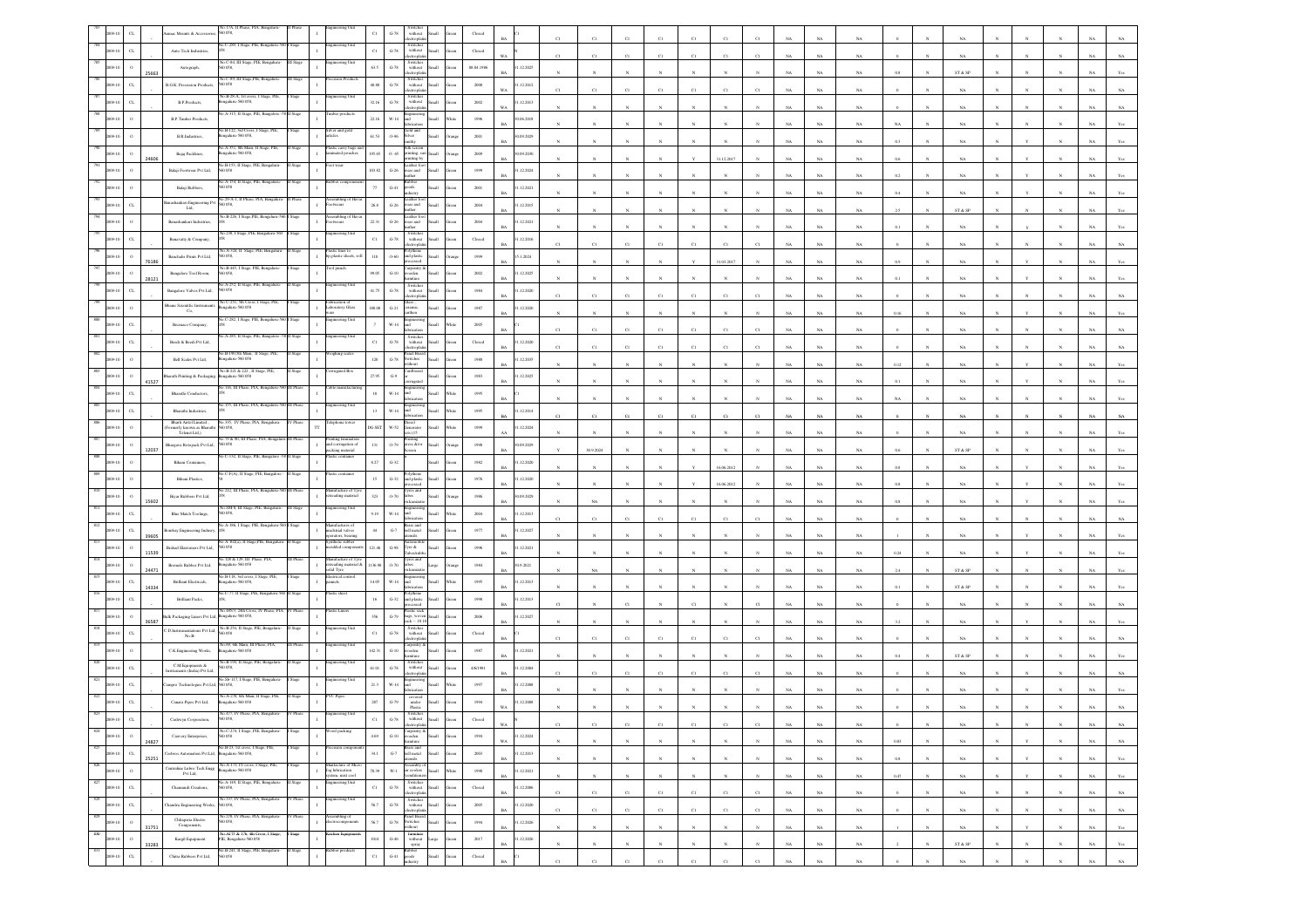|                                         |                                                                               | 0.058                                                                                                                                                                      |          |                                                                                                 | $_{\rm C1}$    | $G-78$                  | without<br>electroplati                                                                                                |                                 |                         |                           |              |            |                       |              |              |                |              |             |             |             |                |              |                              |              |              |              |             |                |
|-----------------------------------------|-------------------------------------------------------------------------------|----------------------------------------------------------------------------------------------------------------------------------------------------------------------------|----------|-------------------------------------------------------------------------------------------------|----------------|-------------------------|------------------------------------------------------------------------------------------------------------------------|---------------------------------|-------------------------|---------------------------|--------------|------------|-----------------------|--------------|--------------|----------------|--------------|-------------|-------------|-------------|----------------|--------------|------------------------------|--------------|--------------|--------------|-------------|----------------|
|                                         | Auto Tech Industries,                                                         | No.C-289, I Stage, PIE, Bengaluru-3                                                                                                                                        |          |                                                                                                 | $_{\rm{C1}}$   | $\mbox{G-78}$           | Switches<br>without<br>ectropha                                                                                        | Small                           | $\operatorname{Closed}$ |                           |              |            |                       |              | C1           |                |              |             | NA          |             |                |              |                              |              |              |              |             |                |
|                                         | Autograph,                                                                    | 0.058                                                                                                                                                                      |          |                                                                                                 | 63.5           | $\,$ G-78 $\,$          | Switches<br>without                                                                                                    | Small                           | 08.04.1986              | 1.12.2025                 |              |            |                       |              |              |                |              |             |             |             |                |              |                              |              |              |              |             |                |
|                                         | <b>B.G.K.</b> Precission Product                                              | No.C-89, III Stage,PIE, Benga<br>0 O.S8                                                                                                                                    |          |                                                                                                 | 48.88          | $\mbox{G-}78$           | monte<br>Switcher<br>$% \left\vert \left( \mathbf{1}_{\mathbf{1}}\right) \right\rangle$ without                        |                                 | $2000\,$                | .12.2012                  |              |            |                       |              |              |                |              |             | NA          | NA          |                |              | ST & SP                      |              |              |              |             |                |
|                                         | B.P.Products,                                                                 | io.B-28-A. 1st cross. I Stage, PIE<br>ngaluru-560 058,                                                                                                                     |          |                                                                                                 | 32.16          | $\,$ G-78 $\,$          | ctroph<br>Switches<br>without                                                                                          |                                 | $2002\,$                | 1.12.2013                 |              |            |                       |              |              | C1             |              |             | NA          | NA          |                |              | NA                           |              |              |              |             |                |
|                                         |                                                                               | A-315, Il Stage, PIE, Bangal                                                                                                                                               |          | ber produc                                                                                      |                |                         | ctroph                                                                                                                 |                                 |                         | WA.                       |              |            |                       |              |              |                |              |             | NA          | NA          |                |              | NA                           |              |              |              |             |                |
|                                         | <b>B.P.Timber Products</b>                                                    | 40.B-122, 3rd Cross, I Stage, PIE                                                                                                                                          |          | Iver and gold                                                                                   | 22.16          | $W-14$                  | ind<br>Gold and                                                                                                        |                                 | 1996                    | 0.06.2018                 |              |            |                       |              |              |                |              |             | NA          | $_{\rm NA}$ | NA             |              | $_{\rm NA}$                  |              |              |              |             |                |
|                                         | B.R.Industries,                                                               | igalaru-560 058,<br>40.A-351, 8th Main, II Stage, PIE                                                                                                                      |          | icles<br>astic carry bags                                                                       | 61.53          | 0.96                    | ilver<br>Silk screen                                                                                                   |                                 | $2001\,$                | 1.09.2029                 |              |            |                       |              |              |                |              |             | $_{\rm NA}$ | $_{\rm NA}$ |                |              | $_{\rm NA}$                  |              |              |              |             |                |
| 24606                                   | Bajaj Packlines,                                                              | ngalaru-560 058<br>o.B-153, II Stage,                                                                                                                                      |          | inated pouches<br>wear                                                                          | 195.65         | $0 - 65$                | vrinting, sari<br>vrinting by<br>ather fo                                                                              | <b>Small</b>                    | 2009                    | 0.09.2030                 |              |            |                       |              |              | 31.12.2017     |              |             | NA          | NA          |                |              |                              |              |              |              |             |                |
|                                         | Balaji Footwear Pvt Ltd,                                                      | 60058                                                                                                                                                                      |          |                                                                                                 | 103.82         | $G-26$                  | wear and                                                                                                               | Small                           | 1999                    | 1.12.2024<br>RA           |              |            |                       |              |              |                |              |             | NA          | $_{\rm NA}$ |                |              | NA                           |              |              |              |             |                |
|                                         | Balaji Rubbers,                                                               | o.A-154, II Stage, PIE, Be<br>0.58                                                                                                                                         |          |                                                                                                 | $\gamma\gamma$ | $_{\mathrm{G-}41}$      | shoo                                                                                                                   |                                 | $2001\,$                | .12.2021                  |              |            |                       |              |              |                |              |             | NA          | $_{\rm NA}$ |                |              | $_{\rm NA}$                  |              |              |              |             |                |
|                                         | tashankari Engineering Pv<br>Lad,                                             | 29-A-1, II Phase<br>D 058,                                                                                                                                                 |          | mbling o                                                                                        | $26.8\,$       | $\,$ G-26 $\,$          | Leather fo<br>wear and<br>abor.                                                                                        |                                 | 2004                    | 1.12.2015                 |              |            |                       |              |              |                |              |             | NA          | NA          |                |              | ST & SP                      |              |              |              |             |                |
|                                         | Banashankari Industries,                                                      | o.B-226, I Stage,PIE, I                                                                                                                                                    |          | twears                                                                                          | $22.31\,$      | $\,$ G-26 $\,$          | vear and                                                                                                               | <b>Iliam</b>                    | $\,2004$                | 1.12.2021                 |              |            |                       |              |              |                |              |             | NA          | $_{\rm NA}$ | 0.1            |              | $_{\rm NA}$                  |              |              |              |             |                |
|                                         | Banavaty & Company,                                                           | 40.238, I Stage, PIE, Bengaluru-56                                                                                                                                         |          | eering Un                                                                                       | $_{\rm C1}$    | $\operatorname{G-78}$   | Switches<br>without<br>ctroph                                                                                          |                                 | $\operatorname{Closed}$ | .12.2016                  | C1           | CI         | C1                    |              | C1           | $_{\rm CI}$    |              |             | NA          | NA          |                |              | NA                           |              |              |              |             |                |
| 6186                                    | Banchalis Prints Pvt Ltd,                                                     | A-324, II Stan<br>0058.                                                                                                                                                    |          | lastic liner to<br>p.plastic sheets, rol                                                        | $110\,$        | $0 - 60$                | and plastic<br>.<br>Sed                                                                                                | Iliami                          | 1999                    | 15.1.2024                 |              |            |                       |              |              | 31.03.2017     |              |             | NA          | NA          |                |              |                              |              |              |              |             |                |
|                                         | Bangalore Tool Room,                                                          | No.B-445, I Stage, PIE, Beng<br>0058                                                                                                                                       |          | doug loc                                                                                        | 99.05          | $G-10$                  | Carpentry &<br>wooden                                                                                                  |                                 | 2002                    | .12.2025                  |              |            |                       |              |              |                |              |             |             |             |                |              |                              |              |              |              |             |                |
| 28121                                   | Bangalore Valves Pvt Ltd,                                                     | A-252 II Star<br>0 O.S8                                                                                                                                                    |          |                                                                                                 | 41.75          | $\operatorname{G-78}$   | Switches<br>without                                                                                                    |                                 | $1984\,$                | <b>BA</b><br>.12.2020     |              |            |                       |              |              |                |              |             | NA          | $_{\rm NA}$ |                |              |                              |              |              |              |             |                |
|                                         | <b>Shanu Scientific Instrumer</b>                                             | No C-251, 5th Cross, I Stage, PIE,<br>ngalaru-560 058                                                                                                                      |          | Fabrication of<br>Laboratory Glass                                                              | 188.08         | $G-21$                  | eramic.                                                                                                                |                                 | 1987                    | 1.12.2020                 | C1           | C1         |                       |              | C1           | CI             | CI           |             | NA          | NA          |                |              | NA                           |              |              |              |             |                |
|                                         | Co.<br>Becmaco Company,                                                       | 40.C-282, I Stage, PIE, Bengaluru-56                                                                                                                                       |          | ngineering Unit                                                                                 |                | $_{\rm W\text{-}14}$    | arthen<br>ыĪ                                                                                                           |                                 | $2005\,$                |                           |              |            |                       |              |              |                |              |             | NA          | $_{\rm NA}$ | 0.16           |              |                              |              |              |              |             |                |
|                                         | Beedi & Beedi Pvt Ltd,                                                        | A-285, II Stage, PIE, Bang                                                                                                                                                 |          | teering Un                                                                                      |                |                         | Switches<br>without                                                                                                    |                                 |                         |                           | C1           | C1         | C1                    |              | C1           | $_{\rm CI}$    | $_{\rm CI}$  |             | $_{\rm NA}$ | $_{\rm NA}$ |                |              | NA                           |              |              |              |             |                |
|                                         |                                                                               | .<br>B-190,5th Man,                                                                                                                                                        |          | thing sea                                                                                       | $_{\rm C1}$    | $\mbox{G-78}$           | ectrophi<br>anel Boa                                                                                                   | llam                            | Closed                  | 1.12.2020<br><b>BA</b>    | C1           | C1         | $_{\rm C1}$           | C1           | $_{\rm C1}$  | C1             | C1           | NA.         | $_{\rm NA}$ | $_{\rm NA}$ |                |              | $_{\rm NA}$                  |              |              |              |             |                |
|                                         | Bell Scales Pvt Ltd,                                                          | ngalaru-560 058<br>No.B-221 & 222, II Stage,                                                                                                                               |          | rugated Bo                                                                                      | 120            | $G-78$                  | switches<br><b>Mont</b><br>ardboan                                                                                     | Iliam                           | 1980                    | 1.12.2035                 |              |            |                       |              |              |                |              |             | NA          | $_{\rm NA}$ | 0.12           |              | NA                           |              |              |              |             |                |
| 41527                                   | harath Printing & Packaging,                                                  | ngalaru-560 05<br>116, III Phase, PIA, Ber                                                                                                                                 |          |                                                                                                 | 27.95          | $\mathbb{G}\mathscr{G}$ |                                                                                                                        | <b>Iku</b>                      | 1983                    | 1.12.2025                 |              |            |                       |              |              |                |              |             | NA          | NA          |                |              |                              |              |              |              |             |                |
| $\alpha$                                | Bharathi Conductors,                                                          | 155, III Phase, PL/                                                                                                                                                        |          | ering Un                                                                                        | $10\,$         | $W-14$                  |                                                                                                                        | <b>Ham</b>                      | 1995                    |                           |              |            |                       |              |              |                |              |             | NA          | NA          |                |              |                              |              |              |              |             |                |
|                                         | Bharathi Industries,<br>Rharti Airtel Limited                                 |                                                                                                                                                                            |          |                                                                                                 | 13             | $W-14$                  |                                                                                                                        |                                 | 1995                    | 1.12.2014                 | C1           | C1         |                       |              | $^{c}$ 1     | CI             |              |             | NA          | $_{\rm NA}$ |                |              | $_{\rm NA}$                  |              |              |              |             |                |
|                                         | cemerly known as Bharath<br>Telenet Ltd.)                                     | No.335, IV Phase, PIA, Bengaluru                                                                                                                                           |          | phone tow                                                                                       | $DG$ $\rm SET$ | $_{\rm W\text{-}52}$    | Diesel<br>Generator<br>iets (15                                                                                        |                                 | 1999                    | .12.2024                  |              |            |                       |              |              |                |              |             | NA          | NA          |                |              | NA                           |              |              |              |             |                |
| 12037                                   | Shargava Rotopack Pvt Ltd,                                                    | .79 & 80, III Phas<br>0058                                                                                                                                                 |          | nting lamin<br>and corrugation of<br>packing material                                           | $131\,$        | $0 - 79$                | Printing<br>press &/or                                                                                                 | llum                            | 1990                    | 1.09.2029<br>RA           |              | 30.9.2024  |                       |              |              |                |              |             | NA          | NA          | 0.6            |              | ST & SP                      |              |              |              |             |                |
|                                         | Bihani Containers,                                                            | C-132, II Stage, PIE, Bang                                                                                                                                                 |          |                                                                                                 | $8.27\,$       | $\textrm{G-}32$         |                                                                                                                        |                                 | $1982\,$                | .12.2020                  |              |            |                       |              |              | 16.06.2012     |              |             | NA          | $_{\rm NA}$ |                |              | NA                           |              |              |              |             |                |
|                                         | Bhani Plastics,                                                               | C-F(A), II Sta                                                                                                                                                             |          |                                                                                                 | $15\,$         | $_{\mathrm{G-32}}$      | nd plasti                                                                                                              |                                 | 1976                    | 1.12.2020                 |              |            |                       |              |              | 16.06.2013     |              |             | NA          | NA          |                |              |                              |              |              |              |             |                |
| 15602                                   | Biyar Rubbers Pvt Ltd,                                                        | 212, III Phase, PIA, Benga                                                                                                                                                 |          | nufacture of Tyr<br>reading material                                                            | 323            | $0 - 70$                | yres and<br>ubes                                                                                                       |                                 | 1986                    | 1.09.2029<br>RA           |              | NA         |                       |              |              |                |              |             | NA          | $_{\rm NA}$ | 0.8            |              |                              |              |              |              |             |                |
|                                         | Blue Match Toolings,                                                          | 40.SM-8, III Stage, PIE, Benga<br>0058                                                                                                                                     |          | ineering Uni                                                                                    | 9.19           | $_{\rm W\text{-}14}$    |                                                                                                                        |                                 | $2004\,$                | .12.2013                  |              |            |                       |              |              |                |              |             |             |             |                |              |                              |              |              |              |             |                |
|                                         | mbay Engineering Indusry                                                      | o.A-186, I Stage, PIE, Benga                                                                                                                                               |          | lanufactures of<br>udstrial valves                                                              | $44\,$         | $\mbox{G-7}$            | Brass and<br>bell metal                                                                                                |                                 | $1977\,$                | 1.12.2027                 | C1           | C1         |                       |              |              | CI             |              |             | NA          | $_{\rm NA}$ |                |              | NA                           |              |              |              |             |                |
| 39605                                   | Brahad Elastomers Pvt Ltd,                                                    | o.A-102(a), II Stage, PIE, Beng<br>0058                                                                                                                                    |          | rators, bearing<br>thetic rubber<br>oulded compone                                              | 121.46         | $\,$ G-98 $\,$          | sils<br>Tyre &                                                                                                         |                                 | 1996                    | 1.12.2021                 |              |            |                       |              |              |                |              |             | NA          | NA          |                |              | NA                           |              |              |              |             |                |
| 11539                                   | Bremels Rubber Pvt Ltd,                                                       | 0.128 & 129, III Phase, PL<br>galaru-560 05                                                                                                                                |          | nufacture of T                                                                                  | 136.98         | $0 - 70$                | vres an                                                                                                                | arge                            | $1984\,$                | RA<br>1.9.2021            |              |            |                       |              |              |                |              |             | NA          | $_{\rm NA}$ | $0.24\,$       |              | $_{\rm NA}$                  |              |              |              |             |                |
| 24471<br>$\alpha$                       | Brilliant Electricals,                                                        | 40.B-118, 3rd cross, I Stage, PIE,<br>ngalaru-560 058                                                                                                                      |          | retreading material &<br>iolid Tyre<br>ectrical c<br>nel                                        | 14.05          | W-14                    | <br>and                                                                                                                |                                 | 1995                    | 1.12.2013                 |              | NA         |                       |              |              |                |              |             | $_{\rm NA}$ | $_{\rm NA}$ | $^{2.4}$       |              | ${\rm ST}$ & ${\rm SP}$      |              |              |              |             |                |
| 14334<br>CL                             | <b>Brilliant Packs</b> ,                                                      | C-77, II Stage, PIE, Benj                                                                                                                                                  |          |                                                                                                 | $16\,$         | $G-32$                  |                                                                                                                        | Small                           |                         | 1.12.2013                 |              |            |                       |              |              |                |              |             | NA          | NA          |                |              | ST & SP                      |              |              |              |             |                |
|                                         |                                                                               | 40.485/3, 24th Cross, P                                                                                                                                                    |          | tic Liner                                                                                       |                |                         | and plastic<br>astic sac                                                                                               |                                 | 1998                    | RA                        |              |            |                       |              | $\mathbf{C}$ |                |              |             | NA          | $_{\rm NA}$ |                |              | NA                           |              |              |              |             |                |
| 36587                                   | K Packaging Liners Pvt Ltd,                                                   | ngaluru-560 058,<br>io. B-254, II Stag                                                                                                                                     |          |                                                                                                 | 356            | $\operatorname{G-79}$   | hasta saw<br>bags, woven<br>tack -- 10 10                                                                              | Small                           | $\,2006$                | .12.2027                  |              |            |                       |              |              |                |              |             | NA          | NA          |                |              | NA                           |              |              |              |             |                |
| $\alpha$                                | D.Instrumentations Pvt Ltd,<br>No.B-                                          | D 0.58<br>io.69, 6th Main, III Phase, PIA,                                                                                                                                 |          | neering Unit                                                                                    | $_{\rm Cl}$    | $\,$ G-78 $\,$          | Switches<br>without<br>rorda<br>larpentry &                                                                            | Iliam2                          | Closed                  |                           |              |            |                       |              | $^{c}$ 1     |                |              |             | NA          | NA.         |                |              | NA                           |              |              |              |             |                |
|                                         | C.K.Engineering Works,                                                        | galaru-560 058<br>io.B-194, Il Stage, P                                                                                                                                    |          |                                                                                                 | 142.31         | $_{\mathrm{G-10}}$      | ooden<br>Switche                                                                                                       |                                 | $1987\,$                | 1.12.2021                 |              |            |                       |              |              |                |              |             | NA          | NA          |                |              | ST & SP                      |              |              |              |             |                |
| $\alpha$                                | C.M.Equipments &<br>sstruments (India) Pvt Ltd,                               | 058                                                                                                                                                                        |          |                                                                                                 | $61.01\,$      | $\operatorname{G-78}$   | with out<br>ctrordi                                                                                                    |                                 | 4/6/1981                | .12.2004                  | C1           | CI         |                       |              | C1           | CI             |              |             | $_{\rm NA}$ | NA          |                |              | NA                           |              |              |              |             |                |
| $\alpha$                                | ampro Technologies Pvt Ltd, 560 058,                                          | No.Sb-117, I Stage, PIE, Benga                                                                                                                                             |          | eering Un                                                                                       | 21.3           | $W-14$                  |                                                                                                                        |                                 | 1997                    | 1.12.2008                 |              |            |                       |              |              |                |              |             |             |             |                |              |                              |              |              |              |             |                |
| $\sigma$                                | Canara Pipes Pvt Ltd,                                                         | No.A-278, 6th Main, II Stage, PIE<br>ngalaru-560 058                                                                                                                       |          | VC Pipes                                                                                        | 287            | $G-79$                  | $\text{under}$<br>Plastic                                                                                              |                                 | 1994                    | .12.2008                  |              |            |                       |              |              |                |              |             |             |             |                |              |                              |              |              |              |             |                |
|                                         | Cashwyn Corporation,                                                          | 45.477. IV PI                                                                                                                                                              |          |                                                                                                 | $_{\rm{Cl}}$   | $\mbox{G-}78$           | withou<br>lectrophat                                                                                                   |                                 |                         | <b>WA</b>                 |              |            |                       |              |              |                |              | NA          | NA          | NA          |                |              | NA                           |              |              |              | NA.         | NA             |
| 824<br>$\,$ 0<br>2009-10<br>24827       | Cauvery Enterprises,                                                          | No.C-274, I Stage, PIE, Bengaluru-                                                                                                                                         | Stage    | od packing                                                                                      | $4.69$         | $\operatorname{G-}10$   | Carpentry &<br>wooden<br>furniture                                                                                     | $\operatorname{Small}$<br>ireen | 1994                    | 31.12.2024<br>$_{\rm WA}$ |              | $_{\rm N}$ | $\mathbf{N}$          | $_{\rm N}$   | $_{\rm N}$   | $\mathbf{N}$   | $\mathbf{N}$ | $_{\rm NA}$ | $_{\rm NA}$ | $_{\rm NA}$ | $\rm 0.03$     | $\mathbf{N}$ | $_{\rm NA}$                  | $\mathbf{N}$ | $\mathbf{v}$ | $\mathbf{N}$ | $_{\rm NA}$ | $_{\rm NA}$    |
| 825<br>$_{\rm{CL}}$<br>2009-10<br>25251 | Ceebros Automation Pvt Ltd., Bengaluru-560 058,                               | No.B-23, 1st cross, I Stage, PIE,                                                                                                                                          | Stage    | sion compe                                                                                      | $_{\rm 34.1}$  |                         | $\begin{tabular}{c} \bf{Brass and} \\ \bf{G-7} \hspace{1.5cm} bell metal \hspace{1.5cm} Small \\ \hline \end{tabular}$ | Green                           | $\,2003\,$              | 31.12.2013<br>$_{\rm BA}$ |              | $_{\rm N}$ | $_{\rm N}$            |              | $_{\rm N}$   | $\overline{N}$ |              | $_{\rm NA}$ | $_{\rm NA}$ | $_{\rm NA}$ | $0.8\,$        |              | $_{\rm NA}$                  |              |              |              | $_{\rm NA}$ | $\mathbf{Yes}$ |
| 826<br>$\,$ 0 $\,$<br>2009-10           |                                                                               | $\begin{tabular}{l c c} \textbf{Centraline Lubro Tech Eng8} & \textbf{No.A-173, IV cross, I Supge, PIE,}\\ \textbf{Pvt Ltd,} & \textbf{Bengaluru-560 058}\\ \end{tabular}$ | Stage    | Manfacture of Micro<br>fog lubrication<br>system, mist cool<br>Engineering Unit<br>$\mathbf{I}$ | 70.39          |                         | $\begin{tabular}{ll} \bf{Assembl} & of \\ \hline \bf{W-1} & air cooles & Small \\ \hline \end{tabular}$                | White                           | 1990                    | 1.12.2021                 |              |            |                       |              |              |                |              |             |             |             |                |              |                              |              |              |              |             |                |
| $827\,$<br>$_{\rm CL}$<br>2009-10       | Chamundi Creations,                                                           | No.A-149, II Stage, PIE, Bengaluru-<br>560 058,                                                                                                                            | luge     |                                                                                                 | $_{\rm C1}$    | $\,$ G-78 $\,$          | $\begin{tabular}{l} Switches \\ without \\ electroplation \\ \end{tabular}$                                            | Green                           | ${\bf Closed}$          | <b>BA</b><br>31.12.2006   |              | N          | N                     | $_{\rm N}$   | N            | N              | $\mathbb{N}$ | NA          | $_{\rm NA}$ | NA          | 0.47           |              | NA                           |              | Y            | $_{\rm N}$   | NA          | Yes            |
| 828<br>$_{\rm{CL}}$<br>09-10            | Chandru Engineering Works,                                                    | No.337, IV Phase, PIA, Bengaluru-560 058,                                                                                                                                  | IV Phase | ingineering Unit                                                                                | $56.7\,$       | $\,$ G-78 $\,$          | Switches<br>without                                                                                                    | Small<br>ireen                  | $2005\,$                | <b>BA</b><br>1.12.2020    | $_{\rm C1}$  | C1         | $_{\rm C1}$           | $_{\rm C1}$  | $_{\rm C1}$  | $_{\rm C1}$    | $_{\rm C1}$  | $_{\rm NA}$ | $_{\rm NA}$ | $_{\rm NA}$ |                |              | $_{\rm NA}$                  |              | $\mathbb{N}$ | $_{\rm N}$   | $_{\rm NA}$ | $_{\rm NA}$    |
| 829<br>$\,$ 0 $\,$<br>2009-10           | $\begin{minipage}{.4\linewidth} Chhaperia Electro Components, \end{minipage}$ | No. 270, IV Phase, PIA, Bengaluru<br>560 058,                                                                                                                              | / Phase  | ssembling of<br>lectrocomponents<br>$\mathbf{I}$                                                | 56.7           |                         | electroplatin<br>Panel Board<br>G-78 Switches                                                                          | Small<br>Green                  | 1994                    | BA<br>1.12.2026           | C1           | C1         | $_{\rm C1}$           | C1           | C1           | $_{\rm C1}$    | $_{\rm C1}$  | $_{\rm NA}$ | $_{\rm NA}$ | $_{\rm NA}$ |                |              | $_{\rm NA}$                  |              |              |              | $_{\rm NA}$ | $_{\rm NA}$    |
| 31751<br>830<br>$\,$ 0<br>2009-10       | Kargil Equipment                                                              | No. A175 & 176, 4th Cross, I Stage,                                                                                                                                        | I Stage  | itchen Equipmen                                                                                 | $_{\rm 1014}$  | $_{\mathrm{G-46}}$      | vithout                                                                                                                |                                 | $2017\,$                | <b>BA</b><br>1.12.2026    | $\mathbf{N}$ | $_{\rm N}$ | $\boldsymbol{\kappa}$ | $\mathbf{N}$ | $_{\rm N}$   | $\mathbf{N}$   | $\mathbb{N}$ | NA          | $_{\rm NA}$ | $_{\rm NA}$ |                |              | NA                           |              | v            | $\mathbf{N}$ | NA          | Yes            |
| 33283<br>831                            |                                                                               | PIE, Bengaluru-560 058<br>No.B-241, II Stage, PIE, Bengalaru-                                                                                                              | II Stage | labber products                                                                                 |                |                         | fumiture<br>without Large<br>spray<br>Rubber<br>goods                                                                  |                                 |                         | <b>BA</b>                 | $_{N}$       | $_{\rm N}$ | $\mathbf{N}$          | $_{\rm N}$   | $\mathbf{N}$ | $\mathbf{N}$   | $_{\rm N}$   | $_{\rm NA}$ | $_{\rm NA}$ | $_{\rm NA}$ | $\overline{2}$ | $\mathbf{N}$ | $\text{ST} \ \& \ \text{SP}$ | $_{\rm N}$   | $\mathbb{N}$ | $_{\rm N}$   | $_{\rm NA}$ | $\mathbf{Yes}$ |
| $_{\rm{CL}}$                            | Chitra Rubbers Pvt Ltd,                                                       | 50 058                                                                                                                                                                     |          |                                                                                                 | $_{\rm{C1}}$   | $_{\mathrm{G-}41}$      | adustry                                                                                                                | Small                           | ${\it Closed}$          | <b>BA</b>                 | C1           | C1         | C1                    | C1           | $_{\rm CI}$  | $_{\rm CI}$    | C1           | NA          | NA          | NA          |                |              | NA                           |              |              |              | NA          | $_{\rm NA}$    |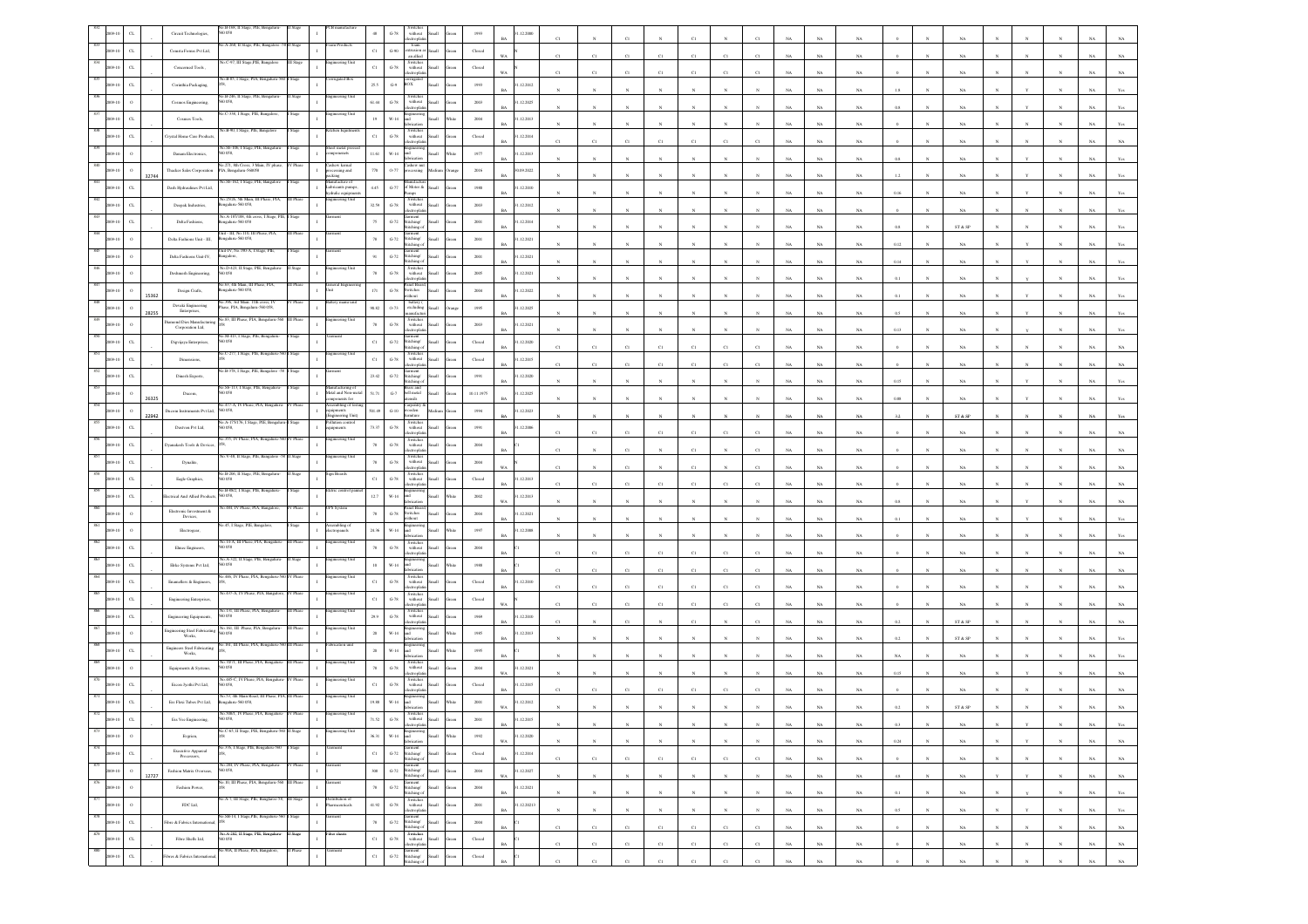|     |                          |       | .B-168.II<br>Circuit Technologies,                                                                                                                                                        |          |                                         |                     | $\,$ G-78 $\,$<br>$% \left\vert \left( \mathbf{1}_{\mathbf{1}}\right) \right\rangle$ without<br>ectropl                               |                | 1993                    | 12.2000                                  |              |             |                |              |              |             |             |             |             |             |             |            |                                                                 |              |              |              |             |                |
|-----|--------------------------|-------|-------------------------------------------------------------------------------------------------------------------------------------------------------------------------------------------|----------|-----------------------------------------|---------------------|---------------------------------------------------------------------------------------------------------------------------------------|----------------|-------------------------|------------------------------------------|--------------|-------------|----------------|--------------|--------------|-------------|-------------|-------------|-------------|-------------|-------------|------------|-----------------------------------------------------------------|--------------|--------------|--------------|-------------|----------------|
|     | $_{\rm{CL}}$             |       | A-268, Il Stage, PIE, Bangal<br>Comsta Forms Pvt Ltd,                                                                                                                                     |          |                                         | $_{\rm Cl}$         | foam<br>$_{\mathrm{G-90}}$<br>strusion:<br>ыl<br>an allied                                                                            |                | Closed                  |                                          |              |             | C1             | C1           | C1           | CI          |             |             | NA          | NA          |             |            |                                                                 |              |              |              |             |                |
|     | $_{\rm{CL}}$             |       | Concerned Tools                                                                                                                                                                           |          |                                         | $_{\rm Cl}$         | Switches<br>$G-78$<br>without<br><b>Ban</b><br>ctropi                                                                                 |                | $\operatorname{Closed}$ | WA                                       | C1           | C1          | C1             |              | C1           | C1          |             |             | NA          | $_{\rm NA}$ |             |            | NA                                                              |              |              |              |             |                |
|     |                          |       | éo.B-85, I Stage, PIA<br>Corinthia Packaging,                                                                                                                                             |          | rated Bo:                               | 25.5                | $\mathrm{G}\mathcal{A}$<br>юx                                                                                                         |                | $1993\,$                | .12.2012<br><b>BA</b>                    |              |             |                |              |              |             |             |             | NA          | NA          |             |            | NA                                                              |              |              |              |             |                |
|     |                          |       | B-246, II Stage<br>Cosmos Engineering<br>058.                                                                                                                                             |          | rmg t                                   | 61.44               | Switches<br>without<br>$G-78$<br>tronia                                                                                               |                | 2003                    | 1.12.2025<br>RA                          |              |             |                |              |              |             |             |             | NA          | NA          | 0.8         |            | NA                                                              |              |              |              |             |                |
|     |                          |       | C-338, I Stage, PIE, Bangalore<br>Cosmos Tools,                                                                                                                                           |          | ineering Unit                           |                     | $_{\rm W\text{-}14}$<br>ыĪ                                                                                                            |                | $2004\,$                | 1.12.2013<br><b>BA</b>                   |              |             |                |              |              |             |             |             | NA          | NA          |             |            |                                                                 |              |              |              |             |                |
|     |                          |       | o.B-90, I Stage, PIE, B<br>Tystal Home Care Product                                                                                                                                       |          |                                         | $_{\rm C1}$         | Switches<br>without<br>$_{\mathrm{G-78}}$<br>ectropi                                                                                  |                | Closed                  | 1.12.2014                                | C1           | C1          | C1             | CI           | $_{\rm C1}$  | $_{\rm CI}$ | CI          |             | NA          | NA          |             |            | NA                                                              |              |              |              |             |                |
|     |                          |       | Vo.Sb-106, I Stage, PIE, Bengaları<br>Danam Electronics,<br>0058.                                                                                                                         |          | heet metal pre<br>ponenets              | 11.61               | and<br>$W-14$                                                                                                                         |                | 1977                    | 1.12.2013                                |              |             |                |              |              |             |             |             | NA          | $_{\rm NA}$ |             |            | NA                                                              |              |              |              |             |                |
|     | $\circ$                  | 32744 | No.271, 8th Cross, 3 Main, IV phase<br>Thacker Sales Corporation<br>PIA, Bengaluru-560058                                                                                                 | Phase    | ashew kernal<br>ssing and<br>king       | $770\,$             | Cashew nut<br>$0 - 77$<br>cessing                                                                                                     |                | $2016\,$                | 0.09.2022<br><b>BA</b>                   |              |             |                |              |              |             |             |             | NA          | $_{\rm NA}$ |             |            |                                                                 |              |              |              |             |                |
|     | $_{\rm CL}$              |       | io. Sb-162, I Stage, PIE, Bangale<br>Dash Hydraulines Pvt Ltd,                                                                                                                            |          | ufacture of<br>Lubricants pumps         | 4.45                | $G-77$<br>of Motor &<br>ыll<br>mps                                                                                                    |                | 1980                    | 1.12.2010<br><b>BA</b>                   |              |             |                |              |              |             |             |             | NA          | NA          | 0.16        |            | NA                                                              |              |              |              |             |                |
|     | C1                       |       | io 25/26, 5th Mian, III Phase, PIA,<br>Deepak Industries,<br>sgalaru-560 058,                                                                                                             |          | dralic equipme<br>ineering Unit         | 32.59               | Switche<br>$G-78$<br>without<br>electroplat                                                                                           |                | 2003                    | 1.12.2012                                |              |             |                |              |              |             |             |             | NA          | $_{\rm NA}$ |             |            | $_{\rm NA}$                                                     |              |              |              |             |                |
|     | $_{\rm{CL}}$             |       | Vo.A-187/188, 4th cross, I<br>Stage, PI<br>Delta Fashions,<br>galaru-560 058                                                                                                              |          |                                         | 75                  | iarment<br>$G-72$<br>titching/<br>itching o                                                                                           |                | 2001                    | 1.12.2014<br><b>BA</b>                   |              |             |                |              |              |             |             |             | NA          | $_{\rm NA}$ | 0.8         |            | ${\hbox{\footnotesize\rm ST}}$ & ${\hbox{\footnotesize\rm SP}}$ |              |              |              |             |                |
|     | $\Omega$                 |       | hit - III, No.110, III Phase, PIA<br> cugalaru-560 058,<br>Delta Fashions Unit - III,                                                                                                     |          |                                         | $78\,$              | arment<br>\titching/<br>$G-72$<br>diching o                                                                                           |                | 2001                    | 1.12.2021<br><b>BA</b>                   |              |             |                |              |              |             |             |             | NA          | NA          | 0.12        |            | NA.                                                             |              |              |              |             |                |
|     |                          |       | iit-IV, No.190-A, I<br>Delta Fashions Unit-IV,<br>sgalore,                                                                                                                                |          |                                         | 91                  | micit<br>$\textrm{G-72}$<br>Stitching/<br>Stitching o<br>HH.                                                                          |                | $200\mathbf{l}$         | 1.12.2021<br>Rá                          |              |             |                |              |              |             |             |             | NA          | $_{\rm NA}$ | $\rm 0.14$  |            | NA                                                              |              |              |              |             |                |
|     |                          |       | No.D-423, II Stage, PIE, Bengalur<br>Deshmesh Engineering,                                                                                                                                |          | gineering Un                            | 78                  | Switches<br>without<br>$\,$ G-78 $\,$                                                                                                 |                | $2005\,$                | 1.12.2021                                |              |             |                |              |              |             |             |             |             |             |             |            |                                                                 |              |              |              |             |                |
|     | $\circ$                  |       | .63, 4th Main, II<br>Design Crafts,<br>ngalaru-560 058,                                                                                                                                   |          |                                         | 171                 | lectropla<br>$G-78$<br>Switches<br>ithout                                                                                             |                | 2004                    | BA<br>1.12.2022<br><b>BA</b>             |              |             |                |              |              |             |             | NA          | NA<br>NA    | NA<br>NA    | 0.1         |            | NA                                                              |              |              |              |             |                |
|     |                          | 15362 | 396, 3rd Main. 11th cross, IV<br>$\begin{minipage}{.4\linewidth} \textbf{Deval} \textbf{a} \textbf{ Engineering} \\ \textbf{Enterprises,} \end{minipage}$<br>ase, PIA, Bengaluru-560 058, |          |                                         | 0.82                | battery<br>excluding<br>nanufactu<br>0.73                                                                                             |                | 1995                    | .12.2025                                 |              |             |                |              |              |             |             |             |             |             |             |            |                                                                 |              |              |              |             |                |
|     |                          | 28255 | 40.83. III Phase, PIA, Be<br>mond Dies Manufacturi<br>Corporation Ltd,                                                                                                                    |          |                                         | $78\,$              | Switches<br>$\,$ G-78 $\,$<br>$% \left\vert \left( \mathbf{1}_{\mathbf{1}}\right) \right\rangle$ without                              |                | $2003\,$                | BA<br>1.12.2021                          |              |             |                |              |              |             |             |             | NA          | $_{\rm NA}$ |             |            | $_{\rm NA}$                                                     |              |              |              |             |                |
|     | $\alpha$                 |       | o.M-413, I Stage, PIE, Bengalur<br>Digvijaya Enterprises,<br>058                                                                                                                          |          |                                         | $_{\rm Cl}$         | ectrophi<br>Garment<br>Stitching/<br>Stitching o<br>$\operatorname{G-72}$                                                             |                | Closed                  | BA<br>1.12.2020                          |              |             |                |              |              |             |             | NA          | NA          | NA          | 0.13        |            | NA                                                              |              |              |              |             |                |
|     |                          |       | io.C-277, I Stage, PIE, Benga<br>Dimensions,                                                                                                                                              |          |                                         | $_{\rm C1}$         | Switche<br>$\,$ G-78 $\,$<br>$% \left\vert \left( \mathbf{1}_{\mathbf{1}}\right) \right\rangle$ without                               |                | $\rm Closed$            | <b>BA</b><br>1.12.2015                   | C1           | C1          | C1             | C1           | C1           | C1          | C1          | NA          | $_{\rm NA}$ | $_{\rm NA}$ |             |            | NA                                                              |              |              |              | NA          |                |
|     | $\alpha$                 |       | io.B-378, I Stage, PIE, Bang<br>Dinesh Exports,                                                                                                                                           |          |                                         | 23.42               | Garment<br>Stitching/<br>$_{\mathrm{G-72}}$                                                                                           |                | $1991\,$                | 1.12.2020                                | C1           | C1          | $_{\rm C1}$    | C1           | $_{\rm C1}$  | $_{\rm C1}$ | C1          |             | $_{\rm NA}$ | $_{\rm NA}$ |             |            | $_{\rm NA}$                                                     |              |              |              |             |                |
|     | $\Omega$                 |       | 40.Sb-113, I Stage, PIE, Benga<br>Ducom,<br>0058                                                                                                                                          |          | sufacturing of<br>Metal and Non-met     | 51.71               | titching o<br>Brass and<br>bell metal<br>$\mbox{G-7}$<br><b>Ham</b>                                                                   |                | $10.11.1975\,$          | <b>BA</b><br>1.12.2025                   |              |             |                |              |              |             |             |             | NA          | NA          | 0.15        |            |                                                                 |              |              |              |             |                |
|     | $\circ$                  | 26325 | io.477-A, IV Phase, PIA, Bengalu<br>Jacom Instruments Pvt Ltd<br>058,                                                                                                                     |          | nents for<br>embling of tes<br>uipments | 501.49              | larpentry<br>$_{\mathrm{G-10}}$<br>ooden                                                                                              |                | 1994                    | <b>BA</b><br>.12.2023                    |              |             |                |              |              |             |             |             | NA          | $_{\rm NA}$ | 0.88        |            | NA                                                              |              |              |              |             |                |
|     | C1                       | 22942 | o.A-175/176, I Stage, PIE, Bengal<br>Dustven Pvt Ltd,<br>058.                                                                                                                             |          | ineering Unit)<br>pments                | 73.37               | miture<br>Switches<br>without<br>$G-78$                                                                                               |                | 1991                    | BA<br>1.12.2006                          |              |             |                |              |              |             |             |             | $_{\rm NA}$ | $_{\rm NA}$ | 3.2         |            | ST & SP                                                         |              |              |              |             |                |
|     | $_{\rm{CL}}$             |       | 355, IV Phase, PIA, Be<br>yanakesh Tools & Device                                                                                                                                         |          | eering Uni                              | 78                  | ectronia<br>Switches<br>$G-78$<br>without<br>oll.                                                                                     |                | $\,2004$                | <b>BA</b>                                | C1           | C1          | C1             | C1           | $_{\rm CI}$  | C1          |             |             | NA          | NA          |             |            | NA                                                              |              |              |              |             |                |
|     | $\alpha$                 |       | io.V-48, II Stage, PIE, Ba<br>Dynalite,                                                                                                                                                   |          | ineering Uni                            | 78                  | $\frac{\text{cropia}}{\text{cropia}}$<br>Switches<br>without<br>$\,$ G-78 $\,$                                                        |                | $\,2004$                | <b>BA</b>                                | $_{\rm Cl}$  |             | $_{\rm C1}$    |              | C1           |             |             |             | $_{\rm NA}$ | $_{\rm NA}$ |             |            | $_{\rm NA}$                                                     |              |              |              |             |                |
|     | $_{\rm{CL}}$             |       | io.B-206, II Stage, PIE,<br>Eagle Graphics,<br>058                                                                                                                                        |          |                                         | $_{\rm C1}$         | lectropla<br>Switche<br>$G-78$<br>without                                                                                             |                | Closed                  | <b>WA</b><br>1.12.2013                   | C1           |             | CI             |              | $_{\rm C1}$  |             |             |             | $_{\rm NA}$ | NA          |             |            | NA                                                              |              |              |              |             |                |
|     | C1                       |       | No.B-88/2, I Stage, PIE, B<br>ctrical And Allied Produ<br>0058                                                                                                                            |          |                                         | $12.7\,$            | ctronia<br>$W-14$<br>ыĪ                                                                                                               |                | 2002                    | RA<br>1.12.2013                          |              |             | C1             |              | C1           | C1          |             |             | NA          | NA          |             |            |                                                                 |              |              |              |             |                |
|     |                          |       | 484. IV Pha<br>Electronic Investment &                                                                                                                                                    |          |                                         | $_{78}$             | anel Boa<br>$\,$ G-78 $\,$<br>witches                                                                                                 |                | $\,2004$                | WA<br>.12.2021                           |              |             |                |              |              |             |             |             | NA          | NA          |             |            |                                                                 |              |              |              |             |                |
|     |                          |       | Devices,<br>1.45, I Stage, PIE, Banga<br>Electrogear,                                                                                                                                     |          | embling of<br>ectropanels               | 24.36               | ithout<br>W-14<br>ht                                                                                                                  |                | 1997                    | 1.12.2008                                |              |             |                |              |              |             |             |             | NA          | NA          |             |            | NA                                                              |              |              |              |             |                |
|     | $\,$ CL                  |       | Vo.14-A, III Phase, PIA, Bengalur<br>Elmec Engineers,<br>1058                                                                                                                             |          | sineering Uni                           | $78\,$              | Switches<br>${\bf G}\mbox{-}78$<br>without                                                                                            |                | $2004\,$                |                                          |              |             |                |              |              |             |             |             | NA          | NA          |             |            | NA                                                              |              |              |              |             |                |
|     | $\alpha$                 |       | o.A-322, II Stage, PIE, B<br>Elrke Systems Pvt Ltd,<br>058                                                                                                                                |          |                                         | $10$                | troph<br>$_{\rm W\text{-}14}$<br>ht                                                                                                   |                | $1988\,$                |                                          | C1           | C1          | C1             | C1           | $_{\rm C1}$  | C1          |             |             | $_{\rm NA}$ | $_{\rm NA}$ |             |            | NA                                                              |              |              |              |             |                |
|     | C1                       |       | 1.446, IV Phase, PIA, Beng<br>Enamellers & Engineers,                                                                                                                                     |          | teering Uni                             | C1                  | Switches<br>without<br>$G-78$<br>sШ                                                                                                   |                | Closed                  | 1.12.2010                                | C1           | C1          | $_{\rm C1}$    | C1           | $_{\rm{Cl}}$ | C1          | CI          | NA          | $_{\rm NA}$ | NA          |             |            | NA                                                              |              |              |              |             |                |
|     | $_{\rm{CL}}$             |       | o.437-A, IV Phase, PIA, Bangalor<br>Engineering Enterprises,                                                                                                                              | V Phase  | gineering Uni                           | $_{\rm C1}$         | Switches<br>without<br>$G-78$<br>all.                                                                                                 |                | $\operatorname{Closed}$ |                                          |              | C1          | $\overline{c}$ | CI           | C1           | C1          |             |             | NA          | NA          |             |            | NA                                                              |              |              |              |             |                |
|     | $_{\rm CL}$              |       | 131, III Phase, PIA, Bengal<br>Engineering Equipments<br>058                                                                                                                              |          | teering Utti                            | 29.9                | tropi<br>Switches<br>without<br>$G-78$                                                                                                |                | $1969$                  | WA<br>1.12.2010                          |              |             |                | $\mathbf{C}$ | C1           |             |             |             | NA          | $_{\rm NA}$ |             |            |                                                                 |              |              |              |             |                |
|     | $\Omega$                 |       | .161, III Phase,<br>Engineering Steel Fabricatio<br>Works,<br>0058                                                                                                                        |          | ering Ut                                | $20 -$              | ectrophat<br>вā<br>W-14                                                                                                               |                | 1985                    | RA<br>1.12.2013                          | C1           |             | C1             |              | CI           |             |             |             | NA          | NA          | 0.2         |            | ST & SP                                                         |              |              |              |             |                |
|     | $_{\rm{CL}}$             |       | io.161, III Phase, PIA, Bengaluru-5<br><b>Engineers Steel Fabricating</b>                                                                                                                 |          | rication uni                            | $20\,$              | $_{\rm W\text{-}14}$<br>шĬ                                                                                                            |                | 1995                    | BA                                       |              |             |                |              |              |             |             |             | NA          | $_{\rm NA}$ | 0.2         |            | ST & SP                                                         |              |              |              |             |                |
|     | $\circ$                  |       | Works,<br>7071, III Phase, PIA, Benga<br>Equipments & Systems,                                                                                                                            |          | ineering Un                             | 78                  | Switche<br>$G-78$<br>without                                                                                                          |                | 2004                    | <b>BA</b><br>1.12.2021                   |              |             |                |              |              |             |             |             | NA          | NA          | NA          |            | NA                                                              |              |              |              |             |                |
|     | C1                       |       | 1.485-C, IV Phase, PIA, Beng<br>Escon Jyothi Pvt Ltd,<br>058                                                                                                                              |          | neering Unit                            | C1                  | ctronia<br>Switches<br>without<br>$G-78$                                                                                              |                | Closed                  | <b>WA</b><br>31.12.2015                  |              |             |                |              |              |             |             |             | NA          | NA          | 0.15        |            | NA.                                                             |              |              |              |             |                |
|     |                          |       | No.53, 4th Main Road, III Phase, PIA, III Phase<br>Ess Flexi Tubes Pvt Ltd,<br>sgalaru-560 058                                                                                            |          | gineering Uni                           |                     | $W-14$                                                                                                                                |                | $2001\,$                | 1.12.2012                                |              |             |                |              | C1           |             |             |             | NA          | $_{\rm NA}$ |             |            | NA                                                              |              |              |              |             |                |
|     |                          |       | Ess Vee Engineering,                                                                                                                                                                      |          |                                         |                     | Switche<br>$\mbox{G-78}$<br>without                                                                                                   |                | 2001                    | .12.2015                                 |              |             |                |              |              |             |             |             |             |             |             |            | ST & SI                                                         |              |              |              |             |                |
| 873 | $\,$ $\,$<br>2009-10     |       | No.C-65, II Stage, PIE, Bengaluru-560 II Stage<br>$\!$ Evgrica,                                                                                                                           |          | gineering Unit                          | $36.31\,$           | electroplatin<br>Engineering<br>and<br>fabrication<br>Small                                                                           |                | 1992                    | <b>BA</b><br>31.12.2020                  |              |             | N              |              |              |             |             | NA          | NA.         | NA.         | 0.3         | N          | NA                                                              | N            |              |              | NA 1        | Yes            |
| 874 | $_{\rm{CL}}$<br>2009-10  |       | No.376, I Stage, PIE, Bengaluru-560<br>Executive Appareal<br>Processors,                                                                                                                  | 1 Stage  | $\mathbf{I}$                            | $\mathbf{C}1$       | $_{\rm W\text{-}14}$<br>$\begin{tabular}{ll} \bf{Garnest} \\ \bf{G-72} & \bf{Stiching/} \\ & \bf{Stiching of} \end{tabular}$<br>Small | Vhite<br>ireen | ${\it Closed}$          | $_{\rm WA}$<br>31.12.2014                |              | $_{\rm N}$  | $\bar{N}$      |              | $_{\rm N}$   | $_{\rm N}$  | $_{\rm N}$  | $_{\rm NA}$ | $_{\rm NA}$ | $_{\rm NA}$ | $\,0.24$    |            | $_{\rm NA}$                                                     |              |              |              | $_{\rm NA}$ | $_{\rm NA}$    |
| 875 | $\,$ $\,$                |       | No.284, IV Phase, PIA, Bengaluru-<br>560 058,                                                                                                                                             | IV Phase | rment<br>$\mathbf{I}$                   |                     |                                                                                                                                       |                |                         | $_{\rm BA}$<br>31.12.2027                | C1           | C1          | C1             | $_{\rm C1}$  | C1           | C1          | $_{\rm Cl}$ | $_{\rm NA}$ | NA          | NA          | $\circ$     | $_{\rm N}$ | NA                                                              | N            | $\mathbb{N}$ | $_{\rm N}$   | $_{\rm NA}$ | $_{\rm NA}$    |
| 876 | $2009 - 10$<br>$\,$ 0    | 12727 | Fashion Matrix Overseas,<br>No.10, III Phase, PIA, Bengaluru-560 III Phase<br>Fashion Power,                                                                                              |          | ürment<br>$\mathbf{I}$                  | $308\,$             | $\begin{tabular}{ll} \bf{G} \emph{arment} \\ \bf{G-72} & \text{Stiching/} \\ & \text{Stiching of} \end{tabular}$<br>Small             | ireen          | $\,2004$<br>$\,2004$    | $_{\rm WA}$                              | $\mathbf N$  | $_{\rm N}$  | $_{\rm N}$     | $_{\rm N}$   | $_{\rm N}$   | $_{\rm N}$  | $_{\rm N}$  | $_{\rm NA}$ | $_{\rm NA}$ | $_{\rm NA}$ | $4.8\,$     | $_{\rm N}$ | $_{\rm NA}$                                                     | $\mathbf{Y}$ | Y            | $_{\rm N}$   | $_{\rm NA}$ | $_{\rm NA}$    |
| 877 | $2009 - 10$<br>$\,$ $\,$ |       | 40.A-7, III Stage, PIE, Banglaroe-58, III Stage<br>FDC Ltd,                                                                                                                               |          | Distribution of                         | $78\,$<br>$41.92\,$ | Garment<br>G-72 Stitching/<br>Stitching of<br><b>Ilum</b><br>Switches<br>without                                                      | ireen          |                         | 31.12.2021<br>$_{\rm BA}$<br>31.12.20213 |              | $_{\rm N}$  | $_{\rm N}$     | $_{\rm N}$   | $_{\rm N}$   | $_{\rm N}$  | $_{\rm N}$  | $_{\rm NA}$ | $_{\rm NA}$ | $_{\rm NA}$ | $0.1\,$     |            | $_{\rm NA}$                                                     | $_{\rm N}$   | $\mathbf{Y}$ | $_{\rm N}$   | $_{\rm NA}$ | $\mathbf{Yes}$ |
| 878 | 2009-10                  |       | No.SB-14, I Stage,PIE, Bengaluru-560<br>Fibre & Fabrics International,                                                                                                                    | Stage    | nceuticals<br>$\mathbf{I}$              |                     | $G-78$<br><b>Ham</b><br>lectroplati<br>$\begin{tabular}{ll} \bf \textbf{Garnent} \\ \bf G-72 & \textbf{Stiching/} \\ \end{tabular}$   | ireen          | $2001\,$                | BA                                       | $\mathbf{N}$ | N           | $\mathbf{N}$   |              | $_{\rm N}$   | $_{\rm N}$  | $_{\rm N}$  | NA          | NA          | NA          | 0.5         | N          | NA                                                              | $\mathbf{N}$ | $\mathbf{v}$ | $_{\rm N}$   | NA          | Yes            |
| 879 | $_{\rm CL}$<br>2009-10   |       | No. A-282, II Stage, PIE, Bengaluru-                                                                                                                                                      | II Stage | iber sheets<br>$\mathbf{I}$             | $78\,$              | <b>Illens</b><br>Stitching of                                                                                                         | ireen          | $2004\,$                | $_{\rm BA}$                              | $_{\rm C1}$  | C1          | $_{\rm C1}$    | $_{\rm C1}$  | $_{\rm C1}$  | $_{\rm C1}$ | $_{\rm C1}$ | $_{\rm NA}$ | $_{\rm NA}$ | $_{\rm NA}$ |             | $_{\rm N}$ | $_{\rm NA}$                                                     |              |              | $\mathbf{N}$ | $_{\rm NA}$ | $_{\rm NA}$    |
|     | $_{\rm{CL}}$<br>2009-10  |       | Fibre Shells Ltd,<br>560 058<br>No.90A, Il Phase, PIA, Bangalore,                                                                                                                         | II Phase | <b>Jarment</b>                          | $_{\rm C1}$         | Switches<br>without<br>electroplatin<br>$\operatorname{G-78}$<br><b>Illam</b><br>Garment<br>Stitching/                                |                | $\operatorname{Closed}$ | $_{\rm BA}$                              | $_{\rm C1}$  | $_{\rm C1}$ | $_{\rm C1}$    | $_{\rm C1}$  | $_{\rm C1}$  | $_{\rm C1}$ | $_{\rm C1}$ | $_{\rm NA}$ | $_{\rm NA}$ | $_{\rm NA}$ | $\,$ 0 $\,$ | $_{\rm N}$ | $_{\rm NA}$                                                     |              | $_{\rm N}$   | $_{\rm N}$   | $_{\rm NA}$ | $_{\rm NA}$    |
|     | $_{\rm{CL}}$<br>2009-10  |       | Fibres & Fabrics Internation                                                                                                                                                              |          | $\mathbf{I}$                            | $_{\rm Cl}$         | $\operatorname{G-72}$<br><b>Illami</b><br>Stitching of                                                                                |                | ${\it Closed}$          | <b>BA</b>                                | C1           | C1          | C1             | C1           | $_{\rm C1}$  | C1          | $_{\rm Cl}$ | NA          | NA          | NA          |             |            | <b>NA</b>                                                       |              | $\mathbf{N}$ | $_{\rm N}$   | $_{\rm NA}$ | $_{\rm NA}$    |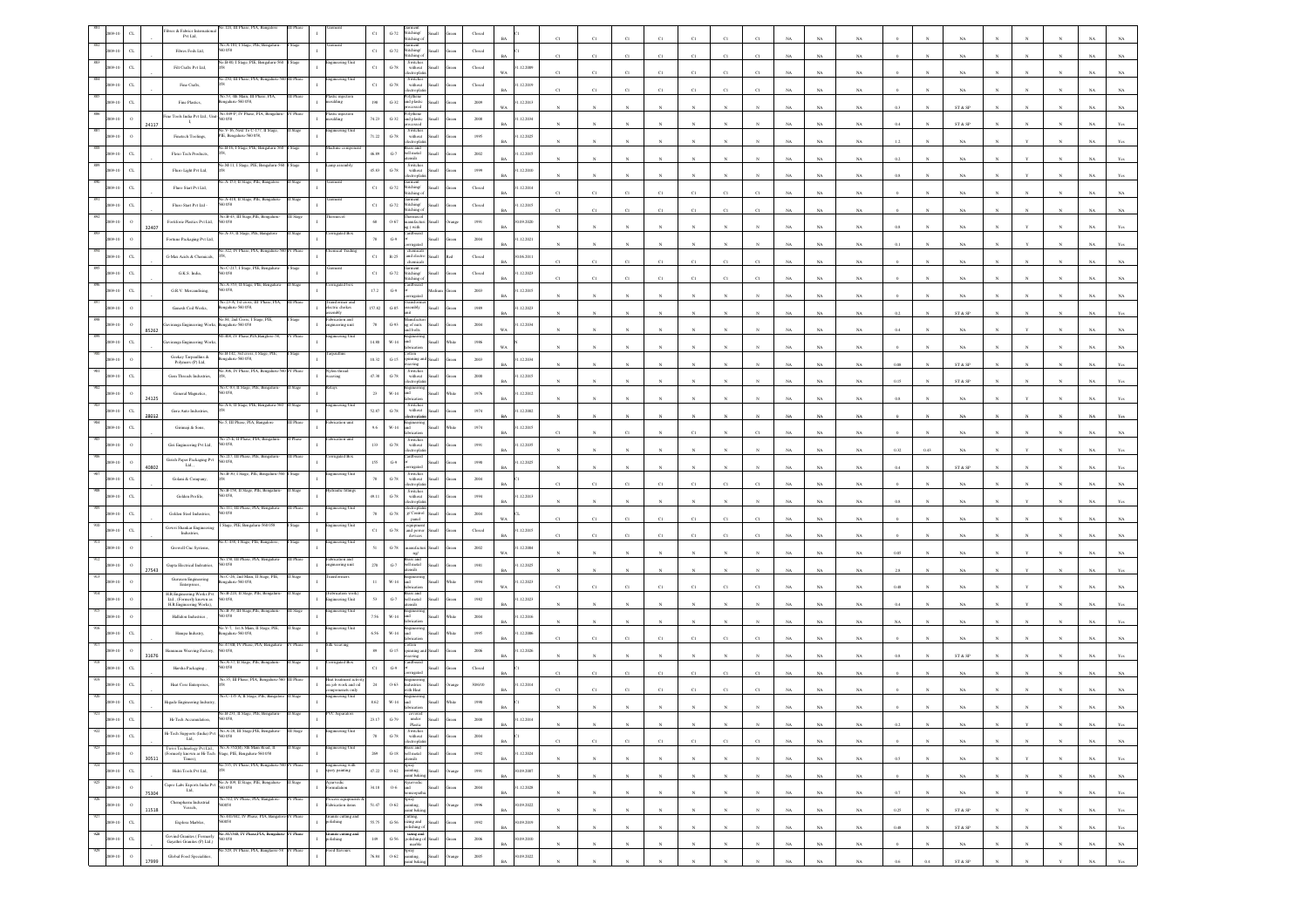|                |                             |       | o.124, III Ph<br>ibres & Fabrics Int<br>Pvt Ltd,                                                                                                                                                                 |           |                                                                 | $_{\mathrm{G-72}}$<br>oannem<br>Stitching/<br>Stitching o<br>$_{\rm C1}$                                                         |                  |                                                                                                         |                             |             |             |                  |              |              |                       |                 |             |             |             |          |              |                                                                 |              |              |              |             |                                  |
|----------------|-----------------------------|-------|------------------------------------------------------------------------------------------------------------------------------------------------------------------------------------------------------------------|-----------|-----------------------------------------------------------------|----------------------------------------------------------------------------------------------------------------------------------|------------------|---------------------------------------------------------------------------------------------------------|-----------------------------|-------------|-------------|------------------|--------------|--------------|-----------------------|-----------------|-------------|-------------|-------------|----------|--------------|-----------------------------------------------------------------|--------------|--------------|--------------|-------------|----------------------------------|
|                | $_{\rm{CL}}$                |       | io.A-181, I Stage, PIE, Bengaluru<br>Fibres Foils Ltd,<br>058                                                                                                                                                    |           |                                                                 | Garment<br>Stitching/<br>$_{\rm Cl}$<br>$G-72$<br>dichine o                                                                      | ыl               | Closed                                                                                                  |                             |             | $\Gamma$    | C1               | C1           | C1           | C1                    |                 |             | NA          | NA.         |          |              |                                                                 |              |              |              |             |                                  |
|                | $_{\rm CL}$                 |       | o.B-80, I Stage, PIE, I<br>Filt Crafts Pvt Ltd.                                                                                                                                                                  |           |                                                                 | Switches<br>$_{\rm C1}$<br>$G-78$<br>without                                                                                     | <b>Ban</b>       | $\operatorname{Closed}$                                                                                 | 1.12.2009<br>WA             | C1          | C1          | C1               | CI           | C1           | CI                    | CI              |             | NA          | $_{\rm NA}$ |          |              | NA                                                              |              |              |              |             |                                  |
|                |                             |       | 250, III Phase, PIA, Be<br>Fine Crafts,                                                                                                                                                                          |           | eering Uni                                                      | Switches<br>without<br>$_{\rm C1}$<br>$_{\mathrm{G-78}}$<br>lectropla                                                            |                  | $\operatorname*{Closed}% \left( \mathcal{M}\right) \equiv\operatorname*{Disc}\left( \mathcal{M}\right)$ | 12.2019<br>BA               | C1          | C1          | CI               | CI           | $_{\rm C1}$  | C1                    | CI              |             | NA          | $_{\rm NA}$ |          |              | NA                                                              |              |              |              |             |                                  |
|                |                             |       | .53, 4th Main, III<br>Fine Plastics<br>sgalaru-560 058,                                                                                                                                                          |           | istic injecti<br>antha                                          | $G-32$<br>198<br>and plastic<br><b>Cond</b>                                                                                      |                  | 2009                                                                                                    | 1.12.2013<br>W <sub>A</sub> |             |             |                  |              |              |                       |                 |             | NA          | NA          | 0.3      |              | ST & SP                                                         |              |              |              |             |                                  |
|                |                             | 24117 | No.449-P, IV Phase, PIA, Bengal<br>Fine Tools India Pvt Ltd., Unit-<br>0058<br>л.                                                                                                                                |           | lastic injection<br>oulding                                     | olythene<br>$74.23\,$<br>and plastic<br>means of<br>$G-32$                                                                       |                  | $2008\,$                                                                                                | 1.12.2034<br><b>BA</b>      |             |             |                  |              |              |                       |                 |             | NA          | $_{\rm NA}$ | 0.4      |              | ${\hbox{\footnotesize\rm ST}}$ & ${\hbox{\footnotesize\rm SP}}$ |              |              |              |             |                                  |
|                |                             |       | V-16, Next To C-177, II<br>Finetech Toolings,<br>IE, Bengalaru-560 058,                                                                                                                                          |           |                                                                 | Switches<br>without<br>71.22<br>$_{\mathrm{G-78}}$<br>ectrophi                                                                   |                  | 1995                                                                                                    | .12.2025                    |             |             |                  |              |              |                       |                 |             | NA          | NA          | 1.2      |              | NA                                                              |              |              |              |             |                                  |
|                |                             |       | No.B-16, I Stage, PIE, Bengaluru-56<br>Flexo Tech Products,                                                                                                                                                      |           |                                                                 | Brass and<br>bell metal<br>$\mbox{G-7}$<br>46.89<br>sliste                                                                       |                  | 2002                                                                                                    | 1.12.2015                   |             |             |                  |              |              |                       |                 |             | NA          | $_{\rm NA}$ |          |              | $_{\rm NA}$                                                     |              |              |              |             |                                  |
|                | $\alpha$                    |       | No.M-11, I Stage, PIE, Bengaluru-2<br>Fluro Light Pvt Ltd,                                                                                                                                                       |           |                                                                 | Switches<br>45.83<br>${\bf G}\mbox{-}78$<br>$% \left\vert \left( \mathbf{1}_{\mathbf{1}}\right) \right\rangle$ without<br>ctroph |                  | 1999                                                                                                    | 1.12.2010<br><b>BA</b>      |             |             |                  |              |              |                       |                 |             | NA          | $_{\rm NA}$ |          |              |                                                                 |              |              |              |             |                                  |
|                | $\sigma$                    |       | A-153, Il Stage, PIE, Banga<br>Fluro Start Pvt Ltd,                                                                                                                                                              |           |                                                                 | arment<br>\titching/<br>C1<br>$G-72$<br>titching o                                                                               |                  | Closed                                                                                                  | 1.12.2014<br><b>BA</b>      | C1          | C1          | CI               | CI           | C1           | CI                    |                 |             | NA          | NA          |          |              | NA                                                              |              |              |              |             |                                  |
|                | C1                          |       | 40.A-418, Il Stage, PIE, Bengalum<br>Fluro Start Pvt Ltd -<br>0.58                                                                                                                                               |           |                                                                 | micit<br>$_{\rm C1}$<br>$G-72$<br>Stitching/<br>titching                                                                         |                  | Closed                                                                                                  | 1.12.2015                   | C1          | $_{\rm C1}$ | $\overline{c}$   | C1           | C1           | $_{\rm C1}$           |                 |             | NA          | $_{\rm NA}$ |          |              | $_{\rm NA}$                                                     |              |              |              |             |                                  |
|                | $\mathbf{o}$                | 32407 | Vo.B-43, III Stage,PIE, Bengaluru<br>Fortiforie Plastics Pvt Ltd,                                                                                                                                                |           |                                                                 | hermoco<br>$68\,$<br>$0 - 67$<br>nanufactur<br>1g ( with                                                                         |                  | 1991                                                                                                    | 0.09.2020<br><b>BA</b>      |             |             |                  |              |              |                       |                 |             | $_{\rm NA}$ | $_{\rm NA}$ |          |              | NA                                                              |              |              |              |             |                                  |
|                | $\mathbf{o}$                |       | A-33, II Stage, PIE, Banga<br>Fortune Packaging Pvt Ltd,                                                                                                                                                         |           |                                                                 | $\mbox{G-9}$<br>$78\,$<br>rrugated                                                                                               |                  | 2004                                                                                                    | 1.12.2021<br><b>BA</b>      |             |             |                  |              |              |                       |                 |             | NA          | NA          |          |              | NA.                                                             |              |              |              |             |                                  |
|                | $_{\rm{CL}}$                |       | 322, IV Phase, PIA, E<br>G-Max Acids & Chemicals                                                                                                                                                                 |           |                                                                 | chemicals<br>$_{\rm C1}$<br>$\mathbb{R}\text{-}25$<br>and electro<br>chemicals                                                   | <b>Han</b><br>cί | Closed                                                                                                  | 0.06.2011<br>BA             | $_{\rm Cl}$ | $_{\rm C1}$ | C1               | C1           | C1           | C1                    | $\mathbf{C}$    |             | $_{\rm NA}$ | $_{\rm NA}$ |          |              | $_{\rm NA}$                                                     |              |              |              |             |                                  |
|                | $_{\rm{CL}}$                |       | No.C-217, I Stage, PIE, Beng<br>G.K.S. India,                                                                                                                                                                    |           |                                                                 | Garment<br>Stitching/<br>Stitching o<br>$_{\rm C1}$<br>$_{\mathrm{G-72}}$                                                        |                  | $\operatorname{Closed}$                                                                                 | 1.12.2023<br>BA             |             | CI          | CI               |              | C1           | CI                    |                 |             | NA          | NA          |          |              |                                                                 |              |              |              |             |                                  |
|                | $\sigma$                    |       | .A-353, II Stage<br>G.R.V. Mercandising,<br>0.58                                                                                                                                                                 |           |                                                                 | 17.2<br>$G-9$                                                                                                                    |                  | 2003                                                                                                    | 1.12.2015<br><b>BA</b>      |             |             |                  |              |              |                       |                 | NA          | NA          | NA          |          |              | NA.                                                             |              |              |              |             |                                  |
|                |                             |       | io.23-A, 1st cross, III Phase, PIA<br>Ganesh Coil Works,<br>galaru-560 058,                                                                                                                                      |           | sformer and<br>ectric chokes                                    | 157.82<br>$_{\mathrm{G-S5}}$<br>embly                                                                                            |                  | 1989                                                                                                    | 12.2023                     |             |             |                  |              |              |                       |                 |             |             |             | $_{0.2}$ |              |                                                                 |              |              |              |             |                                  |
|                |                             |       | io.84, 2nd Cross, I S<br>galaru-560 058<br>wiranga Engineering Worl                                                                                                                                              |           | eication and<br>neering unit                                    | $_{78}\,$<br>$\,$ G-93 $\,$<br>ag of nuts                                                                                        |                  | 2004                                                                                                    | BA<br>1.12.2034             |             |             |                  |              |              |                       |                 |             | NA          | $_{\rm NA}$ | 0.4      |              | ST & SP                                                         |              |              |              |             |                                  |
|                | $\sigma$                    | 85262 | 408, IV Phase, PIA, Banglore-58<br>viranga Engineering Worl                                                                                                                                                      |           | ineering Unit                                                   | ad bolts<br>14.80<br>$_{\rm W\text{-}14}$<br>ht                                                                                  |                  | 1986                                                                                                    | WA<br><b>WA</b>             |             |             |                  |              |              |                       |                 | NA          | NA          | NA          |          |              | NA                                                              |              |              |              | NA          |                                  |
|                |                             |       | io.B-142, 3rd cross, I Stage,<br>$\begin{array}{c} \mathrm{Geckay~Tarpaulins~\&}\\ \mathrm{Polymers~(P)~Lad}, \end{array}$<br>sgalaru-560 058,                                                                   |           |                                                                 | ston<br>10.32<br>$_{\mathrm{G-15}}$<br>nning ar                                                                                  |                  | $2003\,$                                                                                                | 1.12.2034                   |             |             |                  |              |              |                       |                 |             | $_{\rm NA}$ | $_{\rm NA}$ |          |              | NA                                                              |              |              |              |             |                                  |
|                | $\alpha$                    |       | 40.306. IV Phase, PIA, Bengaluru<br>Gem Threads Industries,                                                                                                                                                      |           | ke thread<br>aving                                              | Switches<br>without<br>47.38<br>$\,$ G-78 $\,$                                                                                   |                  | $2000\,$                                                                                                | 1.12.2015                   |             |             |                  |              |              |                       |                 |             | $_{\rm NA}$ | $_{\rm NA}$ | 0.08     |              | ST & SP                                                         |              |              |              |             |                                  |
|                | $\Omega$                    |       | io.C-83, II Stage, PIE, Bengaluru<br>General Magnetics,<br>0058                                                                                                                                                  |           |                                                                 | ectropla<br>$23\,$<br>$W-14$<br>ht                                                                                               |                  | 1976                                                                                                    | <b>BA</b><br>1.12.2012      |             |             |                  |              |              |                       |                 |             | NA          | NA          | 0.15     |              | ST & SP                                                         |              |              |              |             |                                  |
|                | $_{\rm{CL}}$                | 24125 | io A-6. Il Stage. PIE. Bennatura-56<br>Gera Auto Industries,                                                                                                                                                     |           | cering Un                                                       | Switches<br>without<br>52.87<br>$\,$ G-78 $\,$                                                                                   |                  | 1974                                                                                                    | <b>BA</b><br>.12.2002       |             |             |                  |              |              |                       |                 |             | NA          | $_{\rm NA}$ | 0.8      |              | NA                                                              |              |              |              |             |                                  |
|                | C1                          | 28012 | 5, III Phase, PIA, Bangalo<br>Girimaji & Sons                                                                                                                                                                    |           | ication uni                                                     | ectropla<br>J<br>$W-14$<br>9.6                                                                                                   |                  | 1974                                                                                                    | <b>BA</b><br>1.12.2015      |             |             |                  |              |              |                       |                 |             | $_{\rm NA}$ | $_{\rm NA}$ |          |              | $_{\rm NA}$                                                     |              |              |              |             |                                  |
|                | $\,$ $\,$                   |       | o 25-E, II Phase, PIA, Benga<br>Giri Engineering Pvt Ltd,<br>058                                                                                                                                                 |           |                                                                 | abrication<br>Switches<br>133<br>$G-78$<br>without<br>electroplat                                                                | HH.              | 1991                                                                                                    | RA<br>1.12.2035             |             |             | C1               |              | CI           |                       |                 |             | NA          | NA          |          |              | NA.                                                             |              |              |              |             |                                  |
|                | $\,$ o                      |       | o.217, III Phase, PIE, Beng<br>$\begin{array}{c} \textbf{Girish Paper Packing PV} \\ \textbf{Lid.} \end{array}$<br>058                                                                                           |           | urated Box                                                      | ardboard<br>$\mathrm{G}\mathcal{A}$<br>155                                                                                       |                  | $19\%$                                                                                                  | <b>BA</b><br>.12.2025       |             |             |                  |              |              |                       |                 |             | $_{\rm NA}$ | $_{\rm NA}$ | $0.32\,$ | 0.43         | $_{\rm NA}$                                                     |              |              |              |             |                                  |
|                | $_{\rm{CL}}$                | 40802 | ko.B-30, I Stage, PIE,<br>Golani & Company,                                                                                                                                                                      |           | gineering U                                                     | Switche<br>$G-78$<br>$78\,$<br>without                                                                                           | sH               | 2004                                                                                                    | BA                          |             |             |                  |              |              |                       |                 |             | $_{\rm NA}$ | NA          | 0.4      |              | $ST \& SP$                                                      |              |              |              |             |                                  |
|                | C1                          |       | No.B-158, II Stage, PIE, Bengalur<br>Golden Profile,<br>058                                                                                                                                                      |           | aulic fitting                                                   | ctropla<br>Switches<br>49.11<br>$G-78$<br>without                                                                                |                  | 1994                                                                                                    | Rá<br>1.12.2013             |             |             | C1               |              | C1           | C1                    |                 |             | NA          | NA          |          |              | NA                                                              |              |              |              |             |                                  |
|                | $\alpha$                    |       | <b>CHI. III Phase</b><br>Golden Steel Industries,<br>058                                                                                                                                                         |           |                                                                 | $_{\mathrm{G-78}}$<br>$_{78}$<br>g/ Contro                                                                                       |                  | $\,2004$                                                                                                | <b>BA</b>                   |             |             |                  |              |              |                       |                 |             | NA          | NA          |          |              |                                                                 |              |              |              |             |                                  |
|                | $\alpha$                    |       | itage, PIE, Bengalaru-560 05<br>Gowri Shankar Engineerin<br>Industries,                                                                                                                                          |           | eering Uni                                                      | panel<br>$_{\rm C1}$<br>$G-78$<br>and powe                                                                                       |                  | Closed                                                                                                  | WA<br>1.12.2015             | C1          | C1          | CI               | CI           | C1           | C1                    | CI              |             | NA          | NA          |          |              | NA                                                              |              |              |              |             |                                  |
|                |                             |       | C-438, I Stage, PIE, Bangalore<br>Growell Cnc Systems                                                                                                                                                            |           | ineering Unit                                                   | devicer<br>$\textrm{G-}78$<br>mfor                                                                                               |                  | $2002\,$                                                                                                | RA<br>.12.2004              | C1          | C1          | $^{c}$ 1         | C1           | C1           | C1                    | C1              |             | NA          | NA          |          |              | NA                                                              |              |              |              |             |                                  |
|                | $\circ$                     |       | o.158. III Phase, PIA, Benna<br>Gupta Electrical Indsutries,<br>0.58                                                                                                                                             |           | ication and<br>eering unit                                      | ng/<br>$_{\mathrm{G-7}}$<br>$270\,$<br>latna Ibr                                                                                 |                  | $1981\,$                                                                                                | WA<br>.12.2025              |             |             |                  |              |              |                       |                 |             | $_{\rm NA}$ | $_{\rm NA}$ | 0.05     |              | $_{\rm NA}$                                                     |              |              |              |             |                                  |
|                |                             | 27543 | Vo.C-26, 2nd Main, II Stage, PIE,<br>Guruson Engineering<br>sgalaru-560 058,<br>Enterprises,                                                                                                                     |           |                                                                 | sils<br>and<br>$\mathbf{H}$<br>$W-14$                                                                                            |                  | 1994                                                                                                    | <b>BA</b><br>1.12.2023      |             |             |                  |              |              |                       |                 | NA          | $_{\rm NA}$ | NA          | 2.8      |              | NA                                                              |              |              |              |             |                                  |
|                |                             |       | No.B-224, II Stage, PIE, Bengaluru<br>H.R.Engineering Works Pvt<br>Ltd., (Formerly known as<br>H.R.Engineering Works),<br>058,                                                                                   | Stags     | Fabrication work<br>neering Unit                                | <b>Colorization</b><br>rass and<br>$\,$ G-7 $\,$<br>53<br>hell metal                                                             |                  | 1982                                                                                                    | WA<br>1.12.2023             |             | C1          | C1               |              | $_{\rm CI}$  | C1                    |                 |             | NA          | $_{\rm NA}$ | 0.48     |              | NA                                                              |              |              |              |             |                                  |
|                |                             |       | No.B-39, III Stage,PIE, Bengalum<br>Hallidon Industries,<br>058                                                                                                                                                  |           | teering Unit                                                    | $W-14$<br>7.56<br>вĴ                                                                                                             |                  | 2004                                                                                                    | <b>BA</b><br>1.12.2016      |             |             |                  |              |              |                       |                 |             | NA          | $_{\rm NA}$ |          |              |                                                                 |              |              |              |             |                                  |
|                | C1                          |       | V-7, 1st A Main, II Stage<br>Hampa Industry,<br>sgalaru-560 058,                                                                                                                                                 |           | eering Un                                                       | abrication<br>6.56<br>W-14<br>ht                                                                                                 |                  | 1995                                                                                                    | RA<br>1.12.2006             |             |             |                  |              |              |                       |                 |             | NA          | NA          | NA       |              | NA.                                                             |              |              |              |             |                                  |
|                | $\circ$                     |       | 40.473/B, IV Phase, PIA, Bengalur<br>numan Weaving Factory,                                                                                                                                                      |           | lk weaving                                                      | Mon<br>nning as<br>$_{\rm{G-15}}$<br>89                                                                                          |                  | $2006\,$                                                                                                | 1.12.2026                   | C1          | $_{\rm C1}$ | $\overline{c}$   | C1           | $_{\rm CI}$  | $_{\rm C1}$           |                 |             | NA          | $_{\rm NA}$ |          |              | $_{\rm NA}$                                                     |              |              |              |             |                                  |
|                | C1                          | 31676 | o.A-37, II Stage, PIE, B<br>Harsha Packaging<br>058                                                                                                                                                              |           |                                                                 | ving<br>$_{\rm C1}$<br>$\mbox{G-9}$                                                                                              |                  | Closed                                                                                                  | <b>BA</b>                   |             |             |                  |              |              |                       |                 |             | NA          | NA          | 0.8      |              | $ST \& SP$                                                      |              |              |              |             |                                  |
|                | $\sigma$                    |       | o.35, III Phase, PIA, Ben<br>Heat Core Enterprises                                                                                                                                                               |           | leat treatment activ<br>on job work and oil<br>componenets only | 24<br>$0 - 63$<br>dustries                                                                                                       | ыl               | 30/6/10                                                                                                 | <b>BA</b><br>1.12.2014      | C1          | C1          | C1               | C1           | C1           | C1                    |                 |             | NA          | NA          |          |              | NA.                                                             |              |              |              |             |                                  |
|                |                             |       | Vo.C-135 A, II Stage, PIE, Bangalo<br>legade Engineering Indsutr                                                                                                                                                 | Stage     | gineering Unit                                                  | ith Heat<br>8.62<br>$W-14$<br>вš                                                                                                 |                  | $19\!\,90$                                                                                              |                             |             |             |                  |              | $_{\rm CI}$  | CI                    |                 |             | NA          | NA          |          |              |                                                                 |              |              |              |             |                                  |
|                |                             |       | Hi-Tech Accumulation                                                                                                                                                                                             |           |                                                                 | $G-79$<br>under                                                                                                                  |                  | 2000                                                                                                    | .12.2014                    |             |             |                  |              |              |                       |                 |             |             |             |          |              |                                                                 |              |              |              |             |                                  |
| 922<br>2009-1  | $_{\rm{CL}}$                |       | No. A-28, III Stage, PIE, Bengaluru-<br>Hi-Tech Supports (India) $\mbox{Pvt}$ Ltd,                                                                                                                               | III Stage | eering Unit                                                     | Plastic<br>Switches<br>without<br>electroplatin<br>$\,$ G-78 $\,$<br>$78\,$                                                      |                  | $\,2004$                                                                                                | BA                          |             |             |                  |              |              |                       |                 | NA          | NA          |             |          |              |                                                                 |              |              |              | NA.         | Yes                              |
|                | $\,$ 0<br>2009-10           |       | No.A-352(B), 8th Main Road, II<br>$\begin{tabular}{ll}�(1) { \begin{tabular}{l} \bf{Twivi Technology Pvt Ltd.}\\ \bf{(For merely known as He-Tech) Suge, PIE, Bengaluru-560 058} \end{tabular} \end{tabular}$    |           | eering Ur<br>$\mathbf{I}$                                       | Brass and<br>bell metal<br>$2\theta\theta$<br>$_{\mathrm{G-18}}$                                                                 |                  | 1992                                                                                                    | <b>BA</b><br>1.12.2024      | $_{\rm C1}$ | $_{\rm C1}$ | $_{\rm C1}$      | $_{\rm C1}$  | $_{\rm C1}$  | $_{\rm C1}$           | $_{\rm C1}$     | NA          | $_{\rm NA}$ | $_{\rm NA}$ |          |              | $_{\rm NA}$                                                     |              |              |              | $_{\rm NA}$ | $_{\rm NA}$                      |
| 924            | $_{\rm{CL}}$<br>2009-10     | 30511 | Times),<br>No.535, IV Phase, PIA, Bengaluru-560 I<br>Hidri Tools Pvt Ltd,                                                                                                                                        | V Phas    | Engineering with<br>spary painting<br>$\mathbf{I}$              | ensils<br>Spray<br>painting,<br>paint baking<br>$47.22\,$<br>$0.62\,$                                                            | <b>Ilum</b>      | 1991                                                                                                    | BA<br>0.09.2007             |             | $_{\rm N}$  | $\mathbf{N}$     |              | $_{\rm N}$   | $\mathbf{N}$          | $_{\rm N}$      | $_{\rm NA}$ | NA          | $_{\rm NA}$ | 0.5      |              | $_{\rm NA}$                                                     |              |              | $_{\rm N}$   | $_{\rm NA}$ | Yes                              |
| 925            | $\,$ o<br>2009-10           |       | No.A-109, Il Stage, PIE, Bengaluru-<br>$\begin{array}{ll} \textbf{Capro} \text{ } \textbf{Labs} \text{ } \textbf{Exports} \text{ } \textbf{India} \text{ } \textbf{Pvt} \\ \textbf{Lad,} \end{array}$<br>560 058 |           | ervedic<br>nobalam                                              | Ayurvedic<br>and<br>$34.18\,$<br>$0\mbox{-}6$                                                                                    | $_{\rm flat}$    | $\,2004\,$                                                                                              | $_{\rm BA}$<br>1.12.2028    | $_{\rm N}$  | $_{\rm N}$  | $\boldsymbol{N}$ | $\mathbf{N}$ | $_{\rm N}$   | $\mathbb{N}$          | $\mathbf{N}$    | $_{\rm NA}$ | $_{\rm NA}$ | $_{\rm NA}$ | $\circ$  | $\mathbf{N}$ | $_{\rm NA}$                                                     | $\mathbf{N}$ | $\mathbf{N}$ | $_{\rm N}$   | $_{\rm NA}$ | $_{\rm NA}$                      |
| 926            | $\,$ o<br>2009-10           | 75304 | Vo.512, IV Phase, PIA, Bangalore<br>$\begin{minipage}{.4\linewidth} \textbf{Chemplarm Industrial} \\ \textbf{Vessels}, \end{minipage}$<br>058                                                                    |           | ocess equipmen<br>brication items                               | Spray<br>painting,<br>paint baking<br>51.47<br>$0.62\,$                                                                          | <b>Ham</b>       | 1996                                                                                                    | <b>BA</b><br>30.09.2022     |             | $_{\rm N}$  | $\bar{N}$        |              | $_{\rm N}$   | $_{\rm N}$            | $_{\rm N}$      | $_{\rm NA}$ | $_{\rm NA}$ | $_{\rm NA}$ | $0.7\,$  |              | $_{\rm NA}$                                                     |              | Y            |              | $_{\rm NA}$ | $\mathbf{Y}\mathbf{c}\mathbf{s}$ |
|                | $_{\mathrm{c} }$<br>2009-10 | 11518 | .441/442, IV Phase<br>Explora Marbles,<br>560058                                                                                                                                                                 |           | Granite cutting ar<br>>olishing<br>$\mathbf{I}$                 | Cutting,<br>sizing and<br>polishing of<br>55.75<br>$G-56$                                                                        | di.              | $1992\,$                                                                                                | <b>BA</b><br>0.09.2019      |             | N           | $\mathbf{v}$     |              | $_{\rm N}$   | $\boldsymbol{\kappa}$ | $\mathbf{N}$    | NA          | NA          | NA          | 0.25     | $\mathbf{N}$ | ST & SP                                                         |              |              | $\mathbf{N}$ | NA          | Yes                              |
| 928<br>2009-10 | $_{\mathrm{c} }$            |       | io.347/348, IV Phase, PIA, Bengali<br>$\begin{array}{c} \text{Govind Granites ( Formerly}\\ \text{Gayathri Granites (P) L1d.)} \end{array}$<br>058                                                               | Phase     | iranite cutting and<br>olishing                                 | sizing and<br>polishing of<br>marble<br>$149\,$<br>$\textrm{G-56}$                                                               | all              | $2006\,$                                                                                                | $_{\rm BA}$<br>0.09.2010    |             | $_{\rm N}$  |                  |              | $\mathbf{x}$ | $\boldsymbol{\kappa}$ | $\mathbf{x}$    | NA          | $_{\rm NA}$ | $_{\rm NA}$ | $0.48\,$ | $\mathbf{N}$ | $\text{ST} \ \& \ \text{SP}$                                    |              |              |              | $_{\rm NA}$ | $\mathbf{Y}\mathbf{c}\mathbf{s}$ |
|                | $\,$ 0                      |       | 529, IV Phase, PIA, Banglaore-5<br>Global Food Specialities,                                                                                                                                                     |           | od flavours                                                     | Spray<br>painting,<br>76.84<br>$0 - 62$                                                                                          | шı               | 2005                                                                                                    | <b>BA</b><br>0.09.2022      |             | $_{\rm N}$  | $\bar{N}$        |              | $_{\rm N}$   | $_{\rm N}$            | $_{\mathrm{N}}$ | $_{\rm NA}$ | $_{\rm NA}$ | $_{\rm NA}$ |          |              | $_{\rm NA}$                                                     |              | $_{\rm N}$   | $_{\rm N}$   | $_{\rm NA}$ | $_{\rm NA}$                      |
|                |                             |       |                                                                                                                                                                                                                  |           |                                                                 | aint bakir                                                                                                                       |                  |                                                                                                         | BA                          |             |             |                  |              |              |                       |                 | NA          | NA          | NA          | 0.6      | 0.4          | ${\tt ST}$ & ${\tt SP}$                                         |              |              |              | NA          | Yes                              |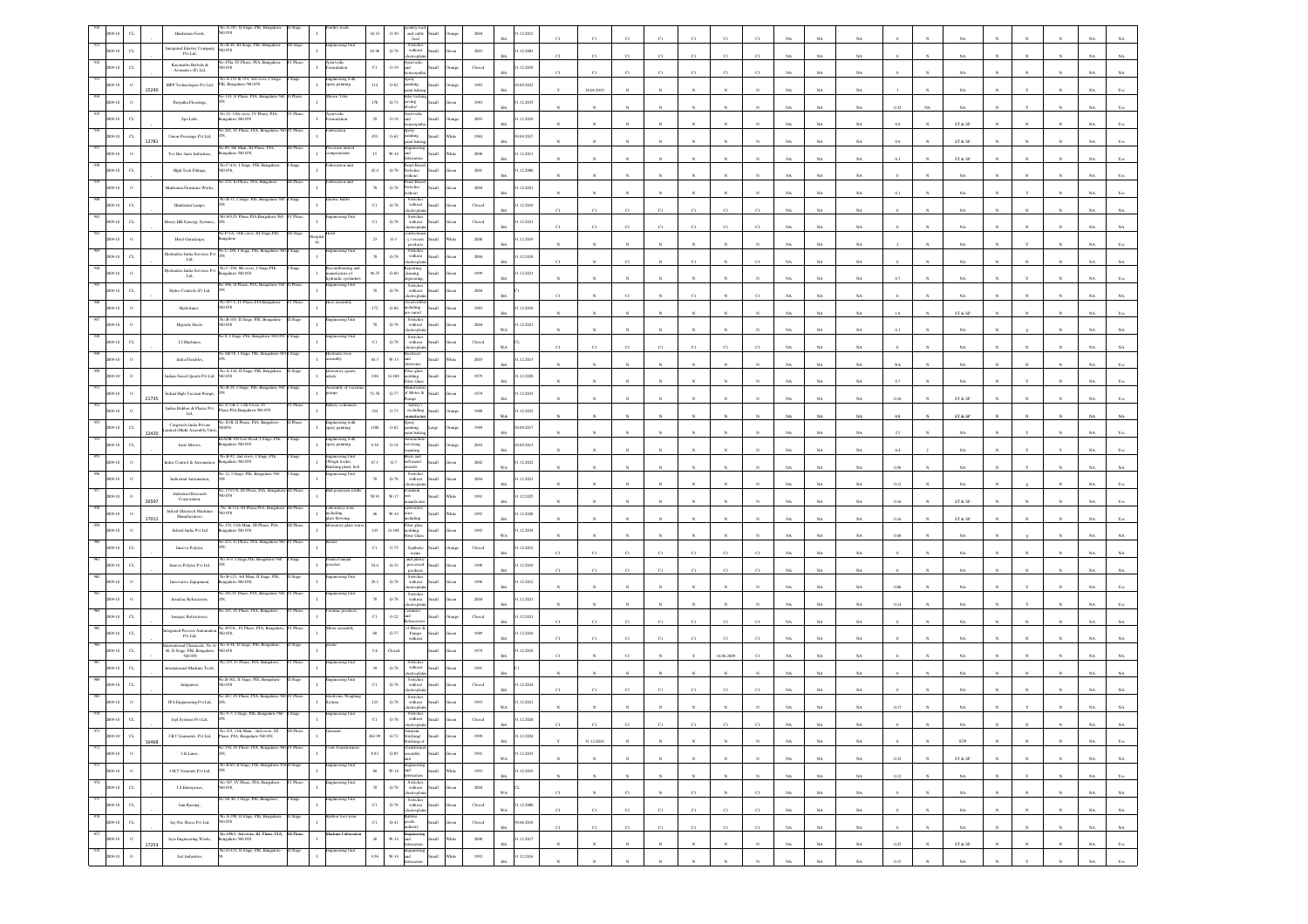|                |                             | Hindustan Feeds,                                                                    |                                                                                             |                  |                                                            | 42.43          | $0 - 30$              | and cattle                                                                                                                                                               |       | 2004                    | .12.2012                  |              |              |              |             |              |              |              |             |             |             |          |            |                                                                 |              |              |              |             |                   |
|----------------|-----------------------------|-------------------------------------------------------------------------------------|---------------------------------------------------------------------------------------------|------------------|------------------------------------------------------------|----------------|-----------------------|--------------------------------------------------------------------------------------------------------------------------------------------------------------------------|-------|-------------------------|---------------------------|--------------|--------------|--------------|-------------|--------------|--------------|--------------|-------------|-------------|-------------|----------|------------|-----------------------------------------------------------------|--------------|--------------|--------------|-------------|-------------------|
|                | $\alpha$                    | integrated Electric Company                                                         | No.B-46, III Stage, PIE, Benga<br>0.058                                                     |                  |                                                            | 63.96          | $G-78$                | feed<br>Switches<br>without<br><b>Hat</b>                                                                                                                                |       | 2003                    | 31.12.2003                |              |              |              |             |              |              |              |             |             |             |          |            |                                                                 |              |              |              |             |                   |
|                |                             | $_{\mathrm{Pvt\,Lad,}}$                                                             | io.470a, IV Phase, PIA, Bengalan                                                            | / Phase          | urvedic                                                    |                |                       |                                                                                                                                                                          |       |                         |                           |              | C1           | C1           | CI          | C1           | C1           |              |             | NA          | NA          |          |            |                                                                 |              |              |              |             |                   |
|                | $_{\mbox{\scriptsize{CL}}}$ | Kayanathu Herbals & Aromatics (P) Ltd,                                              | 0.058<br>No.A-153 & 154, 3ed cross, I Stage<br>PIE, Bengaluru-560 058                       |                  | 1gineering with                                            | $_{\rm C1}$    | $O-19$                | ht<br>pray                                                                                                                                                               |       | $\operatorname{Closed}$ | 1.12.2018<br><b>BA</b>    |              | C1           |              |             |              |              |              |             | NA          |             |          |            |                                                                 |              |              |              |             |                   |
|                | $\circ$<br>15240            | MPP Technologies Pvt Ltd,                                                           | 1-D, Il Phase                                                                               |                  | 1 spary painting                                           | $114\,$        | $0.62\,$              | inting<br>aint bakis                                                                                                                                                     |       | 1982                    | 0.09.2022<br>RA           |              | 30.09.2019   |              |             |              |              |              |             | NA          | NA          |          |            | NA                                                              |              |              |              |             |                   |
|                |                             | Parijatha Floorings,                                                                |                                                                                             |                  |                                                            | $170\,$        | $G-73$                | paving<br>blocks/                                                                                                                                                        |       | 1983                    | 1.12.2035                 |              |              |              |             |              |              |              |             |             | $_{\rm NA}$ | $0.32\,$ | NA         | $_{\rm NA}$                                                     |              |              |              |             |                   |
|                | $\alpha$                    | Spa Labs,                                                                           | No.23, 13th cross, IV Phase, PIA,<br>Bengaluru-560 058                                      |                  | urvedic<br>rmulation                                       | $\bf 29$       | $0 - 19$              | á                                                                                                                                                                        |       | $2003\,$                | 1.12.2016<br><b>BA</b>    |              |              |              |             |              |              |              |             | NA          | NA          | 0.8      |            | ST & SP                                                         |              |              |              |             |                   |
|                | $_{\rm CL}$<br>12781        | Union Pressings Pvt Ltd,                                                            | 265, IV Phase, PIA, Be                                                                      |                  |                                                            | 453            | $0 - 62$              | pray<br>inting<br>nt bak                                                                                                                                                 |       | 1984                    | 0.09.2017<br><b>BA</b>    |              |              |              |             |              |              |              | NA          | NA          | NA          | 0.8      |            | ST & SP                                                         |              |              |              |             |                   |
|                |                             | Yes Bee Auto Industries,                                                            | 40.89, 8th Main, III Phase, PLA<br>ngalaru-560 058,                                         |                  | soin turns<br>nenent                                       | $15\,$         | $_{\rm W\text{-}14}$  | иÅ                                                                                                                                                                       |       | $2008\,$                | 1.12.2013                 |              |              |              |             |              |              |              |             |             |             |          |            |                                                                 |              |              |              |             |                   |
|                | $\alpha$                    | High Tech Fittings,                                                                 | No.C-431, I Stage, PIE.<br>0.058                                                            |                  |                                                            | $42.4\,$       | $\operatorname{G-78}$ | anel Boa<br>witches                                                                                                                                                      |       | $2001\,$                | 1.12.2006                 |              |              |              |             |              |              |              |             | $_{\rm NA}$ | $_{\rm NA}$ |          |            | ST & SP                                                         |              |              |              |             |                   |
|                |                             | <b>Hindsutan Furniture Works</b>                                                    | o.234, Iii Phase, PIA, Bangal                                                               |                  | ication uni                                                | 78             | $G-78$                | ithout<br>anel Boa<br><b>Switches</b>                                                                                                                                    |       | $\,2004$                | 1.12.2021                 |              |              |              |             |              |              |              |             |             |             |          |            | NA                                                              |              |              |              |             |                   |
|                | $\alpha$                    |                                                                                     | io.B-32, I Stage, PIE,                                                                      |                  | tric Balb                                                  |                |                       | ithout<br>Switche                                                                                                                                                        |       |                         | RA                        |              |              |              |             |              |              |              |             | NA          | NA          |          |            | NA                                                              |              |              |              |             |                   |
|                |                             | Hindustan Lamps,                                                                    | 0.365.IV Phase.PIA.                                                                         |                  |                                                            | $_{\rm C1}$    | $\,$ G-78 $\,$        | $% \left\vert \left( \mathbf{1}_{\mathbf{1}}\right) \right\rangle$ without<br>Switches<br>without                                                                        |       | ${\it Closed}$          | 1.12.2010                 |              | C1           |              | C1          | $\mathbf{C}$ |              |              |             | NA          | NA          |          |            | NA                                                              |              |              |              |             |                   |
|                | $_{\rm{CL}}$                | loney Hill Synergy Systems                                                          | 40.P-1A, 14th corss, III Stage,PIE,                                                         | I Stage          |                                                            | $_{\rm C1}$    | $\operatorname{G-78}$ | ctroph                                                                                                                                                                   |       | $\operatorname{Closed}$ | 1.12.2021<br>BA           |              | C1           | CI           | CI          | C1           | CI           |              |             | NA          | NA          |          |            | NA                                                              |              |              |              |             |                   |
|                | $\circ$                     | Hotel Gurukrupa,                                                                    | sealore<br>No.C-288, I Stage, PIE, Bengaluru                                                |                  | eering Un                                                  | $\bf 23$       | $_{\mathrm{G-3}}$     | y/sweet                                                                                                                                                                  |       | 2000                    | 11.12.2019<br><b>BA</b>   |              |              |              |             |              |              |              |             | NA          | NA          |          |            | NA                                                              |              |              |              |             |                   |
|                | $\alpha$                    | Hydraulics India Services Pr<br>Ltd,                                                |                                                                                             |                  |                                                            | $_{78}\,$      | $\,$ G-78 $\,$        | Switches<br>without<br>ctroph                                                                                                                                            |       | $2004\,$                | 1.12.2018                 |              |              | $_{\rm CI}$  |             | C1           |              |              |             | $_{\rm NA}$ | NA          |          |            |                                                                 |              |              |              |             |                   |
|                |                             | lydraulics India Services Pv<br>Ltd.                                                | éo.C-294, 8th cross.<br>ngalaru-560 058                                                     |                  | conditioning a<br>nufacture of<br>draulic cyclinde         | 96.35          | $G-60$                | cpairing.<br>caning.                                                                                                                                                     |       | 1999                    | 31.12.2021                |              |              |              |             |              |              |              |             | NA          | NA          |          |            |                                                                 |              |              |              |             |                   |
|                | $C$ L                       | Hydro Controls (P) Ltd,                                                             |                                                                                             |                  | ring Un                                                    | 78             | $G-78$                | Switches<br>without<br><b>Hat</b>                                                                                                                                        |       | $\,2004$                | <b>BA</b>                 |              |              |              |             | C1           |              |              |             | NA          | NA          |          |            | NA                                                              |              |              |              |             |                   |
|                |                             | Hydrolines.                                                                         | a.497-C.IV Phase,PIA,Beng                                                                   |                  |                                                            | $172\,$        | $\,$ G-86 $\,$        | read ru<br>tcluding<br>re-cured                                                                                                                                          |       | $1982\,$                | 1.12.2018                 |              |              |              |             |              |              |              |             |             |             |          |            |                                                                 |              |              |              |             |                   |
|                |                             | Hygrade Steels,                                                                     | 60. В-183, II Stag<br>D 0.58                                                                |                  | ering l                                                    | 78             | $\,$ G-78 $\,$        | Switch<br>without                                                                                                                                                        |       | 2004                    | 31.12.2021                |              |              |              |             |              |              |              |             | NA          | NA          |          |            | ST & SP                                                         |              |              |              |             |                   |
|                | $\alpha$                    | LLMachines,                                                                         | o.8, I Stage, PIE, Beng                                                                     |                  | neering Uni                                                | $_{\rm C1}$    | ${\bf G}\mbox{-}78$   | ctronia<br>Switches<br>without                                                                                                                                           |       | $\operatorname{Closed}$ | WA                        |              |              |              |             |              |              |              | NA          | NA          | NA          | 0.1      |            | NA                                                              |              |              |              |             |                   |
|                |                             |                                                                                     | o SB-58, I Stage, PIE,                                                                      |                  |                                                            |                |                       |                                                                                                                                                                          |       |                         | WA                        | C1           | $_{\rm C1}$  | C1           |             | C1           | C1           | CI           | NA          | $_{\rm NA}$ | $_{\rm NA}$ |          |            | $_{\rm NA}$                                                     |              |              |              |             |                   |
|                |                             | India Flexibles,                                                                    | a.A-110, II Stag                                                                            |                  |                                                            | 44.3           | $_{\rm W\text{-}13}$  | iber gla                                                                                                                                                                 |       | $2003\,$                | 1.12.2013                 |              |              |              |             |              |              |              | NA          | $_{\rm NA}$ | NA          | NA       |            | NA                                                              |              |              |              |             |                   |
|                |                             | ndian Fused Quartz Pvt Ltd,                                                         | 560 058<br>No.B-28. I Stage, PIE, Bengalaru-5                                               |                  | ticle<br>embly of va                                       | 3.86           | $G-108$               | tolding,<br>Ther Glas<br>anufact                                                                                                                                         |       | 1979                    | 31.12.2020                |              |              |              |             |              |              |              |             |             | NA          |          |            |                                                                 |              |              |              |             |                   |
|                | 21735                       | dian High Vaccum Pumps,                                                             | 473, B-1, 12th Cross, 1                                                                     |                  |                                                            | 51.58          | $G-77$                | of Motor &                                                                                                                                                               |       | 1979                    | 1.12.2023<br><b>BA</b>    |              |              |              |             |              |              |              |             | NA          | NA          | 0.16     |            | ${\hbox{\footnotesize\rm ST}}$ & ${\hbox{\footnotesize\rm SP}}$ |              |              |              |             |                   |
|                |                             | ndira Rubber & Plastic Pvt.<br>Ltd.,                                                | hase, PIA, Bengaluru-560 058                                                                |                  |                                                            | $_{\rm 324}$   | 0.73                  | battery (<br>excluding<br>nufac                                                                                                                                          |       | $1988\,$                | 1.12.2022<br>WA           |              |              |              |             |              |              |              |             | NA          | NA          | 0.8      |            | ST & SP                                                         |              |              |              |             |                   |
|                | $\alpha$<br>12420           | Cargotech India Private<br>uited (Multi Assembly Unit),                             | No.10-B, II Phase, PIA, Bangalore<br>560058.                                                |                  | ngineering with<br>sary painting                           | $1100\,$       | $0 - 62$              | ipray<br>canting,<br>int bak                                                                                                                                             |       | 1989                    | 90.09.2017                |              |              |              |             |              |              |              |             |             | NA          |          |            | NA                                                              |              |              |              |             |                   |
|                | $C$ L                       | Indo Motors,                                                                        | <b>CIADB 100 Feet Road, I Stage, PIE</b><br>ngaluru-560 058                                 |                  | ngineering with<br>sary painting                           | $9.38\,$       | $O-18$                | atomobi<br>ervicing,<br>iring                                                                                                                                            |       | 2010                    | 90.09.2013<br><b>BA</b>   |              |              |              |             |              |              |              |             | $_{\rm NA}$ | NA          | 0.4      |            | $_{\rm NA}$                                                     |              |              |              |             |                   |
|                |                             | ndus Control & Automation                                                           | No.B-92, 2nd cross, I Stage,<br>engaluru-560 058                                            |                  | Engineering Unit<br>(Weigh feeder,<br>Batching plant, belt | $67.1\,$       | $\,$ G-7 $\,$         | Brass and<br>bell metal                                                                                                                                                  |       | 2002                    | 1.12.2022                 |              |              |              |             |              |              |              |             |             |             |          |            |                                                                 |              |              |              |             |                   |
|                |                             | Industrial Automation,                                                              | .12, I Stage, PIE                                                                           |                  | ring Uni                                                   | 78             | $G-78$                | sliste<br>Switch<br>$% \left\vert \left( \mathbf{1}_{\mathbf{1}_{\mathbf{1}}},\mathbf{1}_{\mathbf{1}_{\mathbf{2}}},\mathbf{1}_{\mathbf{2}}\right) \right\rangle$ without |       | 2004                    | <b>WA</b><br>31.12.2021   |              |              |              |             |              |              |              |             | NA          | NA          | 0.56     |            | NA                                                              |              |              |              |             |                   |
|                |                             | $\begin{minipage}{.4\linewidth} Industrial Research \\ Corporation, \end{minipage}$ | Vo.175/176, III Phase, PIA, Benga<br>0.058                                                  | II Phase         | all point pen refi                                         | 58.91          | $_{\rm W\text{-}17}$  | $\alpha$                                                                                                                                                                 |       | $1991\,$                | 1.12.2025                 |              |              |              |             |              |              |              |             | $_{\rm NA}$ | NA          | 0.12     |            | NA                                                              |              |              |              |             |                   |
|                | 26597                       | Infusil Glasstech Machine                                                           | io. B-114, III Phase, PIA, Ben                                                              |                  | atvoratory war<br>ncluding                                 | $46\,$         | $W-43$                |                                                                                                                                                                          |       | 1992                    | <b>BA</b><br>1.12.2020    |              |              |              |             |              |              |              |             | NA          | NA          | 0.16     |            | ST & SP                                                         |              |              |              |             |                   |
|                |                             | Manufacutrers                                                                       | 058<br>o.174, 11th Main, III Phase, PIA,                                                    |                  | lass blowin<br>ratory glass                                |                |                       | ware<br>cludin                                                                                                                                                           |       |                         | <b>BA</b>                 |              |              |              |             |              |              |              |             | NA          | NA          | 0.16     |            | ST & SP                                                         |              |              |              |             |                   |
|                |                             | Infusil India Pvt Ltd                                                               | ngalaru-560 058<br>io.423, Iv Phase, PIA, Bengaluru-5                                       |                  |                                                            | $143\,$        | $G-108$               | Fiber glas<br>molding,<br>Fiber Glas                                                                                                                                     |       | 1992                    | 31.12.2034<br>WA          |              |              |              |             |              |              |              |             |             | NA          | 0.48     |            | $_{\rm NA}$                                                     |              |              |              |             |                   |
|                | $\alpha$                    | Innova Polytex,                                                                     | .-9, 1 Stage, PIE                                                                           |                  |                                                            | $_{\rm C1}$    | 0.75                  | Synthet<br>esins                                                                                                                                                         |       | $\operatorname{Closed}$ | 1.12.2012<br>BA           | C1           | C1           | C1           |             | C1           | C1           |              |             | NA          | NA          |          |            | NA                                                              |              |              |              |             |                   |
|                | CL                          | Innova Polytex Pvt Ltd,                                                             |                                                                                             |                  | <b>suches</b>                                              | $\sf54.4$      | $G-32$                | and plast<br>processed<br>rodnet                                                                                                                                         |       | 1998                    | 1.12.2010<br>RA           | C1           | C1           | C1           |             | C1           | C1           |              |             | NA          | NA          |          |            | NA                                                              |              |              |              |             |                   |
|                |                             | Innovative Equipment,                                                               | 40.B-123, 3rd Main, II Stage, PIE<br>sgalaru-560 058,                                       |                  | ering Un                                                   | 29.2           | $\textrm{G-}78$       | Switche<br>$% \left\vert \left( \mathbf{1}_{\mathbf{1}_{\mathbf{1}}},\mathbf{1}_{\mathbf{1}_{\mathbf{2}}},\mathbf{1}_{\mathbf{2}}\right) \right\rangle$ without          |       | $19\%$                  | 1.12.2012                 |              |              |              |             |              |              |              |             | NA          | NA          |          |            | NA                                                              |              |              |              |             |                   |
|                |                             | Insufrac Refracteries,                                                              | a 345.IV Phase, PIA                                                                         |                  |                                                            | $78\,$         | $\operatorname{G-78}$ | Switches<br>without<br>ctrond                                                                                                                                            |       | $\,2004$                | 1.12.2021                 |              |              |              |             |              |              |              |             |             |             |          |            |                                                                 |              |              |              |             |                   |
|                | $\alpha$                    | Insupac Refractories,                                                               | 345, IV Phase, PIA, Bangalori                                                               |                  | amie produc                                                | C1             | $0 - 22$              | hn<br>befearto                                                                                                                                                           |       | Closed                  | 1.12.2021<br><b>BA</b>    |              |              |              |             | CI           |              |              |             | NA          | NA          |          |            |                                                                 |              |              |              |             |                   |
|                | $\alpha$                    | tegrated Process Automat<br>Pvt Ltd,                                                | Vo 497/A, IV Phase, PIA,<br>560 058,                                                        |                  |                                                            | $_{\rm 68}$    | $\textrm{G-}77$       | of Motor &<br>Pumps<br>without                                                                                                                                           |       | $1989\,$                | 1.12.2010                 |              |              |              |             |              |              |              |             |             |             |          |            |                                                                 |              |              |              |             |                   |
|                | $C$ L                       | ional Chemicals, No.A<br>46, II Stage, PIE, Bengalaru-                              | No.A-46, II Stage, PIE<br>D 0.58                                                            |                  |                                                            | $5.6\,$        |                       |                                                                                                                                                                          |       | 1979                    | 31.12.2018                |              | C1           |              |             |              |              |              |             | NA          | NA          |          |            |                                                                 |              |              |              |             |                   |
|                | $_{\rm CL}$                 | ternational Machine Tools                                                           |                                                                                             |                  |                                                            | 39             | $G-78$                | without                                                                                                                                                                  |       | 1991                    |                           |              |              | CI           |             |              | 16.06.200    |              |             | NA          |             |          |            |                                                                 |              |              |              |             |                   |
|                | $\alpha$                    |                                                                                     | o.B-302, II Stage, PIE, Benga                                                               |                  |                                                            | $_{\rm C1}$    | $\,$ G-78 $\,$        | Switches<br>without                                                                                                                                                      |       |                         |                           |              |              |              |             |              |              |              |             | NA          |             |          |            | NA                                                              |              |              |              |             |                   |
|                |                             | Intigraters,                                                                        |                                                                                             |                  | ectronic Weig                                              |                |                       | Switcher                                                                                                                                                                 |       | ${\it Closed}$          | 1.12.2024                 |              | C1           |              |             |              |              |              |             | NA          | NA          |          |            | NA                                                              |              |              |              |             |                   |
|                |                             | IPA Engineering Pvt Ltd,                                                            |                                                                                             |                  |                                                            | $123\,$        | $\mbox{G-}78$         | without<br>Switche                                                                                                                                                       |       | 1993                    | 1.12.2021                 |              |              |              |             |              |              |              |             |             |             |          |            |                                                                 |              |              |              |             |                   |
| 971            |                             | Ispl Systems Pvt Ltd,                                                               | No.219, 11th Main . 2nd cross, III                                                          | <b>III</b> Phase |                                                            | $\overline{c}$ | $G-78$                | electroph                                                                                                                                                                |       | Closed                  | 1.12.2020<br>BA           |              | C1           | C1           | $_{\rm C1}$ | $_{\rm C1}$  | $_{\rm C1}$  | $_{\rm C1}$  | $_{\rm NA}$ | NA.         | $_{\rm NA}$ |          |            | $_{\rm NA}$                                                     |              |              |              | $_{\rm NA}$ | NA                |
| 2009-10        | $_{\rm CL}$<br>16468        |                                                                                     | J.B.C Garments Pvt Ltd. Phase, PIA, Bengaluru-560 058<br>46.530, IV Phase, PIA, Bengaluru-5 |                  |                                                            | 463.99         | $G-72$                | Garment<br>Stitching/<br>Stitching of<br>Ilumi                                                                                                                           |       | 1999                    | 31.12.2024<br>$_{\rm BA}$ |              | 31.12.2016   | N            |             | $_{\rm N}$   | N            | N            | $_{\rm NA}$ | $_{\rm NA}$ | $_{\rm NA}$ |          |            | ${\tt STP}$                                                     |              |              |              | $_{\rm NA}$ | $\gamma_{\rm CS}$ |
| 2009-10        | $\,$ 0 $\,$                 | J.K.Lines,                                                                          |                                                                                             |                  |                                                            | $8.83\,$       |                       | $\begin{tabular}{cc} G-85 & & \text{isom} \\ & \text{assembl} \\ \text{unit} & \end{tabular}$<br>Small                                                                   |       | 1991                    | 31.12.2023<br>WA          | $\mathbf{N}$ | $_{\rm N}$   | $\mathbf{N}$ | N           | $_{\rm N}$   | $_{\rm N}$   | $_{\rm N}$   | NA          | NA          | $_{\rm NA}$ | 0.32     | N          | ST & SP                                                         | $_{\rm N}$   | $\mathbf N$  | $_{\rm N}$   | NA          | $_{\rm NA}$       |
| 973<br>2009-10 | $\,$ 0 $\,$                 | ${\rm J.M.T}$ Ventoids Pvt Ltd,                                                     | No.B-69, II Stage, PIE, Bengaluru-560 II Stage                                              |                  | ngineering Unit                                            | $_{\rm 80}$    |                       | $\begin{tabular}{ll} \bf \textit{Enginencing} \\ \textit{W-14} & \textit{and} \\ \textit{fabrication} \end{tabular}$<br>Ilamā                                            |       | 1993                    | 31.12.2019<br>$_{\rm BA}$ |              | $_{\rm N}$   | $_{\rm N}$   |             | $_{\rm N}$   | $\bar{N}$    | $\bar{N}$    | $_{\rm NA}$ | $_{\rm NA}$ | $_{\rm NA}$ | $0.12\,$ |            | $_{\rm NA}$                                                     | $_{\rm N}$   |              | $_{\rm N}$   | $_{\rm NA}$ | $\mathbf{Yes}$    |
| 974<br>009-10  | $_{\rm CL}$                 | J.S.Enterprises,                                                                    | No.307, IV Phase, PIA, Bengalur<br>0.058                                                    |                  |                                                            | $_{78}\,$      | $G-78$                | Switches<br>without<br>Small<br>electroplati                                                                                                                             | ireen | $\,2004$                | CL.<br>WA                 | C1           | $_{\rm N}$   | C1           | N           | C1           | $_{\rm N}$   | $_{\rm Cl}$  | $_{\rm NA}$ | NA          | $_{\rm NA}$ | $\circ$  | $_{\rm N}$ | NA                                                              | N            | $\mathbf{N}$ | N            | $_{\rm NA}$ | $_{\rm NA}$       |
| 975<br>2009-10 | $_{\rm CL}$                 | Jain Raising ,                                                                      | Vo.Sb-46, I Stage, PIE, Bangalore,                                                          | Stage            | ingineering Unit<br>х.                                     | $_{\rm{Cl}}$   | $_{\rm{G-78}}$        | Switches<br>Switches<br>without<br>electroplatin<br><b>Illami</b>                                                                                                        | een   | ${\it Closed}$          | 31.12.2000<br>$_{\rm WA}$ | $_{\rm C1}$  | $_{\rm C1}$  | $_{\rm C1}$  | $_{\rm C1}$ | $_{\rm{Cl}}$ | $_{\rm C1}$  | $_{\rm C1}$  | $_{\rm NA}$ | $_{\rm NA}$ | $_{\rm NA}$ | $\circ$  | $_{N}$     | $_{\rm NA}$                                                     | $\mathbf{N}$ | $\mathbf{N}$ | $\mathbf{N}$ | $_{\rm NA}$ | $_{\rm NA}$       |
| 976<br>2009-10 | $_{\rm{CL}}$                | Jay-Pee Shoes Pvt Ltd,                                                              | No.A-290, II Stage, PIE, Bengaluru-<br>560 058                                              | II Stage         | abber foot wear<br>$\mathbf{L}$                            | $_{\rm Cl}$    |                       | $\begin{tabular}{ll} \bf{G-41} & \bf{Rubber} \\ \bf{G-41} & \bf{goods} \end{tabular}$<br><b>Illam</b>                                                                    |       | $\operatorname{Closed}$ | 30.06.2018                |              |              |              |             |              |              |              |             |             |             |          |            |                                                                 |              |              |              |             |                   |
| 977<br>2009-10 | $\,$ $\,$                   | Jaya Engineering Works,                                                             | No.<br>19973, 3rd cross, III. Phase, PIA, $\;$ III. Phase Bengaluru<br>-560 058,            |                  | chine Fabrica                                              | $26\,$         |                       | idustry<br>Engineering<br>W-14 and<br>fabrication<br><b>Illam</b>                                                                                                        |       | $2008\,$                | $_{\rm BA}$<br>31.12.2017 | $_{\rm C1}$  | $_{\rm C1}$  | $_{\rm C1}$  | $_{\rm C1}$ | $_{\rm C1}$  | $_{\rm C1}$  | $_{\rm C1}$  | $_{\rm NA}$ | $_{\rm NA}$ | $_{\rm NA}$ |          |            | $_{\rm NA}$                                                     | $_{\rm N}$   | $_{\rm N}$   | $_{\rm N}$   | $_{\rm NA}$ | $_{\rm NA}$       |
| 978<br>109-10  | 17253<br>$\,$ $\,$          | Jeet Industries,                                                                    | 40.D-431, Il Stage, PIE, Bangalore                                                          | Stage            | agineering Unit                                            | $9.56\,$       |                       | $$\rm{W-14}$$ $$\rm{majr}$$<br><b>Illam</b>                                                                                                                              |       | 1992                    | $_{\rm BA}$<br>31.12.2014 | N            | $_{\rm N}$   | $\mathbf{N}$ | N           | $_{\rm N}$   | $_{\rm N}$   | $_{\rm N}$   | $_{\rm NA}$ | $_{\rm NA}$ | $_{\rm NA}$ | 0.25     | N          | ST & SP                                                         | $_{\rm N}$   | $_{\rm N}$   | $_{\rm N}$   | $_{\rm NA}$ | Yes               |
|                |                             |                                                                                     |                                                                                             |                  |                                                            |                |                       |                                                                                                                                                                          |       |                         | RA                        |              | $\mathbf{N}$ |              |             | $\sim$       | $\mathbf{v}$ | $\mathbf{N}$ | $_{\rm NA}$ | $_{\rm NA}$ | NA          | 0.15     | $_{N}$     | $_{\rm NA}$                                                     |              | $\mathbf{v}$ | $\mathbf{N}$ | $_{\rm NA}$ | $_{\rm Yes}$      |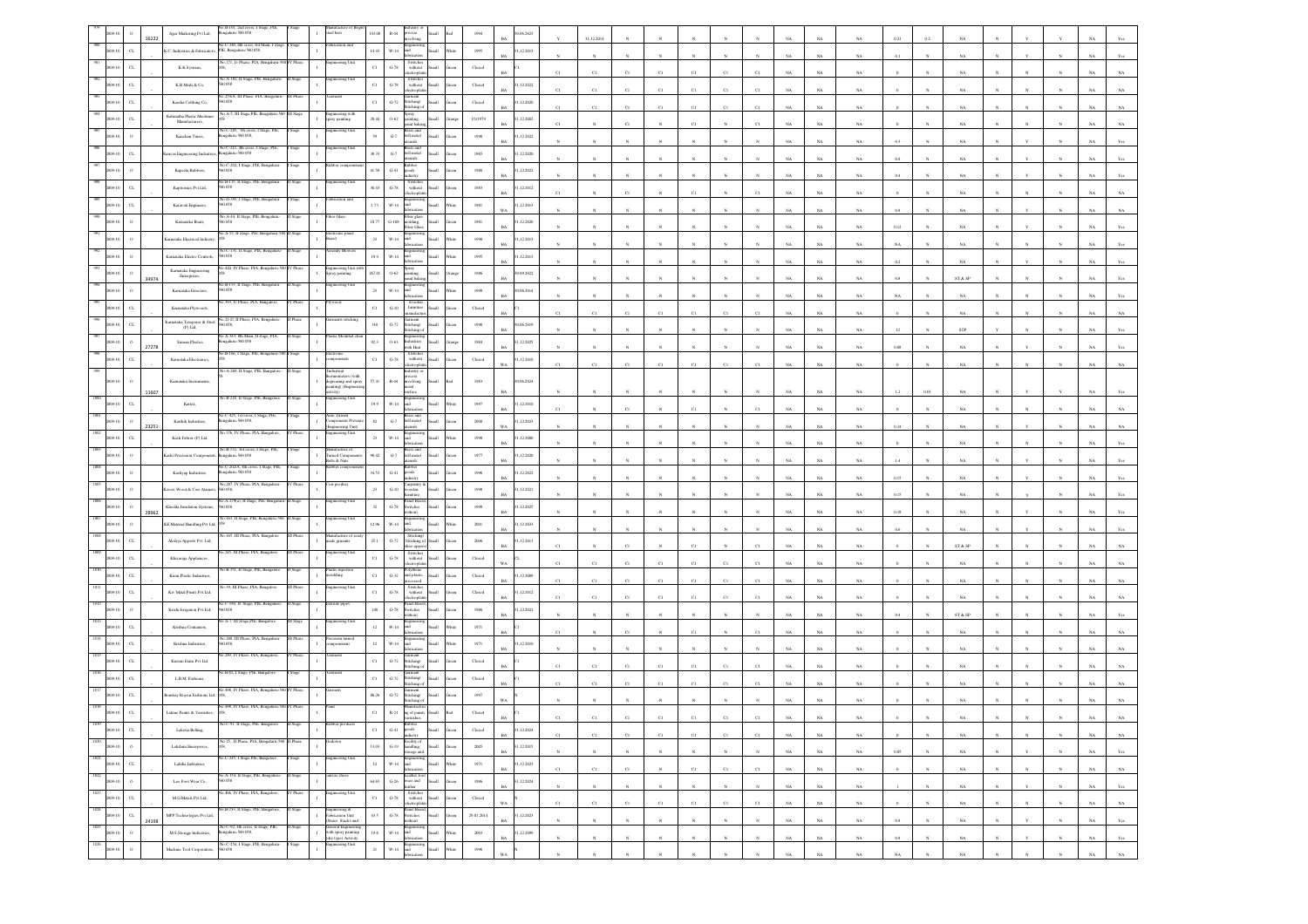|                     |                           | Jigar Marketing Pvt Ltd,                            | $-B-101$<br>galuru-560 058                                          |                                                                                         |              |                        |                                                                                                                                                                 |              |                                | (06, 202) |              | 31.12.2014  |                |             |                                    |             |             |             |             |                |              |                |              |              |              |                               |
|---------------------|---------------------------|-----------------------------------------------------|---------------------------------------------------------------------|-----------------------------------------------------------------------------------------|--------------|------------------------|-----------------------------------------------------------------------------------------------------------------------------------------------------------------|--------------|--------------------------------|-----------|--------------|-------------|----------------|-------------|------------------------------------|-------------|-------------|-------------|-------------|----------------|--------------|----------------|--------------|--------------|--------------|-------------------------------|
|                     | $_{\rm{G}}$<br>09-10      | K.C. Industries & Fabricator                        | io.C-340, 6th cross,3rd Main,1<br>PIE, Bengalaru-560 058            |                                                                                         | 14.43        | $W-14$                 |                                                                                                                                                                 |              | 1995                           | .12.2013  |              |             |                |             |                                    |             |             | NA          | NA          |                |              |                |              |              |              |                               |
|                     | CL<br>09-10               | K.K.Systems,                                        |                                                                     | ering Uni                                                                               | $_{\rm C1}$  | $G-78$                 | Switches<br>without<br>:tropi                                                                                                                                   | di.          | Closed                         |           | C1           | $_{\rm C1}$ | C1             | C1          | C1<br>C1                           |             |             | NA          | $_{\rm NA}$ |                |              | NA             |              |              |              |                               |
|                     | $\alpha$                  | K.<br>R.<br>Modi<br>& Co,                           | io.A-182, II Stage, PIE,<br>058                                     | ering Un                                                                                | $_{\rm C1}$  | $\operatorname{G-78}$  | Switches<br>without<br>ctroph                                                                                                                                   |              | ${\it Closed}$                 | .12.2022  | C1           | C1          | CI             | C1          | $_{\rm CI}$<br>$_{\rm Cl}$         | CI          |             | $_{\rm NA}$ | $_{\rm NA}$ |                |              | NA             |              |              |              |                               |
|                     | C1                        | Kaedia Colthing Co,                                 | 254/A, III<br>0058                                                  |                                                                                         | $_{\rm C1}$  | $G-72$                 | itching/                                                                                                                                                        |              | Closed                         | .12.2020  | C1           | C1          | C1             | C1          | C1<br>CI                           | C1          | NA          | NA          | NA          |                |              | NA             |              |              |              |                               |
|                     | $_{\rm{CL}}$              | Kalimatha Plastic Machine<br>Manufacturers,         | 40. A-5, III Stage, PIE, Beng                                       | ingineering with<br>pary painting                                                       | 20.44        | $0 - 62$               |                                                                                                                                                                 |              | 1/1/1979                       | .12.2002  |              |             |                |             | C1                                 |             |             | $_{\rm NA}$ | $_{\rm NA}$ |                |              | NA             |              |              |              |                               |
|                     |                           | Kanchan Times,                                      | a.C-285, 7th cr<br>ngaluru-560 058,                                 |                                                                                         | 59           | $\,$ G-7 $\,$          | ell metal                                                                                                                                                       |              | 1998                           | .12.2022  |              |             |                |             |                                    |             |             | $_{\rm NA}$ | $_{\rm NA}$ | 0.3            |              |                |              |              |              |                               |
|                     | $\alpha$                  | was Engineering Indsuts                             | No.C-211, 4th cross, I Stage, PIE<br>ngalaru-560 058                | ineering Uni                                                                            | 38.33        | $\,$ G-7 $\,$          | rass and<br>ell metal<br>eile                                                                                                                                   |              | 1965                           | .12.2020  |              |             |                |             |                                    |             | NA          |             |             |                |              | NA             |              |              |              |                               |
|                     |                           | Kapeela Rabbers,                                    | No.C-202, I Stage, PIE, Benj<br>0058                                |                                                                                         | 41.58        | $_{\mathrm{G-}41}$     | Lubber<br>do                                                                                                                                                    |              | 1980                           | .12.2022  |              |             |                |             |                                    |             |             | NA          | $_{\rm NA}$ | 0.8            |              | NA             |              |              |              |                               |
|                     | C1                        | Kaptronics Pvt Ltd,                                 | o.B-115, II Stage, PIE,<br>0058                                     | ering Uni                                                                               | 30.43        | $G-78$                 | Switches<br>without                                                                                                                                             |              | 1983                           | .12.2012  |              |             |                |             |                                    |             |             | $_{\rm NA}$ | $_{\rm NA}$ | 0.4            |              | NA             |              |              |              |                               |
|                     | $_{\rm{CL}}$              | Karavali Engineers,                                 | o.D-395, I Stage, PIE,<br>0058                                      | cation uni                                                                              | 1.73         | $W-14$                 | ectropla                                                                                                                                                        |              | 1981                           | .12.2013  | C1           |             | CI             |             | C1                                 |             |             | $_{\rm NA}$ | $_{\rm NA}$ |                |              | NA             |              |              |              |                               |
|                     | $\circ$<br>19.10          | Karnataka Boats                                     | io.A-44, II Stage, PIE, Bengal<br>D 0.58                            | er Glas                                                                                 | $18.77\,$    | $\operatorname{G-}108$ | iber glas<br>ding,                                                                                                                                              |              | w.<br>$1981\,$                 | .12.2020  |              |             |                |             |                                    |             | NA          | NA          | $_{\rm NA}$ | 0.8            |              | $_{\rm NA}$    |              |              |              |                               |
|                     | $\circ$                   | <b>Carnataka Electrical Industry</b>                | A-53, II Stage, PIE,                                                | tronic pane                                                                             | $23\,$       | $W-14$                 | er Gla                                                                                                                                                          |              | 1998                           | .12.2013  |              |             |                |             |                                    |             |             | $_{\rm NA}$ | $_{\rm NA}$ | 0.12           |              | $_{\rm NA}$    |              |              |              |                               |
|                     |                           |                                                     |                                                                     |                                                                                         |              |                        |                                                                                                                                                                 |              |                                |           |              |             |                |             |                                    |             | NA.         | NA.         | NA          | NA             |              | NA             |              |              |              |                               |
|                     | $\circ$                   | Karnataka Electro Controls<br>Karnataka Engineering | 50 058<br>o 420. IV Phase, PIA, Bo<br>Phas                          | Ingineering Unit (<br>pray painting                                                     | 19.9         | $W-14$                 |                                                                                                                                                                 |              | 1995                           | 1.12.2013 |              |             |                |             |                                    |             | NA          | $_{\rm NA}$ | $_{\rm NA}$ | 0.2            |              | $_{\rm NA}$    |              |              |              |                               |
|                     |                           | Enterprises,<br>34974                               |                                                                     | eering Un                                                                               | 267.01       | $0.62\,$               |                                                                                                                                                                 |              | $1986\,$                       | 0.09.2022 |              |             |                |             |                                    |             |             | NA          | NA          | 0.8            |              | ST & SP        |              |              |              |                               |
|                     | $\circ$                   | Kamataka Errectors,                                 | 0058                                                                |                                                                                         | $_{23}$      | $W-14$                 |                                                                                                                                                                 |              | 1998                           | 06.2014   |              |             |                |             |                                    |             | NA          | NA          | NA          | NA             |              | NA             |              |              |              |                               |
|                     |                           | Karnataka Plywoods                                  | 21-D. II Phase                                                      |                                                                                         | $_{\rm C1}$  | $_{\mathrm{G-10}}$     | umitur                                                                                                                                                          |              | Closed                         |           |              | C1          |                |             | C1<br>$_{\rm Cl}$                  |             | NA          | $_{\rm NA}$ | $_{\rm NA}$ |                |              | NA             |              |              |              |                               |
|                     | $\alpha$                  | Karnataka Texspares & Steel<br>(P) Ltd,             |                                                                     |                                                                                         | $_{\rm 310}$ | $_{\mathrm{G-72}}$     | ching<br>tching                                                                                                                                                 |              | $19\%$                         | 0.6.2019  |              |             |                |             |                                    |             | NA          | $_{\rm NA}$ | $_{\rm NA}$ |                |              | STP            |              |              |              |                               |
|                     |                           | Suman Plastics<br>27278                             | A-343, 8th Main, II stage, PIA<br>ngalaru-560 058                   |                                                                                         | 923          | $0 - 63$               | dustries<br>ith Heat                                                                                                                                            |              | 1984<br>RA                     | .12.2025  |              | $_{\rm N}$  |                |             | $\boldsymbol{N}$<br>$_{\rm N}$     |             | NA          | $_{\rm NA}$ | $_{\rm NA}$ | 0.08           |              | NA             |              |              |              |                               |
|                     | $\alpha$                  | Karnataka Electronics,                              | Vo.B-166, I Stage, PIE, Benj                                        | tronic<br>ponenets                                                                      | $_{\rm Cl}$  | $\textrm{G-}78$        | Switche<br>$% \left\vert \left( \mathbf{1}_{\mathbf{1}_{\mathbf{1}}},\mathbf{1}_{\mathbf{1}_{\mathbf{2}}},\mathbf{1}_{\mathbf{2}}\right) \right\rangle$ without |              | ${\it Closed}$                 | .12.2010  | $_{\rm C1}$  | C1          | $_{\rm Cl}$    | $_{\rm C1}$ | $_{\rm C1}$<br>$_{\rm Cl}$         | C1          | $_{\rm NA}$ | $_{\rm NA}$ | $_{\rm NA}$ |                |              | $_{\rm NA}$    |              |              |              |                               |
|                     |                           | Karnataka Instrument                                | io.A-269. Il Stare, PIE, Bann                                       | siriam<br>mometers (with<br>degreasing and spray                                        | 57.41        | $R-44$                 | lastry o<br>cess<br>saivlova                                                                                                                                    |              | 1983                           | 0.06.2024 |              |             |                |             |                                    |             |             |             |             |                |              |                |              |              |              |                               |
|                     |                           | 11607                                               | o.B-218. Il Stage, PIE, Ban                                         | iting) (Engin<br>vity)<br>ring Uni                                                      |              |                        | etal                                                                                                                                                            |              |                                |           |              |             |                |             |                                    |             |             | $_{\rm NA}$ | $_{\rm NA}$ |                |              | NA             |              |              |              |                               |
|                     | $\alpha$                  | Kartex,                                             | o.C-425, 1st cross, I Stage, PIE,                                   | uito Turned                                                                             | 19.9         | $_{\rm W\text{-}14}$   | rass and                                                                                                                                                        |              | $1997\,$                       | .12.2010  |              |             |                |             | C1                                 |             |             | $_{\rm NA}$ | NA          |                |              |                |              |              |              |                               |
|                     |                           | Karthik Industries,<br>23251                        | ngalaru-560 058,<br>o.376, IV Phase, PIA, Bangalor                  | Components Press<br>$\mathbf{I}$<br>Engineering Unit)<br>ngineering Unit                | $^{\rm 82}$  | $\,$ G-7 $\,$          | bell metal                                                                                                                                                      |              | $2008\,$<br>WA                 | 12.2023   |              |             |                |             |                                    |             |             | $_{\rm NA}$ | $_{\rm NA}$ | $0.24\,$       |              | NA             |              |              |              |                               |
|                     | $\sigma$                  | Kash Fabror (P) Ltd,                                |                                                                     |                                                                                         | $\bf 23$     | $_{\rm W\text{-}14}$   |                                                                                                                                                                 |              | $19\%$                         | .12.2000  |              |             |                |             |                                    |             |             | NA          | $_{\rm NA}$ |                |              | NA             |              |              |              |                               |
|                     |                           | ashi Precission Comp                                | 40.B-132, 3rd cross, I Stage, PIE<br>galaru-560 058                 | Manufacture of<br>Turned Compor<br>Bolts & Nuts                                         | 90.42        | $_{\mathrm{G-7}}$      | ell metal<br>isils                                                                                                                                              |              | $1977\,$                       | .12.2020  |              |             |                |             |                                    |             | NA          | $_{\rm NA}$ | $_{\rm NA}$ | 1.4            |              | NA             |              |              |              |                               |
|                     |                           | Kashyap Industries,                                 | o.C-202/A, 4th cross, I Stage, PIE<br>ngalaru-560 058               |                                                                                         | 34.53        | $G-41$                 | sboo                                                                                                                                                            |              | 1996                           | .12.2022  |              |             |                |             |                                    |             |             | $_{\rm NA}$ | $_{\rm NA}$ | 0.15           |              | $_{\rm NA}$    |              |              |              |                               |
|                     |                           |                                                     |                                                                     |                                                                                         |              |                        |                                                                                                                                                                 |              |                                |           |              |             |                |             |                                    |             |             |             |             |                |              |                |              |              |              |                               |
|                     |                           | veri Wood & Coir Ataine                             | No.287, IV Phase, PIA, Beng<br>0.058                                | ir produc                                                                               | $23\,$       | $_{\mathrm{G-10}}$     | arpentr                                                                                                                                                         |              | $19\%$                         | .12.2021  |              |             |                |             |                                    |             | NA          | $_{\rm NA}$ | $_{\rm NA}$ | $0.15\,$       |              | $_{\rm NA}$    |              |              |              |                               |
|                     | $\circ$<br>09-10          | Khedda Insulation System<br>28962                   | A-279(a), II Stage<br>0 O.SS                                        | ineering Un                                                                             | 32           | $\operatorname{G-78}$  | anel Boa<br>itches<br>thout                                                                                                                                     |              | 1998                           | .12.2025  |              |             |                |             |                                    |             |             | NA          | NA          | 0.18           |              | NA             |              |              |              |                               |
|                     | 09-10<br>$\circ$          | KE Material Handling Pvt Ltd, 0                     |                                                                     | ering Uni                                                                               | 12.96        | $W-14$                 |                                                                                                                                                                 |              | 2001                           | .12.2033  |              |             |                |             |                                    |             |             | NA          |             | 0.6            |              | NA             |              |              |              |                               |
|                     | $_{\rm{CL}}$              | Akshya Apprels Pvt Ltd,                             | 165, III Phase, PIA,                                                | nufacture o<br>ade grments                                                              | 25.1         | $_{\mathrm{G-72}}$     | Stitching<br>Stitching o                                                                                                                                        |              | $\,2006$                       | .12.2011  | C1           |             | C1             |             |                                    |             |             |             | $_{\rm NA}$ |                |              |                |              |              |              |                               |
|                     | $\alpha$                  | Khivaraja Appliences                                |                                                                     | ering l                                                                                 | $_{\rm C1}$  | $G-78$                 | oe upp<br>Switche<br>without                                                                                                                                    |              | Closed<br>WA.                  |           |              |             |                |             | $_{\rm CI}$                        |             |             | NA          | $_{\rm NA}$ |                |              | ST & SP<br>NA. |              |              |              |                               |
|                     | $_{\rm{CL}}$              | Kiran Plastic Industries,                           | o.B-351, II Stage, PIE, Bangalo                                     | Plastic injection<br>noulding                                                           | $_{\rm C1}$  | $_{\mathrm{G-32}}$     | olythene<br>nd plasti                                                                                                                                           |              | $\operatorname{Closed}$        | .12.2009  |              | C1          | C1             |             | C1<br>C1                           |             |             | NA          | NA          |                |              |                |              |              |              |                               |
|                     | $_{\rm{CL}}$              | Kiv Metal Prints Pvt Ltd,                           | 39. III Phase, PIA                                                  |                                                                                         | $_{\rm C1}$  | $\,$ G-78 $\,$         | switche<br>without                                                                                                                                              |              | Closed                         | .12.2012  |              | C1          | C1             |             | $_{\rm C1}$<br>$_{\rm Cl}$         |             |             | $_{\rm NA}$ | $_{\rm NA}$ |                |              | NA             |              |              |              |                               |
|                     | $\circ$                   | Krishi Irrigation Pvt Ltd,                          | io.C-184, II Stage, PIE, Bengali<br>0058                            | ude pipe                                                                                | 140          | $\mbox{G-}78$          | ctroni<br>anel Boa<br>witches                                                                                                                                   |              | 1986                           | .12.2021  | C1           | C1          | $_{\rm Cl}$    | CI          | $_{\rm C1}$<br>$_{\rm Cl}$         | CI          | NA          | $_{\rm NA}$ | $_{\rm NA}$ |                |              | NA             |              |              |              |                               |
|                     | C1                        | Krishna Containers,                                 | A-7, III Stage, PIE, Ban                                            | teering Uni                                                                             | $12\,$       | $W-14$                 |                                                                                                                                                                 |              | 1971                           |           |              |             |                |             |                                    |             |             | NA          | NA          |                |              | ST & SF        |              |              |              |                               |
|                     | $_{\rm{CL}}$              | Krishna Industries,                                 | to 200. III Phase, PIA, Bennaur<br>D 058,                           |                                                                                         | $12\,$       | $_{\rm W\text{-}14}$   |                                                                                                                                                                 |              | $1971\,$                       | .12.2010  |              |             | $\overline{c}$ |             | C1                                 | $\mathbf c$ |             | $_{\rm NA}$ | $_{\rm NA}$ |                |              | NA             |              |              |              |                               |
|                     |                           |                                                     | 289, IV Phase, PIA,                                                 |                                                                                         | $_{\rm C1}$  | $G-72$                 | itching/                                                                                                                                                        |              |                                |           |              |             |                |             |                                    |             |             | $_{\rm NA}$ | $_{\rm NA}$ |                |              | NA             |              |              |              |                               |
|                     | $_{\rm{CL}}$              | Kusum Exim Pvt Ltd,                                 | .B-82, I Stage, PIE, Banga                                          |                                                                                         |              |                        |                                                                                                                                                                 |              | Closed                         |           |              | C1          | C1             | C1          | $_{\rm C1}$<br>$_{\rm C1}$         | C1          | NA          | NA          | $_{\rm NA}$ |                |              | NA             |              |              |              |                               |
|                     | $_{\rm CL}$               | L.B.M. Fashions                                     |                                                                     |                                                                                         | $_{\rm C1}$  | $G-72$                 |                                                                                                                                                                 |              | $\operatorname{Closed}$        |           |              |             |                |             | C1<br>CI                           |             |             | $_{\rm NA}$ | $_{\rm NA}$ |                |              | NA             |              |              |              |                               |
|                     | CL                        | ombay Royon Fashions Ltd                            |                                                                     |                                                                                         | 86.26        | $G-72$                 |                                                                                                                                                                 |              | 1997                           |           |              |             |                |             |                                    |             |             |             | NA          |                |              |                |              |              |              |                               |
| 1019                | $_{\rm{G}}$               | Lakme Paints & Varnishes                            | No.C-91, II Stage, PIE, Bangalore<br>II Stage                       |                                                                                         | C1           | $R - 21$               |                                                                                                                                                                 |              | Closed                         |           |              |             |                |             |                                    |             |             |             |             |                |              |                |              |              |              |                               |
| 2009-10<br>1020     | $_{\rm{CL}}$              | Lakotia Belting,                                    | II Phase                                                            |                                                                                         | $_{\rm C1}$  | $_{\mathrm{G-}41}$     | goods<br>ustry                                                                                                                                                  | <b>Ilumi</b> | ${\it Closed}$<br>een          | 1.12.2024 | $_{\rm C1}$  | C1          | $_{\rm C1}$    | C1          | $_{\rm C1}$<br>$_{\rm C1}$         | $_{\rm C1}$ | $_{\rm NA}$ | $_{\rm NA}$ | $_{\rm NA}$ |                |              | $_{\rm NA}$    |              |              |              | $_{\rm NA}$<br>$_{\rm NA}$    |
| 2009-10             | $\,$ 0 $\,$               | Lakshmi Enreprises,                                 | No 25, II Phase, PIA, Bengaluru-560                                 |                                                                                         | $13.03\,$    | $G-19$                 | Facility of<br>handling,<br>orage and                                                                                                                           | <b>Ilam</b>  | 2005<br>ireen<br><b>BA</b>     | 1.12.2015 | $\mathbf{N}$ | N           | $\mathbf{N}$   | $_{\rm N}$  | $_{\rm N}$<br>$_{\rm N}$           | $_{\rm N}$  | NA          | NA          | $_{\rm NA}$ | 0.05           | $\mathbf{N}$ | NA             | $\mathbf{N}$ | $\mathbf{v}$ | $\mathbf{N}$ | NA<br>Yes                     |
| 1021<br>2009-10     | ${\rm CL}$                | Lalitha Indsutries,                                 | No.C-245, I Stage,PIE, Bangalore<br>I Stage                         | Engineering Unit                                                                        | $12\,$       | $_{\rm W\text{-}14}$   |                                                                                                                                                                 | - Illa       | 1971<br>Vhite<br>BA            | 1.12.2023 | $_{\rm C1}$  | $_{\rm C1}$ | $_{\rm C1}$    | $_{\rm N}$  | $_{\rm C1}$<br>$_{\rm C1}$         | $_{\rm C1}$ | $_{\rm NA}$ | $_{\rm NA}$ | $_{\rm NA}$ | $\alpha$       | $\mathbf{N}$ | $_{\rm NA}$    | $_{\rm N}$   | $\mathbf{N}$ | $_{\rm N}$   | $_{\rm NA}$<br>$_{\rm NA}$    |
| 1022<br>2009-10     | $\,$ $\,$ $\,$            | Leo Foot Wear Co,                                   | No.A-154, II Stage, PIE, Bengaluru-<br>560 058<br>II Stage          | canvas shoes<br>$\mathbf{I}$                                                            | 64.65        | $\,$ G-26 $\,$         | Leather for<br>wear and<br>ather                                                                                                                                | <b>Han</b>   | $1986\,$<br>reen<br><b>BA</b>  | 1.12.2024 | N            | $_{\rm N}$  | $_{\rm N}$     | $_{\rm N}$  | $_{\mathrm{N}}$<br>$_{\mathrm{N}}$ | $_{\rm N}$  | $_{\rm NA}$ | $_{\rm NA}$ | $_{\rm NA}$ |                | $\mathbf N$  | $_{\rm NA}$    | $_{\rm N}$   | $\mathbf Y$  | $_{\rm N}$   | $_{\rm NA}$<br>Yes            |
| 1023<br>2009-10     | $_{\rm{CL}}$              | M.G.Metals Pvt Ltd,                                 | .406, IV Phase, PIA, Bangalore,<br>/ Phase                          | gineering Unit                                                                          | $_{\rm Cl}$  | $\operatorname{G-78}$  | Switches<br>without<br>ectronia                                                                                                                                 | <b>Hami</b>  | ${\it Closed}$<br>ireen<br>WA  |           | C1           | C1          | C1             | C1          | C1<br>C1                           | C1          | NA          | $_{\rm NA}$ | NA          | $\overline{0}$ | $_{\rm N}$   | $_{\rm NA}$    | N            | N            | $_{\rm N}$   | NA<br>$_{\rm NA}$             |
| 1024<br>$2009 - 10$ | $_{\rm CL}$               | MPP Technologies Pvt Ltd,<br>24198                  | No.B-233, II Stage, PIE, Bangalore,<br>II Stage                     | Engineering &<br>Fabrication Unit<br>(Stator Stacks and                                 | $43.5\,$     | $\operatorname{G-78}$  | Panel Board<br>Switches<br>without                                                                                                                              | llan         | 29.01.2014                     | 1.12.2023 |              | $_{\rm N}$  | $_{\rm N}$     | $_{\rm N}$  | $_{\rm N}$<br>$_{\mathrm{N}}$      | $_{\rm N}$  | $_{\rm NA}$ | $_{\rm NA}$ | $_{\rm NA}$ | $0.8\,$        |              | $_{\rm NA}$    |              | $\mathbf Y$  | $_{\rm N}$   | $_{\rm NA}$<br>$\mathbf{Yes}$ |
| 1025<br>2009-10     | $\,$ 0 $\,$               | M.S. Storage Industries,                            | No.C-92, 4th cross, II Stage, PIE,<br>II Stage<br>engalaru-560 058, | General Engineering<br>$\,$ I                                                           | 19.6         | $_{\rm W\text{-}14}$   | fabricatio                                                                                                                                                      | <b>Ilam</b>  | $2003\,$<br>Vhite<br><b>BA</b> | .12.2099  |              | $_{\rm N}$  | $_{\rm N}$     | $_{\rm N}$  | $_{\rm N}$<br>$_{\rm N}$           | $_{\rm N}$  | $_{\rm NA}$ | NA          | $_{\rm NA}$ | $0.8\,$        | $_{\rm N}$   | $_{\rm NA}$    |              | Y            | $_{\rm N}$   | $_{\rm NA}$<br>Yes            |
| 1026                | 2009-10<br>$\,$ $\,$ $\,$ | Machine Tool Corporation,                           | io.C-254, I Stage, PIE, Bengaluru-<br>Stage<br>560 058              | Geneves 2019<br>with spray painting<br>(dry type) Activity<br>ngineering Unit<br>$\,$ I | $_{\rm 21}$  | $W-14$ and             | fabrication                                                                                                                                                     | Small        | $19\%$<br>Vhite<br>$_{\rm WA}$ |           | $_{\rm N}$   | $_{\rm N}$  | $_{\rm N}$     | $_{\rm N}$  | $_{\mathrm{N}}$<br>$_{\mathrm{N}}$ | $_{\rm N}$  | $_{\rm NA}$ | $_{\rm NA}$ | $_{\rm NA}$ | $_{\rm NA}$    | $_{\rm N}$   | $_{\rm NA}$    | $_{\rm N}$   | $_{\rm N}$   | $_{\rm N}$   | $_{\rm NA}$<br>$_{\rm NA}$    |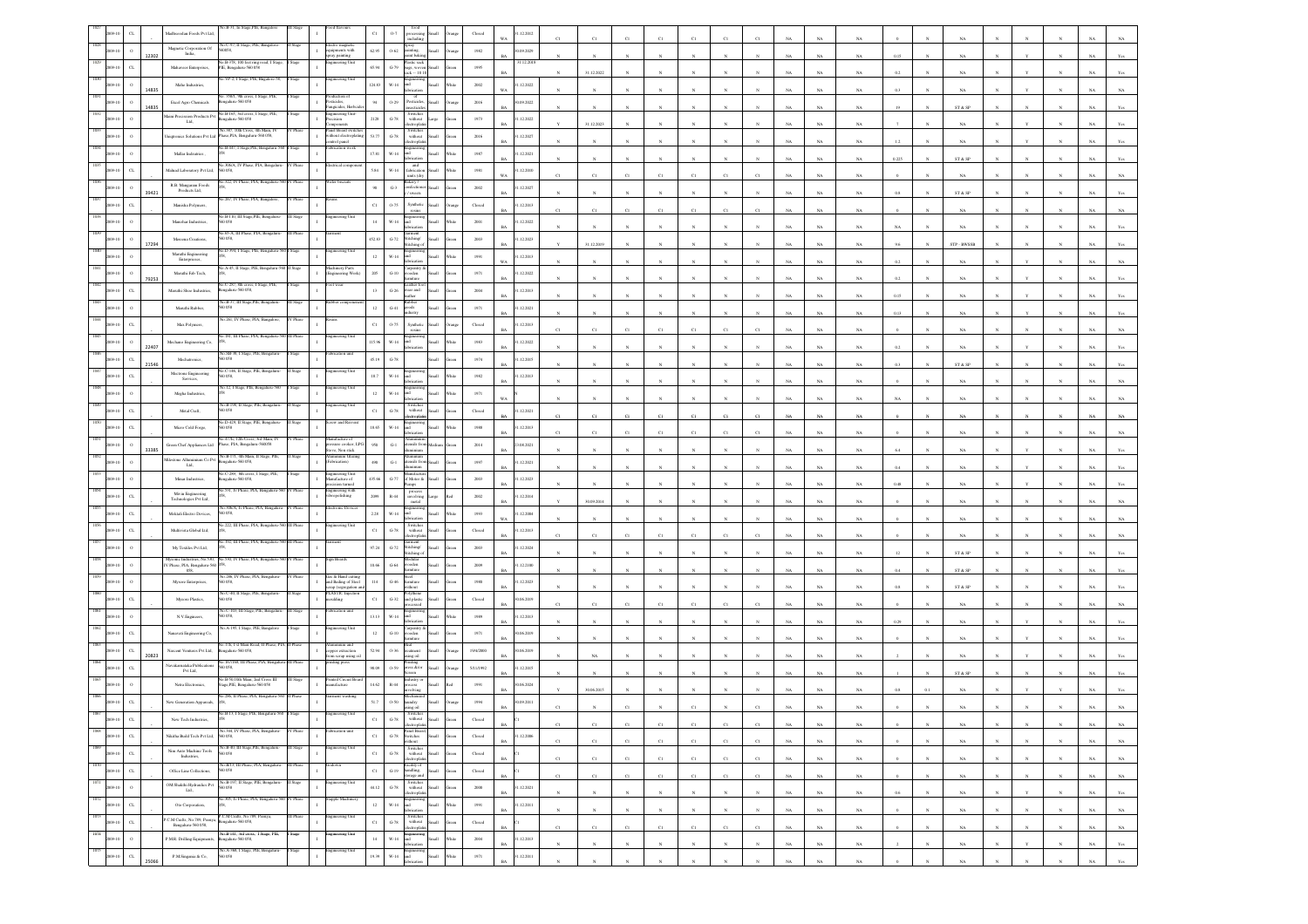|                 |                       | ladhsoodan Foods Pvt Ltd,                                                                                       |                                                                   |           |                                                  | $_{\rm C1}$    | 0.7                            | clodin                                                                                                                                    |                | Closed                                              | .12.2012                          |             |             |                       |             |                |                       |              |             |             |                            |         |              |                            |            |              |              |             |                |
|-----------------|-----------------------|-----------------------------------------------------------------------------------------------------------------|-------------------------------------------------------------------|-----------|--------------------------------------------------|----------------|--------------------------------|-------------------------------------------------------------------------------------------------------------------------------------------|----------------|-----------------------------------------------------|-----------------------------------|-------------|-------------|-----------------------|-------------|----------------|-----------------------|--------------|-------------|-------------|----------------------------|---------|--------------|----------------------------|------------|--------------|--------------|-------------|----------------|
|                 | 12302                 | Magnetic Corporation Of<br>India,                                                                               | o.C-97, II Stage, PIE, Bangal<br>XX 8.                            |           | lectro magnetic<br>quipments with<br>painting    | 62.95          | $0 - 62$                       | $\frac{1}{\frac{1}{\text{Spray}}}\n$<br>int baki                                                                                          | <b>Small</b>   | 1982                                                | 1.09.2029                         |             |             |                       |             |                |                       |              |             | NA          | NA                         | 0.15    |              |                            |            |              |              |             |                |
|                 | $C_{L}$               | Mahaveer Enterprises,                                                                                           | B-378, 100 feet ring<br>PIE, Bengaluru-560 058                    |           | ring Uni                                         | 65.94          | $G-79$                         | astic sack<br>sags, wov<br>$xk - 1010$                                                                                                    | Small          | 1995                                                | 1.12.201                          |             | 31.12.2022  |                       |             |                |                       |              |             | NA          | $_{\rm NA}$                |         |              | NA                         |            |              |              |             |                |
|                 | 14835                 | Mahe Industries,                                                                                                | VP-2, I Stage, PIE, Baga                                          |           | teering Unit                                     | 124.83         | $W-14$                         |                                                                                                                                           |                | $2002\,$                                            | .12.2022                          |             |             |                       |             |                |                       |              |             | NA          | NA                         |         |              | NA                         |            |              |              |             |                |
|                 |                       | Excel Agro Chemicals                                                                                            | .358/1, 9th cross,<br>ngalaru-560 058                             |           | esticides,<br>angicides, Her                     | $\,94$         | 0.29                           | of<br>Pesticides.<br>eticid                                                                                                               |                | 2016                                                | 0.09.2022                         |             |             |                       |             |                |                       |              |             | NA          | NA                         |         |              | ST & SP                    |            |              |              |             |                |
|                 |                       | laini Precission Products Pv<br>$\mathbf{L}\mathbf{M}_\star$                                                    | Vo.B-165, 3rd cross, I Stage, PIE,<br>sealaru-560 058             |           | 1 gineering Unit-<br>recision                    | $2128\,$       | $G-78$                         | Switcher<br>without                                                                                                                       |                | 1973                                                | .12.2022                          |             | 31.12.2023  |                       |             |                |                       |              |             | NA          | NA.                        |         |              | NA                         |            |              |              |             |                |
|                 |                       | siqtronics Solutions Pvt Ltd                                                                                    | a.387, 10th Cross, 4th Main<br>hase, PIA, Bengaluru-560 058,      |           | anel Board sy<br>ithout electropl<br>haaq loutne | $53.77\,$      | $\,$ G-78 $\,$                 | Switches<br>without<br>ctroph                                                                                                             |                | $2016\,$                                            | .12.2027                          |             |             |                       |             |                |                       |              |             | NA          | NA                         |         |              | NA                         |            |              |              |             |                |
|                 |                       | Mallar Indoutries                                                                                               | io.B-447, I Stage, PIE, Beng                                      |           | rication work                                    | 17.81          | $W-14$                         | <b>Lett</b>                                                                                                                               |                | 1987                                                | 1.12.2021                         |             |             |                       |             |                |                       |              |             | NA          | $_{\rm NA}$                | 0.225   |              | ST & SP                    |            |              |              |             |                |
|                 | $\alpha$              | Malnad Laboratory Pvt Ltd,                                                                                      | No.306/A, IV Phase, PIA, Bengalar<br>560 058                      | Phase     | extrical comp                                    | 5.84           | W-14                           | and<br>fabricatio                                                                                                                         | ш              | $1981\,$                                            | 1.12.2010<br>WA                   |             |             |                       |             |                |                       |              |             | NA          | $_{\rm NA}$                |         |              | NA                         |            |              |              |             |                |
|                 | 9421                  | R.B. Mangaram Foods<br>Products Ltd,                                                                            | 322, IV Phase, PIA, Be                                            |           |                                                  | $90^{\circ}$   | $G-3$                          | mits (dr<br>efection<br>sweets                                                                                                            | <b>Ham</b>     | 2002                                                | 1.12.2027                         |             |             |                       |             |                |                       |              |             | $_{\rm NA}$ | NA                         | 0.8     |              | ST & SP                    |            |              |              |             |                |
|                 | $\sigma$              | Manisha Polymers                                                                                                | 267, IV Phase, PIA, Banga                                         |           |                                                  | $_{\rm C1}$    | $O-75$                         | Synthetic<br>resins                                                                                                                       | Iliam          | $\rm Closed$                                        | 1.12.2013                         |             | C1          | C1                    | C1          | $\overline{c}$ | CI                    |              |             | NA          |                            |         |              |                            |            |              |              |             |                |
|                 |                       | Manohar Industries,                                                                                             | o.B-110, III Stage,PIE, Bengaluru                                 | II Stage  | incering Un                                      | $14\,$         | $_{\rm W\text{-}14}$           | hm                                                                                                                                        |                | $2001\,$                                            | 1.12.2022                         |             |             |                       |             |                |                       |              |             | $_{\rm NA}$ | $_{\rm NA}$<br>$_{\rm NA}$ |         |              | $_{\rm NA}$<br>$_{\rm NA}$ |            |              |              |             |                |
|                 |                       | Mereena Creations,                                                                                              | 65-A, III Phase, PIA, Bengali<br>058                              |           |                                                  | 452.83         | $G-72$                         | .sarment<br>Stitching/                                                                                                                    | Iliami         | 2003                                                | .12.2023                          |             |             |                       |             |                |                       |              |             |             |                            |         |              |                            |            |              |              |             |                |
|                 | 17294                 | $\begin{minipage}{.4\linewidth} \textbf{Maruthi Engineering} \\ \textbf{Enterpre} \textbf{ies}, \end{minipage}$ | D-394, I Stage,                                                   |           |                                                  | $12\,$         | $_{\rm W\text{-}14}$           | titching o<br>nd                                                                                                                          | Ilamā<br>/hite | 1991                                                | <b>BA</b><br>1.12.2013            |             | 31.12.2019  |                       |             |                |                       |              |             | NA          | NA                         | 96      |              | STP - BWSSB                |            |              |              |             |                |
|                 |                       | Maruthi Fab Tech,                                                                                               | o.A-45, II Stage, PIE, Benga                                      |           | dachinery Parts<br>Engineering Work              | $205\,$        | $_{\mathrm{G-10}}$             | Carpentry &<br>wooden                                                                                                                     |                | $1971\,$                                            | WA<br>.12.2022                    |             |             |                       |             |                |                       |              |             | NA          | $_{\rm NA}$                | 0.2     |              | $_{\rm NA}$                |            |              |              |             |                |
|                 | 79253<br>$C$ L        | Maruthi Shoe Industries,                                                                                        | C-287, 8th cros.<br>ngalaru-560 058,                              |           |                                                  | $13\,$         | $\,$ G-26 $\,$                 | vear and                                                                                                                                  | Hatt           | 2004                                                | .12.2013                          |             |             |                       |             |                |                       |              |             | NA          | NA                         |         |              | NA                         |            |              |              |             |                |
|                 |                       | Maruthi Rubber,                                                                                                 | 60.B-37, III Stage, PIE, Be<br>0.058                              |           |                                                  | $12\,$         | $_{\mathrm{G-}41}$             | dian<br>oods                                                                                                                              |                | $1971\,$                                            | RA<br>.12.2021                    |             |             |                       |             |                |                       |              | Na          | NA          | NA                         | 0.15    |              | NA                         |            |              |              |             |                |
|                 |                       | Max Polymers,                                                                                                   | 261. IV Phase, PIA                                                |           |                                                  | $_{\rm C1}$    | 0.75                           |                                                                                                                                           |                | Closed                                              | .12.2013                          |             |             |                       |             |                |                       |              |             | NA          | $_{\rm NA}$                | 0.13    |              | $_{\rm NA}$                |            |              |              |             |                |
|                 |                       | Mechano Engineering Co,                                                                                         | .181, III Phase, PIA, Bengaluru                                   |           | neering Unit                                     | 115.96         | W-14                           |                                                                                                                                           |                | 1983                                                | .12.2022                          | CI          | C1          | CI                    | CI          | C1             | C1                    | CI           |             | NA          | NA                         |         |              | NA                         |            |              |              |             |                |
|                 | 22407<br>$\alpha$     | Mechatronics,                                                                                                   | to SB-38, I Stage, PIE, Beng<br>0058                              |           |                                                  | 45.19          | $\mbox{G-}78$                  |                                                                                                                                           |                | 1974                                                | <b>BA</b><br>.12.2015             |             |             |                       |             |                |                       |              | NA          | $_{\rm NA}$ | $_{\rm NA}$                | 0.2     |              | NA                         |            |              |              |             |                |
|                 | 21546<br>$\alpha$     | Mectrone Engineering<br>Services,                                                                               | o.C-146. Il Stare, PIE.<br>D 058,                                 |           |                                                  | $18.7\,$       | $_{\rm W\text{-}14}$           |                                                                                                                                           |                | $1982\,$                                            | 1.12.2013                         |             |             |                       |             |                |                       |              |             | $_{\rm NA}$ | $_{\rm NA}$                | 0.3     |              | ST & SP                    |            |              |              |             |                |
|                 |                       | Megha Industries,                                                                                               | o.12, I Stage, PIE, Beng                                          |           | eering Uni                                       | 12             | W-14                           |                                                                                                                                           | <b>Ilumi</b>   | 1971                                                |                                   |             |             |                       |             |                |                       |              |             | NA          | NA                         |         |              |                            |            |              |              |             |                |
|                 | $\alpha$              | Metal Craft,                                                                                                    | No.B-198, II Stage, PIE, Bengaları<br>0 O.S8                      |           | incering Uni                                     | $_{\rm C1}$    | $\,$ G-78 $\,$                 | Switches<br>without                                                                                                                       |                | ${\it Closed}$                                      | <b>WA</b><br>.12.2021             |             |             |                       |             |                |                       |              |             | NA          | $_{\rm NA}$                | NA      |              | NA                         |            |              |              |             |                |
|                 | $C$ L                 | Micro Cold Forge,                                                                                               | šo.D-429, II Stage, PIE, Bengaluru<br>D 058                       |           | rew and R                                        | 18.65          | $W-14$                         | ctroph                                                                                                                                    |                | 1988                                                | 1.12.2013                         | C1          | C1          | C1                    | C1          | $\overline{c}$ | C1                    |              |             | NA          | $_{\rm NA}$                |         |              | $_{\rm NA}$                |            |              |              |             |                |
|                 | $\circ$               | Green Chef Appliances Ltd                                                                                       | .477E, 12th Cross, 3rd Main, 1<br>Phase, PIA, Bengaluru-560058    |           | facture o<br>ssure cooker, LPG                   | $950\,$        | $\mathbf{G}\text{-}\mathbf{1}$ | ensils from                                                                                                                               |                | 2014                                                | R4<br>3.08.2021                   |             | C1          | C1                    | C1          | C1             | C1                    |              |             | NA          | NA                         |         |              | NA                         |            |              |              |             |                |
|                 | 33385                 | filestone Alluminium Co Pvt<br>Ltd,                                                                             | No.B-171, 4th Main, II Sta-<br>galaru-560 05                      |           | tove, Non stick<br>ninium Glazir<br>abrication)  | 490            | $_{\mathrm{G-1}}$              | nsils fro                                                                                                                                 |                | 1997                                                | RA<br>.12.2021                    |             |             |                       |             |                |                       |              |             | NA          | $_{\rm NA}$                | 6.4     |              | $_{\rm NA}$                |            |              |              |             |                |
|                 |                       | Minar Industries,                                                                                               | o.C-289, 8th cross.<br>ngalaru-560 058                            |           | ngineering Unit<br>Ianufacture of                | 435.66         | $\textrm{G-}77$                | of Motor &                                                                                                                                | Small          | 2003                                                | 1.12.2023                         |             |             |                       |             |                |                       |              |             | NA          | NA                         |         |              | NA                         |            |              |              |             |                |
|                 | $\alpha$              |                                                                                                                 | io.531, Iv Phase, PIA, Bengaluru                                  |           | sion turned<br>1gineering with<br>bropolishing   | $2099\,$       | $R-44$                         | ues<br>proces<br>involving                                                                                                                |                |                                                     | RA                                |             |             |                       |             |                |                       |              |             | <b>NA</b>   | NA                         | 0.48    |              | NA.                        |            |              |              |             |                |
|                 |                       | Mivin Engineering<br>Technologies Pvt Ltd,<br>Moktali Electro Devices,                                          | 306/A N P<br>058                                                  |           | iic De                                           | $2.28\,$       | $W-14$                         | $_{\rm metal}$                                                                                                                            | Large          | 2002<br>1993                                        | .12.2014<br><b>BA</b><br>.12.2004 |             | 30.09.2014  |                       |             |                |                       |              |             | NA          | NA                         |         |              |                            |            |              |              |             |                |
|                 | $\sigma$              | Multivista Global Ltd,                                                                                          | 222, III Phase, PIA, Bengaluru-                                   |           | ineering Uni                                     | $_{\rm Cl}$    | $\mbox{G-78}$                  | Switches<br>without                                                                                                                       |                | Closed                                              | 1.12.2013                         |             |             |                       |             |                |                       |              |             | NA          | NA                         |         |              | NA                         |            |              |              |             |                |
|                 |                       |                                                                                                                 | .192, III Phase, PIA, Bengaluru-3                                 | II Phase  |                                                  | 97.24          |                                | iarment<br>stitching/                                                                                                                     |                |                                                     |                                   | C1          | C1          |                       |             | C1             | C1                    |              |             | NA          | NA                         |         |              | NA                         |            |              |              |             |                |
|                 |                       | My Textiles Pvt Ltd,<br>Mysonic Industries, No.530,<br>V Phase, PIA, Bengaluru-56                               | 530. IV Phase, PIA, Be                                            |           | en Board:                                        | 10.66          | $\mbox{G-}72$                  | shing:                                                                                                                                    |                | $2003\,$                                            | .12.2024<br>.12.2100              |             |             |                       |             |                |                       |              |             | $_{\rm NA}$ | $_{\rm NA}$                |         |              | ${\tt ST}$ & ${\tt SP}$    |            |              |              |             |                |
|                 |                       | 058,                                                                                                            | a 286, IV Phase, PIA, Beng<br>0.058                               |           | Gas & Hand cuttin<br>and Bailing of Steel        |                | $\,$ G-64 $\,$                 | ooden<br>umiture                                                                                                                          |                | 2009                                                |                                   |             |             |                       |             |                |                       |              |             | $_{\rm NA}$ | NA                         | 0.4     |              | ST & SP                    |            |              |              |             |                |
|                 | $C$ L                 | Mysore Enterprises,                                                                                             | No.C-40, II Stage, PIE, Bengaluri                                 |           | crap (segregation)<br><b>LASTIC</b> Injection    | $114\,$        | $_{\mathrm{G-46}}$             | ithout<br>cey then:                                                                                                                       |                | $1980\,$                                            | 1.12.2023                         |             |             |                       |             |                |                       |              |             | NA          | $_{\rm NA}$                | 0.8     |              | ST & SP                    |            |              |              |             |                |
|                 |                       | Mysore Plastics,                                                                                                | 0058<br>a.C-103, III Stage, PIE, Benga                            |           | Ming<br>cation un                                | $_{\rm C1}$    | $_{\mathrm{G-32}}$             | nd plastic                                                                                                                                | <b>Illam</b>   | $\operatorname{Closed}$                             | 0.06.2019                         |             |             |                       |             |                |                       |              |             | NA          | $_{\rm NA}$                |         |              | NA                         |            |              |              |             |                |
|                 | $\circ$               | N.V.Engineers,                                                                                                  | i0 058,<br>.<br>A-195, I Stage,                                   |           | ring l                                           | 13.13          | W-14                           | <b>brication</b>                                                                                                                          | Iliam          | 1989                                                | 1.12.2013<br>RA                   |             |             |                       |             |                |                       |              |             | NA          | NA                         | 0.29    |              | NA                         |            |              |              |             |                |
|                 | $_{\rm{CL}}$          | Nanavati Engineering Co,                                                                                        | 40.17E. I st Main Road. II Phase. PL                              |           | bna muinir                                       | 12             | $G-10$                         | ooden                                                                                                                                     | Iliam          | 1971                                                | 0.06.2019                         |             |             |                       |             |                |                       |              |             | NA          | $_{\rm NA}$                |         |              | $_{\rm NA}$                |            |              |              |             |                |
|                 | $_{\rm{CL}}$<br>20823 | Nascent Ventures Pvt Ltd,<br>Navakamataka Publication                                                           | sgalaru-560 058<br>.167/168, III Phase, PIA, Be                   |           | opper extraction<br>m scrap using o<br>ing pre   | 52.94          | $0 - 36$                       | ing oil<br><sup>a</sup> rinting<br>reess &/or                                                                                             |                | 19/4/2000                                           | 0.06.2019                         |             | NA          |                       |             |                |                       |              |             | NA          | NA                         |         |              | NA                         |            |              |              |             |                |
|                 | $_{\rm CL}$           | Pvt Ltd,                                                                                                        | 058<br>40.B-50.10th Main, 2nd Cross III                           |           | ted Circuit B                                    | 98.09          | 0.59                           | cen<br>ustry                                                                                                                              | llam           | 5/11/1992                                           | 1.12.2015<br><b>BA</b>            |             |             |                       |             |                |                       |              |             | NA          | NA                         |         |              | ST & SP                    |            |              |              |             |                |
|                 |                       | Netra Electronics                                                                                               | age, PIE, Bengaluru-560 058<br>No.286, II Phase, PIA, Bengaluru-2 |           | ufacture<br>ment washin                          | 14.62          | $R-44$                         | cess                                                                                                                                      |                | 1991                                                | 0.06.2024                         |             |             |                       |             |                |                       |              |             | NA          | NA.                        |         |              |                            |            |              |              |             |                |
|                 |                       | lew Generation Appareals                                                                                        |                                                                   |           |                                                  | 51.7           | 0.50                           | mdry<br>ine oil<br>Switche                                                                                                                |                | 1994                                                | 0.09.2011                         |             |             |                       |             |                |                       |              |             |             |                            |         |              |                            |            |              |              |             |                |
| 1068            |                       | New Tech Industrie                                                                                              | No.344, IV Phase, PIA, Bengaluru-                                 | IV Phase  | brication unit                                   | $\overline{c}$ | $\,$ G-78 $\,$                 | without<br>Panel Board,                                                                                                                   |                | Closed                                              | <b>BA</b>                         |             | C1          | C1                    |             |                |                       |              | <b>NA</b>   | <b>NA</b>   | NA                         |         |              | NA                         |            |              |              | <b>NA</b>   | NA             |
| 009-10<br>1069  | $_{\rm{CL}}$          | Nikitha Build Tech Pvt Ltd,                                                                                     | 560 058,<br>No.B-40, III Stage, PIE, Bengaluru-                   | III Stage | eering Uni                                       | $_{\rm C1}$    | $\operatorname{G-78}$          | Switches<br>Switches<br>without<br>$\begin{tabular}{ll} \multicolumn{2}{c}{Swithcs} \\ \multicolumn{2}{c}{withcat} & Small \end{tabular}$ | Small          | $\operatorname*{Closed}% \left( \mathcal{M}\right)$ | 1.12.2006<br><b>BA</b>            | $_{\rm C1}$ | $_{\rm C1}$ | $_{\rm C1}$           | $_{\rm C1}$ | $_{\rm C1}$    | $_{\rm C1}$           | $_{\rm C1}$  | $_{\rm NA}$ | $_{\rm NA}$ | $_{\rm NA}$                |         |              | $_{\rm NA}$                |            |              |              | $_{\rm NA}$ | $_{\rm NA}$    |
| 1009-10<br>1070 | $_{\rm{CL}}$          | $\mathrm{Nm}$ Auto $\mathrm{Machine}$ Tools<br>Industries,                                                      | 560 058<br>No.B/13, III Phase, PIA, Bengaluru-                    | III Phase | down                                             | $_{\rm C1}$    | $\,$ G-78 $\,$                 | electroplatin                                                                                                                             | ireen          | ${\bf Closed}$                                      | $_{\rm BA}$                       | $_{\rm C1}$ | C1          | C1                    | $_{\rm C1}$ | C1             | $_{\rm Cl}$           | C1           | $_{\rm NA}$ | $_{\rm NA}$ | $_{\rm NA}$                |         |              | $_{\rm NA}$                |            | N            | $_{\rm N}$   | $_{\rm NA}$ | $_{\rm NA}$    |
| 2009-10<br>1071 | $_{\rm{CL}}$          | Office Line Collections,                                                                                        | 560 058<br>No.B-197, II Stage, PIE, Bengaluru-                    | II Stage  | agineering Unit                                  | $_{\rm C1}$    |                                | $\begin{tabular}{ll} \bf{G-19} & \bf{Facility of} \\ & \bf{handling,} \\ & \bf{storage} \ and \end{tabular}$                              | Small<br>ireen | ${\it Closed}$                                      | <b>BA</b>                         | $_{\rm C1}$ | C1          | $_{\rm C1}$           | $_{\rm C1}$ | $_{\rm C1}$    | $_{\rm C1}$           | $_{\rm C1}$  | $_{\rm NA}$ | $_{\rm NA}$ | $_{\rm NA}$                |         | $\sim$       | $_{\rm NA}$                | $_{\rm N}$ | $\mathbb{N}$ | $_{\rm N}$   | $_{\rm NA}$ | $_{\rm NA}$    |
| 009-10<br>1072  | $\,$ o                | OM Shakthi Hydraulics Pvt $\operatorname{Lid}_\sim$                                                             | 560 058<br>No.305, Iv Phase, PIA, Bengaluru-560 IV Phase          |           | tapple Machin                                    | 44.12          | $\operatorname{G-78}$          | Switches<br>without<br>electroplatin                                                                                                      | Small<br>Green | $2000\,$                                            | 31.12.2021<br><b>BA</b>           |             | $_{\rm N}$  | $_{\rm N}$            | $_{\rm N}$  | $_{\rm N}$     | $_{\rm N}$            | $_{\rm N}$   | $_{\rm NA}$ | $_{\rm NA}$ | $_{\rm NA}$                | $0.6\,$ |              | $_{\rm NA}$                |            | Y            | $_{\rm N}$   | $_{\rm NA}$ | $\mathbf{Yes}$ |
| 009-10<br>1073  | $_{\rm{CL}}$          | Oto Corporation,                                                                                                | C.M Crafts, No.789, Peenya,                                       | Phase     | teering Uni                                      | $12\,$         | $W-14$                         | Engineering<br>and<br>fabrication<br>Switches                                                                                             | Small<br>White | 1991                                                | 31.12.2011<br>BA                  |             | N           | $\boldsymbol{\kappa}$ | $\sim$      | $\mathbb{N}$   | $\boldsymbol{\kappa}$ | $\mathbb{N}$ | NA          | NA          | NA                         |         |              | NA                         |            | $_{\rm N}$   | $\mathbf{N}$ | NA          | $_{\rm NA}$    |
| 2009-10<br>1074 | $_{\rm{CL}}$          | P.C.M Crafts, No.789, Peenya<br>Bengaluru-560 058,                                                              | engaluru-560 058,<br>No.B-141, 3rd cross, 1 Stage, PIE,           | I Stage   | $\mathbf{I}$<br>rgineering Unit                  | $_{\rm{C1}}$   | $_{\mathrm{G-78}}$             | without<br>electroplatin                                                                                                                  | Small<br>ireen | ${\it Closed}$                                      | $_{\rm BA}$                       | $_{\rm C1}$ | C1          | $_{\rm C1}$           | $_{\rm C1}$ | $_{\rm C1}$    | $_{\rm C1}$           | $_{\rm C1}$  | $_{\rm NA}$ | $_{\rm NA}$ | $_{\rm NA}$                |         |              | $_{\rm NA}$                |            |              |              | $_{\rm NA}$ | $_{\rm NA}$    |
| 009-10          | $\,$ 0 $\,$           | P.M.R. Drilling Equipments, Bengaluru-560 058,                                                                  |                                                                   | Stage     | ngineering Unit                                  | $14\,$         | $_{\rm W\text{-}14}$           | Engineerin<br>and<br>fabrication<br>cation                                                                                                | Small<br>hite  | $\,2004\,$                                          | 1.12.2013<br>BA                   |             | $_{\rm N}$  | $_{\rm N}$            | $_{\rm N}$  | $\bar{N}$      | $_{\rm N}$            | $_{\rm N}$   | $_{\rm NA}$ | $_{\rm NA}$ | $_{\rm NA}$                | $\,2\,$ | $\mathbf{N}$ | $_{\rm NA}$                |            | Y            | $_{\rm N}$   | $_{\rm NA}$ | $_{\rm Yes}$   |
| $9 - 10$        | $_{\rm{CL}}$          | P.M.<br>Singania & Co.                                                                                          | No. A-368, I Stage, PIE, Bengalaru-                               |           |                                                  | 19.39          | $_{\rm W\text{-}14}$           | Engineering<br>and                                                                                                                        | Small          | $1971\,$                                            | 1.12.2011<br>RA                   |             |             |                       |             |                |                       |              | NA          | NA          | NA                         |         |              | NA                         |            |              |              | NA          | $\mathbf{Yes}$ |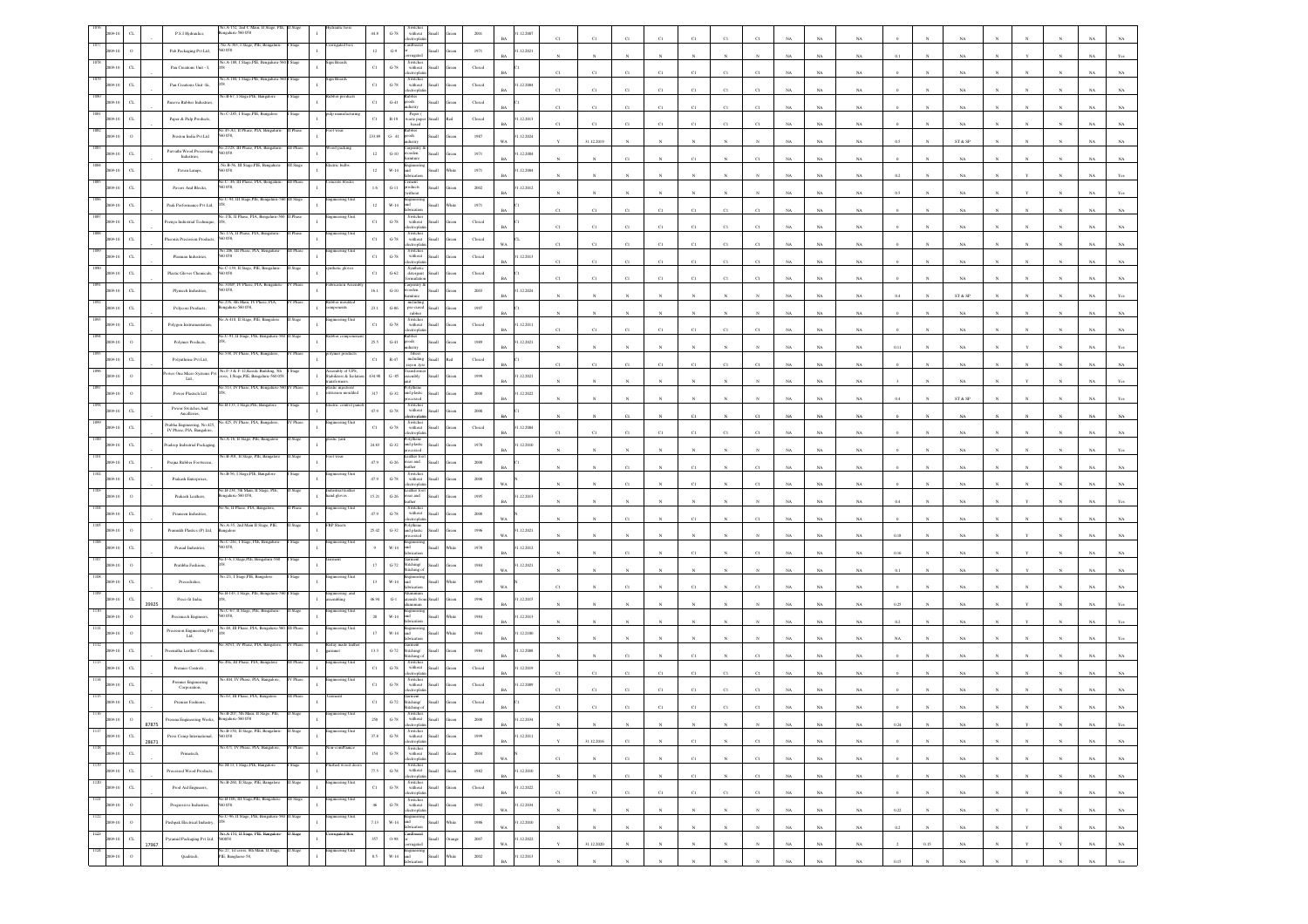|                     |                             | P.S.I Hydraulics,                                                                                                              | a.A-152, 2nd C<br>galaru-560 058                                         |           |                                                    | $44.8\,$       | $\mbox{G-}78$                  | $% \left\vert \left( \mathbf{1}_{\mathbf{1}}\right) \right\rangle$ without<br>ectropha                |                        | 2001                                                | .12.2007                    |              |              |              |                 |                |              |              |             |             |             |             |              |                         |            |              |                 |             |             |
|---------------------|-----------------------------|--------------------------------------------------------------------------------------------------------------------------------|--------------------------------------------------------------------------|-----------|----------------------------------------------------|----------------|--------------------------------|-------------------------------------------------------------------------------------------------------|------------------------|-----------------------------------------------------|-----------------------------|--------------|--------------|--------------|-----------------|----------------|--------------|--------------|-------------|-------------|-------------|-------------|--------------|-------------------------|------------|--------------|-----------------|-------------|-------------|
|                     | $\circ$                     | Pab Packaging Pvt Ltd,                                                                                                         | No.A-363, I Stage, PIE,<br>60 058                                        |           |                                                    | $12\,$         | $\mathbb{G}\mathcal{A}$        | ardboan                                                                                               | Iliami                 | 1971                                                | 1.12.2021                   |              |              |              |                 |                |              |              |             | NA          | NA          |             |              |                         |            |              |                 |             |             |
|                     | $_{\rm CL}$                 | Pan Creations Unit - I,                                                                                                        | A-188, I Stag                                                            |           |                                                    | $_{\rm{C1}}$   | $\,$ G-78 $\,$                 | Switches<br>without                                                                                   | Small                  | Closed                                              |                             | C1           | C1           | C1           | C1              | C1             | C1           | CI           |             | NA          | $_{\rm NA}$ |             |              | NA                      |            |              |                 |             |             |
|                     | $\alpha$                    | Pan Creations Unit -Iii,                                                                                                       | A-184, I Stage, PIE                                                      |           |                                                    | $_{\rm C1}$    | $\,$ G-78 $\,$                 | Switches<br>without<br>ectrophi                                                                       | <b>Iliami</b>          | $\operatorname{Closed}$                             | .12.2004                    | C1           | C1           | C1           | C1              | C1             | $_{\rm CI}$  | CI           |             | $_{\rm NA}$ | NA          |             |              | NA                      |            |              |                 |             |             |
|                     | $C$ L                       | Panova Rubber Industries                                                                                                       |                                                                          |           |                                                    | $_{\rm C1}$    | $G-41$                         | shoot<br>lustry                                                                                       |                        | Closed                                              |                             | C1           | C1           | C1           | C1              | C1             | C1           | C1           | NA          | <b>NA</b>   | NA          |             |              | NA                      |            |              |                 |             |             |
|                     | $_{\mbox{\scriptsize{CL}}}$ | Paper & Pulp Products                                                                                                          | o.C-285, I Stage, PIE, Bangalor                                          |           |                                                    | $_{\rm C1}$    | $\mathbb{R}\text{-}18$         | Paper (<br>waste pap<br>based                                                                         |                        | Closed                                              | .12.2013                    |              | C1           | C1           | C1              | C1             | $_{\rm CI}$  | CI           |             | $_{\rm NA}$ | $_{\rm NA}$ |             |              | NA                      |            |              |                 |             |             |
|                     |                             | Preston India $\mbox{Pvt}\,\mbox{Lat}$                                                                                         | 45-AL II Phi<br>0.58                                                     |           |                                                    | 233.89         | $G-41$                         | shooy                                                                                                 |                        | $1987\,$                                            | .12.2024                    |              | 31.12.2019   |              |                 |                |              |              | NA          | $_{\rm NA}$ | NA          | 0.5         |              | ST & SP                 |            |              |                 |             |             |
|                     | $\alpha$                    | Parvathi Wood Processing<br>Industries,                                                                                        | o.27/28, III Phase, PIA, Bengaluru<br>0.058                              | Phas      | od packing                                         | 12             | $G-10$                         | arpentry.<br>ooden                                                                                    |                        | 1971                                                | 1.12.2004                   |              |              | CI           |                 | C1             |              |              |             | NA          | $_{\rm NA}$ |             |              | NA                      |            |              |                 |             |             |
|                     | $_{\mbox{\scriptsize{CL}}}$ | Pavan Lamps,                                                                                                                   | No.B-56, III Stage, PIE, Bengalur<br>0058                                | I Stage   | tric bully                                         | $12\,$         | $_{\rm W\text{-}14}$           |                                                                                                       |                        | 1971                                                | .12.2004<br><b>BA</b>       |              |              |              |                 |                |              |              |             | $_{\rm NA}$ | $_{\rm NA}$ | 0.2         |              | NA                      |            |              |                 |             |             |
|                     | $_{\rm CL}$                 | Pavers And Blocks,                                                                                                             | C-.46, III Phase, PIA, Bengal<br>D 058,                                  |           | rete block                                         | $1.6\,$        | $G-11$                         | student<br>kithout                                                                                    | Iliami                 | 2002                                                | .12.2012                    |              |              |              |                 |                |              |              |             | $_{\rm NA}$ | NA          | 0.5         |              | NA                      |            |              |                 |             |             |
|                     | $_{\rm{CL}}$                | Peak Performance Pvt Ltd,                                                                                                      | o.C-94, III Stage,PIE, Ben<br>0.17E, II Phase, PIA, Beng                 |           | neering Uni                                        | 12             | $_{\rm W\text{-}14}$           | ыĪ                                                                                                    | Iliam                  | 1971                                                |                             | C1           | C1           | C1           | C1              | $_{\rm C1}$    | C1           | $_{\rm CI}$  | NA          | NA          | $_{\rm NA}$ |             |              | $_{\rm NA}$             |            |              |                 |             |             |
|                     | $_{\rm{CL}}$                | eenya Industrial Technique                                                                                                     |                                                                          |           | gineering Uni                                      | $_{\rm C1}$    | $\operatorname{G-78}$          | Switches<br>without<br>troph                                                                          | iks                    | Closed                                              |                             |              | C1           | C1           | C1              | $_{\rm C1}$    | C1           |              |             | $_{\rm NA}$ | $_{\rm NA}$ |             |              | $_{\rm NA}$             |            |              |                 |             |             |
|                     | $_{\rm CL}$                 | <b>Theonix Precission Products</b> ,                                                                                           | 206 III Phose PLA                                                        |           | neering Uni                                        | $_{\rm Cl}$    | $\mbox{G-78}$                  | Switche<br>without<br>tronic                                                                          | <b>Small</b>           | Closed                                              | WA.                         | C1           | C1           | C1           | C1              | C1             | C1           | CI           | NA          | NA.         | NA          |             |              | NA                      |            |              |                 |             |             |
|                     | $_{\rm{CL}}$                | Plasman Industries,                                                                                                            | 60058                                                                    |           | ering Ur                                           | $_{\rm C1}$    | $G-78$                         | Switches<br>without<br>electroplatin                                                                  | Iliamā                 | Closed                                              | 1.12.2013                   | C1           | $_{\rm C1}$  | $_{\rm CI}$  | C1              | C1             | $_{\rm CI}$  | C1           | NA          | NA          | $_{\rm NA}$ |             |              | $_{\rm NA}$             |            |              |                 |             |             |
|                     | $_{\rm{CL}}$                | Plastic Gloves Chemicals,                                                                                                      | No.C-139, II Stage, PIE, Benga<br>0.058                                  |           | sthetic glove                                      | $_{\rm Cl}$    | $_{\mathrm{G-62}}$             | Synthetic<br>detergent                                                                                | Small                  | ${\it Closed}$                                      |                             | CI           | CI           | CI           | CI              | $_{\rm{Cl}}$   | CI           |              |             | $_{\rm NA}$ | NA          |             |              | NA                      |            |              |                 |             |             |
|                     | $_{\rm CL}$                 | Plymech Industries,                                                                                                            | 318P, IV Phase<br>0.058                                                  |           |                                                    | 16.1           | $\mbox{G-}10$                  | arpentry<br>ooden                                                                                     | <b>Small</b>           | 2003                                                | .12.2024<br>RA              |              |              |              |                 |                |              |              | NA          | NA          | NA          | 0.4         |              | ST & SP                 |            |              |                 |             |             |
|                     | $\alpha$                    | Polycore Products,                                                                                                             | o.276, 4th Main, IV Phase, PIA,<br>ngalaru-560 058,                      |           | sber mouls                                         | $23.1\,$       | $\,$ G-86 $\,$                 | includin<br>$pre-cured$ $rubber$                                                                      |                        | 1997                                                |                             |              |              |              |                 |                |              |              |             | $_{\rm NA}$ | $_{\rm NA}$ |             |              | $_{\rm NA}$             |            |              |                 |             |             |
|                     | $C$ L                       | Polygon Instru                                                                                                                 | A-418, Il Stage, PIE.                                                    |           |                                                    | $_{\rm Cl}$    | $\,$ G-78 $\,$                 | Switche<br>$% \left\vert \left( \mathbf{1}_{\mathbf{1}}\right) \right\rangle$ without<br>ctroph       |                        | $\operatorname{Closed}$                             | .12.2011                    | C1           | C1           | C1           | CI              | $_{\rm Cl}$    | $_{\rm CI}$  | C1           | NA          | $_{\rm NA}$ | NA          |             |              | NA                      |            |              |                 |             |             |
|                     |                             | Polymer Products,                                                                                                              | .C-91, II Stage, PIE, Bengaluru                                          |           |                                                    | $25.5\,$       | $_{\mathrm{G-}41}$             | goods                                                                                                 | <b>Illett</b>          | 1989                                                | .12.2021<br><b>BA</b>       |              | $\mathbf{x}$ | N            |                 | $\mathbf{N}$   | N            |              | NA          | $_{\rm NA}$ | $_{\rm NA}$ | 0.11        |              | NA                      |            |              |                 |             |             |
|                     | $\alpha$                    | Polyuthrine Pvt Ltd,                                                                                                           | 538. IV Phase, PIA, Bangalore                                            |           |                                                    | $_{\rm C1}$    | $\mbox{R-}47$                  | fibers<br>$\operatorname{including}$<br>ret, noes                                                     | all a                  | ${\it Closed}$                                      |                             | C1           | C1           | $_{\rm CI}$  | $_{\rm C1}$     | $_{\rm C1}$    | $_{\rm C1}$  | C1           | $_{\rm NA}$ | $_{\rm NA}$ | $_{\rm NA}$ |             |              | $_{\rm NA}$             |            |              |                 |             |             |
|                     | $\circ$                     | wer One Micro Systems Pvt<br>Lad.                                                                                              | No.F-3 & F-12 Ksside Building, 5th<br>ss, I Stage, PIE, Bengaluru-560 05 |           | mbly of UPS.<br>bilizers & Isolation<br>asformers. | 434.98         | $\,$ G $-85$                   | sembly                                                                                                | <b>Illam</b>           | 1999                                                | 1.12.2021                   |              |              |              |                 |                |              |              |             | $_{\rm NA}$ | NA          |             |              |                         |            |              |                 |             |             |
|                     | $\circ$                     | Power Plastech Ltd                                                                                                             | 513, IV Phase, PIA, Bengal                                               | Phas      | stic injection/<br>usion moulded                   | $317\,$        | $G-32$                         | and plastic                                                                                           | Small                  | $2000\,$                                            | 1.12.2022<br>RA             |              |              |              |                 |                |              |              |             | NA          | $_{\rm NA}$ | 0.4         |              | ${\rm ST}$ & ${\rm SP}$ |            |              |                 |             |             |
|                     | $_{\mbox{\scriptsize{CL}}}$ | Power Switches And<br>Ancilleries,                                                                                             | B-133, I Stage, PIE, Bar                                                 |           |                                                    | $47.9\,$       | $\,$ G-78 $\,$                 | Switches<br>without<br>:troph                                                                         |                        | $2000\,$                                            |                             |              |              | C1           |                 | C1             |              | $_{\rm CI}$  |             | $_{\rm NA}$ | $_{\rm NA}$ |             |              | $_{\rm NA}$             |            |              |                 |             |             |
|                     | $_{\rm CL}$                 | rabha Engineering, No.425,<br>IV Phase, PIA, Bangalore                                                                         | 425, IV Phase, PIA, Bang                                                 |           | neering U                                          | $_{\rm C1}$    | $\mbox{G-78}$                  | Switches<br>without<br>tronic                                                                         |                        | Closed                                              | 1.12.2004<br>RA             | C1           | C1           | C1           | C1              | C1             | C1           | CI           |             | NA          | NA          |             |              | NA                      |            |              |                 |             |             |
|                     | $_{\rm{CL}}$                | radeep Indsutrial Packagin                                                                                                     | A-16, II Stage, PIE, I                                                   |           |                                                    | $_{\rm 24.83}$ | $_{\mathrm{G-32}}$             | and plastic<br>processed                                                                              | Small                  | 1978                                                | 1.12.2010<br>RA             |              |              |              |                 |                |              |              | NA          | $_{\rm NA}$ | $_{\rm NA}$ |             |              | $_{\rm NA}$             |            |              |                 |             |             |
|                     | $_{\rm{CL}}$                | Prajna Rubber Footweras,                                                                                                       | o.B-301, II Stage, PIE, Ban                                              |           |                                                    | $47.9\,$       | $\,$ G-26 $\,$                 | ather fo<br>vear and<br>ther                                                                          | Small                  | $2000\,$                                            |                             |              |              | $_{\rm CI}$  |                 | $_{\rm C1}$    |              | CI           | NA          | $_{\rm NA}$ | NA          |             |              | NA                      |            |              |                 |             |             |
|                     | $_{\rm CL}$                 | Prakash Enterprises,                                                                                                           | o.B-56, I Stage,PIE,                                                     |           |                                                    | 47.9           | $\,$ G-78 $\,$                 | Switche<br>without<br>rorda                                                                           | Small                  | 2000                                                |                             |              |              | C1           |                 | C1             |              |              |             | NA          | NA          |             |              | NA.                     |            |              |                 |             |             |
|                     | $\Omega$                    | Prakash Leathers,                                                                                                              | 40.B-234, 5th Main, II Stage, PIE<br>sgalaru-560 058,                    |           | lustrial leath:<br>and gloves                      | 15.21          | $\,$ G-26 $\,$                 | cather for<br>vear and                                                                                | <b>Illam</b>           | 1995                                                | .12.2013                    |              |              |              |                 |                |              |              |             | NA          | $_{\rm NA}$ |             |              |                         |            |              |                 |             |             |
|                     | $\alpha$                    | Prameen Industries,                                                                                                            | 9a. II Phase, PIA.                                                       |           |                                                    | $47.9\,$       | $\,$ G-78 $\,$                 | with out<br>ctroph                                                                                    |                        | $2000\,$                                            |                             |              |              | C1           |                 | $_{\rm CI}$    |              | CI           |             | $_{\rm NA}$ | NA          |             |              | NA                      |            |              |                 |             |             |
|                     |                             | Pramukh Plastics (P) Ltd.                                                                                                      | 40.A-35, 2nd Main II Stage, PIE,<br>sgalore                              |           | P Sheet                                            | 25.42          | $G-32$                         | and plastic                                                                                           |                        | 1996                                                | 1.12.2021<br>W a            |              |              |              |                 |                |              |              |             | NA          | NA          | 0.18        |              | NA                      |            |              |                 |             |             |
|                     |                             | Prasad Industries,                                                                                                             | 40.C-261, I Stage, PIE, Bengalur<br>0058                                 |           | ineering Unit                                      |                | $_{\rm W\text{-}14}$           |                                                                                                       |                        | 1978                                                | .12.2012                    |              |              | C1           |                 | C1             |              | C1           |             | $_{\rm NA}$ | $_{\rm NA}$ | $0.16\,$    |              | $_{\rm NA}$             |            |              |                 |             |             |
|                     |                             | Pratibha Fashions,                                                                                                             | o.F-6, I Stage,PIE, Bo                                                   |           |                                                    | $17\,$         | $_{\mathrm{G-72}}$             | stitching/<br>titching                                                                                | Ilian                  | $1984\,$                                            | .12.2021<br>WA              |              |              |              |                 |                |              |              | NA          | $_{\rm NA}$ | NA          | 0.1         |              | NA                      |            |              |                 |             |             |
|                     |                             | Precedralics,                                                                                                                  | o.2/1, 1 Stage,PIE, Bangale                                              |           | ering U                                            | 13             | $W-14$                         | ind                                                                                                   | Iliam                  | 1989                                                |                             |              |              | CI           |                 | $\overline{c}$ |              |              |             | NA          | $_{\rm NA}$ |             |              | NA                      |            |              |                 |             |             |
|                     | $_{\rm{CL}}$<br>39925       | Preci-fit India,                                                                                                               | 46.B-143, I Stage, PIE, Bengaluru-5                                      |           | agineering and                                     | 46.94          | $\mathbf{G}\text{-}\mathbf{1}$ | isils fr                                                                                              |                        | 1996                                                | 1.12.2015<br><b>BA</b>      |              |              |              |                 |                |              |              |             | NA          | $_{\rm NA}$ | 0.25        |              | NA                      |            |              |                 |             |             |
|                     |                             | Precimech Engineers                                                                                                            | o.C-67, II Stage, PIE, Bengal<br>058                                     |           | teering Uni                                        | $20\,$         | $W-14$                         | ricatio                                                                                               | Iliami                 | 1984                                                | 1.12.2013<br>RA             |              |              |              |                 |                |              |              |             | NA          | NA          | 02          |              | NA                      |            |              |                 |             |             |
|                     |                             | Precission Engineering Pvt $\operatorname{Lid},$                                                                               | 48, III Phase, PL                                                        |           | ring U                                             | 17             | $W-14$                         |                                                                                                       | Iliam                  | 1984                                                | 1.12.2100                   |              |              |              |                 |                |              |              | NA          | NA          | $_{\rm NA}$ | NA          |              | $_{\rm NA}$             |            |              |                 |             |             |
|                     | $_{\rm{CL}}$                | cemitha Leather Creatic                                                                                                        | a 345/1, IV Phase, PIA, Bangal                                           | Phase     | čeday made lea<br>jarmnet                          | $13.3\,$       | $\operatorname{G-72}$          | curment<br>Stitching/<br>Stitching o                                                                  |                        | $1984\,$                                            | .12.2008                    |              |              | C1           |                 | $_{\rm C1}$    |              | CI           |             | $_{\rm NA}$ | NA          |             |              | NA                      |            |              |                 |             |             |
|                     | $_{\rm CL}$                 | Premier Controls                                                                                                               | 9a, III Phase, PIA, I                                                    |           | eering l                                           | $_{\rm Cl}$    | $\mbox{G-}78$                  | Switche<br>without<br>tronic                                                                          | Iliami                 | Closed                                              | 1.12.2019<br><b>BA</b>      | C1           | C1           | C1           | C1              | C1             | C1           |              | NA          | NA.         | NA          |             |              | NA                      |            |              |                 |             |             |
|                     | $_{\mbox{\scriptsize{CL}}}$ | $\begin{minipage}{.4\linewidth} \begin{tabular}{l} \bf{Premic}\; Engineering \\ \bf{Corporation} \end{tabular} \end{minipage}$ | 1.404, IV Phase, PIA, Bang                                               |           | teering Uni                                        | $_{\rm C1}$    | $G-78$                         | Switcher<br>without<br>electroplati                                                                   | <b>Iliami</b>          | Closed                                              | 1.12.2009                   |              | C1           | C1           | C1              | C1             | C1           |              |             | NA          | NA          |             |              |                         |            |              |                 |             |             |
|                     | $\alpha$                    | Premier Fashions,                                                                                                              | 0.63, III Phase, PIA, Bang                                               |           |                                                    | $_{\rm Cl}$    | $\operatorname{G-72}$          | .<br>Stitching/<br>itching                                                                            |                        | $\operatorname{Closed}$                             |                             |              |              |              |                 |                |              |              |             |             |             |             |              |                         |            |              |                 |             |             |
|                     | 87875                       | rerana Enzis                                                                                                                   |                                                                          |           |                                                    | 250            | $\,$ G-78 $\,$                 | Switches<br>without                                                                                   |                        | 2008                                                | .12.2034<br>BA <sub>1</sub> | $\mathbb{N}$ | N            | N            |                 | $\mathbb{N}$   | $_{\rm N}$   | $\mathbb{N}$ | NA          | NA.         | NA.         | 0.24        | N            | NA.                     | N          | $\mathbf{v}$ | N               |             | NA Yes      |
| $1117\,$<br>2009-10 | ${\rm CL}$<br>28671         | Press Comp International,                                                                                                      | No.B-150, Il Stage, PIE, Bengaluru-<br>560 058                           | II Stage  | ngineering Unit                                    | $37.8\,$       | $G-78$                         | $\begin{tabular}{ll} Switches \\ without \\ electron data \\ \end{tabular}$                           | ${\tt Green}$          | 1999                                                | 31.12.2011<br>$_{\rm BA}$   |              | 31.12.2016   | $_{\rm C1}$  | $_{\rm N}$      | $_{\rm C1}$    | $_{\rm N}$   | $_{\rm C1}$  | $_{\rm NA}$ | $_{\rm NA}$ | $_{\rm NA}$ |             |              | $_{\rm NA}$             |            |              |                 | $_{\rm NA}$ | $_{\rm NA}$ |
| 1118<br>2009-10     | $_{\rm{CL}}$                | Primetech,                                                                                                                     | No.471, IV Phase, PIA, Bangalore,                                        | IV Phase  | comPliance                                         | $154\,$        | $_{\mathrm{G-78}}$             | Switches<br>without Small<br>electroplatin                                                            | Green                  | $\,$ 2004 $\,$                                      | WA                          | C1           | N            | C1           | $_{\rm N}$      | C1             | $_{\rm N}$   | C1           | $_{\rm NA}$ | $_{\rm NA}$ | NA          |             | $_{\rm N}$   | NA                      | N          | $_{\rm N}$   | $_{\rm N}$      | NA          | NA          |
| 1119<br>2009-10     | $_{\rm CL}$                 | Processed Wood Products,                                                                                                       | óo M-13, I Stage,PIE, Bangalore                                          | Stage     | ished wood door<br>$\mathbf{I}$                    | $\eta_{.5}$    |                                | $\begin{tabular}{c} \bf Swithes \\ \bf G-78 & \bf without \\ \end{tabular}$<br>electroplatin          | $\rm{Green}$           | 1982                                                | 31.12.2010<br>$_{\rm BA}$   | $_{\rm N}$   | $_{\rm N}$   | $_{\rm C1}$  | $_{\rm N}$      | $_{\rm C1}$    | $_{\rm N}$   | $_{\rm C1}$  | $_{\rm NA}$ | $_{\rm NA}$ | $_{\rm NA}$ |             | $_{\rm N}$   | $_{\rm NA}$             | $_{\rm N}$ | $\mathbb{N}$ | $_{\rm N}$      | $_{\rm NA}$ | $_{\rm NA}$ |
| 1120<br>2009-10     | $_{\rm CL}$                 | Prod Aid Engineers,                                                                                                            | No.B-260, II Stage, PIE, Bangalore                                       | II Stage  | ngineering Unit                                    | $_{\rm C1}$    | $\,$ G-78 $\,$                 | Switches<br>without<br>electroplatin                                                                  | Small<br>${\rm Green}$ | $\operatorname*{Closed}% \left( \mathcal{M}\right)$ | 31.12.2022<br>$_{\rm BA}$   | $_{\rm C1}$  | $_{\rm C1}$  | $_{\rm C1}$  | $_{\rm C1}$     | $_{\rm C1}$    | $_{\rm C1}$  | $_{\rm C1}$  | $_{\rm NA}$ | $_{\rm NA}$ | $_{\rm NA}$ |             |              | $_{\rm NA}$             |            | $_{\rm N}$   | $_{\mathrm{N}}$ | $_{\rm NA}$ | $_{\rm NA}$ |
| 1121<br>2009-10     | $\alpha$                    | Progressive Industries,                                                                                                        | No.B-106, III Stage,PIE, Bengaluru-<br>i0 058                            | III Stage | ngineering Unit                                    | $46\,$         | $\,$ G-78 $\,$                 | $\begin{tabular}{ll} \hline Switches \\ without & Small \end{tabular}$<br>electroniatin               | Green                  | 1992                                                | 31.12.2034<br>WA            |              | N            | $\mathbf{N}$ | $\mathbf{N}$    | $_{\rm N}$     | $\mathbf{N}$ | $_{\rm N}$   | NA          | NA          | NA          | 0.22        | $\mathbf{N}$ | NA                      |            |              | $_{\rm N}$      | NA          | NA          |
| 1122<br>2009-10     | $\circ$                     | Pushpak Electrical Industry,                                                                                                   | o.C-96, Il Stage, PIE, Bengalaru-560                                     | Stage     | gineering Unit<br>$\mathbf{I}$                     | $7.13\,$       |                                | $\begin{tabular}{c} W.14 \end{tabular} \begin{tabular}{l} \hline Engineering \\ and \\ \end{tabular}$ | Small<br>White         | $1986\,$                                            | 31.12.2010<br>$_{\rm WA}$   | $\mathbf{N}$ | $_{\rm N}$   | $\mathbf{N}$ | $\mathbf{N}$    | $_{\rm N}$     | $\mathbf{N}$ | $\mathbf{N}$ | $_{\rm NA}$ | $_{\rm NA}$ | $_{\rm NA}$ | $0.2\,$     | $\sim$       | $_{\rm NA}$             |            |              | $\mathbf{N}$    | $_{\rm NA}$ | $_{\rm NA}$ |
| 1123<br>2009-10     | $_{\rm CL}$<br>17967        | Pyramid Packaging Pvt Ltd, 560058                                                                                              | No.A-151, II Stage, PIE, Bangalore-                                      | II Stage  | orrugated Box<br>$\mathbf{I}$                      | $357\,$        | $0.98\,$                       | Cardboard<br>gated                                                                                    | Small<br>trang         | $2007\,$                                            | 1.12.2022<br>$_{\rm WA}$    |              | 31.12.2020   | $_{\rm N}$   | $_{\mathrm{N}}$ | $_{\rm N}$     | $_{\rm N}$   | $_{\rm N}$   | $_{\rm NA}$ | $_{\rm NA}$ | $_{\rm NA}$ | $\,$ 2 $\,$ | $0.15\,$     | $_{\rm NA}$             |            | $\mathbf{Y}$ | $_{\rm Y}$      | $_{\rm NA}$ | $_{\rm NA}$ |
| 1124<br>009-10      | $\,$ $\,$                   | Qualitech,                                                                                                                     | No.27, 1st cross, 8th Main, II Stage,<br>PIE, Banglaore-58,              | II Stage  | ingineering Unit                                   | $8.5\,$        | $_{\rm W\text{-}14}$           | Engineering<br>and                                                                                    | Small<br>White         | $2002\,$                                            | 31.12.2013<br><b>BA</b>     |              |              |              |                 | $\mathbf{N}$   |              |              | NA          | NA          | NA          | 0.15        |              | <b>NA</b>               |            |              | $_{\rm N}$      | NA          | Yes         |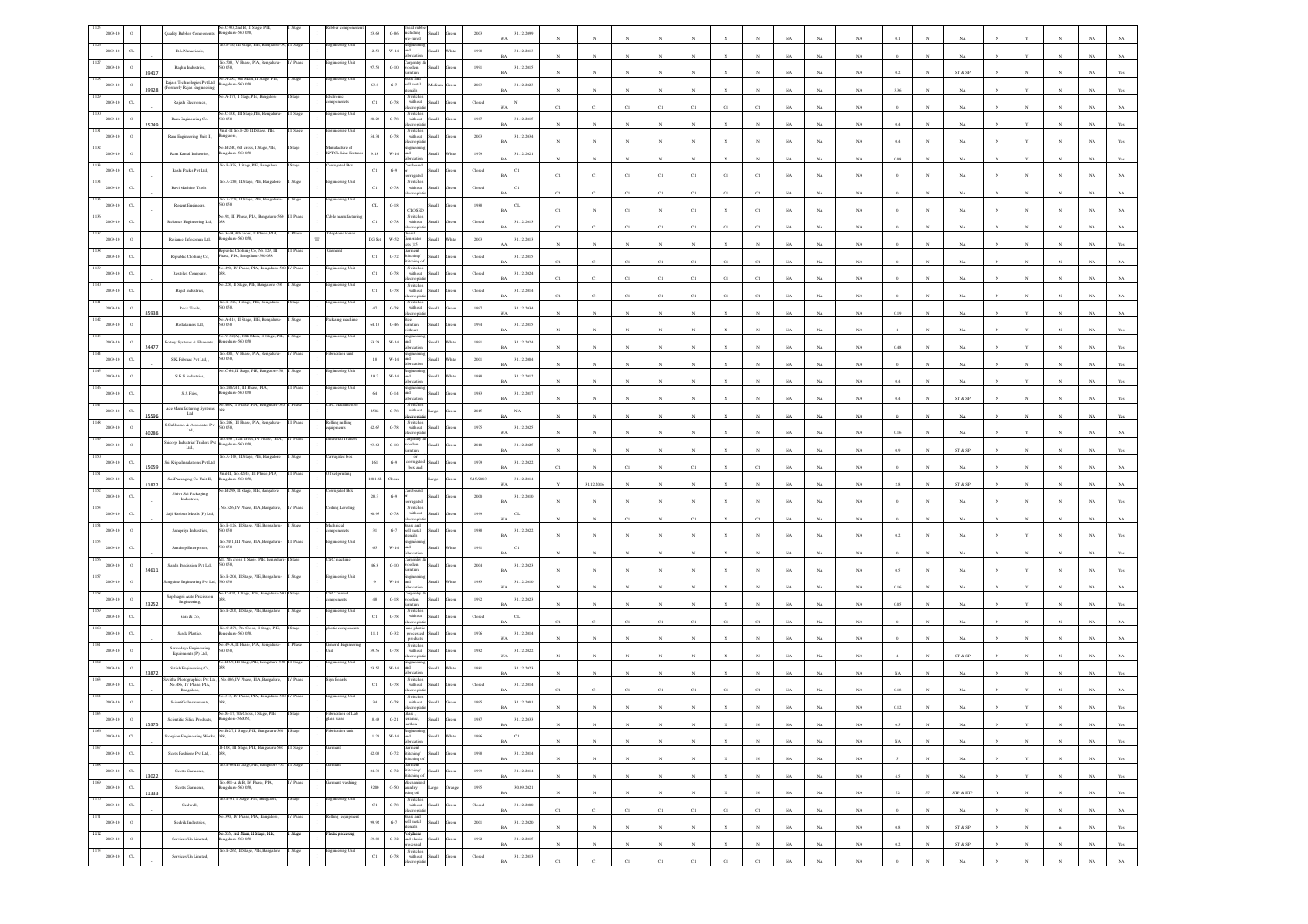|      |             |                  |       | io.C-90, 2nd B, II Stage.<br>galaru-560 058,                                                                                    |           |                                   |             | $G-86$<br>cluding                                                                                                                                                                                                                                                                                                    |       |                         | .12.2099                    |              |             |                |              |              |              |             |             |             |             |             |              |                                |              |              |            |             |                   |
|------|-------------|------------------|-------|---------------------------------------------------------------------------------------------------------------------------------|-----------|-----------------------------------|-------------|----------------------------------------------------------------------------------------------------------------------------------------------------------------------------------------------------------------------------------------------------------------------------------------------------------------------|-------|-------------------------|-----------------------------|--------------|-------------|----------------|--------------|--------------|--------------|-------------|-------------|-------------|-------------|-------------|--------------|--------------------------------|--------------|--------------|------------|-------------|-------------------|
|      |             | $\alpha$         |       | Vo.P-10, III Stage, PIE, Banglaore-58, III Stage<br>R.L.Numericals,                                                             |           | eering Uni                        | 12.58       | $_{\rm W\text{-}14}$<br>вš                                                                                                                                                                                                                                                                                           |       | $19\%$                  | 1.12.2013                   |              |             |                |              |              |              |             |             |             |             |             |              |                                |              |              |            |             |                   |
|      |             | $\Omega$         |       | 508, IV Phase<br>Raghu Industries,<br>058.                                                                                      |           |                                   | 97.58       | arpentry<br>$_{\mathrm{G-10}}$<br>rooden                                                                                                                                                                                                                                                                             |       | 1991                    | 1.12.2015                   |              |             |                |              |              |              |             |             | NA          |             |             |              |                                |              |              |            |             |                   |
|      |             |                  | 39417 | No.A-285, 6th Main, II Stree, PIE<br>galaru-560 058.                                                                            |           | eering Uni                        |             | rass and                                                                                                                                                                                                                                                                                                             |       |                         | RA                          |              |             |                |              |              |              |             |             | NA          | NA          |             |              | ST & SP                        |              |              |            |             |                   |
|      |             |                  | 39928 | Rajass Technologies Pvt Ltd<br>(Formerly Rajas Engineering)<br>A-178, I Stage,PIE, B                                            |           |                                   | 63.8        | $\mbox{G-7}$<br>bell metal<br>utensils<br>Switches<br>without                                                                                                                                                                                                                                                        |       | $2003\,$                | .12.2023                    |              |             |                |              |              |              |             |             | NA          | $_{\rm NA}$ | 3.36        |              | $_{\rm NA}$                    |              |              |            |             |                   |
|      |             |                  |       | Rajesh Electronics,<br>o.C-100, III Stage,PIE, Benga                                                                            |           | coenets                           | $_{\rm C1}$ | $_{\mathrm{G-78}}$<br>ctroph                                                                                                                                                                                                                                                                                         |       | Closed                  |                             | C1           | C1          | C1             | CI           | $_{\rm Cl}$  | C1           | CI          |             | NA          | NA          |             |              | NA                             |              |              |            |             |                   |
|      |             |                  | 25749 | Ram Engineering Co.<br>0.58                                                                                                     |           | eering Uni                        | 30.29       | Switches<br>without<br>$G-78$                                                                                                                                                                                                                                                                                        |       | 1987                    | 1.12.2015<br><b>BA</b>      |              |             |                |              |              |              |             |             | NA          | $_{\rm NA}$ | 0.4         |              | $_{\rm NA}$                    |              |              |            |             |                   |
|      |             |                  |       | hit -II No.P-20, III Stage, PIE,<br>Ram Engineering Unit II,                                                                    |           | teering Uni                       | 54.34       | Switches<br>without<br>$\,$ G-78 $\,$<br>ectroph                                                                                                                                                                                                                                                                     |       | $2003\,$                | 1.12.2034                   |              |             |                |              |              |              |             |             | $_{\rm NA}$ | $_{\rm NA}$ |             |              | $_{\rm NA}$                    |              |              |            |             |                   |
|      |             |                  |       | 40.B-240, 6th cross, I Stage,PII<br>kengaluru-560 058<br>Ram Kamal Industries,                                                  |           | Manufacture of<br>KPTCL Line Fixt | 9.18        | вš<br>$W-14$<br>dyicatic                                                                                                                                                                                                                                                                                             |       | 1979                    | 1.12.2021                   |              |             |                |              |              |              |             |             | NA          | NA          |             |              |                                |              |              |            |             |                   |
|      |             | $C_{L}$          |       | o.B-376, I Stage,PIE, Banga<br>Rashi Packs Pvt Ltd,                                                                             |           |                                   | $_{\rm C1}$ | $\mbox{G-9}$                                                                                                                                                                                                                                                                                                         |       | $\operatorname{Closed}$ |                             |              |             |                |              |              |              |             |             |             |             |             |              |                                |              |              |            |             |                   |
|      |             |                  |       | io.A-289, Il Stage, PIE, Bangalor<br>Ravi Machine Tools,                                                                        |           | eering Uni                        | $_{\rm C1}$ | Switches<br>without<br>$\,$ G-78 $\,$                                                                                                                                                                                                                                                                                |       | Closed                  | BA                          |              |             |                |              | C1           | ċ            |             |             | NA          | $_{\rm NA}$ |             |              |                                |              |              |            |             |                   |
|      | $\sigma$    |                  |       | o.A-279, II Stage, PIE, Bengalur                                                                                                |           | gineering Un                      | $_{\rm CL}$ | lectropla<br>$G-18$                                                                                                                                                                                                                                                                                                  |       | 1988                    |                             | C1           | C1          | $\overline{c}$ | $_{\rm C1}$  | C1           | C1           |             |             | NA          | $_{\rm NA}$ |             |              | $_{\rm NA}$                    |              |              |            |             |                   |
|      |             |                  |       | Regent Engineers,<br>058<br>98, III Phase, PIA, B                                                                               |           |                                   |             | CLOSED<br>Switches                                                                                                                                                                                                                                                                                                   |       |                         | RA                          |              |             | CI             |              | CI           |              |             |             | NA          | NA          |             |              | NA                             |              |              |            |             |                   |
|      | C1          |                  |       | Reliance Engineering Ltd,<br>34-B. 4th cross, II Phase, PIA.                                                                    |           |                                   | $_{\rm C1}$ | $G-78$<br>without<br>oll.<br>tiesel                                                                                                                                                                                                                                                                                  |       | Closed                  | 1.12.2013<br><b>BA</b>      | $_{\rm Cl}$  | $_{\rm C1}$ | $_{\rm C1}$    | C1           | C1           | C1           | CI          |             | NA          | $_{\rm NA}$ |             |              | $_{\rm NA}$                    |              |              |            |             |                   |
|      |             |                  |       | galaru-560 058<br>Reliance Infocomm Ltd,                                                                                        |           |                                   | DG Set      | $_{\rm W\text{-}52}$<br>enerator<br>ts (15                                                                                                                                                                                                                                                                           |       | $2003\,$                | .12.2013                    |              |             |                |              |              |              |             |             | NA          | NA          |             |              | NA                             |              |              |            |             |                   |
|      | $\sigma$    |                  |       | blic Clothing Co, No.129, I<br>Republic Clothing Co,<br>ase, PIA, Bengaluru-560 058                                             |           |                                   | $_{\rm C1}$ | armen<br>$G-72$<br>ititching/<br>ititching o                                                                                                                                                                                                                                                                         |       | Closed                  | 1.12.2015<br>RA             |              |             |                |              | C1           | cт           |             |             | NA          | NA.         |             |              |                                |              |              |            |             |                   |
|      |             |                  |       | 40.490, IV Phase, PIA, Bengaluru-3<br>Restolex Company,                                                                         |           | cering Uni                        | $_{\rm C1}$ | Switches<br>without<br>$G-78$<br>ctropi                                                                                                                                                                                                                                                                              |       | $\operatorname{Closed}$ | 1.12.2024<br><b>BA</b>      |              |             |                |              |              |              |             |             | NA          | NA          |             |              |                                |              |              |            |             |                   |
|      |             |                  |       | 228, II Stage, PIE, Ban<br>Rigid Industries,                                                                                    |           |                                   | $_{\rm C1}$ | Switches<br>without<br>$\,$ G-78 $\,$                                                                                                                                                                                                                                                                                |       | Closed                  | .12.2014                    | C1           | CI          | CI             | CI           | C1           | CI           |             |             | NA          | $_{\rm NA}$ |             |              | NA                             |              |              |            |             |                   |
|      |             |                  |       | Vo.B-326, I Stage, PIE, Bengaluru<br>Rock Tools,<br>058.                                                                        |           | eering Uni                        | 47          | ectropi<br>Switches<br>without<br>$G-78$                                                                                                                                                                                                                                                                             |       | 1997                    | 1.12.2034                   |              |             |                |              |              |              |             |             |             |             |             |              |                                |              |              |            |             |                   |
|      |             |                  | 85938 | io.A-414, II Stage, PIE, Bengalun<br>Rollatainers Ltd,<br>058                                                                   |           | ckaing mach                       | $64.18\,$   | teel<br>$\mbox{G-46}$<br>umiture                                                                                                                                                                                                                                                                                     |       | 1994                    | W <sub>A</sub><br>1.12.2015 |              |             |                |              |              |              |             |             | NA          | $_{\rm NA}$ | 0.19        |              | $_{\rm NA}$                    |              |              |            |             |                   |
|      |             |                  |       | io.V-32(A), 10th Main, II Stage, PII                                                                                            |           | eering Uni                        |             | hout                                                                                                                                                                                                                                                                                                                 |       |                         | <b>BA</b>                   |              |             |                |              |              |              |             |             | $_{\rm NA}$ | $_{\rm NA}$ |             |              | $_{\rm NA}$                    |              |              |            |             |                   |
|      |             | $\Omega$         | 24477 | Rotary Systems & Elements<br>sgalaru-560 058<br>io.400, IV Phase, PIA                                                           |           |                                   | 53.23       | $W-14$<br>ht<br>derication                                                                                                                                                                                                                                                                                           |       | 1991                    | 1.12.2024<br>BA             |              |             |                |              |              | N            |             | NA          | $_{\rm NA}$ | $_{\rm NA}$ | 0.48        |              | $_{\rm NA}$                    |              |              |            |             |                   |
|      | C1          |                  |       | S.K.Fabmac Pvt Ltd.,<br>0058.<br>io.C-64, II Stage, PIE, Banglaore-S                                                            | Stag      | eineering Uni                     | 18          | $W-14$<br>hn                                                                                                                                                                                                                                                                                                         |       | 2001                    | 31.12.2004                  |              |             |                |              |              |              |             |             | NA          | $_{\rm NA}$ |             |              | $_{\rm NA}$                    |              |              |            |             |                   |
|      |             |                  |       | S.R.S Industries,                                                                                                               |           |                                   | 19.7        | $W-14$<br>hd                                                                                                                                                                                                                                                                                                         |       | 1988                    | 1.12.2012<br><b>BA</b>      |              |             |                |              |              |              |             |             | NA          | $_{\rm NA}$ |             |              |                                |              |              |            |             |                   |
|      |             | $\alpha$         |       | o.240/241, III Phase, PIA,<br>ngaluru-560 058<br>S.S.Fabs,                                                                      |           | eering Un                         | 64          | $G-14$                                                                                                                                                                                                                                                                                                               |       | 1983                    | 1.12.2017<br><b>BA</b>      |              |             |                |              |              |              |             |             | NA          | NA          |             |              | ST & SP                        |              |              |            |             |                   |
|      | $\alpha$    |                  |       | 3.40A, II Phase, PIA<br>Ace Manufacturing System $$\tt Lid$$                                                                    |           |                                   | 2502        | Switche<br>without<br>dectroplati<br>$G-78$                                                                                                                                                                                                                                                                          |       | 2015                    |                             |              |             |                |              |              |              |             |             | N/          | $_{\rm NA}$ |             |              | NA                             |              |              |            |             |                   |
|      |             |                  |       | No.246, III Phase, PIA, Bengaluru<br>560 058,<br>S.Subbarao & Associates Pvt<br>Ltd.                                            |           | olling milling<br>uipments        | 42.67       | Switches<br>without<br>$_{\mathrm{G-78}}$                                                                                                                                                                                                                                                                            |       | 1975                    | 1.12.2025                   |              |             |                |              |              |              |             |             |             |             |             |              |                                |              |              |            |             |                   |
|      |             | $\Omega$         | 10286 | o.436, 12th cross, l'<br><b>Saicorp Industrial Trailers Pvt</b><br>ngalaru-560 058,<br>Ltd.,                                    |           |                                   | 93.62       | ectropha<br>rpentr<br>$G-10$<br>ooden                                                                                                                                                                                                                                                                                |       | 2010                    | WA<br>1.12.2025             |              |             |                |              |              |              |             |             | NA          | NA          | 0.16        |              | NA                             |              |              |            |             |                   |
|      | $_{\rm C1}$ |                  |       | Vo.A-105, Il Stage, PIE, Ba<br>Sai Kripa Insulations Pvt Ltd                                                                    |           | rugated box                       | 161         | or<br>$\mbox{G-9}$                                                                                                                                                                                                                                                                                                   |       | $1979\,$                | <b>BA</b><br>.12.2022       |              |             |                |              |              |              |             |             | NA          | NA          | 0.9         |              | ST & SP                        |              |              |            |             |                   |
|      |             | $_{\rm{CL}}$     | 15059 | Jul-II, No.42/43, III Pt<br>sgalaru-560 058,                                                                                    |           |                                   | 801.97      | corrugates<br>box and                                                                                                                                                                                                                                                                                                |       |                         |                             | C1           |             |                |              |              |              |             |             | $_{\rm NA}$ | $_{\rm NA}$ |             |              | $_{\rm NA}$                    |              |              |            |             |                   |
|      |             |                  | 11822 | Sai Packaging Co Unit-II,<br>io.B-298, II Stage, PIE, Bangalore<br>Shiva Sai Packaging                                          | Stag      | rugated Box                       |             |                                                                                                                                                                                                                                                                                                                      |       | 5/15/2003               | 1.12.2014<br>W/             |              | 31.12.2016  |                |              |              |              |             |             | NA          | NA          |             |              | ST & SP                        |              |              |            |             |                   |
|      |             |                  |       | Industries,<br>o.526, IV Phase, PIA, Bangalor                                                                                   |           | <b>Ing Levelin</b>                | 28.3        | $\mbox{G-9}$<br>Switche                                                                                                                                                                                                                                                                                              |       | $2000\,$                | 1.12.2010<br>BA             |              |             |                |              |              |              |             |             | NA          | $_{\rm NA}$ |             |              | NA                             |              |              |            |             |                   |
|      |             |                  |       | Saji Harious Metals (P) Ltd                                                                                                     |           |                                   | 90.95       | $\,$ G-78 $\,$<br>$% \left\vert \left( \mathbf{1}_{\mathbf{1}}\right) \right\rangle$ without<br>ectropi                                                                                                                                                                                                              |       | 1999                    |                             |              |             |                |              |              |              |             |             | NA          | $_{\rm NA}$ |             |              | $_{\rm NA}$                    |              |              |            |             |                   |
|      |             |                  |       | o.B-126, II Stage, PIE, Bengalur<br>Sampriya Industries,<br>058                                                                 |           | chnical<br>onenets                | 31          | Brass and<br>bell metal<br>$_{\mathrm{G-7}}$<br>sils                                                                                                                                                                                                                                                                 |       | $1988\,$                | 1.12.2022<br>BA             |              |             |                |              |              |              |             |             | NA          | NA          | 0.2         |              | NA                             |              |              |            |             |                   |
|      | $\alpha$    |                  |       | 54/1, III Phase, PIA, Bengalu<br>Sandeep Enterprises<br>058                                                                     |           | teering Uni                       | 65          | $W-14$<br>ht                                                                                                                                                                                                                                                                                                         |       | 1991                    |                             |              |             |                |              |              |              |             |             | NA          | $_{\rm NA}$ |             |              | $_{\rm NA}$                    |              |              |            |             |                   |
|      |             | $\circ$          | 24611 | 1, 5th cross, I Stage, PIE, Beng<br>Sands Precission Pvt Ltd,<br>058                                                            |           | C machin                          | 46.8        | arpentr<br>$_{\mathrm{G-10}}$<br>oden<br>itun                                                                                                                                                                                                                                                                        |       | $2004\,$                | .12.2023                    |              |             |                |              |              |              |             |             | $_{\rm NA}$ | $_{\rm NA}$ | 0.5         |              | $_{\rm NA}$                    |              |              |            |             |                   |
|      |             |                  |       | No.B-204, II Stage, PIE, Bengaluri<br>nguine Engineering Pvt Ltd<br>058                                                         |           | gineering Un                      |             | J<br>$W-14$                                                                                                                                                                                                                                                                                                          |       | 1983                    | 1.12.2010                   |              |             |                |              |              |              |             |             |             |             |             |              |                                |              |              |            |             |                   |
|      | $\circ$     |                  |       | io.C-426, I Stage, PIE, Ber<br>${\begin{tabular}{l} \bf Sapthagini Auto Precision \\ \bf Engineering, \end{tabular}}$           |           | C Turned                          | $48\,$      | dyicatic<br>arpentry.<br>$G-18$<br>ooden                                                                                                                                                                                                                                                                             |       | 1992                    | W <sub>A</sub><br>1.12.2023 |              |             |                |              |              |              |             |             | NA          | NA          |             |              |                                |              |              |            |             |                   |
|      |             |                  | 23252 | io.B-208, II Stage, PIE, Bangalor<br>Sara & Co,                                                                                 |           | ering Uni                         | $_{\rm Cl}$ | Switches<br>without<br>$\,$ G-78 $\,$                                                                                                                                                                                                                                                                                |       | Closed                  | <b>BA</b>                   |              |             |                |              |              |              |             |             | NA          | $_{\rm NA}$ | n o         |              | NA                             |              |              |            |             |                   |
|      |             |                  |       | s.C-278, 7th Cross,                                                                                                             |           |                                   |             | lectropla<br>and plast                                                                                                                                                                                                                                                                                               |       |                         | BA                          | CI           | CI          |                |              | CI           |              |             |             | NA          | NA          |             |              | NA                             |              |              |            |             |                   |
|      |             |                  |       | Sarda Plastics,<br>galaru-560 058,<br>io.49-A, II Phase, PIA, Bengaluro                                                         |           | neral Engin                       | 11.1        | $G-32$<br>processes<br>rodnet                                                                                                                                                                                                                                                                                        |       | 1976                    | 1.12.2014<br>W <sub>A</sub> |              |             |                |              |              |              |             |             | NA          | NA.         |             |              | NA                             |              |              |            |             |                   |
|      |             | $\circ$          |       | $\begin{array}{c} \text{Sarvodaya Engineering} \\ \text{Equipments (P) Ltd,} \end{array}$<br>058<br><b>B-69, III State, PIE</b> |           |                                   | 59.56       | Switches<br>without<br>$G-78$                                                                                                                                                                                                                                                                                        |       | 1982                    | 1.12.2022<br>WA             |              |             |                |              |              |              |             |             | NA          | NA          |             |              | ST & SP                        |              |              |            |             |                   |
|      |             |                  | 23872 | Satish Engineering Co.                                                                                                          |           |                                   | 23.57       | $_{\rm W\text{-}14}$                                                                                                                                                                                                                                                                                                 |       | $1981\,$                | .12.2023                    |              |             |                |              |              |              |             |             | NA          | NA          |             |              | NA                             |              |              |            |             |                   |
|      | $\alpha$    |                  |       | vitha Photographics Pvt Lt<br>486, IV Phase, PIA, Bangalor<br>No.486, IV Phase, PIA,<br>Bangalore                               |           | en Board                          | $_{\rm Cl}$ | Switches<br>without<br>$G-78$                                                                                                                                                                                                                                                                                        |       | Closed                  | 1.12.2014                   |              |             |                |              |              |              |             |             |             | NA.         |             |              |                                |              |              |            |             |                   |
|      |             |                  |       | 313 IV Phase PLA Ber<br>Scientific Instruments                                                                                  |           |                                   |             | Switch<br>$G-78$<br>withou                                                                                                                                                                                                                                                                                           |       | 1995                    | .12.2001<br><b>BA</b>       |              |             |                |              |              |              |             |             |             |             |             |              |                                |              |              |            |             |                   |
|      |             |                  |       | No.M-17, 7th Cross, I State, PIE<br>Scientific Silica Products,<br>galore-560058                                                |           |                                   |             | $G-21$                                                                                                                                                                                                                                                                                                               |       |                         | 12.2033                     |              |             |                |              |              |              |             |             |             |             |             |              |                                |              |              |            |             |                   |
| 1166 | 2009-10     | $_{\rm{CL}}$     | 15375 | No.B-27, I Stage, PIE, Bengaluru-560<br>Scorpion Engineering Works,                                                             | I Stage   | vication unit                     | $11.28\,$   | carthen<br>Engineering<br>W-14 and<br>fabrication<br>Small                                                                                                                                                                                                                                                           | Vhite | 1996                    | BA                          |              |             |                |              |              |              |             | NA          | NA          | NA          |             |              | NA.                            |              |              |            | NA          | Yes               |
| 1167 | 2009-10     | $_{\rm CL}$      |       | B-108, III Stage, PIE, Bengaluru-560 III Stage<br>Scots Fashions Pvt Ltd, .                                                     |           | irment<br>$\mathbf{r}$            | $42.08\,$   | $\begin{tabular}{ll} \bf{Garnest} \\ \bf{G-72} & \bf{Stiching/} \\ & \bf{Stiching of} \end{tabular}$<br>Small                                                                                                                                                                                                        | een   | 1998                    | $_{\rm BA}$<br>31.12.2014   | $\mathbf{N}$ | $_{\rm N}$  | $_{\rm N}$     | $\mathbf{N}$ | $_{\rm N}$   | $\mathbb{N}$ | $_{\rm N}$  | $_{\rm NA}$ | $_{\rm NA}$ | $_{\rm NA}$ | $_{\rm NA}$ | $\mathbf{N}$ | $_{\rm NA}$                    | $\mathbf{N}$ | $_{\rm N}$   | $_{\rm N}$ | $_{\rm NA}$ | $\gamma_{\rm CS}$ |
| 1168 |             |                  |       | No.B-66 III Stage,PIE, Bangalore -58                                                                                            | III Stage |                                   |             |                                                                                                                                                                                                                                                                                                                      |       |                         | $_{\rm BA}$                 |              | $_{\rm N}$  | $\bar{N}$      |              | $_{\rm N}$   | $_{\rm N}$   | $_{\rm N}$  | $_{\rm NA}$ | $_{\rm NA}$ | $_{\rm NA}$ |             |              | $_{\rm NA}$                    |              |              |            | $_{\rm NA}$ | Yes               |
| 1169 | 2009-10     | $_{\rm CL}$      | 13022 | Scotts Garments,<br>Vo.481-A & B, IV Phase, PIA,                                                                                |           | ment washing                      | $24.38\,$   | $\begin{tabular}{ll} \multicolumn{2}{c}{\textbf{Garment}}\\ \multicolumn{2}{c}{\textbf{G-72}} & \multicolumn{2}{c}{\textbf{Stiching}}\\ & & \\ & \\ & \\ \multicolumn{2}{c}{\textbf{Stiching of}}\\ \multicolumn{2}{c}{ \multicolumn{2}{c}{ \textbf{Stiching} } } \end{tabular}$<br><b>Iliam</b><br><b>dechanize</b> | ireen | 1999                    | 31.12.2014<br>BA            | N            | N           | $_{\rm N}$     | $_{\rm N}$   | $_{\rm N}$   | $_{\rm N}$   | $_{\rm N}$  | NA          | $_{\rm NA}$ | NA          | 4.5         | N            | $_{\rm NA}$                    | $\mathbf{N}$ | Y            | $_{\rm N}$ | NA          | Yes               |
| 1170 | 2009-10     | $_{\rm{CL}}$     | 11333 | Scots Garments,<br>engaluru-560 058,                                                                                            |           | $\mathbf{I}$                      | $3200\,$    | $$\mathbf{0}\textrm{-}50$$ $$\mathbf{limit}\;\mathbf{d}$$ $$\mathbf{using}\;\mathbf{old}$$<br>Large                                                                                                                                                                                                                  | range | 1995                    | 30.09.2021<br>$_{\rm BA}$   | $\mathbf{N}$ | $_{\rm N}$  | $_{\rm N}$     | $_{\rm N}$   | $_{\rm N}$   | $_{\rm N}$   | $_{\rm N}$  | $_{\rm NA}$ | $_{\rm NA}$ | $_{\rm NA}$ | $72\,$      | 57           | $\mbox{STP} \ \& \ \mbox{ETP}$ | $\mathbf{Y}$ | $_{\rm N}$   | $_{\rm N}$ | $_{\rm NA}$ | $\mathbf{Yes}$    |
|      | 2009-10     | $_{\mathrm{CL}}$ |       | No.B-91, I Stage, PIE, Bangalore,<br>Scalwell,                                                                                  | Stage     | Engineering Unit<br>$\mathbf{I}$  | $_{\rm Cl}$ | Switches<br>without<br>$\,$ G-78 $\,$<br><b>Ilum</b><br>electrophati                                                                                                                                                                                                                                                 | reen  | ${\it Closed}$          | 31.12.2000<br>$_{\rm BA}$   | C1           | C1          | $_{\rm C1}$    | $_{\rm C1}$  | C1           | $_{\rm C1}$  | $_{\rm C1}$ | $_{\rm NA}$ | NA          | NA          |             |              | $_{\rm NA}$                    |              |              |            | $_{\rm NA}$ | $_{\rm NA}$       |
|      | 2009-10     | $\,$ $\,$        |       | 0.390, IV Phase, PIA, Bangalore,<br>Sedvik Industries,                                                                          |           | iling equipme<br>$\mathbf{I}$     | 99.92       | $\begin{tabular}{ll} \bf{Brass\ and} \\ \bf{G.7} & bell\ metal \end{tabular}$<br>Small<br>atensils                                                                                                                                                                                                                   | ireen | 2001                    | 1.12.2020<br><b>BA</b>      | N            | $_{\rm N}$  | $\mathbf{N}$   | $\mathbf{N}$ | $\mathbb{N}$ | $\mathbf{N}$ | $_{\rm N}$  | NA          | NA          | NA          | 0.8         | N            | ST & SP                        | $\mathbf{N}$ | $\mathbb{N}$ |            | NA          | Yes               |
|      | 2009-10     | $\,$ o           |       | No.555, 3rd Main, II Stage, PIE,<br>Services Un Limited,<br>Bengaluru-560 058                                                   | II Stage  | fastic processig<br>$\mathbf{I}$  | $59.88\,$   | Polythene<br>G-32 and plastic<br>processed<br>Iliami                                                                                                                                                                                                                                                                 |       | 1992                    | 31.12.2015<br><b>BA</b>     | $_{\rm N}$   | $_{\rm N}$  | $\mathbf{N}$   | $_{\rm N}$   | $\mathbf{N}$ | $_{\rm N}$   | $_{\rm N}$  | $_{\rm NA}$ | $_{\rm NA}$ | $_{\rm NA}$ | $0.2\,$     | $\mathbf N$  | $\text{ST} \ \& \ \text{SP}$   | $_{\rm N}$   | $_{\rm N}$   | $_{\rm N}$ | $_{\rm NA}$ | $\mathbf{Yes}$    |
|      |             |                  |       | No.B-262, II Stage, PIE, Bangalore<br>Services Un Limited,                                                                      | II Stage  | ingineering Unit<br>$\mathbf{I}$  | $_{\rm Cl}$ | Switches<br>without<br>electroplatin<br>$\operatorname{G-78}$<br>llami                                                                                                                                                                                                                                               |       | $\operatorname{Closed}$ | 31.12.2013                  |              |             |                |              |              |              |             |             |             |             |             |              |                                |              |              |            |             | $_{\rm NA}$       |
|      |             | $_{\rm{CL}}$     |       |                                                                                                                                 |           |                                   |             |                                                                                                                                                                                                                                                                                                                      |       |                         | BA                          | C1           | $_{\rm C1}$ | $_{\rm CI}$    | $_{\rm C1}$  | $_{\rm Cl}$  | C1           | $_{\rm Cl}$ | $_{\rm NA}$ | $_{\rm NA}$ | $_{\rm NA}$ |             |              | $_{\rm NA}$                    |              |              |            | NA          |                   |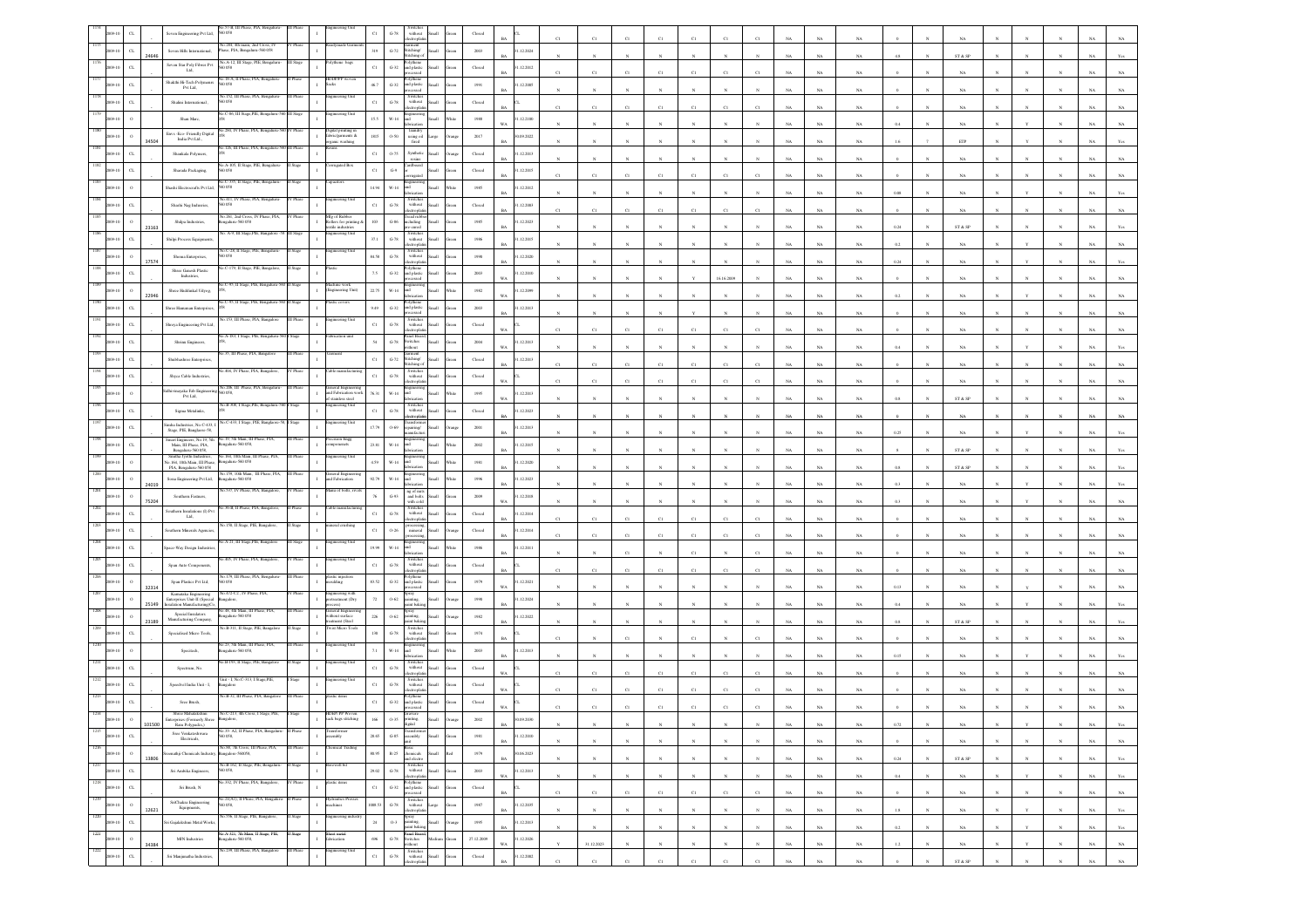|                    |                             | Seven Engineering Pvt Ltd,                                                                             | 0.058                                                            |          |                                                       | $_{\rm C1}$          | $\operatorname{G-78}$   | without<br>ectrophi                                                                                                                                                                                                                                                                                                                                                                                                                                                             |                 | Closed                  |                          |             |             |                |             |                |                |              |             |             |             |         |              |                                                                 |   |              |              |             |                |
|--------------------|-----------------------------|--------------------------------------------------------------------------------------------------------|------------------------------------------------------------------|----------|-------------------------------------------------------|----------------------|-------------------------|---------------------------------------------------------------------------------------------------------------------------------------------------------------------------------------------------------------------------------------------------------------------------------------------------------------------------------------------------------------------------------------------------------------------------------------------------------------------------------|-----------------|-------------------------|--------------------------|-------------|-------------|----------------|-------------|----------------|----------------|--------------|-------------|-------------|-------------|---------|--------------|-----------------------------------------------------------------|---|--------------|--------------|-------------|----------------|
|                    | $_{\rm C1}$                 | Seven Hills International,                                                                             | io.284, 4th main, 2nd Cross, IV<br>Thase, PIA, Bengalaru-560 058 |          |                                                       | 319                  | $\mbox{G-}72$           | Garment<br>Stitching/<br>tichine                                                                                                                                                                                                                                                                                                                                                                                                                                                | Ilians          | 2003                    | 1.12.2024                |             |             |                |             |                |                |              |             | NA          | NA          |         |              | ST & SP                                                         |   |              |              |             |                |
|                    | $\alpha$                    | Seven Star Poly Fibres Pvt<br>Ltd,                                                                     | No.A-12, III Stage, PIE, Bengaluru-<br>560 058                   | II Stage |                                                       | $_{\rm C1}$          | $_{\mathrm{G-32}}$      | cey thene<br>nd plastic                                                                                                                                                                                                                                                                                                                                                                                                                                                         | <b>Illam</b>    | $\operatorname{Closed}$ | .12.2012                 |             |             |                |             |                |                |              |             | NA          |             |         |              |                                                                 |   |              |              |             |                |
|                    | $\alpha$                    | Shakthi Hi-Tech Polymenrs<br>Pvt Ltd,                                                                  | .18-A, II Phase, PIA, Bengali<br>D 058                           |          |                                                       | 46.7                 | $G-32$                  | and plastic<br>ssed                                                                                                                                                                                                                                                                                                                                                                                                                                                             | <b>Small</b>    | 1991                    | .12.2005                 |             |             |                |             |                |                |              |             | <b>NA</b>   | NA          |         |              | NA                                                              |   |              |              |             |                |
|                    | CL                          | Shalini International                                                                                  | .152, III Phase, PIA,<br>0.058                                   |          |                                                       | $_{\rm C1}$          | $G-78$                  | Switcher<br>without<br>electroplati                                                                                                                                                                                                                                                                                                                                                                                                                                             |                 | $\rm Closed$            |                          |             |             |                |             | $\overline{c}$ |                |              |             |             |             |         |              |                                                                 |   |              |              |             |                |
|                    |                             | Shan Marc,                                                                                             | 40.C-86, III Stage, PIE, Bengaluru-560 III Stage                 |          | eering Un                                             | $15.5\,$             | $_{\rm W\text{-}14}$    |                                                                                                                                                                                                                                                                                                                                                                                                                                                                                 |                 | 1988                    | .12.2100                 | C1          | C1          | Ċl             |             |                | C1             | $_{\rm CI}$  |             | NA          | $_{\rm NA}$ |         |              | $_{\rm NA}$                                                     |   |              |              |             |                |
|                    |                             | Envs - Eco- Friendly Digital<br>India Pvt Ltd.,                                                        | .284, IV Phase, PIA, Ber                                         |          | gkal printing<br>fabric/garments &<br>organic washing | 1815                 | 0.50                    | laundr<br>using oil<br>fired                                                                                                                                                                                                                                                                                                                                                                                                                                                    |                 | 2017                    | 09.2022                  |             |             |                |             |                |                |              |             | NA          | NA          |         |              | NA                                                              |   |              |              |             |                |
|                    | 34504<br>$\alpha$           | Shankala Polymers,                                                                                     | .126, III Phase, PIA, I                                          |          |                                                       | $_{\rm C1}$          | $0 - 75$                | Syntheti                                                                                                                                                                                                                                                                                                                                                                                                                                                                        |                 | $\operatorname{Closed}$ | RA<br>.12.2013           |             |             |                |             |                |                |              |             | NA          | NA          |         |              | ETP                                                             |   |              |              |             |                |
|                    | $\alpha$                    | Sharada Packaging,                                                                                     | A-105, II Stag                                                   |          |                                                       | $_{\rm C1}$          | $\mathrm{G}\mathcal{A}$ |                                                                                                                                                                                                                                                                                                                                                                                                                                                                                 |                 | Closed                  | .12.2015                 |             |             |                |             |                |                |              |             | NA          | $_{\rm NA}$ |         |              | NA                                                              |   |              |              |             |                |
|                    |                             | Shashi Electrocrafts Pvt Ltd.                                                                          | .C-335, II Stage, PIE, Benga<br>50 058                           |          | pacitors                                              | 14.94                | W-14                    |                                                                                                                                                                                                                                                                                                                                                                                                                                                                                 | <b>Home</b>     | 1985                    | 12.2012                  |             |             |                |             |                |                |              |             | NA          |             |         |              |                                                                 |   |              |              |             |                |
|                    | CI.                         | Shashi Nag Indusries,                                                                                  | io.411, IV Phase, PIA, E<br>0.058                                |          | teering Unit                                          | $_{\rm C1}$          | $\mbox{G-}78$           | Switcher<br>$% \left\vert \left( \mathbf{1}_{\mathbf{1}}\right) \right\rangle$ without                                                                                                                                                                                                                                                                                                                                                                                          |                 | $\operatorname{Closed}$ | .12.2003                 |             |             |                |             |                |                |              |             | NA          | NA          |         |              | NA                                                              |   |              |              |             |                |
|                    | $\circ$                     | Shilpa Industries,                                                                                     | o.261, 2nd Cross, IV Phase, PIA<br>ngalaru-560 058               |          | e of Rubbe<br>collers for printing                    | $103\,$              | $\,$ G-86 $\,$          | cad rub<br>cluding                                                                                                                                                                                                                                                                                                                                                                                                                                                              |                 | 1985                    | .12.2023                 |             |             |                |             |                |                |              |             | NA          | $_{\rm NA}$ |         |              | $_{\rm NA}$                                                     |   |              |              |             |                |
|                    | 23163<br>$C_{L}$            |                                                                                                        | 3. A-9, III Stage,PIE, Bangalore                                 |          | xtile industries<br>teering Unit                      | $37.1\,$             | $\,$ G-78 $\,$          | Switche<br>without                                                                                                                                                                                                                                                                                                                                                                                                                                                              |                 | 1986                    | .12.2015                 |             |             |                |             |                |                |              |             | NA          | NA          | 0.24    |              | ST & SP                                                         |   |              |              |             |                |
|                    |                             | Shilpi Process Equipment                                                                               | ko.C-28, II Stage, PIE, Beng<br>0 O.S8                           |          | gineering Uni                                         | $84.58\,$            | $\mbox{G-}78$           | Switches<br>without                                                                                                                                                                                                                                                                                                                                                                                                                                                             |                 |                         |                          |             |             |                |             |                |                |              |             | NA          | $_{\rm NA}$ |         |              | $_{\rm NA}$                                                     |   |              |              |             |                |
|                    | 17574                       | Shoma Enterprises,<br>Shree Ganesh Plastic                                                             | .C-179, II Stage,                                                |          |                                                       |                      |                         |                                                                                                                                                                                                                                                                                                                                                                                                                                                                                 |                 | $19\!\,90$              | .12.2020                 |             |             |                |             |                |                |              |             | $_{\rm NA}$ | $_{\rm NA}$ | 0.24    |              | $_{\rm NA}$                                                     |   |              |              |             |                |
|                    |                             | Industries.                                                                                            |                                                                  |          | hine work                                             | $7.5\,$              | $G-32$                  | and plastic<br>ssed                                                                                                                                                                                                                                                                                                                                                                                                                                                             | llum            | 2003                    | 1.12.2010                |             |             |                |             |                | 16.16.2009     |              |             | NA          | NA          |         |              |                                                                 |   |              |              |             |                |
|                    | $\circ$<br>22946            | Shree Haddinkal Udyog,                                                                                 | C-95, II Stage, PIE                                              |          | Ingineering Unit)                                     | 22.75                | W-14                    |                                                                                                                                                                                                                                                                                                                                                                                                                                                                                 |                 | 1982                    | .12.2099<br>WA           |             |             |                |             |                |                |              |             | NA          | $_{\rm NA}$ |         |              |                                                                 |   |              |              |             |                |
|                    | $\alpha$                    | hree Hanuman Enterpr                                                                                   |                                                                  |          |                                                       | 9.49                 | $_{\mathrm{G-32}}$      | nd plastic<br>suitd                                                                                                                                                                                                                                                                                                                                                                                                                                                             | Iliam           | $2003\,$                | .12.2013                 |             |             |                |             |                |                |              |             | NA          | NA          |         |              | NA                                                              |   |              |              |             |                |
|                    | $C$ L                       | Shreya Engineering Pvt Ltd                                                                             | o.A-183, I Stage, PIE, Benga                                     |          | ication unit                                          | $_{\rm C1}$          | $G-78$                  | without<br>monte<br>anel Boa                                                                                                                                                                                                                                                                                                                                                                                                                                                    |                 | Closed                  |                          |             | C1          |                |             | C1             | C1             |              |             | NA          | $_{\rm NA}$ |         |              | NA                                                              |   |              |              |             |                |
|                    | $_{\rm CL}$                 | Shrinu Engineers                                                                                       | 35. III Phase, PIA, B.                                           |          |                                                       | 54                   | $\,$ G-78 $\,$          | switches<br>vithout                                                                                                                                                                                                                                                                                                                                                                                                                                                             |                 | 2004                    | .12.2013<br>WA           |             |             |                |             |                |                |              | NA          | NA          | $_{\rm NA}$ | 0.4     |              | $_{\rm NA}$                                                     |   |              |              |             |                |
|                    | $\alpha$                    | Shubhashree Enterprises,                                                                               |                                                                  |          |                                                       | $_{\rm Cl}$          | $_{\mathrm{G-72}}$      | tiching/<br>iching<br>Switcher                                                                                                                                                                                                                                                                                                                                                                                                                                                  |                 | $\operatorname{Closed}$ | .12.2013                 | C1          | C1          | CI             | CI          | C1             | $_{\rm Cl}$    | CI           |             | NA          | NA          |         |              | NA                                                              |   |              |              |             |                |
|                    | $\alpha$                    | Shyca Cable Industries.                                                                                | No.206, III Phase, PIA, Bengalu                                  | Phase    | eneral Engineering                                    | $_{\rm C1}$          | $G-78$                  | without                                                                                                                                                                                                                                                                                                                                                                                                                                                                         | Hatt            | Closed                  |                          |             |             |                |             |                |                |              |             | NA          |             |         |              |                                                                 |   |              |              |             |                |
|                    |                             | dhivinayaka Fab Engine<br>Pvt Ltd,                                                                     | 0058<br><b>B-308. I Stare</b>                                    |          | and Fabrication work<br>stainless steel<br>ring Unit  | 76.31                | $W-14$                  |                                                                                                                                                                                                                                                                                                                                                                                                                                                                                 |                 | $1995\,$                | .12.2013<br>WA           |             |             |                |             |                |                |              |             | NA          | NA          |         |              | ST & SP                                                         |   |              |              |             |                |
|                    | $_{\rm{CL}}$                | Sigma Metalinks,                                                                                       | o.C-433, I Stage, PIE, Banglaore                                 |          |                                                       | $_{\rm Cl}$          | $\operatorname{G-78}$   | Switches<br>without<br>ctronic                                                                                                                                                                                                                                                                                                                                                                                                                                                  |                 | $\operatorname{Closed}$ | .12.2023                 |             |             |                |             |                |                |              |             | NA          | NA          |         |              | NA                                                              |   |              |              |             |                |
|                    | $_{\rm CL}$                 | imha Industries, No.C-433, I<br>Stage, PIE, Banglaore-58,                                              | No.19, 5th Main, III Phase, PIA,                                 |          | ineering Uni                                          | 17.79                | $0 - 69$                | sairing/                                                                                                                                                                                                                                                                                                                                                                                                                                                                        |                 | $200\mathrm{l}$         | .12.2013                 |             |             |                |             |                |                |              |             | NA          | $_{\rm NA}$ |         |              | $_{\rm NA}$                                                     |   |              |              |             |                |
|                    | $_{\mbox{\scriptsize{CL}}}$ | Smart Engineers, No. 19, 5th<br>Main, III Phase, PIA,<br>Bengaluru-560 058,                            | galaru-560 058,                                                  | II Phase | ision Engg<br>onenets                                 | $23.81\,$            | $_{\rm W\text{-}14}$    |                                                                                                                                                                                                                                                                                                                                                                                                                                                                                 |                 | $2002\,$                | .12.2015                 |             |             |                |             |                |                |              |             | $_{\rm NA}$ | $_{\rm NA}$ |         |              | ${\hbox{\footnotesize\rm ST}}$ & ${\hbox{\footnotesize\rm SP}}$ |   |              |              |             |                |
|                    |                             | Smitha Jyothi Industries,<br>io.164, 10th Main, III Phase,<br>PIA, Bengaluru-560 058                   | .164, 10th Main, III Phase, PIA,<br>sgalaru-560 058              |          | ering U                                               | 4.99                 | W-14                    |                                                                                                                                                                                                                                                                                                                                                                                                                                                                                 |                 | 1981                    | .12.2020<br>RA           |             |             |                |             |                |                |              |             | NA          | NA          | 0.8     |              | ST & SP                                                         |   |              |              |             |                |
|                    | 24019                       | Sona Engineering Pvt Ltd,                                                                              | a.159, 10th Main,<br>engaluru-560 058                            |          | neral Engin<br>and Fabrication                        | 92.79                | W-14                    |                                                                                                                                                                                                                                                                                                                                                                                                                                                                                 | llum            | 1996                    | 1.12.2023                |             |             |                |             |                |                |              |             | NA          | $_{\rm NA}$ | n 3     |              | $_{\rm NA}$                                                     |   |              |              |             |                |
|                    | 75204                       | Southern Fastners,                                                                                     | No.537, IV Phase, PIA, Bangaloo                                  | Phase    | lang of bolts, ri                                     | $76\,$               | $_{\mathrm{G-93}}$      | ng of nuts<br>and bolts<br>with cold                                                                                                                                                                                                                                                                                                                                                                                                                                            |                 | $2009\,$                | .12.2018<br>W٨           |             |             |                |             |                |                |              |             | NA          | NA          |         |              | NA                                                              |   |              |              |             |                |
|                    | $C$ L                       | Southern Insulations (I) Ps<br>Ltd.                                                                    | 36-B, II Phase, PL                                               |          |                                                       | $_{\rm C1}$          | $\mbox{G-78}$           | without                                                                                                                                                                                                                                                                                                                                                                                                                                                                         | Hatt            | Closed                  | .12.2014                 |             |             |                |             | CI             | CI             |              |             | NA          | NA          |         |              | NA                                                              |   |              |              |             |                |
|                    | $_{\rm CL}$                 | iouthern Minerals Agencies                                                                             | o.150, II Stage, PIE, Bar                                        |          | ral crush                                             | $_{\rm C1}$          | $O-26$                  | miteral                                                                                                                                                                                                                                                                                                                                                                                                                                                                         |                 | $\rm Closed$            | 1.12.2014                | C1          | C1          | C)             |             | $_{\rm CI}$    | C1             | $_{\rm CI}$  |             | NA          | $_{\rm NA}$ |         |              | $_{\rm NA}$                                                     |   |              |              |             |                |
|                    | $_{\rm CL}$                 | pace-Way Design Industri                                                                               | o.A-21, III Stage, PIE, Bangak                                   |          | eering Ur                                             | 19.99                | $_{\rm W\text{-}14}$    |                                                                                                                                                                                                                                                                                                                                                                                                                                                                                 |                 | 1986                    | .12.2011                 |             |             | CI             |             | C1             |                | CI           |             | NA          | NA          |         |              | NA                                                              |   |              |              |             |                |
|                    | CL                          | Span Auto Components,                                                                                  |                                                                  |          | ering l                                               | $_{\rm C1}$          | $G-78$                  | Switche<br>without                                                                                                                                                                                                                                                                                                                                                                                                                                                              |                 | Closed                  |                          | C1          | C1          | C1             |             | C1             | C1             |              |             | NA          | NA          |         |              | NA                                                              |   |              |              |             |                |
|                    | 32314                       | Span Plastics Pvt Ltd,                                                                                 | No.179, III Phase, PIA, Beng<br>0.058                            |          | stic injection<br>alding                              | 83.52                | $\textrm{G-}32$         |                                                                                                                                                                                                                                                                                                                                                                                                                                                                                 |                 | 1979                    | .12.2021                 |             |             |                |             |                |                |              |             | NA          | $_{\rm NA}$ | 0.1     |              | NA                                                              |   |              |              |             |                |
|                    | 25149                       | Karnataka Engineering<br>Enterprises Unit-II (Special<br>sulation Manufacturing)Co                     | 0.472-C2, IV Phase<br>galore                                     |          | ering with<br>eatment (Dry                            | $\scriptstyle\rm 72$ | $0 - 62$                | inting<br>int bak                                                                                                                                                                                                                                                                                                                                                                                                                                                               |                 | $19\%$                  | .12.2024                 |             |             |                |             |                |                |              |             |             |             |         |              |                                                                 |   |              |              |             |                |
|                    | 23189                       | Special Insulators<br>Manufacturing Company.                                                           | 0.48, 4th Main, III Phase, PIA,<br>ngalaru-560 058               |          | eneral Engine<br>vithout surface<br>ment (Steel       | $226\,$              | $0.62\,$                | pray<br>ainting,<br>int bak                                                                                                                                                                                                                                                                                                                                                                                                                                                     |                 | 1982                    | .12.2022                 |             |             |                |             |                |                |              |             | NA          | $_{\rm NA}$ |         |              | ST & SP                                                         |   |              |              |             |                |
|                    |                             | Specialised Micro Tools,                                                                               | o.B-311, II Stage, PIE, Bangalo                                  |          | wist Micro Tool                                       | 130                  | $\mbox{G-}78$           | Switches<br>without                                                                                                                                                                                                                                                                                                                                                                                                                                                             |                 | $1974\,$                |                          |             |             |                |             |                |                |              |             | NA          | $_{\rm NA}$ |         |              | $_{\rm NA}$                                                     |   |              |              |             |                |
|                    |                             | Specitech,                                                                                             | 23, 5th Main, III Phase, PIA<br>igaluru-560 058                  |          | teering Un                                            | $7.1\,$              | W-14                    |                                                                                                                                                                                                                                                                                                                                                                                                                                                                                 |                 | 2003                    | 1.12.2013                |             |             |                |             |                |                |              |             | NA          |             |         |              |                                                                 |   |              |              |             |                |
|                    | CL                          | Spectrum, No.                                                                                          | B-193, II Stage, PIE,                                            |          | ring Ur                                               | $_{\rm C1}$          | $G-78$                  | Switche<br>without                                                                                                                                                                                                                                                                                                                                                                                                                                                              |                 | Closed                  |                          |             | C1          | CI             |             | C1             |                |              |             | NA          |             |         |              | NA                                                              |   |              |              |             |                |
|                    | $\alpha$                    | Speedvel India Unit - I,                                                                               | Linit - I, No.C-313, I Stage,PII                                 |          | eering Ur                                             | $_{\rm C1}$          | $\mbox{G-}78$           | Switche<br>$with \alpha$                                                                                                                                                                                                                                                                                                                                                                                                                                                        |                 | $\operatorname{Closed}$ |                          |             |             |                |             |                |                |              |             |             |             |         |              |                                                                 |   |              |              |             |                |
|                    | $\alpha$                    | Sree Brush,                                                                                            | o.B-32, III Phase, PIA, Bangal                                   |          |                                                       | $_{\rm Cl}$          | $G-32$                  | nd plastic                                                                                                                                                                                                                                                                                                                                                                                                                                                                      |                 | Closed                  |                          |             |             | C1             |             |                | CI             |              |             | $_{\rm NA}$ | NA          |         |              | $_{\rm NA}$                                                     |   |              |              |             |                |
|                    |                             | Shree Mahalakshm<br>s (Formerly                                                                        |                                                                  |          | <b>JEP/PP Wov</b><br>ack bags stitch                  | 166                  | 0.35                    |                                                                                                                                                                                                                                                                                                                                                                                                                                                                                 |                 | 2002                    |                          |             |             |                |             |                |                |              |             |             |             |         |              |                                                                 |   |              |              |             |                |
| 1215<br>2009-10    | 101500<br>$_{\rm{CL}}$      | Ram Polypacks,)<br>Sree Venkateshwara<br>Electricals,                                                  | No.33- A2, II Phase, PIA, Bengaluru- II Phase<br>560 058,        |          | mbly                                                  | 28.65                | $_{\mathrm{G-S5}}$      | ransform<br>assembly<br>unit                                                                                                                                                                                                                                                                                                                                                                                                                                                    | Small<br>ireen  | $1981\,$                | BA<br>1.12.2010          |             |             | $_{\rm N}$     |             |                | $_{\rm N}$     |              | $_{\rm NA}$ | $_{\rm NA}$ | $_{\rm NA}$ | 0.72    | N            | $_{\rm NA}$                                                     |   |              |              | NA          | Yes            |
| 1216<br>2009-10    | $\,$ 0 $\,$                 | eenathji Chemicals Industry, Bangalore-560058,                                                         | No.88, 7th Cross, III Phase, PIA,                                | III Phas |                                                       | 80.95                |                         | Basic<br>R-25 chemicals<br>and electro                                                                                                                                                                                                                                                                                                                                                                                                                                          | Red<br>Small    | 1979                    | <b>BA</b><br>30.06.2023  |             | $_{\rm N}$  |                |             | $\mathbf{N}$   |                |              | NA          | $_{\rm NA}$ | $_{\rm NA}$ |         |              | $_{\rm NA}$                                                     |   |              |              | $_{\rm NA}$ | $_{\rm NA}$    |
| 1217<br>2009-10    | 13806<br>$_{\rm CL}$        | Sri Ambika Engineers,                                                                                  | No.B-162, II Stage, PIE, Bengaluru-<br>560 058,                  | II Stage | rewell bit                                            | 29.02                | $G-78$                  | $\begin{tabular}{ll} \multicolumn{2}{l}{Switches} \\ \multicolumn{2}{c}{without} & Small \\ \end{tabular} \vspace{0.1in} \begin{tabular}{ll} \multicolumn{2}{c}{Rmall} \\ \multicolumn{2}{c}{e-cc} \\ \multicolumn{2}{c}{e-cc} \\ \multicolumn{2}{c}{e-cc} \\ \multicolumn{2}{c}{e-cc} \\ \multicolumn{2}{c}{e-cc} \\ \multicolumn{2}{c}{e-cc} \\ \multicolumn{2}{c}{e-cc} \\ \multicolumn{2}{c}{e-cc} \\ \multicolumn{2}{c}{e-cc} \\ \multicolumn{2}{c}{e-cc} \\ \multicolumn$ |                 | $2003\,$                | <b>BA</b><br>31.12.2013  |             | $_{\rm N}$  | $\mathbf{N}$   | $_{\rm N}$  | $\mathbb{N}$   | $\mathbf{N}$   | $_{\rm N}$   | NA          | NA          | NA          | 0.24    | $\mathbf{N}$ | ST & SP                                                         | N | $_{\rm N}$   | $\mathbf{N}$ | NA          | Yes            |
| 1218<br>2009-10    | $_{\rm{CL}}$                | Sri Brush, N                                                                                           | 40.332, IV Phase, PIA, Bangalore,                                | V Phase  |                                                       | $_{\rm{C1}}$         |                         |                                                                                                                                                                                                                                                                                                                                                                                                                                                                                 | Green           | ${\it Closed}$          | $_{\rm WA}$              |             | $_{\rm N}$  | $_{\rm N}$     |             | $_{\rm N}$     | $\overline{N}$ |              | $_{\rm NA}$ | $_{\rm NA}$ | $_{\rm NA}$ | $0.4\,$ |              | $_{\rm NA}$                                                     |   |              |              | $_{\rm NA}$ | Yes            |
| 1219<br>2009-10    | $\,$ 0 $\,$                 | $\begin{minipage}{.4\linewidth} \textbf{SriChakra Engineering} \\ \textbf{Equipments,} \end{minipage}$ | No.21(A1), II Phase, PIA, Bengaluru- II Phase<br>560 058,        |          | Hydraulics Presses<br>machines<br>$\mathbf{I}$        | 1008.53              |                         | Prolythene<br>G-32 and plastic Small<br>processed<br>processed<br>Switches<br>G-78 without Large<br>Secondaria<br>Secondaria<br>Secondaria                                                                                                                                                                                                                                                                                                                                      | ireen           | 1987                    | <b>BA</b><br>31.12.2035  | $_{\rm C1}$ | C1          | C1             | $_{\rm Cl}$ | C1             | $_{\rm Cl}$    | $_{\rm Cl}$  | NA          | $_{\rm NA}$ | NA          |         |              | NA                                                              |   | $_{\rm N}$   | $_{\rm N}$   | NA          | $_{\rm NA}$    |
| 1220<br>2009-10    | 12621<br>$_{\rm{CL}}$       | ri Gajalakshmi Metal Works                                                                             | No.556, II Stage, PIE, Bangalore,                                | II Stage | ingineering indust                                    | $_{\rm 24}$          | $0 - 3$                 | Spray<br>painting,<br>vaint baking,                                                                                                                                                                                                                                                                                                                                                                                                                                             | Small<br>rang   | $1995\,$                | <b>BA</b><br>31.12.2013  |             | $_{\rm N}$  | $\mathbf{N}$   | $_{\rm N}$  | $\mathbf{N}$   | $\mathbf{N}$   | $\mathbf{N}$ | $_{\rm NA}$ | $_{\rm NA}$ | $_{\rm NA}$ | $1.8\,$ | $\mathbf{N}$ | $_{\rm NA}$                                                     |   | Y            | $_{\rm N}$   | $_{\rm NA}$ | $\mathbf{Yes}$ |
| 1221<br>2009-10    | $\,$ $\,$                   | $\operatorname{\mathsf{MIN}}$ Industries                                                               | No.A-321, 7th Main, II Stage, PIE,<br>Bengaluru-560 058,         | I Stage  | Sheet metal<br>fabrication<br>$\mathbf{I}$            | 696                  |                         | Panel Board<br>G-78 Switches<br>without                                                                                                                                                                                                                                                                                                                                                                                                                                         | Medium<br>ireen | 27.12.2009              | $_{\rm BA}$<br>1.12.2026 |             | $_{\rm N}$  | $\overline{N}$ |             | $_{\rm N}$     |                | $\bar{N}$    | $_{\rm NA}$ | $_{\rm NA}$ | $_{\rm NA}$ | $0.2\,$ |              | $_{\rm NA}$                                                     |   |              |              | $_{\rm NA}$ | Yes            |
| $1222\,$<br>009-10 | 34384                       |                                                                                                        | No.239, III Phase, PIA, Bangalore                                | II Phase | agineering Unit                                       | $_{\rm Cl}$          |                         | Switches<br>without Small<br>electroplatin                                                                                                                                                                                                                                                                                                                                                                                                                                      |                 |                         | WA                       |             | 31.12.2023  | $\mathbf{N}$   | $_{\rm N}$  | $_{\rm N}$     | $_{\rm N}$     | $_{\rm N}$   | $_{\rm NA}$ | $_{\rm NA}$ | $_{\rm NA}$ | $1.2\,$ | $\mathbf N$  | $_{\rm NA}$                                                     |   | Y            | $_{\rm N}$   | $_{\rm NA}$ | $_{\rm NA}$    |
|                    | $_{\rm CL}$                 | Sri Manjunatha Industries,                                                                             |                                                                  |          |                                                       |                      | $\,$ G-78 $\,$          |                                                                                                                                                                                                                                                                                                                                                                                                                                                                                 |                 | ${\bf Closed}$          | 31.12.2002               | C1          | $_{\rm C1}$ | $_{\rm CI}$    | C1          | $_{\rm C1}$    | $_{\rm C1}$    | $_{\rm C1}$  | $_{\rm NA}$ | $_{\rm NA}$ | $_{\rm NA}$ |         |              | $\text{ST} \ \& \ \text{SP}$                                    |   | $\mathbf{N}$ | $\mathbf{N}$ | $_{\rm NA}$ | $_{\rm NA}$    |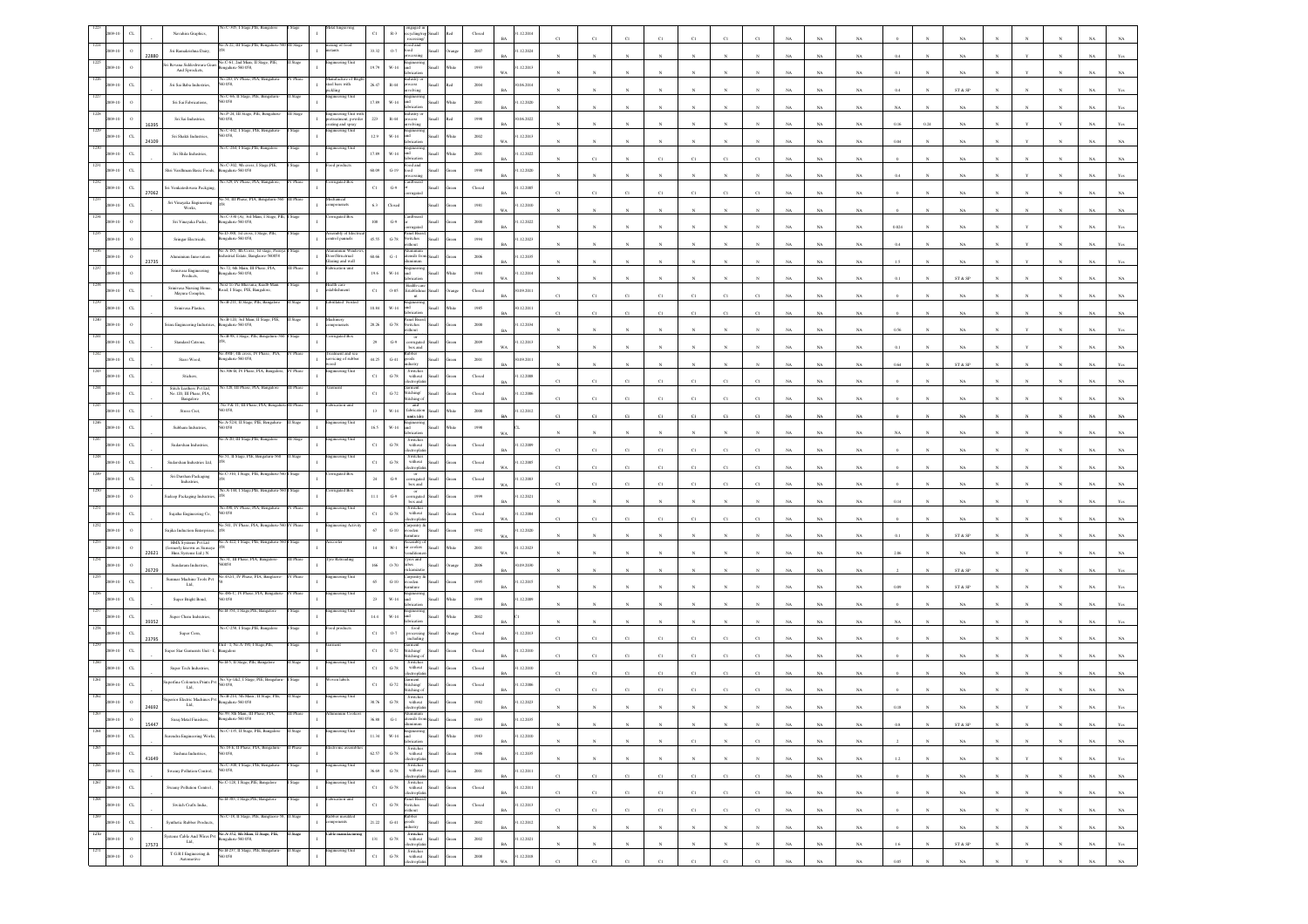|      |                             |       | -305, I Stage, PIE,<br>Navahira Graphics,                                                        |                 |                                                            | CI                       |                                                                          |       | Close                   | 12.2014                   |             |             |                  |              |              |                       |             |             |             |             |         |              |             |              |              |              |             |             |
|------|-----------------------------|-------|--------------------------------------------------------------------------------------------------|-----------------|------------------------------------------------------------|--------------------------|--------------------------------------------------------------------------|-------|-------------------------|---------------------------|-------------|-------------|------------------|--------------|--------------|-----------------------|-------------|-------------|-------------|-------------|---------|--------------|-------------|--------------|--------------|--------------|-------------|-------------|
|      |                             |       | No.A-22, III Stage, PIE, Bengaluru-5<br>Sri Ramakrishna Dairy,                                   | <b>III Stag</b> | ixing of foot                                              | 33.32                    | $0-7$<br>boo                                                             |       | 2007                    | 1.12.2024                 |             |             |                  |              |              |                       |             |             |             |             |         |              |             |              |              |              |             |             |
|      |                             |       | No.C-61, 2nd Mian, II Stage, PIE,                                                                |                 | gineering Uni                                              |                          |                                                                          |       |                         |                           |             |             |                  |              |              |                       |             |             | NA          | NA          |         |              | NA          |              |              |              |             |             |
|      |                             |       | Sri Revana Siddeshwara Ger<br>And Sprockets,<br>galaru-560 058,<br>0.283, IV Phase, PIA, Bengalu |                 |                                                            | 19.79                    | $_{\rm W\text{-}14}$<br>istry o                                          |       | 1993                    | 1.12.2013<br>WA           |             |             |                  |              |              |                       |             |             | NA          | NA          |         |              |             |              |              |              |             |             |
|      |                             |       | Sri Sai Baba Industries,<br>058,                                                                 |                 | Manufacture of<br>Iteel bars with<br>ickling               | 26.47                    | $R-44$<br>cess<br>volving                                                |       | 2004                    | 0.06.2014<br>RÁ           |             |             |                  |              |              |                       |             |             | NA          | NA          | 0.4     |              | ST & SP     |              |              |              |             |             |
|      |                             |       | o.C-66, 11 Suge, PIE, E<br>Sri Sai Fabrications,<br>058                                          |                 | ering Un                                                   | 17.89                    | $W-14$<br>ht.                                                            |       | 2001                    | 1.12.2020                 |             |             |                  |              |              |                       |             |             | NA          | $_{\rm NA}$ | NA      |              | $_{\rm NA}$ |              |              |              |             |             |
|      |                             |       | No.P-24, III Stage, PIE, Bengalun<br>Sri Sai Industries,                                         |                 | ngineering Unit w<br>retreatment, powd<br>bating and spray | $\bf 223$                | dustry o<br>ocess<br>$\,$ R-44                                           |       | 1998                    | (06, 2022)                |             |             |                  |              |              |                       |             |             |             |             |         |              |             |              |              |              |             |             |
|      | C1                          | 16395 | io.C-442, I Stage, PIE, Beng<br>Sri Shakti Industries,<br>0058.                                  |                 | eering Un                                                  | 12.9                     | dving<br>$W-14$<br>'nâ                                                   |       | 2002                    | <b>BA</b><br>1.12.2013    |             |             |                  |              |              |                       |             |             | NA          | NA          | 0.16    | 0.24         | NA          |              |              |              |             |             |
|      |                             | 24109 | io.C-264, I Stage,PIE, Bangalore                                                                 |                 | neering Unit                                               |                          |                                                                          |       |                         | <b>WA</b>                 |             |             |                  |              |              |                       |             | NA          | NA          | NA          | 0.04    |              | <b>NA</b>   |              |              |              |             |             |
|      | $\alpha$                    |       | Sri Shila Industries,<br>Vo.C-302, 9th cr                                                        |                 |                                                            | 17.89                    | $W-14$<br>cod and                                                        |       | $200\mathrm{l}$         | .12.2022<br>ΒA            |             | C1          |                  | C1           | C1           | C1                    |             |             | $_{\rm NA}$ | $_{\rm NA}$ |         |              | $_{\rm NA}$ |              |              |              |             |             |
|      | $_{\rm{CL}}$                |       | Shri Vardhman Basic Foods<br>galaru-560 058                                                      |                 |                                                            | 90.09                    | $_{\mathrm{G-19}}$<br>boo                                                |       | $19\%$                  | 1.12.2020<br>BA           |             |             |                  |              |              |                       |             |             | NA          | NA          |         |              |             |              |              |              |             |             |
|      | $_{\rm{CL}}$                | 27062 | o.329, IV Phase, PIA, Bangalore<br>Sri Venkateshwara Packgin                                     |                 | rugated Box                                                | C1                       | $G-9$                                                                    |       | Closed                  | 1.12.2005<br><b>BA</b>    |             | C1          |                  |              | C1           |                       |             |             | NA          | NA          |         |              | NA          |              |              |              |             |             |
|      | $_{\rm{CL}}$                |       | No.54, III Phase, PIA, Bengaluru-56<br>Sri Vinayaka Engineering<br>Works,                        |                 | echanical<br>menets                                        | 6.3                      |                                                                          |       | $1981\,$                | 12.2010                   |             |             |                  |              |              |                       |             |             |             |             |         |              |             |              |              |              |             |             |
|      |                             |       | o.C-330 (A), 3rd Main, I<br>Sri Vinayaka Packs,<br>sgalaru-560 058,                              |                 | nated Be                                                   | $108\,$                  | $\mathrm{G}\mathcal{A}$                                                  |       | $2000\,$                | 1.12.2022                 |             |             |                  |              |              |                       |             |             | NA          | $_{\rm NA}$ |         |              | NA          |              |              |              |             |             |
|      |                             |       | éo.D-388, 1st cross, I Stage, PIE,                                                               |                 | embly of Elec                                              |                          | inel Boa                                                                 |       |                         | BA                        |             |             |                  |              |              |                       |             |             | NA          | NA          | 0.024   |              | NA          |              |              |              |             |             |
|      |                             |       | Sringar Electricals,<br>sgalaru-560 058,<br>io A-185, 4th Corss, 1st stage, Peeny                |                 | atrol pannels<br>minum Watd                                | 45.55                    | $G-78$<br>Switches<br>ithout                                             |       | 1994                    | 1.12.2023<br><b>BA</b>    |             |             |                  |              |              |                       |             |             | NA          | $_{\rm NA}$ | 0.4     |              | $_{\rm NA}$ |              |              |              |             |             |
|      | $\circ$                     | 23735 | Aluminium Innovation<br>ustrial Estate, Banglaore-560058                                         |                 | hoor/Structrual<br>Hazing and wall                         | 60.66                    | ${\bf G}\cdot {\bf l}$<br>msils fro                                      |       | $2006\,$                | .12.2035<br>ΒA            |             |             |                  |              |              |                       |             |             | $_{\rm NA}$ | $_{\rm NA}$ |         |              | $_{\rm NA}$ |              |              |              |             |             |
|      | $\circ$                     |       | o.72, 6th Main, III Phase, PIA<br>Srinivasa Engineering<br>igalaru-560 058,<br>Products,         |                 | vication uni                                               | 19.6                     | $W-14$<br>вš<br>abricatio                                                |       | 1984                    | 1.12.2014<br>WA           |             |             |                  |              |              |                       |             |             | NA          | NA          |         |              | ST & SP     |              |              |              |             |             |
|      | C1                          |       | ext To Pia Bhavana, Kiadb<br>Srinivasa Nursing Home,<br>load, I Stage, PIE, Bangalore,           |                 | talth care<br>tablishment<br>$\mathbf{I}$                  | $_{\rm C1}$              | Health-car<br>$0 - 85$<br>Establishn                                     |       | Closed                  | 0.09.2011                 |             |             |                  |              |              |                       |             |             |             |             |         |              |             |              |              |              |             |             |
|      | C1                          |       | Mayura Complex,<br>Vo.B-211, II Stage, PIE, Bangalor                                             |                 | nillated twis                                              |                          | $\mathbf{n}$<br>вš                                                       |       |                         | <b>BA</b>                 |             | C1          |                  |              | C1           | C1                    |             |             | NA          | $_{\rm NA}$ |         |              | NA          |              |              |              |             |             |
|      |                             |       | Srinivasa Plastics,<br>io.B-120, 3rd Main, II St                                                 |                 | chinery                                                    | 10.84                    | $_{\rm W\text{-}14}$<br>anel Boa                                         |       | 1985                    | 0.12.2011                 | C1          | C1          | CI               | CI           | C1           | CI                    |             |             | NA          | NA          |         |              | NA          |              |              |              |             |             |
|      |                             |       | rinu Engineering Industri<br>igalaru-560 058,                                                    |                 | onenets                                                    | 28.26                    | $G-78$<br>witches<br>ithout                                              |       | 2000                    | 1.12.2034                 |             |             |                  |              |              |                       |             | NA          | NA          | $_{\rm NA}$ | 0.56    |              | <b>NA</b>   |              |              |              |             |             |
|      | $_{\rm{CL}}$                |       | Vo.B-98, I Stage, PIE, Beng<br>Standard Catrons,                                                 |                 | rugated Box                                                | $\bf 29$                 | or<br>$\mbox{G-9}$<br>corrugates<br>box and                              |       | $2009\,$                | .12.2013<br>WA            |             |             |                  |              |              | $\boldsymbol{\kappa}$ |             | NA          | $_{\rm NA}$ | $_{\rm NA}$ | 0.1     |              | $_{\rm NA}$ |              |              |              |             |             |
|      | $\alpha$                    |       | 0.490F, 4th cross, IV<br>Staro Wood,<br>galuru-560 058,                                          |                 | eatment and sea<br>vicing of rubber                        | 44.25                    | $_{\mathrm{G-}41}$<br>sboo<br>dustry                                     |       | $2001\,$                | (09.2011)                 |             |             |                  |              |              |                       |             | NA          | $_{\rm NA}$ | NA          | 0.64    |              | $ST \& SP$  |              |              |              |             |             |
|      | C1                          |       | 306-B, IV Phase<br>Stichers,                                                                     |                 |                                                            | $_{\rm C1}$              | Switches<br>without<br>$G-78$                                            |       | Closed                  | 1.12.2008                 |             |             |                  |              |              |                       |             |             |             |             |         |              |             |              |              |              |             |             |
|      |                             |       | Stitch Leathers Pyt Ltd.<br>o.120, III Phase, PIA, Bangalor                                      |                 |                                                            |                          | trondo<br>larment                                                        |       |                         |                           |             |             |                  |              | C1           | C1                    |             |             | NA          | NA          |         |              |             |              |              |              |             |             |
|      | $\sigma$                    |       | No.120, III Phase, PIA,<br>Bangalore<br>0.9 & 11. III Phase, PL                                  |                 |                                                            | $_{\rm C1}$              | titching/<br>$G-72$<br>itching o                                         |       | $\operatorname{Closed}$ | .12.2006<br>BA            |             |             |                  |              | C1           |                       |             |             | NA          | NA          |         |              |             |              |              |              |             |             |
|      | $\alpha$                    |       | Stress Cret,<br>058.                                                                             |                 |                                                            | $13\,$                   | and<br>fabrication<br>$_{\rm W\text{-}14}$<br>units (dry                 |       | 2000                    | .12.2012                  |             | CI          | CI               | CI           | C1           | CI                    |             |             | NA          | NA          |         |              | NA          |              |              |              |             |             |
|      | $\alpha$                    |       | 40.A-52/4, II Stage, PIE, Bengaluru<br>Subham Indsutries<br>058                                  |                 | eering Uni                                                 | $16.5\,$                 | W-14<br>hn                                                               |       | 1998                    | WA                        |             |             |                  |              |              |                       |             |             | NA          | NA          |         |              | NA          |              |              |              |             |             |
|      | $_{\rm{CL}}$                |       | o.A-20, III Stage, PIE, Bangalori<br>Sudarshan Industries,                                       | III Stage       | neering Uni                                                | $_{\rm C1}$              | Switches<br>without<br>${\bf G}\mbox{-}78$                               |       | Closed                  | 1.12.2009                 | $_{\rm Cl}$ | C1          | C1               | C1           | C1           | C1                    | CI          |             |             | $_{\rm NA}$ |         |              | NA          |              |              |              |             |             |
|      | C1                          |       | o.51, II Stage, PIE, Beng<br>Sudarshan Industries Ltd.                                           |                 | ering Un                                                   | $_{\rm C1}$              | ctroph<br>Switches<br>without<br>$G-78$<br>ыll                           |       | Closed                  | <b>BA</b><br>1.12.2005    |             |             |                  |              |              |                       |             |             | $_{\rm NA}$ |             |         |              |             |              |              |              |             |             |
|      |                             |       | Sri Darshan Packaging                                                                            |                 |                                                            |                          | ectronia<br>or                                                           |       |                         | <b>WA</b>                 | C1          | C1          | C1               | C1           | C1           | C1                    | C1          |             | NA          | NA          |         |              | <b>NA</b>   |              |              |              |             |             |
|      | C1                          |       | Industries,<br>Vo. A-144, I Stage, PIE, Ben                                                      |                 | meated Box                                                 | $24\,$                   | $G-9$<br>corrugated<br>box and<br>dl.                                    |       | Closed                  | 1.12.2003                 | C1          | C1          | $\overline{c}$   | C1           | $_{\rm Cl}$  | C1                    | CI          |             | NA          | $_{\rm NA}$ |         |              | NA          |              |              |              |             |             |
|      | $\circ$                     |       | Sudeep Packaging Indisutrie                                                                      |                 |                                                            | $\overline{\phantom{a}}$ | or<br>erugato<br>$\mbox{G-}9$<br>box and                                 |       | 1999                    | 1.12.2021<br>BA           |             |             |                  |              |              |                       |             |             | NA          | NA          | 0.14    |              | NA          |              |              |              |             |             |
|      | C1                          |       | a.490, IV Phase<br>Sujatha Engineering Co.<br>058                                                |                 |                                                            | $_{\rm C1}$              | Switche<br>$G-78$<br>without<br>ctrophi                                  |       | Closed                  | 1.12.2004<br>wa           |             | C1          | $^{c}$ 1         |              | C1           | CI                    |             |             | NA          | NA          |         |              | NA          |              |              |              |             |             |
|      |                             |       | io.541, IV Phase, PIA,<br>Sujika Induction Enterpris                                             |                 | eering Acti                                                | 67                       | arpentry<br>.<br>rođen<br>rniture<br>$G-10$                              |       | 1992                    | 1.12.2020                 |             |             |                  |              |              |                       |             | NA          | NA          |             | 0.1     |              |             |              |              |              |             |             |
|      | $\circ$                     |       | HMX Systems Pvt Ltd<br>No.A-422, I Stage, PIE, Beng<br>ormerly known as Sumaya                   |                 |                                                            | $14\,$                   | sembly<br>$\mathbf{w}.\mathbf{1}$                                        |       | $2001\,$                | 1.12.2023                 |             |             |                  |              |              |                       |             |             |             | $_{\rm NA}$ |         |              | ST & SP     |              |              |              |             |             |
|      |                             | 22621 | Hmx Systems Ltd,) N                                                                              |                 |                                                            |                          | $0 - 70$                                                                 |       | 2006                    | WA<br>(09.2030)           |             |             |                  |              |              |                       |             | NA          | NA          | NA          | 2.06    |              | NA          |              |              |              |             |             |
|      |                             |       | Sundaram Industries,<br>058<br>0.432/1, IV Phase, PIA, Ban                                       |                 | teering Uni                                                | 166                      |                                                                          |       |                         | RA                        |             |             |                  |              |              |                       |             |             | NA          | NA          |         |              | ST & SP     |              |              |              |             |             |
|      |                             |       | Sunmas Machine Tools Pvt<br>$\,$ Lad,                                                            |                 |                                                            | 65                       | $_{\mathrm{G-10}}$<br>oden                                               |       | 1995                    | 12.2015                   |             |             |                  |              |              |                       |             |             | NA          | $_{\rm NA}$ |         |              | ST & SP     |              |              |              |             |             |
|      |                             |       | 486 C. IV Phase, PI<br>Super Bright Bond,<br>058                                                 |                 |                                                            | $\bf 23$                 | $_{\rm W\text{-}14}$<br>'nâ                                              |       | 1999                    | 1.12.2009                 |             |             |                  |              |              |                       |             |             | NA          | NA          |         |              |             |              |              |              |             |             |
|      | C1                          |       | io.B-354, I Stage, PIE, Bangalo<br>Super Chem Indsutries,                                        |                 | eering Uni                                                 | 14.4                     | W-14<br>ht                                                               |       | $2002\,$                |                           |             |             |                  |              |              |                       |             |             |             | $_{\rm NA}$ |         |              | NA          |              |              |              |             |             |
|      | $_{\rm C1}$                 | 39352 | o.C-258, I Stage, PIE, Banj<br>Super Com,                                                        |                 |                                                            | $_{\rm C1}$              | food<br>$0-7$                                                            |       | $\rm Closed$            | <b>BA</b><br>12.2013      |             |             |                  |              |              |                       |             |             | NA          |             |         |              |             |              |              |              |             |             |
|      |                             | 23795 | hit - I, No.A-190, I Stage,PII                                                                   |                 |                                                            |                          | rocessin<br>including                                                    |       |                         |                           | C1          | C1          | $\overline{c}$   | $_{\rm C1}$  | C1           | C1                    |             |             | NA          | $_{\rm NA}$ |         |              | NA          |              |              |              |             |             |
|      | C1                          |       | Super Star Garments Unit -<br>.B-5, II Stage, PIE, B                                             |                 |                                                            | $_{\rm C1}$              | iarment<br> titching/<br> titching of<br>$G-72$<br>Switche               |       | Closed                  | 1.12.2010<br>RA           |             | C1          | $^{c}$ 1         | C1           | C1           | C1                    |             |             | NA          | NA.         |         |              |             |              |              |              |             |             |
|      | C1                          |       | Super Tech Industries,                                                                           |                 |                                                            | $_{\rm C1}$              | $G-78$<br>without<br>tropi                                               |       | Closed                  | 1.12.2010<br><b>BA</b>    |             | C1          | CI               | CI           | C1           | CI                    |             |             | NA          | NA          |         |              | NA          |              |              |              |             |             |
|      |                             |       | Vo. Vp-1&2, I Stage, PIE, Benj<br>perfine Colourtex Prints Pv<br>Ltd,                            |                 | en label                                                   | $_{\rm C1}$              | $_{\mathrm{G-72}}$<br>titching/<br>itching -                             |       | Closed                  | 12.2006                   |             | C1          | $_{\rm C1}$      | C1           | C1           | $_{\rm C1}$           |             |             | $_{\rm NA}$ | $_{\rm NA}$ |         |              | NA          |              |              |              |             |             |
|      |                             | 24692 | No.B-214, Sth Main<br>perior Electric Machines Pvt<br>igalaru-560 058<br>Lad.                    |                 | gineering Un                                               | 38.76                    | Switches<br>$G-78$<br>without                                            |       | 1982                    | 1.12.2023                 |             |             |                  |              |              |                       |             |             |             |             |         |              |             |              |              |              |             |             |
|      |                             |       | .99, 8th Main, I<br>Suraj Metal Finishers,<br>aluru-560 05                                       |                 |                                                            | 6.88                     | $G-1$                                                                    |       | 1983                    | 12.2035                   |             |             |                  |              |              |                       |             |             |             |             |         |              |             |              |              |              |             |             |
| 1264 |                             | 15447 | No.C-135, II Stage, PIE, Bangalore<br>rendra Engineering Works,                                  | I Stage         | neering Unit                                               |                          |                                                                          |       |                         | BA                        |             |             |                  |              |              |                       |             | $_{\rm NA}$ | $_{\rm NA}$ | $_{\rm NA}$ | $0.8\,$ | $_{\rm N}$   | ST & SP     |              |              |              | NA          | Yes         |
|      | $_{\rm{CL}}$<br>2009-10     |       | No.18-E, II Phase, PIA, Bengaluru                                                                |                 |                                                            | $11.34\,$                | Engineering<br>and<br>fabrication<br>$_{\rm W\text{-}14}$<br><b>Ilam</b> |       | 1983                    | 1.12.2010<br>$BA$         |             | $_{\rm N}$  |                  |              | $_{\rm Cl}$  | $\mathbf{N}$          | $_{\rm C1}$ | $_{\rm NA}$ | NA          | $_{\rm NA}$ |         |              | $_{\rm NA}$ |              |              |              | $_{\rm NA}$ | $_{\rm NA}$ |
|      | $_{\mathrm{CL}}$<br>2009-10 | 41649 | Sushma Industries.<br>560 058,                                                                   |                 |                                                            | 62.57                    | Switches<br>without<br>electroplatin<br>$\,$ G-78 $\,$<br>Small          |       | $1986\,$                | 31.12.2035<br><b>BA</b>   | $_{\rm N}$  | $_{\rm N}$  | $\boldsymbol{N}$ | $\mathbf{N}$ | $\mathbf{N}$ | $\boldsymbol{N}$      | $_{\rm N}$  | NA          | NA          | $_{\rm NA}$ | $1.2\,$ | $\mathbf{N}$ | $_{\rm NA}$ | $\mathbf{N}$ | $\mathbf{v}$ | $\mathbf{N}$ | NA          | Yes         |
| 1266 | $_{\rm CL}$<br>2009-10      |       | No.C-308, I Stage, PIE, Bengaluru-<br>Swamy Pollution Control,<br>560 058,                       | I Stage         | ingineering Unit<br>$\mathbf{I}$                           | 36.69                    | Switches<br>without<br>electroplatin<br>$G-78$<br><b>Ilum</b>            |       | $2001\,$                | 31.12.2011<br>$_{\rm BA}$ | $_{\rm C1}$ | $_{\rm C1}$ | $_{\rm C1}$      | $_{\rm C1}$  | C1           | $_{\rm C1}$           | $_{\rm C1}$ | $_{\rm NA}$ | $_{\rm NA}$ | $_{\rm NA}$ |         |              | $_{\rm NA}$ |              |              |              | $_{\rm NA}$ | $_{\rm NA}$ |
| 126  | $_{\rm{CL}}$<br>2009-10     |       | io.C-128, I Stage,PIE, Bangalore<br>Swamy Pollution Control,                                     |                 |                                                            | $_{\rm C1}$              | Switches<br>without<br>$\,$ G-78 $\,$<br><b>Iliam</b>                    | ireen | ${\it Closed}$          | 31.12.2011<br>$BA$        | C1          | C1          | C1               | $_{\rm Cl}$  | C1           | C1                    | C1          | $_{\rm NA}$ | NA          | NA          |         | N            | NA          |              | $_{\rm N}$   | $_{\rm N}$   | $_{\rm NA}$ | $_{\rm NA}$ |
| 1268 | $_{\rm{CL}}$<br>2009-10     |       | No.B-383, I Stage, PIE, Bangalore<br>Switch Crafts India.                                        | Stage           | abrication unit<br>$\mathbf{I}$                            | $_{\rm C1}$              | electroplat<br>G-78 Switches<br>Without<br><b>Iliam</b>                  | reen  | $\operatorname{Closed}$ | 31.12.2013                |             |             |                  |              |              |                       |             |             |             |             |         |              |             |              |              |              |             |             |
| 1269 | $_{\mathrm{CL}}$<br>2009-10 |       | No.C-18, II Stage, PIE, Banglaore-58, II Stage<br>Synthetic Rubber Products                      |                 | Rubber mouided<br>$\mathbf{I}$<br>mponents                 | $21.22\,$                | Rubber<br>goods<br>$_{\mathrm{G-}41}$<br><b>Ilum</b>                     |       | $2002\,$                | $_{\rm BA}$<br>31.12.2012 | $_{\rm C1}$ | $_{\rm C1}$ | $_{\rm C1}$      | $_{\rm C1}$  | $_{\rm C1}$  | $_{\rm C1}$           | $_{\rm C1}$ | $_{\rm NA}$ | $_{\rm NA}$ | $_{\rm NA}$ |         | $\mathbf{N}$ | $_{\rm NA}$ |              | $\mathbb{N}$ | $_{\rm N}$   | $_{\rm NA}$ | $_{\rm NA}$ |
| 1270 |                             |       | Systems Cable And Wires Prt No.A-352, 8th Mian, II Stage, PIE,<br>Renoslaus: 560.057             | I Stage         |                                                            |                          | idustry<br>Switches<br>without                                           |       |                         | $_{\rm BA}$               |             | $_{\rm N}$  |                  |              | $_{\rm N}$   | $\bar{N}$             | $_{\rm N}$  | $_{\rm NA}$ | $_{\rm NA}$ | $_{\rm NA}$ |         | $\mathbf N$  | $_{\rm NA}$ |              |              |              | $_{\rm NA}$ | $_{\rm NA}$ |
|      | $\,$ o<br>2009-10           | 17573 | Ltd.<br>No.B-237, II Stage, PIE, Bengaluru-                                                      |                 |                                                            | $131\,$                  | $\,$ G-78 $\,$<br><b>Ilam</b><br>electroplat                             |       | $2002\,$                | 1.12.2021<br>$_{\rm BA}$  | $_{\rm N}$  | $_{\rm N}$  | $\mathbf{N}$     | $_{\rm N}$   | $_{\rm N}$   | $_{\rm N}$            | $_{\rm N}$  | $_{\rm NA}$ | NA          | $_{\rm NA}$ | 1.6     |              | ST & SP     |              | $_{\rm N}$   | $_{\rm N}$   | $_{\rm NA}$ | Yes         |
|      | $\,$ o<br>2009-10           |       | $\begin{array}{c} \textrm{T.G.R.I Engineering &\&\\ \textrm{Automotive} \end{array}$<br>560 058  | I Stage         | gineering Unit<br>$\mathbf{I}$                             | $_{\rm{Cl}}$             | Switches<br>without<br>electroplati<br>$\,$ G-78 $\,$<br><b>Ham</b>      |       | $2008\,$                | 31.12.2018<br>WA          | C1          | $_{\rm C1}$ | C1               | C1           | C1           | C1                    | $_{\rm CI}$ | $_{\rm NA}$ | NA          | $_{\rm NA}$ | 0.05    |              | $_{\rm NA}$ |              |              | $\mathbf{N}$ | $_{\rm NA}$ | $_{\rm NA}$ |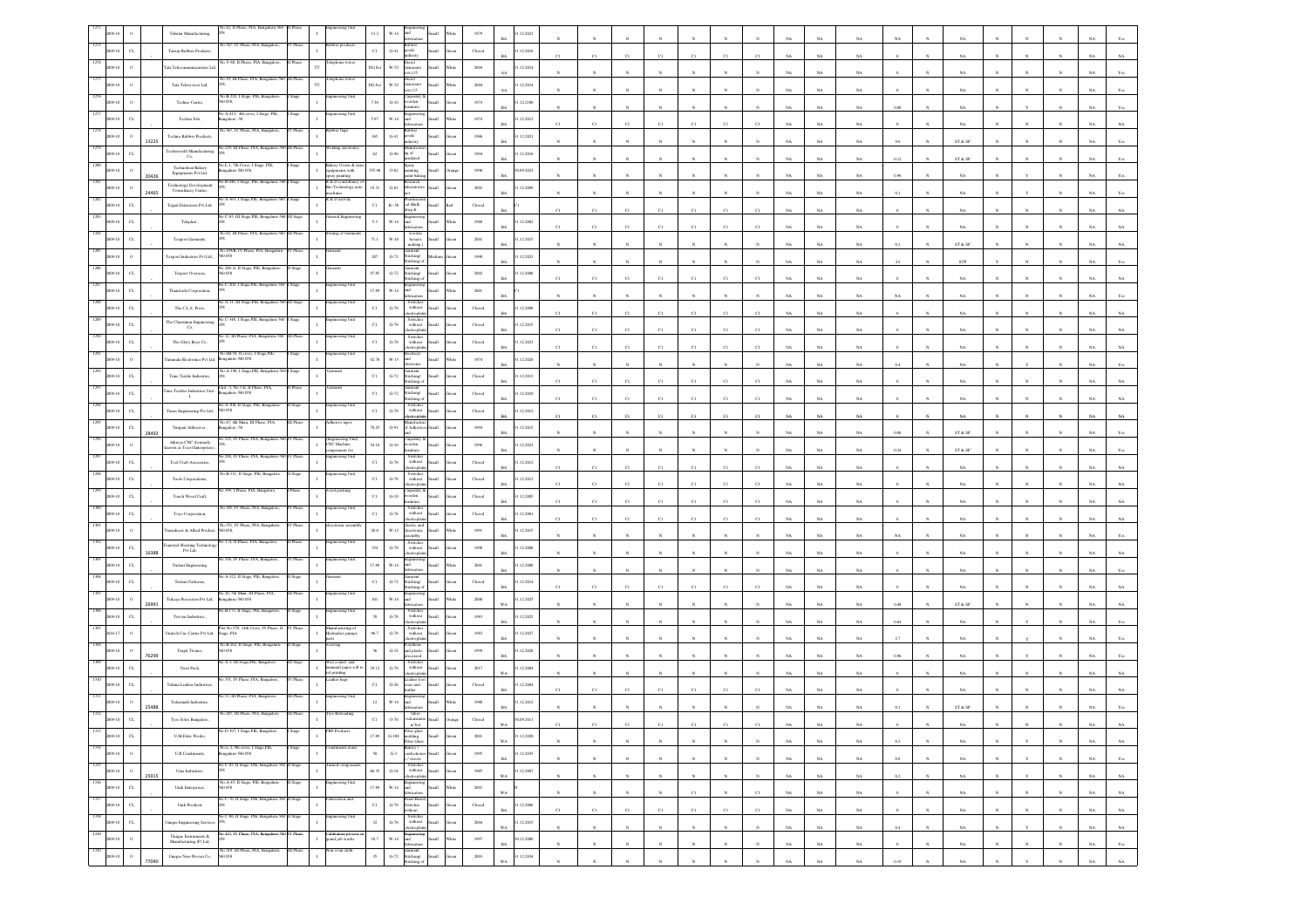|                     |                       | Tabular Manufacturing,                                                                                        |                                                      |                          |                                                                        |             |                       |                                        |               |                                      | .12.2021   |              |                            |                 |              |                 |                 |              |             |             |             |           |              |                              |            |              |              |             |                |
|---------------------|-----------------------|---------------------------------------------------------------------------------------------------------------|------------------------------------------------------|--------------------------|------------------------------------------------------------------------|-------------|-----------------------|----------------------------------------|---------------|--------------------------------------|------------|--------------|----------------------------|-----------------|--------------|-----------------|-----------------|--------------|-------------|-------------|-------------|-----------|--------------|------------------------------|------------|--------------|--------------|-------------|----------------|
|                     | $_{\rm{CL}}$          | <b>Tansar Rubber Products</b>                                                                                 |                                                      |                          |                                                                        | $_{\rm Cl}$ | $G-41$                | $\frac{1}{100}$                        |               | Closed                               | .12.2016   |              | C1                         |                 |              | C1              | C1              |              |             | NA          | NA          |           |              |                              |            |              |              |             |                |
|                     | 09-10<br>$\circ$      | ata Telecom                                                                                                   |                                                      | ТT                       |                                                                        | DG Set      | w-52                  | iesel<br>enerator<br>(15)              | di.           | 2004                                 | .12.2014   |              |                            |                 |              |                 |                 |              |             | NA          | $_{\rm NA}$ |           |              | NA                           |            |              |              |             |                |
|                     |                       | Tata Telesevices Ltd,                                                                                         | 19. Ill Phase, PL                                    |                          |                                                                        | DG Se       | $_{\rm W.52}$         | sel<br>(15)                            |               | $2004\,$                             | .12.2014   |              |                            |                 |              |                 |                 |              |             | NA          | $_{\rm NA}$ |           |              | NA                           |            |              |              |             |                |
|                     |                       | Techno Centre,                                                                                                | B-224, I<br>0058                                     |                          |                                                                        | 7.36        | $G-10$                | oden                                   |               | 1974                                 | .12.2100   |              |                            |                 |              |                 |                 |              | NA          | NA          | NA          | 0.08      |              | NA                           |            |              |              |             |                |
|                     |                       | Techno Fab,                                                                                                   | o.A-413, 4th cross, I Stage, PIE,<br>galore - 58     |                          | neering Uni                                                            | 5.97        | $W-14$                |                                        |               | 1974                                 | .12.2012   |              | $_{\rm CI}$                |                 |              |                 | C1              |              |             | NA          | $_{\rm NA}$ |           |              | NA                           |            |              |              |             |                |
|                     |                       | Techno Rubber Products,<br>13225                                                                              | a.367. IV Phase, PLA                                 |                          |                                                                        | 165         | $G-41$                |                                        |               | $1986\,$                             | .12.2021   |              |                            |                 |              |                 |                 |              |             | NA          | $_{\rm NA}$ | 9.6       |              | ST & SP                      |            |              |              |             |                |
|                     | $\alpha$              | Technoweld Manufacturing<br>Co,                                                                               | No.229, III Phase, PIA, Bengaluru                    |                          | Iding electr                                                           | 62          | $G-96$                | gof                                    |               | 1994                                 | .12.2016   |              |                            |                 |              |                 |                 |              |             |             |             |           |              |                              |            |              |              |             |                |
|                     |                       | Technoheat Bakery<br>Equipments Pvt Ltd,                                                                      | Vo.L-1, 7th Cross, I Stage,<br>ngaluru-560 058,      |                          | lakery Ovens & in<br>uipments with                                     | 355.96      | $0 - 62$              | pray<br>atins                          |               | 1996                                 | 1.09.2023  |              |                            |                 |              |                 |                 |              |             | NA          | $_{\rm NA}$ | 0.12      |              | ST & SP                      |            |              |              |             |                |
|                     | $\circ$<br>09-10      | 20426<br>Technology Development<br>Consultancy Centre,                                                        | o.B-446, I Stage, PIE, Benj                          |                          | ray painting<br><b>R &amp; D</b> consultancy of<br>Bio-Technology auto | 19.31       | $\textrm{G-}81$       |                                        |               | 2002                                 | .12.2099   |              |                            |                 |              |                 |                 |              |             | $_{\rm NA}$ | $_{\rm NA}$ | 0.96      |              | NA                           |            |              |              |             |                |
| 09-10               | C1                    | 24465<br>Tejpal Extrasions Pvt Ltd,                                                                           | A-363, I Stage,PIE, Ben                              |                          | achines<br>& D activity                                                | $_{\rm C1}$ | $\mbox{R}{\sim}58$    | cal (Balk                              |               | Closed                               |            |              |                            |                 |              |                 |                 |              |             | NA          | $_{\rm NA}$ |           |              | NA                           |            |              |              |             |                |
| 09.10               | $_{\rm{CL}}$          | Teleplast                                                                                                     | C-85, III Stage, PIE, Beng                           |                          | teral Engin                                                            | 5.3         | $_{\rm W\text{-}14}$  | a gan                                  |               | 1988                                 | .12.2002   |              | $_{\rm CI}$                | C1              | C1           | C1              | $_{\rm CI}$     |              |             | NA          | $_{\rm NA}$ |           |              | $_{\rm NA}$                  |            |              |              |             |                |
|                     | $_{\rm CL}$<br>$9-10$ | Texport Garments,                                                                                             |                                                      |                          | ing of Ga                                                              | 71.1        | $W-10$                | wooler<br>hosiers                      |               | 2001                                 | .12.2015   |              | C1                         |                 |              | $_{\rm CI}$     | C1              |              |             | $_{\rm NA}$ | $_{\rm NA}$ |           |              | NA                           |            |              |              |             |                |
|                     |                       |                                                                                                               |                                                      |                          |                                                                        |             |                       | naking<br>tent                         |               |                                      |            |              |                            |                 |              |                 |                 |              | NA.         | NA.         | NA          | 0.2       |              | ST & SP                      |            |              |              |             |                |
| 09-10               | $\circ$               | Texport Industries Pvt Ltd.,                                                                                  | 0058<br>o 266-A. II Stage, PIE, B                    |                          |                                                                        | $207\,$     | $G-72$                | Stitching/<br>Stitching o              |               | 1998                                 | .12.2023   |              |                            |                 |              |                 |                 |              | NA          | $_{\rm NA}$ | $_{\rm NA}$ |           |              | STP                          |            |              |              |             |                |
|                     | $\alpha$              | Texport Overseas,                                                                                             |                                                      |                          |                                                                        | 97.85       | $G-72$                | itching/<br>hing                       |               | $2002\,$                             | .12.2008   |              | C1                         |                 |              | C1              | CI              |              |             | $_{\rm NA}$ | NA          |           |              |                              |            |              |              |             |                |
|                     | $_{\rm CL}$<br>09-10  | Thanwada Corporation,                                                                                         |                                                      |                          | eering Uni                                                             | 17.89       | $W-14$                | Switche                                |               | 2001                                 |            |              |                            |                 |              |                 |                 |              | NA          | NA          | NA          | NA        |              | NA                           |            |              |              |             |                |
|                     | $_{\rm G}$            | The C.L.S. Press                                                                                              | $7.348 - 1$                                          |                          |                                                                        | $_{\rm C1}$ | $\textrm{G-}78$       | without<br>Switche                     |               | $\operatorname{Closed}$              | .12.2008   | $_{\rm C1}$  | C1                         | C1              | C1           | C1              | $_{\rm Cl}$     | C1           | NA          | $_{\rm NA}$ | $_{\rm NA}$ |           |              | NA                           |            |              |              |             |                |
|                     | $_{\rm{CL}}$          | The Charminar Engineerin<br>Co,                                                                               |                                                      |                          |                                                                        | $_{\rm C1}$ | $\mbox{G-}78$         | without<br>ctropl                      |               | Closed                               | .12.2015   | C1           | C1                         | $_{\rm C1}$     | C1           | C1              | C1              | CI           | NA          | $_{\rm NA}$ | NA          |           |              | NA                           |            |              |              |             |                |
|                     | $_{\rm CL}$<br>09-10  | The Glory Boys Co,                                                                                            | .12, III Phase, PIA, Beng                            |                          | eering Uni                                                             | $_{\rm C1}$ | $G-78$                | Switche<br>without                     |               | Closed<br>RA                         | .12.2023   | C1           | C1                         | C1              | C1           | C1              | C1              | C1           | NA          | $_{\rm NA}$ | $_{\rm NA}$ |           |              | NA                           |            |              |              |             |                |
|                     |                       | mmala Electronics Pvt Ltd,                                                                                    | Vo.SB-54, Il cross, I Stage, PI<br>ngalaru-560 058   |                          |                                                                        | 42.76       | $_{\rm W-13}$         | lectrica                               |               | 1974                                 | .12.2020   |              |                            |                 |              |                 |                 |              | $_{\rm NA}$ | $_{\rm NA}$ | $_{\rm NA}$ | 0.4       |              | $_{\rm NA}$                  |            |              |              |             |                |
|                     | $_{\rm{G}}$<br>09-10  | Time Textile Industries,                                                                                      | <b>Vo.A-198, I Stage, PIE, Be</b>                    |                          |                                                                        | $_{\rm C1}$ | $_{\mathrm{G-72}}$    | nent<br>tching/<br>itching             |               | $\operatorname{Closed}$              | .12.2013   |              | C1                         | CI              |              | $_{\rm C1}$     | C1              |              |             | <b>NA</b>   | NA          |           |              |                              |            |              |              |             |                |
| 09-10               | CL                    | Time Textiles Industries Unit<br>$\mathbf{I}_i$                                                               | Unit - I, No.1-E, II Phase, PIA<br>ngalaru-560 058   |                          |                                                                        | $_{\rm Cl}$ | $G-72$                | stitching/<br>$k$ ching $\cdot$        | sШ            | Closed                               | .12.2010   |              | C1                         | C1              | C1           | $_{\rm C1}$     | C1              |              |             | NA          | $_{\rm NA}$ |           |              | NA                           |            |              |              |             |                |
| 09-10               | $_{\rm{CL}}$          | Times Engineering Pvt Ltd,                                                                                    | Vo.A-106, II Stage, PIE, Bengaluru<br>0.58           |                          |                                                                        | $_{\rm C1}$ | $\mbox{G-}78$         | Switche<br>without<br>ctroph           |               | Closed                               | .12.2012   |              | C1                         | C1              | $_{\rm C1}$  | C1              | $_{\rm C1}$     |              |             | $_{\rm NA}$ | $_{\rm NA}$ |           |              | $_{\rm NA}$                  |            |              |              |             |                |
| 009-10              | $_{\rm{CL}}$          | Tirupati Adhesives<br>28492                                                                                   | o.47, 4th Main, III Phase, PIA<br>ngalore - 58       |                          |                                                                        | 78.25       | $G-91$                | Adh                                    |               | 1994                                 | .12.2015   |              |                            |                 |              | $\mathbf{N}$    |                 |              |             | NA          | NA          | 0.08      |              | ST & SP                      |            |              |              |             |                |
| 09-10               | $\Omega$              | Athreya CNC (formerly<br>sown as Tocol Enterpris                                                              | 525, IV Phase, PIA.                                  |                          | (Engineering U<br>CNC Machine<br>ponents fo                            | 54.18       | $G-10$                | oden                                   |               | 1996                                 | .12.2023   |              | $\boldsymbol{\mathcal{N}}$ |                 |              | $\mathbf{N}$    |                 |              | NA          | $_{\rm NA}$ | $_{\rm NA}$ | $0.24\,$  |              | $\text{ST} \ \& \ \text{SP}$ |            |              |              |             |                |
|                     | $_{\rm{CL}}$          | Tool Craft Assecciries,                                                                                       | 290. IV Phase, PIA.                                  |                          | ring Uni                                                               | $_{\rm C1}$ | $\,$ G-78 $\,$        | Switche<br>without                     |               | Closed                               | .12.2012   |              |                            |                 |              |                 |                 |              |             |             |             |           |              |                              |            |              |              |             |                |
|                     | $_{\rm CL}$           | Tools Corporations,                                                                                           |                                                      |                          |                                                                        | $_{\rm Cl}$ | $\operatorname{G-78}$ | ectroplat<br>Switches<br>without       |               | Closed                               | 1.12.2012  | C1           | C1                         | $_{\rm Cl}$     | C1           | $_{\rm C1}$     | $_{\rm Cl}$     |              | NA          | $_{\rm NA}$ | $_{\rm NA}$ |           |              | NA                           |            |              |              |             |                |
|                     | $\alpha$              | Touch Wood Craft,                                                                                             | 99. I Phase, PIA, I                                  |                          | od packing                                                             | $_{\rm C1}$ | $G-10$                | Tarpentry &<br>vooden                  |               | $\operatorname{Closed}$              | .12.2005   | C1           | C1                         | CI              | C1           | C1              | CI              |              |             | NA          | NA          |           |              | NA.                          |            |              |              |             |                |
|                     | $\alpha$              | Toyo Corporation,                                                                                             |                                                      |                          |                                                                        | $_{\rm Cl}$ | $\,$ G-78 $\,$        | without                                |               | ${\it Closed}$                       | .12.2001   |              | $_{\rm CI}$                |                 |              | C1              | C1              |              |             | NA          | NA          |           |              |                              |            |              |              |             |                |
|                     |                       | ransducer & Allied Produc                                                                                     | šo.351, IV Phase, PIA, B<br>0058.                    |                          |                                                                        | 20.6        | $W-1$                 | ctroph<br>ctric and<br>ctronis         |               | 1991                                 | .12.2015   | C1           | C1                         | CI              | C1           | $_{\rm CI}$     | $_{\rm Cl}$     | CI           |             | $_{\rm NA}$ | $_{\rm NA}$ |           |              | NA                           |            |              |              |             |                |
|                     | $_{\rm CL}$           | ansteel Sheeting Technolo                                                                                     | Vo.1-A, II Phase, PIA, Bangalo                       |                          | neering Uni                                                            | 354         | $G-78$                | white<br>Switche<br>$with u$           |               | $19\%$                               | .12.2008   |              |                            |                 |              |                 |                 |              | NA          | NA          | NA          | NA        |              | NA                           |            |              |              |             |                |
|                     | $\alpha$              | Pvt Ltd.<br>16388<br>Trident Engineering,                                                                     | 356. IV Phase, PIA                                   |                          |                                                                        | 17.89       | $_{\rm W\text{-}14}$  |                                        |               | $200\mathrm{l}$                      | .12.2008   |              |                            |                 |              |                 |                 |              | NA          | $_{\rm NA}$ | $_{\rm NA}$ |           |              | NA                           |            |              |              |             |                |
|                     |                       |                                                                                                               | A-322, II Stage, PIE, Bangalo                        |                          |                                                                        | C1          |                       | nent<br>titching/                      |               |                                      |            |              |                            |                 |              |                 |                 |              | NA          | $_{\rm NA}$ | $_{\rm NA}$ |           |              | NA                           |            |              |              |             |                |
|                     | $\alpha$<br>09-10     | <b>Trident Fashions</b>                                                                                       | No.20, 5th Main, III Phase, PIA                      |                          | neering Uni                                                            |             | $\tt G-72$            | tchine                                 |               | Closed                               | 1.12.2014  |              | C1                         | CI              |              | C1              | C1              |              |             | NA          | $_{\rm NA}$ |           |              | NA                           |            |              |              |             |                |
|                     | $\,$ 0                | Trikaya Precission Pvt Ltd,<br>26991                                                                          | ngalaru-560 058<br>o.B-173, II Stage, PIE, B         |                          | eering Un                                                              | 101         | $W-14$                | Switches<br>without                    |               | $2000\,$<br>WA                       | .12.2025   |              |                            |                 |              |                 |                 |              |             | NA          | $_{\rm NA}$ | 0.48      |              | ST & SP                      |            |              |              |             |                |
| 09-10               | $_{\rm CL}$           | Triveni Industries.,                                                                                          | of No. 559,                                          |                          | nufacturing                                                            | 70          | $\mbox{G-}78$         | ctroph<br>Switche                      | ыl            | 1983                                 | .12.2025   |              |                            |                 |              |                 |                 |              |             | NA          | NA          | 0.64      |              | NA                           |            |              |              |             |                |
|                     | $\circ$               | Unitech Cnc Centre Pvt Ltd,                                                                                   | tage, PIA<br>Vo.B-262, II Stage, PIE, Bengal         |                          | lydraulics pumps                                                       | 96.7        | $G-78$                | without<br>lectroplat<br>olythene      |               | 1983                                 | .12.2027   |              |                            |                 |              |                 |                 |              |             | NA          | $_{\rm NA}$ | 2.7       |              | $_{\rm NA}$                  |            |              |              |             |                |
|                     | $\circ$               | Trupti Twines,<br>76299                                                                                       | 058<br>A-3, III Stage, PIE,                          |                          |                                                                        | $_{36}$     | $_{\mathrm{G-32}}$    | ad plastis<br>ssed<br>switch           |               | 1999                                 | .12.2028   |              |                            |                 |              |                 |                 |              |             | NA          | $_{\rm NA}$ | 0.96      |              | NA                           |            |              |              |             |                |
|                     | CL                    | Trust Pack,                                                                                                   | 351, IV Phase, PIA, E                                |                          | ax coated and<br>ninatd paper roll to<br>s printing<br>ther bags       | 29.12       | $\operatorname{G-78}$ | without<br>troph<br>ather fo           |               | 2017<br>WA.                          | .12.2004   |              |                            |                 |              |                 |                 |              |             | NA          | NA          |           |              | NA                           |            |              |              |             |                |
|                     | $\alpha$              | Tuhina Leather Industrie                                                                                      |                                                      |                          |                                                                        | $_{\rm C1}$ | $\,$ G-26 $\,$        | ar and                                 |               | Closed                               | .12.2004   |              | CI                         |                 |              | C1              |                 |              |             | NA          | NA          |           |              | NA                           |            |              |              |             |                |
|                     |                       | Tulasinath Industries<br>25488                                                                                |                                                      |                          |                                                                        | 12          | $W-14$                |                                        |               | 1980                                 | .12.2012   |              |                            |                 |              |                 |                 |              |             |             |             |           |              | ST & SI                      |            |              |              |             |                |
|                     |                       | Tyre Soles Bangalon                                                                                           |                                                      |                          |                                                                        |             |                       | n/hot                                  |               | Closed<br>WA                         | (09.201)   |              | C1                         | C1              | C1           | C1              | C1              |              | <b>NA</b>   | NA          | NA.         |           |              | NA                           |            |              |              | NA 1        | NA 1           |
| 1313<br>$2009 - 10$ | $_{\rm CL}$           | <b>U.M.Fiber Works</b> ,                                                                                      | No.D-397, I Stage,PIE, Bangalore                     | I Stage                  | <b>FRP</b> Products                                                    | $17.89\,$   | $\,$ G-108 $\,$       | Fiber glass<br>molding,<br>Fiber Glass | all.          | $2001\,$<br>$_{\rm WA}$              | 1.12.2020  |              | $_{\rm N}$                 | $_{\rm N}$      | $_{\rm N}$   | $_{\rm N}$      | $_{\rm N}$      |              | $_{\rm NA}$ | $_{\rm NA}$ | $_{\rm NA}$ | $\rm 0.2$ |              | $_{\rm NA}$                  |            |              |              | $_{\rm NA}$ | $_{\rm NA}$    |
| 1314<br>2009-10     | $\,$ $\,$ $\,$        | U.R.Condiments,                                                                                               | No.L-2, 9th cross, I Stage,PIE,<br>Bengaluru-560 058 |                          |                                                                        | $50\,$      | $G-3$                 | Bakery /<br>onfectioner<br>sweets      |               | 1995<br>een<br><b>BA</b>             | 1.12.2035  |              | $_{\rm N}$                 | $_{\mathrm{N}}$ | $_{\rm N}$   | $_{\mathrm{N}}$ | $_{\rm N}$      | $_{\rm N}$   | $_{\rm NA}$ | $_{\rm NA}$ | $_{\rm NA}$ | 0.8       | $_{\rm N}$   | NA                           | N          | $\mathbf Y$  | $\mathbb{N}$ | $_{\rm NA}$ | Yes            |
| 1315<br>2009-10     | $\hspace{0.1mm}$ 0    | Uma Industries,<br>25915                                                                                      | .C-85, II Stage, PIE, Bengaluru-560 II Stage         |                          | rned componen                                                          | 66.35       | $_{\rm{G-18}}$        | Switches<br>without<br>ectrophat       | Small         | 1985<br>ireen<br>WA                  | 31.12.2007 | $\mathbf{N}$ | $_{\rm N}$                 | $_{\rm N}$      | N            | $_{\rm N}$      | $_{\mathrm{N}}$ | $_{\rm N}$   | $_{\rm NA}$ | $_{\rm NA}$ | $_{\rm NA}$ | $0.2\,$   | $\mathbf N$  | $_{\rm NA}$                  | $_{\rm N}$ | $\mathbf{Y}$ | $_{\rm N}$   | $_{\rm NA}$ | $_{\rm NA}$    |
| 1316<br>$2009 - 10$ | $_{\rm{CL}}$          | Unik Enterprises,                                                                                             | No.A-45, II Stage, PIE, Bengaluru-<br>50 058         | II Stage<br>$\mathbf{I}$ | ingineering Unit                                                       | 17.89       | $_{\rm W\text{-}14}$  | and                                    | <b>Ilan</b>   | Vhite<br>$2001\,$<br>$_{\rm WA}$     |            |              | $_{\rm N}$                 | $_{\rm N}$      | $_{\rm N}$   | $_{\rm C1}$     | $_{\rm N}$      | $_{\rm C1}$  | $_{\rm NA}$ | $_{\rm NA}$ | $_{\rm NA}$ |           | $\mathbf N$  | $_{\rm NA}$                  |            | $_{\rm N}$   | $_{\rm N}$   | $_{\rm NA}$ | $_{\rm NA}$    |
| 1317<br>2009-10     | $_{\rm{CL}}$          | <b>Unik Products</b>                                                                                          | No.C-76, II Stage, PIE, Bengalaru-560 II Stage       |                          | abrication uni                                                         | $_{\rm Cl}$ | $\,$ G-78 $\,$        | Panel Board,<br>Switches<br>vithout    | <b>Iliami</b> | ${\it Closed}$<br>ireen<br><b>BA</b> | 31.12.2006 | C1           | C1                         | C1              | C1           | C1              | C1              | $_{\rm CI}$  | NA          | NA          | NA          |           | $\mathbf{N}$ | NA                           |            | $\mathbf{N}$ | $_{\rm N}$   | NA          | NA             |
| 1318<br>2009-10     | $_{\rm{CL}}$          | Unique Engineering Services                                                                                   | C-86, II Stage, PIE, Bengalaru-3                     | Stage<br>$\mathbf{I}$    | neering Uni                                                            | 32          | $G-78$                | Switches<br>without                    | Small         | 2004<br>ireen<br>WA                  | 1.12.2015  |              | $_{\rm N}$                 | $\mathbf{N}$    | $\mathbf{N}$ | $_{\rm N}$      | $\mathbf{N}$    | $\mathbf{N}$ |             |             |             |           | $\mathbf{N}$ |                              |            |              | $\mathbf{N}$ |             |                |
| 1319<br>2009-10     | $\,$ 0                | $\label{eq:1} \begin{array}{ll} \text{Unique Instruments} \; \& \\ \text{Manufucturing (P) Lat}, \end{array}$ | No.423, IV Phase, PIA, Bengaluru-560 IV Phase        | $\,$ I                   | Calibration process<br>grand job works                                 | $10.7\,$    | $_{\rm W\text{-}14}$  | ectroplat<br>Engine<br>and             | <b>Ilan</b>   | Vhite<br>1997                        | 0.12.2000  |              |                            |                 |              |                 |                 |              | $_{\rm NA}$ | $_{\rm NA}$ | $_{\rm NA}$ | $\,0.4$   |              | $_{\rm NA}$                  |            |              |              | $_{\rm NA}$ | $_{\rm NA}$    |
| 1320<br>2009-10     | $\,$ $\,$             | Unique Non-Woven Co,                                                                                          | No 218. III Phase, PIA, Bengaluru-<br>560 058        | III Phase                | ion oven cloth                                                         | $35\,$      | $_{\mathrm{G-72}}$    | cation<br>iarment<br>Akching/          | <b>Ham</b>    | $_{\rm BA}$<br>$2003\,$<br>een       | 1.12.2034  | $_{\rm N}$   | $_{\rm N}$                 | $_{\rm N}$      | $_{\rm N}$   | $_{\rm N}$      | $_{\rm N}$      | $_{\rm N}$   | $_{\rm NA}$ | $_{\rm NA}$ | $_{\rm NA}$ | $\,$ 0    | $_{\rm N}$   | $_{\rm NA}$                  |            | $_{\rm N}$   | $_{\rm N}$   | $_{\rm NA}$ | $\mathbf{Yes}$ |
|                     |                       |                                                                                                               |                                                      |                          |                                                                        |             |                       | titching of                            |               | WA                                   |            |              | $_{\rm N}$                 |                 |              | $\mathbf{N}$    |                 |              | NA          | NA          | NA          | 0.19      | $\mathbf{N}$ | NA                           |            | $\mathbf{v}$ | $\mathbf{N}$ | $_{\rm NA}$ | $_{\rm NA}$    |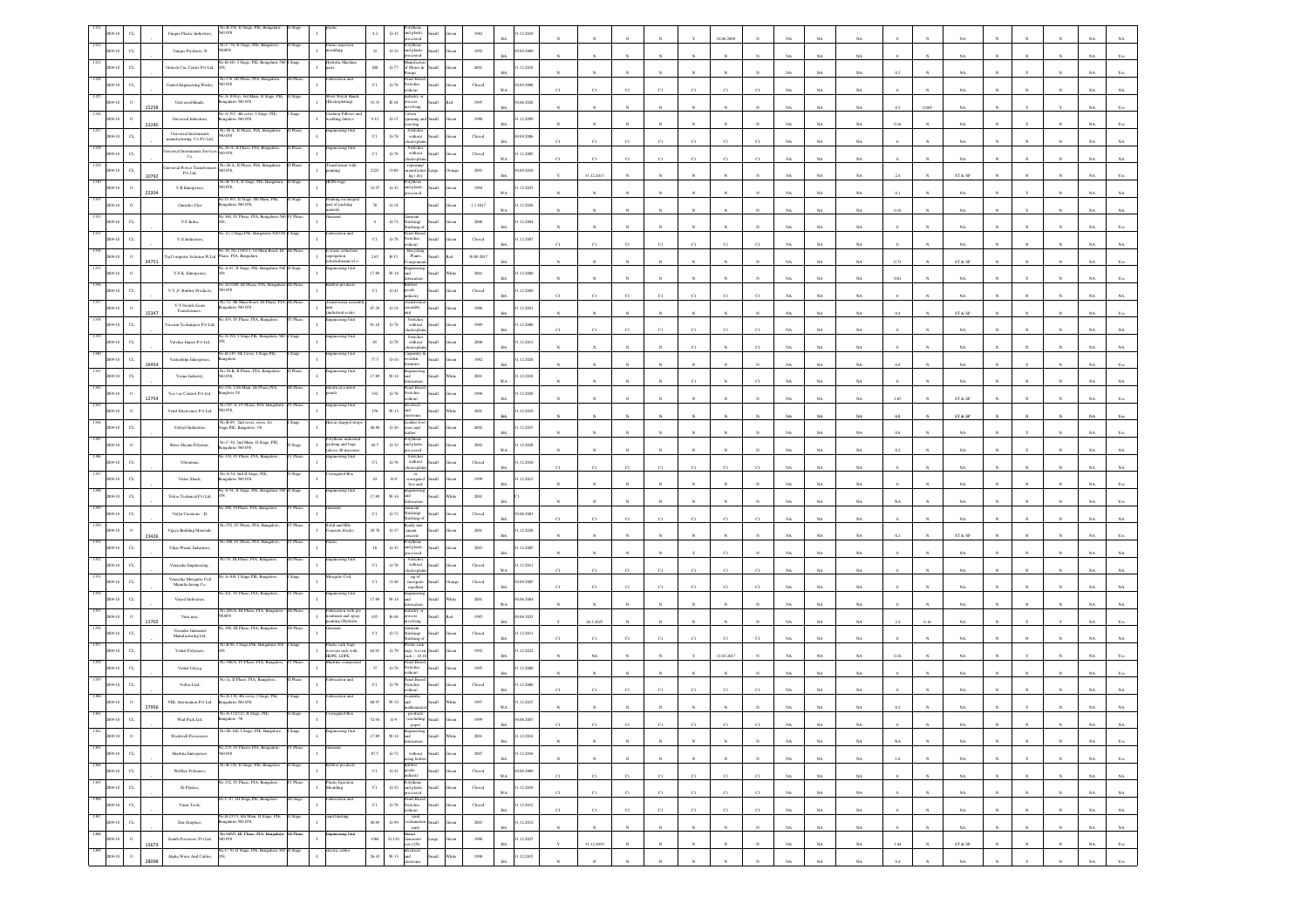|      |                         |       | io B-258. II<br>Unique Plastic Industries,<br>058                               |                                                           |           |                                                                         |               | $_{\mathrm{G-32}}$<br>nd plastic                                                                                                                                                        |       |                                                                                                         | .12.2010                    |             |             |              |              |              | 6.06.200     |                         |             |             |             |             |            |                              |              |                 |            |             |                |
|------|-------------------------|-------|---------------------------------------------------------------------------------|-----------------------------------------------------------|-----------|-------------------------------------------------------------------------|---------------|-----------------------------------------------------------------------------------------------------------------------------------------------------------------------------------------|-------|---------------------------------------------------------------------------------------------------------|-----------------------------|-------------|-------------|--------------|--------------|--------------|--------------|-------------------------|-------------|-------------|-------------|-------------|------------|------------------------------|--------------|-----------------|------------|-------------|----------------|
|      | $_{\rm{CL}}$            |       | Unique Products, N<br>8200                                                      | No.C-76, II Stage, PIE, Bangalor                          |           | astic inject                                                            | $32\,$        | Polythene<br>and plastic<br>$G-32$<br>ыl<br>ssed                                                                                                                                        |       | 1992                                                                                                    | 0.09.2009<br>RA             |             |             |              |              |              |              |                         |             | NA          |             |             |            |                              |              |                 |            |             |                |
|      | $_{\rm CL}$             |       | Unitech Cnc Centre Pvt Ltd,                                                     |                                                           |           |                                                                         | $200\,$       | $G-77$<br>of Motor &<br><b>Hall</b>                                                                                                                                                     |       | $2001\,$                                                                                                | 1.12.2016<br><b>BA</b>      |             |             |              |              |              |              |                         |             | NA          | $_{\rm NA}$ |             |            | NA                           |              |                 |            |             |                |
|      | $\alpha$                |       | o.176, III Phase, PIA.<br>United Engineering Works,<br>058                      |                                                           |           | ication uni                                                             | $_{\rm C1}$   | anel Boa<br>$\,$ G-78 $\,$<br>witches<br>rithout                                                                                                                                        |       | $\operatorname*{Closed}% \left( \mathcal{M}\right) \equiv\operatorname*{Disc}\left( \mathcal{M}\right)$ | (09.2008)<br>WA             | C1          | CI          |              |              | C1           | CI           |                         |             | NA          | $_{\rm NA}$ |             |            | NA                           |              |                 |            |             |                |
|      |                         | 15258 | A-103(a), 3rd M<br>Universal Hands,<br>sgalaru-560 058                          |                                                           |           | st Watch I<br>lectroplating)                                            | 33.33         | lastry<br>$R-44$<br>ocess<br>volving                                                                                                                                                    |       | 1995                                                                                                    | 0.06, 2020<br>RA            |             |             |              |              |              |              |                         |             | NA          | NA          | 05          | 0.065      | NA                           |              |                 |            |             |                |
|      |                         | 23240 | Universal Industries<br>galaru-560 058,                                         | 40.A-197, 4th cross, I Stage, PIE                         |           | shion Pillows a<br>edding fabrics                                       | 9.32          | como'<br>$G-15$<br>aning                                                                                                                                                                |       | $1980\,$                                                                                                | 1.12.2099<br><b>BA</b>      |             |             |              |              |              |              |                         |             | NA          | $_{\rm NA}$ | 0.16        |            |                              |              |                 |            |             |                |
|      | $\alpha$                |       | 26-A. II Phase, PI<br>Universal Instruments<br>tanufacturing Co Pvt Ltd,<br>058 |                                                           |           |                                                                         | $_{\rm C1}$   | Switches<br>without<br>$\,$ G-78 $\,$                                                                                                                                                   |       | Closed                                                                                                  | (09.2006)<br>BA             | C1          | C1          | C1           | CI           | $_{\rm C1}$  | C1           |                         |             | NA          | NA          |             |            | NA                           |              |                 |            |             |                |
|      | $\sigma$                |       | iversal Instruments Servi<br>0.58<br>Co,                                        | No.26-A, II Phase, PIA, Bengal                            |           | gineering Uni                                                           | C1            | Switches<br>without<br>$G-78$                                                                                                                                                           |       | Closed                                                                                                  | 1.12.2005<br>W <sub>A</sub> |             | C1          | C1           | CI           | C1           | CI           |                         |             | NA          | $_{\rm NA}$ |             |            | NA                           |              |                 |            |             |                |
|      | $\alpha$                | 10792 | Iniversal Power Transfort<br>058<br>Pvt Ltd,                                    | No.26-A, II Phase, PIA, Benga                             |           | nsformer wit                                                            | 2223          | repairing<br>manufactu<br>$0.69\,$<br>ng (dry                                                                                                                                           |       | $2003\,$                                                                                                | 0.09.2010<br><b>BA</b>      |             | 31.12.2013  |              |              |              |              |                         |             | NA          | $_{\rm NA}$ |             |            | ST & SP                      |              |                 |            |             |                |
|      |                         |       | V.B.Enterprises,<br>058,                                                        | Vo.B-70-A, II Stage, PIE, Bengalı                         |           | PE bag                                                                  | 32.97         | Polythene<br>and plastic<br>$G-32$<br>lian<br>essed                                                                                                                                     |       | 1994                                                                                                    | 1.12.2023<br>WA             |             |             |              |              |              |              |                         |             | NA          | NA          |             |            | NA                           |              |                 |            |             |                |
|      |                         |       | Gurudev Flex<br>sgalaru-560 058,                                                | io.D-361, II Stage, 8th Main, PIE,                        |           | rinting on integ<br>$\mathop{\text{part}}$ of $\mathop{\text{packing}}$ | 78            | $G-18$                                                                                                                                                                                  |       | 1.1.2017                                                                                                | 1.12.2026<br>W <sub>a</sub> |             |             |              |              |              |              |                         |             | NA          | $_{\rm NA}$ | 0.16        |            | $_{\rm NA}$                  |              |                 |            |             |                |
|      | C1                      |       | V.F.India,                                                                      | io.360, IV Phase, PIA, Bengaluru-56                       | V Phas    | rment                                                                   |               | iannen<br>$G-72$<br>titching/<br>itching o                                                                                                                                              |       | $2000\,$                                                                                                | 1.12.2004<br><b>BA</b>      |             |             |              |              |              |              |                         |             | NA          | $_{\rm NA}$ |             |            | $_{\rm NA}$                  |              |                 |            |             |                |
|      | C1                      |       | V.G.Industries,                                                                 | 12, I Stage, PIE, Beng                                    |           | ication uni                                                             | $_{\rm C1}$   | Panel Boa<br>Switches<br>$G-78$<br>ithout                                                                                                                                               |       | Closed                                                                                                  | 1.12.2007<br><b>BA</b>      | C1          | C1          | C1           |              | C1           | C1           |                         |             | NA          | NA          |             |            | NA.                          |              |                 |            |             |                |
|      | $\Omega$                |       | 0.38, No.154/1/3, 1st<br>Taj Computer Solution Pt Ltd Phase, PIA, Bengaluru     |                                                           |           | vaste collectio<br>gregation<br>'urbishment of e                        | 2.65          | Recycling<br>Plants<br>$R-15$<br><b>Ham</b>                                                                                                                                             |       | 30.09.2017                                                                                              |                             |             |             |              |              |              |              |                         |             | NA          |             | 0.72        |            |                              |              |                 |            |             |                |
|      | $\circ$                 | 34751 | V.S.K. Enterprises,                                                             | 40.A-47, II Stage, PIE, Bengaluru-                        |           | gineering Unit                                                          | 17.89         | Engi<br>and<br>$_{\rm W\text{-}14}$                                                                                                                                                     |       | $2001\,$                                                                                                | 1.12.2000                   |             |             |              |              |              |              |                         |             |             | $_{\rm NA}$ |             |            | ST & SP                      |              |                 |            |             |                |
|      | $\sigma$                |       | V.T., P. Rubber Products,<br>0.58                                               |                                                           |           |                                                                         | C1            | $G-41$<br>goods                                                                                                                                                                         |       | Closed                                                                                                  | BA<br>1.12.2009             |             |             | $^{c}$ 1     |              |              |              | $\mathcal{C}^{\dagger}$ |             | NA          | NA          |             |            | NA                           |              |                 |            |             |                |
|      |                         |       | V.T.Switch Gears<br>sgalaru-560 058<br>Transfermers                             | o.33, 4th Main Road, III Phase, PIA, III Ph               |           | sformer a                                                               | 87.29         | dustry<br>$_{\mathrm{G-18}}$<br>embly                                                                                                                                                   |       | 1986                                                                                                    | <b>BA</b><br>.12.2021       | C1          | C1          |              |              | C1           | CI           |                         | NA          | NA          | NA          |             |            | NA.                          |              |                 |            |             |                |
|      |                         | 15347 | accum Techniques Pvt La                                                         | 433. IV Phase, PIA.                                       |           | dustrial scale<br>ring Un                                               | $81.18\,$     | Switch<br>$\,$ G-78 $\,$<br>$% \left\vert \left( \mathbf{1}_{\mathbf{1}}\right) \right\rangle$ without                                                                                  |       | 1989                                                                                                    | BA<br>1.12.2006             |             |             |              |              |              |              |                         |             | NA          | $_{\rm NA}$ |             |            | ST & SP                      |              |                 |            |             |                |
|      | $\sigma$                |       | Varchas Impex Pvt Ltd,                                                          | A-192, I Stage,PIE, Benga                                 |           | ineering Unit                                                           | 65            | ctroph<br>Switches<br>without<br>$G-78$                                                                                                                                                 |       | $2000\,$                                                                                                | BA<br>1.12.2013             | C1          | C1          | C1           | CI           | $_{\rm C1}$  | C1           | CI                      |             | NA          | NA          |             |            | NA                           |              |                 |            |             |                |
|      | $_{\rm{CL}}$            |       | Vastushilpi Enterprises,<br>ealore                                              | io.B-219, 4th Cross, I Stage, PIE                         |           | teering Un                                                              | 77.5          | larpentry<br>$o$ oden<br>$_{\mathrm{G-10}}$                                                                                                                                             |       | $1982\,$                                                                                                | <b>BA</b><br>1.12.2020      |             |             |              |              | C1           | $\mathbf{N}$ | $_{\rm C1}$             | NA          | $_{\rm NA}$ | $_{\rm NA}$ |             |            | NA                           |              |                 |            |             |                |
|      | $_{\rm{CL}}$            | 16454 | Veena Industry,<br>058,                                                         | Vo 30-R II Phase PLA Renna                                |           |                                                                         | 17.89         | $_{\rm W\text{-}14}$<br>á,                                                                                                                                                              |       | $2001\,$                                                                                                | 1.12.2010                   |             |             |              |              |              |              |                         |             | $_{\rm NA}$ | $_{\rm NA}$ | 0.8         |            | $_{\rm NA}$                  |              |                 |            |             |                |
|      | $\circ$                 |       | Vee yee Control Pvt Ltd.<br>langlore-58                                         | 40.216, 11th Main, III Phase, PIA,                        |           | extrical cor<br>ads                                                     | 332           | anel Boar<br>$G-78$<br>Switches<br><b>Ham</b>                                                                                                                                           |       | 1990                                                                                                    | WA<br>1.12.2020             |             |             |              |              | C1           |              |                         |             | NA          | NA          |             |            |                              |              |                 |            |             |                |
|      | $\circ$                 | 12754 | Vetril Electronics Pvt Ltd,<br>058,                                             | No.547-A, IV Phase, PIA, Bengaluru                        |           | teering Uni                                                             | 156           | lectrica<br>$W-13$<br>ht                                                                                                                                                                |       | $200\mathrm{l}$                                                                                         | <b>BA</b><br>12.2010        |             |             |              |              |              |              |                         |             | NA          | $_{\rm NA}$ | 1.65        |            | ${\rm ST}$ & ${\rm SP}$      |              |                 |            |             |                |
|      | $\alpha$                |       | Vettiyil Industries                                                             | No.B-69, 2nd cross, cross, Is<br>itage,PIE, Bangalore -58 |           | vai chappel s                                                           | 40.88         | Leather for<br>wear and<br>$G-26$                                                                                                                                                       |       | 2002                                                                                                    | <b>BA</b><br>1.12.2015      |             |             |              |              |              |              |                         |             | NA          | $_{\rm NA}$ | 0.8         |            | ST & SP                      |              |                 |            |             |                |
|      | $\circ$                 |       | Shree Shyam Polymer.                                                            | No.C-30, 2nd Main, II Stage, PIE,<br>Bengalaru-560 058    | Stage     | $\mathbf{I}$                                                            | 44.5          | ather<br>$G-32$<br>and plastic<br>HH.                                                                                                                                                   |       | 2002                                                                                                    | RA<br>1.12.2028             |             |             |              |              |              |              |                         |             | NA          | NA          | 0.8         |            | NA.                          |              |                 |            |             |                |
|      | $\alpha$                |       | Vibrations,                                                                     | in 370 IV Phase PIA Ban                                   |           | acking and bags<br>above 40 micron<br>eering Uni                        | $_{\rm C1}$   | Switches<br>without<br>$\,$ G-78 $\,$                                                                                                                                                   |       | $\operatorname*{Closed}% \left( \mathcal{M}\right) \equiv\operatorname*{Disc}\left( \mathcal{M}\right)$ | <b>WA</b><br>12.2010        |             |             |              |              |              |              |                         |             | $_{\rm NA}$ | $_{\rm NA}$ | 0.2         |            | $_{\rm NA}$                  |              |                 |            |             |                |
|      | $_{\rm{CL}}$            |       | o.A-54, 2nd II Stage<br>Video Shack,<br>sgalaru-560 058,                        |                                                           |           | rrugated Be                                                             | 43            | lectropla<br>$\alpha$<br>$G-9$<br>ыl                                                                                                                                                    |       | 1999                                                                                                    | <b>BA</b><br>1.12.2012      | C1          | C1          | CI           |              | $_{\rm Cl}$  | CI           |                         |             | NA          | NA          |             |            | NA                           |              |                 |            |             |                |
|      | C1                      |       | Vidoo Technical Pvt Ltd,                                                        | 40.A-54, II Stage, PIE, Ber                               |           | teering Uni                                                             | 17.89         | corrugated<br>box and<br>$W-14$<br>вā                                                                                                                                                   |       | $2001\,$                                                                                                | RA                          |             |             |              |              |              |              |                         |             | NA          | NA          |             |            |                              |              |                 |            |             |                |
|      | $\alpha$                |       | Vidya Creations - II,                                                           |                                                           |           |                                                                         | $_{\rm C1}$   | $_{\mathrm{G-72}}$<br>titching/                                                                                                                                                         |       | ${\it Closed}$                                                                                          | <b>BA</b><br>(06, 2003)     |             |             |              |              |              |              |                         |             | NA          | NA          |             |            |                              |              |                 |            |             |                |
|      | $\circ$                 |       | Vijaya Building Materials                                                       | 552, IV Phase, PIA, Bang                                  |           | olid and Hlo<br>ncrete blocks                                           | 20.78         | titching o<br>teady mir<br>$G-37$<br>thems                                                                                                                                              |       | 2001                                                                                                    | <b>BA</b><br>1.12.2020      | C1          | C1          | CI           | CI           | C1           | CI           |                         |             | NA          | NA          |             |            | NA                           |              |                 |            |             |                |
|      | C1                      | 2342  | Vikas Plastic Industries                                                        | 300, IV Phase, PIA, Bangalore                             |           |                                                                         |               | .<br><br>olythene<br>and plastic<br>$G-32$                                                                                                                                              |       | $2003\,$                                                                                                | RA<br>.12.2005              |             |             |              |              |              |              |                         |             | NA          | NA          | 0.2         |            | ST & SP                      |              |                 |            |             |                |
|      | $\alpha$                |       | Vinayaka Engineering                                                            | 54. III Phase, PIA, Ba                                    |           |                                                                         | $_{\rm C1}$   | Switches<br>without<br>$\textrm{G-}78$                                                                                                                                                  |       | Closed                                                                                                  | <b>BA</b><br>1.12.2011      |             |             |              |              |              | $_{\rm C1}$  |                         |             | $_{\rm NA}$ | $_{\rm NA}$ |             |            | NA                           |              |                 |            |             |                |
|      | $\sigma$                |       | Vinayaka Mosquito Coil                                                          | A-300, I Stage, PIE, Ban                                  |           |                                                                         | C1            | ectropi<br>ng of<br>mosquito<br>repellent<br>$0 - 48$                                                                                                                                   |       | Closed                                                                                                  | WA<br>90.09.2005            | C1          | C1          | C1           | CI           | C1           | C1           | CI                      |             | $_{\rm NA}$ | NA          |             |            | NA                           |              |                 |            |             |                |
|      | C1                      |       | Manufacturing Co,<br>Vined Industries,                                          | 1,421, IV Phase, PIA, Bangalon                            |           | gineering Uni                                                           | 17.89         | $W-14$<br>á,                                                                                                                                                                            |       | 2001                                                                                                    | 0.06.2004                   |             | $_{\rm C1}$ | C1           | CI           | C1           | CI           |                         |             | NA          | $_{\rm NA}$ |             |            | NA                           |              |                 |            |             |                |
|      | $\circ$                 |       | Vinu mac,                                                                       | 205/A, III Phase, PIA, Bang                               |           | veication with pre<br>atment and spray                                  | 435           | ustry o<br>$R-44$                                                                                                                                                                       |       | 1985                                                                                                    | WA<br>0.06.2023             |             |             |              |              |              |              |                         |             | NA          | NA          |             |            |                              |              |                 |            |             |                |
|      | C1                      | 11702 |                                                                                 | 188, III Phase, PIA, I                                    |           | sting (Hydrulic                                                         | $_{\rm C1}$   | eocess<br>svolving<br>armen<br>$G-72$<br>titching/                                                                                                                                      |       | Closed                                                                                                  | RA<br>1.12.2013             |             | 20.3.2025   |              |              |              |              |                         |             | NA          | NA          |             |            | NA                           |              |                 |            |             |                |
|      | $_{\rm{CL}}$            |       | Virendra Garments<br>Manufacturing Ltd,<br>Vishal Polymers,                     | No.B-96, I Stage,PIE, Bengaluru-5                         |           | Plastic sack bags<br>wooven sack with<br>HDPE, LDPE,                    | 64.91         | titching o<br>Plastic sack<br>bags, woven<br>sack -- 10 10<br>$\operatorname{G-79}$                                                                                                     |       | $1992\,$                                                                                                | 1.12.2022                   |             | $_{\rm C1}$ | C1           | CI           | C1           | $_{\rm C1}$  |                         |             | $_{\rm NA}$ | $_{\rm NA}$ |             |            | $_{\rm NA}$                  |              |                 |            |             |                |
|      | C1                      |       | Vishal Udyog,                                                                   | 306/A, IV Phase, PIA.                                     |           |                                                                         | 37            | Panel Boa<br>Switches<br>$G-78$                                                                                                                                                         |       | 1995                                                                                                    | <b>BA</b><br>1.12.2000      |             | $_{\rm NA}$ |              |              |              | 31.03.2017   |                         |             | NA          | NA          | 0.16        |            | NA                           |              |                 |            |             |                |
|      | $\sigma$                |       | Voltas Lted,                                                                    | . Ia, II Phase, PIA, Ba                                   |           | rication unit                                                           | $_{\rm C1}$   | ithout<br>anel Boa<br>$\,$ G-78 $\,$                                                                                                                                                    |       |                                                                                                         | <b>BA</b>                   |             |             |              |              |              |              |                         |             | NA          | NA          |             |            | NA                           |              |                 |            |             |                |
|      |                         |       | galaru-560 058                                                                  | Vo.A-170, 4th cross, I Stage                              |           |                                                                         |               | Switches<br>without<br>$_{\rm{lat}}$<br>w.33                                                                                                                                            |       | Closed<br>1997                                                                                          | 1.12.2000                   |             |             |              |              | C1           |              |                         |             | NA          |             |             |            |                              |              |                 |            |             |                |
|      |                         | 27956 | VRI. Automation Pvt Ltd,<br>.А-111/112, II<br>Wad Pack Ltd,                     |                                                           |           |                                                                         |               | $\mbox{G-9}$                                                                                                                                                                            |       | 1999                                                                                                    | 1.12.2015<br>06.2007        |             |             |              |              |              |              |                         |             |             |             |             |            |                              |              |                 |            |             |                |
| 1362 |                         |       | ealore - SS                                                                     | No.Sb-160, I Stage, PIE, Bangalore, I Stage               |           | ngineering Unit                                                         |               |                                                                                                                                                                                         |       |                                                                                                         | BA                          | C1          | C1          | CL           |              | C1           | C1           | C1                      | NA          | NA 1        | <b>NA</b>   |             | N          | <b>NA</b>                    | N            | N               |            | NA 1        | NA 1           |
| 1363 | $\,$ 0<br>2009-10       |       | Washwell Processors,                                                            | No.279, IV Phasee PIA, Bengaluru-                         | IV Phase  | $\mathbf{I}$                                                            | 17.89         | Engineering<br>and<br>fabrication<br>$_{\rm W\text{-}14}$<br>Small                                                                                                                      | Vhite | $2001\,$                                                                                                | 31.12.2014<br>$_{\rm BA}$   |             | $_{\rm N}$  | $_{\rm N}$   | $_{\rm N}$   | $_{\rm N}$   | $_{\rm N}$   | $_{\rm N}$              | $_{\rm NA}$ | $_{\rm NA}$ | $_{\rm NA}$ | $_{\rm NA}$ |            | $_{\rm NA}$                  |              | $_{\rm N}$      |            | $_{\rm NA}$ | $\mathbf{Yes}$ |
| 1364 | $_{\rm{CL}}$<br>2009-10 |       | Harshita Enterprises,<br>60058                                                  | Vo.B-126, Il Stage, PIE, Bangalore                        | II Stage  | $\mathbf{I}$<br>bber products                                           | 87.5          | $$\rm G-72$$ $$\rm$ without<br>Small<br>sing boiler<br>$\begin{tabular}{ll} \bf{G-41} & \begin{tabular}{l} \bf{Rubber} \\ \bf{G-41} & goods \\ industry \\ \end{tabular} \end{tabular}$ | ireen | $2007\,$                                                                                                | 31.12.2016<br>$BA$          | N           | $_{\rm N}$  | $_{\rm N}$   | $_{\rm N}$   | $_{\rm N}$   | $_{\rm N}$   | $_{\mathrm{N}}$         | $_{\rm NA}$ | NA          | NA          | 1.6         | $_{\rm N}$ | NA                           | N            | Y               | $_{\rm N}$ | $_{\rm NA}$ | Yes.           |
| 1365 | $_{\rm CL}$<br>2009-10  |       | Welflex Polymers,                                                               | No.332, IV Phase, PIA, Bangalore,                         | IV Phase  | $\mathbf{I}$<br>Plastic Injection<br>Moulding                           | $\mathbb{C}1$ | Small                                                                                                                                                                                   | ireen | ${\bf Closed}$                                                                                          | 30.06.2009<br>$_{\rm WA}$   | $_{\rm C1}$ | C1          | $_{\rm C1}$  | $_{\rm C1}$  | $_{\rm C1}$  | $_{\rm C1}$  | $_{\rm C1}$             | $_{\rm NA}$ | $_{\rm NA}$ | $_{\rm NA}$ | $\circ$     | $_{\rm N}$ | $_{\rm NA}$                  | N            | $\mathbb{N}$    | $_{\rm N}$ | $_{\rm NA}$ | $_{\rm NA}$    |
| 1366 | $_{\rm{CL}}$<br>2009-10 |       | XI Plastics,                                                                    | 40.C-87, III Stage,PIE, Bangalore                         | III Stage | $\mathbf{I}$<br>abrication unit                                         | $_{\rm C1}$   | $\begin{tabular}{ll} \bf{Polythen} \\ \bf{G-32} & \text{and plastic} \\ \bf{processed} \end{tabular}$<br>Small<br>Panel Board,<br>G-78 Switches                                         | iteen | $\operatorname*{Closed}% \left( \mathcal{M}\right)$                                                     | 31.12.2010<br>$_{\rm WA}$   | $_{\rm C1}$ | $_{\rm C1}$ | $_{\rm C1}$  | $_{\rm C1}$  | $_{\rm C1}$  | $_{\rm C1}$  | $_{\rm C1}$             | $_{\rm NA}$ | $_{\rm NA}$ | $_{\rm NA}$ |             |            | $_{\rm NA}$                  | $_{\rm N}$   | $_{\rm N}$      | $_{\rm N}$ | $_{\rm NA}$ | $_{\rm NA}$    |
|      | $_{\rm{CL}}$<br>2009-10 |       | Yumi Tools,                                                                     | vo.B-237/1, 6th Main, II Stage, PIE,                      | I Stage   | nd blasting                                                             | $_{\rm{Cl}}$  | <b>Ham</b><br>without<br>sand                                                                                                                                                           | ireen | Closed                                                                                                  | 31.12.2012<br>BA            | C1          | C1          | C1           | C1           | C1           | C1           | C1                      | NA          | NA          | NA          |             | N          | NA                           | $\mathbf{N}$ | $\mathbf{N}$    | $_{\rm N}$ | NA          | $_{\rm NA}$    |
| 1368 | $_{\rm CL}$<br>2009-10  |       | Zen Graphics,<br>Bengaluru-560 058,                                             | No.9495, III Phase, PIA, Bengaluru- III Phase             |           | $\;$ I<br>ngineering Unit                                               | $48.69\,$     | $G-99$<br>$\begin{array}{c} \mbox{reclamation}\\ \mbox{univ} \end{array}$<br><b>Illens</b>                                                                                              | ireen | $2003\,$                                                                                                | 31.12.2012<br>$_{\rm BA}$   | $_{\rm N}$  | $_{\rm N}$  | $\mathbf{N}$ | $\mathbf{N}$ | $\mathbf{N}$ | $\mathbf{N}$ | $_{\rm N}$              | $_{\rm NA}$ | $_{\rm NA}$ | $_{\rm NA}$ |             | $_{\rm N}$ | $_{\rm NA}$                  |              | $\mathbf{N}$    | $_{\rm N}$ | $_{\rm NA}$ | $_{\rm NA}$    |
|      | $\,$ 0<br>2009-10       | 15673 | Zenith Precision Pvt Ltd,<br>560 058                                            | No.C-70, II Stage, PIE, Bengaluru-560 II Stage<br>(IS8,   |           | $\mathbf{I}$<br>electric cables                                         | $1364\,$      | Diesel<br>Generator<br>sets (250<br>$$\tt G-110$$<br>Large<br>Electrical<br>and                                                                                                         |       | 1986                                                                                                    | 1.12.2025<br>$_{\rm BA}$    | $_{\rm Y}$  | 31.12.2019  | $_{\rm N}$   | $_{\rm N}$   | $_{\rm N}$   | $_{\rm N}$   | $_{\rm N}$              | $_{\rm NA}$ | $_{\rm NA}$ | $_{\rm NA}$ | $1.64\,$    | $_{\rm N}$ | $\text{ST} \ \& \ \text{SP}$ |              | $_{\mathrm{N}}$ | $_{\rm N}$ | $_{\rm NA}$ | $\mathbf{Yes}$ |
|      | $\,$ 0<br>2009-10       |       | Alpha Wires And Cables.                                                         |                                                           |           | $\mathbf{I}$                                                            | 26.43         | $_{\rm W\text{-}13}$<br><b>Ilum</b>                                                                                                                                                     | hite  | $19\%$                                                                                                  | 31.12.2015<br><b>BA</b>     |             | $_{N}$      |              |              | $\mathbf{N}$ |              |                         | NA          | NA          | NA          | 0.4         |            | NA                           |              |                 | $_{\rm N}$ | $_{\rm NA}$ | Yes            |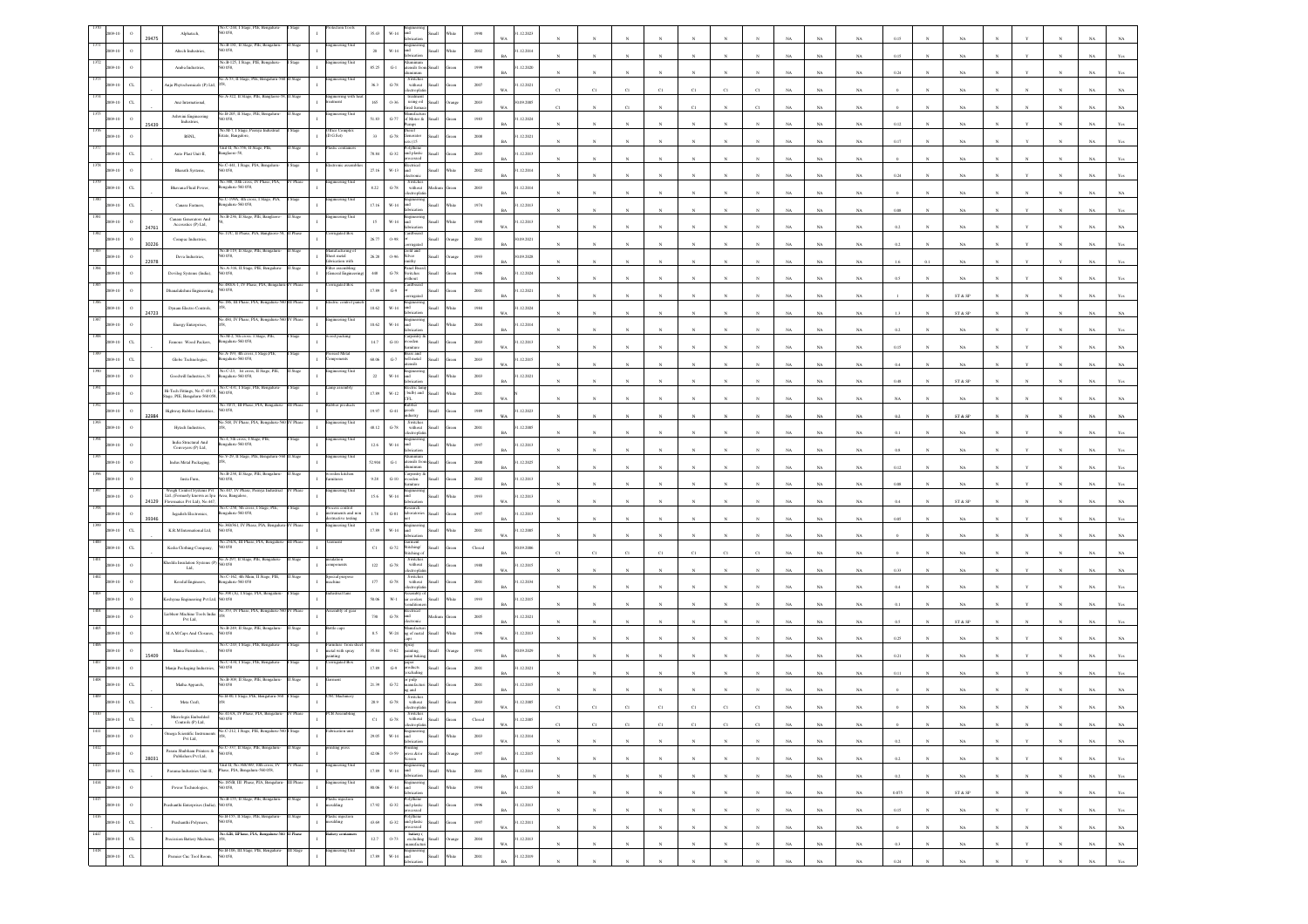|                                          | Alphatech                                                                                                                   | io.C-244, 1<br>0 0 58,                                                                         |          |                                                                | 35.43       |                              |                                                                                                                              |                |          | .12.2023                 |    |              |                       |              |              |                       |              |             |             |             |           |              |                              |              |              |              |             |                |
|------------------------------------------|-----------------------------------------------------------------------------------------------------------------------------|------------------------------------------------------------------------------------------------|----------|----------------------------------------------------------------|-------------|------------------------------|------------------------------------------------------------------------------------------------------------------------------|----------------|----------|--------------------------|----|--------------|-----------------------|--------------|--------------|-----------------------|--------------|-------------|-------------|-------------|-----------|--------------|------------------------------|--------------|--------------|--------------|-------------|----------------|
|                                          | Ahech Industries                                                                                                            | No.B-181, II Stage, PIE, Bengaluri                                                             |          |                                                                | $20\,$      | $W-14$                       |                                                                                                                              |                | $2002\,$ | .12.2014                 |    |              |                       |              |              |                       |              |             | NA          | NA          | 0.15      |              |                              |              |              |              |             |                |
|                                          | Amba Industries,                                                                                                            | <b>1B-125, I Stage</b><br>0058                                                                 |          |                                                                | 85.25       | $\operatorname{G-1}$         | ensils fro                                                                                                                   | <b>Illami</b>  | 1999     | 1.12.2020                |    |              |                       |              |              |                       |              |             |             |             |           |              |                              |              |              |              |             |                |
|                                          | nju Phytochemicals (P) Ltd.                                                                                                 | io.A-53, II Stage, PIE, Ben                                                                    |          | teering Unit                                                   | 36.3        | $\mbox{G-}78$                | Switcher<br>$% \left\vert \left( \mathbf{1}_{\mathbf{1}}\right) \right\rangle$ without                                       |                | $2007\,$ | .12.2021                 |    |              |                       |              |              |                       |              |             | NA          | NA          | 0.24      |              | NA                           |              |              |              |             |                |
| $\alpha$                                 | Anz International,                                                                                                          | A-322, Il Stage, PIE, B                                                                        |          | iginerring w<br>ment                                           | $165\,$     | $0 - 36$                     | ctroph<br>$% \left\vert \left( \mathbf{r}_{i}\right) \right\rangle$ treatment using oil                                      |                | $2003\,$ | WA<br>0.09.2005          | C1 |              |                       |              | $_{\rm CI}$  | C1                    | CI           |             | NA          | $_{\rm NA}$ |           |              | NA                           |              |              |              |             |                |
|                                          | Ashwini Engineering                                                                                                         | o.B-205, II Stage, PIE, Bengalar                                                               |          | eering Uni                                                     |             |                              | ed furr<br>of Motor &                                                                                                        |                |          | WA.                      | CI |              | CI                    |              | C1           |                       | CI           |             | NA          | NA          |           |              | NA                           |              |              |              |             |                |
| $\circ$<br>25439                         | Industries,                                                                                                                 | 0.058,<br>éo.M-7, I Stage, Peenya Industria                                                    |          | ffice Comple                                                   | 51.83       | $\mbox{G-}77$                | icid                                                                                                                         | <b>Ham</b>     | 1983     | .12.2024                 |    |              |                       |              |              |                       |              |             | NA          | $_{\rm NA}$ | $0.12\,$  |              | $_{\rm NA}$                  |              |              |              |             |                |
|                                          | $\operatorname{BSNL}_*$                                                                                                     | tate, Bangalore<br>Unit-II, No.556, II Stage,                                                  |          | D.G.Set)                                                       | $_{33}$     | $\,$ G-78 $\,$               | merator<br>is (15                                                                                                            |                | $2008\,$ | .12.2021                 |    |              |                       |              |              |                       |              |             | $_{\rm NA}$ | $_{\rm NA}$ | 0.17      |              | $_{\rm NA}$                  |              |              |              |             |                |
| $\alpha$                                 | Auto Plast Unit-II,                                                                                                         | nglaore-58,<br>C-441, I Stage, PIA,                                                            |          |                                                                | 78.84       | $G-32$                       | and plastic<br>ssed                                                                                                          | <b>Small</b>   | 2003     | 1.12.2013                |    |              |                       |              |              |                       |              |             | NA          | NA          |           |              |                              |              |              |              |             |                |
|                                          | Bharath Systems,                                                                                                            | 0058.                                                                                          |          |                                                                | 27.16       | $W-13$                       | hn                                                                                                                           | <b>Illami</b>  | 2002     | 1.12.2014<br>RA          |    |              |                       |              |              |                       |              |             | NA          | $_{\rm NA}$ | 0.24      |              |                              |              |              |              |             |                |
| $\alpha$                                 | Bhavana Fluid Power,                                                                                                        | io.388, 10th cross, IV Phase, PIA,<br>galaru-560 058,                                          |          | teering Uni                                                    | $8.22\,$    | $\,$ G-78 $\,$               | Switche<br>without                                                                                                           |                | $2003\,$ | .12.2014                 |    |              |                       |              |              |                       |              |             | $_{\rm NA}$ | $_{\rm NA}$ |           |              | $_{\rm NA}$                  |              |              |              |             |                |
| $\alpha$                                 | Canara Fastners,                                                                                                            | o.C-199A, 4th cross,<br>I Stage, PIA,<br>sgalaru-560 058,                                      |          | gineering Un                                                   | 17.16       | W-14                         |                                                                                                                              |                | 1974     | 1.12.2013                |    |              |                       |              |              |                       |              |             | NA          | NA          | 0.08      |              | NA                           |              |              |              |             |                |
| $\,$ 0<br>24761                          | $\begin{array}{c} \textbf{Cunara Generators And}\\ \textbf{Accossics (P) Ind,} \end{array}$                                 | o.B-236, II Stage, PIE,                                                                        |          | ering Uni                                                      | $15\,$      | W-14                         |                                                                                                                              |                | 1998     | 1.12.2013<br>WA          |    |              |                       |              |              |                       |              |             | NA          | $_{\rm NA}$ | 0.2       |              | $_{\rm NA}$                  |              |              |              |             |                |
| 30226                                    | Compac Industries,                                                                                                          | 17/C, II Phase, PIA, Bangl                                                                     |          | agated Bo                                                      | 26.77       | $0.98\,$                     |                                                                                                                              |                | $2001\,$ | 0.09.2021                |    |              |                       |              |              |                       |              |             |             |             | 0.2       |              |                              |              |              |              |             |                |
|                                          | Deva Industries,                                                                                                            | o.B-119, II Stage, PIE<br>0058.                                                                |          | ufacturing<br>iheet metal<br>abrication with                   | 26.28       | $O-96$                       | silver                                                                                                                       |                | 1993     | 0.09.2028                |    |              |                       |              |              |                       |              |             | $_{\rm NA}$ | NA          |           |              | NA                           |              |              |              |             |                |
| 22978                                    | Devilog Systems (India),                                                                                                    | No.A-316, II Stage, PIE, Bengalur<br>60 058,                                                   | Stage    | ilter assembling<br><b>General Engin</b>                       | $448\,$     | $\operatorname{G-78}$        | anel Boar<br>switches                                                                                                        |                | $1986\,$ | .12.2024                 |    |              |                       |              |              |                       |              |             | NA          | NA          |           |              |                              |              |              |              |             |                |
|                                          | Dhanalakshmi Engineering,                                                                                                   | 480/A-1.1<br>560 058                                                                           |          | ited Bo                                                        | 17.89       | $\mathbf{G}\mathcal{A}$      |                                                                                                                              |                | $2001\,$ | .12.2021                 |    |              |                       |              |              |                       |              |             | NA          | $_{\rm NA}$ |           |              | NA                           |              |              |              |             |                |
|                                          |                                                                                                                             | o.186, III Phase, PIA, Bengaluru-5                                                             |          | tric control                                                   |             | $W-14$                       |                                                                                                                              |                |          |                          |    |              |                       |              |              |                       |              |             | NA          | NA          |           |              | ST & SP                      |              |              |              |             |                |
| 24723                                    | Dynam Electro Controls,                                                                                                     | o.484, IV Phase, PIA, Bengaluru-560 IV Phase                                                   |          | ineering Unit                                                  | 18.62       |                              |                                                                                                                              |                | $1984\,$ | 1.12.2024                |    |              |                       |              |              |                       |              |             | NA          | $_{\rm NA}$ | 1.3       |              | ST & SP                      |              |              |              |             |                |
|                                          | Energy Enterprises,                                                                                                         | No.M-2, 5th cross. I Stage, PIE<br>Rengaluru-560 058,                                          |          | od packing                                                     | 10.62       | $_{\rm W\text{-}14}$         |                                                                                                                              |                | $2004\,$ | .12.2014                 |    |              |                       |              |              |                       |              |             | $_{\rm NA}$ | $_{\rm NA}$ | 0.2       |              | $_{\rm NA}$                  |              |              |              |             |                |
| CL                                       | Famous Wood Packers,                                                                                                        | o.A-193, 4th cross, 1                                                                          |          | ssed Meta                                                      | 14.7        | $G-10$                       | oden                                                                                                                         |                | 2003     | .12.2013<br>WA           |    |              |                       |              |              |                       |              | NA          | $_{\rm NA}$ | $_{\rm NA}$ | 0.15      |              | $_{\rm NA}$                  |              |              |              |             |                |
| CL                                       | Globe Technologies,                                                                                                         | ngalaru-560 058,<br>No.C-23, 1st cross, II Stage, PIE                                          |          | <i>sponents</i><br>gineering Un                                | 68.06       | $\mbox{G-7}$                 | ell metal<br>eile                                                                                                            | <b>Hat</b>     | 2003     | 1.12.2015<br>w.          |    |              |                       |              |              |                       |              |             | NA          | $_{\rm NA}$ | 0.4       |              | $_{\rm NA}$                  |              |              |              |             |                |
| $\circ$                                  | Goodwill Industries, ${\bf N}$                                                                                              | ngalaru-560 058                                                                                |          |                                                                | $\bf{22}$   | $_{\rm W\text{-}14}$         |                                                                                                                              |                | $2003\,$ | 1.12.2021                |    |              |                       |              |              |                       |              |             | NA          | $_{\rm NA}$ | 0.48      |              | ST & SP                      |              |              |              |             |                |
|                                          | Hi-Tech Fittings, No.C-431, I<br>age, PIE, Bengaluru-560 058,                                                               | o.C-431, I Stage, PIE, Bengalu<br>D 058,                                                       |          | mp assembl                                                     | 17.89       | $W-12$                       | lectric tamp<br>bulb) and<br><b>H</b>                                                                                        | llam           | 2001     |                          |    |              |                       |              |              |                       |              |             | NA          | NA          |           |              | NA                           |              |              |              |             |                |
| 32984                                    | Highway Rubber Industries,                                                                                                  | 70/71, III Phase<br>60 058,                                                                    |          |                                                                | 19.97       | $G-41$                       | shoo                                                                                                                         |                | 1989     | 1.12.2023                |    |              |                       |              |              |                       |              |             | NA          | $_{\rm NA}$ | 0.2       |              | ST & SP                      |              |              |              |             |                |
|                                          | Hytech Industries,                                                                                                          | No.548, IV Phase, PIA, Bengaluru-560 IV Phas                                                   |          | eering Un                                                      | 48.12       | $\,$ G-78 $\,$               | Switches<br>without<br>ctroph                                                                                                |                | $2001\,$ | .12.2005                 |    |              |                       |              |              |                       |              |             | NA          | NA          |           |              | NA                           |              |              |              |             |                |
|                                          | India Structural And<br>Conveyers (P) Ltd,                                                                                  | 4, 5th cross, I Stage,<br>sgalaru-560 058,                                                     |          | ring U                                                         | $12.6\,$    | W-14                         |                                                                                                                              |                | 1997     | .12.2013<br>RA           |    |              |                       |              |              |                       |              |             | NA          | NA          | 0.8       |              | <b>NA</b>                    |              |              |              |             |                |
|                                          | Indus Metal Packaging,                                                                                                      | 40.V-29, II Stage, PIE, Bengaluru-                                                             |          | neering Unit                                                   | 52.904      | ${\bf G\text{-}l}$           | sils fro                                                                                                                     |                | $2000\,$ | .12.2025                 |    |              |                       |              |              |                       |              |             |             |             |           |              |                              |              |              |              |             |                |
|                                          | Insta Furn,                                                                                                                 | 40.B-238. Il Stage, PIE.<br>058,                                                               |          | iden kitch<br>ures                                             | $9.28\,$    | $_{\mathrm{G-10}}$           |                                                                                                                              |                | $2002\,$ | 1.12.2013                |    |              |                       |              |              |                       |              |             | $_{\rm NA}$ | $_{\rm NA}$ | 0.12      |              | $_{\rm NA}$                  |              |              |              |             |                |
| $\circ$                                  | Weigh Control Systems Pvt                                                                                                   | No.447, IV Phase, Peenya Indus                                                                 |          | ineering Unit                                                  | $15.6\,$    | W-14                         |                                                                                                                              |                | 1993     | .12.2013                 |    |              |                       |              |              |                       |              |             | NA          | NA          |           |              |                              |              |              |              |             |                |
|                                          | $\text{Lid.}\text{(Formely known as Ipa Area, Rangealore, }\\ \text{Flowmatics Pvt Ltd), No.447,}$<br>Jagadish Electronics, | a.C-258, 5th cross, I Stage, PIE<br>ngalaru-560 058,                                           |          | ocess control<br>truments and non                              | $1.78\,$    | $_{\mathrm{G-S1}}$           |                                                                                                                              |                | 1997     | WA<br>.12.2013           |    |              |                       |              |              |                       |              |             | NA          | $_{\rm NA}$ | 0.4       |              | ST & SP                      |              |              |              |             |                |
| $\alpha$                                 | K.R.M International Ltd,                                                                                                    | o 360/361, IV Phase, PIA, Bengalu<br>0.058,                                                    | V Phase  | structive testing<br>ngineering Unit                           | 17.89       | $_{\rm W\text{-}14}$         |                                                                                                                              |                | $2001\,$ | .12.2005                 |    |              |                       |              |              |                       |              |             | NA          | $_{\rm NA}$ | 0.05      |              | $_{\rm NA}$                  |              |              |              |             |                |
|                                          |                                                                                                                             | o.254/A, III Phase, PIA, Bengalus                                                              | I Phas   |                                                                |             |                              |                                                                                                                              |                |          | WA                       |    |              |                       |              |              |                       |              |             | NA          | NA          |           |              | NA                           |              |              |              |             |                |
| $_{\rm CL}$                              | Kedia Clothing Company,                                                                                                     | 0058<br>ko.A-297, II Stage, PIE, Bengalur                                                      |          |                                                                | $_{\rm Cl}$ | $\mbox{G-}72$                | Stitching/<br>Switche                                                                                                        | <b>Hat</b>     | Closed   | 1.09.2006<br>RA          |    | C1           | C1                    |              | C1           | C1                    |              |             | $_{\rm NA}$ | $_{\rm NA}$ |           |              | $_{\rm NA}$                  |              |              |              |             |                |
|                                          | Chedda Insulation Systems (I<br>Ltd,                                                                                        | 50058<br>šo.C-162, 4th Main, II Stage, PIE                                                     | luge     |                                                                | $122\,$     | $\,$ G-78 $\,$               | without                                                                                                                      |                | $1988\,$ | .12.2015                 |    |              |                       |              |              |                       |              |             | $_{\rm NA}$ | $_{\rm NA}$ | 0.33      |              | $_{\rm NA}$                  |              |              |              |             |                |
| $\circ$                                  | Koodal Engineers,                                                                                                           | ngalaru-560 058<br>398 (A), I Stage, PIA, Beng                                                 |          | ipecial purpos<br>nachine                                      | $17\bar{7}$ | $\mbox{G-78}$                | Switches<br>without<br>monte                                                                                                 |                | 2001     | 1.12.2034                |    |              |                       |              |              |                       |              |             | NA          | NA          |           |              |                              |              |              |              |             |                |
| $\circ$                                  | oshyma Engineering Pvt Ltd, 560 058                                                                                         |                                                                                                |          |                                                                | 50.06       | $\mathbf{W}\cdot \mathbf{1}$ | coolers                                                                                                                      | llum           | 1993     | 1.12.2015<br>R           |    |              |                       |              |              |                       |              |             | NA          | $_{\rm NA}$ |           |              | $_{\rm NA}$                  |              |              |              |             |                |
|                                          | Liebherr Machine Tools India<br>Pvt Lad,                                                                                    | a 353, IV Phase, PIA, Ben                                                                      |          | mbly of ge                                                     | 730         | $\operatorname{G-78}$        |                                                                                                                              |                | $2005\,$ | .12.2021                 |    |              |                       |              |              |                       |              |             | NA          | NA          | 0.5       |              | ST & SP                      |              |              |              |             |                |
|                                          | <b>MAM Caps And Closures</b>                                                                                                | io.B-249, II Stage<br>D 0.58                                                                   |          |                                                                | 8.5         | $W-24$                       | ag of metal                                                                                                                  | Iliami         | 1996     | 1.12.2013                |    |              |                       |              |              |                       |              |             | NA          | NA          | 0.25      |              | NA.                          |              |              |              |             |                |
| 15409                                    | Mama Furnishers,                                                                                                            | No.C-243, I Stage, PIE, Bengalur<br>0058                                                       |          | rniture from s<br>metal with spray                             | 35.84       | $0.62\,$                     | pray                                                                                                                         |                | 1991     | 1.09.2029                |    |              |                       |              |              |                       |              |             | NA          | $_{\rm NA}$ | 0.21      |              | NA                           |              |              |              |             |                |
|                                          | Manju Packaging Industries,                                                                                                 | $o$ .C-434, I Stage                                                                            |          |                                                                | 17.89       | $\mathbb{G}\mathscr{G}$      | .<br>dacts<br>sclodin                                                                                                        |                | $2001\,$ | .12.2021                 |    |              |                       |              |              |                       |              |             | NA          | NA          | 0.1       |              | NA                           |              |              |              |             |                |
| $\alpha$                                 | Matha Apparels,                                                                                                             | 40.B-309, II Stage, PIE, Bengaları<br>0.058                                                    |          |                                                                | 21.39       | $G-72$                       | or pulp<br>nanufactur<br>n d                                                                                                 |                | 2001     | 1.12.2015                |    |              |                       |              |              |                       |              |             | NA          | NA.         |           |              |                              |              |              |              |             |                |
| $\alpha$                                 | Meta Craft,                                                                                                                 | 40.B-80, I Stage, PIE, Bengalaru-56                                                            |          | <b>C</b> Machiner                                              | $28.9\,$    | $\,$ G-78 $\,$               | Switche<br>without                                                                                                           |                | $2003\,$ | .12.2005<br>WA           |    |              |                       |              |              |                       |              |             |             |             |           |              |                              |              |              |              |             |                |
|                                          | Micrologix Embedded<br>$s(P)$ Lai.                                                                                          | 0.413/A. IV Phase                                                                              |          |                                                                | $_{\rm C1}$ | $\operatorname{G-78}$        | Switches<br>without                                                                                                          |                | Closed   | 12.2005                  |    |              |                       |              |              |                       |              |             |             |             |           |              |                              |              |              |              |             |                |
| 1411<br>$\,$ 0<br>009-10                 | Imega Scientific Instrumen                                                                                                  | No.C-212, I Stage, PIE, Bengaluru-56                                                           | Stage    |                                                                | 29.05       | $_{\rm W\text{-}14}$         | lectrophati<br>Engineering<br>and<br>fabrication                                                                             | Small<br>Vhite | $2003\,$ | <b>WA</b><br>1.12.2014   |    |              |                       |              |              |                       |              |             | NA          | NA          |           |              | NA.                          |              |              |              | NA.         | NA             |
| 1412<br>2009-10<br>$\,$ $\,$             | Pvt Ltd,<br>Param Shubham Printers & Publishers Pvt Ltd,                                                                    | No.C-337, Il Stage, PIE, Bengaluru-<br>560 058                                                 | II Stage | nting press                                                    | 42.06       |                              | $\begin{tabular}{ll} \textbf{Prinding} \\ \textbf{O-59} & \textbf{press & \&} / \text{or} \\ \end{tabular}$                  | Small<br>rang  | 1997     | WA<br>1.12.2015          |    | $_{\rm N}$   | $\mathbf{N}$          | $\mathbf{N}$ | $\mathbf{N}$ | $\mathbf{x}$          | $\mathbf{N}$ | $_{\rm NA}$ | $_{\rm NA}$ | $_{\rm NA}$ | $0.2\,$   | $\mathbf{N}$ | $_{\rm NA}$                  | $\mathbf{N}$ | $\mathbf{v}$ | $\mathbf{N}$ | $_{\rm NA}$ | $_{\rm NA}$    |
| 28031<br>1413<br>$_{\rm{CL}}$<br>2009-10 | Pasuma Industries Unit-II,                                                                                                  | Unit-II, No.368/369, 10th cross, IV<br>Phase, PIA, Bengaluru-560 058,                          |          | agineering Unit                                                | 17.89       |                              | reen<br>$\begin{tabular}{ll} \bf \textit{Engineering} \\ \textit{W-14} & \textit{and} \\ \textit{fabrication} \end{tabular}$ | Small          | 2001     | $_{\rm BA}$<br>1.12.2014 |    | $_{\rm N}$   | $\bar{N}$             |              | $_{\rm N}$   | $\overline{N}$        |              | $_{\rm NA}$ | $_{\rm NA}$ | $_{\rm NA}$ | $0.2\,$   |              | $_{\rm NA}$                  |              |              |              | $_{\rm NA}$ | $\mathbf{Yes}$ |
| 1414                                     |                                                                                                                             | 40.185/B, III Phase, PIA, Bengaluru-                                                           | II Phase | gineering Uni                                                  |             |                              |                                                                                                                              | White          |          | BA                       |    | N            | $_{\rm N}$            | $_{\rm N}$   | N            | N                     | $\mathbb{N}$ | NA          | $_{\rm NA}$ | NA          | 0.2       |              | NA                           |              | $_{\rm N}$   | $_{\rm N}$   | NA          | Yes            |
| $\,$ 0<br>2009-10<br>1415                | Power Technologies,                                                                                                         | 560 058,<br>No.B-155, II Stage, PIE, Bengalaru-                                                | II Stage | Plastic injection<br>moulding                                  | 80.06       |                              | $\begin{tabular}{ll} \bf \textit{W-14} & Engineering \\ \textit{and} \\ \textit{fablication} \end{tabular}$                  | Small<br>White | 1994     | 31.12.2015<br><b>BA</b>  |    | $_{\rm N}$   | $_{\rm N}$            | $_{\rm N}$   | $\mathbf{N}$ | $_{\rm N}$            | $\mathbf{N}$ | $_{\rm NA}$ | $_{\rm NA}$ | $_{\rm NA}$ | 0.075     | $\mathbf{N}$ | $\text{ST} \ \& \ \text{SP}$ | $_{\rm N}$   | $\mathbb{N}$ | $_{\rm N}$   | $_{\rm NA}$ | $\mathbf{Yes}$ |
| $\,$ $\,$<br>09-10<br>1416               | ashanthi Enterprises (India)                                                                                                | 0058,                                                                                          | Stage    |                                                                | 17.92       |                              | Polythene<br>G-32 and plastic<br>processed                                                                                   | Small          | 1996     | 1.12.2013<br><b>BA</b>   |    | $_{\rm N}$   |                       |              | $\mathbb{N}$ |                       |              | $_{\rm NA}$ | NA          | $_{\rm NA}$ | 0.15      |              | $_{\rm NA}$                  |              |              |              | $_{\rm NA}$ | Yes            |
| $_{\rm CL}$<br>009-10<br>1417            | Prashanthi Polymers,                                                                                                        | No.B-155, II Stage, PIE, Bengaluru<br>560 058,<br>No.42B, IIPhase, PIA, Bengaluru-560 II Phase |          | lastic injection<br>roulding<br>$\mathbf{I}$<br>llery containe | 43.69       |                              | Polythene<br>G-32 and plastic Small<br>esed                                                                                  | <b>Green</b>   | 1997     | 1.12.2011<br>WA          |    | $_{\rm N}$   | $\boldsymbol{\kappa}$ | $\mathbf{N}$ | $\mathbb{N}$ | $\boldsymbol{\kappa}$ | $\mathbb{N}$ | NA          | NA          | $_{\rm NA}$ |           |              | NA                           |              | $\mathbf{N}$ | $\mathbf{N}$ | NA          | $_{\rm NA}$    |
| $_{\rm CL}$<br>2009-10                   | Precission Battery Machines                                                                                                 |                                                                                                |          |                                                                | $12.7\,$    | 0.73                         | battery (<br>excluding<br>manufacturi                                                                                        | Small          | $\,2004$ | 1.12.2013<br><b>WA</b>   |    | $\mathbf{N}$ | $\mathbf{N}$          | $_{\rm N}$   | $\mathbf{N}$ | $\mathbf{N}$          | $\mathbb{N}$ | $_{\rm NA}$ | $_{\rm NA}$ | $_{\rm NA}$ | $\rm 0.3$ | $\mathbf{N}$ | $_{\rm NA}$                  | $_{\rm N}$   | Y            | $_{\rm N}$   | $_{\rm NA}$ | $_{\rm NA}$    |
| 1418<br>$_{\rm{CL}}$                     | Premier Cnc Tool Room,                                                                                                      | No.B-106, III Stage, PIE, Bengaluru- III Stage<br>0058,                                        |          | ngineering Unit                                                | 17.89       | $_{\rm W\text{-}14}$         | Engineerin<br>and                                                                                                            |                | $2001\,$ | 1.12.2019<br><b>BA</b>   |    |              |                       |              |              |                       |              | NA          | $_{\rm NA}$ | $_{\rm NA}$ | 0.24      |              | NA                           |              |              |              | NA          | $\mathbf{Yes}$ |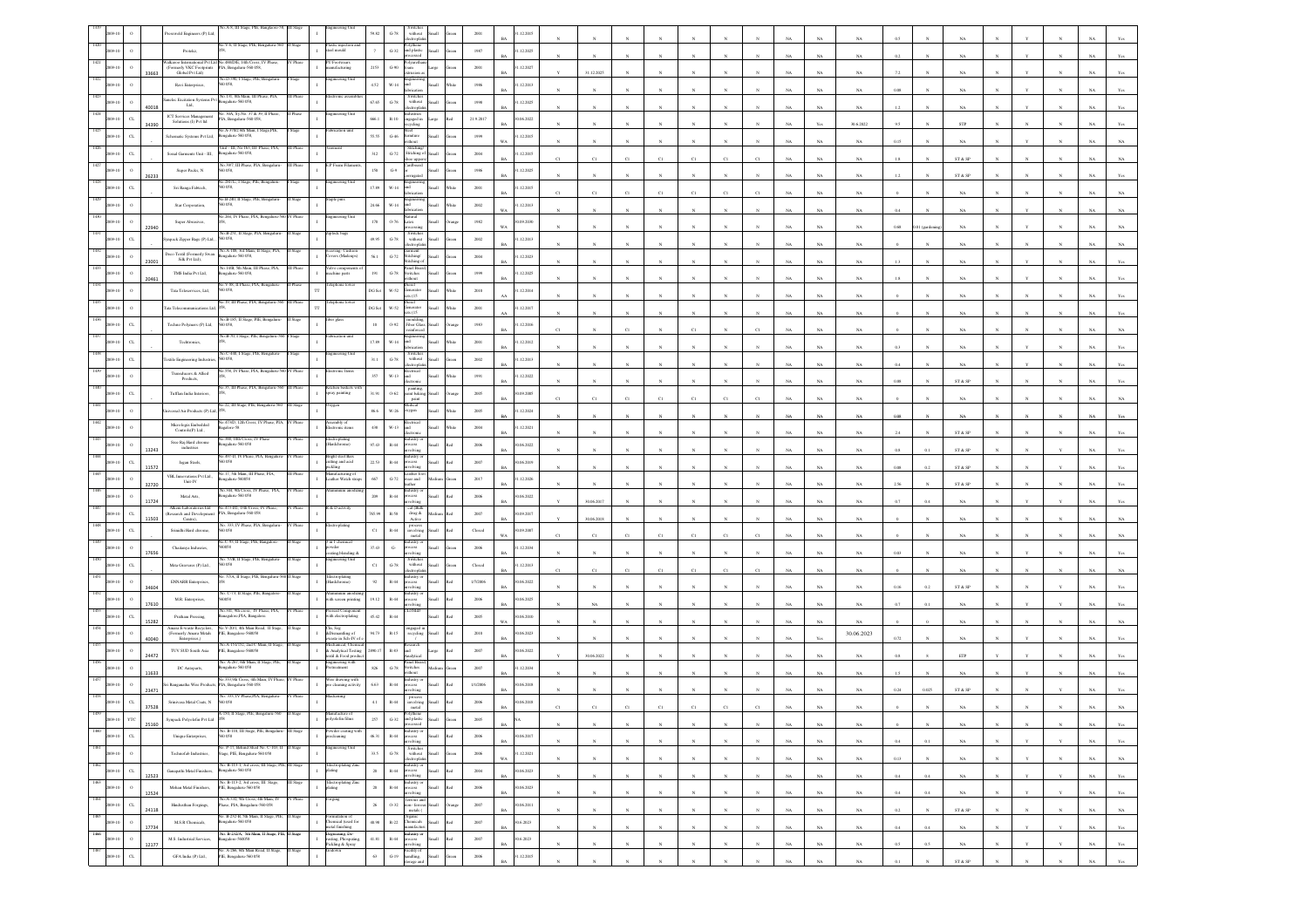|      |                             |       | A-8, III Stags<br>ers (P) La                                                                                       |          |                                                                      | 99.82             | $G-78$<br>without<br>decreoplati                                                                                                                                                              |     | 2001            | .12.201                  |              |              |              |              |              |                       |              |             |             |             |            |           |                             |              |              |              |             |                |
|------|-----------------------------|-------|--------------------------------------------------------------------------------------------------------------------|----------|----------------------------------------------------------------------|-------------------|-----------------------------------------------------------------------------------------------------------------------------------------------------------------------------------------------|-----|-----------------|--------------------------|--------------|--------------|--------------|--------------|--------------|-----------------------|--------------|-------------|-------------|-------------|------------|-----------|-----------------------------|--------------|--------------|--------------|-------------|----------------|
|      |                             |       | éo.V-6, Il Stage, PIE, Bengaluru-560<br>Protekz,                                                                   | II Stage | fastic injection a<br>teel mould                                     |                   | Polythene<br>and plastic<br>$_{\mathrm{G-32}}$<br>ssed                                                                                                                                        |     | $1987\,$        | .12.2025                 |              |              |              |              |              |                       |              |             | NA          |             |            |           |                             |              |              |              |             |                |
|      | $\mathbf{o}$                |       | 488/D/E, 14th Cross, IV P<br>Walkaroo International Pvt Ltd<br>(Formerly VKC Footprints<br>PIA, Bengaluru-560 058, |          | Footwear<br>mufacturing                                              | 2153              | $G-90$<br>ham.                                                                                                                                                                                |     | 2001            | 1.12.2027                |              |              |              |              |              |                       |              |             |             |             |            |           |                             |              |              |              |             |                |
|      |                             | 33663 | Global Pvt Ltd)<br>No.D-390, I Stage, PIE, Bengaluru<br>Ravi Enterprises<br>058.                                   |          | ineering Unit                                                        | $4.52\,$          | $W-14$<br>ht                                                                                                                                                                                  |     | 1986            | RA<br>12.2013            |              | 31.12.2025   |              |              |              |                       |              |             | NA          | NA          |            |           | NA                          |              |              |              |             |                |
|      |                             |       | No.131, 8th Main, III Phase, PIA<br>inelec Excitation Systems Pvt                                                  |          |                                                                      | 67.65             | Switches<br>without<br>$\,$ G-78 $\,$                                                                                                                                                         |     |                 | 1.12.2025                |              |              |              |              |              |                       |              |             | NA          | $_{\rm NA}$ | 0.08       |           | NA                          |              |              |              |             |                |
|      |                             | 0018  | sgalaru-560 058,<br>Ltd.<br>.30A, Sy.No. 37 & 39, II Phase<br>ICT Services Management                              |          | neering Uni                                                          |                   | ectropla                                                                                                                                                                                      |     | $19\%$          | BA                       |              |              |              |              |              |                       |              |             | NA          | NA          | 1.2        |           | NA                          |              |              |              |             |                |
|      | C1                          | 4390  | PIA, Bengaluru-560 058,<br>Solutions (I) Pvt Itd<br>40.A-370/2 6th Main, I Stage,PIE,                              |          | brication uni                                                        | 666.1             | $\mathbb{R}\text{-}10$<br>ngaged in<br>cling<br>teel                                                                                                                                          |     | 21.9.2017       | 0.06.2022<br>BA          |              |              |              |              |              |                       |              |             | Yc          | 30.6.2022   | 9.5        |           | ${\tt STP}$                 |              |              |              |             |                |
|      | $\alpha$                    |       | Schematic Systems Pvt Ltd,<br>galuru-560 058,                                                                      |          |                                                                      | 55.55             | $_{\mathrm{G-46}}$<br>amiture<br>ithout                                                                                                                                                       |     | 1999            | 12.2015                  |              |              |              |              |              |                       |              |             | $_{\rm NA}$ | $_{\rm NA}$ | $0.15\,$   |           | $_{\rm NA}$                 |              |              |              |             |                |
|      | $\alpha$                    |       | .hit - III, No.163, III Phase, PIA<br>Sonal Garments Unit - III,<br>igalaru-560 058,                               |          |                                                                      | 312               | Stitching<br>$G-72$<br>Stitching of                                                                                                                                                           |     | 2004            | 1.12.2015<br>RA          |              |              |              |              |              |                       |              |             | NA          | NA          |            |           | ST & SP                     |              |              |              |             |                |
|      | $\circ$                     | 26233 | 39/7, III Phase, PIA, Benga<br>Super Packs, N<br>0058                                                              |          |                                                                      | 150               | $G-9$                                                                                                                                                                                         |     | 1986            | 1.12.2025<br><b>BA</b>   |              |              |              |              |              |                       |              |             | N/          | $_{\rm NA}$ |            |           | ST & SP                     |              |              |              |             |                |
|      | $\alpha$                    |       | o 281/1c, I Stage, PIE, Bengalaru<br>Sri Ranga Fabtech,<br>058,                                                    |          |                                                                      | 17.89             | $_{\rm W\text{-}14}$                                                                                                                                                                          |     | $2001\,$        | .12.2015                 |              | C1           |              | C1           | C)           |                       |              |             | NA          | $_{\rm NA}$ |            |           | $_{\rm NA}$                 |              |              |              |             |                |
|      |                             |       | 40.B-240, II Stage, PIE, Bengalard<br>Star Corporation<br>058,                                                     |          | aple pir                                                             | 24.66             | $W-14$                                                                                                                                                                                        |     | 2002            | 1.12.2013                |              |              |              |              |              |                       |              |             |             |             |            |           |                             |              |              |              |             |                |
|      | $\circ$                     |       | 264. IV Phase, PIA, Ber<br>Super Abrasives,                                                                        |          | ring Un                                                              | 170               | $0 - 76$<br>latex                                                                                                                                                                             |     | 1982            | WA<br>0.09.2030          |              |              |              |              |              |                       |              |             | NA          | NA          |            |           | NA                          |              |              |              |             |                |
|      |                             | 2940  | No.B-251, II Stage, PIA, Beng                                                                                      |          | lock bags                                                            |                   | Switches<br>without                                                                                                                                                                           |     |                 | WA                       |              |              |              |              |              |                       |              |             | NA          | $_{\rm NA}$ | 0.68       |           | $_{\rm NA}$                 |              |              |              |             |                |
|      | $\alpha$                    |       | upack Zipper Bags (P) Ltd,<br>з. А.-108, 3rd Main, II<br>Deco Textil (Formerly Swar                                |          | aving- Cushic                                                        | 49.95             | $_{\mathrm{G-78}}$<br>ectroph                                                                                                                                                                 |     | $2002\,$        | .12.2013                 |              |              |              |              |              |                       |              |             | NA          | NA          |            |           | NA                          |              |              |              |             |                |
|      |                             | 2300  | sgalaru-560 058,<br>Sik PrtLtJ),<br>Vo.14/B, 5th Main, III Phase, PIA,                                             | I Phase  | vers (Madeups)<br>alve component                                     | 56.1              | $G-72$<br>kitching/<br>kitching o<br>anel Boan                                                                                                                                                |     | 2004            | 1.12.2023                |              |              |              |              |              |                       |              |             | NA          | NA.         |            |           |                             |              |              |              |             |                |
|      |                             | 20461 | TMS India Pvt Ltd,<br>ealery-560 058                                                                               |          | achine parts                                                         | 191               | ${\bf G}\mbox{-}78$<br>Switches                                                                                                                                                               |     | 1999            | 1.12.2025<br><b>BA</b>   |              |              |              |              |              |                       |              |             | NA          | NA          |            |           |                             |              |              |              |             |                |
|      |                             |       | o.V-88. II Phase, PIA.<br>Tata Teleservices, Ltd,<br>058,                                                          |          |                                                                      | DG Set            | iesel.<br>$_{\rm W-52}$<br>enerator<br>ets (15                                                                                                                                                |     | $2010\,$        | .12.2014                 |              |              |              |              |              |                       |              |             | NA          | NA          |            |           | NA                          |              |              |              |             |                |
|      |                             |       | No.19, III Phase, PIA, Bengaluru-560<br>Tata Teleco<br>tications L                                                 | II Phas  | phone towy                                                           | DG Se             | tiesel<br>W-52<br>Generator<br>iets (15                                                                                                                                                       |     | $200\mathrm{l}$ | 1.12.2017                |              |              |              |              |              |                       |              |             | N/          | $_{\rm NA}$ |            |           | NA                          |              |              |              |             |                |
|      | $_{\rm{CL}}$                |       | Vo.B-185, II Stage, PIE, Bengaluru-<br>Techno Polymers (P) Ltd,<br>058                                             | II Stags | ter glass                                                            |                   | moulding<br>0.92<br>Fiber Glas                                                                                                                                                                |     | $1983\,$        | 1.12.2016                |              |              |              |              | $_{\rm CI}$  |                       |              |             |             | NA.         |            |           |                             |              |              |              |             |                |
|      | C1                          |       | io.B-70, I Stage, PIE, Ben<br>Techtronics,                                                                         |          |                                                                      | 17.89             | $W-14$<br>ha                                                                                                                                                                                  |     | 2001            | <b>BA</b><br>1.12.2012   |              |              |              |              |              |                       |              |             | NA          |             |            |           | NA                          |              |              |              |             |                |
|      | C1                          |       | io.C-440, I Stage<br>extile Engineering Industria<br>0058                                                          |          |                                                                      | 31.1              | abrication<br>Switche<br>$G-78$<br>$% \left\vert \left( \mathbf{1}_{\mathbf{1}_{\mathbf{1}}},\mathbf{1}_{\mathbf{1}_{\mathbf{2}}},\mathbf{1}_{\mathbf{2}}\right) \right\rangle$ without<br>sШ |     | 2002            | BA<br>1.12.2013          |              |              |              |              |              |                       |              | NA          | $_{\rm NA}$ | NA          | 0.3        |           | $_{\rm NA}$                 |              |              |              |             |                |
|      | $\circ$                     |       | io.558, IV Phase, PIA, Bengaluru-<br>Transducers & Allied                                                          |          | tronic Item                                                          | 357               | lectrical                                                                                                                                                                                     |     |                 |                          |              |              |              |              |              |                       |              |             | NA          | $_{\rm NA}$ | 04         |           | $_{\rm NA}$                 |              |              |              |             |                |
|      |                             |       | Products,<br>35, III Phase, PIA, Bengalun                                                                          |          | hen basket                                                           |                   | $W-13$<br>ht<br>painting.                                                                                                                                                                     |     | $199\mathrm{l}$ | 1.12.2022<br><b>BA</b>   |              |              |              |              |              |                       |              |             | NA          | NA          | 0.88       |           | ST & SP                     |              |              |              |             |                |
|      | C1                          |       | Tufflan India Interiors,<br>40.22, III Stage, PIE, Beng                                                            |          | pray painting                                                        | 31.91             | $0 - 62$<br>aint bakir<br>$_{\rm{paint}}$                                                                                                                                                     |     | 2005            | (09.2005<br>RA           |              |              |              |              |              |                       |              |             | NA          | NA          |            |           | NA                          |              |              |              |             |                |
|      | $\circ$                     |       | iversal Air Products (P) Ltd                                                                                       |          |                                                                      | 86.6              | W-26<br>xygen                                                                                                                                                                                 |     | 2005            | 1.12.2024                |              |              |              |              |              |                       |              |             | N.          | $_{\rm NA}$ |            |           | NA                          |              |              |              |             |                |
|      | $\circ$                     |       | 40.473/D, 12th Cross, IV Phase, PIA,<br>Micrologix Embedded<br>lore-58<br>Controls(P) Ltd.,                        |          | sembly of<br>ectronic items                                          | $4\bar{3}8$       | lectrics<br>$_{\rm W\text{-}13}$<br>$_{\rm{lat}}$                                                                                                                                             |     | 2004            | 1.12.2021<br>BA          |              |              |              |              |              |                       |              |             | NA          | NA          |            |           | $ST \& SP$                  |              |              |              |             |                |
|      | $\Omega$                    | 13243 | 388, 10th Cross, 1<br>Sree Raj Hard chrome<br>galaru-560 058<br>industries                                         |          | troplating<br>Hardchrome)                                            | 97.43             | $\mathbb{R}{\text{-}}44$<br>ocess<br>volving                                                                                                                                                  |     | 2006            | 0.06.2022<br>RÁ          |              |              |              |              |              |                       |              |             | NA          | NA          | 0.8        | 0.1       | ST & SP                     |              |              |              |             |                |
|      | $\alpha$                    | 11572 | io.497-D. IV Phase, PIA, Bennal<br>Jagan Steels,<br>0058                                                           |          | right steel Bar<br>tting and acid<br>ckling                          | 22.53             | dustry o<br>$\,$ R-44<br>ocess<br>rolving                                                                                                                                                     |     | 2007            | (06, 2019                |              |              |              |              |              |                       |              |             | NA          | $_{\rm NA}$ | 0.08       | 0.2       | ST & SP                     |              |              |              |             |                |
|      |                             |       | io.17. 5th Main. III Phase. PIA<br>VBL Innovations Pvt Ltd.,<br>galaru-560058<br>Unit-IV                           |          | datufacturing of<br>cather Watch strap                               | 667               | ather fo<br>$_{\mathrm{G-72}}$<br>car and                                                                                                                                                     |     | $2017\,$        | 1.12.2026                |              |              |              |              |              |                       |              |             |             |             |            |           |                             |              |              |              |             |                |
|      |                             | 32720 | o.344, 9th Cross, IV Phase, PIA,<br>Metal Arts,<br>galaru-560 058                                                  |          | tium anos                                                            | 209               | ther<br>dustry o<br>$\mathbb{R}\text{-}44$<br>secon                                                                                                                                           |     | $2006\,$        | 06.2022                  |              |              |              |              |              |                       |              |             | NA          | NA          | 2.56       |           | ST & SP                     |              |              |              |             |                |
|      |                             | 11724 | No.473-D2, 13th Cross, IV Phase,<br>Alkem Laboratories Ltd<br>PIA, Bengaluru-560 058                               |          | & Dactivity                                                          | 165.95            | volvins<br>cal (Balk<br>$\mathbb{R}\text{-}\mathbb{S}\mathbb{S}$                                                                                                                              |     | 2007            | <b>BA</b><br>(09.2017    |              | 30.06.2017   |              |              |              |                       |              |             | NA          | $_{\rm NA}$ | 07         | 0.4       | NA                          |              |              |              |             |                |
|      |                             | 1503  | Research and Development<br>Centre),<br>lo. 333, IV Phase, PIA, Bengalur                                           |          | roplating                                                            |                   | $\frac{d \log k}{\text{Active}}$<br>process<br>involving                                                                                                                                      |     |                 |                          |              | 30.06.2018   |              |              |              |                       |              |             | NA          | $_{\rm NA}$ |            |           | $_{\rm NA}$                 |              |              |              |             |                |
|      | $\alpha$                    |       | Srinidhi Hard chrome,<br>058<br>40.C-93, II Stage, PIE, Bangalon                                                   |          | in 1 chemical                                                        | $_{\rm C1}$       | $\,$ R-44<br>metal<br>lastry or                                                                                                                                                               |     | Closed          | (09.2007<br>WA           | C1           | C1           | C1           | CI           | C1           | CI                    |              |             | NA          | NA          |            |           | NA                          |              |              |              |             |                |
|      | $\circ$                     | 17656 | Chaitanya Indusries,<br><b>DZG</b><br>No. 57/B, II Stage, PIE, Bengalum                                            |          | owder<br>ating,blending a<br>eering Uni                              | $37.43\,$         | $G-$<br>secon<br>volving                                                                                                                                                                      |     | 2006            | 1.12.2034<br><b>BA</b>   |              |              |              |              |              |                       |              |             | NA          | $_{\rm NA}$ | 0.03       |           | NA                          |              |              |              |             |                |
|      | C1                          |       | Meta Gravures (P) Ltd.,<br>058                                                                                     |          |                                                                      | $_{\rm C1}$       | Switches<br>without<br>$\,$ G-78<br>ectropha                                                                                                                                                  |     | $\rm Closed$    | 12.2013                  | C1           | C1           | $_{\rm{Cl}}$ | C1           | C1           | C1                    |              |             | $_{\rm NA}$ | $_{\rm NA}$ |            |           | $_{\rm NA}$                 |              |              |              |             |                |
|      |                             | 34604 | o. 57/A, II Stage, PIE, Bengaluru<br><b>ENNARR</b> Enterprises                                                     |          | lectroplating<br>landchrome)                                         | $\ensuremath{92}$ | dastry or<br>$R-44$<br>cess<br>volving                                                                                                                                                        |     | 1/7/2006        | 0.06.2022                |              |              |              |              |              |                       |              |             | NA          | NA          | 0.16       | 02        | ST & SP                     |              |              |              |             |                |
|      | $\circ$                     | 17610 | Vo. C-73, Il Stage, PIE, Bang<br>M.R. Enterprises,<br>\$60058                                                      |          | ith screen printi                                                    | 19.12             | astry or<br>$R - 44$<br>ocess                                                                                                                                                                 |     | 2006            | 0.06.2025<br><b>BA</b>   |              | $_{\rm NA}$  |              |              |              |                       |              |             | N           | $_{\rm NA}$ | 07         |           | NA                          |              |              |              |             |                |
|      | $\alpha$                    | 15282 | io.341, 9th cross, IV Phase, PIA<br>Pratham Pressing,<br>sagalore, PIA, Bangalore                                  |          | sed Como<br>th electroplating                                        | 45.42             | <b>LOSEE</b><br>$_{\rm R-44}$                                                                                                                                                                 |     | $2005\,$        | (06.2010)<br>WA          |              |              |              |              |              |                       |              |             | NA          | NA          |            |           | NA                          |              |              |              |             |                |
|      |                             |       | No.V-20/1, 4th Main Road,<br>Amara E-waste Recyclers,<br>(Formerly Amara Metals<br>IE, Bangalore-560058            |          | n, Seg<br>ismantling of                                              | 94.73             | engaged i<br>R-15<br>recycling                                                                                                                                                                |     | 2010            | 0.06.2023                |              |              |              |              |              |                       |              |             |             | 30.06.2023  |            |           |                             |              |              |              |             |                |
|      |                             | 40040 | Enterprises.)<br>No.A-151/152, 2nd C Main, II Stag<br>$\operatorname{TUV}$ SUD South Asia<br>PIE, Bangalore-560058 |          | uste in Sch-IV o<br>lechanical, Chen<br>Analytical Testin            | 1890.17           | esearch<br>$R-83$<br>ht                                                                                                                                                                       |     | $2007\,$        | RA<br>(06, 2022)         |              |              |              |              |              |                       |              |             | Yes         |             | 0.77       |           | NA                          |              |              |              |             |                |
|      |                             | 24472 | io. A-267, 6th Mian, Il Stage, Pl<br>galaru-560 058<br>DC Autoparts,                                               |          | ctil & Food pro<br>teering with<br>catment                           | 826               | anel Bo<br>$_{\mathrm{G-78}}$<br>witches                                                                                                                                                      |     | $2007\,$        | <b>BA</b><br>.12.2034    |              | 30.06.2022   |              |              |              |                       |              |             | NA          | NA          |            |           | $\ensuremath{\mathsf{ETP}}$ |              |              |              |             |                |
|      |                             | 1633  | .<br>No.333,9th Cross, 4th Main, IV Pha<br>Sri Ranganatha Wire Products, PIA, Bengalaru-560 058                    |          | Vire drawing with                                                    |                   | ithout<br>dustry o                                                                                                                                                                            |     |                 |                          |              |              |              |              |              |                       |              |             | NA          | NA          |            |           | NA                          |              |              |              |             |                |
|      |                             | 23471 | No. 333, IV Phase, PIA, Beng                                                                                       |          | re cleaning activity<br>ackening                                     | 6.63              | $R-44$<br>ocess                                                                                                                                                                               |     | 1/1/2006        | 0.06.2018                |              |              |              |              |              |                       |              |             |             | NA.         | 0.24       |           | ST & SI                     |              |              |              |             |                |
|      |                             | 37528 | Srinivasa Metal Coats, N<br>560 058<br>-150, II Suge, PIE                                                          |          | nfacture o                                                           | 4.1               | $R-44$<br>metal<br>olythen                                                                                                                                                                    |     | $2006\,$        | (06, 2018)               |              |              |              |              |              |                       |              |             |             |             |            |           |                             |              |              |              |             |                |
|      |                             | 25160 | yapack Polyolefin Pvt Ltd                                                                                          |          | olefin films                                                         | 257               | $_{\mathrm{G-32}}$<br>nd plastis                                                                                                                                                              |     | 2000            | BA                       |              |              |              |              |              |                       |              | NA          | NA          | NA          |            |           | NA.                         |              |              |              | NA.         | Yes            |
| 1460 | $_{\mathrm{c} }$<br>2009-10 |       | No. B-110, III Stage, PIE, Bengaluru- III Stage<br>Unique Enterprises,<br>560 058                                  |          | owder coating wit<br>recleaning                                      | 46.31             | dustry or<br>$\,$ R-44 $\,$<br>process<br>involving<br>llam                                                                                                                                   | ho! | 2006            | 30.06.2017<br><b>BA</b>  |              | $_{N}$       | $\mathbf{v}$ | $\mathbf{N}$ | $\mathbf{N}$ | $\boldsymbol{\kappa}$ | $_{\rm N}$   | $_{\rm NA}$ | $_{\rm NA}$ | $_{\rm NA}$ | 0.4        | 0.1       | $_{\rm NA}$                 | $\mathbf{N}$ | $\mathbf{v}$ | $\mathbf{v}$ | $_{\rm NA}$ | $\mathbf{Yes}$ |
| 146  | $\,$ $\,$<br>2009-10        |       | No. P-17, Behind Shed No. C-103, II II Stage<br>Technolab Industries.<br>Stage, PIE, Bengaluru-560 058             |          | ngineering Unit<br>$\mathbf{I}$                                      | 33.5              | Switches<br>without<br>$\mbox{G-78}$<br>Small<br>electroplatin                                                                                                                                | een | $\,2006$        | 1.12.2021<br>$_{\rm WA}$ |              | $_{\rm N}$   |              |              | $_{\rm N}$   | $\bar{N}$             |              | $_{\rm NA}$ | $_{\rm NA}$ | $_{\rm NA}$ | $\rm 0.13$ |           | $_{\rm NA}$                 |              |              |              | $_{\rm NA}$ | $_{\rm NA}$    |
| 1462 | $_{\rm{CL}}$<br>2009-10     | 12523 | No. B-113-1, 3rd cross, III Stage, PIE, III Stage<br>Bengaluru-560 058<br>Ganapathi Metal Finishers,               |          | Electroplating Zine<br>blating                                       | $20\,$            | Industry or<br>process<br>involving<br>$_{\rm R-44}$<br>Iliami                                                                                                                                | ba: | 2004            | 30.06.2023<br><b>BA</b>  | $\mathbf{N}$ | N            | $_{\rm N}$   | $\mathbf{N}$ | N            | $_{\rm N}$            | $_{\rm N}$   | NA          | NA          | NA          | 0.4        | 0.4       | NA                          | $\mathbf{N}$ | Y            | Y            | NA          | Yes            |
| 146  | $\,$ o<br>2009-10           |       | Vo. B-113-2, 3rd cross, III Stage,<br>Mohan Metal Finishers.<br>PIE, Bengaluru-560 058                             |          | <b>Icctroplating Zin</b><br>saitik                                   | $20\,$            | idastry or<br>$_{\rm R-44}$<br>process<br><b>Illens</b>                                                                                                                                       | to! | $2006\,$        | 30.06.2023               |              |              |              |              |              |                       |              |             |             |             |            |           |                             |              |              |              |             |                |
| 1464 | $_{\mathrm{CL}}$<br>2009-10 | 12524 | No.A-332, 9th Cross, 4th Main, IV<br>Hindusthan Forgings,<br>Phase, PIA, Bengaluru-560 058                         | V Phase  | orging                                                               | $_{\rm 26}$       | involving<br>ferrous and<br>non-ferrous<br>$0 - 32$<br><b>Ilam</b>                                                                                                                            |     | $2007\,$        | <b>BA</b><br>0.06.2011   | $\mathbf{N}$ | $_{\rm N}$   | $\mathbf{N}$ | $_{\rm N}$   | $\mathbf{N}$ | $_{\rm N}$            | $_{\rm N}$   | $_{\rm NA}$ | $_{\rm NA}$ | $_{\rm NA}$ | $\rm 0.4$  | $\rm 0.4$ | $_{\rm NA}$                 | $_{\rm N}$   | Y            | $\mathbf{Y}$ | $_{\rm NA}$ | $\mathbf{Yes}$ |
|      | $\,$ $\,$<br>2009-10        | 24118 | No. B-232-B, 5th Main, II Stage, PIE,<br>Bengalaru-560 058<br>M.S.R Chemicals,                                     | itage    | Formulation of<br>Chemical (used for<br>$\mathbf{I}$                 | 40.98             | metals (<br>Organic<br>Chemicals<br>R-22<br><b>Ilum</b>                                                                                                                                       | ho! | 2007            | $_{\rm BA}$<br>0.6.2023  |              | $_{\rm N}$   |              |              | N            | $\mathbf{N}$          | N            | $_{\rm NA}$ | $_{\rm NA}$ | $_{\rm NA}$ | 0.2        |           | ST & SP                     |              |              |              | $_{\rm NA}$ | $_{\rm NA}$    |
| 1466 |                             | 17734 | No. B-232/A, 5th Main, II Stage, PIE, II Stage<br>M.S. Industrial Services.                                        |          | etal finishing                                                       |                   | anufacturi                                                                                                                                                                                    |     |                 | BA                       | $_{\rm N}$   | $_{\rm N}$   | $\mathbf{N}$ |              | $_{\rm N}$   | $\boldsymbol{N}$      | $\mathbf{N}$ | NA          | NA          | NA          | 0.4        | 0.4       | NA                          |              | $\mathbf{v}$ | $\mathbf{v}$ | NA          | Yes            |
|      | $\,$ 0<br>2009-10           | 12177 | angalore-560058                                                                                                    | II Stage | Degreasing, De-<br>rusting, Phospating,<br>Pickling & Spray<br>odown | $41.81\,$         | Industry or<br>process<br>involving<br>$R-44$<br><b>Ham</b>                                                                                                                                   | ho! | 2007            | 0.6.2023<br><b>BA</b>    |              | $\mathbf{N}$ | $\mathbf{N}$ | $_{\rm N}$   | $\mathbf{N}$ | $\mathbf{N}$          | $_{\rm N}$   | $_{\rm NA}$ | $_{\rm NA}$ | $_{\rm NA}$ | $0.5\,$    | $0.5\,$   | $_{\rm NA}$                 | $_{\rm N}$   | Y            | $\mathbf{Y}$ | $_{\rm NA}$ | $\mathbf{Yes}$ |
|      | $_{\mathrm{CL}}$            |       | No. A-266, 6th Main Road, II Stage,<br>PIE, Bengaluru-560 058<br>GFA India (P) Ltd.,                               |          |                                                                      | $63\,$            | Facility of<br>handling,<br>$\operatorname{G-19}$<br>nall.<br>torage and                                                                                                                      |     | $\,2006$        | 1.12.2015<br>$_{\rm BA}$ |              |              |              |              |              |                       |              | NA          | $_{\rm NA}$ | $_{\rm NA}$ | $0.1\,$    |           | ${\tt ST}$ & ${\tt SP}$     |              |              |              | NA          | $\mathbf{Yes}$ |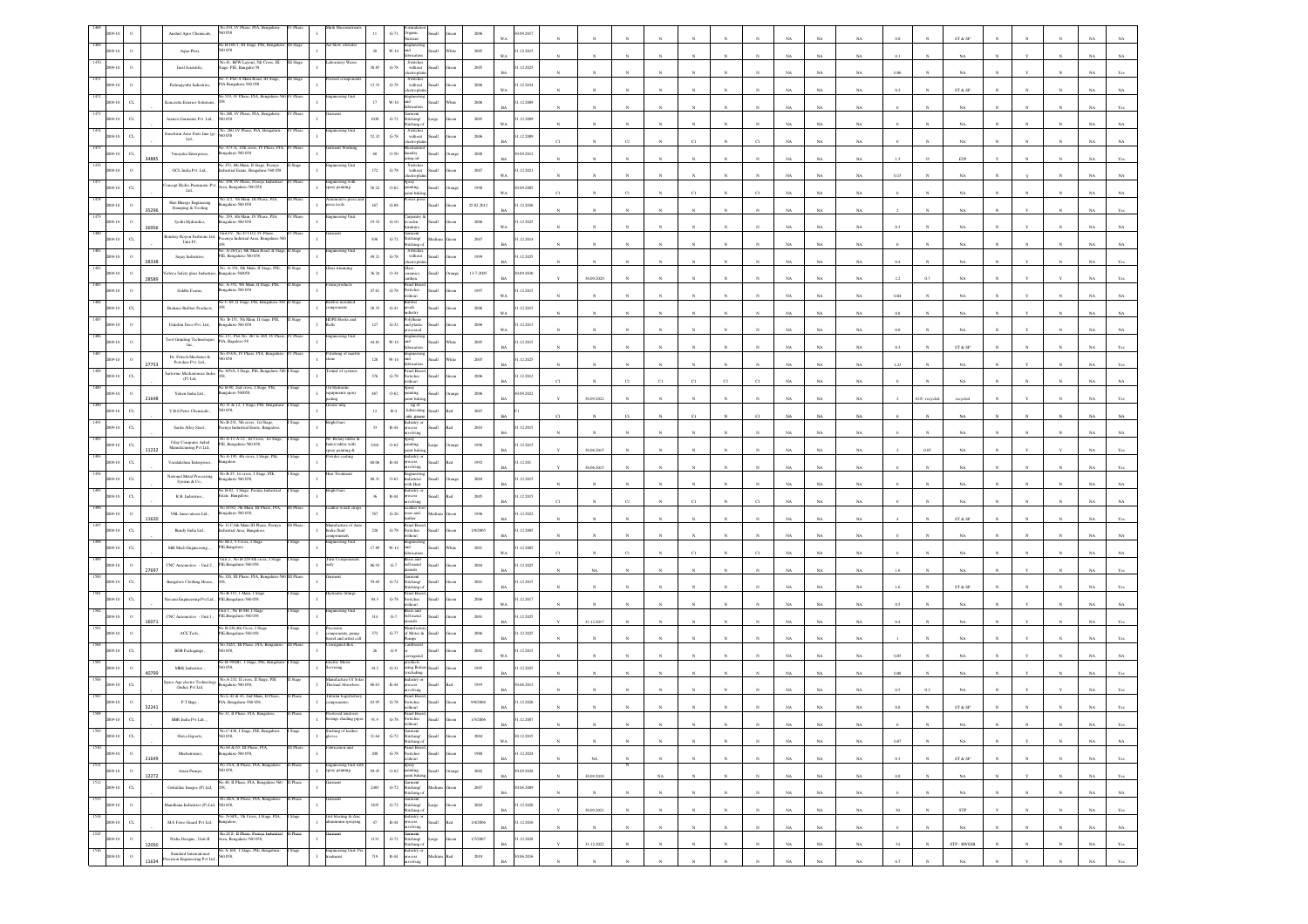|                 |                       | Anshul Agro Chemicals,                                           | .454. IV<br>0 O.S8                                                        |          |                                                                   |              | $G-71$                   |                                                                                                                                                                                                                                                                                                                                                                                                                                                                                 |                 |                 | 09.201                    |              |                  |                       |              |              |                       |              |             |             |             |          |              | ST & SP                                                                   |            |            |              |             |                |
|-----------------|-----------------------|------------------------------------------------------------------|---------------------------------------------------------------------------|----------|-------------------------------------------------------------------|--------------|--------------------------|---------------------------------------------------------------------------------------------------------------------------------------------------------------------------------------------------------------------------------------------------------------------------------------------------------------------------------------------------------------------------------------------------------------------------------------------------------------------------------|-----------------|-----------------|---------------------------|--------------|------------------|-----------------------|--------------|--------------|-----------------------|--------------|-------------|-------------|-------------|----------|--------------|---------------------------------------------------------------------------|------------|------------|--------------|-------------|----------------|
|                 |                       | Aqua Plast,                                                      | 40.B-106-1, III Stage, PIE, Bengalur<br>D 058                             | I Stage  |                                                                   | $20\,$       | $W-14$                   | taguneeri<br>and                                                                                                                                                                                                                                                                                                                                                                                                                                                                | <b>Illami</b>   | 2005            | 1.12.2015                 |              |                  |                       |              |              |                       |              |             | NA          | NA          |          |              |                                                                           |            |            |              |             |                |
|                 |                       | Insil Scientific,                                                | x41, BFW Layout, 5th 0<br>age, PIE, Bangalre-58                           |          |                                                                   | 30.85        | $\,$ G-78 $\,$           | Switches<br>without                                                                                                                                                                                                                                                                                                                                                                                                                                                             | <b>Small</b>    | 2005            | 1.12.2025<br>RA           |              |                  |                       |              |              |                       |              |             | NA          | NA          |          |              | NA                                                                        |            |            |              |             |                |
|                 |                       | Padmajyothi Industries,                                          | o. C Plot-A Main Road. III Star<br>A Bengaluru-560 058                    |          |                                                                   | 13.33        | $\operatorname{G-78}$    | Switches<br>without<br>ctroph                                                                                                                                                                                                                                                                                                                                                                                                                                                   |                 | $2006\,$        | .12.2034                  |              |                  |                       |              |              |                       |              |             | NA          | NA          |          |              | ST & SP                                                                   |            |            |              |             |                |
|                 | $\sigma$              | Concretta Exterior Solution                                      | 519, IV Phase, PLA                                                        |          |                                                                   | $17\,$       | W-14                     | <b>Lett</b>                                                                                                                                                                                                                                                                                                                                                                                                                                                                     |                 | 2006            | 1.12.2009                 |              |                  |                       |              |              |                       |              |             | NA          | NA.         |          |              | NA                                                                        |            |            |              |             |                |
|                 | $\alpha$              | Ariatex Garments Pvt Ltd.,                                       | No.288, IV Phase, PIA, Bengaluru<br>50058                                 |          |                                                                   | $1038\,$     | $\mbox{G-}72$            | arment<br>Stitching/<br>Stitching                                                                                                                                                                                                                                                                                                                                                                                                                                               |                 | $2005\,$        | .12.2009                  |              |                  |                       |              |              |                       |              |             |             |             |          |              |                                                                           |            |            |              |             |                |
|                 | $\alpha$              | anchirin Auto Parts Inia (p)<br>Ltd.,                            | a. 260, IV Phase, PIA<br>D 058                                            |          |                                                                   | 52.32        | $\operatorname{G-78}$    | Switches<br>without                                                                                                                                                                                                                                                                                                                                                                                                                                                             |                 | 2006            | .12.2009                  |              |                  |                       |              |              |                       |              |             |             |             |          |              |                                                                           |            |            |              |             |                |
|                 | $_{\rm CL}$           | Vinayaka Enterprises,                                            | o. 473-A, 12th cross, IV Phase, PIA, 1<br>ngalaru-560 058                 | V Phase  | rment Washing                                                     | 60           | 0.50                     | ctrordi<br>aundry<br>ising oil                                                                                                                                                                                                                                                                                                                                                                                                                                                  |                 | 2008            | 0.09.2012                 | C1           |                  | CI                    |              | CI           |                       |              |             | $_{\rm NA}$ | NA          |          |              | NA                                                                        |            |            |              |             |                |
|                 | 34885<br>$\circ$      | GCL India Pvt. Ltd., $\,$                                        | No.353, 8th Main, II Stage, Peenya<br>ndustrial Estate, Bengaluru-560 058 | Stage    | incering Uni                                                      | $172\,$      | $G-78$                   | Switcher<br>without                                                                                                                                                                                                                                                                                                                                                                                                                                                             |                 | $2007\,$        | .12.2021                  |              |                  |                       |              |              |                       |              |             | NA          | NA          |          |              | ETP                                                                       |            |            |              |             |                |
|                 | $\alpha$              | ncept Hydro Pneumatic Pvt.                                       | No. 450, IV Phase, Peenya Indust<br>Area, Bengaluru-560 058               |          | gineering wif<br>pary painting                                    | 56.22        | $0 - 62$                 | pray<br>ainting.                                                                                                                                                                                                                                                                                                                                                                                                                                                                |                 | 1998            | WA<br>09.2005             |              |                  |                       |              |              |                       |              |             | NA          | $_{\rm NA}$ | 0.15     |              |                                                                           |            |            |              |             |                |
|                 |                       | Ltd.,<br>Hari Bhargo Engineeing                                  | No.112, 7th Main, III Phase, PIA,<br>820 032-analage:                     |          | motive pre<br>ess tools                                           | 167          | $_{\mathrm{G-88}}$       | aint bakir<br>ver p                                                                                                                                                                                                                                                                                                                                                                                                                                                             |                 | 25.02.2012      | WA<br>1.12.2026           | CI           |                  |                       |              |              |                       |              |             | NA          | NA          |          |              | NA                                                                        |            |            |              |             |                |
|                 | 35296                 | Stamping & Tooling<br>Jyothi Hydraulics,                         | o. 293, 4th Main, IV Phase, PIA,<br>sgalaru-560 058                       | V Phase  | incering Un                                                       | 19.32        | $_{\mathrm{G-10}}$       | aroentry<br>ođen                                                                                                                                                                                                                                                                                                                                                                                                                                                                |                 | 2006            | .12.2025                  |              |                  |                       |              |              |                       |              |             | NA          | $_{\rm NA}$ |          |              | $_{\rm NA}$                                                               |            |            |              |             |                |
|                 | 26956<br>$\alpha$     | embay Royon Fashions Ltd.                                        | Unit-IV, No.471-D2, IV Phase,<br>!eeenya Indutrial Area, Bengaluru-       |          |                                                                   | 836          | $G-72$                   | .sarment<br>Stitching/                                                                                                                                                                                                                                                                                                                                                                                                                                                          |                 | 2007            | WA<br>.12.2014            |              |                  |                       |              |              |                       |              |             | NA          | NA          |          |              | NA                                                                        |            |            |              |             |                |
|                 |                       | Unit-IV,                                                         | o. A-267(a), 6th Main Road,                                               |          | ring U                                                            |              |                          | titching c<br>Switches                                                                                                                                                                                                                                                                                                                                                                                                                                                          |                 |                 | RA                        |              |                  |                       |              |              |                       |              |             | NA          | NA          |          |              | NA                                                                        |            |            |              |             |                |
|                 | 28338                 | Sujay Industries,                                                | PIE, Bengaluru-560 058<br>No. A-354, 8th Main, Il State. PIE              |          |                                                                   | 49.21        | $\,$ G-78 $\,$           | without<br>electroplati<br>lass<br>ramics                                                                                                                                                                                                                                                                                                                                                                                                                                       | <b>Iliami</b>   | 1999            | 1.12.2025                 |              |                  |                       |              |              |                       |              |             | NA          | $_{\rm NA}$ | 0.4      |              | $_{\rm NA}$                                                               |            |            |              |             |                |
|                 | 28589                 | hwa Safety glass Industr                                         | sgalore-56005<br>. A-352, 9th Main,                                       |          |                                                                   | 36.24        | $0.34\,$                 |                                                                                                                                                                                                                                                                                                                                                                                                                                                                                 | <b>Illam</b>    | 13-7-2005       | 0.09.2030                 |              | 30.09.2020       |                       |              |              |                       |              |             | NA          | NA          |          |              |                                                                           |            |            |              |             |                |
|                 | $\circ$               | Siddhi Foams,                                                    | 820 032-analage:<br>Vo.C-68, II Stage, PIE, B                             |          | bber mould                                                        | 47.61        | $\,$ G-78 $\,$           | Switches<br>ithout                                                                                                                                                                                                                                                                                                                                                                                                                                                              |                 | 1997            | .12.2015<br>WA            |              |                  |                       |              |              |                       |              |             | NA          | NA          | 0.04     |              | NA                                                                        |            |            |              |             |                |
|                 |                       | Brahans Rubber Products,                                         | io. B-151, 5th Main, 1                                                    |          | <b>DPE Hook</b>                                                   | 28.35        | $_{\mathrm{G-}41}$       | shoo                                                                                                                                                                                                                                                                                                                                                                                                                                                                            |                 | 2006            | .12.2015                  |              |                  |                       |              |              |                       |              |             | NA          | $_{\rm NA}$ | 0.8      |              | $_{\rm NA}$                                                               |            |            |              |             |                |
|                 |                       | Dakshin Deco Pvt. Ltd.,                                          | sgalaru-560 058<br>p.1-C, Plot No. 467 to 469, IV Phas                    |          | ineering Unit                                                     | $127\,$      | $_{\mathrm{G-32}}$       | nd plasti                                                                                                                                                                                                                                                                                                                                                                                                                                                                       |                 | 2006            | .12.2013                  |              |                  |                       |              |              |                       |              |             | NA          | NA          |          |              | NA                                                                        |            |            |              |             |                |
|                 |                       | Tool Grinding Technologies<br>Inc.                               | <sup>9</sup> IA, Bagalore-58<br>io.453/A, IV Phase, PIA, Bengai           |          | ishing of m                                                       | 44.81        | W-14                     |                                                                                                                                                                                                                                                                                                                                                                                                                                                                                 |                 | 2005            | .12.2015<br><b>BA</b>     |              |                  |                       |              |              |                       |              | NA          | $_{\rm NA}$ | NA          | 0.3      |              | ST & SP                                                                   |            |            |              |             |                |
|                 | 27753                 | Dr. Fritsch Machines &<br>Powders Pvt. Ltd.,                     | 8200<br>0.365/A. I Stage, PIE, Bengaluru                                  |          | anf of sy                                                         | $^{\rm 128}$ | $_{\rm W\text{-}14}$     | anel Boar                                                                                                                                                                                                                                                                                                                                                                                                                                                                       |                 | $200\mathrm{5}$ | .12.2025                  |              |                  |                       |              |              |                       |              |             | $_{\rm NA}$ | $_{\rm NA}$ | 1.23     |              | $_{\rm NA}$                                                               |            |            |              |             |                |
|                 | $\alpha$              | artorius Mechatronics India<br>$(P)$ Lad.                        |                                                                           |          |                                                                   | 376          | $\,$ G-78 $\,$           | switches<br>ithout                                                                                                                                                                                                                                                                                                                                                                                                                                                              |                 | 2006            | .12.2012                  |              |                  |                       |              | CI           |                       |              |             | NA          |             |          |              |                                                                           |            |            |              |             |                |
|                 | $\circ$<br>21648      | Yuken India Ltd.,                                                | o B-80, 2nd cross, I Stage, PIE<br>ingalore-560058,                       |          | XI Hydraulic<br>quipments spary<br>$\mathbf{I}$                   | 487          | $0 - 62$                 | pray<br>sainting.<br>int bal                                                                                                                                                                                                                                                                                                                                                                                                                                                    | <b>Illett</b>   | 2006            | 0.09.2022                 |              | 30.09.2022       |                       |              |              |                       |              |             | NA          | $_{\rm NA}$ |          | $0.05 - c$   | recycled                                                                  |            |            |              |             |                |
|                 | $\alpha$              | V.B.S Petro Chemicals.,                                          | No 11 & 12, 1 Stage, PIE, Bengalun<br>0058,                               |          | rease mfg                                                         | $12\,$       | $_{\rm R4}$              | ng of<br>Iubricating<br>sils .greas                                                                                                                                                                                                                                                                                                                                                                                                                                             |                 | 2007            |                           | C1           |                  | Ċl                    |              |              |                       |              |             | NA          | $_{\rm NA}$ |          |              | $_{\rm NA}$                                                               |            |            |              |             |                |
|                 | $\alpha$              | Sarda Alloy Steel.,                                              | No B-231, 5th cross, 1st Stage,<br>!eenya Industrial Estate, Bangalore    |          |                                                                   | 33           | $\mathbb{R}{\text{-}}44$ | lustry o<br>xess<br>volving                                                                                                                                                                                                                                                                                                                                                                                                                                                     |                 | 2003            | 1.12.2015                 |              |                  |                       |              |              |                       |              |             | NA          | NA.         |          |              | NA                                                                        |            |            |              |             |                |
|                 | $_{\rm{CL}}$<br>11232 | $\label{thm:main}$ Uday Computer Aided Manufacturing Pvt Ltd.,   | A-11-A-12, Ist Cross,<br>PIE, Bengaluru-560 058,                          |          | Rotary tables<br><b>Index</b> tables with<br>pray painting &      | 2416         | $0 - 62$                 | pray<br>inting                                                                                                                                                                                                                                                                                                                                                                                                                                                                  |                 | 1996            | 1.12.2015                 |              | 30.06.2015       |                       |              |              |                       |              |             | NA          | NA          |          |              | $_{\rm NA}$                                                               |            |            |              |             |                |
|                 | $\alpha$              | Varalakshmi Enterprises,                                         | No.A-195, 4th cross, I Stage, PIE<br>sgalore                              |          | vder coatin                                                       | 60.06        | $\mathbb{R}\text{-}44$   |                                                                                                                                                                                                                                                                                                                                                                                                                                                                                 |                 | $1992\,$        | .12.201                   |              | 30.06.2015       |                       |              |              |                       |              |             | $_{\rm NA}$ | NA          |          |              | NA                                                                        |            |            |              |             |                |
|                 | $C$ L                 | National Metal Processing<br>System & Co.,                       | No B-25, 1st cross, I Stage<br>ngaluru-560 058,                           |          | t Treatme                                                         | 80.31        | $0 - 63$                 | astries<br>vith Heat                                                                                                                                                                                                                                                                                                                                                                                                                                                            | Iliami          | 2004            | 1.12.2015<br>R4           |              |                  |                       |              |              |                       |              |             | NA          | NA.         |          |              |                                                                           |            |            |              |             |                |
|                 | $\alpha$              | R.B. Industries                                                  | 40 B-82, 1 Stage, Peenya Is<br>tate, Bangalore                            |          | right bars                                                        | 36           | $R-44$                   | ustry o                                                                                                                                                                                                                                                                                                                                                                                                                                                                         |                 | $2005\,$        | .12.2015<br><b>BA</b>     |              |                  |                       |              |              |                       |              |             | NA          |             |          |              |                                                                           |            |            |              |             |                |
|                 |                       | VBL Innovations Ltd.,                                            | io 81/82, 7th Main, II<br>ngaluru-560 058,                                |          |                                                                   | $767\,$      | $\,$ G-26 $\,$           | car and                                                                                                                                                                                                                                                                                                                                                                                                                                                                         |                 | 1996            | .12.2022                  |              |                  |                       |              |              |                       |              |             | NA          | NA          |          |              | ST & SP                                                                   |            |            |              |             |                |
|                 | $\alpha$              | Bundy India Ltd.,                                                | éo 13 C,6th Main III Phase, Peen<br>dustrial Area, Bangalore              |          | Manufacture of<br>brake fluid<br><b>Money</b>                     | $220\,$      | $G-78$                   | ther<br>anel Boa<br>switches<br>thout.                                                                                                                                                                                                                                                                                                                                                                                                                                          |                 | 1/9/2005        | 1.12.2005                 |              |                  |                       |              |              |                       |              |             | NA          | NA.         |          |              | NA.                                                                       |            |            |              |             |                |
|                 |                       | Mill Mech Engineering                                            | Vo M-2, V Cross, I Stag<br><sup>2</sup> IE, Bangalore                     |          | teering Uni                                                       | 17.89        | $_{\rm W\text{-}14}$     |                                                                                                                                                                                                                                                                                                                                                                                                                                                                                 |                 | $2001\,$        | .12.2005                  |              |                  |                       |              |              |                       |              |             |             |             |          |              |                                                                           |            |            |              |             |                |
|                 | $\circ$               | CNC Automotive - Unit 2.,                                        | Unit 2., No B-228 4th cross.<br>PIE, Bengaluru-560 058                    |          |                                                                   | 86.93        | $\mbox{G-7}$             | hell metal                                                                                                                                                                                                                                                                                                                                                                                                                                                                      |                 | $2004\,$        | .12.2025                  |              |                  |                       |              |              |                       |              |             | NA          | NA          |          |              | $_{\rm NA}$                                                               |            |            |              |             |                |
|                 | 27697<br>$\alpha$     | Bangalore Clothing House,                                        | šo.120, III Phase, PIA, Bengal                                            |          |                                                                   | 99.69        | $G-72$                   | slien<br>rment<br>.<br>Stitching/                                                                                                                                                                                                                                                                                                                                                                                                                                               |                 | 2001            | 1.12.2015                 |              | NA               |                       |              |              |                       |              |             | NA          | NA          |          |              | NA                                                                        |            |            |              |             |                |
|                 | $\alpha$              | avami Engineering Pvt Ltd.,                                      | No B-315, 1 Main, 1 Stag<br><sup>0</sup> IE, Bengaluru-560 058            |          | draulic fitting                                                   | $84.3\,$     | $\,$ G-78 $\,$           | Stitching<br>Panel Board<br>witches                                                                                                                                                                                                                                                                                                                                                                                                                                             |                 | $\,2006$        | .12.2017                  |              |                  |                       |              |              |                       |              |             | NA          | $_{\rm NA}$ |          |              | ST & SP                                                                   |            |            |              |             |                |
|                 | $\,$ 0                | CNC Automotive - Unit 1.,                                        | Jnit 1., No B-444, I Stag<br>PIE,Bengaluru-560 058                        |          | eering Un                                                         | $_{314}$     | $G-7$                    | ibout<br>Brass and<br>bell metal                                                                                                                                                                                                                                                                                                                                                                                                                                                | Ham             | 2001            | WA<br>.12.2025            |              |                  |                       |              |              |                       |              |             | NA          | NA          |          |              |                                                                           |            |            |              |             |                |
|                 | 16071                 | ACE Tech.                                                        | o B-226,4th Cross, I Stag<br>HE, Bengaluru-560 058                        |          | ision<br>mponents, pump                                           | $372\,$      | $G-77$                   | slien<br>of Motor &                                                                                                                                                                                                                                                                                                                                                                                                                                                             | <b>Ham</b>      | 2006            | 1.12.2025                 |              | 31.12.2017       |                       |              |              |                       |              |             | NA          | NA          |          |              | NA                                                                        |            |            |              |             |                |
|                 | $_{\rm{CL}}$          | <b>BDB</b> Packagings                                            | No.142/1, III Phase, PIA, Bengalur<br>0.058,                              | I Phase  | rel and arttist co<br>rugated Box                                 | $\rm 26$     | $\mathbb{G}\mathcal{A}$  |                                                                                                                                                                                                                                                                                                                                                                                                                                                                                 |                 | $2002\,$        | .12.2015                  |              |                  |                       |              |              |                       |              |             | NA          | $_{\rm NA}$ |          |              | $_{\rm NA}$                                                               |            |            |              |             |                |
|                 | $\circ$               | MRK Industries,                                                  | 40.B-398(B) , I Stage, PIE, Bei<br>D 058,                                 |          | stric Moto                                                        | 34.2         | $G-31$                   | rounces<br>sing Boil                                                                                                                                                                                                                                                                                                                                                                                                                                                            |                 | 1995            | WA.<br>.12.2025           |              |                  |                       |              |              |                       |              |             | NA          | NA          |          |              | NA                                                                        |            |            |              |             |                |
|                 | 40799                 |                                                                  | No. A-232. Il cross. Il Stage                                             |          | vising<br>sufacture Of So                                         |              |                          | xcluding                                                                                                                                                                                                                                                                                                                                                                                                                                                                        |                 |                 | RA                        |              |                  |                       |              |              |                       |              |             | NA          | NA          | 0.08     |              | NA                                                                        |            |            |              |             |                |
|                 | $\sigma$              | pace Age electro Technology<br>(India) Pvt Ltd,                  | ngalaru-560 058,<br>No.1, 42 & 43, 2nd Main, II Phase                     |          | hermal Absorbers<br>fubular bags(bette                            | 86.63        | $R-44$                   | anel Boar                                                                                                                                                                                                                                                                                                                                                                                                                                                                       |                 | 1993            | 0.06.2012                 |              |                  |                       |              |              |                       |              |             | NA          | $_{\rm NA}$ |          |              |                                                                           |            |            |              |             |                |
|                 | 32241                 | P.T Bags,                                                        | A, Bengaluru-560 058,                                                     |          | ponents)<br>esed tend                                             | 63.95        | $\mbox{G-}78$            | witches<br>thout                                                                                                                                                                                                                                                                                                                                                                                                                                                                |                 | 9/8/2006        | .12.2026                  |              |                  |                       |              |              |                       |              |             |             |             |          |              | ST & S                                                                    |            |            |              |             |                |
| 1509            |                       | BBR India Pvt Ltd.,                                              | No.C-436, I Stage, PIE, Bengaluru-                                        | I Stage  | ings shading pi<br>Stiching of leather                            | 91.9         | $G-78$                   | witches                                                                                                                                                                                                                                                                                                                                                                                                                                                                         |                 | 1/3/2006        | 12.2007<br>BA             |              |                  | $\mathbb{N}$          |              |              |                       |              | <b>NA</b>   | NA          | NA          |          |              | NA                                                                        |            |            |              | NA 1        | Yes            |
| 2009-10<br>1510 | $_{\rm CL}$           | Shiva Exports,                                                   | 560 058,<br>No.64 & 65, III Phase, PIA,                                   | II Phase | loves<br>brication unit                                           | 31.64        | $G-72$                   | Garment<br>Stitching/<br>Stitching of<br>Panel Board,                                                                                                                                                                                                                                                                                                                                                                                                                           | Small<br>Green  | $\,2004$        | 30.12.2015<br>$_{\rm WA}$ |              | $_{\rm N}$       |                       |              |              |                       |              | $_{\rm NA}$ | $_{\rm NA}$ | $_{\rm NA}$ | $0.07\,$ |              | $_{\rm NA}$                                                               |            |            |              | $_{\rm NA}$ | $_{\rm NA}$    |
| 2009-10<br>1511 | $\,$ $\,$<br>21649    | Mechatronics,                                                    | kengaluru-560 058,<br>No.15/A, II Phase, PIA, Bengaluru-                  | I Phase  |                                                                   | $200\,$      |                          | G-78 Switches<br>without                                                                                                                                                                                                                                                                                                                                                                                                                                                        | Small<br>$\,\,$ | 1980            | 1.12.2024<br><b>BA</b>    |              | $_{\rm NA}$      |                       | $\mathbf{N}$ | $_{\rm N}$   | $_{\rm N}$            | N            | NA          | NA          | NA          | 0.3      |              | ST & SP                                                                   |            | N          | $_{\rm N}$   | NA          | Yes            |
| 2009-10<br>1512 | $\,$ 0 $\,$<br>12272  | Asian Pumps,                                                     | 560 058.<br>No.48, II Phase, PIA, Bengaluru-560 II Phase                  |          | Engineering Unit with<br>spray painting<br>$\mathbf{I}$<br>ürment | 99.45        |                          | $\begin{tabular}{ c c } \hline & Spany & \\ \hline O-62 & painting, \\ paint baking. \\ \hline \end{tabular}$                                                                                                                                                                                                                                                                                                                                                                   | Small<br>Orange | $2002\,$        | 30.09.2028<br>$_{\rm BA}$ | $\mathbf{N}$ | $30.09.2018\,$   |                       | $_{\rm NA}$  | $_{\rm N}$   | $_{\rm N}$            | $_{\rm N}$   | $_{\rm NA}$ | $_{\rm NA}$ | $_{\rm NA}$ | 0.8      | $\mathbf{N}$ | $_{\rm NA}$                                                               | $_{\rm N}$ |            | $_{\rm N}$   | $_{\rm NA}$ | $\mathbf{Yes}$ |
| 2009-10         | $_{\rm CL}$           | Gokuldas Images (P) Ltd,                                         | 200                                                                       |          |                                                                   | $\,2483$     |                          | Garment<br>G-72 Stitching/<br>Stitching of                                                                                                                                                                                                                                                                                                                                                                                                                                      | Medium Green    | $2007\,$        | 90.06.2009<br>$_{\rm BA}$ |              | $_{\rm N}$       | $_{\rm N}$            | $_{\rm N}$   | $_{\rm N}$   | $_{\rm N}$            | $_{\rm N}$   | $_{\rm NA}$ | $_{\rm NA}$ | $_{\rm NA}$ |          |              | $_{\rm NA}$                                                               |            | $_{\rm N}$ | $_{\rm N}$   | $_{\rm NA}$ | $_{\rm NA}$    |
| 1513<br>1009-10 | $\,$ o                | Mandhana Industries (P) Ltd,                                     | No.26/A, II Phase, PIA, Bengaluru-<br>i0 OSS,                             | II Phase | iarment                                                           | 1635         |                          | $\begin{tabular}{ll} \multicolumn{2}{l}{{\bf Garment}}\\ \multicolumn{2}{l}{\bf G-72} & \multicolumn{2}{l}{\bf Stiching} \\ & \multicolumn{2}{l}{\bf Stiching} \\ \multicolumn{2}{l}{\bf G} & \multicolumn{2}{l}{\bf Stiching} \\ \multicolumn{2}{l}{\bf G} & \multicolumn{2}{l}{\bf Stiching} \\ \multicolumn{2}{l}{\bf G} & \multicolumn{2}{l}{\bf G} \\ \multicolumn{2}{l}{\bf G} & \multicolumn{2}{l}{\bf G} \\ \multicolumn{2}{l}{\bf G} & \multicolumn{2}{l}{\bf G} \\ \$ | Large<br>Green  | $2004\,$        | 31.12.2020<br><b>BA</b>   |              | 30.09.2021       | $\mathbf{N}$          | $\sim$       | $_{\rm N}$   | $\boldsymbol{\kappa}$ | $\mathbf{N}$ | NA          | NA          | NA          | 30       | $\mathbf{N}$ | STP                                                                       |            |            | $\mathbf{N}$ | NA          | Yes            |
| 1514<br>2009-10 | $_{\rm CL}$           | M.S Ferro Guard Pvt Ltd,                                         | .<br>N-SPL, 7th Cross, I Stage, PIA,<br>ingalore,                         | Stage    | Gril blasting & Zinc<br>$\mathbf{I}$<br>uminium spraying          | 47           |                          | ${\rm Index} {\rm try} \; {\rm or} \\ {\rm R\text{-}44} \quad {\rm process}$<br>avolving                                                                                                                                                                                                                                                                                                                                                                                        | Small Red       | 1/4/2006        | 1.12.2016<br>$_{\rm BA}$  |              | $_{\rm N}$       | $\boldsymbol{\kappa}$ |              | $\mathbf{N}$ | $\boldsymbol{\kappa}$ |              | $_{\rm NA}$ | $_{\rm NA}$ | $_{\rm NA}$ |          | $\sim$       | $_{\rm NA}$                                                               |            |            |              | $_{\rm NA}$ | $_{\rm NA}$    |
| 1515<br>2009-10 | $\,$ 0<br>12050       | Nisha Designs., Unit-II                                          | No.25 F, II Phase, Peenya Industrial<br>Area, Bengaluru-560 058,          | II Phase | ment                                                              | $1131\,$     | $_{\mathrm{G-72}}$       | Garment<br>Stitching/<br>Stitching of                                                                                                                                                                                                                                                                                                                                                                                                                                           | Large           | $1/7/2007$      | 1.12.2028<br>$_{\rm BA}$  |              | 31.12.2022       | $_{\rm N}$            | $_{\rm N}$   |              |                       |              | $_{\rm NA}$ | $_{\rm NA}$ | $_{\rm NA}$ | $34\,$   |              | $\ensuremath{\mathtt{STP}}\xspace$ - $\ensuremath{\mathtt{BWSSB}}\xspace$ |            | $_{\rm N}$ | $_{\rm N}$   | $_{\rm NA}$ | $\mathbf{Yes}$ |
|                 | $\,$ 0 $\,$           | Standard International<br>ecision Engineering Pvt Ltd.,<br>11634 | No A-169, $\,$ I Stage, PIE, Bengalaru-560 $058,$                         | I Stage  | Engineering Unit-<br>treatment                                    | $_{\rm 719}$ | $_{\rm R-44}$            | ndustry or<br>socess<br>saivlova                                                                                                                                                                                                                                                                                                                                                                                                                                                | ho!             | 2010            | 0.06.2016<br><b>BA</b>    |              | $\boldsymbol{N}$ |                       |              |              |                       |              | NA          | NA          | NA          | 0.7      | $_{\rm N}$   | <b>NA</b>                                                                 |            |            | $_{\rm N}$   | $_{\rm NA}$ | Yes            |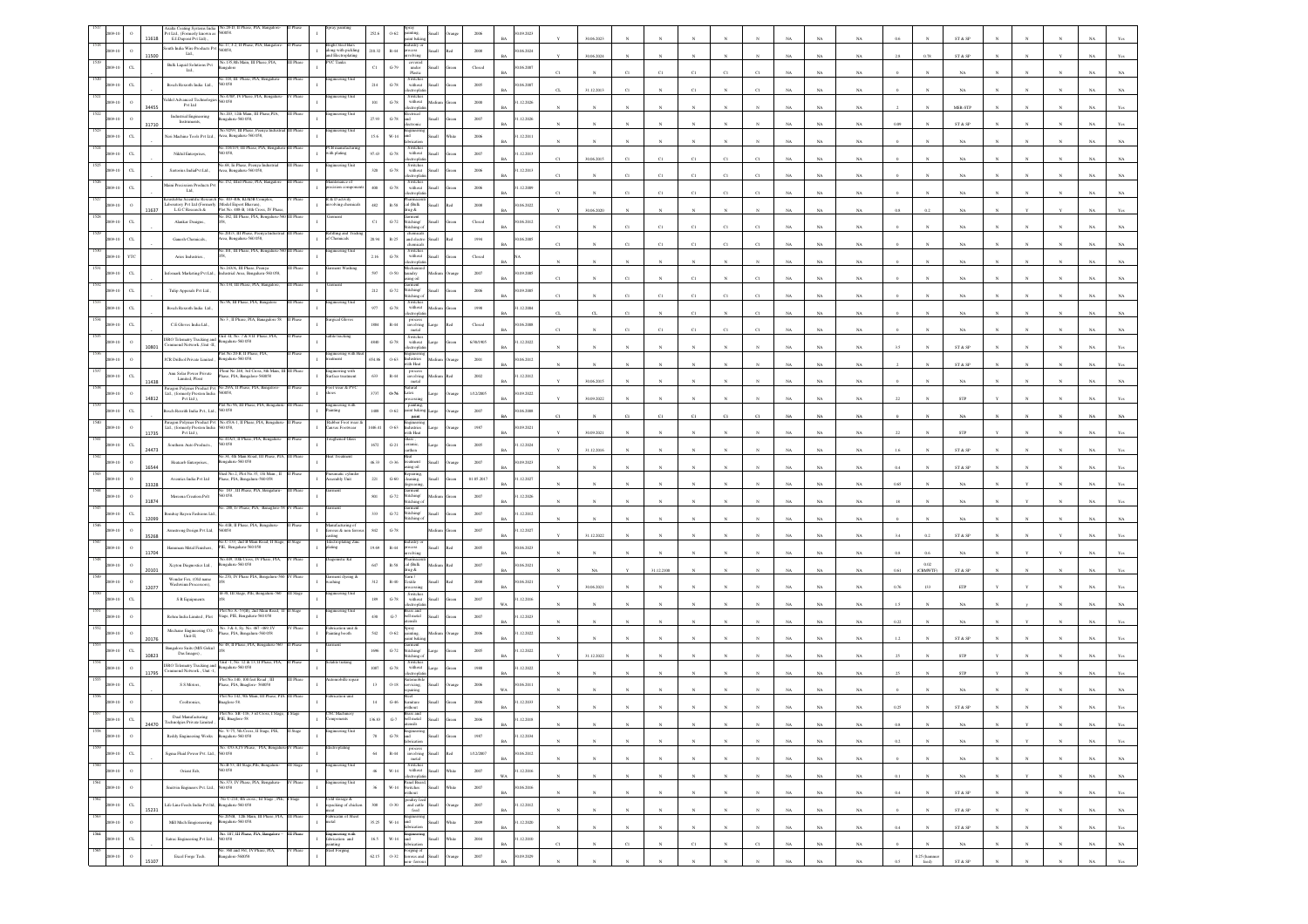|                                 | Axalta Coating Systems India No.28-D, II Phase, PIA, Ba<br>Pvt Ltd., (Formerly known as \$60058.<br>11618<br>E.I.Dupont Pvt Ltd). |                                                                                                            |                  |                                                                  | 252.6        | $0 - 62$                                 |                                                                                                   |                                                                                                                            |                 | .09.202                  |              |              |                       |              |                |                       |              |             |             |             |           |                     | ST & S                  |              |              |              |             |                |
|---------------------------------|-----------------------------------------------------------------------------------------------------------------------------------|------------------------------------------------------------------------------------------------------------|------------------|------------------------------------------------------------------|--------------|------------------------------------------|---------------------------------------------------------------------------------------------------|----------------------------------------------------------------------------------------------------------------------------|-----------------|--------------------------|--------------|--------------|-----------------------|--------------|----------------|-----------------------|--------------|-------------|-------------|-------------|-----------|---------------------|-------------------------|--------------|--------------|--------------|-------------|----------------|
|                                 | Ltd.,                                                                                                                             | outh India Wire Products Pvt No.17, J-2, II Phase, PIA, Bangalore-                                         | II Phase         | Bright Steel Bars<br>along with pickling                         | 210.32       | $\mathbb{R}\text{-}44$                   | adustry or<br>rocess                                                                              |                                                                                                                            | $2008\,$        | 0.06.2024                |              |              |                       |              |                |                       |              |             |             |             |           |                     | ST & SP                 |              |              |              |             |                |
| $\alpha$                        | 11500<br><b>Bulk Liquid Solutions Pvt</b><br>Ltd.,                                                                                | 135,8th Main, III Phase, PL<br>sgalore                                                                     |                  | nd Electroplating                                                | $_{\rm Cl}$  | $G-79$                                   | olving<br>covered<br>under                                                                        | Iliami                                                                                                                     | Closed          | 0.6.2007                 |              | 30.06.2024   |                       |              |                |                       |              |             | NA          |             |           | 0.78                |                         |              |              |              |             |                |
|                                 | Bosch Rexroth India Ltd.,                                                                                                         | 40.118, III Phase, PIA, Bengaluru<br>0.058                                                                 |                  | gineering Unit                                                   | $_{\rm 214}$ | $\mbox{G-78}$                            | Plastic<br>Switcher<br>$% \left\vert \left( \mathbf{1}_{\mathbf{1}}\right) \right\rangle$ without |                                                                                                                            | $200\mathrm{5}$ | 0.06, 2007               | C1           |              |                       |              |                |                       |              |             | NA          | NA.         |           |                     | NA                      |              |              |              |             |                |
|                                 | aldel Advanced Technolog                                                                                                          | No.470P. IV Phase, PIA, Bengalun                                                                           | / Phase          | ering l                                                          |              |                                          | Switches<br>without                                                                               |                                                                                                                            |                 |                          | $\sigma$     | 31.12.2013   |                       |              |                |                       |              |             | NA          | NA          |           |                     | $_{\rm NA}$             |              |              |              |             |                |
|                                 | Pvt Ltd<br>34455                                                                                                                  | i0 058<br>o.203, 12th Main, III Phase, PIA,                                                                | II Phase         | neering Unit                                                     | $101\,$      | $_{\mathrm{G-78}}$                       | troni.                                                                                            |                                                                                                                            | 2000            | .12.2026                 |              |              |                       |              |                |                       |              |             | NA          |             |           |                     | MSR-STP                 |              |              |              |             |                |
|                                 | Industrial Engineering<br>Instruments,<br>31710                                                                                   | ngalaru-560 058,<br>e.9293, III Phase, Peenya Ind                                                          |                  |                                                                  | 27.93        | $G-78$                                   | hm                                                                                                |                                                                                                                            | 2007            | .12.2026                 |              |              |                       |              |                |                       |              |             | NA          | $_{\rm NA}$ | 0.05      |                     | ${\rm ST}$ & ${\rm SP}$ |              |              |              |             |                |
|                                 | eri Machine Tools Pvt Ltd.,                                                                                                       | rea, Bengaluru-560 058,                                                                                    | <b>III</b> Phase | gineering Un                                                     | $15.6\,$     | $_{\rm W\text{-}14}$                     |                                                                                                   |                                                                                                                            | 2006            | .12.2011                 |              |              |                       |              |                |                       |              |             | NA          | NA          |           |                     | $_{\rm NA}$             |              |              |              |             |                |
| $\alpha$                        | Nikhil Enterprises,                                                                                                               | o.118/119, III Phase, PIA, Bengal<br>D 058,                                                                |                  | CB manufa<br>ith plating                                         | 97.43        | $G-78$                                   | Switches<br>without<br>monte                                                                      |                                                                                                                            | 2007            | 1.12.2013                |              | 30.06.2015   |                       |              |                |                       |              |             | NA          |             |           |                     |                         |              |              |              |             |                |
| $_{\rm CL}$                     | Sartorius IndiaPvt Ltd.,                                                                                                          | 68, lii Phase, Peenya<br>Area, Bengaluru-560 058,                                                          |                  | ering U                                                          | 320          | $G-78$                                   | Switche<br>without                                                                                | llum                                                                                                                       | 2006            | .12.2013                 |              |              |                       |              |                |                       |              |             |             |             |           |                     |                         |              |              |              |             |                |
| $\alpha$                        | Maini Precission Products Pv<br>Ltd,                                                                                              | 152, Illrd Phase, PIA, Bangalon                                                                            |                  |                                                                  | $400 -$      | $\operatorname{G-78}$                    | Switches<br>without                                                                               |                                                                                                                            | $\,2006$        | .12.2009                 |              |              |                       |              |                |                       |              |             | NA          |             |           |                     |                         |              |              |              |             |                |
| $\circ$                         | oustubha Scientific Research<br>aboratory Pvt Ltd (Formerly                                                                       | . 403-406, KIADB Complex<br>Model Export Bhavan),                                                          |                  | & D activity                                                     | 482          | $\mathbb{R}\text{-}\mathbb{S}\mathbb{S}$ | cal (Balk                                                                                         |                                                                                                                            | 2008            | 0.06.2022                |              |              |                       |              |                |                       |              |             | NA          | $_{\rm NA}$ |           |                     | NA                      |              |              |              |             |                |
|                                 | 11637<br>L.G.C Research &                                                                                                         | Plot No. 488-B. 14th Cross, IV Phas<br>o.182, III Phase, PIA, Bengaluru-3                                  | II Phase         | rolving chemic                                                   |              |                                          | A sat<br>micil                                                                                    |                                                                                                                            |                 | R4                       |              | 30.06.2020   |                       |              |                |                       |              |             | NA          | NA          |           |                     |                         |              |              |              |             |                |
| $\alpha$                        | Alankar Deaigns.,                                                                                                                 | o.201/3, III Phase, Peenya Industri                                                                        | III Phase        |                                                                  | $_{\rm C1}$  | $G-72$                                   | Stitching/<br>Stitching c<br>chemica                                                              |                                                                                                                            | Closed          | 0.06.2012                |              |              | C1                    | CI           | C1             | C1                    |              |             | NA          | NA          |           |                     | NA                      |              |              |              |             |                |
|                                 | Ganesh Chemicals.,                                                                                                                | ea, Bengaluru-560 058,<br>101, III Phase, PIA, Beng                                                        |                  | efilling and Tra<br>f Chemicals                                  | 20.94        | $\mathbb{R}\text{-}25$                   | and electro<br>hemical                                                                            |                                                                                                                            | 1994            | 0.06, 2005               |              |              | CI                    |              | C1             | CI                    |              |             | NA          | NA          |           |                     | NA                      |              |              |              |             |                |
|                                 | Aries Industries.                                                                                                                 |                                                                                                            |                  |                                                                  | 2.16         | $G-78$                                   | Switcher<br>without                                                                               | llum                                                                                                                       | Closed          |                          |              |              |                       |              |                |                       |              |             | NA          |             |           |                     |                         |              |              |              |             |                |
| $\alpha$                        | afomark Marketing Pvt Ltd.                                                                                                        | No.243/A, III Phase, Peenya<br>fustrial Area, Bengaluru-560 058,                                           | II Phase         | ment Washin                                                      | 597          | $0-50\,$                                 | undry<br>sing oil                                                                                 |                                                                                                                            | $2007\,$        | 1.09.2005                |              |              |                       |              |                |                       |              |             | NA          |             |           |                     |                         |              |              |              |             |                |
| $\alpha$                        | Tulip Appends Pvt Ltd.,                                                                                                           | 134. III Phase, PIA, B.                                                                                    |                  |                                                                  | $_{\rm 212}$ | $_{\mathrm{G-72}}$                       | stitching/                                                                                        |                                                                                                                            | $\,2006$        | 1.09.2005                |              |              |                       |              | CI             |                       |              |             | NA          | NA          |           |                     |                         |              |              |              |             |                |
| $\alpha$                        | Bosch Rexroth India Ltd.                                                                                                          | o.96, III Phase, PIA, Bangalore                                                                            |                  | neering Uni                                                      | 977          | $G-78$                                   | titching<br>Switche<br>without                                                                    |                                                                                                                            | 1998            | .12.2004                 | CI           |              |                       |              |                | CI                    |              |             |             |             |           |                     |                         |              |              |              |             |                |
| $_{\rm{CL}}$                    | C.E Gloves India Ltd.,                                                                                                            | o 3, II Phase, PIA, Banagalore 58                                                                          | II Phase         | rgical Glove                                                     | $1884\,$     | $\mathbb{R}\text{-}44$                   | process<br>involving                                                                              |                                                                                                                            | Closed          | 0.06, 2008               |              |              |                       |              | C1             |                       |              |             | NA          |             |           |                     |                         |              |              |              |             |                |
|                                 | SRO Telematry Tracking and                                                                                                        | hit -II, No. 7 & 8 II Phase, PIA,                                                                          |                  | lite tracking                                                    |              |                                          | metal<br>Switches<br>without                                                                      |                                                                                                                            |                 |                          |              |              |                       |              | $\overline{c}$ | CI                    |              |             | NA          | NA          |           |                     | NA                      |              |              |              |             |                |
| $\circ$                         | cenmond Network. Unit -II,<br>10801                                                                                               | ngalaru-560 058<br>st No 20-B, II Phase, I                                                                 |                  | incering v                                                       | 4840         | $G-78$                                   | ectropha                                                                                          | large                                                                                                                      | 6/30/1905       | .12.2022<br>B٨           |              |              |                       |              |                |                       |              | NA          | $_{\rm NA}$ | NA          | 3.5       |                     | ST & SP                 |              |              |              |             |                |
|                                 | JCR Drillsol Private Limited                                                                                                      | engalaru-560 058.<br>Plont No 248, 3rd Cross, 8th Main, III                                                | II Phas          | nent<br>nginerring with                                          | 654.86       | $0 - 63$                                 | dustries<br>ith Heat                                                                              |                                                                                                                            | 2001            | 0.06.2012                |              |              |                       |              |                |                       |              |             | NA          | $_{\rm NA}$ |           |                     | ST & SP                 |              |              |              |             |                |
| $\alpha$                        | Anu Solar Power Private<br>Limited, Plont<br>11438                                                                                | ase, PIA, Bangalore-560058                                                                                 |                  |                                                                  | 633          | $R-44$                                   | $\begin{subarray}{c} \mathbf{process} \\ \mathbf{involving} \end{subarray}$<br>metal              |                                                                                                                            | 2002            | .12.2012                 |              | 30.06.2015   |                       |              |                |                       |              |             |             |             |           |                     |                         |              |              |              |             |                |
|                                 | aragon Polymer Product Pvt<br>Ltd., (formerly Preston India<br>14812<br>PvtLad ),                                                 | 29/A, II Phase, PIA, Bangal<br>0058,                                                                       |                  | ot wear & PV                                                     | 3737         | 0.76                                     | vatorat<br>Latex                                                                                  | arge                                                                                                                       | 1/12/2005       | 0.9.2022                 |              | 30.09.2022   |                       |              |                |                       |              |             | NA          | NA.         |           |                     | <b>STP</b>              |              |              |              |             |                |
| $\sigma$                        | osch Rexrith India Pvt., Ltd., 560 058                                                                                            | d No 96, III Phase, PIA, Beng                                                                              |                  | ring wit<br>ting                                                 | $1488\,$     | $O - 62$                                 | int bakir<br>paint                                                                                |                                                                                                                            | 2007            | 0.06.2008                |              |              |                       |              |                |                       |              |             |             | NA          |           |                     | $_{\rm NA}$             |              |              |              |             |                |
|                                 | .td., (formerly Preston India                                                                                                     | Paragon Polymer Product Pyt No.45/A-1. II Phase, PIA, Bengalur<br>058                                      |                  | Rubber Foot wear<br>anvas Footwear                               | 446.41       | $0.63\,$                                 | dustries<br>th Heat                                                                               |                                                                                                                            | 1987            | 0.09.2021                |              |              |                       |              |                |                       |              |             |             |             |           |                     |                         |              |              |              |             |                |
| CL                              | 11735<br>Pvt Lad ),<br>Southern Auto Products                                                                                     | 41A/1, II Phase, PIA, Ben<br>0058                                                                          |                  |                                                                  | 1672         | $G-21$                                   | eramic.                                                                                           | arge                                                                                                                       | 2005            | .12.2024                 |              | 30.09.2021   |                       |              |                |                       |              |             | NA          | NA          |           |                     | STP                     |              |              |              |             |                |
|                                 | 24473                                                                                                                             | o.34, 4th Main Road, III Phase, PIA, III Phas                                                              |                  | at Treatmen                                                      |              |                                          | rthey<br>kat                                                                                      |                                                                                                                            |                 | RA                       |              | 31.12.2016   |                       |              |                |                       |              |             | <b>NA</b>   | NA          |           |                     | ST & SP                 |              |              |              |             |                |
|                                 | Heatcarb Enterprises.,<br>16544                                                                                                   | ngalaru-560 058<br>hed No.2, Plot No.35, 1St Main. I                                                       |                  |                                                                  | 46.33        | $0 - 36$                                 | tates<br>e oil                                                                                    |                                                                                                                            | 2007            | 09.2023                  |              |              |                       |              |                |                       |              |             | NA          | $_{\rm NA}$ |           |                     | ST & SP                 |              |              |              |             |                |
|                                 | Aventics India Pvt Ltd<br>33328                                                                                                   | hase, PIA, Bengaluru-560 058<br>183 , III Phase, PIA, Bengaluri                                            |                  | embly Unit                                                       | $\bf 221$    | $_{\mathrm{G-60}}$                       | iing<br>ment                                                                                      |                                                                                                                            | 01.05.2017      | .12.2027                 |              |              |                       |              |                |                       |              |             | NA          |             |           |                     |                         |              |              |              |             |                |
|                                 | Mereena Creation.Polt<br>31874                                                                                                    | 50 058                                                                                                     |                  |                                                                  | $801\,$      | $\mbox{G-}72$                            | Stitching/<br>tiching                                                                             |                                                                                                                            | 2007            | 12.2026                  |              |              |                       |              |                |                       |              |             | NA          |             |           |                     |                         |              |              |              |             |                |
|                                 | mbay Rayon Fashions Ltd<br>12099                                                                                                  | . 288, Iv Phase, PIA, Banaglore                                                                            |                  |                                                                  | 333          | $\mbox{G-}72$                            | arment<br>stitching/                                                                              |                                                                                                                            | 2007            | .12.2012                 |              |              |                       |              |                |                       |              |             | NA          | NA          |           |                     | $_{\rm NA}$             |              |              |              |             |                |
|                                 | Armstrong Design Pvt Ltd,<br>35268                                                                                                | o.41B, II Phase, PIA, Bengalur<br>0058                                                                     |                  | afacturing o<br>rous & non fe<br>ing                             | $\bf 842$    | $G-78$                                   |                                                                                                   |                                                                                                                            | 2007            | .12.2027                 |              | 31.12.2022   |                       |              |                |                       |              |             | NA          | NA          |           | 0.2                 | ST & SP                 |              |              |              |             |                |
|                                 | Hanuman Metal Finishers,                                                                                                          | .C-133, 2nd B Main Road, II Stay<br>PIE, Bengaluru-560 058                                                 |                  | ectroplating Zi<br>ating                                         | 19.69        | $\mbox{R-}44$                            | rocess                                                                                            |                                                                                                                            | 2005            | 06.2023                  |              |              |                       |              |                |                       |              |             |             |             |           |                     |                         |              |              |              |             |                |
|                                 | 11704<br>Xcyton Diagnostics Ltd.,                                                                                                 | No.449, 10th Cross, IV Phase, PLA<br>sgalaru-560 058                                                       |                  |                                                                  | 647          | $\mathbb{R}\text{-}\mathbb{S}\mathbb{S}$ | $\mathbf{al}$ (Balk                                                                               |                                                                                                                            | 2007            | 06.2021                  |              |              |                       |              |                |                       |              |             | NA          | $_{\rm NA}$ | 0.8       | 0.02                | NA                      |              |              |              |             |                |
|                                 | 20101<br>Wonder Fex, (Old name                                                                                                    | o.270, IV Phase PIA, Bengaluru-5                                                                           |                  | arment dyeing &<br>dring                                         | 312          | $R-40$                                   | lrug &<br>arn /<br>extile                                                                         |                                                                                                                            | 2008            | 0.06.2021                |              | $_{\rm NA}$  |                       | 31.12.2100   |                |                       |              |             | NA          | $_{\rm NA}$ | $_{0.61}$ | (CBMWTF)            | ${\rm ST}$ & ${\rm SP}$ |              |              |              |             |                |
|                                 | Washwinn Processors).<br>12077                                                                                                    | -38, III Stage, PIE, Bengalaru-56                                                                          | Stage            | ring U                                                           |              |                                          | Switcher                                                                                          |                                                                                                                            |                 |                          |              | 30.06.2021   |                       |              |                |                       |              |             | NA          | NA          | 0.76      |                     | ETP                     |              |              |              |             |                |
| $C_{L}$                         | S R Equipments                                                                                                                    | Plot No A -53(B), 2nd Main Road,                                                                           |                  | ering U                                                          | $189\,$      | $G-78$                                   | without                                                                                           | llum                                                                                                                       | 2007            | .12.2016<br>WA           |              |              |                       |              |                |                       |              |             | N           | $_{\rm NA}$ |           |                     | NA                      |              |              |              |             |                |
|                                 | Rohm India Limited, Plot                                                                                                          | itage, PIE, Bengaluru-560 058                                                                              |                  |                                                                  | $430 -$      | $_{\mathrm{G-7}}$                        | ell metal<br>isils                                                                                |                                                                                                                            | 2007            | .12.2023                 |              |              |                       |              |                |                       |              |             | NA          | NA          | 0.22      |                     | NA                      |              |              |              |             |                |
|                                 | Mechano Engineering CO.<br>Unit-II.<br>20176                                                                                      | э. 3 & 4, Sy. No. 467 -469, IV<br>hase, PIA, Bengaluru-560 058                                             |                  | ibrication unit<br>inting booth                                  | 542          | $O - 62$                                 | pray<br>inting.<br>int bak                                                                        |                                                                                                                            | 2006            | 1.12.2022                |              |              |                       |              |                |                       |              |             |             |             |           |                     | ST & SP                 |              |              |              |             |                |
| $\alpha$                        | Bangalore Suits (M/S Gokul<br>$\,$ Das Images) ,<br>10823                                                                         | No 48, II Phase, PIA, Bengaluru-56                                                                         |                  |                                                                  | 1696         | $\mbox{G-}72$                            | micat<br>Stitching/<br>Stitching                                                                  |                                                                                                                            | $2005\,$        | .12.2022                 |              | 31.12.2022   |                       |              |                |                       |              |             | NA          |             |           |                     | ${\tt STP}$             |              |              |              |             |                |
|                                 | SRO Telematry Tracking and<br>cenmond Network., Unit -1,<br>11795                                                                 | .hit -1, No. 12 & 13, II Phase, PL<br>engalaru-560 058                                                     |                  |                                                                  | 1087         | $\operatorname{G-78}$                    | without                                                                                           |                                                                                                                            | $1988\,$        | .12.2022                 |              |              |                       |              |                |                       |              |             | NA          | NA          |           |                     | STP                     |              |              |              |             |                |
|                                 | S S Motors,                                                                                                                       | Plot No. 140, 100 feet Road, III<br>hase, PIA, Braglore- 560058                                            |                  |                                                                  | 13           | $O-18$                                   | rvicing,                                                                                          |                                                                                                                            | 2006            | 0.06.2011                |              |              |                       |              |                |                       |              |             |             |             |           |                     |                         |              |              |              |             |                |
|                                 | Cooltronics                                                                                                                       | Plot No 142, 9th Main, III Phase, PL<br>aglore-58.                                                         |                  | cation uni                                                       | 14           | $G-46$                                   | siture                                                                                            |                                                                                                                            | 2006            | .12.2033                 |              |              |                       |              |                |                       |              |             |             |             |           |                     |                         |              |              |              |             |                |
|                                 | Dual Manufacturing                                                                                                                | Plot No. SB -116, 3 rd                                                                                     |                  | "Machi                                                           |              | $\mbox{G-7}$                             |                                                                                                   |                                                                                                                            |                 | 12.2018                  |              |              |                       |              |                |                       |              |             |             |             |           |                     | ST & S                  |              |              |              |             |                |
| 1558                            | es Private Lim<br>24470                                                                                                           | PIE, Braglore-58<br>No. V-75, 5th Cross, II Stage, PIE,                                                    | II Stage         | gineering Unit                                                   |              |                                          |                                                                                                   |                                                                                                                            |                 | <b>BA</b>                |              |              |                       |              |                |                       |              | NA          | NA          | NA          | 0.8       |                     | NA                      |              |              |              | NA.         | Yes            |
| $\bullet$<br>2009-10<br>1559    | Reddy Engineering Works                                                                                                           | Bengalaru-560 058<br>No. 470-A,IV Phase, PIA, Bengaluru IV Phase                                           |                  | ectroplating                                                     | $78\,$       |                                          | Engineering<br>G-78 and<br>fabrication                                                            | Small<br>ireen                                                                                                             | 1987            | 31.12.2034<br><b>BA</b>  |              | $\mathbf{N}$ | $\mathbf{N}$          | $\mathbf{N}$ | $\mathbf{N}$   | $\mathbf{N}$          | $\mathbf{N}$ | $_{\rm NA}$ | $_{\rm NA}$ | $_{\rm NA}$ | $0.2\,$   | $\mathbf{N}$        | $_{\rm NA}$             | $\mathbf{N}$ | $\mathbf{v}$ | $\mathbf{N}$ | $_{\rm NA}$ | $\mathbf{Yes}$ |
| $_{\rm CL}$<br>2009-10          | Sigma Fluid Power Pvt. Ltd., 560 058                                                                                              |                                                                                                            |                  |                                                                  | $64\,$       | $R-44$                                   |                                                                                                   | $\begin{tabular}{l} process \\ involving \\ metal \\ \end{tabular} \begin{tabular}{c} \bf Red \\ \bf Red \\ \end{tabular}$ | 1/12/2007       | 0.06.2012<br>$_{\rm BA}$ |              | $_{\rm N}$   | $\bar{N}$             |              | $\bar{N}$      | $\overline{N}$        |              | $_{\rm NA}$ | $_{\rm NA}$ | $_{\rm NA}$ |           |                     | $_{\rm NA}$             |              |              |              | $_{\rm NA}$ | $_{\rm NA}$    |
| 1560<br>$\,$ 0 $\,$<br>2009-10  | Orient Fab,                                                                                                                       | No.B-53, III Stage,PIE, Bengaluru-<br>i0 058                                                               | II Stage         | agineering Unit                                                  | $46\,$       | $_{\rm W\text{-}14}$                     | Switches<br>without Small<br>electrophati                                                         | White                                                                                                                      | 2007            | 1.12.2016<br>WA          |              | N            | $_{\rm N}$            | $_{\rm N}$   | N              | $_{\rm N}$            | $\mathbb{N}$ | NA          | $_{\rm NA}$ | NA          | 0.1       | $\mathbf{N}$        | NA                      |              | Y            | $_{\rm N}$   | NA          | NA             |
| 1561<br>$\,$ 0 $\,$<br>2009-10  |                                                                                                                                   | $\begin{tabular}{c} No.373, IV Phase, PIA, Bengularu-\\ Smivin Engineers Fvt. Ltd., 560 058 \end{tabular}$ | V Phase          | agineering Unit<br>$\mathbf{I}$                                  | $_{\rm 36}$  | $_{\rm W\text{-}14}$                     | Panel Board,<br>Switches<br>without                                                               | Small<br>White                                                                                                             | $2007\,$        | 30.06.2016<br><b>BA</b>  |              | $_{\rm N}$   | $\mathbf{N}$          | $_{\rm N}$   | $\mathbf{N}$   | $\mathbf{N}$          | $_{\rm N}$   | $_{\rm NA}$ | $_{\rm NA}$ | $_{\rm NA}$ | $0.4\,$   | $\mathbf{N}$        | $ST\ \&\ SP$            |              | $\mathbb{N}$ | $_{\rm N}$   | $_{\rm NA}$ | $\mathbf{Yes}$ |
| 1562<br>$_{\rm{CL}}$<br>2009-10 | Life Line Feeds India Pvt Itd,                                                                                                    | No C-214, 4th cross., Ist Stage , PIE, 1 Stage<br>ngaluru-560 058                                          |                  | Cold storage &<br>repacking of chicken                           | $308\,$      | 0.30                                     | $\,$ poultry feed $\,$ and cattle $\,$                                                            | Small<br>hung                                                                                                              | $2007\,$        | 1.12.2012                |              |              |                       |              |                |                       |              |             |             |             |           |                     |                         |              |              |              |             |                |
| 1563<br>$\,$ 0 $\,$<br>2009-10  | 15231<br>Mill Mech Emgioneering                                                                                                   | No.205/B, 12th Main, III Phase, PIA, III Phase<br>Bengaluru-560 058.                                       |                  | <b>ALC</b><br>Fabricatin of She<br>netal<br>$\mathbf{I}$         | 35.25        |                                          | feed<br>Engineering<br>W-14 and                                                                   | Small<br>White                                                                                                             | 2009            | <b>BA</b><br>1.12.2020   |              | $_{\rm N}$   |                       |              | $\mathbb{N}$   |                       |              | $_{\rm NA}$ | NA          | $_{\rm NA}$ |           |                     | ST & SP                 |              |              |              | $_{\rm NA}$ | $_{\rm NA}$    |
| 1564<br>$_{\rm CL}$<br>2009-10  | Satrac Engineering Pvt Ltd.,                                                                                                      | No. 187, III Phase, PIA, Bangalore - III Phase<br>560 058                                                  |                  |                                                                  | $16.5\,$     | $_{\rm W\text{-}14}$                     | abrication<br>Engineering<br>and<br>fabrication                                                   | Small<br>White                                                                                                             | $\,2004\,$      | <b>BA</b><br>1.12.2010   | $\mathbf{N}$ | $_{\rm N}$   | $\boldsymbol{\kappa}$ | $\mathbf{N}$ | $\mathbb{N}$   | $\boldsymbol{\kappa}$ | $\mathbb{N}$ | NA          | NA          | NA          | 0.4       |                     | ST & SP                 |              | $\mathbb{N}$ | $\mathbf{N}$ | NA          | Yes            |
| 1565                            |                                                                                                                                   | No. 360 and 361, IV Phase, PIA,<br>Bangalore-560058                                                        | IV Phase         | Engineering with<br>fabrication and<br>painting<br>Steel Forging |              |                                          | Forging of<br>ferrous and                                                                         |                                                                                                                            |                 | <b>BA</b>                | $_{\rm C1}$  | $_{\rm N}$   | $_{\rm C1}$           | $_{\rm N}$   | $_{\rm C1}$    | $\mathbf{N}$          | $_{\rm C1}$  | $_{\rm NA}$ | $_{\rm NA}$ | $_{\rm NA}$ | $\alpha$  | $\mathbf{N}$        | $_{\rm NA}$             |              | $\mathbb{N}$ | $_{\rm N}$   | $_{\rm NA}$ | $_{\rm NA}$    |
| $\,$ 0 $\,$                     | Excel Forge Tech.<br>15107                                                                                                        |                                                                                                            |                  |                                                                  | 62.15        | $0 - 32$                                 | non-ferrous                                                                                       | Small                                                                                                                      | $2007\,$        | 0.09.2029<br><b>BA</b>   |              |              |                       |              |                |                       |              | NA          | NA          | $_{\rm NA}$ | 0.5       | $0.25$ (hamme feed) | ST & SP                 |              |              |              | NA          | Yes            |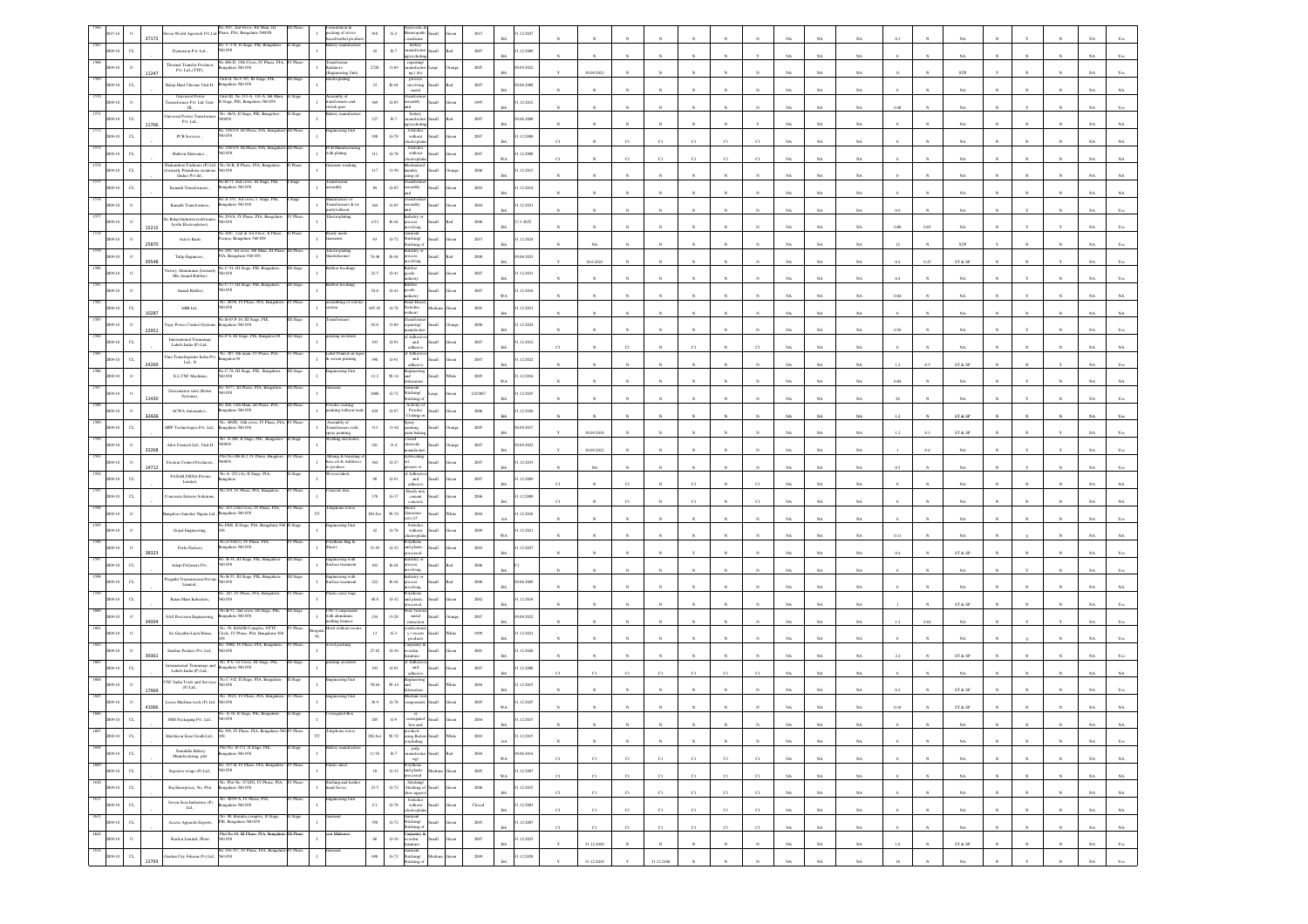|                 | 37172                 |                                                                             | No.39/1, 2nd Floor, 4th Main, Ill<br>evia World Agrotech Pvt Ltd Phase, PIA, Bengaluru-560058       |                  | acking of stevia                                       | $910\,$                   | $\mbox{G-2}$            | nedicine                                                                                                                                                                                                                                                                                                                                 |                | 2015           | .12.2027                 |             |             |              |             |                |             |             |             |             |             |      |              |                         |   |              |              |             |                |
|-----------------|-----------------------|-----------------------------------------------------------------------------|-----------------------------------------------------------------------------------------------------|------------------|--------------------------------------------------------|---------------------------|-------------------------|------------------------------------------------------------------------------------------------------------------------------------------------------------------------------------------------------------------------------------------------------------------------------------------------------------------------------------------|----------------|----------------|--------------------------|-------------|-------------|--------------|-------------|----------------|-------------|-------------|-------------|-------------|-------------|------|--------------|-------------------------|---|--------------|--------------|-------------|----------------|
|                 | CL                    | Dynaxion Pvt. Ltd.,                                                         | šo. C-178, II Stage, PIE, Bengaluru<br>0.058                                                        |                  | ased herbal produ-                                     | 42                        | $\mathbb{R}.7$          | battery<br>unufacturi Small                                                                                                                                                                                                                                                                                                              | ho!            | 2007           | 1.12.2009                |             |             |              |             |                |             |             |             |             |             |      |              |                         |   |              |              |             |                |
|                 | $\circ$               | Thermal Transfer Products                                                   | o.486-D, 13th Cross, IV Phase, PIA,<br>sgalaru-560 058                                              | V Phase          | ransformer<br>adiators                                 | $2720\,$                  | $0 - 69$                | excludi<br>repairing/<br>manufactur                                                                                                                                                                                                                                                                                                      | Large          | $2005\,$       | 0.09.2022                |             |             |              |             |                |             |             |             | NA          | $_{\rm NA}$ |      |              |                         |   |              |              |             |                |
|                 | 11247<br>$_{\rm CL}$  | Pvt. Ltd.,(TTP),<br>Balaji Hard Chrome Unit-II,                             | .<br>hit-II, No.C-85, III Stage, PIE,<br>engalaru-560 058                                           |                  | Engineering Unit<br>troplating                         | 23                        | $R-44$                  | ng (dry<br>process<br>involving                                                                                                                                                                                                                                                                                                          |                | 2007           | 0.06.2008                |             | 30.09.2023  |              |             |                |             |             |             | NA          |             |      |              | STP                     |   |              |              |             |                |
|                 |                       | <b>Universal Power</b>                                                      | Unit-III, No.313-A, 314-A, 6th Mai                                                                  |                  | mbly o                                                 |                           |                         | metal                                                                                                                                                                                                                                                                                                                                    | Small<br>lo:   |                |                          |             |             |              |             |                |             |             |             | <b>NA</b>   | NA          |      |              | NA                      |   |              |              |             |                |
|                 |                       | Ш,                                                                          | rasnsformer Pvt. Ltd. Unit- II Stage, PIE, Bengaluru-560 058<br>No. 46/A, II Stage, PIE, Bangalore- | Stage            | ansformers and<br>witch gear<br>attery manufact        | $3\theta\theta$           | $G-85$                  | sembly<br>battery                                                                                                                                                                                                                                                                                                                        | <b>Ham</b>     | 1995           | 1.12.2012                |             |             |              |             |                |             |             |             | NA          | $_{\rm NA}$ | 0.48 |              | $_{\rm NA}$             |   |              |              |             |                |
|                 | $_{\rm{CL}}$<br>11706 | hiversal Power Transforme<br>Pvt. Ltd.,                                     | <b>DOSS</b>                                                                                         |                  |                                                        | $127\,$                   | $_{\rm R-7}$            | nufacti<br>(excludi                                                                                                                                                                                                                                                                                                                      |                | 2007           | 0.06.2008                |             |             |              |             |                |             |             |             | NA          | NA          |      |              | NA                      |   |              |              |             |                |
|                 | $_{\rm CL}$           | PCB Services                                                                | 118/119, III Phase, PIA, Benga<br>0058                                                              |                  | ineering Ur                                            | $108\,$                   | $\mbox{G-78}$           | Switche<br>without<br>tronic                                                                                                                                                                                                                                                                                                             | Hatt           | 2007           | .12.2008<br>RA           | C1          |             | CI           |             | C1             | C1          |             |             | NA          | NA          |      |              | NA                      |   |              |              |             |                |
|                 | $\alpha$              | Shiltron Eletronics.,                                                       | No 118/119, III Phase, PIA, Benga<br>50 058.                                                        |                  | <b>CB</b> Manufact<br>ith plating                      | $311\,$                   | $\,$ G-78 $\,$          | Switcher<br>without                                                                                                                                                                                                                                                                                                                      |                | 2007           | .12.2008                 |             |             | CI           |             | $_{\rm CI}$    | C1          |             |             | $_{\rm NA}$ | $_{\rm NA}$ |      |              | NA.                     |   |              |              |             |                |
|                 | $\alpha$              | ukumbari Fashions (P) Ltd<br>rmerly Pitambara creation<br>(India) Pvt Itd., | No.30-B. II Phase, PIA, B                                                                           |                  |                                                        | $117\,$                   | $0.50\,$                | andry                                                                                                                                                                                                                                                                                                                                    |                | 2006           | 1.12.2013                |             |             |              |             |                |             |             |             | NA          |             |      |              |                         |   |              |              |             |                |
|                 | $\alpha$              | Kanath Transformers.,                                                       | 40.B-71, 2nd cross. Ist Stage, PIE,<br>820 032-analage:                                             |                  | asforme<br>embly                                       | 89                        | $G-85$                  | ing oil<br>sembly                                                                                                                                                                                                                                                                                                                        | <b>Illami</b>  | 2003           | 1.12.2014                |             |             |              |             |                |             |             |             |             |             |      |              |                         |   |              |              |             |                |
|                 |                       | Kamath Transformers.,                                                       | o.A-155, 3rd cross, I Stage, PIE,<br>galaru-560 058                                                 |                  | nufacture of<br>ransformers & its                      | $164\,$                   | $_{\mathrm{G-S5}}$      | embly                                                                                                                                                                                                                                                                                                                                    |                | 2004           | .12.2021                 |             |             |              |             |                |             |             |             | NA          | NA          |      |              |                         |   |              |              |             |                |
|                 |                       | ri Balaji Industries(old name:                                              | in 293/A TV Phase PTA Rengalur                                                                      |                  | ts(without<br>Iectroplating                            |                           |                         |                                                                                                                                                                                                                                                                                                                                          |                |                |                          |             |             |              |             |                |             |             |             | NA          | $_{\rm NA}$ |      |              | NA                      |   |              |              |             |                |
|                 | 15215                 | Jyothi Electroplaters),                                                     | 60058<br>30C, 2 nd & 3rd Floor, II Phase,                                                           |                  | rady made                                              | $4.52\,$                  | $_{\rm R-44}$           | olvin                                                                                                                                                                                                                                                                                                                                    |                | 2006           | .3.2025                  |             |             |              |             |                |             |             |             | NA          | NA          |      |              | NA                      |   |              |              |             |                |
|                 | 25870                 | <b>Active Knits</b>                                                         | enya, Bengaluru-560 058<br>Vo.249, 3rd cross, 8th Main, III Phase, III Phase                        |                  | ments<br><b>Icctroplatin</b>                           | 63                        | $\mbox{G-}72$           | Stitching/<br>tichine                                                                                                                                                                                                                                                                                                                    |                | 2015           | .12.2024                 |             | NA          |              |             |                |             |             |             | NA          | $_{\rm NA}$ |      |              | ${\tt STP}$             |   |              |              |             |                |
|                 | 39548                 | Tulip Engineers.                                                            | IA, Bengaluru-560 058                                                                               |                  | ardchrome)                                             | 74.46                     | $\mathbb{R}\text{-}44$  |                                                                                                                                                                                                                                                                                                                                          |                | $2008\,$       | 06.2023                  |             | 30.6.2023   |              |             |                |             |             |             | $_{\rm NA}$ | $_{\rm NA}$ | 0.4  | 0.25         | ST & SP                 |   |              |              |             |                |
|                 |                       | ictory Aluminium (forme<br>M's Anand Rubber)                                | éo.C-54, III Stage, PIE, B<br>D 0.58                                                                |                  |                                                        | 22.5                      | $G-41$                  | vana.<br>joods<br>dustry                                                                                                                                                                                                                                                                                                                 |                | 2007           | 1.12.2031                |             |             |              |             |                |             |             |             | NA          | NA          |      |              |                         |   |              |              |             |                |
|                 |                       | Anand Rubber,                                                               | <b>C-77, III Stage</b><br>60058                                                                     |                  |                                                        | 54.6                      | $G-41$                  | shoot                                                                                                                                                                                                                                                                                                                                    | <b>Illett</b>  | 2007           | 1.12.2016<br>WA          |             |             |              |             |                |             |             |             | NA          | $_{\rm NA}$ | 0.04 |              | NA                      |   |              |              |             |                |
|                 | $_{\rm CL}$           | ${\rm ABB\,Lid}$ ,                                                          | No. 485/6, IV Phase, PIA, Bengalu<br>0.058                                                          |                  |                                                        | 607.45                    | $\operatorname{G-78}$   | anel Boa<br>witches                                                                                                                                                                                                                                                                                                                      |                | 2005           | .12.2013                 |             |             |              |             |                |             |             |             |             |             |      |              |                         |   |              |              |             |                |
|                 | 10287<br>$\circ$      | ijay Power Control System                                                   | No.B-65 P-16, III Suge<br>ngaluru-560 058                                                           |                  |                                                        | 92.6                      | $0 - 69$                | thout<br>uiring/                                                                                                                                                                                                                                                                                                                         |                | 2006           | 1.12.2024                |             |             |              |             |                |             |             |             | NA          | NA          |      |              | NA                      |   |              |              |             |                |
|                 | 22951                 | <b>International Trimmines</b>                                              | 40.P-6, III Stage, PIE, Bangalore58                                                                 | III Stage        | iting on labels                                        |                           |                         | Adb                                                                                                                                                                                                                                                                                                                                      |                |                |                          |             |             |              |             |                |             |             |             | NA          | $_{\rm NA}$ | 0.56 |              | NA                      |   |              |              |             |                |
|                 | $\alpha$              | Labels India (P) Ltd.,<br>Fine Transferprints India Pvt.                    | 40. 287, 4th main, IV Phase, PLA                                                                    |                  | bel Printed                                            | 193                       | $G-91$                  | and<br>dhesiya<br>Adb                                                                                                                                                                                                                                                                                                                    |                | 2007           | .12.2012<br>RA           | C1          |             | CI           |             | C1             |             |             |             | NA          | $_{\rm NA}$ |      |              | $_{\rm NA}$             |   |              |              |             |                |
|                 | $\alpha$<br>24269     | LtL, N                                                                      | sgalore58<br>o.C-78, III Stage, PIE,                                                                |                  | creen printing                                         | 390                       | $\mbox{G-}91$           | and                                                                                                                                                                                                                                                                                                                                      |                | 2007           | .12.2022                 |             |             |              |             |                |             |             |             | NA          | NA          | 1.2  | 0.5          | ST & SP                 |   |              |              |             |                |
|                 |                       | X.I. CNC Machines,                                                          | 0058                                                                                                |                  |                                                        | $12.2\,$                  | W-14                    | <b>Lett</b>                                                                                                                                                                                                                                                                                                                              |                | 2005           | 1.12.2016                |             |             |              |             |                |             |             |             | NA          |             |      |              |                         |   |              |              |             |                |
|                 | 11430                 | Dressmaster suits (Rober<br>Systems),                                       | 40.76/77, III Phase, PIA, Bengaluru<br>50058                                                        | <b>III Phase</b> | ment                                                   | 2680                      | $\mbox{G-}72$           | arment<br>stitching/<br>hing                                                                                                                                                                                                                                                                                                             |                | 1/2/2007       | .12.2025                 |             |             |              |             |                |             |             |             | NA          | NA          |      |              | NA                      |   |              |              |             |                |
|                 | 32426                 | ACWA Automatics.,                                                           | 204, 12th Main, III Phase, PLA<br>ngaluru-560 058                                                   |                  | sting without trade                                    | $429\,$                   | $\mbox{G-97}$           | Powder<br>oating                                                                                                                                                                                                                                                                                                                         |                | $\,2006$       | .12.2026                 |             |             |              |             |                |             |             |             | NA          | NA          |      |              | ST & SP                 |   |              |              |             |                |
|                 | $\alpha$              | MPP Technologies Pvt. Ltd.,                                                 | io. 489/D, 14th cross, IV Phase, PIA, I<br>engalaru-560 058                                         |                  | <b>Assembly</b> of<br>ransformers with<br>ray painting | $313\,$                   | $0 - 62$                | špray<br>sainting,<br>int bak                                                                                                                                                                                                                                                                                                            |                | 2005           | 0.09.2017                |             |             |              |             |                |             |             |             | NA          | NA          |      |              |                         |   |              |              |             |                |
|                 |                       | Ador Fontech Ltd., Unit-II                                                  | No. A-288, II Stage, PIE, Bangalor<br>6058                                                          | I Stage          | elding electrode                                       | $241\,$                   | $_{0.4}$                | bated<br>lectrode                                                                                                                                                                                                                                                                                                                        |                | 2007           | 0.09.2022                |             | 30.09.2018  |              |             |                |             |             |             |             |             |      |              | ST & SP                 |   |              |              |             |                |
|                 | 33268<br>$\circ$      | Friction Control Productes                                                  | Plot No 486 B-2, IV Phase, Bragle<br>0058                                                           |                  | Mixing & blending o<br>base oil & Additives            | $_{364}\,$                | $G-27$                  |                                                                                                                                                                                                                                                                                                                                          | <b>Illami</b>  | 2007           | 1.12.2033                |             | 30.09.2022  |              |             |                |             |             |             | $_{\rm NA}$ | $_{\rm NA}$ |      |              | $_{\rm NA}$             |   |              |              |             |                |
|                 | 14712                 | PAXAR INDIA Private                                                         | A-252 (A), II Stap                                                                                  |                  | o produce<br>en label                                  |                           |                         |                                                                                                                                                                                                                                                                                                                                          |                |                | RA                       |             | NA          |              |             |                |             |             |             | NA.         | NA          |      |              | NA                      |   |              |              |             |                |
|                 | CL                    | $\operatorname{Limited},$                                                   | ngalore<br>No.519, IV Phase, PIA, Bangalon                                                          | / Phase          | terete tiles                                           | 90                        | $G-91$                  | and<br>idhesive                                                                                                                                                                                                                                                                                                                          | Iliam          | 2007           | 1.12.2009                |             |             | C1           |             | $\overline{c}$ |             |             |             | $_{\rm NA}$ | $_{\rm NA}$ |      |              | $_{\rm NA}$             |   |              |              |             |                |
|                 | $\alpha$              | oncreate Extrerir Solution                                                  | . 415.11th Cross, IV PI                                                                             |                  |                                                        | $170\,$                   | $_{\mathrm{G-37}}$      | Ready mis<br>cement<br>oncret                                                                                                                                                                                                                                                                                                            |                | 2006           | 1.12.2009                |             |             |              |             | C1             |             |             |             | NA          | NA          |      |              |                         |   |              |              |             |                |
|                 |                       | ingalore Sanchar Nigam Ltd.,                                                | ngalaru-560 058                                                                                     |                  | TT                                                     | DG Set                    | W-52                    | ienerator<br>8(15)                                                                                                                                                                                                                                                                                                                       | <b>Illami</b>  | 2004           | .12.2016                 |             |             |              |             |                |             |             |             | NA          | NA.         |      |              |                         |   |              |              |             |                |
|                 |                       | Gopal Engineering,                                                          | 40.P6/E, II Stage, PIA, Ben                                                                         |                  | neering Unit                                           | 42                        | $G-78$                  | Switcher<br>without<br>lectroplati                                                                                                                                                                                                                                                                                                       |                | 2009           | 1.12.2021                |             |             |              |             |                |             |             |             |             | $_{\rm NA}$ | 0.11 |              | $_{\rm NA}$             |   |              |              |             |                |
|                 | 38323                 | Porlu Packers,                                                              | No.473/D(1), IV Phase, PIA<br>galaru-560 058                                                        |                  | olythene Bag &<br>heets                                | 51.95                     | $_{\mathrm{G-32}}$      | olythene<br>nd plastic<br>ssed                                                                                                                                                                                                                                                                                                           |                | $2003\,$       | .12.2027                 |             |             |              |             |                |             |             |             | NA          | NA          |      |              | ST & SP                 |   |              |              |             |                |
|                 | $C_{L}$               | Adept Polymers Pvt.,                                                        | . B-34, III Stage, PIE,<br>0.058                                                                    |                  | gineering with<br>rface treatmen                       | $102\,$                   | $\mathbb{R}\text{-}44$  | ocess                                                                                                                                                                                                                                                                                                                                    |                | 2006           |                          |             |             |              |             |                |             |             |             | NA          | NA          |      |              | <b>NA</b>               |   |              |              |             |                |
|                 | $\alpha$              | ragathi Transmission Privat<br>Limited.,                                    | No.B-55, III Stage, PIE, Bengalur<br>0058                                                           |                  | agineering with<br>arface treatment                    | $222\,$                   | $\mathbb{R}\text{-}44$  |                                                                                                                                                                                                                                                                                                                                          |                | 2006           | 1.06.2009                |             |             |              |             |                |             |             |             |             |             |      |              |                         |   |              |              |             |                |
|                 | $\alpha$              | Ratan Mani Industries,                                                      | o. 267. IV Phase, PIA, 1<br>i0 058                                                                  |                  | c carry                                                | $40.8\,$                  | $_{\mathrm{G-32}}$      | ınd plasti                                                                                                                                                                                                                                                                                                                               |                | $2002\,$       | 1.12.2016                |             |             |              |             |                |             |             |             | NA          | $_{\rm NA}$ |      |              | $_{\rm NA}$             |   |              |              |             |                |
|                 | $\circ$               |                                                                             | No.B-51, 2nd cross, III Stage, PIE,<br>Sengaluru-560 058                                            |                  | CNC Component<br>with aluminum                         | $\,$ 234 $\,$             |                         | xı- fer<br>metal                                                                                                                                                                                                                                                                                                                         |                |                |                          |             |             |              |             |                |             |             |             |             |             |      |              | ST & SP                 |   |              |              |             |                |
|                 | 34004                 | SAS Precision Engineering,                                                  | 60. 59, KIADB Complex, NTTF                                                                         |                  | elting frunace<br>lotel without ro-                    |                           | $0.28\,$                |                                                                                                                                                                                                                                                                                                                                          | <b>Ham</b>     | 2007           | 0.09.2022                |             |             |              |             |                |             |             |             | N           |             |      |              |                         |   |              |              |             |                |
|                 |                       | Sri Gayathri Luch Home,                                                     | Circle, IV Phase, PIA, Bengaluru-560<br>No. 490E, IV Phase, PIA, Bengaluru                          |                  | od packing                                             | $13\,$                    | $\,$ G-3 $\,$           | $l$ sweets                                                                                                                                                                                                                                                                                                                               |                | 1999           | .12.2021                 |             |             |              |             |                |             |             |             | NA          | $_{\rm NA}$ |      |              | $_{\rm NA}$             |   |              |              |             |                |
|                 | 39361                 | Starline Packers Pvt. Ltd.,                                                 | D 058                                                                                               |                  |                                                        | 27.82                     | $G-10$                  | 'arpentry<br>ooden<br>siture                                                                                                                                                                                                                                                                                                             |                | 2001           | 1.12.2026                |             |             |              |             |                |             |             |             | NA          |             |      |              | ST & SP                 |   |              |              |             |                |
|                 | $_{\rm CL}$           | international Trimmines and<br>Labels India (P) Ltd.,                       | o. P-6, 1st Cross, III Stage<br>ngalaru-560 058                                                     |                  | ing on lal                                             | 193                       | $G-91$                  | and                                                                                                                                                                                                                                                                                                                                      |                | 2007           | .12.2008                 |             | C1          |              |             |                |             |             |             | NA          | NA.         |      |              | $_{\rm NA}$             |   |              |              |             |                |
|                 | 17969                 | CNC India Tools and Service<br>(P) Laf.,                                    | No.C-342, II Stage, PIA, Beng                                                                       |                  | teering Uni                                            | \$8.64                    | $_{\rm W\text{-}14}$    |                                                                                                                                                                                                                                                                                                                                          |                | 2004           | .12.2015                 |             |             |              |             |                |             |             |             | $_{\rm NA}$ | $_{\rm NA}$ |      |              | ${\rm ST}$ & ${\rm SP}$ |   |              |              |             |                |
|                 | 41066                 | Locus Machine tools (P) Ltd,                                                | No. 392/1, IV Phase<br>0 O.SS                                                                       |                  | gineering Un                                           | 36.9                      | $G-78$                  |                                                                                                                                                                                                                                                                                                                                          |                | 2005           | .12.2025                 |             |             |              |             |                |             |             |             |             |             |      |              | ST & SE                 |   |              |              |             |                |
|                 | $\alpha$              | SMS Packaging Pvt. Ltd.,                                                    |                                                                                                     |                  |                                                        |                           | $\mathrm{G}\mathcal{A}$ |                                                                                                                                                                                                                                                                                                                                          |                | 2004           | .12.2015                 |             |             |              |             |                |             |             |             |             |             |      |              |                         |   |              |              |             |                |
| 1607<br>2009-10 | $_{\rm CL}$           | Hutchison Essat South Ltd.,                                                 | No.399, IV Phase, PIA, Bengaluru-560 IV Phase                                                       |                  | lephone towe<br>тr                                     | $DG$ $\operatorname{Set}$ | $_{\rm w.52}$           | box and<br>products<br>using Boilers Small<br>(excluding                                                                                                                                                                                                                                                                                 | Vhite          | $\,2003\,$     | BA<br>1.12.2015          |             |             | $_{\rm N}$   |             |                | $_{\rm N}$  |             | $_{\rm NA}$ | $_{\rm NA}$ | $_{\rm NA}$ |      | $_{\rm N}$   | $_{\rm NA}$             |   |              |              | NA          | $\;$ NA $\;$   |
| 1608            | $_{\rm{CL}}$          | Sumukha Battery                                                             | Plot No. B-151, II Stage, PIE,                                                                      |                  |                                                        | $11.92\,$                 | $\mathbb{R}\text{-}7$   |                                                                                                                                                                                                                                                                                                                                          |                | 2004           | AA.<br>30.06.2014        |             | $_{\rm N}$  | $\mathbf{N}$ |             | $\mathbf{N}$   | N           |             | $_{\rm NA}$ | $_{\rm NA}$ | $_{\rm NA}$ |      |              | $_{\rm NA}$             |   |              |              | $_{\rm NA}$ | Yes            |
| 2009-10<br>1609 |                       | Manufacturing, plot                                                         | lengalaru-560 058<br>No. 457-B, IV Phase, PIA, Bengaluru- IV Phase                                  |                  | lastic sheet                                           |                           |                         |                                                                                                                                                                                                                                                                                                                                          | Red            |                | WA                       | C1          | C1          | C1           | C1          | C1             | C1          | C1          | NA          | NA          | NA          |      | $\mathbf{N}$ | $_{\rm NA}$             | N | $\mathbf{N}$ | $\mathbf{N}$ | NA          | $_{\rm NA}$    |
| 2009-10<br>1610 | $_{\rm{CL}}$          | Supertex wraps (P) Ltd.,                                                    | 560 058                                                                                             | V Phase          |                                                        | $10\,$                    |                         | $\begin{tabular}{ll} \bf{Polyhene} \\ \bf{G-32} & and plastic\\  2 & 1 \\ 3 & 4 \\ 4 & 5 \\ 5 & 6 \\ 6 & 7 \\ 7 & 8 \\ 8 & 10 \\ 9 & 10 \\ 10 & 10 \\ 10 & 10 \\ 10 & 10 \\ 10 & 10 \\ 10 & 10 \\ 10 & 10 \\ 10 & 10 \\ 10 & 10 \\ 10 & 10 & 10 \\ 10 & 10 & 10 \\ 10 & 10 & 10 \\ 10 & 10 & 10 & 10 \\ 11 & 10 & 10 & 10 \\ 12 & 10 & $ |                | $2005\,$       | 1.12.2007<br>$_{\rm WA}$ | $_{\rm C1}$ | $_{\rm C1}$ | $_{\rm C1}$  | $_{\rm C1}$ | C1             | $_{\rm C1}$ | $_{\rm C1}$ | $_{\rm NA}$ | $_{\rm NA}$ | $_{\rm NA}$ |      |              | $_{\rm NA}$             |   |              |              | $_{\rm NA}$ | $_{\rm NA}$    |
| 009-10          | $_{\rm{CL}}$          | Raj Enterprises, No. Plot                                                   | No. Plot No. 471/D2, IV Phase, PIA,<br>Bengaluru-560 058                                            |                  | Stiching and lea<br>and floves<br>$\mathbf{I}$         | 23.5                      |                         | $\begin{tabular}{ll} \bf Stiching/\\ \bf G-72 & \bf Stiching of Small \end{tabular}$                                                                                                                                                                                                                                                     | Green          | $\,2006$       | 1.12.2015<br><b>BA</b>   | C1          | C1          | C1           | $_{\rm C1}$ | C1             | $_{\rm Cl}$ | C1          | NA          | $_{\rm NA}$ | NA          |      | $_{\rm N}$   | NA                      |   | $_{\rm N}$   | N            | $_{\rm NA}$ | $_{\rm NA}$    |
| 1611<br>2009-10 | $_{\rm CL}$           | Seven Seas Industries (P)<br>Ltd.,                                          | No. 485/9-A, IV Phase, PIA,<br>Bengaluru-560 058                                                    | V Phase          | ingineering Unit<br>$\mathbf{I}$                       | $_{\rm Cl}$               | $\,$ G-78 $\,$          | shoe uppers/<br>Switches<br>without Small<br>electroplatin                                                                                                                                                                                                                                                                               | Green          | ${\it Closed}$ | 31.12.2003<br><b>BA</b>  | $_{\rm C1}$ | $_{\rm C1}$ | $_{\rm C1}$  | $_{\rm C1}$ | $_{\rm C1}$    | $_{\rm C1}$ | $_{\rm C1}$ | $_{\rm NA}$ | $_{\rm NA}$ | $_{\rm NA}$ |      | $\mathbf{N}$ | $_{\rm NA}$             |   | $\mathbb{N}$ | $_{\rm N}$   | $_{\rm NA}$ | $_{\rm NA}$    |
| 1612<br>2009-10 | $_{\rm{CL}}$          |                                                                             | $\label{eq:11}$ No. 88, Renuka complex, II Stage, Access Apparels Exports, PIE, Bengalaru-560 058   | II Stage         | <b>Jarment</b><br>$\mathbf{1}$                         | $_{350}$                  |                         | $\begin{tabular}{ll} \bf \textbf{Garnent} \\ \bf G-72 & \textbf{Stiching/} \\ \end{tabular}$<br>Stitching of                                                                                                                                                                                                                             | Small<br>Green | $2005\,$       | 1.12.2007<br>$_{\rm BA}$ | $_{\rm C1}$ | $_{\rm C1}$ | $_{\rm C1}$  | $_{\rm C1}$ | $_{\rm C1}$    | $_{\rm C1}$ | $_{\rm C1}$ | $_{\rm NA}$ | $_{\rm NA}$ | $_{\rm NA}$ |      |              | $_{\rm NA}$             |   |              |              | $_{\rm NA}$ | $_{\rm NA}$    |
| 1613<br>2009-10 | $\,$ 0 $\,$           | Kurlon Limited, Plont                                                       | $\operatorname{Pic}$ No<br>49, III Phase, PIA, Bengaluru-III Phase<br>$560\,058$                    |                  | oir Matteress                                          | $_{\rm 66}$               | $_{\mathrm{G-10}}$      | Carpentry &<br>wooden<br>furniture                                                                                                                                                                                                                                                                                                       | Small<br>iteen | $2007\,$       | .12.2025<br>$_{\rm BA}$  |             | 31.12.2020  | $\mathbf{N}$ | $_{\rm N}$  | $_{\rm N}$     | $_{\rm N}$  | $_{\rm N}$  | $_{\rm NA}$ | $_{\rm NA}$ | $_{\rm NA}$ | 1.6  |              | ST & SP                 |   | $_{\rm N}$   | $_{\rm N}$   | $_{\rm NA}$ | Yes            |
| 1614<br>09-10   | $_{\rm{CL}}$          | Garden City Fshions Pvt Ltd.,                                               | No.356-357, IV Phase, PIA, Bengalu<br>560 058                                                       | ru-IV Phase      | rment                                                  | $698\,$                   | $\operatorname{G-72}$   | Garment<br>Stitching/                                                                                                                                                                                                                                                                                                                    |                | $2009\,$       | 1.12.2028                |             |             |              |             |                |             |             |             |             |             |      |              |                         |   |              |              |             |                |
|                 |                       |                                                                             |                                                                                                     |                  |                                                        |                           |                         | Stitching of                                                                                                                                                                                                                                                                                                                             |                |                |                          |             | 31.12.2018  |              | 31.12.2100  |                |             |             | NA          | NA          | $_{\rm NA}$ |      |              | $_{\rm NA}$             |   |              |              | $_{\rm NA}$ | $\mathbf{Yes}$ |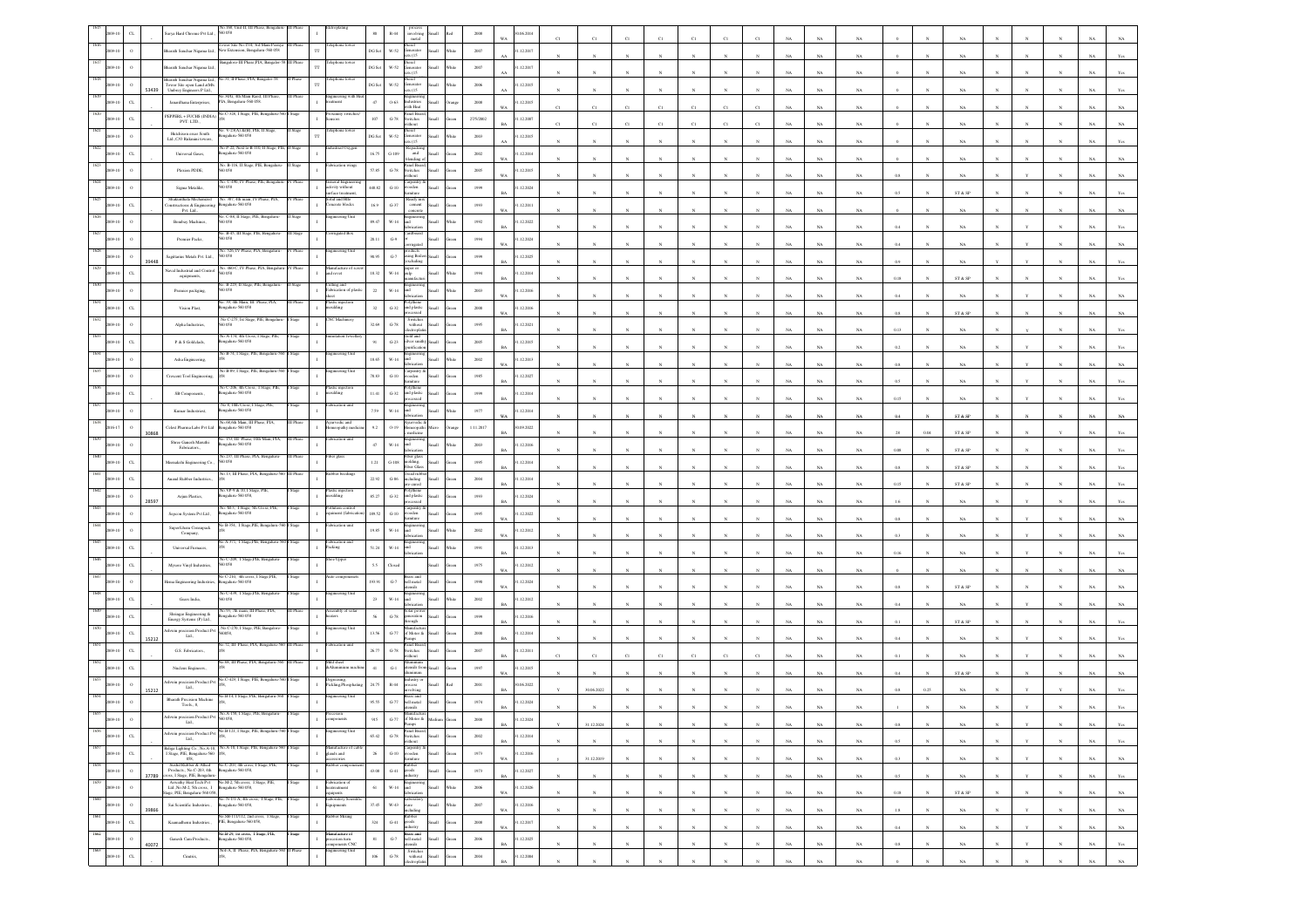|                 |                             | arya Hard Chrome Pvt Ltd.,                                                                     | .168, Unit-II, III<br>0.058                                                                                                                                                                                                            |         |                                                 | $_{\rm 80}$ | $\mathbb{R}\text{-}44$                                                                                                                                               | involving<br>metal                                                                   |                | $2008\,$  | 06.2014                  |              |                       |              |              |                         |              |             |             |             |             |              |                         |              |            |            |             |                                  |
|-----------------|-----------------------------|------------------------------------------------------------------------------------------------|----------------------------------------------------------------------------------------------------------------------------------------------------------------------------------------------------------------------------------------|---------|-------------------------------------------------|-------------|----------------------------------------------------------------------------------------------------------------------------------------------------------------------|--------------------------------------------------------------------------------------|----------------|-----------|--------------------------|--------------|-----------------------|--------------|--------------|-------------------------|--------------|-------------|-------------|-------------|-------------|--------------|-------------------------|--------------|------------|------------|-------------|----------------------------------|
|                 | $\circ$                     | harath Sanchar Nigama Ltd.                                                                     | fower Site No.15/4, 3rd Main Peenya<br>éew Extension, Bengaluru-560 058                                                                                                                                                                |         |                                                 | DG Set      | w-52                                                                                                                                                                 | esel<br>enerator<br>28(15)                                                           | Iliami         | 2007      | 1.12.2017                |              |                       |              |              |                         |              |             | NA          | NA.         |             |              |                         |              |            |            |             |                                  |
|                 | $\circ$                     | sharath Sanchar Nigama Ltd.,                                                                   | lore-III Phase, PIA, E                                                                                                                                                                                                                 |         |                                                 | DG Set      | W-52                                                                                                                                                                 | esel<br>enerator<br>is (15                                                           | <b>Ham</b>     | 2007      | 1.12.2017                |              |                       |              |              |                         |              |             | NA          | NA.         |             |              |                         |              |            |            |             |                                  |
|                 | $\circ$<br>53439            | Sharath Sanchar Nigama Ltd.,<br>Tower Site open Land atMs                                      | 31, Il Phase, PIA, Bangalor-51                                                                                                                                                                                                         |         |                                                 | DG Set      | W.52                                                                                                                                                                 | sel<br>$\begin{array}{c}\n\text{arator} \\ \text{as (15)}\n\end{array}$              |                | $2006\,$  | .12.2015                 |              |                       |              |              |                         |              |             |             |             |             |              |                         |              |            |            |             |                                  |
|                 | $\alpha$                    | Umbrey Engineers P Ltd.,<br>Janardhana Enterprises,                                            | 34G, 4th Main Raed,<br>7IA, Bengaluru-560 058.                                                                                                                                                                                         |         | gineering ·<br>nent                             | $47\,$      | $0 - 63$                                                                                                                                                             | lustries                                                                             |                | 2008      | 1.12.2015                |              |                       |              |              |                         |              |             | NA          | NA          |             |              | NA                      |              |            |            |             |                                  |
|                 | $\alpha$                    | PEPPERL + FUCHS (INDIA                                                                         | Vo.C-328, I Stage, PIE, Bengaluru-                                                                                                                                                                                                     |         | simity switch                                   | 107         | $\mbox{G-}78$                                                                                                                                                        | ith Heat<br>anel Boar<br>switches<br>vithout                                         |                | 27/5/2002 | .12.2007                 |              |                       |              | $^{c}$ 1     | $\mathcal{C}^{\dagger}$ |              |             | NA          | NA.         |             |              |                         |              |            |            |             |                                  |
|                 |                             | PVT. LTD.,<br>Hatchison essar South                                                            | V-23(A) &(B), PIE, II<br>galuru-560 058                                                                                                                                                                                                |         |                                                 | DG Set      | $W-52$                                                                                                                                                               | ×d.<br>nerator                                                                       |                | $2003\,$  | .12.2015                 |              |                       |              |              |                         |              |             | NA          |             |             |              |                         |              |            |            |             |                                  |
|                 | $\alpha$                    | Ltd., C/O Rukmini towers,<br>Universal Gases,                                                  | No P-22, Next to B-110, II Stage, PIE<br>ngalaru-560 058                                                                                                                                                                               |         | trial Oxyge                                     | 16.75       | $G-109$                                                                                                                                                              | is (15<br>Repackin<br>and                                                            |                | 2002      | 1.12.2014                |              |                       |              |              |                         |              |             | $_{\rm NA}$ | NA          |             |              | NA                      |              |            |            |             |                                  |
|                 |                             | Plexion PDDE,                                                                                  | No. B-116, II Stage, PIE, Bengalaru<br>60058                                                                                                                                                                                           | Stage   | rication win                                    | 57.85       | $\operatorname{G-78}$                                                                                                                                                | anel Board<br>switches                                                               |                | $2005\,$  | .12.2015                 |              |                       |              |              |                         |              |             | NA          | NA          |             |              |                         |              |            |            |             |                                  |
|                 |                             |                                                                                                | io. C-490, IV Phase, PIE, Bengal                                                                                                                                                                                                       |         | Jeneral Enginee<br>ctivity without              |             |                                                                                                                                                                      | arpentry<br>ooden                                                                    |                |           | WA                       |              |                       |              |              |                         |              |             | NA          | NA          |             |              |                         |              |            |            |             |                                  |
|                 |                             | Sigma Metaliks,<br>Shakunthala Mechanized                                                      | D 0.58<br>No. 387, 4th main, IV Phase, PIA,                                                                                                                                                                                            |         | rface treatme<br>olid and Hilo                  | 448.82      | $G-10$                                                                                                                                                               | siture<br>Ready mi                                                                   |                | 1999      | .12.2024                 |              |                       |              |              |                         |              |             | NA          | NA          |             |              | ST & SP                 |              |            |            |             |                                  |
|                 | $\alpha$                    | onstructions & Engineering<br>Pvt. Ltd.,                                                       | engaluru-560 058<br>o. C-88, II Stage, PIE, Bengaluru                                                                                                                                                                                  |         | oncrete blocks<br>gineering Uni                 | 16.9        | $G-37$                                                                                                                                                               | cement                                                                               |                | 1993      | 1.12.2011<br>w.          |              |                       |              |              |                         |              |             | NA          | $_{\rm NA}$ |             |              | NA                      |              |            |            |             |                                  |
|                 | $\circ$                     | Bombay Machines,                                                                               | 0 O.S8<br>o. B-45, III Stage, PIE, Benga                                                                                                                                                                                               |         | rugated Box                                     | 89.47       | $_{\rm W\text{-}14}$                                                                                                                                                 |                                                                                      |                | $1992\,$  | .12.2022                 |              |                       |              |              |                         |              |             | NA          | $_{\rm NA}$ |             |              | NA                      |              |            |            |             |                                  |
|                 |                             | Premier Packs,                                                                                 | D 058<br>éo. 526, IV Phase, PIA,                                                                                                                                                                                                       |         | ering U                                         | 20.11       | $\mathbf{G}\mathcal{A}$                                                                                                                                              |                                                                                      |                | 1994      | .12.2024<br><b>WA</b>    |              |                       |              |              |                         |              |             | <b>NA</b>   | NA          | 04          |              | NA                      |              |            |            |             |                                  |
|                 | $\Omega$<br>39448           | Sagittarius Metals Pvt. Ltd.,                                                                  | 60 058<br>No. 460 C, IV Phase, PIA, Bengala                                                                                                                                                                                            | / Phase | anufacture of                                   | 90.95       | $_{\mathrm{G-7}}$                                                                                                                                                    | sing Boik                                                                            | Ilian          | 1999      | 1.12.2025                |              |                       |              |              |                         |              |             | NA          | $_{\rm NA}$ | 05          |              | $_{\rm NA}$             |              |            |            |             |                                  |
|                 | $\alpha$                    | <b>Saval Industrial and Contro</b><br>equipments,                                              | 0.058<br>. B-229, II Stags                                                                                                                                                                                                             |         | ad revet                                        | 18.32       | $W-14$                                                                                                                                                               | saper or<br>sulp                                                                     |                | 1994      | .12.2014                 |              |                       |              |              |                         |              |             | NA          | NA          | 0.18        |              | ST & SP                 |              |            |            |             |                                  |
|                 |                             | Premier packging,                                                                              | 0.058                                                                                                                                                                                                                                  |         | utting and<br>Fabrication of plasti             | $\bf{22}$   | W-14                                                                                                                                                                 |                                                                                      |                | 2003      | .12.2016<br>WA           |              |                       |              |              |                         |              |             | <b>NA</b>   | NA          | 0.4         |              | NA                      |              |            |            |             |                                  |
|                 |                             | Vision Plast,                                                                                  | . 39, 4th Main, III Phase, PIA,<br>galaru-560 058<br>Vo C-275, 1st State, PIE.                                                                                                                                                         |         | astic injectic<br>ulding                        | $_{\rm 32}$ | $\textrm{G-}32$                                                                                                                                                      |                                                                                      |                | 2000      | .12.2016                 |              |                       |              |              |                         |              |             | NA          | $_{\rm NA}$ | 0.8         |              | ST & SP                 |              |            |            |             |                                  |
|                 |                             | Alpha Industries,                                                                              | 058                                                                                                                                                                                                                                    |         | Mach                                            | 32.69       | $\operatorname{G-78}$                                                                                                                                                | without                                                                              |                | 1995      | .12.2021                 |              |                       |              |              |                         |              |             | NA          | NA          | 0.13        |              | NA                      |              |            |            |             |                                  |
|                 | CL                          | P & S Goldclads,                                                                               | io A-174, 4th Cross, I Stage, PIE,<br>ngalaru-560 058                                                                                                                                                                                  |         | tion Jewe                                       | 91          | $\,$ G-23 $\,$                                                                                                                                                       | iold and<br>ilver smit<br>rificati                                                   |                | 2005      | .12.2015<br><b>BA</b>    |              |                       |              |              |                         |              | NA          | $_{\rm NA}$ | $_{\rm NA}$ | 0.2         |              | NA                      |              |            |            |             |                                  |
|                 |                             | $\!$ Asha Engineering,                                                                         | No B-74, I Stage, PIE, Bengaluru-5                                                                                                                                                                                                     |         | teering Un                                      | 18.65       | $_{\rm W\text{-}14}$                                                                                                                                                 |                                                                                      |                | $2002\,$  | .12.2013                 |              |                       |              |              |                         |              |             | NA          | $_{\rm NA}$ | 0.8         |              | $_{\rm NA}$             |              |            |            |             |                                  |
|                 |                             | Crescent Tool Engineering,                                                                     | No R-89 1 Stree PIE Reneatoru-56                                                                                                                                                                                                       |         | rine t                                          | 78.83       | $_{\mathrm{G-10}}$                                                                                                                                                   | oden                                                                                 |                | $1985\,$  | .12.2027                 |              |                       |              |              |                         |              |             | NA          | NA          |             |              |                         |              |            |            |             |                                  |
|                 | $\alpha$                    | SB Components                                                                                  | io C-206, 4th Cross, 1 Stage, PIE,<br>engalaru-560 058                                                                                                                                                                                 |         | istic injectic<br>saiblas                       | $11.41\,$   | $G-32$                                                                                                                                                               | and plastic                                                                          | <b>Ilumi</b>   | 1999      | .12.2014<br>R            |              |                       |              |              |                         |              |             | NA          | $_{\rm NA}$ | 0.15        |              | NA                      |              |            |            |             |                                  |
|                 |                             | Kumar Industriest,                                                                             | No 8, 10th Cross, 1 Stage,<br>ngaluru-560 058                                                                                                                                                                                          |         | rication un                                     | 7.99        | $_{\rm W\text{-}14}$                                                                                                                                                 |                                                                                      |                | $1977\,$  | .12.2014                 |              |                       |              |              |                         |              |             | NA          | $_{\rm NA}$ | 0.4         |              | ST & SP                 |              |            |            |             |                                  |
|                 | 30868                       | Celest Pharma Labs Pvt Ltd                                                                     | io.68,6th Main, III Phase, PIA,<br>ngalaru-560 058                                                                                                                                                                                     |         | yurvedic and<br>eopathy me                      | 9.2         | $O-19$                                                                                                                                                               | medicine                                                                             |                | 1.11.201  | 0.09.2022                |              |                       |              |              |                         |              |             | NA          | NA          |             | 0.04         | ST & SP                 |              |            |            |             |                                  |
|                 | $\circ$                     | Shree Ganesh Maruthi<br>Fabricators.,                                                          | . 153, III Phase, 10th<br>galaru-560 058                                                                                                                                                                                               |         |                                                 | 47          | $W-14$                                                                                                                                                               |                                                                                      |                | 2003      | .12.2016                 |              |                       |              |              |                         |              |             | NA          | $_{\rm NA}$ | 0.08        |              | ${\rm ST}$ & ${\rm SP}$ |              |            |            |             |                                  |
|                 | $\alpha$                    | Meenakshi Engineering Co.,                                                                     | No.237, III Phase, PIA, Benga<br>0.58                                                                                                                                                                                                  |         | er glass                                        | $1.21\,$    | $\operatorname{G-}108$                                                                                                                                               | ber glas<br>>Iding,<br>ber Glas                                                      |                | 1995      | .12.2014                 |              |                       |              |              |                         |              |             |             |             |             |              | ST & SP                 |              |            |            |             |                                  |
|                 | $\alpha$                    | Anand Rubber Industries.                                                                       | o.13, III Phase, PLA                                                                                                                                                                                                                   |         |                                                 | 22.92       | $G-86$                                                                                                                                                               | fuding                                                                               | <b>Ham</b>     | 2004      | 1.12.2014<br>R4          |              |                       |              |              |                         |              |             | NA<br>NA    | NA<br>NA    | 0.8<br>0.15 |              |                         |              |            |            |             |                                  |
|                 | $\circ$                     | Arjun Plastics,                                                                                | No. VP-9 & 10, I Stage, PIE<br>sgalaru-560 058.                                                                                                                                                                                        |         | istic injectio<br>.<br>akling                   | 85.27       | $G-32$                                                                                                                                                               | nd plasti                                                                            |                | 1993      | .12.2024                 |              |                       |              |              |                         |              |             |             |             |             |              | ST & SP                 |              |            |            |             |                                  |
|                 | 28597                       | Sepcon System Pvt Ltd.                                                                         | No. M-3, 1 Stage, 5th 0<br>Rengalaru-560 058                                                                                                                                                                                           |         | ent (fabri                                      | 189.52      | $G-10$                                                                                                                                                               |                                                                                      |                | $1995\,$  | .12.2022                 |              |                       |              |              |                         |              |             | NA          | NA          |             |              |                         |              |            |            |             |                                  |
|                 |                             | Superfehem Consupack<br>Company,                                                               | éo B-354, I Stage,PIE, Ben                                                                                                                                                                                                             |         |                                                 | 19.85       | $W-14$                                                                                                                                                               |                                                                                      |                | 2002      | .12.2012                 |              |                       |              |              |                         |              |             | NA          | NA          |             |              | NA                      |              |            |            |             |                                  |
|                 | $\alpha$                    | Universal Furnaces,                                                                            | o A-371, I Stage, PIE, Bengaluru-                                                                                                                                                                                                      |         | abrication and<br>acking                        | 51.24       | $_{\rm W\text{-}14}$                                                                                                                                                 |                                                                                      |                | 1991      | .12.2013                 |              |                       |              |              |                         |              |             | NA          | NA          | 0.3         |              | NA                      |              |            |            |             |                                  |
|                 | $_{\rm{CL}}$                | Mysore Vinyl Industries,                                                                       | io C-209, 1 Stage,PIE, Beng<br>0058                                                                                                                                                                                                    |         |                                                 | 5.5         |                                                                                                                                                                      |                                                                                      |                | $1975\,$  | .12.2012                 |              |                       |              |              |                         |              |             | NA          | $_{\rm NA}$ | 0.16        |              | $_{\rm NA}$             |              |            |            |             |                                  |
|                 |                             | lema Engineering Industries                                                                    | Vo C-210, 4th cross, I Stage,PIE,<br>820 032-analage:                                                                                                                                                                                  |         |                                                 | 193.91      | ${\bf G}\mbox{-}\!\boldsymbol{7}$                                                                                                                                    | ass and<br>ell metal                                                                 |                | 1990      | 1.12.2024                |              |                       |              |              |                         |              |             | NA          | NA          |             |              | NA                      |              |            |            |             |                                  |
|                 | $_{\mbox{\scriptsize{CL}}}$ | Gears India,                                                                                   | No C-439, 1 Stage,PIE, Bengaluru<br>0058                                                                                                                                                                                               |         | ineering Unit                                   | $23\,$      | $_{\rm W\text{-}14}$                                                                                                                                                 | slien                                                                                |                | 2002      | w.<br>.12.2012           |              |                       |              |              |                         |              |             | NA          | $_{\rm NA}$ | n s         |              | ST & SP                 |              |            |            |             |                                  |
|                 | $_{\rm CL}$                 | $\begin{array}{c} \mbox{Stringar Engineering &}\\ \mbox{Energy Systems (P) Lat.}, \end{array}$ | 40.93, 7th main, III Phase, PIA<br>engalaru-560 058                                                                                                                                                                                    |         |                                                 | 56          | $\mbox{G-}78$                                                                                                                                                        | dar pos<br>cration                                                                   | llam           | 1999      | .12.2016                 |              |                       |              |              |                         |              |             | NA          | NA          |             |              |                         |              |            |            |             |                                  |
|                 |                             |                                                                                                | o.C-270, I Stage, I                                                                                                                                                                                                                    |         |                                                 |             |                                                                                                                                                                      | ough                                                                                 |                |           |                          |              |                       |              |              |                         |              |             | <b>NA</b>   | NA          |             |              | ST & SP                 |              |            |            |             |                                  |
|                 | $_{\rm{CL}}$<br>15212       | Ashwin precision Product Pvt                                                                   | 0058,<br>46.72, III Phase, PIA, Bengaluru-560 III Phase                                                                                                                                                                                |         | cation un                                       | 13.56       | $G-77$                                                                                                                                                               | of Motor &<br>anel Boa                                                               |                | 2000      | 1.12.2014                |              |                       |              |              |                         |              |             | NA          | $_{\rm NA}$ | 0.4         |              | $_{\rm NA}$             |              |            |            |             |                                  |
|                 | $_{\rm{CL}}$                | G.S. Fabricators.,                                                                             | 0.68, III Phase, PIA, Bens                                                                                                                                                                                                             |         | ild sheet                                       | $26.77\,$   | $\,$ G-78 $\,$                                                                                                                                                       | witches<br>thout                                                                     |                | 2007      | .12.2011                 |              |                       |              | C1           |                         |              |             | NA          | NA          |             |              | NA                      |              |            |            |             |                                  |
|                 | $_{\rm CL}$                 | Nucleus Engineers.                                                                             | o.C-429, I Stage, PIE, B                                                                                                                                                                                                               |         |                                                 | 41          | $\mathbf{G}\text{-}1$                                                                                                                                                | isils fi                                                                             |                | 1997      | .12.2015<br>WA           |              |                       |              |              |                         |              |             | NA          | NA          | 0.4         |              | ST & SP                 |              |            |            |             |                                  |
|                 | $\circ$<br>15212            | Ashwin precision Product Pvt<br><b>Bharath Precision Machine</b>                               | io.B-14, I Stage, PIE, B                                                                                                                                                                                                               |         | ickling, Phospha                                | 24.75       | $\mbox{R-}44$                                                                                                                                                        | rass and                                                                             |                | 2001      | 0.06.2022                |              |                       |              |              |                         |              |             | NA          | $_{\rm NA}$ |             |              |                         |              |            |            |             |                                  |
|                 | $\circ$                     | Tools., 8,                                                                                     |                                                                                                                                                                                                                                        |         |                                                 | 95.55       | $G-77$                                                                                                                                                               | ell metal                                                                            |                | $1974\,$  | .12.2024                 |              |                       |              |              |                         |              |             |             |             |             |              |                         |              |            |            |             |                                  |
| 1656            |                             | Ashwin precision Product Pv                                                                    | Ashwin precision Product Pvt No.B-121, I Stage, PIE, Bengaluru-560 I                                                                                                                                                                   | Stage   | ineering Unit                                   | 915         | $G-77$                                                                                                                                                               | of Motor &<br>Panel Board                                                            |                | 2000      | .12.2024<br>BA           | 31.12.2024   |                       |              |              |                         |              | NA.         | NA.         | NA          | 0.8         |              | NA                      |              |            |            | NA 1        | Yes                              |
| 09-10<br>1657   | $_{\rm{CL}}$                | Lad.,                                                                                          |                                                                                                                                                                                                                                        |         | sufacture                                       | 65.42       | $\,$ G-78 $\,$                                                                                                                                                       | Switches<br>without                                                                  | Small          | $2002\,$  | .12.2014<br><b>BA</b>    |              |                       |              |              |                         |              | $_{\rm NA}$ | $_{\rm NA}$ | $_{\rm NA}$ | $0.5\,$     |              | $_{\rm NA}$             |              |            |            | $_{\rm NA}$ | $\mathbf{Y}\mathbf{c}\mathbf{s}$ |
| 09-11<br>1658   | $_{\rm{CL}}$                | $\begin{array}{c} 058, \\ \text{Sushil Rabber & Allied } \end{array}$                          | Baliga Lighting Co., No.A-10, No.A-10, I Stage, PIE, Bengaluru-56<br>I Stage, PIE, Bengaluru-560 (158,<br>No.C-203, 4th cross, I Stage, PIE,                                                                                           |         | lands and<br>essories                           | $\rm 26$    | $_{\mathrm{G-10}}$                                                                                                                                                   | Carpentry<br>wooden<br>amiture                                                       | Small          | 1973      | 1.12.2016<br>WA          | 31.12.2019   | $\mathbf{N}$          |              | $_{\rm N}$   | N                       | N            | NA          | $_{\rm NA}$ | $_{\rm NA}$ | 0.3         |              | $_{\rm NA}$             |              |            |            | $_{\rm NA}$ | $_{\rm NA}$                      |
| 2009-10<br>1659 | $\bullet$<br>37789          | Products., No.C-203, 4th Bengaluru-560 058,                                                    |                                                                                                                                                                                                                                        | stage   | ber comp                                        | 43.08       | $\begin{tabular}{ll} \bf G=41 & \begin{tabular}{ll} \bf Rubber \\ \bf G=41 & \begin{tabular}{ll} \bf G=41 \\ \bf industry \end{tabular} \end{tabular} \end{tabular}$ |                                                                                      | Small          | 1973      | 1.12.2027<br><b>BA</b>   | $_{\rm N}$   | $\mathbf{N}$          | $\mathbf{N}$ | $_{\rm N}$   | $\mathbf{N}$            | $\mathbf{N}$ | $_{\rm NA}$ | $_{\rm NA}$ | $_{\rm NA}$ | 0.5         | $\mathbf{N}$ | $_{\rm NA}$             | $\mathbf{N}$ |            | $_{\rm N}$ | $_{\rm NA}$ | $\mathbf{Yes}$                   |
| 009-10          | $\circ$                     |                                                                                                | Protucts, ANAC-200, 401<br>Response (Stage, PIE, Bengaluru - 200 US6, ASInge, PIE, Bengaluru - 200 US6, Assumity Heat Tech Prt<br>Assumity Heat Tech Prt – Bengaluru - 560 058,<br>Stage, PIE, Bengaluru - 560 058,<br>Stage, PIE, Ben |         | abrication of<br>streatment<br>uipents          | $61\,$      | $_{\rm W\text{-}14}$                                                                                                                                                 | Engineering<br>and<br>fabrication                                                    | Small<br>Vhite | $\,2006$  | 1.12.2026<br>WA          | $_{\rm N}$   | $_{\rm N}$            | $\mathbb{N}$ | $_{\rm N}$   | $_{\rm N}$              | $_{\rm N}$   | $_{\rm NA}$ | $_{\rm NA}$ | $_{\rm NA}$ | $0.18\,$    |              | ${\tt ST}$ & ${\tt SP}$ |              | $_{\rm N}$ |            | $_{\rm NA}$ | $_{\rm NA}$                      |
| 1660<br>009-10  | $\alpha$<br>39866           | Sai Scientific Industries.,                                                                    | No. N-1/1-A, 4th cross, 1 Stage, PIE,<br>Bengaluru-560 058,                                                                                                                                                                            | Stage   | aboratory Seic<br>uipments                      | 37.45       | $W-43$                                                                                                                                                               | Laboratory<br>ware<br>including                                                      | Small<br>Vhite | 2007      | 1.12.2016<br>WA          | N            | $\boldsymbol{\kappa}$ | $\mathbf{N}$ | $_{\rm N}$   | $\mathbf{v}$            | $\mathbb{N}$ | NA          | NA          | NA          | 1.8         |              | NA                      |              |            | $\sim$     | NA          | NA                               |
| 1661<br>2009-10 | $_{\rm CL}$                 | Kaamadhenu Industries.,                                                                        | o.SB-111/112, 2nd cross, 1 Stage<br>PIE, Bengalaru-560 058,                                                                                                                                                                            | tage    | bber Mixing                                     | $324\,$     |                                                                                                                                                                      | $\begin{tabular}{ll} \bf{Rubber} \\ \bf{G-41} & goods \end{tabular}$<br>.<br>ndustry | Small<br>iteen | 2008      | 1.12.2017<br>$_{\rm WA}$ | $\mathbf{N}$ | $\mathbf{N}$          |              | $\mathbf{N}$ | $\mathbf{v}$            | $\mathbf{N}$ | $_{\rm NA}$ | $_{\rm NA}$ | $_{\rm NA}$ | 0.4         | $\mathbf{N}$ | $_{\rm NA}$             |              |            |            | $_{\rm NA}$ | $_{\rm NA}$                      |
| 1662<br>2009-10 | $\,$ o<br>40072             | Ganesh Cam Products.,                                                                          | No.B-29, 1st cross, 1 Stage, PIE,<br>Bengaluru-560 058,                                                                                                                                                                                | Stage   | aufacture of<br>recesion turn<br>components CNC | $\bf 81$    | ${\bf G}\mbox{-}7$                                                                                                                                                   | Brass and<br>bell metal<br>utensils                                                  | all.           | $\,2006$  | .12.2025<br><b>BA</b>    | $_{\rm N}$   | $\bar{N}$             | $_{\rm N}$   |              | $_{\rm N}$              | $_{\rm N}$   | $_{\rm NA}$ | $_{\rm NA}$ | $_{\rm NA}$ | $0.8\,$     |              | $_{\rm NA}$             |              | Y          |            | $_{\rm NA}$ | $_{\rm Yes}$                     |
| 1663<br>09-10   | $_{\rm{CL}}$                | Cimtrix,                                                                                       | Nol-A, II Phase, PIA, Bengaluru-5                                                                                                                                                                                                      |         | gineering Unit                                  | $106\,$     | $_{\mathrm{G-78}}$                                                                                                                                                   | Switches<br>without<br>ectroplatin                                                   | Small          | $\,2004$  | 1.12.2004<br><b>BA</b>   |              |                       |              |              |                         |              | NA          | NA          | NA          |             |              |                         |              |            |            | NA          | $_{\rm NA}$                      |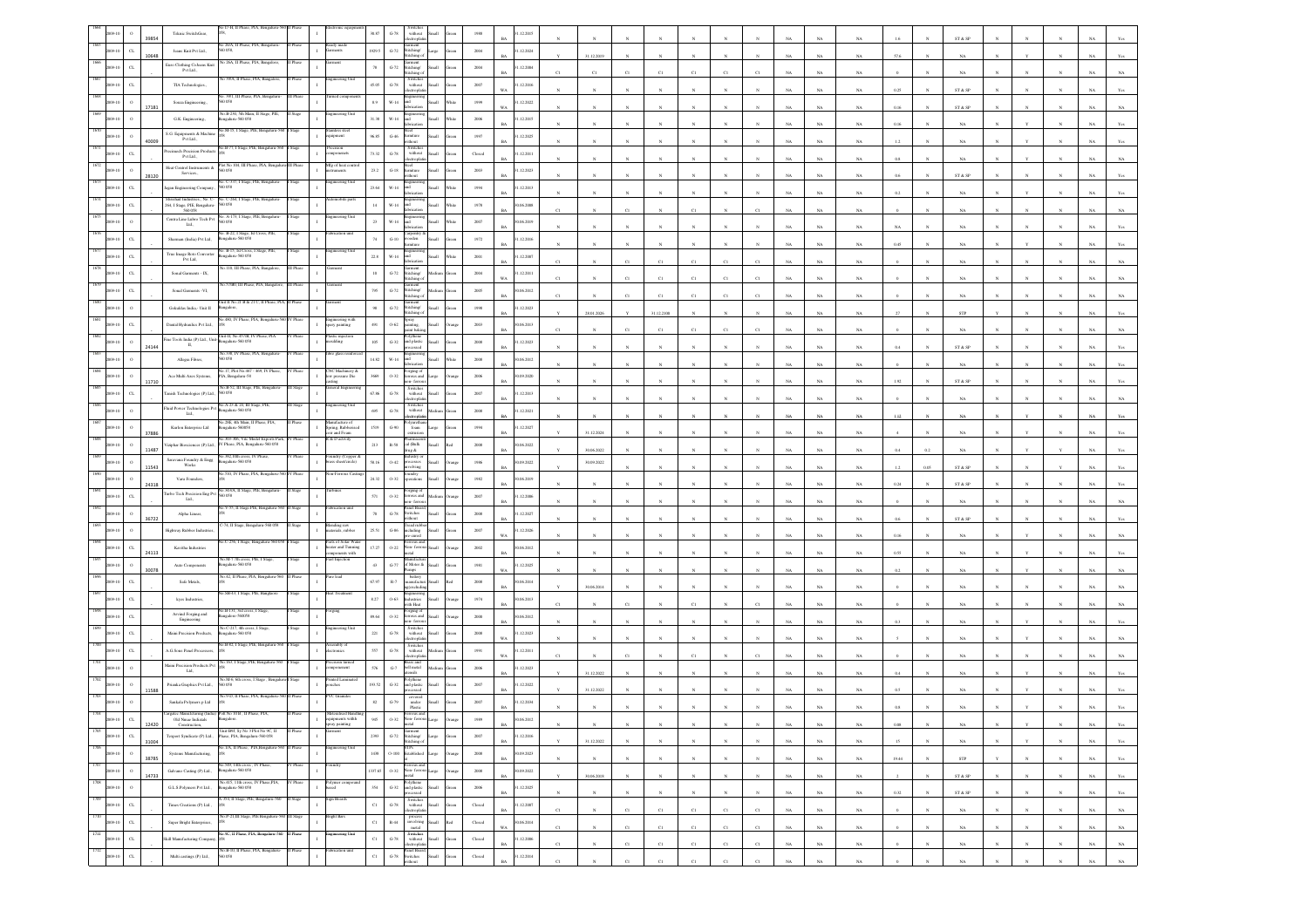|                 |                   | Teknic SwitchGear,                                                 | 7-H, II Phase, PI                                                       |          |                                                      | 30.87        | $\mbox{G-}78$                   | without                                                                                                        |                                                                                   | 1988                    | .12.2015                 |             |              |              |             |                 |                         |              |             |             |             |          |              |                              |              |              |              |             |             |
|-----------------|-------------------|--------------------------------------------------------------------|-------------------------------------------------------------------------|----------|------------------------------------------------------|--------------|---------------------------------|----------------------------------------------------------------------------------------------------------------|-----------------------------------------------------------------------------------|-------------------------|--------------------------|-------------|--------------|--------------|-------------|-----------------|-------------------------|--------------|-------------|-------------|-------------|----------|--------------|------------------------------|--------------|--------------|--------------|-------------|-------------|
|                 | $_{\rm CL}$       | Jeans Knit Pvt Ltd.,                                               | o 26/A, II Phase, PIA,<br>0058                                          |          | rady mad                                             | 1929.5       | $\mbox{G-}72$                   | ectrophi<br>micit<br>Stitching/                                                                                | Large                                                                             | 2004                    | 1.12.2024                |             |              |              |             |                 |                         |              |             |             |             |          |              | ST & SP                      |              |              |              |             |             |
|                 | 10648             |                                                                    | a 26A. Il Phase, PL                                                     |          |                                                      |              |                                 | tichine<br>iarment                                                                                             |                                                                                   |                         |                          |             | 31.12.2019   |              |             |                 |                         |              |             | NA          | $_{\rm NA}$ | 57.6     |              | NA                           |              |              |              |             |             |
|                 | $C$ L             | Euro Clothing CoJeans Knit<br>Pvt Ltd.,                            |                                                                         |          | ering Ut                                             | $78\,$       | $\mbox{G-}72$                   | stitching/<br>tching (<br>Switche                                                                              | iks                                                                               | $\,2004$                | .12.2004                 |             |              |              |             |                 |                         |              |             | NA          | NA          |          |              |                              |              |              |              |             |             |
|                 | $\alpha$          | TIA Technologies.                                                  | .39/1, III Phas                                                         |          |                                                      | 45.05        | $\,$ G-78 $\,$                  | without                                                                                                        | Iliami                                                                            | 2007                    | .12.2016<br>WA           |             |              |              |             |                 |                         |              |             | NA          | NA          | 0.25     |              | ST & SP                      |              |              |              |             |             |
|                 | 17181             | Souza Engineering.                                                 | 0.058                                                                   |          |                                                      | 8.9          | $W-14$                          |                                                                                                                |                                                                                   | 1999                    | 1.12.2022                |             |              |              |             |                 |                         |              |             | NA          | $_{\rm NA}$ | 0.16     |              | ST & SP                      |              |              |              |             |             |
|                 |                   | G.K. Engineering.                                                  | No.B-230, 5th Main, II Stage, PIE,<br>kengaluru-560 058                 |          | eering Un                                            | 31.38        | $_{\rm W\text{-}14}$            |                                                                                                                |                                                                                   | 2006                    | .12.2015                 |             |              |              |             |                 |                         |              |             |             |             | 0.16     |              |                              |              |              |              |             |             |
|                 |                   | S.G. Equipments & Machin                                           | o M-15, I Stage, PIE, I                                                 |          | ipment                                               | 96.85        | $G-46$                          | amiture                                                                                                        |                                                                                   | 1997                    | .12.2025                 |             |              |              |             |                 |                         |              |             | NA          | NA          |          |              | NA                           |              |              |              |             |             |
|                 | 40009             | Pvt Ltd.,<br>recimech Precision Produc                             | 40.B-77, I Stage, PIE, Beng                                             |          | xision<br>onenets                                    |              |                                 | <b>Bureau</b><br>Switch<br>without                                                                             |                                                                                   |                         | RA                       |             |              |              |             |                 |                         |              |             | NA          | NA          | 1.2      |              | <b>NA</b>                    |              |              |              |             |             |
|                 |                   | Pvt Ltd.,                                                          | d No. 104, 111 Phoen                                                    |          | Ig of heat                                           | 73.32        | $\mbox{G-}78$                   |                                                                                                                |                                                                                   | $\operatorname{Closed}$ | .12.2011                 |             |              |              |             |                 |                         |              |             | $_{\rm NA}$ | $_{\rm NA}$ | 0.8      |              | $_{\rm NA}$                  |              |              |              |             |             |
|                 | 28120             | Heat Control Instruments &<br>Services.                            |                                                                         |          |                                                      | $\bf 23.2$   | $_{\mathrm{G-18}}$              |                                                                                                                |                                                                                   | 2003                    | .12.2023                 |             |              |              |             |                 |                         |              |             | NA          | NA          |          |              | ST & SP                      |              |              |              |             |             |
|                 | $\alpha$          | gan Engineering Company                                            | o. C-337, I Stage, PIE, Benga<br>0058                                   |          | neering Uni                                          | 23.64        | W-14                            |                                                                                                                |                                                                                   | 1994                    | 1.12.2013                |             |              |              |             |                 |                         |              |             | NA          | NA          |          |              | NA                           |              |              |              |             |             |
|                 |                   | Shrishail Industries., No. C-<br>264, I Stage, PIE, Bengaluru-     | o. C-264, I Stage, PIE,<br>0.058                                        |          | nobile part                                          | 14           | $_{\rm W\text{-}14}$            |                                                                                                                |                                                                                   | $1978\,$                | 06.2008                  |             |              |              |             |                 |                         |              |             | NA          | $_{\rm NA}$ |          |              | $_{\rm NA}$                  |              |              |              |             |             |
|                 | $\circ$           | Centra Line Lubro Tech Pvt<br>Ltd.,                                | D. A-173, I Stage, PIE,<br>i0 058                                       |          |                                                      | $23\,$       | $W-14$                          |                                                                                                                |                                                                                   | 2007                    | 0.06.2019                |             |              |              |             |                 |                         |              |             |             |             |          |              |                              |              |              |              |             |             |
|                 | $_{\rm CL}$       | Sharman (India) Pvt Ltd,                                           | 40. B-22, I Stage, Ist Cross, PIE,<br>šengalaru-560 058                 |          | ution uni                                            | 74           | $G-10$                          | ooden                                                                                                          |                                                                                   | 1972                    | .12.2016                 |             |              |              |             |                 |                         |              |             | NA          | NA          |          |              | NA                           |              |              |              |             |             |
|                 |                   |                                                                    | éo. B-15, Ist Cross, I Stage, I                                         |          | teering Ur                                           |              |                                 |                                                                                                                |                                                                                   |                         |                          |             |              |              |             |                 |                         |              |             | NA          | $_{\rm NA}$ | 0.45     |              | NA                           |              |              |              |             |             |
|                 | $_{\rm C1}$       | True Image Roto Convert<br>Pvt Ltd,                                | galaru-560 058<br>o.110. III Phase, PIA.                                |          |                                                      | $22.8\,$     | $_{\rm W\text{-}14}$            |                                                                                                                |                                                                                   | $2001\,$                | .12.2007                 |             |              | Ċl           |             | $\overline{c}$  | C1                      |              |             | $_{\rm NA}$ | $_{\rm NA}$ |          |              | NA                           |              |              |              |             |             |
|                 | $\alpha$          | Sonal Garments - IX,                                               |                                                                         |          |                                                      | $10\,$       | $G-72$                          | titching/<br>titching                                                                                          |                                                                                   | 2004                    | 1.12.2011<br>W a         |             |              |              |             | C1              | $\mathcal{C}^{\dagger}$ |              |             | NA          | NA.         |          |              |                              |              |              |              |             |             |
|                 | $_{\rm CL}$       | Sonal Garments -VI,                                                |                                                                         |          |                                                      | 795          | $G-72$                          | iicii<br>Stitching/<br>kching                                                                                  |                                                                                   | $2005\,$                | 0.06.2012<br>RA          |             |              |              |             | C1              | CI                      |              |             | NA          | NA          |          |              | NA                           |              |              |              |             |             |
|                 |                   | Gokuldas India,<br>- Unit $\Pi$                                    | ait II No. 21 B & 21 C, II Phase, P                                     |          |                                                      | $\,98$       | $_{\mathrm{G-72}}$              | titching/<br>titching                                                                                          |                                                                                   | $19\%$                  | .12.2023                 |             | 28.01.2026   |              | 31.12.2100  |                 |                         |              |             | NA          | NA          |          |              | STP                          |              |              |              |             |             |
|                 | $C$ L             | Dantal Hydraulics Pvt Ltd.                                         | 480, IV Phase, PIA,                                                     |          | ngineering wi<br>sary painting                       | 491          | $O-62$                          | pray<br>sting                                                                                                  |                                                                                   | 2003                    | 0.06.2013                |             |              |              |             |                 |                         |              |             |             |             |          |              |                              |              |              |              |             |             |
|                 | $\circ$           | Fine Tools India (P) Ltd., Unit- $\Pi,$                            | Unit-II, No.457/B, IV Phase, PIA<br>galaru-560 058                      | V Phase  | lastic injection<br>oulding                          | 105          | $_{\mathrm{G-32}}$              | ir hok<br>nd plasti                                                                                            |                                                                                   | $2008\,$                | R4<br>.12.2023           | C1          |              | cт           | CI          | C1              | C1                      |              |             | NA          | $_{\rm NA}$ |          |              | NA                           |              |              |              |             |             |
|                 | 24144             |                                                                    | vo.338, IV Phase, PIA, B                                                |          |                                                      |              |                                 |                                                                                                                |                                                                                   |                         | RA                       |             |              |              |             |                 |                         |              | NA          | NA          | $_{\rm NA}$ | 0.4      |              | ${\rm ST}$ & ${\rm SP}$      |              |              |              |             |             |
|                 |                   | Allegra Fibres,                                                    | .17, Plot No.467                                                        |          | (C Machinery                                         | $14.82\,$    | $_{\rm W\text{-}14}$            | eging (                                                                                                        |                                                                                   | $2008\,$                | 0.6.2012                 |             |              |              |             |                 |                         |              |             | NA          | NA          |          |              | NA                           |              |              |              |             |             |
|                 | 11710             | Ace Multi Axes Systems.                                            | PIA, Bengaluru-58                                                       |          | ow pressure Die                                      | 3669         | 0.32                            | rous and<br>- fem                                                                                              |                                                                                   | 2006                    | 0.09.2020                |             |              |              |             |                 |                         |              |             | NA          | NA.         |          |              | ST & SP                      |              |              |              |             |             |
|                 |                   | mish Technologies (P) Ltd.,                                        | No.B-52, III Stage, PIE, Bengalar<br>560 058                            |          | neral Engineerin                                     | 67.86        | $G-78$                          | Switches<br>without                                                                                            |                                                                                   | $2007\,$                | .12.2013                 |             |              |              |             |                 |                         |              |             | NA          | NA          |          |              |                              |              |              |              |             |             |
|                 |                   | Flaid Power Technologies Pvt<br>Ltd.,                              | 0.A-23 & 24, III Stage<br>ngalaru-560 058                               |          |                                                      | 695          | $\operatorname{G-78}$           | Switches<br>without                                                                                            |                                                                                   | $2008\,$                | .12.2021                 |             |              |              |             |                 |                         |              |             | NA          | NA          | 1.12     |              | NA                           |              |              |              |             |             |
|                 |                   | Kurlon Enterprise Ltd                                              | 40.28E, 4th Main, II Phase, PIA,<br>stgalaru-560058                     |          | anufacture of<br>Spring, Rubberised<br>coir and Foam | 1519         | $G-90$                          | ctroph<br>foam                                                                                                 |                                                                                   | 1994                    | 1.12.2027                |             |              |              |             |                 |                         |              |             |             |             |          |              |                              |              |              |              |             |             |
|                 | 37886             | siphar Biosciences (P) Ltd.,                                       | No.303-306, Vite Model Exports Park,<br>V Phase, PIA, Bengaluru-560 058 | / Phase  | R & Dactivity                                        | $\sqrt{213}$ | $\mathbb{R}\text{-}\mathrm{58}$ | harmac<br>$\operatorname{cal}$ (Balk                                                                           |                                                                                   | $2008\,$                | 0.06, 2022               |             | 31.12.2024   |              |             |                 |                         |              |             | NA          | NA          |          |              | $_{\rm NA}$                  |              |              |              |             |             |
|                 | 11487             | Saravana Foundry & Engg                                            | šo.382,10th cross, IV Pl                                                |          | oundry (Copper &<br>rass sheet/circle)               |              |                                 | ng &<br>astry o                                                                                                |                                                                                   |                         |                          |             | 30.06.2022   |              |             |                 |                         |              |             | $_{\rm NA}$ | $_{\rm NA}$ | 0.4      | 0.2          | $_{\rm NA}$                  |              |              |              |             |             |
|                 | 11543             | Works                                                              | ngalaru-560 058<br>510, IV Phase, PIA                                   |          |                                                      | 58.16        | $0 - 42$                        | esses<br>olving                                                                                                | <b>Ham</b>                                                                        | 1986                    | 0.09.2022<br>RA          |             | 30.09.2022   |              |             |                 |                         |              |             | NA.         | NA          | 1.2      | 0.05         | ST & SP                      |              |              |              |             |             |
|                 | 24318             | Varu Founders,                                                     |                                                                         |          |                                                      | 24.32        | $O-32$                          | perations                                                                                                      | <b>Illett</b>                                                                     | 1982                    | 0.06.2019                |             |              |              |             |                 |                         |              |             | $_{\rm NA}$ | $_{\rm NA}$ | 0.24     |              | ST & SP                      |              |              |              |             |             |
|                 |                   | urbo Tech Precision Eng Pvt Ltd.,                                  | 40.343/A, II Stage, PIE, Ben<br>0.058                                   |          |                                                      | 571          | $0 - 32$                        | orging of<br>us and                                                                                            |                                                                                   | 2007                    | .12.2006                 |             |              |              |             |                 |                         |              |             | NA          | NA          |          |              | NA                           |              |              |              |             |             |
|                 | 6722              | Alpha Linear,                                                      | V-55, II Stage PIE                                                      |          |                                                      | $70\,$       | $\mbox{G-}78$                   | nel Boa<br>switches<br>ithout                                                                                  | llum                                                                              | 2008                    | .12.2027<br>RA           |             |              |              |             |                 |                         |              |             | NA          | NA          |          |              | ST & SP                      |              |              |              |             |             |
|                 |                   | lighway Rubber Industrie                                           | 74, II Stage, Ben                                                       |          | nding raw<br>terials, rubber                         | 25.51        | $\textrm{G-86}$                 | ead rui<br>cluding<br>te-cured                                                                                 |                                                                                   | 2007                    | 1.12.2026                |             |              |              |             |                 |                         |              |             |             |             |          |              |                              |              |              |              |             |             |
|                 | $\alpha$          | Kavitha Industries                                                 | C-256, I Stage, Ben                                                     |          | Parts of Solar Wate<br>teater and Tunning            | $17.27\,$    | $0.22\,$                        | ion-fe                                                                                                         |                                                                                   | $2002\,$                | 0.06.2012                |             |              |              |             |                 |                         |              |             | NA          | $_{\rm NA}$ | 0.16     |              | $_{\rm NA}$                  |              |              |              |             |             |
|                 | 24113             |                                                                    | a.M-7 7th cross,                                                        |          | ponents with                                         |              |                                 |                                                                                                                |                                                                                   |                         |                          |             |              |              |             |                 |                         |              |             | NA          | NA          | 0.55     |              | NA                           |              |              |              |             |             |
|                 | 30078             | Auto Components                                                    | ngalaru-560 058<br>No.42, II Phase, PIA, Ben                            |          | re lead                                              | 43           | $G-77$                          | of Motor &<br>battery                                                                                          |                                                                                   | 1981                    | .12.2025<br>WA           |             |              |              |             |                 |                         |              |             | NA          | NA          | 0.2      |              | NA                           |              |              |              |             |             |
|                 |                   | Safe Metals,                                                       | SB-43, I Stage, PIE.                                                    |          |                                                      | 67.97        | $\mathbb{R}\text{-}7$           | nufacti                                                                                                        |                                                                                   | $2008\,$                | 06.2014                  |             | 30.06.2014   |              |             |                 |                         |              |             | NA          | $_{\rm NA}$ |          |              | NA                           |              |              |              |             |             |
|                 |                   | kyes Industries,                                                   |                                                                         |          |                                                      | $8.27\,$     | $0 - 63$                        | stries<br>ith Heat                                                                                             |                                                                                   | $1974\,$                | 06.2013                  |             |              |              |             |                 |                         |              |             |             |             |          |              |                              |              |              |              |             |             |
|                 | $\alpha$          | Arvind Forging and<br>Engineering                                  | o.B-131, 3rd cross, I Stag<br>ngalore-560058                            |          |                                                      | 89.64        | $0 - 32$                        | orging of<br>rous and<br>n-fen                                                                                 |                                                                                   | $2000\,$                | 0.6.2012                 |             |              |              |             |                 |                         |              |             | NA          | NA          |          |              |                              |              |              |              |             |             |
|                 | $\alpha$          | Maini Precision Products                                           | a.C-217, 4th cross,<br>ngalaru-560 058                                  |          |                                                      | $221\,$      | $\mbox{G-}78$                   | Switches<br>without                                                                                            |                                                                                   | $2008\,$                | .12.2023                 |             |              |              |             |                 |                         |              |             |             |             |          |              |                              |              |              |              |             |             |
|                 | $\alpha$          | A.G.Sons Penel Pro                                                 | o.B-82, I Stage, PIE, E                                                 |          | mbly (<br>ronics                                     | 557          | $G-78$                          | Switches<br>without                                                                                            |                                                                                   | 1991                    | 1.12.2011                |             |              |              |             |                 |                         |              |             | NA          | NA          |          |              | $_{\rm NA}$                  |              |              |              |             |             |
|                 |                   | daini Precision Products Pv                                        | 63, I Stage                                                             |          |                                                      |              |                                 | monte<br>ass and<br>hell metal                                                                                 |                                                                                   |                         |                          |             |              |              |             |                 |                         |              |             | NA          |             |          |              |                              |              |              |              |             |             |
|                 | $\circ$           | $\mathbf{L}\mathbf{d},$                                            | io.M-6, 6th cross, I Sta                                                |          | onenent<br>ted Lamin                                 | 576          | $G-7$                           |                                                                                                                |                                                                                   | $2006\,$                | .12.2023                 |             | 31.12.2022   |              |             |                 |                         |              |             | NA          | $_{\rm NA}$ | 0.4      |              | NA                           |              |              |              |             |             |
|                 | 11588             | Prianka Graphics Pvt Ltd.,                                         |                                                                         |          |                                                      | 193.5        | $\mbox{G-}32$                   | nd plastic                                                                                                     |                                                                                   | 2007                    | .12.2022                 |             | 31.12.2022   |              |             |                 |                         |              |             | NA          | $_{\rm NA}$ |          |              | $_{\rm NA}$                  |              |              |              |             |             |
|                 |                   | Sankala Polymers p Ltd.                                            |                                                                         |          |                                                      | $^{\rm 82}$  | $G-79$                          | covered<br>under<br>Plastic                                                                                    |                                                                                   | 2007                    | .12.2034                 |             |              |              |             |                 |                         |              |             |             |             |          |              |                              |              |              |              |             |             |
|                 | $\alpha$<br>12420 | argatec Manufcturing (India<br>Old Nmae Indiatals<br>Construction, |                                                                         |          | spray pai                                            | oas          | 0.32                            |                                                                                                                |                                                                                   | 1989                    | 0.06.2012<br>BA          |             |              | $_{\rm N}$   |             |                 | $_{\rm N}$              |              | $_{\rm NA}$ | $_{\rm NA}$ | $_{\rm NA}$ | $0.08\,$ | N            | $_{\rm NA}$                  |              |              |              | NA          | Yes         |
| 1705<br>1009-10 | $_{\rm CL}$       |                                                                    | Texport Syndicate (P) Ltd., Phase, PIA, Bengaluru-560 058               | II Phase |                                                      | 2393         | $_{\mathrm{G-72}}$              | Garment<br>Stitching/<br>Stitching of                                                                          | Large                                                                             | $2007\,$                | 1.12.2016                |             |              |              |             |                 |                         |              |             |             |             |          |              |                              |              |              |              |             |             |
| 1706<br>2009-10 | 31004<br>$\Omega$ | Systems Manufacturing,                                             | 40.1/A, II Phase, PIA,Bengaluru-56                                      |          | gineering Ut                                         | 1438         |                                 | STPs<br>$0\mathchar`-100$ Established Large                                                                    | hung                                                                              | 2008                    | BA<br>30.09.2023         |             | 31.12.2022   | $\mathbf{N}$ |             | N               |                         |              | $_{\rm NA}$ | $_{\rm NA}$ | NA          | 15       |              | $_{\rm NA}$                  |              |              |              | $_{\rm NA}$ | Yes         |
| 1707            | 38785             |                                                                    | No.549, 14th cross , IV Phase,<br>Bengaluru-560 058                     | IV Phase | undry                                                |              |                                 | Ferrous and                                                                                                    |                                                                                   |                         | <b>BA</b>                |             | $_{\rm N}$   | $\mathbf{N}$ | $_{\rm N}$  | $\mathbf{N}$    | $\boldsymbol{\kappa}$   | $_{\rm N}$   | NA          | NA          | $_{\rm NA}$ | 19.44    | $\mathbf{N}$ | STP                          | $\mathbf{v}$ | $\mathbf{N}$ | $\mathbf{N}$ | NA          | Yes         |
| 2009-10<br>1708 | $\,$ 0<br>14733   | Galvano Casting (P) Ltd.,                                          |                                                                         |          |                                                      | 1337.65      |                                 | $$\mathbf{O}\textrm{-}32$$ Non- ferrous ${\mathbf L} \text{age}$ metal                                         |                                                                                   | 2008                    | 0.09.2022<br>$_{\rm BA}$ |             | 30.06.2018   | $_{\rm N}$   |             | $_{\rm N}$      |                         |              | $_{\rm NA}$ | $_{\rm NA}$ | $_{\rm NA}$ |          |              | $\text{ST} \ \& \ \text{SP}$ |              |              |              | $_{\rm NA}$ | Yes         |
| 1009-10         | $\,$ 0 $\,$       | G.L.S.Polymers Pvt Ltd.,                                           | No.415, 11th cross, IV Phase,PIA,<br>Bengaluru-560 058                  |          | $_{\rm sed}$                                         | $_{\rm 354}$ |                                 |                                                                                                                | Green                                                                             | $\,2006$                | 1.12.2025<br><b>BA</b>   |             | $_{\rm N}$   | $_{\rm N}$   | $_{\rm N}$  | $_{\mathrm{N}}$ | $_{\mathrm{N}}$         | $\mathbb{N}$ | $_{\rm NA}$ | NA          | NA          | 0.32     |              | ST & SP                      |              | N            | $_{\rm N}$   | NA          | Yes         |
| 1709<br>2009-10 | $_{\rm{CL}}$      | Times Creations (P) Ltd.,                                          | A-354, II Stage, PIE, Bengaluru-560                                     | II Stage | Sign Boards                                          | $_{\rm C1}$  |                                 | Polythene<br>G-32 and plastic<br>processed<br>Switches<br>G-78 without Small<br>electrophian<br>moves<br>moves | Green                                                                             | ${\bf Closed}$          | 31.12.2007<br><b>BA</b>  | $_{\rm C1}$ | $_{\rm N}$   | $_{\rm C1}$  | $_{\rm C1}$ | $_{\rm C1}$     | $_{\rm C1}$             | $_{\rm C1}$  | $_{\rm NA}$ | $_{\rm NA}$ | $_{\rm NA}$ |          |              | $_{\rm NA}$                  |              | $\mathbb{N}$ | $_{\rm N}$   | $_{\rm NA}$ | $_{\rm NA}$ |
| 1710<br>009-10  | $_{\rm{CL}}$      | Super Bright Enterprises,                                          | No.P-21,III Stage, PIE Bengaluru-560 III Stage                          |          | Bright Bars<br>$\mathbf{I}$                          | $_{\rm{C1}}$ | $_{\rm R-44}$                   |                                                                                                                | $\begin{tabular}{ll} process \\ involving & Small & Red \\ metal & \end{tabular}$ | ${\it Closed}$          | 0.06.2014<br>$_{\rm WA}$ | $_{\rm C1}$ | $_{\rm N}$   | $_{\rm C1}$  | $_{\rm C1}$ | $_{\rm C1}$     | $_{\rm C1}$             | $_{\rm C1}$  | $_{\rm NA}$ | $_{\rm NA}$ | $_{\rm NA}$ |          |              | $_{\rm NA}$                  |              |              |              | $_{\rm NA}$ | $_{\rm NA}$ |
| 1711<br>1009-10 | $_{\rm CL}$       | Skill Manufacturing Company, 058                                   | No.9C, II Phase, PIA, Bengalaru-560 H Phase                             |          | gineering Unit                                       | $_{\rm C1}$  | $\,$ G-78 $\,$                  | $\begin{tabular}{ll} \bf Switches \\ \bf without & Small \end{tabular}$                                        | ireen                                                                             | $\operatorname{Closed}$ | .12.2006                 |             |              |              |             |                 |                         |              |             |             |             |          |              |                              |              |              |              |             |             |
| 1712<br>09-10   | $_{\rm CL}$       | Multi castings (P) Ltd.,                                           | No.B-10, II Phase, PIA, Bengaluru-<br>560 058                           | II Phase | brication unit                                       | $_{\rm{C1}}$ | $\operatorname{G-78}$           | electrophati<br>Panel Board,<br>Switches<br>without                                                            |                                                                                   | ${\it Closed}$          | $_{\rm BA}$<br>1.12.2014 | C1          | $_{\rm N}$   | C1           | $_{\rm C1}$ | $_{\rm C1}$     | C1                      | C1           | $_{\rm NA}$ | $_{\rm NA}$ | $_{\rm NA}$ |          |              | $_{\rm NA}$                  |              | $_{\rm N}$   | $_{\rm N}$   | $_{\rm NA}$ | $_{\rm NA}$ |
|                 |                   |                                                                    |                                                                         |          |                                                      |              |                                 |                                                                                                                | Small                                                                             |                         | <b>BA</b>                | C1          | $\mathbf{N}$ | $_{\rm C1}$  | $_{\rm C1}$ | $_{\rm C1}$     | C1                      | $_{\rm C1}$  | $_{\rm NA}$ | $_{\rm NA}$ | $_{\rm NA}$ |          |              | NA                           |              |              |              | NA          | $_{\rm NA}$ |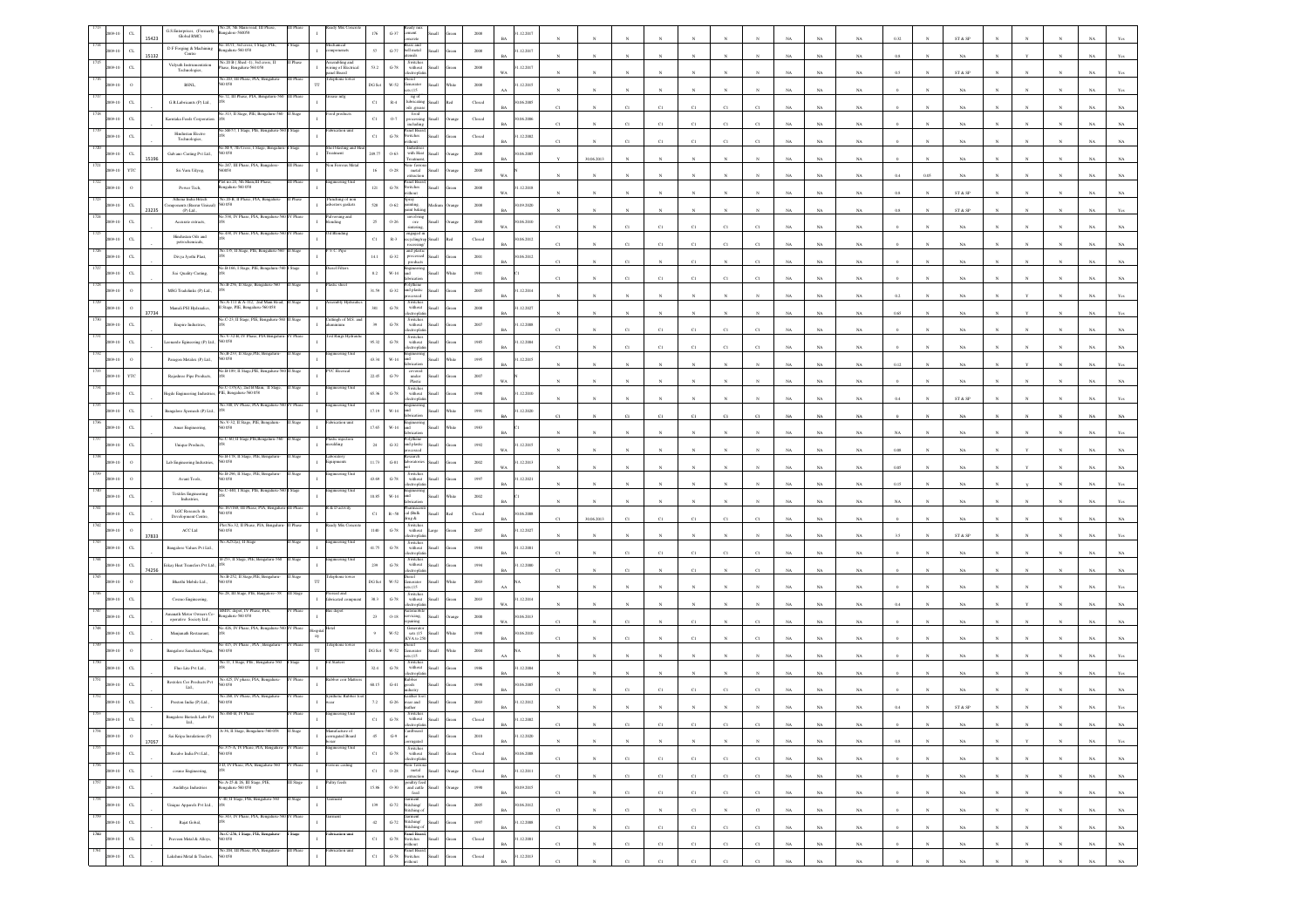|                     |              | G.S.Enterprises, (Former)<br>Global RMC)           | o.28, 5th Main r<br>ngalore-560058                                          |                                                                           |                         |                                                                                              |              |                                         | .12.2017   |             |                 |                         |             |              |                 |             |             |             |             |          |              |             |            |              |            |                                      |             |
|---------------------|--------------|----------------------------------------------------|-----------------------------------------------------------------------------|---------------------------------------------------------------------------|-------------------------|----------------------------------------------------------------------------------------------|--------------|-----------------------------------------|------------|-------------|-----------------|-------------------------|-------------|--------------|-----------------|-------------|-------------|-------------|-------------|----------|--------------|-------------|------------|--------------|------------|--------------------------------------|-------------|
|                     |              | 15423<br>D F Forging & Machining                   | No.147/1, 3rd cross, I Stage, PIE                                           | 57                                                                        |                         | ass and<br>ell metal                                                                         |              |                                         |            |             |                 |                         |             |              |                 |             |             |             |             |          |              | ST & SP     |            |              |            |                                      |             |
| 09-10               | C1           | Centre<br>15132                                    | ngalaru-560 058<br>Vo.20 B (Shed -1), 3rd cross, II                         | onenets<br>ssembling and                                                  | $G-77$                  |                                                                                              |              | $2008\,$                                | .12.2017   |             |                 |                         |             |              |                 |             |             | $_{\rm NA}$ | $_{\rm NA}$ | 0.8      |              | NA          |            |              |            |                                      |             |
|                     | $\alpha$     | Vidyuth Instrumentation<br>Technologies,           | ase, Bengaluru-560 058                                                      | 53.2<br>ring of Electrical<br>anel Board                                  | $G-78$                  | Switches<br>without<br>tropi                                                                 | all.         | $2008\,$                                | .12.2017   |             |                 |                         |             |              |                 |             |             | NA          | NA          |          |              | ST & SP     |            |              |            |                                      |             |
|                     | $\circ$      | BSNL,                                              | o.203, III Phase, PIA, Benga<br>058<br>П                                    | lephone towe<br>DG Set                                                    | $W-52$                  | nerator<br>ts (15                                                                            | ыl           | 2008                                    | .12.2015   |             |                 |                         |             |              |                 |             |             | NA          | NA          |          |              | NA          |            |              |            |                                      |             |
|                     | $_{\rm{CL}}$ | G.R.Lubricants (P) Ltd.                            | ise mf                                                                      | $_{\rm C1}$                                                               | $_{\rm R-4}$            | ng of<br>lubricating<br>oils .grease                                                         |              | Closed                                  | 0.06.2005  |             |                 |                         |             |              |                 |             |             |             |             |          |              |             |            |              |            |                                      |             |
|                     | $_{\rm{CL}}$ | <b>Karntaka Feeds Corporatio</b>                   | 313, Il Stage, PIE, Beng                                                    |                                                                           |                         | food                                                                                         |              |                                         |            | C1          |                 | C1                      | C1          | C1           | $_{\rm C1}$     | C1          |             | NA          | $_{\rm NA}$ |          |              | $_{\rm NA}$ |            |              |            |                                      |             |
|                     |              |                                                    |                                                                             | $_{\rm Cl}$                                                               | $0.7\,$                 | scludin<br>iel Bo                                                                            |              | Closed                                  | 0.06.2006  | C1          |                 | CI                      |             | $_{\rm C1}$  | $_{\rm C1}$     | CI          |             | NA          | NA          |          |              | NA          |            |              |            |                                      |             |
|                     | CL           | Hindustan Electro<br>Technologies,                 |                                                                             | $_{\rm C1}$                                                               | $\mbox{G-}78$           | switches<br>thout                                                                            |              | Closed                                  | .12.2002   | C1          |                 | CI                      | C1          | C1           | C1              | C1          | NA          | NA          | NA          |          |              | NA          |            |              |            |                                      |             |
|                     | $_{\rm CL}$  | Galvano Casting Pvt Ltd.,<br>15196                 | io.M-9, 7th Cross, I Stage, Beng<br>0058                                    | ot blasting an<br>349.77                                                  | $0 - 63$                | Industri<br>with Heat                                                                        |              | $2008\,$                                | 0.06,2005  |             | 30.06.2013      |                         |             |              |                 |             |             | $_{\rm NA}$ | $_{\rm NA}$ |          |              | $_{\rm NA}$ |            |              |            |                                      |             |
|                     | YTO          | Sri Varu Udyog,                                    | 247. III Phase, PIA<br>0058                                                 | $16\,$                                                                    | $0.28\,$                | a- fo<br>$_{\rm metal}$                                                                      |              | $2008\,$                                |            |             |                 |                         |             |              |                 |             |             |             |             |          |              |             |            |              |            |                                      |             |
|                     |              | Power Tech,                                        | lot no.24, 5th Main, III Phase<br>ngalaru-560 058                           | teering Uni<br>121                                                        | $G-78$                  | tractic<br>anel Boa<br>witches                                                               |              | 2008                                    | .12.2018   |             |                 |                         |             |              |                 |             |             | NA          | NA          |          |              |             |            |              |            |                                      |             |
|                     |              | Athena India Hitech                                | No.20-B, II Phase, PIA, Bengalur                                            | Punching of nor                                                           |                         | .<br>Domin                                                                                   |              | WΔ                                      |            |             |                 |                         |             |              |                 |             |             | NA          | NA          | 0s       |              | ST & SP     |            |              |            |                                      |             |
|                     | $\alpha$     | mponents (Basrur Unisea<br>(P) Laf.,<br>23235      | 0058<br>538. IV Phase, PIA, B                                               | stors gaskets<br>$528\,$<br>rsing an                                      | $0.62\,$                | núng<br>nt baki                                                                              |              | $2008\,$                                | 0.09.2020  |             |                 |                         |             |              |                 |             |             | NA          | $_{\rm NA}$ |          |              | ST & SP     |            |              |            |                                      |             |
|                     | $\alpha$     | Accurate extracts,                                 | saibe                                                                       | $25\,$                                                                    | $0\mbox{-} 26$          | rvolving<br>ore<br>terin                                                                     |              | 2000                                    | 0.06.2010  | C1          |                 | C1                      |             | $_{\rm C1}$  | $_{\rm C1}$     |             |             | NA          | NA          |          |              | NA          |            |              |            |                                      |             |
|                     | CL           | Hindustan Oils and<br>petrochemicals,              | .438, IV Phase, PIA, Benga                                                  | Blending<br>$_{\rm C1}$                                                   | $\mathbb{R}\text{-}3$   | 1gaged is                                                                                    |              | Closed                                  | 0.6.2012   | C1          |                 | C1                      |             | $_{\rm C1}$  | $_{\rm C1}$     |             |             | NA          | $_{\rm NA}$ |          |              | NA          |            |              |            |                                      |             |
|                     | $_{\rm G}$   | Divya Jyothi Plast,                                | a.135, II Stage, PIE, Benj<br>V.C. Pipe                                     | $14.1\,$                                                                  | $_{\mathrm{G-32}}$      | and pla                                                                                      |              | $200\mathrm{l}$                         | 06.2012    |             |                 |                         |             |              |                 |             |             |             |             |          |              |             |            |              |            |                                      |             |
|                     |              |                                                    |                                                                             | $\bf 8.2$                                                                 |                         |                                                                                              |              |                                         |            |             |                 | C1                      |             | C1           |                 |             |             | $_{\rm NA}$ | $_{\rm NA}$ |          |              | NA          |            |              |            |                                      |             |
|                     | $\alpha$     | Sai Quality Casting,                               |                                                                             |                                                                           | $W-14$                  |                                                                                              |              | 1981                                    |            |             |                 | $\mathcal{C}^{\dagger}$ |             | C1           | CI              |             |             | NA          | NA          |          |              |             |            |              |            |                                      |             |
|                     |              | MSG Tradelinks (P) Ltd.                            |                                                                             | 31.59                                                                     | $G-32$                  | nd plastis<br>Switche                                                                        | HH.          | $2005\,$                                | .12.2014   |             |                 |                         |             |              |                 |             |             | NA          | $_{\rm NA}$ |          |              |             |            |              |            |                                      |             |
|                     |              | Manuli PSI Hydraulics,<br>37734                    | o.A-111 & A-112, 2nd Main Roa<br>Stage, PIE, Bengaluru-560 058              | 381                                                                       | $\operatorname{G-78}$   | without<br>ectroph                                                                           |              | $2008\,$                                | .12.2027   |             |                 |                         |             |              |                 |             |             | NA          | $_{\rm NA}$ | 0.65     |              | NA          |            |              |            |                                      |             |
|                     | $\alpha$     | Empire Industries,                                 | C-23, II Stage, PIE, 1                                                      | uttingh of M.S                                                            | $G-78$                  | witch<br>without<br>rond                                                                     |              | 2007                                    | .12.2008   | C1          |                 | C1                      | C1          | C1           | C1              | C1          | NA          | NA          | $_{\rm NA}$ |          |              | NA          |            |              |            |                                      |             |
|                     | $\alpha$     | conardo Egineering (P) Lad                         | Vo.V-32-B, IV Phase, PIA Benga<br>V Phase<br>0058                           | est Rings Hydr<br>95.32                                                   | $G-78$                  | Switche<br>without                                                                           |              | $1985\,$                                | .12.2004   |             |                 |                         |             |              |                 |             |             |             |             |          |              |             |            |              |            |                                      |             |
|                     |              | Paragon Metalex (P) Ltd.,                          | o.B-233, II Stage, PIE,                                                     | 43.34                                                                     | $_{\rm W\text{-}14}$    |                                                                                              |              | RA<br>1995                              | .12.2015   | C1          |                 | $_{\rm CI}$             | C1          | $_{\rm C1}$  | $_{\rm CI}$     | CI          | NA          | $_{\rm NA}$ | $_{\rm NA}$ |          |              | NA          |            |              |            |                                      |             |
|                     |              |                                                    |                                                                             |                                                                           |                         |                                                                                              |              |                                         |            |             |                 |                         |             |              |                 |             | NA          | $_{\rm NA}$ | $_{\rm NA}$ | 0.12     |              | NA          |            |              |            |                                      |             |
|                     | YTO          | Rajashree Pipe Products                            | No.C-135(A), 2nd B Main, II Stag                                            | 22.45                                                                     | $G-79$                  | under<br>Plastic<br>Switche                                                                  |              | 2007                                    |            |             |                 |                         |             |              |                 |             |             | NA          | NA          |          |              |             |            |              |            |                                      |             |
|                     | $\alpha$     | legde Engineering Industries                       | PIE, Bengalaru-560 058                                                      | eering Uni<br>65.36                                                       | $G-78$                  | without                                                                                      |              | 1950                                    | .12.2010   |             |                 |                         |             |              |                 |             |             | NA          | $_{\rm NA}$ |          |              | ST & SP     |            |              |            |                                      |             |
|                     | $\alpha$     | Bangalore Spemech (P) Ltd.                         | 340. IV Phase.                                                              | 17.19                                                                     | $W-14$                  |                                                                                              |              | $1991\,$                                | .12.2020   |             |                 |                         |             | CI           | CI              |             |             | NA          | $_{\rm NA}$ |          |              | NA          |            |              |            |                                      |             |
|                     | C1           | Amar Engineering                                   | o.V-32, II Stage, PIE, I<br>0058                                            | 17.65                                                                     | $W-14$                  |                                                                                              |              | 1983                                    |            |             |                 |                         |             |              |                 |             |             |             |             |          |              |             |            |              |            |                                      |             |
|                     | $_{\rm{CL}}$ | <b>Unique Products</b>                             | C-60, II Stage, PIE, Bengaluru-                                             | istic injection<br>$\bf 24$                                               | $\textrm{G-32}$         | 1 plast                                                                                      |              | 1992                                    | .12.2015   |             |                 |                         |             |              |                 |             |             | NA          | $_{\rm NA}$ |          |              | NA          |            |              |            |                                      |             |
|                     |              |                                                    | B-178, II Stage, PIE,<br>eatory                                             |                                                                           |                         |                                                                                              |              | WA                                      |            |             |                 |                         |             |              |                 |             |             | $_{\rm NA}$ | $_{\rm NA}$ | 0.08     |              | NA          |            |              |            |                                      |             |
|                     | $\circ$      | Lab Engineering Industries,                        | 1058<br>.B-296, II Stage                                                    | $11.73\,$                                                                 | $G-81$                  |                                                                                              |              | 2002                                    | .12.2013   |             |                 |                         |             |              |                 |             |             | NA          | NA          | 0.05     |              | NA          |            |              |            |                                      |             |
|                     |              | Avant Tools                                        | 0058                                                                        | 43.69                                                                     | $G-78$                  | without                                                                                      |              | 1997                                    | .12.2021   |             |                 |                         |             |              |                 |             |             | $_{\rm NA}$ | $_{\rm NA}$ | 0.15     |              | NA          |            |              |            |                                      |             |
|                     | $\alpha$     | ${\rm Texiles\ Engineering\ Inductries},$          | C-440, I Stage, PIE.                                                        | 10.85                                                                     | $W-14$                  |                                                                                              |              | $2002\,$                                |            |             |                 |                         |             |              |                 |             |             | $_{\rm NA}$ | NA          |          |              | NA          |            |              |            |                                      |             |
|                     | C1           | LGC Research &<br>Development Centr                | 058                                                                         | e D activit<br>$_{\rm Cl}$                                                | $\mbox{R}\mbox{-}58$    | cal (Balk                                                                                    | sШ           | Closed                                  | 0.6.2008   | C1          |                 | C1                      |             | C1           | CI              |             |             | NA          | NA          |          |              | NA          |            |              |            |                                      |             |
|                     |              | ACC Ltd                                            | Yot No.32, II Phase, PIA, Bengali<br>0.058                                  | ady Mix Co<br>1140                                                        | $G-78$                  | sa gu<br>Switche<br>without                                                                  |              | $2007\,$                                | .12.2027   |             | 30.06.2013      |                         |             |              |                 |             |             |             |             |          |              |             |            |              |            |                                      |             |
|                     | $\alpha$     |                                                    | o.A252(a), II Sta                                                           | ering U                                                                   |                         | ctrople<br>Switche                                                                           |              |                                         |            |             |                 |                         |             |              |                 |             | NA          | NA          | $_{\rm NA}$ |          |              | ST & SP     |            |              |            |                                      |             |
|                     |              | Bangalore Values Pvt Ltd.                          | 53, II Stage, PIE,                                                          | 41.75                                                                     | $\mbox{G-}78$           | without<br>ctroph<br>Switche                                                                 |              | $1984\,$                                | .12.2001   | C1          |                 | C1                      |             | C1           | $_{\rm Cl}$     | CI          |             | $_{\rm NA}$ | $_{\rm NA}$ |          |              | NA          |            |              |            |                                      |             |
|                     | CL           | skay Heat Transfers Pvt Ltd<br>74256               |                                                                             | 239                                                                       | $G-78$                  | without                                                                                      |              | 1994                                    | .12.2000   | C1          |                 | CI                      |             | C1           |                 |             |             | NA          | NA          |          |              | NA          |            |              |            |                                      |             |
|                     |              | Bharthi Mobile Ltd.,                               | 40.B-252, II Stage, PIE, Beng.<br>0058                                      | Xi Se                                                                     | $W-52$                  | esel<br>erator<br>(15)                                                                       |              | $2003\,$                                |            |             |                 |                         |             |              |                 |             |             | NA          | $_{\rm NA}$ |          |              | NA          |            |              |            |                                      |             |
|                     | $\alpha$     | Cosmo Engineering,                                 | 28. III State, PIE, B                                                       | ed and<br>38.3<br>ricated con                                             | $\mbox{G-}78$           | Switches<br>without                                                                          |              | $2003\,$                                | .12.2014   |             |                 |                         |             |              |                 |             |             | NA          | NA          |          |              |             |            |              |            |                                      |             |
|                     | $\alpha$     | Amanath Motor Owners Co<br>operative Society Ltd., | SMTC depot, IV Phase, PIA,<br>engalaru-560 058<br>s depot                   | $23\,$                                                                    | $O-18$                  | rvicing,                                                                                     |              | 2000                                    | 0.6.2013   |             |                 |                         |             |              |                 |             |             |             |             |          |              |             |            |              |            |                                      |             |
|                     |              |                                                    | 3.426, IV Phase, PIA, Ba                                                    | 9                                                                         |                         |                                                                                              |              |                                         |            |             |                 |                         |             | CI           |                 |             |             | NA          | $_{\rm NA}$ |          |              |             |            |              |            |                                      |             |
|                     | $\alpha$     | Manjunath Restauran                                | 415, IV Phase, PL                                                           |                                                                           | $_{\rm W-52}$           | sets (15<br>KVA to 25<br>xd                                                                  |              | $19\%$                                  | 0.06.2010  |             |                 |                         |             |              |                 |             |             | NA          | NA          |          |              | NA          |            |              |            |                                      |             |
|                     | $\circ$      | Bangalore Sanchara Nigaa                           | D 0.58                                                                      | DG Set                                                                    | W-52                    | nerator<br>s (15                                                                             |              | 2004                                    |            |             |                 |                         |             |              |                 |             |             | NA          | NA          |          |              | NA.         |            |              |            |                                      |             |
|                     | CL           | Flao Lite Pvt Ltd.,                                | 11, I Stage, PIE                                                            | $_{\rm 32.4}$                                                             | $G-78$                  | Switch<br>without                                                                            |              | 1986                                    | .12.2004   |             |                 |                         |             |              |                 |             |             | NA          | NA          |          |              | NA          |            |              |            |                                      |             |
|                     | $\alpha$     | ${\bf Resrolex~Cor~Products~Pv} \\ {\bf Iad}_\sim$ | a.425, IV phase, PIA, I                                                     | 60.15                                                                     | $_{\mathrm{G-}41}$      |                                                                                              |              | 1998                                    | 0.06,2005  |             |                 |                         |             |              | CI              |             |             | $_{\rm NA}$ | $_{\rm NA}$ |          |              | $_{\rm NA}$ |            |              |            |                                      |             |
|                     | $\alpha$     | Preston India (P) Ltd.,                            | o.268, IV Phase, PIA<br>0 O.SS                                              | 7.2                                                                       | $G-26$                  | car and                                                                                      |              | 2003                                    | .12.2012   |             |                 |                         |             |              |                 |             |             |             |             |          |              |             |            |              |            |                                      |             |
|                     | $\alpha$     | Bangalore Biotech Labs Pv                          |                                                                             |                                                                           | $G-78$                  |                                                                                              |              | Closed                                  | .12.2002   |             |                 |                         |             |              |                 |             |             |             |             |          |              | ST & SF     |            |              |            |                                      |             |
| 1754                |              |                                                    | A-36, II Stage, Bengaluru-560 058<br>II Stage                               |                                                                           |                         | Cardboard                                                                                    |              | BA                                      |            | C1          |                 | C1                      | C1          | C1           | C1              |             | $_{\rm NA}$ | NA          | $_{\rm NA}$ |          | $\;$ N       | $_{\rm NA}$ |            |              | $_{\rm N}$ | $\mathbf{NA}$ .<br><br>$\mathbf{NA}$ |             |
| 2009-10<br>1755     | $\,$ 0 $\,$  | Sai Kripa Insulations $(\rm P)$<br>17057           | $\Gamma$<br>io.375-A, IV Phase, PIA, Bengaluru-<br>V Phase                  | Manufacture of<br>corrugated Board<br>boxer<br>$45\,$<br>ingineering Unit | $\mbox{G-9}$            | tragare                                                                                      | Small        | 2010<br>een<br><b>BA</b>                | 1.12.2020  |             | $_{\rm N}$      | $_{\rm N}$              | $_{\rm N}$  | $_{\rm N}$   | $_{\rm N}$      |             | NA          | NA          | $_{\rm NA}$ | 0.8      |              | NA          |            | $\mathbf Y$  |            | $_{\rm NA}$                          | Yes         |
| 2009-10             | $_{\rm CL}$  | Recabo India Pvt Ltd.                              | 560 058                                                                     | $_{\rm Cl}$                                                               | $_{\mathrm{G-78}}$      | Switches<br>without Small<br>electroniatin                                                   |              | Closed<br>leeen<br>BA                   | 30.06.2008 | C1          | N               | C1                      | $_{\rm C1}$ | C1           | C1              | C1          | NA          | NA          | NA          | $\alpha$ | $\mathbf N$  | $_{\rm NA}$ | $_{\rm N}$ | $_{\rm N}$   | $_{\rm N}$ | NA                                   | NA          |
| 1756<br>$2009 - 10$ | $_{\rm CL}$  | $\cos$ mo $\sin$ expines $\sin$                    | 0-D, IV Phase, PIA, Bengaluru-560<br>IV Phase<br>$\mathbf{I}$               | errous casting<br>$\mathbb{C}1$                                           | $0\hbox{-}28$           | Non-ferrou<br>metal<br>extraction                                                            | <b>Iliam</b> | ${\bf Closed}$<br>brange<br>$_{\rm BA}$ | 31.12.2011 | $_{\rm C1}$ | $_{\mathrm{N}}$ | $_{\rm C1}$             | $_{\rm C1}$ | $_{\rm C1}$  | C1              | $_{\rm C1}$ | $_{\rm NA}$ | $_{\rm NA}$ | $_{\rm NA}$ |          |              | $_{\rm NA}$ |            |              |            | $_{\rm NA}$                          | $_{\rm NA}$ |
| 1757<br>$2009 - 10$ | $_{\rm{CL}}$ | Audithya Industries                                | No.A-25 & 26, III Stage, PIE,<br>Bengalaru-560 058<br>ultry feeds<br>$\,$ I |                                                                           | $15.86\qquad$ O-30 $\,$ | poultry feed<br>and cattle                                                                   | Small        | 1990<br><b>Jrange</b><br><b>BA</b>      | 30.09.2015 | C1          | $_{\rm N}$      | C1                      | C1          | C1           | C1              | C1          |             |             |             |          | $_{\rm N}$   |             |            |              |            |                                      | $_{\rm NA}$ |
| 1758<br>2009-10     | $_{\rm{CL}}$ | Unique Apparels Pvt Ltd., $\,$                     | V-40, II Stage, PIE, Bengaluru-560<br>II Stage<br>Garment<br>$\mathbf{I}$   | $139\,$                                                                   |                         | feed<br>Garment<br>G-72 Stitching/<br>Stitching of                                           | Small        | 2005<br>leeen.                          | 30.06.2012 |             |                 |                         |             |              |                 |             | NA          | NA          | NA          |          |              | NA          |            | $_{\rm N}$   | $_{\rm N}$ | NA                                   |             |
| 1759                |              |                                                    | No.343, IV Phase, PIA, Bengaluru-560 IV Phase<br>Garment<br>$\mathbf{I}$    | $42\,$                                                                    |                         | $\begin{tabular}{ll} \bf \textbf{Garnent} \\ \bf G-72 & \textbf{Stiching/} \\ \end{tabular}$ |              | BA                                      |            | $\alpha$    | $_{\rm N}$      | $_{\rm Cl}$             | $_{\rm N}$  | $_{\rm{Cl}}$ | $_{\mathrm{N}}$ | $_{\rm C1}$ | $_{\rm NA}$ | $_{\rm NA}$ | $_{\rm NA}$ |          | $\mathbf{N}$ | $_{\rm NA}$ |            | $\mathbf{N}$ | $_{\rm N}$ | $_{\rm NA}$                          | $_{\rm NA}$ |
| 2009-10<br>1760     | $_{\rm{CL}}$ | Rajat Gobal,                                       | No.C-256, I Stage, PIE, Bengalum-<br>560 058<br>I Stage                     | abrication unit                                                           |                         | titching o<br><b>Panel Board</b><br>Switches                                                 | Small        | 1997<br>iteen<br>$_{\rm BA}$            | 1.12.2008  | $_{\rm C1}$ | $_{\rm N}$      | $_{\rm C1}$             | $_{\rm C1}$ | $_{\rm C1}$  | $_{\rm C1}$     | $_{\rm C1}$ | $_{\rm NA}$ | $_{\rm NA}$ | $_{\rm NA}$ |          |              | $_{\rm NA}$ |            | $_{\rm N}$   |            | $_{\rm NA}$                          | $_{\rm NA}$ |
| $2009 - 10$         | $_{\rm{CL}}$ | Praveen Metal & Alloys,                            | $\,$ I<br>No.204, III Phase, PIA, Bengaluru-<br>III Phase                   | $_{\rm Cl}$                                                               | $\,$ G-78 $\,$          | vithout<br>Panel Board                                                                       | <b>Iliam</b> | ${\it Closed}$<br>een<br><b>BA</b>      | 1.12.2001  | C1          | $_{\rm N}$      | $_{\rm C1}$             | C1          | C1           | C1              | C1          | NA          | NA          | $_{\rm NA}$ | $\circ$  | $\mathbf N$  | $_{\rm NA}$ |            | $_{\rm N}$   | $_{\rm N}$ | $_{\rm NA}$                          | $_{\rm NA}$ |
| 1761<br>2009-10     | $_{\rm{CL}}$ | Lakshmi Metal & Traders,                           | 560 058                                                                     | abrication unit<br>$_{\rm C1}$                                            | $\operatorname{G-78}$   | Switches<br>without                                                                          | <b>Bam</b>   | ${\it Closed}$<br>$_{\rm BA}$           | 1.12.2013  | $_{\rm C1}$ | $_{\rm N}$      | $_{\rm C1}$             | C1          | $_{\rm C1}$  | C1              | C1          | $_{\rm NA}$ | $_{\rm NA}$ | $_{\rm NA}$ |          |              | NA          |            |              |            | $_{\rm NA}$                          | $_{\rm NA}$ |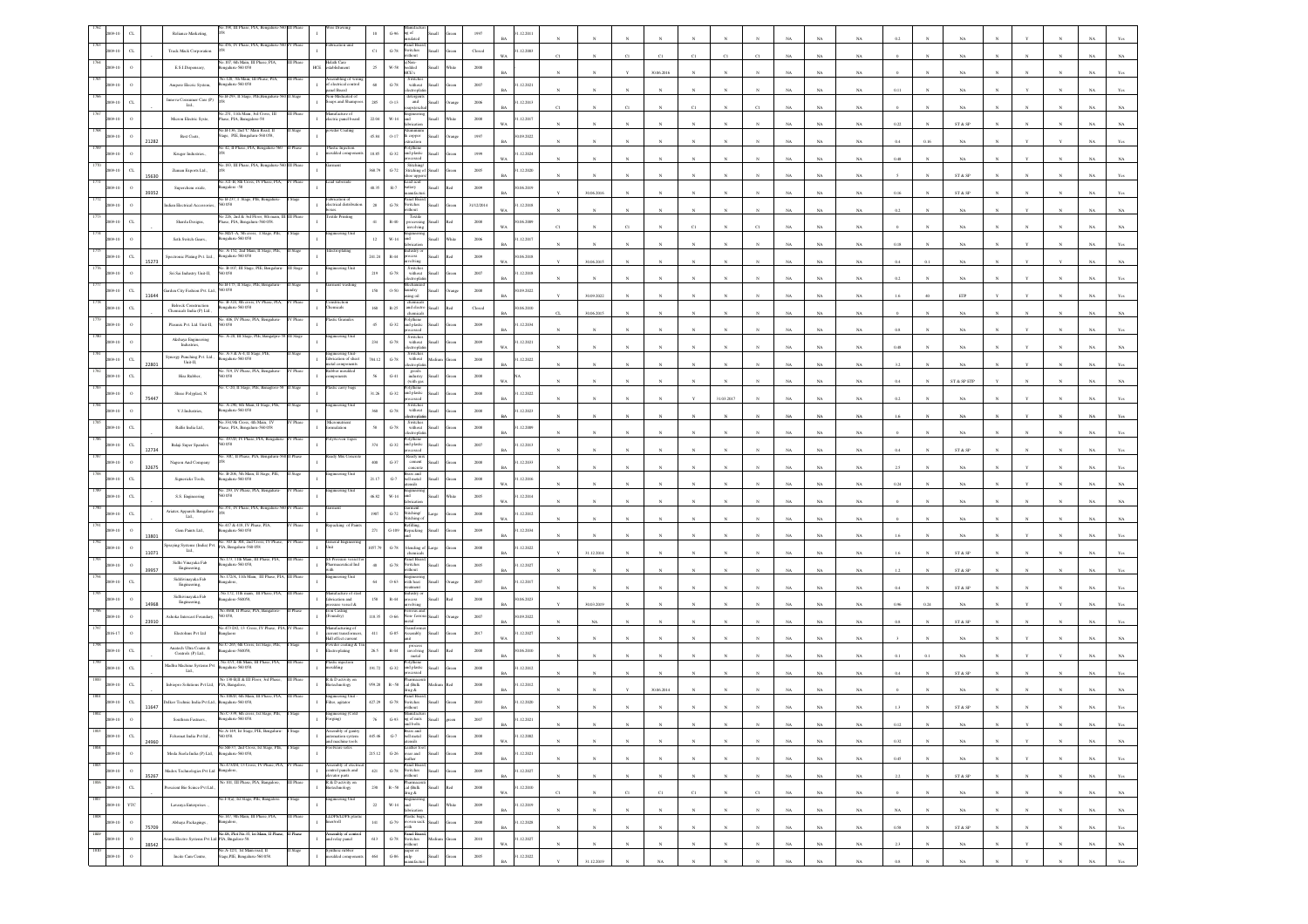|      |                             |       | Reliance Marketing,                                      |                                                                                        |           |                                                                                                   |             | $G-96$<br>g of                                                                                                                                                                                                                                                                                                                                                                                                                                                                                                       |       |                         | 12.201                            |              |            |              |             |              |                       |              |             |             |             |          |              |                                                                 |            |              |              |             |                |
|------|-----------------------------|-------|----------------------------------------------------------|----------------------------------------------------------------------------------------|-----------|---------------------------------------------------------------------------------------------------|-------------|----------------------------------------------------------------------------------------------------------------------------------------------------------------------------------------------------------------------------------------------------------------------------------------------------------------------------------------------------------------------------------------------------------------------------------------------------------------------------------------------------------------------|-------|-------------------------|-----------------------------------|--------------|------------|--------------|-------------|--------------|-----------------------|--------------|-------------|-------------|-------------|----------|--------------|-----------------------------------------------------------------|------------|--------------|--------------|-------------|----------------|
|      | $_{\rm{CL}}$                |       | Track Mack Corporation                                   | 0.456, IV Phase, PIA, Bengaluri                                                        |           |                                                                                                   | $_{\rm C1}$ | Panel Boar<br>Switches<br>$\operatorname{G-78}$<br>dibout                                                                                                                                                                                                                                                                                                                                                                                                                                                            |       | Closed                  | 1.12.2003<br>W <sub>A</sub>       |              |            |              |             | C1           |                       |              |             | NA          | NA          |          |              |                                                                 |            |              |              |             |                |
|      | $\circ$                     |       | E.S.LDispensary,                                         | .107, 6th Main, II<br>sealaru-560 058                                                  |           | :lath Care<br><b>HCE</b><br>tablishment                                                           | $25 -$      | <b>W-58</b><br>balded<br>KE's                                                                                                                                                                                                                                                                                                                                                                                                                                                                                        |       | 2000                    |                                   |              |            |              | 30.06.2016  |              |                       |              |             | NA          | $_{\rm NA}$ |          |              | NA                                                              |            |              |              |             |                |
|      |                             |       | Ampere Elecric System,                                   | Vo.120, 7th Main, III Phase. PIA.<br>galaru-560 058                                    |           | ussembling of wiri<br>f electrical control<br>anel Board                                          | $68\,$      | Switches<br>without<br>$\,$ G-78 $\,$<br>lectropla                                                                                                                                                                                                                                                                                                                                                                                                                                                                   |       | 2007                    | .12.2021<br><b>BA</b>             |              |            |              |             |              |                       |              |             | NA          | $_{\rm NA}$ | 0.11     |              | NA                                                              |            |              |              |             |                |
|      |                             |       | Innova Consumer Care (P)<br>Ltd.,                        | o.B-293, II Stage,                                                                     |           | 1-Medicated<br>oaps and Shamp                                                                     | 285         | detergent<br>and<br>$0 - 13$                                                                                                                                                                                                                                                                                                                                                                                                                                                                                         |       | 2006                    | 1.12.2013<br>RA                   |              |            | $^{c}$ 1     |             | C1           |                       |              |             | NA          | NA          |          |              | NA.                                                             |            |              |              |             |                |
|      |                             |       | Micron Electric Syste,                                   | 40.251, 11th Main, 3rd Cross, III<br>ase, PIA, Bamgalore-58                            |           | anufacture of<br>lectric panel board                                                              | $22.04\,$   | $_{\rm W\text{-}14}$<br>ыĪ                                                                                                                                                                                                                                                                                                                                                                                                                                                                                           |       | $2008\,$                | .12.2017                          |              |            |              |             |              |                       |              |             |             |             |          |              |                                                                 |            |              |              |             |                |
|      |                             |       | Best Coats,                                              | io.B-136, 2nd 'C' Main Road, I<br>age, PIE, Bengaluru-560 058,                         |           |                                                                                                   | 45.84       | $0 - 17$<br>copper                                                                                                                                                                                                                                                                                                                                                                                                                                                                                                   |       | 1997                    | WA<br>(09.2022)                   |              |            |              |             |              |                       |              |             | NA          | $_{\rm NA}$ | 0.22     |              | ST & SP                                                         |            |              |              |             |                |
|      |                             | 1282  | Kruger Industries.                                       | No 42, II Phase, PIA, Bengaluru-560                                                    |           | Plastic Injection<br>valded compos                                                                | 18.85       | raction<br>slythene<br>$G-32$<br>and plastic                                                                                                                                                                                                                                                                                                                                                                                                                                                                         |       | 1999                    | BA<br>1.12.2024                   |              |            |              |             |              |                       |              |             | $_{\rm NA}$ | NA          | 0.4      | 0.16         | NA                                                              |            |              |              |             |                |
|      |                             |       | Zuman Exports Ltd.,                                      | No.183, III Phase, PIA, Bengaluru-3                                                    |           | ment                                                                                              | 368.79      | <b>SSAT</b><br>Stitching<br>$G-72$<br>Stitching of                                                                                                                                                                                                                                                                                                                                                                                                                                                                   |       | $2005\,$                | W <sub>A</sub><br>1.12.2020       |              |            |              |             |              |                       |              |             | NA          | $_{\rm NA}$ | 0.48     |              | NA                                                              |            |              |              |             |                |
|      | $\circ$                     | 15630 | Superchem oxide,                                         | o.321-B, 8th Cross, IV Phase, PIA                                                      |           |                                                                                                   | 40.35       | toe upp<br>ead acid<br>$R-7$                                                                                                                                                                                                                                                                                                                                                                                                                                                                                         |       | 2009                    | <b>BA</b><br>0.06.2019            |              |            |              |             |              |                       |              |             | NA          | $_{\rm NA}$ |          |              | ST & SP                                                         |            |              |              |             |                |
|      | $\circ$                     | 39352 | 0058                                                     | agalore - 58<br>No B-237, I Stage, PIE, Bengaluru-                                     |           | brication of<br>lectrical distribu                                                                |             | attery<br>anufacti<br>inel Boa<br>Switches                                                                                                                                                                                                                                                                                                                                                                                                                                                                           |       |                         | <b>BA</b>                         |              | 30.06.2016 |              |             |              |                       |              |             | NA          | NA          | 0.16     |              | ST & SP                                                         |            |              |              |             |                |
|      |                             |       | dian Electrical Accessori                                | io 226, 2nd & 3rd Floor, 8th main, I                                                   |           | stile Printing                                                                                    | $\bf 28$    | $G-78$<br>ithout<br>Textile                                                                                                                                                                                                                                                                                                                                                                                                                                                                                          |       | 31/12/2014              | 1.12.2018<br>WA                   |              |            |              |             |              |                       |              |             | NA          | $_{\rm NA}$ | 0.2      |              | $_{\rm NA}$                                                     |            |              |              |             |                |
|      | $_{\rm{CL}}$                |       | Sharda Designs,                                          | ase, PIA, Bengaluru-560 058<br>io.M2/1-A, 5th cross, 1 Stage, PIE.<br>engalaru-560 058 |           | ineering Uni                                                                                      | $41\,$      | $\mathbb{R}\text{-}40$<br>avolving                                                                                                                                                                                                                                                                                                                                                                                                                                                                                   |       | 2008                    | 0.06.2009<br>WA                   |              |            |              |             |              |                       |              |             | NA          | $_{\rm NA}$ |          |              | NA                                                              |            |              |              |             |                |
|      |                             |       | Seth Switch Gears.,                                      | 40. A-152, 2nd Main, I                                                                 |           |                                                                                                   | 12          | $W-14$<br>ht<br>abrication<br>ustry o                                                                                                                                                                                                                                                                                                                                                                                                                                                                                |       | 2006                    | 1.12.2017<br><b>BA</b>            |              |            |              |             |              |                       |              |             | NA          | NA          | 0.18     |              | NA.                                                             |            |              |              |             |                |
|      | $_{\rm{CL}}$                | 15273 | Spectronic Plating Pvt. Ltd.,                            | engaluru-560 058<br>No. B-107, III Stage, PIE, Bengalur                                | Stage     | gineering Uni                                                                                     | 241.24      | R-44<br>ocess.<br><b>Ban</b><br>volving                                                                                                                                                                                                                                                                                                                                                                                                                                                                              |       | $2009\,$                | 0.06.2018<br>WA                   |              | 30.06.2015 |              |             |              |                       |              |             | NA          | $_{\rm NA}$ | 0.4      |              | NA                                                              |            |              |              |             |                |
|      | $\,$ $\,$                   |       | Sri Sai Industry Unit-II,                                | o.B-175, II Stage,                                                                     |           |                                                                                                   | 219         | Switches<br>without<br>$\,$ G-78 $\,$<br>lectropla                                                                                                                                                                                                                                                                                                                                                                                                                                                                   |       | $2007\,$                | 1.12.2018<br>BA                   |              |            |              |             |              |                       |              |             | NA          | NA          | 0.2      |              | NA                                                              |            |              |              |             |                |
|      | $_{\rm{CL}}$                | 11644 | Garden City Fashion Pvt. Ltd.,<br>60 058                 | io. B-324, 8th cross, IV Phase, PIA                                                    |           | aruction                                                                                          | 150         | $0 - 50$<br>aundry<br>sing oil<br>chemica                                                                                                                                                                                                                                                                                                                                                                                                                                                                            |       | 2008                    | 1.09.2022<br><b>BA</b>            |              | 30.09.2022 |              |             |              |                       |              |             | NA          | NA          |          |              | ETP                                                             |            |              |              |             |                |
|      | $\alpha$                    |       | <b>Belrock Construction</b><br>Chemicals India (P) Ltd., | sgalaru-560 058<br>0.406, IV Phase, PIA.                                               |           | nicals                                                                                            | 160         | $\mathbb{R}\text{-}25$<br>and electro<br>chemicals<br>ordiene                                                                                                                                                                                                                                                                                                                                                                                                                                                        |       | $\operatorname{Closed}$ | 06.2010<br>BA                     | α.           | 30.06.2015 |              |             |              |                       |              |             | NA          | $_{\rm NA}$ |          |              | $_{\rm NA}$                                                     |            |              |              |             |                |
|      |                             |       | Plasmix Pvt. Ltd. Unit-II,<br>058                        |                                                                                        |           |                                                                                                   | 45          | $_{\mathrm{G-32}}$<br>nd plastic                                                                                                                                                                                                                                                                                                                                                                                                                                                                                     |       | 2009                    | 1.12.2034<br>BA                   |              |            |              |             |              |                       |              |             | NA          | NA          | 0.8      |              | NA                                                              |            |              |              |             |                |
|      |                             |       | Akshaya Engineering<br>Industries,                       | . A-20, III Stage, PIE, Bangalpre                                                      |           | ineering Unit                                                                                     | 234         | Switches<br>without<br>$G-78$<br>trond                                                                                                                                                                                                                                                                                                                                                                                                                                                                               |       | 2009                    | 1.12.2021<br><b>WA</b>            |              | $_{\rm N}$ |              |             |              |                       |              | NA          | $_{\rm NA}$ | $_{\rm NA}$ | 0.48     |              | NA                                                              |            |              |              | NA          |                |
|      | $_{\rm{CL}}$                | 2280: | Synergy Punching Pvt. Ltd.,<br>Unit-II,                  | 0. A-3 & A-4, II Stage, PI<br>galaru-560 058<br>in 519 TV Phose PfA Renes              |           | ineering Unit<br>brication of sheet<br>tial component<br>ibber moulded                            | 84.12       | Switche<br>$\,$ G-78 $\,$<br>$% \left\vert \left( \mathbf{1}_{\mathbf{1}}\right) \right\rangle$ without<br>ectroph                                                                                                                                                                                                                                                                                                                                                                                                   |       | $2008\,$                | .12.2022                          |              |            |              |             |              |                       |              |             | $_{\rm NA}$ | $_{\rm NA}$ | 3.2      |              | $_{\rm NA}$                                                     |            |              |              |             |                |
|      | $_{\rm{CL}}$                |       | Hira Rabber,<br>0058                                     |                                                                                        |           | ponents                                                                                           |             | goods<br>industry<br>$_{\mathrm{G-}41}$<br>(with gas                                                                                                                                                                                                                                                                                                                                                                                                                                                                 |       | $2008\,$                | WA                                |              |            |              |             |              |                       |              |             | NA          | NA          | 0.4      |              | ST & SP ETF                                                     |            |              |              |             |                |
|      | $\circ$                     | 75447 | Shree Polyplast, ${\rm N}$                               | o. C-20, II Stage, PIE, Banaglore-5                                                    |           | tic carry bags                                                                                    | 31.26       | slythene<br>$G-32$<br>and plastic                                                                                                                                                                                                                                                                                                                                                                                                                                                                                    |       | $2008\,$                | 1.12.2022<br><b>BA</b>            |              |            |              |             |              | 31.03.2017            |              |             | NA          | $_{\rm NA}$ | 02       |              | NA                                                              |            |              |              |             |                |
|      |                             |       | V.J.Industries                                           | io. A-290, 6th Main, Il Stage, PIE,<br>galaru-560 058                                  |           | teering Uni                                                                                       | 360         | Switches<br>without<br>$\,$ G-78 $\,$<br>ectroph                                                                                                                                                                                                                                                                                                                                                                                                                                                                     |       | $2008\,$                | 12.2023<br>BA                     |              |            |              |             |              |                       |              |             | NA          | $_{\rm NA}$ |          |              | $_{\rm NA}$                                                     |            |              |              |             |                |
|      | C1                          |       | Rallis India Ltd.,                                       | io.334,9th Cross, 4th Main, IV<br>hase, PIA, Bengaluru-560 058                         |           | cronutrien<br>latice                                                                              | $58\,$      | Switches<br>without<br>$G-78$<br>ectronia                                                                                                                                                                                                                                                                                                                                                                                                                                                                            |       | 2008                    | 1.12.2009<br>RA                   |              |            |              |             |              |                       |              |             | NA          | NA          |          |              | NA                                                              |            |              |              |             |                |
|      | C1                          | 12734 | Balaji Super Spandex<br>0058                             | o. 497/D, IV Phase, PIA, Beng                                                          |           |                                                                                                   | 374         | $G-32$<br>and plastic                                                                                                                                                                                                                                                                                                                                                                                                                                                                                                |       | 2007                    | 1.12.2013<br><b>BA</b>            |              |            |              |             |              |                       |              |             | NA          | $_{\rm NA}$ | 0.4      |              | ${\rm ST}$ & ${\rm SP}$                                         |            |              |              |             |                |
|      | $\circ$                     | 32675 | Nagson And Company                                       | io. 30C. II Phase, PIA, Benzaluru                                                      |           | ady Mix Conc                                                                                      | $400 -$     | Ready mit<br>cement<br>$\,$ G-37 $\,$                                                                                                                                                                                                                                                                                                                                                                                                                                                                                |       | $2008\,$                | .12.2033                          |              |            |              |             |              |                       |              |             |             |             |          |              |                                                                 |            |              |              |             |                |
|      | C1                          |       | Signericks Tools,                                        | io. B-206, 5th Main, II !<br>igaluru-560 058                                           |           | gineering U                                                                                       | 21.17       | concrete<br>Brass and<br>bell metal<br>$\mbox{G-7}$                                                                                                                                                                                                                                                                                                                                                                                                                                                                  |       | 2008                    | BA<br>1.12.2016<br>W <sub>A</sub> |              |            |              |             |              |                       |              |             | $_{\rm NA}$ | NA          | 2.5      |              | NA                                                              |            |              |              |             |                |
|      | $\alpha$                    |       | S.S. Engineering<br>0058                                 | No. 293, IV Phase, PIA, Bengalure                                                      | V Phase   | ineering Uni                                                                                      | 46.82       | sliste<br>$W-14$<br>ыĪ                                                                                                                                                                                                                                                                                                                                                                                                                                                                                               |       | $2005\,$                | 1.12.2014                         |              |            |              |             |              |                       |              |             | NA          | NA          | 0.24     |              | NA                                                              |            |              |              |             |                |
|      |                             |       | Ariatex Apparels Bangalon<br>Lad.,                       | a.351. IV Phase, PLA                                                                   |           |                                                                                                   | 1907        | $_{\mathrm{G-72}}$<br>titching/                                                                                                                                                                                                                                                                                                                                                                                                                                                                                      |       | $2008\,$                | WA<br>.12.2012                    |              |            |              |             |              |                       |              |             | NA          | NA          |          |              |                                                                 |            |              |              |             |                |
|      |                             |       | Gem Paints Ltd.,                                         | No.417 & 418, IV Phase, PIA,<br>galaru-560 058                                         |           | packing of Pa                                                                                     | 271         | titching o<br>:filling<br>$G-109$<br>Repacking                                                                                                                                                                                                                                                                                                                                                                                                                                                                       |       | 2009                    | WA<br>1.12.2034                   |              |            |              |             |              |                       |              |             | NA          | $_{\rm NA}$ |          |              | NA                                                              |            |              |              |             |                |
|      |                             | 380   | praying Systems (India) Pvt.<br>$^{\circ}$ Ltd.,         | No. 303 & 304, 2nd Cross, IV Phas-<br>PIA, Bengaluru-560 058                           |           | eneral Engin<br>init.                                                                             | 057.7       | $\,$ G-78 $\,$<br>lending o                                                                                                                                                                                                                                                                                                                                                                                                                                                                                          |       | $2008\,$                | RA<br>.12.2022                    |              |            |              |             |              |                       |              |             | NA          | NA          |          |              | NA.                                                             |            |              |              |             |                |
|      | $\circ$                     | 11071 | Sidhi Vinayaka Fab                                       | io.173. 11th Main. III Phase. PIA.<br>galaru-560 058,                                  |           | Pressure<br>maceutical Ind                                                                        | $40\,$      | anel Boar<br>$\,$ G-78 $\,$<br>witches                                                                                                                                                                                                                                                                                                                                                                                                                                                                               |       | $2005\,$                | BA<br>.12.2027                    |              | 31.12.2014 |              |             |              |                       |              |             | $_{\rm NA}$ | $_{\rm NA}$ | 1.6      |              | ${\hbox{\footnotesize\rm ST}}$ & ${\hbox{\footnotesize\rm SP}}$ |            |              |              |             |                |
|      | $\sigma$                    | 39957 | Engineering,<br>Siddivinayaka Fab                        | No.172/A, 11th Main, III Phase, PIA, III Phase<br>sgalore,                             |           | ering Un                                                                                          | 64          | ithout<br>with heat<br>$0 - 63$                                                                                                                                                                                                                                                                                                                                                                                                                                                                                      |       | 2007                    | BA<br>1.12.2017                   |              |            |              |             |              |                       |              |             | $_{\rm NA}$ | NA          | 1.2      |              | ST & SP                                                         |            |              |              |             |                |
|      |                             |       | Engineering.<br>$\operatorname{Sidhivinayaka Fab}$       | No.172, 11th main, III Phase, PIA,<br>galore-560058                                    | II Phase  | unufacture of siz<br>brication and                                                                | 158         | ndustry o<br>$\,$ R-44                                                                                                                                                                                                                                                                                                                                                                                                                                                                                               |       | $2008\,$                | 0.06.2023                         |              |            |              |             |              |                       |              |             |             |             |          |              | ST & SP                                                         |            |              |              |             |                |
|      | $\circ$                     | 14968 | Engineering,<br>Ashoka Intercast Foundary,<br>058,       | o.46/B, II Phase, PIA, Bangalo                                                         |           | are vessel &<br>in Casting<br>oundry)                                                             | 118.35      | olving<br>$0 - 66$<br>ion-fen                                                                                                                                                                                                                                                                                                                                                                                                                                                                                        |       | 2007                    | <b>BA</b><br>1.09.2022            |              | 30.03.2019 |              |             |              |                       |              |             | NA          | $_{\rm NA}$ | 0.96     | 0.24         | NA                                                              |            |              |              |             |                |
|      | $\circ$                     | 23910 | Electohms Pvt Ltd                                        | 473 D/2, 13 Cross,<br>glaore                                                           |           | ufacturing of<br>rrent transform                                                                  | 411         | setal<br>$G-85$<br>ssembly                                                                                                                                                                                                                                                                                                                                                                                                                                                                                           |       | 2017                    | RA<br>1.12.2027                   |              | NA         |              |             |              |                       |              |             | NA          | NA          | 0.8      |              | ST & SP                                                         |            |              |              |             |                |
|      |                             |       | Anatech Ultra Coater $\&$                                | 40.C-265, 6th Cross, 1st Stage, PIE                                                    |           | fall effect current<br>wder coating &                                                             |             | process<br>involving                                                                                                                                                                                                                                                                                                                                                                                                                                                                                                 |       |                         | WA                                |              |            |              |             |              |                       |              |             | NA          | $_{\rm NA}$ |          |              | $_{\rm NA}$                                                     |            |              |              |             |                |
|      | $_{\rm{CL}}$                |       | Controls (P) Ltd.,<br>Madhu Machine Systems Pv           | galore-560058<br>êo.47/1, 4th Main, III I                                              |           | ctroplating<br>stic injectic                                                                      | $26.5\,$    | $_{\rm R-44}$<br>metal<br>Polythene<br>and plastic                                                                                                                                                                                                                                                                                                                                                                                                                                                                   |       | $2008\,$                | (06.2010)<br><b>BA</b>            |              |            |              |             |              |                       |              |             | NA          | NA          | 0.1      | 0.1          | NA                                                              |            |              |              |             |                |
|      | C1                          |       | Ltd.,                                                    | sgalaru-560 058<br>No 138-B,II & III Floor, 3rd Phas                                   |           | anting<br>R & D activity or                                                                       | 191.72      | $G-32$<br><b>SSAT</b>                                                                                                                                                                                                                                                                                                                                                                                                                                                                                                |       | 2008                    | 1.12.2012<br><b>BA</b>            |              |            |              |             |              |                       |              |             | NA          | NA          | 0.4      |              | ST & SP                                                         |            |              |              |             |                |
|      | $_{\rm{CL}}$                |       | Inbiopro Solutions Pvt Ltd,                              | PIA, Bangalore,<br>No.108/D. 6th Main. III Phase. PIA                                  |           | stechnology<br>ingineering Unit<br>ilter, agitator                                                | 959.28      | $R - 58$<br>cal (Bulk<br>drug &<br>anel Boar                                                                                                                                                                                                                                                                                                                                                                                                                                                                         |       | $2008\,$                | 1.12.2012                         |              |            |              | 30.06.201   |              |                       |              |             | NA          | $_{\rm NA}$ |          |              | NA                                                              |            |              |              |             |                |
|      | $_{\rm{CL}}$                | 11647 | Delkor Technic India Pvt Ltd.                            | galaru-560 05<br>C-339, 6th                                                            |           | neering (                                                                                         | 127.25      | $G-78$<br>witches<br>ithout                                                                                                                                                                                                                                                                                                                                                                                                                                                                                          |       | $2003\,$                | .12.2020                          |              |            |              |             |              |                       |              |             |             |             |          |              | ST & SI                                                         |            |              |              |             |                |
| 1803 |                             |       | Southren Fastners.,                                      | galaru-560 05<br>No.A-149, Ist Stage, PIE, Bengalaru-                                  | I Stage   | (gnig                                                                                             |             | $G-93$<br>g of nuts<br>and bolts                                                                                                                                                                                                                                                                                                                                                                                                                                                                                     |       | 2007                    | .12.2021<br><b>BA</b>             |              |            |              |             |              |                       |              | <b>NA</b>   | NA.         | NA          | 0.12     | N            | NA                                                              |            |              |              | NA 1        | Yes            |
| 1804 | 2009-10<br>$_{\rm{CL}}$     | 24960 | Felsomat India Pvt Itd., $\,$<br>560 058.                | No.SB-37, 2nd Cross, Ist Stage, PIE,                                                   |           | Assembly of gantry<br>automation system<br>and machine tools<br>ootware soles                     | 445.46      | Brass and<br>bell metal<br>utensils<br>${\bf G}\mbox{-}7$<br>nall                                                                                                                                                                                                                                                                                                                                                                                                                                                    |       | $2008\,$                | 1.12.2002<br>WA                   |              | $_{\rm N}$ |              |             |              | $\overline{N}$        |              | $_{\rm NA}$ | $_{\rm NA}$ | $_{\rm NA}$ | $0.32\,$ |              | $_{\rm NA}$                                                     |            |              |              | $_{\rm NA}$ | $_{\rm NA}$    |
| 1805 | $\,$ o<br>2009-10           |       | Moda Suola India (P) Ltd,                                | Bengaluru-560 058,<br>No.473/D4, 13 Cross, IV Phase, PIA, IV Phase                     |           |                                                                                                   | 215.12      | $\begin{tabular}{ll} \multicolumn{2}{l}{\textbf{Leather foot}}\\ \multicolumn{2}{l}{\textbf{Go-Wear and}} \end{tabular}$<br><b>Ilam</b><br>leather<br>Panel Board,                                                                                                                                                                                                                                                                                                                                                   | een   | $2008\,$                | 31.12.2021<br>$_{\rm BA}$         |              | $_{\rm N}$ | $\mathbf{N}$ |             | $\mathbb{N}$ | $\mathbf{N}$          | $_{\rm N}$   | $_{\rm NA}$ | NA          | NA          | 0.45     | $_{\rm N}$   | $_{\rm NA}$                                                     |            |              | $_{\rm N}$   | $_{\rm NA}$ | Yes            |
| 1806 | $\,$ o<br>2009-10           | 35267 | Madox Technologies Pvt Ltd Bangalore,                    | No 101, III Phase, PIA, Bangalore,                                                     | III Phase | Assembly of electric<br>control panels and<br>$\mathbf{I}$<br>elevator parts<br>R & D activity on | $421\,$     | $\begin{tabular}{cc} G-78 & S withes \\ \hline \multicolumn{3}{c}{} & S withest \\ \multicolumn{3}{c}{} & \multicolumn{3}{c}{} & \\ \multicolumn{3}{c}{} & \multicolumn{3}{c}{} & S withest \\ \multicolumn{3}{c}{} & \multicolumn{3}{c}{} & \multicolumn{3}{c}{} \\ \multicolumn{3}{c}{} & \multicolumn{3}{c}{} & \multicolumn{3}{c}{} \\ \multicolumn{3}{c}{} & \multicolumn{3}{c}{} & \multicolumn{3}{c}{} & \multicolumn{3}{c}{} \\ \multicolumn{3}{c}{} & \multicolumn{3}{c}{} & \multicolumn$<br><b>Iliami</b> | reen  | $2009\,$                | 31.12.2027<br>$_{\rm BA}$         | $\mathbf{N}$ | $_{\rm N}$ | $_{\rm N}$   | $_{\rm N}$  | $_{\rm N}$   | $\mathbb{N}$          | $_{\rm N}$   | $_{\rm NA}$ | $_{\rm NA}$ | $_{\rm NA}$ | $2.2\,$  | N            | $ST\ \&\ SP$                                                    | $_{\rm N}$ | $\mathbf{N}$ | N            | $_{\rm NA}$ | $\mathbf{Yes}$ |
| 1807 | $_{\mathrm{c} }$<br>2009-10 |       | rescient Bio Scince Pvt Ltd.                             | 40.F3(a), Ist Stage, PIE, Bangalore.                                                   | Stage     | iotechnology<br>gineering Unit                                                                    | $230\,$     | $\begin{tabular}{ll} \bf{P} harmonic & \bf{R-S8} & \bf{cal (Buk} \\ & \bf{drag} \& \bf{drag} \end{tabular}$<br><b>Illam</b>                                                                                                                                                                                                                                                                                                                                                                                          | ho!   | $2008\,$                | 31.12.2010<br>WA                  | $_{\rm C1}$  | $_{\rm N}$ | $_{\rm C1}$  | $_{\rm C1}$ | $_{\rm C1}$  | $_{\rm N}$            | $_{\rm C1}$  | $_{\rm NA}$ | $_{\rm NA}$ | $_{\rm NA}$ |          |              | $_{\rm NA}$                                                     |            | $_{\rm N}$   | $_{\rm N}$   | $_{\rm NA}$ | $_{\rm NA}$    |
|      | YTC<br>2009-10              |       | Lavanya Enterprises                                      | 40.147, 9th Main, III Phase, PIA,                                                      |           | LDPE/LDPE pla                                                                                     | $22\,$      | Engineering<br>and<br>fabrication<br>$W-14$<br><b>Ilum</b><br>lastic bags,                                                                                                                                                                                                                                                                                                                                                                                                                                           | Vhite | 2009                    | 31.12.2019<br>BA                  |              | N          | $\mathbf{N}$ |             | $\mathbb{N}$ | $\boldsymbol{\kappa}$ | $\mathbf{N}$ | NA          | NA          | NA          | NA       | $\mathbf{N}$ | NA                                                              |            | $_{\rm N}$   | $\mathbf{N}$ | NA          | NA             |
| 1809 | $\,$ $\,$<br>2009-10        | 75709 | Abhaya Packagings $\Box$<br>Bangalore,                   | No.08, Plot No.35, Ist Main, II Phase,                                                 |           | $\mathbf{I}$<br>ner/roll<br>sembly of contre                                                      | 141         | G-79 woven sack<br><b>Illami</b><br>vith                                                                                                                                                                                                                                                                                                                                                                                                                                                                             | reen  | $2008\,$                | 31.12.2028<br>$_{\rm BA}$         |              | $_{\rm N}$ | $\mathbf{N}$ |             | $\mathbf{N}$ | $\boldsymbol{\kappa}$ | $\mathbf{N}$ | $_{\rm NA}$ | $_{\rm NA}$ | $_{\rm NA}$ | $0.58\,$ | $\mathbf{N}$ | $\text{ST} \ \& \ \text{SP}$                                    |            |              |              | $_{\rm NA}$ | $\mathbf{Yes}$ |
|      | $\,$ 0<br>2009-10           | 38542 | Avana Electro Systems Pvt Ltd PIA, Bngalore-58.          |                                                                                        | II Phase  | $\;$ $\;$<br>and relay panel                                                                      | 613         | Panel Board<br>Switches<br>without<br>$\operatorname{G-78}$                                                                                                                                                                                                                                                                                                                                                                                                                                                          |       | $2010\,$                | 1.12.2027<br>$_{\rm WA}$          |              | $_{\rm N}$ |              |             | $_{\rm N}$   | $_{\rm N}$            | $_{\rm N}$   | $_{\rm NA}$ | $_{\rm NA}$ | $_{\rm NA}$ | $2.3\,$  |              | $_{\rm NA}$                                                     |            | $_{\rm Y}$   | $_{\rm N}$   | $_{\rm NA}$ | $_{\rm NA}$    |
|      | $\,$ 0<br>2009-10           |       | Incite Cam Centre,                                       | No.A-12/1, 1st Main road, II<br>Stage,PIE, Bengaluru-560 058.                          | I Stage   | Syntheic rubber<br>moulded componer<br>$\mathbf{I}$                                               | $464\,$     | paper or<br>pulp<br>manufacturi<br>$\,$ G-86 $\,$<br><b>Ham</b>                                                                                                                                                                                                                                                                                                                                                                                                                                                      |       | $2005\,$                | 31.12.2022<br><b>BA</b>           | $\mathbf{v}$ | 31.12.2019 |              | NA          |              |                       |              | NA          | NA          | NA          | 0.8      |              | NA <sub></sub>                                                  |            |              |              | NA          | Yes            |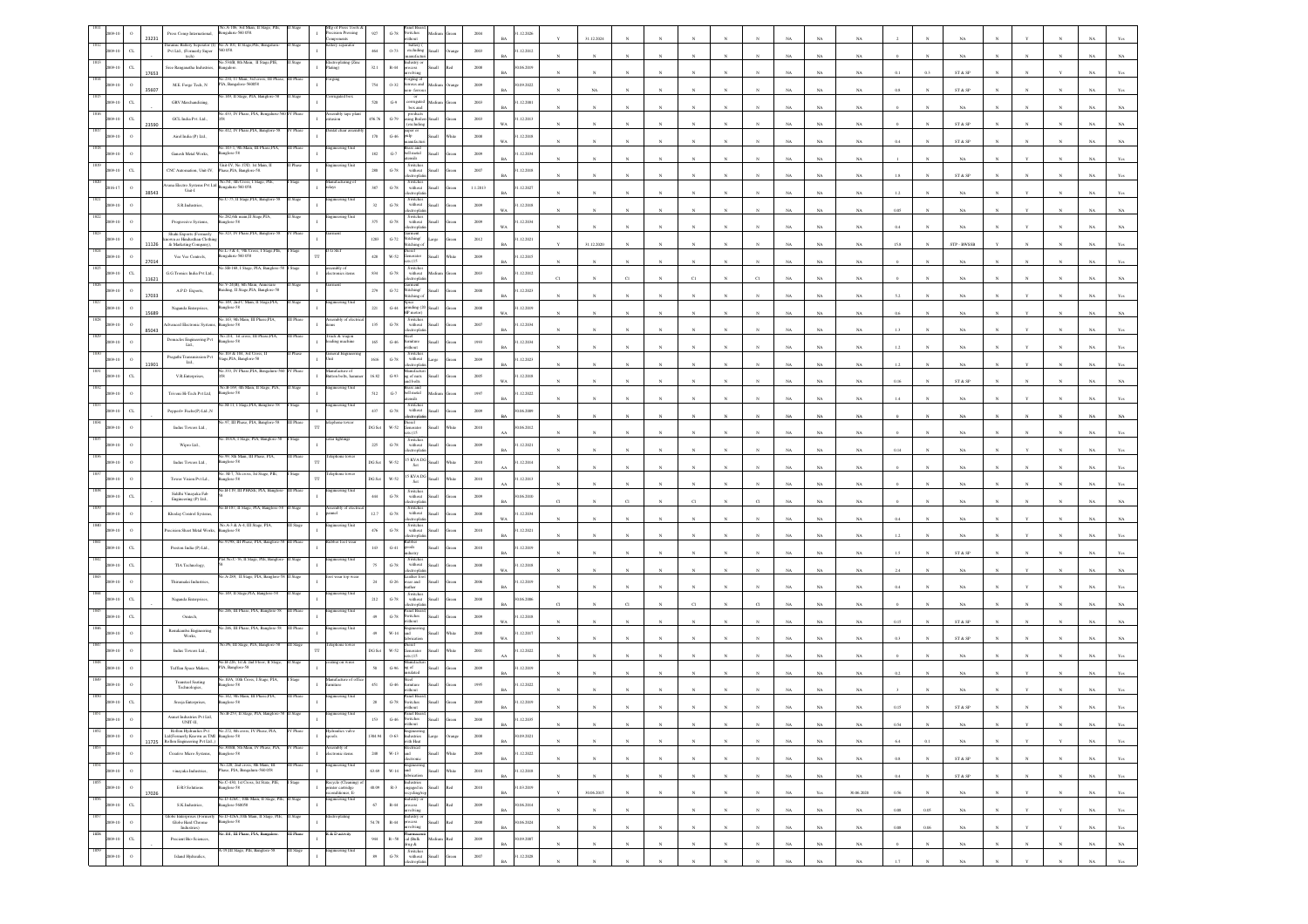|                 | 23231                | Press Comp International,                           | éo.A-106, 3rd Mian, II Stage, PII<br>engalaru-560 058.                                                                                                          |                  | Ifg of Press Tools<br>recision Pressing                                               | $927\,$                | $\mbox{G-}78$            | witches<br>ithout                                                                                                                                                         |                       | 2004             | .12.2026                 |   | 31.12.2024       |              |            |              |                |              |             |             |             |             |              |                         |              |              |              |             |                |
|-----------------|----------------------|-----------------------------------------------------|-----------------------------------------------------------------------------------------------------------------------------------------------------------------|------------------|---------------------------------------------------------------------------------------|------------------------|--------------------------|---------------------------------------------------------------------------------------------------------------------------------------------------------------------------|-----------------------|------------------|--------------------------|---|------------------|--------------|------------|--------------|----------------|--------------|-------------|-------------|-------------|-------------|--------------|-------------------------|--------------|--------------|--------------|-------------|----------------|
|                 | $\sigma$             | Pvt Ltd., (Formerly Super<br>tech)                  | Iuramic Battery Seperator (I) No.A-101, II Stage, PIE, Bengal<br>560 058                                                                                        |                  | ery sepan                                                                             | 464                    | $0-73$                   | battery (<br>excluding                                                                                                                                                    | Small                 | 2003             | 1.12.2012                |   |                  |              |            |              |                |              |             | NA          | $_{\rm NA}$ |             |              | NA                      |              |              |              |             |                |
|                 | $_{\rm CL}$<br>17653 | Sree Ranganatha Industries,                         | No.534/B, 8th Main, 11 Stage,PIE,                                                                                                                               |                  | ectroplating (Zir<br>cing)                                                            | $32.1\,$               | $_{\rm R-44}$            | idustry o<br>lving                                                                                                                                                        | iks                   | $2008\,$         | 0.06.2019<br><b>BA</b>   |   |                  |              |            |              |                |              |             | NA          | NA          |             |              | ST & SP                 |              |              |              |             |                |
|                 | $\circ$<br>35607     | M.E. Forge Tech, ${\rm N}$                          | No.234, 11 Main, 3ed cros<br>PIA, Bangalore-560058                                                                                                              |                  | rging                                                                                 | 754                    | $0 - 32$                 | orging of<br>ous and<br>on-ferro                                                                                                                                          | Medium                | 2009             | 0.09.2022<br>RA          |   | NA               |              |            |              |                |              |             | NA          | NA          | 0.8         |              | ST & SP                 |              |              |              |             |                |
|                 | $\alpha$             | <b>GRV</b> Marchandizing                            | 149, II Stage, PIA, Bang                                                                                                                                        |                  |                                                                                       | 520                    | $G-9$                    | or<br>corrugated<br>box and                                                                                                                                               |                       | 2003             | 1.12.2001                |   |                  |              |            |              |                |              |             | NA          | $_{\rm NA}$ |             |              | $_{\rm NA}$             |              |              |              |             |                |
|                 | $_{\rm CL}$<br>23590 | GCL India Pvt. Ltd., $\,$                           | 40.433, IV Phase, PIA, Bengaluru-5                                                                                                                              |                  | sembly tape pl<br>tasion                                                              | 456.76                 | $\operatorname{G-79}$    | products<br>sing Boile<br>excluding                                                                                                                                       |                       | $2003\,$         | 1.12.2013<br>WA.         |   |                  |              |            |              |                |              |             | NA          | NA          |             |              | ST & SP                 |              |              |              |             |                |
|                 |                      | Airel India (P) Ltd.,                               | 412, IV Phase, PIA, Bangk                                                                                                                                       |                  |                                                                                       | $170\,$                | $G-46$                   | aper o<br>pulp                                                                                                                                                            | <b>Ham</b>            | 2008             | 1.12.2018<br><b>WA</b>   |   |                  |              |            |              |                |              |             | NA          | NA          | 0.4         |              | ST & SP                 |              |              |              |             |                |
|                 |                      | Ganesh Metal Works,                                 | o.143-1, 9th Main, III Phase, PIA,<br>nglore-58                                                                                                                 |                  | teering Unit                                                                          | $182\,$                | $\mbox{G-7}$             | ass and<br>eell metal<br>stensils                                                                                                                                         |                       | 2009             | .12.2034                 |   |                  |              |            |              |                |              |             | NA          | $_{\rm NA}$ |             |              | $_{\rm NA}$             |              |              |              |             |                |
|                 |                      | CNC Automation, Unit-IV,                            | Unit-IV, No. 17(D. 1st Main.<br>ase,PIA, Banglore-58.                                                                                                           |                  |                                                                                       | 280                    | $\,$ G-78 $\,$           | Switche<br>$% \left\vert \left( \mathbf{1}_{\mathbf{1}_{\mathbf{1}}},\mathbf{1}_{\mathbf{1}_{\mathbf{2}}},\mathbf{1}_{\mathbf{2}}\right) \right\rangle$ without<br>ctroph |                       | 2007             | 1.12.2018                |   |                  |              |            |              |                |              |             | NA          | NA          |             |              | ST & SP                 |              |              |              |             |                |
|                 | 38543                | Unit-I                                              | Vana Electro Systems Pvt Ltd Resortions Ken new                                                                                                                 |                  | nufacturing o<br><b>lavs</b>                                                          | 387                    | $G-78$                   | Switches<br>without<br>ronte                                                                                                                                              | <b>Small</b>          | 1.1.2013         | 1.12.2027                |   |                  |              |            |              |                |              |             | NA          | NA          |             |              | NA                      |              |              |              |             |                |
|                 |                      | S.R.Industries                                      | o.C-75, II Stage, PIA, Banglore-St                                                                                                                              |                  | teering Unit                                                                          | $_{\rm 32}$            | $\mbox{G-}78$            | Switcher<br>$% \left\vert \left( \mathbf{1}_{\mathbf{1}}\right) \right\rangle$ without                                                                                    |                       | $2009\,$         | .12.2018                 |   |                  |              |            |              |                |              |             |             |             |             |              |                         |              |              |              |             |                |
|                 |                      | Progressive Systems,                                | o 282.6th main.II Stage.PIA<br>nglore-58                                                                                                                        |                  |                                                                                       | $375\,$                | $\,$ G-78 $\,$           | <b>troph</b><br>Switches<br>without                                                                                                                                       |                       | 2009             | 1.12.2034                |   |                  |              |            |              |                |              |             | NA          | $_{\rm NA}$ |             |              | $_{\rm NA}$             |              |              |              |             |                |
|                 |                      | Shahi Exports (Formerly<br>wn as Hindusthan Clothis | o.323, IV Phase, PIA, Banglore-58                                                                                                                               |                  |                                                                                       | $1283\,$               | $\mbox{G-}72$            | ctropha<br>Garment<br>Stitching/                                                                                                                                          |                       | 2012             | WA.<br>1.12.2021         |   |                  |              |            |              |                |              |             | NA          | NA          | 0.4         |              | NA                      |              |              |              |             |                |
|                 | 11126                | & Marketing Company),<br>Vee Vee Controls,          | No.L-3 & 4, 9th Cross, I Stage,PIE,<br>ngaluru-560 058                                                                                                          |                  | G SEI<br>TT                                                                           | $428\,$                | $_{\rm W-52}$            | stiching -<br>icid<br>enerator<br>ts (15                                                                                                                                  | llam                  | $2009\,$         | .12.2015                 |   | 31.12.2020       |              |            |              |                |              |             | NA          | $_{\rm NA}$ | 15.8        |              | STP - BWSSB             |              |              |              |             |                |
|                 | 27014<br>$\alpha$    | G.G.Tronics India Pvt Ltd.,                         | Vo.SB-168, I Stage, PIA, Banglore-                                                                                                                              |                  | sembly of<br>ectronics items                                                          | $834\,$                | $\mbox{G-78}$            | Switches<br>without                                                                                                                                                       |                       | 2003             | 1.12.2012                |   |                  |              |            |              |                |              |             | $_{\rm NA}$ | $_{\rm NA}$ |             |              | $_{\rm NA}$             |              |              |              |             |                |
|                 | 11621                | A.P.D Exports,                                      | V-24(B), 6th Main, Ar<br>Buiding, II Stage, PIA, Banglore-58                                                                                                    |                  |                                                                                       | $279\,$                | $G-72$                   | ctrophi<br>ment                                                                                                                                                           | <b>Ilumi</b>          | $2000\,$         | 1.12.2023                |   |                  |              |            |              |                |              |             | NA          | NA          |             |              |                         |              |              |              |             |                |
|                 | 17033                | Naganda Enterprises,                                | o.149, 2nd C Main, II Stage, PIA,<br>nglore-58                                                                                                                  |                  | ineering Uni                                                                          | $221\,$                | $_{\mathrm{G-44}}$       | Stitching/<br>Stitching c<br>inding (20                                                                                                                                   | Small                 | $2008\,$         | RA<br>.12.2019           |   |                  |              |            |              |                |              |             | NA          | $_{\rm NA}$ |             |              |                         |              |              |              |             |                |
|                 | 15689                | dvanced Electronic System                           | o.143, 9th Main, III Phase,PIA<br>nglore-58                                                                                                                     |                  |                                                                                       | $135\,$                | $\mbox{G-78}$            | P motor<br>Switche<br>without                                                                                                                                             |                       | 2007             | 1.12.2034                |   |                  |              |            |              |                |              |             | NA          | NA          |             |              | NA                      |              |              |              |             |                |
|                 | 85043                | Domacles Engineering Pvt $\operatorname{Lid}_\sim$  | No.214, 1st cross, III Phase, PIA,<br>nglore-58                                                                                                                 | <b>III</b> Phase | ruck & wagon<br>uding machine                                                         | $165\,$                | $\mbox{G-46}$            | tronla<br>amiture                                                                                                                                                         |                       | 1993             | R4<br>.12.2034           |   |                  |              |            |              |                |              |             | NA          | $_{\rm NA}$ | 13          |              | NA                      |              |              |              |             |                |
|                 |                      | Pragathi Transmission Pvt                           | 103 & 104, 3rd Cross,<br>ge,PIA, Banglore-58                                                                                                                    |                  | eral Eng                                                                              | 1616                   | $\operatorname{G-78}$    | Switch<br>with out                                                                                                                                                        | arge                  | $2009\,$         | <b>BA</b><br>.12.2023    |   |                  |              |            |              |                |              |             | NA          | $_{\rm NA}$ | 1.2         |              | $_{\rm NA}$             |              |              |              |             |                |
|                 | 11901<br>$\alpha$    | Ltd.,<br>V.R.Enterprises,                           | 333, IV Phase, PIA,                                                                                                                                             |                  | ifacture o<br>utton bolts, han                                                        | 16.82                  | $G-93$                   | ctroph                                                                                                                                                                    |                       | 2005             | 1.12.2018                |   |                  |              |            |              |                |              |             | NA          | NA          | 1.2         |              | NA                      |              |              |              |             |                |
|                 |                      | Triveni Hi-Tech Pvt Ltd,                            | No.B-169, 4th Main, II Stage, PIA.<br>nglore-58                                                                                                                 |                  | ineering Unit                                                                         | 512                    | $\mbox{G-7}$             | ng of nuts<br>and bolts<br>rass and<br>ell metal                                                                                                                          |                       | $1997\,$         | .12.2022                 |   |                  |              |            |              |                |              |             | NA          | NA.         | 0.16        |              | ST & SP                 |              |              |              |             |                |
|                 |                      | Pepperl+ Fuchs(P) Ltd.,N                            | M-11, I Stare PLA                                                                                                                                               |                  |                                                                                       | 437                    | $\operatorname{G-78}$    | Switches<br>without                                                                                                                                                       |                       | 2009             | 1.06.2009                |   |                  |              |            |              |                |              |             | NA          | NA          |             |              |                         |              |              |              |             |                |
|                 |                      |                                                     | .97, III Phase, PIA, Banglore-58                                                                                                                                |                  | phone towe                                                                            | DG Se                  | $W-52$                   | ctron<br>iesel                                                                                                                                                            |                       | 2010             | 0.06.2012                |   |                  |              |            |              |                |              |             | NA          | NA          |             |              | NA                      |              |              |              |             |                |
|                 |                      | Indus Towers Ltd.,                                  | o.183/A, I Stage, PIA, Banglore-59                                                                                                                              | Stage            | lar lighting                                                                          | $225\,$                | $\,$ G-78 $\,$           | Jenerator<br>ets (15<br>Switches<br>without                                                                                                                               |                       | $2009\,$         | 1.12.2021                |   |                  |              |            |              |                |              |             | NA          | $_{\rm NA}$ |             |              |                         |              |              |              |             |                |
|                 |                      | Wipro Ltd.,<br>Indus Towers Ltd.,                   | 0.99, 8th Main, III Phase, PIA,                                                                                                                                 |                  |                                                                                       | DG Se                  | W-52                     | ctroph<br>15 KVA DG<br>Set                                                                                                                                                |                       | 2010             | 1.12.2014                |   |                  |              |            |              |                |              |             | $_{\rm NA}$ | $_{\rm NA}$ | 0.14        |              | NA                      |              |              |              |             |                |
|                 |                      |                                                     | nglore-58<br>. M-7, 7th cross, Ist<br>inglore-58                                                                                                                |                  |                                                                                       |                        | W-52                     | 15 KVA DG                                                                                                                                                                 |                       |                  |                          |   |                  |              |            |              |                |              |             | NA.         | NA          |             |              | NA                      |              |              |              |             |                |
|                 |                      | Tower Vision Pvt Ld.,<br>Siddhi Vinayaka Fab        | Vo.B-119, III PHASE, PIA, Bangker                                                                                                                               | <b>III</b> Phase | neering Uni                                                                           | $DG$ $S$ et<br>$444\,$ |                          | $\operatorname{\mathsf{Set}}$<br>Switches                                                                                                                                 |                       | 2010             | 1.12.2013                |   |                  |              |            |              |                |              |             | $_{\rm NA}$ | $_{\rm NA}$ |             |              |                         |              |              |              |             |                |
|                 | $\alpha$             | Engineering (P) Ltd.,<br>Khoday Control Systems     | o.B-187, II Stage, PIA, Banglore-St                                                                                                                             |                  |                                                                                       | 12.7                   | $G-78$<br>$\,$ G-78 $\,$ | without<br>ctroph<br>Switche                                                                                                                                              |                       | $2009\,$<br>2008 | 0.06.2010<br>.12.2034    |   |                  |              |            |              |                |              |             | NA          | NA          |             |              |                         |              |              |              |             |                |
|                 |                      |                                                     | No.A-3 & A-4, III Stage, PIA                                                                                                                                    |                  | eering Unit                                                                           |                        | $G-78$                   | without<br>rords<br>Switcher                                                                                                                                              | Iliami                |                  | WA.                      |   |                  |              |            |              |                |              |             | NA          | NA          |             |              | NA.                     |              |              |              |             |                |
|                 |                      | recision Sheet Metal Works.                         | nglore-58<br>.97/98, III Phase, PIA, Banglore-                                                                                                                  | II Phas          | ber foot w                                                                            | $476\,$                |                          | without<br>electroplati<br>ubber<br><sub>1</sub> 00ds                                                                                                                     | llam                  | 2010             | 1.12.2021                |   |                  |              |            |              |                |              |             | NA          | $_{\rm NA}$ | 1.2         |              | $_{\rm NA}$             |              |              |              |             |                |
|                 | $\alpha$             | Preston India (P) Ltd.,                             | No.C-76, II Stage, PIE,                                                                                                                                         |                  | ering U                                                                               | $143\,$                | $_{\mathrm{G-}41}$       | <b>fustry</b><br>Switches<br>without                                                                                                                                      |                       | 2010             | .12.2019                 |   |                  |              |            |              |                |              |             | NA          | NA          | 1.5         |              | ST & SP                 |              |              |              |             |                |
|                 | $\alpha$             | TIA Technology,                                     | A-289, Il Stage, PIA, Banglo                                                                                                                                    |                  | t wear top we                                                                         | 75                     | $\mbox{G-}78$            | mont<br>ather fo                                                                                                                                                          | <b>Illett</b>         | 2008             | .12.2018<br>WA           |   |                  |              |            |              |                |              |             | NA          | NA          | 2.4         |              | NA                      |              |              |              |             |                |
|                 |                      | Thirumalai Industries,                              | 49. II State, PIA, I                                                                                                                                            |                  |                                                                                       | $\bf 24$               | $\,$ G-26 $\,$           | ear and<br>ather<br>Switches<br>without                                                                                                                                   |                       | $\,2006$         | .12.2019                 |   |                  |              |            |              |                |              |             | NA          | $_{\rm NA}$ |             |              | $_{\rm NA}$             |              |              |              |             |                |
|                 |                      | Naganda Enterprises,                                | 246, III Phase, PIA, Banglore-51                                                                                                                                |                  | eering Uni                                                                            | 212                    | $\,$ G-78 $\,$           | anel Boar                                                                                                                                                                 |                       | $2008\,$         | 0.6.2006                 |   |                  |              |            |              |                |              |             |             |             |             |              |                         |              |              |              |             |                |
|                 | $\alpha$             | Ontech,                                             | 0.246. III Phase, PIA, Banglore-5                                                                                                                               |                  | ering Un                                                                              | 49                     | $G-78$                   | <b>Switches</b><br>ithout                                                                                                                                                 | <b>Illami</b>         | 2009             | .12.2018<br>WA           |   |                  |              |            |              |                |              |             | NA          | $_{\rm NA}$ | 0.15        |              | ST & SP                 |              |              |              |             |                |
|                 |                      | ${\bf Renukamba \; Engineering}\\ {\bf Works,}$     | o.P6, III Stage, PIA, Banglore-58                                                                                                                               |                  | shone toy                                                                             | 49                     | $_{\rm W\text{-}14}$     | icid                                                                                                                                                                      |                       | $2008\,$         | .12.2017                 |   |                  |              |            |              |                |              |             | NA          | $_{\rm NA}$ |             |              | ST & SP                 |              |              |              |             |                |
|                 |                      | Indus Towers Ltd.,                                  | .B-226, 1st & 2nd Floor,                                                                                                                                        |                  | ng on wire                                                                            | DG Se                  | W-52                     | ienerator<br>28 (15                                                                                                                                                       |                       | 2001             | 1.12.2022                |   |                  |              |            |              |                |              |             | NA          |             |             |              | NA.                     |              |              |              |             |                |
|                 |                      | Tufflan Space Makers,                               | <sup>2</sup> IA, Banglore-58<br>10/A. 10th Cross, I Stage, PIA                                                                                                  |                  | unfacture o                                                                           | 50                     | $G-96$                   | ng of                                                                                                                                                                     |                       | 2009             | .12.2019                 |   |                  |              |            |              |                |              |             | NA          | $_{\rm NA}$ |             |              | NA                      |              |              |              |             |                |
|                 |                      | Transteel Seating<br>Technologies,                  | splore-58<br>.142, 9th Main, III                                                                                                                                |                  | gineering U                                                                           | 451                    | $_{\mathrm{G-46}}$       | anel Boa                                                                                                                                                                  |                       | 1995             | .12.2022                 |   |                  |              |            |              |                |              |             | NA          | $_{\rm NA}$ |             |              | NA                      |              |              |              |             |                |
|                 | $\alpha$             | Sreeja Enterprises,<br>Asmet Industries Pvt Ltd     | aglore-58                                                                                                                                                       |                  |                                                                                       | 28                     | $\mbox{G-}78$            | witches                                                                                                                                                                   |                       | 2009             | 12.2019                  |   |                  |              |            |              |                |              |             |             |             |             |              | ST & S                  |              |              |              |             |                |
| 1852            |                      |                                                     | $\label{eq:normalization}$ Rollon Hydraulics Pvt<br>$\begin{array}{l} \text{No.272, 8th cross, IV Phase, PIA,} \\ \text{Laf (Formerly Known as TM} \end{array}$ | IV Phase         | draulies valve                                                                        |                        | $G-46$                   |                                                                                                                                                                           |                       | 2008             | .12.2035<br>BA           |   |                  | $_{\rm N}$   |            |              |                |              | $_{\rm NA}$ | $_{\rm NA}$ | $_{\rm NA}$ | 0.54        | ${\bf N}$    | $_{\rm NA}$             |              |              |              | NA          | Yes            |
| 2009-10<br>1853 | $\,$ 0 $\,$          | 11725 Rollon Engineering Pvt Ltd.,)                 | o.300'B, 5th Main, IV Phase, PIA,                                                                                                                               | / Phas           | $\frac{1}{2}$<br>embly of                                                             | 1304.94                | $0.63\,$                 | Engineering<br>Industries<br>with Heat                                                                                                                                    | Large<br>rang         | $2008\,$         | 0.09.2021<br>BA          |   | $_{\rm N}$       |              |            | $\mathbb{N}$ |                |              | $_{\rm NA}$ | $_{\rm NA}$ | $_{\rm NA}$ | 6.4         | 0.1          | $_{\rm NA}$             |              |              |              | $_{\rm NA}$ | Yes            |
| 009-10<br>1854  | $\alpha$             | Creative Micro Systems,                             | Banglore-58<br>No.220, 2nd cross, 8th Main, III                                                                                                                 | III Phase        | $\mathbf{I}$<br>ectronic items<br>ngineering Unit                                     | $2\,48$                | $W-13$                   | Electrical<br>and<br>electronic                                                                                                                                           | Small<br>Vhite        | 2009             | 1.12.2022<br>BA          |   | $_{\rm N}$       | $\mathbf{N}$ | $_{\rm N}$ | $\mathbf{N}$ | $\mathbf{N}$   | $_{\rm N}$   | NA          | NA          | NA          | 0.8         | $\mathbf{N}$ | ST & SP                 | N            | $\mathbb{N}$ | $\mathbf{N}$ | NA          | Yes            |
| 2009-10<br>1855 | $\,$ 0 $\,$          | vinayaka Industries,                                | Phase, PIA, Bengaluru-560 058<br>No.C-430, 1st Cross, 1st State, PIE,                                                                                           |                  |                                                                                       | 63.69                  |                          | Engineering<br>W-14 and<br>fabrication                                                                                                                                    | Small<br>Vhite        | $2010\,$         | 1.12.2018<br>$_{\rm BA}$ |   | $_{\rm N}$       | $_{\rm N}$   |            | $\bar{N}$    | $\overline{N}$ |              | $_{\rm NA}$ | $_{\rm NA}$ | $_{\rm NA}$ | $0.4\,$     |              | ${\tt ST}$ & ${\tt SP}$ |              |              |              | $_{\rm NA}$ | $\mathbf{Yes}$ |
| 2009-10<br>1856 | $\,$ $\,$<br>17026   | $\operatorname{E-R3}$ Solutions                     | inglore-58<br>No.D-426/C, 10th Main, II Stage, PIE, II Stage                                                                                                    |                  | Recycle (Cleanin<br>>rinter cartridge<br>$\;$ I<br>conditioner, E-<br>ngineering Unit | 40.09                  |                          | $\,$ R-3 $\,$ $\,$ engaged in $\,$ Small $\,$<br>ecycling/rep                                                                                                             | $_{\rm Red}$          | $2010\,$         | 1.03.2019<br><b>BA</b>   |   | 30.06.2015       | $_{\rm N}$   | $_{\rm N}$ | $_{\rm N}$   | $_{\rm N}$     | $_{\rm N}$   | $_{\rm NA}$ | Yes         | 30.06.2020  | 0.56        |              | NA                      |              | Y            | $_{\rm N}$   | $_{\rm NA}$ | Yes            |
| 2009-10<br>1857 | $_{\rm CL}$          | S.K.Industries,                                     | Banglore-560058<br>Globe Enterprises (Formerly No.D-426A,10th Main, II Stage, PIE, II Stage                                                                     |                  | <b>Introplating</b>                                                                   | $67\,$                 |                          | $\begin{tabular}{ll} \bf R-44 & \tt{Industry} \, or \\ & \tt{process} \\ & \tt{involving} \end{tabular}$                                                                  | Small Red             | $2009\,$         | 30.06.2014<br><b>BA</b>  |   | $\boldsymbol{N}$ | $\mathbf{N}$ |            | $\mathbf{N}$ | $\mathbf{N}$   | $\mathbf{N}$ | $_{\rm NA}$ | $_{\rm NA}$ | $_{\rm NA}$ | $0.08\,$    | $0.05\,$     | $_{\rm NA}$             | $\mathbf{N}$ | Y            | $\mathbf{Y}$ | $_{\rm NA}$ | $\mathbf{Yes}$ |
| 2009-10         | $\,$ 0 $\,$          | Globe Hard Chrome<br>Industries)                    | inglore-58<br>o.101, III Phase, PIA, Bangalore.                                                                                                                 | III Phase        | R & D activity                                                                        | 54.78                  | $_{\rm R-44}$            | Industry or<br>process<br>olving                                                                                                                                          | Small<br>$_{\rm Red}$ | $2008\,$         | 0.06.2024<br>$_{\rm BA}$ |   | $_{\rm N}$       | $_{\rm N}$   |            | $_{\rm N}$   | $\overline{N}$ | $\bar{N}$    | $_{\rm NA}$ | $_{\rm NA}$ | $_{\rm NA}$ | $0.08\,$    | $0.06\,$     | $_{\rm NA}$             |              |              |              | $_{\rm NA}$ | $\mathbf{Yes}$ |
| 1858<br>2009-10 | $_{\rm CL}$          | Precient Bio-Sciences,                              | -19,III Stage, PIE, Banglore-58                                                                                                                                 |                  |                                                                                       | $\,944$                |                          | Pharmaces<br>R-58 cal (Bulk<br>drug &                                                                                                                                     | kal<br>Medium         | $2009\,$         | 0.09.2007<br>$_{\rm BA}$ | N | $_{\rm N}$       | $\mathbf{N}$ | $_{\rm N}$ | $_{\rm N}$   | $_{\rm N}$     | $_{\rm N}$   | $_{\rm NA}$ | $_{\rm NA}$ | $_{\rm NA}$ | $\mathbf 0$ | $\mathbf N$  | $_{\rm NA}$             |              | $_{\rm N}$   | $_{\rm N}$   | $_{\rm NA}$ | $_{\rm NA}$    |
| 1859<br>009-10  | $\,$ 0 $\,$          | Island Hydraulics,                                  |                                                                                                                                                                 | III Stage        | agineering Unit                                                                       | $^{\rm 89}$            | $\,$ G-78 $\,$           | Switches<br>without<br>electroplatin                                                                                                                                      | Small                 | $2007\,$         | 1.12.2028<br>RA          |   | $\bar{N}$        |              |            | $\mathbf{x}$ | $\mathbf{x}$   |              | $_{\rm NA}$ | NA          | NA          | 1.7         | $\mathbf{N}$ | $_{\rm NA}$             |              |              | $\mathbf{N}$ | $_{\rm NA}$ | $\mathbf{Yes}$ |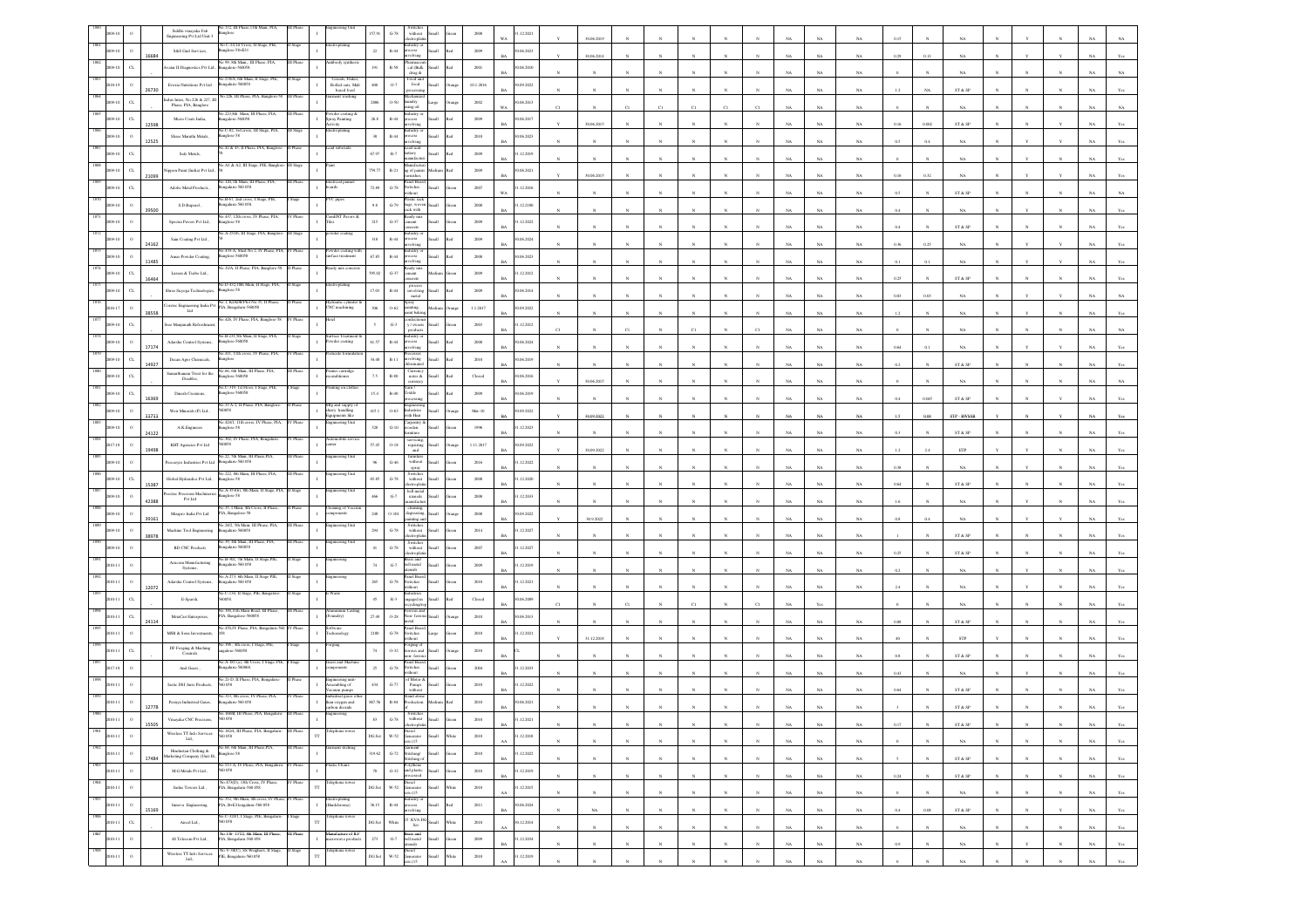|                  |                             | Siddhi vinayaka Fab<br>Engineering Pvt Ltd Unit-3                    | 172, III Pha<br>iglore                                             |           |                                                                 | 157.9         | $\mbox{G-}78$                   | $% \left( \left\vert \mathcal{L}_{\mathcal{A}}\right\vert \right)$ without<br>exropha                                        |                     | 2008                    | 12.2021                 | 30.06.2019   |                       |              |              |                       |              |             |             |             |           |             |                              |              |              |             |                                  |
|------------------|-----------------------------|----------------------------------------------------------------------|--------------------------------------------------------------------|-----------|-----------------------------------------------------------------|---------------|---------------------------------|------------------------------------------------------------------------------------------------------------------------------|---------------------|-------------------------|-------------------------|--------------|-----------------------|--------------|--------------|-----------------------|--------------|-------------|-------------|-------------|-----------|-------------|------------------------------|--------------|--------------|-------------|----------------------------------|
|                  | $\circ$<br>16684            | S&S Gud Services,                                                    | No C-24,1st Cross, II Stage, PIE<br>Banglore-584E31                |           |                                                                 | $\bf 22$      | $\mathbb{R}{\text{-}}44$        | dustry or<br>xess<br>olving                                                                                                  | llum                | 2009                    | 0.06.2023               | 30.06.2014   |                       |              |              |                       |              |             | NA          | NA          | 0.29      |             |                              |              |              |             |                                  |
|                  | $_{\rm CL}$                 | vatar II Diagnostics Pvt Ltd.,                                       | 99, 8th Main., III<br>ngalore-560058                               |           |                                                                 | 191           | $R-58$                          | cal (Balk<br>drug &                                                                                                          | <b>Small</b><br>hd. | $2001\,$                | 0.06.2010<br>RA         |              |                       |              |              |                       |              |             | NA          |             |           |             | NA                           |              |              |             |                                  |
|                  | 26730                       | Evexia Nutritions Pvt Ltd                                            | 0.278/A, 6th Main, I<br>galaru-560058                              |           | Cereals, Flaker<br>Rolled oats, Malt<br>based food              | $400 -$       | 0.7                             | Food and<br>food                                                                                                             |                     | 10.1.2016               | 0.09.2022               |              |                       |              |              |                       |              |             | NA          | NA          |           |             | ST & SP                      |              |              |             |                                  |
|                  | $\alpha$                    | dus Intex, No.226 & 227, III<br>Phase, PIA, Banglore                 | 226, III Phas                                                      |           |                                                                 | 2886          | 0.50                            | undry<br>الأو ما                                                                                                             |                     | 2002                    | 0.06.2013               |              |                       |              |              |                       |              |             | NA          | NA.         |           |             | NA                           |              |              |             |                                  |
|                  |                             | Micro Coats India,                                                   | 223,8th Main, III Phase, PIA,<br>ealore-560058                     |           | wder coating &<br>pray Painting                                 | $26.8\,$      | $\mathbb{R}\text{-}44$          |                                                                                                                              |                     | 2009                    | 1.06.2017               |              |                       |              |              |                       |              |             |             |             | 0.16      |             |                              |              |              |             |                                  |
|                  | 12598                       | Shree Maruthi Metals,                                                | a.C-82, 3rd cross, 1<br>nglore-58                                  |           |                                                                 | 30            | $_{\rm R-44}$                   |                                                                                                                              |                     | $2010\,$                | 06.2023                 | 30.06.2015   |                       |              |              |                       |              |             | NA          | NA          |           |             | ST & SP                      |              |              |             |                                  |
|                  | 12525                       | Safe Metals,                                                         | io.42 & 43, II Phase, PIA, Bangl                                   |           | ad suboxide                                                     | 67.97         | $\mathbb{R}.7$                  | ead acid<br>attery                                                                                                           |                     | 2009                    | 1.12.2019               |              |                       |              |              |                       |              |             | NA          | NA          |           |             | NA                           |              |              |             |                                  |
|                  | $_{\mbox{\scriptsize{CL}}}$ | ppon Paint (India) Pvt Ltd.                                          | Vo.A1 & A2, III Stage, PIE, Bangli                                 |           |                                                                 | 759.77        | $R-21$                          | anufact<br>g of paint                                                                                                        |                     | $2009\,$                | 06.2021                 |              |                       |              |              |                       |              |             | $_{\rm NA}$ | NA          |           |             | NA                           |              |              |             |                                  |
|                  | 21099<br>$\alpha$           | Adobe Metal Products,                                                | .120,7th Main, III Phase, PLA<br>ngalaru-560 058                   |           |                                                                 | 72.89         | $G-78$                          | Panel Boa<br>Switches                                                                                                        |                     | 2007                    | .12.2016                | 30.06.2015   |                       |              |              |                       |              |             | NA          | $_{\rm NA}$ | 0.16      | 0.32        | NA                           |              |              |             |                                  |
|                  |                             | S.D.Ruparel                                                          | 40.B-67, 2nd cross, I Stage, PIE,<br>ngalaru-560 058.              |           |                                                                 | 9.8           | $G-79$                          | ithout<br>lastic sack<br>ags, wove                                                                                           |                     | 2008                    | 1.12.2100               |              |                       |              |              |                       |              |             | NA          | NA          |           |             | ST & SP                      |              |              |             |                                  |
|                  | 39500                       | Spectra Pavers Pvt Ltd.,                                             | o.437, 12th cross, IV Phase, PIA,<br>nglore-58                     |           | emENT Pavers                                                    | $215\,$       | $G - 37$                        | ack with<br>cady mi<br>$\sum_{i=1}^{n}$                                                                                      |                     | 2009                    | .12.2022                |              |                       |              |              |                       |              |             | NA          | $_{\rm NA}$ | 0.4       |             | $_{\rm NA}$                  |              |              |             |                                  |
|                  |                             | Sain Coating Pvt Ltd.,                                               | A-25/26, III Stage, PIA, Bang                                      |           |                                                                 | $318\,$       | $\mathbb{R}\text{-}44$          | <b>set</b><br><b>cess</b>                                                                                                    |                     | 2009                    | 06.2024                 |              |                       |              |              |                       |              |             | NA          | NA          |           |             | ${\rm ST}$ & ${\rm SP}$      |              |              |             |                                  |
|                  | 24162                       |                                                                      | 470-A, Shed No 2                                                   |           | vder coating                                                    |               |                                 | olving                                                                                                                       |                     |                         | RA                      |              |                       |              |              |                       |              |             | NA          | NA          | 0.36      | 0.25        | NA                           |              |              |             |                                  |
|                  | 11485                       | Amar Powder Coating,                                                 | inglore-560058<br>40.32/A, II Phase, PIA, Banglore-3               |           | rface treatment<br>dy mix con                                   | 67.85         | $\mathbb{R}\text{-}44$          | cess<br>eady mi<br>ment                                                                                                      | <b>Iliami</b><br>h. | $2008\,$                | 0.06.2023               |              |                       |              |              |                       |              |             | NA          | $_{\rm NA}$ | 0.1       |             | $_{\rm NA}$                  |              |              |             |                                  |
|                  | $\alpha$<br>16464           | Larsen & Turbo Ltd.,                                                 | D-432.10th Mai                                                     |           |                                                                 | 995.02        | $G-37$                          |                                                                                                                              |                     | $2009\,$                | .12.2012                |              |                       |              |              |                       |              |             | NA          | NA          | 0.25      |             | ST & SP                      |              |              |             |                                  |
|                  | $_{\rm CL}$                 | Shree Suyoga Technologies,                                           | nglore-58<br>40.1, KIADB Plot No.35, II PI                         |           | ydraulic cylinde                                                | 17.03         | $\mathbb{R}\text{-}44$          | process<br>involving<br>metal                                                                                                | Hatt                | 2009                    | 0.06.2014<br>RA         |              |                       |              |              |                       |              |             | NA          | NA          | 0.03      | 0.03        | NA.                          |              |              |             |                                  |
|                  | 38558                       | Coretec Engineering India Pvt                                        | 3A, Bengaluru-560058<br>426. IV Phase, PIA                         |           | NC machining                                                    | 306           | $0.62\,$                        | iting.<br>it bak                                                                                                             |                     | 1.1.2017                | 1.09.2022               |              |                       |              |              |                       |              |             | NA          | $_{\rm NA}$ |           |             | $_{\rm NA}$                  |              |              |             |                                  |
|                  |                             | ree Manjunath Refreshr                                               | o.B-231,5th Main, II Stage, PIA,                                   |           | rface Treatment à                                               |               | $G-3$                           |                                                                                                                              |                     | 2003                    | .12.2012                |              |                       |              | C1           |                       |              |             | NA          | NA          |           |             | NA                           |              |              |             |                                  |
|                  | 17174                       | Adarsha Control Systems                                              | inglore-560058<br>o.411, 11th cross, IV Phase, PL                  |           | wder coating                                                    | 61.57         | $R-44$                          | xess                                                                                                                         |                     | 2008                    | 0.6.2024<br><b>BA</b>   |              |                       |              |              |                       |              |             | $_{\rm NA}$ | NA          | 0.64      | 0.1         | NA                           |              |              |             |                                  |
|                  | 14927                       | Decan Agro Chemicals,                                                | nglore<br>o.66. 6th Main. III Phase. PLA                           |           | nter cartridg                                                   | 34.48         | $\mathbb{R}\text{-}11$          | volving                                                                                                                      |                     | $2010\,$                | 06.2019                 |              |                       |              |              |                       |              |             | NA          | $_{\rm NA}$ | 0.2       |             | ST & SP                      |              |              |             |                                  |
|                  |                             | Samarthanam Trust for the<br>Disables,                               | nglore-560058                                                      |           | iditiones                                                       | $7.5\,$       | $\mathbb{R}\text{-}\mathrm{S}0$ | Currency<br>notes &                                                                                                          |                     | $\operatorname{Closed}$ | 0.06.2016               | 30.06.2015   |                       |              |              |                       |              |             | NA          |             |           |             |                              |              |              |             |                                  |
|                  | $\alpha$<br>16369           | Dinesh Creations                                                     | o.C-319, 1st Floor, I Stage, PIE,<br>inglore-560058.               |           | ting on clot                                                    | $15.4\,$      | $R-40$                          | arn.<br>Textile                                                                                                              |                     | 2009                    | 0.06.2019               |              |                       |              |              |                       |              |             | NA          | $_{\rm NA}$ | 0.4       | 0.04        | $\text{ST} \ \& \ \text{SP}$ |              |              |             |                                  |
|                  | 11711                       | Weir Minerals (P) Ltd.,                                              | o.33 A-2, Il Phase, PIA, Banglor<br>0058                           |           | fig and supply<br>lurry handling<br>nents like                  | 415.1         | $0 - 63$                        | ndustries<br>vith Heat                                                                                                       |                     | Mar-10                  | 1.09.2022               | 30.09.2022   |                       |              |              |                       |              |             | NA          | $_{\rm NA}$ |           | 0.08        | STP - BWSSB                  |              |              |             |                                  |
|                  | 24122                       | A.K. Engineers                                                       | o.424/1, 11th cross, IV Phase, PIA,<br>nglore-58                   |           | neering Un                                                      | $328\,$       | $G-10$                          | arpentry<br>ooden<br>niture                                                                                                  |                     | 1996                    | 1.12.2023               |              |                       |              |              |                       |              |             | NA          | NA          | 0.3       |             | ST & SP                      |              |              |             |                                  |
|                  | 19498                       | KHT Agencies Pvt Ltd                                                 | 302, IV Phase, PIA, Be<br>60058                                    |           | nter                                                            | 57.45         | $0-18$                          | servicin<br>$\displaystyle{\operatorname*{repairing}_{\text{and}}}$                                                          | <b>Iliam</b>        | 1.11.2017               | 0.09.2022               | 30.09.2022   |                       |              |              |                       |              |             | NA          | $_{\rm NA}$ | 1.2       |             | $\ensuremath{\mathrm{ETP}}$  |              |              |             |                                  |
|                  |                             | ecceeyes Industries Pvt Ltd                                          | 40.22, 5th Main, III Phase, PLA<br>ngaluru-560 058                 |           | eering Uni                                                      | 96            | $_{\mathrm{G-46}}$              | $% \left\vert \left( \mathbf{r}_{i}\right) \right\rangle$ without<br>spray                                                   | Ilamõ               | $2016\,$                | .12.2022                |              |                       |              |              |                       |              |             | $_{\rm NA}$ | NA          | 0.38      |             | NA                           |              |              |             |                                  |
|                  | $\alpha$<br>15387           | Global Hydraulics Pvt Ltd.,                                          | o 222. 8th Main, III Phase, PL<br>nglore-58                        |           | neering U                                                       | 65.85         | $G-78$                          | switche<br>without<br>monitor                                                                                                | Iliami              | 2008                    | 1.12.2020               |              |                       |              |              |                       |              |             | NA          | NA.         | 0.64      |             | ST & SP                      |              |              |             |                                  |
|                  | 42388                       | recitec Precision Machineri<br>Pvt Ltd                               | Vo.A-353(b), 8th Main, II Stage, PI<br>nglore-58                   |           | teering Unit                                                    | 466           | $\mbox{G-7}$                    | bell metal<br>utensils                                                                                                       |                     | $2008\,$                | .12.2033                |              |                       |              |              |                       |              |             |             |             |           |             |                              |              |              |             |                                  |
|                  | 19161                       | Mirapro India $\mbox{Pvt}\,\mbox{Lnd}$                               | 35.1 Main, 4th<br>A, Bangalore-58                                  |           | ing of '<br>>onents                                             | $248\,$       | $0 - 101$                       |                                                                                                                              |                     | $2008\,$                | 0.09.2022               | 30.9.2022    |                       |              |              |                       |              |             | NA          | NA          | 0.8       |             | NA                           |              |              |             |                                  |
|                  | 38978                       | Machine Tool Engineering                                             | 40.24/2, 5th Main, III Phase, PIA,<br>ngalaru-560058               |           | eering Un                                                       | 294           | $G-78$                          | Switches<br>without                                                                                                          |                     | 2014                    | 1.12.2027               |              |                       |              |              |                       |              |             | NA          | NA.         |           |             | ST & SP                      |              |              |             |                                  |
|                  |                             | RD CNC Products                                                      | a.39, 4th Main, III Phase, PIA,<br>sgalaru-560058                  |           | teering Uni                                                     | 41            | $\mbox{G-}78$                   | Switcher<br>$% \left\vert \left( \mathbf{1}_{\mathbf{1}}\right) \right\rangle$ without                                       |                     | 2007                    | .12.2027                |              |                       |              |              |                       |              |             |             |             |           |             |                              |              |              |             |                                  |
|                  |                             | Acucom Manufacturing<br>Systems,                                     | 40.B-302. 7th MaIn. II Stree.PII<br>sgalaru-560 058                |           |                                                                 | $74\,$        | $_{\mathrm{G-7}}$               | hell metal                                                                                                                   |                     | 2009                    | .12.2019                |              |                       |              |              |                       |              |             | NA          | NA          | 0.25      |             | ${\rm ST}$ & ${\rm SP}$      |              |              |             |                                  |
|                  |                             | Adarsha Control Systems                                              | 40.A-273, 6th Main, II Stage PIE<br>ngalaru-560 058                |           |                                                                 | 265           | $G-78$                          | asils<br>anel Boa<br>Switches                                                                                                |                     | 2010                    | 1.12.2021               |              |                       |              |              |                       |              |             | NA          | NA          | 0.2       |             | NA                           |              |              |             |                                  |
|                  | 12072<br>$_{\rm{CL}}$       | E-Sparsh,                                                            | No.C-134, II Stage, PIE, Bangalore<br>0058.                        |           | Waste                                                           | $45\,$        | $\mathbb{R}\text{-}3$           | ithout<br>dustrie<br>gaged in                                                                                                |                     | $\operatorname{Closed}$ | 1.06.2009               |              |                       |              |              |                       |              |             | NA          | NA          |           |             | NA                           |              |              |             |                                  |
|                  | $_{\rm CL}$                 | MetaCast Enterprises,                                                | No.190,11th Main Road, III Phas<br>PIA, Bangalore-560058           |           | undry)                                                          | 27.49         | $0 - 28$                        | ion- fer                                                                                                                     |                     | 2010                    | 0.06.2013               |              |                       |              |              |                       |              |             | Yes         |             |           |             |                              |              |              |             |                                  |
|                  | 24114                       | MSR & Sons Investments                                               | 470,IV Phase, PIA                                                  |           | Váro<br>echonology                                              | 2180          | $G-78$                          | etal<br>anel B<br>switches                                                                                                   |                     | 2010                    | 1.12.2021               |              |                       |              |              |                       |              |             | NA          | NA          | 0.08      |             | ST & SP                      |              |              |             |                                  |
|                  | $\alpha$                    | $\ensuremath{\mathsf{DF}}$ Forging & Maching Controls                | 40.196 , 4th cross, I Stage, PIE,<br>ngalore-560058                |           |                                                                 | $74\,$        | $0 - 32$                        | ithout<br>orging of<br>rrous and                                                                                             |                     | 2010                    |                         | 31.12.2018   |                       |              |              |                       |              |             |             | $_{\rm NA}$ |           |             | ${\tt STP}$                  |              |              |             |                                  |
|                  |                             | Anil Gears,                                                          | o.A-181 (a), 4th Cross, l<br>igalaru-560068.                       |           | ars and Mac<br>onents                                           | $25\,$        | $\mbox{G-}78$                   | el Bo<br>switches                                                                                                            |                     | 2004                    | .12.2033                |              |                       |              |              |                       |              |             | NA          | NA          | 0.8       |             | $ST \& SP$                   |              |              |             |                                  |
|                  |                             | Ixetic DSI Auto Products                                             | Vo.21-D, II Phase, PIA, Benga                                      |           | ineering unit                                                   | $434\,$       | $G-77$                          | ithout<br>of Motor &                                                                                                         |                     |                         |                         |              |                       |              |              |                       |              |             | NA          | NA          | 0.43      |             | NA                           |              |              |             |                                  |
|                  |                             |                                                                      | 50 058<br>No.313, 8th cross, IV Phase, PIA,                        | Phase     | embling of<br>sum pumps<br>ndustrial gases of<br>han oxygen and |               |                                 | $\begin{array}{c} \textbf{Pumps} \\ \textbf{without} \end{array}$<br>tand alon                                               |                     | 2010                    | 1.12.2022               |              |                       |              |              |                       |              |             |             | NA          | 0.6       |             | ST & SP                      |              |              |             |                                  |
|                  | 12778                       | Peenya Industrial Gases,                                             | igalaru-560                                                        |           | rbon dioxide                                                    | 867.56        | $\mathbb{R}\text{-}\mathrm{S4}$ | oduction<br>Switche                                                                                                          |                     | $2010\,$                | 0.06.2021               |              |                       |              |              |                       |              |             |             |             |           |             | ST & S                       |              |              |             |                                  |
| 1901             | 15505                       | Vinayaka CNC Precision                                               | No.182/4, III Phase, PIA, Bengaluru-                               | III Phase |                                                                 | $^{\rm 83}$   | $\,$ G-78 $\,$                  | without<br>tiesel                                                                                                            |                     |                         | 12.2021<br>BA           |              |                       |              |              |                       |              | NA          | NA.         | NA.         | 0.17      |             | ST & SP                      |              |              | NA          | $Y_{CS}$                         |
| $10-1$<br>1902   | $\circ$                     | Wireless TT Info Services<br>$\mathop{\mathrm{Ind}}\nolimits_\gamma$ | 560 058<br>40.68, 6th Main, III Phase PIA.                         | II Phase  | π<br>ent stich                                                  | $DG$ $S$ et   | $_{\rm W.52}$                   | Generator<br>iets (15                                                                                                        |                     | 2010                    | .12.2018                | $\bar{N}$    |                       |              |              |                       |              | $_{\rm NA}$ | $_{\rm NA}$ | $_{\rm NA}$ |           |             | $_{\rm NA}$                  |              |              | $_{\rm NA}$ | $\mathbf{Y}\mathbf{c}\mathbf{s}$ |
| $10-1$<br>1903   | $\,$ o<br>17484             | Hindustan Clothing &<br>Marketing Company (Unit-II),                 | inglore-58<br>o.513-A, IV Phase, PIA, Bengaluru                    | V Phase   | tic Chain                                                       | 319.62        | $_{\mathrm{G-72}}$              | Garment<br>Stitching/<br>Stitching of                                                                                        | Small               | $2010\,$                | 1.12.2022<br><b>BA</b>  | $_{\rm N}$   | $\mathbf{N}$          |              | $_{\rm N}$   | N                     | N            | $_{\rm NA}$ | $_{\rm NA}$ | $_{\rm NA}$ |           |             | ST & SP                      | N            | $_{\rm N}$   | $_{\rm NA}$ | Yes                              |
| $10-11$<br>1904  | $\circ$                     | M.G Metals Pvt Ltd.,                                                 | 60 058<br>No.473(D), 13th Cross, IV Phase,                         | V Phase   | elephone towe                                                   | $70\,$        |                                 | $\begin{tabular}{ll} \bf{G-32} & \bf{Polythere} \\ \bf{G-32} & \text{and plastic} \\ \bf{processed} \end{tabular}$<br>Dickel | Small               | $2010\,$                | 1.12.2019<br><b>BA</b>  | $_{\rm N}$   | $_{\rm N}$            | $\mathbb{N}$ | $_{\rm N}$   | $\mathbf{N}$          | $\mathbf{N}$ | $_{\rm NA}$ | $_{\rm NA}$ | $_{\rm NA}$ | $0.24\,$  |             | $ST\ \&\ SP$                 | $\mathbf{N}$ | $_{\rm N}$   | $_{\rm NA}$ | $\mathbf{Yes}$                   |
| $10-1$           | $\circ$                     | Indus Towers Ltd.,                                                   | PIA, Bengaluru-560 058                                             |           | $_{\rm TT}$                                                     | $DG$ $\rm Sc$ | $_{\rm W.52}$                   | Generator<br>sets (15                                                                                                        | Small<br>hite       | 2010                    | 1.12.2015<br>٨A         | $_{\rm N}$   | $_{\rm N}$            | $\mathbb{N}$ | $_{\rm N}$   | $_{\rm N}$            | $\bar{N}$    | $_{\rm NA}$ | $_{\rm NA}$ | $_{\rm NA}$ |           |             | $_{\rm NA}$                  | $_{\rm N}$   |              | $_{\rm NA}$ | $\mathbf{Yes}$                   |
| 1905<br>$10 - 1$ | $\alpha$<br>15169           | Innova Engineering.                                                  | No.352, 9th Mian, 4th cross, IV Phas<br>PIA, B+E31engalaru-560 058 | / Phase   | Ecctroplating<br>Hardchrome)                                    | 36.15         | $\mathbb{R}\text{-}44$          | Industry or<br>process<br>saivlov                                                                                            | Small<br>h.         | 2011                    | 30.06.2024<br><b>BA</b> | NA           | $\boldsymbol{\kappa}$ |              | $_{\rm N}$   |                       | $\mathbf{N}$ | NA          | NA          | NA          | 0.4       | 0.08        | ST & SP                      |              | $\mathbf{v}$ | NA          | Yes                              |
| 1906<br>$10-11$  | $_{\rm{CL}}$                | Aircel Ltd.,                                                         | .C-324/1, I Stage, PIE, Bengalur<br>0058                           |           | shone towe<br>$_{\rm TT}$                                       | DG Set        | White                           | 15 KVADG<br>$\operatorname{\mathsf{Set}}$                                                                                    | Ilamā<br>White      | 2010                    | 0.12.2014<br>AA         | $\mathbf{N}$ | $\boldsymbol{\kappa}$ |              | $\mathbf{N}$ | $\boldsymbol{\kappa}$ |              | $_{\rm NA}$ | $_{\rm NA}$ | $_{\rm NA}$ |           |             | $_{\rm NA}$                  |              |              | $_{\rm NA}$ | $\mathbf{Y}\mathbf{c}\mathbf{s}$ |
| 1907<br>$10-1$   | $\,$ o                      | 4S Telecom Pvt Ltd.,                                                 | No.136-137/2 8th Main, III Phase.<br>PIA, Bengaluru-560 058        | II Phase  | aufacture of R.F<br>crowave products                            | $\bf 273$     | $_{\mathrm{G-7}}$               | Brass and<br>bell metal<br>utensils                                                                                          | llan                | $2009\,$                | .12.2034<br><b>BA</b>   | $_{\rm N}$   | $\bar{N}$             | $_{\rm N}$   | $\bar{N}$    | $_{\rm N}$            | $_{\rm N}$   | $_{\rm NA}$ | $_{\rm NA}$ | $_{\rm NA}$ | $\rm 0.9$ | $\mathbf N$ | $_{\rm NA}$                  | Y            |              | $_{\rm NA}$ | $\mathbf{Y}\mathbf{c}\mathbf{s}$ |
|                  | $\circ$                     | Wireless TT Info Services<br>Lad.,                                   | No.V-30(C), SS Weighers, II Stage,<br>PIE, Bengaluru-560 058       | Stage     | lephone towe<br>$_{\rm TT}$                                     | DG Set        | $W-52$                          | Diesel<br>Generator<br>sets (15                                                                                              | Ilamõ               | 2010                    | 1.12.2019<br>A A        |              |                       |              |              |                       |              | NA          | NA          | NA          |           |             | NA                           |              |              | NA          | Yes                              |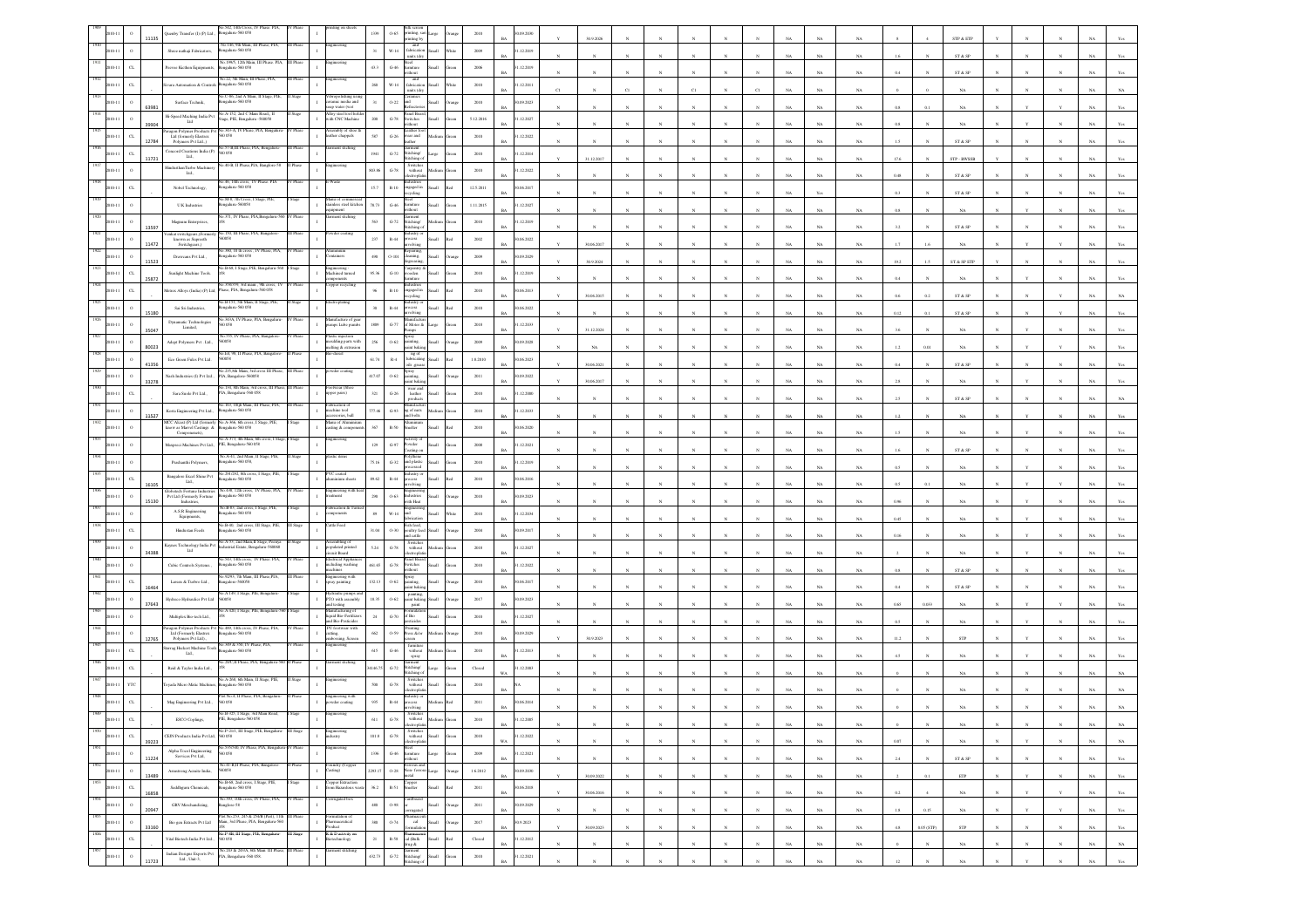|      |                      | 1135  | io 542 14th Cross<br>Quenby Transfer (I) (P) Ltd.,<br>galaru-560 058                                                                |           |                                                               | 1339      | $0\mbox{-}65$<br>inting, sa<br>rinting by                                                                                                                                                                 |               | 2010           | (09.2030)<br>BA           |    | 30.9.2026  |              |              |              |                       |              |             |             |             |          |                        | STP & ETP                                                       |            |            |             |                                  |
|------|----------------------|-------|-------------------------------------------------------------------------------------------------------------------------------------|-----------|---------------------------------------------------------------|-----------|-----------------------------------------------------------------------------------------------------------------------------------------------------------------------------------------------------------|---------------|----------------|---------------------------|----|------------|--------------|--------------|--------------|-----------------------|--------------|-------------|-------------|-------------|----------|------------------------|-----------------------------------------------------------------|------------|------------|-------------|----------------------------------|
|      | $\,$ $\,$            |       | No. 146, 9th Main, III Phase, PIA,<br>kengaluru-560 058<br>Shree nathaii Fabricators.                                               |           |                                                               | 31        | and<br>$W-14$<br>fabrication<br>ыl<br>units (dry                                                                                                                                                          |               | 2009           | 1.12.2019<br>RA           |    |            |              |              |              |                       |              |             | NA          | NA          |          |                        | ST & SP                                                         |            |            |             |                                  |
|      | C1                   |       | .1995, 12th Main,<br>Peevee Kicthen Equipments<br>galaru-560 058                                                                    |           |                                                               | 43.3      | $G-46$<br>umiture<br>ithout                                                                                                                                                                               |               | 2006           | 1.12.2019<br><b>BA</b>    |    |            |              |              |              |                       |              |             | NA          | $_{\rm NA}$ |          |                        | ST & SP                                                         |            |            |             |                                  |
|      |                      |       | No.22, 5th Main, III Phase, PIA<br>galaru-560 058<br>vara Automation & Contr                                                        |           |                                                               | 260       | and<br>fabrication<br>$_{\rm W\text{-}14}$<br>units (dry                                                                                                                                                  |               | $2010\,$       | .12.2011                  | CI |            |              |              |              |                       |              |             | NA          | NA          |          |                        | NA                                                              |            |            |             |                                  |
|      |                      |       | C-86, 2nd A Main,<br>Surface Technik,<br>820 032-analage                                                                            |           | ropolishing u<br>ramic media and                              | 31        | $0 - 22$<br>htu<br><b>Infractor</b>                                                                                                                                                                       |               | 2010           | 0.09.2023<br>RA           |    |            |              |              |              |                       |              |             | NA          | NA.         | 0.8      |                        | <b>NA</b>                                                       |            |            |             |                                  |
|      |                      | 63981 | No.A-152, 2nd C Main Road,, II<br>Hi-Speed Maching India Pvt<br>ge, PIE, Bengaluru -560058<br>Ltd                                   |           | ap water (wet<br>Alloy steel tool hol<br>with CNC Machine     | $200\,$   | Panel Boar<br>$G-78$<br>Switches<br>without                                                                                                                                                               |               | 5.12.2016      | 1.12.2027                 |    |            |              |              |              |                       |              |             |             |             |          |                        |                                                                 |            |            |             |                                  |
|      | $\alpha$             | 39904 | ragon Polymer Products<br>Ltd (formerly Elastrex<br>343-A, IV Phase, PI<br>058                                                      |           | nbly of she<br>ther chappals                                  | 587       | ather f<br>$\,$ G-26 $\,$<br>rear and                                                                                                                                                                     |               | $2010\,$       | .12.2022                  |    |            |              |              |              |                       |              |             | NA          | NA          |          |                        | NA                                                              |            |            |             |                                  |
|      | $\alpha$             | 12784 | Polymers Pvt Ltd.,)<br>No.57-B,III Phase, PIA, Bengaluru-<br>Concord Creations India (P)<br>0058                                    |           | ment stiching                                                 | 1941      | ather<br>Garment<br>Stitching/<br>Stitching o<br>$\textrm{G-72}$                                                                                                                                          |               | 2010           | 1.12.2014                 |    |            |              |              |              |                       |              |             | NA          | NA          | 1.5      |                        | ST & SP                                                         |            |            |             |                                  |
|      |                      | 11721 | Ltd.,<br>io.40-B, II Phase,PIA, Banglore-58<br>HindusthanTurbo Machiner                                                             |           | gineering                                                     | 803.86    | Switches<br>$G-78$<br>without                                                                                                                                                                             |               | $2010\,$       | 1.12.2022                 |    | 31.12.2017 |              |              |              |                       |              |             | NA          | $_{\rm NA}$ | 17.6     |                        | STP - BWSSI                                                     |            |            |             |                                  |
|      |                      |       | Ltd.,<br>io.46, 14th cross, IV Phase. PIA<br>engalaru-560 058                                                                       |           |                                                               |           | ectropha                                                                                                                                                                                                  |               |                | <b>BA</b>                 |    |            |              |              |              |                       |              |             | NA          | $_{\rm NA}$ | 0.48     |                        | ${\rm ST}$ & ${\rm SP}$                                         |            |            |             |                                  |
|      |                      |       | Nobel Technology,<br>No.M-8, 7th Cross, I Stage, PIE,                                                                               |           | fanu of con                                                   | 15.7      | $R - 10$<br>ngaged in<br>vcling                                                                                                                                                                           |               | 12.5.2011      | 0.06.2017                 |    |            |              |              |              |                       |              |             | Yes         |             | 0.3      |                        | ST & SP                                                         |            |            |             |                                  |
|      |                      |       | <b>U.K Industries</b><br>ngalaru-560058<br>40.371, IV Phase, PIA, Bengaluru-56                                                      | Phase     | ainless steel kitche<br>ment stiching                         | 78.73     | $G-46$<br>umiture<br>ithout<br>iannent                                                                                                                                                                    |               | 1.11.2015      | 1.12.2027                 |    |            |              |              |              |                       |              |             | NA          | $_{\rm NA}$ | 0.8      |                        | NA                                                              |            |            |             |                                  |
|      |                      | 13597 | Magnum Enterprises,<br>.150, III Phase, PIA, Bangak                                                                                 |           | der coating                                                   | 563       | $G-72$<br>titching/<br>itching o                                                                                                                                                                          |               | 2010           | 1.12.2019<br>$_{\rm BA}$  |    |            |              |              |              |                       |              |             | NA          | NA          |          |                        | ${\hbox{\footnotesize\rm ST}}$ & ${\hbox{\footnotesize\rm SP}}$ |            |            |             |                                  |
|      |                      | 11472 | enkat switchgears.(Form<br>known as Supreeth<br>Switchgears,)                                                                       |           |                                                               | 237       | ustry o<br>$\mathbb{R}{\text{-}}44$<br>cess<br>volving                                                                                                                                                    |               | 2002           | 0.06.2022<br><b>BA</b>    |    | 30.06.2017 |              |              |              |                       |              |             | NA          | NA          |          |                        | NA.                                                             |            |            |             |                                  |
|      | $\Omega$             | 1523  | 380, 10 th cross,<br>Drawcans Pvt Ltd.,<br>ngalaru-560 058                                                                          |           | ainers                                                        | 490       | $O-101$<br>aning,<br>ыl                                                                                                                                                                                   |               | $2009\,$       | 0.09.2029<br>Rá           |    | 30.9.2024  |              |              |              |                       |              |             | $_{\rm NA}$ | $_{\rm NA}$ | 19.2     | 1.5                    | ST & SP ETP                                                     |            |            |             |                                  |
|      | $\alpha$             | 25872 | No.B-68, I Stage, PIE, Bengaluru-560<br>Sunlight Machine Tools.                                                                     |           | ngineering -<br>lachined turned                               | 95.36     | larpentry<br>rooden<br>$_{\mathrm{G-10}}$<br>itun                                                                                                                                                         |               | $2010\,$       | 1.12.2019<br>BA           |    |            |              |              |              |                       |              |             | NA          | NA          |          |                        | NA                                                              |            |            |             |                                  |
|      | $\alpha$             |       | 358/359, 3rd main, 9th<br>detrex Alloys (India) (P) Ltd., Phase, PIA, Bengaluru-560 058                                             |           | per recycling                                                 | 96        | $R - 10$<br>ngaged in<br>ling                                                                                                                                                                             |               | 2010           | 0.06.2013<br>RA           |    | 30.06.2015 |              |              |              |                       |              |             | NA          | NA          | 0.6      | 0.2                    | ST & SP                                                         |            |            |             |                                  |
|      |                      | 15180 | io.B-151, 5th Main, II Stage, PIE,<br>Sai Sri Industries,<br>sgalaru-560 058                                                        |           | troplating                                                    |           | lastry o<br>$\mathbb{R}\text{-}44$<br>ocess<br>rolving                                                                                                                                                    |               | $2010\,$       | (06, 2022)                |    |            |              |              |              |                       |              |             | NA          | $_{\rm NA}$ | 0.12     |                        | ST & SP                                                         |            |            |             |                                  |
|      |                      | 35047 | 0.343A, IV Phase, PIA.<br>Dynamatic Technologies<br>Limited,                                                                        |           | ufacture of<br>mps Lube pumb                                  | 1809      | $G-77$<br>f Motor &<br>uos                                                                                                                                                                                |               | $2018\,$       | 1.12.2033                 |    | 31.12.2024 |              |              |              |                       |              |             | NA          | NA          |          |                        | NA                                                              |            |            |             |                                  |
|      |                      |       | 3.555, IV Phase, PIA, Bangalore<br>Adept Polymers Pvt. Ltd.,<br>0058                                                                |           | astic injection<br>noulding parts with<br>nelting & extrusion | $256\,$   | pray<br>$O-62$<br>ainting,<br>aint bakin                                                                                                                                                                  |               | 2009           | 0.09.2028                 |    |            |              |              |              |                       |              |             |             |             |          |                        |                                                                 |            |            |             |                                  |
|      |                      | 80023 | io.E4, 98, II Phase, PIA, Bangalor<br>Eco Green Fules Pvt Ltd.<br>60058                                                             |           | diesel                                                        | 61.74     | ng of<br>$_{\rm R-4}$<br>lubricating                                                                                                                                                                      |               | 1.8.2010       | <b>BA</b><br>1.06.2023    |    | NA         |              |              |              |                       |              | NA          | $_{\rm NA}$ | NA          | 1.2      | 0.01                   | NA                                                              |            |            |             |                                  |
|      | $\circ$              | 41356 | No 235.8th Main, 3rd cross III Phas<br>Nash Industries (I) Pvt Ltd.,<br>PIA, Bangalore-560058                                       |           | »der coatin                                                   | 17.07     | ails .grea<br>ipray<br>cánting,<br>$0 - 62$                                                                                                                                                               |               | $2011\,$       | (09.2022)                 |    | 30.06.2021 |              |              |              |                       |              |             | $_{\rm NA}$ | $_{\rm NA}$ | 0.4      |                        | ST & SP                                                         |            |            |             |                                  |
|      | C1                   | 33278 | No.134, 8th Main, 3rd cross, III Phas<br>Sara Suole Pvt Ltd.,<br>PIA, Bengaluru-560 058                                             |           | otwear (Sho<br>upper pairs)<br>$\mathbf{I}$                   | 321       | aint baki<br>wear and<br>$G-26$<br>leather                                                                                                                                                                |               | 2010           | BA<br>1.12.2000           |    | 30.06.2017 |              |              |              |                       |              |             | NA          | NA          |          |                        |                                                                 |            |            |             |                                  |
|      | $\circ$              |       | .<br>No.163, 10tjh Main, III Phase, PIA,                                                                                            |           | brication o                                                   | 77.46     | lanufact                                                                                                                                                                                                  |               |                | <b>BA</b>                 |    |            |              |              |              |                       |              |             | NA          | $_{\rm NA}$ |          |                        | ST & SP                                                         |            |            |             |                                  |
|      |                      | 11527 | Korta Engineering Pvt Ltd.,<br>galaru-560 058<br>MCC Aleast (P) Ltd (form<br>No.A-366, 6th cross, I Stage, PII<br>Bengaluru-560 058 |           | achine tool<br>ssories, ball<br>lanu of Alun                  |           | $\,$ G-93 $\,$<br>g of nuts<br>ad bolts                                                                                                                                                                   |               | $2010\,$       | .12.2033<br>BA            |    |            |              |              |              |                       |              |             | NA          | $_{\rm NA}$ | $^{1.2}$ |                        | $_{\rm NA}$                                                     |            |            |             |                                  |
|      | $\circ$              |       | know as Marvel Castings &<br>Componenets).<br>A-373, 4th Main, 6th                                                                  |           | asting & comp<br>teering                                      | 367       | meher<br>$R-50$                                                                                                                                                                                           |               | 2010           | 0.06, 2020<br>RA          |    |            |              |              |              |                       |              |             | NA          | NA          |          |                        | NA.                                                             |            |            |             |                                  |
|      | $\circ$              |       | Maxpreci Machines Pvt Ltd., PIE, Bengaluru-560 058<br>Vo.A-41, 2nd Main, II Stage, PIE                                              |           | stic item                                                     | $129\,$   | $G-97$<br>Powder<br>xating on                                                                                                                                                                             |               | 2008           | 1.12.2021<br><b>BA</b>    |    |            |              |              |              |                       |              |             | NA          | $_{\rm NA}$ | 1.6      |                        | ${\rm ST}$ & ${\rm SP}$                                         |            |            |             |                                  |
|      |                      |       | Prashanthi Polymers,<br>galaru-560 058<br>lo.291/292, 8th cross                                                                     |           | /C coated                                                     | 75.16     | $_{\mathrm{G-32}}$<br>and plastic<br>dustry o                                                                                                                                                             |               | $2010\,$       | 12.2019<br>BA             |    |            |              |              |              |                       |              |             | NA          | NA          | 0.5      |                        | NA                                                              |            |            |             |                                  |
|      | $_{\rm{CL}}$         | 1610  | Bangalore Excel Shine Pvt<br>sgalaru-560 058<br>Lad.,<br>Globetech Fortune Industries<br>No.438, 12th cross, IV Phase, PIA          |           | inium sheets                                                  | 89.62     | $R - 44$<br>ocess<br>volving                                                                                                                                                                              |               | 2010           | 0.06.2016<br>RA           |    |            |              |              |              |                       |              |             | NA          | NA          |          |                        | NA                                                              |            |            |             |                                  |
|      | $\circ$              | 15130 | Pvt Ltd (Formerly Fortune<br>Industries,<br>sgalaru-560 058<br>No.B-83, 2nd cross.                                                  |           | ngineering with I<br>.<br>Greci                               | 290       | Industries<br>$0 - 63$<br>ith Hea                                                                                                                                                                         |               | $2010\,$       | (09.2023)<br><b>BA</b>    |    |            |              |              |              |                       |              |             | NA          | NA          |          |                        |                                                                 |            |            |             |                                  |
|      |                      |       | $\mathbf{A}.\mathbf{S}.\mathbf{R}$ Engineering<br>galaru-560 058<br>Equipments,                                                     |           | ation &<br><i>sponents</i>                                    | $\bf 89$  | $_{\rm W\text{-}14}$<br>abricatio                                                                                                                                                                         |               | $2010\,$       | .12.2034                  |    |            |              |              |              |                       |              |             | NA          | NA          | 0.45     |                        | NA                                                              |            |            |             |                                  |
|      | $\sigma$             |       | No.B-40, 2nd cross, III Stage, PIE,<br>Hindustan Feeds<br>ngalaru-560 058                                                           |           | ttle Feed                                                     | 31.04     | ish feed,<br>0.30<br>poultry fee<br>nd cattle                                                                                                                                                             |               | 2004           | 0.09.2017<br>RA           |    |            |              |              |              |                       |              |             | NA          | NA.         | 0.16     |                        | NA                                                              |            |            |             |                                  |
|      | $\circ$              | 34388 | No.A-53, 2nd Main, II Stage, Peeny:<br>Kaynes Technology India Pvt<br>ustrial Estate, Bengalur<br>$-560068$<br>Lad                  |           | embling of<br>opulated printed<br>icuit Board                 | 5.24      | Switches<br>$G-78$<br>without<br>ctropi                                                                                                                                                                   |               | $2018\,$       | .12.2027<br><b>BA</b>     |    |            |              |              |              |                       |              |             | NA          | NA          |          |                        | $_{\rm NA}$                                                     |            |            |             |                                  |
|      |                      |       | to 543, 14th cross, IV<br>Phone PIA<br>Cubic Controls Systems.,<br>sgalaru-560 058                                                  |           | ectrical Appli<br>cluding washing<br>chines                   | 461.65    | anel Boar<br>$\operatorname{G-78}$<br>witches<br>ithout                                                                                                                                                   |               | $2010\,$       | .12.2022<br>BA            |    |            |              |              |              |                       |              |             | $_{\rm NA}$ | NA          | 0.8      |                        | ST & SP                                                         |            |            |             |                                  |
|      | $\alpha$             | 16464 | No.9293, 7th Main, III Phase, PIA,<br>Larsen & Turbro Ltd.,<br>angalore-560058                                                      |           | gineering with<br>pray painting                               | 132.13    | ipray<br>ainting,<br>$0 - 62$<br>saint baki                                                                                                                                                               |               | 2010           | 0.06.2017                 |    |            |              |              |              |                       |              |             | NA          | $_{\rm NA}$ | 04       |                        | ST & SP                                                         |            |            |             |                                  |
|      | $\,$ $\,$            |       | No.A 149, I Stage, PIE, Bengaluru-<br>Hydreco Hydraulics Pvt Ltd<br>60058                                                           |           | .<br>Ndraulic pumps ar<br>TO with assembly                    | 18.35     | painting,<br>paint bakir<br>$0 - 62$                                                                                                                                                                      |               | 2017           | 0.09.2023                 |    |            |              |              |              |                       |              |             |             |             | 0.65     |                        |                                                                 |            |            |             |                                  |
|      | $\,$ $\,$            | 37643 | io A 420, I Stage, PIE, Bengaluru-<br>Multiplex Bio-tech Ltd.,                                                                      |           | testing<br>danufacturing of<br>quid Bio-Fertilizer            | 24        | paint<br>$G-70$<br>$\ell$ Bio                                                                                                                                                                             |               | 2010           | <b>BA</b><br>1.12.2027    |    |            |              |              |              |                       |              |             | NA          | $_{\rm NA}$ |          |                        | NA                                                              |            |            |             |                                  |
|      |                      |       | 5.489, 14th cross, IV<br>iragon Polymer Products Po<br>Ltd (Formerly Elastrex<br>ngalaru-560 058                                    |           | nd Bio-Pesticides<br>footwear with<br>ming.                   | 662       | sticides<br>ress &lor<br>$0 - 59$                                                                                                                                                                         |               | 2010           | RA<br>0.09.2029           |    |            |              |              |              |                       |              |             | NA          | NA          |          |                        | <b>NA</b>                                                       |            |            |             |                                  |
|      | $_{\rm{CL}}$         | 276   | Polymers Pvt Ltd).,<br>io.349 & 350, IV Phase, PIA,<br>arrag Heckert Machine Tools<br>galaru-560 058                                |           | sing, Scree                                                   | 615       | $_{\rm con}$<br>furnitur<br>$_{\mathrm{G-46}}$<br>with out                                                                                                                                                |               | $2010\,$       | 1.12.2013                 |    | 30.9.2023  |              |              |              |                       |              |             | N.          | $_{\rm NA}$ | 11.2     |                        | ${\tt STP}$                                                     |            |            |             |                                  |
|      | C1                   |       | Ltd.,<br>o.28€,II Phase, PIA, Benj<br>Reid & Taylor India Ltd.,                                                                     |           | nent stichin                                                  | 146.75    | spray<br>iarment<br>ititching/<br>$G-72$                                                                                                                                                                  |               | Closed         | BA<br>1.12.2003           |    |            |              |              |              |                       |              |             | NA          | NA          |          |                        | NA                                                              |            |            |             |                                  |
|      |                      |       | No.A-268, 6th Main, II Stage, PIE                                                                                                   |           |                                                               |           | titching<br>Switche                                                                                                                                                                                       |               |                | <b>WA</b>                 |    |            |              |              |              |                       |              |             | NA          | NA          |          |                        | NA.                                                             |            |            |             |                                  |
|      | YTO                  |       | yada Micro Matic Machin<br>ngalaru-560 058<br>Plot No.4. II Phase, PIA, Benealury                                                   |           | Engineering with<br>20 wder coating                           | 500       | $% \left\vert \left( \mathbf{1}_{\mathbf{1}}\right) \right\rangle$ without<br>$G-78$<br>ndustry or<br>rocess                                                                                              |               | 2010           |                           |    |            |              |              |              |                       |              |             | N/          |             |          |                        |                                                                 |            |            |             |                                  |
|      |                      |       | 058<br>Mag Engineering Pvt Ltd.,<br>io.B-325, I Stage, 3rd                                                                          |           |                                                               | 935       | $\mathbb{R}{\text{-}}44$<br>rolving<br>Switches                                                                                                                                                           |               | $2011\,$       | (06.2014)                 |    |            |              |              |              |                       |              |             |             |             |          |                        |                                                                 |            |            |             |                                  |
|      |                      |       | ESCO Coplings,<br>PIE, Bengalaru-560 058<br>No.P-21/1, III Stage, PIE, Bengaluru-                                                   | III Stage | gineering                                                     | 611       | $\mbox{G-78}$<br>without                                                                                                                                                                                  |               | 2010           | 12,2005<br><b>BA</b>      |    |            |              |              |              |                       |              | <b>NA</b>   | NA          | NA          |          |                        | NA.                                                             |            |            | NA.         | NA                               |
|      | $_{\rm CL}$          | 39223 | CEJN Products India Pvt Ltd, 560 058<br>No.535/540, IV Phase, PIA, Bengali                                                          |           | İustry                                                        | $101.8\,$ | Switches<br>without<br>:lectroplatin<br>$\,$ G-78                                                                                                                                                         |               | 2010           | 1.12.2022<br>WA           |    |            |              |              |              |                       |              | NA          | $_{\rm NA}$ | $_{\rm NA}$ | 0.07     |                        | $_{\rm NA}$                                                     |            |            | $_{\rm NA}$ | $_{\rm NA}$                      |
|      | $\,$ 0               | 11224 | $\begin{array}{c} \mbox{Alpha Tocol Engineering} \\ \mbox{ Services Put Lnd,} \end{array}$<br>560 058                               |           |                                                               | $1336\,$  | Steel<br>furniture<br>$\mbox{G-46}$<br>arge<br>vithout                                                                                                                                                    |               | $2009\,$       | 1.12.2021<br>BA           |    | N          | $\mathbf{N}$ |              | N            | $_{\rm N}$            | N            | NA          | $_{\rm NA}$ | $_{\rm NA}$ | 2.4      |                        | ST & SP                                                         |            |            | $_{\rm NA}$ | Yes                              |
| 1952 | $\,$ $\,$<br>2010-11 | 13489 | No.41-B,II Phase, PIA, Bangalore-<br>Armstrong Acmite India,<br>560058                                                              | Phase     | Foundry (Copper<br>Casting)<br>$\mathbf{I}$                   | 2293.17   | $\begin{tabular}{ll} \bf \color{red}{\bf \color{red}{\bf \color{blue}{\color{black}Eeros and}} } & \vspace{0.28 & \textbf{\color{blue}{\color{black}Keros and}} \\ \hline \end{tabular}$<br>arge<br>metal | ang           | 1.6.2012       | 30.09.2030<br>$_{\rm BA}$ |    | 30.09.2022 | $\mathbf{N}$ | $\mathbf{N}$ | $\mathbf{N}$ | $\mathbf{N}$          | $\mathbf{N}$ | $_{\rm NA}$ | $_{\rm NA}$ | $_{\rm NA}$ |          | 0.1                    | $\ensuremath{\mathrm{ETP}}$                                     |            | $_{\rm N}$ | $_{\rm NA}$ | $\mathbf{Yes}$                   |
|      | $_{\rm{CL}}$         | 16858 | No.B-68, 2nd cross, I Stage, PIE,<br>Saddhguru Chemicals,<br>engaluru-560 058                                                       |           | Copper Extraction<br>from Hazardous was                       | 36.2      | Copper<br>Smeker<br>$R-51$<br><b>Ilam</b>                                                                                                                                                                 | h             | $2011\,$       | 90.06.2018<br>$_{\rm BA}$ |    | 30.06.2016 |              |              | $_{\rm N}$   | $_{\rm N}$            | $_{\rm N}$   | $_{\rm NA}$ | $_{\rm NA}$ | $_{\rm NA}$ | $0.2\,$  |                        | $_{\rm NA}$                                                     |            |            | $_{\rm NA}$ | $\mathbf{Yes}$                   |
| 1954 | $\,$ o<br>2010-11    | 20947 | No.393, 10th cross, IV Phase, PIA,<br>GRV Merchandizing,<br>anglore-58                                                              | V Phase   | rrugated box                                                  | 480       | Cardboard<br>$0 - 98$<br>Iliam<br>orrugated                                                                                                                                                               | rang          | 2011           | 30.09.2029<br><b>BA</b>   |    | $_{N}$     |              |              | $\mathbf{N}$ | $\boldsymbol{\kappa}$ | $\mathbf{N}$ | NA          | NA          | NA          | 1.8      | 0.15                   | <b>NA</b>                                                       |            |            | NA          | Yes                              |
|      | $\,$ 0<br>2010-11    | 33160 | fot No.253, 245 & 254/B (Part), 11th<br>Bio gen Extracts Pvt Ltd<br>Main, 3rd Phase, PIA, Bengaluru-560                             |           | $\mathbf{I}$<br>Pharmaceutical<br>roduct                      | 380       | 0.74<br>cal<br><b>Ham</b>                                                                                                                                                                                 | rana          | 2017           | 30.9.2023<br>$_{\rm BA}$  |    | 30.09.2023 |              |              | $\mathbf{N}$ | $\boldsymbol{\kappa}$ | $\mathbf{v}$ | NA          | $_{\rm NA}$ | $_{\rm NA}$ | $4.8\,$  | $0.05\,(\mathrm{STP})$ | ${\tt STP}$                                                     |            |            | $_{\rm NA}$ | $\mathbf{Y}\mathbf{c}\mathbf{s}$ |
|      | $_{\rm{CL}}$         |       | No.P-8B, III Stage, PIE, Bengaluru-<br>Vital Biotech India Pvt Ltd.,<br>560 058                                                     | III Suge  | R & Dactivity or<br>stechnology                               | $21\,$    | cal (Balk<br>$\mathbb{R}\text{-}\mathbb{S}\mathbb{S}$<br>ыl<br>drug &                                                                                                                                     | <sub>cd</sub> | ${\bf Closed}$ | 1.12.2012<br><b>BA</b>    |    | $_{\rm N}$ |              |              |              |                       |              | $_{\rm NA}$ | $_{\rm NA}$ | $_{\rm NA}$ |          |                        | $_{\rm NA}$                                                     | $_{\rm N}$ |            | $_{\rm NA}$ | $_{\rm NA}$                      |
|      | $\,$ 0               |       | Indian Designs Exports Pvt No.243 & 243/A, 6th Main III Phase Ltd., Unit-3.<br>Lad., Unit-3,                                        | III Phase | arment stitching                                              | 432.73    | Garment<br>Stitching/<br>$G-72$<br>ыl<br>titching of                                                                                                                                                      |               | 2010           | 1.12.2021<br><b>BA</b>    |    |            |              |              |              |                       |              | NA          | NA          | NA          | 12       |                        |                                                                 |            |            | NA          | Yes                              |
|      |                      | 11723 |                                                                                                                                     |           |                                                               |           |                                                                                                                                                                                                           |               |                |                           |    |            |              |              |              |                       |              |             |             |             |          |                        |                                                                 |            |            |             |                                  |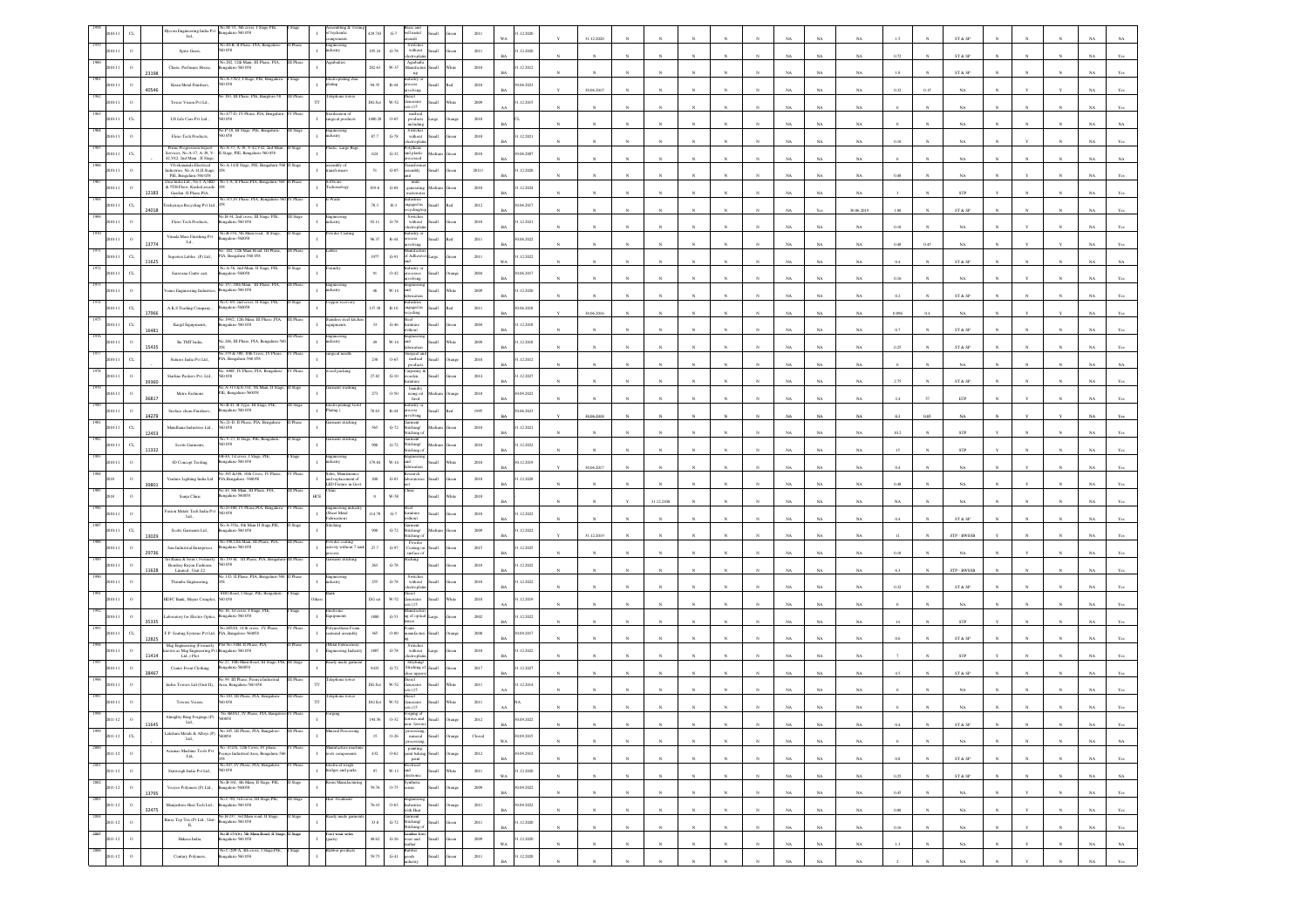|      |                                 |       | o.M-7/1, 6th cross<br>ngaluru-560 058<br>$\begin{array}{c} \textbf{Bycom Engineering India Put}\\ \textbf{Lid.}, \end{array}$                                            |           | of hydraulic                                                | 429.743   | bell metal<br>$\mbox{G-7}$<br>sliste                                                                                                                                              | $2011\,$       | .12.2020<br>WA           | 31.12.2020            |              |            |              |                       |              |             |             |             |          |      | ST & SP                      |              |              |             |                                  |
|------|---------------------------------|-------|--------------------------------------------------------------------------------------------------------------------------------------------------------------------------|-----------|-------------------------------------------------------------|-----------|-----------------------------------------------------------------------------------------------------------------------------------------------------------------------------------|----------------|--------------------------|-----------------------|--------------|------------|--------------|-----------------------|--------------|-------------|-------------|-------------|----------|------|------------------------------|--------------|--------------|-------------|----------------------------------|
|      |                                 |       | No.40-B, II Phase. PIA, Bengaluru<br>Spiro Gears,<br>0.58                                                                                                                |           | eineering<br>dustry                                         | 195.24    | Switches<br>without<br>electroplati<br>$G-78$<br><b>Han</b>                                                                                                                       | 2011           | 1.12.2020                |                       |              |            |              |                       |              |             |             |             |          |      |                              |              |              |             |                                  |
|      | $\circ$                         |       | No.202, 12th Main, III Phase, PIA,<br>Charu Perfumes House,<br>galaru-560 058                                                                                            | III Phase | garbatties                                                  | 202.63    | Agarbathi<br>Manufacturi<br>W-37                                                                                                                                                  | 2010           | 1.12.2012                |                       |              |            |              |                       |              |             | NA          | NA          | 0.72     |      | ST & SP                      |              |              |             |                                  |
|      |                                 | 23198 | io.A-370/2, I Stage, PIE, Bengalu                                                                                                                                        |           | ctroplating Zu                                              |           | ng<br>lastry o                                                                                                                                                                    |                | <b>BA</b>                |                       |              |            |              |                       |              |             | NA          | NA          |          |      | ST & SP                      |              |              |             |                                  |
|      | $\circ$                         | 40546 | Kiran Metal Finishers,<br>60 058<br>183, III Phase, PIE, Bangl                                                                                                           |           | $\mathbf{I}$<br>iting                                       | 94.35     | $\mathbb{R}\text{-}44$<br>ocess<br>swivbur                                                                                                                                        | 2010           | 0.06.2023<br>RA          | 30.06.2015            |              |            |              |                       |              |             | NA          | NA          | 0.32     | 0.15 | NA.                          |              |              |             |                                  |
|      |                                 |       | Tower Vision Pvt Ld.,<br>No.477-D, IV Phase, PIA, Bengaluru-                                                                                                             | IV Phase  | TT<br>ilisation of                                          | DG Se     | W-52<br>Generator<br>iets (15                                                                                                                                                     | 2009           | 1.12.2015                |                       |              |            |              |                       |              |             | NA          | $_{\rm NA}$ |          |      | NA                           |              |              |             |                                  |
|      | $_{\rm{CL}}$                    |       | LN Life Care Pvt Ltd.,<br>058                                                                                                                                            |           | argical products<br>$\mathbf{I}$                            | 1400.28   | medical<br>products<br>$0 - 65$<br>including                                                                                                                                      | $2010\,$       | BA                       |                       |              |            |              |                       |              |             | NA          | NA          |          |      | NA                           |              |              |             |                                  |
|      |                                 |       | 40.P-18, III Stage. PIE, Bengaluri<br>Flexo Tech Products,<br>60 058                                                                                                     |           | gineering<br>dustry                                         | 87.7      | Switches<br>without<br>$G-78$<br>ctropla                                                                                                                                          | 2010           | 1.12.2021<br><b>BA</b>   |                       |              |            |              |                       |              | NA          | NA          | NA          | 0.18     |      | NA.                          |              |              |             |                                  |
|      | $_{\rm{CL}}$                    |       | No.A-37, A-38, V-42, V42, 2nd Main<br>Prime Progression Export<br><b>Services, No.A-37, A-38, V-</b><br>II Stage, PIE, Bengaluru-560 058<br>42, V42, 2nd Main, II Stage, |           | istic Large Bag                                             | $624\,$   | olythene<br>$_{\mathrm{G-32}}$<br>and plastic<br>reocessed                                                                                                                        | $2010\,$       | (06, 2007)<br>BA         |                       |              |            |              |                       |              |             | $_{\rm NA}$ | $_{\rm NA}$ |          |      | $_{\rm NA}$                  |              |              |             |                                  |
|      | $\alpha$                        |       | No.A-14,11 Stage, PIE, Bengaluru-5<br>VIvekananda Electrical<br>ndustries, No.A-14,II Stage,                                                                             |           | nbly ol<br>sformers                                         | 51        | $_{\rm{G-85}}$<br>embly                                                                                                                                                           | $20111\,$      | 1.12.2020                |                       |              |            |              |                       |              |             |             |             |          |      |                              |              |              |             |                                  |
|      | $\circ$                         |       | PIE, Bengaluru-560 058<br>Disa India Ltd., No.1-A,3RD<br>& 5TH Floor, Kushal arcade<br>No.1-A, II Phase, PIA, Bengaluru-56                                               |           | ftware<br>echonology                                        | 819.6     | units<br>$G-84$<br>generatin                                                                                                                                                      | 2010           | 1.12.2024                |                       |              |            |              |                       |              |             | NA          | NA          | 0.48     |      | NA                           |              |              |             |                                  |
|      | $_{\rm{CL}}$                    | 12183 | Garden II Phase, PIA,<br>No.315.IV Phase, PIA, Bengaluru-56                                                                                                              |           | <b>Waste</b>                                                | 78.3      | astewat<br>$\mathbb{R}\text{-}3$                                                                                                                                                  |                | <b>BA</b>                |                       |              |            |              |                       |              |             | NA          | NA          |          |      | <b>STP</b>                   |              |              |             |                                  |
|      |                                 | 24018 | ishyiraya Recycling Pvt Ltd.<br>to.B-34, 2nd cross, III Stage. PIE,                                                                                                      |           |                                                             |           | gaged in<br>Switches<br>without                                                                                                                                                   | $2012\,$       | (06, 2017<br>BA          |                       |              |            |              |                       |              |             | Yes         | 30.06.2019  | 1.08     |      | ST & SP                      |              |              |             |                                  |
|      | $\circ$                         |       | Flexo Tech Products,<br>sgalaru-560 058<br>No.B-154, 5th Main road, II Stage                                                                                             |           | ustry<br>Ader Coating                                       | $92.11\,$ | $_{\mathrm{G-78}}$<br>ectropla<br>lastry o                                                                                                                                        | $2010\,$       | 1.12.2021<br><b>BA</b>   |                       |              |            |              |                       |              |             | NA          | NA          | 0.18     |      | NA                           |              |              |             |                                  |
|      | $\circ$                         | 13774 | Vimala Mass Finishing Pvt<br>ngalore-560058<br>$1d$ .<br>io. 202, 12th Main Road, III Phase,                                                                             | II Phase  |                                                             | 96.37     | $R-44$<br>secon<br>volving<br>danufactu                                                                                                                                           | 2011           | 0.06.2022<br><b>BA</b>   |                       |              |            |              |                       |              |             | NA          | $_{\rm NA}$ | 0.48     | 0.45 | $_{\rm NA}$                  |              |              |             |                                  |
|      | $_{\rm{CL}}$                    | 11625 | Supertex Lables (P) Ltd.,<br>PIA, Bengaluru-560 058                                                                                                                      |           |                                                             | 1977      | $\,$ G-91 $\,$<br>f Adhesi<br>arge                                                                                                                                                | 2011           | .12.2022<br>W/           |                       |              |            |              |                       |              |             | $_{\rm NA}$ | $_{\rm NA}$ | 0.4      |      | ST & SP                      |              |              |             |                                  |
|      | C1                              |       | No.A-56, 2nd Main, II Stage, PIE,<br>Saravana Centri cast,<br>sgalore-560058                                                                                             | Stage     |                                                             | 91        | adustry or<br>$0 - 42$<br>esses<br>swivbur                                                                                                                                        | 2004           | 0.06.2017<br>RA          |                       |              |            |              |                       |              |             | NA          | NA          | 0.16     |      | NA                           |              |              |             |                                  |
|      |                                 |       | io.157, 10th Main, 11<br>Venus Engineering Industries,<br>ngalaru-560 058                                                                                                |           | ustry<br>$\mathbf{I}$                                       | 46        | $W-14$<br>hm                                                                                                                                                                      | 2009           | 1.12.2020<br><b>BA</b>   |                       |              |            |              |                       |              |             | NA          | $_{\rm NA}$ | 0.2      |      | ST & SP                      |              |              |             |                                  |
|      | C1                              |       | No.C-69, 2nd cross, II Stage, PIE.<br>A.K.S Trading Company.,<br>galore-560058                                                                                           |           |                                                             | 137.38    | $\mathbb{R}\text{-}10$<br>ngaged in                                                                                                                                               | $2011\,$       | (06.2018)                |                       |              |            |              |                       |              |             |             |             |          |      |                              |              |              |             |                                  |
|      | C1                              | 17966 | 0.199/2, 12th Main, III Phase ,PIA<br>Kargil Equipments,<br>igaluru-560 058                                                                                              |           | iless stee<br>pments                                        | 33        | cling<br>$G-46$<br>amiture                                                                                                                                                        | 2004           | BA<br>1.12.2018          | 30.06.2016            |              |            |              |                       |              |             | NA          | NA          | 0.096    | 0.4  | NA                           |              |              |             |                                  |
|      |                                 | 16481 |                                                                                                                                                                          |           | igineering<br>dustry                                        |           | dibout                                                                                                                                                                            |                | <b>BA</b>                |                       |              |            |              |                       |              | NA          | NA          | NA          | 0.7      |      | ST & SP                      |              |              |             |                                  |
|      | $\circ$                         | 15435 | Ra TMT India,<br>No.246, III Phase, PIA, Bengaluru-56<br>to 379 & 380, 10th Cross, IV Phas                                                                               |           |                                                             | 49        | $_{\rm W\text{-}14}$<br>шÎ                                                                                                                                                        | $2009\,$       | .12.2018<br><b>BA</b>    | $\boldsymbol{\kappa}$ |              |            |              |                       |              | NA          | NA          | $_{\rm NA}$ | $0.25\,$ |      | ${\rm ST}$ & ${\rm SP}$      |              |              |             |                                  |
|      |                                 |       | Sutures India $\mbox{Pvt}\,\mbox{Lad.},$<br>PIA, Bengaluru-560 058<br>o. 490F, IV Phase, PIA, Bengalur                                                                   |           | od packing                                                  | $238\,$   | Surgical ar<br>medical<br>0.65<br>products<br>arpentry                                                                                                                            | $2010\,$       | .12.2012<br>BA           |                       |              |            |              |                       |              | NA          | $_{\rm NA}$ | NA          |          |      | NA                           |              |              |             |                                  |
|      |                                 | 0360  | Starline Packers Pvt. Ltd.,<br>560 058                                                                                                                                   |           |                                                             | 27.82     | $G-10$<br>ooden<br>miture                                                                                                                                                         | 2014           | 1.12.2027                |                       |              |            |              |                       |              |             | <b>NA</b>   | NA          | 2.75     |      | ST & SP                      |              |              |             |                                  |
|      |                                 | 36817 | No.A-313 &A-314, 7th Main, II Stag<br>Metro Fashions<br>PIE, Bengaluru-560058                                                                                            | I Stage   | ment washing                                                | 273       | laundry<br>$0 - 50$<br>using oil<br>fired                                                                                                                                         | $2018\,$       | (09.2022)<br><b>BA</b>   |                       |              |            |              |                       |              |             | NA          | $_{\rm NA}$ |          |      | ETP                          |              |              |             |                                  |
|      |                                 | 14279 | No.B-41, B-Type, III Stage, PIE<br>Surface chem Finishers.,<br>ngalaru-560 058                                                                                           |           | (gnital                                                     | 78.63     | $_{\rm R-44}$<br>cess<br>volving                                                                                                                                                  | 1995           | (06, 2023)<br>BA         | 30.06.2018            |              |            |              |                       |              |             | NA          | NA          | 0.3      |      | NA                           |              |              |             |                                  |
|      | $\alpha$                        |       | No.21-D, II Phase, PIA, Bengaluru-<br>Mandhana Industries Ltd.<br>60 058                                                                                                 |           | ment stitching                                              | 565       | iarment<br>titching/<br>$G-72$<br>titchine                                                                                                                                        | 2010           | 1.12.2021                |                       |              |            |              |                       |              |             |             |             |          |      |                              |              |              |             |                                  |
|      | $_{\rm{CL}}$                    | 12453 | No.V-27, II Stage, PIE, Bengalaru-<br>Scotts Garments,                                                                                                                   | II Stage  | ment stitching                                              | 900       | Garment<br>$_{\mathrm{G-72}}$<br>titching/                                                                                                                                        | $2010\,$       | 1.12.2022                |                       |              |            |              |                       |              |             | NA          | $_{\rm NA}$ | 10.2     |      | STP                          |              |              |             |                                  |
|      | $\circ$                         | 11332 | SB-44, 1st cross, 1 Stage, PIE<br>Bengaluru-560 058<br>3D Concept Tooling,                                                                                               |           | astry                                                       | 179.84    | itching o<br>$W-14$<br>вš                                                                                                                                                         | 2010           | <b>BA</b><br>0.12.2019   |                       |              |            |              |                       |              |             | $_{\rm NA}$ | $_{\rm NA}$ |          |      | ${\tt STP}$                  |              |              |             |                                  |
|      |                                 |       | 40.385 &386, 10th Cross,                                                                                                                                                 |           | ales, Maintenance                                           |           | abrication<br>icarch                                                                                                                                                              |                | <b>BA</b>                | 30.06.2017            |              |            |              |                       |              |             | NA          | NA          | 0.4      |      | <b>NA</b>                    |              |              |             |                                  |
|      | $\circ$                         | 39801 | Venture Lighting India Ltd<br>PIA, Bengaluru - 560058<br>No.43, 8th Main, III Phase, PIA.                                                                                | III Phase | and replacement of<br>LED Fixture in Gov                    | 200       | $_{\mathrm{G-S1}}$<br>boratorie<br>Ilian                                                                                                                                          | 2018           | 1.12.2028<br>BA          |                       |              |            |              |                       |              |             | NA          | $_{\rm NA}$ | 0.48     |      | $_{\rm NA}$                  |              |              |             |                                  |
|      | $\circ$                         |       | galaru-560058<br>Sanju Clinic<br>No.D-480, IV Phase,PIA, Bengali                                                                                                         |           | ${\tt HCE}$                                                 |           | $W-58$                                                                                                                                                                            | $2018\,$       |                          |                       |              | 31.12.2100 |              |                       |              |             | NA          | NA          | NA       |      | NA                           |              |              |             |                                  |
|      |                                 |       | Fusion Metals Tech India Pv<br>058<br>Ltd.,                                                                                                                              |           | ingineering is<br>Sheet Metal<br>$\mathbf{I}$<br>brication) | 114.78    | $G-7$<br>amiture<br>dibout                                                                                                                                                        | 2010           | 1.12.2022<br><b>BA</b>   |                       |              |            |              |                       |              |             | NA          | NA          | 0.4      |      | ST & SP                      |              |              |             |                                  |
|      | C1                              | 13029 | No. A-353a, 8th Main II Stage, PIE,<br>Scotts Garments Ltd.,<br>ngalaru-560 058                                                                                          |           | ching                                                       | 900       | iarment<br>$G-72$<br>Stitching/<br>Stitching                                                                                                                                      | 2009           | 1.12.2022<br>Rá          | 31.12.2019            |              |            |              |                       |              | NA          | NA          | $_{\rm NA}$ |          |      | STP - BWSSE                  |              |              |             |                                  |
|      | $\circ$                         | 29736 | No. 198, 12th Main, III Phase, PIA,<br>galaru-560 058<br>San Industrial Enterprises                                                                                      |           | bwder coating<br>ctivity without 7                          | 27.7      | Powder<br>$\,$ G-97<br>Coating or<br>surface of                                                                                                                                   | 2015           | .12.2025<br>BA           |                       |              |            |              |                       |              |             | NA          | NA          | 0.18     |      | NA                           |              |              |             |                                  |
|      | $\circ$                         |       | x 193-B, III Phase, PIA, Beng<br>Sri Rama & Sons (Formerly<br>Bombay Rayon Fashions<br>560 058                                                                           |           |                                                             | 263       | hing<br>$G-78$                                                                                                                                                                    | 2010           | .12.2022<br><b>BA</b>    |                       |              |            |              |                       |              |             | NA          | NA          | 6.3      |      | STP - BWSSB                  |              |              |             |                                  |
|      |                                 | 11628 | Limited, Unit-22<br>No.1-D, II Phase, PIA, Bengaluru-56<br>Thumbe Engineering,                                                                                           |           | eineering<br>.<br>Istrv                                     | 255       | Switche<br>$\,$ G-78 $\,$<br>$% \left\vert \left( \mathbf{1}_{\mathbf{1}_{\mathbf{1}}},\mathbf{1}_{\mathbf{1}_{\mathbf{2}}},\mathbf{1}_{\mathbf{2}}\right) \right\rangle$ without | $2010\,$       | .12.2022                 |                       |              |            |              |                       |              |             |             |             |          |      |                              |              |              |             |                                  |
|      |                                 |       | 1000 Road, J Stare, PIE, Benra<br>HDFC Bank, Mayur Complex,<br>560 058                                                                                                   |           |                                                             | DG set    | tropi<br>icid<br>$_{\rm W\text{-}52}$<br>enerator                                                                                                                                 | $2010\,$       | 1.12.2019                |                       |              |            |              |                       |              |             | NA          | $_{\rm NA}$ | 0.32     |      | ST & SP                      |              |              |             |                                  |
|      |                                 |       | No.16, 1st cross, I Stage, PIE                                                                                                                                           |           | ctronic                                                     |           | rts (15<br>anufactu                                                                                                                                                               |                |                          |                       |              |            |              |                       |              |             | NA          | NA          |          |      |                              |              |              |             |                                  |
|      |                                 | 35335 | aboratory for Electro Optics, Bengalaru-560 058<br>No.485/10, 14 th cross, IV Phase                                                                                      |           | ipments<br>irethene Foar                                    | 1800      | $G-53$<br>ng of optic<br>cam                                                                                                                                                      | $2002\,$       | 1.12.2022<br><b>BA</b>   |                       |              |            |              |                       |              |             | NA          | $_{\rm NA}$ |          |      | STP                          |              |              |             |                                  |
|      | $_{\rm C1}$                     | 12825 | F.P. Seating Systems Pvt Ltd, PIA, Bangalore-560058<br>Mag Engineering (Formerly<br>Plot No.34/B, II Phase, PL                                                           |           | .<br>sand assembly<br>Metal Fabricatio                      | 365       | $0 - 80$<br>anufactu                                                                                                                                                              | $2008\,$       | 09.2017                  |                       |              |            |              |                       |              |             | NA          | $_{\rm NA}$ |          |      | ST & SP                      |              |              |             |                                  |
|      |                                 | 11414 | nown as Mag Engineering Pvt<br>igaluru-560 058<br>Ltd.,) Plot                                                                                                            |           | gineering Industr                                           | 1807      | Switches<br>without<br>$G-78$<br>ectronia                                                                                                                                         | 2010           | 1.12.2022<br>RA          |                       |              |            |              |                       |              |             | <b>NA</b>   | NA          |          |      | <b>STP</b>                   |              |              |             |                                  |
|      | $\Omega$                        | 38467 | o.27, 10th Main Road, III Stage<br>Center Front Clothing<br>sgalaru-560058                                                                                               |           | fy made ga                                                  | 9432      | Stitching<br>$G-72$<br>Stitching o<br>>e upps                                                                                                                                     | 2017           | 1.12.2027<br><b>BA</b>   |                       |              |            |              |                       |              |             | NA          | $_{\rm NA}$ | 43       |      | ${\rm ST}$ & ${\rm SP}$      |              |              |             |                                  |
|      |                                 |       | io.99. III Phase, Peenva<br>Indus Towers Ltd. (Unit-II),<br>sa, Bengaluru-560 058                                                                                        |           | lephone towe<br>$_{\rm TT}$                                 | DG Se     | iesel<br>$_{\rm W-52}$<br>Generator<br>iets (15                                                                                                                                   | 2011           | .12.2014                 |                       |              |            |              |                       |              |             | $_{\rm NA}$ | $_{\rm NA}$ |          |      | $_{\rm NA}$                  |              |              |             |                                  |
|      |                                 |       | No.183, III Phase, PIA, Bengaluru-<br>Towers Vision,<br>058                                                                                                              |           | lephone tow<br>$\overline{\mathbf{H}}$                      | DG Se     | icid<br>$W-52$<br>enerator                                                                                                                                                        | 2011           |                          |                       |              |            |              |                       |              |             |             |             |          |      |                              |              |              |             |                                  |
|      |                                 |       | Almighty Ring Forgings (P)<br>nse                                                                                                                                        |           |                                                             | 194.56    | $\cos(15)$<br>xging o<br>$0 - 32$                                                                                                                                                 | 2012           | (09.2022)                |                       |              |            |              |                       |              |             |             |             |          |      |                              |              |              |             |                                  |
| 1999 | $_{\mathrm{CL}}$<br>$2011 - 12$ | 11645 | Lakshmi Metals & Alloys (P) No.105, III Phase, PIA, Bangalore-                                                                                                           | III Phase | eral Proce                                                  | 15        | processing<br>mineral<br>$0.26\,$                                                                                                                                                 | ${\it Closed}$ | $_{\rm BA}$<br>0.09.2015 |                       |              |            |              |                       |              | NA          | $_{\rm NA}$ | $_{\rm NA}$ | $0.4\,$  |      | $ST & SP$                    |              |              | $_{\rm NA}$ | Yes                              |
|      | $\,$ $\,$                       |       | Ltd.,<br>io. 472/A, 12th Corss, IV phase,<br>Acuma: Machine Tools Pvt                                                                                                    |           | ufacture ma                                                 | 432       | rocessing                                                                                                                                                                         |                | WA                       | $_{\rm N}$            |              |            |              |                       |              | $_{\rm NA}$ | $_{\rm NA}$ | $_{\rm NA}$ |          |      | $_{\rm NA}$                  |              |              | $_{\rm NA}$ | $_{\rm NA}$                      |
| 2001 | 2011-12                         |       | Peenya Industrial Area, Bengaluru-56<br>Lad.<br>No.447, IV Phase, PIA, Bengaluru-                                                                                        | IV Phase  | ools components<br><b>Hectrical weigh</b>                   |           | painting,<br>paint baking, S<br>paint<br>$0.62\,$<br>Iliam                                                                                                                        | 2012           | 30.09.2012<br><b>BA</b>  | $_{\rm N}$            | $\mathbf{N}$ |            | $\mathbf{x}$ | $\boldsymbol{\kappa}$ | $\mathbf{N}$ | NA          | NA          | NA          | 0.8      |      | ST & SP                      | $\mathbf{N}$ | $\mathbf{N}$ | NA          | Yes                              |
| 2002 | $\,$ $\,$<br>2011-12            |       | Statweigh India Pvt Ltd., $\,$<br>560 058<br>No.B-161, 4th Main, II Stage, PIE                                                                                           |           | $\mathbf{I}$<br>ridges and parks<br>n Manur                 | $97\,$    | Electrical<br>and<br>electronic<br>$W-13$<br>di.                                                                                                                                  | $2011\,$       | 1.12.2020<br>$_{\rm WA}$ | $_{\rm N}$            |              |            | $_{\rm N}$   | $\overline{N}$        |              | $_{\rm NA}$ | $_{\rm NA}$ | $_{\rm NA}$ | $0.25\,$ |      | $\text{ST} \ \& \ \text{SP}$ |              |              | $_{\rm NA}$ | $_{\rm NA}$                      |
|      | $\,$ 0<br>$2011 - 12$           | 13795 | Veeyor Polymers (P) Ltd.,<br>sgalore-560058                                                                                                                              |           |                                                             | 59.76     | lynthetic<br>esins<br>0.75<br><b>Ham</b>                                                                                                                                          | $2009\,$       | 0.09.2022<br>$_{\rm BA}$ | $_{\rm N}$            | $_{\rm N}$   | $_{\rm N}$ | $_{\rm N}$   | $_{\rm N}$            | $_{\rm N}$   | $_{\rm NA}$ | NA          | $_{\rm NA}$ | 0.45     |      | $_{\rm NA}$                  | Y            | $_{\rm N}$   | $_{\rm NA}$ | Yes                              |
| 2003 | $\,$ o<br>2011-12               | 32475 | No.C-90, 3ed cross, III Stage, PIE,<br>Manjushree Heat Tech Ltd.,<br>lengalaru-560 058                                                                                   | I Stage   | leat Treatment                                              | 76.43     | $\begin{tabular}{ll} \textbf{Cong} \\ \textbf{O-63} & \textbf{Industries} \\ \textbf{with Heat} \end{tabular}$<br><b>Ilum</b>                                                     | $2011\,$       | 30.09.2022<br><b>BA</b>  | $_{N}$                | $\mathbf{N}$ | $_{\rm N}$ | $\mathbf{N}$ | $\mathbf{N}$          | $\mathbf{N}$ | $_{\rm NA}$ | $_{\rm NA}$ | $_{\rm NA}$ | $0.08\,$ |      | $_{\rm NA}$                  |              | $_{\rm N}$   | $_{\rm NA}$ | $\mathbf{Y}\mathbf{c}\mathbf{s}$ |
| 2004 | $\,$ o<br>2011-12               |       | No.B-237, 3rd Main road, II Stage,<br>Rinse Top Tex (P) Ltd., Unit-<br>galaru-560 058<br>$\Pi_{n}$                                                                       | I Stage   | eady made garn<br>$\mathbf{I}$                              | 33.8      | Garment<br>Stitching/<br>$G-72$<br>$\mathbf{u}$<br>titching of                                                                                                                    | $2011\,$       | 1.12.2020<br>$_{\rm BA}$ | $_{\rm N}$            |              |            |              |                       |              | $_{\rm NA}$ | $_{\rm NA}$ | $_{\rm NA}$ | $0.16\,$ |      | $_{\rm NA}$                  |              |              | $_{\rm NA}$ | $\mathbf{Yes}$                   |
| 2005 | $\,$ 0<br>$2011 - 12$           |       | No.B-153(b), 5th Main Road, II Stage<br>Bengaluru-560 058<br>Hakasa India,                                                                                               | Stage     | oot wear soles<br>arts)                                     | 48.62     | Leather foot<br>wear and<br>$\,$ G-26 $\,$<br>all.                                                                                                                                | $2009\,$       | 1.12.2020                | $_{\rm N}$            | $\mathbf{N}$ |            | $_{\rm N}$   | $\mathbf{N}$          | $_{\rm N}$   | $_{\rm NA}$ | $_{\rm NA}$ | $_{\rm NA}$ | 1.3      |      | $_{\rm NA}$                  | Y            | $_{\rm N}$   | $_{\rm NA}$ | $_{\rm NA}$                      |
|      | $\,$ o<br>2011-12               |       | No.C-209-A, 4th cross, I Stage,PIE,<br>Century Polymers,<br>ngalaru-560 058                                                                                              | stage     | ber products<br>$\mathbf{I}$                                | 59.75     | cather.<br>Rubber<br>300ds<br>$_{\mathrm{G-}41}$                                                                                                                                  | $2011\,$       | WA<br>1.12.2020          |                       |              | N          |              |                       |              |             |             |             |          |      |                              |              |              |             |                                  |
|      |                                 |       |                                                                                                                                                                          |           |                                                             |           |                                                                                                                                                                                   |                |                          |                       |              |            |              |                       |              | NA          | NA          | NA          |          |      | NA                           |              |              | NA          | $_{\rm Yes}$                     |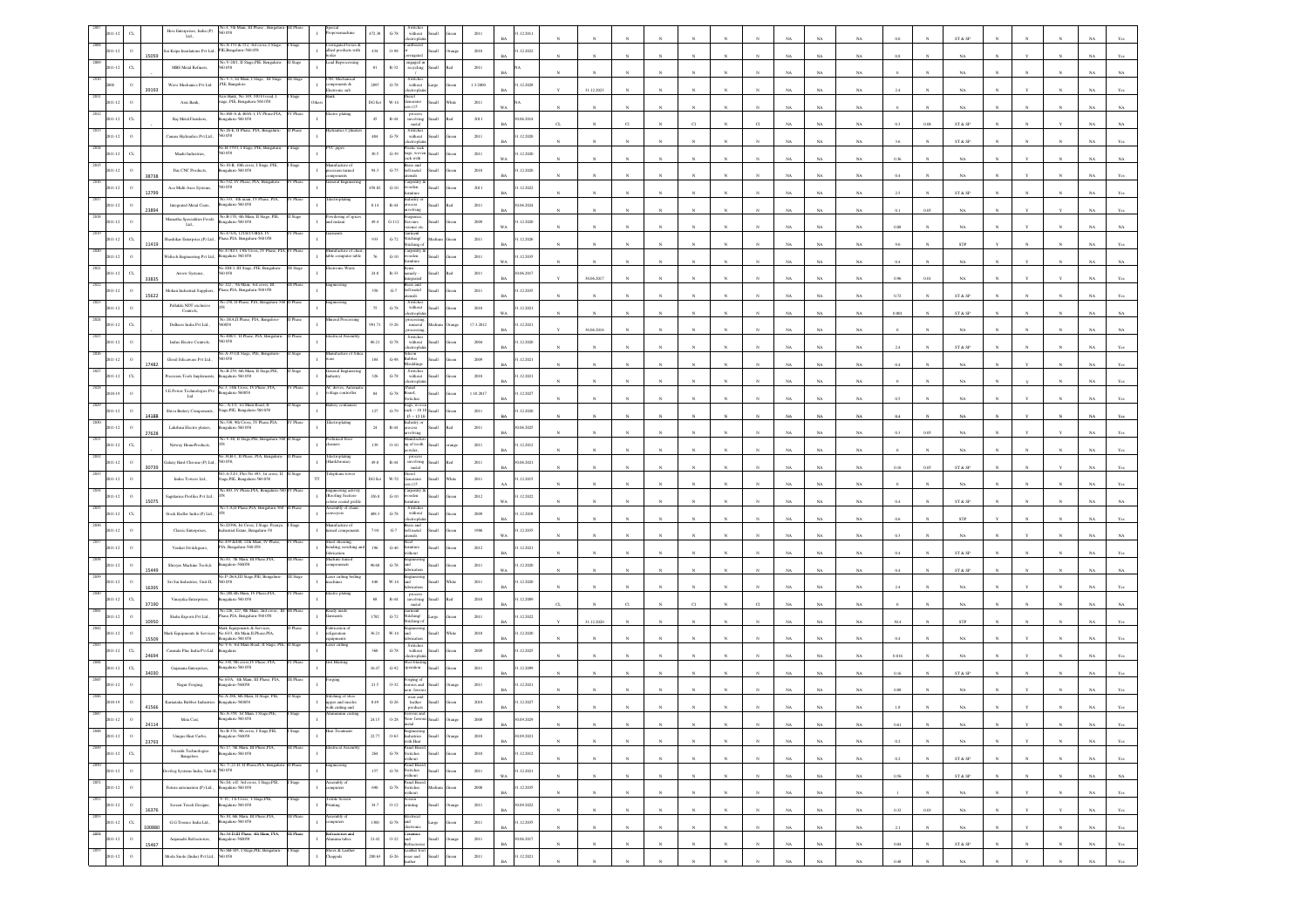|      |                            |        | Hess Enterprises, India (P) $\;$ Ltd.,<br>058                                                                                                                  |           |                                                       | 472.38<br>$G-78$<br>withou                                                                                                                                                                                                                    |        |           | 12.201                    |              |                 |              |              |                 |                  |            |             |             |             |          |              |                              |              |              |              |             |                |
|------|----------------------------|--------|----------------------------------------------------------------------------------------------------------------------------------------------------------------|-----------|-------------------------------------------------------|-----------------------------------------------------------------------------------------------------------------------------------------------------------------------------------------------------------------------------------------------|--------|-----------|---------------------------|--------------|-----------------|--------------|--------------|-----------------|------------------|------------|-------------|-------------|-------------|----------|--------------|------------------------------|--------------|--------------|--------------|-------------|----------------|
|      |                            |        | Vo.A-151 & 152, 3rd cross, I Stage                                                                                                                             |           | rrugated boxes &                                      |                                                                                                                                                                                                                                               |        |           |                           |              |                 |              |              |                 |                  |            |             |             |             |          |              | ST & SP                      |              |              |              |             |                |
|      |                            | 5059   | Sai Kripa Insulations Pvt Ltd.,<br>PIE, Bengalaru-560 058<br>No.V-20/1, II Stage,PIE, Bengaluru                                                                |           | allied products with<br>cad Reprocessin               | 434<br>0.98                                                                                                                                                                                                                                   |        | 2010      | 1.12.2022                 |              |                 |              |              |                 |                  |            |             | NA          | $_{\rm NA}$ |          |              | NA                           |              |              |              |             |                |
|      | $_{\rm{CL}}$               |        | MBS Metal Refiners,<br>058                                                                                                                                     | I Stage   |                                                       | $\frac{1}{2}$ engaged in<br>81<br>$R-32$                                                                                                                                                                                                      |        | $2011\,$  |                           |              |                 |              |              |                 |                  |            |             | NA          |             |          |              |                              |              |              |              |             |                |
|      |                            |        | o.V-3, Ist Main, I Stage, III Stage<br>Wave Mechanics Pvt Ltd<br>PIE, Bangalore                                                                                |           | VC Mechi<br>omponents &<br>lectronic sub              | Switche<br>$G-78$<br>2897<br>without<br>arge                                                                                                                                                                                                  |        | 1.3.2000  | 1.12.2028                 |              |                 |              |              |                 |                  |            |             |             |             |          |              |                              |              |              |              |             |                |
|      |                            | 39193  | s<br>Sank, No 149, 100 Ft road,                                                                                                                                |           |                                                       |                                                                                                                                                                                                                                               |        |           |                           |              | 31.12.2023      |              |              |                 |                  |            |             | NA          | NA          |          |              | NA                           |              |              |              |             |                |
|      |                            |        | Axis Bank,<br>tage, PIE, Bengaluru-560 058<br>No.460-A & 460A-1. IV Phase.PIA.                                                                                 |           |                                                       | DG Se<br>W-14<br>ienerator<br>ets (15                                                                                                                                                                                                         |        | 2011      |                           |              |                 |              |              |                 |                  |            |             | N           | $_{\rm NA}$ |          |              | NA                           |              |              |              |             |                |
|      | $\alpha$                   |        | galaru-560 058<br>Raj Metal Finishers,                                                                                                                         | Phase     | lectro plating                                        | process<br>involving<br>$R-44$<br>$45\,$<br>metal                                                                                                                                                                                             |        | $2011\,$  | (06.2014)<br><b>BA</b>    |              |                 |              |              |                 |                  |            |             | NA          | NA          | 0.3      | 0.08         | ST & SP                      |              |              |              |             |                |
|      |                            |        | o.26-E, II Phase, PIA, Beng<br>Canara Hydraulics Pvt Ltd.,<br>0058                                                                                             |           |                                                       | Switches<br>without<br>$G-78$<br>404                                                                                                                                                                                                          |        | 2011      | 1.12.2020                 |              |                 |              |              |                 |                  |            |             |             |             |          |              |                              |              |              |              |             |                |
|      |                            |        | 60.B-379/1, I Stage, PIE, Beng                                                                                                                                 |           | VC pipes                                              | ctronia<br>lastic sack                                                                                                                                                                                                                        |        |           | <b>BA</b>                 |              |                 |              |              |                 |                  |            |             | NA          | NA          | 3.6      |              | ST & SP                      |              |              |              |             |                |
|      |                            |        | Maahi Industries,<br>0058<br>o.10-B. 10th cross                                                                                                                |           |                                                       | 30.5<br>$\,$ G-39 $\,$<br>bags, wove<br>sack with                                                                                                                                                                                             |        | 2011      | .12.2020                  |              |                 |              |              |                 |                  |            |             | NA          | $_{\rm NA}$ | 0.36     |              | $_{\rm NA}$                  |              |              |              |             |                |
|      |                            | 38738  | Das CNC Products,<br>galaru-560 058                                                                                                                            |           | ision turned                                          | ass and<br>94.3<br>$_{\mathrm{G-75}}$<br>ell metal<br>asils                                                                                                                                                                                   |        | $2010\,$  | 1.12.2020                 |              |                 |              |              |                 |                  |            |             | NA          | NA          |          |              | NA                           |              |              |              |             |                |
|      |                            |        | io.532, IV Phase, PIA, Bengalure<br>Ace Multi Axes Systems,<br>0058                                                                                            |           | teral Engin                                           | arpentry.<br>458.82<br>$G-10$<br>rooden                                                                                                                                                                                                       |        | 2011      | 1.12.2022                 |              |                 |              |              |                 |                  |            |             |             |             |          |              |                              |              |              |              |             |                |
|      |                            | 12799  | No.333, 4th main. IV Phase. PIA.                                                                                                                               |           | ctroplating                                           | lastry o                                                                                                                                                                                                                                      |        |           | RA                        |              |                 |              |              |                 |                  |            |             | NA          | NA          |          |              | ST & SP                      |              |              |              |             |                |
|      |                            |        | Integrated Metal Coats,<br>galaru-560 058<br>No.B-170, 4th Main, II                                                                                            |           |                                                       | $8.14\,$<br>$\mathbb{R}\text{-}44$<br>cess<br>olving                                                                                                                                                                                          |        | $2011\,$  | (06, 2024)                |              |                 |              |              |                 |                  |            |             | NA          | $_{\rm NA}$ |          |              | NA                           |              |              |              |             |                |
|      |                            |        | damatha Specialities Foods<br>sgalaru-560 058<br>Lad.                                                                                                          |           | bwdering of<br>nd instant                             | agranc<br>vours<br>49.4<br>$_{\rm{G-112}}$<br>sence et                                                                                                                                                                                        |        | $2009\,$  | 1.12.2020<br>WA           |              |                 |              |              |                 |                  |            |             | NA          | NA          |          |              | NA                           |              |              |              |             |                |
|      | C1                         |        | o.473/A, 12TH CORSS, IV<br>Shashikar Enterpries, (P) Ltd.,<br>Phase, PIA, Bengaluru-560 058                                                                    |           |                                                       | Garment<br>Stitching∕<br>933<br>$G-72$                                                                                                                                                                                                        |        | 2011      | 1.12.2026                 |              |                 |              |              |                 |                  |            |             |             |             |          |              |                              |              |              |              |             |                |
|      |                            | 11419  | No.473D/3, 13th Cross, IV Phase, PIA, IV Phase                                                                                                                 |           | unufacture of cha                                     | titchine<br>arpentry                                                                                                                                                                                                                          |        |           | <b>BA</b>                 |              |                 |              |              |                 |                  |            |             | NA          | $_{\rm NA}$ |          |              | ${\tt STP}$                  |              |              |              |             |                |
|      | $\circ$                    |        | Veltech Engineering Pvt Ltd.,<br>galaru-560 058                                                                                                                |           | ible computer table                                   | $_{\mathrm{G-10}}$<br>ooden<br>miture                                                                                                                                                                                                         |        | 2011      | .12.2035                  |              |                 |              |              |                 |                  |            |             | NA          | $_{\rm NA}$ |          |              | NA                           |              |              |              |             |                |
|      | C1                         | 33835  | éo.SM-3, III Stage, PIE, Bengalun<br>Arrow Systems,<br>058                                                                                                     |           | ronic Wa                                              | ems<br>anely -<br>$_{\rm 24.8}$<br>$R - 33$<br>tegrated                                                                                                                                                                                       |        | 2011      | 0.06.2017<br>RA           |              | 30.06.2017      |              |              |                 |                  |            |             | <b>NA</b>   | NA          | 0.96     |              | NA                           |              |              |              |             |                |
|      | $\circ$                    |        | o.122, 7th Main, 3rd cross<br>Mohan Industrial Suppliers,<br>Phase, PIA, Bengaluru-560 058                                                                     |           |                                                       | iss and<br>$G-7$<br>350<br>bell metal                                                                                                                                                                                                         |        | 2011      | 1.12.2035                 |              |                 |              |              |                 |                  |            |             |             |             |          |              |                              |              |              |              |             |                |
|      |                            | 15622  | No.250, II Phase, PIA, Bengaluru-3<br>Pallakki NDT exclusive                                                                                                   |           |                                                       | Switches<br>without                                                                                                                                                                                                                           |        |           | <b>BA</b>                 |              |                 |              |              |                 |                  |            |             | NA          | $_{\rm NA}$ | 0.72     |              | ST & SP                      |              |              |              |             |                |
|      |                            |        | Controls,                                                                                                                                                      |           |                                                       | $_{\mathrm{G-78}}$<br>$75\,$<br>lectropla                                                                                                                                                                                                     |        | $2010\,$  | .12.2021<br>WA            |              |                 |              |              |                 |                  |            |             | NA          | NA          | 0.001    |              | ST & SP                      |              |              |              |             |                |
|      | $\sigma$                   |        | o.18/A,II Phase, PIA, Bangalo<br>DeBeers India Pvt Ltd.,<br>058                                                                                                |           |                                                       | 991.71<br>$0 - 26$<br>miteral                                                                                                                                                                                                                 |        | 17.3.2012 | 1.12.2021<br>RA           |              | 30.06.2016      |              |              |                 |                  |            |             | <b>NA</b>   | NA          |          |              | <b>NA</b>                    |              |              |              |             |                |
|      |                            |        | No.408/3, II Phase, PIA, Bengaluru<br>Indus Electro Controls,<br>058                                                                                           |           | trical Asset                                          | Switches<br>86.21<br>${\bf G}\mbox{-}78$<br>without                                                                                                                                                                                           |        | $2004\,$  | 1.12.2020                 |              |                 |              |              |                 |                  |            |             |             |             |          |              |                              |              |              |              |             |                |
|      |                            |        | io A-353,II Stage, PIE, Beng                                                                                                                                   |           |                                                       | licen<br>abber                                                                                                                                                                                                                                |        |           | <b>BA</b>                 |              |                 |              |              |                 |                  |            |             | NA          | $_{\rm NA}$ | 2.4      |              | ${\rm ST}$ & ${\rm SP}$      |              |              |              |             |                |
|      | $\mathbf{o}$               | 17482  | Glosil Silicaware Pvt Ltd.,                                                                                                                                    |           |                                                       | $\,$ G-98<br>$^{\rm 184}$<br><b>Soulding</b>                                                                                                                                                                                                  |        | $2009\,$  | .12.2021<br>BA            |              |                 |              |              |                 |                  |            |             | $_{\rm NA}$ | NA          | 0.4      |              | NA                           |              |              |              |             |                |
|      | $_{\rm{CL}}$               |        | Vo.B-259, 6th Main, II<br>recision Tools Implements<br>ngalaru-560 058                                                                                         |           | ustry                                                 | Switches<br>without<br>326<br>$G-78$<br>trondo                                                                                                                                                                                                |        | 2010      | 1.12.2021                 |              |                 |              |              |                 |                  |            |             | NA          | NA.         |          |              |                              |              |              |              |             |                |
|      |                            |        | No.3, 14th Cross, IV Phase, PIA<br><b>I.E.Power Technologies Pvt</b><br>galaru-560058                                                                          |           | AC drives, Autor<br>ltage controller                  | Panel<br>84<br>${\bf G}\mbox{-}78$<br>loard,                                                                                                                                                                                                  |        | 1.10.2017 | 1.12.2027                 |              |                 |              |              |                 |                  |            |             |             |             |          |              |                              |              |              |              |             |                |
|      |                            |        | Ltd<br>2. A-1/1. 1st Main Road. 1                                                                                                                              |           |                                                       | vitches                                                                                                                                                                                                                                       |        |           | <b>BA</b>                 |              |                 |              |              |                 |                  |            |             |             | NA          |          |              |                              |              |              |              |             |                |
|      |                            | 4188   | <b>Shiva Battery Components</b> ,<br>Stage, PIE, Bengaluru-560 058                                                                                             |           |                                                       | bags, woven<br>sack -- 10 10<br>15 -- 15 10<br>$127\,$<br>$\operatorname{G-79}$                                                                                                                                                               |        | 2011      | .12.2020                  |              |                 |              |              |                 |                  |            |             | NA          | NA          |          |              | NA                           |              |              |              |             |                |
|      |                            | 27628  | No.338, 9th Cross, IV Phase, PIA,<br>Lakshmi Electro platers,<br>ngalaru-560 058                                                                               |           | ectroplating                                          | dustry o<br>24<br>R-44<br>ocess<br>volving                                                                                                                                                                                                    |        | 2011      | 0.06.2025                 |              |                 |              |              |                 |                  |            |             |             | $_{\rm NA}$ |          |              | NA                           |              |              |              |             |                |
|      | $_{\rm{CL}}$               |        | No.V-40, II Stage, PIE, Bengaluru-5<br>Netway HomeProducts,                                                                                                    |           | rfumed floor                                          | danufactu<br>139<br>$O-10$<br>ag of tooth                                                                                                                                                                                                     |        | 2011      | 1.12.2012                 |              |                 |              |              |                 |                  |            |             |             |             |          |              |                              |              |              |              |             |                |
|      |                            |        | io.38,B-1, II Phase, PIA, Bengalu                                                                                                                              |           | lectroplating<br>landchrome)                          | vder,<br>process<br>involving                                                                                                                                                                                                                 |        |           | <b>BA</b>                 |              |                 |              |              |                 |                  |            |             | NA          | $_{\rm NA}$ |          |              | NA                           |              |              |              |             |                |
|      | $\circ$                    | 30739  | Galaxy Hard Chrome (P) Ltd.<br>058.<br>D.A-52/1, Plot No 493, 1st cross,                                                                                       |           |                                                       | 49.8<br>$\mathbb{R}{\text{-}}44$<br>metal                                                                                                                                                                                                     |        | 2011      | 0.06.2021<br>RÁ           |              |                 |              |              |                 |                  |            |             | NA          | NA          | 0.16     | 0.05         | ST & SP                      |              |              |              |             |                |
|      | $\circ$                    |        | Indus Towers Ltd.,<br>tage, PIE, Bengaluru-560 058                                                                                                             |           | TT                                                    | DG Se<br>W-52<br>Generator<br>HH.<br>25 (15)                                                                                                                                                                                                  |        | 2011      | 1.12.2015                 |              |                 |              |              |                 |                  |            |             | NA          | NA          |          |              | NA                           |              |              |              |             |                |
|      |                            |        | No.403, IV Phase.PIA. Bengaluru<br>Sagitarius Profiles Pvt Ltd.,                                                                                               |           | Engineering activity<br>Roofing Section               | Carpentry a<br>wooden<br>326.8<br>$_{\mathrm{G-10}}$                                                                                                                                                                                          |        | $2012\,$  | 1.12.2022                 |              |                 |              |              |                 |                  |            |             |             |             |          |              |                              |              |              |              |             |                |
|      |                            | 15075  | io.1-A,II Phase,PIA, Benga                                                                                                                                     |           | ur coated prif<br>mbly of chai                        | Switche                                                                                                                                                                                                                                       |        |           | WA                        |              |                 |              |              |                 |                  |            |             | NA          | NA          |          |              | ST & SP                      |              |              |              |             |                |
|      | C1                         |        | Stock Redler India (P) Ltd.,<br>io.D/396, Ist Cross, I Stage, Peeny                                                                                            |           | zyors<br>ufacture of                                  | 488.3<br>$G-78$<br>without<br>ectronia<br>rass and                                                                                                                                                                                            |        | 2009      | 1.12.2018<br>RÁ           |              |                 |              |              |                 |                  |            |             | NA          | NA          |          |              | <b>STP</b>                   |              |              |              |             |                |
|      |                            |        | Classic Enterprises,<br>lustrial Estate, Bengaluru-58                                                                                                          |           | ned component                                         | $G-7$<br>7.94<br>bell metal<br>utensils                                                                                                                                                                                                       |        | 1986      | 1.12.2035<br>w.           |              |                 |              |              |                 |                  |            |             | NA          | $_{\rm NA}$ | 0.3      |              | $_{\rm NA}$                  |              |              |              |             |                |
|      |                            |        | No.439 &440, 12th Main, IV Phase<br>PIA, Bengaluru-560 058<br>Venkat Switchgears,                                                                              |           | heet shearing,<br>ending, notching a                  | ăcel<br>196<br>$_{\mathrm{G-46}}$<br>imiture                                                                                                                                                                                                  |        | $2012\,$  | .12.2021                  |              |                 |              |              |                 |                  |            |             |             |             |          |              |                              |              |              |              |             |                |
|      |                            |        | o.83, 7th Main, III Phi<br>Shreyas Machine Tools,k<br>ngalore-560058                                                                                           |           | brication<br>hine tume<br>mponenets                   | ithout<br>$G-78$<br>90.68<br>ht                                                                                                                                                                                                               |        | 2011      | BA<br>1.12.2020           |              |                 |              |              |                 |                  |            |             | NA          | NA          | 0.4      |              | ST & SP                      |              |              |              |             |                |
|      |                            | 15449  | No.P-26/A,III Stage,PIE, Bengalari                                                                                                                             |           | aser cutting bed                                      |                                                                                                                                                                                                                                               |        |           | WA.                       |              |                 |              |              |                 |                  |            |             | NA          | NA          | 0.4      |              | ST & SP                      |              |              |              |             |                |
|      |                            | 16395  | Sri Sai Industries, Unit-II,<br>0058                                                                                                                           |           | achines                                               | $W-14$<br>вĴ<br>446                                                                                                                                                                                                                           |        | $2011\,$  | .12.2020                  |              |                 |              |              |                 |                  |            |             | NA          | NA.         |          |              | NA                           |              |              |              |             |                |
|      |                            |        | io 280.4th Main. IV Phase.PIA<br>Vinayaka Enterprises,<br>sgalaru-560 058                                                                                      |           |                                                       | $\,$ R-44<br>$68\,$<br>involving                                                                                                                                                                                                              |        | $2010\,$  | 1.12.2009                 |              |                 |              |              |                 |                  |            |             |             |             |          |              |                              |              |              |              |             |                |
|      |                            |        | Vo. 226, 227, 8th Main, 2nd cross, II<br>Shahi Exports Pvt Ltd.,<br>Phase, PIA, Bengaluru-560 058                                                              |           | eady madı<br><b>irments</b>                           | metal<br>iarment<br>1782<br>$G-72$<br>stitching/                                                                                                                                                                                              |        | 2011      | 1.12.2022                 |              |                 |              |              |                 |                  |            |             |             |             |          |              |                              |              |              |              |             |                |
|      |                            |        | dark Equipments & Services                                                                                                                                     |           | brication c                                           | tichine.                                                                                                                                                                                                                                      |        |           | <b>BA</b>                 |              | 31.12.2020      |              |              |                 |                  |            |             | NA          | NA          |          |              | STP                          |              |              |              |             |                |
|      |                            |        | dark Equipments & Service<br>No.63/3, 4th Main, II, Phase, PIA,<br>alaru-560 058                                                                               |           | figeration<br>ments                                   | 36.21<br>$W-14$<br>ыĪ                                                                                                                                                                                                                         |        | $2010\,$  | .12.2020                  |              |                 |              |              |                 |                  |            |             |             | NA.         |          |              | NA                           |              |              |              |             |                |
|      |                            | 4694   | No.V-6, 3rd Main Road, II Stage, PIE<br>Cannula Plus India Pvt Ltd<br>galoru                                                                                   |           | ser cutting                                           | Switches<br>without<br>$G-78$<br>368<br>ctronic                                                                                                                                                                                               |        | 2009      | 1.12.2025                 |              |                 |              |              |                 |                  |            |             | NA          | NA.         | 0.816    |              | NA                           |              |              |              |             |                |
|      |                            |        | 338, 9th cross, IV Phase,<br>Gajanana Enterprises,<br>sgalaru-560 058                                                                                          |           | it Blasting                                           | $G-92$<br>16.47<br>eration                                                                                                                                                                                                                    |        | 2011      | 1.12.2099                 |              |                 |              |              |                 |                  |            |             |             |             |          |              |                              |              |              |              |             |                |
|      |                            |        | 40.63/A. 4th Main, III Phase, PIA.                                                                                                                             |           |                                                       |                                                                                                                                                                                                                                               |        |           | <b>BA</b>                 |              |                 |              |              |                 |                  |            |             | NA          | $_{\rm NA}$ | 0.16     |              | ST & SP                      |              |              |              |             |                |
|      |                            |        | Nagar Forging, $% \left\vert \left( \mathcal{A}\right\vert \right\vert$<br>galore-560058                                                                       |           |                                                       | rging of<br>rous and<br>$0 - 32$<br>21.5<br>n- ferro                                                                                                                                                                                          |        | $2011\,$  | .12.2021                  |              |                 |              |              |                 |                  |            |             | NA          | $_{\rm NA}$ |          |              | $_{\rm NA}$                  |              |              |              |             |                |
|      |                            | 41566  | No.A-286, 6th Main, Il<br>Karnataka Rubber Industrie<br>galaru-5600S                                                                                           |           | titching of shoe<br>pper and insoles<br>h cutting and | wear and<br>8.49<br>$G-26$<br>leather<br>where                                                                                                                                                                                                |        | 2018      | 1.12.2027                 |              |                 |              |              |                 |                  |            |             |             |             |          |              |                              |              |              |              |             |                |
|      |                            |        | .A-359, lst M<br>Meta Cast,<br>alum, 560.05                                                                                                                    |           |                                                       | 24.15<br>$O-28$                                                                                                                                                                                                                               |        | 2008      | (09.2029)                 |              |                 |              |              |                 |                  |            |             |             |             |          |              |                              |              |              |              |             |                |
| 2048 |                            | 24114  | No.B-376, 9th cross, I Stage, PIE,                                                                                                                             | I Stage   | leat Treatment                                        |                                                                                                                                                                                                                                               |        |           | BA                        |              | $_{\mathrm{N}}$ | $_{\rm N}$   |              |                 | $_{\rm N}$       | $_{\rm N}$ | NA          | NA          | $_{\rm NA}$ | 0.61     | ${\bf N}$    | NA                           |              |              |              |             | NA Yes         |
| 2049 | $\,$ $\,$<br>$2011 - 12$   | 23793  | Unique Heat Carbo,<br>Bangalore-560058<br>No.17, 5th Main, III Phase, PIA,                                                                                     |           |                                                       | Engineering<br>Industries<br>with Heat<br>$22.77\,$<br>$0 - 63$<br><b>Ilam</b>                                                                                                                                                                | range  | 2010      | 0.09.2021<br>$BA$         |              | N               |              |              | N               | $\boldsymbol{N}$ | $_{\rm N}$ | $_{\rm NA}$ | NA          | NA          | 0.2      |              | $_{\rm NA}$                  |              |              |              | $_{\rm NA}$ | Yes            |
|      | $_{\rm CL}$<br>$2011 - 12$ |        | Swastik Technologies<br>Bengaluru-560 058<br>Bangalore.                                                                                                        |           | $\mathbf{I}$                                          | Panel Boan<br>$\begin{tabular}{cc} G-78 & \multicolumn{2}{c}{\textbf{Switches}} \\ \multicolumn{2}{c}{\textbf{G-78}} & \multicolumn{2}{c}{\textbf{Switches}} \\ \multicolumn{2}{c}{\textbf{without}} \end{tabular}$<br>$264\,$<br><b>Hami</b> | reen   | 2010      | 31.12.2012<br>BA          | $\mathbf{N}$ | $_{\rm N}$      | $\sim$       | $\mathbf{N}$ | $\mathbf{N}$    | $\mathbb{N}$     | $_{\rm N}$ | NA          | NA          | NA          | 0.2      | $\mathbf{N}$ | ST & SP                      | $\mathbf{N}$ | $\mathbf{N}$ | $\mathbf{N}$ | NA          | Yes            |
| 2050 | $\,$ $\,$<br>$2011 - 12$   |        | $\frac{\text{No. } 5, 21\text{-D}, 11 \text{ Phase}, \text{PIA}, \text{Bengalum-}\text{II Phase}}{\text{Devilog Systems India}, \text{Uni-H}, \text{560 058}}$ |           | ingineering<br>$\mathbf{I}$                           | $\begin{tabular}{ll} \bf{G-78} & Panel Board, \\ \bf{G-78} & Switches \\ without \end{tabular}$<br>$157\,$<br><b>Ilum</b>                                                                                                                     | een    | 2011      | 31.12.2021                |              |                 |              |              |                 |                  |            |             |             |             |          |              |                              |              |              |              |             |                |
| 2051 |                            |        | No.S4, off: 3ed cross, I Stage,PIE,<br>Bengalaru-560 058                                                                                                       |           | issembly of<br>omputers                               | Panel Board                                                                                                                                                                                                                                   |        |           | $_{\rm WA}$               |              | $_{\rm N}$      | $\bar{N}$    |              | $_{\rm N}$      | $_{\rm N}$       | $_{\rm N}$ | $_{\rm NA}$ | $_{\rm NA}$ | $_{\rm NA}$ | $0.56\,$ |              | $\text{ST} \ \& \ \text{SP}$ |              |              |              | $_{\rm NA}$ | $_{\rm NA}$    |
| 2052 | $\,$ o<br>2011-12          |        | Futura automation (P) Ltd.,<br>V-IC, 1 E Cross, 1 Stage, PIE,                                                                                                  |           | $\mathbf{I}$<br>Textile Screen                        | $690\,$<br>$$\rm{G-78}$$ Switches<br>dedium<br>without<br>Screen                                                                                                                                                                              | ireen  | 2008      | 31.12.2035<br>$BA$        | N            | $_{\rm N}$      | $_{\rm N}$   | $_{\rm N}$   | $_{\mathrm{N}}$ | $_{\rm N}$       | $_{\rm N}$ | NA          | NA          | NA          |          |              | NA                           |              | Y            | $_{\rm N}$   | NA          | Yes            |
|      | $\,$ o<br>$2011 - 12$      | 16376  | Screen Touch Designs,<br>Bengaluru-560 058                                                                                                                     | Stage     | $\mathbf{I}$<br>Printing                              | $34.7\,$<br>$\,$ O-12 $\,$ printing<br>Small                                                                                                                                                                                                  | hrange | 2011      | 30.09.2022<br>$_{\rm BA}$ |              | $\mathbf{N}$    | $\mathbf{N}$ | $_{\rm N}$   | $\mathbf{N}$    | $\mathbf{N}$     | $_{\rm N}$ | $_{\rm NA}$ | $_{\rm NA}$ | $_{\rm NA}$ | 0.32     | $0.03\,$     | $_{\rm NA}$                  |              | Y            | $\mathbf{Y}$ | $_{\rm NA}$ | $\mathbf{Yes}$ |
| 2053 | $_{\rm CL}$<br>2011-12     |        | No.10, 6th Main, III Phase, PIA,<br>G.G.Tronics India Ltd.,<br>Bengaluru-560 058                                                                               | III Phase | Assembly of<br>$\mathbf{1}$<br>mputers                | Electrical<br>1300<br>$\,$ G-78 $\,$ and $\,$<br>Large                                                                                                                                                                                        | eca    | 2011      | 31.12.2035                |              |                 |              |              |                 |                  |            |             |             |             |          |              |                              |              |              |              |             |                |
| 2054 |                            | 100880 | No.34-D,III Phase, 4th Main, PIA,<br>Bangalore-560058                                                                                                          | III Phase | fractories and                                        | lectronic<br><b>Illum</b>                                                                                                                                                                                                                     |        |           | $_{\rm BA}$               |              | $_{\rm N}$      |              |              | $_{\rm N}$      |                  | $_{\rm N}$ | $_{\rm NA}$ | $_{\rm NA}$ | $_{\rm NA}$ | $2.1\,$  | $_{\rm N}$   | $_{\rm NA}$                  |              |              |              | $_{\rm NA}$ | Yes            |
|      | $\,$ $\,$<br>2011-12       | 15467  | Anjanadri Refractories,<br>No.SB-105, I Stage, PIE, Bengaluru-                                                                                                 | Stage     | $\mathbf{I}$<br>Alumina tabes<br>Shoes & Leather      | Ceramics<br>0-22 and<br>Refractories<br>$21.42\,$                                                                                                                                                                                             | rango  | $2011\,$  | 0.06.2017<br>$BA$         | N            | N               | $\mathbf{N}$ |              | $_{\rm N}$      | $_{\rm N}$       | $_{\rm N}$ | $_{\rm NA}$ | NA          | NA          | 0.04     |              | ST & SP                      |              | $_{\rm N}$   | $_{\rm N}$   | $_{\rm NA}$ | Yes            |
|      | $\,$ $\,$<br>2011-12       |        | Moda Suole (India) Pvt Ltd.,<br>560 058                                                                                                                        |           | $\mathbf{I}$<br>Chappals                              | Leather foot<br>G-26 wear and<br>200.63<br><b>Ham</b><br>leather                                                                                                                                                                              |        | $2011\,$  | 31.12.2021<br>$_{\rm BA}$ |              |                 |              |              |                 |                  |            | NA          | NA          | $_{\rm NA}$ | 0.48     |              | $_{\rm NA}$                  |              |              |              | NA          | $\mathbf{Yes}$ |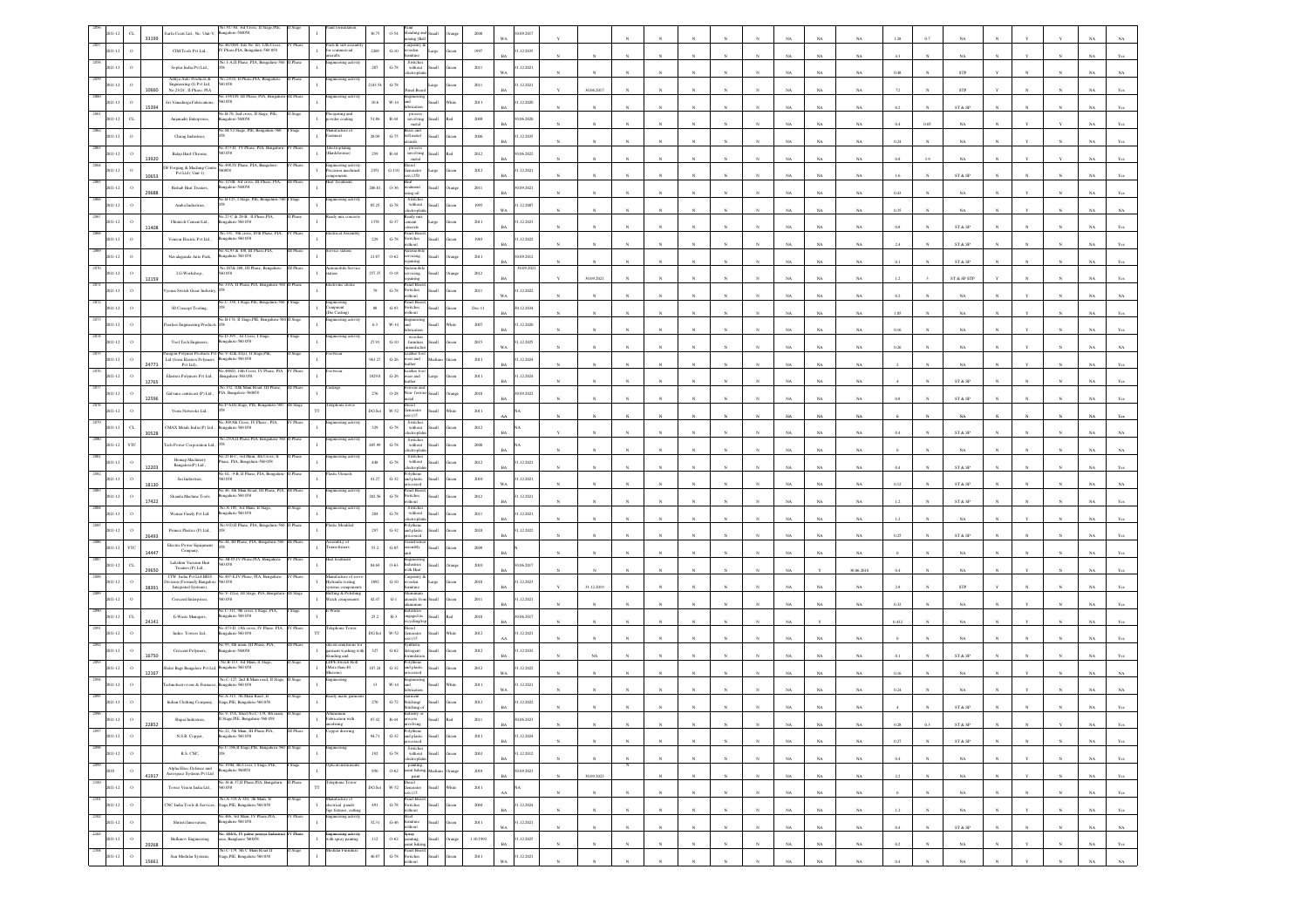|                   | $\alpha$<br>33199            | urfa Coats Ltd., No. Unit-V,                                                   | éo.VC-84, 3rd Cross, II Stage,PIE<br>angalore-560058                  |                  |                                                                 | 30.75                     | 0.54                   | xing (Ball                                                                                        |                                 | 2008                             | 09.2017                  |              |                       |            |              |                       |              |             |             |             |                 |              |                         |              |              |              |             |                |
|-------------------|------------------------------|--------------------------------------------------------------------------------|-----------------------------------------------------------------------|------------------|-----------------------------------------------------------------|---------------------------|------------------------|---------------------------------------------------------------------------------------------------|---------------------------------|----------------------------------|--------------------------|--------------|-----------------------|------------|--------------|-----------------------|--------------|-------------|-------------|-------------|-----------------|--------------|-------------------------|--------------|--------------|--------------|-------------|----------------|
|                   |                              | CIM Tools Pvt Ltd.,                                                            | .467/469, Site No 1D, 12th Cross,<br>IV Phase, PIA, Bengaluru-560 058 | Phas             | arts & sub assen<br>e commercial<br>rafts                       | 2269                      | $G-10$                 | arpentry &<br>vooden                                                                              | Large                           | 1997                             | 1.12.2035                |              |                       |            |              |                       |              |             | NA          | $_{\rm NA}$ | 47              |              | NA                      |              |              |              |             |                |
|                   |                              | Soplar India Pvt Ltd.,                                                         | No.1-A,II Phase, PIA, Bengaluru-560                                   | Phase            | gineering activit                                               | $207\,$                   | $\,$ G-78 $\,$         | Switches<br>without<br>ctroph                                                                     | Iliamā                          | $2011\,$                         | 1.12.2021<br>WA          |              |                       |            |              |                       |              |             | NA          | NA.         | 0.48            |              | STP                     |              |              |              |             |                |
|                   | $\circ$<br>10660             | Aditya Auto Products &<br>Engineering (I) Pvt Ltd,<br>No.23/24 , II Phase, PIA | a 23/24, II Phase, PIA, Beng<br>D 0.58                                |                  | ineering activit                                                | 143.5                     | $G-78$                 | ind Boa                                                                                           | large                           | 2011                             | .12.2021<br>RA           | 30.06.2017   |                       |            |              |                       |              |             | NA          | NA          |                 |              | <b>STP</b>              |              |              |              |             |                |
|                   | $\circ$                      | Sri Vanadurga Fabrications,                                                    | 139/149, 11<br>60058                                                  |                  | ering act                                                       | 10.6                      | W-14                   |                                                                                                   | <b>Ham</b>                      | 2011                             | 1.12.2020                |              |                       |            |              |                       |              |             | NA          | $_{\rm NA}$ | 0.2             |              | ST & SP                 |              |              |              |             |                |
|                   | 15394<br>$\alpha$            | Anjanadri Enterprises,                                                         | No.B-70, 2nd cross, II Stage, PIE,<br>Bangalore-560058                |                  | Phospating and<br>powder coating                                | 51.86                     | $\mathbb{R}\text{-}44$ | process<br>involving                                                                              |                                 | $2008\,$                         | 0.06.2020                |              |                       |            |              |                       |              |             |             |             | 0.4             |              |                         |              |              |              |             |                |
|                   |                              | Chirag Industries,                                                             | o.M-5,I Stage, PIE, Beng                                              |                  | ufacture<br>steners                                             | 28.09                     | $G-75$                 | metal<br>ass and<br>bell metal<br>slien                                                           | <b>Ham</b>                      | 2006                             | .12.2035<br>RA           |              |                       |            |              |                       |              |             | NA<br>NA    | NA<br>NA    | 0.24            | 0.05         | NA<br><b>NA</b>         |              |              |              |             |                |
|                   |                              | Balaji Hard Chrome,                                                            | Vo.473-D, IV Phase, PIA, Benga<br>50 058                              |                  | ectroplating<br>lardchrome)                                     | $259\,$                   | $\mathbb{R}\text{-}44$ | $\frac{involving}{metal}$                                                                         |                                 | 2012                             | 0.06, 2022               |              |                       |            |              |                       |              |             |             |             |                 |              |                         |              |              |              |             |                |
|                   | 13920                        | F Forging & Maching Cent<br>Pvt Ltd (Unit-1)                                   | o.498.IV Phase, PIA.<br>0058                                          |                  | neering activit<br>ision machine                                | 2351                      | $G-110$                | esel<br>nerator                                                                                   |                                 | $2012\,$                         | .12.2021                 |              |                       |            |              |                       |              |             | $_{\rm NA}$ | $_{\rm NA}$ | 0.8             |              | $_{\rm NA}$             |              |              |              |             |                |
|                   | 10653                        | Rishab Heat Treaters.                                                          | .115/B, 3rd cross, III Phase, PIA,<br>ngalore-560058                  |                  | ponents<br>eat Treatment                                        | 206.01                    | $0 - 36$               | \$(250)<br>teat<br>reatment                                                                       | <b>Illami</b>                   | 2011                             | 0.09.2021                |              |                       |            |              |                       |              |             | NA          | NA          |                 |              | ST & SP                 |              |              |              |             |                |
|                   | 29688                        | Amba Industries,                                                               | 40.B-125, I Stage, PIE, Bengaluru-3                                   |                  | gineering activit                                               | 85.25                     | $\mbox{G-}78$          | lio sni<br>Switcher<br>$% \left\vert \left( \mathbf{1}_{\mathbf{1}}\right) \right\rangle$ without |                                 | $1995\,$                         | RA<br>.12.2007           |              |                       |            |              |                       |              |             | <b>NA</b>   | NA          | 0.43            |              | NA                      |              |              |              |             |                |
|                   |                              | Ultratech Cement Ltd.,                                                         | o 27-C & 28-B. Il Phase.PIA<br>ngalaru-560 058                        |                  |                                                                 | $1378\,$                  | $G - 37$               | Ready mix<br>cement                                                                               |                                 | $2011\,$                         | .12.2023                 |              |                       |            |              |                       |              |             | NA          | $_{\rm NA}$ | 0.35            |              | $_{\rm NA}$             |              |              |              |             |                |
|                   | 11408                        | Venson Electric Pvt Ltd.,                                                      | o.331, 9th cross, IVth Phase, PIA<br>ngalaru-560 058                  |                  | rical Asse                                                      | 229                       | $G-78$                 | crete<br>anel Boa<br><b>Switches</b>                                                              | <b>Ham</b>                      | 1983                             | .12.2022                 |              |                       |            |              |                       |              |             | NA          | NA          | 0.8             |              | $ST \& SP$              |              |              |              |             |                |
|                   |                              | Navalagunda Auto Park,                                                         | 46.92,93 & 100, III Phase,PIA,<br>sgalaru-560 058                     |                  | vice statio                                                     | 21.87                     | $0 - 62$               | ithout<br>atomobi<br>ervicing,                                                                    | Iliami                          | $2011\,$                         | 0.9.2012                 |              |                       |            |              |                       |              |             | NA          | $_{\rm NA}$ | 2.4             |              | ${\rm ST}$ & ${\rm SP}$ |              |              |              |             |                |
|                   | $\circ$                      | LG.Workshop.,                                                                  | No.207& 208, III Phase, Bengaluru<br>D 058                            | II Phas          | tomobile S                                                      | 257.37                    | $O-18$                 | sairing<br>rvicing.                                                                               | Iliami                          | 2012                             | 30.09.202                |              |                       |            |              |                       |              |             | NA          | $_{\rm NA}$ | 0.1             |              | ST & SP                 |              |              |              |             |                |
|                   | 12159<br>$\circ$             | yoma Switch Grear Industry                                                     | 33/A, II Phase, PIA,                                                  |                  |                                                                 | 79                        | $G-78$                 | pairing<br>anel Boa<br>Switches                                                                   | <b>Illami</b>                   | 2011                             | 1.12.2022                | 30.09.2021   |                       |            |              |                       |              |             | <b>NA</b>   | NA          | $\overline{12}$ |              | ST & SP ETF             |              |              |              |             |                |
|                   |                              | 3D Concept Tooling,                                                            | o.C-338, I Stage,PIE, Benj                                            |                  |                                                                 | $^{\rm ss}$               | $\,$ G-93 $\,$         | anel Boa<br>witches                                                                               |                                 | $\mathrm{Dec}\text{-}\mathrm{H}$ | WA<br>0.12.2034          |              |                       |            |              |                       |              |             | NA          | $_{\rm NA}$ | 0.2             |              | NA                      |              |              |              |             |                |
|                   |                              | cerless Engineering Product                                                    | io.B-174, II Stage,PIE, 1                                             |                  | Compuesting<br>Compuent<br>(Die Casting)<br>ering a             | 6.3                       | $W-14$                 | thout                                                                                             |                                 | 2007                             | 1.12.2020                |              |                       |            |              |                       |              |             | NA          | NA          | 1.05            |              | NA                      |              |              |              |             |                |
|                   |                              | Tool Tech Engineers,                                                           | Vo.D-395, 1st Cross, I Stage<br>ngalaru-560 058                       |                  | ineering activi                                                 | 27.91                     | $_{\mathrm{G-10}}$     |                                                                                                   |                                 | 2015                             | R4<br>.12.2025           |              |                       |            |              |                       |              |             | NA          | NA          | 0.16            |              | NA                      |              |              |              |             |                |
|                   |                              | Paragon Polymer Products Pvt<br>Lad (form Elastrex Polymers                    | No.V-42& 42(a), II Stage, I<br>sgalaru-560 058                        |                  |                                                                 | 961.27                    | $\,$ G-26 $\,$         | car and                                                                                           |                                 | $2011\,$                         | WA<br>.12.2024           |              |                       |            |              |                       |              | NA          | NA          | $_{\rm NA}$ | $0.26\,$        |              | $_{\rm NA}$             |              |              |              |             |                |
|                   | 24771                        | Pvt Lad).,<br>Elastrex Polymers Pvt Ltd.,                                      | 0.488D, 14th Cross.<br>Bengalaru-560 058                              |                  |                                                                 | 1829.8                    | $G-26$                 | ther                                                                                              |                                 | 2011                             | 1.12.2024                |              |                       |            |              |                       |              |             | NA          | NA          |                 |              | NA                      |              |              |              |             |                |
|                   | 12765                        | Galvano centricast (P) Ltd.,                                                   | No.152, 10th Main Road, III Phase<br>PIA, Bangalore-560058            |                  |                                                                 |                           |                        | vear and<br>.<br>Dor<br>rrous an<br>Von-fer                                                       |                                 |                                  |                          |              |                       |            |              |                       |              |             | NA          | NA          |                 |              | ST & SP                 |              |              |              |             |                |
|                   | 12596                        |                                                                                | o.P-6,III Stage, PIE, B                                               |                  |                                                                 | $276\,$                   | $0.28\,$               | iria.                                                                                             |                                 | 2010                             | 1.09.2022                |              |                       |            |              |                       |              |             | NA          | NA.         |                 |              | ST & SP                 |              |              |              |             |                |
|                   |                              | Viom Netwroks Ltd.,                                                            | 4o.309,8th Cross, IV Phase , PIA,                                     |                  | ineering activity                                               | DG Set                    | $_{\rm w.52}$          | ienerator<br>28(15)<br>Switches<br>without                                                        |                                 | $2011\,$                         |                          |              |                       |            |              |                       |              |             | NA          | NA          |                 |              | NA                      |              |              |              |             |                |
|                   | $_{\rm{CL}}$<br>30528<br>YTC | "MAX Metals India (P) Ltd.,                                                    | 820 032-analage:<br>No.25/A,II Phase,PIA, Bengaluru-56                |                  | ineering activit                                                | 329                       | $G-78$                 | Switches<br>without                                                                               |                                 | 2012                             |                          |              |                       |            |              |                       |              |             | NA          | $_{\rm NA}$ |                 |              | ST & SP                 |              |              |              |             |                |
|                   |                              | ech Power Corporation Ltd.<br>Homag Machinery                                  | 40.25 B-C, 3rd Main, 4th Cross, II<br>Thase, PIA, Bengaluru-560 058   |                  | neering activi                                                  | 485.99                    | $\,$ G-78 $\,$         | ctroph<br>Switches<br>without                                                                     |                                 | $2000\,$                         |                          |              |                       |            |              |                       |              |             | $_{\rm NA}$ | $_{\rm NA}$ |                 |              | $_{\rm NA}$             |              |              |              |             |                |
|                   | 12203                        | Bangalore(P) Ltd.,                                                             | o 02, .9-B, II Phase, PIA, Beng                                       |                  |                                                                 | $448\,$                   | $\mbox{G-}78$          | ectropha                                                                                          | <b>Small</b>                    | 2012                             | .12.2021<br>RA           |              |                       |            |              |                       |              |             | NA          | NA          | 0.4             |              | ST & SP                 |              |              |              |             |                |
|                   | $\Omega$<br>18130            | Sai Industries,                                                                | 560 058<br>No.46, 4th Main Road, III Phase, PIA, III Phase            |                  | neering activ                                                   | 41.27                     | $_{\mathrm{G-32}}$     | and plastic<br>.<br>Secol<br>anel Board                                                           | <b>Ham</b>                      | 2010                             | 1.12.2021<br>w.          |              |                       |            |              |                       |              |             | NA          | $_{\rm NA}$ | 0.12            |              | ST & SP                 |              |              |              |             |                |
|                   | 17422                        | Skanda Machine Tools                                                           | ngaluru-560 058<br>No.A-105, 3rd Main, II Stag                        |                  | gineering activ                                                 | 202.56                    | $\mbox{G-78}$          | switches<br>thout<br>Switche                                                                      |                                 | $2012\,$                         | .12.2021                 |              |                       |            |              |                       |              |             | $_{\rm NA}$ | NA          | 1.2             |              | $ST \& SP$              |              |              |              |             |                |
|                   |                              | Werner Finely Pvt Ltd.                                                         | ngalaru-560 058<br>No.9-D,II Phase, PIA, Benj                         |                  | stic Moulded                                                    | $_{\rm 284}$              | $\mbox{G-}78$          | without<br>tronic<br>olythene                                                                     | Iliami                          | 2011                             | .12.2021<br>RA           |              |                       |            |              |                       |              |             | NA          | NA          |                 |              | NA                      |              |              |              |             |                |
|                   | 26493                        | Primex Plastics (P) Ltd.,<br>Electric Power Equipment                          | No.44, III Phase, PIA, Bengaluru-560 III Phase                        |                  | sembLy of<br>ansofrmers                                         | 297                       | $G-32$                 | ind plastic<br>reocessed                                                                          | llum                            | 2010                             | 1.12.2022                |              |                       |            |              |                       |              |             | NA          | $_{\rm NA}$ | $0.25\,$        |              | ST & SP                 |              |              |              |             |                |
|                   | YΤ<br>14447                  | Company,<br>Lakshmi Vacuum Heat                                                | 3B-05,IV Phase,PIA, Beng                                              |                  |                                                                 | $53.2\,$                  | $_{\mathrm{G-S5}}$     | embb <sub>3</sub>                                                                                 |                                 | $2009\,$                         |                          |              |                       |            |              |                       |              |             | NA          | NA          |                 |              | NA                      |              |              |              |             |                |
|                   | $C$ L<br>29650               | Treaters (P) Ltd.,<br>ITW India Pvt I.td-BISS                                  | 0.058<br>No.497-EJV Phase, PIA, Bengalure                             |                  | nufacture of s                                                  | 84.69                     | $0 - 63$               | dustries<br>ith Heat<br>aroentry                                                                  | <b>Ham</b>                      | 2010                             | 06.2017<br>RA            |              |                       |            |              |                       |              |             |             | 30.06.2018  | 0.4             |              | <b>NA</b>               |              |              |              |             |                |
|                   | 38391                        | <b>Existen (Formerly Bangalori</b><br>Integrated Systems),                     | 0058<br>40.V-12(a), III Stage, PIA, Bens                              |                  | <b>Hydraulic testing</b><br>systems compone<br>uffing & Polishi | $1092\,$                  | $_{\mathrm{G-10}}$     | oden                                                                                              |                                 | 2010                             | .12.2023                 | 31.12.2019   |                       |            |              |                       |              |             | NA          | $_{\rm NA}$ |                 |              | ${\tt STP}$             |              |              |              |             |                |
|                   |                              | Crescent Enterprises,                                                          | 60 058<br>o.C-311, 9th cross, I Stage, PIA,                           |                  | atch componen<br>Waste                                          | 42.47                     | $_{\mathrm{G-1}}$      | isils fi                                                                                          |                                 | $2011\,$                         | .12.2021                 |              |                       |            |              |                       |              |             |             | NA          |                 |              |                         |              |              |              |             |                |
|                   | $C_{L}$<br>24141             | E-Waste Managers,                                                              | engalaru-560 058<br>o.473-D, 13th cross,                              |                  | lephone Tow                                                     | $25.2\,$                  | $R-3$                  | ngaged in<br>icid                                                                                 | <b>Based</b>                    | 2010                             | 0.06.2017<br>R.          |              |                       |            |              |                       |              |             |             |             | 0.432           |              | NA                      |              |              |              |             |                |
|                   |                              | Indus Towers Ltd.,                                                             | ngalaru-560 058<br>o.93, 4th main, III Phase, PIA                     |                  |                                                                 | DG Set                    | $W-52$                 | enerator<br>s(15)                                                                                 |                                 | $2012\,$                         | .12.2021                 |              |                       |            |              |                       |              |             | NA          | NA          |                 |              | NA                      |              |              |              |             |                |
|                   | 16750                        | Crescent Polymers,                                                             | sgalore-560058<br>io.B-113, 3rd Main, II                              |                  | rment washing with<br>ending and<br><b>DPE Stretch Rol</b>      | 327                       | $G-62$                 | ergent                                                                                            |                                 | 2012                             | 1.12.2032                |              |                       |            |              |                       |              |             | NA          | NA.         |                 |              | ST & SP                 |              |              |              |             |                |
|                   | $\circ$<br>12167             | lider Bags Bangalore Pvt Ltd,                                                  | engalaru-560 058<br>No.C-127, 2nd B Main road, II Sta                 |                  | (More than 40)<br>(ato<br>incering                              | 107.24                    | $_{\mathrm{G-32}}$     | and plastic                                                                                       | <b>Ham</b>                      | 2012                             | .12.2022<br>WA           |              |                       |            |              |                       |              |             | NA          | $_{\rm NA}$ | 0.16            |              | NA                      |              |              |              |             |                |
|                   |                              | chnoheat overs & Furnace                                                       | galaru-560 05<br>40.A-315, 7th Main Raod ,II                          |                  | eady made garm                                                  | $13\,$                    | $_{\rm W\text{-}14}$   |                                                                                                   |                                 | $2011\,$                         | .12.2021                 |              |                       |            |              |                       |              |             | $_{\rm NA}$ | $_{\rm NA}$ | 0.24            |              | $_{\rm NA}$             |              |              |              |             |                |
|                   |                              | Indian Clothing Company,                                                       | Stage, PIE, Bengaluru-560 058<br>40.V-15A, Shed No.C-178, 4th r       |                  |                                                                 | $270\,$                   | $G-72$                 | iarment<br>titching/                                                                              |                                 | 2012                             | 1.12.2022                |              |                       |            |              |                       |              |             |             |             |                 |              | ST & SE                 |              |              |              |             |                |
| 2097              | 22852                        | Shipai Industries,                                                             | II Stage, PIE, Bengaluru-560 058<br>40.22, 5th Main, III Phase, PIA,  | <b>III</b> Phase | eication with<br>pper drawin                                    | 87.42                     | $R - 44$               |                                                                                                   |                                 | 2011                             | 0.06.2023<br>$_{\rm BA}$ |              |                       |            |              |                       |              | $_{\rm NA}$ | $_{\rm NA}$ | $_{\rm NA}$ | 0.28            | 0.3          | $ST & SP$               |              |              |              | $_{\rm NA}$ | Yes            |
| $11 - 12$<br>20%  | $\circ$                      | N.S.R. Copper,                                                                 | ngaluru-560 058<br>40.C-186,II Stage,PIE, Bengaluru                   |                  |                                                                 | 94.71                     | $_{\mathrm{G-32}}$     | Polythene<br>and plastic<br>processed                                                             | Small                           | $2011\,$                         | .12.2024<br><b>BA</b>    | $_{\rm N}$   |                       |            | $\mathbf{N}$ |                       |              | $_{\rm NA}$ | $_{\rm NA}$ | $_{\rm NA}$ | 0.27            |              | ST & SP                 |              |              |              | $_{\rm NA}$ | Yes            |
| 1011-12<br>2099   | $\circ$                      | R.S. CNC.                                                                      | io.193B, 4th Cross, I Stage, PIE,                                     |                  |                                                                 | 192                       | $\operatorname{G-78}$  | $\begin{tabular}{ll} Switches\\ without & Small \end{tabular}$<br>ctroplati                       |                                 | 2001                             | 1.12.2012<br><b>BA</b>   | $_{\rm N}$   | $\boldsymbol{\kappa}$ | $\sim$     | $\mathbf{N}$ | $\boldsymbol{\kappa}$ | $_{\rm N}$   | NA          | NA          | NA          | 0.4             |              | NA                      | $\mathbf{N}$ | $\mathbf{v}$ | $\mathbf{N}$ | NA          | Yes            |
| 2018<br>2100      | $\,$ o<br>41917              | Alpha Elsec Defence and<br>Aerospace Systems Pvt Ltd                           | s20033-analagn<br>0.36 & 37.11 Phase.PIA. Benn                        | Stage            | ptical instrum<br>hone Toy                                      | $850\,$                   | $0.62\,$               | painting.<br>paint baking, Medium<br>paint                                                        |                                 | $2018\,$                         | 0.09.2023<br>$_{\rm BA}$ | 30.09.2023   | N                     |            | $\bar{N}$    |                       |              | $_{\rm NA}$ | $_{\rm NA}$ | $_{\rm NA}$ | $2.2\,$         |              | $_{\rm NA}$             |              |              |              | $_{\rm NA}$ | $\mathbf{Yes}$ |
| 011-12            | $\circ$                      | Tower Vision India Ltd.,                                                       | 0 O.S8                                                                |                  | $\mathbb{T} \mathbb{T}$                                         | $DG$ $\operatorname{Set}$ | $_{\rm w.52}$          | Diesel<br>Generator<br>sets (15                                                                   | $\operatorname{Small}$<br>Vhite | $2011\,$                         | ٨A                       | $_{\rm N}$   | $_{\rm N}$            | $_{\rm N}$ | $_{\rm N}$   | $_{\rm N}$            | N            | $_{\rm NA}$ | $_{\rm NA}$ | $_{\rm NA}$ |                 |              | NA                      |              | $_{\rm N}$   | $_{\rm N}$   | $_{\rm NA}$ | Yes            |
| 2101<br>1011-12   | $\rm ^o$                     | CNC India Tools & Services                                                     | No.A-319,A-320, 7th Main, II<br>Stage, PIE, Bengaluru-560 058         | Stage            | Manufacture of<br>electrical panels<br>Jigs fistures, cutting   | $491\,$                   | $\operatorname{G-78}$  | Panel Board,<br>Switches<br>without                                                               | Small                           | $2004\,$                         | 1.12.2024<br>RA          | $\mathbf{N}$ | $\mathbf{N}$          | $_{\rm N}$ | $\mathbf{N}$ | $\mathbf{N}$          | $\mathbf{N}$ | $_{\rm NA}$ | $_{\rm NA}$ | $_{\rm NA}$ | $1.2\,$         | $\mathbf{N}$ | $_{\rm NA}$             |              | $\mathbf{v}$ | $_{\rm N}$   | $_{\rm NA}$ | $\mathbf{Yes}$ |
| 2102<br>011-12    | $\circ$                      | Shrusti Innovation,                                                            | No.466, 3rd Main, IV Phase,PIA,<br>820 032-analage:                   | / Phase          | ngineering activity                                             | 32.31                     | $\mbox{G-46}$          | Steel<br>furniture<br>without                                                                     | Small                           | $2011\,$                         | 1.12.2021<br>$_{\rm WA}$ | $_{\rm N}$   |                       |            | $\bar{N}$    |                       |              | $_{\rm NA}$ | $_{\rm NA}$ | $_{\rm NA}$ | $0.4\,$         |              | ${\tt ST}$ & ${\tt SP}$ |              |              |              | $_{\rm NA}$ | $_{\rm NA}$    |
| 2103<br>1011-12   | $\,$ o<br>29268              | <b>Bulkmov Engineering</b>                                                     | No. 484/A, IV palse peenya Indu<br>area, Banglaore 560058             | Phase            | Engineering activity<br>with spray paintng                      | $112\,$                   |                        | Spray<br>0-62 painting,<br>paint baking                                                           | llami                           | 1.10.1992                        | .12.2025<br><b>BA</b>    | $_{\rm N}$   | $\overline{N}$        | $_{\rm N}$ | $_{\rm N}$   | $\mathbf{N}$          | $\mathbb{N}$ | $_{\rm NA}$ | $_{\rm NA}$ | $_{\rm NA}$ | 0.2             | $_{\rm N}$   | $_{\rm NA}$             |              | Y            | $_{\rm N}$   | $_{\rm NA}$ | Yes            |
| 2104<br>$11 - 12$ | $\,$ 0<br>1566               | Sun Modular Systems.                                                           | éo.C-179, 5th C Main Road II<br>Stage, PIE, Bengaluru-560 058         | luge             | Jolar Furnita                                                   | 46.87                     | $\,$ G-78 $\,$         | .<br>Panel Board<br>Switches<br>vithout                                                           | <b>Iliami</b>                   | $2011\,$                         | 1.12.2021<br>w.          | $\bar{N}$    |                       |            | $\mathbf{x}$ |                       |              | NA          | NA          | NA          | 0.4             |              | $_{\rm NA}$             |              |              | $\mathbf{N}$ | $_{\rm NA}$ | $_{\rm NA}$    |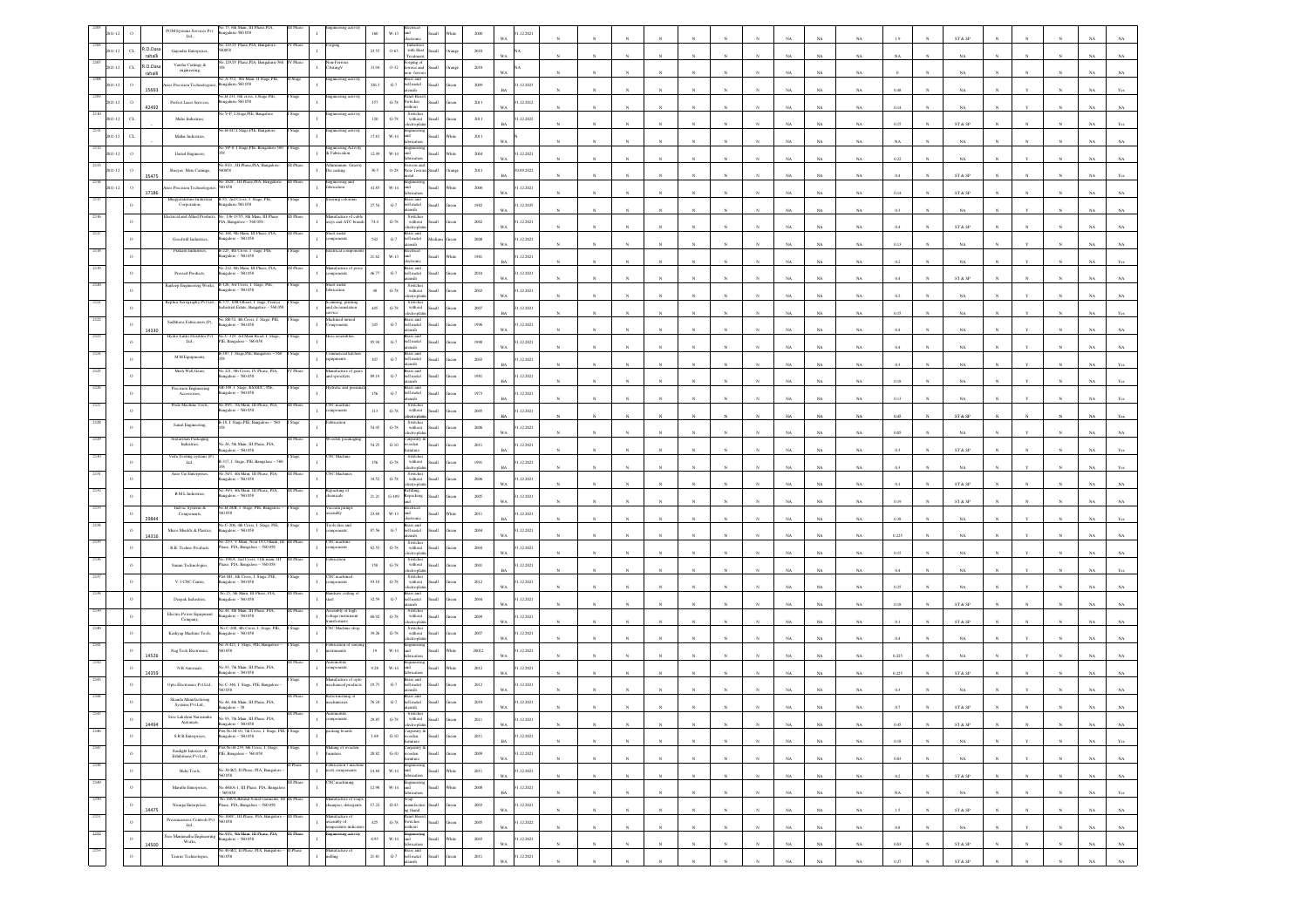|      |                  |                     | No.75, 6th Main, III Phase, PIA<br>$\text{POM}$ Systems Services Pvt. Ltd.,<br>galaru-560 058                                                                          |                                                               | 160       | $W-13$<br>$\mathbf{r}$                                                                                                                                                                                                          |                                                                                                                                                                |                      | 2000                    | 12.202     |              |              |              |              |              |              |              |             |             |             |             |              | ST & SP                      |                |                  |              |                               |
|------|------------------|---------------------|------------------------------------------------------------------------------------------------------------------------------------------------------------------------|---------------------------------------------------------------|-----------|---------------------------------------------------------------------------------------------------------------------------------------------------------------------------------------------------------------------------------|----------------------------------------------------------------------------------------------------------------------------------------------------------------|----------------------|-------------------------|------------|--------------|--------------|--------------|--------------|--------------|--------------|--------------|-------------|-------------|-------------|-------------|--------------|------------------------------|----------------|------------------|--------------|-------------------------------|
|      | $_{\mathrm{CL}}$ | R.O.Dasa<br>rahalli | No.129,IV Phase,PIA, Bangalore-<br>V Phase<br>Gajendra Enterprises,                                                                                                    |                                                               | 23.55     | Industrie<br>$0 - 63$<br>reatmen                                                                                                                                                                                                | with Heat                                                                                                                                                      |                      | 2010                    |            |              |              |              |              |              |              |              |             | NA          | NA          | NA          |              | NA.                          |                |                  |              |                               |
|      | $\sigma$         | R.O.Dasa            | 29,IV Phase,PIA, Benga<br>Varsha Castings &<br>engineering                                                                                                             | Asting V                                                      | 31.94     | orging of<br>$0 - 32$                                                                                                                                                                                                           | rous and                                                                                                                                                       |                      | 2010                    |            |              |              |              |              |              |              |              |             |             |             |             |              |                              |                |                  |              |                               |
|      |                  | rahalli             | No.A-352, 8th Main II Stage, PIE,<br>es Precision Technologoia<br>galaru-560 058                                                                                       | teering activi                                                | 326.3     | a-fem<br>rass and<br>${\bf G}\mbox{-}7$<br>bell metal<br>atensils                                                                                                                                                               |                                                                                                                                                                |                      | WA.<br>2009             | .12.2023   |              |              |              |              |              |              |              |             | NA          | NA          |             |              | NA.                          |                |                  |              |                               |
|      |                  | 15693               | 40.B-231, 6th cross, I Stage, PIE<br>Perfect Laser Serivces,<br>sgalaru-560 058                                                                                        |                                                               | 157       | Panel Board<br>$\,$ G-78 $\,$<br>witches                                                                                                                                                                                        |                                                                                                                                                                |                      | <b>BA</b><br>$2011\,$   | 1.12.2012  |              |              |              |              |              |              |              |             | NA          | $_{\rm NA}$ | $0.48\,$    |              | $_{\rm NA}$                  |                |                  |              | NA                            |
|      |                  | 42492               | o.V-P, I Stage,PIE, Bangalor                                                                                                                                           | ineering activi                                               |           | ithout<br>Switches<br>without                                                                                                                                                                                                   |                                                                                                                                                                |                      | WA                      |            |              |              |              |              |              |              |              | NA          | $_{\rm NA}$ | NA          | 0.14        |              | $_{\rm NA}$                  |                |                  |              | NA                            |
|      | $\sigma$         |                     | Mahe Industries,<br>vo.B-447,I Stage,PIE, Bangalore                                                                                                                    | gineering activ.                                              | 120       | $G-78$                                                                                                                                                                                                                          |                                                                                                                                                                |                      | 2011<br><b>BA</b>       | 1.12.2022  |              |              |              |              |              |              |              |             | $_{\rm NA}$ | NA          | $0.15\,$    |              | $\text{ST} \ \& \ \text{SP}$ |                |                  |              | ŃÄ                            |
|      |                  |                     | Mallar Industries,<br>io.VP-8, I Stage,PIE, Bengaluru-56                                                                                                               | gineering Acti                                                | 17.81     | $_{\rm W\text{-}14}$                                                                                                                                                                                                            |                                                                                                                                                                |                      | $2011\,$<br>W.A         |            |              |              |              |              |              |              |              | NA          | $_{\rm NA}$ | $_{\rm NA}$ | NA          |              | $_{\rm NA}$                  |                |                  |              | NA                            |
|      |                  |                     | United Engineers,<br>io.83/1 , III Phase, PIA, Bangalos                                                                                                                | abrication                                                    | 12.49     | $W-14$<br>derication                                                                                                                                                                                                            |                                                                                                                                                                | Thite                | 2004<br>WA.             | 1.12.2021  |              |              |              |              |              |              |              |             | NA          | NA          | 0.22        |              | NA.                          |                |                  |              |                               |
|      | $\circ$          | 35475               | Shreyas Meta Castings,<br>560058                                                                                                                                       | e casting                                                     | 30.5      | $0-28$<br>Non-ferr                                                                                                                                                                                                              | <b>Illett</b>                                                                                                                                                  | ung                  | 2011<br><b>BA</b>       | 0.09.2022  |              |              |              |              |              |              |              |             | $_{\rm NA}$ | NA          | 0.4         |              | $\text{ST} \ \& \ \text{SP}$ |                |                  |              |                               |
|      | $\circ$          | 17186               | io.182C, III Phase,PIA, Bengaluru<br>tries Precision Technologoi<br>058                                                                                                | gineering an<br>rication                                      | 41.85     | $_{\rm W\text{-}14}$                                                                                                                                                                                                            |                                                                                                                                                                |                      | $2006\,$<br>WA          | .12.2021   |              |              |              |              |              |              |              |             | NA          | $_{\rm NA}$ | $\,0.14$    |              | ST & SP                      |                |                  |              | NA                            |
|      | $\circ$          |                     | Bhagyalakshmi Indust<br>8-85, 2nd Cross, I Stage, PIE<br>Rengaluru-560 058<br>Corporation,                                                                             | ring colo                                                     | 27.54     | Brass and<br>bell metal<br>$_{\rm G-7}$<br>sils                                                                                                                                                                                 |                                                                                                                                                                |                      | 1982<br><b>WA</b>       | 1.12.2035  |              |              |              |              |              |              |              |             | NA          | $_{\rm NA}$ | 0.3         |              | NA.                          |                |                  |              |                               |
|      | $\circ$          |                     | No. 136-137/5, 8th Main, III Phi<br>dectrical and Allied Product<br>PIA, Bangalore - 560 058                                                                           | ifacture of c<br>$\mathbf{I}$<br>sys and ATC be               | $_{74.4}$ | Switcher<br>$\,$ G-78 $\,$<br>without                                                                                                                                                                                           |                                                                                                                                                                |                      | 2002                    | 1.12.2021  |              |              |              |              |              |              |              |             |             |             |             |              |                              |                |                  |              |                               |
|      |                  |                     | io.148, 9th Main, III Phase, PIA,<br>Goodwill Industries,<br>galore - 560 058                                                                                          | ect metal<br>ponents                                          | $542\,$   | rass and<br>$_{\mathrm{G-7}}$<br>ell metal                                                                                                                                                                                      |                                                                                                                                                                |                      | WA<br>$2008\,$          | .12.2021   |              |              |              |              |              |              |              | NA          | $_{\rm NA}$ | $_{\rm NA}$ | 0.4         |              | $\text{ST} \ \& \ \text{SP}$ |                |                  |              |                               |
|      | $\circ$          |                     | 225, 4th Cross, I stage<br>Prakash Industries,<br>sgalore - 560 058                                                                                                    |                                                               | 21.62     | ısils<br>ectrica<br>$W-13$<br>and                                                                                                                                                                                               |                                                                                                                                                                | Thite                | WA<br>1981              | 1.12.2021  |              |              |              |              |              |              |              | NA          | $_{\rm NA}$ | $_{\rm NA}$ | 0.13        |              | $_{\rm NA}$                  |                |                  |              |                               |
|      |                  |                     | No.222, 8th Main, III Phase, PIA,                                                                                                                                      | nufacture of p                                                |           | Brass and<br>bell metal                                                                                                                                                                                                         |                                                                                                                                                                |                      | RA                      |            |              |              |              |              |              |              |              |             | NA          | NA          | 0.2         |              | NA.                          |                |                  |              |                               |
|      | $\circ$          |                     | Pressed Products,<br>galore - 560 058<br>B-126, 3rd Cross, I Stas<br>tajdeep Engineering Works                                                                         | <b>S</b> meta                                                 | 46.77     | $G-7$                                                                                                                                                                                                                           |                                                                                                                                                                |                      | 2010<br>WA              | 1.12.2021  |              |              |              |              |              |              |              |             | NA          | $_{\rm NA}$ | 0.4         |              | $\text{ST} \ \& \ \text{SP}$ |                |                  |              |                               |
|      |                  |                     | galore - 560 058<br>Replica Xerography Pvt Ltd.,<br>B-375, 100Ft Road, I stage, Peenya                                                                                 | rication<br>anning, printing                                  | $48\,$    | Switches<br>without<br>$\operatorname{G-78}$<br>ctron                                                                                                                                                                           |                                                                                                                                                                |                      | 2003<br><b>WA</b>       | .12.2021   |              |              |              |              |              |              |              | NA          | NA          | $_{\rm NA}$ | 0.2         |              | $_{\rm NA}$                  |                |                  |              |                               |
|      | $\circ$          |                     | ustrial Estate, Bangalore - 560 05<br>No.SB-52, 4th Cross, 1 Stage, PIE,                                                                                               | and documetation<br>vice                                      | $445\,$   | Switches<br>without<br>$G-78$                                                                                                                                                                                                   |                                                                                                                                                                |                      | 2007<br><b>BA</b>       | 1.12.2021  |              |              |              |              |              |              |              | NA          | $_{\rm NA}$ | $_{\rm NA}$ | $0.15\,$    |              | $_{\rm NA}$                  |                |                  |              | NA                            |
|      | $\circ$          | 14330               | Sadbhava Fabricators (P),<br>sgalore - 560 058                                                                                                                         | fachined turned<br>mponents                                   | $245\,$   | rass and<br>${\bf G}\mbox{-}7$<br>bell metal                                                                                                                                                                                    |                                                                                                                                                                |                      | 1996<br>WA              | 1.12.2021  |              |              |              |              |              |              |              | NA          | $_{\rm NA}$ | $_{\rm NA}$ | 0.4         |              | $_{\rm NA}$                  |                |                  |              | $_{\rm NA}$                   |
|      | $\circ$          |                     | Hydro-Links Flexibles Pvt<br>Ltd.,<br>io.C-329, 3rd Main Road, I Stage<br>E, Bangalore - 560 058                                                                       |                                                               | 95.94     | Brass and<br>bell metal<br>$G-7$<br>sliste                                                                                                                                                                                      | Iliam                                                                                                                                                          | reen                 | 1990<br>$_{\rm WA}$     | 1.12.2021  |              |              |              |              | N            | $\mathbf{N}$ |              | $_{\rm NA}$ | NA          | NA          | 0.4         |              | $_{\rm NA}$                  |                |                  |              | NA                            |
|      | $\circ$          |                     | -387, 1 Stage, PIE, Bangalore - 560<br>M M Equipments,                                                                                                                 | nmercial kit<br><i>ipments</i>                                | 107       | $G-7$<br>bell metal<br>sile                                                                                                                                                                                                     | <b>Illett</b>                                                                                                                                                  |                      | 2003<br><b>BA</b>       | 1.12.2021  |              |              |              |              |              |              |              | NA          | $_{\rm NA}$ | $_{\rm NA}$ | 0.3         |              | NA                           |                |                  |              |                               |
|      | $\circ$          |                     | 4o.221, 9th Cross, IV Phase, PIA,<br>Mesh Well Gears.<br>galore - 560 058                                                                                              | anufacture of g<br>d sprockets                                | 89.19     | rass and<br>${\bf G}\mbox{-}7$<br>hell metal                                                                                                                                                                                    | <b>Illem</b>                                                                                                                                                   |                      | $1981\,$                | 1.12.2021  |              |              |              |              |              |              |              |             |             |             |             |              |                              |                |                  |              |                               |
|      | $\circ$          |                     | 109, I Stage, KSSIDC,<br>Precision Engineering<br>galore - 560 058<br>Accessories,                                                                                     | rulic and pr                                                  | 156       | Brass and<br>bell metal<br>$\,$ G-7 $\,$                                                                                                                                                                                        |                                                                                                                                                                |                      | <b>BA</b><br>1973       | .12.2021   |              |              |              |              |              |              |              |             | NA          | $_{\rm NA}$ | $0.18\,$    |              | $_{\rm NA}$                  |                |                  |              |                               |
|      | $\circ$          |                     | No.89/1, 7th Main, III Ph<br>Pride Machine Tools.<br>igalore - 560 058                                                                                                 | C machin<br>onents                                            | $113\,$   | sliens<br>Switcher<br>$G-78$                                                                                                                                                                                                    | llam                                                                                                                                                           |                      | RA<br>2005              | 1.12.2021  |              |              |              |              |              |              |              |             | NA          | NA          | 0.13        |              | NA.                          |                |                  |              |                               |
|      |                  |                     | B-18, I Stage, PIE, Bangalore - 560<br>Sainit Engineering,                                                                                                             |                                                               |           | without<br>electroplati<br>Switches<br>without                                                                                                                                                                                  |                                                                                                                                                                |                      | <b>BA</b>               |            |              |              |              |              |              |              |              |             | $_{\rm NA}$ | $_{\rm NA}$ | 0.45        |              | ST & SP                      |                |                  |              |                               |
|      | $\circ$          |                     | Sridarshan Packaging                                                                                                                                                   |                                                               | 54.45     | $G-78$<br>arpentry                                                                                                                                                                                                              | ectrophat                                                                                                                                                      |                      | 2006<br>WA              | 1.12.2021  |              |              |              |              |              |              |              |             | $_{\rm NA}$ | NA          | 0.05        |              | $_{\rm NA}$                  |                |                  |              |                               |
|      | $\circ$          |                     | io.26, 5th Main, III Phase, PIA,<br>Industries.<br>galore - 560 058<br>Veda Tooling systems (F                                                                         | <b>VC</b> Machine                                             | 54.25     | $G-10$<br>ooden<br>Switcher                                                                                                                                                                                                     |                                                                                                                                                                |                      | 2011<br><b>BA</b>       | 1.12.2021  |              |              |              |              |              |              |              | NA          | NA.         | NA          | 0.3         |              | ST & SP                      |                |                  |              |                               |
|      |                  |                     | Ltd.,<br>-317, 1 Stage, PIE, Bangalore - 560<br>No.54/1, 4th Main, III Phase, PIA.                                                                                     |                                                               | $156\,$   | $\,$ G-78 $\,$<br>$% \left\vert \left( \mathbf{1}_{\mathbf{1}_{\mathbf{1}}},\mathbf{1}_{\mathbf{1}_{\mathbf{2}}},\mathbf{1}_{\mathbf{2}}\right) \right\rangle$ without<br>Switches                                              |                                                                                                                                                                |                      | 1991<br><b>BA</b>       | .12.2021   |              |              |              |              |              |              |              | NA          | $_{\rm NA}$ | $_{\rm NA}$ | 0.3         |              | $_{\rm NA}$                  |                |                  |              |                               |
|      | $\circ$          |                     | Auto Cut Enterprise<br>galore - 560 058                                                                                                                                |                                                               | $34.52\,$ | $G-78$                                                                                                                                                                                                                          | $% \left\vert \left( \mathbf{1}_{\mathbf{1}_{\mathbf{1}}},\mathbf{1}_{\mathbf{1}_{\mathbf{2}}},\mathbf{1}_{\mathbf{2}}\right) \right\rangle$ without<br>ctroph |                      | 2006<br>WA.             | 1.12.2021  |              |              |              |              |              |              |              |             | NA          | NA          | 0.1         |              | ST & SP                      |                |                  |              |                               |
|      | $\circ$          |                     | No.39/3, 4th Main, III Phase, PIA,<br>I Phase<br>B M L Industries,<br>sgalore - 560 058                                                                                | epacking of<br>temicals<br>$\mathbf{I}$                       | 21.21     | filling<br>G-109 Repacking                                                                                                                                                                                                      | llam                                                                                                                                                           |                      | 2005<br><b>WA</b>       | 1.12.2021  |              |              |              |              |              |              |              |             | $_{\rm NA}$ | NA          | $0.19\,$    |              | $\text{ST} \ \& \ \text{SP}$ |                |                  |              |                               |
|      | $\,$ o           | 29844               | No.B-28/B, I Stage, PIE, Bangalore -<br>Indvac Systems &<br>Components,<br>60 058                                                                                      | iccum pump<br>embly                                           | 23.69     | lectrica<br>$W-13$<br>hm.                                                                                                                                                                                                       |                                                                                                                                                                |                      | $2011\,$<br><b>BA</b>   | .12.2021   |              |              |              |              |              |              |              | NA          | NA          | $_{\rm NA}$ | $0.38\,$    |              | $_{\rm NA}$                  |                |                  |              | $_{\rm NA}$                   |
|      | $\,$ $\,$        | 14316               | 40.C-206, 4th Cross, I Stage, PIE,<br>Micro Moulds & Plastics,<br>1galore - 560 058                                                                                    | ools dies and<br>ponents                                      | 87.56     | Brass and<br>bell metal<br>$_{\mathrm{G-7}}$<br>sils                                                                                                                                                                            |                                                                                                                                                                |                      | 2004<br>WA              | 1.12.2021  |              |              |              |              |              |              |              | NA          | $_{\rm NA}$ | NA          | 0.225       |              | $_{\rm NA}$                  |                |                  |              | NA                            |
|      |                  |                     | 3.25/3, V Main, Near UCO Bank, II<br>R.R. Techno Products,<br>Phase, PIA, Bangalore - 560 058                                                                          | NC machine<br>mponents                                        | 82.55     | Switcher<br>$G-78$<br>without                                                                                                                                                                                                   |                                                                                                                                                                |                      | 2004                    | 1.12.2021  |              |              |              |              |              |              |              |             |             |             |             |              |                              |                |                  |              |                               |
|      |                  |                     | io.198/A, 2nd Cross, 11th main, III<br>Samm Technologies,<br>ase, PIA, Bangalore - 560 058                                                                             | brication                                                     | $150\,$   | Switches<br>without<br>$\,$ G-78 $\,$                                                                                                                                                                                           |                                                                                                                                                                |                      | WA<br>$2001\,$          | 1.12.2021  |              |              |              |              |              |              |              | NA          | $_{\rm NA}$ | NA          | $0.15\,$    |              | $_{\rm NA}$                  |                |                  |              | NA                            |
|      |                  |                     | %16-M1, 4th Cross, 1 Stage, PIE<br>kangalore – 560 058<br>V-3 CNC Centre,                                                                                              | NC machines                                                   | 93.18     | ctropi<br>Switches<br>without<br>$G-78$                                                                                                                                                                                         |                                                                                                                                                                |                      | <b>BA</b><br>2012       | 1.12.2021  |              |              |              |              |              |              |              | NA          | $_{\rm NA}$ | $_{\rm NA}$ | 0.4         |              | $_{\rm NA}$                  |                |                  |              | $_{\rm NA}$                   |
|      |                  |                     | No.25, 5th Main, III Phase, PIA,                                                                                                                                       |                                                               |           | ass and                                                                                                                                                                                                                         | ctrophi                                                                                                                                                        |                      | <b>WA</b>               |            |              |              |              |              |              |              |              |             | NA          | NA          | 0.25        |              | NA.                          |                |                  |              |                               |
|      |                  |                     | Deepak Industries,<br>ngalore - 560 058<br>éo.44, 4th Main, III Phase, PIA,<br>Electric Power Equipment                                                                | <sub>2</sub><br>ssembly of high<br>bltage instrument          | 32.59     | $G-7$<br>ell metal<br>Switche                                                                                                                                                                                                   | <b>Illem</b>                                                                                                                                                   |                      | 2004<br><b>WA</b>       | 1.12.2021  |              |              |              |              |              |              |              |             | $_{\rm NA}$ | $_{\rm NA}$ | $0.18\,$    |              | $\text{ST} \ \& \ \text{SP}$ |                |                  |              | NA                            |
|      |                  |                     | galore - 560 058<br>Company,<br>Vo.C-208, 4th Cross, 1                                                                                                                 | <b>NC Machine sh</b>                                          | 60.92     | $\operatorname{G-78}$<br>$% \left( \left\vert \mathcal{L}_{\mathcal{A}}\right\vert \right)$ without<br>lectroplat                                                                                                               |                                                                                                                                                                |                      | 2009<br>WA.             | .12.2021   |              |              |              |              |              |              |              |             | NA          | $_{\rm NA}$ | 0.1         |              | ST & SP                      |                |                  |              |                               |
|      | $\circ$          |                     | Kashyap Machine Tools,<br>1galore - 560 058<br>No.A-421, I Stage, PIE, Bangalore                                                                                       | brication of se                                               | 39.26     | Switches<br>without<br>$G-78$                                                                                                                                                                                                   | tronla                                                                                                                                                         |                      | 2007<br><b>WA</b>       | 1.12.2021  |              |              |              |              |              |              |              |             | NA          | NA          | 0.4         |              | NA.                          |                |                  |              |                               |
|      | $\circ$          | 14526               | Nag Tech Electronics,<br>560 058                                                                                                                                       |                                                               | 19        | $_{\rm W\text{-}14}$                                                                                                                                                                                                            |                                                                                                                                                                |                      | $20012\,$<br><b>WA</b>  | 1.12.2021  |              |              |              |              |              |              |              |             | $_{\rm NA}$ | NA          | 0.225       |              | $_{\rm NA}$                  |                |                  |              |                               |
|      | $\circ$          | 14359               | No.93, 7th Main, III Phase, PIA,<br>$\ensuremath{\mathbf{N}}\xspace$ R Automats,<br>sgalore - 560 058                                                                  |                                                               | $9.28\,$  | $_{\rm W\text{-}14}$                                                                                                                                                                                                            |                                                                                                                                                                |                      | $2012\,$<br>WA          | .12.2021   |              |              |              |              |              |              |              |             | NA          | $_{\rm NA}$ | 0.225       |              | ST & SP                      |                |                  |              |                               |
|      |                  |                     | No.C-346, I Stage, PIE, Bangalore<br>Opto Electronics Pvt Ltd.,                                                                                                        | anufacture of opt<br>echanical produc                         | 19.75     | rass and<br>$\mbox{G-7}$<br>bell metal                                                                                                                                                                                          |                                                                                                                                                                |                      | 2012<br>WA              | 1.12.2021  |              |              |              |              |              |              |              |             | NA          | NA          | 0.3         |              | NA                           |                |                  |              |                               |
|      |                  |                     | Skanda Manufacturing<br>io.46, 4th Main, III Phase, PIA,<br>Systems Pvt Ltd.,<br>sgalore - 58                                                                          | ofinishing o                                                  | 76.24     | rass and<br>$\mbox{G-7}$<br>ell metal                                                                                                                                                                                           |                                                                                                                                                                |                      | 2010<br>WA              | 1.12.2021  |              |              |              |              |              |              |              |             |             |             |             |              | ST & SP                      |                |                  |              |                               |
|      |                  |                     | Sree Lakshmi Narasimha<br>No.93, 7th Main, III Phase, PIA,                                                                                                             |                                                               |           | Switches<br>without<br>$G-78$                                                                                                                                                                                                   |                                                                                                                                                                |                      | 2011                    | 12.2021    |              |              |              |              |              |              |              |             |             |             |             |              |                              |                |                  |              |                               |
| 2146 | $\,$ o           | 14494               | sgalore - 560 058<br>Plot No.M-10, 7th Cross, I Stage, PIE, I Stage<br>S R R Enterprises,<br>angalore - 560 058                                                        | cking boards<br>$\mathbf{I}$                                  | $1.68\,$  | electrophati<br>$\begin{tabular}{ll} \multicolumn{2}{c}{\textbf{Graphry} \& } \\ \multicolumn{2}{c}{\textbf{G-10}} & \textbf{Wooden} \\ & \textbf{fundine} \\ & \textbf{furniture} \\ \end{tabular}$                            | Small                                                                                                                                                          | iteen                | WA<br>2011              | 31.12.2021 |              |              |              |              |              |              |              | NA          | NA          | NA.         | 0.45        |              | ST & SP                      |                |                  |              | NA<br><b>NA</b>               |
| 2147 | $\,$ $\,$        |                     | Plot No.B-239, 6th Cross, I Stage,<br>Stage<br>$\begin{array}{c} \mbox{Sunlight Interiors &\&}\\ \mbox{Exhibitions Put Lid.}, \end{array}$<br>PIE, Bangalore - 560 058 | Making of wooder<br>furniture<br>$\mathbf{I}$                 | $20.82\,$ | $\begin{tabular}{ll} \multicolumn{2}{l}{{\bf Graphry}\ \&}\\ \multicolumn{2}{l}{\bf G-10} & \text{wooden} &\\ & {\bf function} &\\ & {\bf function} \end{tabular}$                                                              | Small                                                                                                                                                          | leen                 | $_{\rm BA}$<br>$2009\,$ | 31.12.2021 | $\mathbf{N}$ | $\mathbf{N}$ | $\mathbf{N}$ | $\mathbf{N}$ | $\mathbf{N}$ | $\mathbf{N}$ | $\mathbf{v}$ | $_{\rm NA}$ | $_{\rm NA}$ | $_{\rm NA}$ | $0.18\,$    | $\mathbf{N}$ | $_{\rm NA}$                  | $\mathbf{x}$   | $\mathbf{v}$     | $_{\rm N}$   | $_{\rm NA}$<br>$\mathbf{Yes}$ |
| 2148 | $\,$ 0 $\,$      |                     | No.38-B/2, II Phase, PIA, Bangalore<br>Hidri Tools,                                                                                                                    | abrication f mach<br>ools components<br>$\mathbf{I}$          | 14.84     |                                                                                                                                                                                                                                 | Small                                                                                                                                                          |                      | $_{\rm WA}$<br>2011     | 31.12.2021 |              |              |              |              | $_{\rm N}$   |              |              | $_{\rm NA}$ | $_{\rm NA}$ | $_{\rm NA}$ | $\rm 0.03$  |              | $_{\rm NA}$                  |                |                  | $_{\rm N}$   | $_{\rm NA}$<br>$_{\rm NA}$    |
| 2149 |                  |                     | 0058                                                                                                                                                                   | NC machining                                                  |           | $\begin{tabular}{ll} \bf \textit{W-14} & \textit{Engineering} \\ \textit{W-14} & \textit{and} \\ \textit{fabrication} \end{tabular}$<br>$\begin{tabular}{ c c } \hline & Engineering \\ \hline \hline W.14 & and \end{tabular}$ |                                                                                                                                                                | White                | <b>WA</b>               |            | $\mathbf{N}$ | N            | $_{\rm N}$   | $_{\rm N}$   | $_{\rm N}$   | $_{\rm N}$   | $\mathbf{N}$ | NA          | NA          | NA          | 0.2         | $_{\rm N}$   | ST & SP                      | $\mathbf{x}$   | $\mathbf{N}$     | $_{\rm N}$   | NA<br>NA                      |
| 2150 | $\,$ o           |                     | No.460/A-1, III Phase, PIA, Bangalor<br>Maruthi Enterprises,<br>560 058<br>No.168/A.Behind Sonal Garments, III<br><b>III</b> Phase                                     | $\mathbf{I}$                                                  | 12.98     | fabrication                                                                                                                                                                                                                     |                                                                                                                                                                | $\text{Small}$ White | 2008<br>$_{\rm BA}$     | 31.12.2021 | $\mathbf{N}$ | $\mathbf{N}$ | $\mathbf{N}$ | $_{\rm N}$   | $_{\rm N}$   | $\mathbf{N}$ | $\mathbf{N}$ | $_{\rm NA}$ | $_{\rm NA}$ | $_{\rm NA}$ | $_{\rm NA}$ | $_{\rm N}$   | $_{\rm NA}$                  | $\overline{N}$ | $\boldsymbol{N}$ | $_{\rm N}$   | $_{\rm NA}$<br>$\mathbf{Yes}$ |
|      | $\,$ $\,$        | 14475               | Phase, PIA, Bangalore - 560 058<br>Nisarga Enterprises,                                                                                                                | Manufacture of soap<br>shampoo, detergents<br>$\mathbf{I}$    | 17.22     | Soap<br>manufactu<br>ng (hand<br>$_{\mathrm{G-43}}$                                                                                                                                                                             | llami                                                                                                                                                          | iteen                | $2003\,$<br>$_{\rm WA}$ | 1.12.2021  |              |              |              |              | $\mathbb{N}$ |              |              | NA          | $_{\rm NA}$ | NA          | $1.5\,$     |              | $ST \& SP$                   |                |                  | N            | $_{\rm NA}$<br>$_{\rm NA}$    |
|      | $\,$ $\,$        |                     | No.168/C, III Phase, PIA, Bangalor<br>560 058<br>Precimeasures Controls Pvt<br>Ltd.,                                                                                   | anufacture of<br>sembly of<br>$\mathbf{I}$<br>erature indicat | 425       | Panel Board<br>G-78 Switches<br>without                                                                                                                                                                                         | Small                                                                                                                                                          | <b>Jecen</b>         | 2005<br>WA              | 1.12.2022  | $\mathbf{N}$ | N            |              | $\mathbf{N}$ | $_{\rm N}$   | $\mathbf{N}$ | $\mathbf{N}$ | NA          | NA          | NA          | 0.8         | $_{\rm N}$   | NA                           | $\mathbf{x}$   |                  | $\mathbf{N}$ | NA<br>$_{\rm NA}$             |
| 2152 | $\,$ o           | 14500               | No.93/1, 9th Main, III Phase, PIA,<br>II Phase<br>${\bf \textit{Srec Minjunatha Engineering}\atop \textit{Works}, }$<br>Bangalore - 560 058                            | gineering activity                                            | $6.95\,$  | $\begin{tabular}{ll} \bf \textit{E} \textit{R} \textit{g} \textit{in} \textit{c} \textit{c} \textit{ring} \\ \textit{and} \\ \textit{f} \textit{a} \textit{b} \textit{r} \textit{c} \textit{a} \textit{ion} \end{tabular}$      | Small                                                                                                                                                          | White                | 2003<br>WA              | 31.12.2021 | $\mathbf{N}$ | $_{\rm N}$   | $\mathbf{N}$ | $_{\rm N}$   | $\mathbf{N}$ | $\mathbf{N}$ | $\mathbf{N}$ | $_{\rm NA}$ | $_{\rm NA}$ | $_{\rm NA}$ | $0.03\,$    | $_{\rm N}$   | $\text{ST} \ \& \ \text{SP}$ | $\mathbf{N}$   | $_{\rm N}$       | $_{\rm N}$   | $_{\rm NA}$<br>$_{\rm NA}$    |
| 2153 | $\,$ $\,$        |                     | No.40-B/2, II Phase, PIA, Bangalore -<br>I Phase<br>Taurus Technologies,<br>058                                                                                        | danufacture of<br>nilling                                     | $21.81\,$ | Brass and<br>bell metal<br>$\,$ G-7 $\,$<br>slien                                                                                                                                                                               | Small                                                                                                                                                          | een                  | $2011\,$<br>WA          | 1.12.2021  |              |              |              |              |              |              |              | NA          | NA          | $_{\rm NA}$ | 0.27        |              | $ST \& SP$                   |                |                  |              | $_{\rm NA}$<br>$_{\rm NA}$    |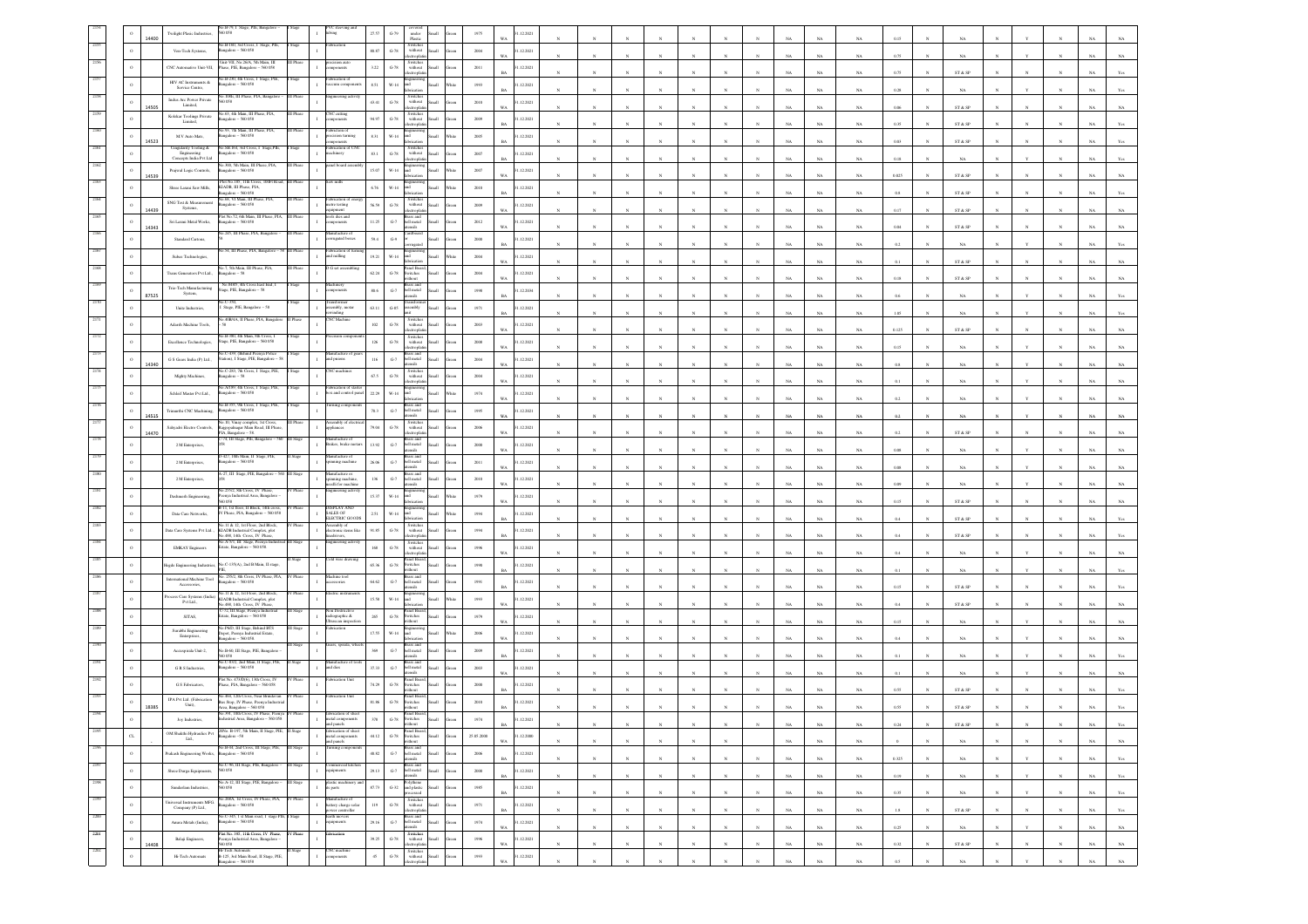|      | $\,$ 0       | 14400 | No.B-79, I Stage, PIE, Banga<br>Twilight Plasic Industries,<br>0058                                                                                                                        |                                                         | 27.57    | $G - 79$                                                                                              | under<br>Plastic<br>llam                                                                                                                                       |       | 1975<br>WA              | 12.2021    |                            |            |              |              |              |              |              |             | NA          | NA          | 0.15       |            | $_{\rm NA}$                                                     |              |                            |                       |                             |
|------|--------------|-------|--------------------------------------------------------------------------------------------------------------------------------------------------------------------------------------------|---------------------------------------------------------|----------|-------------------------------------------------------------------------------------------------------|----------------------------------------------------------------------------------------------------------------------------------------------------------------|-------|-------------------------|------------|----------------------------|------------|--------------|--------------|--------------|--------------|--------------|-------------|-------------|-------------|------------|------------|-----------------------------------------------------------------|--------------|----------------------------|-----------------------|-----------------------------|
|      | $\,$ 0       |       | No.B-160, 3rd Cross, I Stage, PIE,<br>Bangalore – 560 058<br>Stage<br>Ven-Tech Systems,                                                                                                    |                                                         | 80.87    | $G-78$                                                                                                | Switches<br>without<br>llum<br>tronic                                                                                                                          |       | 2004<br><b>WA</b>       | 1.12.2021  |                            |            |              |              |              |              |              |             | NA          | NA          | 0.75       |            | NA                                                              |              |                            |                       |                             |
|      | $\alpha$     |       | Juit-VII, No.26/A, 5th Main, III<br>CNC Automative Unit-VII.<br>Phase, PIE, Bangalore - 560 058                                                                                            | ion au<br>$\mathbf{I}$<br>sonents                       | 3.22     | $G-78$                                                                                                | Switches<br>without<br><b>Illem</b>                                                                                                                            |       | 2011<br><b>BA</b>       | 1.12.2021  |                            |            |              |              |              |              |              |             | $_{\rm NA}$ | NA          | 0.75       |            | $\text{ST} \ \& \ \text{SP}$                                    |              |                            |                       |                             |
|      | $\circ$      |       | No.B-230, 4th Cross, I Stage, PIE,<br>HIV AC Instruments $\&$<br>sgalore - 560 058<br>Service Centre,                                                                                      | brication of<br>zum compon                              | $8.51\,$ | $_{\rm W\text{-}14}$                                                                                  |                                                                                                                                                                |       | 1993                    | 12.2021    |                            |            |              |              |              |              |              |             |             |             |            |            |                                                                 |              |                            |                       |                             |
|      | $\,$ $\,$    |       | o.108E, III Phase, PIA, Bangalore<br>Indus Arc Power Private<br>60 058<br>Limited,                                                                                                         | ineering ac                                             | 43.41    | $G-78$                                                                                                | Switches<br>without                                                                                                                                            |       | <b>BA</b><br>2010       | 1.12.2021  |                            |            |              |              |              |              |              |             | NA          | $_{\rm NA}$ | 0.28       |            | $_{\rm NA}$                                                     |              |                            |                       | NA                          |
|      | $\circ$      | 14505 | No.63, 4th Main, III Phase, PIA,<br>Kolekar Toolings Private<br>sgalore - 560 058                                                                                                          | NC cutting                                              | 94.97    | $G-78$                                                                                                | monte<br>Switcher<br>without                                                                                                                                   |       | <b>WA</b><br>2009       | .12.2021   |                            |            |              |              |              |              |              | NA          | NA          | NA          | 0.06       |            | ST & SP                                                         |              |                            |                       | NA                          |
|      | $\mathbf{o}$ |       | Limited,<br>0.93, 7th Main, III Phase<br>$\ensuremath{\hbox{M\,{\sc v}}}$ Auto Mats,<br>sgalore - 560 058                                                                                  | cision turning                                          | $8.31\,$ | $_{\rm W\text{-}14}$                                                                                  |                                                                                                                                                                |       | <b>BA</b><br>2005       | .12.2021   |                            |            |              |              |              |              |              |             | $_{\rm NA}$ | NA          | $0.35\,$   |            | $\text{ST} \ \& \ \text{SP}$                                    |              |                            |                       | NA                          |
|      | $\circ$      | 14523 | Cingularity Tooling &<br>No.SB.164, 3rd Cross, I Stage, PIE,<br>Engineering<br>sgalore - 560 058                                                                                           | ents<br>abrication of CN                                |          | $G-78$                                                                                                | Switches<br>without                                                                                                                                            |       | <b>BA</b><br>2007       |            |                            |            |              |              |              |              |              | NA          | $_{\rm NA}$ | NA          | 0.03       |            | ST & SP                                                         |              |                            |                       | NA                          |
|      |              |       | Concepts India Pvt Ltd<br>No.300, 5th Main, III Phase, PIA,<br>II Phase                                                                                                                    | achinery<br>inel board asse                             | $83.1\,$ |                                                                                                       | ыĪ.                                                                                                                                                            |       | <b>BA</b>               | 1.12.2021  |                            |            |              |              |              |              |              |             | $_{\rm NA}$ | NA          | 0.18       |            | NA                                                              |              |                            |                       |                             |
|      | $\,$ $\,$    | 14539 | Prajwal Logic Controls,<br>sgalore - 560 058<br>Plot No. 185, 11th Cross,                                                                                                                  | v milli                                                 | 15.07    | $W-14$                                                                                                |                                                                                                                                                                |       | 2007<br><b>WA</b>       | 1.12.2021  |                            |            |              |              |              |              |              |             | NA          | $_{\rm NA}$ | 0.025      |            | $\text{ST} \ \& \ \text{SP}$                                    |              |                            |                       | NA                          |
|      | $\,$ $\,$    |       | KIADB, III Phase, PIA,<br>Shree Laxmi Saw Mills.<br>sgalore - 560 058<br>No.68, VI Main, III Phase, PIA,<br>SNG Test & Measurement                                                         | abrication of e                                         | 6.76     | $W-14$                                                                                                | <b>brication</b><br>Switcher                                                                                                                                   |       | 2010<br><b>BA</b>       | .12.2021   |                            |            |              |              |              |              |              |             | NA          | $_{\rm NA}$ | 0.8        |            | ST & SP                                                         |              |                            |                       | NA                          |
|      | $\,$ $\,$    | 14439 | ngalore - 560 058<br>Systems,<br>fot No.72, 6th Main, III Phase, PIA,<br>II Phase                                                                                                          | tetre testing<br>ols dies and                           | 56.59    | $G-78$                                                                                                | without<br>rass and                                                                                                                                            |       | 2009<br><b>WA</b>       | 1.12.2021  |                            |            |              |              |              |              |              |             | $_{\rm NA}$ | $_{\rm NA}$ | 0.17       |            | ST & SP                                                         |              |                            |                       | NA                          |
|      | $\,$ $\,$    | 14343 | Sri Laxmi Metal Works,<br>sgalore - 560 058                                                                                                                                                | ponents                                                 | 11.25    | ${\bf G}\mbox{-}7$                                                                                    | hell metal<br>ssils                                                                                                                                            |       | 2012<br><b>WA</b>       | 1.12.2021  |                            |            |              |              |              |              |              |             | $_{\rm NA}$ | $_{\rm NA}$ | $\!0.04\!$ |            | $\text{ST} \ \& \ \text{SP}$                                    |              |                            |                       | $_{\rm NA}$                 |
|      | $\,$ $\,$    |       | o.245, III Phase, PIA, Bangalore<br>Standard Cartons,                                                                                                                                      | lanufacture of<br>rerugated boxes                       | 59.4     | $\mathbf{G}\mathcal{A}$                                                                               | rugated                                                                                                                                                        |       | 2000<br><b>BA</b>       | 1.12.2021  |                            |            |              |              |              |              |              |             | NA          | NA          | 0.2        |            | NA.                                                             |              |                            |                       | NA.                         |
|      | $\circ$      |       | 554, III Phase, PIA, Bangalore<br>Subas Technologies,                                                                                                                                      | rication of<br>d milling                                | 19.21    | $W-14$                                                                                                | and<br>llum                                                                                                                                                    | Thite | 2004<br><b>WA</b>       | 1.12.2021  |                            |            |              |              |              |              |              | NA          | $_{\rm NA}$ | $_{\rm NA}$ | 0.1        |            | ST & SP                                                         |              |                            |                       | NA                          |
|      | $\circ$      |       | 40.7. Sth Main, III Phase, PIA,<br>II Phase<br>sgalore - 58<br>Trans Generators Pvt Ltd.,                                                                                                  | G set assem                                             | 62.24    | $\,$ G-78 $\,$                                                                                        | Panel Board<br>witches<br>thout                                                                                                                                |       | 2004<br>WA.             | 1.12.2021  |                            |            |              |              |              |              |              |             | NA          | NA          | 0.18       |            | ST & SP                                                         |              |                            |                       |                             |
|      | $\,$ 0 $\,$  | 87525 | No.848/5, 4th Cross East End, 1<br>Trio-Tech Manufacturing<br>tage, PIE, Bangalore - 58<br>System.                                                                                         | iiiter)<br>$\mathbf{I}$<br>noonents                     | $80.6\,$ | $G-7$                                                                                                 | ass an<br>bell metal<br>slien                                                                                                                                  |       | 1998<br><b>BA</b>       | .12.2034   |                            |            |              |              |              |              |              | NA          | NA          | NA          | 0.6        |            | NA.                                                             |              |                            |                       | NA                          |
|      | $\circ$      |       | Unite Industries,<br>Stage, PIE, Bangalore - 58                                                                                                                                            | isforme<br>embly, motar                                 | 63.11    | $_{\mathrm{G-S5}}$                                                                                    | sembly                                                                                                                                                         |       | $1971\,$                | 12.2021    |                            |            |              |              |              |              |              |             |             |             |            |            |                                                                 |              |                            |                       |                             |
|      | $\alpha$     |       | o.40B/4A. II Phase, PIA, Banna<br>Adarsh Machine Tools,                                                                                                                                    | inding<br><b>NC</b> Machin                              | $102\,$  | $_{\mathrm{G-78}}$                                                                                    | Switch<br>$% \left\vert \left( \mathbf{1}_{\mathbf{1}_{\mathbf{1}}},\mathbf{1}_{\mathbf{1}_{\mathbf{2}}},\mathbf{1}_{\mathbf{2}}\right) \right\rangle$ without |       | <b>BA</b><br>2003       | .12.2021   |                            |            |              |              |              |              |              | NA          | NA          | $_{\rm NA}$ | 1.05       |            | $_{\rm NA}$                                                     |              |                            |                       | NA                          |
|      |              |       | No.B-380, 4th Main, 8th Cross, I<br>Excellence Technologies,<br>Stage, PIE, Bangalore - 560 058                                                                                            | sion com                                                | $126\,$  | $G-78$                                                                                                | troph<br>Switches<br>without                                                                                                                                   |       | <b>WA</b><br>2008       | 1.12.2021  |                            |            |              |              |              |              |              | NA          | $_{\rm NA}$ | NA          | 0.125      |            | ST & SP                                                         |              |                            |                       | NA                          |
|      | $\,$ 0       |       | io.C-439, (Behind Peenya Police<br>G S Gears India (P) Ltd.,<br>itation), I Stage, PIE, Bangalore - 58                                                                                     | anufacture of g<br>d prions                             | $116\,$  | $_{\mathrm{G-7}}$                                                                                     | rass and<br>hell metal                                                                                                                                         |       | WA<br>2004              | .12.2021   |                            |            |              |              | N            | $\mathbf{N}$ |              | NA          | $_{\rm NA}$ | NA          | 0.15       |            | $_{\rm NA}$                                                     |              |                            |                       | NA                          |
|      | $\,$ $\,$    | 14340 | No.C-283, 7th Cross, J. Stage, PIE,<br>sure<br>Mighty Machines,<br>sgalore - 58                                                                                                            | NC machines                                             | 67.5     | $\,$ G-78 $\,$                                                                                        | sils<br>Switches<br>without                                                                                                                                    |       | $_{\rm WA}$<br>2004     | 1.12.2021  |                            |            |              |              |              |              |              | NA          | $_{\rm NA}$ | $_{\rm NA}$ | 0.8        |            | $_{\rm NA}$                                                     |              |                            |                       | $_{\rm NA}$                 |
|      |              |       | No.A/189, 4th Cross, I Stage, PIE,                                                                                                                                                         | brication of sta<br>ox and control par                  |          |                                                                                                       | ctropha                                                                                                                                                        |       | WA.                     |            |                            |            |              |              |              |              |              |             | NA          | NA          | 0.1        |            | NA.                                                             |              |                            |                       | ŃÂ                          |
|      | $\circ$      |       | Schleif Master Pvt Ltd.,<br>Bangalore - 560 058<br>No.B-355, 9th Cross, 1 Stage, PIE,                                                                                                      | $\mathbf{I}$<br>ning comp                               | 22.29    | W-14                                                                                                  | rass and                                                                                                                                                       |       | 1974<br>WA              | 1.12.2021  |                            |            |              |              |              |              |              |             | $_{\rm NA}$ | NA          | 0.2        |            | NA                                                              |              |                            |                       | NA                          |
|      | $\,$ 0       | 14515 | Trimurthi CNC Machining,<br>igalore - 560 058                                                                                                                                              | sembly of ele                                           | 70.3     | $_{\mathrm{G-7}}$                                                                                     | hell metal<br>nsils<br>Switches<br>without                                                                                                                     |       | 1995<br>WA              | .12.2021   |                            |            |              |              |              |              |              | NA          | $_{\rm NA}$ | $_{\rm NA}$ | 0.2        |            | $_{\rm NA}$                                                     |              |                            |                       | NA                          |
|      | $\,$ $\,$    | 14470 | No.10, Vinay complex, 1st Cross,<br>Rajgopalnagar Main Road, III Phase,<br>PIA, Bangalore – 58.<br>Sahvadri Electro Controls<br>74, III Stage, PIE, Bang<br>$re - 560$<br>I Stage          | liances<br>ufacture of                                  | 79.04    | $G-78$                                                                                                | ctropha<br>ass an                                                                                                                                              |       | 2006<br><b>WA</b>       | 1.12.2021  |                            |            |              |              |              |              |              |             | NA          | NA          | 0.2        |            | ST & SP                                                         |              |                            |                       | NA                          |
|      | $\circ$      |       | $2\,\rm{M}$ Enterprises,<br>0-427, 10th Main, II Stage, PIE,                                                                                                                               | $\mathbf{I}$<br>Brakes, brake mot<br>nufacture of       | 13.92    | $G-7$                                                                                                 | bell metal<br><b>Illett</b><br>rass and                                                                                                                        |       | 2000<br>WA              | 1.12.2021  |                            |            |              |              |              |              |              |             | $_{\rm NA}$ | $_{\rm NA}$ | $0.08\,$   |            | $_{\rm NA}$                                                     |              |                            |                       | NA                          |
|      |              |       | 2 M Enterprises,<br>galore - 560 058<br>4-27, III Stage, PIE, Bangalore - 560                                                                                                              | ning machine                                            | 26.06    | $_{\mathrm{G-7}}$                                                                                     | hell metal<br>Iliam<br>sils                                                                                                                                    |       | $2011\,$<br>WA          | .12.2021   |                            |            |              |              |              |              |              | NA          | $_{\rm NA}$ | NA          | 0.08       |            | $_{\rm NA}$                                                     |              |                            |                       | NA                          |
|      | $\circ$      |       | 2 M Enterprises,                                                                                                                                                                           | nufacture os<br>nning machine<br>edli for machine       | 136      | $G-7$                                                                                                 | Brass and<br>bell metal<br><b>Illett</b><br>sliste                                                                                                             |       | 2010<br><b>WA</b>       | 1.12.2021  |                            |            |              |              |              |              |              |             | NA          | NA          | 0.09       |            | NA.                                                             |              |                            |                       |                             |
|      | $\circ$      |       | a 255/2, 8th Cross, IV Phase,<br>Phase<br>Dashmesh Engineering,<br>nya Industrial Area, Bangalore                                                                                          | gineering activit                                       | 15.37    | $W-14$                                                                                                |                                                                                                                                                                |       | 1979<br><b>WA</b>       | 1.12.2021  |                            |            |              |              |              |              |              |             | NA          | NA          | $0.15\,$   |            | ${\hbox{\footnotesize\rm ST}}$ & ${\hbox{\footnotesize\rm SP}}$ |              |                            |                       | NA                          |
|      |              |       | 11. 1st floor, 11 Block, 14th cross<br>Data Care Networks,<br>IV Phase, PIA, Bangalore - 560 058                                                                                           | <b>ISPLAY AND</b><br>ALES OF<br><b>ELECTRIC GOOD</b>    | 2.51     | $_{\rm W\text{-}14}$                                                                                  |                                                                                                                                                                |       | 1994                    | 12.2021    |                            |            |              |              |              |              |              | NA          | NA          | $_{\rm NA}$ | 0.4        |            | ST & SP                                                         |              |                            |                       | NA                          |
|      | $\circ$      |       | No.11 & 12, 1st Floor, 2nd Block,<br>Phase<br>Data Care Systems Pvt Ltd.<br>KIADB Industrial Complex, plot<br>0.488, 14th Cross, IV Phase                                                  | sembly of<br>electronic items like<br>edrivers          | 91.85    | $\,$ G-78 $\,$                                                                                        | Switches<br>without                                                                                                                                            |       | 1994<br><b>BA</b>       | 1.12.2021  |                            |            |              |              |              |              |              | NA          | NA          | NA          | 0.4        |            | ST & SP                                                         |              |                            |                       | NA                          |
|      | $\circ$      |       | No.A-5/1, III Stage, Peenya Indust<br>II Stage<br><b>EMKAY</b> Engineers<br>tate, Bangalore - 560 058.                                                                                     | agineering activity                                     | $168\,$  | $\,$ G-78 $\,$                                                                                        | Switcher<br>without                                                                                                                                            |       | 1996<br>WA              | .12.2021   |                            |            |              |              |              |              |              | NA          | $_{\rm NA}$ | NA          | 0.4        |            | $_{\rm NA}$                                                     |              |                            |                       | $_{\rm NA}$                 |
|      |              |       | No.C-135(A), 2nd B Main, II stage,<br>Hegde Engineering Industries,                                                                                                                        | old wire dras                                           | 65.36    | $\operatorname{G-78}$                                                                                 | anel Boar<br>witches<br>ithout                                                                                                                                 | reen  | 1990<br><b>BA</b>       | .12.2021   |                            |            |              |              |              |              |              | NA          | $_{\rm NA}$ | $_{\rm NA}$ | 0.1        |            | $_{\rm NA}$                                                     |              |                            |                       | NA                          |
|      | $\circ$      |       | No. 255/2, 8th Cross, IV Phase, PIA,<br>Phase<br>International Machine Tool<br>sgalore - 560 058<br>Accessories,                                                                           | achine tool<br>ssories                                  | 64.62    | ${\bf G}\mbox{-}7$                                                                                    | rass and<br>bell metal                                                                                                                                         |       | 1991                    | 1.12.2021  |                            |            |              |              |              |              |              |             |             |             |            |            |                                                                 |              |                            |                       |                             |
|      | $\circ$      |       | 46.11 & 12, 1st Floor, 2nd Block,<br>Phase<br>ocess Care Systems (India<br>ADB Industrial Complex, plot<br>3488, 14th Cross, IV Phase,                                                     | ectric instrum                                          | 15.58    | $W-14$                                                                                                | ensils<br>mrineer                                                                                                                                              |       | <b>BA</b><br>1993       | 1.12.2021  |                            |            |              |              |              |              |              |             | NA          | $_{\rm NA}$ | 0.15       |            | ST & SP                                                         |              |                            |                       | ŃÄ                          |
|      | $\circ$      |       | Pvt Ltd.,<br>-72, III Stage, Peenya Indu<br>tate, Bangalore – 560 058<br>SITAS,                                                                                                            | n Dest                                                  | 265      | $G-78$                                                                                                | Panel Boa<br>Switches                                                                                                                                          |       | <b>WA</b><br>1979       | 1.12.2021  |                            |            |              |              |              |              |              |             | NA          | $_{\rm NA}$ | 0.4        |            | $\text{ST} \ \& \ \text{SP}$                                    |              |                            |                       | NA                          |
|      | $\circ$      |       | P6D, III Stage, Behind BTS<br>$\begin{minipage}{.4\linewidth} \textbf{Surabhi Engineering} \\ \textbf{Energy} \\ \textbf{Interprises,} \end{minipage}$<br>lenot. Peenva Industrial Estate. | adiographic &<br>Itrascan inspectio                     | 17.55    | $W-14$                                                                                                | ithout<br>hns.                                                                                                                                                 |       | WA<br>2006              | 1.12.2021  |                            |            |              |              |              |              |              |             | NA          | NA          | 0.15       |            | NA.                                                             |              |                            |                       | NA                          |
|      | $\circ$      |       | alore - 560 058.<br>No.B-60, III Stage, PIE, Bangalore                                                                                                                                     | rars, spirala, w                                        | 369      | $_{\mathrm{G-7}}$                                                                                     | Brass and<br>bell metal                                                                                                                                        |       | <b>WA</b>               | 1.12.2021  |                            |            |              |              |              |              |              |             | $_{\rm NA}$ | $_{\rm NA}$ | 0.4        |            | $_{\rm NA}$                                                     |              |                            |                       | NA                          |
|      |              |       | Accuspirala Unit-2,<br>No.C-83/2, 2nd Main, II Stage, PIE                                                                                                                                  | <i>Amufacture</i><br>and dies                           |          |                                                                                                       |                                                                                                                                                                |       | 2009<br><b>BA</b>       |            |                            |            |              |              |              |              |              |             | $_{\rm NA}$ | NA          | 0.1        |            | $_{\rm NA}$                                                     |              |                            |                       | NA                          |
|      | $\circ$      |       | GRS Industries,<br>1galore - 560 058<br>Plot No. 473/D(6), 13th Cross, IV<br>V Phase                                                                                                       | $\mathbf{I}$<br>brication Unit                          | 37.33    | $\,$ G-7 $\,$                                                                                         | ell metal<br><b>Hatt</b><br>sliens<br>anel Boar                                                                                                                |       | 2003<br>WA              | 1.12.2021  |                            |            |              |              |              |              |              | NA          | NA          | NA          | 0.1        |            | NA                                                              |              |                            |                       | NA                          |
|      |              |       | G S Fabricators,<br>Phase, PIA, Bangalore - 560 058<br>No 464 12th Cross Near Brindayan<br>V Phase<br>IPA Pvt Ltd. (Fabrication                                                            | abrication Unit                                         | 74.29    | $G-78$                                                                                                | switches<br>vithout<br><b>Illett</b>                                                                                                                           |       | 2000<br><b>BA</b>       | 1.12.2021  |                            |            |              |              |              |              |              |             | $_{\rm NA}$ | NA          | 0.55       |            | ST & SP                                                         |              |                            |                       |                             |
|      |              | 18385 | s Stop, IV Phase, Peenya Industri<br>Unit),<br>Area, Bangalore - 560 058<br>391, 10th Cross, IV Phase, Peen<br>Phase                                                                       | brication of she                                        | 81.86    | $_{\mathrm{G-78}}$                                                                                    | Panel Board<br>Switches<br>ithout<br>anel Boar                                                                                                                 |       | 2010                    | .12.2021   |                            |            |              |              |              |              |              |             |             |             | 0.55       |            | ST & SP                                                         |              |                            |                       |                             |
| 2195 |              |       | Joy Industries,<br>Industrial Area, Bangalore - 560 058<br>20No. B-197, 5th Main, II Stage, PIE,                                                                                           | 1 metal components<br>brication of sheet                | 378      | $\operatorname{G-78}$                                                                                 | switches<br>Panel Board                                                                                                                                        |       | 1974<br><b>BA</b>       | 12.2021    |                            |            |              |              |              |              |              | NA          | NA.         | NA          | 0.24       |            | ST & SP                                                         |              |                            |                       | <b>NA</b><br>Yes            |
|      | $_{\rm CL}$  |       | Stag<br>OM Shakthi Hydraulics Pvt<br>ngalore-58<br>Lad.<br>No.B-44. 2nd Cross, III Stage, PIE,                                                                                             | netal components<br>nd panels                           | 44.12    | $\operatorname{G-78}$                                                                                 | Switches<br>without                                                                                                                                            |       | 25.05.2000<br><b>WA</b> | 1.12.2000  |                            |            |              |              |              |              |              | NA          | $_{\rm NA}$ | $_{\rm NA}$ |            |            | $_{\rm NA}$                                                     |              |                            |                       | $_{\rm NA}$<br>$_{\rm NA}$  |
| 219  | $\,$ $\,$    |       | Prakash Engineering Works,<br>angalore - 560 058                                                                                                                                           |                                                         | 40.82    | $\begin{tabular}{ll} \bf B} & \bf B} & \bf B} \\ \bf G.7 & \bf bell \; \, \text{metal} \end{tabular}$ | Small<br>ensils                                                                                                                                                | een   | $\,2006$<br><b>BA</b>   | 1.12.2021  |                            | $_{\rm N}$ |              |              | $_{\rm N}$   | $\mathbf{N}$ |              | NA          | $_{\rm NA}$ | NA          | 0.325      | $_{\rm N}$ | $_{\rm NA}$                                                     | $_{\rm N}$   |                            | $_{\rm N}$            | $_{\rm NA}$<br>Yes          |
| 2197 | $\,$ $\,$    |       | No.C-96, III Stage, PIE, Bangalore -<br>II Stage<br>Shree Durga Equipments,<br>560 058                                                                                                     | mmercial kitche<br>uipments<br>$\mathbf{I}$             | 29.13    | $\begin{tabular}{cc} \bf{Brass\ and} \\ \bf{G-7} & bell\ metal \\ \end{tabular}$                      | Small                                                                                                                                                          | iteen | 2000<br>$_{\rm BA}$     | 1.12.2021  | $\boldsymbol{\mathcal{N}}$ | $_{\rm N}$ | $\mathbf{N}$ | $_{\rm N}$   | $_{\rm N}$   | $\mathbf{N}$ | $\mathbf{N}$ | NA          | $_{\rm NA}$ | $_{\rm NA}$ | $0.19\,$   | $_{\rm N}$ | $_{\rm NA}$                                                     | $\mathbf{N}$ | $\mathbf{v}$               | $_{\rm N}$            | $_{\rm NA}$<br>$_{\rm Yes}$ |
| 2198 | $\,$ $\,$    |       | No.A-12, III Stage, PIE, Bangalore -<br>II Stage<br>Sundarlam Industries,<br>560 058                                                                                                       | astic machinery<br>parts                                | 87.73    | $_{\mathrm{G-32}}$                                                                                    | Polythene<br>and plastic<br>processed<br>Ilamā                                                                                                                 | iteen | 1985<br><b>BA</b>       | 1.12.2021  |                            |            | $_{\rm N}$   |              | $_{\rm N}$   | $_{\rm N}$   |              | $_{\rm NA}$ | $_{\rm NA}$ | $_{\rm NA}$ | $0.35\,$   | $_{\rm N}$ | $_{\rm NA}$                                                     |              |                            | $\mathbf{N}$          | $_{\rm NA}$<br>$_{\rm Yes}$ |
| 2199 | $\,$ $\,$    |       | 40.268A, 1st Cross, IV Phase, PIA,<br>&ngalore – 560 058<br>Phase<br>hiversal Instruments MFG.<br>Company (P) Ltd.,                                                                        | laufacture of<br>attery charge solar<br>ower controller | 119      | $G-78$                                                                                                | Switches<br>without<br>Iliamõ<br>lectroniat                                                                                                                    | iteen | 1971<br><b>BA</b>       | 31.12.2021 |                            |            |              | $\mathbf{N}$ | $\mathbf{N}$ | $\mathbf{N}$ |              | NA          | NA          | NA          | 1.8        | N          | ST & SP                                                         | $\mathbf{x}$ |                            | $\mathbf{N}$          | NA<br>Yes                   |
|      | $\,$ $\,$    |       | o.C-345, 1 st Main road, 1<br>stage<br>Anura Metals (India).<br>sgalore - 560 058                                                                                                          | irth moven<br>$\mathbf{I}$<br>uipments                  | 29.16    | $G-7$                                                                                                 | Brass and<br>bell metal<br>Small<br>slian                                                                                                                      | item  | 1974<br>WA              | 1.12.2021  |                            | $_{N}$     |              |              | $\mathbf{N}$ |              | $\mathbf{N}$ | NA          | $_{\rm NA}$ | $_{\rm NA}$ | $0.25\,$   |            | $_{\rm NA}$                                                     | $\mathbf{x}$ |                            | $\boldsymbol{\kappa}$ | $_{\rm NA}$<br>$_{\rm NA}$  |
| 2201 | $\,$ o       |       | lot No. 395, 11th Cross, IV Phase,<br>V Phase<br>Balaji Engineers,<br>nya Industrial Area, Bangalore -                                                                                     | ication                                                 | 39.25    | $\,$ G-78 $\,$                                                                                        | Switches<br>without<br>electroplati<br><b>Illam</b>                                                                                                            |       | 1996<br><b>WA</b>       | .12.2021   |                            |            |              |              | $\bar{N}$    | $_{\rm N}$   |              |             |             |             |            |            |                                                                 |              | $\boldsymbol{\mathcal{N}}$ | $_{\rm N}$            |                             |
|      | $\,$ 0       | 14408 | 058<br>H-Tech Automats<br>B-125, 3rd Main Road, II Stage, PIE,<br>Stage<br>Hi-Tech Automats                                                                                                | NC machine<br><i>nponents</i>                           | $45\,$   | $G-78$                                                                                                | Switches<br>without<br>Iliam                                                                                                                                   | cen   | 1993                    | 1.12.2021  |                            |            |              |              |              |              |              | $_{\rm NA}$ | $_{\rm NA}$ | $_{\rm NA}$ | $0.32\,$   |            | ${\hbox{\footnotesize\rm ST}}$ & ${\hbox{\footnotesize\rm SP}}$ |              |                            |                       | $_{\rm NA}$<br>$_{\rm NA}$  |
|      |              |       | alore - 560 058                                                                                                                                                                            |                                                         |          |                                                                                                       | monitoria                                                                                                                                                      |       | <b>WA</b>               |            |                            |            |              |              |              |              |              | NA          | NA          | NA          | 0.5        |            | NA                                                              |              |                            | $\mathbf{N}$          | NA<br>NA                    |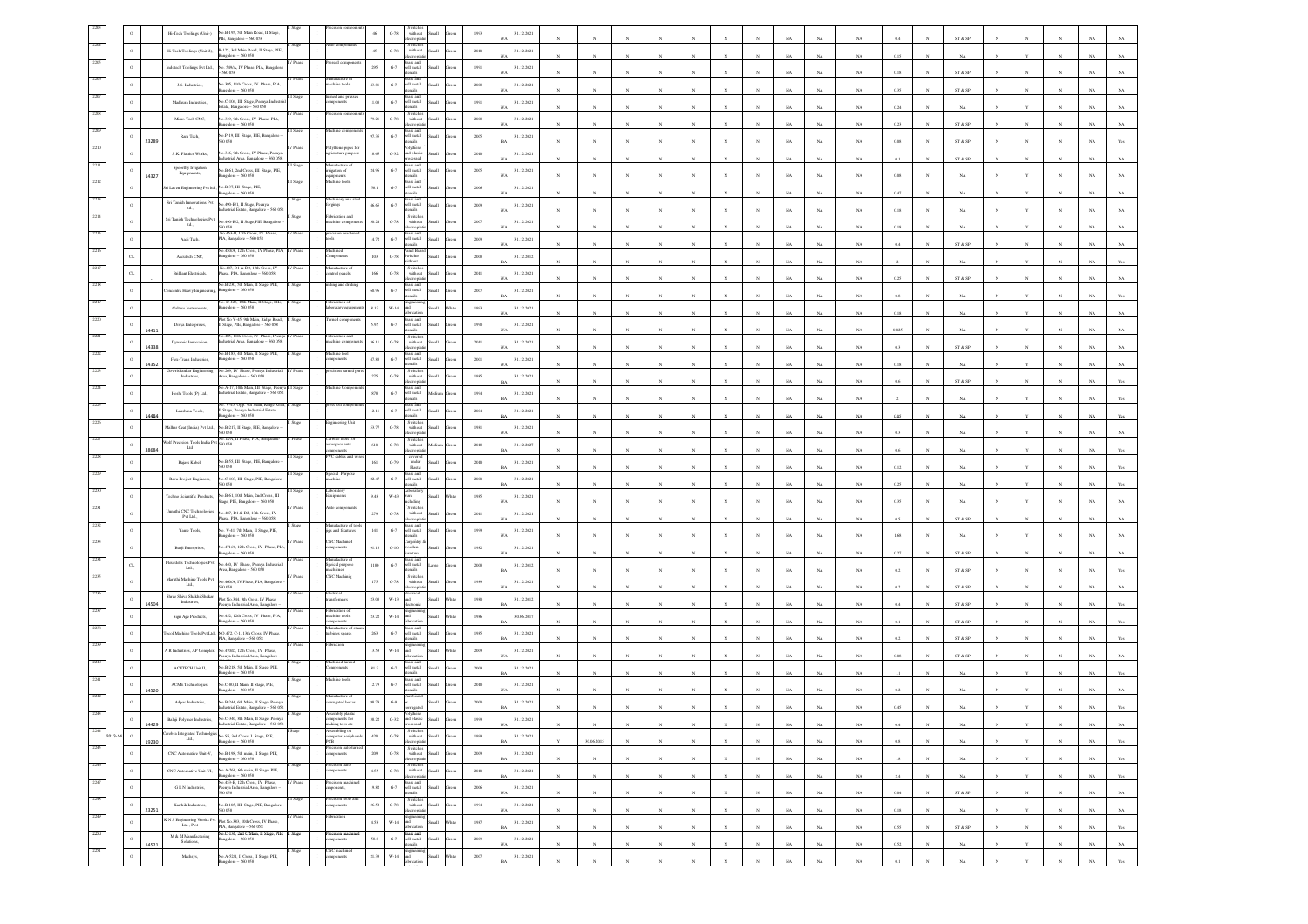|            |                | Hi-Tech Toolings (Unit-)                                                                         | 40.B-195, 5th Main Road, II Stage,<br>PIE, Bangalore - 560 058                                                                                                                                                                                                                                                                                                                                                                                                                                   |          |                                                   | $\,$ G-78 $\,$                      | without                                  |                |          | .12.2021                    |              |              |            |              |              |              |             |             | ŃА          |            |              | ${\rm ST}$ & ${\rm SP}$                                         |                       |              |                 |                             |
|------------|----------------|--------------------------------------------------------------------------------------------------|--------------------------------------------------------------------------------------------------------------------------------------------------------------------------------------------------------------------------------------------------------------------------------------------------------------------------------------------------------------------------------------------------------------------------------------------------------------------------------------------------|----------|---------------------------------------------------|-------------------------------------|------------------------------------------|----------------|----------|-----------------------------|--------------|--------------|------------|--------------|--------------|--------------|-------------|-------------|-------------|------------|--------------|-----------------------------------------------------------------|-----------------------|--------------|-----------------|-----------------------------|
|            |                | Hi-Tech Toolings (Unit-2),                                                                       | B-125, 3rd Main Road, II Stage, PIE<br>galore - 560 058                                                                                                                                                                                                                                                                                                                                                                                                                                          |          |                                                   | $45\,$<br>$G-78$                    | Switches<br>without<br>ronto             | <b>Ham</b>     | 2010     | 1.12.2021<br>W a            |              |              |            |              |              |              |             | NA          | NA          | 0.15       |              | NA                                                              |                       |              |                 |                             |
|            | $\circ$        | Indotech Toolings Pvt Ltd.,                                                                      | No. 549/A, IV Phase, PIA, Bangalor                                                                                                                                                                                                                                                                                                                                                                                                                                                               |          |                                                   | $295\,$<br>$_{\mathrm{G-7}}$        | ass and<br>ell metal                     | <b>Illem</b>   | 1991     | 1.12.2021<br>WA             |              |              |            |              |              |              |             | NA          | NA          | 0.18       |              | $\text{ST} \ \& \ \text{SP}$                                    |                       |              |                 |                             |
|            |                | J.S. Industries,                                                                                 | 395, 11th Cross, IV Phase, PLA,                                                                                                                                                                                                                                                                                                                                                                                                                                                                  |          | ufacture<br>achine tools                          | 43.81<br>$_{\mathrm{G-7}}$          | ell metal                                |                | $2008\,$ | .12.2021                    |              |              |            |              |              |              |             |             |             |            |              |                                                                 |                       |              |                 |                             |
|            |                | Madhura Industries,                                                                              | galore - 560 058<br>No.C-104, III Stage, Peenya Indu                                                                                                                                                                                                                                                                                                                                                                                                                                             |          | ned and pri<br><i>nponents</i>                    | 11.08<br>$\mbox{G-7}$               | isils<br>ell metal                       |                | 1991     | W٨<br>1.12.2021             |              |              |            |              |              |              |             | NA          | $_{\rm NA}$ | 0.35       |              | ST & SP                                                         |                       |              |                 |                             |
|            |                | Micro Tech CNC,                                                                                  | ate. Bangalore - 560 058<br>io.339, 9th Cross, IV Phase, PIA,                                                                                                                                                                                                                                                                                                                                                                                                                                    |          |                                                   | 79.21<br>$G-78$                     | olio.<br>Switche<br>without              |                | $2008\,$ | w.<br>1.12.2021             |              |              |            |              |              |              | NA          | NA          | NA          | 0.24       |              | NA                                                              |                       |              |                 | NA                          |
|            |                | Ram Tech,                                                                                        | galore - 560 058<br>o.P-19, III Stage, PIE, Bangalore -                                                                                                                                                                                                                                                                                                                                                                                                                                          |          |                                                   | 97.35<br>$_{\mathrm{G-7}}$          | ell metal                                |                | $2005\,$ | WA<br>.12.2021              |              |              |            |              |              |              |             | NA          | NA          | 0.23       |              | ${\hbox{\footnotesize\rm ST}}$ & ${\hbox{\footnotesize\rm SP}}$ |                       |              |                 |                             |
|            |                | 23289                                                                                            | 058<br>io.346, 9th Cross, IV Phase, Peeny.                                                                                                                                                                                                                                                                                                                                                                                                                                                       | V Phase  | lythene pipes for                                 | 18.65<br>$G-32$                     | sils                                     |                |          |                             |              |              |            |              |              |              | NA          | NA          | $_{\rm NA}$ | 0.08       |              | ST & SP                                                         |                       |              |                 | NA                          |
|            |                | S.K. Plastics Works,                                                                             | dustrial Area, Bangalore - 560 058<br>Vo.B-61, 2nd Cross, III Stage, PIE,                                                                                                                                                                                                                                                                                                                                                                                                                        |          | iculture purpose<br>unufacture of                 |                                     | and plastic<br>reocessed<br>rass and     | Iliam          | 2010     | 1.12.2021<br>w.             |              |              |            |              |              |              |             | NA          | NA          | 0.1        |              | ST & SP                                                         |                       |              |                 |                             |
|            |                | ${\begin{minipage}[c]{0.9\linewidth} Spoorthy Inigation \\ Equipments, \end{minipage}}$<br>14327 | sgalore - 560 058                                                                                                                                                                                                                                                                                                                                                                                                                                                                                |          | igation of<br>ine tool                            | 24.96<br>$\mbox{G-7}$               | ell metal                                | <b>Iku</b>     | $2005\,$ | 1.12.2021<br>WA             |              |              |            |              |              |              |             | NA          | NA          | 0.08       |              | $_{\rm NA}$                                                     |                       |              |                 |                             |
|            | $\circ$        | ri Laven Enginnering Pvt Itd., No.B-37, III Stage, PIE,                                          | sgalore - 560 058                                                                                                                                                                                                                                                                                                                                                                                                                                                                                |          | fachinery and s                                   | 58.1<br>$G-7$                       | hell metal<br>sils<br>ass and            |                | 2006     | 1.12.2021<br>W٨             |              |              |            |              |              |              |             | NA          | $_{\rm NA}$ | 0.47       |              | $_{\rm NA}$                                                     |                       |              |                 |                             |
|            |                | Sri Tanish Innovations Pvt<br>$\mathop{\rm Id}\nolimits_\sim$                                    | 40.490-B/1, II Stage, Peenya<br>strial Estate, Bangalore<br>5600                                                                                                                                                                                                                                                                                                                                                                                                                                 |          | orgings<br>abrication and                         | 46.65<br>$G-7$                      | ell metal<br>Switcher                    |                | 2009     | 1.12.2021<br>w.             |              |              |            |              |              |              |             | NA          | NA          | 0.18       |              | $_{\rm NA}$                                                     |                       |              |                 | $_{N}$                      |
|            |                | Sri Tanish Technologies Pv<br>t $\mathop{\rm Id}\nolimits_\sim$                                  | o.490-B/2, II Stage, PIE, Bangalore                                                                                                                                                                                                                                                                                                                                                                                                                                                              |          | $\,$ I<br>achine comp                             | 30.24<br>$\,$ G-78 $\,$             | without                                  |                | $2007\,$ | 1.12.2021<br>WA             |              |              |            |              |              |              |             | $_{\rm NA}$ | NA          | 0.18       |              | $_{\rm NA}$                                                     |                       |              |                 | NA                          |
|            |                | Aadi Tech,                                                                                       | io.453-B, 12th Cross, IV Phase,<br>1A, Bangalore - 560 058                                                                                                                                                                                                                                                                                                                                                                                                                                       | V Phase  |                                                   | 14.72<br>$G-7$                      | ell metal<br>slien                       | <b>Ham</b>     | 2009     | 1.12.2021<br>WA             |              |              |            |              |              |              | NA          | NA          | NA          | 0.4        |              | ST & SP                                                         |                       |              |                 | NA                          |
|            | $\alpha$       | Accutech CNC,                                                                                    | ASO/A, 12th Cross,<br>sgalore - 560 058                                                                                                                                                                                                                                                                                                                                                                                                                                                          |          | monents                                           | 103<br>$G-78$                       | switches<br>vithout                      | Ilian          | 2008     | 1.12.2012                   |              |              |            |              |              |              |             | NA          | NA          |            |              | NA                                                              |                       |              |                 | N                           |
|            | $\alpha$       | Brilliant Electricals,                                                                           | No.487, D1 & D2, 13th Cross, IV<br>ase, PIA, Bangalore - 560 058                                                                                                                                                                                                                                                                                                                                                                                                                                 | V Phase  | anufacture of<br>ntrol panels                     | $166\,$<br>$G-78$                   | Switche<br>$with \alphactroph$           |                | $2011\,$ | 1.12.2021<br>WA             |              |              |            |              |              |              |             | NA          | NA          | 0.25       |              | ST & SP                                                         |                       |              |                 | NA                          |
|            | $\circ$        | mcentra Heavy Engineering                                                                        | No.B-230, 5th Main, II Stage, PII<br>ingalore - 560 058                                                                                                                                                                                                                                                                                                                                                                                                                                          |          | ng and drill                                      | 60.96<br>$_{\mathrm{G-7}}$          | ell metal                                | <b>Illami</b>  | 2007     | 1.12.2021<br>RA             |              |              |            |              |              |              |             | NA          | NA          | 0.8        |              | NA                                                              |                       |              |                 | NA                          |
|            |                | Culture Instruments,                                                                             | io. D-428, 10th Main, II Stage, PIE<br>sgalore - 560 058                                                                                                                                                                                                                                                                                                                                                                                                                                         |          | brication of<br>oratary equip                     | $8.13\,$<br>$_{\rm W\text{-}14}$    |                                          |                | 1993     | .12.2021                    |              |              |            |              |              |              |             |             |             |            |              |                                                                 |                       |              |                 |                             |
|            | $\circ$        | Divya Enterprises,                                                                               | lot No V-45, 9th Main, Ridge Road,<br>Stage, PIE, Bangalore - 560 058                                                                                                                                                                                                                                                                                                                                                                                                                            |          |                                                   | 5.95<br>$_{\mathrm{G-7}}$           | ell metal                                |                | 1990     | .12.2021                    |              |              |            |              |              |              |             | NA          | $_{\rm NA}$ | 0.18       |              | $_{\rm NA}$                                                     |                       |              |                 | $_{\rm NA}$                 |
|            | $\circ$        | 14411<br>Dynamic Innovation,                                                                     | 0.405, 11th Cross, IV Phase, Peeny<br>dustrial Area, Bangalore - 560 058                                                                                                                                                                                                                                                                                                                                                                                                                         | Phase    | brication and<br>achine comp                      | 36.11<br>$G-78$                     | sils<br>Switche<br>without               | <b>Hat</b>     | 2011     | WA<br>1.12.2021             |              |              |            |              |              |              |             | <b>NA</b>   | NA          | 0.025      |              | $_{\rm NA}$                                                     |                       |              |                 | NA                          |
|            | $\circ$        | 14338<br>Flex-Trans Industries,                                                                  | No.B-183, 4th Main, II Stage, PIE,<br>sgalore - 560 058                                                                                                                                                                                                                                                                                                                                                                                                                                          |          | achine tool                                       | $47.88\,$<br>$\mbox{G-7}$           | monte<br>ell metal                       |                | 2001     | WA<br>1.12.2021             | $\mathbf{x}$ |              |            |              | N            |              | NA          | $_{\rm NA}$ | NA          | 0.3        |              | ST & SP                                                         |                       |              |                 | NA                          |
|            |                | 14352<br>owrishankar Engineering<br>Industries,                                                  | a 269. IV Phase, Peeny                                                                                                                                                                                                                                                                                                                                                                                                                                                                           |          |                                                   | $275\,$<br>$_{\mathrm{G-78}}$       | isils<br>Switches<br>without             |                | 1985     | 1.12.2021                   |              |              |            |              |              |              | NA          | $_{\rm NA}$ | NA          | $0.18\,$   |              | $_{\rm NA}$                                                     |                       |              |                 | $_{\rm NA}$                 |
|            |                |                                                                                                  | ra, Bangalore - 560 058<br>o.A-17, 10th Main, III Stage, Peen                                                                                                                                                                                                                                                                                                                                                                                                                                    |          | hine Comp                                         |                                     | ctroph<br>ass and                        |                |          |                             |              |              |            |              |              |              |             | NA          | NA          |            |              | ST & SP                                                         |                       |              |                 |                             |
|            |                | Hoshi Tools (P) Ltd.,                                                                            | dustrial Estate, Bangalore - 560 05<br>V-45, Opp. 9th Main, Ridge Road                                                                                                                                                                                                                                                                                                                                                                                                                           |          | s toll cor                                        | $878\,$<br>$_{\mathrm{G-7}}$        | ell metal                                |                | 1994     | 1.12.2021<br>R              |              |              |            |              |              |              |             | NA          | NA          |            |              | NA                                                              |                       |              |                 | N                           |
|            |                | Lakshma Tools,<br>14484                                                                          | 1<br>Stage, Peenya Industrial Estate,<br>Rangalore – 560 058                                                                                                                                                                                                                                                                                                                                                                                                                                     |          | teering U                                         | $12.11\,$<br>$\mbox{G-7}$           | ell metal                                |                | $\,2004$ | .12.2021                    |              |              |            |              |              |              |             | NA          | NA          |            |              | $_{\rm NA}$                                                     |                       |              |                 | NA                          |
|            |                | Malhar Ceat (India) Pvt Ltd.                                                                     | No.B-217, II Stage, PIE, Bangalore<br>.<br>Wolf Precision Tools India Pvt Sco new York, PIA, Bengalun                                                                                                                                                                                                                                                                                                                                                                                            |          | bide tools f                                      | 53.77<br>$G-78$                     | Switches<br>without<br>monte<br>Switcher |                | 1981     | 1.12.2021<br>w.             |              |              |            |              |              |              |             |             | NA          |            |              | NA                                                              |                       |              |                 |                             |
|            | $\circ$        | $_{\rm Lad}$<br>88684                                                                            |                                                                                                                                                                                                                                                                                                                                                                                                                                                                                                  |          | rospace auto<br>$\mathbf{I}$<br>VC cables and     | $_{\rm 610}$<br>$G-78$              | without                                  |                | 2018     | 1.12.2027                   |              |              |            |              |              |              |             | NA          | NA          | 0.6        |              | $_{\rm NA}$                                                     |                       |              |                 |                             |
|            |                | Rajass Kabel,                                                                                    | o.B-55, III Stage, PIE, Bangalore                                                                                                                                                                                                                                                                                                                                                                                                                                                                |          |                                                   | $161\,$<br>$\operatorname{G-79}$    | $under$<br>Plastic                       |                | $2010\,$ | .12.2021                    |              |              |            |              |              |              |             | NA          | $_{\rm NA}$ | 0.12       |              | NA                                                              |                       |              |                 |                             |
|            |                | Reva Project Engineers,                                                                          | No.C-103, III Stage, PIE, Bangalore<br>1058                                                                                                                                                                                                                                                                                                                                                                                                                                                      |          | ecial Purp<br>achine                              | 22.47<br>$\mbox{G-7}$               | srass and<br>tell metal<br>sils          | <b>Ham</b>     | 2000     | 1.12.2021                   |              |              |            |              |              |              |             | NA          | NA          | 0.25       |              | NA                                                              |                       |              |                 |                             |
|            |                | Techno Scientific Products,                                                                      | No.B-61, 10th Main, 2nd Cross, III<br>tage, PIE, Bangalore - 560 058                                                                                                                                                                                                                                                                                                                                                                                                                             | II Stage | aboratory<br>quipments                            | $9.48\,$<br>W-43                    | aborator                                 |                | $1985\,$ | 1.12.2021<br>WA             |              |              |            |              |              |              |             | NA          | NA          | 0.35       |              | $_{\rm NA}$                                                     |                       |              |                 |                             |
|            |                | Unnathi CNC Technologies<br>Pvt Ltd.,                                                            | 0.487, D1 & D2, 13th Cross, IV<br>ase, PIA, Bangalore - 560 058                                                                                                                                                                                                                                                                                                                                                                                                                                  |          |                                                   | 279<br>$\operatorname{G-78}$        | Switche<br>with out<br>ctroph            |                | $2011\,$ | .12.2021<br>w,              |              |              |            |              |              |              |             | <b>NA</b>   | $_{\rm NA}$ | 0.5        |              | ST & SP                                                         |                       |              |                 |                             |
|            |                | Yame Tools                                                                                       | io. V-41, 7th Main, II Stage, PIE,<br>$000 - 5600$                                                                                                                                                                                                                                                                                                                                                                                                                                               |          | lanufacture of to<br>jigs and fixutures           | $\lfloor 4 \rfloor$<br>$\mbox{G-7}$ | ass and<br>ell metal<br>di.              |                | 1999     | 1.12.2021<br>w.             |              |              |            |              |              |              | NA          | NA          | NA          | 1.68       |              | NA                                                              |                       |              |                 | NA                          |
|            |                | Burji Enterprises,                                                                               | No.471/A, 12th Cross, IV Phase, PIA,<br>galore - 560 058                                                                                                                                                                                                                                                                                                                                                                                                                                         | V Phase  | <b>NC</b> Machinec<br>nponents<br>$\mathbf{I}$    | $91.18\,$<br>$_{\mathrm{G-10}}$     | oden                                     |                | $1982\,$ | 1.12.2021<br>WA             |              |              |            |              |              |              |             | $_{\rm NA}$ | NA          | 0.27       |              | $\text{ST} \ \& \ \text{SP}$                                    |                       |              |                 | $_{\rm NA}$                 |
|            | $\alpha$       | $\begin{array}{ll} \mbox{Fleurdelis Technologies Pvt}\\ \mbox{Lid.}, \end{array}$                | 0.440, IV Phase, Peenya Industria                                                                                                                                                                                                                                                                                                                                                                                                                                                                |          | unufacture o<br>$\,$ $\,$<br>Speical purpose      | $1180\,$<br>$_{\mathrm{G-7}}$       | ell metal                                | Large          | $2008\,$ | .12.2012                    |              |              |            |              |              |              | NA          | $_{\rm NA}$ | $_{\rm NA}$ | 0.2        |              | ST & SP                                                         |                       |              |                 | NA                          |
|            |                | Maruthi Machine Tools Pvt<br>$\mathop{\text{Lid}}\nolimits$                                      | rea, Bangalore - 560 058<br>No.460/A, IV Phase, PIA, Bangalore                                                                                                                                                                                                                                                                                                                                                                                                                                   | V Phase  | nachienes<br><b>NC</b> Machinig                   | 175<br>$G-78$                       | slien<br>Switcher<br>without             | <b>Illett</b>  | 1989     | 1.12.2021                   |              |              |            |              |              |              |             |             |             |            |              |                                                                 |                       |              |                 |                             |
|            | $\,$ 0         | Shree Shiva Shakhi Shekar                                                                        | 0058<br>lot No.344, 9th Cross, IV Phase,                                                                                                                                                                                                                                                                                                                                                                                                                                                         | Phase    | ectrical<br>$\,$ I<br>sformer                     | 23.08<br>$W-13$                     | lectrica<br>ы.                           |                | $1980\,$ | WA<br>1.12.2012             |              |              |            |              |              |              |             | NA          | NA          | 0.2        |              | ST & SP                                                         |                       |              |                 | N.                          |
|            | $\circ$        | Industries,<br>14504<br>Sign Age Products,                                                       | enya Industrial Area, Bangalor<br>0.452, 12th Cross, IV Phase, PIA,                                                                                                                                                                                                                                                                                                                                                                                                                              |          | abrication of<br>tachine tools                    | 23.22<br>W-14                       |                                          |                | 1986     | $\mathbf{B}^j$<br>0.06.2017 |              |              |            |              |              |              |             | NA          | NA          |            |              | $\text{ST} \ \& \ \text{SP}$                                    |                       |              |                 |                             |
|            |                |                                                                                                  | sgalore - 560 058<br>locol Machine Tools Pvt Ltd., NO.472, C-1, 13th Cross, IV Phase                                                                                                                                                                                                                                                                                                                                                                                                             |          | ponents<br>facture o                              | $\mbox{G-7}$<br>263                 | ell metal                                |                | 1985     | RA<br>1.12.2021             |              |              |            |              |              |              |             |             | NA          | 0.1        |              | ST & SP                                                         |                       |              |                 |                             |
|            |                |                                                                                                  | A. Bangalore - 560 058                                                                                                                                                                                                                                                                                                                                                                                                                                                                           |          | rbines spares<br>vriction                         |                                     |                                          |                |          |                             |              |              |            |              |              |              |             |             | $_{\rm NA}$ | 0.2        |              | ST & SP                                                         |                       |              |                 | NA                          |
|            |                | A R Industries, AP Complex,                                                                      | No.470D, 12th Cross, IV Phase<br>nya Industrial Area, Bangalor                                                                                                                                                                                                                                                                                                                                                                                                                                   |          |                                                   | 13.59<br>$_{\rm W\text{-}14}$       |                                          |                | 2009     | 1.12.2021<br>WA             |              |              |            |              |              |              |             | NA          | NA          | 0.08       |              | ST & SP                                                         |                       |              |                 |                             |
|            |                | ACETECH Unit II,                                                                                 | io.B-218, 5th Main, II Stage, PIE,<br>galore - 560 058                                                                                                                                                                                                                                                                                                                                                                                                                                           |          | hine tools                                        | $81.3\,$<br>$G-7$                   | ell metal<br>isils                       |                | 2009     | 1.12.2021<br><b>BA</b>      |              |              |            |              |              |              |             | NA          | NA          |            |              | NA                                                              |                       |              |                 |                             |
|            | $\circ$        | ACME Technologies,<br>14520                                                                      | 40.C-80, II Main, II Stage, PIE,<br>galore - 560 058                                                                                                                                                                                                                                                                                                                                                                                                                                             |          |                                                   | 12.73<br>$\mbox{G-7}$               | ell metal<br>saccio                      |                | 2010     | 31.12.2021                  |              |              |            |              |              |              |             |             | NA          | 0.2        |              | $_{\rm NA}$                                                     |                       |              |                 |                             |
|            |                | Adpac Industries,                                                                                | No.B-244, 6th Main, II Stage, Peen<br>dustrial Estate, Bangalore - 560 05                                                                                                                                                                                                                                                                                                                                                                                                                        |          | danufacture of<br>orrugated boxes<br>$\mathbf{I}$ | 98.73<br>$\mathrm{G}\mathcal{A}$    |                                          |                | 2000     | 1.12.2021                   |              |              |            |              |              |              |             |             |             |            |              |                                                                 |                       |              |                 |                             |
| 2244       |                | Balaji Polymer Industries,<br>14429                                                              | .<br>No.C-340, 8th Main, II Stage, Peenya<br>sprial Fetate, Ran<br>$re - 560058$                                                                                                                                                                                                                                                                                                                                                                                                                 |          | nbly plasti<br>tents for<br>makine to             | 38.22<br>$G-32$                     |                                          |                |          | 1.12.2021<br>WA             |              |              |            |              |              |              | <b>NA</b>   | NA          | NA.         | 0.4        |              | NA                                                              |                       |              |                 | <b>NA</b><br>NA.            |
| $2013 - 1$ | $\,$ $\,$      | 19230                                                                                            | $\begin{tabular}{l} Cevobra \begin{tabular}{l} \bf{Interbrz \end{tabular} \end{tabular} \begin{tabular}{l} \bf{C}cwebra \begin{tabular}{l} \bf{In} \end{tabular} \end{tabular} \begin{tabular}{l} \bf{I} \end{tabular} \end{tabular} \begin{tabular}{l} \bf{I} \end{tabular} \end{tabular} \begin{tabular}{l} \bf{I} \end{tabular} \end{tabular} \begin{tabular}{l} \bf{I} \end{tabular} \end{tabular} \begin{tabular}{l} \bf{I} \end{tabular} \end{tabular} \begin{tabular}{l} \bf{I} \end{tab$ |          | cmbling of<br>computer peripherals<br>PCB         | $420\,$<br>$\,$ G-78 $\,$           | Switches<br>without<br>electroplatin     | Small          | 1999     | 31.12.2021<br><b>BA</b>     | 30.06.2015   |              |            |              |              |              | $_{\rm NA}$ | $_{\rm NA}$ | $_{\rm NA}$ | $0.8\,$    |              | $_{\rm NA}$                                                     |                       |              |                 | $_{\rm NA}$<br>$_{\rm Yes}$ |
| 2245       | $\,$ $\,$      | CNC Automative Unit-V,                                                                           | No.B-198, 5th main, II Stage, PIE,<br>sgalore - 560 058                                                                                                                                                                                                                                                                                                                                                                                                                                          |          | cision auto<br>$\mathbf{I}$<br>mponents           | $209\,$<br>$\,$ G-78 $\,$           | Switches<br>without<br>lectroplati       | Small          | $2009\,$ | 1.12.2021<br>BA             | N            | $\mathbf{N}$ |            | $_{\rm N}$   | N            | $_{\rm N}$   | NA          | $_{\rm NA}$ | NA          | $1.8\,$    |              | $_{\rm NA}$                                                     | $_{\rm N}$            | $\mathbf{Y}$ | $_{\rm N}$      | $_{\rm NA}$<br>Yes          |
| 2246       | $\circ$        | CNC Automative Unit-VI,                                                                          | No.A-268, 6th main, II Stage, PIE,<br>sgalore - 560 058                                                                                                                                                                                                                                                                                                                                                                                                                                          | luge     | recision auto<br>$\mathbf{I}$<br>omponents        | $4.55\,$<br>$\,$ G-78 $\,$          | Switches<br>without<br>ectroplati        | Small          | $2010\,$ | 31.12.2021<br>BA            | $_{\rm N}$   | $_{\rm N}$   | $_{\rm N}$ | $_{\rm N}$   | $\mathbf{N}$ | $_{\rm N}$   | $_{\rm NA}$ | $_{\rm NA}$ | $_{\rm NA}$ | $2.4\,$    | $\mathbf{N}$ | $_{\rm NA}$                                                     | $_{\rm N}$            | $\mathbf{Y}$ | $_{\mathrm{N}}$ | $_{\rm NA}$<br>$_{\rm Yes}$ |
| 2247       | $\,$ $\,$      | G L N Industries,                                                                                | No.453-B, 12th Cross, IV Phase,<br>enya Industrial Area, Bangalore-<br>058                                                                                                                                                                                                                                                                                                                                                                                                                       | Phase    | recision machin<br>$\,$ I<br>uponents,            | 19.82<br>$_{\mathrm{G-7}}$          | Brass and<br>bell metal<br>utensils      | Small<br>ireen | $\,2006$ | 31.12.2021<br><b>WA</b>     | $\mathbf{N}$ | $\bar{N}$    |            | $_{\rm N}$   | $_{\rm N}$   | $_{\rm N}$   | $_{\rm NA}$ | $_{\rm NA}$ | $_{\rm NA}$ | $\rm 0.04$ |              | $\text{ST} \ \& \ \text{SP}$                                    | $\overline{N}$        |              | $_{\rm N}$      | $_{\rm NA}$<br>$_{\rm NA}$  |
| 2248       | $\,$ 0 $\,$    | Karthik Industries,<br>23251                                                                     | No.B-105, III Stage, PIE, Bangalore<br>0058                                                                                                                                                                                                                                                                                                                                                                                                                                                      | I Stage  | recision tools an<br>$\mathbf{1}$<br>mponents     | 36.52<br>$\,$ G-78 $\,$             | Switches<br>without<br>lectrophati       | Small<br>ireen | 1994     | 31.12.2021<br>WA            | $_{N}$       |              |            | $\mathbf{N}$ | $\mathbf{N}$ | $_{\rm N}$   | NA          | NA          | NA          | 0.18       | $_{\rm N}$   | NA                                                              | $\boldsymbol{\kappa}$ |              | $\mathbf{N}$    | NA<br>$_{\rm NA}$           |
| 2249       | $\,$ $\,$ $\,$ | K N S Engineering Works Pvt $\operatorname{Lid.}, \operatorname{Pic}$                            | Plot No.383, 10th Cross, IV Phase,                                                                                                                                                                                                                                                                                                                                                                                                                                                               |          | stion<br>$\mathbf{I}$                             | 4.58<br>$W-14$                      | Engi<br>and                              | Small<br>Vhite | $1987\,$ | 31.12.2021<br>BA            | $_{\rm N}$   | $\mathbf{N}$ |            | $\mathbf{N}$ | $\mathbf{v}$ | $\mathbf{N}$ | $_{\rm NA}$ | $_{\rm NA}$ | $_{\rm NA}$ | 0.55       | $_{\rm N}$   | $\text{ST} \ \& \ \text{SP}$                                    | $\mathbf{N}$          | $\mathbf{N}$ | $_{\rm N}$      | $_{\rm NA}$                 |
| 2250       | $\,$ 0 $\,$    | $\begin{array}{c} \textrm{M\& M~Mnufacturing}\\ \textrm{Solutions}, \end{array}$                 | PIA, Bangalore - 560 058<br>No.C-136, 2nd C Main, II Stage, PIE,<br>galore - 560 058                                                                                                                                                                                                                                                                                                                                                                                                             | II Stage | recision machi<br>$\mathbbm{1}$<br>nponents       | $58.8\,$<br>$_{\mathrm{G-7}}$       | Brass and<br>bell metal<br>utensils      | llan           | $2009\,$ | 1.12.2021                   | $_{\rm N}$   |              |            | $_{\rm N}$   | $\bar{N}$    | $\bar{N}$    |             |             |             |            |              |                                                                 |                       | $_{\rm Y}$   | $_{\rm N}$      | $_{\rm Yes}$                |
| 2251       | $\circ$        | 14521<br>Mechsys,                                                                                | No.A-52/1, I Cross, II Stage, PIE,                                                                                                                                                                                                                                                                                                                                                                                                                                                               | Stage    | CNC machined<br>components<br>$\mathbb{I}$        | 21.39<br>$W-14$                     | Engineerir<br>and                        | Small          | $2007\,$ | $_{\rm WA}$<br>31.12.2021   |              |              |            |              |              |              | $_{\rm NA}$ | $_{\rm NA}$ | $_{\rm NA}$ | $0.52\,$   |              | $_{\rm NA}$                                                     |                       |              |                 | $_{\rm NA}$<br>$_{\rm NA}$  |
|            |                |                                                                                                  | ngalore - 560 058                                                                                                                                                                                                                                                                                                                                                                                                                                                                                |          |                                                   |                                     |                                          |                |          | <b>BA</b>                   |              |              |            |              |              |              | NA          | NA          | NA          | 0.1        |              | NA                                                              |                       |              | $\mathbf{N}$    | NA<br>Yes                   |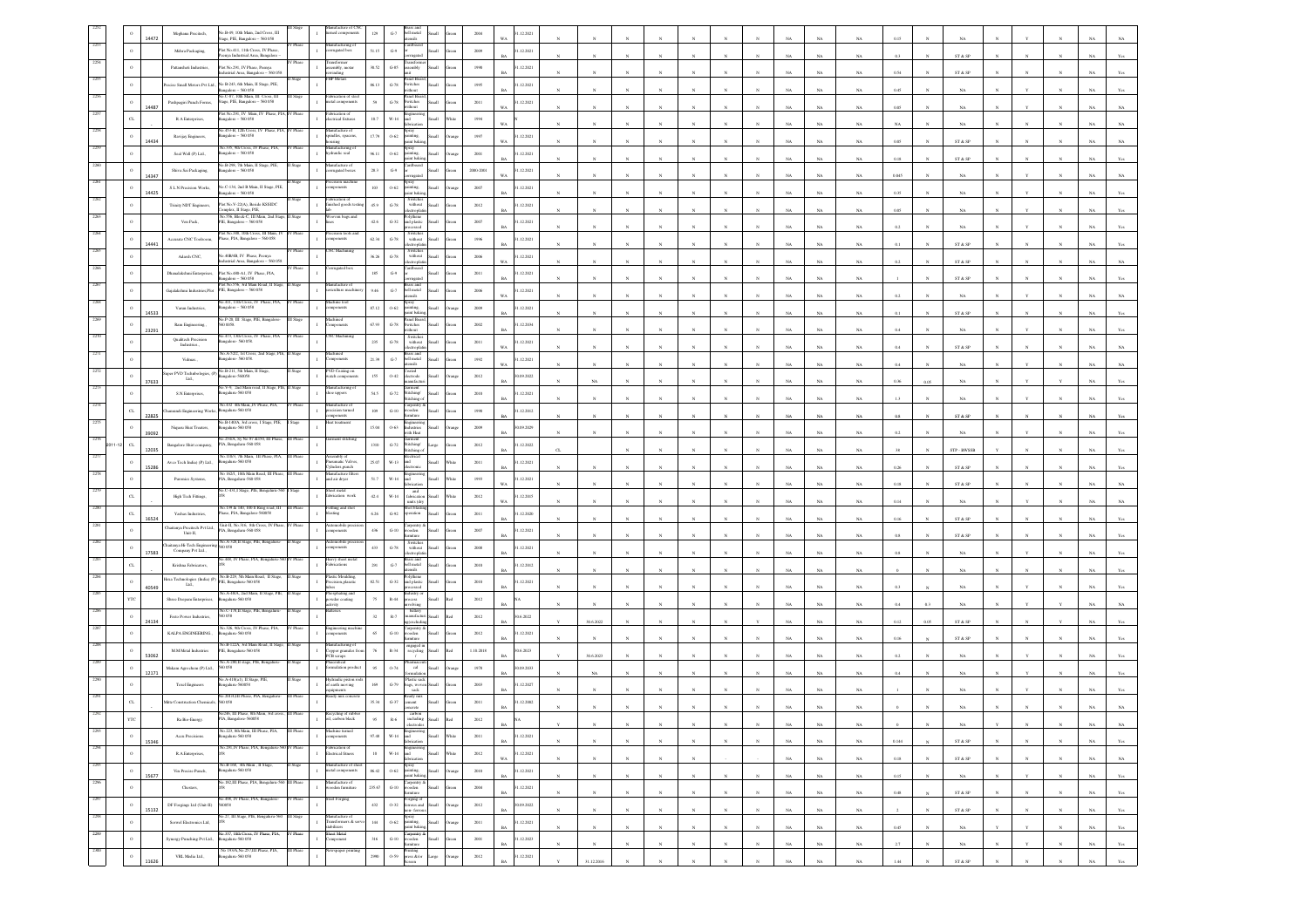|      |                        |       | Meghana Precitech,                                    | 40.B-49, 10th Main, 2nd Cross, III<br>age, PIE, Bangalore - 560 058                       |           |                                                                 | 129             | $G-7$                          | bell metal<br>utensils                                                                        |        |                      |           | 12.202                   |              |              |              |              |                 |              |              |             |             |             |          |             |                              |            |              |              |             |                |
|------|------------------------|-------|-------------------------------------------------------|-------------------------------------------------------------------------------------------|-----------|-----------------------------------------------------------------|-----------------|--------------------------------|-----------------------------------------------------------------------------------------------|--------|----------------------|-----------|--------------------------|--------------|--------------|--------------|--------------|-----------------|--------------|--------------|-------------|-------------|-------------|----------|-------------|------------------------------|------------|--------------|--------------|-------------|----------------|
|      |                        |       | Mehra Packaging,                                      | tot No.411. 11th Cross. IV Phase                                                          | Phase     | lanufacturing of<br>erugated box<br>$\mathbf{I}$                | 51.15           | $\mathbb{G}\mathscr{G}$        | Cardboard                                                                                     |        | $2009\,$             |           | 1.12.2021                |              |              |              |              |                 |              |              |             |             |             |          |             |                              |            |              |              |             |                |
|      |                        |       | Pattansheti Industries,                               | enya Industrial Area, Bangalore<br>Plot No.291, IV Phase, Peenya                          |           | $\mathbf{I}$<br>embly, motar                                    | 30.52           | $G-85$                         | ssembly                                                                                       |        | 1950                 |           | 1.12.2021                |              |              |              |              |                 |              |              |             | NA          | NA          |          |             | ST & SP                      |            |              |              |             |                |
|      |                        |       |                                                       | dustrial Area, Bangalore - 560 051                                                        |           | indine<br><b>HP Motars</b>                                      |                 |                                | anel Boa                                                                                      |        |                      |           |                          |              |              |              |              |                 |              |              |             | NA          | NA          | 0.54     |             | ST & SP                      |            |              |              |             |                |
|      |                        |       | cise Small Motors Pvt Ltd.                            | No B-243, 6th Main, II Stage, PIE,<br>lore - 560 058<br>40.C-87, 10th Main, III Cross, II |           | brication of                                                    | 86.13           | $\mbox{G-}78$                  | witches<br>itheat<br>anel Boa                                                                 |        | 1995                 |           | 1.12.2021                |              |              |              |              |                 |              |              |             | NA          | $_{\rm NA}$ | 0.45     |             | NA                           |            |              |              |             |                |
|      |                        | 14487 | Pushpagiri Panch Forms,                               | tage, PIE, Bangalore - 560 058                                                            |           | $\Gamma$<br>netal components                                    | 59              | $\mbox{G-}78$                  | switches<br>ithout                                                                            |        | $2011\,$             |           | 1.12.2021                |              |              |              |              |                 |              |              |             | NA          | NA          | 0.05     |             | NA                           |            |              |              |             |                |
|      |                        |       | R A Enterprises                                       | fot No.291, IV Main, IV Phase, PIA,<br>ingalore - 560 058                                 | Phas      | abrication of<br>$\mathbf{I}$<br>lectrical fixtures             | $10.7\,$        | $W-14$                         |                                                                                               |        | 1994                 |           |                          |              |              |              |              |                 |              |              |             | $_{\rm NA}$ | $_{\rm NA}$ | NA       |             | $_{\rm NA}$                  |            |              |              |             |                |
|      |                        |       | Ravijay Engineers,                                    | io.453-B, 12th Cross, IV Phase, PIA, IV Phase<br>agalore - 560 058                        |           | nufacture of<br>ndles, spacens,                                 | 17.79           | $0.62\,$                       |                                                                                               |        | $1997\,$             |           | 1.12.2021                |              |              |              |              |                 |              |              |             |             |             |          |             |                              |            |              |              |             |                |
|      |                        | 14434 | Seal Well (P) Ltd.,                                   | No.335, 9th Cross, IV Phase, PIA<br>ingalore - 560 058                                    |           | sing<br>nufacturing<br>fraulic seal                             | 96.11           | $0 - 62$                       | lian<br>ting                                                                                  |        | 2001                 |           | 31.12.2021               |              |              |              |              |                 |              |              |             | $_{\rm NA}$ | $_{\rm NA}$ | 0.05     |             | ST & SP                      |            |              |              |             |                |
|      |                        |       |                                                       | o.B-298, 7th Main, II 5                                                                   |           | ifacture of                                                     |                 |                                | int baki                                                                                      |        |                      |           |                          |              |              |              |              |                 |              |              |             | NA          | NA          | 0.18     |             | ST & SF                      |            |              |              |             |                |
|      |                        | 14347 | Shiva Sai Packaging,                                  | ingalore - 560 058                                                                        |           | rugated boxes<br>sion mach                                      | $\bf 28.3$      | $G-9$                          | <b>Ike</b>                                                                                    |        | 2000-2001            | WA        | 1.12.2021                |              |              |              |              |                 |              |              |             | NA          | $_{\rm NA}$ | 0.045    |             | NA                           |            |              |              |             |                |
|      |                        | 14425 | ${\mathbb S}$ L.N Precision Works,                    | io.C-134, 2nd B Main, II Stage, PIE<br>1galore - 560 058                                  |           | onents                                                          | 103             | $0 - 62$                       | aint baki                                                                                     |        | $2007\,$             |           | 1.12.2021                |              |              |              |              |                 |              |              |             | NA          | $_{\rm NA}$ | 0.35     |             | $_{\rm NA}$                  |            |              |              |             |                |
|      |                        |       | Trinky NDT Engineers,                                 | fot No.V-22(A), Beside KSSIDC<br>molex. Il Stare, PIE.                                    |           | abrication of<br>1ished goods te                                | 45.9            | $\mbox{G-}78$                  | without                                                                                       |        | 2012                 |           | 31.12.2021               |              |              |              |              |                 |              |              |             | NA          | NA          | 0.05     |             | NA                           |            |              |              |             |                |
|      |                        |       | Ven Pack,                                             | o.556, Block-C, III Main,<br>PIE, Bangalore - 560 058                                     |           | ven bags a<br>$\mathbf{I}$                                      | $42.6\,$        | $G-32$                         | and plastic<br><b>Hat</b>                                                                     |        | 2007                 |           | 1.12.2021                |              |              |              |              |                 |              |              |             |             |             | 0.2      |             |                              |            |              |              |             |                |
|      | $\,$ 0 $\,$            |       | Accurate CNC Toolroom,                                | Plot No. 388, 10th Cross, III Main, IV<br>hase, PIA, Bangalore - 560 058                  | Phase     | ision tools a                                                   | 62.34           | $\mbox{G-}78$                  | Switche<br>$% \left\vert \left( \mathbf{1}_{\mathbf{1}}\right) \right\rangle$ without<br>llan |        | 1996                 |           | 1.12.2021                |              |              |              |              |                 |              |              |             | $_{\rm NA}$ | $_{\rm NA}$ |          |             | $_{\rm NA}$                  |            |              |              |             |                |
|      | $\Omega$               | 14441 | Adarsh CNC,                                           | io.40B/4B, IV Phase, Peenya                                                               |           | C Machin                                                        | 36.26           | $G-78$                         | ctroph<br>Switches<br>without<br>Ilian                                                        |        | 2006                 |           | 31.12.2021               |              |              |              |              |                 |              |              |             | $_{\rm NA}$ | $_{\rm NA}$ |          |             | ST & SP                      |            |              |              |             |                |
|      |                        |       |                                                       | lustrial Area, Bangalore - 560 05                                                         |           | ugated box                                                      |                 |                                | Cardboard                                                                                     |        |                      |           |                          |              |              |              |              |                 |              |              |             | NA          | NA          | 0.2      |             | ST & SF                      |            |              |              |             |                |
|      |                        |       | Dhanalakshmi Enterprises,                             | Plot No.480-A1, IV Phase, PIA,<br>galore - 560 058<br>Yot No.556, 3rd Main Road, II       |           |                                                                 | $185\,$         | $G-9$                          | <b>Ike</b>                                                                                    |        | $2011\,$             |           | 1.12.2021                |              |              |              |              |                 |              |              |             | NA          | NA          |          |             | ST & SP                      |            |              |              |             |                |
|      |                        |       | Gajalakshmi Industries, Plot PIE, Bangalore - 560 058 |                                                                                           |           | ulture mac                                                      | 9.46            | $_{\mathrm{G-7}}$              | bell metal<br>Small<br>stite                                                                  |        | $\,2006$             |           | 1.12.2021                |              |              |              |              |                 |              |              |             | $_{\rm NA}$ | $_{\rm NA}$ | 0.2      |             | NA                           |            |              |              |             |                |
|      | $\Omega$               | 14533 | Varun Industries,                                     | io.411, 11th Cross, IV Phase, PIA,<br>ingalore - 560 058                                  |           | achine too<br><i>sponents</i>                                   | 87.12           | $0 - 62$                       | špray<br>anting.<br>int hole                                                                  |        | 2009                 |           | 1.12.2021                |              |              |              |              |                 |              |              |             | NA          | $_{\rm NA}$ |          |             | ST & SP                      |            |              |              |             |                |
|      | $\circ$                |       | Ram Engineering.,                                     | 40.P-20, III Stage, PIE, Bangalor<br>00058                                                |           | achined<br>oncnts                                               | 67.93           | $\,$ G-78 $\,$                 | Panel Boar<br>Switches                                                                        |        | $2002\,$             |           | 1.12.2034                |              |              |              |              |                 |              |              |             | $_{\rm NA}$ |             | $0.4\,$  |             | NA                           |            |              |              |             |                |
|      |                        | 23291 | <b>Qualitech Precision</b>                            | o.473, 13th Cross, IV Phase, PIA<br>ingalore- 560 058.                                    |           |                                                                 | 235             | $G-78$                         | Switcher<br>without                                                                           |        | 2011                 |           | 1.12.2021                |              |              |              |              |                 |              |              |             |             | $_{\rm NA}$ |          |             |                              |            |              |              |             |                |
|      |                        |       | Industries,<br>Vidmas.                                | Vo. A-52/2, 1st Cross,<br>ingalore- 560 058.                                              |           | nponents                                                        | 21.39           | $\,$ G-7 $\,$                  | ctroph<br>hell metal<br>щ                                                                     |        | 1992                 | <b>WA</b> | 31.12.2021               |              |              |              |              |                 |              |              | NA          | $_{\rm NA}$ | $_{\rm NA}$ | 0.4      |             | ST & SP                      |            |              |              |             |                |
|      |                        |       | per PVD Technbologies, (P)                            | No.B-211, 5th Main, II Stage                                                              |           | VD Coating on                                                   |                 |                                | hotel                                                                                         |        |                      |           |                          |              |              |              |              |                 |              |              |             | NA          | $_{\rm NA}$ | 0.4      |             | NA                           |            |              |              |             |                |
|      |                        | 37633 | Ltd.,                                                 | ngalore-560058<br>o.V-9, 2nd Main road, II Stage, PIE                                     |           | ach componen<br>urfacturing o                                   | $155\,$         | $0 - 42$                       | trode<br>all                                                                                  |        | 2012                 |           | 90.09.2022               |              |              |              |              |                 |              |              |             | $_{\rm NA}$ | $_{\rm NA}$ | 0.36     |             | NA                           |            |              |              |             |                |
|      | $^{\circ}$             |       | S.N.Enterprises,                                      | ngalaru-560 058<br>Vo.432 4th Main, P                                                     |           | e uppers                                                        | 54.5            | $G-72$                         | Stitching/<br>Iliam<br>titchine                                                               |        | 2010                 |           | 1.12.2021                |              |              |              |              |                 |              |              |             | NA          | NA          |          |             | NA                           |            |              |              |             |                |
|      | $_{\rm CL}$            | 22825 | mundi Engineering Works                               | stgalaru-560 058                                                                          |           | facture o<br>cision turned                                      | $109\,$         | $G-10$                         | oden<br>ыl                                                                                    |        | 1990                 |           | 31.12.2012               |              |              |              |              |                 |              |              |             | NA          | $_{\rm NA}$ | 0.8      |             | ST & SP                      |            |              |              |             |                |
|      | $\,$ 0 $\,$            | 39092 | Niqueu Heat Treaters,                                 | 40.B-140/A, 3rd cross, I Stage, PIE,<br>galaru-560 058                                    | Stage     | rat treatment                                                   | 15.04           | $0.63\,$                       | with Heat                                                                                     |        | 2009                 |           | 90.09.2029               |              |              |              |              |                 |              |              |             | $_{\rm NA}$ | NA          |          |             | NA                           |            |              |              |             |                |
|      | CL                     |       | Bangalore Shirt company,                              | o.254/A, Sy No 87 &150, III Phas<br>PIA, Bengaluru-560 058                                |           | tent statchin                                                   | 1310            | $G-72$                         | Stitching/<br>Large<br>stiching                                                               |        | 2012                 |           | 1.12.2022                | $\sigma$     |              |              |              |                 |              |              |             | NA          | NA          |          |             | STP - BWSSB                  |            |              |              |             |                |
|      | $\,$ 0 $\,$            | 12035 | Avco Tech India) (P) Ltd.,                            | No.110/3, 7th Main, III Phase, PLA,<br>820 032-analage:                                   |           | embly of<br>eumatic Valves,<br>Inders.punch                     | 25.07           | $_{\rm W\text{-}13}$           | <b>Bectrical</b><br>and<br>llam                                                               |        | $2011\,$             |           | 31.12.2021               |              |              |              |              |                 |              |              |             |             |             |          |             |                              |            |              |              |             |                |
|      | $\,$ 0 $\,$            | 15286 | Paronics Systems,                                     | No 162/1, 10th Main Road, III Phase.<br>IA, Bengaluru-560 058                             | III Phase | danufacture filter<br>ad air dryer<br>$\,$ I                    | $51.7\,$        | $W-14$                         | and<br>Small                                                                                  |        | 1993                 |           | 1.12.2021                |              |              |              |              |                 |              |              |             | $_{\rm NA}$ | $_{\rm NA}$ | $0.26\,$ |             | ST & SP                      |            |              |              |             |                |
|      |                        |       |                                                       | .C-431,I Stage, PIE, Bengalaru-5                                                          |           | eet metal                                                       |                 |                                | and                                                                                           |        |                      |           |                          |              |              |              |              |                 |              |              |             | NA          | NA          | 0.18     |             | ST & SP                      |            |              |              |             |                |
|      | $C_{L}$                |       | High Tech Fittings,                                   | No.139 & 140, 100 ft Ring road, III                                                       | II Phas   | brication work<br>$\mathbf{I}$<br>ettäng and sho                | $42.4\,$        | $W-14$                         | fabrication<br><b>Iliam</b><br>units (dry<br>hot bli                                          | /hite  | 2012                 | WA        | 1.12.2015                |              |              |              |              |                 |              |              |             | NA          | $_{\rm NA}$ | 0.14     |             | NA                           |            |              |              |             |                |
|      | CL                     | 16524 | Yashas Industries,                                    | hase, PIA, Bangalore-560058                                                               |           | sait                                                            | $6.26\,$        | $\mbox{G-}92$                  | eration<br>ыl                                                                                 |        | $2011\,$             |           | 1.12.2020                |              |              |              |              |                 |              |              |             | $_{\rm NA}$ | $_{\rm NA}$ | $0.16\,$ |             | ST & SP                      |            |              |              |             |                |
|      |                        |       | Thaitanya Precitech Pvt Ltd.,<br>Unit-II,             | Unit-II, No.316, 8th Cross, 1<br>IA, Bengaluru-560 058                                    |           | omobile pr<br>ponents                                           | $436\,$         | $_{\mathrm{G-10}}$             | larpentry<br>vooden                                                                           |        | 2007                 |           | 1.12.2021                |              |              |              |              |                 |              |              |             | $_{\rm NA}$ | $_{\rm NA}$ | $0.8\,$  |             | ST & SP                      |            |              |              |             |                |
|      | $^{\circ}$             | 17583 | haitanya Hi-Tech Engine<br>Company Pvt Ltd.,          | Vo.A-328,II Stage, PIE, Bengaluru<br>0058                                                 |           | mobile pr<br><i>sponents</i>                                    | $433\,$         | $\mbox{G-78}$                  | Switche<br>without<br><b>Ike</b>                                                              |        | 2008                 |           | 1.12.2021                |              |              |              |              |                 |              |              |             | $_{\rm NA}$ | $_{\rm NA}$ | $0.8\,$  |             | $_{\rm NA}$                  |            |              |              |             |                |
|      |                        |       | Krishna Fabricators,                                  | 0.448, IV Phase, PIA, Bengaluru-3                                                         |           | ny sheet mi<br>ications                                         | 291             | $\mbox{G-7}$                   | hell metal                                                                                    |        | 2010                 |           | 1.12.2012                |              |              |              |              |                 |              |              |             |             |             |          |             |                              |            |              |              |             |                |
|      |                        |       | lexa Technologies (India) (P)                         | No.B-229, 5th Main Road, II Stage<br>IE, Bengalaru-560 058                                |           | tic Mouldin<br>ision plasati                                    | 82.51           | $G-32$                         | and plastic                                                                                   |        | 2010                 |           | 31.12.2021               |              |              |              |              |                 |              |              |             | $_{\rm NA}$ | $_{\rm NA}$ |          |             | $_{\rm NA}$                  |            |              |              |             |                |
|      |                        | 40549 | Lad.,                                                 | io.A-48/A, 2nd Main, II Stage,                                                            |           | sphating and                                                    |                 |                                | sed                                                                                           |        |                      |           |                          |              |              |              |              |                 |              |              |             | NA          | NA          |          |             | NA                           |            |              |              |             |                |
|      | YTC                    |       | Shree Deepam Enterprises,                             | 820 032-analage:<br>No.C-178,II Stage, PIE, Bengaluru-                                    |           | $\mathbf{I}$<br><i>r</i> der coating                            | $75\,$          | $R-44$                         | <b>Har</b>                                                                                    |        | 2012                 |           |                          |              |              |              |              |                 |              |              |             | NA          | $_{\rm NA}$ | 0.4      |             | NA                           |            |              |              |             |                |
|      | $\bullet$              | 24134 | Festo Power Industries,                               | 058                                                                                       |           |                                                                 | $_{\rm 32}$     | $\mathbb{R}.7$                 |                                                                                               |        | 2012                 |           | 0.6.2022                 |              | 30.6.2022    |              |              |                 |              |              |             | NA          | $_{\rm NA}$ | 0.12     |             | ST & SP                      |            |              |              |             |                |
|      |                        |       | KALPA ENGINEERING.                                    | No. 326, 9th Cross, 1<br> cngaluru-560 058                                                |           | gineering m<br>onents                                           | 65              | $G-10$                         | oden<br>situer                                                                                |        | 2012                 |           | 31.12.2021               |              |              |              |              |                 |              |              |             | NA          | NA          | 0.16     |             | ST & SF                      |            |              |              |             |                |
|      |                        | 53062 | M.M Metal Industries                                  | Vo.B-122A, 3rd Main Road, II Sta<br>IE, Bengaluru-560 058                                 |           | nufacturing of<br>pper granules fr<br>'B scraps<br>$\mathbf{I}$ | 76              | $R - 34$                       | engaged in<br>recycling                                                                       |        | 1.10.2018            |           | 0.6.2023                 |              | 30.6.2023    |              |              |                 |              |              |             | NA          | $_{\rm NA}$ |          |             | NA                           |            |              |              |             |                |
|      |                        |       | Makam Agrochem (P) Ltd.,                              | io.A-280,II stage, PIE, Beng<br>0058                                                      |           | alation product                                                 |                 | 0.74                           | cal                                                                                           |        | 1978                 |           | 0.09.2033                |              |              |              |              |                 |              |              |             |             |             |          |             |                              |            |              |              |             |                |
|      |                        | 12171 | <b>Texel Engineers</b>                                | o.A-418(a1), II Stage, PIE<br>S20033-unalage:                                             |           | Adraulic piston r<br>f earth moving                             | 169             | $G-79$                         | Plastic sack<br>ags, wover                                                                    |        | 2003                 |           | 31.12.2027               |              | NA           |              |              |                 |              |              |             | NA          | $_{\rm NA}$ |          |             | NA                           |            |              |              |             |                |
|      |                        |       | dite Construction Chemical                            | io.201/4,III Phase, PIA, Bengalun<br>60 058                                               | Phas      | ments<br>rady mix concr                                         | 35.34           | $G-37$                         | sack<br><b>cot</b>                                                                            |        | $2011\,$             |           | 1.12.2002                |              |              |              |              |                 |              |              |             | NA          | NA          |          |             |                              |            |              |              |             |                |
|      |                        |       |                                                       | No246. III Phase, 8th Main, 3rd c                                                         |           | ecycling of rub                                                 |                 |                                |                                                                                               |        |                      |           |                          |              |              |              |              |                 |              |              |             |             |             |          |             |                              |            |              |              |             |                |
| 2293 |                        |       | Ra Bio-Energy.                                        | PIA, Bangalore-560058<br>No. 223, 8th Main, III Phase, PIA,                               | III Phase | oil, carbon black<br>dachine turned                             |                 | $\mathbb{R}\mbox{-}6$          |                                                                                               |        | 2012                 |           |                          |              |              |              |              |                 |              |              | NA.         | NA          | NA          |          |             | NA.                          |            |              |              | NA.         | NA             |
| 2294 | $\circ$                | 15346 | Accu Precisions.                                      | 820 032-analage:<br>No.291,IV Phase, PIA, Bengaluru-560 IV Phase                          |           | $\mathbf{I}$<br><i>nponents</i><br>abrication of                | $97.48\,$       | $_{\rm W\text{-}14}$           | Engineerin<br>and<br>fabrication<br>Small                                                     | White  | 2011                 | RA        | 31.12.2021               |              | $_{N}$       | $\mathbf{N}$ | $\mathbf{N}$ | $_{\rm N}$      | $\mathbf{N}$ | $\mathbf{N}$ | $_{\rm NA}$ | $_{\rm NA}$ | $_{\rm NA}$ | 0.144    | $_{N}$      | $\text{ST} \ \& \ \text{SP}$ |            | $\mathbf{N}$ | $\mathbf{N}$ | $_{\rm NA}$ | $\mathbf{Yes}$ |
|      | $\,$ 0 $\,$            |       | R.A.Enterprises,                                      |                                                                                           |           | $\mathbf{I}$<br><b>Incrical fitness</b>                         | $10\,$          | $\text{W-14} \quad \text{and}$ | Small<br>fabrication                                                                          | White  | $2012\,$             | WA        | 31.12.2021               |              | $_{\rm N}$   | $\bar{N}$    |              | $_{\rm N}$      |              |              | $_{\rm NA}$ | $_{\rm NA}$ | $_{\rm NA}$ | $0.18\,$ |             | $\text{ST} \ \& \ \text{SP}$ |            |              |              | $_{\rm NA}$ | $_{\rm NA}$    |
| 2295 | $\,$ 0 $\,$            | 15677 | Vin Precise Punch,                                    | No.B-168, 4th Main , II Stage,<br>kengaluru-560 058                                       | Stage     | anufacture of shee<br>$\mathbf{I}$<br>netal components          | 86.42           | O-62 painting.                 | Spray<br>Small<br>paint baking.                                                               | hange  | 2010                 | <b>BA</b> | 31.12.2021               | $\mathbf{N}$ | N            | N            | N            | $_{\rm N}$      | N            |              | NA          | NA          | NA          | 0.15     | $_{N}$      | NA                           |            | Y            | $_{\rm N}$   | NA          | Yes            |
| 2296 | $\circ$                |       | Chesters,                                             | io.182,III Phase, PIA, Bengaluru-5                                                        |           | ufacture of<br>ooden furniture<br>$\mathbf{I}$                  | 235.67          | $_{\mathrm{G-10}}$             | Carpentry &<br>wooden<br>Small<br>fumiture                                                    | ireen  | 2004                 | RA        | 31.12.2021               |              | $_{\rm N}$   | $_{\rm N}$   | $_{\rm N}$   | $_{\mathrm{N}}$ | $_{\rm N}$   |              | $_{\rm NA}$ | $_{\rm NA}$ | $_{\rm NA}$ | $0.48\,$ |             | $\text{ST} \ \& \ \text{SP}$ |            | $\mathbf{N}$ | $_{\rm N}$   | $_{\rm NA}$ | $\mathbf{Yes}$ |
| 2297 | $\,$ $\,$              |       | DF Forgings Ltd (Unit-II)                             | No.498, IV Phase, PIA, Bangalore-<br>560058                                               | IV Phase  | iteel Forging<br>$\mathbf{I}$                                   | $432\,$         | $0 - 32$                       | Forging of<br>ferrous and<br>non-ferrous<br>Small                                             | trange | $2012\,$             |           | 30.09.2022               |              |              |              |              |                 |              |              |             |             |             |          |             |                              |            |              |              |             |                |
|      | $\,$ 0 $\,$            | 15132 | Serwel Electronics Ltd,                               | o.27, III Stage, PIE, Bengalaru-560                                                       | III Stag  | lanufacture of<br>ransformers & servo<br>$\mathbbm{1}$          | $\,$ 144 $\,$   | 0.62                           | špray<br>Small<br>painting.                                                                   | hange  | 2011                 |           | 31.12.2021               |              | $_{\rm N}$   |              |              | $_{\rm N}$      | N            |              | $_{\rm NA}$ | NA          | $_{\rm NA}$ |          |             | ${\tt ST}$ & ${\tt SP}$      |            |              |              | NA          | Yes            |
|      |                        |       |                                                       | No.337, 10th Cross, IV Phase, PIA,                                                        | IV Phase  | abilizers<br><b>Sheet Metal</b>                                 |                 |                                | saint bakir                                                                                   |        |                      | <b>BA</b> |                          |              | $_{\rm N}$   | $\mathbf{N}$ | $\mathbf{N}$ | $_{\rm N}$      | $_{\rm N}$   |              | NA          | NA          | $_{\rm NA}$ | 0.45     |             | NA                           |            | v            | $\mathbf{N}$ | NA          | Yes            |
|      |                        |       |                                                       |                                                                                           |           |                                                                 |                 |                                |                                                                                               |        |                      |           |                          |              |              |              |              |                 |              |              |             |             |             |          |             |                              |            |              |              |             |                |
|      | $\circ$<br>$\,$ 0 $\,$ |       | Synergy Punching Pvt Ltd.,<br>VRI. Media Ltd.,        | 820 032-availages<br>No 193/A, No.257,III Phase, PIA,<br>ngalaru-560 058                  | III Phase | $\mathbf{I}$<br>mponent<br>ewspaper printin<br>$\mathbf{r}$     | $316\,$<br>2990 | $_{\mathrm{G-10}}$<br>0.59     | Carpentry &<br>wooden<br>furniture<br>Small<br>Printing<br>press &/or<br>large                | ireer  | $2001\,$<br>$2012\,$ | R         | 31.12.2023<br>31.12.2021 |              | $\mathbf{N}$ | $\mathbf{N}$ | $_{\rm N}$   | $\mathbf{N}$    | $\mathbb{N}$ | $_{\rm N}$   | $_{\rm NA}$ | $_{\rm NA}$ | $_{\rm NA}$ | $2.7\,$  | $\mathbf N$ | $_{\rm NA}$                  | $_{\rm N}$ | $\mathbf{Y}$ | $_{\rm N}$   | $_{\rm NA}$ | $\mathbf{Yes}$ |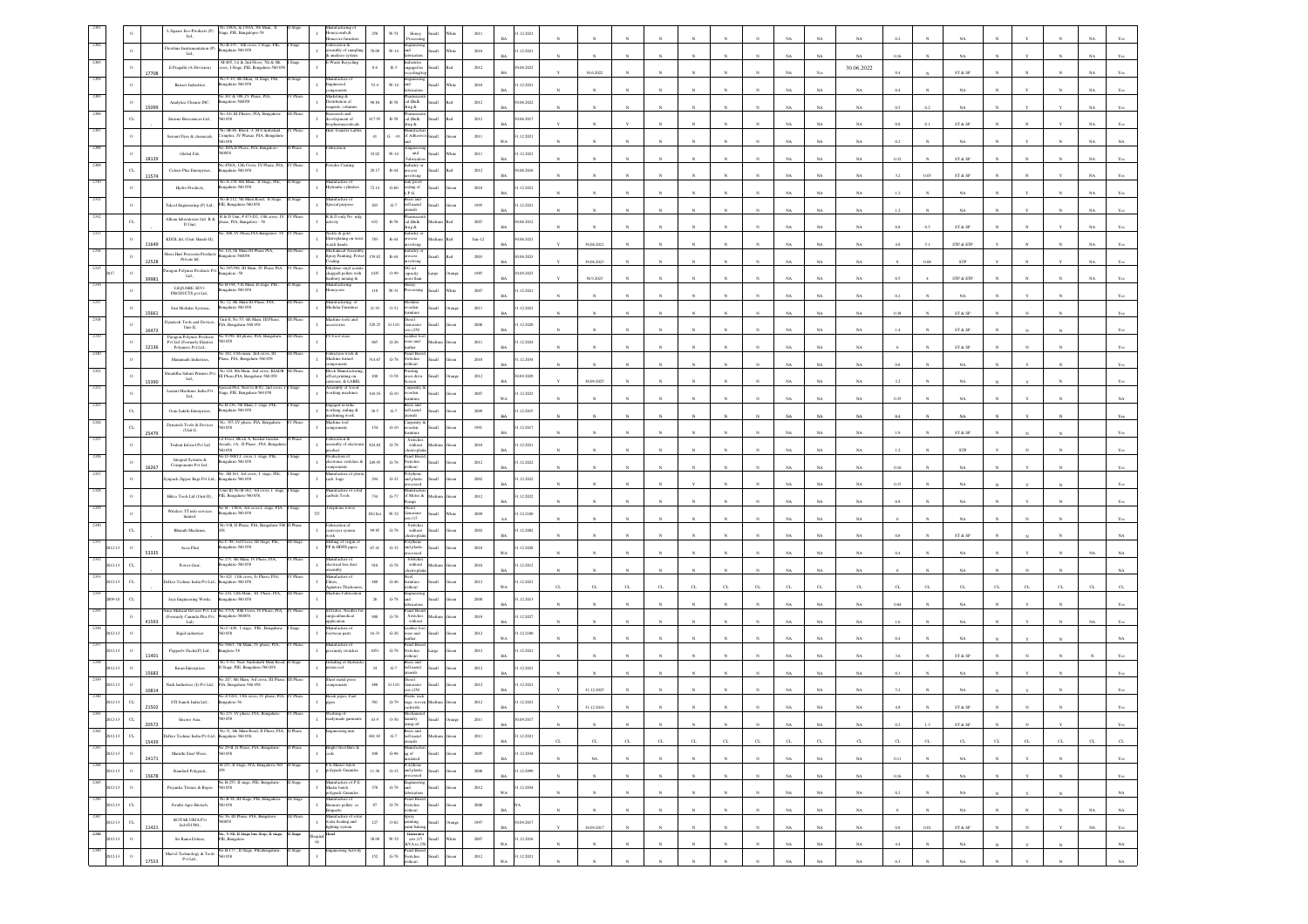|                     |              | L Square Eco-Products (P)<br>Ltd.,                                                                             | No.149/A, & 150/A, 5th Main, I<br>age, PIE, Bangalopre-58                                                                                                                   |              | eycomb.&<br>ore fumit                                                               | 250<br>$W - 51$                             | Hone                                                                                  |                | 201      | 1.12.2021                 |              |             |              |             |              |              |                       |                       |                                      |                       |              |                              |              |              |              |                                 |
|---------------------|--------------|----------------------------------------------------------------------------------------------------------------|-----------------------------------------------------------------------------------------------------------------------------------------------------------------------------|--------------|-------------------------------------------------------------------------------------|---------------------------------------------|---------------------------------------------------------------------------------------|----------------|----------|---------------------------|--------------|-------------|--------------|-------------|--------------|--------------|-----------------------|-----------------------|--------------------------------------|-----------------------|--------------|------------------------------|--------------|--------------|--------------|---------------------------------|
|                     |              | Flowline Instrumentation (P)<br>Ltd.,                                                                          | No.B-235, 6th cross, I Stage, PIE,<br>galaru-560 058                                                                                                                        | Stage        | abrication &<br>mbly of samp<br>analyser system                                     | 70.09<br>$W-14$                             |                                                                                       |                | $2010\,$ | 1.12.2021                 |              |             |              |             |              |              |                       |                       | NA                                   |                       |              |                              |              |              |              |                                 |
|                     | $\circ$      | $\to$ Pragathi (A-Devision)                                                                                    | 4-405, 1st & 2nd Floor, 7th & 8th<br>oss, I Stage, PIE, Bengaluru-5600                                                                                                      |              | aste Recycling                                                                      | $R-3$<br>$8.6\,$                            | ngaged in                                                                             | llam           | 2012     | 0.06.2022                 |              |             |              |             |              |              |                       |                       | 30.06.2022                           |                       |              |                              |              |              |              |                                 |
|                     |              | Bairavi Industries                                                                                             | io.V-45, 8th Mian, II Stage, PIE<br>galaru-560 058                                                                                                                          |              | latufacture of                                                                      | 53.4<br>$_{\rm W\text{-}14}$                |                                                                                       |                | $2010\,$ | RA<br>.12.2021            |              | 30.6.2022   |              |             |              |              |                       |                       |                                      | 0.4                   |              | ST & SP                      |              |              |              |                                 |
|                     |              |                                                                                                                | 307 & 308. IV Phase, PLA                                                                                                                                                    |              | igineered<br>imponents<br>farketing &                                               |                                             |                                                                                       |                |          |                           |              |             |              |             |              |              |                       |                       | NA                                   | 0.4                   |              | $_{\rm NA}$                  |              |              |              |                                 |
|                     |              | Analytica Chemie INC,<br>15099                                                                                 | sgalore-560058<br>.101,III Phasee, PIA, Bengalun                                                                                                                            | Phase        | <b>Nstribution</b> of<br>agents, colum<br>asearch and                               | 98.84<br>$\mathbb{R}\text{-}\mathrm{58}$    | cal (Bulk<br>sk sm                                                                    |                | 2012     | 1.06.2022                 |              |             |              |             |              |              |                       |                       | NA                                   | 0.5                   |              | NA                           |              |              |              |                                 |
|                     | CL           | Enzene Biosciences Ltd.,                                                                                       | 0058<br>o.3B-46, Block -3, M S Industrial                                                                                                                                   |              | levelopment of<br>orharmaceutical                                                   | 417.95<br>$R-58$                            | cal (Balk<br>$A$ sun                                                                  |                | 2012     | 0.06.2017<br>R            |              |             |              |             |              |              |                       |                       | NA<br>NA                             | 0.8                   | 0.1          | $\text{ST} \ \& \ \text{SP}$ |              |              |              |                                 |
|                     |              | Sawant Dyes & chemicals,                                                                                       | suplex, IV Phasae, PIA, Bengalur                                                                                                                                            |              | eat Transfer Lab                                                                    | $41\,$<br>$-91$                             | lanufac<br>f Adhes                                                                    |                | 2011     | 1.12.2021                 |              |             |              |             |              |              |                       |                       | NA<br>NA                             | 0.2                   |              | $_{\rm NA}$                  |              |              |              |                                 |
|                     | $\circ$      | Global Fab,<br>18129                                                                                           | o.10/A,II Phase, PIA, Bangalore<br>0058                                                                                                                                     |              |                                                                                     | 32.02<br>$W-14$                             | gneeru<br>and                                                                         |                | 2011     | 1.12.2021                 |              |             |              |             |              |              |                       |                       | NA                                   | 0.33                  |              | ST & SP                      |              |              |              |                                 |
|                     | CL           | Colour Plus Enterprises,                                                                                       | 5.450/A, 12th Cross, IV<br>ngalaru-560 058                                                                                                                                  |              | der Coatin                                                                          | 28.17<br>$R-44$                             | ocess                                                                                 |                | 2012     | 0.06.2016                 |              |             |              |             |              |              |                       |                       |                                      | 11                    | 0.OS         |                              |              |              |              |                                 |
|                     | $\circ$      | 11574<br>Hydro Products,                                                                                       | Vo A-270 6th Main II Stage PIE<br>galaru-560 058                                                                                                                            |              | nufacture o<br>lydraulic cylinder                                                   | 72.14<br>$_{\mathrm{G-60}}$                 | leak proof<br>testing of<br>L.P.G.                                                    |                | $2010\,$ | <b>BA</b><br>1.12.2021    |              |             |              |             |              |              |                       |                       | NA                                   |                       |              | $\text{ST} \ \& \ \text{SP}$ |              |              |              |                                 |
|                     |              |                                                                                                                | No.B-212, 5th Main Road, II Stage<br>PIE, Bengalaru-560 058                                                                                                                 |              | ufacture o<br>ecial purpose                                                         | $203\,$<br>$\mbox{G-7}$                     | Brass and<br>tell metal                                                               |                | 1995     | 1.12.2021                 |              |             |              |             |              |              |                       |                       | NA<br>NA                             |                       |              | $_{\rm NA}$                  |              |              |              | NA                              |
|                     |              | Tekcel Engineering (P) Ltd.,<br>Alkem laboratories Ltd R &                                                     | ≷ & D Unit, # 473-D2, 13th (                                                                                                                                                |              | : & D only No                                                                       |                                             | sils                                                                                  |                |          | R4                        |              |             |              |             |              |              |                       |                       | NA<br>NA                             | 12                    |              | NA                           |              |              |              |                                 |
|                     | $_{\rm{CL}}$ | ${\rm D}$ Unit,                                                                                                | phase, PIA, Bangalore - 58<br>o, 408, IV Phase, PIA Bangalore-                                                                                                              |              | tivity<br>$\mathbf{I}$<br>ückle & gold                                              | 632<br>R-58                                 | cal (Balk<br>ag &                                                                     |                | 2007     | 0.06.2012<br>RA           |              |             |              |             |              |              |                       |                       | NA<br>NA                             | 0.8                   | 0.5          | $\text{ST} \ \& \ \text{SP}$ |              |              |              |                                 |
|                     | $\,$ 0       | KDDL hd, (Unit: Hands-II),<br>11649                                                                            | o 124,7th Main III Phase PL                                                                                                                                                 |              | Ictroplating on :<br>atch hands<br>echanical A                                      | $783\,$<br>$_{\rm R-44}$                    | lving                                                                                 |                | $Jun-12$ | 0.06.2021                 |              | 30.06.2021  |              |             |              |              |                       |                       | NA<br>NA                             | 4.8                   |              | STP & ETP                    |              |              |              |                                 |
|                     | $\circ$      | ihree Hari Precision Product<br>Private Itd.<br>12528                                                          | ngalore-560058                                                                                                                                                              |              | pray Painting, Power<br>snitu                                                       | 159.82<br>$R - 44$                          | cess<br>dein                                                                          | llam<br>h.     | 2003     | 30.06.2023<br>RA          |              | 30.06.2023  |              |             |              |              |                       |                       | NA<br>NA                             |                       | 0.08         | <b>STP</b>                   |              |              |              |                                 |
|                     | $\theta$     | aragon Polymer Products Pvt<br>Ltd.,<br>39981                                                                  | No.397/398, III Main, IV Phase PIA<br>sgalore - 58                                                                                                                          | Phase        | thylene vinyl aceta<br>happell pellets with<br>anbury mixing &                      | 1435<br>0.99                                | DG set<br>apacity<br>tore than                                                        |                | $1985\,$ | 0.09.2023<br><b>BA</b>    |              | 30.9.2023   |              |             |              |              |                       |                       |                                      |                       |              | ${\rm STP}$ & ${\rm ETP}$    |              |              |              |                                 |
|                     |              | ${\tt LSQUARE}$ ${\tt ECO-}$<br>PRODUCTS pvt Ltd,.                                                             | o B-194, 5 th Main, II<br>sgalaru-560 058                                                                                                                                   |              | neycore                                                                             | $^{\rm 118}$<br>W.51                        |                                                                                       |                | $2007\,$ | .12.2021                  |              |             |              |             |              |              |                       |                       | NA                                   | 0.2                   |              |                              |              |              |              |                                 |
|                     | $\alpha$     | Sun Modular Systems,                                                                                           | io 72, 4th Main III Phase, PIA,<br>ngalaru-560 058                                                                                                                          |              | ufacturing of<br>dodular Furniture                                                  | 21.93<br>$0 - 51$                           | ooden                                                                                 |                | 2011     | 1.12.2021                 |              |             |              |             |              |              |                       |                       | NA                                   |                       |              | NA                           |              |              |              |                                 |
|                     | $\circ$      | 15661<br>$\begin{minipage}{.4\linewidth} \textbf{Dynated Tools and Devices}, \textbf{Unit-II}, \end{minipage}$ | Unit-II, No 55, 4th Main, III Phase<br>PIA, Bengaluru-560 058                                                                                                               |              | achine tools an<br>sories                                                           | 329.25<br>$G-110$                           | esel<br>nerator                                                                       |                | $2006\,$ | 1.12.2020                 |              |             |              |             |              |              |                       |                       | $_{\rm NA}$                          | 0.38                  |              | ST & SP                      |              |              |              |                                 |
|                     |              | 16472<br>Paragon Polymer Produc                                                                                | o 97/98. III phase, PIA, Bengalu<br>0 058                                                                                                                                   |              | Foot wes                                                                            |                                             | (250)                                                                                 |                |          |                           |              |             |              |             |              |              |                       |                       | NA<br>NA                             |                       |              | $\text{ST} \ \& \ \text{SP}$ |              |              |              |                                 |
|                     | $\circ$      | Pvt Ltd (Formerly Elastrex<br>12136<br>Polymers Pvt Ltd.,                                                      | lo 242, 11th main, 2nd cross, Il                                                                                                                                            |              | iction work                                                                         | 665<br>$G-26$                               | vear and<br>ther<br>anel Be                                                           |                | 2011     | 1.12.2024<br><b>BA</b>    |              |             |              |             |              |              |                       | NA                    | $_{\rm NA}$<br>NA                    |                       |              | ST & SP                      |              |              |              |                                 |
|                     |              | Manjunath Industries,                                                                                          | Phase, PIA, Bengaluru-560 058<br>No 224, 8th Main, 2nd cross, KIADB                                                                                                         | <b>Phase</b> | dachine turned<br>lock Manufactur                                                   | 314.67<br>$G-78$                            | switches<br>inting                                                                    |                | 2010     | 31.12.2034                |              |             |              |             |              |              |                       |                       | NA<br>NA                             | 0.8                   |              | NA                           |              |              |              |                                 |
|                     | $\,$ 0       | Ltd.<br>15390                                                                                                  | $\begin{minipage}{.4\linewidth} \textbf{Shraddha Saburi Pviners Pvt} & \begin{minipage}{.4\linewidth} \textbf{N0 Zon, 8mm, and 5mm, 560 058 \end{minipage}} \end{minipage}$ |              | <b>Tset printing on</b><br>rtoons, & LABEL                                          | 100<br>$0 - 58$                             | ess &/or                                                                              |                | 2012     | 1.09.2029<br><b>BA</b>    |              | 30.09.2025  |              |             |              |              |                       |                       | NA                                   |                       |              | NA                           |              |              |              |                                 |
|                     | $\,$ 0       | Lazzari Machines India Pvt<br>Ltd.                                                                             | oecial Plot, Next to B-82, 2nd cr<br>age, PIE, Bengaluru-560 058                                                                                                            |              | ssembly of wood<br>rorking machines                                                 | $G-10$<br>144.16                            | rpentry<br>oden                                                                       |                | 2007     | 1.12.2022<br>WA           |              |             |              |             |              |              |                       |                       | NA<br>NA                             | 0.35                  |              | NA                           |              |              |              |                                 |
|                     | $_{\rm{CL}}$ | Oom Sakthi Enterprises,                                                                                        | o.B-236, 5th Main, I<br>ngaluru-560 058                                                                                                                                     |              | agaged in lathe<br>vorking, miling &<br>nachining work                              | 38.5<br>$\mbox{G-7}$                        | bell metal<br>utensils                                                                |                | 2009     | 1.12.2015                 |              |             |              |             |              |              |                       |                       | NA                                   | 0.4                   |              | NA                           |              |              |              |                                 |
|                     | $_{\rm{CL}}$ | Dynatech Tools & Devices<br>$(Lhist-I)$                                                                        | No. 355, IV phase, PIA, Bengaluru-<br>058                                                                                                                                   | V Phase      | dachine tool<br><i>aponents</i>                                                     | $154\,$<br>$_{\mathrm{G-10}}$               | Carpentry<br>vooden                                                                   |                | 1991     | 1.12.2017                 |              |             |              |             |              |              |                       |                       |                                      |                       |              |                              |              |              |              |                                 |
|                     | $\circ$      | 25479<br>Trident Infosol Pvt Ltd                                                                               | Floor, Block A, Kushal Garder<br>rcade, IA. II Phase . PIA .Bengal                                                                                                          |              | ication &<br>sembly of electr                                                       | $G-78$<br>824.84                            | iturc<br>Switcher<br>without                                                          |                | 2010     | 1.12.2021                 |              |             |              |             |              |              |                       |                       | NA<br>NA                             | 1.8                   |              | ST & SP                      |              |              |              |                                 |
|                     |              |                                                                                                                | 0058<br>io D-388/1,1 cross, I stage, PIE,<br>820 032-analage                                                                                                                |              | oduct<br>oduction of<br>lectronic switches &                                        |                                             | trondo<br>anel Boar                                                                   |                |          | RA                        |              |             |              |             |              |              |                       |                       | NA<br>NA                             | 12                    |              | <b>STP</b>                   |              |              |              |                                 |
|                     | $\,$ o       | $\begin{array}{c} \mbox{Integral Systems & \\ \mbox{Components Put Lid.} \end{array}$<br>16267                 | No. SB 161, 3rd cross, I stage, PIE                                                                                                                                         |              | aanufacture of                                                                      | $\mbox{G-}78$<br>249.9                      | switches<br>vithout<br>cevillacne                                                     |                | $2012\,$ | 1.12.2022                 |              |             |              |             |              |              |                       |                       | NA<br>NA                             | 0.16                  |              | $_{\rm NA}$                  |              |              |              |                                 |
|                     | $\,$ 0       | ynpack Zipper Bags Pvt Ltd,                                                                                    | ngalaru-560 058<br>hit-II) No.B-162, 3rd cross, 1 stage                                                                                                                     |              | ack bags<br>nufacture of s                                                          | $_{\mathrm{G-32}}$<br>294                   | nd plastic<br>ssed                                                                    | <b>Illam</b>   | $2002\,$ | 1.12.2022                 |              |             |              |             |              |              |                       |                       | NA                                   | 0.15                  |              | NA                           |              |              |              |                                 |
|                     | $\circ$      | Hittco Tools Ltd (Unit-II).,                                                                                   | PIE, Bengalaru-560 058,<br>éo B - 130/A, 3rd cross,I stage, PIA                                                                                                             |              | arbide Tools<br>lephone towe                                                        | $G-77$<br>734                               | of Motor &<br>icid                                                                    |                | 2012     | 1.12.2022<br>R            |              |             |              |             |              |              |                       |                       | NA<br>NA                             | 0.8                   |              | NA                           |              |              |              |                                 |
|                     |              | $\label{thm:2} \begin{aligned} \text{Wireless TT info services} \\ \text{limited.} \end{aligned}$              | sgalaru-560 058                                                                                                                                                             |              | TT                                                                                  | DG Set<br>$_{\rm W-52}$                     | $frac{1}{28}$ (15                                                                     |                | $2009\,$ | .12.2100                  |              |             |              |             |              |              |                       |                       | NA<br>NA                             |                       |              | $_{\rm NA}$                  |              |              |              |                                 |
|                     |              | Bharath Machines,                                                                                              | o 9-B, II Phase, PIA, Bengaluru                                                                                                                                             |              | brication of<br>veyor system<br>ork                                                 | 99.85<br>$_{\mathrm{G-78}}$                 | Switches<br>without<br>ctroph                                                         |                | 2002     | 1.12.2002                 |              |             |              |             |              |              |                       |                       | NA<br>NA                             | 0.8                   |              | ST & SP                      |              |              |              |                                 |
| $12 - 12$           | $\,$ 0       | Accu Plast<br>53335                                                                                            | C-98, 3rd Cross, III Stage, PIE,<br>sgalaru-560 058                                                                                                                         |              | delting of virgin<br>P & HDPE pipes                                                 | 67.41<br>$G-32$                             | olythene<br>and plastic                                                               | Hom            | 2018     | 1.12.2028<br>WA           |              |             |              |             |              |              |                       |                       | NA<br>NA                             | 0.4                   |              | $_{\rm NA}$                  |              |              |              |                                 |
|                     | $_{\rm{CL}}$ | Power Gear,                                                                                                    | 275, 4th Main, IV Phase, PIA<br>galaru-560 058                                                                                                                              |              | nufacture o<br>ectrical bus duct                                                    | 910<br>$\mbox{G-}78$                        | Switches<br>without                                                                   |                | 2010     | 1.12.2012                 |              |             |              |             |              |              |                       |                       |                                      |                       |              |                              |              |              |              |                                 |
| $12 - 13$           | $\alpha$     | Delkor Technic India Pvt Ltd.                                                                                  | No.421 11th cross, Iv Phase, PIA<br>ngalaru-560 058                                                                                                                         |              | nufacture of<br>ilters,                                                             | $48\!\pm\!$<br>$G-46$                       | ctroph<br>niture                                                                      |                | 2012     | 1.12.2021                 |              |             |              |             |              |              |                       |                       | NA<br>NA                             |                       |              | $_{\rm NA}$                  |              |              |              |                                 |
| 09.10               | $_{\rm{CL}}$ | Jaya Engineering Works,                                                                                        | o.234, 12th Main, 111<br>ngalaru-560 058                                                                                                                                    |              | tators, Thicker<br>ine Fab                                                          | $G-78$<br>26                                | thout                                                                                 |                | 2008     | 1.12.2013                 |              |             |              |             | CL.          | CL           |                       |                       | $\sigma$                             |                       |              | C                            |              |              |              |                                 |
|                     |              |                                                                                                                | Ausa Medical Devices Pvt. Ltd No.375A, 10th Cross, IV Phase, PIA                                                                                                            |              | STubes, Needk                                                                       |                                             | and Boa                                                                               |                |          | B                         |              |             |              |             |              |              |                       |                       | NA                                   | 0.6                   |              | NA                           |              |              |              |                                 |
|                     | $\circ$      | (Formerly Cannula Plus Pvt<br>41593<br>Ltd)                                                                    | ngaluru-560058.<br>o.C-449, 1 stage,                                                                                                                                        |              | urgical/medical<br>plication<br>ifacture                                            | 900<br>$\operatorname{G-78}$                | Switches<br>without                                                                   |                | $2018\,$ | .12.2027                  |              |             |              |             |              |              |                       |                       | NA                                   |                       |              | $_{\rm NA}$                  |              |              |              |                                 |
|                     |              | Rigid industries                                                                                               | 0058<br>o.546/1, 7th Main, IV phase, PIA,                                                                                                                                   | IV Phase     | owcar parts<br>anufacture of                                                        | 16.33<br>$G-26$                             | vear and<br>ther.<br>anel Boar                                                        |                | 2012     | 1.12.2100<br>W a          |              |             |              |             |              |              |                       |                       | NA                                   |                       |              | NA                           |              |              |              |                                 |
|                     |              | Pepperl+ Fuchs(P) Ltd.,<br>11401                                                                               | splore-58                                                                                                                                                                   |              | simity switches                                                                     | $1051\,$<br>$\mbox{G-}78$                   | s<br>without                                                                          |                | $2012\,$ | 1.12.2021                 |              |             |              |             |              |              |                       |                       | NA<br>NA                             |                       |              | $\text{ST} \ \& \ \text{SP}$ |              |              |              |                                 |
|                     |              | Kiran Enterprises<br>15683                                                                                     | io.V-61. Near Andrahalli Main Roa<br>Stage, PIE, Bengaluru-560 058                                                                                                          |              | nding of Hy<br>ton rod                                                              | $_{\mathrm{G-7}}$<br>34                     | ell metal<br>nsils                                                                    |                | $2012\,$ | 1.12.2021                 |              |             |              |             |              |              |                       |                       | NA<br>NA                             |                       |              | NA                           |              |              |              |                                 |
| 012-13              |              | Nash Industries (I) Pvt Ltd,<br>10814                                                                          | No.247, 8th Main, 3rd cross, III Pha<br>PIA, Bengaluru-560 058                                                                                                              |              | theet metal press<br>mponents                                                       | $48\!\pm\!$<br>$G-110$                      | esel<br>enerator<br>(250)                                                             |                | 2012     | 1.12.2021                 |              | 11.12.2025  |              |             |              |              |                       |                       | NA.                                  |                       |              |                              |              |              |              |                                 |
| 1012-13             | $_{\rm{CL}}$ | STI Sanoh India Ltd.,                                                                                          | io.471/D1, 13th cross, IV phase, PIA,<br>agalore-56                                                                                                                         | V Phase      | leeak pipes, Fue                                                                    | 581<br>$\mbox{G-}79$                        | lastic sack<br>azs, wo                                                                |                | 2012     | 1.12.2021                 |              |             |              |             |              |              |                       |                       |                                      |                       |              |                              |              |              |              |                                 |
| $12 - 13$           | $_{\rm{CL}}$ | 21502<br>Encore Asia,                                                                                          | No.271, IV phase, PIA, Be<br>058                                                                                                                                            |              | ashing o<br>dymade gar                                                              | 43.9<br>0.50                                | kwith<br>mdry                                                                         |                | 201      | <b>BA</b><br>09.2017      |              | 31.12.201   |              |             |              |              |                       |                       |                                      |                       |              | ST & SP                      |              |              |              |                                 |
| 2342<br>$2012 - 13$ | ${\rm CL}$   | 20572<br>Delkor Technic India Pvt Ltd., Bengaluru-560 058,                                                     | io.31, 6th Main Road, II Phase, PIA, II Phase                                                                                                                               |              | erîng uni                                                                           | 601.83<br>${\bf G}\mbox{-}\!\boldsymbol{7}$ | ine oil<br>Brass and<br>bell metal<br>utensils                                        |                | 2011     | <b>BA</b><br>31.12.2021   |              |             |              |             |              |              |                       | NA                    | NA.<br>NA.                           |                       |              | ST & SP                      |              |              |              | Yes                             |
| 2343                |              | 15439                                                                                                          | io 29-B, Il Phase, PIA, Bengaluru-                                                                                                                                          | II Phase     | <b>Sright Steel Bars &amp;</b>                                                      |                                             | Manufactu                                                                             |                |          | <b>BA</b>                 | $_{\rm{CL}}$ | $_{\rm CL}$ | $_{\rm CL}$  | $_{\rm CL}$ | $_{\rm CL}$  | $_{\rm CL}$  | $_{\mathrm{CL}}$      | $_{\mbox{\tiny{CL}}}$ | $_{\rm CL}$<br>$_{\mbox{\tiny{CL}}}$ | $_{\mbox{\tiny{CL}}}$ | $_{\rm CL}$  | $_{\rm{CL}}$                 | $\alpha$     | $_{\rm CL}$  | $_{\rm{CL}}$ | $_{\rm CL}$<br>$_{\mathrm{CL}}$ |
| 2012-13<br>2344     | $\,$ $\,$    | Maruthi Steel Wires.,<br>24171                                                                                 | 0058<br>3-255, II Stage, PIA, Bengaluru-56                                                                                                                                  |              | $\mathbf{1}$                                                                        | $108\,$                                     | $\begin{tabular}{cc} G-96 & ng of & \\ & insulated \end{tabular}$                     | Small          | $2005\,$ | 31.12.2034<br>BA          |              | $_{\rm NA}$ |              |             |              |              |                       | $_{\rm NA}$           | $_{\rm NA}$<br>$_{\rm NA}$           | $0.11\,$              |              | $_{\rm NA}$                  |              |              | $_{\rm N}$   | $_{\rm Yes}$                    |
| 2012-13<br>2345     | $\alpha$     | Standard Polypack,<br>15678                                                                                    | vo B-255, II stage, PIE, Bengaluru                                                                                                                                          |              | <sup>9</sup> E Master batch<br>101ypack Granules<br>$\mathbf{I}$<br>anufacture of F | 11.36                                       | $\begin{tabular}{ll} \bf{Poly} the \\ \bf{G-32} & and plasticprocessed \end{tabular}$ | Small<br>ireen | 2006     | 31.12.2099<br><b>BA</b>   | $\mathbb{N}$ | N           | $_{\rm N}$   |             | $_{\rm N}$   | $_{\rm N}$   | $_{\rm N}$            | NA                    | NA<br>NA                             | 0.16                  | N            | NA                           | $\mathbf{N}$ | $\mathbf{v}$ | N            | Yes                             |
| 2012-13             | $\,$ 0 $\,$  | Priyanka Twines & Ropes                                                                                        | 0058                                                                                                                                                                        |              | Master batch<br>Hypack Granule                                                      | 378<br>$\operatorname{G-78}$                | Engi<br>and                                                                           | Small          | 2012     | 31.12.2034<br>$_{\rm WA}$ |              | $_{\rm N}$  | $\mathbf{N}$ |             | $\mathbf{N}$ | $\bar{N}$    | $\mathbf{N}$          | $_{\rm NA}$           | $_{\rm NA}$<br>$_{\rm NA}$           | $\rm 0.2$             | $\mathbf{N}$ | $_{\rm NA}$                  |              |              |              | $_{\rm NA}$                     |
| 2346<br>2012-13     | $_{\rm{CL}}$ | Swathi Agro Biotech,                                                                                           | No B-38, III Stage, PIE, Bengalaru-<br>0058                                                                                                                                 | III Stage    | anufacture of<br>omass pellets or<br>iquette                                        | $^{\rm 87}$<br>$\operatorname{G-78}$        | Panel Board,<br>Switches<br>without                                                   | Small          | $2000\,$ | BA                        |              | $_{\rm N}$  |              |             |              |              | $\mathbf{N}$          | $_{\rm NA}$           | $_{\rm NA}$<br>$_{\rm NA}$           |                       |              | $_{\rm NA}$                  |              |              |              | $_{\rm NA}$<br>$_{\rm NA}$      |
| 2347<br>2012-13     | $_{\rm{CL}}$ | KOTAK URJA Pvt<br>Lt4+D1580.,<br>11421                                                                         | vo 56, III Phase, PIA, Bangalore<br>0058                                                                                                                                    |              | anufacture of so<br>rater heating and<br>$\mathbf{I}$<br>thting system              | $127\,$<br>$0 - 62$                         | Spray<br>painting,<br>aint bakis                                                      | Small<br>trano | 1997     | 30.09.2017<br><b>BA</b>   |              | 30.09.2017  | $\mathbf{x}$ |             | $\mathbf{N}$ | $\mathbf{N}$ | $\boldsymbol{\kappa}$ | NA                    | NA<br>NA                             | 0.8                   | 0.01         | ST & SP                      |              |              |              | Yes<br>NA                       |
| 2348<br>2012-13     | $\,$ 0       | Sri Rama Deluxe,                                                                                               | No. V-88, II Stage bus Stop, II stage,<br>PIE, Bangalore                                                                                                                    | II Stage     | ity                                                                                 | 38.09<br><b>W-52</b>                        | Generator<br>sets (15<br>KVA to 250                                                   | Small          | $2007\,$ | 1.12.2016                 |              |             | $\mathbf{v}$ |             |              |              |                       |                       |                                      |                       | $\mathbf{N}$ |                              |              |              |              |                                 |
| 2349<br>2012-13     | $\,$ $\,$    | Marvel Technology & Tools                                                                                      | No B-177, II Stage, PIE, Bengaluru-                                                                                                                                         | II Stage     | agineering Activit                                                                  | $152\,$<br>$\,$ G-78 $\,$                   | Panel Board,<br>Switches                                                              |                | $2012\,$ | <b>WA</b><br>1.12.2021    |              | $_{\rm N}$  |              |             | $\mathbf{N}$ | $\mathbf{N}$ | $\mathbf{N}$          | $_{\rm NA}$           | $_{\rm NA}$<br>$_{\rm NA}$           | $4.4\,$               |              | $_{\rm NA}$                  |              |              |              | $_{\rm NA}$                     |
|                     |              | Pvt Ltd.,                                                                                                      |                                                                                                                                                                             |              |                                                                                     |                                             | thout                                                                                 |                |          | WA                        |              |             |              |             |              |              |                       | NA                    | NA<br>$_{\rm NA}$                    | $0.3\,$               |              | $_{\rm NA}$                  |              |              |              | $_{\rm NA}$                     |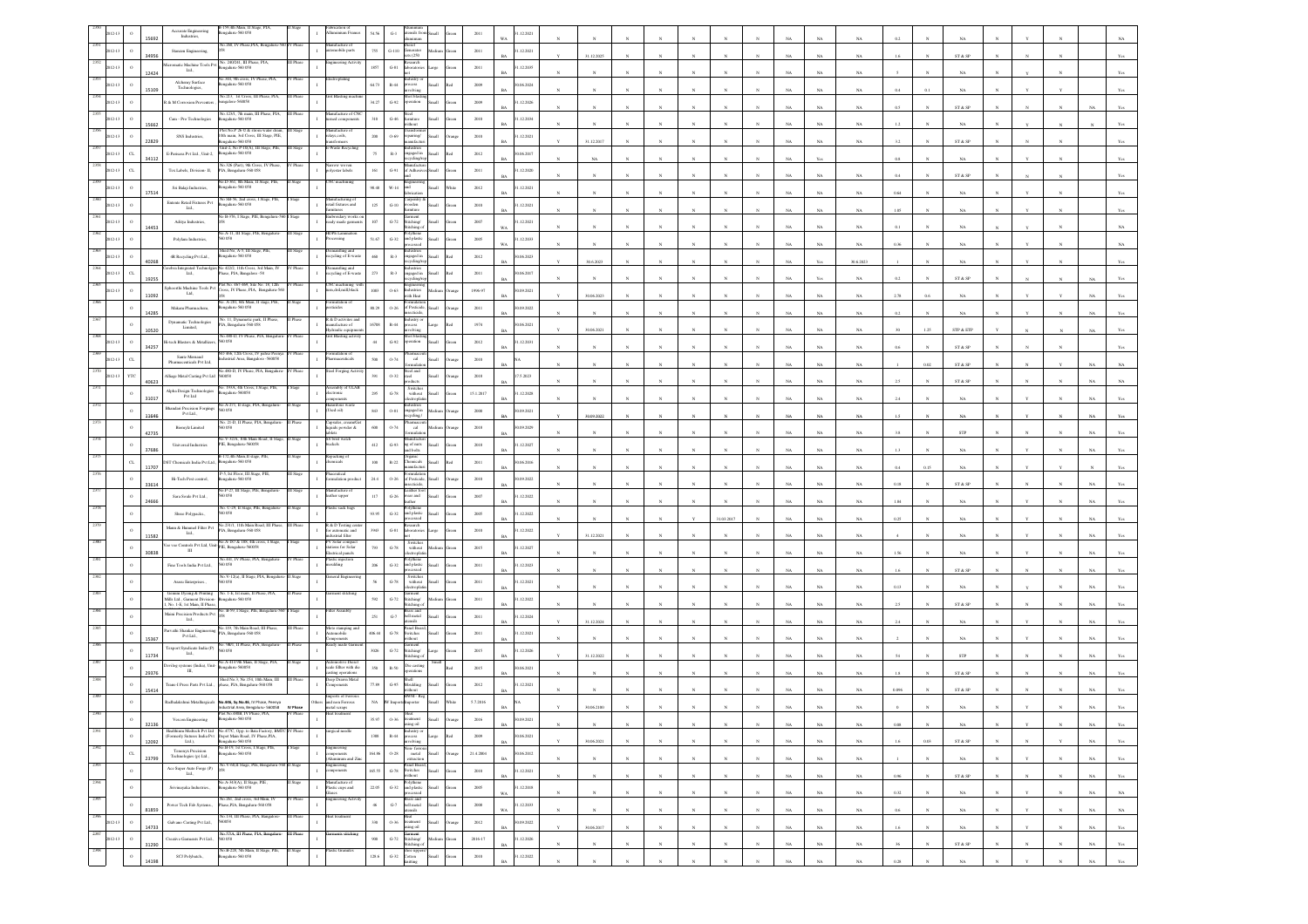|                 |             | 5692  | Accurate Engineering<br>Industries,                                                                                          | 159,4th Main, II Stage,<br>1galuru-560 058                                                                   |                  |                                                            |                        |                        |                                                                                                                                                                  |               | 2011        | .12.2021                 |              |                       |              |              |                            |              |             |                |             |         |           |                         |            |              |             |                |
|-----------------|-------------|-------|------------------------------------------------------------------------------------------------------------------------------|--------------------------------------------------------------------------------------------------------------|------------------|------------------------------------------------------------|------------------------|------------------------|------------------------------------------------------------------------------------------------------------------------------------------------------------------|---------------|-------------|--------------------------|--------------|-----------------------|--------------|--------------|----------------------------|--------------|-------------|----------------|-------------|---------|-----------|-------------------------|------------|--------------|-------------|----------------|
|                 |             |       | Stanzen Engineering,                                                                                                         | a 260, IV Phase, PIA, Bengaluru                                                                              |                  | ifacture o<br>omobile parts                                | 755                    | $G-110$                | enerator<br>s(250)                                                                                                                                               |               | 2011        | 1.12.2021                |              |                       |              |              |                            |              |             |                |             |         |           |                         |            |              |             |                |
|                 |             | 3495  | cromatic Machine Tools Pvt<br>Ltd.,                                                                                          | No. 240/241, III Phase, PIA<br>galaru-560 058                                                                |                  | gineering Acti                                             | 1857                   | $_{\mathrm{G-S1}}$     | search                                                                                                                                                           | arge          | $2011\,$    | .12.2035                 | 31.12.2025   |                       |              |              |                            |              |             | NA             | $_{\rm NA}$ |         |           | ST & SP                 |            |              |             |                |
|                 |             | 12424 | Alchemy Surface                                                                                                              | .344, 9th cross, IV Phase, PIA,<br>ngalaru-560 058                                                           |                  | troplating                                                 | 64.73                  | $\mathbb{R}\text{-}44$ | <b>cess</b>                                                                                                                                                      | llam          | 2009        | 0.06.2024                |              |                       |              |              |                            |              |             | NA             | NA          |         |           |                         |            |              |             |                |
|                 |             | 15109 | Technologies,<br>8 & M Corrosion Preventers                                                                                  | a.213, 1st Cross, 1<br>ngalore-560058                                                                        |                  | <b>Blasting</b>                                            | 34.27                  | $G-92$                 | olving<br>ration                                                                                                                                                 |               | 2009        | RA<br>1.12.2026          |              |                       |              |              |                            |              |             | NA             | NA          | 0.4     |           | NA                      |            |              |             |                |
|                 |             |       | Cam - Pro Technologies                                                                                                       | No.123/1, 7th main, III Phase, PIA,<br>galaru-560 058                                                        | <b>III</b> Phase | lanufacture of CN<br>uned components                       | 310                    | $_{\mathrm{G-46}}$     |                                                                                                                                                                  |               | 2010        | .12.2034                 |              |                       |              |              |                            |              |             | NA             | $_{\rm NA}$ | 0.5     |           | ST & SP                 |            |              |             |                |
|                 |             | 15662 |                                                                                                                              | Plot No.P 26 © & strom water drain                                                                           |                  |                                                            |                        |                        |                                                                                                                                                                  |               |             |                          |              |                       |              |              |                            |              |             | NA             | NA          |         |           | NA                      |            |              |             |                |
|                 |             | 22829 | SNS Industries,                                                                                                              | 10th main, 3rd Cross, III Stage, PIE,<br>820 032-analasa<br>Unit-2, No P-10(A), III Stage, PIE,              |                  | elays.coils,<br><i>isformers</i><br>Waste Recy             | 200                    | $0 - 69$               | pairing/                                                                                                                                                         |               | 2010        | .12.2021<br>RA           | 31.12.2017   |                       |              |              |                            |              |             | NA             | NA          | 3.2     |           | ST & SP                 |            |              |             |                |
|                 | $\alpha$    | 34112 | E-Parisara Pvt Ltd., Unit-2,                                                                                                 | ngalaru-560 058<br>No.326 (Part), 9th Cross, I                                                               |                  |                                                            | 75                     | $\mathbb{R}\text{-}3$  | saed in                                                                                                                                                          |               | $2012\,$    | 1.06.2017                | NA           |                       |              |              |                            |              |             | Yes            |             | 0.8     |           | $_{\rm NA}$             |            |              |             |                |
|                 | $\alpha$    |       | Tex Labels, Division- II,                                                                                                    | PIA, Bengaluru-560 058<br>o.D-361, 8th Main, II Stage, PIE,                                                  |                  | rrow woven<br>lyester labels<br>C machinin                 | $161\,$                | $_{\mathrm{G-91}}$     |                                                                                                                                                                  |               | $2011\,$    | .12.2020                 |              |                       |              |              |                            |              |             | NA             | NA          |         |           | ST & SP                 |            |              |             |                |
|                 |             | 17514 | Sri Balaji Industries,                                                                                                       | 820 032-analage:<br>No SB-56, 2nd cross, I Stage, PII                                                        |                  | lanufacturing o                                            | 98.48                  | W-14                   | aroentry                                                                                                                                                         |               | 2012        | .12.2021                 |              |                       |              |              |                            |              |             | NA             | NA          | 0.64    |           | NA                      |            |              |             |                |
|                 |             |       | Entente Retail Fixtures Pvt<br>Ltd.,                                                                                         | ngalaru-560 058                                                                                              |                  | tail fixtures and                                          | $125\,$                | $_{\mathrm{G-10}}$     | oden                                                                                                                                                             |               | 2010        | .12.2021                 |              |                       |              |              |                            |              |             | NA             | $_{\rm NA}$ | 1.05    |           | $_{\rm NA}$             |            |              |             |                |
|                 |             | 14453 | Aditya Industries,                                                                                                           | éo B-376, I Stage, PIE, Be                                                                                   |                  | nbroidary wee<br>ady made gami                             | $107\,$                | $\operatorname{G-72}$  | ment<br>titching/<br>itching                                                                                                                                     |               | 2007        | .12.2021                 |              |                       |              |              |                            |              |             | NA             | NA          |         |           | NA                      |            |              |             |                |
|                 |             |       | Polylam Industries,                                                                                                          | o.A-11, III Stage, PIE, Bengalure<br>0058                                                                    |                  | DPE Lamin<br>seessing                                      | 51.67                  | $_{\mathrm{G-32}}$     | and plastic<br>ood                                                                                                                                               | <b>Ham</b>    | 2005        | .12.2033<br>WA           |              |                       |              |              |                            |              |             | NA             | $_{\rm NA}$ | 0.36    |           | NA                      |            |              |             |                |
|                 |             | 40268 | 4R Recycling Pvt Ltd.,                                                                                                       | hed No, A-5, III Stage, PIE,<br>galaru-560 058                                                               |                  | mantling and<br>yeling of E-waste                          | 460                    | $\mathbb{R}\text{-}3$  | dustrier<br>gaged in                                                                                                                                             |               | 2012        | 06.2023                  | 30.6.2023    |                       |              |              |                            |              |             | $\mathbf{Yes}$ | 30.6.2023   |         |           | $_{\rm NA}$             |            |              |             |                |
|                 | $C$ L       | 19255 | bra Integrated Technoly<br>Ltd.,                                                                                             | No 422/2, 11th Cross, 3rd Main, I<br>tase, PIA, Bangalore -58                                                |                  | cycling of E-waste                                         | 273                    | $_{\rm R-3}$           | ugaged in<br>dines                                                                                                                                               |               | 2011        | 0.06.2017                |              |                       |              |              |                            |              |             | Yes            | NA          |         |           | ST & SP                 |            |              |             |                |
|                 | $\circ$     |       | phoorthi Machine Tools Pv<br>$\mathbf{L}\mathbf{d},$                                                                         | ot No. 467-469, Site No. 18, 12th<br>ross, IV Phase, PIA, Bengaluru-56                                       |                  | (C mach<br>rn.dril.mill.black                              | 1083                   | $0 - 63$               | dustries                                                                                                                                                         |               | 1996-97     | 0.09.2021                |              |                       |              |              |                            |              |             |                |             |         |           |                         |            |              |             |                |
|                 |             | 11092 | Makam Pharmachem,                                                                                                            | 40. A-281, 6th Main, II stage, PIE,<br>sgalaru-560 058                                                       |                  | sticides                                                   | 80.29                  | $0 - 26$               | ith Hea<br>f Pesticid                                                                                                                                            |               | $2011\,$    | 0.09.2022                | 30.06.2023   |                       |              |              |                            |              |             | NA             | $_{\rm NA}$ | 2.78    | 0.6       | NA                      |            |              |             |                |
|                 |             | 14285 | Dynamatic Technologies                                                                                                       | No. 11, Dynametic park, II Pha<br>'IA, Bengaluru-560 058                                                     |                  | & D activites<br>nufacture of                              | 16708                  | $R - 44$               | cess                                                                                                                                                             |               | 1974        | 0.06.2021                |              |                       |              |              |                            |              |             | NA             | NA          | 0.2     |           | NA                      |            |              |             |                |
|                 |             | 10520 | Limited,<br>i-tech Blasters & Metallizers                                                                                    | No.480-D, IV Phase, PIA, Bengalus<br>50058                                                                   | Phase            | ydraulic equi<br>rit Blasting ac                           | 44                     |                        | dvin                                                                                                                                                             |               |             |                          | 30.06.2021   |                       |              |              |                            |              |             | NA             | NA          |         | 1.25      | STP & ETP               |            |              |             |                |
|                 |             | 34257 | Sante Mernaud                                                                                                                | O 466, 12th Cross, IV palse Peen<br>adustrial Area, Bangalore -560058                                        |                  |                                                            |                        | $\mbox{G-}92$          |                                                                                                                                                                  |               | 2012        | .12.2031                 |              |                       |              |              |                            |              | NA          | NA             | $_{\rm NA}$ | 0.6     |           | ${\rm ST}$ & ${\rm SP}$ |            |              |             |                |
|                 |             |       | Pharmaceuticals Pvt Ltd.                                                                                                     | 0.480-D, IV Phase, PIA, Beng                                                                                 |                  | centicals<br>Forging                                       | 500                    | 0.74                   | cal                                                                                                                                                              |               | $2010\,$    |                          |              |                       |              |              |                            |              |             | NA             | NA          |         | 0.02      | ST & SP                 |            |              |             |                |
|                 |             | 40623 | Alliage Metal Casting Pvt Ltd 560058<br>Alpha Design Technologies                                                            | 40. 193A, 4th Cross, I Stare, PIE.                                                                           |                  | embly of ULAE                                              | 391                    | $0 - 32$               | teel<br>Switcher                                                                                                                                                 |               | 2018        | 7.5.2023                 |              |                       |              |              |                            |              |             | NA             | NA.         |         |           | ST & SP                 |            |              |             |                |
|                 |             | 31017 | Pvt Ltd                                                                                                                      | galaru-560058<br>io.A-271, II stage, PIA, I                                                                  |                  | ctronic<br>zardous v                                       | 295                    | $G-78$                 | without                                                                                                                                                          |               | 15.1.2017   | .12.2028                 |              |                       |              |              |                            |              |             | NA             | NA          |         |           |                         |            |              |             |                |
|                 |             | 11646 | handari Precision Forgings<br>Pyt Ltd.,                                                                                      | 0058<br>No. 21-D, II Phase, PIA, Bengalur                                                                    |                  | (lio bol.<br>apsules, cream/C                              | $\bf 843$              | $0.81\,$               | ngaged in<br>cling.                                                                                                                                              |               | $2000\,$    | 0.09.2021                | 30.09.2022   |                       |              |              |                            |              |             | NA             | NA          |         |           | NA                      |            |              |             |                |
|                 |             | 42735 | Biomylz Limited                                                                                                              | 50 058<br>No.V-32/A, 10th Main Road, II Stag                                                                 |                  | iquids powder &                                            | 600                    | 0.74                   | cal                                                                                                                                                              |               | 2018        | 0.09.2029                |              |                       |              |              |                            |              |             | NA             | $_{\rm NA}$ |         |           | ${\tt STP}$             |            |              |             |                |
|                 |             | 37686 | Universal Industries                                                                                                         | PIE, Bengaluru-560058                                                                                        |                  | SS brist watch<br>ckels                                    | $412\,$                | $\,$ G-93 $\,$         | lanufactu<br>ag of nuts<br>d bolts                                                                                                                               |               | $2018\,$    | .12.2027                 |              |                       |              |              |                            |              |             | $_{\rm NA}$    | $_{\rm NA}$ |         |           | $_{\rm NA}$             |            |              |             |                |
|                 | $_{\rm CL}$ | 11707 | XT Chemicals India Pvt Ltd.,                                                                                                 | 8-172,4th Main,II stage, PIE<br>ngalaru-560 058                                                              |                  | packing of<br>nicals                                       | 100                    | $\mathbb{R}{\cdot}22$  | rganic<br>hemicals<br>nufactu                                                                                                                                    | <b>Small</b>  | 2011        | 0.06.2016<br>RA          |              |                       |              |              |                            |              |             | NA             | NA          | 0.4     | 0.15      | NA                      |            |              |             |                |
|                 | $\circ$     | 33614 | Hi-Tech Pest control,                                                                                                        | 5, Ist Floor, III Stage,<br>820 032-analage:                                                                 |                  | mulation produ                                             | $\scriptstyle\rm 24.4$ | $O-26$                 | of Pesticide,<br>cticida                                                                                                                                         | Iliam         | 2010        | 0.09.2022                |              |                       |              |              |                            |              |             | NA             | $_{\rm NA}$ | 0.18    |           | ST & SP                 |            |              |             |                |
|                 |             | 24666 | Sara Soule Pvt Ltd.,                                                                                                         | No.P-27, III Stage, PIE, Benga<br>0.058                                                                      | Stage            | anufacture of<br>ather upper                               | $117\,$                | $\,$ G-26 $\,$         | cather fo<br>car and                                                                                                                                             |               | 2007        | .12.2022                 |              |                       |              |              |                            |              |             | NA             | NA          | 1.84    |           | NA                      |            |              |             |                |
|                 |             |       | Shree Polypacks.,                                                                                                            | šo. C-29, II Stage, PIE, Beng<br>D 0.58                                                                      |                  | istic sack ba                                              | 93.95                  | $G-32$                 | and plastic<br>ood                                                                                                                                               | <b>Small</b>  | 2005        | .12.2022                 |              |                       |              |              | 31.03.2017                 |              |             | NA             | NA          | 0.25    |           | NA                      |            |              |             |                |
|                 |             |       | Mann & Hummel Filter Pvt<br>$\mathbf{L}\mathbf{d}$ .                                                                         | 40.231/1, 11th Main Road, III I<br>TA, Bengaluru-560 058                                                     |                  | R & D Testing co<br>or automatic and<br>ndustrial filter   | 3943                   | $G-81$                 | arch<br>seatoric                                                                                                                                                 |               | 2010        | 1.12.2022                | 31.12.2021   |                       |              |              |                            |              |             | NA             | $_{\rm NA}$ |         |           | $_{\rm NA}$             |            |              |             |                |
|                 |             | 11582 | $\mathbf{III}$                                                                                                               | ee vee Controls Pvt Ltd, Unit-No.A-187 & 188, 4th cross, I Stag<br>III III                                   |                  | PV Solar compact<br>stations for Solar                     | 793                    | $\,$ G-78 $\,$         | Switche<br>without                                                                                                                                               |               | 2015        | .12.2027                 |              |                       |              |              |                            |              |             |                |             |         |           |                         |            |              |             |                |
|                 |             | 30838 | Fine Tools India Pvt Ltd.,                                                                                                   | 441, IV Phase, PIA, I<br>0058                                                                                |                  | extrical panels<br>stic injectic<br>saiding                | 206                    | $G-32$                 | ctroph<br>and plastic                                                                                                                                            |               | 2011        | .12.2023                 |              |                       |              |              |                            |              |             | NA             | NA          | 1.56    |           | NA                      |            |              |             |                |
|                 |             |       | Arasu Enterprises.,                                                                                                          | No.V-12(a), II Stage, PIA, Beng<br>60 058                                                                    |                  | eral Engine                                                |                        | $\mbox{G-}78$          | Switcher<br>$% \left\vert \left( \mathbf{1}_{\mathbf{1}_{\mathbf{1}}},\mathbf{1}_{\mathbf{1}_{\mathbf{2}}},\mathbf{1}_{\mathbf{2}}\right) \right\rangle$ without |               | $2011\,$    | .12.2021                 |              |                       |              |              |                            |              |             | NA             | NA          | 16      |           | ST & SP                 |            |              |             |                |
|                 |             |       | Gemini Dyeing & Printing<br>dills Ltd., Garment Division-                                                                    | No. 1-E. Ist main. II Phase. PL<br>ngalaru-560 058                                                           |                  |                                                            | 592                    | $_{\mathrm{G-72}}$     | ment<br>titching/                                                                                                                                                |               | $2011\,$    | .12.2022                 |              |                       |              |              |                            |              |             | NA             | $_{\rm NA}$ | 0.13    |           | $_{\rm NA}$             |            |              |             |                |
|                 |             |       | No. 1-E, 1st Main, II Phase                                                                                                  | Maini Precision Products Pvt No. B-59, I Stage, PIE, Bengaluru-5                                             |                  | ter Assmbly                                                | 251                    | $G-7$                  | itching<br>rass and<br>ell metal                                                                                                                                 |               | 2011        | .12.2024                 |              |                       |              |              |                            |              |             |                | NA          |         |           | ST & SP                 |            |              |             |                |
|                 |             |       | Ltd.,                                                                                                                        | No.119, 7th Main Road, III Pha                                                                               |                  | loto stamping                                              |                        |                        | sile<br>anel Boar                                                                                                                                                |               |             |                          | 31.12.2024   |                       |              |              |                            |              |             | NA             | NA.         |         |           | NA                      |            |              |             |                |
|                 |             | 15367 | No.119, 7th Main Road,<br>Parvathi Shankar Engineering<br>PIA, Bengaluru-560 058<br>PVt Ltd.,<br>Texport Syndicate India (P) | No. 9B/1, II Phase, PIA, Benga                                                                               |                  | utomobile                                                  | 406.44                 | $\mbox{G-}78$          | switches<br>thout<br>äarment<br>Stitching/                                                                                                                       |               | $2011\,$    | .12.2021                 |              |                       |              |              |                            |              |             | NA             | NA          |         |           | $_{\rm NA}$             |            |              |             |                |
|                 |             | 11734 | Ltd.,                                                                                                                        | i0 058<br>o.A-414 9th Main, II Stage, PIA                                                                    |                  |                                                            | 3026                   | $G-72$                 | itching                                                                                                                                                          |               | 2015        | 1.12.2026                | 31.12.2022   |                       |              |              |                            |              |             | NA             | NA.         |         |           | <b>STP</b>              |            |              |             |                |
|                 | $\circ$     | 29376 | Devilog systems (India), Unit-<br>$\,$ m, $\,$                                                                               | stgalaru-560058<br>Shed No.3, No.154, 10th Main, III                                                         | II Phase         | cale fillter with die<br>sting operatio<br>eep Drawn Metal | 350                    | $R-S0$                 | Die castis                                                                                                                                                       |               | 2015        | 0.06.2021                |              |                       |              |              |                            |              |             | NA             | $_{\rm NA}$ |         |           | ${\rm ST}$ & ${\rm SP}$ |            |              |             |                |
|                 | $\circ$     | 15414 | Frans-I Press Parts Pvt Ltd.,                                                                                                | shase, PIA, Bengaluru-560 058                                                                                |                  | aponents.                                                  | 77.89                  | $\,$ G-95 $\,$         | loulding<br>IWM - Re                                                                                                                                             |               | $2012\,$    | .12.2021                 |              |                       |              |              |                            |              |             | $_{\rm NA}$    | $_{\rm NA}$ |         |           | ST & SP                 |            |              |             |                |
|                 |             |       |                                                                                                                              | Radhalakshmi Metallargicals No.446, Sy.No.46, IV Phase, Peenya<br>Industrial Area Rengaluru, S60058 IV Phase |                  | Imports of Ferro<br>hers and non Ferrous<br>metal scraps   | $_{\rm NA}$            |                        | orte                                                                                                                                                             |               | 5.7.2016    |                          | 0.06210      |                       |              |              |                            |              |             |                |             |         |           |                         |            |              |             |                |
|                 |             | 32136 | Vescon Engineering                                                                                                           | ot No.480B, IV Phase, PIA,<br>sealaru-560 058                                                                | V Phase          |                                                            | 35.97                  | 0.36                   |                                                                                                                                                                  |               | 2016        | 09.2021<br>$\;$ BA $\;$  |              | $_{\rm N}$            |              |              | $_{\rm N}$                 |              | $_{\rm NA}$ | $_{\rm NA}$    | $_{\rm NA}$ | 0.08    | ${\bf N}$ | $_{\rm NA}$             |            |              | NA          | Yes            |
| 2391            | $\,$ o      | 12092 |                                                                                                                              |                                                                                                              | V Phase          | rgical needle                                              | $1388\,$               | $_{\rm R-44}$          | ndustry or<br>stocess<br>nvolving                                                                                                                                | Large         | $2009\,$    | 0.06.2021<br>BA          | 30.06.2021   |                       |              |              |                            |              | $_{\rm NA}$ | $_{\rm NA}$    | $_{\rm NA}$ | 1.6     | 0.03      | ST & SP                 |            |              | $_{\rm NA}$ | Yes            |
| 2392            | $_{\rm CL}$ | 23799 | <b>Tenonyx Precision</b><br>Technologies (p) Ltd.,                                                                           | Bengaluru-560 058                                                                                            |                  | ngineering<br>emponents<br>Umminum and Zin                 | 164.86                 | $0 - 28$               | Non-ferrous<br>metal<br>extraction                                                                                                                               | Small<br>hung | 21.4.2004   | 30.06.2012               | $_{\rm N}$   | $\boldsymbol{\kappa}$ | $\mathbf{N}$ | $_{\rm N}$   | $\boldsymbol{\kappa}$      | $\mathbf{N}$ | NA          | NA             | NA          |         |           | NA                      |            | $\mathbf{N}$ | NA          | Yes            |
| 2393            | $\,$ 0 $\,$ |       | Ace Super Auto Forge (P) $$\rm{Lid.},$                                                                                       | No. V-60,<br>II Stage, PIE, Bengalaru-560 II Stage<br>058                                                    |                  | Engineering<br>components<br>$\mathbf{I}$                  | 165.55                 |                        | Panel Board,<br>$\begin{tabular}{cc} G-78 & Switches \\ \hline \text{without} \end{tabular}$                                                                     | Small         | 2010        | 1.12.2021<br>$_{\rm BA}$ | $_{\rm N}$   | $\overline{N}$        |              | $\bar{N}$    |                            |              | $_{\rm NA}$ | $_{\rm NA}$    | $_{\rm NA}$ | 0.96    |           | ${\tt ST}$ & ${\tt SP}$ |            |              | $_{\rm NA}$ | $\mathbf{Yes}$ |
| 2394            | $\,$ 0 $\,$ |       | Srivinayaka Industries.,                                                                                                     | No.A-343(A), II Stage, PIE,<br>Bengalaru-560 058                                                             |                  | Manufacture of<br>Plastic cups and<br>$\mathbf{I}$         | 22.05                  |                        | $\begin{tabular}{ll} \bf{Poly} there \\ \bf{G-32} & and plastic & Small \end{tabular}$                                                                           | Green         | $2005\,$    | 1.12.2018                | $_{\rm N}$   | $_{\rm N}$            | $_{\rm N}$   | $_{\rm N}$   | $_{\rm N}$                 | N            | NA          | NA             | $_{\rm NA}$ | 0.32    |           | $_{\rm NA}$             | Y          | N            | $_{\rm NA}$ | NA             |
| 2395            | $\,$ O      |       |                                                                                                                              | No.261, 2nd cross, 3rd Main, IV<br>Power Tech Fab Systems., Phase, PIA, Bengaluru-560 058                    | V Phase          | Glases<br>ngineering Activ                                 | $46\,$                 |                        | processed<br>processed<br>Brass and<br>G-7 bell metal<br>stensils<br>Small                                                                                       | ireen         | $2008\,$    | WA<br>11.12.2033         | $\mathbf{N}$ |                       |              |              |                            |              |             |                |             |         |           |                         |            |              |             |                |
| 2396<br>2012-13 | $\,$ 0 $\,$ | 81859 | Galvano Casting Pvt Ltd.,                                                                                                    | No.134, III Phase, PIA, Bangalore-<br>560058                                                                 | III Phase        | leat treatment<br>$\mathbf{r}$                             | 330                    | 0.36                   | Heat<br>treatment                                                                                                                                                | Small         | 2012        | WA<br>0.09.2022          |              | $\mathbf{N}$          | $\mathbb{N}$ | $\mathbf{N}$ | $\boldsymbol{\mathcal{N}}$ | $\mathbf{N}$ | $_{\rm NA}$ | $_{\rm NA}$    | $_{\rm NA}$ | 0.6     |           | $_{\rm NA}$             |            | $_{\rm N}$   | $_{\rm NA}$ | $_{\rm NA}$    |
| 2397<br>2012-13 | $\,$ 0 $\,$ | 14733 | Creative Garments Pvt Ltd., 560 058                                                                                          | No.57/A, III Phase, PIA, Bengaluru-                                                                          | III Phase        | ments stitching                                            | $900\,$                |                        | sing oil<br>Garment<br>G-72 Stitching/                                                                                                                           | iteen         | $2016 - 17$ | BA<br>.12.2026           | 30.06.2017   |                       |              |              |                            |              | $_{\rm NA}$ | $_{\rm NA}$    | $_{\rm NA}$ | $1.6\,$ |           | $_{\rm NA}$             |            |              | $_{\rm NA}$ | $\mathbf{Yes}$ |
| 2398            | $^{\circ}$  | 31290 | SCJ Polybatch.,                                                                                                              | No.B-228, 5th Main, II Stage, PIE,<br>engaluru-560 058                                                       | I Stage          | istic Granules                                             | 128.6                  | $_{\mathrm{G-32}}$     | Stitching of<br>shoe upper<br>Cotton                                                                                                                             | Small         | $2010\,$    | RA<br>1.12.2022          | $_{\rm N}$   | $\mathbf{N}$          | $_{\rm N}$   | $\mathbf{N}$ | $_{\rm N}$                 |              | $_{\rm NA}$ | $_{\rm NA}$    | $_{\rm NA}$ | 36      |           | ST & SP                 | $_{\rm N}$ | $_{\rm N}$   | $_{\rm NA}$ | Yes            |
|                 |             | 14198 |                                                                                                                              |                                                                                                              |                  |                                                            |                        |                        | saitting                                                                                                                                                         |               |             |                          |              |                       |              |              |                            |              | NA          | NA             | $_{\rm NA}$ | 0.28    |           | $_{\rm NA}$             |            |              | NA          | $_{\rm Yes}$   |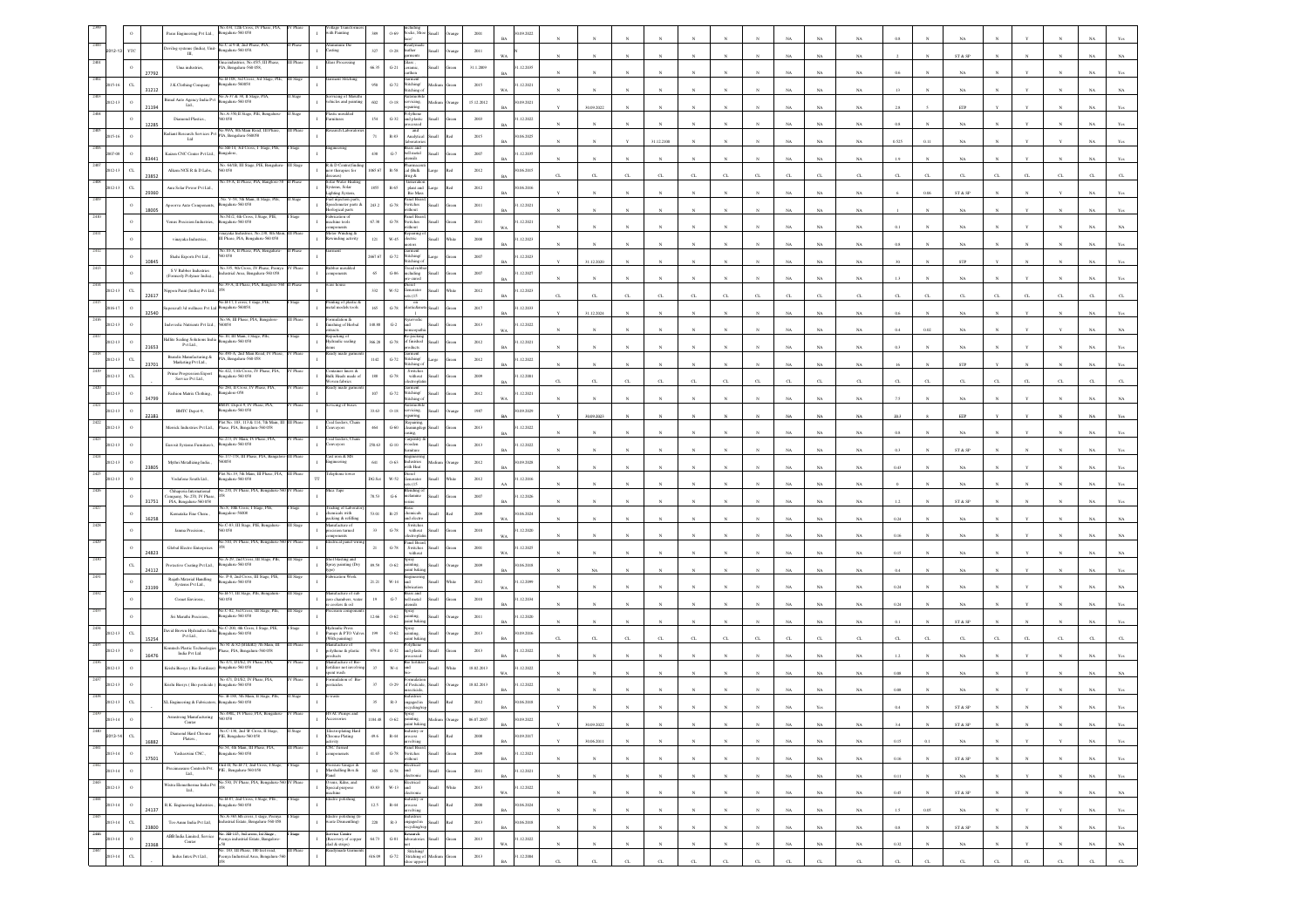|                    |                       | laras Engineering Pvt Ltd.,                                                                                                                               | No.434, 12th Cross, IV Phase, PIA<br>ngalaru-560 058                                          |           | sth Painting                                               | 389               | $0 - 69$                                 | ocks, SI                                                                                                                                                         |                  |            |                        |          |              |                       |              |              |              |              |             |             |                  |          |              |                              |    |              |              |             |                                  |
|--------------------|-----------------------|-----------------------------------------------------------------------------------------------------------------------------------------------------------|-----------------------------------------------------------------------------------------------|-----------|------------------------------------------------------------|-------------------|------------------------------------------|------------------------------------------------------------------------------------------------------------------------------------------------------------------|------------------|------------|------------------------|----------|--------------|-----------------------|--------------|--------------|--------------|--------------|-------------|-------------|------------------|----------|--------------|------------------------------|----|--------------|--------------|-------------|----------------------------------|
|                    |                       | Devilog systems (India), Unit-<br>Ш,                                                                                                                      | No.C at 9-B, 2nd Phase, PIA.<br>galaru-560 058                                                | I Phase   | luminum Dic<br>sting                                       | $_{327}$          | $0.28\,$                                 | ather                                                                                                                                                            |                  | $2011\,$   |                        |          |              |                       |              |              |              |              |             | NA          |                  |          |              | ST & SP                      |    |              |              |             |                                  |
|                    |                       | Uma industries,                                                                                                                                           | nes, No.45/S. III P<br>PIA. Bengaluru-560 058.                                                |           |                                                            | 66.35             | $G-21$                                   | eramic.                                                                                                                                                          | <b>Hatt</b>      | 31.1.2009  | .12.2035               |          |              |                       |              |              |              |              |             |             |                  |          |              |                              |    |              |              |             |                                  |
|                    |                       | J.K.Clothing Company                                                                                                                                      | Vo.B-108, 3rd Cross, 3rd Stage, PIE<br>ngaluru-560058                                         |           | ment Stitchin                                              | 950               | $\mbox{G-}72$                            | then<br>arment                                                                                                                                                   |                  | 2015       | .12.2021               |          |              |                       |              |              |              |              |             | NA          | NA               |          |              | NA.                          |    |              |              |             |                                  |
|                    | 31212                 | imal Auto Agency India Pvt $\operatorname{Lid}_n$                                                                                                         | 60 A-37 & 38, II Stree, PL                                                                    |           | ricing of Ma<br>chicles and pain                           | 602               | $0.18\,$                                 | Stitching/<br>Stitching c                                                                                                                                        |                  | 15.12.2012 | 0.09.2021              |          |              |                       |              |              |              |              |             | NA          | $_{\rm NA}$      |          |              | NA                           |    |              |              |             |                                  |
|                    | 21194                 |                                                                                                                                                           | ngaluru-560 058<br>io.A-350,II Stage, PIE, Bengalun                                           |           | istic moulde                                               |                   |                                          | rvicing.<br>siring                                                                                                                                               |                  |            |                        |          | 30.09.2022   |                       |              |              |              |              |             | NA          | NA               |          |              | ETP                          |    |              |              |             |                                  |
|                    | 12285                 | Diamond Plastics.,                                                                                                                                        | 0058<br>No.99/A, 8th Main Road, III Phase,                                                    | III Phase | rnitures<br>carch Lab                                      | 154               | $_{\mathrm{G-32}}$                       | and plastic                                                                                                                                                      |                  | 2003       | .12.2022               |          |              |                       |              |              |              |              |             | NA          | $_{\rm NA}$      | 0.8      |              | NA                           |    |              |              |             |                                  |
|                    |                       | No.99/A, 8th Main Road<br>Radiant Research Services Pvt<br>PIA, Bengaluru-560058<br>Ltd                                                                   |                                                                                               |           |                                                            | $71\,$            | $\mathbb{R}\text{-}\mathbb{S}\mathbb{3}$ | and<br>Analytical<br>aborator                                                                                                                                    |                  | $2015\,$   | 06.2025                |          |              |                       | 31.12.2100   |              |              |              |             | NA          | $_{\rm NA}$      | 0.525    |              | $_{\rm NA}$                  |    |              |              |             |                                  |
|                    | 83441                 | Kaizen CNC Center Pvt Ltd.,                                                                                                                               | No.SB-14, 3rd Cross, 1 Stage, PIE<br>ngalore                                                  |           | gineering                                                  | $4\bar{3}\bar{3}$ | $\mbox{G-7}$                             | Brass and<br>bell metal<br>slien                                                                                                                                 |                  | 2007       | 1.12.2035              |          |              |                       |              |              |              |              |             | NA          | NA.              |          |              |                              |    |              |              |             |                                  |
| 2.1                | $_{\rm{CL}}$<br>23852 | Alkem NCE R & D Labs,                                                                                                                                     | . 64/1B, III Stage, PIE, Bengalu<br>560 058                                                   |           | & D Centr<br>tew therapies for                             | 1065.67           | $R-58$                                   | cal (Balk<br>ng &                                                                                                                                                |                  | 2012       | 0.06.2015              |          |              |                       |              |              |              |              |             | $\alpha$    |                  |          |              |                              |    |              |              |             |                                  |
|                    | $_{\rm CL}$           | Anu Solar Power Pvt Ltd.,                                                                                                                                 | io.19-A, II Phase, PIA, Banglore-S.                                                           |           | olar Water Heati<br>stems, Solar                           | $1855\,$          | $\mathbb{R}\text{-}65$                   | plant and<br>Bio Mass                                                                                                                                            | arge             | $2012\,$   | 06.2016                |          |              |                       |              |              |              |              |             | NA          | $_{\rm NA}$      |          |              | ST & SP                      |    |              |              |             |                                  |
|                    | 29360<br>$\circ$      | Apoorva Auto Components,                                                                                                                                  | No. V-58, 5th Main, II Stage, PIE,<br>ngalaru-560 058                                         |           | ghting System,<br>ael injection parts<br>edometer parts &  | 243.2             | $\mbox{G-78}$                            | anel Boa<br>witches                                                                                                                                              |                  | 2011       | 1.12.2021              |          |              |                       |              |              |              |              |             |             |                  |          |              |                              |    |              |              |             |                                  |
|                    | 18005<br>$\circ$      | Venus Precision Industries,                                                                                                                               | xN1/2, 4th Cross, I Stage, PIE,<br>ngalaru-560 058                                            |           | orlogical parts<br>ication of<br>achine tools              | $67.38\,$         | $\,$ G-78 $\,$                           | ithout<br>Switches                                                                                                                                               |                  | 2011       | .12.2021               |          |              |                       |              |              |              |              |             | NA          | NA               |          |              | NA                           |    |              |              |             |                                  |
|                    |                       |                                                                                                                                                           | navaka Industries, No.238, 8th Main,                                                          | II Phas   | dotor Winding &                                            |                   |                                          |                                                                                                                                                                  |                  |            |                        |          |              |                       |              |              |              |              |             | NA          | $_{\rm NA}$      |          |              | NA                           |    |              |              |             |                                  |
|                    |                       | vinayaka Industries,                                                                                                                                      | I Phase, PIA, Bengaluru-560 058<br>io.10-A, II Phase, PIA, Bengali                            |           | vinding activity                                           | $121\,$           | $W-45$                                   | xtric                                                                                                                                                            |                  | $2008\,$   | .12.2023               |          |              |                       |              |              |              |              |             | $_{\rm NA}$ | NA               |          |              | NA                           |    |              |              |             |                                  |
|                    | $\circ$<br>10845      | Shahi Exports Pvt Ltd.,                                                                                                                                   | 60 058<br>No.335, 9th Cross, IV Phase, Peenya                                                 | IV Phase  | ubber moulded                                              | 2667.6            | $G-72$                                   | stitching/<br><b>Said</b> d<br>read rub                                                                                                                          |                  | 2007       | 1.12.2023              |          | 31.12.2020   |                       |              |              |              |              |             | NA          | NA.              |          |              | <b>STP</b>                   |    |              |              |             |                                  |
|                    |                       | S.V Rubber Industries<br>(Formerly Polymer India).,                                                                                                       | dustrial Area, Bengaluru-560 058<br>39-A. II Phase, PIA, Banzl                                |           | onents                                                     | 65                | $\,$ G-86 $\,$                           | cluding<br>cid                                                                                                                                                   |                  | $2007\,$   | .12.2027               |          |              |                       |              |              |              |              |             | NA          | NA               |          |              |                              |    |              |              |             |                                  |
|                    | $_{\rm CL}$<br>22617  | ippon Paint (India) Pvt Ltd.,                                                                                                                             |                                                                                               |           |                                                            | 332               | W.52                                     | nerator<br>ts (15                                                                                                                                                |                  | 2012       | .12.2023               | $\sigma$ | CL.          |                       |              |              |              |              |             | C1          | α.               |          |              | C1                           |    |              |              |             |                                  |
|                    | 32540                 | percraft 3d wellness Pvt Ltd Bengaluru-560058.                                                                                                            | No.B-17, I cross, I stage, PIE,                                                               |           | <b>Yinting</b> of plastic &<br>netal models tools          | 165               | $G-78$                                   | on<br>lastic&m<br>$\mathbf{1}$                                                                                                                                   |                  | 2017       | .12.2033               |          | 31.12.2024   |                       |              |              |              |              |             | NA          | $_{\rm NA}$      |          |              |                              |    |              |              |             |                                  |
|                    | $\circ$               | ndovedic Nutrients Pvt Ltd.,                                                                                                                              | No.96, III Phase, PIA, Bangalore<br>560058                                                    | II Phase  | emulation &<br>nishing of Herbal<br>racts                  | 148.88            | $_{\mathrm{G-2}}$                        | urvedi<br>á.                                                                                                                                                     |                  | 2013       | .12.2022               |          |              |                       |              |              |              |              |             | NA          | $_{\rm NA}$      | 0.4      | 0.02         | NA                           |    |              |              |             |                                  |
|                    | $\circ$               | Hallite Sealing Solutions India<br>Pvt Ltd.,                                                                                                              | No.10, III Main, I Stage, PIE<br>Bengaluru-560 058                                            |           | epacking of<br>lydraulic sealing                           | 366.28            | $G-78$                                   | of finished                                                                                                                                                      | <b>Illami</b>    | 2012       | .12.2021               |          |              |                       |              |              |              |              |             |             |                  |          |              |                              |    |              |              |             |                                  |
|                    | 21653<br>$_{\rm CL}$  | Brandis Manufacturing &                                                                                                                                   | 0.490-A, 2nd Main Road,<br>PIA, Bengaluru-560 058                                             |           |                                                            | 1142              | $G-72$                                   | oducts<br>nent<br>Stitching/                                                                                                                                     |                  | 2012       | 1.12.2022              |          |              |                       |              |              |              |              | NA          | $_{\rm NA}$ | NA               | 0.3      |              | $_{\rm NA}$                  |    |              |              |             |                                  |
|                    | 23701<br>$C$ L        | Marketing Pvt Ltd.,<br>$\begin{minipage}{.4\linewidth} \textbf{Prime Proposition} \textbf{ Expect} \\ \textbf{Service Put } \textbf{Lad.} \end{minipage}$ | 40.422, 11th Cross, IV Phase, PIA,<br>galaru-560 058                                          |           | stainer liners &<br>Balk Heads made of                     | $188\,$           | $G-78$                                   | tiching<br>Switcher<br>without                                                                                                                                   | <b>Har</b>       | $2009\,$   | .12.2001               |          |              |                       |              |              |              |              |             | NA          | $_{\rm NA}$      |          |              | ${\tt STP}$                  |    |              |              |             |                                  |
|                    |                       |                                                                                                                                                           | 284, Il Cross, IV Phase, PIA                                                                  |           | ven fabrics<br>dy made gari                                |                   |                                          | .sarment<br>Stitching/                                                                                                                                           |                  |            |                        |          |              |                       |              |              |              |              |             | $\alpha$    | G.               |          |              |                              |    |              |              |             |                                  |
|                    | 34799                 | Fashion Matrix Clothing.,                                                                                                                                 | ngalore-058<br>TC Depot-9, IV Phase,                                                          |           | icing of bus                                               | $107\,$           | $G-72$                                   | tichine                                                                                                                                                          | llam             | 2012       | .12.2021<br>WΔ         |          |              |                       |              |              |              |              |             | NA          | NA.              |          |              |                              |    |              |              |             |                                  |
|                    | 22181                 | BMTC Depot-9,                                                                                                                                             | ngalaru-560 058<br>Plot No. 103, 113 & 114, 7th Main, III III Phase                           |           | <b>Coal feeders</b> , Cha                                  | 33.63             | $O-18$                                   | rvicing,                                                                                                                                                         | <b>Ham</b>       | 1987       | 0.09.2029              |          | 30.09.202    |                       |              |              |              |              |             |             | $_{\rm NA}$      | 20.3     |              | ETP                          |    |              |              |             |                                  |
|                    |                       | Merrick Industries Pvt Ltd.,                                                                                                                              | ase, PIA, Bengaluru-560 058                                                                   |           | reyors                                                     | $464\,$           | $_{\mathrm{G-60}}$                       | aingdeg                                                                                                                                                          |                  | 2013       | .12.2022               |          |              |                       |              |              |              |              |             | NA          | NA               |          |              | NA                           |    |              |              |             |                                  |
|                    |                       | Eurosit Systems Furniture's,                                                                                                                              | 273, IV Main, IV PI<br>Bengaluru-560 058                                                      |           | ul feeders,<br>aveyors                                     | 250.63            | $\mbox{G-}10$                            | ooden                                                                                                                                                            | Ham              | 2013       | .12.2022               |          |              |                       |              |              |              |              |             | NA          | NA               | 0.3      |              | ST & SP                      |    |              |              |             |                                  |
|                    | $\circ$<br>23805      | Mythri Metallizing India.,                                                                                                                                | No.177-178, III Phase, PIA, Banga<br>560058                                                   |           | ast iron & M!<br>teering                                   | $641\,$           | $0\mbox{-}63$                            | dustries<br>ith Heat                                                                                                                                             |                  | $2012\,$   | 0.09.2028              |          |              |                       |              |              |              |              |             | NA          | $_{\rm NA}$      | 0.43     |              | NA                           |    |              |              |             |                                  |
|                    | $\circ$               | Vodafone South Ltd.,                                                                                                                                      | fot No. 19, 5th Main, III Phase, PLA<br>ngalaru-560 058                                       |           | П                                                          | DG Set            | W.52                                     | etel.<br>erator                                                                                                                                                  |                  | $2012\,$   | .12.2016               |          |              |                       |              |              |              |              |             | NA          |                  |          |              |                              |    |              |              |             |                                  |
|                    |                       | Chhaperia International<br>Company, No.270, IV Phase,<br>PIA, Bengaluru-560 058                                                                           | o.270, IV Phase, PIA, Bengaluru-5                                                             | / Phas    | ica Tape                                                   | 78.53             | $\,$ G-6 $\,$                            | ts (15<br>nding -<br>telamine                                                                                                                                    | <b>Ham</b>       | 2007       | .12.2026               |          |              |                       |              |              |              |              |             |             | NA               |          |              |                              |    |              |              |             |                                  |
|                    | 31751                 | Karnataka Fine Chem.,                                                                                                                                     | io.8, 10th Cross, I Stage, PIE<br>ngalore-56008                                               |           | rading of Labe<br>temicals with                            | 53.01             | $\mathbb{R}{\cdot}25$                    | hemicals                                                                                                                                                         |                  | 2009       | 0.06, 2024             |          |              |                       |              |              |              |              |             | NA          | $_{\rm NA}$      |          |              | ST & SP                      |    |              |              |             |                                  |
|                    | 16258                 | Janma Precision.,                                                                                                                                         | 40.C-83, III Stage, PIE, Bengaluru                                                            | II Sug    | cking & refillin<br>inufacture of<br>scision turned        | $_{33}$           | $\,$ G-78 $\,$                           | 1 electr<br>Switches<br>without                                                                                                                                  |                  | 2010       | .12.2020               |          |              |                       |              |              |              |              |             | NA          | $_{\rm NA}$      | 0.24     |              | NA                           |    |              |              |             |                                  |
|                    |                       |                                                                                                                                                           | i0 058<br>o 510, IV Phase, PIA, Bengaluru-5                                                   | V Phase   | ponents<br>rical panel                                     |                   |                                          | ctroph<br>anel Boa                                                                                                                                               |                  |            |                        |          |              |                       |              |              |              |              |             | NA          | NA               | 0.16     |              | NA                           |    |              |              |             |                                  |
|                    | $\circ$<br>24823      | Global Electro Enterprises                                                                                                                                | No.A-29, 2nd Cross, III Stage, PIE,                                                           |           | tot bizsting and                                           | $21\,$            | $G-78$                                   | Switches<br>without                                                                                                                                              |                  | 2001       | .12.2025<br><b>WA</b>  |          |              |                       |              |              |              |              |             | NA          | $_{\rm NA}$      | 0.15     |              | NA                           |    |              |              |             |                                  |
|                    | $_{\rm CL}$<br>24112  | Protective Coating Pvt Ltd.,                                                                                                                              | ngaluru-560 058                                                                               | Stage     | Spray painting (Dry                                        | 89.59             | $0 - 62$                                 | oray<br>'nting.<br>at baki                                                                                                                                       |                  | 2009       | 1.06.2018              |          | NA           |                       |              |              |              |              |             | $_{\rm NA}$ | $_{\rm NA}$      | 0.4      |              | $_{\rm NA}$                  |    |              |              |             |                                  |
|                    | $\circ$<br>23199      | Rajath Material Handling<br>Systems Pvt Ltd.,                                                                                                             | No. P-8, 2nd Cross, III Stage, PIE,<br>Rengaluru-560 058<br>o.B-57, III Stage, PIE, Bengalard |           |                                                            | 21.21             | $W-14$                                   |                                                                                                                                                                  |                  | 2012       | 1.12.2099              |          |              |                       |              |              |              |              |             | NA          | NA               | 0.24     |              |                              |    |              |              |             |                                  |
|                    |                       | Comet Environs.,                                                                                                                                          | 560 058                                                                                       | Stage     | ifacture of sub<br>ro chambers, water<br>To & erdoop       | 19                | $G-7$                                    | ks and<br>ell metal                                                                                                                                              | <b>Ilumi</b>     | 2010       | .12.2034               |          |              |                       |              |              |              |              |             | NA          | $_{\rm NA}$      | 0.24     |              | NA                           |    |              |              |             |                                  |
|                    |                       | Sri Maruthi Precision.,                                                                                                                                   | 40.C-82, 3rd Cross, III Stage, PIE,<br>ngaluru-560 058                                        |           | ion come                                                   | 12.66             | $0.62\,$                                 | xay<br>'nting,<br>int bak                                                                                                                                        |                  | $2011\,$   | .12.2020               |          |              |                       |              |              |              |              |             | NA          | NA               |          |              | ST & SP                      |    |              |              |             |                                  |
|                    | $\alpha$<br>15254     | tavid Brown Hydraulics India<br>Pvt Ltd.,                                                                                                                 | êo.C-200, 4th Cross, 1<br>ngalaru-560 058                                                     |           | ydraulic Press<br>umps & PTO Valvi<br>(sainting)           | 199               | $O-62$                                   | pray<br>inting<br>e hak                                                                                                                                          |                  | 2013       | 0.09.2016              |          |              |                       |              |              |              |              |             |             | a.               |          |              |                              |    |              |              |             |                                  |
|                    | $\circ$               | Comtech Plastic Technologies<br>India $\mathsf{Pvt}\,\mathsf{Lnd}.$                                                                                       | No 81 & 82 (B1&B2) 7th Main, III<br>ase, PIA, Bengaluru-560 058                               |           | lanufacture of<br>olythene & plastic                       | 979.4             | $_{\mathrm{G-32}}$                       | nd plasti                                                                                                                                                        |                  | 2013       | .12.2022               |          |              |                       |              |              |              |              |             |             |                  |          |              |                              |    |              |              |             |                                  |
|                    | 16476                 | Crishi Biosys (Bio Fertilizer)                                                                                                                            | No 471, D1/S2, IV Phase, PL<br>sgalaru-560 058                                                |           | antifacture.<br>rtilizer not inve                          | 37                | $_{\rm W\!-\!4}$                         |                                                                                                                                                                  |                  | 18.02.2013 | .12.2022               |          |              |                       |              |              |              |              |             | NA          | NA               |          |              | NA                           |    |              |              |             |                                  |
|                    |                       | Krishi Biosys (Bio pesticide)                                                                                                                             | No 471, D1/S2, IV Phase, PIA,<br>lengalaru-560 058                                            |           | deaw tnse<br>mulation of<br>esticides                      | 37                | $O-29$                                   | of Pesticid                                                                                                                                                      |                  | 18.02.2013 | 1.12.2022              |          |              |                       |              |              |              |              |             | NA          | NA               |          |              | NA                           |    |              |              |             |                                  |
|                    |                       |                                                                                                                                                           | Vo. B-188, 5th Main, II Stage, PIE<br>ngaluru-560 058                                         |           | waste                                                      |                   | $R-3$                                    | ared i                                                                                                                                                           |                  |            |                        |          |              |                       |              |              |              |              |             |             |                  |          |              |                              |    |              |              |             |                                  |
|                    |                       | KL Engineering & Fabricators<br>Armstrong Manufacturing                                                                                                   | No.490L, IV Phase.                                                                            |           | VAC Pum                                                    | 35                |                                          |                                                                                                                                                                  |                  | 2012       | 1.06.2018              |          |              |                       |              |              |              |              |             |             |                  |          |              | ST & S                       |    |              |              |             |                                  |
| 2440               |                       |                                                                                                                                                           | 560 058<br>No.C-130, 2nd 'B' Cross, II Stage,                                                 | Stage     | <b>Iectroplating Han</b>                                   |                   | $0 - 62$                                 | int bakin                                                                                                                                                        |                  | 06.07.200  | 09.2022<br><b>BA</b>   |          | 30.09.2022   |                       |              |              |              |              |             | NA.         | NA.              |          |              | ST & SP                      |    |              |              | NA.         | Yes                              |
| $2013 - 14$<br>241 | $_{\rm{CL}}$<br>16882 | Diamond Hard Chrome<br>Platers.,                                                                                                                          | PIE, Bengalaru-560 058<br>No.54, 4th Main, III Phase, PIA,                                    | III Phase | Throme Plating<br>vivity<br>NC Turned                      | $49.6\,$          | $\,$ R-44 $\,$                           | Industry or<br>process<br>involving<br>Panel Board,                                                                                                              | Small<br>h.      | 2008       | 30.09.2017<br>RA       |          | 30.06.2011   | $\boldsymbol{\kappa}$ | $\mathbf{N}$ | $\mathbf{N}$ | $\mathbf{v}$ | $\mathbf{N}$ | $_{\rm NA}$ | $_{\rm NA}$ | $_{\rm NA}$      | 0.15     | 0.1          | $_{\rm NA}$                  |    | $\mathbf{v}$ | $\mathbf{v}$ | $_{\rm NA}$ | $\mathbf{Y}\mathbf{c}\mathbf{s}$ |
| 2013-14            | $\,$ 0<br>17501       | Yashaswini CNC.,                                                                                                                                          | ngalaru-560 058                                                                               |           | mponenets                                                  | $41.65\,$         |                                          | $\begin{tabular}{cc} G-78 & Swithes \\ \hline \multicolumn{2}{c}{} & Swithout \\ \multicolumn{2}{c}{} & \multicolumn{2}{c}{} \multicolumn{2}{c}{} \end{tabular}$ | Small            | $2009\,$   | 1.12.2021<br><b>BA</b> |          | $_{\rm N}$   |                       |              |              |              |              | $_{\rm NA}$ | $_{\rm NA}$ | $_{\rm NA}$      | $0.16\,$ |              | ${\tt ST}$ & ${\tt SP}$      |    |              |              | $_{\rm NA}$ | $\mathbf{Yes}$                   |
| 2442<br>2013-14    | $\,$ $\,$             | Precimeasure Controls Pvt.<br>Ltd.,                                                                                                                       | Unit-II, No.B-71, 2nd Cross, I Stage,<br>PIE , Bengalura-560 058                              | Stage     | Pressure Gauges &<br>Marshalling Box &<br>Panel            | $365\,$           |                                          | Electrical<br>G-78 and<br>electronic                                                                                                                             | Small<br>ireen   | 2011       | 1.12.2021<br><b>BA</b> |          | N            | $_{\rm N}$            | $\mathbf{N}$ | $_{\rm N}$   | $_{\rm N}$   | $\mathbf{N}$ | NA          | NA          | NA               | 0.11     |              | NA                           |    | Y            | $\sim$       | NA          | Yes                              |
| 2443<br>2012-13    | $\circ$               | Wistra Eleme<br>fterma India Pvt $\operatorname{Lid.},$                                                                                                   | No.530, IV Phase, PIA, Bengaluru-                                                             |           | vens, Kilns, and<br>Special purpose<br>machine             | 83.83             | $W-13$                                   | Electrical<br>and                                                                                                                                                | Small<br>White   | 2013       | 1.12.2022<br>WA        |          | $_{\rm N}$   | $\mathbf{N}$          | $_{\rm N}$   | $\mathbf{N}$ | $\mathbf{N}$ | $\mathbf{N}$ | $_{\rm NA}$ | $_{\rm NA}$ | $_{\rm NA}$      | $0.45\,$ |              | $\text{ST} \ \& \ \text{SP}$ |    | $\mathbb{N}$ | $_{\rm N}$   | $_{\rm NA}$ | $_{\rm NA}$                      |
| 2444<br>1013-14    | $\,$ 0 $\,$<br>24137  | R.K. Engineering Industries.,                                                                                                                             | No.B-87, 2nd Cross, I Stage, PIE,<br>ngaluru-560 058                                          | Stage     | lectro polishing                                           | $12.5\,$          | $_{\rm R-44}$                            | Industry or<br>process<br>involving                                                                                                                              | Small<br>.<br>cd | $2000\,$   | 1.06.2024<br><b>BA</b> |          |              |                       |              | $\mathbf{N}$ |              |              |             |             |                  | 1.5      | 0.05         |                              |    |              |              |             |                                  |
| 2445<br>2013-14    | $_{\rm{CL}}$          | Tes-Amm India Pvt Ltd,                                                                                                                                    | No. A-365,6th cross, 1 stage, Peenya<br>industrial Estate, Bengaluru-560 058                  | tage      | dectro polishing (E-<br>vaste Dismentling)<br>$\mathbf{I}$ | $_{\rm 220}$      | $R-3$                                    | Industries<br>engaged in                                                                                                                                         | Small<br>ked     | 2013       | 0.06.2018              |          | N            |                       |              |              |              |              | $_{\rm NA}$ | $_{\rm NA}$ | NA               |          |              | NA                           |    |              |              | $_{\rm NA}$ | Yes                              |
| 2446<br>2013-14    | 23800<br>$\,$ $\,$    | ABB India Limited, Service                                                                                                                                | No. SB-115, 3rd cross, Ist Stage,<br>enya industrial Estate, Bangalore-                       | Stage     | Service Centre                                             | 64.73             | $_{\mathrm{G-81}}$                       | cline/<br>Research<br>aboratories                                                                                                                                | Ilamõ            | 2013       | <b>BA</b><br>1.12.2022 |          | $_{\rm N}$   | $\mathbf{N}$          | $\mathbf{N}$ | $\mathbf{N}$ | $\mathbf{v}$ | $\mathbf{N}$ | NA          | NA          | NA               | 0.8      |              | ST & SP                      |    | $\mathbf{N}$ |              | NA          | Yes                              |
| 2447               | 23368                 | Center                                                                                                                                                    | 1058<br>No. 183, III Phase, 100 feet road,<br>Peenya Industrial Area, Bengaluru-St            | III Phase | (Recovery of copper<br>clad & strips)<br>eadymade Garm     |                   |                                          | Stitching                                                                                                                                                        |                  |            | <b>WA</b>              |          | $\mathbf{N}$ | $\mathbf{N}$          | $\mathbb{N}$ | $\mathbf{N}$ | $\mathbf{N}$ | $\mathbf{N}$ | $_{\rm NA}$ | $_{\rm NA}$ | $_{\rm NA}$      | 0.32     | $\mathbf{N}$ | $_{\rm NA}$                  |    | Y            | $_{\rm N}$   | $_{\rm NA}$ | $_{\rm NA}$                      |
|                    | $_{\rm{CL}}$          | Indus Intex Pvt Ltd.,                                                                                                                                     |                                                                                               |           |                                                            | 616.09            | $\operatorname{G-72}$                    | Stitching of<br>shoe uppers/                                                                                                                                     |                  | 2013       | 1.12.2004<br><b>BA</b> | CL.      | $_{\rm CL}$  | CL.                   | CL.          | CL.          | $_{\rm CL}$  | CL.          | $\sigma$    | CL          | $_{\mathrm{CL}}$ | $\alpha$ | C1           | $\alpha$                     | CL | CL           | $_{\rm CL}$  | CL.         | $\alpha$                         |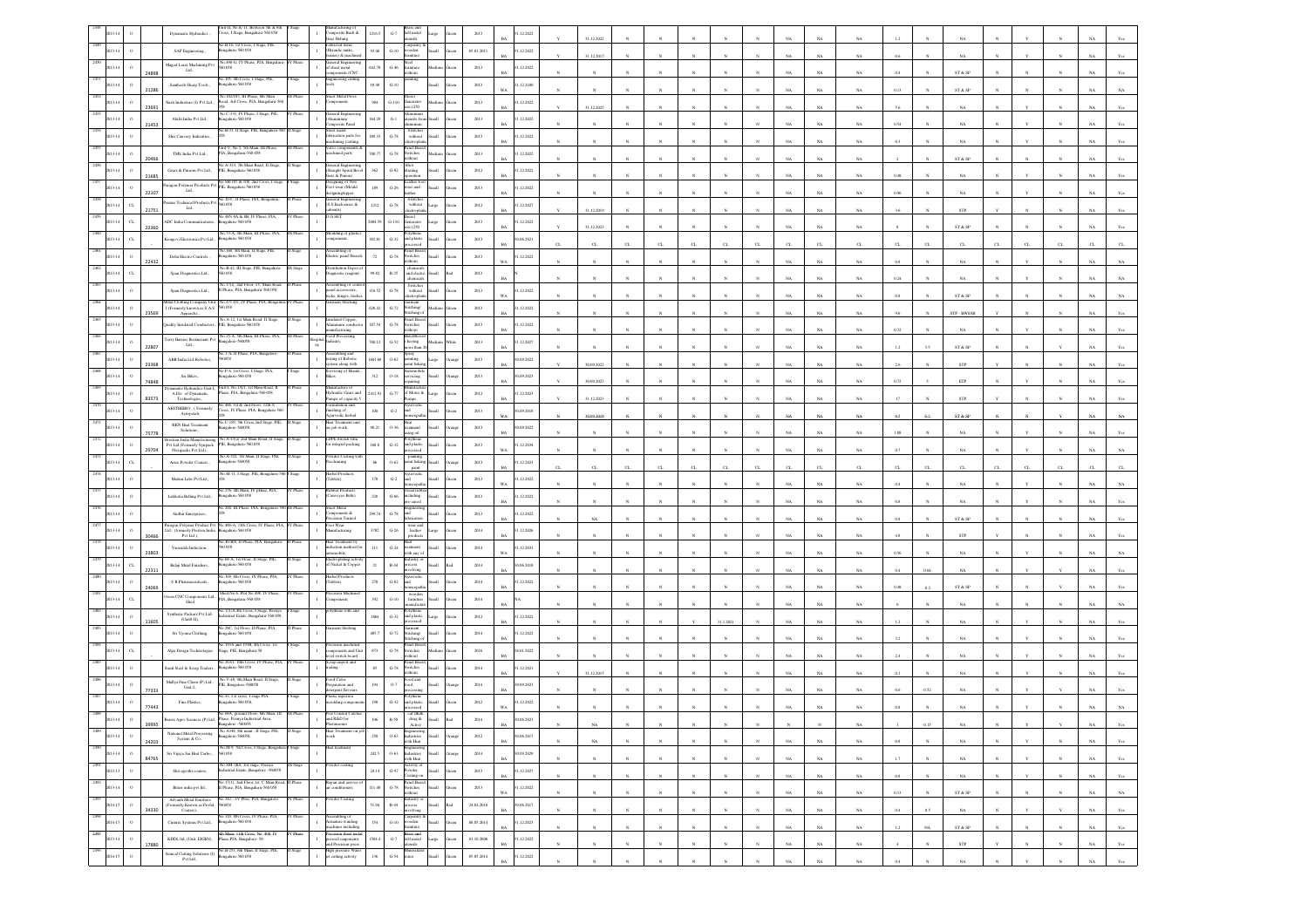|      |                        |       | it-II, No.K-11, Between 5th & 6t<br>Dynamatic Hydraulics.,<br>Tross, I Stage, Bengaluru-560 058                                                                 |                  | ifacturing o<br>omposite Bush &<br>ar Hobing               | 1216.5         | $G-7$<br>bell metal<br>sliste                                                                                              |       | 2013       | 12.2022                     |              | 31.12.2022     |              |              |              |                       |              |             |             |             |            |              |                                                                 |              |              |              |             |                |
|------|------------------------|-------|-----------------------------------------------------------------------------------------------------------------------------------------------------------------|------------------|------------------------------------------------------------|----------------|----------------------------------------------------------------------------------------------------------------------------|-------|------------|-----------------------------|--------------|----------------|--------------|--------------|--------------|-----------------------|--------------|-------------|-------------|-------------|------------|--------------|-----------------------------------------------------------------|--------------|--------------|--------------|-------------|----------------|
|      |                        |       | No.B-16, 1st Cross, I Stage, PIE,<br>$\operatorname{SAP}$ Engineering.,<br>galaru-560 058                                                                       |                  | bricted items<br>lyraulic tanks,<br>es) & machi            | 93.46          | larpentry<br>ooden<br>$_{\mathrm{G-10}}$                                                                                   |       | 05.01.2011 | .12.2022                    |              | 31.12.2017     |              |              |              |                       |              |             | NA          | $_{\rm NA}$ |            |              | $_{\rm NA}$                                                     |              |              |              |             |                |
|      |                        |       | No.490-G. IV Phase, PIA, Benz<br>Magod Laser Machining Pvt<br>0058<br>Ltd.,                                                                                     |                  | teral Engine<br>f sheet metal<br>ceteras (CNC              | 642.78         | icel.<br>$_{\mathrm{G-46}}$<br>miture<br>ithout                                                                            |       | $2013\,$   | 1.12.2022                   |              |                |              |              |              |                       |              |             | NA          |             |            |              | ST & SP                                                         |              |              |              |             |                |
|      |                        |       | No.105, 4th Cross, I Stage, PIE,<br>Santhosh Sharp Tools.,<br>lengalaru-560 058                                                                                 |                  | gineering cutting<br>ab.                                   | 18.48          | sting<br>$G-10$                                                                                                            |       | 2013       | .12.2100<br>WA              |              |                |              |              |              |                       |              |             |             |             |            |              |                                                                 |              |              |              |             |                |
|      |                        | 21286 | Vo.102/103, III Phase, 6th Main<br>kash Industries (I) Pvt Ltd.,<br>load, 3rd Cross, PIA, Bengaluru-56                                                          |                  | <b>ret Metal Press</b><br>nponents                         | 984            | $_{\mathrm{G-110}}$<br>$cncrator$<br>$z$ 8 (250                                                                            |       | 2013       | .12.2022                    |              |                |              |              |              |                       |              |             | NA          | $_{\rm NA}$ | 0.13       |              | ST & SP                                                         |              |              |              |             |                |
|      | $\circ$                | 2369: | Vo.C-331, IV Phase, I Stage, PIE,<br>Alafit India Pvt Ltd.,<br>igalaru-560 058                                                                                  | Phase            | teral Engin<br>minium                                      | 164.29         | uminum<br>:nsils fro<br>$G-1$                                                                                              |       | 2013       | 1.12.2022                   |              | 31.12.2025     |              |              |              |                       |              |             | NA          | $_{\rm NA}$ |            |              | $_{\rm NA}$                                                     |              |              |              |             |                |
|      | $\circ$                | 21453 | io.B-33, II Stage, PIE, Ben<br>Shri Cauvery Industries.                                                                                                         |                  | mposite Panel<br>eet metal<br>labrication parts for        | 189.33         | inum<br>Switches<br>$G-78$<br>without                                                                                      |       | 2013       | 1.12.2022                   |              |                |              |              |              |                       |              |             | NA          | NA          | 0.54       |              | NA                                                              |              |              |              |             |                |
|      | $\circ$                |       | Unit-V. No.5. 5th Main, III Phase,<br>TMS India Pvt Ltd., $\,$<br>PIA, Bengaluru-560 058                                                                        |                  | chining (cutting)<br>chined parts                          | 108.77         | anel Boa<br>$_{\mathrm{G-78}}$<br>witches                                                                                  |       | $2013\,$   | BA<br>.12.2022              |              |                |              |              |              |                       |              |             | NA          | $_{\rm NA}$ | 0.3        |              | NA                                                              |              |              |              |             |                |
|      | $\,$ $\,$              | 20466 | No.A-323, 7th Main Road, 11 Stag<br>PIE, Bengaluru-560 058<br>Gears & Pinions Pvt Ltd.,                                                                         |                  | eral Engine<br>traight Spiral Be                           | 362            | ithout<br>Shot<br>$G-92$<br>lasting                                                                                        |       | 2013       | 1.12.2022                   |              |                |              |              |              |                       |              |             | NA          | NA          |            |              | ST & SP                                                         |              |              |              |             |                |
|      |                        | 21685 | Paragon Polymer Products Pvt No.SB-107 & 108, 2nd Cross, I stag<br>Lad                                                                                          |                  | car & Pinion)<br>esigning of New<br>oot wear (Mould        |                | eather fo                                                                                                                  |       |            |                             |              |                |              |              |              |                       |              |             | NA          | NA          | 0.48       |              |                                                                 |              |              |              |             |                |
|      | $\,$ $\,$<br>13.14     | 22107 | Ltd.,<br>Pentair Technical Products Pvt S60.10-C, II Phase, PIA, Bengaluru                                                                                      |                  | ning/upper<br>ieneral Engineerin<br>S.S.Enclosures &       | 189            | $G-26$<br>car and<br>Switche                                                                                               |       | 2013       | 1.12.2022<br><b>BA</b>      |              |                |              |              |              |                       |              |             | NA          | $_{\rm NA}$ |            |              | NA                                                              |              |              |              |             |                |
|      | $_{\rm{CL}}$           | 21751 | 058<br>Ltd.,<br>0.485/ 8A & 8B, IV Phi                                                                                                                          |                  | bients)<br>i SEI                                           | $1212$         | $_{\mathrm{G-78}}$<br>$% \left\vert \left( \mathbf{1}_{\mathbf{1}}\right) \right\rangle$ without<br>lectroph               |       | $2013\,$   | .12.2027                    |              | 31.12.2019     |              |              |              |                       |              |             | NA          | NA          |            |              | STP                                                             |              |              |              |             |                |
|      | $_{\rm{CL}}$           | 22360 | ADC India Communications<br>galaru-560 058<br>No.53-A, 4th Main, III Phase, PIA                                                                                 |                  |                                                            | 2004.59        | $G-110$<br>enerator<br>250<br>olythene                                                                                     |       | 2013       | 1.12.2022<br>RA             |              | 31.12.2023     |              |              |              |                       |              |             | NA          | NA.         |            |              | ST & SP                                                         |              |              |              |             |                |
|      | $_{\rm{CL}}$           |       | congovi Electronics Pvt Ltd.,<br>ealery-560 058<br>.160, 4th Main, II 5                                                                                         |                  | oulding of plasti<br>mponents                              | 382.81         | $G-32$<br>and plastic<br>waxessed<br>anel Boa                                                                              |       | $2013\,$   | 06.2021                     |              | CL             |              |              |              |                       |              |             | CL          | G.          |            |              | C1                                                              |              |              |              |             |                |
|      | $\,$ 0                 | 22432 | Delta Electro Controls.,<br>sgalaru-560 058<br>No.B-42, III Stage, PIE, Bengalaru-                                                                              |                  | ectric panel Board<br>stribution Depot o                   | $72\,$         | $\,$ G-78 $\,$<br>witches<br>ithout                                                                                        |       | $2013\,$   | .12.2022                    |              |                |              |              |              |                       |              |             | NA          | NA          |            |              | NA                                                              |              |              |              |             |                |
|      | $_{\rm{CL}}$           |       | Span Diagnostics Ltd.,<br>0058<br>No.17(i), 2nd Floor, I C Main Road,                                                                                           | II Stage         | agnostic reagents                                          | 99.82          | chemical<br>and electri<br>$R-25$<br>ыl<br>chemical                                                                        |       | 2013       |                             |              |                |              |              |              |                       |              |             | NA          | $_{\rm NA}$ | 0.24       |              | NA                                                              |              |              |              |             |                |
|      | $\circ$                |       | Span Diagnostics Ltd.,<br>I Phase, PIA, Bengaluru-560 058                                                                                                       | II Phase         | sembling of cor<br>nel accessories,<br>ocks, hinges, latch | 116.52         | Switches<br>$G-78$<br>without<br>ectropla                                                                                  |       | 2013       | 1.12.2022<br>WA             |              |                |              |              |              |                       |              |             | NA          | $_{\rm NA}$ |            |              | ST & SP                                                         |              |              |              |             |                |
|      | $\mathbf{o}$           | 23569 | Mital Clothing Company Unit-<br>Vo.471-D2, IV Phase, PIA, Bengal<br>I (Formerly known as S.A.S 560 058<br>Apparels).                                            |                  | nent Stitching                                             | 628.42         | iarment<br>ititching/<br>$G-72$<br>titching o                                                                              |       | 2013       | .12.2022<br>RA              |              |                |              |              |              |                       |              |             | NA          | NA          | 96         |              | STP - BWSSE                                                     |              |              |              |             |                |
|      |                        |       | o.A-12, 1st Main Road, 11 Stage,<br>Juality Insulated Conductors., PIE, Bengaluru-560 058                                                                       |                  | lated Copper,<br>minum conduct<br>ufacturing               | 87.54          | inel Bo<br>$G-78$<br>witches<br>ithout                                                                                     |       | 2013       | 1.12.2022                   |              |                |              |              |              |                       |              |             | NA          | $_{\rm NA}$ | $0.32\,$   |              | $_{\rm NA}$                                                     |              |              |              |             |                |
|      | $\circ$                | 22807 | No.25-A. 5th Main, III Phase, PIA.<br>Torry Harries Restaurants Pvt<br>sgalore-560058<br>Ltd.,                                                                  | <b>III</b> Phase | ood Processing<br>ustry                                    | 160.12         | <b>McVRc</b><br>$_{\mathrm{G-52}}$<br>having<br>ore than                                                                   |       | $2013\,$   | 1.12.2027<br><b>BA</b>      |              |                |              |              |              |                       |              |             | NA          | $_{\rm NA}$ | $1.2\,$    | 3.5          | ${\hbox{\footnotesize\rm ST}}$ & ${\hbox{\footnotesize\rm SP}}$ |              |              |              |             |                |
|      | $\circ$                | 23368 | io.1-A, II Phase, PIA, Bangalore<br>ABB India Ltd-Robotics,<br>058                                                                                              |                  | usembling and<br>:sting of Robotic<br>stem along with      | 601.68         | xay<br>$0 - 62$<br>inting.<br>aint baki                                                                                    |       | 2013       | (09.2022)<br>RA             |              | 30.09.2022     |              |              |              |                       |              |             | NA          | NA          |            |              | <b>STP</b>                                                      |              |              |              |             |                |
|      | $\circ$                | 74848 | √o.P-6, 1st Cross, I Stage, PIA,<br>Sai Bikes.,<br>ngalaru-560 058                                                                                              |                  | vicing of Hond<br>ko.                                      | 312            | $O-18$<br>ervicing.<br>:pairing                                                                                            |       | 2013       | 0.09.2023                   |              | 30.09.2023     |              |              |              |                       |              |             | NA          | $_{\rm NA}$ | 0.72       |              | $\ensuremath{\mathsf{ETP}}$                                     |              |              |              |             |                |
|      |                        |       | Dynamatic Hydraulics-Unit-I, Unit-I, No. 1A/I, 1st Main Road, II<br>A.Div. of Dynamatic Phase, PIA, Bengalaru-560 058                                           |                  | sufacture of<br>ydraulic Gears as                          | 129            | $_{\mathrm{G-77}}$<br>of Motor &                                                                                           |       | $2013\,$   | 1.12.2023                   |              |                |              |              |              |                       |              |             |             |             |            |              |                                                                 |              |              |              |             |                |
|      | $\circ$                | 83573 | Technologies.,<br>o.466, 1st & 2nd Floor, 12th A<br>AESTHEBIO., (Formerly<br>Cross, IV Phase, PIA, Bengaluru-560<br>Ayurpetals                                  |                  | mps of capacity:<br>hishing of                             | $100 -$        | nps<br>$_{\mathrm{G-2}}$<br>ht                                                                                             |       | 2013       | 0.09.2018                   |              | 31.12.2023     |              |              |              |                       |              |             |             | NA          |            |              | STP                                                             |              |              |              |             |                |
|      |                        |       | No.C-185, 5th Cross, 2nd Stage, PIE,<br><b>RKN</b> Heat Treatment<br>sgalore-560058<br>Solutions.,                                                              |                  | rvedic herbal<br>eat Treatment un<br>n job work            | 98.21          | $0 - 36$<br>stmen                                                                                                          |       | 2013       | <b>WA</b><br>(09.2022)      |              | 30.09.2018     |              |              |              |                       |              |             | NA          | NA          | o s        | 02           | ST & SP                                                         |              |              |              |             |                |
|      |                        | 75778 | :ken India Manufacturing<br>No.A-45(a) 2nd Main Road, I<br>Pvt Ltd (Formerly Syapack<br>PIE, Bengalaru-560 058                                                  |                  | <b>DPE Stretch fil</b><br>or integral packing              | $168.8\,$      | ing oil<br>$_{\mathrm{G-32}}$<br>nd plastis                                                                                |       | 2013       | 1.12.2034                   |              |                |              |              |              |                       |              |             | NA          | $_{\rm NA}$ | 1.0        |              | $_{\rm NA}$                                                     |              |              |              |             |                |
|      | C1                     | 29704 | Flexipacks Pvt Ltd.,<br>io.A-322, 7th Main, II Stage, PIE,<br>Aries Powder Coaters.<br>ngalore-560058                                                           |                  | wder Coating<br>recleaning                                 | 86             | painting,<br>uint bakin<br>$0 - 62$                                                                                        |       | 2013       | W/<br>1.12.2023             |              |                |              |              |              |                       |              |             | NA          | NA          |            |              | NA                                                              |              |              |              |             |                |
|      |                        |       | Vo.M-11, I Stage, PIE, Bengaluru-<br>Matxin Labs Pvt Ltd.,                                                                                                      |                  | erbal Product<br>Tablets)                                  | 178            | $_{\rm{paint}}$<br>$\mbox{G-2}$<br>ht                                                                                      |       | $2013\,$   | BΑ<br>.12.2022              |              | $_{\rm CL}$    | $\alpha$     |              | CL           | C1                    |              |             | CL          | $\alpha$    |            |              | C1                                                              |              |              |              |             |                |
|      |                        |       | šo.276, 4th Main, IV pHase, PIA,<br>Lakhotia Belting Pvt Ltd.,<br>sgalaru-560 058                                                                               |                  | bber Product<br>nveyor Belts)                              | 328            | read rub<br>$G-86$<br>cluding                                                                                              |       | 2013       | 1.12.2022                   |              |                |              |              |              |                       |              |             | NA          | $_{\rm NA}$ |            |              | $_{\rm NA}$                                                     |              |              |              |             |                |
|      |                        |       | 200, III Phase, PIA, Beng                                                                                                                                       |                  | et Meul<br>mponents &                                      | 299.74         | e-cured<br>ht                                                                                                              |       | 2013       | 1.12.2022                   |              |                |              |              |              |                       |              |             | NA          | NA.         |            |              |                                                                 |              |              |              |             |                |
|      |                        |       | Sudhir Enterprises.<br>Paragon Polymer Product Pvt $\,$ No.486-A, 13th Cross, IV Phase, PIA, $\,$ IV Phase Ltd., (formerly Preston India $\,$ Bengaluru-560 058 |                  | sion Turned<br>'oot Wear<br>fanufacturing                  |                | $G-78$<br>wear and<br>leather                                                                                              |       |            | ΒA                          |              | NA             |              |              |              |                       |              |             | NA          | $_{\rm NA}$ | 0.8        |              | ST & SP                                                         |              |              |              |             |                |
|      |                        | 30466 | Pvt Ltd ),<br>io.40-B/8, II Phase, PIA, Bengaluru                                                                                                               |                  | at Treatment b                                             | 3782           | $\,$ G-26 $\,$<br>products                                                                                                 |       | $2014\,$   | .12.2026                    |              |                |              |              |              |                       |              |             | NA          | $_{\rm NA}$ |            |              | ${\tt STP}$                                                     |              |              |              |             |                |
|      | $\circ$                | 23803 | Varasiddi Induction.,<br>058<br>68-A, 1st Floor, 11 Stage, PIE                                                                                                  |                  | uction method<br>mobile.<br>troplating act                 | ш              | $G-24$<br>atment<br>ith any of                                                                                             |       | 2014       | 1.12.2032<br>W <sub>a</sub> |              |                |              |              |              |                       |              |             | NA          | NA          | 0.56       |              | NA.                                                             |              |              |              |             |                |
|      | $_{\rm{CL}}$           | 22311 | Balaji Metal Finishers.,<br>sealaru-560 058<br>40.309, 8th Cross, IV Phase, PIA,                                                                                |                  | f Nickel & Coppe<br>rbal Product                           | 21             | $R - 44$<br>ocess<br>olving                                                                                                |       | 2014       | 0.06.2018<br>BA             |              |                |              |              |              |                       |              |             | NA          | $_{\rm NA}$ | 0.4        | 0.06         | $_{\rm NA}$                                                     |              |              |              |             |                |
|      | $\circ$                | 24069 | ${\cal S}$ R Pharmaceuticals,<br>galaru-560 058<br>Shed No.6, Plot No.498, IV Pha                                                                               |                  | l'ablets)<br>ision Mach                                    | 270            | $_{\mathrm{G-02}}$<br>à                                                                                                    |       | $2014\,$   | .12.2022                    |              |                |              |              |              |                       |              |             | NA          | NA          | 0.48       | 0.2          | ST & SP                                                         |              |              |              |             |                |
|      | $\alpha$               |       | Drion CNC Components Ltd., Shed No.b, Plot No.498,<br>Shed Rengaluru-560 058<br>No.171/A,4th Cross, I Stage, Peenya                                             |                  | gonents<br>thene rolls and                                 | 392            | $G-10$<br>furniture<br>mfact<br>olythene                                                                                   |       | 2014       |                             |              |                |              |              |              |                       |              |             | NA          | NA          |            |              |                                                                 |              |              |              |             |                |
|      | $\circ$                | 11605 | Synthetic Packers Pvt Ltd-<br>strial Estate, Bengaluru-560 058<br>$(Unit0-II),$<br>io 28C. Ist Floor, II Phase, PIA                                             |                  |                                                            | 1864           | $_{\mathrm{G-32}}$<br>and plastic                                                                                          |       | 2013       | .12.2022                    |              |                |              |              |              | 31.1.2021             |              |             |             | NA          |            |              |                                                                 |              |              |              |             |                |
|      | $\circ$                |       | Sri Vyoma Clothing,<br>galaru-560 058<br>No.193A and 193B, 4th Cross, 1st                                                                                       |                  |                                                            | 485.7          | $_{\mathrm{G-72}}$<br>itching/<br>titching o                                                                               |       | $2014\,$   | .12.2022                    |              |                |              |              |              |                       |              |             | NA          | NA          |            |              | NA                                                              |              |              |              |             |                |
|      | $\alpha$               |       | Alpa Design Technologies<br>Stage, PIE, Bengaluru-58                                                                                                            |                  | cision machin<br>mponents and Unit<br>ed switch board      | 873            | anel Boa<br>$G-78$<br>witches<br>dibout                                                                                    |       | 2016       | 5.01.2022                   |              |                |              |              |              |                       |              |             | N.          | $_{\rm NA}$ |            |              | $_{\rm NA}$                                                     |              |              |              |             |                |
|      | $\mathbf{o}$           |       | No.363/1, 10th Cross, IV<br>Phase, PIA<br>Sunil Steel & Scrap Traders.<br>sgalaru-560 058                                                                       |                  | Scrap import and<br>trading                                | $85\,$         | anel Boar<br>${\bf G}\mbox{-}78$<br>Switches<br>hout                                                                       |       | $2014\,$   | .12.2021                    |              | 31.12.2015     |              |              |              |                       |              |             | NA          | $_{\rm NA}$ |            |              | NA                                                              |              |              |              |             |                |
|      | $\circ$                | 77333 | x V-40, 9th Main Road, II Stage<br>Mallya Fine Chem (P) Ltd.,<br>IE, Bangalore-560058<br>Unit-2,                                                                |                  | od Color<br>eparation and<br>rgent flavour                 | 194            | od and<br>$0.7\,$<br>$_{\text{bol}}$                                                                                       |       | $2014\,$   | (09.2023)                   |              |                |              |              |              |                       |              |             | NA          | NA          |            | 0.52         | NA                                                              |              |              |              |             |                |
|      | $\circ$                | 77443 | No.43, I st cross, I stage PIA,<br>Fine Plastics,<br>ngalaru-560 058,                                                                                           |                  | istic injection<br>oulding compo                           | 198            | $G-32$<br>and plastic                                                                                                      |       | 2012       | .12.2022                    |              |                |              |              |              |                       |              |             |             |             |            |              |                                                                 |              |              |              |             |                |
|      |                        | 39995 | No 68A, ground Floor, 6th Main, III<br>erix Agro Sciences (P) Ltd, Phase, Peenya Indu<br>lore -560058                                                           |                  | Pest Control Catche<br>ad R&D for                          |                | cal (Balk<br>$\mathbb{R}\text{-}\mathbb{S}\mathbb{S}$<br>drug &<br>Active                                                  |       |            | 06.2023<br>BA               |              | $_{\rm NA}$    |              |              |              |                       |              |             |             | $_{\rm NA}$ |            | $0.15\,$     | $_{\rm NA}$                                                     |              |              |              | $_{\rm NA}$ | Yes            |
| 2489 | $\,$ $\,$<br>2013-14   | 24203 | No A348, 8th main, II Stage, PIE,<br>National Metal Processing<br>Bangalore-560058,<br>System & Co.,                                                            | I Stage          | Heat Treatm<br>$\mathbf{I}$<br>oek                         | 250            | Engineering<br>Industries<br>$0 - 63$<br>llam<br>with Heat                                                                 | rango | 2012       | 0.06.2017<br><b>BA</b>      | $\mathbf{N}$ | NA             | $\mathbf{N}$ |              | $\mathbf{N}$ | $\boldsymbol{\kappa}$ | $\mathbf{v}$ | NA          | NA          | NA          | 0.8        |              | NA                                                              |              |              |              | NA          | Yes            |
|      | $\circ$<br>2013-14     |       | No.M-9, 7th Cross, I Stage, Bengali<br>Sri Vijaya Sai Heat Carbo.,<br>560 058                                                                                   |                  |                                                            | 242.5          | Industries<br>$0 - 63$<br><b>Ham</b>                                                                                       |       | 2014       | 30.09.2029<br><b>BA</b>     |              | $_{N}$         | $\mathbf{v}$ |              | $\mathbf{x}$ | $\mathbf{N}$          | $_{\rm N}$   | $_{\rm NA}$ |             |             | 1.7        | $\mathbf{N}$ |                                                                 |              | $\mathbf{v}$ | $\mathbf{N}$ |             |                |
| 2491 | $\,$ o<br>2012-13      | 84765 | No SM-7&8, 3rd stage, Peenya<br>Industrial Estate, Bangalore -560058<br>Shivajyothi coaters,                                                                    | III Stage        | owder coating<br>$\mathbf{I}$                              | $_{\rm 24.14}$ | with Heat<br>Activity of<br>Powder<br>${\bf G}\mbox{-}97$                                                                  |       | 2013       | 1.12.2027                   |              |                |              |              |              |                       |              |             | $_{\rm NA}$ | $_{\rm NA}$ |            |              | $_{\rm NA}$                                                     |              |              |              | $_{\rm NA}$ | $\mathbf{Yes}$ |
| 2492 | $\,$ $\,$<br>2013-14   |       | No.17(1), 2nd Floor,1st C Main Road,<br>II Phase, PIA, Bengaluru-560 058<br>Bitzer india pvt ltd.                                                               | Phase            | Repair and aervice<br>air conditioners<br>$\;$ I           | 111.48         | loating on<br>Panel Boan<br>Switches<br>$\,$ G-78 $\,$<br><b>Ilum</b>                                                      | cca   | 2013       | $_{\rm BA}$<br>1.12.2022    |              | $_{\rm N}$     | $\mathbf{N}$ |              | $_{\rm N}$   | $\boldsymbol{N}$      | $_{\rm N}$   | $_{\rm NA}$ | $_{\rm NA}$ | $_{\rm NA}$ | $0.8\,$    | $_{\rm N}$   | $_{\rm NA}$                                                     |              |              | $_{\rm N}$   | $_{\rm NA}$ | Yes            |
| 2493 | $\,$ 0<br>2014-15      |       | Advaith Metal Finishers<br>No.342, JV Phse, PIA, Bangalore-<br>(Formerly Known as Profal<br>560058                                                              | V Phase          | wder Coating                                               | 51.04          | vithout<br>Industry or<br>process<br>involving<br>$\,$ R-44 $\,$<br>$_{\rm flat}$                                          | lo!   | 24.02.2010 | WA<br>0.06.2017             | $\mathbf{N}$ | $_{\rm N}$     | $_{\rm N}$   |              | $\mathbf{N}$ | $\mathbf{N}$          | $_{\rm N}$   | NA          | NA          | NA          | 0.13       |              | ST & SP                                                         | $\mathbf{N}$ | $_{\rm N}$   | $_{\rm N}$   | NA          | $_{\rm NA}$    |
| 2494 | $\,$ $\,$<br>2014-15   | 34330 | Coaters).,<br>in 320 Sth Cross TV Phase PLA<br>Cimtrix Systems Pvt Ltd.,<br>ngaluru-560 058                                                                     | Phase            | sembling of<br>mature winding                              | $154\,$        | Carpentry<br>wooden<br>$_{\mathrm{G-10}}$<br><b>Illum</b>                                                                  |       | 08.05.2014 | <b>BA</b><br>1.12.2023      |              | $_{\rm N}$     | $\bar{N}$    |              | $_{\rm N}$   | $_{\rm N}$            | $_{\rm N}$   | $_{\rm NA}$ | $_{\rm NA}$ | $_{\rm NA}$ | $0.4\,$    | $0.5\,$      | $_{\rm NA}$                                                     |              | Y            |              | $_{\rm NA}$ | $\mathbf{Yes}$ |
|      | $\,$ 0 $\,$<br>2013-14 |       | $\frac{4\text{th Main, 11th Cross, No, 408, IV}}{\text{RDDL Ind, (Unit: EIGEN),}}$ Phase,<br>PIA, Bangalore- $58$                                               | Phase            | achines including<br>cision sheet meta<br>essed emponents  | 1504.4         | umiture<br>$\begin{tabular}{ll} \bf{B} \bf{ras} s \; \bf{and} \\ \bf{G-7} & \bf{bell} \; \bf{metal} \end{tabular}$<br>arge |       | 01.10.2006 | <b>BA</b><br>1.12.2022      |              | $_{\rm N}$     |              |              | N            | N                     | N            | $_{\rm NA}$ | $_{\rm NA}$ | $_{\rm NA}$ | $1.2\,$    | NA           | ${\tt ST}$ & ${\tt SP}$                                         |              |              |              | $_{\rm NA}$ | Yes            |
|      | $\,$ o<br>2014-15      | 17880 | No.B-251, 6th Main, II Stage, PIE,<br>Samcal Cutting Solutions (I)<br>820 032-availages                                                                         | II Stage         | ad Precision press<br>fligh pressure Water                 | 136            | tensils<br>Miteralize<br>$_{\rm{G-54}}$<br>uter<br><b>Ham</b>                                                              |       | 05.05.2014 | <b>BA</b><br>1.12.2022      | $\mathbf{N}$ | N              | $\mathbf{N}$ | $\mathbf{N}$ | $_{\rm N}$   | $_{\rm N}$            | $_{\rm N}$   | NA          | NA          | NA          | $\ddot{ }$ | $_{\rm N}$   | STP                                                             |              | $_{\rm N}$   | $\mathbf{N}$ | NA          | Yes            |
|      |                        |       | Pvt Ltd.,                                                                                                                                                       |                  | cutting activity                                           |                |                                                                                                                            |       |            | <b>BA</b>                   |              | $\bar{\kappa}$ |              |              |              |                       |              | $_{\rm NA}$ | $_{\rm NA}$ | $_{\rm NA}$ | $0.4\,$    |              | $_{\rm NA}$                                                     |              |              |              | $_{\rm NA}$ | $_{\rm Yes}$   |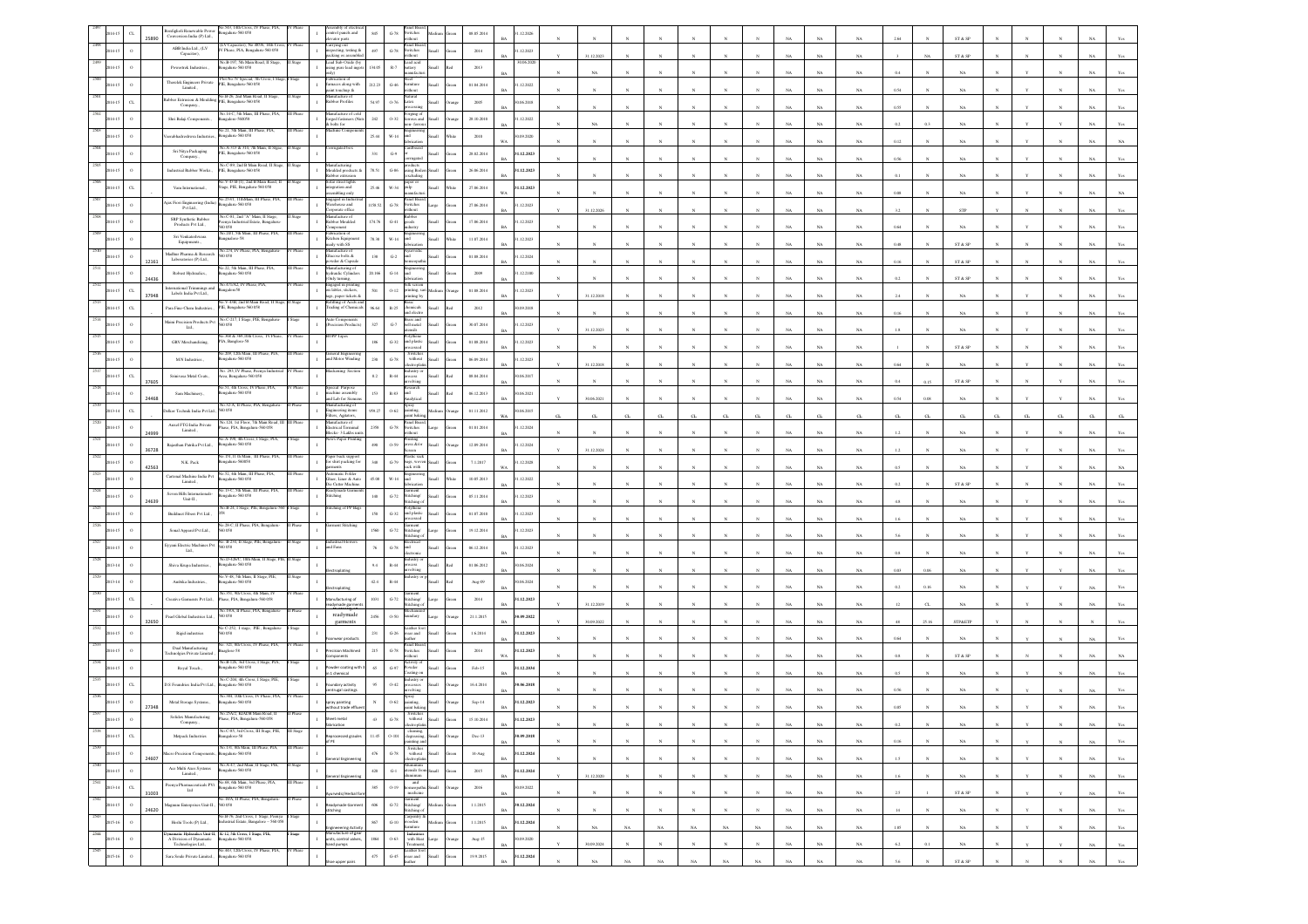|                 | $\alpha$<br>25890 | enfiglioli Renewable Power<br>Conversion India (P) Ltd., | o.543, 14th Cross, IV Phase, PIA,<br>engalaru-560 058                                                      |             | bly of elec<br>ntrol panels and<br>evator parts                          | $845\,$       | $\operatorname{G-78}$           | switches<br>ithout                                      |        | 08.05.2014          | .12.2026                  |          |              |                       |              |              |              |              |             |             |                            |           |         | ST & SP                    |              |              |              |             |                                  |
|-----------------|-------------------|----------------------------------------------------------|------------------------------------------------------------------------------------------------------------|-------------|--------------------------------------------------------------------------|---------------|---------------------------------|---------------------------------------------------------|--------|---------------------|---------------------------|----------|--------------|-----------------------|--------------|--------------|--------------|--------------|-------------|-------------|----------------------------|-----------|---------|----------------------------|--------------|--------------|--------------|-------------|----------------------------------|
|                 |                   | ABB India Ltd., (LV<br>Capacitor),                       | LV Capacitor), No.485/6, 14th Cros<br>V Phase, PIA, Bengaluru-560 058                                      | / Phas      | arrying out<br>specting, testing &<br>cking os asse                      | 497           | $G-78$                          | anel Boar<br>Switches<br><b>Mont</b>                    | llum   | 2014                | 12.2023                   |          | 31.12.202    |                       |              |              |              |              |             | NA          | $_{\rm NA}$                |           |         | ST & SP                    |              |              |              |             |                                  |
|                 | $\Omega$          | Powertrek Industries.                                    | No.B-197, Sh Main Road, Il Stage,<br>sgalaru-560 058                                                       | Stage       | cad Sub-Oxide (by<br>sing pure lead ingot                                | 134.05        | $\mathbb{R}.7$                  | cad acid<br>ttery                                       | ilia   | 2013                | 0.06.202                  |          |              |                       |              |              |              |              |             | NA          | NA                         |           |         |                            |              |              |              |             |                                  |
|                 | $\circ$           | Therelek Engineers Private<br>Limited.                   | Plot No. N' Special, 7th Cross, I Stag<br>PIE, Bengaluru-560 058                                           |             | rication of<br>maces along with<br>sh qurlium trial                      | 212.23        | $G-46$                          | miture<br>ithout                                        | llum   | 01.04.2014          | .12.2022                  |          |              |                       |              |              |              |              |             | NA          | NA                         | 0.54      |         | NA                         |              |              |              |             |                                  |
|                 | CL                | ubber Extrusion & Mouldin<br>Company.,                   | 40.B-26, 2nd Main Road, I<br>PIE, Bengaluru-560 058                                                        |             | ufacture of<br>abber Profiles                                            | 54.97         | $0 - 76$                        | atex                                                    |        | 2005                | 0.06.2018                 |          |              |                       |              |              |              |              |             | NA          | $_{\rm NA}$                | 0.55      |         | $_{\rm NA}$                |              |              |              |             |                                  |
|                 | $\circ$           | Shri Balaji Components.,                                 | No.14-C, 5th Main, III Phase, PIA,<br>galore-560058                                                        | II Phas     | nufacture of col<br>orged fasteners<br> <br> } bolts for                 | $\bf 242$     | $0 - 32$                        |                                                         |        | 28.10.2010          | .12.2022                  |          | NA           |                       |              |              |              |              |             | NA          | NA                         | 0.2       |         | NA                         |              |              |              |             |                                  |
|                 |                   | erabhadreshwra Industries                                | 40.21. 5th Main. III Phase. PIA<br>ngalaru-560 058                                                         |             | tine Com                                                                 | 25.44         | W-14                            |                                                         |        | 2010                | 0.09.2020                 |          |              |                       |              |              |              |              |             | NA          | NA                         | 0.12      |         | NA                         |              |              |              |             |                                  |
|                 |                   | Sri Nitya Packaging<br>Company.,                         | No.A-313 & 314, 7th Main, II Stg<br>HE, Bengaluru-560 058                                                  |             | rugated box                                                              | 331           | $\mbox{G-9}$                    |                                                         |        | 28.02.2014          | 1.12.2023                 |          |              |                       |              |              |              |              |             | NA          | $_{\rm NA}$                | 0.56      |         | $_{\rm NA}$                |              |              |              |             |                                  |
|                 |                   | Industrial Rubber Works.,                                | No.C-89, 2nd B Main Road, II:<br>HE, Bengaluru-560 058                                                     |             | uracturing<br>ulded products<br>bber extrusion                           | 78.51         | $\,$ G-86 $\,$                  | ng Bo<br>clodin:                                        |        | 26.06.2014          | 1.12.2023                 |          |              |                       |              |              |              |              |             | NA          | NA                         |           |         |                            |              |              |              |             |                                  |
|                 | $\alpha$          | Vam International.,                                      | V-43 B-(1), 2nd B Main Raod, II<br>tage, PIE, Bengaluru-560 058                                            |             | olar street lights<br>tegration and<br>blinz only                        | 25.46         | W-34                            | aper or<br>sulp                                         |        | 27.06.2014          | 1.12.2023                 |          |              |                       |              |              |              |              |             | NA          | NA                         | 0.06      |         | NA                         |              |              |              |             |                                  |
|                 |                   | <b>Viax Fiori Engineering (India</b><br>Pvt Ltd.,        | 40.253/1, 11thMain, III Phase, PIA<br>ngalaru-560 058                                                      |             | gaged in Indus<br>rehouse and<br>orate office                            | 158.52        | $\mbox{G-}78$                   | anel Boar<br>switches                                   |        | 27.06.2014          | .12.2023                  |          | 31.12.2026   |                       |              |              |              |              |             | NA          | $_{\rm NA}$                |           |         | STP                        |              |              |              |             |                                  |
|                 |                   | SRP Synthetic Rubber<br>Products Pvt Ltd.,               | io.C-81, 2nd "A" Main, II Stag<br>enya Industrial Estate, Bengaluru<br>0058                                |             | sufacture of<br>abber Moulded<br>ponent                                  | 174.76        | $_{\mathrm{G-}41}$              | oods<br>ustry                                           |        | 17.06.2014          | .12.2023                  |          |              |                       |              |              |              |              |             | NA          | NA                         | 0.64      |         | NA                         |              |              |              |             |                                  |
|                 |                   | Sri Venkateshwara<br>Equipments.,                        | io.24/1, 5th Main, III Phase, PIA,<br>sgnalore-58                                                          | Phas        | rication of<br>Kitchen Equipmen<br>naily with SS                         | 78.38         | W-14                            |                                                         |        | 11.07.2014          | .12.2023                  |          |              |                       |              |              |              |              |             | NA          | $_{\rm NA}$                | 0.48      |         | ${\rm ST}$ & ${\rm SP}$    |              |              |              |             |                                  |
|                 | 12161             | Madhur Pharma & Research<br>Laboratories (P) Ltd.,       | No.274, IV Phase, PIA, Bengaluru<br>0 O.S8                                                                 |             | inufacture of<br>cose bolts &                                            | $138\,$       | $_{\mathrm{G-2}}$               |                                                         |        | 01.08.2014          | .12.2024                  |          |              |                       |              |              |              |              |             | NA          | $_{\rm NA}$                | 0.16      |         | ST & SP                    |              |              |              |             |                                  |
|                 | 24436             | Robust Hydraulics.,                                      | 40.22, 5th Main, III Phase, PIA,<br>ngalaru-560 058                                                        |             | wder & Capsul<br>lanufacturing of<br>¡draulic Cylinders<br>Jnly turning. | 20.166        | $G-14$                          |                                                         |        | 2009                | 1.12.2100                 |          |              |                       |              |              |              |              |             | NA          | NA                         |           |         | ST & SP                    |              |              |              |             |                                  |
|                 | CL                | temational Trimmings and<br>Labels India Pvt Ltd.,       | 471/A2, IV Phase, PL<br>sealore58                                                                          |             | agaged in printin<br>a lables, stickers                                  | 501           | $0 - 12$                        | inting, s                                               |        | 01.08.2014          | .12.2023                  |          |              |                       |              |              |              |              |             | NA          | NA                         |           |         | NA                         |              |              |              |             |                                  |
|                 | 37948<br>$\alpha$ | Para Fine-Chem Industries.,                              | o.V-43B, 2nd B Main Road, II Stag<br>IE, Bengaluru-560 058                                                 |             | gs, paper tickets à<br>effling of Acids a<br>rading of Chemics           | 96.64         | $\mathbb{R}\text{-}25$          | ting b<br>emicals                                       |        | 2012                | 0.09.2018                 |          | 31.12.2018   |                       |              |              |              |              |             |             |                            |           |         |                            |              |              |              |             |                                  |
|                 |                   | Maini Precision Products Pvt<br>Ltd.,                    | io.C-217, I Stage, PIE, I<br>50 058                                                                        |             | ito Compo<br>recision Products                                           | 327           | $\mbox{G-7}$                    | 1 electr<br>ell metal                                   |        | 30.07.2014          | 1.12.2023                 |          |              |                       |              |              |              |              |             | NA          | NA                         | 0.16      |         | NA                         |              |              |              |             |                                  |
|                 |                   | GRV Merchandizing,                                       | o.368 & 369,10th Cross, IV Phase,<br>HA, Banglore-58                                                       | IV Phase    | OPP Tapes                                                                | 186           | $\textrm{G-}32$                 | sils<br>olvthen<br>nd plastic                           |        | 01.08.2014          | .12.2023                  |          | 31.12.2023   |                       |              |              |              |              | Na          | NA          | NA<br>$_{\rm NA}$          | 1.8       |         | NA                         |              |              |              |             |                                  |
|                 |                   | MN Industries.,                                          | o 209, 12th Main, III Phase, PIA.<br>galaru-560 058                                                        |             | cral Ens<br>ad Motor Windin                                              | $230 -$       | $\operatorname{G-78}$           | without                                                 |        | 06.09.2014          | .12.2023                  |          |              |                       |              |              |              |              |             | NA          |                            |           |         | ${\rm ST}$ & ${\rm SP}$    |              |              |              |             |                                  |
|                 | $\alpha$          | Srinivasa Metal Coats.,                                  | io. 293, IV Phase, Per<br>Vrea, Bengaluru-560 058                                                          |             |                                                                          | 8.2           | $R-44$                          | cess                                                    |        | 08.04.2014          | 0.06.2017                 |          | 31.12.2018   |                       |              |              |              |              |             | $_{\rm NA}$ | NA                         | 0.64      |         | NA                         |              |              |              |             |                                  |
|                 | 37605<br>$\circ$  | Sam Machinery.,                                          | io.51, 4th Cross, IV Phase, PIA,<br>ngaluru-560 058                                                        |             | ecial Purpose<br>achine assembly                                         | 153           | $\mathbb{R}\text{-}\mathbb{S}3$ | search<br>hm                                            |        | 06.12.2013          | 06.2021                   |          |              |                       |              |              |              |              |             | NA          |                            |           |         | ST & SP                    |              |              |              |             |                                  |
|                 | 24468<br>$\alpha$ | elkor Technik India Pvt Ltd., 560 058                    | No.32-A, II Phase, PIA, Benga                                                                              |             | nd Lab for Sie<br>iufacturing o<br>sgineering items:                     | 959.27        | $0 - 62$                        | inting                                                  |        | 01.11.2012          | 1.06.2015                 |          | 30.06.2021   |                       |              |              |              |              |             | NA          | NA                         | 0.54      |         |                            |              |              |              |             |                                  |
|                 |                   | Auxel FTG India Private<br>Limited.,                     | 40.124, 1st Floor, 7th Main Road, III<br>Thase, PIA, Bengalaru-560 058                                     |             | ters, Agitators<br>ufacture of<br><b>Instrictal Terminal</b>             | 2358          | $G-78$                          | aint bak<br>anel Boa<br>Switches                        |        | 01.01.2014          | .12.2024                  | $\sigma$ | CL.          |                       |              |              |              |              |             | C1          | CL.                        |           |         | C1                         |              |              |              |             |                                  |
|                 | 24999             | Rajasthan Patrika Pvt Ltd.,                              | io.A-198, 4th Cross, I Stage, PIA,<br>sgalaru-560 058                                                      |             | Bocks- 3 Lakhs un<br>Sews Paper Printing                                 | 490           | $0 - 59$                        | vithout<br>rinting<br>ress &/or                         |        | 12.09.2014          | .12.2024                  |          |              |                       |              |              |              |              |             | NA          | NA                         |           |         | $_{\rm NA}$                |              |              |              |             |                                  |
|                 | 36728             | N.K. Pack                                                | o.151,11 th Main, III Phase, PIA,<br>galaru-560058                                                         |             | per back suppo<br>for shirt packing for                                  | 348           | $G-79$                          | lastic sac<br>bags, wos                                 |        | 7.1.2017            | .12.2028                  |          | 31.12.2024   |                       |              |              |              |              |             | NA          | $_{\rm NA}$                |           |         | NA                         |              |              |              |             |                                  |
|                 | 42563             | Cartonal Machine India Pvt<br>Limited.,                  | o.52, 4th Main, III P<br>ngalaru-560 058                                                                   |             | ments<br>Iluer, Liner & Auto                                             | 45.08         | W-14                            | ack with<br>hn                                          | llam   | 10.05.2013          | a/a<br>1.12.2022          |          |              |                       |              |              |              |              |             | NA          | NA                         | 05<br>o s |         | NA                         |              |              |              |             |                                  |
|                 |                   | Seven Hills Internationals-<br>Unit-II.,                 | No.13-C. 5th Main, III Phase, PIA<br>sgalaru-560 058                                                       | Phase       | ie Cutter Machine<br>radymade Gar<br>itching                             | 140           | $_{\mathrm{G-72}}$              | arment<br>stitching/                                    |        | 05.11.2014          | .12.2023                  |          |              |                       |              |              |              |              |             | NA          | $_{\rm NA}$                |           |         | ST & SP                    |              |              |              |             |                                  |
|                 | 24639             | Buildmet Fibers Pvt Ltd.,                                | No.B-24, I Stage, PIE, B                                                                                   |             | tching of PP B                                                           | 150           | $G-32$                          | tching (<br>and plastic<br>conf                         | Iliam  | 01.07.2010          | .12.2023                  |          |              |                       |              |              |              |              |             | NA<br>NA    | NA<br>NA                   |           |         | NA<br>NA.                  |              |              |              |             |                                  |
|                 |                   | Sonal Apparel Pvt Ltd.,                                  | 40.28-C, II Phase, PIA, Bengaluru<br>8200                                                                  |             | nent Stitch                                                              | 1560          | $G-72$                          | ment<br>Stitching/<br>Stitching c                       |        | 19.12.2014          | 1.12.2023                 |          |              |                       |              |              |              |              |             | NA          |                            | 5.6       |         |                            |              |              |              |             |                                  |
|                 |                   | Syyani Electric Machines Pvt<br>Ltd.,                    | No. B-234, II Stage, PIE, Bengaluru<br>560 058                                                             |             | Industrial bli<br>and Fans                                               | $76\,$        | $_{\mathrm{G-78}}$              | hm                                                      |        | 06.12.2014          | .12.2023                  |          |              |                       |              |              |              |              |             | NA          | $_{\rm NA}$<br>NA          | 0.8       |         | $_{\rm NA}$                |              |              |              |             |                                  |
|                 |                   | Shiva Krupa Industries.,                                 | ngalaru-560 058                                                                                            |             |                                                                          | $9.4\,$       | $R-44$                          | cess                                                    |        | 01.06.2012          | 06.2024                   |          |              |                       |              |              |              |              |             | NA          | NA                         | 0.03      |         | NA<br>NA                   |              |              |              |             |                                  |
|                 |                   | Ambika Industries.,                                      | io.V-48, 5th Main, II Stage, PIE<br>galaru-560 058                                                         |             |                                                                          | $42.4\,$      | $R - 44$                        |                                                         |        | Aug-09              | 0.06, 2024                |          |              |                       |              |              |              |              |             |             |                            | 0.2       |         |                            |              |              |              |             |                                  |
|                 |                   | Creative Garments Pvt Ltd.,                              | 40.351, 9th Cross, 4th Main, P<br>ase, PIA, Bengaluru-560 058                                              |             | anufacturing of                                                          | $_{\rm 1031}$ | $_{\mathrm{G-72}}$              | titching/                                               |        | 2014                | 31.12.2023                |          |              |                       |              |              |              |              |             | NA          | $_{\rm NA}$                |           |         | NA                         |              |              |              |             |                                  |
|                 | $\circ$           | Pearl Global Industries Ltd.,                            | io.19/A, II Phase, PIA, Bengal<br>560 058                                                                  |             | adymade ga<br>readymade                                                  | 2456          | 0.50                            | <b>anida</b><br>undary                                  |        | 21.1.2015           | 0.09.2022                 |          | 31.12.2019   |                       |              |              |              |              |             |             |                            |           |         |                            |              |              |              |             |                                  |
|                 | 32650             | Rigid industries                                         | io C-252, I stage, PIE, Bengalur<br>0.058                                                                  |             | garments                                                                 | 231           | $\,$ G-26 $\,$                  | car and                                                 |        | 1.6.2014            | 12.2023                   |          | 30.09.2022   |                       |              |              |              |              |             | NA          | NA<br>$_{\rm NA}$          | 0.64      | 25.1    | STP&ETP<br>$_{\rm NA}$     |              |              |              |             |                                  |
|                 |                   | Dual Manufacturing<br>echnolgies Private Limited         | o. 321, 8th Cross, IV Phase, PIA,<br>aglore-58                                                             |             | sion Machine                                                             | 215           | $G-78$                          | anel Boa<br>witches                                     |        | 2014                | 1.12.2023                 |          |              |                       |              |              |              |              |             | NA          |                            |           |         |                            |              |              |              |             |                                  |
|                 |                   | Royal Touch.                                             | o.B-126, 3rd Cross,<br>ngalaru-560 058                                                                     |             | onents<br>wder coating with                                              | 65            | $G-97$                          | ithout<br>owder                                         |        | Feb-15              | 1.12.2034                 |          |              |                       |              |              |              |              |             | NA          |                            | 0.5       |         | ST & SP                    |              |              |              |             |                                  |
|                 | $\alpha$          | 0.S Foundries India Pvt Ltd.,                            | No.C-204, 4th Cross, I Stage, PIE<br>galaru-560 05                                                         |             | 1 chemical<br>undary activity                                            | 95            | $0 - 42$                        |                                                         |        | 16.4.2014           | 0.6.2018                  |          |              |                       |              |              |              |              |             | NA<br>NA    | $_{\rm NA}$<br>$_{\rm NA}$ | 0.56      |         | $_{\rm NA}$<br>$_{\rm NA}$ |              |              |              |             |                                  |
|                 | $\circ$           | Metal Storage Systems.,                                  | No.384, 10th Cross, IV<br>ngalaru-560 058                                                                  |             | intrugal casting:<br>oray painting                                       | $\mathbf{N}$  | $0 - 62$                        | pray<br>tins                                            |        | Sep-14              | 1.12.2023                 |          |              |                       |              |              |              |              |             |             |                            |           |         |                            |              |              |              |             |                                  |
|                 | 27348             | Solidex Manufacturing                                    | io.25A/2, KIADB Main Road, II<br>ase, PIA, Bengaluru-560 058                                               |             | hout trade ef<br>eet metal                                               | 43            | $\mbox{G-}78$                   | Switche                                                 |        | 15.10.2014          | 1.12.2023                 |          |              |                       |              |              |              |              |             |             |                            |           |         |                            |              |              |              |             |                                  |
| 2538<br>$14-15$ | $_{\rm{CL}}$      | ${\rm Mepack\ Industries}$                               | No.C-85, 3rd Cross, III Stage, PIE,<br>mgalore-58                                                          | III Stage   | ocessed graules                                                          | $11.45\,$     | $0-101\,$                       | cleaning,<br>degreasing, Small                          |        | $\rm Dec\mbox{-}13$ | $\;$ BA $\;$<br>1.09.2018 |          |              |                       |              |              |              |              | $_{\rm NA}$ | $_{\rm NA}$ | $_{\rm NA}$                |           |         | $_{\rm NA}$                |              |              |              | NA          | Yes                              |
| 2539<br>1014-15 | $\,$ o            | <b>Aacro Precision Components</b>                        | No.131, 8th Main, III Phase, PIA,<br>lengalaru-560 058                                                     | <b>Phis</b> | <b>FPE</b>                                                               | $476\,$       | $\operatorname{G-78}$           | painting and<br>Switches<br>without Small               |        | 14-Aug              | BA<br>31.12.2024          |          | $\mathbb{N}$ |                       |              |              |              |              | $_{\rm NA}$ | $_{\rm NA}$ | $_{\rm NA}$                | 0.16      |         | $_{\rm NA}$                |              |              |              | $_{\rm NA}$ | Yes                              |
| 2540<br>2014-15 | 24607<br>$\circ$  | Ace Multi Axes Systems<br>Limited.,                      | No.A-47, 2nd Main, II Stage, PIE,<br>820 032-analage                                                       | II Stage    |                                                                          | $420\,$       | $\mathbf{G}\text{-}1$           | lectroplatin<br>Aluminum<br>utensils from Small         |        | 2015                | <b>BA</b><br>31.12.2024   |          | $_{\rm N}$   | $\boldsymbol{\kappa}$ | $\mathbf{N}$ | $\mathbf{N}$ | $\mathbf{v}$ | $\mathbb{N}$ | NA          | NA          | NA                         | 1.5       |         | NA                         | $\mathbf{N}$ |              |              | NA          | Yes                              |
| 2541<br>2013-14 | $_{\rm CL}$       | Peenya Pharmaceuticals PVt<br>Lad                        | No.68, 6th Main, 3rd Phase, PIA.<br>ngalaru-560 058                                                        |             | eral Engineering                                                         | $385\,$       | $0-19$                          | num<br>and<br>someopathic Small                         |        | $2016\,$            | BA<br>0.09.2022           |          | 31.12.2020   | $\overline{N}$        |              | $\bar{N}$    |              |              | $_{\rm NA}$ | $_{\rm NA}$ | $_{\rm NA}$                | $1.6\,$   |         | $_{\rm NA}$                |              |              |              | $_{\rm NA}$ | $\mathbf{Yes}$                   |
| 2542<br>2014-15 | 31003<br>$\,$ 0   |                                                          | $\frac{\text{No.18/A, II Phase, PIA, Bengalaru-Magnum Enterprise: Uni-II., } 560\,058$                     | Phase       | vedic/Herbal1<br>Readymade Garment                                       | $606\,$       |                                 | $machine$<br>Garment<br>G-72 Stitching/<br>Stitching of | Medium | 1.1.2015            | 30.12.2024                |          | $_{\rm N}$   | $_{\rm N}$            | $_{\rm N}$   | $\mathbb{N}$ | $_{\rm N}$   | N            | NA          | $_{\rm NA}$ | $_{\rm NA}$                | 2.5       |         | ST & SP                    |              |              |              | NA          | Yes                              |
| 2543<br>2015-16 | 24620<br>$\circ$  | Hoshi Tools (P) Ltd.,                                    | No.B-76, 2nd Cross, I Stage, Peenya I Stage<br>Industrial Estate, Bangalore - 560 058                      |             | titching                                                                 | $867\,$       | $_{\mathrm{G-10}}$              | Carpentry &<br>wooden                                   |        | 1.1.2015            | RA<br>31.12.2024          |          | $\mathbf{N}$ | $\mathbf{N}$          | $\mathbb{N}$ | $\mathbf{N}$ | $\mathbf{N}$ | $\mathbf{v}$ | $_{\rm NA}$ | $_{\rm NA}$ | $_{\rm NA}$                | 14        |         | $_{\rm NA}$                |              | $\mathbf{v}$ | $\mathbf{N}$ | $_{\rm NA}$ | $\mathbf{Y}\mathbf{c}\mathbf{s}$ |
| 2544<br>1015-16 | $\,$ o            |                                                          | Dynamatic Hydraulics Unit-II, K-12, 5th Cross, I Stage, PIE,<br>A Division of Dynamatic Bengalaru-560 058. | ugo         | tring Activity<br>Manufacture of gear<br>units, control valves,          | $1864\,$      | $0.63\,$                        | siture<br>Industries<br>with Heat                       | Large  | Aug-15              | 0.09.2020                 |          | $_{\rm NA}$  | $_{\rm NA}$           | $_{\rm NA}$  | $_{\rm NA}$  | $_{\rm NA}$  | $_{\rm NA}$  | $_{\rm NA}$ | $_{\rm NA}$ | $_{\rm NA}$                | $1.85\,$  |         | $_{\rm NA}$                |              |              |              | $_{\rm NA}$ | $\mathbf{Yes}$                   |
| 2545<br>015-16  | $\,$ 0 $\,$       | Technologies Ltd.,<br>Sara Soule Private Limited.,       | No.443, 12th Cross, IV Phase, PIA,<br>Bengaluru-560 058                                                    | Phase       | hand pumps                                                               | $475\,$       | $_{\mathrm{G-45}}$              | Treatment,<br>Leather foot<br>wear and<br>leather       | Small  | 19.9.2015           | 31.12.2024                |          | 30.09.2024   | $\mathbf{N}$          | $_{\rm N}$   | $\mathbb{N}$ | $_{\rm N}$   | N            | $_{\rm NA}$ | $_{\rm NA}$ | NA                         | $6.2\,$   | $0.1\,$ | $_{\rm NA}$                |              |              |              | NA          | Yes                              |
|                 |                   |                                                          |                                                                                                            |             |                                                                          |               |                                 |                                                         |        |                     |                           |          | NA           |                       | NA           | NA           | NA           |              |             | NA          | NA                         | 5.6       |         | ST & SP                    |              |              |              | $_{\rm NA}$ | $\mathbf{Yes}$                   |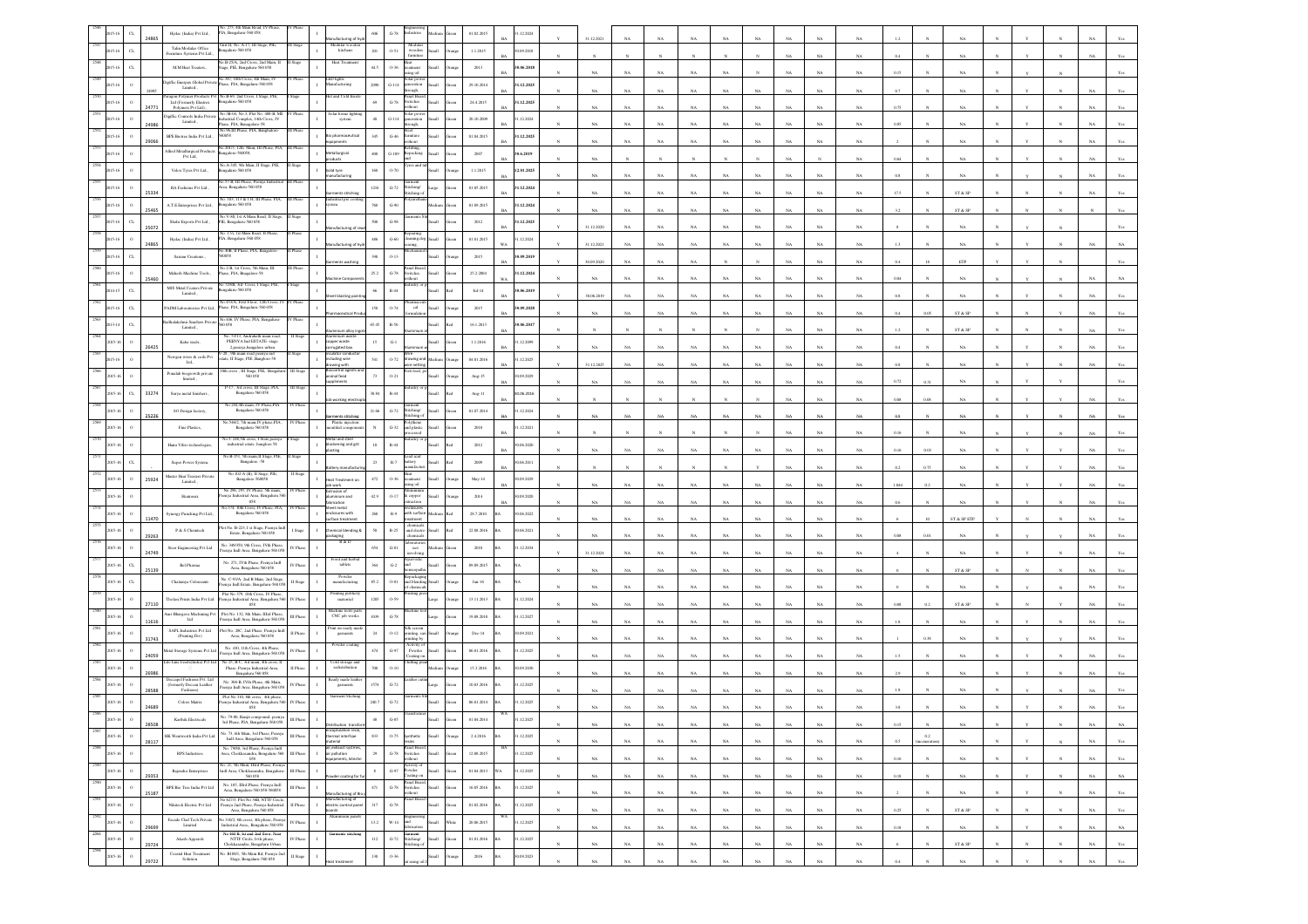|      |                          | 24865 | Hydac (India) Pvt Ltd.,                                             | o. 275, 4th Main Road.<br>PIA, Bengaluru-560 058                                                            |                                             | lacturing of                                                  | $606\,$<br>$\,$ G-78 $\,$           |                                                 |             | 01.02.201          | 1.12.2024               |                            | 1.12.2021   |             |             |             |             |                            |             |             |          |              |                                                                 |            |             |             |                |
|------|--------------------------|-------|---------------------------------------------------------------------|-------------------------------------------------------------------------------------------------------------|---------------------------------------------|---------------------------------------------------------------|-------------------------------------|-------------------------------------------------|-------------|--------------------|-------------------------|----------------------------|-------------|-------------|-------------|-------------|-------------|----------------------------|-------------|-------------|----------|--------------|-----------------------------------------------------------------|------------|-------------|-------------|----------------|
|      | $_{\rm CL}$              |       | Talin Modular Office<br>Furniture Systems Pvt Ltd.,                 | .hit-II, No. A-17, III Stage, PIE,<br>igalaru-560 058                                                       | I Stage                                     | Modular woo<br>kitchens                                       | $201\,$<br>$0 - 51$                 | Medular<br>wooden<br><b>Currichae</b>           |             | 1.1.2015           | 30.09.2018              |                            |             |             |             |             |             |                            | NA          | NA          |          |              |                                                                 |            |             |             |                |
|      | $_{\rm CL}$<br>$15 - 16$ |       | M.M Heat Treaters.                                                  | B-25/A, 2nd Cross, 2nd Main,<br>itage, PIE, Bengaluru-560 058                                               |                                             | Heat Tre                                                      | 44.5<br>$0 - 36$                    | stment                                          |             | 2013               | 30.06.2018<br><b>BA</b> |                            | NA          | NA          | NA          | NA          | NA          |                            |             | NA          | 0.15     |              | NA                                                              |            |             |             |                |
|      |                          |       | Digiflic Enerpax Global Private<br>Limited.,                        | No.387, 10th Cross, 4th Main, IV<br><sup>In</sup> Phase, PIA, Bengaluru-560 058                             |                                             | ED lights<br>anufacturing                                     | 2090<br>$G-114$                     |                                                 |             | 29.10.201          | 31.12.2025              |                            |             |             |             |             |             |                            |             |             |          |              |                                                                 |            |             |             |                |
|      |                          |       | aragon Polymer Products P<br>Ltd (Formerly Elastrex                 | No.B-69, 2nd Cross, I Stag<br>engaluru-560 058                                                              |                                             |                                                               | 69<br>$G-78$                        | ugh,<br>vitches                                 |             | 24.4.2015          | 31.12.2025              |                            |             |             |             |             | NA          |                            |             | NA.         |          |              |                                                                 |            |             |             |                |
|      |                          |       | Polymers Pvt Ltd).<br>Digiflic Controls India Private               | No.3B-04, No.3, Plot No. 488-B, MS                                                                          |                                             | olar home light<br>system                                     | 40 <sup>°</sup><br>$G-114$          | hout<br>slar po                                 |             | 20.10.2009         | 1.12.2024               |                            | NA          | <b>NA</b>   | NA          | NA          | NA          | NA                         | NA          | NA          | 0.75     |              | NA                                                              |            |             |             |                |
|      |                          | 2498  | Limited.,<br>BPE Biotree India Pvt Ltd.,                            | Industrial Complex, 14th Cross, IV<br>Phase, PIA, Banagalore-58<br>No.96.III Phase, PIA, Bang               |                                             |                                                               | 345                                 |                                                 |             |                    | <b>BA</b>               |                            | $_{\rm NA}$ | NA          | NA          | $_{\rm NA}$ | NA          | NA                         | NA          | NA          | 0.85     |              |                                                                 |            |             |             |                |
|      |                          | 2906  | Allied Metallurgical Product                                        | 60058<br>io.201/3, 12th Main, III Phase, PIA,                                                               |                                             | Bio pharmaceutical<br>ents                                    | $_{\mathrm{G-46}}$                  | siture                                          |             | 01.04.2015         | 31.12.2025              |                            | NA          | NA          | NA          | $_{\rm NA}$ | $_{\rm NA}$ | NA<br>NA                   | NA          | NA          |          |              | NA                                                              |            |             |             |                |
|      |                          |       | Pvt Ltd.                                                            | ngalore-560058,<br>No.A-345, 9th Main, II Stage, PIE,                                                       |                                             | etallurgical                                                  | 400<br>$G-109$                      | tepacking<br>es and                             |             | 2007               | 30.6.2019               |                            | NA          |             |             |             |             |                            |             | NA          | 0.64     |              | NA                                                              |            |             |             |                |
|      |                          |       | Velox Tyres Pvt Ltd.,                                               | ngalaru-560 058                                                                                             |                                             | olid tyre<br>anufacturing                                     | $160\,$<br>$0 - 70$                 |                                                 |             | 1.1.2015           | 12.01.2025              |                            | NA          | NA          | NA          | NA          | NA          |                            | NA          | NA          |          |              |                                                                 |            |             |             |                |
|      |                          | 25334 | RA Fashions Pvt Ltd.,                                               | No.57-B, III Phase, Peen<br>Area, Bengalaru-560 058<br>No. 103, 113 & 114, III Phase, PIA,                  |                                             | ents stitch<br>istrial pre c                                  | 1216<br>$G-72$                      | itching<br><b>iching</b>                        |             | 01.05.2015         | 31.12.2024              |                            | NA          | NA          | $_{\rm NA}$ | NA          | NA          | NA                         | NA          | NA          | 17.5     |              | $ST \& SP$                                                      |            |             |             |                |
|      |                          |       | A.T.E Enterprises Pvt Ltd.,                                         | engalaru-560 058<br>Vo.V-80, 1st A Main Road, II S                                                          |                                             | <b>cm</b>                                                     | 760<br>$G-90$                       |                                                 |             | 01.09.201          | 31.12.2024              |                            | NA          | NA          | NA          | NA          | $_{\rm NA}$ | NA                         | NA          | NA          |          |              | $\text{ST} \ \& \ \text{SP}$                                    |            |             |             |                |
|      | $_{\rm CL}$              | 25072 | Shahi Exports Pvt Ltd.,                                             | PIE, Bengaluru-560 058                                                                                      |                                             | ufacturing of n                                               | $500\,$<br>$G-98$                   |                                                 |             | 2012               | 31.12.2025<br><b>BA</b> |                            | 31.12.2020  | $_{\rm NA}$ | $_{\rm NA}$ | $_{\rm NA}$ | NA          | NA                         | NA          | NA          |          |              | NA                                                              |            |             |             |                |
|      |                          | 24865 | Hydac (India) Pvt Ltd.,                                             | . 17/i, 1st Main Road, II<br>PIA, Bengaluru-560 058                                                         |                                             | ufacturing of h                                               | $486\,$<br>$G-60$                   | ing,                                            |             | 01.01.2015         | 1.12.2024<br>WA         |                            | 31.12.2021  | NA          | NA          | NA          | NA          | NA<br>NA                   | NA          | NA          |          |              | NA.                                                             |            |             |             |                |
|      | $_{\rm CL}$              |       | Sairam Creations.                                                   | io.40B, Il Phase, PIA, Bang<br>60058                                                                        |                                             |                                                               | $3\%$<br>$O-13$                     |                                                 |             | 2015               | 30.09.2019              |                            | 30.09.2020  | NA          | NA          | NA          |             |                            | NA          | NA          | 0.4      |              | ETP                                                             |            |             |             |                |
|      |                          | 25460 | Mahesh Machine Tools.,                                              | No.2-B, 1st Cross, 5th Main, III<br>hase, PIA, Bragalore-58                                                 | I Phase                                     |                                                               | $25.2\,$<br>$G-78$                  | inel Boa<br>itches                              |             | 25.2.2004          | 31.12.2024<br>WA        |                            | NA          | NA          | NA          | NA          | NA          |                            |             | NA          |          |              |                                                                 |            |             |             |                |
|      | $_{\rm CL}$              |       | MJS Metal Coaters Private<br>Limited                                | o.729/B, 3rd Cross, I Stage<br>engalaru-560 058                                                             |                                             |                                                               | 66<br>$R - 44$                      |                                                 |             | $Jul-14$           | 30.06.2019              |                            |             |             |             |             |             |                            |             |             | 0.8      |              | NA                                                              |            |             |             |                |
|      | $_{\rm{CL}}$             |       | ADM Laboratiories Pvt Ltd.                                          | No.453/A, First Floor, 12th Cross, I<br>Phase, PIA, Bengaluru-560 058                                       |                                             |                                                               | 150<br>$0 - 74$                     | cal                                             |             | 2015               | 30.09.2028              |                            | 30.06.2019  |             |             | NA          |             |                            |             |             |          |              |                                                                 |            |             |             |                |
|      | $_{\rm CL}$              |       | fhalakshmi Smelters Priva                                           | No.446, IV Phase, PIA, Benealure                                                                            |                                             |                                                               | 65.45<br>$R-50$                     |                                                 |             | 16.1.2013          | 30.06.2017              |                            | $_{\rm NA}$ | NA          | NA          | NA          | NA          | N                          | NA          | $_{\rm NA}$ | 0.4      |              | $\text{ST} \ \& \ \text{SP}$                                    |            |             |             |                |
|      |                          |       | Limited.,<br>Kaba steels,                                           | No. 53/13, Andrahalli main roa<br>PEENYA Ind ESTATE -stage                                                  |                                             | pper waste                                                    | 15<br>$G-1$                         |                                                 |             | 1.1.2016           | 1.12.2099               |                            |             |             |             |             |             |                            | NA          | NA          | 1.2      |              | $ST \& SP$                                                      |            |             |             |                |
|      |                          | 2642  | Newgen wires & coils Pvt                                            | 2.peenva.bangalore urban<br>-28, 9th main road peenya ind                                                   |                                             | sated box<br>lator condu                                      |                                     | wing ar                                         |             |                    | <b>BA</b>               |                            | $_{\rm NA}$ | NA          | NA          | NA          | NA          | N/                         | NA          | $_{\rm NA}$ | 0.4      |              | NA                                                              |            |             |             |                |
|      |                          |       | $_{\rm Lld.,}$<br>Ponalab biogrowth private                         | tate, II Stage, PIE , Banglore-58<br>th cross . Ill Stage, PIE. B                                           |                                             | Juding wire<br>ving with                                      | 541<br>$0 - 72$                     | nettin                                          |             | 04.01.2016         | 1.12.2025               |                            | 31.12.2025  | NA          | NA          | NA          | NA          |                            | NA          | NA          | 0.8      |              | $_{\rm NA}$                                                     |            |             |             |                |
|      |                          |       | limited,                                                            | 560 058<br>P-17, 3rd cross, III Stage ,PIA,                                                                 |                                             | mal feed<br>iments                                            | 73<br>$0 - 21$                      |                                                 |             | Aug-15             | 30.09.2029              |                            |             |             |             |             |             |                            |             |             | 0.72     |              |                                                                 |            |             |             |                |
|      | $_{\rm CL}$              | 33274 | Surya metal finishers                                               | Bengalaru-560 058<br>No.244,4th main, IV Phase,PIA                                                          |                                             |                                                               | 30.84<br>R-44                       |                                                 |             | $Aug-11$           | 30.06.2016              |                            |             |             |             |             |             |                            |             |             |          |              |                                                                 |            |             |             |                |
|      |                          |       | SO Design factory,                                                  | Bengaluru-560 058<br>šo.546/2, 7th main,IV phase,PIA                                                        |                                             |                                                               | 21.66<br>$_{\mathrm{G-72}}$         | itching<br>ching                                |             | 01.07.2014         | 1.12.2024               |                            |             |             |             |             |             |                            |             | NA          |          |              | NA                                                              |            |             |             |                |
|      |                          |       | Fine Plastics,                                                      | Bengaluru-560 058                                                                                           |                                             | Plastic injection<br>aoulded compone                          | $_{\rm N}$<br>$G-32$                | nd plastis<br>$\ddot{\text{ss}}$                |             | 2010               | 31.12.2021              |                            |             |             |             |             |             |                            |             | NA          | 0.16     |              | NA.                                                             |            |             |             |                |
|      |                          |       | Hanu Vibro technologies,                                            | lo.C 248,5th cross, I State,p.<br>industrial estate ,<br>banglore $58\,$                                    |                                             | tal and st<br>lockening and grit                              | $10\,$<br>R-44                      |                                                 |             | 2012               | 30.06.2020<br><b>BA</b> |                            |             |             |             |             |             |                            |             |             | 0.16     |              | NA                                                              |            |             |             |                |
|      | $\alpha$                 |       | Super Power System,                                                 | No.B-151, 5th main, II Stage, PIE,<br>Bangalore -58                                                         |                                             | ery manufa                                                    | $23\,$<br>$_{\rm R-7}$              | ad acid                                         |             | $2009\,$           | 0.06.2011               |                            |             |             |             |             |             |                            | <b>NA</b>   | NA          | 0.2      |              | NA                                                              |            |             |             |                |
|      | $\circ$                  | 25924 | Master Heat Treaters Privat<br>Limited.,                            | No.102-A (B), II Stage, PIE<br>Bangalore-560058                                                             |                                             | at Treatment<br>b work                                        | 472<br>0.36                         | men<br>ne oil                                   |             | May-14             | 30.09.2029              |                            |             |             |             |             |             |                            |             |             |          |              |                                                                 |            |             |             |                |
|      |                          |       | Heatronis                                                           | No 296, 297, IV Phase, 5th main,<br>nya Industrial Area, Bengaluru 56<br>$058\,$                            | V Phas                                      | Extrusion of<br>aluminium and<br>brication                    | 42.9<br>$0 - 17$                    | copper                                          |             | $2014\,$           | 30.09.2020              |                            |             | NA          | NA          | NA          | NA          |                            |             |             |          |              |                                                                 |            |             |             |                |
|      |                          |       | ynergy Punching Pvt Ltd.                                            | No.374, 10th Cross, IV Phase, PIA.<br>Bengaluru-560 058                                                     | V Phas                                      | lett metal<br>losures with                                    | $260\,$<br>$\mathbb{R} \mathcal{A}$ | th surfac                                       |             | 28.7.2010          | 0.06.2022               |                            |             | NA          |             | NA          |             |                            | NA          |             |          |              | ST & SP ETF                                                     |            |             |             |                |
|      |                          | 11470 | P & S Chemtech                                                      | tot No. B-223, I st Stage, Peenya Inc<br>Estate, Bengaluru-560 058                                          | I Stage                                     | urface treatmen<br>mical blending                             | 50<br>R-25                          | ment<br>and electri                             |             | 22.08.2016         | 30.06.2021              |                            | NA          |             | NA          |             | NA          | NA                         |             | NA          |          |              |                                                                 |            |             |             |                |
|      |                          | 29263 | Steer Engineering Pvt Ltd                                           | No. 349/350, 9th Cross, IVth Phase<br>enya Indl Area, Bengaluru-560 058                                     | V Phase                                     | deaging<br>R&D                                                | 654<br>$G-81$                       | hemical<br>borate<br>$_{\rm not}$               |             | 2010               | 31.12.2034              |                            | NA          | NA          | NA          | NA          | NA          | NA<br>NA                   | NA          | NA          | 0.08     | 0.01         | NA                                                              |            |             |             |                |
|      | $\alpha$                 | 24749 | <b>Bel Pharma</b>                                                   | No. 271, IVth Phase, Peenya Indl                                                                            | V Phas                                      | ood and he<br>tablets                                         | $_{\mathrm{G-2}}$<br>364            |                                                 |             | 09.09.2015         |                         |                            | 31.12.2024  | NA          | $_{\rm NA}$ | NA          | NA          | NA                         | NA          |             |          |              | NA                                                              |            |             |             |                |
|      | $C_{L}$                  | 25139 | Chaitanya Colourants                                                | Area, Bengalaru-560 058<br>No. C-93/A, 2nd B Main, 2nd Stage,                                               | II Stage                                    | Powder<br>manufacturing                                       | 85.2<br>$O-S1$                      | rpackagi<br>nd blend                            |             | Jan-16             |                         |                            | NA          | NA          | NA          | NA          | NA          | NA                         | NA          | NA          |          |              | ST & SP                                                         |            |             |             |                |
|      |                          |       |                                                                     | enya Indl Estate, Bengaluru-560 05<br>Plot No 379, 10th Cross, IV Phase,                                    | V Phas                                      | Printing public                                               | 1205<br>0.59                        | ting p                                          |             |                    | 31.12.2024              |                            | NA          | NA          | NA          | NA          | NA          | NA                         | NA          | NA          |          |              | NA                                                              |            |             |             |                |
|      |                          | 27110 | Tholasi Prints India Pvt Ltd<br>Ams Bhargava Machining Pv           | nya Ind<br>strial Area, Bengaluru 5<br>058<br>Plot No. 132, 8th Main, IIIrd Phase                           |                                             | materrial<br>dachine tools par<br>CNC job works               |                                     |                                                 |             | 13.11.2013         |                         |                            |             | NA          | NA          | NA          | NA          |                            |             | NA          | 0.08     | 0.2          | $\text{ST} \ \& \ \text{SP}$                                    |            |             |             |                |
|      |                          | 11616 | Lad<br>SAPL Industries Pat Ltd.                                     | enya Indl Area, Bengaluru-560 05<br>Plot No. 28C, 2nd Phase, Peenva Indi                                    | III Phase                                   | st on ready                                                   | (039)<br>$G-78$                     |                                                 |             | 19.08.2010         | 1.12.2027               |                            | NA          | NA          | NA          | NA          | NA          | NA                         | NA          | NA          |          |              | NA                                                              |            |             |             |                |
|      |                          |       | (Printing Div)                                                      | Area, Bengaluru-560 058                                                                                     | II Phase                                    | garments<br>Powder coati                                      | 24<br>$O-12$                        | sting, sa<br>ting by                            |             | Dec-14             | 90.09.2021              |                            | NA          | NA          | NA          | NA          | NA          | NA                         | NA          | NA          |          |              | NA                                                              |            |             |             |                |
|      |                          | 24059 | Metal Storage Systems Pvt Ltd<br>afe Line Feeds(India) Pvt L        | No. 410, 11th Cross, 4th Phase,<br>Peenya Indi Area, Bengaluru-560 05<br>No 25, B-C, 3rd main, 4th cross, I | V Phas                                      |                                                               | $474\,$<br>$G-97$                   | Activity<br>Powder<br>sating o                  |             | 06.01.2016         | 31.12.2025              |                            | NA          | NA          | NA          | NA          | $_{\rm NA}$ |                            | NA          | NA          |          |              | NA                                                              |            |             |             |                |
|      |                          | 26986 |                                                                     | Phase, Peenya Industrial Area,<br>Bengaluru 560 058                                                         | II Phase                                    | Cold storage an<br>redistribution                             | 700<br>$O-10$                       |                                                 |             | 15.3.2016          | 0.09.2030               |                            | NA          | NA          | NA          | NA          | NA          | NA                         | NA          | NA          |          |              | NA                                                              |            |             |             |                |
|      |                          | 2858  | Deccapel Fashions Pvt. Ltd<br>(formerly Deccan Leather<br>Fashions) | No. 306-B. IVth Phase, 4th Main.<br>eenya Indi Area, Bengaluru-560 0.                                       | IV Phase                                    | ceady made leat<br>garment                                    | 1574<br>$G-72$                      |                                                 |             | 10.03.2016         | 31.12.2025              |                            |             |             |             |             |             |                            |             |             |          |              | NA                                                              |            |             |             |                |
|      |                          | 24689 | <b>Colors Matrix</b>                                                | Plot No 310, 8th cross, 4th phase,<br>enya Industrial Area, Bengaluru 56<br>058                             | V Phas                                      | Garment Stichin                                               | 240.7<br>$G-72$                     |                                                 |             | 06.01.2014         | 1.12.2025               |                            |             |             |             |             |             |                            |             |             |          |              |                                                                 |            |             |             |                |
|      |                          | 28508 | Karthik Electricals                                                 | No. 79-80, Ranjit compound, peeny                                                                           | III Phas                                    |                                                               |                                     |                                                 |             | 01.04.2014         | .12.2025                |                            | <b>NA</b>   | NA          | NA          | <b>NA</b>   | <b>NA</b>   | NA<br>NA.                  | NA.         | NA          | 0.15     |              |                                                                 |            |             | NA          | NA.            |
| 2587 |                          | 28117 | HK Wentworth India Pvt Ltd                                          | No. 73, 6th Main, 3rd Phase, Peenya<br>Indi Area, Bengaluru-560 058                                         | III Phas                                    | ermal interfcae<br>terial                                     | $833\,$<br>$0 - 75$                 | nthetic                                         |             | 2.4.2016           | 31.12.2025              |                            | $_{\rm NA}$ | $_{\rm NA}$ | $_{\rm NA}$ | $_{\rm NA}$ | $_{\rm NA}$ | $_{\rm NA}$<br>$_{\rm NA}$ | $_{\rm NA}$ | $_{\rm NA}$ | 0.5      | $\rm 0.2$    | $_{\rm NA}$                                                     |            |             | $_{\rm NA}$ | $_{\rm Yes}$   |
| 258  | $\,$ $\,$<br>015-1       |       | <b>RPS</b> Industries                                               | No. 79/80, 3rd Phase, Peenya Indl<br>Area, Chokkasandra, Bengaluru-560                                      | III Phase<br>$\mathbf{I}$                   | ceedhaust sys<br>ir pollution<br>ipments, kitech              | $\bf 29$<br>$_{\mathrm{G-78}}$      | Panel Boan<br>witches                           |             | 12.08.2015         | 31.12.2025              | N                          | $_{\rm NA}$ | $_{\rm NA}$ | $_{\rm NA}$ | $_{\rm NA}$ | $_{\rm NA}$ | $_{\rm NA}$<br>$_{\rm NA}$ | $_{\rm NA}$ | $_{\rm NA}$ | 0.16     | $_{\rm N}$   | $_{\rm NA}$                                                     | $_{\rm N}$ |             | $_{\rm NA}$ | Yes            |
| 2589 | 2015-16<br>$\Omega$      |       | Rajendra Enterprises                                                | 058<br>No. 21, 5th Main, Illrd Phase, Peenya<br>Indl Area, Chokkasandra, Bengaluru-                         | $\scriptstyle\rm III$ Phase<br>$\mathbf{I}$ |                                                               | $\,$ G-97 $\,$<br>$\,$ 8 $\,$       | <i>i</i> thout<br>Activity of<br>Powder         |             | 01.04.2013         | 31.12.2025<br>Ä         |                            |             |             |             |             |             |                            |             |             |          |              |                                                                 |            |             |             |                |
| 2590 | $\,$ $\,$<br>$015 - 1$   | 29353 | BPE Bio Tree India Pvt Ltd                                          | 560 058<br>No. 105, IIIrd Phase, Peenya Ind<br>l $\emph{Area, Bengal}$                                      | III Phase                                   | der coating for                                               | $471\,$<br>$\,$ G-78 $\,$           | sating or<br>Panel Board<br>Switches<br>without |             | 16.05.2016         | 31.12.2025              | $\boldsymbol{\mathcal{N}}$ | $_{\rm NA}$ | $_{\rm NA}$ | $_{\rm NA}$ | $_{\rm NA}$ | $_{\rm NA}$ | $_{\rm NA}$<br>$_{\rm NA}$ | $_{\rm NA}$ | $_{\rm NA}$ | $0.18\,$ | $\mathbf{N}$ | $_{\rm NA}$                                                     | $_{\rm N}$ | $\mathbf N$ | $_{\rm NA}$ | $_{\rm NA}$    |
| 2591 | $\,$ o<br>015-1          | 25187 | Nikitech Electric Pvt Ltd                                           | s<br>o 627/3, Plot No 36B, NTTF Circle,<br>cenya 2nd Phase, Peenya Industrial                               | II Phase                                    | anufacturing of Bio<br>anufacturing of<br>actric control pane | 317<br>$G-78$                       | inel Boa                                        |             | 01.02.2016         | 31.12.2025              |                            | $_{\rm NA}$ | $_{\rm NA}$ | $_{\rm NA}$ | $_{\rm NA}$ | $_{\rm NA}$ | $_{\rm NA}$<br>$_{\rm NA}$ | $_{\rm NA}$ | $_{\rm NA}$ |          |              | $_{\rm NA}$                                                     |            |             | $_{\rm NA}$ | $\mathbf{Yes}$ |
| 2592 | $\circ$<br>2015-16       |       | Facade Clad Tech Private                                            | Area, Bengalaru 560 058<br>No 310/2, 8th cross, 4th phase, Peeny,<br>Industrial Area,, Bengaluru 560 058    | IV Phase                                    | ards                                                          | 13.2<br>$W-14$                      |                                                 | <b>Home</b> | 20.06.2015<br>hite | 31.12.2025              |                            | NA          | NA          | NA          | NA          | NA          | NA<br>NA                   | NA          | NA          | 0.25     | $\mathbf{N}$ | ST & SP                                                         |            |             | NA          | Yes            |
| 2593 | $\,$ 0<br>2015-1         | 2969  | Limited                                                             | No 460 B, 1st and 2nd floor, Near                                                                           |                                             | iamients stichi                                               | $112\,$                             |                                                 |             |                    |                         | $\mathbf{N}$               | $_{\rm NA}$ | $_{\rm NA}$ | $_{\rm NA}$ | $_{\rm NA}$ | $_{\rm NA}$ | $_{\rm NA}$<br>NA          | $_{\rm NA}$ | $_{\rm NA}$ | $0.18\,$ | $_{\rm N}$   | $_{\rm NA}$                                                     |            |             | $_{\rm NA}$ | $_{\rm NA}$    |
| 2594 | $\,$ o                   | 29724 | Akash Apparels<br>Coastal Heat Treatment                            | NETTE Circle, Ivih phase,<br>Chokkasandra, Bengalaru Urban<br>No. B188/1, 5th Main Rd, Peenya 2nd           | IV Phase                                    |                                                               | $G-72$                              | Garment<br>Stitching/<br>Hiching of             |             | 01.01.2016         | 1.12.2025               |                            | $_{\rm NA}$ | $_{\rm NA}$ | $_{\rm NA}$ | $_{\rm NA}$ | $_{\rm NA}$ | $_{\rm NA}$<br>$_{\rm NA}$ | $_{\rm NA}$ | $_{\rm NA}$ |          |              | ${\hbox{\footnotesize\rm ST}}$ & ${\hbox{\footnotesize\rm SP}}$ |            |             | $_{\rm NA}$ | $_{\rm Yes}$   |
|      | $015-1$                  |       | Solution                                                            | Stage, Bengaluru-560 058                                                                                    | II Stage                                    |                                                               | $130 -$<br>$0 - 36$                 |                                                 |             | 2016               | 30.09.2023              |                            | NA          | <b>NA</b>   | NA          | NA          | NA          | NA<br>NA                   | NA          | NA          | 0.4      |              | <b>NA</b>                                                       |            |             | NA          | Yes            |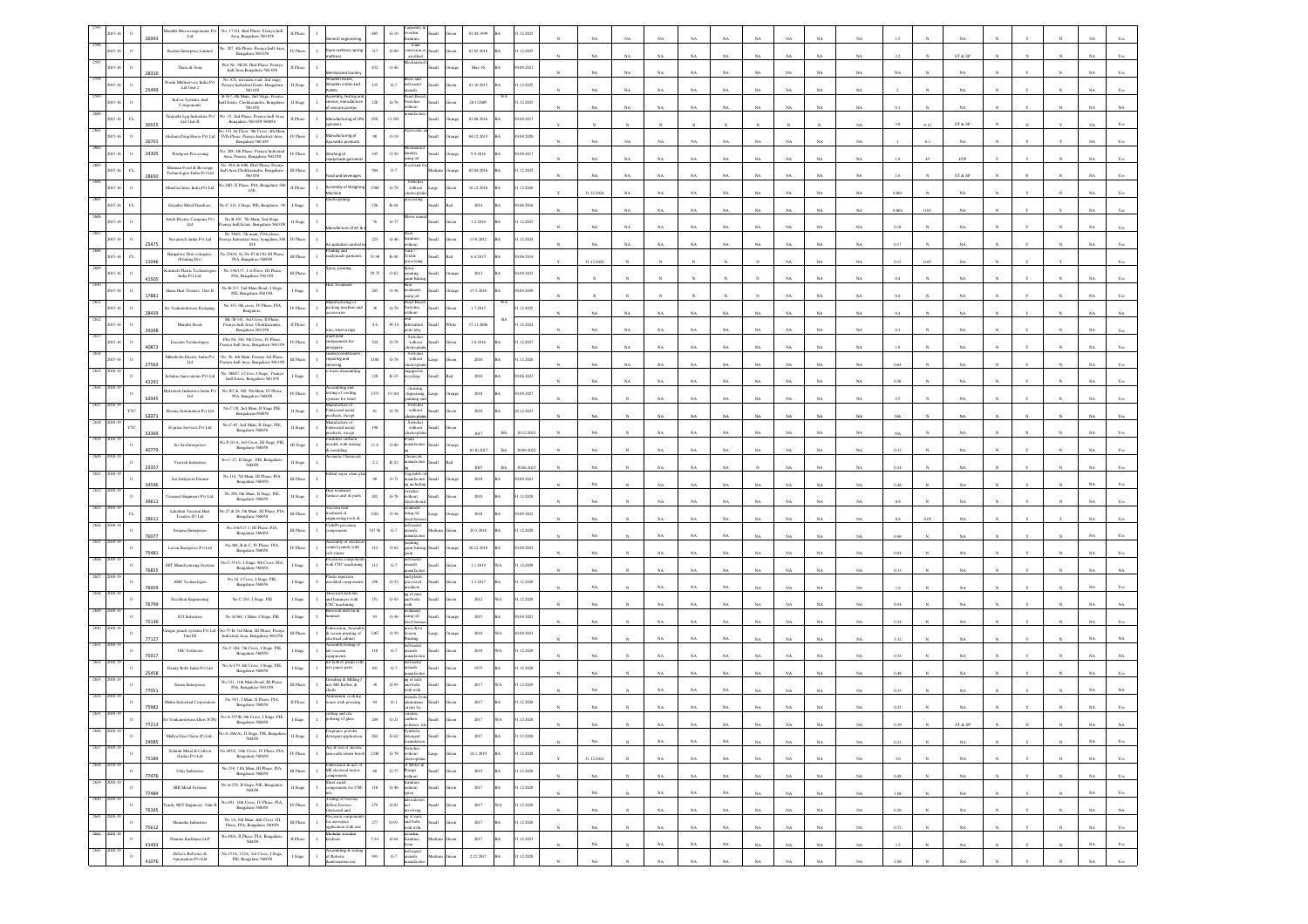|      |                       |       | aruthi Microcom<br>ents Per<br>$_{\rm Lld}$                                                    | No. 17 G1, IInd Phase, Peenya Ind<br>l $\text{Area, Bengaluru-560 058}$<br>II Pha                                                                                                                                                        |                                                                           | 485          |                                                       |            | 01.04.1999 |           | .12.202    |             |              |             |                  |             |             |             |                         |             |          |      |                              |  |                            |             |                |
|------|-----------------------|-------|------------------------------------------------------------------------------------------------|------------------------------------------------------------------------------------------------------------------------------------------------------------------------------------------------------------------------------------------|---------------------------------------------------------------------------|--------------|-------------------------------------------------------|------------|------------|-----------|------------|-------------|--------------|-------------|------------------|-------------|-------------|-------------|-------------------------|-------------|----------|------|------------------------------|--|----------------------------|-------------|----------------|
|      |                       |       | Kurlon Enterprise Limited                                                                      | No. 287, 4th Phase, Peenya Indi Are<br>V Phase<br>$\mathbf{I}$<br>Bengaluru-560 058                                                                                                                                                      | am mattress spr<br>ttress                                                 | 317          | foam<br>$G-90$<br>noisants<br>an allied               |            | 01.05.2016 |           | 1.12.2025  | NA          | NA           | NA          | NA               | NA          |             |             | NA                      | NA          |          |      | ST & SP                      |  |                            |             |                |
|      |                       |       | Tharu & Sons                                                                                   | Plot No. 9E/20, IInd Phase, Peeny<br>II Phase<br><b>Joll Area Beneatoru, 560 058</b>                                                                                                                                                     |                                                                           | 432          | $0 - 40$                                              |            | May-16     |           | (09.2021)  |             |              |             |                  |             |             |             |                         |             |          |      |                              |  |                            |             |                |
|      |                       | 28310 | work Multiservice India Py                                                                     | No A52, nd main road, 2nd stage, Peenya Industrial Estate, Bengaluru<br>$560\,058$<br>I Stage                                                                                                                                            | chanized lau<br>oden boxes<br>oden crates and                             | 135          | ass and<br>$\mbox{G-7}$<br>ell metal<br>sociale       |            | 01.10.2015 |           | .12.2025   | NA          | NA           | NA          | NA               | NA          |             |             | NA                      | NA          |          |      | NA                           |  |                            |             |                |
|      |                       |       | Ltd Unit-2<br>Indvac Systems And                                                               | B-167, 4th Main, 2nd Stage, Peeny<br>ndl Estate, Chokkasandra, Bengalur                                                                                                                                                                  | embly, testing                                                            | $128\,$      | anel Boa<br>$\operatorname{G-78}$                     |            |            |           | .12.2025   | NA          | NA           | NA          | NA               | NA          |             |             | NA                      | $_{\rm NA}$ |          |      | NA                           |  |                            | NA          |                |
|      |                       |       | Components<br>irupathi Lpg Industries Pv                                                       | II Stage<br>560 058<br>No. 15, 2nd Phase, Peenya Indi Area                                                                                                                                                                               | rvice, manufactur<br>vaccum pumps                                         |              | witches<br>ithout                                     |            | 28.112005  |           |            | $_{\rm NA}$ | $_{\rm NA}$  | NA          | $_{\rm NA}$      | NA          |             |             | $_{\rm NA}$             | NA          |          |      | NA                           |  |                            | NA          |                |
|      | C1                    | 30555 | $\operatorname{Lid}$ Unit-II                                                                   | II Phase<br>$\mathbf{I}$<br>Bengaluru-560 058-560058<br>n 333 Ist Floor 9th Cross 4th Moi                                                                                                                                                | anufacturing of LF<br>nders                                               | 450          | $O-101$                                               |            | 01.08.2016 |           | 09.2017    |             |              |             | $\mathbf{N}$     |             |             |             |                         | $_{\rm NA}$ | 3.8      | 0.12 | $\text{ST} \ \& \ \text{SP}$ |  |                            | NA          |                |
|      |                       | 26701 | kshara Drug House Pvt Ltd                                                                      | TVth Phase, Peenya Industria<br>Bengaluru 560 058<br>trial Area,<br>V Phar                                                                                                                                                               | nufacturing of<br>urvedic product                                         |              |                                                       |            | 04.12.2015 |           | (09.2020)  | NA          | NA           | NA          | NA               | NA          |             |             | NA                      | NA          |          |      | $_{\rm NA}$                  |  |                            | NA          |                |
|      | $\circ$               | 24305 | Washport Processing                                                                            | No. 288, 4th Phase, Peenya Industri<br>V Phase<br>Area, Peenya, Bengaluru-560 058                                                                                                                                                        | ashing of<br>dymade ga                                                    | 345          | 0.50<br>ndry<br>ing oil                               |            | 9.9.2016   |           | 0.09.2017  |             |              |             |                  |             |             |             | NA                      |             |          |      | ETP                          |  |                            |             |                |
|      | $\alpha$              | 28650 | Marman Food & Beverag<br>echnologies India Pvt Ltd                                             | No. 49A & 49B, IIIrd Phase, Peeny<br>Indl Area, Chokkasandra, Bengaluri<br>III Phase<br>560 058                                                                                                                                          | od and bevera                                                             | 584          | $0 - 7$                                               |            | 02.04.2016 |           | 1.12.2025  | $_{\rm NA}$ | NA           | NA          | $_{\mathrm{NA}}$ | NA          |             |             | NA                      | NA          |          |      | ST & SP                      |  |                            | NA          |                |
|      |                       |       | finebea Intec India Pvt Ltd                                                                    | No.26D, II Phase, PIA, Bengaluru-56<br>Il Phase<br>058.                                                                                                                                                                                  | embly of Weigh                                                            | $2500\,$     | $G-78$<br>withou                                      |            | 16.12.2016 |           | .12.2026   | 31.12.2024  | NA           | NA          | NA               | NA          |             |             | NA                      | $_{\rm NA}$ | 0.001    |      | NA                           |  |                            | NA          |                |
|      |                       |       | Gayathri Metal Finishers.                                                                      | No.C-212, I Stage, PIE, Banglaore - S<br>I Stage                                                                                                                                                                                         | chine<br>troplating                                                       | $126$        | $R-4$                                                 |            | 2014       |           | 0.06.2016  |             |              |             |                  |             |             |             |                         |             |          |      |                              |  |                            |             |                |
|      |                       |       | Astek Electric Company Pvt                                                                     | No.B-301, 7th Main, 2nd Stage<br>II Stage                                                                                                                                                                                                |                                                                           | 76           | $G-77$                                                |            | 1.2.2016   |           | 1.12.2025  | NA          | NA           | NA          | NA               | NA          |             |             | NA                      | NA          | 0.064    |      | NA                           |  |                            |             |                |
|      |                       |       |                                                                                                | enya Indl Estate, Bengaluru-560 (<br>No 546/2, 7th main, IVth phase                                                                                                                                                                      |                                                                           |              |                                                       |            |            |           |            | $_{\rm NA}$ | $_{\rm NA}$  | NA          | NA               | $_{\rm NA}$ |             |             | NA                      | $_{\rm NA}$ | 0.18     |      | NA                           |  |                            | NA          |                |
|      |                       | 25475 | Neoairtech India Pvt Ltd<br>Bangalore Shirt company                                            | V Phas<br>enya Industrial Area, bengaluru 56<br>0.58<br>6.254/A, Sy No 87 & 150, III Phase                                                                                                                                               | nting and                                                                 | $223\,$      | $\,$ G-46 $\,$<br>arn i                               |            | 13.8.2012  |           | .12.2024   | NA          | NA           | NA          | NA               | NA          |             |             | NA                      | NA          | 0.17     |      | NA                           |  |                            |             |                |
|      | $\alpha$              | 1104  | (Printing Div)                                                                                 | II Phase<br>PIA, Bangalore-560058                                                                                                                                                                                                        | adymade garm<br>ray painting                                              | 51.98        | $R-40$<br>extile                                      |            | 6.4.2015   |           | 0.06.2014  | 31.12.2020  |              |             |                  |             |             |             | NA                      | NA          | 0.15     | 00   | NA                           |  |                            |             |                |
|      |                       | 41505 | ntech Plastic Technolog<br>India Pvt Ltd.                                                      | No 136/137, I st Floor, III Phase<br>I Pha<br>PIA, Bengaluru-560 058                                                                                                                                                                     | at Treatm                                                                 | 59.75        | $0.62\,$<br>inting.<br>int baki                       |            | 2013       |           | 0.09.2023  |             |              |             |                  |             |             |             | NA                      | $_{\rm NA}$ |          |      | NA                           |  |                            |             |                |
|      |                       | 17881 | lanu Heat Treaters, Unit-II                                                                    | No.B-317, 2nd Main Road, I Stage<br>Stage<br>PIE, Bengaluru-560 058,                                                                                                                                                                     |                                                                           | 285          | $0 - 36$<br>atmen<br>ing oil                          |            | 15.5.2016  |           | (09.2030)  |             |              |             |                  |             |             |             | $_{\rm NA}$             | NA          | 0.4      |      | NA                           |  |                            | NA          |                |
|      |                       | 28439 | iti Venkateshwara Packgin                                                                      | No.333, 9th cross, IV Phase, PIA,<br>V Phase<br>Bangalore,                                                                                                                                                                               | nufacturing of<br>acking machine as                                       | 36           | ınel Bo<br>$G-78$<br>witches<br>ithout                |            | 1.7.2015   |           | 12.2025    | $_{\rm NA}$ | NA           | NA          | NA               | $_{\rm NA}$ | NA          | NA          | $_{\rm NA}$             | $_{\rm NA}$ | 0.4      |      | NA                           |  |                            | NA          |                |
|      |                       |       | Maruthi Steels                                                                                 | Mo. B-141, 3rd Cross, II Phase.<br>Machinery, Sou Cross, 11 1 mac,<br>Peenya Indi Area, Chokkasandra,<br>Bengaluru-560 058<br>Il Phase<br>$\mathbf{I}$                                                                                   |                                                                           | $4.6\,$      | $W-14$<br>abrication                                  |            | 17.11.2006 |           | 12.2024    |             | NA           | NA          | NA               | NA          |             |             | $_{\rm NA}$             | $_{\rm NA}$ |          |      | NA                           |  |                            | NA          |                |
|      |                       | 29398 | Excelon Technologies                                                                           | Plot No.340, 9th Cross, IV Phase,<br>V Phase<br>$\mathbf{I}$<br>eenya Indl Area, Bengaluru-560 05                                                                                                                                        | n, steel scraps<br>hined<br>mponents for                                  | 324          | its (dry<br>Switches<br>without<br>$G-78$             |            | 1.6.2016   |           | .12.2027   | $_{\rm NA}$ |              |             |                  |             |             |             |                         |             |          |      |                              |  |                            |             |                |
|      |                       | 40872 | <b>Misubishi Electric India Pvt</b>                                                            | No. 56, 4th Main, Peenya 3rd Phase<br>III Phas                                                                                                                                                                                           | oace<br>airing and                                                        | 2180         | ctroph<br>$G-78$<br>without                           |            | 2016       |           | 1.12.2026  | $_{\rm NA}$ | $_{\rm NA}$  | NA          | $_{\rm NA}$      | $_{\rm NA}$ | NA          | NA          | $_{\rm NA}$             | $_{\rm NA}$ | 1.8      |      | $_{\rm NA}$                  |  |                            | $_{\rm NA}$ |                |
|      |                       | 27563 | $_{\rm{Ldd}}$                                                                                  | enya Indi Area, Bengaluru-560 058<br>No. SB47, I Cross, I Stage, Peenya                                                                                                                                                                  | icing<br>a aste disma                                                     |              | ngaged in<br>ecycling<br>R-33                         |            |            |           |            | NA          | NA           | NA          | NA               | $_{\rm NA}$ | N.          |             | NA                      | $_{\rm NA}$ | 0.64     |      | NA                           |  |                            |             |                |
|      |                       | 41291 | ichakra Innovations Pvt Ltd<br>lydratech Industries India Pv                                   | Stage<br>Indl Estate, Bengaluru-560 058<br>No.307 & 308, 5th Main, IV Phase                                                                                                                                                              | nbling an                                                                 | $^{\rm 128}$ | cleaning                                              |            | $2018\,$   |           | 0.06.2023  | NA          | NA           | NA          | NA               | NA          |             |             | NA                      | $_{\rm NA}$ | 0.26     |      |                              |  |                            | NA          |                |
|      |                       | 63945 | Lad                                                                                            | V Phase<br>$\mathbf{I}$<br>PIA, Bangalore-560058                                                                                                                                                                                         | ting of cooling<br>sus for wind<br>acture of                              | 1373         | $O-101$<br>legreasin<br>Switche                       |            | 2018       |           | 09.2027    | NA          |              | NA          | NA               | NA          | NA          |             | NA.                     | NA          |          |      | NA                           |  |                            | NA          |                |
|      |                       | 53371 | homa Automation Pvt Lt                                                                         | No.C-28, 2nd Main, II Stage PIE,<br>Bengaluru=560058<br>I Stag<br>Bengaluru=560                                                                                                                                                          | bricated metal<br>ucts, except<br>nufacture of                            | $81\,$       | $G-78$<br>without<br>Switche                          |            | 2018       |           | 0.12.2023  | $_{\rm NA}$ |              | NA          | NA               | NA          |             |             | NA                      | NA          |          |      | NA                           |  |                            | NA          |                |
|      |                       | 53369 | Evgrien Services Pvt Ltd                                                                       | No.C-65, 2nd Main, II Stage, PIE,<br>II Stage<br>Bengalaru-560058                                                                                                                                                                        | bricated metal<br>fucts, except                                           | 196          | without<br>ectropla                                   |            | 2017       | <b>BA</b> | 10.12.2023 | $_{\rm NA}$ |              | NA          | $_{\rm NA}$      | NA          |             |             | $_{\rm NA}$             | NA          |          |      | NA                           |  |                            | NA          |                |
|      |                       | 40779 | Sri Sai Enterprises                                                                            | No.P-10-A, 3rd Cross, III Stage, PII<br>III Stage<br>Bengaluru-560058                                                                                                                                                                    | oulds with mixing<br>saibluor                                             | $11.8\,$     | $O-80$<br>anufactu                                    |            | 0.10.2017  | <b>BA</b> | 0.09.202   | NA          |              | NA          | NA               | NA          |             |             | NA                      | NA          |          |      | NA                           |  |                            | NA          |                |
|      |                       | 23357 | Veeresh Industries                                                                             | No.C-27, II Stage , PIE, Bengaluru $$560058$$<br>II Stag                                                                                                                                                                                 | matic Chem                                                                | $2.2\,$      | $R-22$<br>nufactu                                     |            |            | BA        | 0.06.20    | $_{\rm NA}$ |              | NA          | NA               | NA          |             |             | $_{\rm NA}$             | $_{\rm NA}$ | 0.24     |      | NA                           |  |                            | NA          |                |
|      |                       |       | Sai Sathyasiri Eximm                                                                           | No.116, 7th Main, III Phase, PIA,<br>II Phase<br>Bengalaru-560058                                                                                                                                                                        |                                                                           | 98           | 0.71                                                  |            | $2018\,$   |           | (09.2023)  |             |              |             |                  |             |             |             |                         |             |          |      |                              |  |                            |             |                |
|      |                       | 3459  | eramed Engineers Pvt Ltd                                                                       | No.290, 6th Main, II Stage, PIE,<br>II Stags<br>Bengalaru-560058                                                                                                                                                                         | at treatment<br>rnace and its part                                        | 202          | g includi<br>itcher<br>$G-78$<br>ithout               |            | 2018       |           | 12.2028    | NA          |              |             | NA               | NA          |             |             | NA                      | NA          |          |      |                              |  |                            |             |                |
|      |                       | 39611 | Lakshmi Vacuum Heat<br>Treaters (P) Ltd                                                        | No.27 & 28, 5th Main, III Phase, PL<br>II Phas                                                                                                                                                                                           | cum heat<br>To tanat                                                      | $1281\,$     | $O-36$<br>ing oil                                     |            | $2018\,$   |           | (09.2022)  | $_{\rm NA}$ |              | NA          | NA               | NA          |             |             | NA                      | $_{\rm NA}$ | 0.8      |      |                              |  |                            | NA          |                |
|      |                       | 28611 |                                                                                                | Bengalaru-560058<br>No.116/117-1, III Phase, PIA,<br>II Phase                                                                                                                                                                            | eering tools.<br>a&Pb precision                                           | 47.56        | ell metal<br>$\mbox{G-}7$                             |            | 20.3.2018  |           | 1.12.2028  | $_{\rm NA}$ |              | NA          | NA               | NA          |             |             | NA                      | NA          |          |      |                              |  |                            | NA          |                |
|      |                       | 76077 | Srujana Enterprises                                                                            | Bengalaru-560058<br>No.484, B & C, IV Phase, PIA,                                                                                                                                                                                        | ponents<br>mbly of elec                                                   |              | asils<br>ufac<br>ting                                 |            |            |           |            | $_{\rm NA}$ |              | NA          | $_{\rm NA}$      | $_{\rm NA}$ |             |             | NA                      | NA          | 0.96     |      |                              |  |                            | NA          |                |
|      |                       | 75481 | Lecon Energetics Pvt Ltd                                                                       | V Phase<br>Bengaluru-560058                                                                                                                                                                                                              | ntrol panels with<br>tarter<br>ession con                                 | $112\,$      | $0 - 62$<br>aint baki<br>ell meta                     |            | 26.12.2018 |           | (09.2023)  | $_{\rm NA}$ |              | NA          | NA               | $_{\rm NA}$ | NA          |             | $_{\rm NA}$             | $_{\rm NA}$ | 0.84     |      | NA                           |  |                            | NA          |                |
|      |                       | 76855 | <b>SET Manufacturing System</b>                                                                | No.C-351/1, I Stage, 9th Cross, PIA<br>Bengalaru-560058<br>Stags                                                                                                                                                                         | ith CNC machi                                                             | $112\,$      | $\mbox{G-7}$<br>slien                                 |            | 1.1.2019   |           | 1.12.2028  | $_{\rm NA}$ |              | NA          | NA               | NA          |             |             | NA                      | $_{\rm NA}$ | 0.33     |      | NA                           |  |                            | NA          |                |
|      |                       | 76959 | AMS Technologies                                                                               | No.16, I Cross, I Stage, PIE,<br>Stage<br>Bengaluru-560058                                                                                                                                                                               | astic injection<br>ided compo                                             | 296          | nd plasti<br>$G - 32$<br>fins                         |            | 1.3.2017   |           | 1.12.2028  | NA          |              | NA          | NA               | NA          |             |             | NA                      | NA          |          |      |                              |  |                            |             |                |
|      |                       | 76799 | Excellent Engineering                                                                          | No.C-283, I Stage, PIE<br>I Stage                                                                                                                                                                                                        | eewell drill bi<br>d hammers with<br>NC machining                         | 151          | g of nut<br>$G-93$<br>nd bolts                        |            | 2012       |           | 1.12.2028  | $_{\rm NA}$ |              | NA          | NA               | NA          |             |             |                         |             |          |      |                              |  |                            | NA          |                |
|      |                       | 75136 | STJ Industries                                                                                 | No.A/364, 1 Main, 1 Stage, PIE<br>I Stage                                                                                                                                                                                                | ewell drill bit &                                                         | 93           | ing oil<br>$0.36\,$<br>red fum                        |            | 2015       |           | 09.2023    | $_{\rm NA}$ |              | NA          | NA               | NA          |             |             | NA                      | NA          | 0.24     |      | NA                           |  |                            | NA          |                |
|      |                       |       |                                                                                                | $\begin{minipage}{.4\linewidth} \textbf{space points} \text{Pvt} \text{Lid} - \text{No.S7-B, 3ed Main, III Phase, Peeny} \\ \textbf{Industrial Area, Benaduru-S60 OSS} \end{minipage}$<br>II Phase<br>Industrial Area, Bengaluru-560 058 | tication, As<br>screen printing o<br>reical cabinet                       | 1267         | ess &k<br>0.59<br>reen<br>ntine                       |            | 2018       |           | 0.09.2023  | NA          |              | NA          | NA               | NA          |             |             |                         |             |          |      |                              |  |                            | NA          |                |
|      |                       | 77127 | VEC Solutions                                                                                  | No.C-284, 7th Cross, I Stage, PIE,<br>Bengaluru-560058<br>I Stage<br>$\mathbf{L}$                                                                                                                                                        | embly/testing<br><b>b</b> vaccum                                          | 110          | ell meta<br>${\bf G}\mbox{-}7$<br>ensils              |            | $2010\,$   |           | 12.2029    |             |              |             |                  |             |             |             |                         |             |          |      |                              |  |                            |             |                |
|      |                       | 75917 | Dandy Rolls India Pvt Ltd                                                                      | No.A-179, 4th Cross, I Stage, PIE,<br>Stage                                                                                                                                                                                              | hollow pla<br><sup>c</sup> paper parts                                    | 301          | $\mbox{G-}7$<br>asils                                 |            | $1975\,$   |           | .12.2028   | $_{\rm NA}$ |              | NA          | NA               | NA          |             |             | NA                      | $_{\rm NA}$ | 0.54     |      |                              |  |                            | NA          |                |
|      |                       | 2545  | Easun Enterprises                                                                              | Bengalaru-560058<br>No.231, 11th Main Road, III Phase<br>II Phase                                                                                                                                                                        | nding & Milli<br>/c MS Rollers &                                          | 30           | nufac<br>g of nuts<br>$G-93$<br>alod ban              |            | 2017       |           | 1.12.2029  | $_{\rm NA}$ |              | NA          | NA               | NA          |             |             | NA                      | NA          | 0.48     |      |                              |  |                            | NA          |                |
|      |                       | 77051 |                                                                                                | PIA, Bengalaru-560 058<br>No.35/1, I Main, II Phase, PIA,                                                                                                                                                                                | ium cookin                                                                |              | ith with<br>sils fr                                   |            |            |           |            | NA          |              | NA          | NA               | NA          |             |             |                         |             |          |      |                              |  |                            |             |                |
|      |                       | 75982 | fehta Industrial Corporat                                                                      | II Phas<br>Bengalaru-560058                                                                                                                                                                                                              | ares with pressin<br>ing and enc                                          |              | $_{\mathrm{G-1}}$                                     |            | 2017       |           | .12.2028   |             |              |             |                  |             |             |             |                         |             |          |      |                              |  |                            |             |                |
| 2636 |                       | 7721  | Venkateshwara Glass N PI                                                                       | No. A-357/B, 9th Cross, I Stage, PIE,<br>Stags                                                                                                                                                                                           | ising of glass<br>grance powde                                            |              | ithetic                                               |            |            |           | 12.2028    | NA          |              |             | NA               |             |             |             | NA                      |             |          |      | ST & SP                      |  |                            | NA          | NA             |
|      |                       | 24085 | Mallya Fine Chem (P) Ltd.                                                                      | No.A-266(A), II Stage, PIE, Bengalur<br>II Stag<br>560058                                                                                                                                                                                | ergent application                                                        | 264          | $G-62$<br>sergent                                     |            | 2017       |           | 1.12.2028  | $_{\rm NA}$ | $\mathbf{N}$ | $_{\rm NA}$ | $_{\rm NA}$      | $_{\rm NA}$ | NA          | $_{\rm NA}$ | $_{\rm NA}$             | $_{\rm NA}$ | $0.21\,$ |      | $_{\rm NA}$                  |  | $\boldsymbol{\mathcal{N}}$ | $_{\rm NA}$ | $_{\rm Yes}$   |
|      |                       | 75184 | $\begin{array}{c} \mbox{Schunk Metal & \& \mbox{Carbon} \\ \mbox{(India) Put Ltd} \end{array}$ | No.485/2, 14th Cross, IV Phase, PIA,<br>Bengaluru-560058<br>IV Phase<br>$\mathbf{I}$                                                                                                                                                     | Ass & test of electric<br>in earth return bru                             | 2240         | Switches<br>without<br>$_{\rm G-78}$<br>ctropla       |            | 18.1.2019  |           | 1.12.2028  | 31.12.2024  |              | NA          | $_{\rm NA}$      | $_{\rm NA}$ | NA          | NA          | NA                      | $_{\rm NA}$ | 3.6      |      | $_{\rm NA}$                  |  |                            | $_{\rm NA}$ | $\mathbf{Yes}$ |
| 2638 | $^{\circ}$            | 77476 | Uday Industries                                                                                | No.239, 11th Main, III Phase, PIA,<br>Bengaluru-560058<br>III Phase                                                                                                                                                                      | <sup>e</sup> abrication & m/c o<br>AS electrical motor<br><i>nponents</i> | $60\,$       | d Motor &<br>$G - 77$<br><sup>a</sup> umps<br>vithout |            | 2019       |           | 1.12.2028  | NA          | $\mathbf{N}$ | NA          | NA               | NA          | NA          | NA          | $_{\rm NA}$             | $_{\rm NA}$ | 0.48     |      | NA                           |  | $_{\rm N}$                 | NA          | Yes            |
| 2639 | $\Omega$              |       | <b>BIR Metal Systems</b>                                                                       | No.A-276, II Stage, PIE, Bengalaru- ${\bf 560058}$<br>II Stage                                                                                                                                                                           | eet metal<br>mponents for CN                                              | $116\,$      | 'umiture<br>vithout<br>pray<br>$\,$ G-46 $\,$         | <b>Ham</b> | $2017\,$   |           | 1.12.2028  |             |              |             |                  |             |             |             |                         |             |          |      |                              |  |                            |             |                |
|      | 2640 2018-1<br>$\,$ 0 | 77484 | nity NDT Engineers - Unit-                                                                     | $\begin{array}{c} \text{No.491, 14th Cross, IV Phase, PIA,} \\ \text{Bengaluru-560058} \end{array}$<br>V Phase                                                                                                                           | esting of Ferrous<br>Non Ferrous<br>bricated and                          | 179          | $_{\rm G-S1}$<br>$\overline{\mathbf{M}}$              |            | 2017       |           | 1.12.2028  | $_{\rm NA}$ |              | $_{\rm NA}$ | $_{\rm NA}$      | $_{\rm NA}$ | NA          | $_{\rm NA}$ | $_{\rm NA}$             | $_{\rm NA}$ | $1.08\,$ |      | $_{\rm NA}$                  |  |                            | $_{\rm NA}$ | $_{\rm Yes}$   |
|      | $\circ$               | 76165 | Manatha Industries                                                                             | No.1A, 6th Main, &th Cross, $\rm III$<br>III Phase                                                                                                                                                                                       | sion com<br>e aerospace                                                   | $277\,$      | volvin<br>ng of nuts<br>and bolts<br>$G-93$           | <b>Har</b> | 2017       |           | .12.2028   | $_{\rm NA}$ |              | NA          | $_{\rm NA}$      | $_{\rm NA}$ | $_{\rm NA}$ | $_{\rm NA}$ | $_{\rm NA}$             | $_{\rm NA}$ | 0.28     |      | $_{\rm NA}$                  |  |                            | NA          | $_{\rm NA}$    |
|      |                       | 75612 | Namma Karkhane LLP                                                                             | Phase, PIA, Bengaluru-560058<br>No.49/A, II Phase, PIA, Bengaluru- ${\bf 560058}$<br>II Phas                                                                                                                                             | olication with m<br>dalar wooden<br>chens                                 | 5.34         | vith with<br>vooden<br>$G-64$                         |            | 2017       |           | 1.12.2023  | NA          |              | NA          | NA               | NA          | NA          | NA          | $_{\rm NA}$             | $_{\rm NA}$ | 0.72     |      | NA                           |  |                            | NA          | Yes            |
| 2643 |                       | 41493 | Difacto Robotics $\&$                                                                          | No.151A, 152A, 3rd Cross, I Stage,                                                                                                                                                                                                       | essembling & test<br>f Robotic                                            |              | umiture<br>rom<br>bell metal<br>utensils              |            |            |           |            | $_{\rm NA}$ |              | $_{\rm NA}$ | NA               | $_{\rm NA}$ | NA          | $_{\rm NA}$ | $_{\rm NA}$             | $_{\rm NA}$ | $1.5\,$  |      | NA                           |  |                            | $_{\rm NA}$ | $\mathbf{Yes}$ |
|      | $\,$ 0                | 41076 | Automation Pvt Ltd                                                                             | I Stage<br>PIE, Bengaluru-560058                                                                                                                                                                                                         | omation m/                                                                | 993          | $_{\mathrm{G-7}}$<br>nufac                            |            | 2.12.2017  |           | .12.2028   | NA          |              | NA          | NA               | NA          |             |             | $\overline{\mathbf{N}}$ | NA          | 2.88     |      |                              |  |                            | NA          | $_{\rm Yes}$   |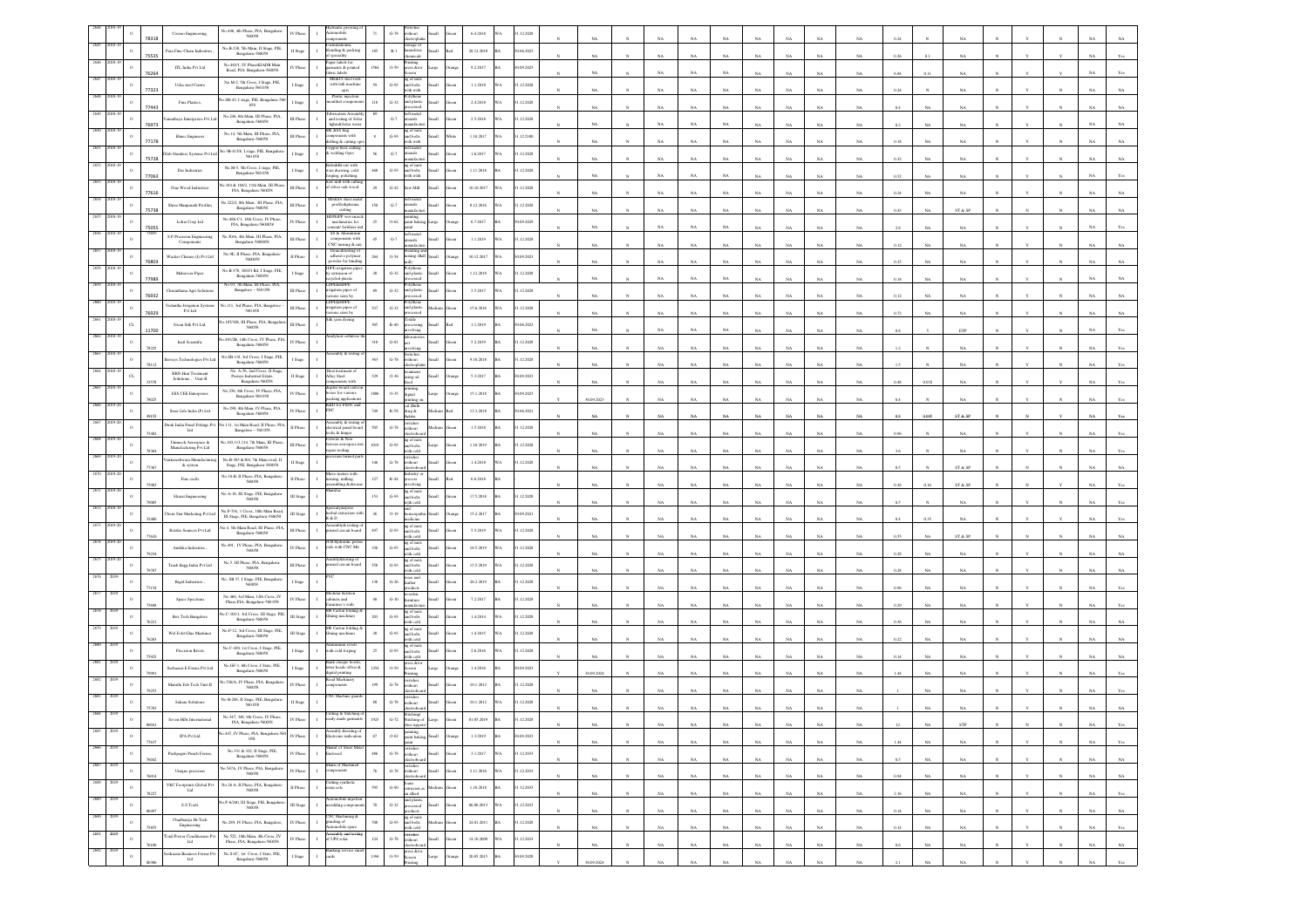|      |                 |              | Cosmo Engineering                                 | No.446, 4th Phase, PIA, Bengaluru-<br>560058                                                          | IV Phas                   | sidomo                                                                           |                 | ithout<br>$G - 78$                                                       |     | 6.4.2018      |     | 1.12.2028  |             |             |             |             |              |             |             |             |          |             |             |  |             |              |
|------|-----------------|--------------|---------------------------------------------------|-------------------------------------------------------------------------------------------------------|---------------------------|----------------------------------------------------------------------------------|-----------------|--------------------------------------------------------------------------|-----|---------------|-----|------------|-------------|-------------|-------------|-------------|--------------|-------------|-------------|-------------|----------|-------------|-------------|--|-------------|--------------|
|      |                 |              | Para Fine-Chem Indu                               | No.B-230, 5th Main, II Stage, PIE,<br>Bengalaru-560058                                                | II Stage                  | ading & packing                                                                  | 185             | torage of<br>azardous<br>$\mathbb{R}\text{-}1$                           |     | 28.12.2018    |     | 0.06.2023  |             |             |             |             |              |             |             |             |          |             |             |  |             |              |
|      |                 | 75535        | ITL India Pvt Ltd                                 | No.463/1, IV PhaseKIADB Main                                                                          | IV Phase                  | nents & printed                                                                  | 1564            | micals<br>ıting<br>0-59<br>eess &/or                                     |     | 9.2.2017      |     | 0.09.2023  | NA          | NA          | NA          | NA          |              |             | NA          | NA          | 0.26     |             |             |  |             |              |
|      |                 | 76264        |                                                   | Road, PIA, Benzaluru-560058<br>No.M-2, 5th Cross, I Stage, PIE,                                       |                           | vic labels<br>MS&CI steel rod                                                    |                 | ag of nuts                                                               |     |               |     |            | NA          | NA          | NA          | NA          |              |             | N           |             | 684      |             |             |  |             |              |
|      |                 | 77323        | Usha steel Centre                                 | Bengaluru-560 058                                                                                     | Stage                     | with lath machine $_{\rm ops}$<br>Plastic injecti                                |                 | $\,$ G-93<br>and bolts<br>with with<br>olythene                          |     | 1.1.2018      |     | .12.2028   | $_{\rm NA}$ | NA          | NA          | $_{\rm NA}$ | NA           |             | NA          | $_{\rm NA}$ | $0.24\,$ |             | NA          |  |             |              |
|      |                 | 77443        | Fine Plastics                                     | o.SB-43, I stage, PIE, Bengaluru-560<br>058                                                           | I Stage                   | oulded compor                                                                    | $118\,$         | $_{\mathrm{G-32}}$<br>and plastic<br>ssed                                |     | 2.4.2018      | A   | 1.12.2028  | $_{\rm NA}$ | NA          | $_{\rm NA}$ | $_{\rm NA}$ |              |             | NA          | NA          |          |             |             |  |             |              |
|      |                 | 76973        | atheya Enterprises Pvt L                          | No.246, 8th Main, III Phase, PIA,<br>Bengaluru-560058                                                 | III Phas                  | <b>brication Ass</b><br>and testing of Sola<br>$\mathbf{I}$<br>lights&Solar wate |                 | ell metal<br>$G-7$<br>tensils                                            |     | 2.5.2018      |     | 1.12.2028  | $_{\rm NA}$ | NA          | NA          | $_{\rm NA}$ | NA           |             | $_{\rm NA}$ | $_{\rm NA}$ | 0.2      | NA          | $_{\rm NA}$ |  |             |              |
|      |                 | 7178         | Elmec Engineers                                   | No.14, 5th Main, III Phase, PIA,<br>Bengaluru-560058                                                  | III Phas                  | <b>IS &amp;SS Eng</b><br>ponents with<br>ling & cutting                          |                 | ng of nuts<br>and bolts<br>with with<br>$\,$ G-93                        |     | 1.10.2017     |     | 12.2100    | $_{\rm NA}$ | NA          | NA          | NA          |              |             | NA          | NA          | 0.18     |             | NA          |  |             |              |
|      |                 |              | Dfab Stainless Systems Pvt Lt                     | io.3B-415/8, I stage, PIE, Bengalur<br>560 058                                                        | I Stage                   | opper buss cutti<br>: welding Oprs                                               |                 | ell metal<br>tensils<br>$G-7$                                            |     | 1.6.2017      |     | 1.12.2028  |             |             |             |             |              |             |             |             |          |             |             |  |             |              |
|      |                 | 75728        | Das Industries                                    | No.M-5, 5th Cross, 1 stage, PIE,<br>Bengaluru-560 058                                                 | I Stage                   | ts&Rivets with<br>rire drawing, cold                                             | 468             | nufact<br>g of nut<br>G-93<br>and bolts                                  |     | 1.11.2018     |     | 1.12.2028  | NA          | NA          | NA          | NA          |              |             | NA          | NA          | 0.32     |             | NA          |  |             |              |
|      |                 | 77063        |                                                   | .184 & 1842, 11th Main, III Phas                                                                      |                           | ging, polishing,<br>mill with cut<br>silver oak wood                             | 29              | with with<br>$G-42$<br>aw Mill                                           |     | 10.10.2017    |     | .12.2028   | $_{\rm NA}$ | NA          | NA          | NA          |              |             |             | NA          |          |             |             |  |             |              |
|      |                 | 77616        | Fine Wood Industries                              | PIA, Bengaluru-560058<br>o.222/2, 8th Main, III Phase, PIA,                                           | III Phase                 | <b>IS&amp;SS</b> sheet m                                                         |                 | ell met                                                                  |     |               |     |            | $_{\rm NA}$ | NA          | NA          | NA          |              |             | NA          | NA.         |          |             | NA          |  |             |              |
|      |                 | 75738        | Shree Manjunath Profile                           | Bengaluru-560058                                                                                      | III Phase                 | profile&plasma<br>cutting<br><b>DPEPP</b> woy                                    | 150             | $\mbox{G-}7$<br>ensils<br>nufacti                                        |     | 8.12.2016     |     | 1.12.2028  | NA          | NA          | NA          | NA          |              |             |             |             |          |             | ST & SP     |  |             |              |
|      |                 | 5055         | Lohia Corp Ltd                                    | No.486-C1, 14th Cross, IV Phase,<br>PIA, Bengaluru-5600058                                            | IV Phas                   | machineries for<br>ent/ fertilizer i                                             | 25              | ainting,<br>aint bakin<br>$O-62$                                         |     | 6.7.2017      |     | 0.09.2029  | $_{\rm NA}$ | NA          | NA          | $_{\rm NA}$ |              |             | NA          | NA          |          |             | NA          |  |             |              |
|      |                 |              | S.P.Precision Enginee<br>Components               | No.50/A, 4th Main, III Phase, PIA,<br>Bengaluru-5600058                                               | III Phase                 | SS & Aluminium<br>components with<br>CNC turning & m/s                           | 45              | ell metal<br>$\mbox{G-7}$<br>tensils                                     |     | 1.1.2019      |     | 1.12.2028  | NA          | NA          | NA          | NA          |              |             | NA          | NA          | 0.12     |             | NA          |  |             |              |
|      |                 | <b>FORA1</b> | Wacker Chemie (I) Pvt La                          | No.9E, II Phase, PIA, Bengaluru-5600058                                                               | II Phase                  | Demo&testing o<br>adhesive polyme<br>wder for bindir                             | 264             | 0.54<br>ixing (Ball<br>dh                                                |     | 10.12.2017    | A   | 0.09.2023  | NA          | NA          | NA          | NA          |              |             |             |             |          |             |             |  |             |              |
|      |                 |              | Mahaveer Pipes                                    | No.B-378, 100 Ft Rd, I Stage, PIE,<br>Bengaluru-560058                                                | I Stage                   | <b>IDPE</b> irrigation pip<br>by extrusion of<br>cled plasti                     | $_{\rm 28}$     | olythene<br>$_{\mathrm{G-32}}$<br>and plastic                            |     | 1.12.2018     |     | 1.12.2028  | NA          |             |             | NA          |              |             | NA          | $_{\rm NA}$ | $0.18\,$ |             |             |  |             |              |
|      |                 | 77989        | hiranthana Agri Solution                          | io.93, 7th Main, III Phase, PLA<br>Bangalore - 560 058                                                | III Phase                 | <b>DPE&amp;HDPE</b><br>igation pipes of                                          | 89              | $_{\mathrm{G-32}}$<br>nd plasti                                          |     | 3.5.2017      |     | .12.2028   |             | NA          | NA          |             |              |             |             |             |          |             | NA          |  |             |              |
|      |                 | 76932        | Cedantha Irrigation System<br>Pvt Ltd             | $\begin{array}{c} \text{No.111, 3rd Phase, PIA, Bangalore}\\ 560\ 058 \end{array}$                    | III Phas                  | ous sizes by<br><b>DPE&amp;HDPE</b>                                              | 527             | $G-32$<br>and plastic                                                    |     | 15.6.2016     |     | 1.12.2028  | NA          | NA          | NA          | NA          |              |             | NA          | NA          | 012      |             |             |  |             |              |
|      |                 | 76929        |                                                   |                                                                                                       |                           | igation pipes of<br>rious sizes by<br>Silk yarn dyeing                           | 305             | extile                                                                   |     |               |     |            | $_{\rm NA}$ | NA          | NA          | $_{\rm NA}$ | $\mathbb{N}$ |             | NA          | $_{\rm NA}$ | $0.72\,$ |             | NA          |  |             |              |
|      |                 | 11700        | Swan Silk Pvt Ltd,                                | s.107/108, III Phase, PIA, Bengalus<br>560058<br>491/2B, 14th Cross, IV Phase, PIA,                   | III Phase                 | alytical cellul                                                                  |                 | $\rm R\text{-}40$<br>dving                                               |     | 1.1.2019      |     | 0.06.2022  | $_{\rm NA}$ | NA          | $_{\rm NA}$ | NA          |              |             | NA          | NA.         |          |             | ETP         |  |             |              |
|      |                 |              | Insil Scientific                                  | Bengalaru-560058                                                                                      | IV Phase                  | nbly & t                                                                         | 310             | $G-81$<br>witche                                                         |     | 5.2.2019      |     | 1.12.2028  | NA          |             | NA          | NA          |              |             | NA          |             |          |             | NA          |  |             |              |
|      |                 |              | visys Technologies Pvt La                         | No.SB.118, 3rd Cross, I Stage, PIE,<br>Bengaluru-560058<br>No. A-56, 2nd Cross, II Stage,             | I Stage                   | leat treatment                                                                   | 363             | $G-78$<br>ithout                                                         |     | 9.10.2018     |     | 1.12.2028  | NA          |             | NA          | NA          |              |             | NA          | NA          |          |             | NA          |  |             |              |
|      |                 |              | RKN Heat Treatment<br>Solutions., - Unit-II       | Peenya Industrial Esta<br>Bengalaru-560058                                                            | II Stage                  | <b>Iloy Steel</b><br>tents with                                                  | 329             | cauncin<br>sing oil<br>0-36                                              |     | 5.3.2017      |     | 0.09.2023  |             |             |             |             |              |             |             |             |          |             |             |  |             |              |
|      |                 |              | ESS CEE Enterprises                               | No.256, 8th Cross, IV Phase, PIA,<br>Bengaluru-560 058                                                | IV Phase                  | uplex board cart<br>oxes for various                                             | 1806            | einting.<br>igital<br>0.35<br>sting (                                    |     | 15.1.2018     |     | 0.09.2023  | 30.09.2023  |             |             |             |              |             |             |             |          |             |             |  |             |              |
|      |                 |              | Steer Life India (P) Ltd                          | $\begin{array}{c} \text{No.290, 4th Main, IV Phase, PIA,} \\ \text{Bengaluru-560058} \end{array}$     | IV Phas                   | packing application<br>R&D for PSDC and<br>DC.                                   | 749             | cal (Balk<br>R-58<br>ing &                                               |     | 13.3.2018     |     | 0.06.2021  |             |             |             |             |              |             |             |             |          |             |             |  |             |              |
|      |                 |              | Dirak India Panel Fittings Pv<br>Lad              | .111, 1st Main Road, II Phase, PIA<br>Bangalore - 560 058                                             | II Phase                  | embly & testi<br>ectrical panel b<br>ectrical panel b<br>eks & hinges            | 505             | tetive<br>vitcher<br>$_{\mathrm{G-78}}$<br>ithout                        |     | 1.5.2018      |     | 1.12.2028  |             |             |             |             |              |             |             |             |          |             | ST & SP     |  |             |              |
|      |                 |              | Unimech Aerospace &                               | o.103,113,114, 7th Main, III Phase                                                                    | III Phase                 | aus & Non<br>ous aerospace                                                       | 1019            | ctrobe<br>ng of nuts<br>$G-93$                                           |     | 1.10.2019     |     | 1.12.2028  | NA          |             |             |             |              |             | NA          |             |          |             | NA          |  |             |              |
|      |                 |              | Manufacturing Pvt Ltd<br>erkateshwara Manufact    | Bengaluru-560058<br>No.B-303 &304, 7th Main road, II                                                  |                           | air tooling<br>ion turned p                                                      |                 | nd bolts<br>/ith cold<br>witcher                                         |     |               |     |            | NA          |             | NA          |             |              |             | NA          |             |          |             | NA          |  |             |              |
|      |                 |              | & system                                          | Stage, PIE, Bengaluru-560058<br>io.18-B, II Phase, PIA, Bengaluru-                                    | I Stag                    | cro meters with<br>ning, milling,                                                | 146             | $_{\mathrm{G-78}}$<br>ithout<br>istry o                                  |     | 1.4.2018      |     | 1.12.2028  | NA          | NA          | NA          | NA          |              |             | NA          | NA.         |          |             | ST & SP     |  |             |              |
|      |                 |              | Fine crafts                                       | 560058                                                                                                | II Phase                  | bling &chr                                                                       | $127\,$         | $R-44$<br>rolving<br>ag of nuts                                          |     | 6.6.2018      |     |            |             |             |             |             |              |             |             |             |          |             | ST & SP     |  |             |              |
|      |                 |              | Sharat Engineering                                | No. A-18, III Stage, PIE, Bengaluru-<br>560058                                                        | III Stage                 | cial purpose                                                                     | 153             | G-93<br>ad bolts<br>rith cold                                            |     | 17.5.2018     |     | 1.12.2028  |             |             |             |             |              |             |             |             |          |             |             |  |             |              |
|      |                 |              | Them Star Marketing Pvt L                         | No.P-5/A, 1 Cross, 10th Main Road<br>III Stage, PIE, Bengaluru-560058                                 | II Stag                   | rbal extraction<br>$\&$ D                                                        | 26              | $0 - 19$<br>tedicine                                                     |     | 15.2.2017     |     | (09.2021)  | NA          |             |             |             |              |             | NA          | NA          |          |             | NA          |  |             |              |
|      |                 |              | Rotzler Semices Pvt Ltd                           | lo.4, 5th Main Road, III Phase, PIA,<br>Bengalaru-560058                                              | III Phase                 | sembly& testing<br>sted circuit boar                                             | 497             | ng of nuts<br>and bolts<br>$\,$ G-93<br>ith cok                          |     | 5.5.2019      |     | 1.12.2028  |             |             |             |             |              |             |             |             |          |             | ST & SI     |  |             |              |
|      |                 |              | Ambika Industries.                                | No.491, IV Phase, PIA, Bengaluru<br>560058                                                            | IV Phas                   | TB Hydraulic pi<br>ads with CNC Mic<br>$\mathbf{I}$                              | 330             | ng of nuts<br>and bolts<br>$G-93$<br>ith cold                            |     | 16.5.2019     |     | 1.12.2028  | NA          |             |             |             |              |             | NA          |             | 0.28     |             | NA          |  |             |              |
|      |                 |              | Traab Engg India Pvt Ltd                          | No.5, III Phase, PIA, Bengaluru $$560058$                                                             | III Phas                  | nbly&testing<br>ted circuit board                                                | 558             | g of nuts<br>nd bolts<br>$\,$ G-93 $\,$                                  |     | 15.5.2019     |     | 1.12.2028  |             |             |             |             |              |             |             |             |          |             |             |  |             |              |
|      |                 |              | Rigid Industries                                  | Vo. SB 37, I Stage, PIE, Bengaluru-<br>560058                                                         | I Stage                   |                                                                                  | 138             | ith cold<br>rear and<br>$G-26$<br>cather.                                |     | 26.2.2019     |     | 1.12.2028  |             |             |             |             |              |             |             |             |          |             |             |  |             |              |
|      |                 |              | Space Spectrum                                    | No.466, 3rd Main, 12th Cross, IV                                                                      | IV Phase                  | ular Kitch<br>binets and                                                         | 40 <sup>°</sup> | ooden<br>amiture<br>$G-10$                                               |     | 7.2.2017      |     | 1.12.2028  |             |             |             |             |              |             |             |             |          |             |             |  |             |              |
|      |                 |              |                                                   | Phase, PIA, Bengaluru-560 058<br>o.C-101/1, 3rd Cross, III Stage, PII                                 |                           | ure's wi<br>S Carton foldin                                                      | 203             | nufac<br>g of nuts                                                       |     |               |     |            | NA          |             |             |             |              |             |             | NA          |          |             |             |  |             |              |
|      |                 |              | Box Tech Bangalore                                | Bengalaru-560058<br>No.P-12, 3rd Cross, III Stage, PIE,                                               | II Stag                   | uing machines<br>Carton fold                                                     |                 | $\,$ G-93<br>nd bolts<br>ith cold                                        |     | 1.4.2014      |     | .12.2028   | NA          |             |             |             |              |             |             | NA          |          |             |             |  |             |              |
|      |                 |              | Wel Fold Glue Machines                            | Bengalaru-560058                                                                                      | III Stap                  | luing machines<br>inium revet                                                    | 28              | ng of nuts<br>and bolts<br>with cold<br>$G-93$                           |     | 1.4.2015      |     | 1.12.2028  |             |             |             |             |              |             |             |             |          |             |             |  |             |              |
|      |                 |              | Precision Rivets                                  | $\begin{array}{c} \text{No.C-430, 1st Cross, 1 Stage, PIE,} \\ \textbf{Bengaluru-560058} \end{array}$ | I Stage                   | ith cold forging<br>$\mathbf{I}$                                                 | $25\,$          | ng of nuts<br>and bolts<br>$G-93$<br>ith cold                            |     | 2.6.2016      |     | 1.12.2028  |             |             |             |             |              |             |             |             |          |             |             |  |             |              |
|      |                 |              | ieshaasai E Forms Pvt Ltd                         | No.GF-1, 6th Cross, I State, PIE,<br>Bengalaru-560058                                                 | I Stage                   | ter heads offset &<br>gital printing                                             | 1254            | ess &/or<br>0.59<br>creen                                                |     | 1.4.2016      |     | 1.09.2023  | 30.09.2024  |             | NA          |             |              |             |             |             |          |             |             |  |             |              |
|      |                 |              | Maruthi Fab Tech Unit-II                          | io.526/A, IV Phase, PIA, Bengaluru<br>560058                                                          | <b>IV Phas</b>            | ad Machinar<br><i>aponents</i>                                                   | 199             | vitches<br>$G-78$<br>ithout                                              |     | 10.1.2012     |     | 1.12.2028  |             |             |             |             |              |             |             |             |          |             |             |  |             |              |
|      |                 |              | Sahara Solutions                                  | No.B-206, II Stage, PIE, Bengalu<br>560 058                                                           | I Stag                    | <b>NC</b> Machine gu                                                             | 88              | ritches<br>ithout<br>$_{\mathrm{G-78}}$                                  |     | 10.1.2012     |     | 1.12.2028  |             |             |             |             |              |             |             |             |          |             |             |  |             |              |
|      |                 |              | Seven Hills Inte                                  | No.347, 348, 9th Cross, IV Phase,                                                                     |                           | ing & Stitch<br>dy made ga                                                       | 923             | $G-72$<br>chine                                                          |     | 01.05.2019    |     | 12.2028    |             |             |             |             |              |             |             |             |          |             |             |  |             |              |
| 268  | $\Omega$        |              | IPA Pvt Ltd                                       | No.447, IV Phase, PIA, Bengaluru-560<br>058                                                           | IV Phas                   | mbly &testing of<br>ctronic indication                                           | 67              | inting.<br>$O-62$<br>aint bakin                                          |     | 1.3.2019      |     | 90.09.2023 |             |             |             |             |              |             |             |             |          |             |             |  |             |              |
| 2686 | $\,$ $\,$       |              | Pushpagiri Punch Forms,                           | No.<br>331 & 322, II Stage, PIE,                                                                      | $\operatorname{IV}$ Phase | <b>Manuf of Sheet Me</b><br>$\mathbf{I}$<br>Enclosed                             | 486             | .<br>switches<br>without<br>$_{\mathrm{G-78}}$                           | di. | 3.1.2017      | WА  | 31.12.2033 | NA          | NA          | NA          | $_{\rm NA}$ | NA           |             | NA          | $_{\rm NA}$ | 1.44     | NA          | NA          |  |             | Yes          |
| 2687 | $\mathbf{o}$    | 76042        | Unique precision                                  | Bengalaru-560058<br>io.547A, IV Phase, PIA, Bengaluru<br>560058                                       | IV Phase                  | inu of Machine<br>$\mathbf{I}$<br>mponents                                       | $76\,$          | ectroboar<br>witches<br>$G-78$<br>aitheut<br><b>Ham</b>                  |     | 2.11.2016     |     | 1.12.2033  | $_{\rm NA}$ | NA          | $_{\rm NA}$ | $_{\rm NA}$ | $_{\rm NA}$  | NA          | $_{\rm NA}$ | $_{\rm NA}$ | 0.5      | NA          | NA          |  | $_{\rm NA}$ | $_{\rm NA}$  |
|      |                 | 76014        |                                                   |                                                                                                       |                           | Cutting synthet<br>exin sole                                                     |                 |                                                                          |     |               |     |            | $_{\rm NA}$ | NA          | NA          | NA          | NA           | NA          | $_{\rm NA}$ | $_{\rm NA}$ | 0.94     | NA          | NA          |  | NA          | NA           |
| 2689 | $\circ$<br>2019 |              | VKC Footprints Global Pvt $$\rm{Lid}$$            | No.<br>26 A, II Phase, PIA, Bengaluru-<br>$560058\,$                                                  | II Phase                  | atomobile injectic                                                               | 595             | foam<br>extrusion a<br>an allied<br>$\operatorname{G-90}$<br>and plastic |     | $1.10.2018\,$ |     | 31.12.2033 | $_{\rm NA}$ | $_{\rm NA}$ | $_{\rm NA}$ | $_{\rm NA}$ | $_{\rm NA}$  | $_{\rm NA}$ | $_{\rm NA}$ | $_{\rm NA}$ | 2.16     | $_{\rm NA}$ | $_{\rm NA}$ |  | $_{\rm NA}$ | $_{\rm Yes}$ |
|      | $\,$ $\,$       |              | $S.S$ Tools                                       | No.P-6/240, III Stage, PIE, Bengalun<br>560058                                                        | III Stage                 | ulding compo                                                                     | $70\,$          | $_{\rm{G-32}}$<br>rocessed<br>oducts                                     |     | 06.06.2013    | ίĀ  | 1.12.2033  | NA          | NA          | NA          | NA          | NA           | NA          | NA          | NA          | 0.14     | NA          | NA          |  | NA          | NA           |
|      | $\,$ $\,$       |              | Chaithanya Hi-Tech<br>Engineering                 | No.289, IV Phase, PIA, Bangalore,                                                                     | IV Phase                  | NC Machining &<br>inding of<br>mobile spare<br>mbly and test                     | 708             | ng of nuts<br>and bolts<br>with cold<br>$G-93$                           |     | 24.01.2011    |     | 1.12.2028  | NA          | NA          | NA          | NA          | NA           | NA          | $_{\rm NA}$ | $_{\rm NA}$ | 0.14     | NA          | NA          |  | NA          | Yes          |
|      | $\circ$         |              | <b>Total Power Conditioners P</b><br>$_{\rm Ldd}$ | No.522, 10th Main, 4th Cross, IV<br>Phase, PIA, Bengaluru-560058                                      | IV Phas                   | of UPS solar                                                                     | $124\,$         | witches<br>/ithout<br>$G-78$<br>sШ<br>ectrobo                            |     | 14.10.2009    | ΙĀ. | 1.12.2033  | NA          | NA          | NA          | NA          | NA           | NA          | NA          | $_{\rm NA}$ | 0.6      | NA          | NA          |  |             | NA           |
|      |                 |              | Seshaasai Business Forms Pv<br>Lad                | No $\mathcal{S}\,\textup{I/C},\,\textup{Ist}$ Cross, I State, PIE,<br>Bengaluru-560058                | I Stage                   | Banking service s<br>cards<br>$\mathbf{I}$                                       | 1394            | press &/or<br>0.59<br>creen<br>Printine                                  |     | 20.05.2015    |     | 0.09.2028  | 30.09.202   |             |             |             |              |             | NA          | NA          |          |             |             |  |             |              |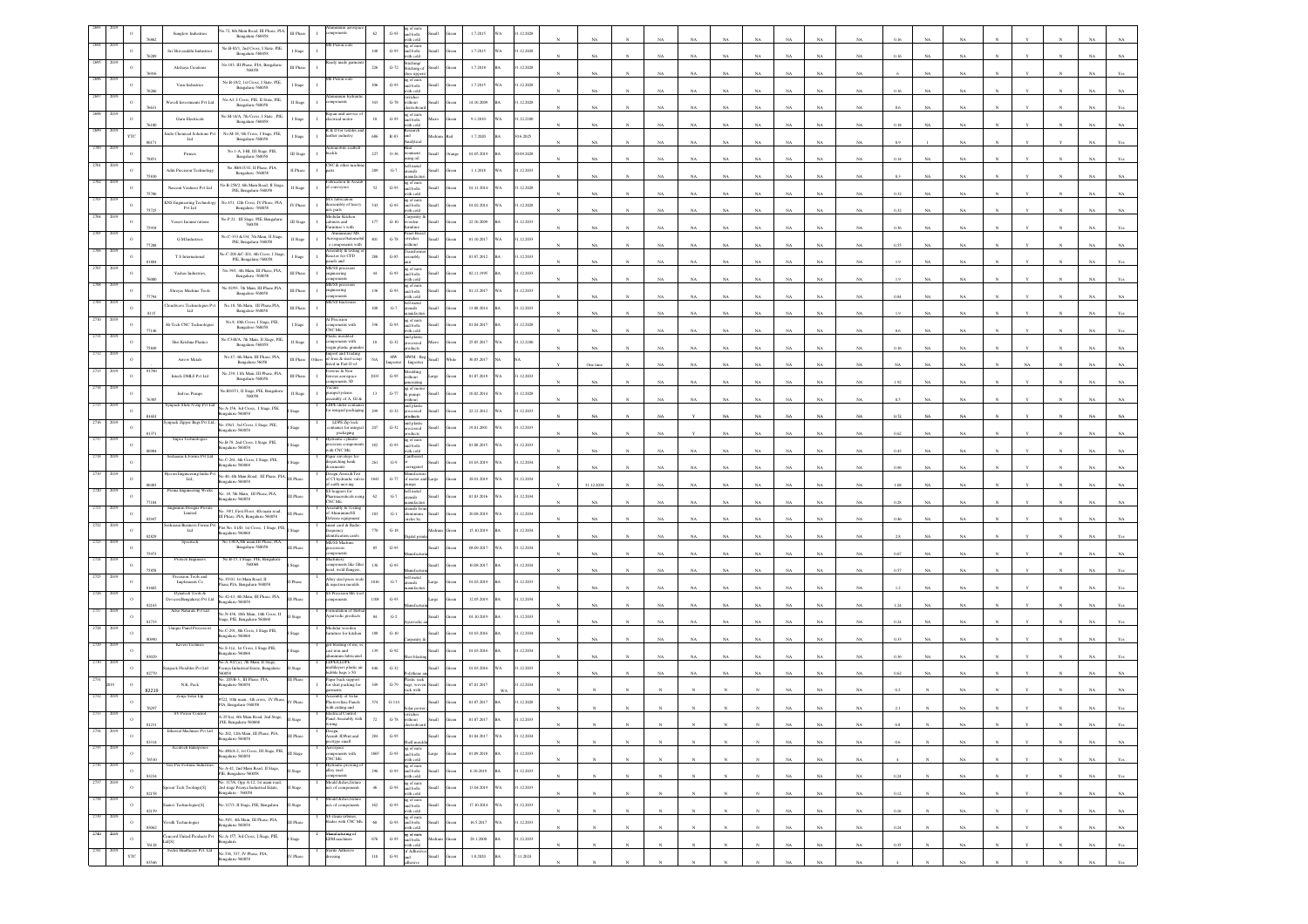|              |          |       | Sunglow Industries                                  | io.72, 6th Main Road, III Phase, PIA,<br>Bengalaru-560058                                     | III Phas  |                                                                                                        | 62            | $G-93$                            | ig of nuts<br>ind bolts<br>ith cold  |        | 1.7.2015   | 1.12.2028       |             |    |                |             |             |                |             |      |             |  |             |             |
|--------------|----------|-------|-----------------------------------------------------|-----------------------------------------------------------------------------------------------|-----------|--------------------------------------------------------------------------------------------------------|---------------|-----------------------------------|--------------------------------------|--------|------------|-----------------|-------------|----|----------------|-------------|-------------|----------------|-------------|------|-------------|--|-------------|-------------|
|              |          |       | Sri Shivasakthi Industrier                          | No.B-82/1, 2nd Cross, I State, PIE,<br>Bengaluru-560058                                       | I Stage   | Piston rods                                                                                            | $148\,$       | $G-93$                            | ag of nuts<br>and bolts              | Iliamā | 1.7.2015   | .12.2028        |             |    |                |             |             |                |             |      |             |  |             |             |
|              |          |       | Akshaya Creations                                   | No. 183, III Phase, PIA, Bengaluru-                                                           | III Phase |                                                                                                        | $226\,$       | $\operatorname{G-72}$             | ith cold<br>titching/<br>Stitching o |        | 1.7.2018   | .12.2028        |             | NA | NA             | NJ          |             | NA             | NA          | 0.16 |             |  |             |             |
|              |          |       | Vasu Industries                                     | No.B-18/2, 1st Cross, 1 State, PIE,                                                           |           | Piston rod                                                                                             | 106           | $G-93$                            | $:$ ups<br>ig of nuts<br>ind bolts   |        | 1.7.2015   | .12.2028        |             |    |                |             |             |                |             |      |             |  |             |             |
|              |          |       |                                                     | Bengaluru-560058<br>No.A3, I Cross, PIE, II State, PIE,                                       | Stage     | inium hy                                                                                               |               |                                   | th col<br>itches<br>thout            |        |            |                 | NA          | NA |                | NA          |             | NA             | $_{\rm NA}$ | 0.16 |             |  |             |             |
|              |          |       | Wavell Investments Pvt Ltd                          | Bengalaru-560058                                                                              | II Stage  | uir and aerv                                                                                           | 343           | $_{\mathrm{G-78}}$                | ig of nuts                           |        | 14.10.2009 | .12.2028        |             |    |                |             |             |                |             |      |             |  |             |             |
|              |          |       | Guru Electricals                                    | No.M-14/A, 7th Cross, I State, PIE<br>Bengalaru-560058                                        | I Stage   | trical motor<br>& D for tex                                                                            | $10$          | $G-93$                            | ad bolts                             |        | 9.1.2010   | .12.2100        | NA          |    | NA             | $_{N}$      |             | $_{\rm NA}$    | NA          | 0.18 |             |  |             |             |
|              |          |       | indo Chemical Solutions Pv<br>$_{\rm Lad}$          | No.M-18, 9th Cross, I Stage, PIE,<br>Bengaluru-560058                                         | Stage     | ather industry                                                                                         | 686           | $R-83$                            | hm                                   |        | 1.7.2020   | 0.6.2025        | NA          | NA | N.             | NA          |             | NA             | $_{\rm NA}$ |      | NA          |  |             |             |
|              |          |       | Primex                                              | No.1-A, 1-BI, III Stage, PIE,<br>Bengalaru-560058                                             | III Stage | tomobile seat<br>nckle                                                                                 | $227\,$       | $0.36\,$                          | leat<br>ng oil                       |        | 01.05.2019 | 0.09.2028       |             |    | Na             |             |             | NA             | NA          |      |             |  |             |             |
|              |          |       | Aditi Precision Technology                          | No.3B/415/32, II Phase, PIA,<br>Benealuru -560058                                             | II Phase  | iC & oth                                                                                               | $209\,$       | $_{\mathrm{G-7}}$                 | ell metal<br>ensils                  |        | 1.1.2018   | .12.2033        |             |    |                |             |             |                |             |      |             |  |             |             |
|              |          |       | Nascent Ventures Pvt Ltd                            | vo.B-258/2, 6th Main Road, II Stag<br>PIE, Bengaluru-560058                                   | I Stag    | rication & As<br>aveyon                                                                                | 52            | $\,$ G-93                         | a of nuts<br>and bolts               |        | 01.11.2014 | .12.2028        |             |    | N <sub>0</sub> |             |             | NA             | NA.         |      |             |  |             |             |
|              |          |       | KNS Engineering Technolo                            | No.451, 12th Cross, IV Phase, PIA                                                             | V Phase   | M.S fabrication<br>sembly of heav                                                                      | 543           | $\,$ G-93 $\,$                    | ith col<br>1g of nuts<br>and bolts   |        | 01.02.2014 | .12.2028        |             |    |                |             |             |                |             |      |             |  |             |             |
|              |          |       | Pvt Ltd                                             | Bengalaru -560058<br>No.P.21, III Stage, PIE, Bengaluri                                       |           | /c parts<br>Jular Kitch                                                                                |               |                                   | th cole                              |        |            |                 |             | NA |                |             |             |                |             |      |             |  |             |             |
|              |          |       | Vasavi Inonnovations                                | 560058                                                                                        | III Stage | abinets and<br>siture's with<br>Aluminium/MS                                                           | $177\,$       | $\operatorname{G-}10$             | vooden<br>anel Boar                  |        | 22.10.2009 | .12.2033        |             |    |                |             |             |                |             |      |             |  |             |             |
|              |          |       | <b>GMIndustries</b>                                 | No.C-333 & 334, 7th Main, II Stage<br>PIE, Bengaluru-560058                                   | Stage     | erospace/Automobile<br>components with<br>embly & testin                                               | $401\,$       | $_{\mathrm{G-78}}$                | witches<br>ithout                    |        | 01.10.2017 | .12.2033        |             | NA | NA             | NA          |             | NA             | NA          | 0.55 |             |  |             |             |
|              |          |       | T S International                                   | io.C-200 &C-201, 4th Cross, I Stag<br>PIE, Bengaluru-560058                                   | Stage     | actor for CFD<br>nels and                                                                              | 288           | $_{\rm G-S5}$                     | cmbly                                |        | 01.07.2012 | .12.2033        |             |    |                |             |             |                |             |      |             |  |             |             |
|              |          |       | Yashas Industries,                                  | No.39/1, 4th Main, III Phase, PIA<br>Bengaluru -560058                                        | III Phas  | S/SS precisio<br>gineering                                                                             | 44.           | $G-93$                            | ig of nuts<br>nd bolts               | ыl     | 02.11.1995 | .12.2033        |             |    |                |             |             |                |             |      |             |  |             |             |
|              |          |       | Shreyas Machine Tools                               | No.92/93, 7th Main, III Phase, PIA,<br>Bangalore-560058                                       | I Pha     | <b>IS/SS</b> precisi<br>gineering                                                                      | $136\,$       | $\,$ G-93                         | ag of nuts<br>and bolts              |        | 01.12.2017 | .12.2033        |             |    |                |             |             |                |             |      |             |  |             |             |
|              |          |       | loudwave Technologies Pvt                           | No.18, 5th Main, III Phase, PIA,<br>Bangalore-560058                                          | III Phas  | <b>IS/SS Enclos</b>                                                                                    | $108\,$       | $G-7$                             | vith cold<br>ell metal<br>sliens     |        | 13.08.2014 | .12.2033        | NA          | NA | NA             | NA          |             | NA             | NA          | 0.84 | NA          |  |             |             |
|              |          |       | Hi-Tech CNC Technologie                             | No.8, 10th Cross, 1 Stage, PIE,<br>Bangalore-560058                                           | I Stage   | Precision<br>mponents with<br>$\mathbf{I}$                                                             | 336           | $G-93$                            | ng of nuts<br>and bolts              |        | 01.04.2017 | .12.2028        | NA          | NA | NA             | N           |             | NA             | NA          |      |             |  |             |             |
|              |          | 77146 |                                                     |                                                                                               |           | NC Mc<br>astic moulded                                                                                 |               |                                   | th cok<br>id plasti                  |        |            |                 | $_{\rm NA}$ | NA | NA             | $_{\rm NA}$ |             | $_{\rm NA}$    | $_{\rm NA}$ |      | NA          |  |             |             |
|              |          |       | Shri Krishna Plastics                               | No.C340/A, 7th Main, II Stage, PIE<br>Bengaluru-560058<br>No.47, 4th Main, III Phase, PIA,    | II Stage  | anne monacea<br>irgin plastic gran<br>irgin plastic gran<br>mport and Trading<br>of Iron & steel scrap | $10\,$        | $_{\mathrm{G-32}}$<br>$_{\rm HW}$ | essed<br>doct<br>HWM - Reg           |        | 25.05.2017 | .12.2100        | NA          | NA | NA             | NA          |             | NA             | NA          | 0.16 | NA          |  |             |             |
|              |          |       | Arrow Metals                                        | Bengaluru-56058                                                                               | III Phas  | and in Part-D of<br>ous & Non                                                                          | $_{\rm NA}$   | iporter                           | Importe<br><b>Soulding</b>           | ыll    | 30.05.2017 |                 | One tin     | NA | NA             | $_{N}$      |             | N <sub>A</sub> | NA          |      |             |  |             |             |
|              |          |       | Intech DMLS Pvt Ltd                                 | No.239, 11th Main, III Phase, PIA<br>Bengalaru-560058                                         | II Phas   | rous aerospace<br>nponents 3D                                                                          | 2033          | $G-95$                            | ithout                               |        | 01.07.2019 | 1.12.2033       |             |    |                |             |             |                |             |      |             |  |             |             |
|              |          |       | Indvac Pumps                                        | io.B167/1, II Stage, PIE, Bengalar<br>560058                                                  | I Stage   | cum<br>mps/systems<br>mbly of A, GI &                                                                  | $13\,$        | $_{\mathrm{G-77}}$                | g of moto<br>: pumps<br>ithout       |        | 10.02.2014 | .12.2028        |             |    |                |             |             |                | NA          |      |             |  |             |             |
|              |          |       | npack Slide N Zip Pvt L                             | No.A-156, 3rd Cross, 1 Stage, PIE,<br>sealaru-560058                                          |           | <b>OPE</b> slide<br>e integral packaging                                                               | 299           | $G-32$                            | and plastic<br>processed             |        | 22.12.2012 | .12.2033        |             |    |                |             |             |                |             |      |             |  |             |             |
|              |          |       | npack Zipper Bags Pvt Ltd,                          | io.156/1, 3rd Cross, I Stage, PIE,<br>sgalaru-560058                                          |           | LDPE Zip lock<br>tainer for int<br>packaging                                                           | 247           | $_{\mathrm{G-32}}$                | duct<br>and plastic<br>processed     |        | 19.01.2001 | .12.2033        |             |    |                |             |             |                |             |      |             |  |             |             |
|              |          | 8137  | Supra Technologia                                   | Vo.B-78, 2nd Cross, I Stage, PIE,                                                             |           | draulic cylinds<br>ision com                                                                           | $182\,$       | $\,$ G-93                         | ducts<br>ag of nuts<br>and bolts     |        | 01.08.2015 | .12.2033        | NA          | NA |                |             |             | NA             | NA.         |      |             |  |             |             |
|              |          |       | eshaasai E Forms Pvt Lt                             | ngalaru-560058<br>40.C-261, 6th Cross, I Stage, PIE,                                          |           | vith CNC M/c<br>Paper envelops<br>spatching bank                                                       | 261           |                                   | ith cold                             |        |            |                 | NA          | NA | NA             | NA          |             | NA             | NA          | 043  | NA          |  |             |             |
|              |          |       | com Engineering India P<br>Ltd.,                    | ngalaru-560068<br>No.40, 4th Main Road, III Phase, PIA,                                       |           | ments<br>Design Assm, & Test                                                                           |               | $\mbox{G-}9$                      | lanufactu                            |        | 01.03.2019 | .12.2034        |             | NA |                |             |             | NA             | NA          |      |             |  |             |             |
|              |          |       | Prema Engineering Work                              | galaru-560058                                                                                 | III Phase | of CI hydraulic val<br>carth moving<br>S hoppers for                                                   | 1641          | $G - 77$                          | f motor a<br>ell metal               |        | 28.01.2019 | .12.2034        | 31.12.2034  | NA | NA             |             |             | NA             | NA          | 1.68 |             |  |             |             |
|              |          |       |                                                     | o. 18, 5th Main, III Phase, PIA,<br>alaru-560058                                              | I Phase   | harmaceuticals us<br><b>INC Mic.</b>                                                                   | $62\,$        | ${\bf G}\mbox{-}7$                | sliste                               |        | 01.03.2016 | .12.2034        | NA          |    | N <sub>0</sub> |             |             | NA             | NA.         | 0.28 |             |  |             |             |
|              |          |       | um Designs<br>Limited<br>ingi                       | o. 39/1, First Floor, 4th main road.<br>Phase, PIA, Bengaluru-560058                          | I Phase   | sembly & To<br>CAluminum/SS<br>efense equip                                                            | 103           | $_{\mathrm{G-1}}$                 |                                      |        | 20.08.2019 | .12.2034        | NA          | NA |                | NA          |             | NA             | $_{\rm NA}$ | 0.46 |             |  |             |             |
|              |          |       | Business<br>$_{\rm Lad}$                            | ot No. S1/D, 1st Cross, 1 Stage, PIE<br>igalaru-560068                                        | Stage     | mart card & Radio<br>requency<br>dentification cards                                                   | 770           | $_{\mathrm{G-18}}$                |                                      |        | 15.10.2019 | .12.2034        |             |    |                |             |             |                |             |      |             |  |             |             |
|              |          |       | Specified                                           | io 138/A,8th main,III Phase, PLA<br>Bengaluru-560058                                          | I Phase   | <b>IS/SS</b> Machine<br>cession<br>onents                                                              | 85            | $G-93$                            |                                      |        | 08.09.2017 | .12.2034        |             |    |                |             |             |                |             |      |             |  |             |             |
|              |          |       | Protech Engi                                        | No.B-15, I Stage, PIE, Bengalu<br>560068                                                      |           | ponents like fil                                                                                       | 136           | $G-93$                            |                                      |        | 10.08.2017 | 1.12.2034       |             |    | NA             | NA          |             | $_{\rm NA}$    | NA          | 0.67 |             |  |             |             |
|              |          |       | Precision Tools and<br>Implements Co                | o.35/10, 1st Main Road, II                                                                    |           | ad, weld flange<br>Alloy steel press tool                                                              | 1016          | $_{\mathrm{G-7}}$                 | slien                                |        | 01.03.2019 | .12.2033        |             |    |                |             |             | NA             |             |      |             |  |             |             |
|              |          |       | Dynatech Tools &                                    | ase, PIA, Bengaluru-560058<br>io.42-43, 4th Main, III Phase, PIA,                             |           | injection moulds<br>Precision MA                                                                       |               |                                   |                                      |        |            |                 |             |    |                |             |             | NA             | NA          |      |             |  |             |             |
|              |          |       | Devices(Bengaluru) Pvt Ltd<br>Adso Naturals Pvt Ltd | sealaru-560058<br>io.N-436, 10th Main, 14th Cross, II                                         | II Phase  | <i>sponents</i><br>ulation of H                                                                        | 1108          | $G-93$                            |                                      |        | 12.05.2019 | .12.2034        |             |    | N <sub>0</sub> |             |             | $N\Delta$      | NA.         |      |             |  |             |             |
|              |          |       | moue Panel P                                        | ge, PIE, Bengaluru-560068                                                                     |           | urvedic products<br>lodular wooden                                                                     | $\mathbf{84}$ | $_{\mathrm{G-2}}$                 |                                      |        | 01.10.2019 | .12.2033        |             | NA |                |             |             | NA             | NA.         |      |             |  |             |             |
|              |          |       |                                                     | 40.C-291, 8th Cross, I Stage.PIE,<br>ngalaru-560068                                           |           | iture for kitcher                                                                                      | $188\,$       | $G-10$                            |                                      |        | 01.03.2016 | .12.2034        | NA          | NA | NA             | N.          |             | NA             | NA          |      |             |  |             |             |
|              |          |       | Kaveri Technic                                      | No.S-1(i), 1st Cross, I Stage.PIE,<br>nealuru-560068                                          |           | rit blasting of ms,<br>ast iron and<br>ninum fabricat                                                  | 139           | $G-92$                            |                                      |        | 01.03.2016 | .12.2034        |             | NA | NA             |             |             | NA             |             |      |             |  |             |             |
|              |          | 8277  | npack Flexibles Pvt Ltd                             | .<br>No.A-302 (a), 7th Main, II Stage,<br>Peenya Industrial Estate, Bengaluru                 |           | <b>LDPE/LLDPE</b><br>altilayers plastic a<br>abble bags $>50$                                          | 446           | $_{\mathrm{G-32}}$                |                                      |        | 01.03.2016 | .12.2033        |             | NA | NA             |             |             | NA             | NA          |      | NA          |  |             |             |
|              |          |       | N.K. Pack                                           | o. 205/B-3., III Phase, PIA<br>galuru-560058                                                  | II Phas   | Paper back support<br>for shirt packing for<br>ments                                                   | 349           | $\operatorname{G-79}$             | stie sack<br>ags, wo<br>ck with      |        | 07.01.2017 | .12.2034        |             |    |                |             |             | $_{\rm NA}$    | NA          |      | NA          |  |             |             |
|              |          | 82219 | Zonje Solar Llp                                     | 1522, 10th main, 4th cross, IV Phase<br>L. Bengaluru-560058                                   | V Phase   | Assembly of Solar<br>Photovoltaic Panels                                                               | 374           | $G-114$                           |                                      |        | 01.07.2017 | .12.2028        |             |    |                |             |             |                |             |      |             |  |             |             |
|              |          |       |                                                     | -253(a), 6th Main Road, 2nd Stage,                                                            | Stage     | with cutting and<br><b>Jectrical Contro</b><br>Panel Assembly with                                     | $72\,$        | $_{\rm G-78}$                     | vitches<br>ithout                    |        | 01.07.2017 | .12.2033        |             |    |                |             |             |                |             |      |             |  |             |             |
| 2734         |          |       | Shereal Machines Pvt Ltd                            | 40.202, 12th Main, III Phase, PIA,                                                            |           | esign,<br>.ssmb,3DPmt and                                                                              |               |                                   |                                      |        |            |                 |             |    |                |             |             |                |             |      |             |  |             |             |
| 2735         | $\circ$  | 83314 | Accutech Enterprises                                | engalaru-560058                                                                               | II Phase  | stype small<br>rospace                                                                                 | $\bf 284$     | $G-95$                            |                                      | Iliami | 01.04.2017 | 1.12.2034<br>VA |             |    |                |             | $_{\rm NA}$ | $_{\rm NA}$    | $_{\rm NA}$ | 0.6  | $_{\rm NA}$ |  | NA          | $_{\rm NA}$ |
| 2736<br>2019 | $\circ$  | 76510 | Gee Pee Fostune Industrie                           | 40.480/A-2, 1st Cross, III Stage, PIE,<br>galaru-560058                                       | II Stage  | moonents with<br>$NC$ Mc                                                                               | 1665          | $G-93$                            | ng of nuts<br>and bolts<br>vith cold | Large  | 01.09.2018 | 1.12.2033       |             |    |                |             | NA          | $_{\rm NA}$    | $_{\rm NA}$ |      | $_{\rm NA}$ |  | NA          | Yes         |
|              | $\circ$  | 83234 |                                                     | No.A-42, 2nd Main Road, II Stage,<br>PIE, Bengaluru-560058                                    |           | <b>Hydraulic pressing<br/>alloy steel<br/>components<br/>Mould &amp;dies, fixture</b>                  | $296\,$       | $\,$ G-93                         | ng of nuts<br>and bolts<br>vith cold | Ilamõ  | 6.10.2019  | .12.2033        | $_{\rm N}$  |    | $\mathbf{N}$   |             | NA          | NA             | $_{\rm NA}$ | 0.24 | NA          |  | NA          | Yes         |
|              | $\circ$  | 82158 | rout Tech Toolings[S]                               | o. 117/6, Opp A-12, 1st main road,<br>id stage Peenya Industrial Estate,<br>engaluru - 560058 | Stage     | s/c of components                                                                                      | $46\,$        | $G-93$                            | ng of nuts<br>and bolts<br>with cold | Ilamā  | 13.04.2019 | 1.12.2033<br>٧A |             |    |                |             | NA          | NA             | $_{\rm NA}$ | 0.12 | NA          |  | NA          | $_{\rm NA}$ |
| 2738<br>2019 | $\rm ^o$ | 82159 | nvi Technologies[S]                                 | o.117/3, II Stage, PIE, Bengaluru                                                             | Stage     | Mould &dies, fixtun<br>de of components                                                                | $162\,$       | $\,$ G-93 $\,$                    | ng of nuts<br>and bolts              | ш      | 17.10.2014 | 1.12.2033       |             |    |                |             | $_{\rm NA}$ | $_{\rm NA}$    | NA          | 0.16 |             |  | $_{\rm NA}$ | $_{\rm NA}$ |
| 2739         | $\circ$  |       | vidh Technologies                                   | o.39/1, 4th Main, III Phase, PIA,<br>ngalaru-560058                                           | II Phase  | steam urbine<br>ades with CNC Mc                                                                       | $60\,$        | $\,$ G-93                         | with cold<br>ng of nuts<br>and bolts | щ      | 16.5.2017  | .12.2033        |             |    |                |             |             |                |             |      | NA          |  |             |             |
| 2740<br>2019 | $\rm ^o$ | 83062 | oncord United Products Pvt                          | No.A-157, 3rd Cross, I Stage, PIE,                                                            | Stage     | nufacturing of<br>DM machines                                                                          | 676           | $G-93$                            | vith cold<br>ng of nuts<br>and bolts |        | 28.1.2000  | .12.2033        |             |    |                |             | NA          | NA             | NA          | 0.24 | NA          |  | NA          | NA          |
| 2741         |          |       | $\text{ad}[S]$<br>Fedex Healthcare Pvt. Ltd.        | sealaru<br>o.536, 537, IV Phase, PIA,                                                         |           | crile Adhesive                                                                                         |               |                                   | ith cold                             |        |            |                 |             |    |                |             |             | NA             |             | 0.35 |             |  |             |             |
|              | YTO      |       |                                                     | galaru-560058                                                                                 | / Phase   | ssing                                                                                                  | $\rm 110$     | $\,$ G-91 $\,$                    | of Adhe<br>and<br>adhesive           |        | 1.8.2020   | 11.2024         |             |    |                |             |             | NA             | NA          |      |             |  |             |             |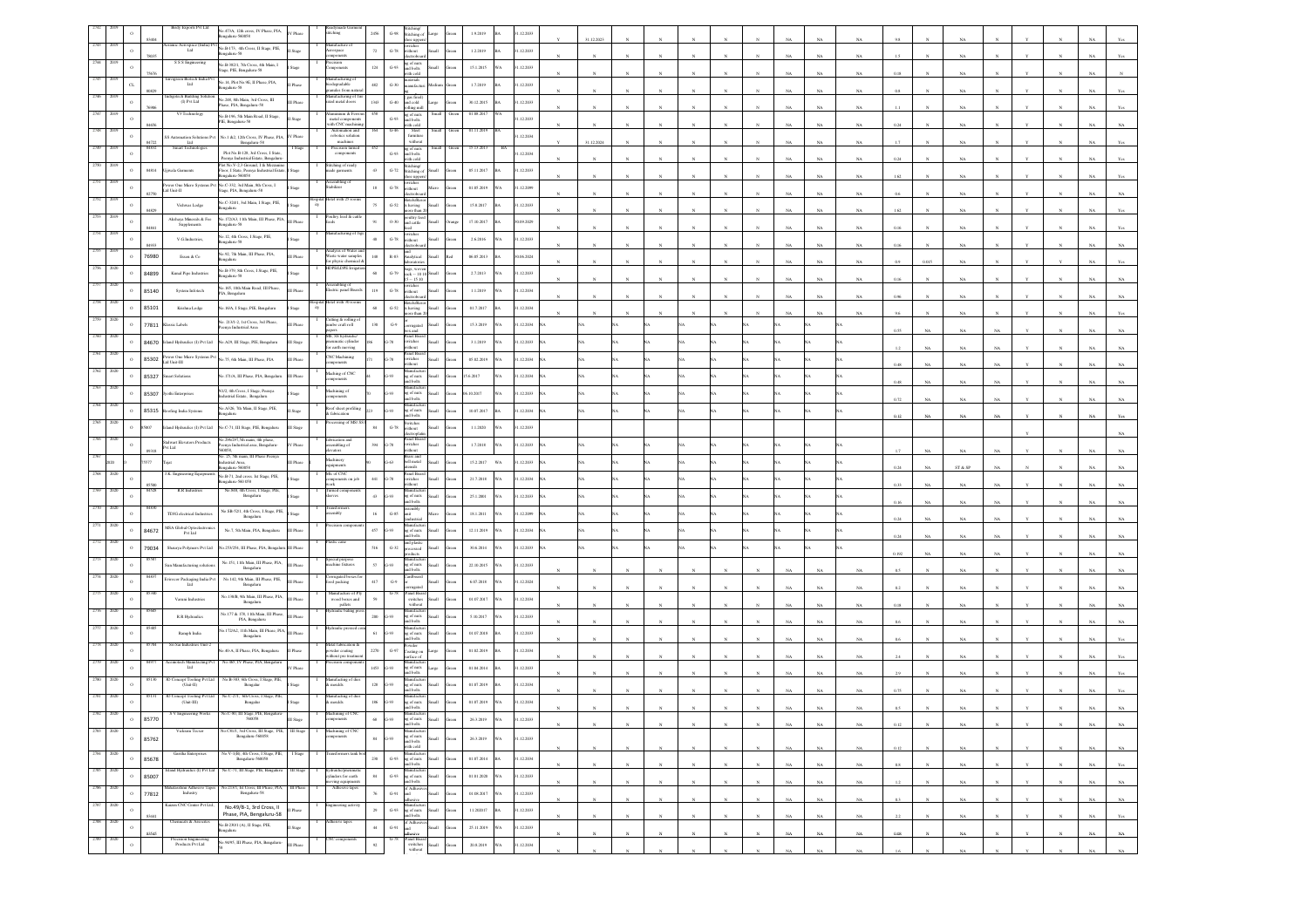|      |                     |       | Birdy Exports Pvt Ltd                                                                                 | No.473A, 12th cross, IV Phase, PIA,<br>Bengaluru-560058                                                 | V Phas           |                                                                  | 2456                 | $G-98$             | diching o<br>oe uppe                              |            | 1.9.2019                 | .12.2033  |              |            |                |              |             |             |             |              |    |             |   |            |                            |
|------|---------------------|-------|-------------------------------------------------------------------------------------------------------|---------------------------------------------------------------------------------------------------------|------------------|------------------------------------------------------------------|----------------------|--------------------|---------------------------------------------------|------------|--------------------------|-----------|--------------|------------|----------------|--------------|-------------|-------------|-------------|--------------|----|-------------|---|------------|----------------------------|
|      |                     |       |                                                                                                       | amic Aerospace (India) Pvt No.B-173, 4th Cross, II Stage, PIE,<br>Ltd<br>galaru-58                      | Stage            | inufacture o<br>rospace                                          | $\scriptstyle\rm 72$ | $G-78$             | witches<br>ithout                                 | oll.       | 1.2.2019                 | .12.2033  |              |            |                |              |             |             |             |              |    |             |   |            |                            |
|      |                     |       | S S S Engineering                                                                                     | No.B-382/1, 7th Cross, 4th Main, I<br>Stage, PIE, Bengaluru-58                                          |                  | tonents                                                          | $124\,$              | $\,$ G-93          | trobo<br>ig of nuts<br>ind bolts                  |            | 15.1.2015                | .12.2033  |              |            |                |              |             |             | NA          |              |    |             |   |            |                            |
|      | $\alpha$            |       | Envigreen Biotech I<br>Lad                                                                            | No.14, Plot No.9E, II Phase, PIA,                                                                       |                  | ufacturing o                                                     | 482                  | $G-30$             | ith cold<br>aterials<br>nufacti                   |            | 1.7.2019                 | .12.2033  |              |            |                |              |             |             |             |              |    |             |   |            |                            |
|      |                     |       | tech Building                                                                                         | 82-analagn                                                                                              |                  | >degradable<br>inules from nat<br>sufacturing of                 |                      |                    | gas fired                                         |            |                          |           |              |            |                |              |             |             | NA          | 0.8          |    |             |   |            |                            |
|      | $\Omega$            |       | (I) Pvt Ltd<br>V3 Technology                                                                          | No.248, 8th Main, 3rd Cross, III<br>Phase, PLA, Bengaluru-58                                            | I Phase          | ated metal doors<br>uminium & Fe                                 | 1343                 | $G-40$             | al cold<br>ling mi<br>g of nuts                   |            | 30.12.2015<br>01.08.2017 | .12.2033  |              |            |                |              |             |             |             |              |    |             |   |            |                            |
|      |                     | 8465  |                                                                                                       | No.B-196, 5th Main Road, II Stage,<br>PIE, Bengalaru-58                                                 | tage             | metal compone<br>with CNC machi                                  |                      | $G-93$             | alod ba<br>ith cold<br>Steel                      |            |                          | .12.2033  |              |            |                |              |             | NA          | NA          | 0.24         |    | NA          |   |            |                            |
|      | $\Omega$            | 5577  | S Automation Solutions Pv<br>Ltd                                                                      | No.1 &2, 12th Cross, IV Phase, PIA, IV Phase<br>Bengaluru-58                                            |                  | robotics solution<br>machines                                    |                      |                    | furnitur<br>without                               |            |                          | .12.2034  | 1.12.202     |            |                |              |             |             |             |              |    |             |   |            |                            |
|      | $\Omega$            | 84832 | Smart Technologies                                                                                    | Plot No.B-128, 3rd Cross, I State<br>eenya Industrial Estate, Bengaluru                                 | I Stage          | Precision turned<br>components                                   |                      | $\,$ G-93 $\,$     | ig of nuts<br>d bolts<br>ith cold                 |            | 15.13.2013<br>BA         | .12.2034  |              |            |                |              |             | NA          | NA          | 0.24         |    |             |   |            |                            |
|      |                     | 84814 | jiwala Garments                                                                                       | .<br>Plot No.V-2,3 Ground, I & Mezzanine<br>Floor, I State, Peenya Industrial Estate                    | Stage            | titching of read<br>ude garments                                 | $43\,$               | $G-72$             | itching<br>titching                               |            | 05.11.2017               | .12.2033  |              |            |                |              |             |             |             |              |    |             |   |            |                            |
|      |                     |       | ad Unit-II                                                                                            | galaru-560058<br>wer One Micro Systems Pvt No.C-332, 3rd Main, 8th Cross, I                             |                  | mbling or<br>abilizer                                            | 18                   | $G-78$             | ritcher<br>ithout                                 |            | 01.05.2019               | 12.2099   |              |            |                |              |             | NA          | NA          |              |    |             |   |            |                            |
|      | $\Omega$            |       |                                                                                                       | Stage, PIA, Bengaluru-58<br>No.C-324/1, 3ed Main, I Stage, PIE,                                         |                  | tel with 25 r                                                    | $75\,$               |                    | ctrobo<br>tels/Re                                 |            |                          |           |              |            |                |              |             |             |             |              |    |             |   |            |                            |
|      |                     | 84829 | Vishwas Lodge                                                                                         | unalaga<br>No.172/A3, 11th Main, III Phase, PIA, III Phase                                              |                  | oultry feed & ca                                                 |                      | $_{\mathrm{G-S2}}$ | aving<br>ultry fo                                 |            | 15.8.2017                | .12.2033  |              |            |                |              |             | NA          | NA          | 1.62         |    | NA          |   |            |                            |
|      | $\mathbf{0}$        |       | $\begin{array}{c} \textrm{Akshaya Minerals} \ \& \ \textrm{Fec}\\ \textrm{Supplementary} \end{array}$ | ngaluru-58                                                                                              |                  | facturing of J                                                   | 91                   | $0 - 30$           | d cattle                                          |            | 17.10.2017               | 0.09.2029 |              |            |                |              |             |             |             |              |    |             |   |            |                            |
|      | $\Omega$            |       | V.G.Industries,                                                                                       | No.12, 4th Cross, I Stage, PIE,<br>ngalaru-58                                                           |                  |                                                                  |                      | $G-78$             | witches<br>rithout                                |            | 2.6.2016                 | .12.2033  |              |            |                |              |             | NA          | $_{\rm NA}$ | 0.16         |    | NA          |   |            |                            |
|      | $\,$ o              | 76980 | Essen & Co                                                                                            | No.92, 7th Main, III Phase, PIA,<br>unaksa                                                              | II Phase         | nalysis of Water:<br>First water samples<br>or physic chemical d | 148                  | $\,$ R-83 $\,$     | dytical                                           | all.       | 06.05.2013               | 06.2024   |              |            |                |              |             |             |             |              |    |             |   |            |                            |
|      | $\,$ 0              | 84899 | Kunal Pipe Industries                                                                                 | No.B-379, 8th Cross, I Stage, PIE,<br>82-unalagn                                                        |                  | PEA.DPE Imig                                                     | $60\,$               | G.79               | $ack - 10$                                        |            | 2.7.2013                 | .12.2033  |              |            |                |              |             |             |             | 0.16         |    |             |   |            |                            |
|      | $\mathbf{0}$        | 85140 | System Infotech                                                                                       | No.165, 10th Main Road, III Phase,<br>PIA, Bengaluru                                                    | II Phase         | ectric panel Board                                               | 119                  | $G-78$             | itches                                            |            | 1.1.2019<br>NΑ           | .12.2034  |              |            |                |              |             |             |             |              |    |             |   |            |                            |
|      | $\circ$             | 85101 | Krishna Lodge                                                                                         | No.16/A, I Stage, PIE, Bengalaru                                                                        | lage             | otel with 30 r                                                   | $_{\rm 68}$          | $_{\mathrm{G-52}}$ | tels/Re<br>aving                                  |            | 01.7.2017                | .12.2034  |              |            |                |              |             |             | $_{\rm NA}$ | 0.96         |    | NA          |   |            |                            |
|      |                     | 77811 |                                                                                                       | No. 213/1-2, 1st Cross, 3rd Phase,                                                                      |                  | ting & rolling<br>1b0 craft roll                                 |                      | $G-9$              |                                                   |            | 15.3.2019                | .12.2034  |              |            |                |              |             |             | NA          |              |    | NA          |   |            |                            |
|      | $\circ$             |       | lassic Labels                                                                                         | nya Industrial Area                                                                                     | II Phase         | MS, SS hydraulic                                                 | 130                  |                    | uzato<br>ŭа<br>anel Boa                           |            |                          |           |              |            |                |              |             |             |             | 0.55         |    | NA          |   |            |                            |
|      | $\circ$             | 84670 | and Hydraulics (I) Pvt Ltd                                                                            | io.A29, III Stage, PIE, Bengaluru                                                                       | I Stage          | natic cylinder<br>or earth moving                                |                      | $-78$              | ritches<br>House<br>anel Boa                      |            | 3.1.2019                 | .12.2033  |              |            |                |              |             |             |             |              |    | NA          |   |            |                            |
|      | $\,$ 0              | 85302 | wer One Micro Systems Pvt<br>Ltd Unit-III                                                             | io.75, 6th Main, III Phase, PLA                                                                         | II Phase         | <b>CNC</b> Machining<br>mponents                                 |                      | 1.78               | itches<br>hout                                    |            | 05.02.2019<br>VA         | .12.2034  |              |            |                |              |             |             |             |              |    |             |   |            |                            |
|      | $\,$ 0              | 85327 | mart Solutions                                                                                        | io.171/A, III Phase, PIA, Bengaluru                                                                     | <b>III</b> Phase | Maching of CNC                                                   |                      | 193                | g of nuts<br>d bolts                              |            | 5.6.2017                 | .12.2034  |              |            |                |              |             |             |             |              |    |             |   |            |                            |
|      | $\circ$             | 85307 | othi Enterprises                                                                                      | NI/2, 4th Cross, I Stage, Peenya<br>ustrial Estate, Bengaluru                                           |                  | Machining of<br><i>sponents</i>                                  |                      | iot                | vofact<br>t of nuts<br>al bolts                   |            | 10.2017                  | .12.2033  |              |            |                |              |             |             |             | 0.72         |    | NA          |   |            |                            |
|      | $\,$ 0              | 85315 | oofing India Systems                                                                                  | Vo.A326, 7th Main, II Stage, PIE,<br>ugaluru                                                            | Stage            | oof sheet profiling<br>fabrication                               |                      | 5.93               | nufact<br>of nuts                                 |            | 10.07.2017               | .12.2034  |              |            |                |              |             |             |             |              |    |             |   |            |                            |
|      | $\bullet$           | 5007  | land Hydraulics (I) Pvt Ltd                                                                           | No.C-71, III Stage, PIE, Bengaluru                                                                      | III Stage        | sing of MS/                                                      | 84                   | $G-78$             | d bolts<br>witches<br>thout                       |            | 1.1.2020                 | .12.2033  |              |            |                |              |             |             |             |              |    |             |   |            |                            |
|      | $\mathbf{0}$        |       |                                                                                                       | No 296/297,5th main, 4th phase,<br>Peenya Industrial area, Bengaluru-                                   |                  | ibrication and                                                   | 394                  | $-78$              | ecutopua<br>anel Boa                              |            |                          |           |              |            |                |              |             |             |             |              |    |             |   |            |                            |
|      |                     | 89318 | Stalwart Elevators Products<br>Pvt Ltd                                                                | 0058,<br>o. 25, 5th main, III Phase Peenya                                                              | Phase            | nbling of<br>vators<br>lachinery                                 |                      |                    | itches<br>thout<br>lrass and<br>ell metal         |            | 1.7.2018                 | .12.2033  |              |            |                |              |             |             |             |              | NA | NA          |   |            |                            |
|      |                     | 577   | K Eng<br>ning Equ                                                                                     | <b>Iustrial Area</b><br>alaru-560058                                                                    | I Phase          | ipment<br>Ve of CNC                                              |                      | $-63$              | sils<br>inel Bo                                   |            | 15.2.2017<br>WA          | .12.2033  |              |            |                |              |             |             |             | 0.24         |    | ST & SP     |   |            |                            |
|      | $\circ$             | 85500 |                                                                                                       | No.B-71, 2nd cross. Ist Stage, PIE,<br>galuru-560 058                                                   |                  | sponents on job                                                  | 441                  | $3 - 78$           | vitches                                           | sШ         | 21.7.2018<br>WΑ.         | .12.2034  |              |            |                |              |             |             |             | 0.33         |    | NA          |   |            |                            |
|      |                     | 8452  | R.R Industries                                                                                        | No. 848, 4th Cross, I Stage, PIE,<br>Bengaluru                                                          |                  | urned com                                                        | 43                   | $-93$              | of nuts<br>I bolts                                |            | 25.1.2001                | .12.2033  |              |            |                |              |             |             |             | 0.16         |    | NA          |   |            |                            |
|      |                     |       | TDJG electrical Industrie                                                                             | No.SB-52/1, 4th Cross, I Stage, PIE,<br>Bengaluru                                                       |                  | nbly                                                             | 16                   | $G-85$             | ddm:                                              |            | 18.1.2011<br>ı٨          | .12.2099  |              |            |                |              |             |             |             | 0.24         |    |             |   |            |                            |
|      | $\circ$             | 84672 | MSA Global Optoelectron<br>Pvt Ltd                                                                    | No.7, 5th Main, PIA, Bengaluru                                                                          | III Phase        |                                                                  | 457                  | 3-93               | of nuts                                           |            | 12.11.2019<br>WА         | .12.2034  |              |            |                |              |             |             |             |              |    |             |   |            |                            |
|      |                     | 79034 | Shaurya Polymers Pvt Ltd                                                                              | 3.253/254, III Phase, PIA, Bengalu                                                                      | III Phase        |                                                                  | 516                  | $G-32$             | ad plast<br>cessed                                |            | 30.6.2014                | .12.2033  |              |            |                |              |             |             |             | 0.24         |    |             |   |            |                            |
|      |                     |       | sun Manufacturing soluti                                                                              | No.151, 11th Main, III Phase, PIA,                                                                      | II Phase         | ecial purpose<br>achine fixtures                                 | $57\,$               | $G-93$             | of nuts                                           |            | 22.10.2015               | .12.2033  |              |            |                |              |             |             |             | 0.192        |    | NA          |   |            |                            |
|      |                     |       |                                                                                                       | Bengaluru<br>No.142, 9th Main, III Phase, PIE,                                                          |                  | orrugated boxe                                                   |                      |                    | bolts<br>dboan                                    |            |                          |           |              |            |                |              |             |             |             |              |    |             |   |            |                            |
|      |                     |       | ivirocor Packaging India Pv Ltd                                                                       | Bengaluru                                                                                               | II Phase         | od packing<br>Alanufacture of E                                  | 417                  | $\mbox{G-}9$       | anel Boa                                          |            | 6.07.2018                | .12.2024  |              |            |                |              |             |             | NA          |              |    |             |   |            |                            |
|      |                     |       | Varuni Industries                                                                                     | No.138/B, 9th Main, III Phase, PIA,<br>Bengaluru                                                        | II Phase         | wood boxes and<br>pallets                                        | 59                   |                    | switches<br>without                               |            | 01.07.2017               | .12.2034  |              |            |                |              |             | NA          | NA          | 0.18         |    | NA.         |   |            |                            |
|      |                     |       | R.R Hydraulics                                                                                        | No.177 & 178, 11th Main, III Phase,<br>PIA, Bengaluru                                                   | <b>III Phase</b> | raulic baling                                                    | $200\,$              | 1.93               | t of nuts<br>al bolts                             |            | 5.10.2017<br>NΑ          | .12.2033  |              |            |                |              |             |             | $_{\rm NA}$ |              |    |             |   |            |                            |
|      |                     |       | Ramph India                                                                                           | o.172/A2, 11th Main, III Phase, PIA. III Phase<br>Bengaluru                                             |                  | draulic pres                                                     | 61                   | 5.93               | ពេលដែល<br>of nuts<br><b>bolts</b>                 |            | 01.07.2018               | .12.2033  |              |            |                |              |             | NA          | NA          |              |    | NA          |   |            |                            |
|      | $\mathbf{C}$        |       | Sri Sai Industries Unit-                                                                              | .40-A, II Phase, PIA, Bengaluru                                                                         | I Phase          | Metal fabrication<br>20wder coating<br>eithout pre treatme       | 2270                 | G.97               | wder<br>ating o                                   |            | 01.02.2019               | .12.2034  |              |            |                |              |             |             |             |              |    |             |   |            |                            |
|      |                     |       | ch Manufacting<br>Lad                                                                                 | No.465, IV Phase, PIA, Bengalur                                                                         | V Phase          |                                                                  | 1453                 | 1.93               | of nuts                                           |            | 01.04.2014               | .12.2033  |              |            |                |              |             | NA          | $_{\rm NA}$ |              |    |             |   |            |                            |
|      |                     |       | 3D Concept Tooling Pvt La<br>(Unit-II)                                                                | No.B-383, 6th Cross, I Stage, PIE,<br>Bengalur                                                          |                  | Manufacting of (<br>& moulds                                     | $^{\rm 128}$         | $-93$              | bolts<br>nufact<br>of nuts                        |            | 01.07.2019               | .12.2034  |              |            |                |              |             |             | $_{\rm NA}$ |              |    | NA          |   |            |                            |
|      |                     |       | D Concept Tooling Pvt Ltd<br>(Unit-III)                                                               | No.C-271, 6th Cross, I Stage, PII<br>Bengalur                                                           |                  | ufacting of                                                      |                      |                    | bolt                                              |            |                          |           |              |            |                |              |             |             |             |              |    |             |   |            |                            |
|      | $\circ$             |       |                                                                                                       | io.C-80, III Stage, PIE, Be                                                                             |                  | oulds<br>ing of                                                  | 186                  | 1.93               | of nuts<br>bolts                                  |            | 01.07.2019               | .12.2034  |              |            |                |              |             |             |             |              |    |             |   |            |                            |
| 2783 | $\circ$<br>2020     | 85770 | Vickram Tecser                                                                                        | 560058                                                                                                  |                  | tents                                                            | 68                   | 1.93               | of nuts                                           |            | 26.3.2019<br>WΑ.         | .12.2033  |              |            |                |              |             |             |             |              |    |             |   |            |                            |
|      | $\circ$             | 85762 |                                                                                                       | $\begin{tabular}{ll} No. C81/1, 3rd Cross, III Stage, PIE, III Super. & Bragalaru-560058 \end{tabular}$ |                  | Machining of CNC                                                 | $^{\rm 84}$          | $G-93$             | Amufactu<br>g of nuts<br>nd bolts                 | Ilian      | 26.3.2019<br>WА          | .12.2033  |              |            |                |              |             |             |             |              |    |             |   |            |                            |
| 2784 | 2020<br>$\circ$     | 85678 | Garitha Enterprises                                                                                   | No.V-1(B), 4th Cross, I Stage, PIE,<br>Bengaluru-560058                                                 | I Stage          | asformers tank b                                                 | 230                  | $\,$ G-93          | vith cold<br>danufactu<br>ng of nuts<br>and bolts | <b>Ili</b> | 01.07.2014               | .12.2034  |              |            |                |              |             |             |             |              |    |             |   |            |                            |
| 2785 | 2020<br>$\,$ 0 $\,$ |       |                                                                                                       | No.C-71. III Stare, PIE, Benealur                                                                       |                  | linders for earth                                                | $^{\rm 84}$          | $\,$ G-93 $\,$     | mufact                                            |            | 01.01.2020<br>WА         | .12.2033  |              |            |                |              | NA          | $_{\rm NA}$ | $_{\rm NA}$ | $0.8\,$      |    | NA          |   |            | NA<br>Yes                  |
| 2786 | 2020                | 85007 | sshmi Adhesive Tapes                                                                                  | No.213/1, Ist Cross, III Phase, PIA,                                                                    | III Phase        | oving equipments<br>Adhesive tapes                               |                      |                    | ng of nuts<br>ad bolts<br>of Adhes                |            |                          |           |              |            |                |              |             | NA          | NA          |              |    |             |   |            | NA                         |
| 2787 | $\circ$<br>2020     | 77812 | Industry<br>Caizen CNC Center Pvt Ltd.,                                                               | Bengaluru-58                                                                                            |                  | ineering activity                                                | 76                   | $G-91$             | <b>Annisco</b>                                    | ыl         | 01.08.2017<br>WA         | 1.12.2033 |              |            | $\overline{N}$ |              | NA          | $_{\rm NA}$ | $_{\rm NA}$ | $0.3\,$      |    | $_{\rm NA}$ |   |            | $_{\rm NA}$<br>NA          |
|      | $\circ$             | 83441 |                                                                                                       | No.49/B-1, 3rd Cross, II<br>Phase, PIA, Bengaluru-58                                                    | I Phase          |                                                                  | $\mathbf{29}$        | $\,$ G-93 $\,$     | ng of nuts<br>and bolts                           | di.        | 11.202017                | .12.2033  | $_{\rm N}$   | $_{\rm N}$ | $_{\rm N}$     | $_{\rm N}$   | $_{\rm NA}$ | $_{\rm NA}$ | $_{\rm NA}$ | $_{\rm 2.2}$ |    | $_{\rm NA}$ | Y | $_{\rm N}$ | $_{\rm NA}$<br>Yes         |
| 2788 | 2020<br>$\circ$     | 83545 | Chemicals & Assocites                                                                                 | No.B-230/1 (A), II Stage, PIE,<br>unalagn                                                               | I Stage          | tesive tapes                                                     | $44\,$               | $G-91$             | f Adhe                                            | <b>Ham</b> | 25.11.2019<br>WΑ         | .12.2033  | $\mathbf{x}$ |            | $\mathbf{N}$   | $\mathbf{x}$ | NA          | $_{\rm NA}$ | $_{\rm NA}$ | $0.08\,$     |    | NA          |   |            | NA<br>NA.                  |
|      | $\,$ O              |       | Precision Engineering<br>Products Pvt Ltd                                                             | No.9495, III Phase, PIA, Bengaluru-                                                                     | <b>III</b> Phase | compone                                                          | $\rm 92$             |                    | Panel Board<br>switches<br>without                | di.        | 20.8.2019<br>WA          | 1.12.2034 |              |            |                |              | NA          | $_{\rm NA}$ | $_{\rm NA}$ | $1.6\,$      |    | $_{\rm NA}$ |   |            | $_{\rm NA}$<br>$_{\rm NA}$ |
|      |                     |       |                                                                                                       |                                                                                                         |                  |                                                                  |                      |                    |                                                   |            |                          |           |              |            |                |              |             |             |             |              |    |             |   |            |                            |

Garment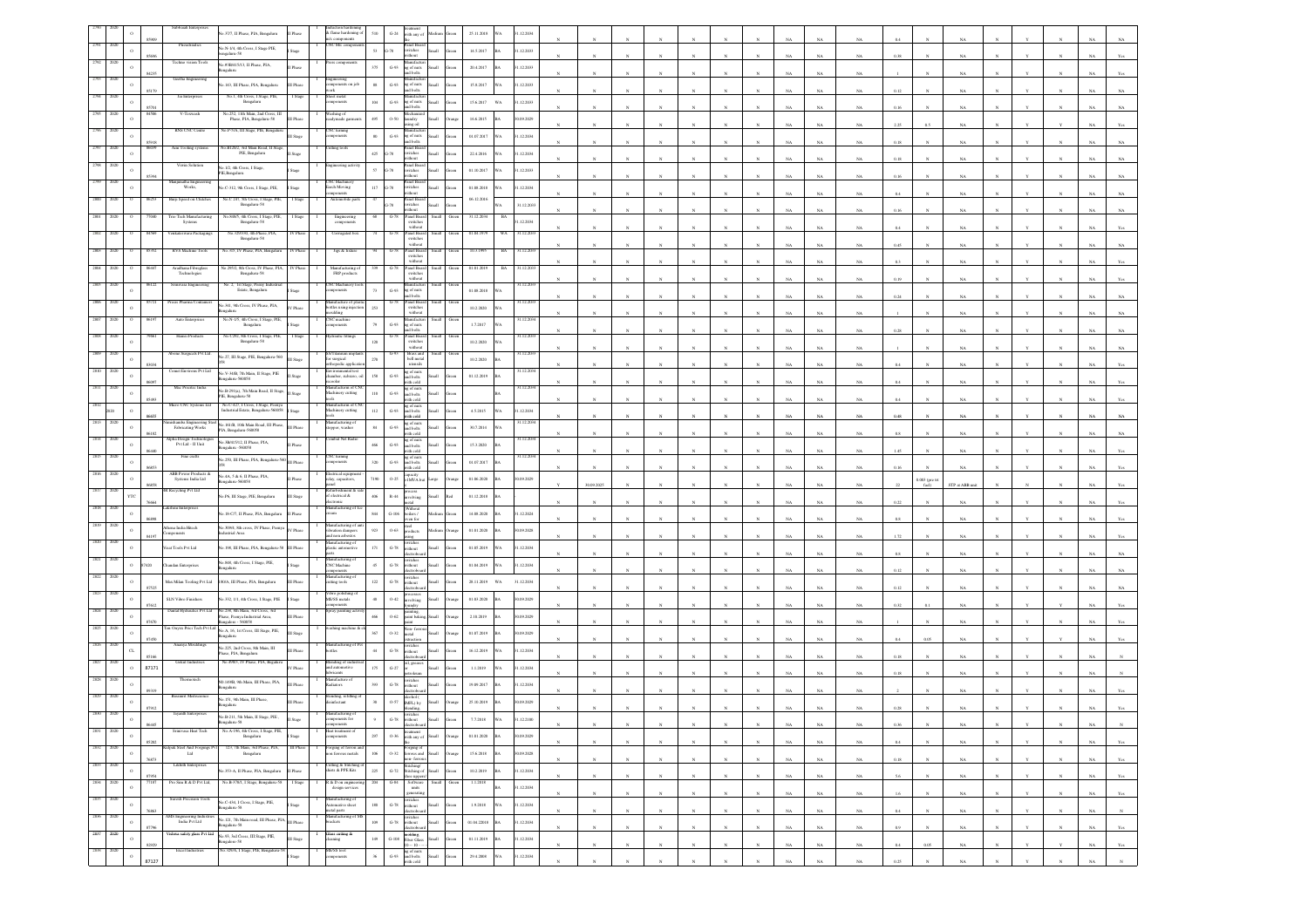|          |      |           |       | Subbaiah Ente<br>io.37/7, II Phase, PIA, Bengaluru                                                                                                    | flame hardening                                           | 510                | $G-24$<br>vith any o                                                                             |               | $25.11.2018\,$           |           | 1.12.2034              |           |  |              |           |             |             |             |          |                |             |  |             |              |
|----------|------|-----------|-------|-------------------------------------------------------------------------------------------------------------------------------------------------------|-----------------------------------------------------------|--------------------|--------------------------------------------------------------------------------------------------|---------------|--------------------------|-----------|------------------------|-----------|--|--------------|-----------|-------------|-------------|-------------|----------|----------------|-------------|--|-------------|--------------|
|          |      |           |       | Prendraulics<br>No.N-1/4, 4th Cross, I Stage PIE,<br>82-avalass                                                                                       | NC Mccomp                                                 | $53\,$             | anel Boar<br>$3 - 78$<br>witches                                                                 |               | 14.5.2017                |           | 1.12.2033              |           |  |              |           |             |             |             |          |                |             |  |             |              |
|          |      |           |       | No.#3B/415/13, II Phase, PIA,<br>Phase                                                                                                                |                                                           | 375                | ithout<br>$G-93$<br>g of nuts                                                                    |               | 20.4.2017                |           | .12.2033               |           |  |              |           |             |             |             |          |                |             |  |             |              |
|          |      |           |       | unalas<br>Geetha Engineering                                                                                                                          |                                                           |                    | nd bolts<br>ກະກົລເຈ                                                                              |               |                          |           |                        |           |  |              |           |             |             |             |          |                |             |  |             |              |
|          |      |           |       | .143, III Phase, PIA, Bengaluru<br>Phase<br>No.1, 4th Cross, I Stage, PIE,<br>Jai Entere<br>Stag                                                      | cenents on job<br><b>reet metal</b>                       | $_{88}\,$          | $\,$ G-93 $\,$<br>ig of nuts<br>ind bolts<br>anulacu                                             |               | 15.8.2017                |           | .12.2033               |           |  |              |           |             |             | NA          |          |                |             |  |             |              |
|          |      |           |       | Bengaluru<br>No. 252, 11th Main, 2nd Cross, III                                                                                                       | onents                                                    | $_{\rm 104}$       | $\,$ G-93<br>ig of nuts<br>ad bolts                                                              |               | $15.6.2017\qquad$ WA     |           | 1.12.2033              |           |  |              |           |             |             |             |          |                |             |  |             |              |
|          |      |           |       | V-Texwash<br>Phase, PIA, Bengaluru-S8<br>Phase                                                                                                        | shing of<br>adymade garm                                  | $495\,$            | $0 - 50$<br>aundry<br>ising oil                                                                  |               | 16.6.2015                |           | 1.09.2029              |           |  |              |           |             |             |             | 2.25     |                |             |  |             |              |
|          |      |           | 591   | RNS CNC Centre<br>No.P-5/A, III Stage, PIE, Bengalur                                                                                                  | NC turning<br>acus                                        | $80\,$             | anulacu<br>$\,$ G-93 $\,$<br>g of nuts<br>and bolts                                              |               | 01.07.2017               |           | 1.12.2034              |           |  |              |           |             | NA          | NA          | 0.18     |                | NA          |  |             |              |
|          |      |           |       | io.B120/2, 3rd Main Road, II Stage<br>Aim Tooling system<br>PIE, Bengaluru<br>Stag                                                                    | iting tools                                               | $425\,$            | Panel Boar<br>switches<br>$3 - 78$                                                               |               | 22.4.2016                |           | 31.12.2034             |           |  |              |           |             |             |             |          |                |             |  |             |              |
|          |      |           |       | 40.1/2, 4th Cross, I Stage,                                                                                                                           | ering ac                                                  | 57                 | ithout<br>anel Boar<br>$3 - 78$<br>witches                                                       | <b>Ham</b>    | 01.10.2017               |           | 1.12.2033              |           |  |              |           |             |             |             |          |                |             |  |             |              |
|          |      |           |       | Bengalaru<br>Manjunatha Engi<br>Works,                                                                                                                | <b>NC</b> Machine                                         |                    | anel Boa                                                                                         |               |                          |           |                        |           |  |              |           |             |             |             |          |                |             |  |             |              |
|          |      |           |       | C-312, 9th Cross, I Stage, PIE,<br>Stage<br>No.C 247, 5th Cross, I Stage, PIE,<br>Burji Speed on Clatche<br>I Stage                                   | arch Moving<br>tomobile pa                                | $117\,$            | witches<br>vithout<br>$3 - 78$<br>anel Boa                                                       |               | 01.08.2018<br>06.12.2016 |           | .12.2034               |           |  |              |           |             |             |             |          |                |             |  |             |              |
|          |      |           |       | Bengaluru-58<br>io 848/5, 4th Cross, I Stage,                                                                                                         |                                                           |                    | vitches<br>dibout<br>Patel Boa                                                                   |               |                          |           | 31.12.2033             |           |  |              |           |             |             |             |          |                |             |  |             |              |
|          |      |           |       | rio Tech Manu<br>Systems<br>Bengaluru-58                                                                                                              | Engineering<br>components                                 |                    | switches<br>without                                                                              |               | 31.12.20                 | вĄ        | 1.12.2034              |           |  |              |           |             |             |             |          |                |             |  |             |              |
|          |      |           |       | No.329/330, 4th Phase, PIA,<br>Venkateswara Packagings<br>V Phas<br>Bengaluru-58                                                                      | Corrugated box                                            |                    | Panel Board<br>switches<br>without                                                               |               | 01.04.1979               | WA        | 1.12203                |           |  |              |           |             |             | NA          | 0.45     |                |             |  |             |              |
|          |      |           |       | <b>RVS Machine Tools</b><br>io.315, IV Phase, PIA, Bengaluru                                                                                          | Jigs & fixts                                              |                    | anel Boa<br>switches<br>without                                                                  |               |                          |           | 122                    |           |  |              |           |             |             |             |          |                |             |  |             |              |
|          |      |           |       | Aradhana Fibreglas<br>o.295/2, 8th Cross, IV Phase, PIA,<br>IV Phas<br>Technologies<br>Bengaluru-58                                                   | Manufacturing o<br>FRP products                           |                    | Panel Board<br>$3 - 78$                                                                          |               | 01.01.2015               | <b>BA</b> | 1.12.203               |           |  |              |           |             |             |             |          |                |             |  |             |              |
|          |      |           |       | No. 2, 1st Stage, Peeny Ind                                                                                                                           | <b>NC</b> Machiner                                        |                    | $\,$ switches $\,$ without<br>anulacu                                                            |               |                          |           |                        |           |  |              |           |             |             | NA          | 0.19     |                |             |  |             |              |
|          |      |           |       | Estate, Bengaluru<br>Precis Pharma Con<br>No.341, 9th Cross, IV Phase, PIA,                                                                           | <i>aponents</i><br>nufacture of pl                        | 73                 | $G-93$<br>g of nuts<br>nd bolts<br>Panel Boar                                                    |               | 01.08.2018               |           | 1.12.203               |           |  |              |           |             |             | NA          | 0.24     |                |             |  |             |              |
|          |      |           |       | No.N-1/5, 4th Cross, I Stage, PIE,<br>Auto Enterprises                                                                                                | ottles using injer<br>Aline<br>NC machine                 | 253                | switches<br>without<br>danufactu                                                                 |               | 10.2.2020                |           | 1.12.203               |           |  |              |           |             |             | ŃΑ          |          |                |             |  |             |              |
|          |      |           |       | Bengaluru                                                                                                                                             | concrets                                                  | 79                 | $G-93$<br>ng of nuts<br>d bolts                                                                  |               | $1.7.2017\,$             |           |                        |           |  |              |           |             | NA          | $_{\rm NA}$ | 0.28     |                | NA          |  |             |              |
|          |      |           |       | Hansi Produc<br>No.C292, 8th Cross, I Stage, PIE,<br>Stage<br>Bengaluru-58                                                                            | draulic fitting                                           | $120 -$            | Panel Boar<br>switches<br>without                                                                |               | 10.2.2020                |           | 1220                   |           |  |              |           |             | NA          | NA          |          |                | NA          |  |             |              |
|          |      |           |       | bone Surgicals Pvt L<br>40.27, III Stage, PIE, Bengalaru-560<br>Stage                                                                                 | 7Titanium in<br>e surgical                                | 270                | Brass and<br>bell metal                                                                          |               | 10.2.2020                |           |                        |           |  |              |           |             |             |             |          |                |             |  |             |              |
|          |      | $\circ$   | (303  | Comet Environs Pvt Ltd<br>No.V-34/B, 7th Main, II Stage, PIE<br>Stage                                                                                 | pedic appli<br>vironmental tes<br>amber, subzero,         | $1{\rm S}8$        | $utensik$<br>ng of nuts<br>and bolts<br>$G-93$                                                   |               | 01.12.2019               |           | 1.12.203               |           |  |              |           |             |             | ŃΑ          |          |                |             |  |             |              |
|          |      | $\circ$   |       | galuru-560058<br>Mac Precitec India<br>No.B-291(a), 7th Main Road, II Stage,<br>I Stage                                                               | oler<br>ufacturin of Cl<br>chinery cutting                | 110                | vith cold<br>ng of nuts<br>$G-93$<br>ind bolts                                                   |               |                          |           | 12.20                  |           |  |              |           |             |             |             |          |                |             |  |             |              |
|          |      |           |       | PIE, Bengalaru-58<br>No.C-427, I Cross, I Stage, Peenya<br>dicro CNC Systems Ltd                                                                      | ufacturin of C                                            |                    | vith cold<br>ng of nuts<br>and bolts                                                             |               |                          |           |                        |           |  |              |           |             |             |             |          |                |             |  |             |              |
|          |      |           |       | Industrial Estate, Bengaluru-560058<br>Stage                                                                                                          | achinery cutting<br>ols.                                  | $112\,$            | $G-93$<br>with cold<br>ng of nuts                                                                |               | 4.5.2015                 | VA        | 1.12.2034<br>1.12.203  |           |  |              |           |             |             |             |          |                |             |  |             |              |
|          |      |           |       | ishamba Engineering St<br>Fabricating Works<br>40.161/B, 10th Main Road, III Phase,<br>II Phase<br>PIA, Bengaluru-560058                              | lanufacturing of<br>opper, washer<br>hat Net Ra           | $^{\rm 84}$        | $\,$ G-93<br>alod ba<br>vith cold                                                                |               | 30.7.2014                |           |                        |           |  |              |           |             |             | NA          |          |                | NA          |  |             |              |
|          |      |           |       | No.3B/415/12, II Phase, PIA,<br>Pvt Ltd - II Unit<br>Phase<br>820038 undegr                                                                           |                                                           | 466                | ng of nuts<br>$G-93$                                                                             |               | 15.3.2020                |           |                        |           |  |              |           |             |             |             |          |                |             |  |             |              |
|          |      |           |       |                                                                                                                                                       |                                                           |                    | and bolts<br>with cold                                                                           |               |                          |           |                        |           |  |              |           |             |             | NA.         | 1.45     |                | NA          |  |             |              |
|          |      |           |       | Fine crafts<br>No.250, III Phase, PIA, Bengaluru-560<br>II Phas                                                                                       | NC turning<br>omponents                                   | 320                | ng of nuts<br>and bolts<br>$\,$ G-93 $\,$<br>with cold                                           |               | 01.07.2017               |           | 1.12.203               |           |  |              |           |             |             | NA          | 0.16     |                | NA          |  |             |              |
|          |      |           |       | ABB Power Products &<br>io.4A, 5 & 6, II Phase, PIA,<br>Systems India Ltd<br>Phase<br>s20033-analaşı                                                  | ectrical equipr<br>lay, capacitors                        | 7190               | apacity<br>• IMVA but<br>$0.25\,$                                                                |               | 01.06.2020               |           | 0.09.2029              |           |  |              |           |             |             |             |          |                |             |  |             |              |
|          |      | YTO       |       | 4R Recycling Pvt Ltd<br>io.P6, III Stage, PIE, Bengaluru<br>III Stage                                                                                 | furbishment &<br>f electrical &                           | 406                | rocess<br>nvolving<br>$\mathbb{R}\text{-}44$                                                     |               | 01.12.2018               |           |                        | 10.09.202 |  |              |           |             |             |             |          | 0.003 (pre trt | STP at ABB  |  |             |              |
|          |      |           |       | shmi Enterprise<br>Phase                                                                                                                              | anufacturing of<br>am.                                    |                    |                                                                                                  |               |                          |           |                        |           |  |              |           |             |             |             | 0.22     |                |             |  |             |              |
|          |      |           |       | .18-C/7, II Phase, PIA, Bengaluru<br>hena India Hitech<br>No.309/4, 8th cross, IV Phase, Peenya                                                       | nufacturing of :                                          | $^{\rm 844}$       | Without<br>oilers /<br>$\,$ G-106 $\,$<br>ven for                                                |               | $14.08\,2020$            |           | .12.2024               |           |  |              |           |             |             | $_{\rm NA}$ | $\alpha$ |                |             |  |             |              |
|          |      |           |       | V Phase<br>mponents<br>dustrial Area                                                                                                                  | ration dampers<br>nd non asbestos<br>anufacturing of      | $\boldsymbol{923}$ | teel<br>eoducts<br>$0.63\,$<br>ing                                                               |               | 01.01.2020               |           | 0.09.2028              |           |  |              |           |             |             |             |          |                |             |  |             |              |
|          |      | $\circ$   |       | isat Tools Pvt Ltd<br>io.198, III Phase, PIA, Bengaluru-58 III Phase                                                                                  | astic automotive                                          | 171                | witches<br>rithout<br>$G-78$<br>ctrobe                                                           |               | 01.05.2019               | VA        | 1.12.2034              |           |  |              |           |             |             |             | 0.8      |                |             |  |             |              |
|          |      |           | 420   | 40.848, 4th Cross, I Stage, PIE,<br>handan Enterprises<br>galuru                                                                                      | danufacturing of<br>NC Machine<br>mponents                | $45\,$             | witches<br>rithout<br>$_{\mathrm{G-78}}$<br>ectrobo                                              |               | 01.04.2019               |           | .12.2034               |           |  |              |           |             |             | NΑ          |          |                |             |  |             |              |
|          |      |           |       | Max Milan Tooling Pvt Ltd<br>180/A, III Phase, PIA, Bengaluru<br>I Phase                                                                              | ifacturing o<br>tting tools                               | $122\,$            | witches<br>$_{\rm G-78}$<br>dibout                                                               |               | 28.11.2019 WA            |           | 31.12.2034             |           |  |              |           |             |             | ŃÂ          |          |                |             |  |             |              |
|          |      | $\circ$   | 87612 | SLN Vibro Finishers<br>No.332, 1/1, 4th Cross, I Stage, PIE<br>Stage                                                                                  | bro polishing<br><b>IS/SS</b> metals                      | $40 -$             | cesses<br>0.42<br>volving<br>ındry                                                               | <b>Ham</b>    | 01.03.2020               |           | 0.09.2029              |           |  |              |           |             |             | ŃΑ          | 0.32     |                |             |  |             |              |
|          |      |           |       | No.238, 8th Main, 3rd Cross, 3rd<br>Dantal Hydraulics Pyt Ltd<br>Phase, Peenya Industrial Area,<br>Phase                                              | ray painting a                                            | 466                | sainting,<br>saint bakin<br>$0.62\,$                                                             |               | 2.10.2019                |           | (09.2029)              |           |  |              |           |             |             |             |          |                |             |  |             |              |
|          |      |           | 17670 | galore - 560058<br>No.A, 16, 1st Cross, III Stage, PIE,<br>I Stage                                                                                    |                                                           | 367                | Von-fen<br>0.32<br>setal                                                                         |               | 01.07.2019               |           | 0.09.2029              |           |  |              |           |             |             | NA          |          |                |             |  |             |              |
|          |      | $\sigma$  |       | Ananya Mouldings<br>Phas                                                                                                                              | anufacturing of<br>mies                                   | 44                 |                                                                                                  |               |                          | WΑ        |                        |           |  |              |           |             |             | NA          |          |                |             |  |             |              |
|          |      |           | 85166 | No.225, 2nd Cross, 8th Main, III<br>Phase, PIA, Bengaluru<br>No.498/3, IV Phase, PIA, Bega                                                            |                                                           |                    | witches<br>/ithout<br>$\,$ G-78 $\,$<br>ctrobo<br>il, grease                                     |               | 16.12.2019               |           | .12.2034               |           |  |              |           |             |             | NA          | 0.18     |                |             |  |             |              |
|          |      |           | 87171 | Thermotech                                                                                                                                            | ending of indi<br>d automotive<br>ricants<br>nufacture of | $175\,$            | $_{\mathrm{G-27}}$                                                                               |               | 1.1.2019                 |           | .12.2034               |           |  |              |           |             |             | NA          | 0.18     |                |             |  |             |              |
|          |      |           |       | NO.149/B, 9th Main, III Phase, PIA,<br>I Phase<br>galaru<br>Bioamrit Mediscience                                                                      | <b>fiators</b>                                            | 393                | witches<br>vithout<br>$G-78$<br>ectrobo                                                          |               | 19.09.2017               |           | 1.12.2034              |           |  |              |           |             |             |             |          |                |             |  |             |              |
|          |      |           |       | io.151, 9th Main, III Phase,<br>galaru                                                                                                                | ending, refilling<br>sinfectant                           | 30                 | alcohol (<br>IMFL) by<br>0.57                                                                    |               | 25.10.2019               |           | 1.09.2029              |           |  |              |           |             |             |             |          |                |             |  |             |              |
|          |      |           |       | No.B-211, 5th Main, II Stage, PIE,                                                                                                                    | ufacturing o<br>tents for                                 |                    | witches<br>rithout<br>$_{\mathrm{G-78}}$                                                         |               | 7.7.2018                 |           | 12.2100                |           |  |              |           |             |             |             |          |                |             |  |             |              |
| 2831     | 2020 | $\circ$   | 85202 | No.A-196, 4th Cross, I Stage, PIE,<br>Srinivasa Heat Tech<br>Bengaluru                                                                                | leat treatment o<br><i>nponents</i>                       | $297\,$            | catment<br>$O-36$<br>with any of                                                                 | llami         | 01.01.2020               |           | 30.09.2029             |           |  |              |           | NA          | $_{\rm NA}$ | $_{\rm NA}$ | 0.4      |                | $_{\rm NA}$ |  | $_{\rm NA}$ | Yes          |
| 2832     | 2020 | $\,$ $\,$ |       | 123, 7th Main, 3rd Phase, PIA,<br><b>Lulpak Steel And Forgings P</b><br>III Phase<br>$_{\rm Lld}$<br>$\mbox{Bengaluru}$                               | orging of ferron a<br>son ferrous metals                  | $106\,$            | $0.32\,$                                                                                         | <b>Illami</b> | 15.6.2018                |           | 30.09.2028             |           |  |              |           |             |             |             |          |                |             |  |             |              |
| 2833     | 2020 | $\,$ $\,$ | 76873 | Likhith Enterprises<br>io.353-A, Il Phase, PIA, Bengaluru<br>I Phase                                                                                  | utting & Stitching<br>irts & PPE Kits                     | 225                | the<br>Forging of<br>ferrous and<br>non-ferrous<br>stitching/                                    | <b>Ilumi</b>  | 10.2.2019                |           | 1.12.2034              |           |  | N            |           | $_{\rm NA}$ | $_{\rm NA}$ | $_{\rm NA}$ | $0.18\,$ |                | $_{\rm NA}$ |  | $_{\rm NA}$ | Yes          |
| $2834\,$ | 2020 | $\circ$   | ense  | No.B-378/1, I Stage, Bengaluru-58<br>Pro Sim R & D Pvt Ltd,<br>Stage                                                                                  | & D on enginee                                            |                    | $G-72$ Stitching of<br>toe upper<br>Software<br>units                                            |               | 1.1.2018                 |           | 31.12.2034             |           |  | $\mathbf{N}$ |           | NA          | $_{\rm NA}$ | $_{\rm NA}$ | 5.6      |                | $_{\rm NA}$ |  | NA          | Yes          |
| 2835     | 2020 |           |       | Suresh Precision Tools                                                                                                                                | design services                                           |                    | generating                                                                                       |               |                          |           |                        |           |  | $_{\rm N}$   | $\bar{N}$ | $_{\rm NA}$ | $_{\rm NA}$ | $_{\rm NA}$ | $1.6\,$  |                | $_{\rm NA}$ |  | $_{\rm NA}$ | $_{\rm Yes}$ |
| 2836     |      | $\,$ 0    |       | No.C-434, I Cross, I Stage, PIE,<br>82-analist                                                                                                        | fanufacturing of<br>uitomative sheet<br>aetal parts       | $180 -$            | switches<br>without<br>$_{\mathrm{G-78}}$<br>lectroboa                                           | <b>Ilum</b>   | 1.9.2018                 |           | 1.12.2034              |           |  |              |           | NA          | NA          | $_{\rm NA}$ | 0.4      |                | NA          |  | NA          |              |
| 2837     | 2020 | $\,$ 0    | 1779  | AMS Engineering Ind<br>India Pvt Ltd<br>No.121, 7th Main road, III Phase, PIA, III Phase<br>82-malage                                                 | <b>fanufacturing o</b><br>rackets<br>lass cutting &       | $109 -$            | switches<br>without<br>electroboar<br>$_{\rm G-78}$                                              | <b>Ilum</b>   | 01.04.22018              |           | 1.12.2034              |           |  | $\mathbf{N}$ |           | NA          | $_{\rm NA}$ | $_{\rm NA}$ | 0.9      |                | $_{\rm NA}$ |  | NA          | Yes          |
| 2838     | 2020 | $\circ$   |       | Vishwa safety glass Pvt Laf<br>No.93, 3rd Cross, III Stage, PIE,<br>II Stage<br>sgalore-58<br>No.329/A, I Stage, PIE, Bengaluru-5<br>Excel Industries | aning<br>MS/SS tool<br>components                         | $149\,$            | molding,<br>Fiber Glass<br>10 -- 10 -<br>$\,$ G-108 $\,$<br>ng of nuts<br>and bolts<br>with cold | <b>Ham</b>    | 01.11.2019               |           | 1.12.2034<br>1.12.2034 |           |  |              |           | NA          | NA          | $_{\rm NA}$ | 0.4      | 0.05           | NA          |  | $_{\rm NA}$ | Yes          |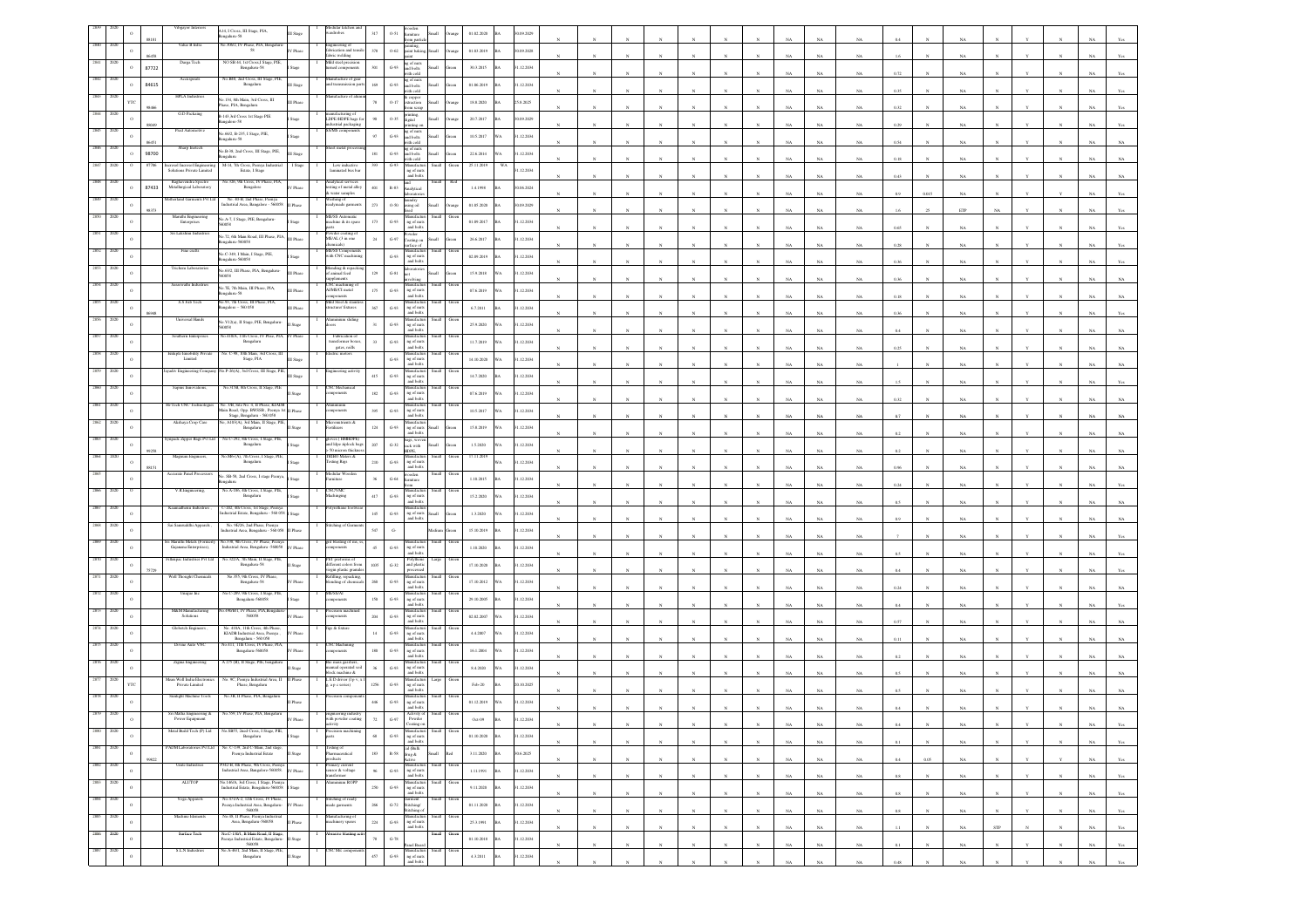|      |      |            |                        | Vibgayor Interiors<br>A14, I Cross, III Stage, PIA,<br>82-analaga                                                                    | odular kitch<br>ardrobes                                      | $317\,$            | ooden<br>amiture<br>0.51<br>cen partic                               |               |     | 01.02.2020            | 0.09.2029  |  |  |              |              |    |             |                         |      |             |     |              |                                                 |
|------|------|------------|------------------------|--------------------------------------------------------------------------------------------------------------------------------------|---------------------------------------------------------------|--------------------|----------------------------------------------------------------------|---------------|-----|-----------------------|------------|--|--|--------------|--------------|----|-------------|-------------------------|------|-------------|-----|--------------|-------------------------------------------------|
|      |      |            |                        | io.306/2, IV Phase, PIA, Bengalar<br>Value B Infra<br>58<br>V Phase                                                                  | gineering of<br>rication and ten                              | 378                | sainting,<br>saint baking,<br>$O-62$                                 | llam          |     | 01.03.2019            | 0.09.2028  |  |  |              |              |    |             |                         |      |             |     |              |                                                 |
|      |      |            | 645<br>87722           | NO SB 44, 1st Cross, I Stage, PIE.<br>Durga Tech<br>Bengaluru-58                                                                     | ric welding<br>fild steel preci<br>ned components             | 301                | ng of nuts<br>and bolts<br>$\,$ G-93                                 |               |     | 30.3.2015             | .12.2034   |  |  |              |              | NA |             | NA                      |      | NA          |     |              |                                                 |
|      |      |            |                        | No.B40, 2nd Cross, III Stage, PIE<br>Accuspirals                                                                                     | nufacture of gea                                              |                    | ith cok                                                              |               |     |                       |            |  |  |              |              |    |             |                         |      |             |     |              |                                                 |
|      |      |            | 84615                  | Bengalaru<br><b>HPLA</b> Industries                                                                                                  | d transmission p<br>ufacture of                               | $1\theta\theta$    | ag of nuts<br>and bolts<br>with cold<br>$G-93$                       |               |     | 01.06.2019            | 1.12.2034  |  |  |              |              |    | NA          | 0.35<br>$_{\rm NA}$     |      | NA          |     |              |                                                 |
|      |      | <b>YTO</b> |                        | No.134, 8th Main, 3rd Cross, III<br>Phas<br>ase, PIA, Bengaluru                                                                      |                                                               | $78\,$             | k copper<br>straction<br>0.17<br>om sera                             |               |     | $18.8.2020\,$         | 25.8.2025  |  |  |              |              |    |             | NA<br>0.3               |      |             |     |              |                                                 |
|      |      |            | 88045                  | ${\rm G.D}$ Packaing<br>B-143,3rd Cross 1st Stage PIE<br>stage<br>galore-58                                                          | anufacturing of<br>DPE /HDPE bags fo<br>ustrial packaging     | 90                 | printing,<br>digital<br>0.35                                         |               |     | 20.7.2017             | 1.09.2029  |  |  |              |              |    | NA          | NA<br>0.25              |      | NA          |     |              |                                                 |
|      |      |            |                        | io.66/2, B-235, I Stage, PIE,<br>galuru-58                                                                                           | $\overline{216}$                                              | 97                 | inting o<br>ng of nuts<br>and bolts<br>with cold<br>$G-93$           | <b>Illett</b> |     | 10.5.2017             | 1.12.2034  |  |  |              |              |    |             |                         |      |             |     |              |                                                 |
|      |      |            | 98700                  | Sharp Inotech<br>No.B-38, 2nd Cross, III Stage, PIE,                                                                                 | teet metal pro                                                | $\ensuremath{181}$ | ng of nuts<br>$G-93$                                                 |               |     | 22.6.2014             | 1.12.2034  |  |  |              |              |    | $_{\rm NA}$ | 0.54<br>$_{\rm NA}$     |      | $_{\rm NA}$ |     |              |                                                 |
|      |      |            |                        | igaloru<br>M-14, 7th Cross, Peenya Indi<br>Estate, I Stage                                                                           |                                                               |                    | alod ba<br>ith cok                                                   |               |     |                       |            |  |  |              |              | NA |             | NA<br>0.18              |      | NA          |     |              |                                                 |
|      |      |            |                        | teresol Incresol Engineerin<br>Solutions Private Limited<br>No.326, 9th Cross, IV Phase, PIA<br>Rashavendra Spectro                  | Low inductive<br>aminated bus bar<br>nalytical service        |                    | danufactu<br>ng of nuts<br>and bolts                                 |               |     |                       | .12.2034   |  |  |              |              | NA |             | 0.43<br>NA              |      | NA          |     |              |                                                 |
|      |      |            | 87433                  | Metallurgical Laboratory<br>Bengalore                                                                                                | sting of metal alloy<br>water samples                         | 401                | and<br>Analytical<br>$\,$ R-83 $\,$<br>sorato                        |               |     | 1.4.1998              | 0.06.2024  |  |  |              |              |    |             |                         |      | NA          |     |              |                                                 |
|      |      |            |                        | No. 40-B, 2nd Phase, Peenya<br>adustrial Area, Bangalore - 560058<br><b>Industional Garments Pyt Lt</b>                              | Washing of<br>readymade garm                                  | $\bf 273$          | laundry<br>asing oil<br>$0.50\,$                                     |               |     | 01.05.2020            | 0.09.2029  |  |  |              |              |    | NA          | NA                      |      | ETP         |     |              |                                                 |
|      |      |            |                        | Maruthi Engineering<br>No.A-7, I Stage, PIE, Bengalaru-<br>Enterprises<br><b>RN</b>                                                  | S/SS Auto<br>uchine & its spare                               | 173                | $G-93$<br>ng of nut                                                  |               |     | 01.09.2017            | 1.12.2034  |  |  |              |              |    |             |                         |      |             |     |              |                                                 |
|      |      |            |                        | Sri Lakshmi Industri<br>40.72, 6th Main Road, III Phase, PLA                                                                         | bwder coating o                                               | 24                 | and bolt<br>Powder<br>Toating on<br>$\mbox{G-}97$                    |               |     |                       |            |  |  |              |              |    |             |                         |      |             |     |              |                                                 |
|      |      |            |                        | galaru-560058<br>Fine craft<br>io.C-349, I Main, I Stage, PIE,                                                                       | MS/AL (3 in one<br>chemicals)<br><b>MS/SS Compone</b>         |                    | rface of<br>danufactu                                                |               |     | 26.6.2017             | 1.12.2034  |  |  |              |              |    | NA          | NA<br>0.28              |      | NA          |     |              |                                                 |
|      |      |            | Trichem Labo           | s20058-undige                                                                                                                        | ith CNC machin<br>nding & repack                              |                    | $G-93$<br>ng of nuts<br>and bolts                                    |               |     | 02.09.2019            | 1.12.2034  |  |  |              |              |    |             |                         |      |             |     |              |                                                 |
|      |      |            |                        | No.63/2, III Phase, PIA, Bengaluru-<br><b>Phase</b>                                                                                  | f animal feed<br><i>elements</i>                              | 129                | soratorie<br>$G-81$                                                  |               |     | 15.9.2018             | 1.12.2034  |  |  |              |              |    | NA          | 0.36                    |      |             |     |              |                                                 |
|      |      |            |                        | Saraswathi Industri<br>40.7E, 7th Main, III Phase, PIA,<br>galaru-58                                                                 | NC machining<br>d/MS/CI metal                                 | 175                | <b>lanufacti</b><br>G.93<br>ng of nuts<br>and bolts                  |               |     | 07.6.2019             | 1.12.2034  |  |  |              |              |    | NA          | $_{\rm NA}$<br>0.18     |      | NA          |     |              |                                                 |
|      |      |            |                        | o.93, 7th Cross, III Phase, PIA,<br>S.S Fab Tech<br>galore - 560 058                                                                 | fild Steel & stai<br>acture/ fixture                          | $367\,$            | Manufacture<br>ng of nuts<br>and bolts<br>G.93                       |               |     | 6.7.2011              | 1.12.2034  |  |  |              |              |    |             |                         |      |             |     |              |                                                 |
|      |      | $\Omega$   |                        | 40.V12(a), II Stage, PIE, Bengalaru-<br>Stage                                                                                        |                                                               | 31                 | anufact<br>ng of nut<br>$G-93$                                       |               |     | 25.9.2020<br>ä.       | 1.12.2034  |  |  |              |              | NA |             | 0.36<br>NA              |      | NA          |     |              |                                                 |
|      |      |            | Southern Entern        | io.410/A, 11th Cross, IV Phse, PIA                                                                                                   |                                                               |                    | and bolts<br>fanufact                                                |               |     |                       |            |  |  |              |              |    | $_{\rm NA}$ | 0.4<br>$_{\rm NA}$      |      | NA          |     |              |                                                 |
|      |      |            |                        | Bengaluru<br>io. C-98, 10th Main, 3rd Cr                                                                                             | Fabrication of<br>transformer boxes<br>gates, reills          |                    | Numiracius<br>ng of nuts<br>and bolts<br>$G-93$                      |               |     | 11.7.2019             | .12.2034   |  |  |              |              |    | NA          | NA<br>0.25              |      | NA          |     |              |                                                 |
|      |      |            | intiple Emobility I    | Stage, PIA<br>Limited                                                                                                                |                                                               |                    | Manufactu<br>ng of nuts<br>$G-93$<br>and bolts                       |               |     | 14.10.2020            | 1.12.2034  |  |  |              |              |    |             | NA                      |      | NA          |     |              |                                                 |
|      |      |            |                        | P-26(A), 3rd Cross, III Stage, P.<br>Stage                                                                                           | eering activi                                                 | $415\,$            | nufacti<br>$G-93$<br>$\mathfrak{ng}$ of $\mathfrak{m}$ sts and bolts |               |     | 14.7.2020             | 1.12.2034  |  |  |              |              |    |             |                         |      |             |     |              |                                                 |
|      |      |            |                        | Sapnis Innovations<br>No.315B, 8th Cross, II Stage, PIE                                                                              | NC Mechanic<br>ceteres                                        | $182\,$            | fanufacti<br>$G-93$<br>ng of nuts                                    |               |     | 07.6.2019             | 12.2034    |  |  |              |              |    |             |                         |      |             |     |              |                                                 |
|      |      |            | -Tech CNC              | . 3/B, Site No. 4, II Phase, KIAD<br>Aain Road, Opp. BWSSB, Peenya 1                                                                 | ponents                                                       | 395                | and bolts<br>$G-93$                                                  |               |     | 10.5.2017             | 1.12.2034  |  |  |              |              |    |             | NA<br>0.37              |      | NA          |     |              |                                                 |
|      |      |            |                        | State, Bengaluru - 560 058<br>Akshaya Crop Care<br>o, A103(A), 3rd Main, II Stage, PII                                               | cronutrients &                                                |                    | ng of nuts<br>and bolts<br>danufactu                                 |               |     |                       |            |  |  |              |              |    |             |                         |      |             |     |              |                                                 |
|      |      |            |                        | Bengaluru<br>No.C-292, 8th Cross, I Stage, PIE                                                                                       | tilizers<br>wes (HMHDPE)                                      | $124\,$            | ng of nuts<br>and bolts<br>$G-93$                                    |               |     | 15.8.2019             | 1.12.2034  |  |  |              |              |    | NA          | NA<br>0.2               |      | NA          |     |              |                                                 |
|      |      |            |                        | mpack Zipper Bags Pvt Ltd<br>Bengaluru                                                                                               | nd Idpe ziplock bag<br>50 micron thickne                      | 207                | bags, wove<br>sack with<br>$_{\mathrm{G-32}}$<br>HDPE,               | Iliam         |     | 1.5.2020              | 1.12.2034  |  |  |              |              |    | NA          | NA<br>02                |      | NA          |     |              |                                                 |
|      |      |            |                        | io.MS-(A), 7th Cross, I Stage, PIE,<br>Magnum Engineer<br>Bengalaru                                                                  | <b>TRIBO Meters &amp;</b><br>esting Rigs                      | 210                | Manufacture<br>ng of nuts<br>and bolts<br>$G-93$                     |               |     | 17.11.2019            | 1.12.2034  |  |  |              |              |    | NA          | 0.96                    |      | NA          |     |              |                                                 |
|      |      |            |                        | Accurate Panel Process<br>40. SB-58, 2nd Cross, I stage Peenya                                                                       | Modular Wooden                                                | $36 -$             | wooden<br>furniture<br>$\mbox{G-64}$                                 |               |     | 1.10.2015             | 1.12.2034  |  |  |              |              |    |             | NA                      |      |             |     |              |                                                 |
|      |      |            |                        | V.R.Engineering,<br>No. A-186, 4th Cross, I Stage, PIE<br>Bengaluru<br>lage                                                          | <b>NCAMC</b><br>hinging                                       | 417                | Manufactus<br>ng of nuts<br>$G-93$                                   |               |     | 15.2.2020             | 1.12.2034  |  |  |              |              |    | NA          | NA<br>0.24              |      | NA          |     |              |                                                 |
|      |      |            |                        | -202, 4th Cross, 1st Stage, Peenya                                                                                                   |                                                               |                    | and bolts                                                            |               |     |                       |            |  |  |              |              | NA |             | $N\Delta$               |      | NA          |     |              |                                                 |
|      |      |            |                        | dustrial Estate, Bengaluru - 560 05<br>Sai Samruddhi Apparels                                                                        | itching of Gas                                                | $145\,$            | ng of nuts<br>and bolts<br>$G-93$                                    | <b>Illett</b> |     | 1.3.2020              | 1.12.2034  |  |  |              |              |    | NA          | 0.9<br>$_{\rm NA}$      |      | NA          |     |              |                                                 |
|      |      |            |                        | No. 9E/26, 2nd Phase, Peenya<br>ndustrial Area, Bengaluru - 560 058                                                                  |                                                               | $547\,$            | $\mathbf{G}_r$                                                       |               |     | 15.10.2019            | 1.12.2034  |  |  |              |              |    |             |                         |      |             |     |              |                                                 |
|      |      |            |                        | i Maruthi Metals (Forr<br>o.338, 9th Cross, IV Phase, Peenya<br>ndustrial Area, Bengaluru -560058<br>Gajanana Enterprises),<br>Phase | blasting of m                                                 | 45                 | Amulacius<br>ng of nuts<br>$G-93$<br>and bolts                       |               |     | 1.10.2020             | 1.12.2034  |  |  |              |              |    | NA          | NA<br>0.5               |      | NA          |     |              |                                                 |
|      |      |            | illenpac Indu          | so.322/A, 7th Main, II Stage, PIE<br>Bengaluru-58                                                                                    | :T pref<br>crent colors from                                  | 1035               | <b>blyther</b><br>$G-32$<br>and plastic<br>processed                 |               |     | 17.10.2020            | 1.12.2034  |  |  |              |              |    |             |                         |      |             |     |              |                                                 |
|      |      |            |                        | No.355, 9th Cross, IV Phase,<br>Well Thought Chemical<br>Bengaluru-58                                                                | rgin plastic grand<br>efiling, repacking<br>ending of chemics | 260                | Manufacture<br>ng of nuts<br>and bolts<br>$G-93$                     |               |     | 17.10.2012            | 1.12.2034  |  |  |              |              |    |             | NA                      |      | NA          |     |              |                                                 |
|      |      |            |                        | o.C-289, 9th Cross, I Stage, PI<br><b>Unique In</b>                                                                                  | SS/A                                                          |                    |                                                                      |               |     |                       |            |  |  |              |              |    | NA          | NA<br>0.24              |      | NA          |     |              |                                                 |
|      |      |            |                        | Bengaluru-560058<br>lage<br>M&M Manufacturing<br>.490/B/1, IV Phase, PIA, Bengalu                                                    | <i>nponents</i><br>cision machi                               | $150\,$            | $G-93$<br>ng of nuts<br>and bolts<br>anufact                         |               |     | 29.10.2005            | .12.2034   |  |  |              |              |    |             | NA                      |      | NA          |     |              |                                                 |
|      |      |            |                        | Solutions<br>560058                                                                                                                  | onents                                                        | $204\,$            | G.93<br>ng of nuts<br>and bolts                                      |               |     | 02.02.2007            | .12.2034   |  |  |              |              |    |             | NA<br>0.57              |      | NA          |     |              |                                                 |
|      |      |            | <b>Globeich Enzir</b>  | No. 410A 11th Cross, 4th Phoen<br>KIADB Industrial Area, Peenya<br>Phase<br>Bengaluru - 560 058                                      | es & fextun                                                   | $14\,$             | tanufactu<br>$G-93$<br>ng of nut<br>and bolts                        |               |     | $4.4.2007$            | 1.12.2034  |  |  |              |              |    | NA          | NA.<br>0.11             |      | NA          |     |              |                                                 |
|      |      |            |                        | 0.411, 11th Cross, IV Phase, PIA,<br>Divine Auto VNC<br>Bengaluru-560058<br>Phase                                                    | NC Machining<br><i>nponents</i>                               | $180\,$            | Manufacture<br>ng of nuts<br>and bolts<br>$G-93$                     |               |     | 16.1.2004             | 1.12.2034  |  |  |              |              |    |             |                         |      |             |     |              |                                                 |
|      |      |            |                        | A 275 (B), Il Stage, PIE, bengalun<br>Zigma Engineering                                                                              | o mass gasafiers                                              |                    | danufactu<br>G.93                                                    |               |     | 8.4.2020              | 1.12.2034  |  |  |              |              |    | NA          |                         |      | NA          |     |              |                                                 |
|      |      |            | Mean Well India Electr | No. 9C, Peenya Industrial Area, II<br>Phase, Bengaluru                                                                               | namal operated soi<br>lock machine &<br>. E D driver (I p v   |                    | ng of nuts<br>and bolts<br>Manufactu<br>ng of nuts                   |               |     |                       |            |  |  |              |              |    | NA          | NA                      |      | NA          |     |              |                                                 |
|      |      |            |                        | Private Limited<br><b>Sunlight Machine Tools</b><br>No.3B, II Phase, PIA, Bengaluru                                                  | a p c series)<br>ision comp                                   | 1256               | $G-93$<br>and bolts                                                  |               |     | ${\rm Feb}\mbox{-}20$ | 0.10.2025  |  |  |              |              |    |             |                         |      |             |     |              |                                                 |
|      |      |            |                        |                                                                                                                                      |                                                               | 446                | danufactur<br>ng of nuts<br>$G-93$<br>and bolts                      |               |     | 01.12.2019            | 1.12.2034  |  |  |              |              |    |             |                         |      |             |     |              |                                                 |
|      |      |            |                        | Sri Matha Engineering &<br>No.559, IV Phase, PIA, Bengal<br>Power Equipment                                                          | neering indust<br>h powder coatis                             | $72\,$             | Activity of<br>Powder<br>$G-97$                                      |               |     | Oct-09                | .12.2034   |  |  |              |              |    |             |                         |      |             |     |              |                                                 |
| 2880 |      | $\,$ o     |                        | Metal Build Tech (P) Ltd<br>o.SB55, 2ned Cross, I Stage, PIE,<br>Bengaluru                                                           |                                                               | $_{68}$            | Manufacture<br>ng of nuts<br>and bolts<br>$G-93$                     |               |     | 01.10.2020            | 1.12.2034  |  |  |              |              |    |             |                         |      |             |     |              |                                                 |
|      |      | $\,$ 0     |                        | lo. C-139, 2nd C-Main, 2nd stage,<br>ADM Laboratories Pvt Ltd<br>Peenya Industrial Estate<br>Stage                                   | ang of<br>maceutical                                          | $183\,$            | cal (Balk<br>$\,$ R-58 $\,$<br>drug &                                | <b>Illami</b> | ho3 | 3.11.2020             | 0.6.2025   |  |  |              |              | NA | $_{\rm NA}$ | $_{\rm NA}$<br>$0.1\,$  | N    | $_{\rm NA}$ |     | $_{\rm N}$   | $_{\rm NA}$<br>$\mathbf{Y}\mathbf{c}\mathbf{s}$ |
| 2882 | 2020 |            |                        | #342-B, 4th Phase, 9th Cross, Peen<br>Unite Industries                                                                               | ducts<br>imary current<br>nsor & voltage                      |                    | ctive                                                                |               |     |                       |            |  |  |              |              | NA | $_{\rm NA}$ | $0.4\,$<br>$_{\rm NA}$  | 0.05 | $_{\rm NA}$ |     | $\mathbf{Y}$ | $_{\rm NA}$<br>$_{\rm Yes}$                     |
|      |      | $\,$ 0     |                        | adustrial Area, Bangalore-560058.<br>Phase<br><b>ALUTOP</b>                                                                          | dermor<br>inium ROF                                           | $96\,$             | Manufacture<br>ng of nuts<br>and bolts<br>$\,$ G-93                  |               |     | 1.11.1991             | 1.12.2034  |  |  | $\mathbb{N}$ | $\mathbf{N}$ | NA | NA          | 0.8<br>NA               |      | $_{\rm NA}$ |     | $_{\rm N}$   | NA<br>Yes                                       |
|      |      | $\,$ o     |                        | io.146/A, 3rd Cross, 1 Stage, Peeny.<br>industrial Estate, Bengalaru-560058                                                          |                                                               | 250                | Manufactur<br>ng of nuts<br>$G-93$<br>and bolts                      |               |     | 9.11.2020             | 31.12.2034 |  |  |              |              | NA | $_{\rm NA}$ | NA<br>0.8               |      | NA          |     |              | <b>NA</b><br>Yes                                |
| 2884 | 2020 | $\,$ o     |                        | No.471/A-2, 12th Cross, IV Phase<br>Yoga Apparels<br>Peenya Industrial Area, Bengaluru-<br>Phase<br>560058                           | itching of ready<br>ade garments                              | $266\,$            | Garment<br>Stitching/<br>Stitching o<br>$G-72$                       | mall          |     | 01.11.2020            | 1.12.2034  |  |  | N            |              | NA | $_{\rm NA}$ | $0.8\,$<br>NA           |      | $_{\rm NA}$ |     |              | $_{\rm NA}$<br>Yes                              |
| 2885 |      | $\circ$    |                        | No.48. Il Phase. Peenva Industria<br>Machine Element<br>Area, Bengaluru-560058<br>hase                                               | anufacturing of<br>achinery spares                            | $\scriptstyle 224$ | danufactur<br>$\,$ G-93<br>ng of nuts                                |               |     | 25.3.1991             | 1.12.2034  |  |  |              |              |    |             |                         |      |             |     |              |                                                 |
| 2886 | 2020 | $\,$ o     |                        | No.C-130/1, B Main Road, II Stage,<br>Surface Tech<br>eenya Industrial Estate, Bengaluru-<br>Stage                                   | asive blasting a                                              | $78\,$             | and bolts<br>$G-78$                                                  |               |     | 01.10.2018            | 1.12.2034  |  |  |              |              | NA | NA          | 1.1<br>NA               |      | NA          | STP |              | NA<br>Yes                                       |
| 2887 | 2020 |            |                        | 560058<br>S.L.N Industries<br>No. A-46/1, 2nd Main, II Stage, PIE                                                                    | <b>NC</b> Mic comp                                            |                    | anel Boar<br>fanufacti                                               |               |     |                       |            |  |  |              |              |    | NA          | 0.1                     |      |             |     |              |                                                 |
|      |      | $\,$ o     |                        | Bengaluru<br>Stage                                                                                                                   |                                                               | $457\,$            | ng of nuts<br>$G-93$<br>and bolts                                    |               |     | 4.3.2011              | 1.12.2034  |  |  |              |              | NA | $_{\rm NA}$ | $0.48\,$<br>$_{\rm NA}$ |      | NA          |     |              |                                                 |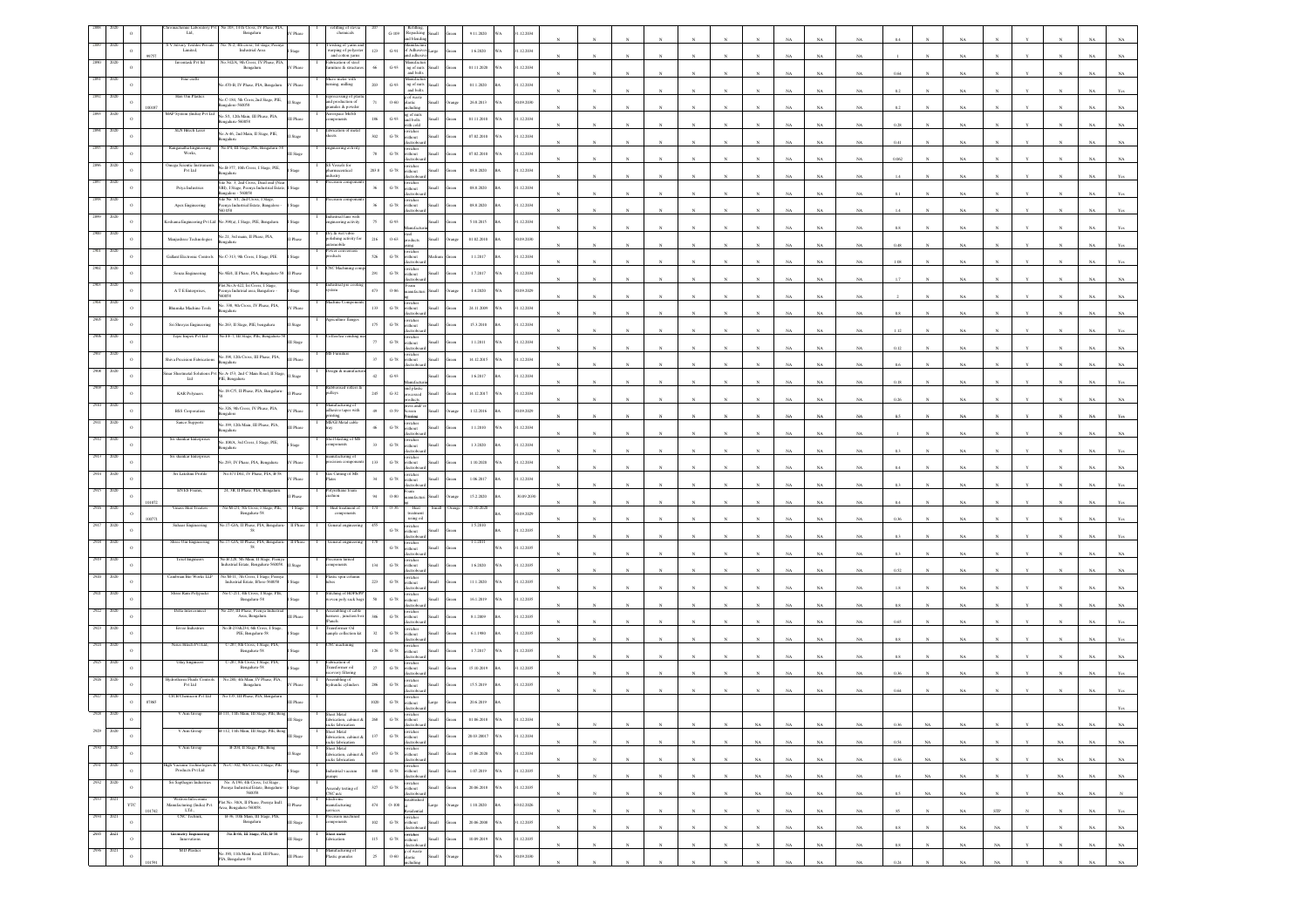|               |                  | nie Labor<br>Ltd,                                       | 5.103. 14 th Cross, IV Phase, PIA<br>Bengaluru                                                            | V Phase                | efilling of stev<br>chemicals                                     |              | $\,$ G-109 $\,$    | Refi<br>Repacking<br>and blendin<br>llam                                                                                      | 9.11.2020      | VA<br>31.12.2034 |              |  |              |                            |             |             |             |             |         |             |             |     |             |             |             |
|---------------|------------------|---------------------------------------------------------|-----------------------------------------------------------------------------------------------------------|------------------------|-------------------------------------------------------------------|--------------|--------------------|-------------------------------------------------------------------------------------------------------------------------------|----------------|------------------|--------------|--|--------------|----------------------------|-------------|-------------|-------------|-------------|---------|-------------|-------------|-----|-------------|-------------|-------------|
|               |                  | S V Silvary Textiles Private<br>Limited,                | No. N-2, 4th cross, 1st stage, Peen<br>Industrial Area                                                    |                        | Iwisting of yams and<br>warping of polyester                      | $123\,$      | $\,$ G-91 $\,$     | Manufacture<br>of Adhesive<br>arge                                                                                            | 1.6.2020       | 1.12.2034        |              |  |              |                            |             |             |             |             |         |             |             |     |             |             |             |
|               |                  | Inventask Pvt In                                        | 342/A, 9th Cross, IV Phase, P.<br>Bengalaru                                                               | V Phase                | and cotton yarns<br>brication of stee<br>miture & structur        | 66           | $G-93$             | nd adhes<br>Manufactur<br>ng of nuts<br>and bolts                                                                             | 01.11.2020     | 1.12.2034        |              |  |              |                            |             |             |             |             |         |             |             |     |             |             |             |
|               |                  | Fine crafts                                             |                                                                                                           |                        | Micro meter with                                                  |              |                    | lanufac                                                                                                                       |                |                  |              |  |              |                            |             |             |             |             |         |             |             |     |             |             |             |
|               |                  | Hari Om Plastics                                        | 470-B, IV Phase, PIA, Bengaluru                                                                           | / Phase                | ning, milling<br>ssing of p                                       | 203          | $G-93$             | $\mathfrak{n}\mathfrak{g}$ of $\mathfrak{n}\mathfrak{u}\mathfrak{t}\mathfrak{s}$ and bolts                                    | $01.1.2020\,$  | 1.12.2034        |              |  |              |                            |             |             |             | NA          |         |             |             |     |             |             |             |
|               | $\circ$          |                                                         | Vo.C-184, 5th Cross,2nd Stage, PIE,<br>ingalore-560058                                                    | Stage                  | and production of<br>aules & powder                               | $71\,$       | $0.60\,$           | g of waste<br>plastic                                                                                                         | 26.8.2013      | 90.09.2030<br>VA |              |  |              |                            |             |             |             |             |         |             |             |     |             |             |             |
|               | $\circ$          | AAP System (India) Pvt Ltd                              | No.5/1, 12th Main, III Phase, PIA,<br>ngaluru-560058                                                      | II Phase               | Aerospace Ms/SS<br>components                                     | 186          | $G-93$             | ng of nuts<br>and bolts<br>ith cold                                                                                           | 01.11.2010     | 1.12.2034<br>VA. |              |  |              |                            |             |             | $_{\rm NA}$ | NA.         | 0.28    |             |             |     |             |             |             |
| 2894<br>2020  | $\circ$          | SLN Hitech Laser                                        | Vo.A-46, 2nd Main, II Stage, PIE,<br>galaru                                                               |                        | fabrication of me                                                 | $302\,$      | $_{\mathrm{G-78}}$ | witches<br>without                                                                                                            | 07.02.2010     | 1.12.2034<br>A   |              |  |              |                            |             |             |             |             |         |             |             |     |             |             |             |
| 2895<br>xœ    | $\circ$          | Ranganatha Engines<br>Works,                            | No.P4, III Stage, PIE, Bengaluru-St                                                                       | I Stage                | gineering avti                                                    | $78\,$       | $G-78$             | witches<br>without                                                                                                            | 07.02.2010     | 31.12.2034<br>VA |              |  |              |                            |             |             | $_{\rm NA}$ | NA          | 0.41    |             | NA          |     |             |             |             |
|               | $\circ$          | mega Scientic Ins<br>Pvt Ltd                            | No.B-377, 10th Cross, I Stage, PIE,                                                                       | Stage                  | Vessels for<br>maceutical                                         | 203.8        | $G-78$             | witches<br>/ithout<br><b>Ham</b>                                                                                              | 08.8.2020      | 1.12.2034        |              |  |              |                            |             |             |             | NA          |         |             |             |     |             |             |             |
|               |                  |                                                         | ite No. 3, 2nd Cross, Dead end (No                                                                        |                        |                                                                   |              |                    | ctrobo                                                                                                                        |                |                  |              |  |              |                            |             |             |             | NA          |         |             |             |     |             |             |             |
|               | $\circ$          | Priya Industries                                        | SBI), I Stage, Peenya Industrial Estate,<br>langalore - 560058<br>Site No. 3/1, 2nd Cross, I Stage,       | Stage                  |                                                                   | $_{\rm 36}$  | $_{\mathrm{G-78}}$ | witches<br>rithout<br>donz                                                                                                    | 08.8.2020      | 1.12.2034        |              |  |              |                            |             |             |             |             |         |             |             |     |             |             |             |
|               |                  | Apex Engineering                                        | enya Industrial Estate, Bangalore<br>0.058                                                                | stage                  |                                                                   | $_{\rm 36}$  | $G-78$             | witches<br>without                                                                                                            | 08.8.2020      | 31.12.2034       |              |  |              |                            |             |             |             |             |         |             |             |     |             |             |             |
|               | $\circ$          |                                                         | oshama Engineering Pvt Ltd No.398(a), I Stage, PIE, Bengaluru                                             | $\operatorname{Stage}$ | trial fans witl<br>ineering activity                              | $75\,$       | $G-93$             |                                                                                                                               | 5.10.2015      | 31.12.2034       |              |  |              |                            |             |             |             |             |         |             |             |     |             |             |             |
|               |                  | Manjushree Technologies                                 | No.21, 3rd main, II Phase, PIA,<br>unalagn                                                                |                        | Dry & wet vibro<br>polishing activity for<br>automobile           | $_{\rm 216}$ | $0 - 63$           | steel<br>products                                                                                                             | 01.02.2010     | 0.09.2030        |              |  |              |                            |             |             | NA          | NA          | 0.48    |             |             |     |             |             |             |
|               |                  | Gallant Electronic Controls                             | No.C-313, 9th Cross, I Stage, PIE                                                                         | stage                  | ower conve<br>oducts                                              | $526\,$      | $G-78$             | switches<br>without                                                                                                           | 1.1.2017       | 31.12.2034       |              |  |              |                            |             |             |             |             |         |             |             |     |             |             |             |
|               |                  | $\operatorname{Souza}$ Engineering                      | o.9E/4, II Phase, PIA, Bengaluru-58                                                                       | I Phase                | <b>CNC Machining</b>                                              | $\bf 291$    | $_{\mathrm{G-78}}$ | ectrobe<br>witches<br>/ithout                                                                                                 | 1.7.2017       | 31.12.2034       |              |  |              |                            |             |             |             |             |         |             |             |     |             |             |             |
|               |                  | $\Lambda$ T E Enterprises,                              | lot No. A-422, 1st Cross, I Stage,<br>eenya Indutrial area, Bangalore -                                   |                        |                                                                   | 473          | $_{\rm O-86}$      | odoni<br>Foam                                                                                                                 | 1.4.2020       | 1.09.2029        |              |  |              |                            |             |             | NA          | NA          |         |             |             |     |             |             |             |
|               |                  |                                                         | 0058<br>No. 338, 9th Cross, IV Phase, PIA,                                                                |                        |                                                                   |              |                    | sanufactu<br>witches                                                                                                          |                |                  |              |  |              |                            |             |             | NA          | NA          |         |             |             |     |             |             |             |
|               |                  | Bhumika Machine Tools                                   | malage                                                                                                    | / Phase                | iculture flan                                                     | $133\,$      | $_{\mathrm{G-78}}$ | ithout                                                                                                                        | $24.11.2009\,$ | 1.12.2034<br>١Ā  |              |  |              |                            |             |             | NA          | $_{\rm NA}$ |         |             |             |     |             |             |             |
|               |                  | Sri Shreyas Engineering                                 | o.263, II Stage, PIE, bengaluru                                                                           | Stage                  |                                                                   | $175\,$      | $_{\mathrm{G-78}}$ | witches<br>/ithout                                                                                                            | 15.3.2010      | 1.12.2034        |              |  |              |                            |             |             | $_{\rm NA}$ | $_{\rm NA}$ | 1.12    |             | NA          |     |             |             |             |
|               | $\circ$          | Tejas Impex Pvt Ltd                                     | No.FF-7, III Stage, PIE, Bengalure                                                                        | II Stage               |                                                                   | $77\,$       | $G-78$             | witcher<br>without                                                                                                            | 1.1.2011       | 31.12.2034       |              |  |              |                            |             |             | NA          | NA          | 0.12    |             | NA          |     |             |             |             |
|               | $\circ$          | hiva Precision Fabrication                              | Vo.198, 12th Cross, III Phase, PIA,<br>ngalaru                                                            | II Phase               |                                                                   | 37           | $_{\mathrm{G-78}}$ | witches<br>/ithout<br><b>Hat</b>                                                                                              | 14.12.2015     | 31.12.2034<br>VA |              |  |              |                            |             |             | $_{\rm NA}$ | $_{\rm NA}$ |         |             |             |     |             |             |             |
|               | $\circ$          | Lad                                                     | nar Sheetmetal Solutions Pvt No.A-153, 2nd C Main Road, II Stage<br>PIE, Bengalaru                        | <b>Stage</b>           | sign & man                                                        | $42\,$       | $G-93$             |                                                                                                                               | 1.6.2017       | 31.12.2034       |              |  |              |                            |             |             |             |             |         |             |             |     |             |             |             |
|               | $\circ$          | KAR Polymers                                            | No.18-C/S, II Phase, PIA, Bengaluru-                                                                      | Phase                  | lleys                                                             | $245\,$      | $G-32$             | and plastic<br>processed                                                                                                      | 14.12.2017     | 1.12.2034        |              |  |              |                            |             |             |             |             |         |             |             |     |             |             |             |
|               |                  | <b>BSS</b> Corporation                                  | No.326, 9th Cross, IV Phase, PIA,                                                                         | V Phase                | facturing of<br>fhesive tapes with                                | 49           | 0.59               | ress and/<br>reen<br>lian                                                                                                     | 1.12.2016      | 30.09.2029       |              |  |              |                            |             |             |             |             |         |             |             |     |             |             |             |
|               |                  | Sanco Supports                                          | No.199, 12th Main, III Phase, PIA,                                                                        |                        | nting<br>MS/GI Metal cable                                        |              |                    | rinting<br>witches<br>without                                                                                                 |                |                  |              |  |              |                            |             |             |             |             |         |             |             |     |             |             |             |
|               |                  | iri shankar Enterpris                                   | unalagn<br>No.108/A, 3rd Cross, I Stage, PIE,                                                             | I Phase                | ot blasting c                                                     | $46\,$       | $_{\mathrm{G-78}}$ | ctrobo                                                                                                                        | 1.1.2010       | 1.12.2034<br>VA  |              |  |              |                            |             |             | NA          | NA          |         |             |             |     |             |             |             |
|               |                  | Sri shankar Enterprises                                 | sgalaru                                                                                                   | Stage                  | nponents<br>ufacturing of                                         | 33           | $G-78$             | switches<br>without<br>electrobo                                                                                              | 1.3.2020       | 1.12.2034        |              |  |              |                            |             |             | $_{\rm NA}$ | NA          |         |             |             |     |             |             |             |
|               |                  |                                                         | 293, IV Phase, PIA, Bengaluru                                                                             | / Phase                | ision cor                                                         | $133\,$      | $_{\mathrm{G-78}}$ | witches<br>without<br>ectrobo                                                                                                 | 1.10.2020      | 1.12.2034        |              |  |              |                            |             |             | NA          | NA          |         |             |             |     |             |             |             |
|               |                  | Sri Lakshmi Profile                                     | No.471 D02, IV Phase, PIA, B-58                                                                           | Phase                  | Gas Cutting of M<br>Plates                                        | $_{34}$      | $_{\mathrm{G-78}}$ | switches<br>without                                                                                                           | 1.06.2017      | 31.12.2034       |              |  |              |                            |             |             | NA          | NA          |         |             |             |     |             |             |             |
|               |                  | EN ES Foams,                                            | 24, 3B, II Phase, PIA, Bengaluru                                                                          | Phase                  | olyrethane foan:<br>ashion                                        | 94           | $O-80\,$           | 'oam<br>sanufactu<br><b>Hat</b>                                                                                               | 15.2.2020      | 30.09.203        |              |  |              |                            |             |             |             |             |         |             |             |     |             |             |             |
|               |                  | Vinass Heat Treater                                     | No.M-2/1, 5th Cross, I Stage, PIE<br>Bengaluru-58                                                         |                        | Heat treatment<br>components                                      |              |                    | Heat<br>treatment<br>using oil                                                                                                | 15.10.202      | 0.09.2029        |              |  |              |                            |             |             |             |             |         |             |             |     |             |             |             |
|               |                  | Suhaas Engin                                            | 0.17-G/A, II Phase, PIA, Bengal<br>58                                                                     | II Phas                | eral engi                                                         |              | $_{\mathrm{G-78}}$ | switches<br>without                                                                                                           | 1.5.2010       | 1.12.2035        |              |  |              |                            |             |             | NA          | $_{\rm NA}$ | 0.36    |             |             |     |             |             |             |
| 2918          | $\circ$          | Shree Om Engineering                                    | o.17-G/A, II Phase, PIA, Bengalu<br>58                                                                    | II Phase               | neral engir                                                       |              | $\,$ G-78 $\,$     | lectrobo<br>switches<br>without                                                                                               | 1.1.2011       | 1.12.2035        |              |  |              |                            |             |             |             |             |         |             |             |     |             |             |             |
| 2919<br>2020  |                  | Texel Engineer                                          | No.B 228, 5th Main, II Stage, Peeny                                                                       |                        | ision turne                                                       |              |                    | don:<br>witches<br>rithout                                                                                                    |                |                  |              |  |              |                            |             |             | $_{\rm NA}$ | $_{\rm NA}$ |         |             |             |     |             |             |             |
| 2920          | $\Omega$         | Cambrian Bio Works LLI                                  | dustrial Estate, Bengaluru-560058                                                                         |                        | onents<br>Plastic spin col:                                       | $134\,$      | $_{\mathrm{G-78}}$ | ectrobo<br>witches                                                                                                            | 1.6.2020       | 1.12.2035        |              |  |              |                            |             |             | NA          | NA          |         |             |             |     |             |             |             |
|               |                  | Shree Ram Polypacks                                     | No.M-11, 7th Cross, I Stage, Peeny<br>Industrial Estate, Blore-560058<br>Vo.C-211, 4th Cross, I Stage, Pf |                        | ing of HDPI                                                       | $\bf 223$    | $G-78$             | without                                                                                                                       | 11.1.2020      | 31.12.2035<br>١Ā |              |  |              |                            |             |             | NA          | NA          |         |             |             |     |             |             |             |
|               | $\circ$          |                                                         | Bengaluru-58                                                                                              | stage                  | ven poly sack ba                                                  | 50           | $G-78$             | switches<br>without<br><b>Har</b>                                                                                             | 16.1.2019      | 1.12.2035<br>VA  |              |  |              |                            |             |             | NA          | $_{\rm NA}$ |         |             |             |     |             |             |             |
|               |                  | Delta Interc                                            | io.229, III Phase, Peenya Indi<br>Area, Bengaluru                                                         | I Phase                | mbling of cable<br>ness, junction b<br>inels                      | 386          | $_{\mathrm{G-78}}$ | switches<br>without<br>donz                                                                                                   | 8.1.2009       | 1.12.2035        |              |  |              |                            |             |             | NA          | NA          | 0.65    |             |             |     |             |             |             |
|               |                  |                                                         | B-233&234, 6th Cross, I Stag<br>PIE, Bengaluru-58                                                         |                        | mple collection kit                                               | 32           | $G-78$             | switches<br>without<br>electrolyo                                                                                             | 6.1.1980       | 31.12.2035       |              |  |              |                            |             |             |             | NA          |         |             |             |     |             |             |             |
|               | $\Omega$         | Nisus Hitech Pvt Ltd,                                   | C-287, 8th Cross, I Stage, PIA<br>Bengaluru-58                                                            |                        | NC machining                                                      | $126\,$      | $_{\mathrm{G-78}}$ | witches<br>without                                                                                                            | 1.7.2017       | 1.12.2035        |              |  |              |                            |             |             |             |             |         |             |             |     |             |             |             |
|               |                  | Uday Engi                                               | C-287, 8th Cross, I Stage, PI.<br>Bengaluru-58                                                            |                        | rication of<br>nsformer oil                                       | $27\,$       | $_{\mathrm{G-78}}$ | odoni<br>switches<br>without                                                                                                  | 15.10.2019     | 1.12.2035        |              |  |              |                            |             |             | NA          | NA          |         |             |             |     |             |             |             |
|               |                  | herm Fluids Cont<br>Pvt Ltd                             | No.280, 4th Main, IV Phase, PIA,<br>Bengaluru                                                             |                        | overy filtering<br>nbling of<br>draulic cylinders                 | 286          | $G-78$             | switches<br>without                                                                                                           | 15.5.2019      | 31.12.2035       |              |  |              |                            |             |             |             | NA          |         |             |             |     |             |             |             |
|               |                  | CICB Chemicon Pvt Ltd                                   | No.135. III Phase, PIA, Bengalur                                                                          |                        |                                                                   |              |                    | witches<br>rithout                                                                                                            |                |                  |              |  |              |                            |             |             |             |             |         |             |             |     |             |             |             |
|               | 87865<br>$\,$ 0  | Aim Gros                                                | 111, 11th Main, 11I Stage, PIE, Be                                                                        | Phase                  | Sheet Metal                                                       | 1020         | $_{\mathrm{G-78}}$ |                                                                                                                               | 20.6.2019      |                  |              |  |              |                            |             |             |             |             |         |             |             |     |             |             |             |
| $2929$ $2020$ |                  | V Aim Group                                             | B-112, 11th Main, III Stage, PIE, Beng                                                                    |                        | abrication, cabinet &<br>racks fabrication                        | $268\,$      | $_{\mathrm{G-78}}$ | switches<br>without<br>electroboa                                                                                             | 01.06.2018     | 1.12.2034<br>VA  |              |  |              |                            |             |             |             |             |         |             |             |     |             |             |             |
|               | $\circ$          |                                                         |                                                                                                           | I Stage                | <b>Sheet Metal</b><br>fabrication, cabinet &<br>racks fabrication | $137\,$      |                    | $$\mathbf{G}\text{-78}\quad \begin{array}{l} \text{switches} \\ \text{without} \\ \text{electrobox} \end{array}$$<br>Iliamā   | 20.03.20017    | WA<br>31.12.2034 |              |  |              |                            | NA          | NA          | $_{\rm NA}$ | $_{\rm NA}$ | 0.54    | NA          | NA          |     | NA          | $_{\rm NA}$ | $_{\rm NA}$ |
| 2930<br>2020  | $\,$ 0           | V Aim Group                                             | B-204, II Stage, PIE, Beng                                                                                |                        | Sheet Metal<br>fabrication, cabinet &<br>racks fabrication        | 453          |                    | $$\rm{G-78}$ \begin{tabular}{l} \bf{switches}\\ \bf{G-78}$ \end{tabular}$<br>all.<br>electroboar                              | 15.06.2020     | WA<br>31.12.2034 | N            |  | N            |                            | $_{\rm NA}$ | NA          | NA          | NA          | 0.36    | NA          | $_{\rm NA}$ |     | $_{\rm NA}$ | $_{\rm NA}$ | NA          |
| 2931<br>2020  | $\,$ $\,$        | Egh Vacuum Technologies<br>Products Pvt Ltd             | No.C-302, 9th Cross, I Stage, PIE                                                                         | Stage                  | dustrial vaccum                                                   | 440          |                    | switches<br>G-78 without<br><b>Hami</b>                                                                                       | 1.07.2019      | 31.12.2035<br>٧A | $\mathbb{N}$ |  | $\mathbf{N}$ | $\boldsymbol{\mathcal{N}}$ | NA          | NA          | NA          | $_{\rm NA}$ | 0.6     | NA          | NA          |     | NA          | $_{\rm NA}$ | $_{\rm NA}$ |
| 2932<br>2020  | $\Omega$         | Sri Sapthagiri Industries                               | No. A 196, 4th Cross, 1st Stage,<br>Peenya Industrial Estate, Bengaluru-                                  | Stage                  | samps and<br>Assemly testing of<br>CNC m/c                        | $327\,$      |                    | $$\mathbf{G}\text{-78}\quad \begin{array}{c} \text{switches} \\ \text{without} \\ \text{electroboard} \end{array}$$<br>Iliamā | 20.06.2018     | 31.12.2035<br>WA |              |  |              |                            |             |             |             |             |         |             |             |     |             |             |             |
| 2933<br>2021  | $_{\rm YTC}$     | Wistron Infocomm<br>Manufacturing (India) Pvt.<br>LTd., | 560058<br>Plot No. 30/A, II Phase, Peenya Indl.                                                           | Phase                  | Electronic<br>manufacturing                                       | $474\,$      | $O-100$            | Established<br>Large                                                                                                          | 1.10.2020      | 03.02.2026       |              |  | $_{\rm N}$   | $_{\rm N}$                 | $_{\rm NA}$ | $_{\rm NA}$ | $_{\rm NA}$ | $_{\rm NA}$ | $0.5\,$ | $_{\rm NA}$ | $_{\rm NA}$ |     | $_{\rm NA}$ | $_{\rm NA}$ |             |
| 2934<br>2021  | 101742<br>$\,$ 0 | CNC Technik,                                            | Area, Bengaluru-560058.<br>B-36, 10th Main, III Stage, PIE<br>Bengaluru                                   | II Stage               | rices<br>cision mach<br>mponents                                  | 102          |                    | Residentia<br>switches<br>G-78 without<br>Ilamā                                                                               | 20.06.2008     | 31.12.2035<br>٧A |              |  |              |                            |             | NA          | NA          | NA          | 85      |             | NA          | STP |             | $_{\rm NA}$ | Yes         |
| 2935<br>2021  |                  | Geometry Engineering<br>Innovations                     | No.B-66, III Stage, PIE, B-58                                                                             |                        | Sheet metal                                                       |              |                    | switches<br>without                                                                                                           |                |                  |              |  |              |                            |             | NA          | $_{\rm NA}$ | $_{\rm NA}$ | 0.8     |             | NA          | NA  |             | $_{\rm NA}$ | $_{\rm NA}$ |
| 2936<br>2021  | $\circ$          | <b>MD</b> Plastics                                      |                                                                                                           | II Stage               | abrication                                                        | $115\,$      | $G-78$             | <b>Ham</b><br>lectrobo                                                                                                        | 10.09.2019     | WA<br>31.12.2035 |              |  |              |                            |             | NA          | NA          | $_{\rm NA}$ | $0.8\,$ |             | NA          | NA  |             | $_{\rm NA}$ | $_{\rm NA}$ |
|               | $\alpha$         |                                                         | No.190, 11th Main Road, III Phase,<br><sup>9</sup> IA, Bengaluru-58                                       | II Phase               | Manufacturing of<br>Plastic granules                              | $25\,$       | $0.60\,$           | g of waste<br>plastic<br>including                                                                                            |                | 0.09.2030<br>VA  |              |  |              |                            |             | NA          | NA          | NA          | 0.24    |             | NA          |     |             |             |             |